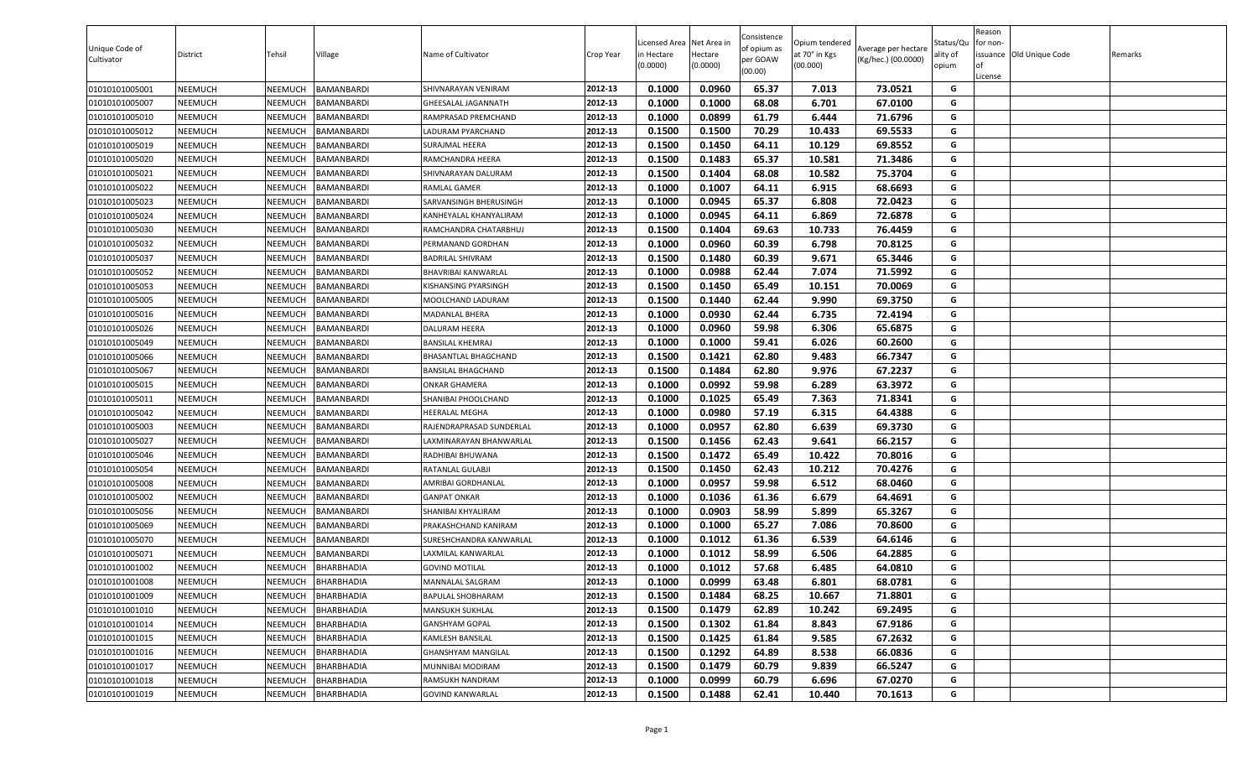| 0.0960<br>65.37<br>01010101005001<br><b>NEEMUCH</b><br>NEEMUCH<br>BAMANBARDI<br>2012-13<br>0.1000<br>7.013<br>73.0521<br>G<br>SHIVNARAYAN VENIRAM<br>01010101005007<br>NEEMUCH<br>0.1000<br>0.1000<br>68.08<br>6.701<br>67.0100<br>G<br>NEEMUCH<br>BAMANBARDI<br>2012-13<br>GHEESALAL JAGANNATH<br>0.0899<br>61.79<br>6.444<br>71.6796<br>01010101005010<br><b>NEEMUCH</b><br>NEEMUCH<br><b>BAMANBARDI</b><br>2012-13<br>0.1000<br>G<br>RAMPRASAD PREMCHAND<br>0.1500<br>70.29<br>10.433<br>69.5533<br>NEEMUCH<br>2012-13<br>0.1500<br>G<br>01010101005012<br>NEEMUCH<br>BAMANBARDI<br>LADURAM PYARCHAND<br>0.1500<br>64.11<br>10.129<br>69.8552<br>01010101005019<br><b>NEEMUCH</b><br>NEEMUCH<br>BAMANBARDI<br>2012-13<br>0.1450<br>G<br>SURAJMAL HEERA<br>2012-13<br>65.37<br>G<br>0.1500<br>0.1483<br>10.581<br>71.3486<br>01010101005020<br><b>NEEMUCH</b><br><b>NEEMUCH</b><br>BAMANBARDI<br>RAMCHANDRA HEERA<br>01010101005021<br><b>NEEMUCH</b><br>NEEMUCH<br>2012-13<br>0.1500<br>0.1404<br>68.08<br>10.582<br>75.3704<br>G<br><b>BAMANBARDI</b><br>SHIVNARAYAN DALURAM<br>6.915<br>G<br>01010101005022<br><b>NEEMUCH</b><br>NEEMUCH<br>BAMANBARDI<br>RAMLAL GAMER<br>2012-13<br>0.1000<br>0.1007<br>64.11<br>68.6693<br>2012-13<br>0.1000<br>0.0945<br>65.37<br>6.808<br>72.0423<br>G<br>01010101005023<br><b>NEEMUCH</b><br>NEEMUCH<br>SARVANSINGH BHERUSINGH<br>BAMANBARDI<br>0.1000<br>0.0945<br>64.11<br>72.6878<br>01010101005024<br><b>NEEMUCH</b><br>NEEMUCH<br>BAMANBARDI<br>2012-13<br>6.869<br>G<br>KANHEYALAL KHANYALIRAM<br>01010101005030<br>NEEMUCH<br>2012-13<br>0.1500<br>0.1404<br>69.63<br>10.733<br>76.4459<br><b>NEEMUCH</b><br>BAMANBARDI<br>G<br>RAMCHANDRA CHATARBHUJ<br>0.0960<br>01010101005032<br><b>NEEMUCH</b><br>NEEMUCH<br>BAMANBARDI<br>2012-13<br>0.1000<br>60.39<br>6.798<br>70.8125<br>G<br>PERMANAND GORDHAN<br>0.1500<br>60.39<br>65.3446<br>NEEMUCH<br>2012-13<br>0.1480<br>9.671<br>G<br>01010101005037<br><b>NEEMUCH</b><br>BAMANBARDI<br>BADRILAL SHIVRAM<br>0.0988<br>62.44<br>7.074<br>71.5992<br>G<br>01010101005052<br><b>NEEMUCH</b><br>NEEMUCH<br><b>BAMANBARDI</b><br>2012-13<br>0.1000<br>BHAVRIBAI KANWARLAL<br><b>NEEMUCH</b><br>NEEMUCH<br>2012-13<br>0.1500<br>0.1450<br>65.49<br>10.151<br>70.0069<br>01010101005053<br>BAMANBARDI<br>G<br>KISHANSING PYARSINGH<br>0.1500<br>0.1440<br>62.44<br>01010101005005<br><b>NEEMUCH</b><br>NEEMUCH<br>BAMANBARDI<br>2012-13<br>9.990<br>69.3750<br>G<br>MOOLCHAND LADURAM<br>0.1000<br>0.0930<br>62.44<br>6.735<br>72.4194<br>G<br>2012-13<br>01010101005016<br>NEEMUCH<br>BAMANBARDI<br>MADANLAL BHERA<br><b>NEEMUCH</b><br>2012-13<br>0.1000<br>0.0960<br>59.98<br>6.306<br>65.6875<br>G<br>01010101005026<br><b>NEEMUCH</b><br>NEEMUCH<br>BAMANBARDI<br>DALURAM HEERA<br>2012-13<br>G<br>01010101005049<br>NEEMUCH<br>0.1000<br>0.1000<br>59.41<br>6.026<br>60.2600<br>NEEMUCH<br>BAMANBARDI<br>BANSILAL KHEMRAJ<br>2012-13<br>0.1500<br>0.1421<br>62.80<br>9.483<br>66.7347<br>G<br>01010101005066<br>NEEMUCH<br>NEEMUCH<br><b>BAMANBARDI</b><br>BHASANTLAL BHAGCHAND<br>0.1500<br>62.80<br>9.976<br>67.2237<br>NEEMUCH<br>0.1484<br>G<br>01010101005067<br>NEEMUCH<br>BAMANBARDI<br>2012-13<br>BANSILAL BHAGCHAND<br>0.1000<br>0.0992<br>59.98<br>6.289<br>63.3972<br>01010101005015<br><b>NEEMUCH</b><br>NEEMUCH<br>BAMANBARDI<br>2012-13<br>G<br>ONKAR GHAMERA<br>65.49<br>7.363<br>71.8341<br><b>NEEMUCH</b><br>NEEMUCH<br>2012-13<br>0.1000<br>0.1025<br>G<br>01010101005011<br>BAMANBARDI<br>SHANIBAI PHOOLCHAND<br>0.1000<br>0.0980<br>57.19<br>6.315<br>64.4388<br>01010101005042<br><b>NEEMUCH</b><br>NEEMUCH<br>BAMANBARDI<br>2012-13<br>G<br>HEERALAL MEGHA<br>0.1000<br>0.0957<br>62.80<br>6.639<br>69.3730<br>G<br>01010101005003<br><b>NEEMUCH</b><br>NEEMUCH<br>BAMANBARDI<br>2012-13<br>RAJENDRAPRASAD SUNDERLAL<br>0.1500<br>0.1456<br>62.43<br>66.2157<br>01010101005027<br><b>NEEMUCH</b><br>NEEMUCH<br>BAMANBARDI<br>2012-13<br>9.641<br>G<br>LAXMINARAYAN BHANWARLAL<br>0.1472<br>NEEMUCH<br>0.1500<br>65.49<br>10.422<br>70.8016<br>G<br>01010101005046<br>NEEMUCH<br>BAMANBARDI<br>2012-13<br>RADHIBAI BHUWANA<br>0.1500<br>0.1450<br>62.43<br>10.212<br>70.4276<br>01010101005054<br><b>NEEMUCH</b><br>NEEMUCH<br>BAMANBARDI<br>2012-13<br>G<br>RATANLAL GULABJI<br>G<br>0.0957<br>59.98<br>01010101005008<br><b>NEEMUCH</b><br><b>NEEMUCH</b><br>BAMANBARDI<br>AMRIBAI GORDHANLAL<br>2012-13<br>0.1000<br>6.512<br>68.0460<br>2012-13<br>0.1000<br>61.36<br>6.679<br>64.4691<br>G<br>NEEMUCH<br>NEEMUCH<br>BAMANBARDI<br><b>GANPAT ONKAR</b><br>0.1036<br>01010101005002<br>2012-13<br>0.1000<br>0.0903<br>58.99<br>5.899<br>65.3267<br>G<br>01010101005056<br><b>NEEMUCH</b><br>NEEMUCH<br><b>BAMANBARDI</b><br>SHANIBAI KHYALIRAM<br>NEEMUCH<br>2012-13<br>0.1000<br>0.1000<br>65.27<br>7.086<br>70.8600<br>G<br>01010101005069<br><b>NEEMUCH</b><br>BAMANBARDI<br>PRAKASHCHAND KANIRAM<br>61.36<br>6.539<br>01010101005070<br><b>NEEMUCH</b><br><b>NEEMUCH</b><br>BAMANBARDI<br>2012-13<br>0.1000<br>0.1012<br>64.6146<br>G<br>SURESHCHANDRA KANWARLAL<br>64.2885<br>01010101005071<br><b>NEEMUCH</b><br>NEEMUCH<br>BAMANBARDI<br>2012-13<br>0.1000<br>0.1012<br>58.99<br>6.506<br>G<br>LAXMILAL KANWARLAL<br>0.1000<br>0.1012<br>57.68<br>6.485<br>01010101001002<br><b>NEEMUCH</b><br>NEEMUCH<br>BHARBHADIA<br>2012-13<br>64.0810<br>G<br><b>GOVIND MOTILAL</b><br>01010101001008<br><b>NEEMUCH</b><br><b>NEEMUCH</b><br>2012-13<br>0.1000<br>0.0999<br>63.48<br>6.801<br>68.0781<br>G<br><b>BHARBHADIA</b><br>MANNALAL SALGRAM<br>0.1484<br>01010101001009<br><b>NEEMUCH</b><br>NEEMUCH<br>BHARBHADIA<br>2012-13<br>0.1500<br>68.25<br>10.667<br>71.8801<br>G<br>BAPULAL SHOBHARAM<br>2012-13<br>0.1500<br>0.1479<br>62.89<br>10.242<br>69.2495<br>G<br>01010101001010<br><b>NEEMUCH</b><br>NEEMUCH<br>BHARBHADIA<br>MANSUKH SUKHLAL<br>61.84<br>0.1500<br>0.1302<br>8.843<br>67.9186<br>G<br>01010101001014<br><b>NEEMUCH</b><br>NEEMUCH<br><b>BHARBHADIA</b><br>2012-13<br>GANSHYAM GOPAL<br>01010101001015<br><b>NEEMUCH</b><br>NEEMUCH<br><b>BHARBHADIA</b><br>2012-13<br>0.1500<br>0.1425<br>61.84<br>9.585<br>67.2632<br>G<br>KAMLESH BANSILAL<br>2012-13<br>0.1500<br>0.1292<br>64.89<br>8.538<br>66.0836<br>G<br>01010101001016<br><b>NEEMUCH</b><br>NEEMUCH<br><b>BHARBHADIA</b><br><b>GHANSHYAM MANGILAL</b><br>2012-13<br>G<br>01010101001017<br>0.1479<br>60.79<br>9.839<br>66.5247<br><b>NEEMUCH</b><br>NEEMUCH<br>BHARBHADIA<br>MUNNIBAI MODIRAM<br>0.1500<br>01010101001018<br>RAMSUKH NANDRAM<br>2012-13<br>0.1000<br>0.0999<br>60.79<br>6.696<br>67.0270<br>G<br><b>NEEMUCH</b><br>NEEMUCH<br>BHARBHADIA<br>2012-13<br>70.1613<br>G<br>01010101001019<br><b>NEEMUCH</b><br>0.1500<br>0.1488<br>62.41<br>10.440<br><b>NEEMUCH</b><br><b>BHARBHADIA</b><br><b>GOVIND KANWARLAL</b> | Unique Code of<br>Cultivator | District | Tehsil | Village | Name of Cultivator | Crop Year | Licensed Area Net Area in<br>in Hectare<br>(0.0000) | Hectare<br>(0.0000) | Consistence<br>of opium as<br>per GOAW<br>(00.00) | Opium tendered<br>at 70° in Kgs<br>(00.000) | Average per hectare<br>(Kg/hec.) (00.0000) | Status/Qu<br>ality of<br>opium | Reason<br>for non-<br>l of<br>License | issuance Old Unique Code | Remarks |
|----------------------------------------------------------------------------------------------------------------------------------------------------------------------------------------------------------------------------------------------------------------------------------------------------------------------------------------------------------------------------------------------------------------------------------------------------------------------------------------------------------------------------------------------------------------------------------------------------------------------------------------------------------------------------------------------------------------------------------------------------------------------------------------------------------------------------------------------------------------------------------------------------------------------------------------------------------------------------------------------------------------------------------------------------------------------------------------------------------------------------------------------------------------------------------------------------------------------------------------------------------------------------------------------------------------------------------------------------------------------------------------------------------------------------------------------------------------------------------------------------------------------------------------------------------------------------------------------------------------------------------------------------------------------------------------------------------------------------------------------------------------------------------------------------------------------------------------------------------------------------------------------------------------------------------------------------------------------------------------------------------------------------------------------------------------------------------------------------------------------------------------------------------------------------------------------------------------------------------------------------------------------------------------------------------------------------------------------------------------------------------------------------------------------------------------------------------------------------------------------------------------------------------------------------------------------------------------------------------------------------------------------------------------------------------------------------------------------------------------------------------------------------------------------------------------------------------------------------------------------------------------------------------------------------------------------------------------------------------------------------------------------------------------------------------------------------------------------------------------------------------------------------------------------------------------------------------------------------------------------------------------------------------------------------------------------------------------------------------------------------------------------------------------------------------------------------------------------------------------------------------------------------------------------------------------------------------------------------------------------------------------------------------------------------------------------------------------------------------------------------------------------------------------------------------------------------------------------------------------------------------------------------------------------------------------------------------------------------------------------------------------------------------------------------------------------------------------------------------------------------------------------------------------------------------------------------------------------------------------------------------------------------------------------------------------------------------------------------------------------------------------------------------------------------------------------------------------------------------------------------------------------------------------------------------------------------------------------------------------------------------------------------------------------------------------------------------------------------------------------------------------------------------------------------------------------------------------------------------------------------------------------------------------------------------------------------------------------------------------------------------------------------------------------------------------------------------------------------------------------------------------------------------------------------------------------------------------------------------------------------------------------------------------------------------------------------------------------------------------------------------------------------------------------------------------------------------------------------------------------------------------------------------------------------------------------------------------------------------------------------------------------------------------------------------------------------------------------------------------------------------------------------------------------------------------------------------------------------------------------------------------------------------------------------------------------------------------------------------------------------------------------------------------------------------------------------------------------------------------------------------------------------------------------------------------------------------------------------------------------------------------------------------------------------------------------------------------------------------------------------------------------------------------------------------------------------------------------------------------------------------------------------------------------------------------------------------------------------------------------------------------------------------------------------------------------------------------------------------------------------------------------------------------------------------------------------------------------|------------------------------|----------|--------|---------|--------------------|-----------|-----------------------------------------------------|---------------------|---------------------------------------------------|---------------------------------------------|--------------------------------------------|--------------------------------|---------------------------------------|--------------------------|---------|
|                                                                                                                                                                                                                                                                                                                                                                                                                                                                                                                                                                                                                                                                                                                                                                                                                                                                                                                                                                                                                                                                                                                                                                                                                                                                                                                                                                                                                                                                                                                                                                                                                                                                                                                                                                                                                                                                                                                                                                                                                                                                                                                                                                                                                                                                                                                                                                                                                                                                                                                                                                                                                                                                                                                                                                                                                                                                                                                                                                                                                                                                                                                                                                                                                                                                                                                                                                                                                                                                                                                                                                                                                                                                                                                                                                                                                                                                                                                                                                                                                                                                                                                                                                                                                                                                                                                                                                                                                                                                                                                                                                                                                                                                                                                                                                                                                                                                                                                                                                                                                                                                                                                                                                                                                                                                                                                                                                                                                                                                                                                                                                                                                                                                                                                                                                                                                                                                                                                                                                                                                                                                                                                                                                                                                                                                                                                                                                                                                                                                                                                                                                                                                                                                                                                                                                                                                                              |                              |          |        |         |                    |           |                                                     |                     |                                                   |                                             |                                            |                                |                                       |                          |         |
|                                                                                                                                                                                                                                                                                                                                                                                                                                                                                                                                                                                                                                                                                                                                                                                                                                                                                                                                                                                                                                                                                                                                                                                                                                                                                                                                                                                                                                                                                                                                                                                                                                                                                                                                                                                                                                                                                                                                                                                                                                                                                                                                                                                                                                                                                                                                                                                                                                                                                                                                                                                                                                                                                                                                                                                                                                                                                                                                                                                                                                                                                                                                                                                                                                                                                                                                                                                                                                                                                                                                                                                                                                                                                                                                                                                                                                                                                                                                                                                                                                                                                                                                                                                                                                                                                                                                                                                                                                                                                                                                                                                                                                                                                                                                                                                                                                                                                                                                                                                                                                                                                                                                                                                                                                                                                                                                                                                                                                                                                                                                                                                                                                                                                                                                                                                                                                                                                                                                                                                                                                                                                                                                                                                                                                                                                                                                                                                                                                                                                                                                                                                                                                                                                                                                                                                                                                              |                              |          |        |         |                    |           |                                                     |                     |                                                   |                                             |                                            |                                |                                       |                          |         |
|                                                                                                                                                                                                                                                                                                                                                                                                                                                                                                                                                                                                                                                                                                                                                                                                                                                                                                                                                                                                                                                                                                                                                                                                                                                                                                                                                                                                                                                                                                                                                                                                                                                                                                                                                                                                                                                                                                                                                                                                                                                                                                                                                                                                                                                                                                                                                                                                                                                                                                                                                                                                                                                                                                                                                                                                                                                                                                                                                                                                                                                                                                                                                                                                                                                                                                                                                                                                                                                                                                                                                                                                                                                                                                                                                                                                                                                                                                                                                                                                                                                                                                                                                                                                                                                                                                                                                                                                                                                                                                                                                                                                                                                                                                                                                                                                                                                                                                                                                                                                                                                                                                                                                                                                                                                                                                                                                                                                                                                                                                                                                                                                                                                                                                                                                                                                                                                                                                                                                                                                                                                                                                                                                                                                                                                                                                                                                                                                                                                                                                                                                                                                                                                                                                                                                                                                                                              |                              |          |        |         |                    |           |                                                     |                     |                                                   |                                             |                                            |                                |                                       |                          |         |
|                                                                                                                                                                                                                                                                                                                                                                                                                                                                                                                                                                                                                                                                                                                                                                                                                                                                                                                                                                                                                                                                                                                                                                                                                                                                                                                                                                                                                                                                                                                                                                                                                                                                                                                                                                                                                                                                                                                                                                                                                                                                                                                                                                                                                                                                                                                                                                                                                                                                                                                                                                                                                                                                                                                                                                                                                                                                                                                                                                                                                                                                                                                                                                                                                                                                                                                                                                                                                                                                                                                                                                                                                                                                                                                                                                                                                                                                                                                                                                                                                                                                                                                                                                                                                                                                                                                                                                                                                                                                                                                                                                                                                                                                                                                                                                                                                                                                                                                                                                                                                                                                                                                                                                                                                                                                                                                                                                                                                                                                                                                                                                                                                                                                                                                                                                                                                                                                                                                                                                                                                                                                                                                                                                                                                                                                                                                                                                                                                                                                                                                                                                                                                                                                                                                                                                                                                                              |                              |          |        |         |                    |           |                                                     |                     |                                                   |                                             |                                            |                                |                                       |                          |         |
|                                                                                                                                                                                                                                                                                                                                                                                                                                                                                                                                                                                                                                                                                                                                                                                                                                                                                                                                                                                                                                                                                                                                                                                                                                                                                                                                                                                                                                                                                                                                                                                                                                                                                                                                                                                                                                                                                                                                                                                                                                                                                                                                                                                                                                                                                                                                                                                                                                                                                                                                                                                                                                                                                                                                                                                                                                                                                                                                                                                                                                                                                                                                                                                                                                                                                                                                                                                                                                                                                                                                                                                                                                                                                                                                                                                                                                                                                                                                                                                                                                                                                                                                                                                                                                                                                                                                                                                                                                                                                                                                                                                                                                                                                                                                                                                                                                                                                                                                                                                                                                                                                                                                                                                                                                                                                                                                                                                                                                                                                                                                                                                                                                                                                                                                                                                                                                                                                                                                                                                                                                                                                                                                                                                                                                                                                                                                                                                                                                                                                                                                                                                                                                                                                                                                                                                                                                              |                              |          |        |         |                    |           |                                                     |                     |                                                   |                                             |                                            |                                |                                       |                          |         |
|                                                                                                                                                                                                                                                                                                                                                                                                                                                                                                                                                                                                                                                                                                                                                                                                                                                                                                                                                                                                                                                                                                                                                                                                                                                                                                                                                                                                                                                                                                                                                                                                                                                                                                                                                                                                                                                                                                                                                                                                                                                                                                                                                                                                                                                                                                                                                                                                                                                                                                                                                                                                                                                                                                                                                                                                                                                                                                                                                                                                                                                                                                                                                                                                                                                                                                                                                                                                                                                                                                                                                                                                                                                                                                                                                                                                                                                                                                                                                                                                                                                                                                                                                                                                                                                                                                                                                                                                                                                                                                                                                                                                                                                                                                                                                                                                                                                                                                                                                                                                                                                                                                                                                                                                                                                                                                                                                                                                                                                                                                                                                                                                                                                                                                                                                                                                                                                                                                                                                                                                                                                                                                                                                                                                                                                                                                                                                                                                                                                                                                                                                                                                                                                                                                                                                                                                                                              |                              |          |        |         |                    |           |                                                     |                     |                                                   |                                             |                                            |                                |                                       |                          |         |
|                                                                                                                                                                                                                                                                                                                                                                                                                                                                                                                                                                                                                                                                                                                                                                                                                                                                                                                                                                                                                                                                                                                                                                                                                                                                                                                                                                                                                                                                                                                                                                                                                                                                                                                                                                                                                                                                                                                                                                                                                                                                                                                                                                                                                                                                                                                                                                                                                                                                                                                                                                                                                                                                                                                                                                                                                                                                                                                                                                                                                                                                                                                                                                                                                                                                                                                                                                                                                                                                                                                                                                                                                                                                                                                                                                                                                                                                                                                                                                                                                                                                                                                                                                                                                                                                                                                                                                                                                                                                                                                                                                                                                                                                                                                                                                                                                                                                                                                                                                                                                                                                                                                                                                                                                                                                                                                                                                                                                                                                                                                                                                                                                                                                                                                                                                                                                                                                                                                                                                                                                                                                                                                                                                                                                                                                                                                                                                                                                                                                                                                                                                                                                                                                                                                                                                                                                                              |                              |          |        |         |                    |           |                                                     |                     |                                                   |                                             |                                            |                                |                                       |                          |         |
|                                                                                                                                                                                                                                                                                                                                                                                                                                                                                                                                                                                                                                                                                                                                                                                                                                                                                                                                                                                                                                                                                                                                                                                                                                                                                                                                                                                                                                                                                                                                                                                                                                                                                                                                                                                                                                                                                                                                                                                                                                                                                                                                                                                                                                                                                                                                                                                                                                                                                                                                                                                                                                                                                                                                                                                                                                                                                                                                                                                                                                                                                                                                                                                                                                                                                                                                                                                                                                                                                                                                                                                                                                                                                                                                                                                                                                                                                                                                                                                                                                                                                                                                                                                                                                                                                                                                                                                                                                                                                                                                                                                                                                                                                                                                                                                                                                                                                                                                                                                                                                                                                                                                                                                                                                                                                                                                                                                                                                                                                                                                                                                                                                                                                                                                                                                                                                                                                                                                                                                                                                                                                                                                                                                                                                                                                                                                                                                                                                                                                                                                                                                                                                                                                                                                                                                                                                              |                              |          |        |         |                    |           |                                                     |                     |                                                   |                                             |                                            |                                |                                       |                          |         |
|                                                                                                                                                                                                                                                                                                                                                                                                                                                                                                                                                                                                                                                                                                                                                                                                                                                                                                                                                                                                                                                                                                                                                                                                                                                                                                                                                                                                                                                                                                                                                                                                                                                                                                                                                                                                                                                                                                                                                                                                                                                                                                                                                                                                                                                                                                                                                                                                                                                                                                                                                                                                                                                                                                                                                                                                                                                                                                                                                                                                                                                                                                                                                                                                                                                                                                                                                                                                                                                                                                                                                                                                                                                                                                                                                                                                                                                                                                                                                                                                                                                                                                                                                                                                                                                                                                                                                                                                                                                                                                                                                                                                                                                                                                                                                                                                                                                                                                                                                                                                                                                                                                                                                                                                                                                                                                                                                                                                                                                                                                                                                                                                                                                                                                                                                                                                                                                                                                                                                                                                                                                                                                                                                                                                                                                                                                                                                                                                                                                                                                                                                                                                                                                                                                                                                                                                                                              |                              |          |        |         |                    |           |                                                     |                     |                                                   |                                             |                                            |                                |                                       |                          |         |
|                                                                                                                                                                                                                                                                                                                                                                                                                                                                                                                                                                                                                                                                                                                                                                                                                                                                                                                                                                                                                                                                                                                                                                                                                                                                                                                                                                                                                                                                                                                                                                                                                                                                                                                                                                                                                                                                                                                                                                                                                                                                                                                                                                                                                                                                                                                                                                                                                                                                                                                                                                                                                                                                                                                                                                                                                                                                                                                                                                                                                                                                                                                                                                                                                                                                                                                                                                                                                                                                                                                                                                                                                                                                                                                                                                                                                                                                                                                                                                                                                                                                                                                                                                                                                                                                                                                                                                                                                                                                                                                                                                                                                                                                                                                                                                                                                                                                                                                                                                                                                                                                                                                                                                                                                                                                                                                                                                                                                                                                                                                                                                                                                                                                                                                                                                                                                                                                                                                                                                                                                                                                                                                                                                                                                                                                                                                                                                                                                                                                                                                                                                                                                                                                                                                                                                                                                                              |                              |          |        |         |                    |           |                                                     |                     |                                                   |                                             |                                            |                                |                                       |                          |         |
|                                                                                                                                                                                                                                                                                                                                                                                                                                                                                                                                                                                                                                                                                                                                                                                                                                                                                                                                                                                                                                                                                                                                                                                                                                                                                                                                                                                                                                                                                                                                                                                                                                                                                                                                                                                                                                                                                                                                                                                                                                                                                                                                                                                                                                                                                                                                                                                                                                                                                                                                                                                                                                                                                                                                                                                                                                                                                                                                                                                                                                                                                                                                                                                                                                                                                                                                                                                                                                                                                                                                                                                                                                                                                                                                                                                                                                                                                                                                                                                                                                                                                                                                                                                                                                                                                                                                                                                                                                                                                                                                                                                                                                                                                                                                                                                                                                                                                                                                                                                                                                                                                                                                                                                                                                                                                                                                                                                                                                                                                                                                                                                                                                                                                                                                                                                                                                                                                                                                                                                                                                                                                                                                                                                                                                                                                                                                                                                                                                                                                                                                                                                                                                                                                                                                                                                                                                              |                              |          |        |         |                    |           |                                                     |                     |                                                   |                                             |                                            |                                |                                       |                          |         |
|                                                                                                                                                                                                                                                                                                                                                                                                                                                                                                                                                                                                                                                                                                                                                                                                                                                                                                                                                                                                                                                                                                                                                                                                                                                                                                                                                                                                                                                                                                                                                                                                                                                                                                                                                                                                                                                                                                                                                                                                                                                                                                                                                                                                                                                                                                                                                                                                                                                                                                                                                                                                                                                                                                                                                                                                                                                                                                                                                                                                                                                                                                                                                                                                                                                                                                                                                                                                                                                                                                                                                                                                                                                                                                                                                                                                                                                                                                                                                                                                                                                                                                                                                                                                                                                                                                                                                                                                                                                                                                                                                                                                                                                                                                                                                                                                                                                                                                                                                                                                                                                                                                                                                                                                                                                                                                                                                                                                                                                                                                                                                                                                                                                                                                                                                                                                                                                                                                                                                                                                                                                                                                                                                                                                                                                                                                                                                                                                                                                                                                                                                                                                                                                                                                                                                                                                                                              |                              |          |        |         |                    |           |                                                     |                     |                                                   |                                             |                                            |                                |                                       |                          |         |
|                                                                                                                                                                                                                                                                                                                                                                                                                                                                                                                                                                                                                                                                                                                                                                                                                                                                                                                                                                                                                                                                                                                                                                                                                                                                                                                                                                                                                                                                                                                                                                                                                                                                                                                                                                                                                                                                                                                                                                                                                                                                                                                                                                                                                                                                                                                                                                                                                                                                                                                                                                                                                                                                                                                                                                                                                                                                                                                                                                                                                                                                                                                                                                                                                                                                                                                                                                                                                                                                                                                                                                                                                                                                                                                                                                                                                                                                                                                                                                                                                                                                                                                                                                                                                                                                                                                                                                                                                                                                                                                                                                                                                                                                                                                                                                                                                                                                                                                                                                                                                                                                                                                                                                                                                                                                                                                                                                                                                                                                                                                                                                                                                                                                                                                                                                                                                                                                                                                                                                                                                                                                                                                                                                                                                                                                                                                                                                                                                                                                                                                                                                                                                                                                                                                                                                                                                                              |                              |          |        |         |                    |           |                                                     |                     |                                                   |                                             |                                            |                                |                                       |                          |         |
|                                                                                                                                                                                                                                                                                                                                                                                                                                                                                                                                                                                                                                                                                                                                                                                                                                                                                                                                                                                                                                                                                                                                                                                                                                                                                                                                                                                                                                                                                                                                                                                                                                                                                                                                                                                                                                                                                                                                                                                                                                                                                                                                                                                                                                                                                                                                                                                                                                                                                                                                                                                                                                                                                                                                                                                                                                                                                                                                                                                                                                                                                                                                                                                                                                                                                                                                                                                                                                                                                                                                                                                                                                                                                                                                                                                                                                                                                                                                                                                                                                                                                                                                                                                                                                                                                                                                                                                                                                                                                                                                                                                                                                                                                                                                                                                                                                                                                                                                                                                                                                                                                                                                                                                                                                                                                                                                                                                                                                                                                                                                                                                                                                                                                                                                                                                                                                                                                                                                                                                                                                                                                                                                                                                                                                                                                                                                                                                                                                                                                                                                                                                                                                                                                                                                                                                                                                              |                              |          |        |         |                    |           |                                                     |                     |                                                   |                                             |                                            |                                |                                       |                          |         |
|                                                                                                                                                                                                                                                                                                                                                                                                                                                                                                                                                                                                                                                                                                                                                                                                                                                                                                                                                                                                                                                                                                                                                                                                                                                                                                                                                                                                                                                                                                                                                                                                                                                                                                                                                                                                                                                                                                                                                                                                                                                                                                                                                                                                                                                                                                                                                                                                                                                                                                                                                                                                                                                                                                                                                                                                                                                                                                                                                                                                                                                                                                                                                                                                                                                                                                                                                                                                                                                                                                                                                                                                                                                                                                                                                                                                                                                                                                                                                                                                                                                                                                                                                                                                                                                                                                                                                                                                                                                                                                                                                                                                                                                                                                                                                                                                                                                                                                                                                                                                                                                                                                                                                                                                                                                                                                                                                                                                                                                                                                                                                                                                                                                                                                                                                                                                                                                                                                                                                                                                                                                                                                                                                                                                                                                                                                                                                                                                                                                                                                                                                                                                                                                                                                                                                                                                                                              |                              |          |        |         |                    |           |                                                     |                     |                                                   |                                             |                                            |                                |                                       |                          |         |
|                                                                                                                                                                                                                                                                                                                                                                                                                                                                                                                                                                                                                                                                                                                                                                                                                                                                                                                                                                                                                                                                                                                                                                                                                                                                                                                                                                                                                                                                                                                                                                                                                                                                                                                                                                                                                                                                                                                                                                                                                                                                                                                                                                                                                                                                                                                                                                                                                                                                                                                                                                                                                                                                                                                                                                                                                                                                                                                                                                                                                                                                                                                                                                                                                                                                                                                                                                                                                                                                                                                                                                                                                                                                                                                                                                                                                                                                                                                                                                                                                                                                                                                                                                                                                                                                                                                                                                                                                                                                                                                                                                                                                                                                                                                                                                                                                                                                                                                                                                                                                                                                                                                                                                                                                                                                                                                                                                                                                                                                                                                                                                                                                                                                                                                                                                                                                                                                                                                                                                                                                                                                                                                                                                                                                                                                                                                                                                                                                                                                                                                                                                                                                                                                                                                                                                                                                                              |                              |          |        |         |                    |           |                                                     |                     |                                                   |                                             |                                            |                                |                                       |                          |         |
|                                                                                                                                                                                                                                                                                                                                                                                                                                                                                                                                                                                                                                                                                                                                                                                                                                                                                                                                                                                                                                                                                                                                                                                                                                                                                                                                                                                                                                                                                                                                                                                                                                                                                                                                                                                                                                                                                                                                                                                                                                                                                                                                                                                                                                                                                                                                                                                                                                                                                                                                                                                                                                                                                                                                                                                                                                                                                                                                                                                                                                                                                                                                                                                                                                                                                                                                                                                                                                                                                                                                                                                                                                                                                                                                                                                                                                                                                                                                                                                                                                                                                                                                                                                                                                                                                                                                                                                                                                                                                                                                                                                                                                                                                                                                                                                                                                                                                                                                                                                                                                                                                                                                                                                                                                                                                                                                                                                                                                                                                                                                                                                                                                                                                                                                                                                                                                                                                                                                                                                                                                                                                                                                                                                                                                                                                                                                                                                                                                                                                                                                                                                                                                                                                                                                                                                                                                              |                              |          |        |         |                    |           |                                                     |                     |                                                   |                                             |                                            |                                |                                       |                          |         |
|                                                                                                                                                                                                                                                                                                                                                                                                                                                                                                                                                                                                                                                                                                                                                                                                                                                                                                                                                                                                                                                                                                                                                                                                                                                                                                                                                                                                                                                                                                                                                                                                                                                                                                                                                                                                                                                                                                                                                                                                                                                                                                                                                                                                                                                                                                                                                                                                                                                                                                                                                                                                                                                                                                                                                                                                                                                                                                                                                                                                                                                                                                                                                                                                                                                                                                                                                                                                                                                                                                                                                                                                                                                                                                                                                                                                                                                                                                                                                                                                                                                                                                                                                                                                                                                                                                                                                                                                                                                                                                                                                                                                                                                                                                                                                                                                                                                                                                                                                                                                                                                                                                                                                                                                                                                                                                                                                                                                                                                                                                                                                                                                                                                                                                                                                                                                                                                                                                                                                                                                                                                                                                                                                                                                                                                                                                                                                                                                                                                                                                                                                                                                                                                                                                                                                                                                                                              |                              |          |        |         |                    |           |                                                     |                     |                                                   |                                             |                                            |                                |                                       |                          |         |
|                                                                                                                                                                                                                                                                                                                                                                                                                                                                                                                                                                                                                                                                                                                                                                                                                                                                                                                                                                                                                                                                                                                                                                                                                                                                                                                                                                                                                                                                                                                                                                                                                                                                                                                                                                                                                                                                                                                                                                                                                                                                                                                                                                                                                                                                                                                                                                                                                                                                                                                                                                                                                                                                                                                                                                                                                                                                                                                                                                                                                                                                                                                                                                                                                                                                                                                                                                                                                                                                                                                                                                                                                                                                                                                                                                                                                                                                                                                                                                                                                                                                                                                                                                                                                                                                                                                                                                                                                                                                                                                                                                                                                                                                                                                                                                                                                                                                                                                                                                                                                                                                                                                                                                                                                                                                                                                                                                                                                                                                                                                                                                                                                                                                                                                                                                                                                                                                                                                                                                                                                                                                                                                                                                                                                                                                                                                                                                                                                                                                                                                                                                                                                                                                                                                                                                                                                                              |                              |          |        |         |                    |           |                                                     |                     |                                                   |                                             |                                            |                                |                                       |                          |         |
|                                                                                                                                                                                                                                                                                                                                                                                                                                                                                                                                                                                                                                                                                                                                                                                                                                                                                                                                                                                                                                                                                                                                                                                                                                                                                                                                                                                                                                                                                                                                                                                                                                                                                                                                                                                                                                                                                                                                                                                                                                                                                                                                                                                                                                                                                                                                                                                                                                                                                                                                                                                                                                                                                                                                                                                                                                                                                                                                                                                                                                                                                                                                                                                                                                                                                                                                                                                                                                                                                                                                                                                                                                                                                                                                                                                                                                                                                                                                                                                                                                                                                                                                                                                                                                                                                                                                                                                                                                                                                                                                                                                                                                                                                                                                                                                                                                                                                                                                                                                                                                                                                                                                                                                                                                                                                                                                                                                                                                                                                                                                                                                                                                                                                                                                                                                                                                                                                                                                                                                                                                                                                                                                                                                                                                                                                                                                                                                                                                                                                                                                                                                                                                                                                                                                                                                                                                              |                              |          |        |         |                    |           |                                                     |                     |                                                   |                                             |                                            |                                |                                       |                          |         |
|                                                                                                                                                                                                                                                                                                                                                                                                                                                                                                                                                                                                                                                                                                                                                                                                                                                                                                                                                                                                                                                                                                                                                                                                                                                                                                                                                                                                                                                                                                                                                                                                                                                                                                                                                                                                                                                                                                                                                                                                                                                                                                                                                                                                                                                                                                                                                                                                                                                                                                                                                                                                                                                                                                                                                                                                                                                                                                                                                                                                                                                                                                                                                                                                                                                                                                                                                                                                                                                                                                                                                                                                                                                                                                                                                                                                                                                                                                                                                                                                                                                                                                                                                                                                                                                                                                                                                                                                                                                                                                                                                                                                                                                                                                                                                                                                                                                                                                                                                                                                                                                                                                                                                                                                                                                                                                                                                                                                                                                                                                                                                                                                                                                                                                                                                                                                                                                                                                                                                                                                                                                                                                                                                                                                                                                                                                                                                                                                                                                                                                                                                                                                                                                                                                                                                                                                                                              |                              |          |        |         |                    |           |                                                     |                     |                                                   |                                             |                                            |                                |                                       |                          |         |
|                                                                                                                                                                                                                                                                                                                                                                                                                                                                                                                                                                                                                                                                                                                                                                                                                                                                                                                                                                                                                                                                                                                                                                                                                                                                                                                                                                                                                                                                                                                                                                                                                                                                                                                                                                                                                                                                                                                                                                                                                                                                                                                                                                                                                                                                                                                                                                                                                                                                                                                                                                                                                                                                                                                                                                                                                                                                                                                                                                                                                                                                                                                                                                                                                                                                                                                                                                                                                                                                                                                                                                                                                                                                                                                                                                                                                                                                                                                                                                                                                                                                                                                                                                                                                                                                                                                                                                                                                                                                                                                                                                                                                                                                                                                                                                                                                                                                                                                                                                                                                                                                                                                                                                                                                                                                                                                                                                                                                                                                                                                                                                                                                                                                                                                                                                                                                                                                                                                                                                                                                                                                                                                                                                                                                                                                                                                                                                                                                                                                                                                                                                                                                                                                                                                                                                                                                                              |                              |          |        |         |                    |           |                                                     |                     |                                                   |                                             |                                            |                                |                                       |                          |         |
|                                                                                                                                                                                                                                                                                                                                                                                                                                                                                                                                                                                                                                                                                                                                                                                                                                                                                                                                                                                                                                                                                                                                                                                                                                                                                                                                                                                                                                                                                                                                                                                                                                                                                                                                                                                                                                                                                                                                                                                                                                                                                                                                                                                                                                                                                                                                                                                                                                                                                                                                                                                                                                                                                                                                                                                                                                                                                                                                                                                                                                                                                                                                                                                                                                                                                                                                                                                                                                                                                                                                                                                                                                                                                                                                                                                                                                                                                                                                                                                                                                                                                                                                                                                                                                                                                                                                                                                                                                                                                                                                                                                                                                                                                                                                                                                                                                                                                                                                                                                                                                                                                                                                                                                                                                                                                                                                                                                                                                                                                                                                                                                                                                                                                                                                                                                                                                                                                                                                                                                                                                                                                                                                                                                                                                                                                                                                                                                                                                                                                                                                                                                                                                                                                                                                                                                                                                              |                              |          |        |         |                    |           |                                                     |                     |                                                   |                                             |                                            |                                |                                       |                          |         |
|                                                                                                                                                                                                                                                                                                                                                                                                                                                                                                                                                                                                                                                                                                                                                                                                                                                                                                                                                                                                                                                                                                                                                                                                                                                                                                                                                                                                                                                                                                                                                                                                                                                                                                                                                                                                                                                                                                                                                                                                                                                                                                                                                                                                                                                                                                                                                                                                                                                                                                                                                                                                                                                                                                                                                                                                                                                                                                                                                                                                                                                                                                                                                                                                                                                                                                                                                                                                                                                                                                                                                                                                                                                                                                                                                                                                                                                                                                                                                                                                                                                                                                                                                                                                                                                                                                                                                                                                                                                                                                                                                                                                                                                                                                                                                                                                                                                                                                                                                                                                                                                                                                                                                                                                                                                                                                                                                                                                                                                                                                                                                                                                                                                                                                                                                                                                                                                                                                                                                                                                                                                                                                                                                                                                                                                                                                                                                                                                                                                                                                                                                                                                                                                                                                                                                                                                                                              |                              |          |        |         |                    |           |                                                     |                     |                                                   |                                             |                                            |                                |                                       |                          |         |
|                                                                                                                                                                                                                                                                                                                                                                                                                                                                                                                                                                                                                                                                                                                                                                                                                                                                                                                                                                                                                                                                                                                                                                                                                                                                                                                                                                                                                                                                                                                                                                                                                                                                                                                                                                                                                                                                                                                                                                                                                                                                                                                                                                                                                                                                                                                                                                                                                                                                                                                                                                                                                                                                                                                                                                                                                                                                                                                                                                                                                                                                                                                                                                                                                                                                                                                                                                                                                                                                                                                                                                                                                                                                                                                                                                                                                                                                                                                                                                                                                                                                                                                                                                                                                                                                                                                                                                                                                                                                                                                                                                                                                                                                                                                                                                                                                                                                                                                                                                                                                                                                                                                                                                                                                                                                                                                                                                                                                                                                                                                                                                                                                                                                                                                                                                                                                                                                                                                                                                                                                                                                                                                                                                                                                                                                                                                                                                                                                                                                                                                                                                                                                                                                                                                                                                                                                                              |                              |          |        |         |                    |           |                                                     |                     |                                                   |                                             |                                            |                                |                                       |                          |         |
|                                                                                                                                                                                                                                                                                                                                                                                                                                                                                                                                                                                                                                                                                                                                                                                                                                                                                                                                                                                                                                                                                                                                                                                                                                                                                                                                                                                                                                                                                                                                                                                                                                                                                                                                                                                                                                                                                                                                                                                                                                                                                                                                                                                                                                                                                                                                                                                                                                                                                                                                                                                                                                                                                                                                                                                                                                                                                                                                                                                                                                                                                                                                                                                                                                                                                                                                                                                                                                                                                                                                                                                                                                                                                                                                                                                                                                                                                                                                                                                                                                                                                                                                                                                                                                                                                                                                                                                                                                                                                                                                                                                                                                                                                                                                                                                                                                                                                                                                                                                                                                                                                                                                                                                                                                                                                                                                                                                                                                                                                                                                                                                                                                                                                                                                                                                                                                                                                                                                                                                                                                                                                                                                                                                                                                                                                                                                                                                                                                                                                                                                                                                                                                                                                                                                                                                                                                              |                              |          |        |         |                    |           |                                                     |                     |                                                   |                                             |                                            |                                |                                       |                          |         |
|                                                                                                                                                                                                                                                                                                                                                                                                                                                                                                                                                                                                                                                                                                                                                                                                                                                                                                                                                                                                                                                                                                                                                                                                                                                                                                                                                                                                                                                                                                                                                                                                                                                                                                                                                                                                                                                                                                                                                                                                                                                                                                                                                                                                                                                                                                                                                                                                                                                                                                                                                                                                                                                                                                                                                                                                                                                                                                                                                                                                                                                                                                                                                                                                                                                                                                                                                                                                                                                                                                                                                                                                                                                                                                                                                                                                                                                                                                                                                                                                                                                                                                                                                                                                                                                                                                                                                                                                                                                                                                                                                                                                                                                                                                                                                                                                                                                                                                                                                                                                                                                                                                                                                                                                                                                                                                                                                                                                                                                                                                                                                                                                                                                                                                                                                                                                                                                                                                                                                                                                                                                                                                                                                                                                                                                                                                                                                                                                                                                                                                                                                                                                                                                                                                                                                                                                                                              |                              |          |        |         |                    |           |                                                     |                     |                                                   |                                             |                                            |                                |                                       |                          |         |
|                                                                                                                                                                                                                                                                                                                                                                                                                                                                                                                                                                                                                                                                                                                                                                                                                                                                                                                                                                                                                                                                                                                                                                                                                                                                                                                                                                                                                                                                                                                                                                                                                                                                                                                                                                                                                                                                                                                                                                                                                                                                                                                                                                                                                                                                                                                                                                                                                                                                                                                                                                                                                                                                                                                                                                                                                                                                                                                                                                                                                                                                                                                                                                                                                                                                                                                                                                                                                                                                                                                                                                                                                                                                                                                                                                                                                                                                                                                                                                                                                                                                                                                                                                                                                                                                                                                                                                                                                                                                                                                                                                                                                                                                                                                                                                                                                                                                                                                                                                                                                                                                                                                                                                                                                                                                                                                                                                                                                                                                                                                                                                                                                                                                                                                                                                                                                                                                                                                                                                                                                                                                                                                                                                                                                                                                                                                                                                                                                                                                                                                                                                                                                                                                                                                                                                                                                                              |                              |          |        |         |                    |           |                                                     |                     |                                                   |                                             |                                            |                                |                                       |                          |         |
|                                                                                                                                                                                                                                                                                                                                                                                                                                                                                                                                                                                                                                                                                                                                                                                                                                                                                                                                                                                                                                                                                                                                                                                                                                                                                                                                                                                                                                                                                                                                                                                                                                                                                                                                                                                                                                                                                                                                                                                                                                                                                                                                                                                                                                                                                                                                                                                                                                                                                                                                                                                                                                                                                                                                                                                                                                                                                                                                                                                                                                                                                                                                                                                                                                                                                                                                                                                                                                                                                                                                                                                                                                                                                                                                                                                                                                                                                                                                                                                                                                                                                                                                                                                                                                                                                                                                                                                                                                                                                                                                                                                                                                                                                                                                                                                                                                                                                                                                                                                                                                                                                                                                                                                                                                                                                                                                                                                                                                                                                                                                                                                                                                                                                                                                                                                                                                                                                                                                                                                                                                                                                                                                                                                                                                                                                                                                                                                                                                                                                                                                                                                                                                                                                                                                                                                                                                              |                              |          |        |         |                    |           |                                                     |                     |                                                   |                                             |                                            |                                |                                       |                          |         |
|                                                                                                                                                                                                                                                                                                                                                                                                                                                                                                                                                                                                                                                                                                                                                                                                                                                                                                                                                                                                                                                                                                                                                                                                                                                                                                                                                                                                                                                                                                                                                                                                                                                                                                                                                                                                                                                                                                                                                                                                                                                                                                                                                                                                                                                                                                                                                                                                                                                                                                                                                                                                                                                                                                                                                                                                                                                                                                                                                                                                                                                                                                                                                                                                                                                                                                                                                                                                                                                                                                                                                                                                                                                                                                                                                                                                                                                                                                                                                                                                                                                                                                                                                                                                                                                                                                                                                                                                                                                                                                                                                                                                                                                                                                                                                                                                                                                                                                                                                                                                                                                                                                                                                                                                                                                                                                                                                                                                                                                                                                                                                                                                                                                                                                                                                                                                                                                                                                                                                                                                                                                                                                                                                                                                                                                                                                                                                                                                                                                                                                                                                                                                                                                                                                                                                                                                                                              |                              |          |        |         |                    |           |                                                     |                     |                                                   |                                             |                                            |                                |                                       |                          |         |
|                                                                                                                                                                                                                                                                                                                                                                                                                                                                                                                                                                                                                                                                                                                                                                                                                                                                                                                                                                                                                                                                                                                                                                                                                                                                                                                                                                                                                                                                                                                                                                                                                                                                                                                                                                                                                                                                                                                                                                                                                                                                                                                                                                                                                                                                                                                                                                                                                                                                                                                                                                                                                                                                                                                                                                                                                                                                                                                                                                                                                                                                                                                                                                                                                                                                                                                                                                                                                                                                                                                                                                                                                                                                                                                                                                                                                                                                                                                                                                                                                                                                                                                                                                                                                                                                                                                                                                                                                                                                                                                                                                                                                                                                                                                                                                                                                                                                                                                                                                                                                                                                                                                                                                                                                                                                                                                                                                                                                                                                                                                                                                                                                                                                                                                                                                                                                                                                                                                                                                                                                                                                                                                                                                                                                                                                                                                                                                                                                                                                                                                                                                                                                                                                                                                                                                                                                                              |                              |          |        |         |                    |           |                                                     |                     |                                                   |                                             |                                            |                                |                                       |                          |         |
|                                                                                                                                                                                                                                                                                                                                                                                                                                                                                                                                                                                                                                                                                                                                                                                                                                                                                                                                                                                                                                                                                                                                                                                                                                                                                                                                                                                                                                                                                                                                                                                                                                                                                                                                                                                                                                                                                                                                                                                                                                                                                                                                                                                                                                                                                                                                                                                                                                                                                                                                                                                                                                                                                                                                                                                                                                                                                                                                                                                                                                                                                                                                                                                                                                                                                                                                                                                                                                                                                                                                                                                                                                                                                                                                                                                                                                                                                                                                                                                                                                                                                                                                                                                                                                                                                                                                                                                                                                                                                                                                                                                                                                                                                                                                                                                                                                                                                                                                                                                                                                                                                                                                                                                                                                                                                                                                                                                                                                                                                                                                                                                                                                                                                                                                                                                                                                                                                                                                                                                                                                                                                                                                                                                                                                                                                                                                                                                                                                                                                                                                                                                                                                                                                                                                                                                                                                              |                              |          |        |         |                    |           |                                                     |                     |                                                   |                                             |                                            |                                |                                       |                          |         |
|                                                                                                                                                                                                                                                                                                                                                                                                                                                                                                                                                                                                                                                                                                                                                                                                                                                                                                                                                                                                                                                                                                                                                                                                                                                                                                                                                                                                                                                                                                                                                                                                                                                                                                                                                                                                                                                                                                                                                                                                                                                                                                                                                                                                                                                                                                                                                                                                                                                                                                                                                                                                                                                                                                                                                                                                                                                                                                                                                                                                                                                                                                                                                                                                                                                                                                                                                                                                                                                                                                                                                                                                                                                                                                                                                                                                                                                                                                                                                                                                                                                                                                                                                                                                                                                                                                                                                                                                                                                                                                                                                                                                                                                                                                                                                                                                                                                                                                                                                                                                                                                                                                                                                                                                                                                                                                                                                                                                                                                                                                                                                                                                                                                                                                                                                                                                                                                                                                                                                                                                                                                                                                                                                                                                                                                                                                                                                                                                                                                                                                                                                                                                                                                                                                                                                                                                                                              |                              |          |        |         |                    |           |                                                     |                     |                                                   |                                             |                                            |                                |                                       |                          |         |
|                                                                                                                                                                                                                                                                                                                                                                                                                                                                                                                                                                                                                                                                                                                                                                                                                                                                                                                                                                                                                                                                                                                                                                                                                                                                                                                                                                                                                                                                                                                                                                                                                                                                                                                                                                                                                                                                                                                                                                                                                                                                                                                                                                                                                                                                                                                                                                                                                                                                                                                                                                                                                                                                                                                                                                                                                                                                                                                                                                                                                                                                                                                                                                                                                                                                                                                                                                                                                                                                                                                                                                                                                                                                                                                                                                                                                                                                                                                                                                                                                                                                                                                                                                                                                                                                                                                                                                                                                                                                                                                                                                                                                                                                                                                                                                                                                                                                                                                                                                                                                                                                                                                                                                                                                                                                                                                                                                                                                                                                                                                                                                                                                                                                                                                                                                                                                                                                                                                                                                                                                                                                                                                                                                                                                                                                                                                                                                                                                                                                                                                                                                                                                                                                                                                                                                                                                                              |                              |          |        |         |                    |           |                                                     |                     |                                                   |                                             |                                            |                                |                                       |                          |         |
|                                                                                                                                                                                                                                                                                                                                                                                                                                                                                                                                                                                                                                                                                                                                                                                                                                                                                                                                                                                                                                                                                                                                                                                                                                                                                                                                                                                                                                                                                                                                                                                                                                                                                                                                                                                                                                                                                                                                                                                                                                                                                                                                                                                                                                                                                                                                                                                                                                                                                                                                                                                                                                                                                                                                                                                                                                                                                                                                                                                                                                                                                                                                                                                                                                                                                                                                                                                                                                                                                                                                                                                                                                                                                                                                                                                                                                                                                                                                                                                                                                                                                                                                                                                                                                                                                                                                                                                                                                                                                                                                                                                                                                                                                                                                                                                                                                                                                                                                                                                                                                                                                                                                                                                                                                                                                                                                                                                                                                                                                                                                                                                                                                                                                                                                                                                                                                                                                                                                                                                                                                                                                                                                                                                                                                                                                                                                                                                                                                                                                                                                                                                                                                                                                                                                                                                                                                              |                              |          |        |         |                    |           |                                                     |                     |                                                   |                                             |                                            |                                |                                       |                          |         |
|                                                                                                                                                                                                                                                                                                                                                                                                                                                                                                                                                                                                                                                                                                                                                                                                                                                                                                                                                                                                                                                                                                                                                                                                                                                                                                                                                                                                                                                                                                                                                                                                                                                                                                                                                                                                                                                                                                                                                                                                                                                                                                                                                                                                                                                                                                                                                                                                                                                                                                                                                                                                                                                                                                                                                                                                                                                                                                                                                                                                                                                                                                                                                                                                                                                                                                                                                                                                                                                                                                                                                                                                                                                                                                                                                                                                                                                                                                                                                                                                                                                                                                                                                                                                                                                                                                                                                                                                                                                                                                                                                                                                                                                                                                                                                                                                                                                                                                                                                                                                                                                                                                                                                                                                                                                                                                                                                                                                                                                                                                                                                                                                                                                                                                                                                                                                                                                                                                                                                                                                                                                                                                                                                                                                                                                                                                                                                                                                                                                                                                                                                                                                                                                                                                                                                                                                                                              |                              |          |        |         |                    |           |                                                     |                     |                                                   |                                             |                                            |                                |                                       |                          |         |
|                                                                                                                                                                                                                                                                                                                                                                                                                                                                                                                                                                                                                                                                                                                                                                                                                                                                                                                                                                                                                                                                                                                                                                                                                                                                                                                                                                                                                                                                                                                                                                                                                                                                                                                                                                                                                                                                                                                                                                                                                                                                                                                                                                                                                                                                                                                                                                                                                                                                                                                                                                                                                                                                                                                                                                                                                                                                                                                                                                                                                                                                                                                                                                                                                                                                                                                                                                                                                                                                                                                                                                                                                                                                                                                                                                                                                                                                                                                                                                                                                                                                                                                                                                                                                                                                                                                                                                                                                                                                                                                                                                                                                                                                                                                                                                                                                                                                                                                                                                                                                                                                                                                                                                                                                                                                                                                                                                                                                                                                                                                                                                                                                                                                                                                                                                                                                                                                                                                                                                                                                                                                                                                                                                                                                                                                                                                                                                                                                                                                                                                                                                                                                                                                                                                                                                                                                                              |                              |          |        |         |                    |           |                                                     |                     |                                                   |                                             |                                            |                                |                                       |                          |         |
|                                                                                                                                                                                                                                                                                                                                                                                                                                                                                                                                                                                                                                                                                                                                                                                                                                                                                                                                                                                                                                                                                                                                                                                                                                                                                                                                                                                                                                                                                                                                                                                                                                                                                                                                                                                                                                                                                                                                                                                                                                                                                                                                                                                                                                                                                                                                                                                                                                                                                                                                                                                                                                                                                                                                                                                                                                                                                                                                                                                                                                                                                                                                                                                                                                                                                                                                                                                                                                                                                                                                                                                                                                                                                                                                                                                                                                                                                                                                                                                                                                                                                                                                                                                                                                                                                                                                                                                                                                                                                                                                                                                                                                                                                                                                                                                                                                                                                                                                                                                                                                                                                                                                                                                                                                                                                                                                                                                                                                                                                                                                                                                                                                                                                                                                                                                                                                                                                                                                                                                                                                                                                                                                                                                                                                                                                                                                                                                                                                                                                                                                                                                                                                                                                                                                                                                                                                              |                              |          |        |         |                    |           |                                                     |                     |                                                   |                                             |                                            |                                |                                       |                          |         |
|                                                                                                                                                                                                                                                                                                                                                                                                                                                                                                                                                                                                                                                                                                                                                                                                                                                                                                                                                                                                                                                                                                                                                                                                                                                                                                                                                                                                                                                                                                                                                                                                                                                                                                                                                                                                                                                                                                                                                                                                                                                                                                                                                                                                                                                                                                                                                                                                                                                                                                                                                                                                                                                                                                                                                                                                                                                                                                                                                                                                                                                                                                                                                                                                                                                                                                                                                                                                                                                                                                                                                                                                                                                                                                                                                                                                                                                                                                                                                                                                                                                                                                                                                                                                                                                                                                                                                                                                                                                                                                                                                                                                                                                                                                                                                                                                                                                                                                                                                                                                                                                                                                                                                                                                                                                                                                                                                                                                                                                                                                                                                                                                                                                                                                                                                                                                                                                                                                                                                                                                                                                                                                                                                                                                                                                                                                                                                                                                                                                                                                                                                                                                                                                                                                                                                                                                                                              |                              |          |        |         |                    |           |                                                     |                     |                                                   |                                             |                                            |                                |                                       |                          |         |
|                                                                                                                                                                                                                                                                                                                                                                                                                                                                                                                                                                                                                                                                                                                                                                                                                                                                                                                                                                                                                                                                                                                                                                                                                                                                                                                                                                                                                                                                                                                                                                                                                                                                                                                                                                                                                                                                                                                                                                                                                                                                                                                                                                                                                                                                                                                                                                                                                                                                                                                                                                                                                                                                                                                                                                                                                                                                                                                                                                                                                                                                                                                                                                                                                                                                                                                                                                                                                                                                                                                                                                                                                                                                                                                                                                                                                                                                                                                                                                                                                                                                                                                                                                                                                                                                                                                                                                                                                                                                                                                                                                                                                                                                                                                                                                                                                                                                                                                                                                                                                                                                                                                                                                                                                                                                                                                                                                                                                                                                                                                                                                                                                                                                                                                                                                                                                                                                                                                                                                                                                                                                                                                                                                                                                                                                                                                                                                                                                                                                                                                                                                                                                                                                                                                                                                                                                                              |                              |          |        |         |                    |           |                                                     |                     |                                                   |                                             |                                            |                                |                                       |                          |         |
|                                                                                                                                                                                                                                                                                                                                                                                                                                                                                                                                                                                                                                                                                                                                                                                                                                                                                                                                                                                                                                                                                                                                                                                                                                                                                                                                                                                                                                                                                                                                                                                                                                                                                                                                                                                                                                                                                                                                                                                                                                                                                                                                                                                                                                                                                                                                                                                                                                                                                                                                                                                                                                                                                                                                                                                                                                                                                                                                                                                                                                                                                                                                                                                                                                                                                                                                                                                                                                                                                                                                                                                                                                                                                                                                                                                                                                                                                                                                                                                                                                                                                                                                                                                                                                                                                                                                                                                                                                                                                                                                                                                                                                                                                                                                                                                                                                                                                                                                                                                                                                                                                                                                                                                                                                                                                                                                                                                                                                                                                                                                                                                                                                                                                                                                                                                                                                                                                                                                                                                                                                                                                                                                                                                                                                                                                                                                                                                                                                                                                                                                                                                                                                                                                                                                                                                                                                              |                              |          |        |         |                    |           |                                                     |                     |                                                   |                                             |                                            |                                |                                       |                          |         |
|                                                                                                                                                                                                                                                                                                                                                                                                                                                                                                                                                                                                                                                                                                                                                                                                                                                                                                                                                                                                                                                                                                                                                                                                                                                                                                                                                                                                                                                                                                                                                                                                                                                                                                                                                                                                                                                                                                                                                                                                                                                                                                                                                                                                                                                                                                                                                                                                                                                                                                                                                                                                                                                                                                                                                                                                                                                                                                                                                                                                                                                                                                                                                                                                                                                                                                                                                                                                                                                                                                                                                                                                                                                                                                                                                                                                                                                                                                                                                                                                                                                                                                                                                                                                                                                                                                                                                                                                                                                                                                                                                                                                                                                                                                                                                                                                                                                                                                                                                                                                                                                                                                                                                                                                                                                                                                                                                                                                                                                                                                                                                                                                                                                                                                                                                                                                                                                                                                                                                                                                                                                                                                                                                                                                                                                                                                                                                                                                                                                                                                                                                                                                                                                                                                                                                                                                                                              |                              |          |        |         |                    |           |                                                     |                     |                                                   |                                             |                                            |                                |                                       |                          |         |
|                                                                                                                                                                                                                                                                                                                                                                                                                                                                                                                                                                                                                                                                                                                                                                                                                                                                                                                                                                                                                                                                                                                                                                                                                                                                                                                                                                                                                                                                                                                                                                                                                                                                                                                                                                                                                                                                                                                                                                                                                                                                                                                                                                                                                                                                                                                                                                                                                                                                                                                                                                                                                                                                                                                                                                                                                                                                                                                                                                                                                                                                                                                                                                                                                                                                                                                                                                                                                                                                                                                                                                                                                                                                                                                                                                                                                                                                                                                                                                                                                                                                                                                                                                                                                                                                                                                                                                                                                                                                                                                                                                                                                                                                                                                                                                                                                                                                                                                                                                                                                                                                                                                                                                                                                                                                                                                                                                                                                                                                                                                                                                                                                                                                                                                                                                                                                                                                                                                                                                                                                                                                                                                                                                                                                                                                                                                                                                                                                                                                                                                                                                                                                                                                                                                                                                                                                                              |                              |          |        |         |                    |           |                                                     |                     |                                                   |                                             |                                            |                                |                                       |                          |         |
|                                                                                                                                                                                                                                                                                                                                                                                                                                                                                                                                                                                                                                                                                                                                                                                                                                                                                                                                                                                                                                                                                                                                                                                                                                                                                                                                                                                                                                                                                                                                                                                                                                                                                                                                                                                                                                                                                                                                                                                                                                                                                                                                                                                                                                                                                                                                                                                                                                                                                                                                                                                                                                                                                                                                                                                                                                                                                                                                                                                                                                                                                                                                                                                                                                                                                                                                                                                                                                                                                                                                                                                                                                                                                                                                                                                                                                                                                                                                                                                                                                                                                                                                                                                                                                                                                                                                                                                                                                                                                                                                                                                                                                                                                                                                                                                                                                                                                                                                                                                                                                                                                                                                                                                                                                                                                                                                                                                                                                                                                                                                                                                                                                                                                                                                                                                                                                                                                                                                                                                                                                                                                                                                                                                                                                                                                                                                                                                                                                                                                                                                                                                                                                                                                                                                                                                                                                              |                              |          |        |         |                    |           |                                                     |                     |                                                   |                                             |                                            |                                |                                       |                          |         |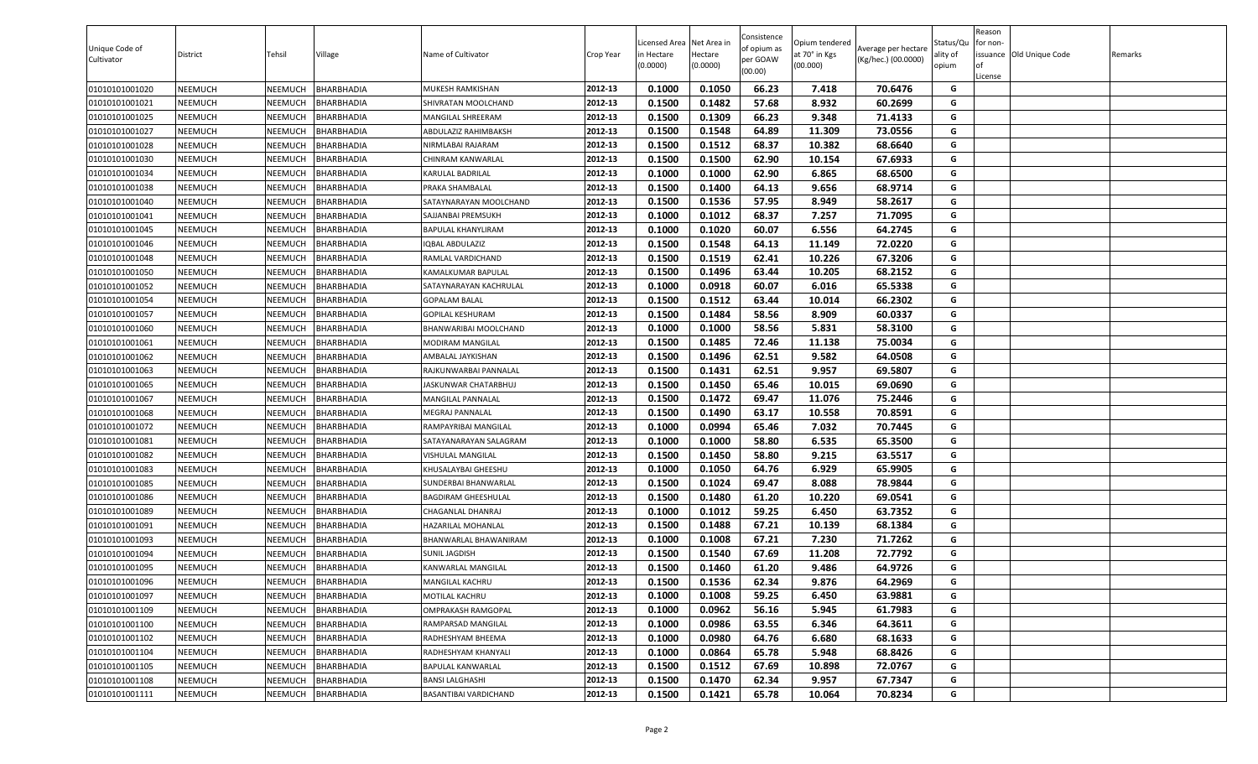| Unique Code of<br>Cultivator | District       | Tehsil         | Village           | Name of Cultivator           | Crop Year | Licensed Area Net Area in<br>in Hectare<br>(0.0000) | Hectare<br>(0.0000) | Consistence<br>of opium as<br>per GOAW<br>(00.00) | Opium tendered<br>at 70° in Kgs<br>(00.000) | Average per hectare<br>(Kg/hec.) (00.0000) | Status/Qu<br>ality of<br>opium | Reason<br>for non-<br>l of<br>License | issuance Old Unique Code | Remarks |
|------------------------------|----------------|----------------|-------------------|------------------------------|-----------|-----------------------------------------------------|---------------------|---------------------------------------------------|---------------------------------------------|--------------------------------------------|--------------------------------|---------------------------------------|--------------------------|---------|
| 01010101001020               | <b>NEEMUCH</b> | NEEMUCH        | BHARBHADIA        | MUKESH RAMKISHAN             | 2012-13   | 0.1000                                              | 0.1050              | 66.23                                             | 7.418                                       | 70.6476                                    | G                              |                                       |                          |         |
| 01010101001021               | NEEMUCH        | NEEMUCH        | BHARBHADIA        | SHIVRATAN MOOLCHAND          | 2012-13   | 0.1500                                              | 0.1482              | 57.68                                             | 8.932                                       | 60.2699                                    | G                              |                                       |                          |         |
| 01010101001025               | NEEMUCH        | NEEMUCH        | BHARBHADIA        | MANGILAL SHREERAM            | 2012-13   | 0.1500                                              | 0.1309              | 66.23                                             | 9.348                                       | 71.4133                                    | G                              |                                       |                          |         |
| 01010101001027               | NEEMUCH        | NEEMUCH        | BHARBHADIA        | ABDULAZIZ RAHIMBAKSH         | 2012-13   | 0.1500                                              | 0.1548              | 64.89                                             | 11.309                                      | 73.0556                                    | G                              |                                       |                          |         |
| 01010101001028               | <b>NEEMUCH</b> | NEEMUCH        | BHARBHADIA        | NIRMLABAI RAJARAM            | 2012-13   | 0.1500                                              | 0.1512              | 68.37                                             | 10.382                                      | 68.6640                                    | G                              |                                       |                          |         |
| 01010101001030               | <b>NEEMUCH</b> | <b>NEEMUCH</b> | BHARBHADIA        | CHINRAM KANWARLAL            | 2012-13   | 0.1500                                              | 0.1500              | 62.90                                             | 10.154                                      | 67.6933                                    | G                              |                                       |                          |         |
| 01010101001034               | <b>NEEMUCH</b> | NEEMUCH        | <b>BHARBHADIA</b> | KARULAL BADRILAL             | 2012-13   | 0.1000                                              | 0.1000              | 62.90                                             | 6.865                                       | 68.6500                                    | G                              |                                       |                          |         |
| 01010101001038               | <b>NEEMUCH</b> | NEEMUCH        | BHARBHADIA        | PRAKA SHAMBALAL              | 2012-13   | 0.1500                                              | 0.1400              | 64.13                                             | 9.656                                       | 68.9714                                    | G                              |                                       |                          |         |
| 01010101001040               | <b>NEEMUCH</b> | NEEMUCH        | BHARBHADIA        | SATAYNARAYAN MOOLCHAND       | 2012-13   | 0.1500                                              | 0.1536              | 57.95                                             | 8.949                                       | 58.2617                                    | G                              |                                       |                          |         |
| 01010101001041               | <b>NEEMUCH</b> | NEEMUCH        | BHARBHADIA        | SAJJANBAI PREMSUKH           | 2012-13   | 0.1000                                              | 0.1012              | 68.37                                             | 7.257                                       | 71.7095                                    | G                              |                                       |                          |         |
| 01010101001045               | NEEMUCH        | NEEMUCH        | BHARBHADIA        | BAPULAL KHANYLIRAM           | 2012-13   | 0.1000                                              | 0.1020              | 60.07                                             | 6.556                                       | 64.2745                                    | G                              |                                       |                          |         |
| 01010101001046               | <b>NEEMUCH</b> | NEEMUCH        | BHARBHADIA        | <b>QBAL ABDULAZIZ</b>        | 2012-13   | 0.1500                                              | 0.1548              | 64.13                                             | 11.149                                      | 72.0220                                    | G                              |                                       |                          |         |
| 01010101001048               | NEEMUCH        | NEEMUCH        | BHARBHADIA        | RAMLAL VARDICHAND            | 2012-13   | 0.1500                                              | 0.1519              | 62.41                                             | 10.226                                      | 67.3206                                    | G                              |                                       |                          |         |
| 01010101001050               | <b>NEEMUCH</b> | NEEMUCH        | BHARBHADIA        | KAMALKUMAR BAPULAL           | 2012-13   | 0.1500                                              | 0.1496              | 63.44                                             | 10.205                                      | 68.2152                                    | G                              |                                       |                          |         |
| 01010101001052               | <b>NEEMUCH</b> | NEEMUCH        | BHARBHADIA        | SATAYNARAYAN KACHRULAL       | 2012-13   | 0.1000                                              | 0.0918              | 60.07                                             | 6.016                                       | 65.5338                                    | G                              |                                       |                          |         |
| 01010101001054               | <b>NEEMUCH</b> | NEEMUCH        | BHARBHADIA        | <b>GOPALAM BALAL</b>         | 2012-13   | 0.1500                                              | 0.1512              | 63.44                                             | 10.014                                      | 66.2302                                    | G                              |                                       |                          |         |
| 01010101001057               | <b>NEEMUCH</b> | NEEMUCH        | BHARBHADIA        | GOPILAL KESHURAM             | 2012-13   | 0.1500                                              | 0.1484              | 58.56                                             | 8.909                                       | 60.0337                                    | G                              |                                       |                          |         |
| 01010101001060               | <b>NEEMUCH</b> | NEEMUCH        | BHARBHADIA        | BHANWARIBAI MOOLCHAND        | 2012-13   | 0.1000                                              | 0.1000              | 58.56                                             | 5.831                                       | 58.3100                                    | G                              |                                       |                          |         |
| 01010101001061               | <b>NEEMUCH</b> | NEEMUCH        | BHARBHADIA        | MODIRAM MANGILAL             | 2012-13   | 0.1500                                              | 0.1485              | 72.46                                             | 11.138                                      | 75.0034                                    | G                              |                                       |                          |         |
| 01010101001062               | NEEMUCH        | NEEMUCH        | BHARBHADIA        | AMBALAL JAYKISHAN            | 2012-13   | 0.1500                                              | 0.1496              | 62.51                                             | 9.582                                       | 64.0508                                    | G                              |                                       |                          |         |
| 01010101001063               | NEEMUCH        | NEEMUCH        | BHARBHADIA        | RAJKUNWARBAI PANNALAL        | 2012-13   | 0.1500                                              | 0.1431              | 62.51                                             | 9.957                                       | 69.5807                                    | G                              |                                       |                          |         |
| 01010101001065               | <b>NEEMUCH</b> | NEEMUCH        | BHARBHADIA        | JASKUNWAR CHATARBHUJ         | 2012-13   | 0.1500                                              | 0.1450              | 65.46                                             | 10.015                                      | 69.0690                                    | G                              |                                       |                          |         |
| 01010101001067               | <b>NEEMUCH</b> | NEEMUCH        | BHARBHADIA        | MANGILAL PANNALAL            | 2012-13   | 0.1500                                              | 0.1472              | 69.47                                             | 11.076                                      | 75.2446                                    | G                              |                                       |                          |         |
| 01010101001068               | <b>NEEMUCH</b> | NEEMUCH        | BHARBHADIA        | MEGRAJ PANNALAL              | 2012-13   | 0.1500                                              | 0.1490              | 63.17                                             | 10.558                                      | 70.8591                                    | G                              |                                       |                          |         |
| 01010101001072               | <b>NEEMUCH</b> | NEEMUCH        | BHARBHADIA        | RAMPAYRIBAI MANGILAL         | 2012-13   | 0.1000                                              | 0.0994              | 65.46                                             | 7.032                                       | 70.7445                                    | G                              |                                       |                          |         |
| 01010101001081               | <b>NEEMUCH</b> | NEEMUCH        | BHARBHADIA        | SATAYANARAYAN SALAGRAM       | 2012-13   | 0.1000                                              | 0.1000              | 58.80                                             | 6.535                                       | 65.3500                                    | G                              |                                       |                          |         |
| 01010101001082               | <b>NEEMUCH</b> | NEEMUCH        | BHARBHADIA        | VISHULAL MANGILAL            | 2012-13   | 0.1500                                              | 0.1450              | 58.80                                             | 9.215                                       | 63.5517                                    | G                              |                                       |                          |         |
| 01010101001083               | <b>NEEMUCH</b> | NEEMUCH        | BHARBHADIA        | KHUSALAYBAI GHEESHU          | 2012-13   | 0.1000                                              | 0.1050              | 64.76                                             | 6.929                                       | 65.9905                                    | G                              |                                       |                          |         |
| 01010101001085               | <b>NEEMUCH</b> | <b>NEEMUCH</b> | BHARBHADIA        | SUNDERBAI BHANWARLAL         | 2012-13   | 0.1500                                              | 0.1024              | 69.47                                             | 8.088                                       | 78.9844                                    | G                              |                                       |                          |         |
| 01010101001086               | NEEMUCH        | NEEMUCH        | BHARBHADIA        | BAGDIRAM GHEESHULAL          | 2012-13   | 0.1500                                              | 0.1480              | 61.20                                             | 10.220                                      | 69.0541                                    | G                              |                                       |                          |         |
| 01010101001089               | <b>NEEMUCH</b> | NEEMUCH        | BHARBHADIA        | CHAGANLAL DHANRAJ            | 2012-13   | 0.1000                                              | 0.1012              | 59.25                                             | 6.450                                       | 63.7352                                    | G                              |                                       |                          |         |
| 01010101001091               | <b>NEEMUCH</b> | NEEMUCH        | BHARBHADIA        | HAZARILAL MOHANLAL           | 2012-13   | 0.1500                                              | 0.1488              | 67.21                                             | 10.139                                      | 68.1384                                    | G                              |                                       |                          |         |
| 01010101001093               | <b>NEEMUCH</b> | NEEMUCH        | BHARBHADIA        | BHANWARLAL BHAWANIRAM        | 2012-13   | 0.1000                                              | 0.1008              | 67.21                                             | 7.230                                       | 71.7262                                    | G                              |                                       |                          |         |
| 01010101001094               | <b>NEEMUCH</b> | NEEMUCH        | BHARBHADIA        | SUNIL JAGDISH                | 2012-13   | 0.1500                                              | 0.1540              | 67.69                                             | 11.208                                      | 72.7792                                    | G                              |                                       |                          |         |
| 01010101001095               | <b>NEEMUCH</b> | NEEMUCH        | BHARBHADIA        | KANWARLAL MANGILAL           | 2012-13   | 0.1500                                              | 0.1460              | 61.20                                             | 9.486                                       | 64.9726                                    | G                              |                                       |                          |         |
| 01010101001096               | <b>NEEMUCH</b> | <b>NEEMUCH</b> | <b>BHARBHADIA</b> | <b>MANGILAL KACHRU</b>       | 2012-13   | 0.1500                                              | 0.1536              | 62.34                                             | 9.876                                       | 64.2969                                    | G                              |                                       |                          |         |
| 01010101001097               | <b>NEEMUCH</b> | NEEMUCH        | BHARBHADIA        | MOTILAL KACHRU               | 2012-13   | 0.1000                                              | 0.1008              | 59.25                                             | 6.450                                       | 63.9881                                    | G                              |                                       |                          |         |
| 01010101001109               | NEEMUCH        | NEEMUCH        | BHARBHADIA        | OMPRAKASH RAMGOPAL           | 2012-13   | 0.1000                                              | 0.0962              | 56.16                                             | 5.945                                       | 61.7983                                    | G                              |                                       |                          |         |
| 01010101001100               | <b>NEEMUCH</b> | NEEMUCH        | <b>BHARBHADIA</b> | RAMPARSAD MANGILAL           | 2012-13   | 0.1000                                              | 0.0986              | 63.55                                             | 6.346                                       | 64.3611                                    | G                              |                                       |                          |         |
| 01010101001102               | <b>NEEMUCH</b> | NEEMUCH        | <b>BHARBHADIA</b> | RADHESHYAM BHEEMA            | 2012-13   | 0.1000                                              | 0.0980              | 64.76                                             | 6.680                                       | 68.1633                                    | G                              |                                       |                          |         |
| 01010101001104               | <b>NEEMUCH</b> | NEEMUCH        | <b>BHARBHADIA</b> | RADHESHYAM KHANYALI          | 2012-13   | 0.1000                                              | 0.0864              | 65.78                                             | 5.948                                       | 68.8426                                    | G                              |                                       |                          |         |
| 01010101001105               | <b>NEEMUCH</b> | NEEMUCH        | BHARBHADIA        | BAPULAL KANWARLAL            | 2012-13   | 0.1500                                              | 0.1512              | 67.69                                             | 10.898                                      | 72.0767                                    | G                              |                                       |                          |         |
| 01010101001108               | <b>NEEMUCH</b> | NEEMUCH        | <b>BHARBHADIA</b> | <b>BANSI LALGHASHI</b>       | 2012-13   | 0.1500                                              | 0.1470              | 62.34                                             | 9.957                                       | 67.7347                                    | G                              |                                       |                          |         |
| 01010101001111               | <b>NEEMUCH</b> | <b>NEEMUCH</b> | <b>BHARBHADIA</b> | <b>BASANTIBAI VARDICHAND</b> | 2012-13   | 0.1500                                              | 0.1421              | 65.78                                             | 10.064                                      | 70.8234                                    | G                              |                                       |                          |         |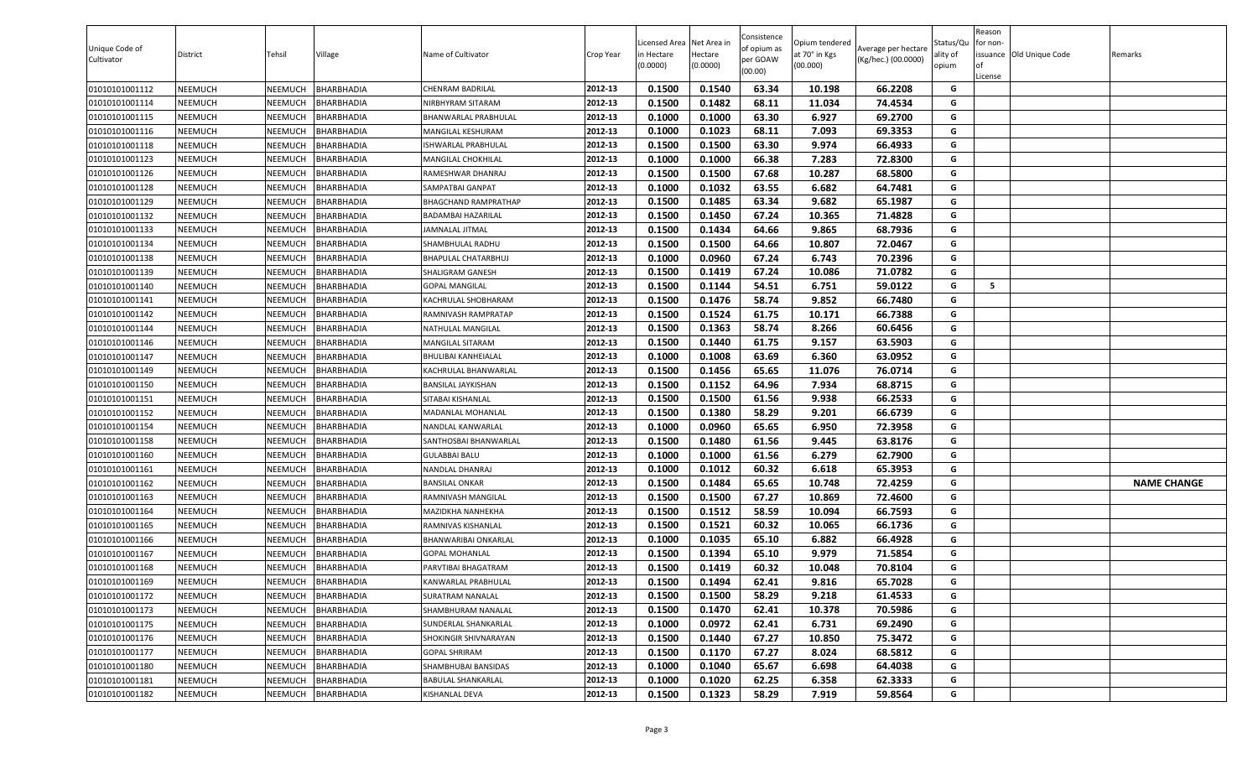| Unique Code of<br>Cultivator | District       | Tehsil         | Village           | Name of Cultivator        | Crop Year | Licensed Area Net Area in<br>in Hectare<br>(0.0000) | Hectare<br>(0.0000) | Consistence<br>of opium as<br>per GOAW<br>(00.00) | Opium tendered<br>at 70° in Kgs<br>(00.000) | Average per hectare<br>(Kg/hec.) (00.0000) | Status/Qu<br>ality of<br>opium | Reason<br>for non-<br>l of<br>License | issuance Old Unique Code | Remarks            |
|------------------------------|----------------|----------------|-------------------|---------------------------|-----------|-----------------------------------------------------|---------------------|---------------------------------------------------|---------------------------------------------|--------------------------------------------|--------------------------------|---------------------------------------|--------------------------|--------------------|
| 01010101001112               | <b>NEEMUCH</b> | NEEMUCH        | BHARBHADIA        | CHENRAM BADRILAL          | 2012-13   | 0.1500                                              | 0.1540              | 63.34                                             | 10.198                                      | 66.2208                                    | G                              |                                       |                          |                    |
| 01010101001114               | NEEMUCH        | NEEMUCH        | BHARBHADIA        | NIRBHYRAM SITARAM         | 2012-13   | 0.1500                                              | 0.1482              | 68.11                                             | 11.034                                      | 74.4534                                    | G                              |                                       |                          |                    |
| 01010101001115               | NEEMUCH        | NEEMUCH        | BHARBHADIA        | BHANWARLAL PRABHULAL      | 2012-13   | 0.1000                                              | 0.1000              | 63.30                                             | 6.927                                       | 69.2700                                    | G                              |                                       |                          |                    |
| 01010101001116               | NEEMUCH        | NEEMUCH        | BHARBHADIA        | MANGILAL KESHURAM         | 2012-13   | 0.1000                                              | 0.1023              | 68.11                                             | 7.093                                       | 69.3353                                    | G                              |                                       |                          |                    |
| 01010101001118               | <b>NEEMUCH</b> | NEEMUCH        | BHARBHADIA        | ISHWARLAL PRABHULAL       | 2012-13   | 0.1500                                              | 0.1500              | 63.30                                             | 9.974                                       | 66.4933                                    | G                              |                                       |                          |                    |
| 01010101001123               | <b>NEEMUCH</b> | <b>NEEMUCH</b> | BHARBHADIA        | MANGILAL CHOKHILAL        | 2012-13   | 0.1000                                              | 0.1000              | 66.38                                             | 7.283                                       | 72.8300                                    | G                              |                                       |                          |                    |
| 01010101001126               | <b>NEEMUCH</b> | NEEMUCH        | BHARBHADIA        | RAMESHWAR DHANRAJ         | 2012-13   | 0.1500                                              | 0.1500              | 67.68                                             | 10.287                                      | 68.5800                                    | G                              |                                       |                          |                    |
| 01010101001128               | <b>NEEMUCH</b> | NEEMUCH        | BHARBHADIA        | SAMPATBAI GANPAT          | 2012-13   | 0.1000                                              | 0.1032              | 63.55                                             | 6.682                                       | 64.7481                                    | G                              |                                       |                          |                    |
| 01010101001129               | <b>NEEMUCH</b> | NEEMUCH        | BHARBHADIA        | BHAGCHAND RAMPRATHAP      | 2012-13   | 0.1500                                              | 0.1485              | 63.34                                             | 9.682                                       | 65.1987                                    | G                              |                                       |                          |                    |
| 01010101001132               | <b>NEEMUCH</b> | NEEMUCH        | BHARBHADIA        | BADAMBAI HAZARILAL        | 2012-13   | 0.1500                                              | 0.1450              | 67.24                                             | 10.365                                      | 71.4828                                    | G                              |                                       |                          |                    |
| 01010101001133               | <b>NEEMUCH</b> | NEEMUCH        | BHARBHADIA        | JAMNALAL JITMAL           | 2012-13   | 0.1500                                              | 0.1434              | 64.66                                             | 9.865                                       | 68.7936                                    | G                              |                                       |                          |                    |
| 01010101001134               | <b>NEEMUCH</b> | NEEMUCH        | BHARBHADIA        | SHAMBHULAL RADHU          | 2012-13   | 0.1500                                              | 0.1500              | 64.66                                             | 10.807                                      | 72.0467                                    | G                              |                                       |                          |                    |
| 01010101001138               | <b>NEEMUCH</b> | NEEMUCH        | BHARBHADIA        | BHAPULAL CHATARBHUJ       | 2012-13   | 0.1000                                              | 0.0960              | 67.24                                             | 6.743                                       | 70.2396                                    | G                              |                                       |                          |                    |
| 01010101001139               | <b>NEEMUCH</b> | NEEMUCH        | BHARBHADIA        | SHALIGRAM GANESH          | 2012-13   | 0.1500                                              | 0.1419              | 67.24                                             | 10.086                                      | 71.0782                                    | G                              |                                       |                          |                    |
| 01010101001140               | <b>NEEMUCH</b> | NEEMUCH        | BHARBHADIA        | <b>GOPAL MANGILAL</b>     | 2012-13   | 0.1500                                              | 0.1144              | 54.51                                             | 6.751                                       | 59.0122                                    | G                              | 5                                     |                          |                    |
| 01010101001141               | <b>NEEMUCH</b> | NEEMUCH        | BHARBHADIA        | KACHRULAL SHOBHARAM       | 2012-13   | 0.1500                                              | 0.1476              | 58.74                                             | 9.852                                       | 66.7480                                    | G                              |                                       |                          |                    |
| 01010101001142               | <b>NEEMUCH</b> | NEEMUCH        | BHARBHADIA        | RAMNIVASH RAMPRATAP       | 2012-13   | 0.1500                                              | 0.1524              | 61.75                                             | 10.171                                      | 66.7388                                    | G                              |                                       |                          |                    |
| 01010101001144               | <b>NEEMUCH</b> | NEEMUCH        | BHARBHADIA        | NATHULAL MANGILAL         | 2012-13   | 0.1500                                              | 0.1363              | 58.74                                             | 8.266                                       | 60.6456                                    | G                              |                                       |                          |                    |
| 01010101001146               | <b>NEEMUCH</b> | NEEMUCH        | <b>BHARBHADIA</b> | MANGILAL SITARAM          | 2012-13   | 0.1500                                              | 0.1440              | 61.75                                             | 9.157                                       | 63.5903                                    | G                              |                                       |                          |                    |
| 01010101001147               | <b>NEEMUCH</b> | NEEMUCH        | BHARBHADIA        | BHULIBAI KANHEIALAL       | 2012-13   | 0.1000                                              | 0.1008              | 63.69                                             | 6.360                                       | 63.0952                                    | G                              |                                       |                          |                    |
| 01010101001149               | NEEMUCH        | NEEMUCH        | BHARBHADIA        | KACHRULAL BHANWARLAL      | 2012-13   | 0.1500                                              | 0.1456              | 65.65                                             | 11.076                                      | 76.0714                                    | G                              |                                       |                          |                    |
| 01010101001150               | <b>NEEMUCH</b> | NEEMUCH        | BHARBHADIA        | BANSILAL JAYKISHAN        | 2012-13   | 0.1500                                              | 0.1152              | 64.96                                             | 7.934                                       | 68.8715                                    | G                              |                                       |                          |                    |
| 01010101001151               | <b>NEEMUCH</b> | NEEMUCH        | BHARBHADIA        | SITABAI KISHANLAL         | 2012-13   | 0.1500                                              | 0.1500              | 61.56                                             | 9.938                                       | 66.2533                                    | G                              |                                       |                          |                    |
| 01010101001152               | <b>NEEMUCH</b> | NEEMUCH        | BHARBHADIA        | MADANLAL MOHANLAL         | 2012-13   | 0.1500                                              | 0.1380              | 58.29                                             | 9.201                                       | 66.6739                                    | G                              |                                       |                          |                    |
| 01010101001154               | <b>NEEMUCH</b> | NEEMUCH        | BHARBHADIA        | NANDLAL KANWARLAL         | 2012-13   | 0.1000                                              | 0.0960              | 65.65                                             | 6.950                                       | 72.3958                                    | G                              |                                       |                          |                    |
| 01010101001158               | <b>NEEMUCH</b> | NEEMUCH        | BHARBHADIA        | SANTHOSBAI BHANWARLAL     | 2012-13   | 0.1500                                              | 0.1480              | 61.56                                             | 9.445                                       | 63.8176                                    | G                              |                                       |                          |                    |
| 01010101001160               | NEEMUCH        | NEEMUCH        | BHARBHADIA        | <b>GULABBAI BALU</b>      | 2012-13   | 0.1000                                              | 0.1000              | 61.56                                             | 6.279                                       | 62.7900                                    | G                              |                                       |                          |                    |
| 01010101001161               | <b>NEEMUCH</b> | NEEMUCH        | BHARBHADIA        | NANDLAL DHANRAJ           | 2012-13   | 0.1000                                              | 0.1012              | 60.32                                             | 6.618                                       | 65.3953                                    | G                              |                                       |                          |                    |
| 01010101001162               | <b>NEEMUCH</b> | NEEMUCH        | BHARBHADIA        | BANSILAL ONKAR            | 2012-13   | 0.1500                                              | 0.1484              | 65.65                                             | 10.748                                      | 72.4259                                    | G                              |                                       |                          | <b>NAME CHANGE</b> |
| 01010101001163               | NEEMUCH        | NEEMUCH        | BHARBHADIA        | RAMNIVASH MANGILAL        | 2012-13   | 0.1500                                              | 0.1500              | 67.27                                             | 10.869                                      | 72.4600                                    | G                              |                                       |                          |                    |
| 01010101001164               | <b>NEEMUCH</b> | NEEMUCH        | BHARBHADIA        | MAZIDKHA NANHEKHA         | 2012-13   | 0.1500                                              | 0.1512              | 58.59                                             | 10.094                                      | 66.7593                                    | G                              |                                       |                          |                    |
| 01010101001165               | <b>NEEMUCH</b> | NEEMUCH        | BHARBHADIA        | RAMNIVAS KISHANLAL        | 2012-13   | 0.1500                                              | 0.1521              | 60.32                                             | 10.065                                      | 66.1736                                    | G                              |                                       |                          |                    |
| 01010101001166               | <b>NEEMUCH</b> | NEEMUCH        | BHARBHADIA        | BHANWARIBAI ONKARLAL      | 2012-13   | 0.1000                                              | 0.1035              | 65.10                                             | 6.882                                       | 66.4928                                    | G                              |                                       |                          |                    |
| 01010101001167               | <b>NEEMUCH</b> | NEEMUCH        | BHARBHADIA        | GOPAL MOHANLAL            | 2012-13   | 0.1500                                              | 0.1394              | 65.10                                             | 9.979                                       | 71.5854                                    | G                              |                                       |                          |                    |
| 01010101001168               | <b>NEEMUCH</b> | NEEMUCH        | BHARBHADIA        | PARVTIBAI BHAGATRAM       | 2012-13   | 0.1500                                              | 0.1419              | 60.32                                             | 10.048                                      | 70.8104                                    | G                              |                                       |                          |                    |
| 01010101001169               | <b>NEEMUCH</b> | <b>NEEMUCH</b> | <b>BHARBHADIA</b> | KANWARLAL PRABHULAL       | 2012-13   | 0.1500                                              | 0.1494              | 62.41                                             | 9.816                                       | 65.7028                                    | G                              |                                       |                          |                    |
| 01010101001172               | <b>NEEMUCH</b> | NEEMUCH        | BHARBHADIA        | SURATRAM NANALAL          | 2012-13   | 0.1500                                              | 0.1500              | 58.29                                             | 9.218                                       | 61.4533                                    | G                              |                                       |                          |                    |
| 01010101001173               | NEEMUCH        | NEEMUCH        | BHARBHADIA        | SHAMBHURAM NANALAL        | 2012-13   | 0.1500                                              | 0.1470              | 62.41                                             | 10.378                                      | 70.5986                                    | G                              |                                       |                          |                    |
| 01010101001175               | <b>NEEMUCH</b> | NEEMUCH        | <b>BHARBHADIA</b> | SUNDERLAL SHANKARLAL      | 2012-13   | 0.1000                                              | 0.0972              | 62.41                                             | 6.731                                       | 69.2490                                    | G                              |                                       |                          |                    |
| 01010101001176               | <b>NEEMUCH</b> | NEEMUCH        | <b>BHARBHADIA</b> | SHOKINGIR SHIVNARAYAN     | 2012-13   | 0.1500                                              | 0.1440              | 67.27                                             | 10.850                                      | 75.3472                                    | G                              |                                       |                          |                    |
| 01010101001177               | <b>NEEMUCH</b> | NEEMUCH        | <b>BHARBHADIA</b> | <b>GOPAL SHRIRAM</b>      | 2012-13   | 0.1500                                              | 0.1170              | 67.27                                             | 8.024                                       | 68.5812                                    | G                              |                                       |                          |                    |
| 01010101001180               | <b>NEEMUCH</b> | NEEMUCH        | BHARBHADIA        | SHAMBHUBAI BANSIDAS       | 2012-13   | 0.1000                                              | 0.1040              | 65.67                                             | 6.698                                       | 64.4038                                    | G                              |                                       |                          |                    |
| 01010101001181               | <b>NEEMUCH</b> | NEEMUCH        | BHARBHADIA        | <b>BABULAL SHANKARLAL</b> | 2012-13   | 0.1000                                              | 0.1020              | 62.25                                             | 6.358                                       | 62.3333                                    | G                              |                                       |                          |                    |
| 01010101001182               | <b>NEEMUCH</b> | <b>NEEMUCH</b> | <b>BHARBHADIA</b> | KISHANLAL DEVA            | 2012-13   | 0.1500                                              | 0.1323              | 58.29                                             | 7.919                                       | 59.8564                                    | G                              |                                       |                          |                    |
|                              |                |                |                   |                           |           |                                                     |                     |                                                   |                                             |                                            |                                |                                       |                          |                    |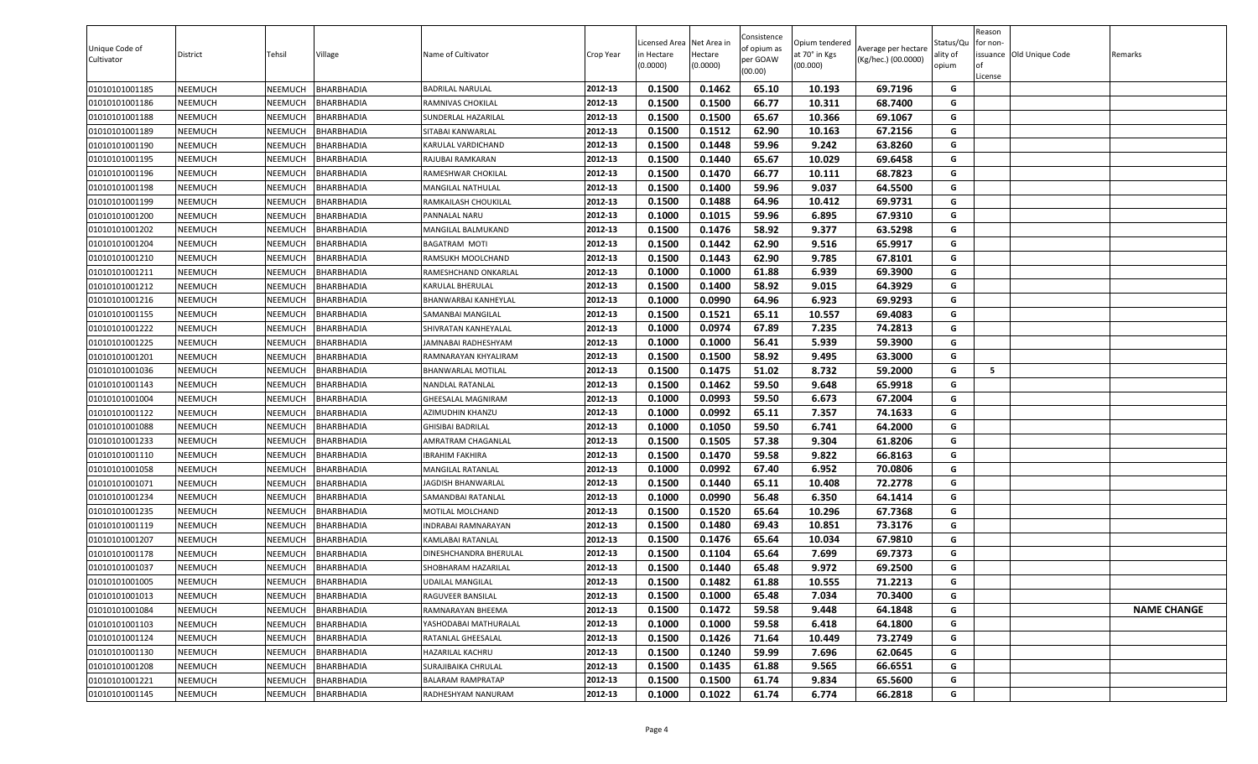| Unique Code of<br>Cultivator | District       | Tehsil         | Village           | Name of Cultivator       | Crop Year | Licensed Area Net Area in<br>in Hectare<br>(0.0000) | Hectare<br>(0.0000) | Consistence<br>of opium as<br>per GOAW<br>(00.00) | Opium tendered<br>at 70° in Kgs<br>(00.000) | Average per hectare<br>(Kg/hec.) (00.0000) | Status/Qu<br>ality of<br>opium | Reason<br>for non-<br>l of<br>License | issuance Old Unique Code | Remarks            |
|------------------------------|----------------|----------------|-------------------|--------------------------|-----------|-----------------------------------------------------|---------------------|---------------------------------------------------|---------------------------------------------|--------------------------------------------|--------------------------------|---------------------------------------|--------------------------|--------------------|
| 01010101001185               | <b>NEEMUCH</b> | NEEMUCH        | BHARBHADIA        | <b>BADRILAL NARULAL</b>  | 2012-13   | 0.1500                                              | 0.1462              | 65.10                                             | 10.193                                      | 69.7196                                    | G                              |                                       |                          |                    |
| 01010101001186               | NEEMUCH        | NEEMUCH        | BHARBHADIA        | RAMNIVAS CHOKILAL        | 2012-13   | 0.1500                                              | 0.1500              | 66.77                                             | 10.311                                      | 68.7400                                    | G                              |                                       |                          |                    |
| 01010101001188               | NEEMUCH        | NEEMUCH        | BHARBHADIA        | SUNDERLAL HAZARILAL      | 2012-13   | 0.1500                                              | 0.1500              | 65.67                                             | 10.366                                      | 69.1067                                    | G                              |                                       |                          |                    |
| 01010101001189               | NEEMUCH        | NEEMUCH        | BHARBHADIA        | SITABAI KANWARLAL        | 2012-13   | 0.1500                                              | 0.1512              | 62.90                                             | 10.163                                      | 67.2156                                    | G                              |                                       |                          |                    |
| 01010101001190               | <b>NEEMUCH</b> | NEEMUCH        | BHARBHADIA        | KARULAL VARDICHAND       | 2012-13   | 0.1500                                              | 0.1448              | 59.96                                             | 9.242                                       | 63.8260                                    | G                              |                                       |                          |                    |
| 01010101001195               | <b>NEEMUCH</b> | <b>NEEMUCH</b> | BHARBHADIA        | RAJUBAI RAMKARAN         | 2012-13   | 0.1500                                              | 0.1440              | 65.67                                             | 10.029                                      | 69.6458                                    | G                              |                                       |                          |                    |
| 01010101001196               | <b>NEEMUCH</b> | NEEMUCH        | <b>BHARBHADIA</b> | RAMESHWAR CHOKILAL       | 2012-13   | 0.1500                                              | 0.1470              | 66.77                                             | 10.111                                      | 68.7823                                    | G                              |                                       |                          |                    |
| 01010101001198               | <b>NEEMUCH</b> | NEEMUCH        | BHARBHADIA        | MANGILAL NATHULAL        | 2012-13   | 0.1500                                              | 0.1400              | 59.96                                             | 9.037                                       | 64.5500                                    | G                              |                                       |                          |                    |
| 01010101001199               | <b>NEEMUCH</b> | NEEMUCH        | BHARBHADIA        | RAMKAILASH CHOUKILAL     | 2012-13   | 0.1500                                              | 0.1488              | 64.96                                             | 10.412                                      | 69.9731                                    | G                              |                                       |                          |                    |
| 01010101001200               | <b>NEEMUCH</b> | NEEMUCH        | BHARBHADIA        | PANNALAL NARU            | 2012-13   | 0.1000                                              | 0.1015              | 59.96                                             | 6.895                                       | 67.9310                                    | G                              |                                       |                          |                    |
| 01010101001202               | <b>NEEMUCH</b> | NEEMUCH        | BHARBHADIA        | MANGILAL BALMUKAND       | 2012-13   | 0.1500                                              | 0.1476              | 58.92                                             | 9.377                                       | 63.5298                                    | G                              |                                       |                          |                    |
| 01010101001204               | <b>NEEMUCH</b> | NEEMUCH        | BHARBHADIA        | BAGATRAM MOTI            | 2012-13   | 0.1500                                              | 0.1442              | 62.90                                             | 9.516                                       | 65.9917                                    | G                              |                                       |                          |                    |
| 01010101001210               | <b>NEEMUCH</b> | NEEMUCH        | BHARBHADIA        | RAMSUKH MOOLCHAND        | 2012-13   | 0.1500                                              | 0.1443              | 62.90                                             | 9.785                                       | 67.8101                                    | G                              |                                       |                          |                    |
| 01010101001211               | <b>NEEMUCH</b> | NEEMUCH        | BHARBHADIA        | RAMESHCHAND ONKARLAL     | 2012-13   | 0.1000                                              | 0.1000              | 61.88                                             | 6.939                                       | 69.3900                                    | G                              |                                       |                          |                    |
| 01010101001212               | <b>NEEMUCH</b> | NEEMUCH        | BHARBHADIA        | KARULAL BHERULAL         | 2012-13   | 0.1500                                              | 0.1400              | 58.92                                             | 9.015                                       | 64.3929                                    | G                              |                                       |                          |                    |
| 01010101001216               | <b>NEEMUCH</b> | NEEMUCH        | BHARBHADIA        | BHANWARBAI KANHEYLAL     | 2012-13   | 0.1000                                              | 0.0990              | 64.96                                             | 6.923                                       | 69.9293                                    | G                              |                                       |                          |                    |
| 01010101001155               | <b>NEEMUCH</b> | NEEMUCH        | BHARBHADIA        | SAMANBAI MANGILAL        | 2012-13   | 0.1500                                              | 0.1521              | 65.11                                             | 10.557                                      | 69.4083                                    | G                              |                                       |                          |                    |
| 01010101001222               | <b>NEEMUCH</b> | NEEMUCH        | BHARBHADIA        | SHIVRATAN KANHEYALAL     | 2012-13   | 0.1000                                              | 0.0974              | 67.89                                             | 7.235                                       | 74.2813                                    | G                              |                                       |                          |                    |
| 01010101001225               | NEEMUCH        | NEEMUCH        | <b>BHARBHADIA</b> | JAMNABAI RADHESHYAM      | 2012-13   | 0.1000                                              | 0.1000              | 56.41                                             | 5.939                                       | 59.3900                                    | G                              |                                       |                          |                    |
| 01010101001201               | NEEMUCH        | NEEMUCH        | BHARBHADIA        | RAMNARAYAN KHYALIRAM     | 2012-13   | 0.1500                                              | 0.1500              | 58.92                                             | 9.495                                       | 63.3000                                    | G                              |                                       |                          |                    |
| 01010101001036               | NEEMUCH        | NEEMUCH        | BHARBHADIA        | BHANWARLAL MOTILAL       | 2012-13   | 0.1500                                              | 0.1475              | 51.02                                             | 8.732                                       | 59.2000                                    | G                              | 5                                     |                          |                    |
| 01010101001143               | <b>NEEMUCH</b> | NEEMUCH        | BHARBHADIA        | NANDLAL RATANLAL         | 2012-13   | 0.1500                                              | 0.1462              | 59.50                                             | 9.648                                       | 65.9918                                    | G                              |                                       |                          |                    |
| 01010101001004               | <b>NEEMUCH</b> | NEEMUCH        | BHARBHADIA        | GHEESALAL MAGNIRAM       | 2012-13   | 0.1000                                              | 0.0993              | 59.50                                             | 6.673                                       | 67.2004                                    | G                              |                                       |                          |                    |
| 01010101001122               | <b>NEEMUCH</b> | NEEMUCH        | BHARBHADIA        | AZIMUDHIN KHANZU         | 2012-13   | 0.1000                                              | 0.0992              | 65.11                                             | 7.357                                       | 74.1633                                    | G                              |                                       |                          |                    |
| 01010101001088               | <b>NEEMUCH</b> | NEEMUCH        | BHARBHADIA        | GHISIBAI BADRILAL        | 2012-13   | 0.1000                                              | 0.1050              | 59.50                                             | 6.741                                       | 64.2000                                    | G                              |                                       |                          |                    |
| 01010101001233               | <b>NEEMUCH</b> | NEEMUCH        | BHARBHADIA        | AMRATRAM CHAGANLAL       | 2012-13   | 0.1500                                              | 0.1505              | 57.38                                             | 9.304                                       | 61.8206                                    | G                              |                                       |                          |                    |
| 01010101001110               | NEEMUCH        | NEEMUCH        | BHARBHADIA        | <b>BRAHIM FAKHIRA</b>    | 2012-13   | 0.1500                                              | 0.1470              | 59.58                                             | 9.822                                       | 66.8163                                    | G                              |                                       |                          |                    |
| 01010101001058               | <b>NEEMUCH</b> | NEEMUCH        | BHARBHADIA        | MANGILAL RATANLAL        | 2012-13   | 0.1000                                              | 0.0992              | 67.40                                             | 6.952                                       | 70.0806                                    | G                              |                                       |                          |                    |
| 01010101001071               | <b>NEEMUCH</b> | NEEMUCH        | BHARBHADIA        | JAGDISH BHANWARLAL       | 2012-13   | 0.1500                                              | 0.1440              | 65.11                                             | 10.408                                      | 72.2778                                    | G                              |                                       |                          |                    |
| 01010101001234               | NEEMUCH        | NEEMUCH        | BHARBHADIA        | SAMANDBAI RATANLAL       | 2012-13   | 0.1000                                              | 0.0990              | 56.48                                             | 6.350                                       | 64.1414                                    | G                              |                                       |                          |                    |
| 01010101001235               | <b>NEEMUCH</b> | NEEMUCH        | BHARBHADIA        | MOTILAL MOLCHAND         | 2012-13   | 0.1500                                              | 0.1520              | 65.64                                             | 10.296                                      | 67.7368                                    | G                              |                                       |                          |                    |
| 01010101001119               | <b>NEEMUCH</b> | NEEMUCH        | BHARBHADIA        | INDRABAI RAMNARAYAN      | 2012-13   | 0.1500                                              | 0.1480              | 69.43                                             | 10.851                                      | 73.3176                                    | G                              |                                       |                          |                    |
| 01010101001207               | <b>NEEMUCH</b> | NEEMUCH        | BHARBHADIA        | KAMLABAI RATANLAL        | 2012-13   | 0.1500                                              | 0.1476              | 65.64                                             | 10.034                                      | 67.9810                                    | G                              |                                       |                          |                    |
| 01010101001178               | <b>NEEMUCH</b> | NEEMUCH        | BHARBHADIA        | DINESHCHANDRA BHERULAL   | 2012-13   | 0.1500                                              | 0.1104              | 65.64                                             | 7.699                                       | 69.7373                                    | G                              |                                       |                          |                    |
| 01010101001037               | <b>NEEMUCH</b> | NEEMUCH        | BHARBHADIA        | SHOBHARAM HAZARILAL      | 2012-13   | 0.1500                                              | 0.1440              | 65.48                                             | 9.972                                       | 69.2500                                    | G                              |                                       |                          |                    |
| 01010101001005               | <b>NEEMUCH</b> | <b>NEEMUCH</b> | <b>BHARBHADIA</b> | <b>UDAILAL MANGILAL</b>  | 2012-13   | 0.1500                                              | 0.1482              | 61.88                                             | 10.555                                      | 71.2213                                    | G                              |                                       |                          |                    |
| 01010101001013               | <b>NEEMUCH</b> | NEEMUCH        | BHARBHADIA        | RAGUVEER BANSILAL        | 2012-13   | 0.1500                                              | 0.1000              | 65.48                                             | 7.034                                       | 70.3400                                    | G                              |                                       |                          |                    |
| 01010101001084               | NEEMUCH        | NEEMUCH        | BHARBHADIA        | RAMNARAYAN BHEEMA        | 2012-13   | 0.1500                                              | 0.1472              | 59.58                                             | 9.448                                       | 64.1848                                    | G                              |                                       |                          | <b>NAME CHANGE</b> |
| 01010101001103               | <b>NEEMUCH</b> | NEEMUCH        | <b>BHARBHADIA</b> | YASHODABAI MATHURALAL    | 2012-13   | 0.1000                                              | 0.1000              | 59.58                                             | 6.418                                       | 64.1800                                    | G                              |                                       |                          |                    |
| 01010101001124               | <b>NEEMUCH</b> | NEEMUCH        | <b>BHARBHADIA</b> | RATANLAL GHEESALAL       | 2012-13   | 0.1500                                              | 0.1426              | 71.64                                             | 10.449                                      | 73.2749                                    | G                              |                                       |                          |                    |
| 01010101001130               | <b>NEEMUCH</b> | NEEMUCH        | <b>BHARBHADIA</b> | HAZARILAL KACHRU         | 2012-13   | 0.1500                                              | 0.1240              | 59.99                                             | 7.696                                       | 62.0645                                    | G                              |                                       |                          |                    |
| 01010101001208               | <b>NEEMUCH</b> | NEEMUCH        | BHARBHADIA        | SURAJIBAIKA CHRULAL      | 2012-13   | 0.1500                                              | 0.1435              | 61.88                                             | 9.565                                       | 66.6551                                    | G                              |                                       |                          |                    |
| 01010101001221               | <b>NEEMUCH</b> | NEEMUCH        | BHARBHADIA        | <b>BALARAM RAMPRATAP</b> | 2012-13   | 0.1500                                              | 0.1500              | 61.74                                             | 9.834                                       | 65.5600                                    | G                              |                                       |                          |                    |
| 01010101001145               | <b>NEEMUCH</b> | <b>NEEMUCH</b> | <b>BHARBHADIA</b> | RADHESHYAM NANURAM       | 2012-13   | 0.1000                                              | 0.1022              | 61.74                                             | 6.774                                       | 66.2818                                    | G                              |                                       |                          |                    |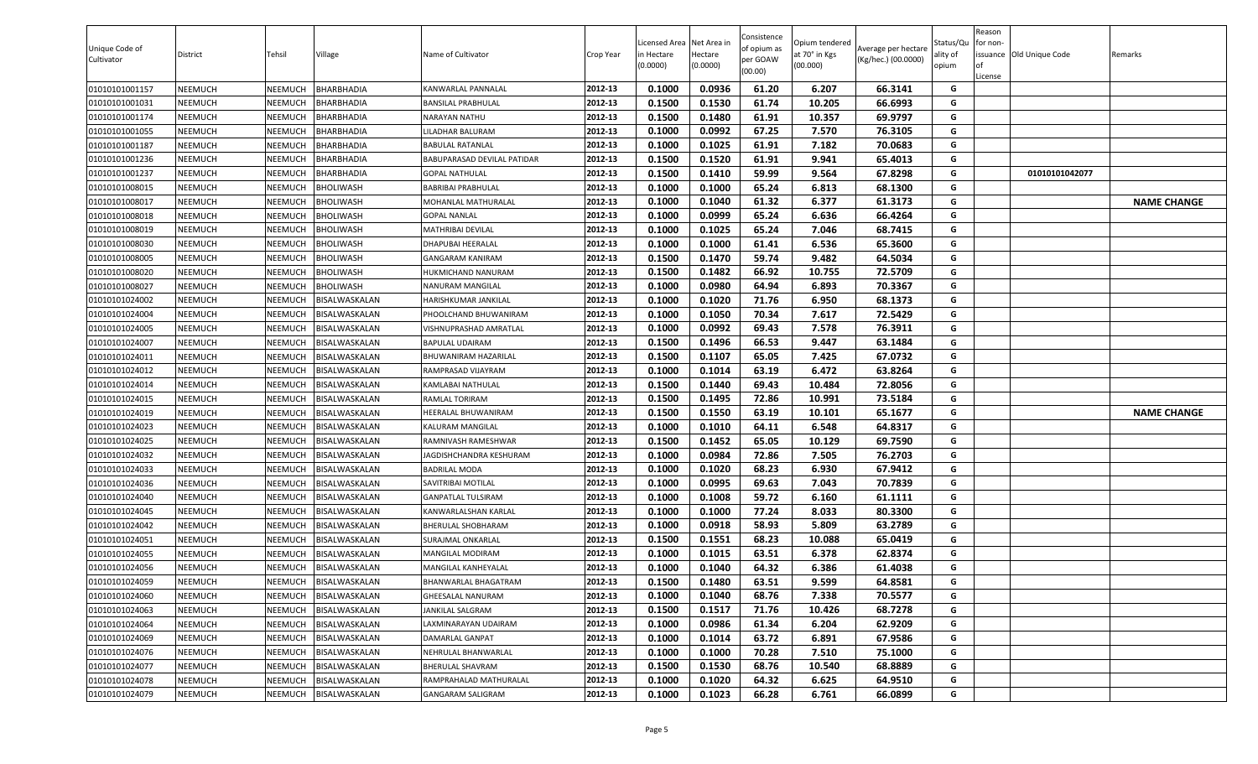| Unique Code of<br>Cultivator | District | Tehsil         | Village              | Name of Cultivator          | Crop Year | icensed Area.<br>in Hectare<br>(0.0000) | Net Area in<br>Hectare<br>(0.0000) | Consistence<br>of opium as<br>per GOAW<br>(00.00) | Opium tendered<br>at 70° in Kgs<br>(00.000) | Average per hectare<br>(Kg/hec.) (00.0000) | Status/Qu<br>ality of<br>opium | Reason<br>for non-<br><b>of</b><br>License | issuance Old Unique Code | Remarks            |
|------------------------------|----------|----------------|----------------------|-----------------------------|-----------|-----------------------------------------|------------------------------------|---------------------------------------------------|---------------------------------------------|--------------------------------------------|--------------------------------|--------------------------------------------|--------------------------|--------------------|
| 01010101001157               | NEEMUCH  | NEEMUCH        | <b>BHARBHADIA</b>    | KANWARLAL PANNALAL          | 2012-13   | 0.1000                                  | 0.0936                             | 61.20                                             | 6.207                                       | 66.3141                                    | G                              |                                            |                          |                    |
| 01010101001031               | NEEMUCH  | NEEMUCH        | <b>BHARBHADIA</b>    | BANSILAL PRABHULAL          | 2012-13   | 0.1500                                  | 0.1530                             | 61.74                                             | 10.205                                      | 66.6993                                    | G                              |                                            |                          |                    |
| 01010101001174               | NEEMUCH  | NEEMUCH        | <b>BHARBHADIA</b>    | NARAYAN NATHU               | 2012-13   | 0.1500                                  | 0.1480                             | 61.91                                             | 10.357                                      | 69.9797                                    | G                              |                                            |                          |                    |
| 01010101001055               | NEEMUCH  | <b>NEEMUCH</b> | 3HARBHADIA           | ILADHAR BALURAM.            | 2012-13   | 0.1000                                  | 0.0992                             | 67.25                                             | 7.570                                       | 76.3105                                    | G                              |                                            |                          |                    |
| 01010101001187               | NEEMUCH  | NEEMUCH        | <b>BHARBHADIA</b>    | BABULAL RATANLAL            | 2012-13   | 0.1000                                  | 0.1025                             | 61.91                                             | 7.182                                       | 70.0683                                    | G                              |                                            |                          |                    |
| 01010101001236               | NEEMUCH  | NEEMUCH        | <b>BHARBHADIA</b>    | BABUPARASAD DEVILAL PATIDAR | 2012-13   | 0.1500                                  | 0.1520                             | 61.91                                             | 9.941                                       | 65.4013                                    | G                              |                                            |                          |                    |
| 01010101001237               | NEEMUCH  | NEEMUCH        | BHARBHADIA           | <b>GOPAL NATHULAL</b>       | 2012-13   | 0.1500                                  | 0.1410                             | 59.99                                             | 9.564                                       | 67.8298                                    | G                              |                                            | 01010101042077           |                    |
| 01010101008015               | NEEMUCH  | NEEMUCH        | BHOLIWASH            | BABRIBAI PRABHULAL          | 2012-13   | 0.1000                                  | 0.1000                             | 65.24                                             | 6.813                                       | 68.1300                                    | G                              |                                            |                          |                    |
| 01010101008017               | NEEMUCH  | NEEMUCH        | <b>BHOLIWASH</b>     | MOHANLAL MATHURALAL         | 2012-13   | 0.1000                                  | 0.1040                             | 61.32                                             | 6.377                                       | 61.3173                                    | G                              |                                            |                          | <b>NAME CHANGE</b> |
| 01010101008018               | NEEMUCH  | NEEMUCH        | 3HOLIWASH            | <b>GOPAL NANLAL</b>         | 2012-13   | 0.1000                                  | 0.0999                             | 65.24                                             | 6.636                                       | 66.4264                                    | G                              |                                            |                          |                    |
| 01010101008019               | NEEMUCH  | NEEMUCH        | BHOLIWASH            | MATHRIBAI DEVILAL           | 2012-13   | 0.1000                                  | 0.1025                             | 65.24                                             | 7.046                                       | 68.7415                                    | G                              |                                            |                          |                    |
| 01010101008030               | NEEMUCH  | NEEMUCH        | BHOLIWASH            | DHAPUBAI HEERALAL           | 2012-13   | 0.1000                                  | 0.1000                             | 61.41                                             | 6.536                                       | 65.3600                                    | G                              |                                            |                          |                    |
| 01010101008005               | NEEMUCH  | NEEMUCH        | BHOLIWASH            | GANGARAM KANIRAM            | 2012-13   | 0.1500                                  | 0.1470                             | 59.74                                             | 9.482                                       | 64.5034                                    | G                              |                                            |                          |                    |
| 01010101008020               | NEEMUCH  | NEEMUCH        | BHOLIWASH            | HUKMICHAND NANURAM          | 2012-13   | 0.1500                                  | 0.1482                             | 66.92                                             | 10.755                                      | 72.5709                                    | G                              |                                            |                          |                    |
| 01010101008027               | NEEMUCH  | NEEMUCH        | BHOLIWASH            | NANURAM MANGILAL            | 2012-13   | 0.1000                                  | 0.0980                             | 64.94                                             | 6.893                                       | 70.3367                                    | G                              |                                            |                          |                    |
| 01010101024002               | NEEMUCH  | NEEMUCH        | BISALWASKALAN        | HARISHKUMAR JANKILAL        | 2012-13   | 0.1000                                  | 0.1020                             | 71.76                                             | 6.950                                       | 68.1373                                    | G                              |                                            |                          |                    |
| 01010101024004               | NEEMUCH  | NEEMUCH        | <b>BISALWASKALAN</b> | PHOOLCHAND BHUWANIRAM       | 2012-13   | 0.1000                                  | 0.1050                             | 70.34                                             | 7.617                                       | 72.5429                                    | G                              |                                            |                          |                    |
| 01010101024005               | NEEMUCH  | NEEMUCH        | <b>BISALWASKALAN</b> | VISHNUPRASHAD AMRATLAL      | 2012-13   | 0.1000                                  | 0.0992                             | 69.43                                             | 7.578                                       | 76.3911                                    | G                              |                                            |                          |                    |
| 01010101024007               | NEEMUCH  | NEEMUCH        | <b>BISALWASKALAN</b> | BAPULAL UDAIRAM             | 2012-13   | 0.1500                                  | 0.1496                             | 66.53                                             | 9.447                                       | 63.1484                                    | G                              |                                            |                          |                    |
| 01010101024011               | NEEMUCH  | NEEMUCH        | 3ISALWASKALAN        | BHUWANIRAM HAZARILAL        | 2012-13   | 0.1500                                  | 0.1107                             | 65.05                                             | 7.425                                       | 67.0732                                    | G                              |                                            |                          |                    |
| 01010101024012               | NEEMUCH  | NEEMUCH        | 3ISALWASKALAN        | RAMPRASAD VIJAYRAM          | 2012-13   | 0.1000                                  | 0.1014                             | 63.19                                             | 6.472                                       | 63.8264                                    | G                              |                                            |                          |                    |
| 01010101024014               | NEEMUCH  | NEEMUCH        | BISALWASKALAN        | KAMLABAI NATHULAL           | 2012-13   | 0.1500                                  | 0.1440                             | 69.43                                             | 10.484                                      | 72.8056                                    | G                              |                                            |                          |                    |
| 01010101024015               | NEEMUCH  | NEEMUCH        | <b>BISALWASKALAN</b> | RAMLAL TORIRAM              | 2012-13   | 0.1500                                  | 0.1495                             | 72.86                                             | 10.991                                      | 73.5184                                    | G                              |                                            |                          |                    |
| 01010101024019               | NEEMUCH  | NEEMUCH        | <b>BISALWASKALAN</b> | HEERALAL BHUWANIRAM         | 2012-13   | 0.1500                                  | 0.1550                             | 63.19                                             | 10.101                                      | 65.1677                                    | G                              |                                            |                          | <b>NAME CHANGE</b> |
| 01010101024023               | NEEMUCH  | NEEMUCH        | 3ISALWASKALAN        | KALURAM MANGILAL            | 2012-13   | 0.1000                                  | 0.1010                             | 64.11                                             | 6.548                                       | 64.8317                                    | G                              |                                            |                          |                    |
| 01010101024025               | NEEMUCH  | NEEMUCH        | <b>BISALWASKALAN</b> | RAMNIVASH RAMESHWAR         | 2012-13   | 0.1500                                  | 0.1452                             | 65.05                                             | 10.129                                      | 69.7590                                    | G                              |                                            |                          |                    |
| 01010101024032               | NEEMUCH  | NEEMUCH        | <b>BISALWASKALAN</b> | AGDISHCHANDRA KESHURAM      | 2012-13   | 0.1000                                  | 0.0984                             | 72.86                                             | 7.505                                       | 76.2703                                    | G                              |                                            |                          |                    |
| 01010101024033               | NEEMUCH  | NEEMUCH        | 3ISALWASKALAN        | BADRILAL MODA               | 2012-13   | 0.1000                                  | 0.1020                             | 68.23                                             | 6.930                                       | 67.9412                                    | G                              |                                            |                          |                    |
| 01010101024036               | NEEMUCH  | NEEMUCH        | 3ISALWASKALAN        | SAVITRIBAI MOTILAL          | 2012-13   | 0.1000                                  | 0.0995                             | 69.63                                             | 7.043                                       | 70.7839                                    | G                              |                                            |                          |                    |
| 01010101024040               | NEEMUCH  | NEEMUCH        | BISALWASKALAN        | GANPATLAL TULSIRAM          | 2012-13   | 0.1000                                  | 0.1008                             | 59.72                                             | 6.160                                       | 61.1111                                    | G                              |                                            |                          |                    |
| 01010101024045               | NEEMUCH  | NEEMUCH        | BISALWASKALAN        | KANWARLALSHAN KARLAL        | 2012-13   | 0.1000                                  | 0.1000                             | 77.24                                             | 8.033                                       | 80.3300                                    | G                              |                                            |                          |                    |
| 01010101024042               | NEEMUCH  | NEEMUCH        | BISALWASKALAN        | BHERULAL SHOBHARAM          | 2012-13   | 0.1000                                  | 0.0918                             | 58.93                                             | 5.809                                       | 63.2789                                    | G                              |                                            |                          |                    |
| 01010101024051               | NEEMUCH  | NEEMUCH        | 3ISALWASKALAN        | SURAJMAL ONKARLAL           | 2012-13   | 0.1500                                  | 0.1551                             | 68.23                                             | 10.088                                      | 65.0419                                    | G                              |                                            |                          |                    |
| 01010101024055               | NEEMUCH  | NEEMUCH        | <b>BISALWASKALAN</b> | MANGILAL MODIRAM            | 2012-13   | 0.1000                                  | 0.1015                             | 63.51                                             | 6.378                                       | 62.8374                                    | G                              |                                            |                          |                    |
| 01010101024056               | NEEMUCH  | NEEMUCH        | BISALWASKALAN        | MANGILAL KANHEYALAL         | 2012-13   | 0.1000                                  | 0.1040                             | 64.32                                             | 6.386                                       | 61.4038                                    | G                              |                                            |                          |                    |
| 01010101024059               | NEEMUCH  | NEEMUCH        | BISALWASKALAN        | BHANWARLAL BHAGATRAM        | 2012-13   | 0.1500                                  | 0.1480                             | 63.51                                             | 9.599                                       | 64.8581                                    | G                              |                                            |                          |                    |
| 01010101024060               | NEEMUCH  | NEEMUCH        | BISALWASKALAN        | GHEESALAL NANURAM           | 2012-13   | 0.1000                                  | 0.1040                             | 68.76                                             | 7.338                                       | 70.5577                                    | G                              |                                            |                          |                    |
| 01010101024063               | NEEMUCH  | NEEMUCH        | BISALWASKALAN        | JANKILAL SALGRAM            | 2012-13   | 0.1500                                  | 0.1517                             | 71.76                                             | 10.426                                      | 68.7278                                    | G                              |                                            |                          |                    |
| 01010101024064               | NEEMUCH  | NEEMUCH        | BISALWASKALAN        | LAXMINARAYAN UDAIRAM        | 2012-13   | 0.1000                                  | 0.0986                             | 61.34                                             | 6.204                                       | 62.9209                                    | G                              |                                            |                          |                    |
| 01010101024069               | NEEMUCH  | NEEMUCH        | BISALWASKALAN        | DAMARLAL GANPAT             | 2012-13   | 0.1000                                  | 0.1014                             | 63.72                                             | 6.891                                       | 67.9586                                    | G                              |                                            |                          |                    |
| 01010101024076               | NEEMUCH  | NEEMUCH        | BISALWASKALAN        | NEHRULAL BHANWARLAL         | 2012-13   | 0.1000                                  | 0.1000                             | 70.28                                             | 7.510                                       | 75.1000                                    | G                              |                                            |                          |                    |
| 01010101024077               | NEEMUCH  | NEEMUCH        | BISALWASKALAN        | <b>BHERULAL SHAVRAM</b>     | 2012-13   | 0.1500                                  | 0.1530                             | 68.76                                             | 10.540                                      | 68.8889                                    | G                              |                                            |                          |                    |
| 01010101024078               | NEEMUCH  | NEEMUCH        | BISALWASKALAN        | RAMPRAHALAD MATHURALAL      | 2012-13   | 0.1000                                  | 0.1020                             | 64.32                                             | 6.625                                       | 64.9510                                    | G                              |                                            |                          |                    |
| 01010101024079               | NEEMUCH  | NEEMUCH        | BISALWASKALAN        | GANGARAM SALIGRAM           | 2012-13   | 0.1000                                  | 0.1023                             | 66.28                                             | 6.761                                       | 66.0899                                    | G                              |                                            |                          |                    |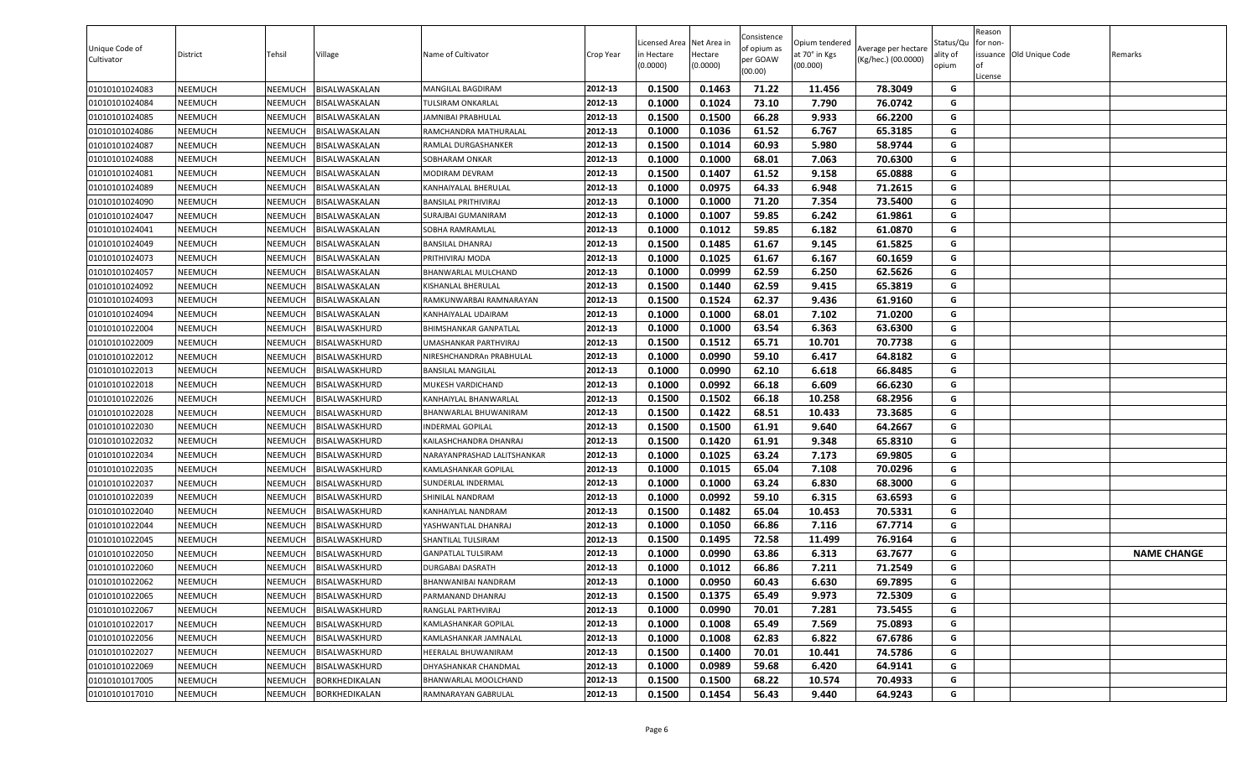| 0.1463<br>71.22<br>01010101024083<br><b>NEEMUCH</b><br>NEEMUCH<br>BISALWASKALAN<br>2012-13<br>0.1500<br>11.456<br>78.3049<br>G<br>MANGILAL BAGDIRAM<br>01010101024084<br>NEEMUCH<br>0.1000<br>0.1024<br>73.10<br>7.790<br>76.0742<br>G<br>NEEMUCH<br>BISALWASKALAN<br>2012-13<br>TULSIRAM ONKARLAL<br>0.1500<br>66.28<br>9.933<br>66.2200<br>01010101024085<br>NEEMUCH<br>NEEMUCH<br>BISALWASKALAN<br>2012-13<br>0.1500<br>G<br>JAMNIBAI PRABHULAL<br>0.1000<br>61.52<br>6.767<br>65.3185<br>2012-13<br>0.1036<br>G<br>01010101024086<br>NEEMUCH<br>NEEMUCH<br>BISALWASKALAN<br>RAMCHANDRA MATHURALAL<br>0.1500<br>0.1014<br>60.93<br>5.980<br>58.9744<br>01010101024087<br><b>NEEMUCH</b><br>NEEMUCH<br>2012-13<br>G<br>BISALWASKALAN<br>RAMLAL DURGASHANKER<br>2012-13<br>68.01<br>G<br>0.1000<br>0.1000<br>7.063<br>70.6300<br>01010101024088<br><b>NEEMUCH</b><br>NEEMUCH<br>BISALWASKALAN<br>SOBHARAM ONKAR<br>01010101024081<br><b>NEEMUCH</b><br>NEEMUCH<br>2012-13<br>0.1500<br>0.1407<br>61.52<br>9.158<br>65.0888<br>G<br>BISALWASKALAN<br>MODIRAM DEVRAM<br>0.0975<br>64.33<br>6.948<br>G<br>01010101024089<br><b>NEEMUCH</b><br>NEEMUCH<br>BISALWASKALAN<br>KANHAIYALAL BHERULAL<br>2012-13<br>0.1000<br>71.2615<br>2012-13<br>0.1000<br>0.1000<br>71.20<br>7.354<br>73.5400<br>G<br>01010101024090<br><b>NEEMUCH</b><br>NEEMUCH<br>BANSILAL PRITHIVIRAJ<br>BISALWASKALAN<br>01010101024047<br>0.1000<br>0.1007<br>59.85<br>6.242<br><b>NEEMUCH</b><br>NEEMUCH<br>BISALWASKALAN<br>2012-13<br>61.9861<br>G<br>SURAJBAI GUMANIRAM<br>01010101024041<br>2012-13<br>0.1000<br>0.1012<br>59.85<br>6.182<br>61.0870<br>NEEMUCH<br>NEEMUCH<br>BISALWASKALAN<br>G<br>SOBHA RAMRAMLAL<br>61.67<br>01010101024049<br><b>NEEMUCH</b><br>NEEMUCH<br>2012-13<br>0.1500<br>0.1485<br>9.145<br>61.5825<br>G<br>BISALWASKALAN<br>BANSILAL DHANRAJ<br>0.1000<br>0.1025<br>61.67<br>6.167<br>60.1659<br>01010101024073<br>NEEMUCH<br>2012-13<br>G<br><b>NEEMUCH</b><br>BISALWASKALAN<br>PRITHIVIRAJ MODA<br>0.0999<br>62.59<br>6.250<br>62.5626<br>01010101024057<br><b>NEEMUCH</b><br>NEEMUCH<br>BISALWASKALAN<br>2012-13<br>0.1000<br>G<br>BHANWARLAL MULCHAND<br>01010101024092<br><b>NEEMUCH</b><br>NEEMUCH<br>2012-13<br>0.1500<br>0.1440<br>62.59<br>9.415<br>65.3819<br>G<br>BISALWASKALAN<br>KISHANLAL BHERULAL<br>0.1500<br>0.1524<br>62.37<br>9.436<br>01010101024093<br><b>NEEMUCH</b><br>NEEMUCH<br>BISALWASKALAN<br>2012-13<br>61.9160<br>G<br>RAMKUNWARBAI RAMNARAYAN<br>0.1000<br>0.1000<br>68.01<br>7.102<br>71.0200<br>G<br>2012-13<br>01010101024094<br><b>NEEMUCH</b><br>NEEMUCH<br>KANHAIYALAL UDAIRAM<br>BISALWASKALAN<br>01010101022004<br>2012-13<br>0.1000<br>0.1000<br>63.54<br>6.363<br>63.6300<br>G<br><b>NEEMUCH</b><br>NEEMUCH<br>BISALWASKHURD<br>BHIMSHANKAR GANPATLAL<br>2012-13<br>G<br>01010101022009<br>NEEMUCH<br>0.1500<br>0.1512<br>65.71<br>10.701<br>70.7738<br>NEEMUCH<br>BISALWASKHURD<br>UMASHANKAR PARTHVIRAJ<br>2012-13<br>0.1000<br>0.0990<br>59.10<br>6.417<br>64.8182<br>G<br>01010101022012<br>NEEMUCH<br>NEEMUCH<br>BISALWASKHURD<br>NIRESHCHANDRAn PRABHULAL<br>0.1000<br>0.0990<br>62.10<br>01010101022013<br>NEEMUCH<br>6.618<br>66.8485<br>G<br>NEEMUCH<br>BISALWASKHURD<br>BANSILAL MANGILAL<br>2012-13<br>0.1000<br>0.0992<br>66.18<br>6.609<br>66.6230<br>01010101022018<br><b>NEEMUCH</b><br>NEEMUCH<br>BISALWASKHURD<br>2012-13<br>G<br>MUKESH VARDICHAND<br>0.1502<br>66.18<br>68.2956<br>01010101022026<br><b>NEEMUCH</b><br>NEEMUCH<br>2012-13<br>0.1500<br>10.258<br>G<br>BISALWASKHURD<br>KANHAIYLAL BHANWARLAL<br>0.1500<br>0.1422<br>68.51<br>10.433<br>73.3685<br>01010101022028<br><b>NEEMUCH</b><br>NEEMUCH<br>BISALWASKHURD<br>2012-13<br>G<br>BHANWARLAL BHUWANIRAM<br>0.1500<br>0.1500<br>61.91<br>9.640<br>64.2667<br>G<br>01010101022030<br><b>NEEMUCH</b><br>NEEMUCH<br>2012-13<br>BISALWASKHURD<br><b>INDERMAL GOPILAL</b><br>01010101022032<br>0.1500<br>0.1420<br>61.91<br>9.348<br>65.8310<br><b>NEEMUCH</b><br>NEEMUCH<br>BISALWASKHURD<br>2012-13<br>G<br>KAILASHCHANDRA DHANRAJ<br>01010101022034<br>0.1000<br>0.1025<br>63.24<br>7.173<br>69.9805<br>G<br>NEEMUCH<br>NEEMUCH<br>BISALWASKHURD<br>2012-13<br>NARAYANPRASHAD LALITSHANKAR<br>01010101022035<br>0.1015<br>65.04<br>7.108<br>70.0296<br><b>NEEMUCH</b><br>NEEMUCH<br>BISALWASKHURD<br>2012-13<br>0.1000<br>G<br>KAMLASHANKAR GOPILAL<br>G<br>01010101022037<br><b>NEEMUCH</b><br>NEEMUCH<br>SUNDERLAL INDERMAL<br>2012-13<br>0.1000<br>0.1000<br>63.24<br>6.830<br>68.3000<br>BISALWASKHURD<br>2012-13<br>0.1000<br>0.0992<br>59.10<br>6.315<br>63.6593<br>G<br>01010101022039<br>NEEMUCH<br>NEEMUCH<br>BISALWASKHURD<br>SHINILAL NANDRAM<br>65.04<br>G<br>2012-13<br>0.1482<br>10.453<br>70.5331<br>01010101022040<br><b>NEEMUCH</b><br>NEEMUCH<br>BISALWASKHURD<br>KANHAIYLAL NANDRAM<br>0.1500<br>01010101022044<br>2012-13<br>0.1000<br>0.1050<br>66.86<br>7.116<br>67.7714<br>G<br><b>NEEMUCH</b><br>NEEMUCH<br>BISALWASKHURD<br>YASHWANTLAL DHANRAJ<br>72.58<br>01010101022045<br><b>NEEMUCH</b><br>NEEMUCH<br>BISALWASKHURD<br>2012-13<br>0.1500<br>0.1495<br>11.499<br>76.9164<br>G<br>SHANTILAL TULSIRAM<br>0.0990<br>63.86<br>6.313<br>63.7677<br><b>NAME CHANGE</b><br>01010101022050<br><b>NEEMUCH</b><br>NEEMUCH<br>2012-13<br>0.1000<br>G<br>BISALWASKHURD<br>GANPATLAL TULSIRAM<br>0.1000<br>0.1012<br>66.86<br>7.211<br>71.2549<br>01010101022060<br><b>NEEMUCH</b><br>NEEMUCH<br>BISALWASKHURD<br>2012-13<br>G<br><b>DURGABAI DASRATH</b><br>01010101022062<br><b>NEEMUCH</b><br><b>NEEMUCH</b><br>BISALWASKHURD<br>2012-13<br>0.1000<br>0.0950<br>60.43<br>6.630<br>69.7895<br>G<br>BHANWANIBAI NANDRAM<br>2012-13<br>0.1375<br>01010101022065<br><b>NEEMUCH</b><br>NEEMUCH<br>BISALWASKHURD<br>0.1500<br>65.49<br>9.973<br>72.5309<br>G<br>PARMANAND DHANRAJ<br>2012-13<br>0.1000<br>0.0990<br>70.01<br>7.281<br>73.5455<br>G<br>01010101022067<br><b>NEEMUCH</b><br>NEEMUCH<br>BISALWASKHURD<br>RANGLAL PARTHVIRAJ<br>65.49<br>7.569<br>01010101022017<br>0.1000<br>0.1008<br>75.0893<br>G<br><b>NEEMUCH</b><br>NEEMUCH<br>BISALWASKHURD<br>KAMLASHANKAR GOPILAL<br>2012-13<br>62.83<br>01010101022056<br><b>NEEMUCH</b><br>NEEMUCH<br>BISALWASKHURD<br>2012-13<br>0.1000<br>0.1008<br>6.822<br>67.6786<br>G<br>KAMLASHANKAR JAMNALAL<br>G<br>01010101022027<br>2012-13<br>0.1400<br>70.01<br>10.441<br>74.5786<br><b>NEEMUCH</b><br>NEEMUCH<br>BISALWASKHURD<br>HEERALAL BHUWANIRAM<br>0.1500<br>2012-13<br>G<br>01010101022069<br>0.0989<br>59.68<br>6.420<br><b>NEEMUCH</b><br>NEEMUCH<br>BISALWASKHURD<br>DHYASHANKAR CHANDMAL<br>0.1000<br>64.9141<br>G<br>01010101017005<br>BORKHEDIKALAN<br>BHANWARLAL MOOLCHAND<br>2012-13<br>0.1500<br>0.1500<br>68.22<br>10.574<br>70.4933<br><b>NEEMUCH</b><br>NEEMUCH<br>2012-13<br>9.440<br>64.9243<br>G<br>01010101017010<br><b>NEEMUCH</b><br>NEEMUCH<br>BORKHEDIKALAN<br>0.1500<br>0.1454<br>56.43<br>RAMNARAYAN GABRULAL | Unique Code of<br>Cultivator | District | Tehsil | Village | Name of Cultivator | Crop Year | Licensed Area Net Area in<br>in Hectare<br>(0.0000) | Hectare<br>(0.0000) | Consistence<br>of opium as<br>per GOAW<br>(00.00) | Opium tendered<br>at 70° in Kgs<br>(00.000) | Average per hectare<br>(Kg/hec.) (00.0000) | Status/Qu<br>ality of<br>opium | Reason<br>for non-<br>l of<br>License | issuance <b>Old Unique Code</b> | Remarks |
|-----------------------------------------------------------------------------------------------------------------------------------------------------------------------------------------------------------------------------------------------------------------------------------------------------------------------------------------------------------------------------------------------------------------------------------------------------------------------------------------------------------------------------------------------------------------------------------------------------------------------------------------------------------------------------------------------------------------------------------------------------------------------------------------------------------------------------------------------------------------------------------------------------------------------------------------------------------------------------------------------------------------------------------------------------------------------------------------------------------------------------------------------------------------------------------------------------------------------------------------------------------------------------------------------------------------------------------------------------------------------------------------------------------------------------------------------------------------------------------------------------------------------------------------------------------------------------------------------------------------------------------------------------------------------------------------------------------------------------------------------------------------------------------------------------------------------------------------------------------------------------------------------------------------------------------------------------------------------------------------------------------------------------------------------------------------------------------------------------------------------------------------------------------------------------------------------------------------------------------------------------------------------------------------------------------------------------------------------------------------------------------------------------------------------------------------------------------------------------------------------------------------------------------------------------------------------------------------------------------------------------------------------------------------------------------------------------------------------------------------------------------------------------------------------------------------------------------------------------------------------------------------------------------------------------------------------------------------------------------------------------------------------------------------------------------------------------------------------------------------------------------------------------------------------------------------------------------------------------------------------------------------------------------------------------------------------------------------------------------------------------------------------------------------------------------------------------------------------------------------------------------------------------------------------------------------------------------------------------------------------------------------------------------------------------------------------------------------------------------------------------------------------------------------------------------------------------------------------------------------------------------------------------------------------------------------------------------------------------------------------------------------------------------------------------------------------------------------------------------------------------------------------------------------------------------------------------------------------------------------------------------------------------------------------------------------------------------------------------------------------------------------------------------------------------------------------------------------------------------------------------------------------------------------------------------------------------------------------------------------------------------------------------------------------------------------------------------------------------------------------------------------------------------------------------------------------------------------------------------------------------------------------------------------------------------------------------------------------------------------------------------------------------------------------------------------------------------------------------------------------------------------------------------------------------------------------------------------------------------------------------------------------------------------------------------------------------------------------------------------------------------------------------------------------------------------------------------------------------------------------------------------------------------------------------------------------------------------------------------------------------------------------------------------------------------------------------------------------------------------------------------------------------------------------------------------------------------------------------------------------------------------------------------------------------------------------------------------------------------------------------------------------------------------------------------------------------------------------------------------------------------------------------------------------------------------------------------------------------------------------------------------------------------------------------------------------------------------------------------------------------------------------------------------------------------------------------------------------------------------------------------------------------------------------------------------------------------------------------------------------------------------------------------------------------------------------------------------------------------------------------------------------------------------------------------------------------------------------------------------------------------------------------------------------------------------|------------------------------|----------|--------|---------|--------------------|-----------|-----------------------------------------------------|---------------------|---------------------------------------------------|---------------------------------------------|--------------------------------------------|--------------------------------|---------------------------------------|---------------------------------|---------|
|                                                                                                                                                                                                                                                                                                                                                                                                                                                                                                                                                                                                                                                                                                                                                                                                                                                                                                                                                                                                                                                                                                                                                                                                                                                                                                                                                                                                                                                                                                                                                                                                                                                                                                                                                                                                                                                                                                                                                                                                                                                                                                                                                                                                                                                                                                                                                                                                                                                                                                                                                                                                                                                                                                                                                                                                                                                                                                                                                                                                                                                                                                                                                                                                                                                                                                                                                                                                                                                                                                                                                                                                                                                                                                                                                                                                                                                                                                                                                                                                                                                                                                                                                                                                                                                                                                                                                                                                                                                                                                                                                                                                                                                                                                                                                                                                                                                                                                                                                                                                                                                                                                                                                                                                                                                                                                                                                                                                                                                                                                                                                                                                                                                                                                                                                                                                                                                                                                                                                                                                                                                                                                                                                                                                                                                                                                                                                                                                                                                                                                                                                                                                                                                                                                                                                                                                                                                                                                                                         |                              |          |        |         |                    |           |                                                     |                     |                                                   |                                             |                                            |                                |                                       |                                 |         |
|                                                                                                                                                                                                                                                                                                                                                                                                                                                                                                                                                                                                                                                                                                                                                                                                                                                                                                                                                                                                                                                                                                                                                                                                                                                                                                                                                                                                                                                                                                                                                                                                                                                                                                                                                                                                                                                                                                                                                                                                                                                                                                                                                                                                                                                                                                                                                                                                                                                                                                                                                                                                                                                                                                                                                                                                                                                                                                                                                                                                                                                                                                                                                                                                                                                                                                                                                                                                                                                                                                                                                                                                                                                                                                                                                                                                                                                                                                                                                                                                                                                                                                                                                                                                                                                                                                                                                                                                                                                                                                                                                                                                                                                                                                                                                                                                                                                                                                                                                                                                                                                                                                                                                                                                                                                                                                                                                                                                                                                                                                                                                                                                                                                                                                                                                                                                                                                                                                                                                                                                                                                                                                                                                                                                                                                                                                                                                                                                                                                                                                                                                                                                                                                                                                                                                                                                                                                                                                                                         |                              |          |        |         |                    |           |                                                     |                     |                                                   |                                             |                                            |                                |                                       |                                 |         |
|                                                                                                                                                                                                                                                                                                                                                                                                                                                                                                                                                                                                                                                                                                                                                                                                                                                                                                                                                                                                                                                                                                                                                                                                                                                                                                                                                                                                                                                                                                                                                                                                                                                                                                                                                                                                                                                                                                                                                                                                                                                                                                                                                                                                                                                                                                                                                                                                                                                                                                                                                                                                                                                                                                                                                                                                                                                                                                                                                                                                                                                                                                                                                                                                                                                                                                                                                                                                                                                                                                                                                                                                                                                                                                                                                                                                                                                                                                                                                                                                                                                                                                                                                                                                                                                                                                                                                                                                                                                                                                                                                                                                                                                                                                                                                                                                                                                                                                                                                                                                                                                                                                                                                                                                                                                                                                                                                                                                                                                                                                                                                                                                                                                                                                                                                                                                                                                                                                                                                                                                                                                                                                                                                                                                                                                                                                                                                                                                                                                                                                                                                                                                                                                                                                                                                                                                                                                                                                                                         |                              |          |        |         |                    |           |                                                     |                     |                                                   |                                             |                                            |                                |                                       |                                 |         |
|                                                                                                                                                                                                                                                                                                                                                                                                                                                                                                                                                                                                                                                                                                                                                                                                                                                                                                                                                                                                                                                                                                                                                                                                                                                                                                                                                                                                                                                                                                                                                                                                                                                                                                                                                                                                                                                                                                                                                                                                                                                                                                                                                                                                                                                                                                                                                                                                                                                                                                                                                                                                                                                                                                                                                                                                                                                                                                                                                                                                                                                                                                                                                                                                                                                                                                                                                                                                                                                                                                                                                                                                                                                                                                                                                                                                                                                                                                                                                                                                                                                                                                                                                                                                                                                                                                                                                                                                                                                                                                                                                                                                                                                                                                                                                                                                                                                                                                                                                                                                                                                                                                                                                                                                                                                                                                                                                                                                                                                                                                                                                                                                                                                                                                                                                                                                                                                                                                                                                                                                                                                                                                                                                                                                                                                                                                                                                                                                                                                                                                                                                                                                                                                                                                                                                                                                                                                                                                                                         |                              |          |        |         |                    |           |                                                     |                     |                                                   |                                             |                                            |                                |                                       |                                 |         |
|                                                                                                                                                                                                                                                                                                                                                                                                                                                                                                                                                                                                                                                                                                                                                                                                                                                                                                                                                                                                                                                                                                                                                                                                                                                                                                                                                                                                                                                                                                                                                                                                                                                                                                                                                                                                                                                                                                                                                                                                                                                                                                                                                                                                                                                                                                                                                                                                                                                                                                                                                                                                                                                                                                                                                                                                                                                                                                                                                                                                                                                                                                                                                                                                                                                                                                                                                                                                                                                                                                                                                                                                                                                                                                                                                                                                                                                                                                                                                                                                                                                                                                                                                                                                                                                                                                                                                                                                                                                                                                                                                                                                                                                                                                                                                                                                                                                                                                                                                                                                                                                                                                                                                                                                                                                                                                                                                                                                                                                                                                                                                                                                                                                                                                                                                                                                                                                                                                                                                                                                                                                                                                                                                                                                                                                                                                                                                                                                                                                                                                                                                                                                                                                                                                                                                                                                                                                                                                                                         |                              |          |        |         |                    |           |                                                     |                     |                                                   |                                             |                                            |                                |                                       |                                 |         |
|                                                                                                                                                                                                                                                                                                                                                                                                                                                                                                                                                                                                                                                                                                                                                                                                                                                                                                                                                                                                                                                                                                                                                                                                                                                                                                                                                                                                                                                                                                                                                                                                                                                                                                                                                                                                                                                                                                                                                                                                                                                                                                                                                                                                                                                                                                                                                                                                                                                                                                                                                                                                                                                                                                                                                                                                                                                                                                                                                                                                                                                                                                                                                                                                                                                                                                                                                                                                                                                                                                                                                                                                                                                                                                                                                                                                                                                                                                                                                                                                                                                                                                                                                                                                                                                                                                                                                                                                                                                                                                                                                                                                                                                                                                                                                                                                                                                                                                                                                                                                                                                                                                                                                                                                                                                                                                                                                                                                                                                                                                                                                                                                                                                                                                                                                                                                                                                                                                                                                                                                                                                                                                                                                                                                                                                                                                                                                                                                                                                                                                                                                                                                                                                                                                                                                                                                                                                                                                                                         |                              |          |        |         |                    |           |                                                     |                     |                                                   |                                             |                                            |                                |                                       |                                 |         |
|                                                                                                                                                                                                                                                                                                                                                                                                                                                                                                                                                                                                                                                                                                                                                                                                                                                                                                                                                                                                                                                                                                                                                                                                                                                                                                                                                                                                                                                                                                                                                                                                                                                                                                                                                                                                                                                                                                                                                                                                                                                                                                                                                                                                                                                                                                                                                                                                                                                                                                                                                                                                                                                                                                                                                                                                                                                                                                                                                                                                                                                                                                                                                                                                                                                                                                                                                                                                                                                                                                                                                                                                                                                                                                                                                                                                                                                                                                                                                                                                                                                                                                                                                                                                                                                                                                                                                                                                                                                                                                                                                                                                                                                                                                                                                                                                                                                                                                                                                                                                                                                                                                                                                                                                                                                                                                                                                                                                                                                                                                                                                                                                                                                                                                                                                                                                                                                                                                                                                                                                                                                                                                                                                                                                                                                                                                                                                                                                                                                                                                                                                                                                                                                                                                                                                                                                                                                                                                                                         |                              |          |        |         |                    |           |                                                     |                     |                                                   |                                             |                                            |                                |                                       |                                 |         |
|                                                                                                                                                                                                                                                                                                                                                                                                                                                                                                                                                                                                                                                                                                                                                                                                                                                                                                                                                                                                                                                                                                                                                                                                                                                                                                                                                                                                                                                                                                                                                                                                                                                                                                                                                                                                                                                                                                                                                                                                                                                                                                                                                                                                                                                                                                                                                                                                                                                                                                                                                                                                                                                                                                                                                                                                                                                                                                                                                                                                                                                                                                                                                                                                                                                                                                                                                                                                                                                                                                                                                                                                                                                                                                                                                                                                                                                                                                                                                                                                                                                                                                                                                                                                                                                                                                                                                                                                                                                                                                                                                                                                                                                                                                                                                                                                                                                                                                                                                                                                                                                                                                                                                                                                                                                                                                                                                                                                                                                                                                                                                                                                                                                                                                                                                                                                                                                                                                                                                                                                                                                                                                                                                                                                                                                                                                                                                                                                                                                                                                                                                                                                                                                                                                                                                                                                                                                                                                                                         |                              |          |        |         |                    |           |                                                     |                     |                                                   |                                             |                                            |                                |                                       |                                 |         |
|                                                                                                                                                                                                                                                                                                                                                                                                                                                                                                                                                                                                                                                                                                                                                                                                                                                                                                                                                                                                                                                                                                                                                                                                                                                                                                                                                                                                                                                                                                                                                                                                                                                                                                                                                                                                                                                                                                                                                                                                                                                                                                                                                                                                                                                                                                                                                                                                                                                                                                                                                                                                                                                                                                                                                                                                                                                                                                                                                                                                                                                                                                                                                                                                                                                                                                                                                                                                                                                                                                                                                                                                                                                                                                                                                                                                                                                                                                                                                                                                                                                                                                                                                                                                                                                                                                                                                                                                                                                                                                                                                                                                                                                                                                                                                                                                                                                                                                                                                                                                                                                                                                                                                                                                                                                                                                                                                                                                                                                                                                                                                                                                                                                                                                                                                                                                                                                                                                                                                                                                                                                                                                                                                                                                                                                                                                                                                                                                                                                                                                                                                                                                                                                                                                                                                                                                                                                                                                                                         |                              |          |        |         |                    |           |                                                     |                     |                                                   |                                             |                                            |                                |                                       |                                 |         |
|                                                                                                                                                                                                                                                                                                                                                                                                                                                                                                                                                                                                                                                                                                                                                                                                                                                                                                                                                                                                                                                                                                                                                                                                                                                                                                                                                                                                                                                                                                                                                                                                                                                                                                                                                                                                                                                                                                                                                                                                                                                                                                                                                                                                                                                                                                                                                                                                                                                                                                                                                                                                                                                                                                                                                                                                                                                                                                                                                                                                                                                                                                                                                                                                                                                                                                                                                                                                                                                                                                                                                                                                                                                                                                                                                                                                                                                                                                                                                                                                                                                                                                                                                                                                                                                                                                                                                                                                                                                                                                                                                                                                                                                                                                                                                                                                                                                                                                                                                                                                                                                                                                                                                                                                                                                                                                                                                                                                                                                                                                                                                                                                                                                                                                                                                                                                                                                                                                                                                                                                                                                                                                                                                                                                                                                                                                                                                                                                                                                                                                                                                                                                                                                                                                                                                                                                                                                                                                                                         |                              |          |        |         |                    |           |                                                     |                     |                                                   |                                             |                                            |                                |                                       |                                 |         |
|                                                                                                                                                                                                                                                                                                                                                                                                                                                                                                                                                                                                                                                                                                                                                                                                                                                                                                                                                                                                                                                                                                                                                                                                                                                                                                                                                                                                                                                                                                                                                                                                                                                                                                                                                                                                                                                                                                                                                                                                                                                                                                                                                                                                                                                                                                                                                                                                                                                                                                                                                                                                                                                                                                                                                                                                                                                                                                                                                                                                                                                                                                                                                                                                                                                                                                                                                                                                                                                                                                                                                                                                                                                                                                                                                                                                                                                                                                                                                                                                                                                                                                                                                                                                                                                                                                                                                                                                                                                                                                                                                                                                                                                                                                                                                                                                                                                                                                                                                                                                                                                                                                                                                                                                                                                                                                                                                                                                                                                                                                                                                                                                                                                                                                                                                                                                                                                                                                                                                                                                                                                                                                                                                                                                                                                                                                                                                                                                                                                                                                                                                                                                                                                                                                                                                                                                                                                                                                                                         |                              |          |        |         |                    |           |                                                     |                     |                                                   |                                             |                                            |                                |                                       |                                 |         |
|                                                                                                                                                                                                                                                                                                                                                                                                                                                                                                                                                                                                                                                                                                                                                                                                                                                                                                                                                                                                                                                                                                                                                                                                                                                                                                                                                                                                                                                                                                                                                                                                                                                                                                                                                                                                                                                                                                                                                                                                                                                                                                                                                                                                                                                                                                                                                                                                                                                                                                                                                                                                                                                                                                                                                                                                                                                                                                                                                                                                                                                                                                                                                                                                                                                                                                                                                                                                                                                                                                                                                                                                                                                                                                                                                                                                                                                                                                                                                                                                                                                                                                                                                                                                                                                                                                                                                                                                                                                                                                                                                                                                                                                                                                                                                                                                                                                                                                                                                                                                                                                                                                                                                                                                                                                                                                                                                                                                                                                                                                                                                                                                                                                                                                                                                                                                                                                                                                                                                                                                                                                                                                                                                                                                                                                                                                                                                                                                                                                                                                                                                                                                                                                                                                                                                                                                                                                                                                                                         |                              |          |        |         |                    |           |                                                     |                     |                                                   |                                             |                                            |                                |                                       |                                 |         |
|                                                                                                                                                                                                                                                                                                                                                                                                                                                                                                                                                                                                                                                                                                                                                                                                                                                                                                                                                                                                                                                                                                                                                                                                                                                                                                                                                                                                                                                                                                                                                                                                                                                                                                                                                                                                                                                                                                                                                                                                                                                                                                                                                                                                                                                                                                                                                                                                                                                                                                                                                                                                                                                                                                                                                                                                                                                                                                                                                                                                                                                                                                                                                                                                                                                                                                                                                                                                                                                                                                                                                                                                                                                                                                                                                                                                                                                                                                                                                                                                                                                                                                                                                                                                                                                                                                                                                                                                                                                                                                                                                                                                                                                                                                                                                                                                                                                                                                                                                                                                                                                                                                                                                                                                                                                                                                                                                                                                                                                                                                                                                                                                                                                                                                                                                                                                                                                                                                                                                                                                                                                                                                                                                                                                                                                                                                                                                                                                                                                                                                                                                                                                                                                                                                                                                                                                                                                                                                                                         |                              |          |        |         |                    |           |                                                     |                     |                                                   |                                             |                                            |                                |                                       |                                 |         |
|                                                                                                                                                                                                                                                                                                                                                                                                                                                                                                                                                                                                                                                                                                                                                                                                                                                                                                                                                                                                                                                                                                                                                                                                                                                                                                                                                                                                                                                                                                                                                                                                                                                                                                                                                                                                                                                                                                                                                                                                                                                                                                                                                                                                                                                                                                                                                                                                                                                                                                                                                                                                                                                                                                                                                                                                                                                                                                                                                                                                                                                                                                                                                                                                                                                                                                                                                                                                                                                                                                                                                                                                                                                                                                                                                                                                                                                                                                                                                                                                                                                                                                                                                                                                                                                                                                                                                                                                                                                                                                                                                                                                                                                                                                                                                                                                                                                                                                                                                                                                                                                                                                                                                                                                                                                                                                                                                                                                                                                                                                                                                                                                                                                                                                                                                                                                                                                                                                                                                                                                                                                                                                                                                                                                                                                                                                                                                                                                                                                                                                                                                                                                                                                                                                                                                                                                                                                                                                                                         |                              |          |        |         |                    |           |                                                     |                     |                                                   |                                             |                                            |                                |                                       |                                 |         |
|                                                                                                                                                                                                                                                                                                                                                                                                                                                                                                                                                                                                                                                                                                                                                                                                                                                                                                                                                                                                                                                                                                                                                                                                                                                                                                                                                                                                                                                                                                                                                                                                                                                                                                                                                                                                                                                                                                                                                                                                                                                                                                                                                                                                                                                                                                                                                                                                                                                                                                                                                                                                                                                                                                                                                                                                                                                                                                                                                                                                                                                                                                                                                                                                                                                                                                                                                                                                                                                                                                                                                                                                                                                                                                                                                                                                                                                                                                                                                                                                                                                                                                                                                                                                                                                                                                                                                                                                                                                                                                                                                                                                                                                                                                                                                                                                                                                                                                                                                                                                                                                                                                                                                                                                                                                                                                                                                                                                                                                                                                                                                                                                                                                                                                                                                                                                                                                                                                                                                                                                                                                                                                                                                                                                                                                                                                                                                                                                                                                                                                                                                                                                                                                                                                                                                                                                                                                                                                                                         |                              |          |        |         |                    |           |                                                     |                     |                                                   |                                             |                                            |                                |                                       |                                 |         |
|                                                                                                                                                                                                                                                                                                                                                                                                                                                                                                                                                                                                                                                                                                                                                                                                                                                                                                                                                                                                                                                                                                                                                                                                                                                                                                                                                                                                                                                                                                                                                                                                                                                                                                                                                                                                                                                                                                                                                                                                                                                                                                                                                                                                                                                                                                                                                                                                                                                                                                                                                                                                                                                                                                                                                                                                                                                                                                                                                                                                                                                                                                                                                                                                                                                                                                                                                                                                                                                                                                                                                                                                                                                                                                                                                                                                                                                                                                                                                                                                                                                                                                                                                                                                                                                                                                                                                                                                                                                                                                                                                                                                                                                                                                                                                                                                                                                                                                                                                                                                                                                                                                                                                                                                                                                                                                                                                                                                                                                                                                                                                                                                                                                                                                                                                                                                                                                                                                                                                                                                                                                                                                                                                                                                                                                                                                                                                                                                                                                                                                                                                                                                                                                                                                                                                                                                                                                                                                                                         |                              |          |        |         |                    |           |                                                     |                     |                                                   |                                             |                                            |                                |                                       |                                 |         |
|                                                                                                                                                                                                                                                                                                                                                                                                                                                                                                                                                                                                                                                                                                                                                                                                                                                                                                                                                                                                                                                                                                                                                                                                                                                                                                                                                                                                                                                                                                                                                                                                                                                                                                                                                                                                                                                                                                                                                                                                                                                                                                                                                                                                                                                                                                                                                                                                                                                                                                                                                                                                                                                                                                                                                                                                                                                                                                                                                                                                                                                                                                                                                                                                                                                                                                                                                                                                                                                                                                                                                                                                                                                                                                                                                                                                                                                                                                                                                                                                                                                                                                                                                                                                                                                                                                                                                                                                                                                                                                                                                                                                                                                                                                                                                                                                                                                                                                                                                                                                                                                                                                                                                                                                                                                                                                                                                                                                                                                                                                                                                                                                                                                                                                                                                                                                                                                                                                                                                                                                                                                                                                                                                                                                                                                                                                                                                                                                                                                                                                                                                                                                                                                                                                                                                                                                                                                                                                                                         |                              |          |        |         |                    |           |                                                     |                     |                                                   |                                             |                                            |                                |                                       |                                 |         |
|                                                                                                                                                                                                                                                                                                                                                                                                                                                                                                                                                                                                                                                                                                                                                                                                                                                                                                                                                                                                                                                                                                                                                                                                                                                                                                                                                                                                                                                                                                                                                                                                                                                                                                                                                                                                                                                                                                                                                                                                                                                                                                                                                                                                                                                                                                                                                                                                                                                                                                                                                                                                                                                                                                                                                                                                                                                                                                                                                                                                                                                                                                                                                                                                                                                                                                                                                                                                                                                                                                                                                                                                                                                                                                                                                                                                                                                                                                                                                                                                                                                                                                                                                                                                                                                                                                                                                                                                                                                                                                                                                                                                                                                                                                                                                                                                                                                                                                                                                                                                                                                                                                                                                                                                                                                                                                                                                                                                                                                                                                                                                                                                                                                                                                                                                                                                                                                                                                                                                                                                                                                                                                                                                                                                                                                                                                                                                                                                                                                                                                                                                                                                                                                                                                                                                                                                                                                                                                                                         |                              |          |        |         |                    |           |                                                     |                     |                                                   |                                             |                                            |                                |                                       |                                 |         |
|                                                                                                                                                                                                                                                                                                                                                                                                                                                                                                                                                                                                                                                                                                                                                                                                                                                                                                                                                                                                                                                                                                                                                                                                                                                                                                                                                                                                                                                                                                                                                                                                                                                                                                                                                                                                                                                                                                                                                                                                                                                                                                                                                                                                                                                                                                                                                                                                                                                                                                                                                                                                                                                                                                                                                                                                                                                                                                                                                                                                                                                                                                                                                                                                                                                                                                                                                                                                                                                                                                                                                                                                                                                                                                                                                                                                                                                                                                                                                                                                                                                                                                                                                                                                                                                                                                                                                                                                                                                                                                                                                                                                                                                                                                                                                                                                                                                                                                                                                                                                                                                                                                                                                                                                                                                                                                                                                                                                                                                                                                                                                                                                                                                                                                                                                                                                                                                                                                                                                                                                                                                                                                                                                                                                                                                                                                                                                                                                                                                                                                                                                                                                                                                                                                                                                                                                                                                                                                                                         |                              |          |        |         |                    |           |                                                     |                     |                                                   |                                             |                                            |                                |                                       |                                 |         |
|                                                                                                                                                                                                                                                                                                                                                                                                                                                                                                                                                                                                                                                                                                                                                                                                                                                                                                                                                                                                                                                                                                                                                                                                                                                                                                                                                                                                                                                                                                                                                                                                                                                                                                                                                                                                                                                                                                                                                                                                                                                                                                                                                                                                                                                                                                                                                                                                                                                                                                                                                                                                                                                                                                                                                                                                                                                                                                                                                                                                                                                                                                                                                                                                                                                                                                                                                                                                                                                                                                                                                                                                                                                                                                                                                                                                                                                                                                                                                                                                                                                                                                                                                                                                                                                                                                                                                                                                                                                                                                                                                                                                                                                                                                                                                                                                                                                                                                                                                                                                                                                                                                                                                                                                                                                                                                                                                                                                                                                                                                                                                                                                                                                                                                                                                                                                                                                                                                                                                                                                                                                                                                                                                                                                                                                                                                                                                                                                                                                                                                                                                                                                                                                                                                                                                                                                                                                                                                                                         |                              |          |        |         |                    |           |                                                     |                     |                                                   |                                             |                                            |                                |                                       |                                 |         |
|                                                                                                                                                                                                                                                                                                                                                                                                                                                                                                                                                                                                                                                                                                                                                                                                                                                                                                                                                                                                                                                                                                                                                                                                                                                                                                                                                                                                                                                                                                                                                                                                                                                                                                                                                                                                                                                                                                                                                                                                                                                                                                                                                                                                                                                                                                                                                                                                                                                                                                                                                                                                                                                                                                                                                                                                                                                                                                                                                                                                                                                                                                                                                                                                                                                                                                                                                                                                                                                                                                                                                                                                                                                                                                                                                                                                                                                                                                                                                                                                                                                                                                                                                                                                                                                                                                                                                                                                                                                                                                                                                                                                                                                                                                                                                                                                                                                                                                                                                                                                                                                                                                                                                                                                                                                                                                                                                                                                                                                                                                                                                                                                                                                                                                                                                                                                                                                                                                                                                                                                                                                                                                                                                                                                                                                                                                                                                                                                                                                                                                                                                                                                                                                                                                                                                                                                                                                                                                                                         |                              |          |        |         |                    |           |                                                     |                     |                                                   |                                             |                                            |                                |                                       |                                 |         |
|                                                                                                                                                                                                                                                                                                                                                                                                                                                                                                                                                                                                                                                                                                                                                                                                                                                                                                                                                                                                                                                                                                                                                                                                                                                                                                                                                                                                                                                                                                                                                                                                                                                                                                                                                                                                                                                                                                                                                                                                                                                                                                                                                                                                                                                                                                                                                                                                                                                                                                                                                                                                                                                                                                                                                                                                                                                                                                                                                                                                                                                                                                                                                                                                                                                                                                                                                                                                                                                                                                                                                                                                                                                                                                                                                                                                                                                                                                                                                                                                                                                                                                                                                                                                                                                                                                                                                                                                                                                                                                                                                                                                                                                                                                                                                                                                                                                                                                                                                                                                                                                                                                                                                                                                                                                                                                                                                                                                                                                                                                                                                                                                                                                                                                                                                                                                                                                                                                                                                                                                                                                                                                                                                                                                                                                                                                                                                                                                                                                                                                                                                                                                                                                                                                                                                                                                                                                                                                                                         |                              |          |        |         |                    |           |                                                     |                     |                                                   |                                             |                                            |                                |                                       |                                 |         |
|                                                                                                                                                                                                                                                                                                                                                                                                                                                                                                                                                                                                                                                                                                                                                                                                                                                                                                                                                                                                                                                                                                                                                                                                                                                                                                                                                                                                                                                                                                                                                                                                                                                                                                                                                                                                                                                                                                                                                                                                                                                                                                                                                                                                                                                                                                                                                                                                                                                                                                                                                                                                                                                                                                                                                                                                                                                                                                                                                                                                                                                                                                                                                                                                                                                                                                                                                                                                                                                                                                                                                                                                                                                                                                                                                                                                                                                                                                                                                                                                                                                                                                                                                                                                                                                                                                                                                                                                                                                                                                                                                                                                                                                                                                                                                                                                                                                                                                                                                                                                                                                                                                                                                                                                                                                                                                                                                                                                                                                                                                                                                                                                                                                                                                                                                                                                                                                                                                                                                                                                                                                                                                                                                                                                                                                                                                                                                                                                                                                                                                                                                                                                                                                                                                                                                                                                                                                                                                                                         |                              |          |        |         |                    |           |                                                     |                     |                                                   |                                             |                                            |                                |                                       |                                 |         |
|                                                                                                                                                                                                                                                                                                                                                                                                                                                                                                                                                                                                                                                                                                                                                                                                                                                                                                                                                                                                                                                                                                                                                                                                                                                                                                                                                                                                                                                                                                                                                                                                                                                                                                                                                                                                                                                                                                                                                                                                                                                                                                                                                                                                                                                                                                                                                                                                                                                                                                                                                                                                                                                                                                                                                                                                                                                                                                                                                                                                                                                                                                                                                                                                                                                                                                                                                                                                                                                                                                                                                                                                                                                                                                                                                                                                                                                                                                                                                                                                                                                                                                                                                                                                                                                                                                                                                                                                                                                                                                                                                                                                                                                                                                                                                                                                                                                                                                                                                                                                                                                                                                                                                                                                                                                                                                                                                                                                                                                                                                                                                                                                                                                                                                                                                                                                                                                                                                                                                                                                                                                                                                                                                                                                                                                                                                                                                                                                                                                                                                                                                                                                                                                                                                                                                                                                                                                                                                                                         |                              |          |        |         |                    |           |                                                     |                     |                                                   |                                             |                                            |                                |                                       |                                 |         |
|                                                                                                                                                                                                                                                                                                                                                                                                                                                                                                                                                                                                                                                                                                                                                                                                                                                                                                                                                                                                                                                                                                                                                                                                                                                                                                                                                                                                                                                                                                                                                                                                                                                                                                                                                                                                                                                                                                                                                                                                                                                                                                                                                                                                                                                                                                                                                                                                                                                                                                                                                                                                                                                                                                                                                                                                                                                                                                                                                                                                                                                                                                                                                                                                                                                                                                                                                                                                                                                                                                                                                                                                                                                                                                                                                                                                                                                                                                                                                                                                                                                                                                                                                                                                                                                                                                                                                                                                                                                                                                                                                                                                                                                                                                                                                                                                                                                                                                                                                                                                                                                                                                                                                                                                                                                                                                                                                                                                                                                                                                                                                                                                                                                                                                                                                                                                                                                                                                                                                                                                                                                                                                                                                                                                                                                                                                                                                                                                                                                                                                                                                                                                                                                                                                                                                                                                                                                                                                                                         |                              |          |        |         |                    |           |                                                     |                     |                                                   |                                             |                                            |                                |                                       |                                 |         |
|                                                                                                                                                                                                                                                                                                                                                                                                                                                                                                                                                                                                                                                                                                                                                                                                                                                                                                                                                                                                                                                                                                                                                                                                                                                                                                                                                                                                                                                                                                                                                                                                                                                                                                                                                                                                                                                                                                                                                                                                                                                                                                                                                                                                                                                                                                                                                                                                                                                                                                                                                                                                                                                                                                                                                                                                                                                                                                                                                                                                                                                                                                                                                                                                                                                                                                                                                                                                                                                                                                                                                                                                                                                                                                                                                                                                                                                                                                                                                                                                                                                                                                                                                                                                                                                                                                                                                                                                                                                                                                                                                                                                                                                                                                                                                                                                                                                                                                                                                                                                                                                                                                                                                                                                                                                                                                                                                                                                                                                                                                                                                                                                                                                                                                                                                                                                                                                                                                                                                                                                                                                                                                                                                                                                                                                                                                                                                                                                                                                                                                                                                                                                                                                                                                                                                                                                                                                                                                                                         |                              |          |        |         |                    |           |                                                     |                     |                                                   |                                             |                                            |                                |                                       |                                 |         |
|                                                                                                                                                                                                                                                                                                                                                                                                                                                                                                                                                                                                                                                                                                                                                                                                                                                                                                                                                                                                                                                                                                                                                                                                                                                                                                                                                                                                                                                                                                                                                                                                                                                                                                                                                                                                                                                                                                                                                                                                                                                                                                                                                                                                                                                                                                                                                                                                                                                                                                                                                                                                                                                                                                                                                                                                                                                                                                                                                                                                                                                                                                                                                                                                                                                                                                                                                                                                                                                                                                                                                                                                                                                                                                                                                                                                                                                                                                                                                                                                                                                                                                                                                                                                                                                                                                                                                                                                                                                                                                                                                                                                                                                                                                                                                                                                                                                                                                                                                                                                                                                                                                                                                                                                                                                                                                                                                                                                                                                                                                                                                                                                                                                                                                                                                                                                                                                                                                                                                                                                                                                                                                                                                                                                                                                                                                                                                                                                                                                                                                                                                                                                                                                                                                                                                                                                                                                                                                                                         |                              |          |        |         |                    |           |                                                     |                     |                                                   |                                             |                                            |                                |                                       |                                 |         |
|                                                                                                                                                                                                                                                                                                                                                                                                                                                                                                                                                                                                                                                                                                                                                                                                                                                                                                                                                                                                                                                                                                                                                                                                                                                                                                                                                                                                                                                                                                                                                                                                                                                                                                                                                                                                                                                                                                                                                                                                                                                                                                                                                                                                                                                                                                                                                                                                                                                                                                                                                                                                                                                                                                                                                                                                                                                                                                                                                                                                                                                                                                                                                                                                                                                                                                                                                                                                                                                                                                                                                                                                                                                                                                                                                                                                                                                                                                                                                                                                                                                                                                                                                                                                                                                                                                                                                                                                                                                                                                                                                                                                                                                                                                                                                                                                                                                                                                                                                                                                                                                                                                                                                                                                                                                                                                                                                                                                                                                                                                                                                                                                                                                                                                                                                                                                                                                                                                                                                                                                                                                                                                                                                                                                                                                                                                                                                                                                                                                                                                                                                                                                                                                                                                                                                                                                                                                                                                                                         |                              |          |        |         |                    |           |                                                     |                     |                                                   |                                             |                                            |                                |                                       |                                 |         |
|                                                                                                                                                                                                                                                                                                                                                                                                                                                                                                                                                                                                                                                                                                                                                                                                                                                                                                                                                                                                                                                                                                                                                                                                                                                                                                                                                                                                                                                                                                                                                                                                                                                                                                                                                                                                                                                                                                                                                                                                                                                                                                                                                                                                                                                                                                                                                                                                                                                                                                                                                                                                                                                                                                                                                                                                                                                                                                                                                                                                                                                                                                                                                                                                                                                                                                                                                                                                                                                                                                                                                                                                                                                                                                                                                                                                                                                                                                                                                                                                                                                                                                                                                                                                                                                                                                                                                                                                                                                                                                                                                                                                                                                                                                                                                                                                                                                                                                                                                                                                                                                                                                                                                                                                                                                                                                                                                                                                                                                                                                                                                                                                                                                                                                                                                                                                                                                                                                                                                                                                                                                                                                                                                                                                                                                                                                                                                                                                                                                                                                                                                                                                                                                                                                                                                                                                                                                                                                                                         |                              |          |        |         |                    |           |                                                     |                     |                                                   |                                             |                                            |                                |                                       |                                 |         |
|                                                                                                                                                                                                                                                                                                                                                                                                                                                                                                                                                                                                                                                                                                                                                                                                                                                                                                                                                                                                                                                                                                                                                                                                                                                                                                                                                                                                                                                                                                                                                                                                                                                                                                                                                                                                                                                                                                                                                                                                                                                                                                                                                                                                                                                                                                                                                                                                                                                                                                                                                                                                                                                                                                                                                                                                                                                                                                                                                                                                                                                                                                                                                                                                                                                                                                                                                                                                                                                                                                                                                                                                                                                                                                                                                                                                                                                                                                                                                                                                                                                                                                                                                                                                                                                                                                                                                                                                                                                                                                                                                                                                                                                                                                                                                                                                                                                                                                                                                                                                                                                                                                                                                                                                                                                                                                                                                                                                                                                                                                                                                                                                                                                                                                                                                                                                                                                                                                                                                                                                                                                                                                                                                                                                                                                                                                                                                                                                                                                                                                                                                                                                                                                                                                                                                                                                                                                                                                                                         |                              |          |        |         |                    |           |                                                     |                     |                                                   |                                             |                                            |                                |                                       |                                 |         |
|                                                                                                                                                                                                                                                                                                                                                                                                                                                                                                                                                                                                                                                                                                                                                                                                                                                                                                                                                                                                                                                                                                                                                                                                                                                                                                                                                                                                                                                                                                                                                                                                                                                                                                                                                                                                                                                                                                                                                                                                                                                                                                                                                                                                                                                                                                                                                                                                                                                                                                                                                                                                                                                                                                                                                                                                                                                                                                                                                                                                                                                                                                                                                                                                                                                                                                                                                                                                                                                                                                                                                                                                                                                                                                                                                                                                                                                                                                                                                                                                                                                                                                                                                                                                                                                                                                                                                                                                                                                                                                                                                                                                                                                                                                                                                                                                                                                                                                                                                                                                                                                                                                                                                                                                                                                                                                                                                                                                                                                                                                                                                                                                                                                                                                                                                                                                                                                                                                                                                                                                                                                                                                                                                                                                                                                                                                                                                                                                                                                                                                                                                                                                                                                                                                                                                                                                                                                                                                                                         |                              |          |        |         |                    |           |                                                     |                     |                                                   |                                             |                                            |                                |                                       |                                 |         |
|                                                                                                                                                                                                                                                                                                                                                                                                                                                                                                                                                                                                                                                                                                                                                                                                                                                                                                                                                                                                                                                                                                                                                                                                                                                                                                                                                                                                                                                                                                                                                                                                                                                                                                                                                                                                                                                                                                                                                                                                                                                                                                                                                                                                                                                                                                                                                                                                                                                                                                                                                                                                                                                                                                                                                                                                                                                                                                                                                                                                                                                                                                                                                                                                                                                                                                                                                                                                                                                                                                                                                                                                                                                                                                                                                                                                                                                                                                                                                                                                                                                                                                                                                                                                                                                                                                                                                                                                                                                                                                                                                                                                                                                                                                                                                                                                                                                                                                                                                                                                                                                                                                                                                                                                                                                                                                                                                                                                                                                                                                                                                                                                                                                                                                                                                                                                                                                                                                                                                                                                                                                                                                                                                                                                                                                                                                                                                                                                                                                                                                                                                                                                                                                                                                                                                                                                                                                                                                                                         |                              |          |        |         |                    |           |                                                     |                     |                                                   |                                             |                                            |                                |                                       |                                 |         |
|                                                                                                                                                                                                                                                                                                                                                                                                                                                                                                                                                                                                                                                                                                                                                                                                                                                                                                                                                                                                                                                                                                                                                                                                                                                                                                                                                                                                                                                                                                                                                                                                                                                                                                                                                                                                                                                                                                                                                                                                                                                                                                                                                                                                                                                                                                                                                                                                                                                                                                                                                                                                                                                                                                                                                                                                                                                                                                                                                                                                                                                                                                                                                                                                                                                                                                                                                                                                                                                                                                                                                                                                                                                                                                                                                                                                                                                                                                                                                                                                                                                                                                                                                                                                                                                                                                                                                                                                                                                                                                                                                                                                                                                                                                                                                                                                                                                                                                                                                                                                                                                                                                                                                                                                                                                                                                                                                                                                                                                                                                                                                                                                                                                                                                                                                                                                                                                                                                                                                                                                                                                                                                                                                                                                                                                                                                                                                                                                                                                                                                                                                                                                                                                                                                                                                                                                                                                                                                                                         |                              |          |        |         |                    |           |                                                     |                     |                                                   |                                             |                                            |                                |                                       |                                 |         |
|                                                                                                                                                                                                                                                                                                                                                                                                                                                                                                                                                                                                                                                                                                                                                                                                                                                                                                                                                                                                                                                                                                                                                                                                                                                                                                                                                                                                                                                                                                                                                                                                                                                                                                                                                                                                                                                                                                                                                                                                                                                                                                                                                                                                                                                                                                                                                                                                                                                                                                                                                                                                                                                                                                                                                                                                                                                                                                                                                                                                                                                                                                                                                                                                                                                                                                                                                                                                                                                                                                                                                                                                                                                                                                                                                                                                                                                                                                                                                                                                                                                                                                                                                                                                                                                                                                                                                                                                                                                                                                                                                                                                                                                                                                                                                                                                                                                                                                                                                                                                                                                                                                                                                                                                                                                                                                                                                                                                                                                                                                                                                                                                                                                                                                                                                                                                                                                                                                                                                                                                                                                                                                                                                                                                                                                                                                                                                                                                                                                                                                                                                                                                                                                                                                                                                                                                                                                                                                                                         |                              |          |        |         |                    |           |                                                     |                     |                                                   |                                             |                                            |                                |                                       |                                 |         |
|                                                                                                                                                                                                                                                                                                                                                                                                                                                                                                                                                                                                                                                                                                                                                                                                                                                                                                                                                                                                                                                                                                                                                                                                                                                                                                                                                                                                                                                                                                                                                                                                                                                                                                                                                                                                                                                                                                                                                                                                                                                                                                                                                                                                                                                                                                                                                                                                                                                                                                                                                                                                                                                                                                                                                                                                                                                                                                                                                                                                                                                                                                                                                                                                                                                                                                                                                                                                                                                                                                                                                                                                                                                                                                                                                                                                                                                                                                                                                                                                                                                                                                                                                                                                                                                                                                                                                                                                                                                                                                                                                                                                                                                                                                                                                                                                                                                                                                                                                                                                                                                                                                                                                                                                                                                                                                                                                                                                                                                                                                                                                                                                                                                                                                                                                                                                                                                                                                                                                                                                                                                                                                                                                                                                                                                                                                                                                                                                                                                                                                                                                                                                                                                                                                                                                                                                                                                                                                                                         |                              |          |        |         |                    |           |                                                     |                     |                                                   |                                             |                                            |                                |                                       |                                 |         |
|                                                                                                                                                                                                                                                                                                                                                                                                                                                                                                                                                                                                                                                                                                                                                                                                                                                                                                                                                                                                                                                                                                                                                                                                                                                                                                                                                                                                                                                                                                                                                                                                                                                                                                                                                                                                                                                                                                                                                                                                                                                                                                                                                                                                                                                                                                                                                                                                                                                                                                                                                                                                                                                                                                                                                                                                                                                                                                                                                                                                                                                                                                                                                                                                                                                                                                                                                                                                                                                                                                                                                                                                                                                                                                                                                                                                                                                                                                                                                                                                                                                                                                                                                                                                                                                                                                                                                                                                                                                                                                                                                                                                                                                                                                                                                                                                                                                                                                                                                                                                                                                                                                                                                                                                                                                                                                                                                                                                                                                                                                                                                                                                                                                                                                                                                                                                                                                                                                                                                                                                                                                                                                                                                                                                                                                                                                                                                                                                                                                                                                                                                                                                                                                                                                                                                                                                                                                                                                                                         |                              |          |        |         |                    |           |                                                     |                     |                                                   |                                             |                                            |                                |                                       |                                 |         |
|                                                                                                                                                                                                                                                                                                                                                                                                                                                                                                                                                                                                                                                                                                                                                                                                                                                                                                                                                                                                                                                                                                                                                                                                                                                                                                                                                                                                                                                                                                                                                                                                                                                                                                                                                                                                                                                                                                                                                                                                                                                                                                                                                                                                                                                                                                                                                                                                                                                                                                                                                                                                                                                                                                                                                                                                                                                                                                                                                                                                                                                                                                                                                                                                                                                                                                                                                                                                                                                                                                                                                                                                                                                                                                                                                                                                                                                                                                                                                                                                                                                                                                                                                                                                                                                                                                                                                                                                                                                                                                                                                                                                                                                                                                                                                                                                                                                                                                                                                                                                                                                                                                                                                                                                                                                                                                                                                                                                                                                                                                                                                                                                                                                                                                                                                                                                                                                                                                                                                                                                                                                                                                                                                                                                                                                                                                                                                                                                                                                                                                                                                                                                                                                                                                                                                                                                                                                                                                                                         |                              |          |        |         |                    |           |                                                     |                     |                                                   |                                             |                                            |                                |                                       |                                 |         |
|                                                                                                                                                                                                                                                                                                                                                                                                                                                                                                                                                                                                                                                                                                                                                                                                                                                                                                                                                                                                                                                                                                                                                                                                                                                                                                                                                                                                                                                                                                                                                                                                                                                                                                                                                                                                                                                                                                                                                                                                                                                                                                                                                                                                                                                                                                                                                                                                                                                                                                                                                                                                                                                                                                                                                                                                                                                                                                                                                                                                                                                                                                                                                                                                                                                                                                                                                                                                                                                                                                                                                                                                                                                                                                                                                                                                                                                                                                                                                                                                                                                                                                                                                                                                                                                                                                                                                                                                                                                                                                                                                                                                                                                                                                                                                                                                                                                                                                                                                                                                                                                                                                                                                                                                                                                                                                                                                                                                                                                                                                                                                                                                                                                                                                                                                                                                                                                                                                                                                                                                                                                                                                                                                                                                                                                                                                                                                                                                                                                                                                                                                                                                                                                                                                                                                                                                                                                                                                                                         |                              |          |        |         |                    |           |                                                     |                     |                                                   |                                             |                                            |                                |                                       |                                 |         |
|                                                                                                                                                                                                                                                                                                                                                                                                                                                                                                                                                                                                                                                                                                                                                                                                                                                                                                                                                                                                                                                                                                                                                                                                                                                                                                                                                                                                                                                                                                                                                                                                                                                                                                                                                                                                                                                                                                                                                                                                                                                                                                                                                                                                                                                                                                                                                                                                                                                                                                                                                                                                                                                                                                                                                                                                                                                                                                                                                                                                                                                                                                                                                                                                                                                                                                                                                                                                                                                                                                                                                                                                                                                                                                                                                                                                                                                                                                                                                                                                                                                                                                                                                                                                                                                                                                                                                                                                                                                                                                                                                                                                                                                                                                                                                                                                                                                                                                                                                                                                                                                                                                                                                                                                                                                                                                                                                                                                                                                                                                                                                                                                                                                                                                                                                                                                                                                                                                                                                                                                                                                                                                                                                                                                                                                                                                                                                                                                                                                                                                                                                                                                                                                                                                                                                                                                                                                                                                                                         |                              |          |        |         |                    |           |                                                     |                     |                                                   |                                             |                                            |                                |                                       |                                 |         |
|                                                                                                                                                                                                                                                                                                                                                                                                                                                                                                                                                                                                                                                                                                                                                                                                                                                                                                                                                                                                                                                                                                                                                                                                                                                                                                                                                                                                                                                                                                                                                                                                                                                                                                                                                                                                                                                                                                                                                                                                                                                                                                                                                                                                                                                                                                                                                                                                                                                                                                                                                                                                                                                                                                                                                                                                                                                                                                                                                                                                                                                                                                                                                                                                                                                                                                                                                                                                                                                                                                                                                                                                                                                                                                                                                                                                                                                                                                                                                                                                                                                                                                                                                                                                                                                                                                                                                                                                                                                                                                                                                                                                                                                                                                                                                                                                                                                                                                                                                                                                                                                                                                                                                                                                                                                                                                                                                                                                                                                                                                                                                                                                                                                                                                                                                                                                                                                                                                                                                                                                                                                                                                                                                                                                                                                                                                                                                                                                                                                                                                                                                                                                                                                                                                                                                                                                                                                                                                                                         |                              |          |        |         |                    |           |                                                     |                     |                                                   |                                             |                                            |                                |                                       |                                 |         |
|                                                                                                                                                                                                                                                                                                                                                                                                                                                                                                                                                                                                                                                                                                                                                                                                                                                                                                                                                                                                                                                                                                                                                                                                                                                                                                                                                                                                                                                                                                                                                                                                                                                                                                                                                                                                                                                                                                                                                                                                                                                                                                                                                                                                                                                                                                                                                                                                                                                                                                                                                                                                                                                                                                                                                                                                                                                                                                                                                                                                                                                                                                                                                                                                                                                                                                                                                                                                                                                                                                                                                                                                                                                                                                                                                                                                                                                                                                                                                                                                                                                                                                                                                                                                                                                                                                                                                                                                                                                                                                                                                                                                                                                                                                                                                                                                                                                                                                                                                                                                                                                                                                                                                                                                                                                                                                                                                                                                                                                                                                                                                                                                                                                                                                                                                                                                                                                                                                                                                                                                                                                                                                                                                                                                                                                                                                                                                                                                                                                                                                                                                                                                                                                                                                                                                                                                                                                                                                                                         |                              |          |        |         |                    |           |                                                     |                     |                                                   |                                             |                                            |                                |                                       |                                 |         |
|                                                                                                                                                                                                                                                                                                                                                                                                                                                                                                                                                                                                                                                                                                                                                                                                                                                                                                                                                                                                                                                                                                                                                                                                                                                                                                                                                                                                                                                                                                                                                                                                                                                                                                                                                                                                                                                                                                                                                                                                                                                                                                                                                                                                                                                                                                                                                                                                                                                                                                                                                                                                                                                                                                                                                                                                                                                                                                                                                                                                                                                                                                                                                                                                                                                                                                                                                                                                                                                                                                                                                                                                                                                                                                                                                                                                                                                                                                                                                                                                                                                                                                                                                                                                                                                                                                                                                                                                                                                                                                                                                                                                                                                                                                                                                                                                                                                                                                                                                                                                                                                                                                                                                                                                                                                                                                                                                                                                                                                                                                                                                                                                                                                                                                                                                                                                                                                                                                                                                                                                                                                                                                                                                                                                                                                                                                                                                                                                                                                                                                                                                                                                                                                                                                                                                                                                                                                                                                                                         |                              |          |        |         |                    |           |                                                     |                     |                                                   |                                             |                                            |                                |                                       |                                 |         |
|                                                                                                                                                                                                                                                                                                                                                                                                                                                                                                                                                                                                                                                                                                                                                                                                                                                                                                                                                                                                                                                                                                                                                                                                                                                                                                                                                                                                                                                                                                                                                                                                                                                                                                                                                                                                                                                                                                                                                                                                                                                                                                                                                                                                                                                                                                                                                                                                                                                                                                                                                                                                                                                                                                                                                                                                                                                                                                                                                                                                                                                                                                                                                                                                                                                                                                                                                                                                                                                                                                                                                                                                                                                                                                                                                                                                                                                                                                                                                                                                                                                                                                                                                                                                                                                                                                                                                                                                                                                                                                                                                                                                                                                                                                                                                                                                                                                                                                                                                                                                                                                                                                                                                                                                                                                                                                                                                                                                                                                                                                                                                                                                                                                                                                                                                                                                                                                                                                                                                                                                                                                                                                                                                                                                                                                                                                                                                                                                                                                                                                                                                                                                                                                                                                                                                                                                                                                                                                                                         |                              |          |        |         |                    |           |                                                     |                     |                                                   |                                             |                                            |                                |                                       |                                 |         |
|                                                                                                                                                                                                                                                                                                                                                                                                                                                                                                                                                                                                                                                                                                                                                                                                                                                                                                                                                                                                                                                                                                                                                                                                                                                                                                                                                                                                                                                                                                                                                                                                                                                                                                                                                                                                                                                                                                                                                                                                                                                                                                                                                                                                                                                                                                                                                                                                                                                                                                                                                                                                                                                                                                                                                                                                                                                                                                                                                                                                                                                                                                                                                                                                                                                                                                                                                                                                                                                                                                                                                                                                                                                                                                                                                                                                                                                                                                                                                                                                                                                                                                                                                                                                                                                                                                                                                                                                                                                                                                                                                                                                                                                                                                                                                                                                                                                                                                                                                                                                                                                                                                                                                                                                                                                                                                                                                                                                                                                                                                                                                                                                                                                                                                                                                                                                                                                                                                                                                                                                                                                                                                                                                                                                                                                                                                                                                                                                                                                                                                                                                                                                                                                                                                                                                                                                                                                                                                                                         |                              |          |        |         |                    |           |                                                     |                     |                                                   |                                             |                                            |                                |                                       |                                 |         |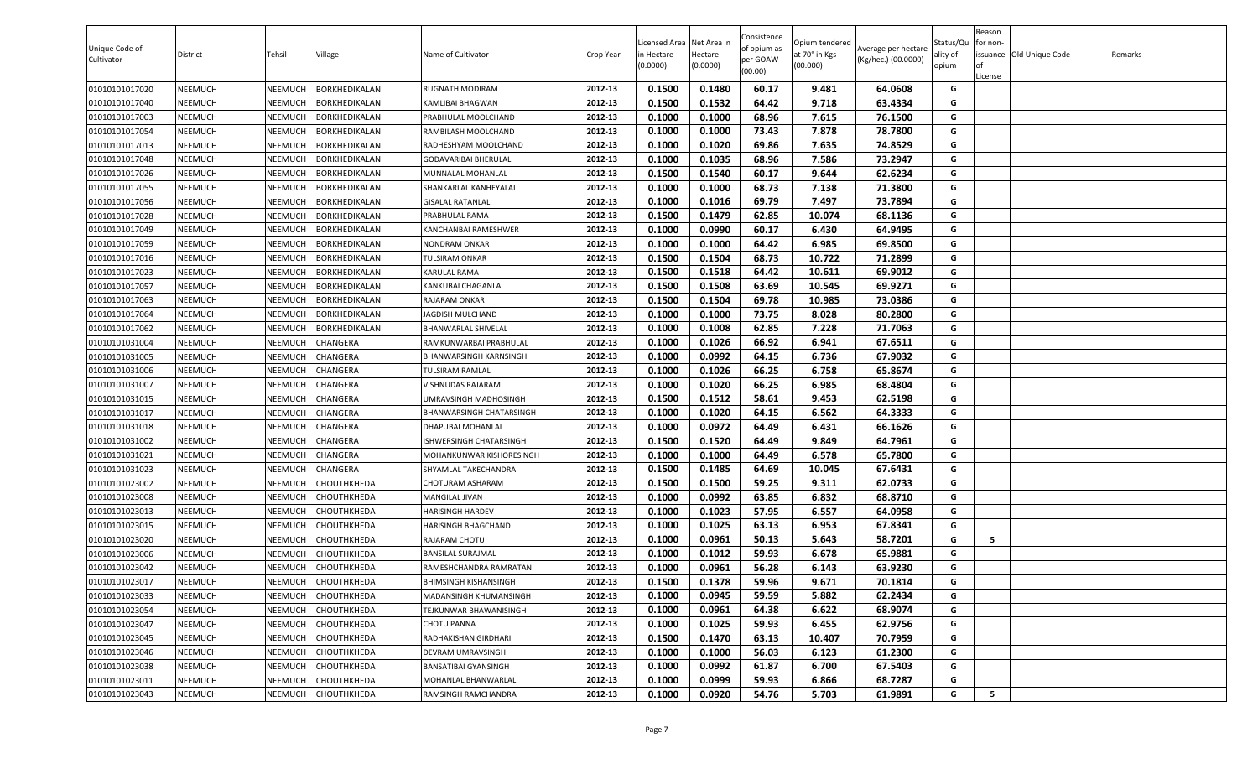| 0.1480<br>60.17<br>01010101017020<br>NEEMUCH<br>NEEMUCH<br><b>BORKHEDIKALAN</b><br>2012-13<br>0.1500<br>9.481<br>64.0608<br>G<br>RUGNATH MODIRAM<br>0.1532<br>0.1500<br>64.42<br>9.718<br>63.4334<br>G<br>01010101017040<br>NEEMUCH<br>NEEMUCH<br><b>BORKHEDIKALAN</b><br>2012-13<br>KAMLIBAI BHAGWAN<br>0.1000<br>68.96<br>7.615<br>76.1500<br>01010101017003<br>NEEMUCH<br>NEEMUCH<br>3ORKHEDIKALAN<br>2012-13<br>0.1000<br>G<br>PRABHULAL MOOLCHAND<br>0.1000<br>73.43<br>7.878<br>78.7800<br>G<br>0.1000<br>01010101017054<br>NEEMUCH<br>NEEMUCH<br>3ORKHEDIKALAN<br>2012-13<br>RAMBILASH MOOLCHAND<br>0.1000<br>0.1020<br>69.86<br>7.635<br>74.8529<br>01010101017013<br>NEEMUCH<br>2012-13<br>G<br>NEEMUCH<br>3ORKHEDIKALAN<br>RADHESHYAM MOOLCHAND |  |
|-----------------------------------------------------------------------------------------------------------------------------------------------------------------------------------------------------------------------------------------------------------------------------------------------------------------------------------------------------------------------------------------------------------------------------------------------------------------------------------------------------------------------------------------------------------------------------------------------------------------------------------------------------------------------------------------------------------------------------------------------------------|--|
|                                                                                                                                                                                                                                                                                                                                                                                                                                                                                                                                                                                                                                                                                                                                                           |  |
|                                                                                                                                                                                                                                                                                                                                                                                                                                                                                                                                                                                                                                                                                                                                                           |  |
|                                                                                                                                                                                                                                                                                                                                                                                                                                                                                                                                                                                                                                                                                                                                                           |  |
|                                                                                                                                                                                                                                                                                                                                                                                                                                                                                                                                                                                                                                                                                                                                                           |  |
|                                                                                                                                                                                                                                                                                                                                                                                                                                                                                                                                                                                                                                                                                                                                                           |  |
| 2012-13<br>68.96<br>G<br>0.1000<br>0.1035<br>7.586<br>73.2947<br>01010101017048<br>NEEMUCH<br>NEEMUCH<br>BORKHEDIKALAN<br>GODAVARIBAI BHERULAL                                                                                                                                                                                                                                                                                                                                                                                                                                                                                                                                                                                                            |  |
| 01010101017026<br>NEEMUCH<br>NEEMUCH<br>2012-13<br>0.1500<br>0.1540<br>60.17<br>9.644<br>62.6234<br>G<br><b>BORKHEDIKALAN</b><br>MUNNALAL MOHANLAL                                                                                                                                                                                                                                                                                                                                                                                                                                                                                                                                                                                                        |  |
| 68.73<br>7.138<br>G<br>01010101017055<br>NEEMUCH<br>NEEMUCH<br>BORKHEDIKALAN<br>SHANKARLAL KANHEYALAL<br>2012-13<br>0.1000<br>0.1000<br>71.3800                                                                                                                                                                                                                                                                                                                                                                                                                                                                                                                                                                                                           |  |
| 2012-13<br>0.1000<br>0.1016<br>69.79<br>7.497<br>73.7894<br>G<br>01010101017056<br>NEEMUCH<br>GISALAL RATANLAL<br>NEEMUCH<br>3ORKHEDIKALAN                                                                                                                                                                                                                                                                                                                                                                                                                                                                                                                                                                                                                |  |
| 0.1500<br>0.1479<br>62.85<br>68.1136<br>01010101017028<br>NEEMUCH<br>NEEMUCH<br>3ORKHEDIKALAN<br>2012-13<br>10.074<br>G<br>PRABHULAL RAMA                                                                                                                                                                                                                                                                                                                                                                                                                                                                                                                                                                                                                 |  |
| 0.1000<br>0.0990<br>60.17<br>6.430<br>64.9495<br>01010101017049<br>NEEMUCH<br>NEEMUCH<br>3ORKHEDIKALAN<br>2012-13<br>G<br>KANCHANBAI RAMESHWER                                                                                                                                                                                                                                                                                                                                                                                                                                                                                                                                                                                                            |  |
| 64.42<br>01010101017059<br>NEEMUCH<br>2012-13<br>0.1000<br>0.1000<br>6.985<br>69.8500<br>G<br>NEEMUCH<br>BORKHEDIKALAN<br>NONDRAM ONKAR                                                                                                                                                                                                                                                                                                                                                                                                                                                                                                                                                                                                                   |  |
| 0.1500<br>0.1504<br>68.73<br>10.722<br>71.2899<br>NEEMUCH<br>2012-13<br>G<br>01010101017016<br>NEEMUCH<br>3ORKHEDIKALAN<br>FULSIRAM ONKAR                                                                                                                                                                                                                                                                                                                                                                                                                                                                                                                                                                                                                 |  |
| 0.1518<br>64.42<br>69.9012<br>G<br>01010101017023<br>NEEMUCH<br>NEEMUCH<br><b>BORKHEDIKALAN</b><br>2012-13<br>0.1500<br>10.611<br>KARULAL RAMA                                                                                                                                                                                                                                                                                                                                                                                                                                                                                                                                                                                                            |  |
| 69.9271<br>2012-13<br>0.1500<br>0.1508<br>63.69<br>10.545<br>G<br>01010101017057<br>NEEMUCH<br>NEEMUCH<br>BORKHEDIKALAN<br>KANKUBAI CHAGANLAL                                                                                                                                                                                                                                                                                                                                                                                                                                                                                                                                                                                                             |  |
| 0.1500<br>0.1504<br>69.78<br>73.0386<br>01010101017063<br>NEEMUCH<br>NEEMUCH<br>BORKHEDIKALAN<br>2012-13<br>10.985<br>G<br>RAJARAM ONKAR                                                                                                                                                                                                                                                                                                                                                                                                                                                                                                                                                                                                                  |  |
| 0.1000<br>0.1000<br>73.75<br>8.028<br>80.2800<br>G<br>2012-13<br>NEEMUCH<br>01010101017064<br>NEEMUCH<br>3ORKHEDIKALAN<br>JAGDISH MULCHAND                                                                                                                                                                                                                                                                                                                                                                                                                                                                                                                                                                                                                |  |
| 2012-13<br>0.1000<br>0.1008<br>62.85<br>7.228<br>71.7063<br>G<br>01010101017062<br>NEEMUCH<br>NEEMUCH<br><b>BORKHEDIKALAN</b><br>BHANWARLAL SHIVELAL                                                                                                                                                                                                                                                                                                                                                                                                                                                                                                                                                                                                      |  |
| 2012-13<br>67.6511<br>NEEMUCH<br>0.1000<br>0.1026<br>66.92<br>6.941<br>G<br>01010101031004<br>NEEMUCH<br><b>HANGERA</b><br>RAMKUNWARBAI PRABHULAL                                                                                                                                                                                                                                                                                                                                                                                                                                                                                                                                                                                                         |  |
| 2012-13<br>0.1000<br>0.0992<br>64.15<br>6.736<br>67.9032<br>G<br>01010101031005<br>NEEMUCH<br>NEEMUCH<br>CHANGERA<br><b>BHANWARSINGH KARNSINGH</b>                                                                                                                                                                                                                                                                                                                                                                                                                                                                                                                                                                                                        |  |
| 66.25<br>0.1000<br>65.8674<br>G<br>2012-13<br>0.1026<br>6.758<br>01010101031006<br>NEEMUCH<br>NEEMUCH<br>CHANGERA<br>TULSIRAM RAMLAL                                                                                                                                                                                                                                                                                                                                                                                                                                                                                                                                                                                                                      |  |
| 0.1000<br>0.1020<br>66.25<br>6.985<br>68.4804<br>01010101031007<br>NEEMUCH<br>NEEMUCH<br><b>HANGERA</b><br>2012-13<br>G<br>/ISHNUDAS RAJARAM                                                                                                                                                                                                                                                                                                                                                                                                                                                                                                                                                                                                              |  |
| 58.61<br>9.453<br>62.5198<br>2012-13<br>0.1500<br>0.1512<br>G<br>01010101031015<br>NEEMUCH<br>NEEMUCH<br>CHANGERA<br>JMRAVSINGH MADHOSINGH                                                                                                                                                                                                                                                                                                                                                                                                                                                                                                                                                                                                                |  |
| 0.1000<br>0.1020<br>64.15<br>6.562<br>64.3333<br>G<br>01010101031017<br>NEEMUCH<br>NEEMUCH<br>CHANGERA<br>2012-13<br>BHANWARSINGH CHATARSINGH                                                                                                                                                                                                                                                                                                                                                                                                                                                                                                                                                                                                             |  |
| 0.1000<br>0.0972<br>64.49<br>6.431<br>66.1626<br>G<br>01010101031018<br>NEEMUCH<br>NEEMUCH<br>CHANGERA<br>2012-13<br>DHAPUBAI MOHANLAL                                                                                                                                                                                                                                                                                                                                                                                                                                                                                                                                                                                                                    |  |
| 0.1500<br>0.1520<br>9.849<br>64.7961<br>01010101031002<br>NEEMUCH<br>NEEMUCH<br><b>HANGERA</b><br>2012-13<br>64.49<br>G<br>ISHWERSINGH CHATARSINGH                                                                                                                                                                                                                                                                                                                                                                                                                                                                                                                                                                                                        |  |
| NEEMUCH<br>0.1000<br>0.1000<br>64.49<br>6.578<br>65.7800<br>G<br>01010101031021<br>NEEMUCH<br>CHANGERA<br>2012-13<br>MOHANKUNWAR KISHORESINGH                                                                                                                                                                                                                                                                                                                                                                                                                                                                                                                                                                                                             |  |
| 0.1500<br>0.1485<br>64.69<br>67.6431<br>01010101031023<br>NEEMUCH<br>NEEMUCH<br>CHANGERA<br>2012-13<br>10.045<br>G<br>SHYAMLAL TAKECHANDRA                                                                                                                                                                                                                                                                                                                                                                                                                                                                                                                                                                                                                |  |
| G<br>2012-13<br>59.25<br>62.0733<br>01010101023002<br>NEEMUCH<br>NEEMUCH<br>CHOUTHKHEDA<br>CHOTURAM ASHARAM<br>0.1500<br>0.1500<br>9.311                                                                                                                                                                                                                                                                                                                                                                                                                                                                                                                                                                                                                  |  |
| 2012-13<br>0.1000<br>0.0992<br>63.85<br>6.832<br>68.8710<br>G<br>NEEMUCH<br>01010101023008<br>NEEMUCH<br>CHOUTHKHEDA<br>MANGILAL JIVAN                                                                                                                                                                                                                                                                                                                                                                                                                                                                                                                                                                                                                    |  |
| G<br>2012-13<br>0.1023<br>57.95<br>6.557<br>64.0958<br>01010101023013<br>NEEMUCH<br>NEEMUCH<br>СНОИТНКНЕDА<br><b>HARISINGH HARDEV</b><br>0.1000                                                                                                                                                                                                                                                                                                                                                                                                                                                                                                                                                                                                           |  |
| 2012-13<br>0.1000<br>0.1025<br>63.13<br>6.953<br>67.8341<br>G<br>01010101023015<br>NEEMUCH<br>NEEMUCH<br>CHOUTHKHEDA<br>HARISINGH BHAGCHAND                                                                                                                                                                                                                                                                                                                                                                                                                                                                                                                                                                                                               |  |
| 0.0961<br>01010101023020<br>NEEMUCH<br>NEEMUCH<br>СНОИТНКНЕDА<br>2012-13<br>0.1000<br>50.13<br>5.643<br>58.7201<br>G<br>- 5<br>RAJARAM CHOTU                                                                                                                                                                                                                                                                                                                                                                                                                                                                                                                                                                                                              |  |
| 59.93<br>6.678<br>01010101023006<br>NEEMUCH<br>NEEMUCH<br><b>CHOUTHKHEDA</b><br>0.1000<br>0.1012<br>65.9881<br>G<br>2012-13<br>BANSILAL SURAJMAL                                                                                                                                                                                                                                                                                                                                                                                                                                                                                                                                                                                                          |  |
| 0.1000<br>0.0961<br>56.28<br>6.143<br>63.9230<br>01010101023042<br>NEEMUCH<br>NEEMUCH<br>CHOUTHKHEDA<br>2012-13<br>G<br>RAMESHCHANDRA RAMRATAN                                                                                                                                                                                                                                                                                                                                                                                                                                                                                                                                                                                                            |  |
| 0.1378<br>9.671<br>01010101023017<br>NEEMUCH<br>NEEMUCH<br>СНОИТНКНЕДА<br>2012-13<br>0.1500<br>59.96<br>70.1814<br>G<br><b>BHIMSINGH KISHANSINGH</b>                                                                                                                                                                                                                                                                                                                                                                                                                                                                                                                                                                                                      |  |
| 0.0945<br>01010101023033<br>NEEMUCH<br>NEEMUCH<br>CHOUTHKHEDA<br>2012-13<br>0.1000<br>59.59<br>5.882<br>62.2434<br>G<br>MADANSINGH KHUMANSINGH                                                                                                                                                                                                                                                                                                                                                                                                                                                                                                                                                                                                            |  |
| 2012-13<br>0.0961<br>64.38<br>6.622<br>68.9074<br>01010101023054<br>NEEMUCH<br>CHOUTHKHEDA<br>0.1000<br>G<br>NEEMUCH<br><b>FEJKUNWAR BHAWANISINGH</b>                                                                                                                                                                                                                                                                                                                                                                                                                                                                                                                                                                                                     |  |
| 59.93<br>0.1000<br>0.1025<br>6.455<br>62.9756<br>01010101023047<br>NEEMUCH<br>NEEMUCH<br>СНОИТНКНЕДА<br>2012-13<br>G<br><b>CHOTU PANNA</b>                                                                                                                                                                                                                                                                                                                                                                                                                                                                                                                                                                                                                |  |
| 01010101023045<br>NEEMUCH<br>NEEMUCH<br>СНОИТНКНЕДА<br>2012-13<br>0.1500<br>0.1470<br>63.13<br>10.407<br>70.7959<br>G<br>RADHAKISHAN GIRDHARI                                                                                                                                                                                                                                                                                                                                                                                                                                                                                                                                                                                                             |  |
| 01010101023046<br>2012-13<br>0.1000<br>56.03<br>6.123<br>61.2300<br>G<br>NEEMUCH<br>NEEMUCH<br>CHOUTHKHEDA<br>DEVRAM UMRAVSINGH<br>0.1000                                                                                                                                                                                                                                                                                                                                                                                                                                                                                                                                                                                                                 |  |
| 2012-13<br>01010101023038<br>0.0992<br>61.87<br>G<br>NEEMUCH<br>NEEMUCH<br>CHOUTHKHEDA<br>BANSATIBAI GYANSINGH<br>0.1000<br>6.700<br>67.5403                                                                                                                                                                                                                                                                                                                                                                                                                                                                                                                                                                                                              |  |
| 01010101023011<br>CHOUTHKHEDA<br>MOHANLAL BHANWARLAL<br>2012-13<br>0.0999<br>59.93<br>6.866<br>68.7287<br>G<br>NEEMUCH<br>NEEMUCH<br>0.1000                                                                                                                                                                                                                                                                                                                                                                                                                                                                                                                                                                                                               |  |
| 2012-13<br>0.0920<br>G<br>5<br>01010101023043<br>NEEMUCH<br>СНОИТНКНЕДА<br>RAMSINGH RAMCHANDRA<br>0.1000<br>54.76<br>5.703<br>61.9891<br>NEEMUCH                                                                                                                                                                                                                                                                                                                                                                                                                                                                                                                                                                                                          |  |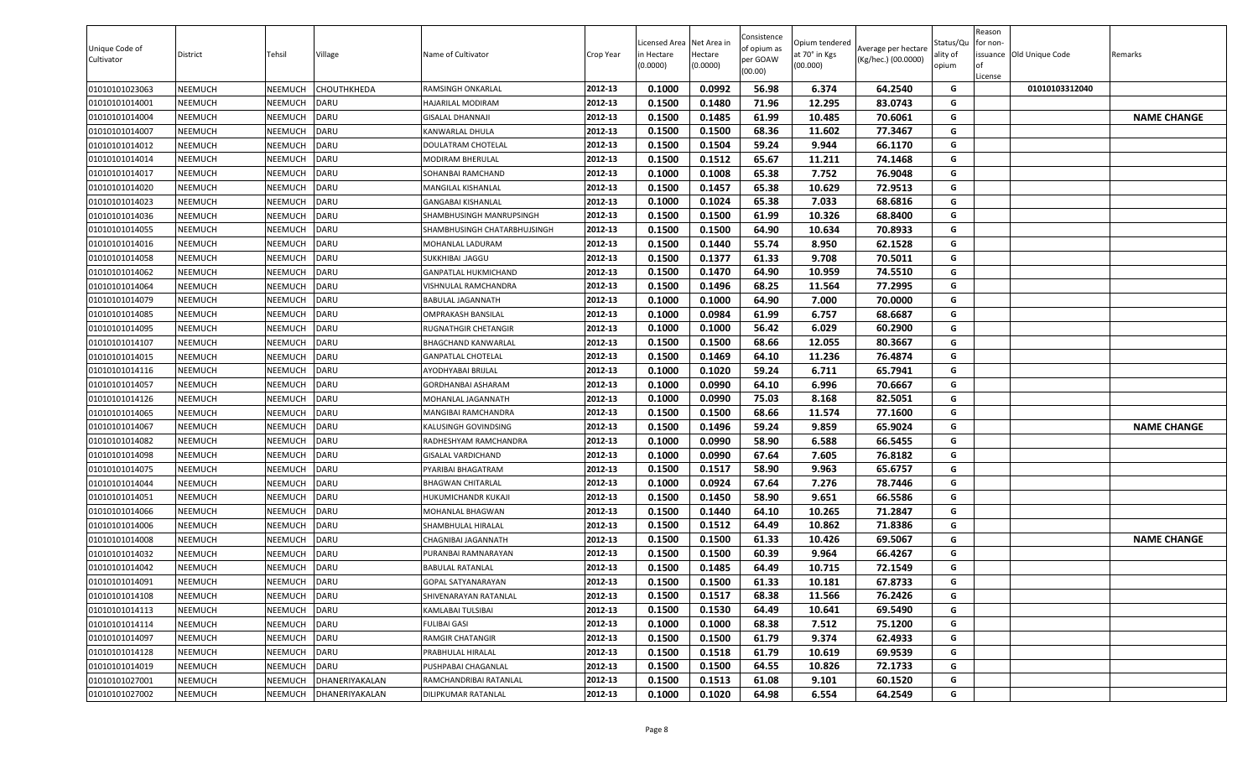| Unique Code of<br>Cultivator | District       | Tehsil         | Village        | Name of Cultivator           | Crop Year | Licensed Area Net Area in<br>in Hectare<br>0.0000) | Hectare<br>(0.0000) | Consistence<br>of opium as<br>per GOAW<br>(00.00) | Opium tendered<br>at 70° in Kgs<br>(00.000) | Average per hectare<br>(Kg/hec.) (00.0000) | Status/Qu<br>ality of<br>opium | Reason<br>for non-<br>l of<br>License | issuance <b>Old Unique Code</b> | Remarks            |
|------------------------------|----------------|----------------|----------------|------------------------------|-----------|----------------------------------------------------|---------------------|---------------------------------------------------|---------------------------------------------|--------------------------------------------|--------------------------------|---------------------------------------|---------------------------------|--------------------|
| 01010101023063               | <b>NEEMUCH</b> | NEEMUCH        | CHOUTHKHEDA    | RAMSINGH ONKARLAL            | 2012-13   | 0.1000                                             | 0.0992              | 56.98                                             | 6.374                                       | 64.2540                                    | G                              |                                       | 01010103312040                  |                    |
| 01010101014001               | NEEMUCH        | NEEMUCH        | DARU           | HAJARILAL MODIRAM            | 2012-13   | 0.1500                                             | 0.1480              | 71.96                                             | 12.295                                      | 83.0743                                    | G                              |                                       |                                 |                    |
| 01010101014004               | NEEMUCH        | NEEMUCH        | DARU           | GISALAL DHANNAJI             | 2012-13   | 0.1500                                             | 0.1485              | 61.99                                             | 10.485                                      | 70.6061                                    | G                              |                                       |                                 | <b>NAME CHANGE</b> |
| 01010101014007               | <b>NEEMUCH</b> | NEEMUCH        | DARU           | KANWARLAL DHULA              | 2012-13   | 0.1500                                             | 0.1500              | 68.36                                             | 11.602                                      | 77.3467                                    | G                              |                                       |                                 |                    |
| 01010101014012               | <b>NEEMUCH</b> | NEEMUCH        | DARU           | DOULATRAM CHOTELAL           | 2012-13   | 0.1500                                             | 0.1504              | 59.24                                             | 9.944                                       | 66.1170                                    | G                              |                                       |                                 |                    |
| 01010101014014               | <b>NEEMUCH</b> | NEEMUCH        | DARU           | MODIRAM BHERULAL             | 2012-13   | 0.1500                                             | 0.1512              | 65.67                                             | 11.211                                      | 74.1468                                    | G                              |                                       |                                 |                    |
| 01010101014017               | <b>NEEMUCH</b> | NEEMUCH        | DARU           | SOHANBAI RAMCHAND            | 2012-13   | 0.1000                                             | 0.1008              | 65.38                                             | 7.752                                       | 76.9048                                    | G                              |                                       |                                 |                    |
| 01010101014020               | <b>NEEMUCH</b> | NEEMUCH        | DARU           | MANGILAL KISHANLAL           | 2012-13   | 0.1500                                             | 0.1457              | 65.38                                             | 10.629                                      | 72.9513                                    | G                              |                                       |                                 |                    |
| 01010101014023               | <b>NEEMUCH</b> | NEEMUCH        | DARU           | <b>GANGABAI KISHANLAL</b>    | 2012-13   | 0.1000                                             | 0.1024              | 65.38                                             | 7.033                                       | 68.6816                                    | G                              |                                       |                                 |                    |
| 01010101014036               | <b>NEEMUCH</b> | NEEMUCH        | DARU           | SHAMBHUSINGH MANRUPSINGH     | 2012-13   | 0.1500                                             | 0.1500              | 61.99                                             | 10.326                                      | 68.8400                                    | G                              |                                       |                                 |                    |
| 01010101014055               | NEEMUCH        | NEEMUCH        | DARU           | SHAMBHUSINGH CHATARBHUJSINGH | 2012-13   | 0.1500                                             | 0.1500              | 64.90                                             | 10.634                                      | 70.8933                                    | G                              |                                       |                                 |                    |
| 01010101014016               | <b>NEEMUCH</b> | NEEMUCH        | DARU           | MOHANLAL LADURAM             | 2012-13   | 0.1500                                             | 0.1440              | 55.74                                             | 8.950                                       | 62.1528                                    | G                              |                                       |                                 |                    |
| 01010101014058               | NEEMUCH        | NEEMUCH        | DARU           | JAGGU .JAGGU                 | 2012-13   | 0.1500                                             | 0.1377              | 61.33                                             | 9.708                                       | 70.5011                                    | G                              |                                       |                                 |                    |
| 01010101014062               | <b>NEEMUCH</b> | NEEMUCH        | DARU           | <b>GANPATLAL HUKMICHAND</b>  | 2012-13   | 0.1500                                             | 0.1470              | 64.90                                             | 10.959                                      | 74.5510                                    | G                              |                                       |                                 |                    |
| 01010101014064               | <b>NEEMUCH</b> | NEEMUCH        | DARU           | VISHNULAL RAMCHANDRA         | 2012-13   | 0.1500                                             | 0.1496              | 68.25                                             | 11.564                                      | 77.2995                                    | G                              |                                       |                                 |                    |
| 01010101014079               | <b>NEEMUCH</b> | NEEMUCH        | DARU           | BABULAL JAGANNATH            | 2012-13   | 0.1000                                             | 0.1000              | 64.90                                             | 7.000                                       | 70.0000                                    | G                              |                                       |                                 |                    |
| 01010101014085               | <b>NEEMUCH</b> | NEEMUCH        | DARU           | OMPRAKASH BANSILAL           | 2012-13   | 0.1000                                             | 0.0984              | 61.99                                             | 6.757                                       | 68.6687                                    | G                              |                                       |                                 |                    |
| 01010101014095               | <b>NEEMUCH</b> | NEEMUCH        | DARU           | RUGNATHGIR CHETANGIR         | 2012-13   | 0.1000                                             | 0.1000              | 56.42                                             | 6.029                                       | 60.2900                                    | G                              |                                       |                                 |                    |
| 01010101014107               | NEEMUCH        | NEEMUCH        | DARU           | <b>BHAGCHAND KANWARLAL</b>   | 2012-13   | 0.1500                                             | 0.1500              | 68.66                                             | 12.055                                      | 80.3667                                    | G                              |                                       |                                 |                    |
| 01010101014015               | NEEMUCH        | NEEMUCH        | DARU           | <b>GANPATLAL CHOTELAL</b>    | 2012-13   | 0.1500                                             | 0.1469              | 64.10                                             | 11.236                                      | 76.4874                                    | G                              |                                       |                                 |                    |
| 01010101014116               | NEEMUCH        | NEEMUCH        | DARU           | AYODHYABAI BRIJLAL           | 2012-13   | 0.1000                                             | 0.1020              | 59.24                                             | 6.711                                       | 65.7941                                    | G                              |                                       |                                 |                    |
| 01010101014057               | <b>NEEMUCH</b> | NEEMUCH        | DARU           | GORDHANBAI ASHARAM           | 2012-13   | 0.1000                                             | 0.0990              | 64.10                                             | 6.996                                       | 70.6667                                    | G                              |                                       |                                 |                    |
| 01010101014126               | <b>NEEMUCH</b> | NEEMUCH        | DARU           | MOHANLAL JAGANNATH           | 2012-13   | 0.1000                                             | 0.0990              | 75.03                                             | 8.168                                       | 82.5051                                    | G                              |                                       |                                 |                    |
| 01010101014065               | <b>NEEMUCH</b> | NEEMUCH        | <b>DARU</b>    | MANGIBAI RAMCHANDRA          | 2012-13   | 0.1500                                             | 0.1500              | 68.66                                             | 11.574                                      | 77.1600                                    | G                              |                                       |                                 |                    |
| 01010101014067               | <b>NEEMUCH</b> | NEEMUCH        | DARU           | KALUSINGH GOVINDSING         | 2012-13   | 0.1500                                             | 0.1496              | 59.24                                             | 9.859                                       | 65.9024                                    | G                              |                                       |                                 | <b>NAME CHANGE</b> |
| 01010101014082               | <b>NEEMUCH</b> | NEEMUCH        | DARU           | RADHESHYAM RAMCHANDRA        | 2012-13   | 0.1000                                             | 0.0990              | 58.90                                             | 6.588                                       | 66.5455                                    | G                              |                                       |                                 |                    |
| 01010101014098               | NEEMUCH        | NEEMUCH        | DARU           | <b>GISALAL VARDICHAND</b>    | 2012-13   | 0.1000                                             | 0.0990              | 67.64                                             | 7.605                                       | 76.8182                                    | G                              |                                       |                                 |                    |
| 01010101014075               | <b>NEEMUCH</b> | NEEMUCH        | <b>DARU</b>    | PYARIBAI BHAGATRAM           | 2012-13   | 0.1500                                             | 0.1517              | 58.90                                             | 9.963                                       | 65.6757                                    | G                              |                                       |                                 |                    |
| 01010101014044               | <b>NEEMUCH</b> | NEEMUCH        | DARU           | BHAGWAN CHITARLAL            | 2012-13   | 0.1000                                             | 0.0924              | 67.64                                             | 7.276                                       | 78.7446                                    | G                              |                                       |                                 |                    |
| 01010101014051               | NEEMUCH        | NEEMUCH        | DARU           | HUKUMICHANDR KUKAJI          | 2012-13   | 0.1500                                             | 0.1450              | 58.90                                             | 9.651                                       | 66.5586                                    | G                              |                                       |                                 |                    |
| 01010101014066               | <b>NEEMUCH</b> | NEEMUCH        | DARU           | MOHANLAL BHAGWAN             | 2012-13   | 0.1500                                             | 0.1440              | 64.10                                             | 10.265                                      | 71.2847                                    | G                              |                                       |                                 |                    |
| 01010101014006               | <b>NEEMUCH</b> | NEEMUCH        | <b>DARU</b>    | SHAMBHULAL HIRALAL           | 2012-13   | 0.1500                                             | 0.1512              | 64.49                                             | 10.862                                      | 71.8386                                    | G                              |                                       |                                 |                    |
| 01010101014008               | <b>NEEMUCH</b> | NEEMUCH        | DARU           | CHAGNIBAI JAGANNATH          | 2012-13   | 0.1500                                             | 0.1500              | 61.33                                             | 10.426                                      | 69.5067                                    | G                              |                                       |                                 | <b>NAME CHANGE</b> |
| 01010101014032               | <b>NEEMUCH</b> | NEEMUCH        | DARU           | PURANBAI RAMNARAYAN          | 2012-13   | 0.1500                                             | 0.1500              | 60.39                                             | 9.964                                       | 66.4267                                    | G                              |                                       |                                 |                    |
| 01010101014042               | <b>NEEMUCH</b> | NEEMUCH        | DARU           | BABULAL RATANLAL             | 2012-13   | 0.1500                                             | 0.1485              | 64.49                                             | 10.715                                      | 72.1549                                    | G                              |                                       |                                 |                    |
| 01010101014091               | <b>NEEMUCH</b> | <b>NEEMUCH</b> | <b>DARU</b>    | GOPAL SATYANARAYAN           | 2012-13   | 0.1500                                             | 0.1500              | 61.33                                             | 10.181                                      | 67.8733                                    | G                              |                                       |                                 |                    |
| 01010101014108               | <b>NEEMUCH</b> | NEEMUCH        | <b>DARU</b>    | SHIVENARAYAN RATANLAL        | 2012-13   | 0.1500                                             | 0.1517              | 68.38                                             | 11.566                                      | 76.2426                                    | G                              |                                       |                                 |                    |
| 01010101014113               | NEEMUCH        | NEEMUCH        | DARU           | KAMLABAI TULSIBAI            | 2012-13   | 0.1500                                             | 0.1530              | 64.49                                             | 10.641                                      | 69.5490                                    | G                              |                                       |                                 |                    |
| 01010101014114               | <b>NEEMUCH</b> | NEEMUCH        | <b>DARU</b>    | <b>FULIBAI GASI</b>          | 2012-13   | 0.1000                                             | 0.1000              | 68.38                                             | 7.512                                       | 75.1200                                    | G                              |                                       |                                 |                    |
| 01010101014097               | <b>NEEMUCH</b> | NEEMUCH        | <b>DARU</b>    | RAMGIR CHATANGIR             | 2012-13   | 0.1500                                             | 0.1500              | 61.79                                             | 9.374                                       | 62.4933                                    | G                              |                                       |                                 |                    |
| 01010101014128               | <b>NEEMUCH</b> | NEEMUCH        | <b>DARU</b>    | PRABHULAL HIRALAL            | 2012-13   | 0.1500                                             | 0.1518              | 61.79                                             | 10.619                                      | 69.9539                                    | G                              |                                       |                                 |                    |
| 01010101014019               | <b>NEEMUCH</b> | NEEMUCH        | <b>DARU</b>    | PUSHPABAI CHAGANLAL          | 2012-13   | 0.1500                                             | 0.1500              | 64.55                                             | 10.826                                      | 72.1733                                    | G                              |                                       |                                 |                    |
| 01010101027001               | <b>NEEMUCH</b> | NEEMUCH        | DHANERIYAKALAN | RAMCHANDRIBAI RATANLAL       | 2012-13   | 0.1500                                             | 0.1513              | 61.08                                             | 9.101                                       | 60.1520                                    | G                              |                                       |                                 |                    |
| 01010101027002               | <b>NEEMUCH</b> | NEEMUCH        | DHANERIYAKALAN | DILIPKUMAR RATANLAL          | 2012-13   | 0.1000                                             | 0.1020              | 64.98                                             | 6.554                                       | 64.2549                                    | G                              |                                       |                                 |                    |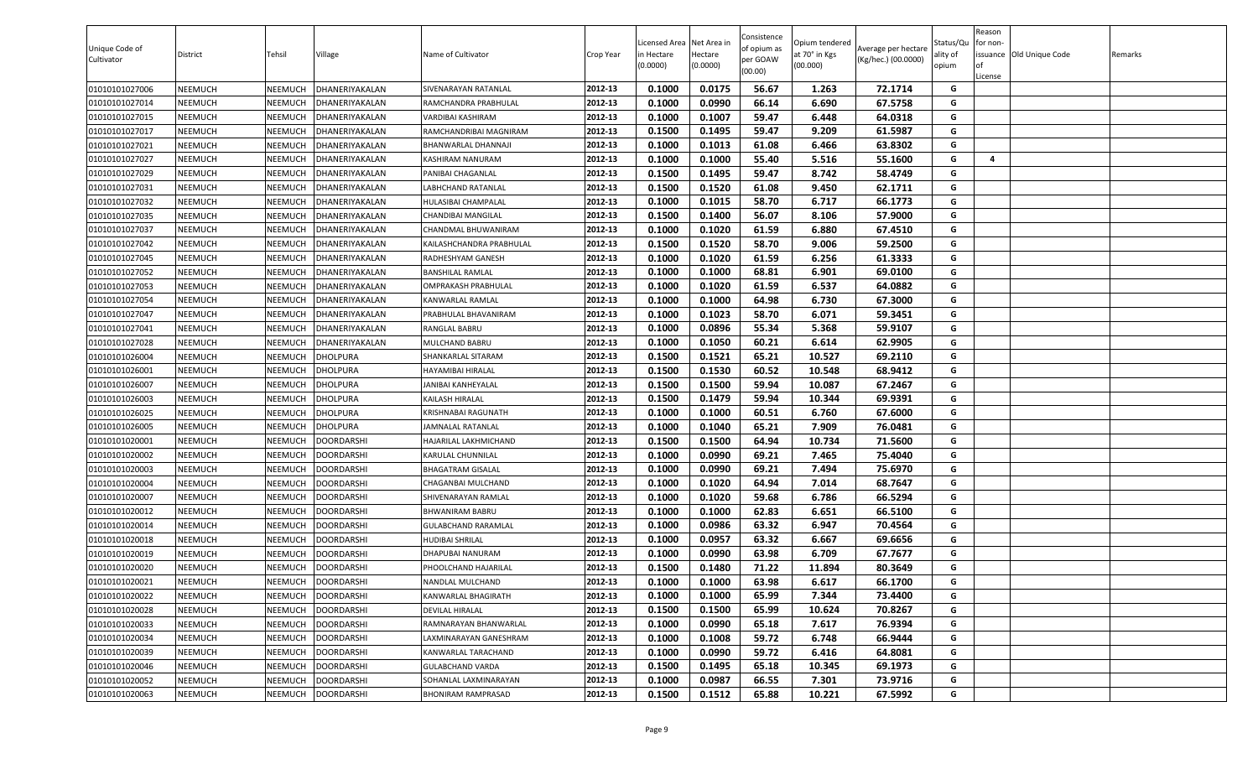| 0.1000<br>0.0175<br>56.67<br>72.1714<br>01010101027006<br>NEEMUCH<br>NEEMUCH<br>DHANERIYAKALAN<br>2012-13<br>1.263<br>G<br>SIVENARAYAN RATANLAL<br>0.0990<br>0.1000<br>66.14<br>6.690<br>67.5758<br>G<br>01010101027014<br>NEEMUCH<br>NEEMUCH<br>DHANERIYAKALAN<br>2012-13<br>RAMCHANDRA PRABHULAL<br>0.1000<br>0.1007<br>64.0318<br>01010101027015<br>NEEMUCH<br>NEEMUCH<br>DHANERIYAKALAN<br>2012-13<br>59.47<br>6.448<br>G<br>VARDIBAI KASHIRAM<br>0.1500<br>0.1495<br>59.47<br>61.5987<br>G<br>9.209<br>01010101027017<br>NEEMUCH<br>NEEMUCH<br>DHANERIYAKALAN<br>RAMCHANDRIBAI MAGNIRAM<br>2012-13<br>0.1000<br>61.08<br>63.8302<br>01010101027021<br>NEEMUCH<br>2012-13<br>0.1013<br>6.466<br>G<br>NEEMUCH<br>DHANERIYAKALAN<br>BHANWARLAL DHANNAJI<br>55.40<br>G<br>2012-13<br>0.1000<br>0.1000<br>5.516<br>55.1600<br>01010101027027<br>NEEMUCH<br>NEEMUCH<br>KASHIRAM NANURAM<br>4<br>DHANERIYAKALAN<br>01010101027029<br>NEEMUCH<br>NEEMUCH<br>2012-13<br>0.1500<br>0.1495<br>59.47<br>8.742<br>58.4749<br>G<br>DHANERIYAKALAN<br>PANIBAI CHAGANLAL<br>2012-13<br>0.1500<br>0.1520<br>G<br>01010101027031<br>NEEMUCH<br>NEEMUCH<br>LABHCHAND RATANLAL<br>61.08<br>9.450<br>62.1711<br>DHANERIYAKALAN<br>2012-13<br>0.1015<br>58.70<br>6.717<br>66.1773<br>G<br>01010101027032<br>NEEMUCH<br>NEEMUCH<br>HULASIBAI CHAMPALAL<br>0.1000<br>DHANERIYAKALAN<br>0.1500<br>0.1400<br>56.07<br>01010101027035<br>NEEMUCH<br>NEEMUCH<br>DHANERIYAKALAN<br>2012-13<br>8.106<br>57.9000<br>G<br>CHANDIBAI MANGILAL<br>01010101027037<br>0.1000<br>0.1020<br>61.59<br>6.880<br>67.4510<br>NEEMUCH<br>NEEMUCH<br>DHANERIYAKALAN<br>2012-13<br>G<br>CHANDMAL BHUWANIRAM<br>0.1520<br>58.70<br>01010101027042<br>NEEMUCH<br>2012-13<br>0.1500<br>9.006<br>59.2500<br>G<br>NEEMUCH<br>DHANERIYAKALAN<br>KAILASHCHANDRA PRABHULAL<br>0.1000<br>0.1020<br>61.59<br>61.3333<br>6.256<br>G<br>01010101027045<br>NEEMUCH<br>NEEMUCH<br>DHANERIYAKALAN<br>2012-13<br>RADHESHYAM GANESH<br>68.81<br>6.901<br>G<br>01010101027052<br>NEEMUCH<br>NEEMUCH<br>2012-13<br>0.1000<br>0.1000<br>69.0100<br>DHANERIYAKALAN<br><b>BANSHILAL RAMLAL</b><br>2012-13<br>0.1000<br>0.1020<br>61.59<br>6.537<br>64.0882<br>01010101027053<br>NEEMUCH<br>NEEMUCH<br>DHANERIYAKALAN<br>G<br>OMPRAKASH PRABHULAL<br>0.1000<br>64.98<br>6.730<br>01010101027054<br>NEEMUCH<br>NEEMUCH<br>2012-13<br>0.1000<br>67.3000<br>G<br>DHANERIYAKALAN<br>KANWARLAL RAMLAL<br>0.1023<br>58.70<br>59.3451<br>G<br>2012-13<br>0.1000<br>6.071<br>NEEMUCH<br>PRABHULAL BHAVANIRAM<br>01010101027047<br>NEEMUCH<br>DHANERIYAKALAN<br>2012-13<br>0.1000<br>0.0896<br>55.34<br>5.368<br>59.9107<br>G<br>01010101027041<br>NEEMUCH<br>NEEMUCH<br>DHANERIYAKALAN<br>RANGLAL BABRU<br>NEEMUCH<br>2012-13<br>0.1000<br>0.1050<br>60.21<br>6.614<br>62.9905<br>G<br>01010101027028<br>NEEMUCH<br>DHANERIYAKALAN<br>MULCHAND BABRU<br>2012-13<br>0.1500<br>0.1521<br>65.21<br>10.527<br>69.2110<br>G<br>01010101026004<br>NEEMUCH<br>NEEMUCH<br>DHOLPURA<br>SHANKARLAL SITARAM<br>0.1500<br>0.1530<br>60.52<br>G<br>10.548<br>68.9412<br>01010101026001<br>NEEMUCH<br>NEEMUCH<br>DHOLPURA<br>HAYAMIBAI HIRALAL<br>2012-13<br>0.1500<br>0.1500<br>59.94<br>67.2467<br>01010101026007<br>NEEMUCH<br>NEEMUCH<br>DHOLPURA<br>2012-13<br>10.087<br>G<br>JANIBAI KANHEYALAL<br>59.94<br>69.9391<br>DHOLPURA<br>2012-13<br>0.1500<br>0.1479<br>10.344<br>G<br>01010101026003<br>NEEMUCH<br>NEEMUCH<br>KAILASH HIRALAL<br>0.1000<br>0.1000<br>60.51<br>6.760<br>67.6000<br>01010101026025<br>NEEMUCH<br>NEEMUCH<br>DHOLPURA<br>2012-13<br>G<br>KRISHNABAI RAGUNATH<br>0.1040<br>65.21<br>7.909<br>G<br>01010101026005<br>NEEMUCH<br>NEEMUCH<br>DHOLPURA<br>2012-13<br>0.1000<br>76.0481<br>JAMNALAL RATANLAL<br>0.1500<br>0.1500<br>64.94<br>10.734<br>71.5600<br>01010101020001<br>NEEMUCH<br>NEEMUCH<br><b>DOORDARSHI</b><br>2012-13<br>G<br>HAJARILAL LAKHMICHAND<br>0.0990<br>NEEMUCH<br>0.1000<br>69.21<br>7.465<br>75.4040<br>G<br>01010101020002<br>NEEMUCH<br><b>DOORDARSHI</b><br>2012-13<br>KARULAL CHUNNILAL<br>0.1000<br>0.0990<br>69.21<br>7.494<br>75.6970<br>01010101020003<br>NEEMUCH<br>NEEMUCH<br>DOORDARSHI<br>2012-13<br>G<br><b>BHAGATRAM GISALAL</b><br>G<br>0.1020<br>01010101020004<br>NEEMUCH<br>NEEMUCH<br>DOORDARSHI<br>2012-13<br>0.1000<br>64.94<br>7.014<br>68.7647<br>CHAGANBAI MULCHAND<br>2012-13<br>0.1000<br>59.68<br>66.5294<br>G<br>NEEMUCH<br><b>DOORDARSHI</b><br>0.1020<br>6.786<br>01010101020007<br>NEEMUCH<br>SHIVENARAYAN RAMLAL<br>G<br>2012-13<br>0.1000<br>62.83<br>6.651<br>66.5100<br>01010101020012<br>NEEMUCH<br>NEEMUCH<br><b>DOORDARSHI</b><br><b>BHWANIRAM BABRU</b><br>0.1000<br>2012-13<br>0.1000<br>0.0986<br>63.32<br>6.947<br>70.4564<br>G<br>01010101020014<br>NEEMUCH<br>NEEMUCH<br>DOORDARSHI<br><b>GULABCHAND RARAMLAL</b><br>0.0957<br>63.32<br>01010101020018<br>NEEMUCH<br>NEEMUCH<br><b>DOORDARSHI</b><br>2012-13<br>0.1000<br>6.667<br>69.6656<br>G<br><b>HUDIBAI SHRILAL</b><br>0.0990<br>63.98<br>67.7677<br>NEEMUCH<br>NEEMUCH<br><b>DOORDARSHI</b><br>2012-13<br>0.1000<br>6.709<br>G<br>01010101020019<br>DHAPUBAI NANURAM<br>0.1500<br>0.1480<br>71.22<br>11.894<br>80.3649<br>01010101020020<br>NEEMUCH<br>NEEMUCH<br>DOORDARSHI<br>2012-13<br>G<br>PHOOLCHAND HAJARILAL<br>01010101020021<br>NEEMUCH<br>NEEMUCH<br><b>DOORDARSHI</b><br>2012-13<br>0.1000<br>0.1000<br>63.98<br>6.617<br>66.1700<br>G<br>NANDLAL MULCHAND<br>0.1000<br>65.99<br>01010101020022<br>NEEMUCH<br>NEEMUCH<br>DOORDARSHI<br>2012-13<br>0.1000<br>7.344<br>73.4400<br>G<br>KANWARLAL BHAGIRATH<br>2012-13<br>0.1500<br>0.1500<br>65.99<br>10.624<br>70.8267<br>G<br>01010101020028<br>NEEMUCH<br><b>DOORDARSHI</b><br>NEEMUCH<br>DEVILAL HIRALAL<br>65.18<br>7.617<br>0.1000<br>0.0990<br>76.9394<br>G<br>01010101020033<br>NEEMUCH<br>NEEMUCH<br>DOORDARSHI<br>RAMNARAYAN BHANWARLAL<br>2012-13<br>59.72<br>01010101020034<br>NEEMUCH<br>NEEMUCH<br><b>DOORDARSHI</b><br>2012-13<br>0.1000<br>0.1008<br>6.748<br>66.9444<br>G<br>LAXMINARAYAN GANESHRAM<br>NEEMUCH<br>2012-13<br>0.1000<br>0.0990<br>59.72<br>6.416<br>64.8081<br>G<br>01010101020039<br>NEEMUCH<br><b>DOORDARSHI</b><br>KANWARLAL TARACHAND<br>01010101020046<br>2012-13<br>0.1495<br>65.18<br>10.345<br>G<br>NEEMUCH<br>NEEMUCH<br>DOORDARSHI<br><b>GULABCHAND VARDA</b><br>0.1500<br>69.1973<br>66.55<br>01010101020052<br>NEEMUCH<br><b>DOORDARSHI</b><br>SOHANLAL LAXMINARAYAN<br>2012-13<br>0.1000<br>0.0987<br>7.301<br>73.9716<br>G<br>NEEMUCH<br>2012-13<br>0.1500<br>0.1512<br>10.221<br>G<br>01010101020063<br>NEEMUCH<br><b>DOORDARSHI</b><br><b>BHONIRAM RAMPRASAD</b><br>65.88<br>67.5992<br>NEEMUCH | Unique Code of<br>Cultivator | District | Tehsil | Village | Name of Cultivator | Crop Year | Licensed Area Net Area in<br>in Hectare<br>(0.0000) | Hectare<br>(0.0000) | Consistence<br>of opium as<br>per GOAW<br>(00.00) | Opium tendered<br>at 70° in Kgs<br>(00.000) | Average per hectare<br>(Kg/hec.) (00.0000) | Status/Qu<br>ality of<br>opium | Reason<br>for non-<br>of<br>License | issuance Old Unique Code | Remarks |
|-----------------------------------------------------------------------------------------------------------------------------------------------------------------------------------------------------------------------------------------------------------------------------------------------------------------------------------------------------------------------------------------------------------------------------------------------------------------------------------------------------------------------------------------------------------------------------------------------------------------------------------------------------------------------------------------------------------------------------------------------------------------------------------------------------------------------------------------------------------------------------------------------------------------------------------------------------------------------------------------------------------------------------------------------------------------------------------------------------------------------------------------------------------------------------------------------------------------------------------------------------------------------------------------------------------------------------------------------------------------------------------------------------------------------------------------------------------------------------------------------------------------------------------------------------------------------------------------------------------------------------------------------------------------------------------------------------------------------------------------------------------------------------------------------------------------------------------------------------------------------------------------------------------------------------------------------------------------------------------------------------------------------------------------------------------------------------------------------------------------------------------------------------------------------------------------------------------------------------------------------------------------------------------------------------------------------------------------------------------------------------------------------------------------------------------------------------------------------------------------------------------------------------------------------------------------------------------------------------------------------------------------------------------------------------------------------------------------------------------------------------------------------------------------------------------------------------------------------------------------------------------------------------------------------------------------------------------------------------------------------------------------------------------------------------------------------------------------------------------------------------------------------------------------------------------------------------------------------------------------------------------------------------------------------------------------------------------------------------------------------------------------------------------------------------------------------------------------------------------------------------------------------------------------------------------------------------------------------------------------------------------------------------------------------------------------------------------------------------------------------------------------------------------------------------------------------------------------------------------------------------------------------------------------------------------------------------------------------------------------------------------------------------------------------------------------------------------------------------------------------------------------------------------------------------------------------------------------------------------------------------------------------------------------------------------------------------------------------------------------------------------------------------------------------------------------------------------------------------------------------------------------------------------------------------------------------------------------------------------------------------------------------------------------------------------------------------------------------------------------------------------------------------------------------------------------------------------------------------------------------------------------------------------------------------------------------------------------------------------------------------------------------------------------------------------------------------------------------------------------------------------------------------------------------------------------------------------------------------------------------------------------------------------------------------------------------------------------------------------------------------------------------------------------------------------------------------------------------------------------------------------------------------------------------------------------------------------------------------------------------------------------------------------------------------------------------------------------------------------------------------------------------------------------------------------------------------------------------------------------------------------------------------------------------------------------------------------------------------------------------------------------------------------------------------------------------------------------------------------------------------------------------------------------------------------------------------------------------------------------------------------------------------------------------------------------------------------------------------------------------------------------------------------------------------------------------------------------------------------------------------------------------------------------------------------------------------------------------------------------------------------------------------------------------------|------------------------------|----------|--------|---------|--------------------|-----------|-----------------------------------------------------|---------------------|---------------------------------------------------|---------------------------------------------|--------------------------------------------|--------------------------------|-------------------------------------|--------------------------|---------|
|                                                                                                                                                                                                                                                                                                                                                                                                                                                                                                                                                                                                                                                                                                                                                                                                                                                                                                                                                                                                                                                                                                                                                                                                                                                                                                                                                                                                                                                                                                                                                                                                                                                                                                                                                                                                                                                                                                                                                                                                                                                                                                                                                                                                                                                                                                                                                                                                                                                                                                                                                                                                                                                                                                                                                                                                                                                                                                                                                                                                                                                                                                                                                                                                                                                                                                                                                                                                                                                                                                                                                                                                                                                                                                                                                                                                                                                                                                                                                                                                                                                                                                                                                                                                                                                                                                                                                                                                                                                                                                                                                                                                                                                                                                                                                                                                                                                                                                                                                                                                                                                                                                                                                                                                                                                                                                                                                                                                                                                                                                                                                                                                                                                                                                                                                                                                                                                                                                                                                                                                                                                                                                                                                                                                                                                                                                                                                                                                                                                                                                                                                                                                                                                                             |                              |          |        |         |                    |           |                                                     |                     |                                                   |                                             |                                            |                                |                                     |                          |         |
|                                                                                                                                                                                                                                                                                                                                                                                                                                                                                                                                                                                                                                                                                                                                                                                                                                                                                                                                                                                                                                                                                                                                                                                                                                                                                                                                                                                                                                                                                                                                                                                                                                                                                                                                                                                                                                                                                                                                                                                                                                                                                                                                                                                                                                                                                                                                                                                                                                                                                                                                                                                                                                                                                                                                                                                                                                                                                                                                                                                                                                                                                                                                                                                                                                                                                                                                                                                                                                                                                                                                                                                                                                                                                                                                                                                                                                                                                                                                                                                                                                                                                                                                                                                                                                                                                                                                                                                                                                                                                                                                                                                                                                                                                                                                                                                                                                                                                                                                                                                                                                                                                                                                                                                                                                                                                                                                                                                                                                                                                                                                                                                                                                                                                                                                                                                                                                                                                                                                                                                                                                                                                                                                                                                                                                                                                                                                                                                                                                                                                                                                                                                                                                                                             |                              |          |        |         |                    |           |                                                     |                     |                                                   |                                             |                                            |                                |                                     |                          |         |
|                                                                                                                                                                                                                                                                                                                                                                                                                                                                                                                                                                                                                                                                                                                                                                                                                                                                                                                                                                                                                                                                                                                                                                                                                                                                                                                                                                                                                                                                                                                                                                                                                                                                                                                                                                                                                                                                                                                                                                                                                                                                                                                                                                                                                                                                                                                                                                                                                                                                                                                                                                                                                                                                                                                                                                                                                                                                                                                                                                                                                                                                                                                                                                                                                                                                                                                                                                                                                                                                                                                                                                                                                                                                                                                                                                                                                                                                                                                                                                                                                                                                                                                                                                                                                                                                                                                                                                                                                                                                                                                                                                                                                                                                                                                                                                                                                                                                                                                                                                                                                                                                                                                                                                                                                                                                                                                                                                                                                                                                                                                                                                                                                                                                                                                                                                                                                                                                                                                                                                                                                                                                                                                                                                                                                                                                                                                                                                                                                                                                                                                                                                                                                                                                             |                              |          |        |         |                    |           |                                                     |                     |                                                   |                                             |                                            |                                |                                     |                          |         |
|                                                                                                                                                                                                                                                                                                                                                                                                                                                                                                                                                                                                                                                                                                                                                                                                                                                                                                                                                                                                                                                                                                                                                                                                                                                                                                                                                                                                                                                                                                                                                                                                                                                                                                                                                                                                                                                                                                                                                                                                                                                                                                                                                                                                                                                                                                                                                                                                                                                                                                                                                                                                                                                                                                                                                                                                                                                                                                                                                                                                                                                                                                                                                                                                                                                                                                                                                                                                                                                                                                                                                                                                                                                                                                                                                                                                                                                                                                                                                                                                                                                                                                                                                                                                                                                                                                                                                                                                                                                                                                                                                                                                                                                                                                                                                                                                                                                                                                                                                                                                                                                                                                                                                                                                                                                                                                                                                                                                                                                                                                                                                                                                                                                                                                                                                                                                                                                                                                                                                                                                                                                                                                                                                                                                                                                                                                                                                                                                                                                                                                                                                                                                                                                                             |                              |          |        |         |                    |           |                                                     |                     |                                                   |                                             |                                            |                                |                                     |                          |         |
|                                                                                                                                                                                                                                                                                                                                                                                                                                                                                                                                                                                                                                                                                                                                                                                                                                                                                                                                                                                                                                                                                                                                                                                                                                                                                                                                                                                                                                                                                                                                                                                                                                                                                                                                                                                                                                                                                                                                                                                                                                                                                                                                                                                                                                                                                                                                                                                                                                                                                                                                                                                                                                                                                                                                                                                                                                                                                                                                                                                                                                                                                                                                                                                                                                                                                                                                                                                                                                                                                                                                                                                                                                                                                                                                                                                                                                                                                                                                                                                                                                                                                                                                                                                                                                                                                                                                                                                                                                                                                                                                                                                                                                                                                                                                                                                                                                                                                                                                                                                                                                                                                                                                                                                                                                                                                                                                                                                                                                                                                                                                                                                                                                                                                                                                                                                                                                                                                                                                                                                                                                                                                                                                                                                                                                                                                                                                                                                                                                                                                                                                                                                                                                                                             |                              |          |        |         |                    |           |                                                     |                     |                                                   |                                             |                                            |                                |                                     |                          |         |
|                                                                                                                                                                                                                                                                                                                                                                                                                                                                                                                                                                                                                                                                                                                                                                                                                                                                                                                                                                                                                                                                                                                                                                                                                                                                                                                                                                                                                                                                                                                                                                                                                                                                                                                                                                                                                                                                                                                                                                                                                                                                                                                                                                                                                                                                                                                                                                                                                                                                                                                                                                                                                                                                                                                                                                                                                                                                                                                                                                                                                                                                                                                                                                                                                                                                                                                                                                                                                                                                                                                                                                                                                                                                                                                                                                                                                                                                                                                                                                                                                                                                                                                                                                                                                                                                                                                                                                                                                                                                                                                                                                                                                                                                                                                                                                                                                                                                                                                                                                                                                                                                                                                                                                                                                                                                                                                                                                                                                                                                                                                                                                                                                                                                                                                                                                                                                                                                                                                                                                                                                                                                                                                                                                                                                                                                                                                                                                                                                                                                                                                                                                                                                                                                             |                              |          |        |         |                    |           |                                                     |                     |                                                   |                                             |                                            |                                |                                     |                          |         |
|                                                                                                                                                                                                                                                                                                                                                                                                                                                                                                                                                                                                                                                                                                                                                                                                                                                                                                                                                                                                                                                                                                                                                                                                                                                                                                                                                                                                                                                                                                                                                                                                                                                                                                                                                                                                                                                                                                                                                                                                                                                                                                                                                                                                                                                                                                                                                                                                                                                                                                                                                                                                                                                                                                                                                                                                                                                                                                                                                                                                                                                                                                                                                                                                                                                                                                                                                                                                                                                                                                                                                                                                                                                                                                                                                                                                                                                                                                                                                                                                                                                                                                                                                                                                                                                                                                                                                                                                                                                                                                                                                                                                                                                                                                                                                                                                                                                                                                                                                                                                                                                                                                                                                                                                                                                                                                                                                                                                                                                                                                                                                                                                                                                                                                                                                                                                                                                                                                                                                                                                                                                                                                                                                                                                                                                                                                                                                                                                                                                                                                                                                                                                                                                                             |                              |          |        |         |                    |           |                                                     |                     |                                                   |                                             |                                            |                                |                                     |                          |         |
|                                                                                                                                                                                                                                                                                                                                                                                                                                                                                                                                                                                                                                                                                                                                                                                                                                                                                                                                                                                                                                                                                                                                                                                                                                                                                                                                                                                                                                                                                                                                                                                                                                                                                                                                                                                                                                                                                                                                                                                                                                                                                                                                                                                                                                                                                                                                                                                                                                                                                                                                                                                                                                                                                                                                                                                                                                                                                                                                                                                                                                                                                                                                                                                                                                                                                                                                                                                                                                                                                                                                                                                                                                                                                                                                                                                                                                                                                                                                                                                                                                                                                                                                                                                                                                                                                                                                                                                                                                                                                                                                                                                                                                                                                                                                                                                                                                                                                                                                                                                                                                                                                                                                                                                                                                                                                                                                                                                                                                                                                                                                                                                                                                                                                                                                                                                                                                                                                                                                                                                                                                                                                                                                                                                                                                                                                                                                                                                                                                                                                                                                                                                                                                                                             |                              |          |        |         |                    |           |                                                     |                     |                                                   |                                             |                                            |                                |                                     |                          |         |
|                                                                                                                                                                                                                                                                                                                                                                                                                                                                                                                                                                                                                                                                                                                                                                                                                                                                                                                                                                                                                                                                                                                                                                                                                                                                                                                                                                                                                                                                                                                                                                                                                                                                                                                                                                                                                                                                                                                                                                                                                                                                                                                                                                                                                                                                                                                                                                                                                                                                                                                                                                                                                                                                                                                                                                                                                                                                                                                                                                                                                                                                                                                                                                                                                                                                                                                                                                                                                                                                                                                                                                                                                                                                                                                                                                                                                                                                                                                                                                                                                                                                                                                                                                                                                                                                                                                                                                                                                                                                                                                                                                                                                                                                                                                                                                                                                                                                                                                                                                                                                                                                                                                                                                                                                                                                                                                                                                                                                                                                                                                                                                                                                                                                                                                                                                                                                                                                                                                                                                                                                                                                                                                                                                                                                                                                                                                                                                                                                                                                                                                                                                                                                                                                             |                              |          |        |         |                    |           |                                                     |                     |                                                   |                                             |                                            |                                |                                     |                          |         |
|                                                                                                                                                                                                                                                                                                                                                                                                                                                                                                                                                                                                                                                                                                                                                                                                                                                                                                                                                                                                                                                                                                                                                                                                                                                                                                                                                                                                                                                                                                                                                                                                                                                                                                                                                                                                                                                                                                                                                                                                                                                                                                                                                                                                                                                                                                                                                                                                                                                                                                                                                                                                                                                                                                                                                                                                                                                                                                                                                                                                                                                                                                                                                                                                                                                                                                                                                                                                                                                                                                                                                                                                                                                                                                                                                                                                                                                                                                                                                                                                                                                                                                                                                                                                                                                                                                                                                                                                                                                                                                                                                                                                                                                                                                                                                                                                                                                                                                                                                                                                                                                                                                                                                                                                                                                                                                                                                                                                                                                                                                                                                                                                                                                                                                                                                                                                                                                                                                                                                                                                                                                                                                                                                                                                                                                                                                                                                                                                                                                                                                                                                                                                                                                                             |                              |          |        |         |                    |           |                                                     |                     |                                                   |                                             |                                            |                                |                                     |                          |         |
|                                                                                                                                                                                                                                                                                                                                                                                                                                                                                                                                                                                                                                                                                                                                                                                                                                                                                                                                                                                                                                                                                                                                                                                                                                                                                                                                                                                                                                                                                                                                                                                                                                                                                                                                                                                                                                                                                                                                                                                                                                                                                                                                                                                                                                                                                                                                                                                                                                                                                                                                                                                                                                                                                                                                                                                                                                                                                                                                                                                                                                                                                                                                                                                                                                                                                                                                                                                                                                                                                                                                                                                                                                                                                                                                                                                                                                                                                                                                                                                                                                                                                                                                                                                                                                                                                                                                                                                                                                                                                                                                                                                                                                                                                                                                                                                                                                                                                                                                                                                                                                                                                                                                                                                                                                                                                                                                                                                                                                                                                                                                                                                                                                                                                                                                                                                                                                                                                                                                                                                                                                                                                                                                                                                                                                                                                                                                                                                                                                                                                                                                                                                                                                                                             |                              |          |        |         |                    |           |                                                     |                     |                                                   |                                             |                                            |                                |                                     |                          |         |
|                                                                                                                                                                                                                                                                                                                                                                                                                                                                                                                                                                                                                                                                                                                                                                                                                                                                                                                                                                                                                                                                                                                                                                                                                                                                                                                                                                                                                                                                                                                                                                                                                                                                                                                                                                                                                                                                                                                                                                                                                                                                                                                                                                                                                                                                                                                                                                                                                                                                                                                                                                                                                                                                                                                                                                                                                                                                                                                                                                                                                                                                                                                                                                                                                                                                                                                                                                                                                                                                                                                                                                                                                                                                                                                                                                                                                                                                                                                                                                                                                                                                                                                                                                                                                                                                                                                                                                                                                                                                                                                                                                                                                                                                                                                                                                                                                                                                                                                                                                                                                                                                                                                                                                                                                                                                                                                                                                                                                                                                                                                                                                                                                                                                                                                                                                                                                                                                                                                                                                                                                                                                                                                                                                                                                                                                                                                                                                                                                                                                                                                                                                                                                                                                             |                              |          |        |         |                    |           |                                                     |                     |                                                   |                                             |                                            |                                |                                     |                          |         |
|                                                                                                                                                                                                                                                                                                                                                                                                                                                                                                                                                                                                                                                                                                                                                                                                                                                                                                                                                                                                                                                                                                                                                                                                                                                                                                                                                                                                                                                                                                                                                                                                                                                                                                                                                                                                                                                                                                                                                                                                                                                                                                                                                                                                                                                                                                                                                                                                                                                                                                                                                                                                                                                                                                                                                                                                                                                                                                                                                                                                                                                                                                                                                                                                                                                                                                                                                                                                                                                                                                                                                                                                                                                                                                                                                                                                                                                                                                                                                                                                                                                                                                                                                                                                                                                                                                                                                                                                                                                                                                                                                                                                                                                                                                                                                                                                                                                                                                                                                                                                                                                                                                                                                                                                                                                                                                                                                                                                                                                                                                                                                                                                                                                                                                                                                                                                                                                                                                                                                                                                                                                                                                                                                                                                                                                                                                                                                                                                                                                                                                                                                                                                                                                                             |                              |          |        |         |                    |           |                                                     |                     |                                                   |                                             |                                            |                                |                                     |                          |         |
|                                                                                                                                                                                                                                                                                                                                                                                                                                                                                                                                                                                                                                                                                                                                                                                                                                                                                                                                                                                                                                                                                                                                                                                                                                                                                                                                                                                                                                                                                                                                                                                                                                                                                                                                                                                                                                                                                                                                                                                                                                                                                                                                                                                                                                                                                                                                                                                                                                                                                                                                                                                                                                                                                                                                                                                                                                                                                                                                                                                                                                                                                                                                                                                                                                                                                                                                                                                                                                                                                                                                                                                                                                                                                                                                                                                                                                                                                                                                                                                                                                                                                                                                                                                                                                                                                                                                                                                                                                                                                                                                                                                                                                                                                                                                                                                                                                                                                                                                                                                                                                                                                                                                                                                                                                                                                                                                                                                                                                                                                                                                                                                                                                                                                                                                                                                                                                                                                                                                                                                                                                                                                                                                                                                                                                                                                                                                                                                                                                                                                                                                                                                                                                                                             |                              |          |        |         |                    |           |                                                     |                     |                                                   |                                             |                                            |                                |                                     |                          |         |
|                                                                                                                                                                                                                                                                                                                                                                                                                                                                                                                                                                                                                                                                                                                                                                                                                                                                                                                                                                                                                                                                                                                                                                                                                                                                                                                                                                                                                                                                                                                                                                                                                                                                                                                                                                                                                                                                                                                                                                                                                                                                                                                                                                                                                                                                                                                                                                                                                                                                                                                                                                                                                                                                                                                                                                                                                                                                                                                                                                                                                                                                                                                                                                                                                                                                                                                                                                                                                                                                                                                                                                                                                                                                                                                                                                                                                                                                                                                                                                                                                                                                                                                                                                                                                                                                                                                                                                                                                                                                                                                                                                                                                                                                                                                                                                                                                                                                                                                                                                                                                                                                                                                                                                                                                                                                                                                                                                                                                                                                                                                                                                                                                                                                                                                                                                                                                                                                                                                                                                                                                                                                                                                                                                                                                                                                                                                                                                                                                                                                                                                                                                                                                                                                             |                              |          |        |         |                    |           |                                                     |                     |                                                   |                                             |                                            |                                |                                     |                          |         |
|                                                                                                                                                                                                                                                                                                                                                                                                                                                                                                                                                                                                                                                                                                                                                                                                                                                                                                                                                                                                                                                                                                                                                                                                                                                                                                                                                                                                                                                                                                                                                                                                                                                                                                                                                                                                                                                                                                                                                                                                                                                                                                                                                                                                                                                                                                                                                                                                                                                                                                                                                                                                                                                                                                                                                                                                                                                                                                                                                                                                                                                                                                                                                                                                                                                                                                                                                                                                                                                                                                                                                                                                                                                                                                                                                                                                                                                                                                                                                                                                                                                                                                                                                                                                                                                                                                                                                                                                                                                                                                                                                                                                                                                                                                                                                                                                                                                                                                                                                                                                                                                                                                                                                                                                                                                                                                                                                                                                                                                                                                                                                                                                                                                                                                                                                                                                                                                                                                                                                                                                                                                                                                                                                                                                                                                                                                                                                                                                                                                                                                                                                                                                                                                                             |                              |          |        |         |                    |           |                                                     |                     |                                                   |                                             |                                            |                                |                                     |                          |         |
|                                                                                                                                                                                                                                                                                                                                                                                                                                                                                                                                                                                                                                                                                                                                                                                                                                                                                                                                                                                                                                                                                                                                                                                                                                                                                                                                                                                                                                                                                                                                                                                                                                                                                                                                                                                                                                                                                                                                                                                                                                                                                                                                                                                                                                                                                                                                                                                                                                                                                                                                                                                                                                                                                                                                                                                                                                                                                                                                                                                                                                                                                                                                                                                                                                                                                                                                                                                                                                                                                                                                                                                                                                                                                                                                                                                                                                                                                                                                                                                                                                                                                                                                                                                                                                                                                                                                                                                                                                                                                                                                                                                                                                                                                                                                                                                                                                                                                                                                                                                                                                                                                                                                                                                                                                                                                                                                                                                                                                                                                                                                                                                                                                                                                                                                                                                                                                                                                                                                                                                                                                                                                                                                                                                                                                                                                                                                                                                                                                                                                                                                                                                                                                                                             |                              |          |        |         |                    |           |                                                     |                     |                                                   |                                             |                                            |                                |                                     |                          |         |
|                                                                                                                                                                                                                                                                                                                                                                                                                                                                                                                                                                                                                                                                                                                                                                                                                                                                                                                                                                                                                                                                                                                                                                                                                                                                                                                                                                                                                                                                                                                                                                                                                                                                                                                                                                                                                                                                                                                                                                                                                                                                                                                                                                                                                                                                                                                                                                                                                                                                                                                                                                                                                                                                                                                                                                                                                                                                                                                                                                                                                                                                                                                                                                                                                                                                                                                                                                                                                                                                                                                                                                                                                                                                                                                                                                                                                                                                                                                                                                                                                                                                                                                                                                                                                                                                                                                                                                                                                                                                                                                                                                                                                                                                                                                                                                                                                                                                                                                                                                                                                                                                                                                                                                                                                                                                                                                                                                                                                                                                                                                                                                                                                                                                                                                                                                                                                                                                                                                                                                                                                                                                                                                                                                                                                                                                                                                                                                                                                                                                                                                                                                                                                                                                             |                              |          |        |         |                    |           |                                                     |                     |                                                   |                                             |                                            |                                |                                     |                          |         |
|                                                                                                                                                                                                                                                                                                                                                                                                                                                                                                                                                                                                                                                                                                                                                                                                                                                                                                                                                                                                                                                                                                                                                                                                                                                                                                                                                                                                                                                                                                                                                                                                                                                                                                                                                                                                                                                                                                                                                                                                                                                                                                                                                                                                                                                                                                                                                                                                                                                                                                                                                                                                                                                                                                                                                                                                                                                                                                                                                                                                                                                                                                                                                                                                                                                                                                                                                                                                                                                                                                                                                                                                                                                                                                                                                                                                                                                                                                                                                                                                                                                                                                                                                                                                                                                                                                                                                                                                                                                                                                                                                                                                                                                                                                                                                                                                                                                                                                                                                                                                                                                                                                                                                                                                                                                                                                                                                                                                                                                                                                                                                                                                                                                                                                                                                                                                                                                                                                                                                                                                                                                                                                                                                                                                                                                                                                                                                                                                                                                                                                                                                                                                                                                                             |                              |          |        |         |                    |           |                                                     |                     |                                                   |                                             |                                            |                                |                                     |                          |         |
|                                                                                                                                                                                                                                                                                                                                                                                                                                                                                                                                                                                                                                                                                                                                                                                                                                                                                                                                                                                                                                                                                                                                                                                                                                                                                                                                                                                                                                                                                                                                                                                                                                                                                                                                                                                                                                                                                                                                                                                                                                                                                                                                                                                                                                                                                                                                                                                                                                                                                                                                                                                                                                                                                                                                                                                                                                                                                                                                                                                                                                                                                                                                                                                                                                                                                                                                                                                                                                                                                                                                                                                                                                                                                                                                                                                                                                                                                                                                                                                                                                                                                                                                                                                                                                                                                                                                                                                                                                                                                                                                                                                                                                                                                                                                                                                                                                                                                                                                                                                                                                                                                                                                                                                                                                                                                                                                                                                                                                                                                                                                                                                                                                                                                                                                                                                                                                                                                                                                                                                                                                                                                                                                                                                                                                                                                                                                                                                                                                                                                                                                                                                                                                                                             |                              |          |        |         |                    |           |                                                     |                     |                                                   |                                             |                                            |                                |                                     |                          |         |
|                                                                                                                                                                                                                                                                                                                                                                                                                                                                                                                                                                                                                                                                                                                                                                                                                                                                                                                                                                                                                                                                                                                                                                                                                                                                                                                                                                                                                                                                                                                                                                                                                                                                                                                                                                                                                                                                                                                                                                                                                                                                                                                                                                                                                                                                                                                                                                                                                                                                                                                                                                                                                                                                                                                                                                                                                                                                                                                                                                                                                                                                                                                                                                                                                                                                                                                                                                                                                                                                                                                                                                                                                                                                                                                                                                                                                                                                                                                                                                                                                                                                                                                                                                                                                                                                                                                                                                                                                                                                                                                                                                                                                                                                                                                                                                                                                                                                                                                                                                                                                                                                                                                                                                                                                                                                                                                                                                                                                                                                                                                                                                                                                                                                                                                                                                                                                                                                                                                                                                                                                                                                                                                                                                                                                                                                                                                                                                                                                                                                                                                                                                                                                                                                             |                              |          |        |         |                    |           |                                                     |                     |                                                   |                                             |                                            |                                |                                     |                          |         |
|                                                                                                                                                                                                                                                                                                                                                                                                                                                                                                                                                                                                                                                                                                                                                                                                                                                                                                                                                                                                                                                                                                                                                                                                                                                                                                                                                                                                                                                                                                                                                                                                                                                                                                                                                                                                                                                                                                                                                                                                                                                                                                                                                                                                                                                                                                                                                                                                                                                                                                                                                                                                                                                                                                                                                                                                                                                                                                                                                                                                                                                                                                                                                                                                                                                                                                                                                                                                                                                                                                                                                                                                                                                                                                                                                                                                                                                                                                                                                                                                                                                                                                                                                                                                                                                                                                                                                                                                                                                                                                                                                                                                                                                                                                                                                                                                                                                                                                                                                                                                                                                                                                                                                                                                                                                                                                                                                                                                                                                                                                                                                                                                                                                                                                                                                                                                                                                                                                                                                                                                                                                                                                                                                                                                                                                                                                                                                                                                                                                                                                                                                                                                                                                                             |                              |          |        |         |                    |           |                                                     |                     |                                                   |                                             |                                            |                                |                                     |                          |         |
|                                                                                                                                                                                                                                                                                                                                                                                                                                                                                                                                                                                                                                                                                                                                                                                                                                                                                                                                                                                                                                                                                                                                                                                                                                                                                                                                                                                                                                                                                                                                                                                                                                                                                                                                                                                                                                                                                                                                                                                                                                                                                                                                                                                                                                                                                                                                                                                                                                                                                                                                                                                                                                                                                                                                                                                                                                                                                                                                                                                                                                                                                                                                                                                                                                                                                                                                                                                                                                                                                                                                                                                                                                                                                                                                                                                                                                                                                                                                                                                                                                                                                                                                                                                                                                                                                                                                                                                                                                                                                                                                                                                                                                                                                                                                                                                                                                                                                                                                                                                                                                                                                                                                                                                                                                                                                                                                                                                                                                                                                                                                                                                                                                                                                                                                                                                                                                                                                                                                                                                                                                                                                                                                                                                                                                                                                                                                                                                                                                                                                                                                                                                                                                                                             |                              |          |        |         |                    |           |                                                     |                     |                                                   |                                             |                                            |                                |                                     |                          |         |
|                                                                                                                                                                                                                                                                                                                                                                                                                                                                                                                                                                                                                                                                                                                                                                                                                                                                                                                                                                                                                                                                                                                                                                                                                                                                                                                                                                                                                                                                                                                                                                                                                                                                                                                                                                                                                                                                                                                                                                                                                                                                                                                                                                                                                                                                                                                                                                                                                                                                                                                                                                                                                                                                                                                                                                                                                                                                                                                                                                                                                                                                                                                                                                                                                                                                                                                                                                                                                                                                                                                                                                                                                                                                                                                                                                                                                                                                                                                                                                                                                                                                                                                                                                                                                                                                                                                                                                                                                                                                                                                                                                                                                                                                                                                                                                                                                                                                                                                                                                                                                                                                                                                                                                                                                                                                                                                                                                                                                                                                                                                                                                                                                                                                                                                                                                                                                                                                                                                                                                                                                                                                                                                                                                                                                                                                                                                                                                                                                                                                                                                                                                                                                                                                             |                              |          |        |         |                    |           |                                                     |                     |                                                   |                                             |                                            |                                |                                     |                          |         |
|                                                                                                                                                                                                                                                                                                                                                                                                                                                                                                                                                                                                                                                                                                                                                                                                                                                                                                                                                                                                                                                                                                                                                                                                                                                                                                                                                                                                                                                                                                                                                                                                                                                                                                                                                                                                                                                                                                                                                                                                                                                                                                                                                                                                                                                                                                                                                                                                                                                                                                                                                                                                                                                                                                                                                                                                                                                                                                                                                                                                                                                                                                                                                                                                                                                                                                                                                                                                                                                                                                                                                                                                                                                                                                                                                                                                                                                                                                                                                                                                                                                                                                                                                                                                                                                                                                                                                                                                                                                                                                                                                                                                                                                                                                                                                                                                                                                                                                                                                                                                                                                                                                                                                                                                                                                                                                                                                                                                                                                                                                                                                                                                                                                                                                                                                                                                                                                                                                                                                                                                                                                                                                                                                                                                                                                                                                                                                                                                                                                                                                                                                                                                                                                                             |                              |          |        |         |                    |           |                                                     |                     |                                                   |                                             |                                            |                                |                                     |                          |         |
|                                                                                                                                                                                                                                                                                                                                                                                                                                                                                                                                                                                                                                                                                                                                                                                                                                                                                                                                                                                                                                                                                                                                                                                                                                                                                                                                                                                                                                                                                                                                                                                                                                                                                                                                                                                                                                                                                                                                                                                                                                                                                                                                                                                                                                                                                                                                                                                                                                                                                                                                                                                                                                                                                                                                                                                                                                                                                                                                                                                                                                                                                                                                                                                                                                                                                                                                                                                                                                                                                                                                                                                                                                                                                                                                                                                                                                                                                                                                                                                                                                                                                                                                                                                                                                                                                                                                                                                                                                                                                                                                                                                                                                                                                                                                                                                                                                                                                                                                                                                                                                                                                                                                                                                                                                                                                                                                                                                                                                                                                                                                                                                                                                                                                                                                                                                                                                                                                                                                                                                                                                                                                                                                                                                                                                                                                                                                                                                                                                                                                                                                                                                                                                                                             |                              |          |        |         |                    |           |                                                     |                     |                                                   |                                             |                                            |                                |                                     |                          |         |
|                                                                                                                                                                                                                                                                                                                                                                                                                                                                                                                                                                                                                                                                                                                                                                                                                                                                                                                                                                                                                                                                                                                                                                                                                                                                                                                                                                                                                                                                                                                                                                                                                                                                                                                                                                                                                                                                                                                                                                                                                                                                                                                                                                                                                                                                                                                                                                                                                                                                                                                                                                                                                                                                                                                                                                                                                                                                                                                                                                                                                                                                                                                                                                                                                                                                                                                                                                                                                                                                                                                                                                                                                                                                                                                                                                                                                                                                                                                                                                                                                                                                                                                                                                                                                                                                                                                                                                                                                                                                                                                                                                                                                                                                                                                                                                                                                                                                                                                                                                                                                                                                                                                                                                                                                                                                                                                                                                                                                                                                                                                                                                                                                                                                                                                                                                                                                                                                                                                                                                                                                                                                                                                                                                                                                                                                                                                                                                                                                                                                                                                                                                                                                                                                             |                              |          |        |         |                    |           |                                                     |                     |                                                   |                                             |                                            |                                |                                     |                          |         |
|                                                                                                                                                                                                                                                                                                                                                                                                                                                                                                                                                                                                                                                                                                                                                                                                                                                                                                                                                                                                                                                                                                                                                                                                                                                                                                                                                                                                                                                                                                                                                                                                                                                                                                                                                                                                                                                                                                                                                                                                                                                                                                                                                                                                                                                                                                                                                                                                                                                                                                                                                                                                                                                                                                                                                                                                                                                                                                                                                                                                                                                                                                                                                                                                                                                                                                                                                                                                                                                                                                                                                                                                                                                                                                                                                                                                                                                                                                                                                                                                                                                                                                                                                                                                                                                                                                                                                                                                                                                                                                                                                                                                                                                                                                                                                                                                                                                                                                                                                                                                                                                                                                                                                                                                                                                                                                                                                                                                                                                                                                                                                                                                                                                                                                                                                                                                                                                                                                                                                                                                                                                                                                                                                                                                                                                                                                                                                                                                                                                                                                                                                                                                                                                                             |                              |          |        |         |                    |           |                                                     |                     |                                                   |                                             |                                            |                                |                                     |                          |         |
|                                                                                                                                                                                                                                                                                                                                                                                                                                                                                                                                                                                                                                                                                                                                                                                                                                                                                                                                                                                                                                                                                                                                                                                                                                                                                                                                                                                                                                                                                                                                                                                                                                                                                                                                                                                                                                                                                                                                                                                                                                                                                                                                                                                                                                                                                                                                                                                                                                                                                                                                                                                                                                                                                                                                                                                                                                                                                                                                                                                                                                                                                                                                                                                                                                                                                                                                                                                                                                                                                                                                                                                                                                                                                                                                                                                                                                                                                                                                                                                                                                                                                                                                                                                                                                                                                                                                                                                                                                                                                                                                                                                                                                                                                                                                                                                                                                                                                                                                                                                                                                                                                                                                                                                                                                                                                                                                                                                                                                                                                                                                                                                                                                                                                                                                                                                                                                                                                                                                                                                                                                                                                                                                                                                                                                                                                                                                                                                                                                                                                                                                                                                                                                                                             |                              |          |        |         |                    |           |                                                     |                     |                                                   |                                             |                                            |                                |                                     |                          |         |
|                                                                                                                                                                                                                                                                                                                                                                                                                                                                                                                                                                                                                                                                                                                                                                                                                                                                                                                                                                                                                                                                                                                                                                                                                                                                                                                                                                                                                                                                                                                                                                                                                                                                                                                                                                                                                                                                                                                                                                                                                                                                                                                                                                                                                                                                                                                                                                                                                                                                                                                                                                                                                                                                                                                                                                                                                                                                                                                                                                                                                                                                                                                                                                                                                                                                                                                                                                                                                                                                                                                                                                                                                                                                                                                                                                                                                                                                                                                                                                                                                                                                                                                                                                                                                                                                                                                                                                                                                                                                                                                                                                                                                                                                                                                                                                                                                                                                                                                                                                                                                                                                                                                                                                                                                                                                                                                                                                                                                                                                                                                                                                                                                                                                                                                                                                                                                                                                                                                                                                                                                                                                                                                                                                                                                                                                                                                                                                                                                                                                                                                                                                                                                                                                             |                              |          |        |         |                    |           |                                                     |                     |                                                   |                                             |                                            |                                |                                     |                          |         |
|                                                                                                                                                                                                                                                                                                                                                                                                                                                                                                                                                                                                                                                                                                                                                                                                                                                                                                                                                                                                                                                                                                                                                                                                                                                                                                                                                                                                                                                                                                                                                                                                                                                                                                                                                                                                                                                                                                                                                                                                                                                                                                                                                                                                                                                                                                                                                                                                                                                                                                                                                                                                                                                                                                                                                                                                                                                                                                                                                                                                                                                                                                                                                                                                                                                                                                                                                                                                                                                                                                                                                                                                                                                                                                                                                                                                                                                                                                                                                                                                                                                                                                                                                                                                                                                                                                                                                                                                                                                                                                                                                                                                                                                                                                                                                                                                                                                                                                                                                                                                                                                                                                                                                                                                                                                                                                                                                                                                                                                                                                                                                                                                                                                                                                                                                                                                                                                                                                                                                                                                                                                                                                                                                                                                                                                                                                                                                                                                                                                                                                                                                                                                                                                                             |                              |          |        |         |                    |           |                                                     |                     |                                                   |                                             |                                            |                                |                                     |                          |         |
|                                                                                                                                                                                                                                                                                                                                                                                                                                                                                                                                                                                                                                                                                                                                                                                                                                                                                                                                                                                                                                                                                                                                                                                                                                                                                                                                                                                                                                                                                                                                                                                                                                                                                                                                                                                                                                                                                                                                                                                                                                                                                                                                                                                                                                                                                                                                                                                                                                                                                                                                                                                                                                                                                                                                                                                                                                                                                                                                                                                                                                                                                                                                                                                                                                                                                                                                                                                                                                                                                                                                                                                                                                                                                                                                                                                                                                                                                                                                                                                                                                                                                                                                                                                                                                                                                                                                                                                                                                                                                                                                                                                                                                                                                                                                                                                                                                                                                                                                                                                                                                                                                                                                                                                                                                                                                                                                                                                                                                                                                                                                                                                                                                                                                                                                                                                                                                                                                                                                                                                                                                                                                                                                                                                                                                                                                                                                                                                                                                                                                                                                                                                                                                                                             |                              |          |        |         |                    |           |                                                     |                     |                                                   |                                             |                                            |                                |                                     |                          |         |
|                                                                                                                                                                                                                                                                                                                                                                                                                                                                                                                                                                                                                                                                                                                                                                                                                                                                                                                                                                                                                                                                                                                                                                                                                                                                                                                                                                                                                                                                                                                                                                                                                                                                                                                                                                                                                                                                                                                                                                                                                                                                                                                                                                                                                                                                                                                                                                                                                                                                                                                                                                                                                                                                                                                                                                                                                                                                                                                                                                                                                                                                                                                                                                                                                                                                                                                                                                                                                                                                                                                                                                                                                                                                                                                                                                                                                                                                                                                                                                                                                                                                                                                                                                                                                                                                                                                                                                                                                                                                                                                                                                                                                                                                                                                                                                                                                                                                                                                                                                                                                                                                                                                                                                                                                                                                                                                                                                                                                                                                                                                                                                                                                                                                                                                                                                                                                                                                                                                                                                                                                                                                                                                                                                                                                                                                                                                                                                                                                                                                                                                                                                                                                                                                             |                              |          |        |         |                    |           |                                                     |                     |                                                   |                                             |                                            |                                |                                     |                          |         |
|                                                                                                                                                                                                                                                                                                                                                                                                                                                                                                                                                                                                                                                                                                                                                                                                                                                                                                                                                                                                                                                                                                                                                                                                                                                                                                                                                                                                                                                                                                                                                                                                                                                                                                                                                                                                                                                                                                                                                                                                                                                                                                                                                                                                                                                                                                                                                                                                                                                                                                                                                                                                                                                                                                                                                                                                                                                                                                                                                                                                                                                                                                                                                                                                                                                                                                                                                                                                                                                                                                                                                                                                                                                                                                                                                                                                                                                                                                                                                                                                                                                                                                                                                                                                                                                                                                                                                                                                                                                                                                                                                                                                                                                                                                                                                                                                                                                                                                                                                                                                                                                                                                                                                                                                                                                                                                                                                                                                                                                                                                                                                                                                                                                                                                                                                                                                                                                                                                                                                                                                                                                                                                                                                                                                                                                                                                                                                                                                                                                                                                                                                                                                                                                                             |                              |          |        |         |                    |           |                                                     |                     |                                                   |                                             |                                            |                                |                                     |                          |         |
|                                                                                                                                                                                                                                                                                                                                                                                                                                                                                                                                                                                                                                                                                                                                                                                                                                                                                                                                                                                                                                                                                                                                                                                                                                                                                                                                                                                                                                                                                                                                                                                                                                                                                                                                                                                                                                                                                                                                                                                                                                                                                                                                                                                                                                                                                                                                                                                                                                                                                                                                                                                                                                                                                                                                                                                                                                                                                                                                                                                                                                                                                                                                                                                                                                                                                                                                                                                                                                                                                                                                                                                                                                                                                                                                                                                                                                                                                                                                                                                                                                                                                                                                                                                                                                                                                                                                                                                                                                                                                                                                                                                                                                                                                                                                                                                                                                                                                                                                                                                                                                                                                                                                                                                                                                                                                                                                                                                                                                                                                                                                                                                                                                                                                                                                                                                                                                                                                                                                                                                                                                                                                                                                                                                                                                                                                                                                                                                                                                                                                                                                                                                                                                                                             |                              |          |        |         |                    |           |                                                     |                     |                                                   |                                             |                                            |                                |                                     |                          |         |
|                                                                                                                                                                                                                                                                                                                                                                                                                                                                                                                                                                                                                                                                                                                                                                                                                                                                                                                                                                                                                                                                                                                                                                                                                                                                                                                                                                                                                                                                                                                                                                                                                                                                                                                                                                                                                                                                                                                                                                                                                                                                                                                                                                                                                                                                                                                                                                                                                                                                                                                                                                                                                                                                                                                                                                                                                                                                                                                                                                                                                                                                                                                                                                                                                                                                                                                                                                                                                                                                                                                                                                                                                                                                                                                                                                                                                                                                                                                                                                                                                                                                                                                                                                                                                                                                                                                                                                                                                                                                                                                                                                                                                                                                                                                                                                                                                                                                                                                                                                                                                                                                                                                                                                                                                                                                                                                                                                                                                                                                                                                                                                                                                                                                                                                                                                                                                                                                                                                                                                                                                                                                                                                                                                                                                                                                                                                                                                                                                                                                                                                                                                                                                                                                             |                              |          |        |         |                    |           |                                                     |                     |                                                   |                                             |                                            |                                |                                     |                          |         |
|                                                                                                                                                                                                                                                                                                                                                                                                                                                                                                                                                                                                                                                                                                                                                                                                                                                                                                                                                                                                                                                                                                                                                                                                                                                                                                                                                                                                                                                                                                                                                                                                                                                                                                                                                                                                                                                                                                                                                                                                                                                                                                                                                                                                                                                                                                                                                                                                                                                                                                                                                                                                                                                                                                                                                                                                                                                                                                                                                                                                                                                                                                                                                                                                                                                                                                                                                                                                                                                                                                                                                                                                                                                                                                                                                                                                                                                                                                                                                                                                                                                                                                                                                                                                                                                                                                                                                                                                                                                                                                                                                                                                                                                                                                                                                                                                                                                                                                                                                                                                                                                                                                                                                                                                                                                                                                                                                                                                                                                                                                                                                                                                                                                                                                                                                                                                                                                                                                                                                                                                                                                                                                                                                                                                                                                                                                                                                                                                                                                                                                                                                                                                                                                                             |                              |          |        |         |                    |           |                                                     |                     |                                                   |                                             |                                            |                                |                                     |                          |         |
|                                                                                                                                                                                                                                                                                                                                                                                                                                                                                                                                                                                                                                                                                                                                                                                                                                                                                                                                                                                                                                                                                                                                                                                                                                                                                                                                                                                                                                                                                                                                                                                                                                                                                                                                                                                                                                                                                                                                                                                                                                                                                                                                                                                                                                                                                                                                                                                                                                                                                                                                                                                                                                                                                                                                                                                                                                                                                                                                                                                                                                                                                                                                                                                                                                                                                                                                                                                                                                                                                                                                                                                                                                                                                                                                                                                                                                                                                                                                                                                                                                                                                                                                                                                                                                                                                                                                                                                                                                                                                                                                                                                                                                                                                                                                                                                                                                                                                                                                                                                                                                                                                                                                                                                                                                                                                                                                                                                                                                                                                                                                                                                                                                                                                                                                                                                                                                                                                                                                                                                                                                                                                                                                                                                                                                                                                                                                                                                                                                                                                                                                                                                                                                                                             |                              |          |        |         |                    |           |                                                     |                     |                                                   |                                             |                                            |                                |                                     |                          |         |
|                                                                                                                                                                                                                                                                                                                                                                                                                                                                                                                                                                                                                                                                                                                                                                                                                                                                                                                                                                                                                                                                                                                                                                                                                                                                                                                                                                                                                                                                                                                                                                                                                                                                                                                                                                                                                                                                                                                                                                                                                                                                                                                                                                                                                                                                                                                                                                                                                                                                                                                                                                                                                                                                                                                                                                                                                                                                                                                                                                                                                                                                                                                                                                                                                                                                                                                                                                                                                                                                                                                                                                                                                                                                                                                                                                                                                                                                                                                                                                                                                                                                                                                                                                                                                                                                                                                                                                                                                                                                                                                                                                                                                                                                                                                                                                                                                                                                                                                                                                                                                                                                                                                                                                                                                                                                                                                                                                                                                                                                                                                                                                                                                                                                                                                                                                                                                                                                                                                                                                                                                                                                                                                                                                                                                                                                                                                                                                                                                                                                                                                                                                                                                                                                             |                              |          |        |         |                    |           |                                                     |                     |                                                   |                                             |                                            |                                |                                     |                          |         |
|                                                                                                                                                                                                                                                                                                                                                                                                                                                                                                                                                                                                                                                                                                                                                                                                                                                                                                                                                                                                                                                                                                                                                                                                                                                                                                                                                                                                                                                                                                                                                                                                                                                                                                                                                                                                                                                                                                                                                                                                                                                                                                                                                                                                                                                                                                                                                                                                                                                                                                                                                                                                                                                                                                                                                                                                                                                                                                                                                                                                                                                                                                                                                                                                                                                                                                                                                                                                                                                                                                                                                                                                                                                                                                                                                                                                                                                                                                                                                                                                                                                                                                                                                                                                                                                                                                                                                                                                                                                                                                                                                                                                                                                                                                                                                                                                                                                                                                                                                                                                                                                                                                                                                                                                                                                                                                                                                                                                                                                                                                                                                                                                                                                                                                                                                                                                                                                                                                                                                                                                                                                                                                                                                                                                                                                                                                                                                                                                                                                                                                                                                                                                                                                                             |                              |          |        |         |                    |           |                                                     |                     |                                                   |                                             |                                            |                                |                                     |                          |         |
|                                                                                                                                                                                                                                                                                                                                                                                                                                                                                                                                                                                                                                                                                                                                                                                                                                                                                                                                                                                                                                                                                                                                                                                                                                                                                                                                                                                                                                                                                                                                                                                                                                                                                                                                                                                                                                                                                                                                                                                                                                                                                                                                                                                                                                                                                                                                                                                                                                                                                                                                                                                                                                                                                                                                                                                                                                                                                                                                                                                                                                                                                                                                                                                                                                                                                                                                                                                                                                                                                                                                                                                                                                                                                                                                                                                                                                                                                                                                                                                                                                                                                                                                                                                                                                                                                                                                                                                                                                                                                                                                                                                                                                                                                                                                                                                                                                                                                                                                                                                                                                                                                                                                                                                                                                                                                                                                                                                                                                                                                                                                                                                                                                                                                                                                                                                                                                                                                                                                                                                                                                                                                                                                                                                                                                                                                                                                                                                                                                                                                                                                                                                                                                                                             |                              |          |        |         |                    |           |                                                     |                     |                                                   |                                             |                                            |                                |                                     |                          |         |
|                                                                                                                                                                                                                                                                                                                                                                                                                                                                                                                                                                                                                                                                                                                                                                                                                                                                                                                                                                                                                                                                                                                                                                                                                                                                                                                                                                                                                                                                                                                                                                                                                                                                                                                                                                                                                                                                                                                                                                                                                                                                                                                                                                                                                                                                                                                                                                                                                                                                                                                                                                                                                                                                                                                                                                                                                                                                                                                                                                                                                                                                                                                                                                                                                                                                                                                                                                                                                                                                                                                                                                                                                                                                                                                                                                                                                                                                                                                                                                                                                                                                                                                                                                                                                                                                                                                                                                                                                                                                                                                                                                                                                                                                                                                                                                                                                                                                                                                                                                                                                                                                                                                                                                                                                                                                                                                                                                                                                                                                                                                                                                                                                                                                                                                                                                                                                                                                                                                                                                                                                                                                                                                                                                                                                                                                                                                                                                                                                                                                                                                                                                                                                                                                             |                              |          |        |         |                    |           |                                                     |                     |                                                   |                                             |                                            |                                |                                     |                          |         |
|                                                                                                                                                                                                                                                                                                                                                                                                                                                                                                                                                                                                                                                                                                                                                                                                                                                                                                                                                                                                                                                                                                                                                                                                                                                                                                                                                                                                                                                                                                                                                                                                                                                                                                                                                                                                                                                                                                                                                                                                                                                                                                                                                                                                                                                                                                                                                                                                                                                                                                                                                                                                                                                                                                                                                                                                                                                                                                                                                                                                                                                                                                                                                                                                                                                                                                                                                                                                                                                                                                                                                                                                                                                                                                                                                                                                                                                                                                                                                                                                                                                                                                                                                                                                                                                                                                                                                                                                                                                                                                                                                                                                                                                                                                                                                                                                                                                                                                                                                                                                                                                                                                                                                                                                                                                                                                                                                                                                                                                                                                                                                                                                                                                                                                                                                                                                                                                                                                                                                                                                                                                                                                                                                                                                                                                                                                                                                                                                                                                                                                                                                                                                                                                                             |                              |          |        |         |                    |           |                                                     |                     |                                                   |                                             |                                            |                                |                                     |                          |         |
|                                                                                                                                                                                                                                                                                                                                                                                                                                                                                                                                                                                                                                                                                                                                                                                                                                                                                                                                                                                                                                                                                                                                                                                                                                                                                                                                                                                                                                                                                                                                                                                                                                                                                                                                                                                                                                                                                                                                                                                                                                                                                                                                                                                                                                                                                                                                                                                                                                                                                                                                                                                                                                                                                                                                                                                                                                                                                                                                                                                                                                                                                                                                                                                                                                                                                                                                                                                                                                                                                                                                                                                                                                                                                                                                                                                                                                                                                                                                                                                                                                                                                                                                                                                                                                                                                                                                                                                                                                                                                                                                                                                                                                                                                                                                                                                                                                                                                                                                                                                                                                                                                                                                                                                                                                                                                                                                                                                                                                                                                                                                                                                                                                                                                                                                                                                                                                                                                                                                                                                                                                                                                                                                                                                                                                                                                                                                                                                                                                                                                                                                                                                                                                                                             |                              |          |        |         |                    |           |                                                     |                     |                                                   |                                             |                                            |                                |                                     |                          |         |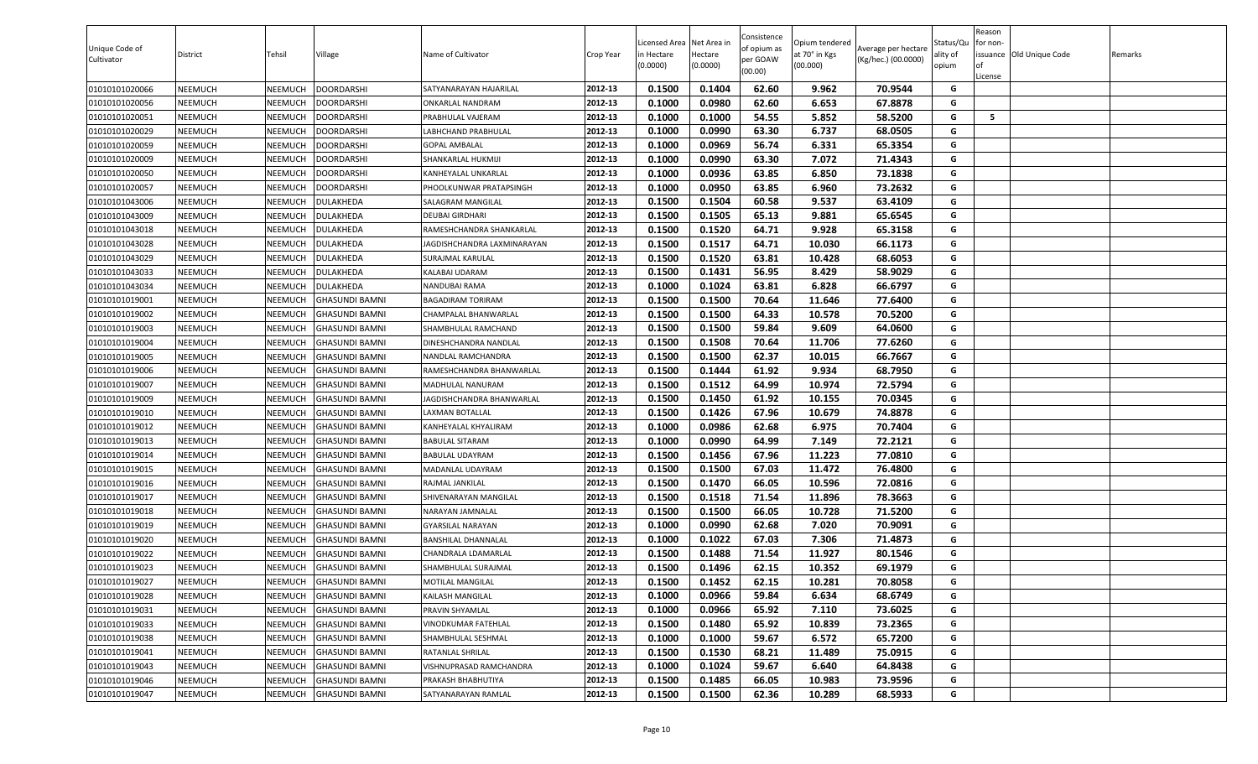| Unique Code of<br>Cultivator | District       | Tehsil         | Village               | Name of Cultivator          | Crop Year | icensed Area<br>n Hectare<br>(0.0000) | Net Area in<br>Hectare<br>(0.0000) | Consistence<br>of opium as<br>per GOAW<br>(00.00) | Opium tendered<br>at 70° in Kgs<br>(00.000) | Average per hectare<br>(Kg/hec.) (00.0000) | Status/Qu<br>ality of<br>opium | Reason<br>or non-<br>of<br>License | issuance Old Unique Code | Remarks |
|------------------------------|----------------|----------------|-----------------------|-----------------------------|-----------|---------------------------------------|------------------------------------|---------------------------------------------------|---------------------------------------------|--------------------------------------------|--------------------------------|------------------------------------|--------------------------|---------|
| 01010101020066               | NEEMUCH        | NEEMUCH        | <b>DOORDARSHI</b>     | SATYANARAYAN HAJARILAL      | 2012-13   | 0.1500                                | 0.1404                             | 62.60                                             | 9.962                                       | 70.9544                                    | G                              |                                    |                          |         |
| 01010101020056               | NEEMUCH        | NEEMUCH        | <b>DOORDARSHI</b>     | ONKARLAL NANDRAM            | 2012-13   | 0.1000                                | 0.0980                             | 62.60                                             | 6.653                                       | 67.8878                                    | G                              |                                    |                          |         |
| 01010101020051               | NEEMUCH        | NEEMUCH        | <b>DOORDARSHI</b>     | PRABHULAL VAJERAM           | 2012-13   | 0.1000                                | 0.1000                             | 54.55                                             | 5.852                                       | 58.5200                                    | G                              | 5                                  |                          |         |
| 01010101020029               | NEEMUCH        | NEEMUCH        | <b>DOORDARSHI</b>     | LABHCHAND PRABHULAL         | 2012-13   | 0.1000                                | 0.0990                             | 63.30                                             | 6.737                                       | 68.0505                                    | G                              |                                    |                          |         |
| 01010101020059               | NEEMUCH        | NEEMUCH        | <b>DOORDARSHI</b>     | <b>GOPAL AMBALAL</b>        | 2012-13   | 0.1000                                | 0.0969                             | 56.74                                             | 6.331                                       | 65.3354                                    | G                              |                                    |                          |         |
| 01010101020009               | NEEMUCH        | NEEMUCH        | <b>DOORDARSHI</b>     | SHANKARLAL HUKMIJI          | 2012-13   | 0.1000                                | 0.0990                             | 63.30                                             | 7.072                                       | 71.4343                                    | G                              |                                    |                          |         |
| 01010101020050               | NEEMUCH        | NEEMUCH        | <b>DOORDARSHI</b>     | KANHEYALAL UNKARLAL         | 2012-13   | 0.1000                                | 0.0936                             | 63.85                                             | 6.850                                       | 73.1838                                    | G                              |                                    |                          |         |
| 01010101020057               | NEEMUCH        | NEEMUCH        | <b>DOORDARSHI</b>     | PHOOLKUNWAR PRATAPSINGH     | 2012-13   | 0.1000                                | 0.0950                             | 63.85                                             | 6.960                                       | 73.2632                                    | G                              |                                    |                          |         |
| 01010101043006               | NEEMUCH        | NEEMUCH        | <b>DULAKHEDA</b>      | SALAGRAM MANGILAL           | 2012-13   | 0.1500                                | 0.1504                             | 60.58                                             | 9.537                                       | 63.4109                                    | G                              |                                    |                          |         |
| 01010101043009               | NEEMUCH        | NEEMUCH        | DULAKHEDA             | <b>DEUBAI GIRDHARI</b>      | 2012-13   | 0.1500                                | 0.1505                             | 65.13                                             | 9.881                                       | 65.6545                                    | G                              |                                    |                          |         |
| 01010101043018               | NEEMUCH        | NEEMUCH        | <b>DULAKHEDA</b>      | RAMESHCHANDRA SHANKARLAL    | 2012-13   | 0.1500                                | 0.1520                             | 64.71                                             | 9.928                                       | 65.3158                                    | G                              |                                    |                          |         |
| 01010101043028               | NEEMUCH        | NEEMUCH        | <b>DULAKHEDA</b>      | JAGDISHCHANDRA LAXMINARAYAN | 2012-13   | 0.1500                                | 0.1517                             | 64.71                                             | 10.030                                      | 66.1173                                    | G                              |                                    |                          |         |
| 01010101043029               | NEEMUCH        | NEEMUCH        | DULAKHEDA             | SURAJMAL KARULAL            | 2012-13   | 0.1500                                | 0.1520                             | 63.81                                             | 10.428                                      | 68.6053                                    | G                              |                                    |                          |         |
| 01010101043033               | NEEMUCH        | NEEMUCH        | DULAKHEDA             | <b>KALABAI UDARAM</b>       | 2012-13   | 0.1500                                | 0.1431                             | 56.95                                             | 8.429                                       | 58.9029                                    | G                              |                                    |                          |         |
| 01010101043034               | <b>NEEMUCH</b> | NEEMUCH        | <b>DULAKHEDA</b>      | NANDUBAI RAMA               | 2012-13   | 0.1000                                | 0.1024                             | 63.81                                             | 6.828                                       | 66.6797                                    | G                              |                                    |                          |         |
| 01010101019001               | NEEMUCH        | NEEMUCH        | <b>GHASUNDI BAMNI</b> | <b>BAGADIRAM TORIRAM</b>    | 2012-13   | 0.1500                                | 0.1500                             | 70.64                                             | 11.646                                      | 77.6400                                    | G                              |                                    |                          |         |
| 01010101019002               | NEEMUCH        | NEEMUCH        | <b>GHASUNDI BAMNI</b> | CHAMPALAL BHANWARLAL        | 2012-13   | 0.1500                                | 0.1500                             | 64.33                                             | 10.578                                      | 70.5200                                    | G                              |                                    |                          |         |
| 01010101019003               | NEEMUCH        | NEEMUCH        | GHASUNDI BAMNI        | SHAMBHULAL RAMCHAND         | 2012-13   | 0.1500                                | 0.1500                             | 59.84                                             | 9.609                                       | 64.0600                                    | G                              |                                    |                          |         |
| 01010101019004               | NEEMUCH        | NEEMUCH        | <b>GHASUNDI BAMNI</b> | DINESHCHANDRA NANDLAL       | 2012-13   | 0.1500                                | 0.1508                             | 70.64                                             | 11.706                                      | 77.6260                                    | G                              |                                    |                          |         |
| 01010101019005               | NEEMUCH        | NEEMUCH        | <b>GHASUNDI BAMNI</b> | NANDLAL RAMCHANDRA          | 2012-13   | 0.1500                                | 0.1500                             | 62.37                                             | 10.015                                      | 66.7667                                    | G                              |                                    |                          |         |
| 01010101019006               | NEEMUCH        | NEEMUCH        | GHASUNDI BAMNI        | RAMESHCHANDRA BHANWARLAL    | 2012-13   | 0.1500                                | 0.1444                             | 61.92                                             | 9.934                                       | 68.7950                                    | G                              |                                    |                          |         |
| 01010101019007               | NEEMUCH        | NEEMUCH        | <b>GHASUNDI BAMNI</b> | MADHULAL NANURAM            | 2012-13   | 0.1500                                | 0.1512                             | 64.99                                             | 10.974                                      | 72.5794                                    | G                              |                                    |                          |         |
| 01010101019009               | NEEMUCH        | NEEMUCH        | <b>GHASUNDI BAMNI</b> | JAGDISHCHANDRA BHANWARLAL   | 2012-13   | 0.1500                                | 0.1450                             | 61.92                                             | 10.155                                      | 70.0345                                    | G                              |                                    |                          |         |
| 01010101019010               | NEEMUCH        | NEEMUCH        | <b>GHASUNDI BAMNI</b> | LAXMAN BOTALLAL             | 2012-13   | 0.1500                                | 0.1426                             | 67.96                                             | 10.679                                      | 74.8878                                    | G                              |                                    |                          |         |
| 01010101019012               | NEEMUCH        | NEEMUCH        | <b>GHASUNDI BAMNI</b> | KANHEYALAL KHYALIRAM        | 2012-13   | 0.1000                                | 0.0986                             | 62.68                                             | 6.975                                       | 70.7404                                    | G                              |                                    |                          |         |
| 01010101019013               | NEEMUCH        | NEEMUCH        | <b>GHASUNDI BAMNI</b> | <b>BABULAL SITARAM</b>      | 2012-13   | 0.1000                                | 0.0990                             | 64.99                                             | 7.149                                       | 72.2121                                    | G                              |                                    |                          |         |
| 01010101019014               | NEEMUCH        | NEEMUCH        | GHASUNDI BAMNI        | <b>BABULAL UDAYRAM</b>      | 2012-13   | 0.1500                                | 0.1456                             | 67.96                                             | 11.223                                      | 77.0810                                    | G                              |                                    |                          |         |
| 01010101019015               | NEEMUCH        | NEEMUCH        | <b>GHASUNDI BAMNI</b> | MADANLAL UDAYRAM            | 2012-13   | 0.1500                                | 0.1500                             | 67.03                                             | 11.472                                      | 76.4800                                    | G                              |                                    |                          |         |
| 01010101019016               | NEEMUCH        | NEEMUCH        | <b>GHASUNDI BAMNI</b> | RAJMAL JANKILAL             | 2012-13   | 0.1500                                | 0.1470                             | 66.05                                             | 10.596                                      | 72.0816                                    | G                              |                                    |                          |         |
| 01010101019017               | NEEMUCH        | NEEMUCH        | <b>GHASUNDI BAMNI</b> | SHIVENARAYAN MANGILAL       | 2012-13   | 0.1500                                | 0.1518                             | 71.54                                             | 11.896                                      | 78.3663                                    | G                              |                                    |                          |         |
| 01010101019018               | NEEMUCH        | NEEMUCH        | <b>GHASUNDI BAMNI</b> | NARAYAN JAMNALAL            | 2012-13   | 0.1500                                | 0.1500                             | 66.05                                             | 10.728                                      | 71.5200                                    | G                              |                                    |                          |         |
| 01010101019019               | <b>NEEMUCH</b> | NEEMUCH        | <b>GHASUNDI BAMNI</b> | <b>GYARSILAL NARAYAN</b>    | 2012-13   | 0.1000                                | 0.0990                             | 62.68                                             | 7.020                                       | 70.9091                                    | G                              |                                    |                          |         |
| 01010101019020               | NEEMUCH        | NEEMUCH        | GHASUNDI BAMNI        | <b>BANSHILAL DHANNALAL</b>  | 2012-13   | 0.1000                                | 0.1022                             | 67.03                                             | 7.306                                       | 71.4873                                    | G                              |                                    |                          |         |
| 01010101019022               | NEEMUCH        | NEEMUCH        | <b>GHASUNDI BAMNI</b> | CHANDRALA LDAMARLAL         | 2012-13   | 0.1500                                | 0.1488                             | 71.54                                             | 11.927                                      | 80.1546                                    | G                              |                                    |                          |         |
| 01010101019023               | NEEMUCH        | NEEMUCH        | <b>GHASUNDI BAMNI</b> | SHAMBHULAL SURAJMAL         | 2012-13   | 0.1500                                | 0.1496                             | 62.15                                             | 10.352                                      | 69.1979                                    | G                              |                                    |                          |         |
| 01010101019027               | NEEMUCH        | <b>NEEMUCH</b> | <b>GHASUNDI BAMNI</b> | <b>MOTILAL MANGILAL</b>     | 2012-13   | 0.1500                                | 0.1452                             | 62.15                                             | 10.281                                      | 70.8058                                    | G                              |                                    |                          |         |
| 01010101019028               | NEEMUCH        | NEEMUCH        | <b>GHASUNDI BAMNI</b> | KAILASH MANGILAL            | 2012-13   | 0.1000                                | 0.0966                             | 59.84                                             | 6.634                                       | 68.6749                                    | G                              |                                    |                          |         |
| 01010101019031               | NEEMUCH        | NEEMUCH        | <b>GHASUNDI BAMNI</b> | PRAVIN SHYAMLAL             | 2012-13   | 0.1000                                | 0.0966                             | 65.92                                             | 7.110                                       | 73.6025                                    | G                              |                                    |                          |         |
| 01010101019033               | <b>NEEMUCH</b> | NEEMUCH        | <b>GHASUNDI BAMNI</b> | VINODKUMAR FATEHLAL         | 2012-13   | 0.1500                                | 0.1480                             | 65.92                                             | 10.839                                      | 73.2365                                    | G                              |                                    |                          |         |
| 01010101019038               | <b>NEEMUCH</b> | NEEMUCH        | <b>GHASUNDI BAMNI</b> | SHAMBHULAL SESHMAL          | 2012-13   | 0.1000                                | 0.1000                             | 59.67                                             | 6.572                                       | 65.7200                                    | G                              |                                    |                          |         |
| 01010101019041               | <b>NEEMUCH</b> | NEEMUCH        | <b>GHASUNDI BAMNI</b> | RATANLAL SHRILAL            | 2012-13   | 0.1500                                | 0.1530                             | 68.21                                             | 11.489                                      | 75.0915                                    | G                              |                                    |                          |         |
| 01010101019043               | NEEMUCH        | NEEMUCH        | <b>GHASUNDI BAMNI</b> | VISHNUPRASAD RAMCHANDRA     | 2012-13   | 0.1000                                | 0.1024                             | 59.67                                             | 6.640                                       | 64.8438                                    | G                              |                                    |                          |         |
| 01010101019046               | <b>NEEMUCH</b> | NEEMUCH        | <b>GHASUNDI BAMNI</b> | PRAKASH BHABHUTIYA          | 2012-13   | 0.1500                                | 0.1485                             | 66.05                                             | 10.983                                      | 73.9596                                    | G                              |                                    |                          |         |
| 01010101019047               | <b>NEEMUCH</b> | <b>NEEMUCH</b> | <b>GHASUNDI BAMNI</b> | SATYANARAYAN RAMLAL         | 2012-13   | 0.1500                                | 0.1500                             | 62.36                                             | 10.289                                      | 68.5933                                    | G                              |                                    |                          |         |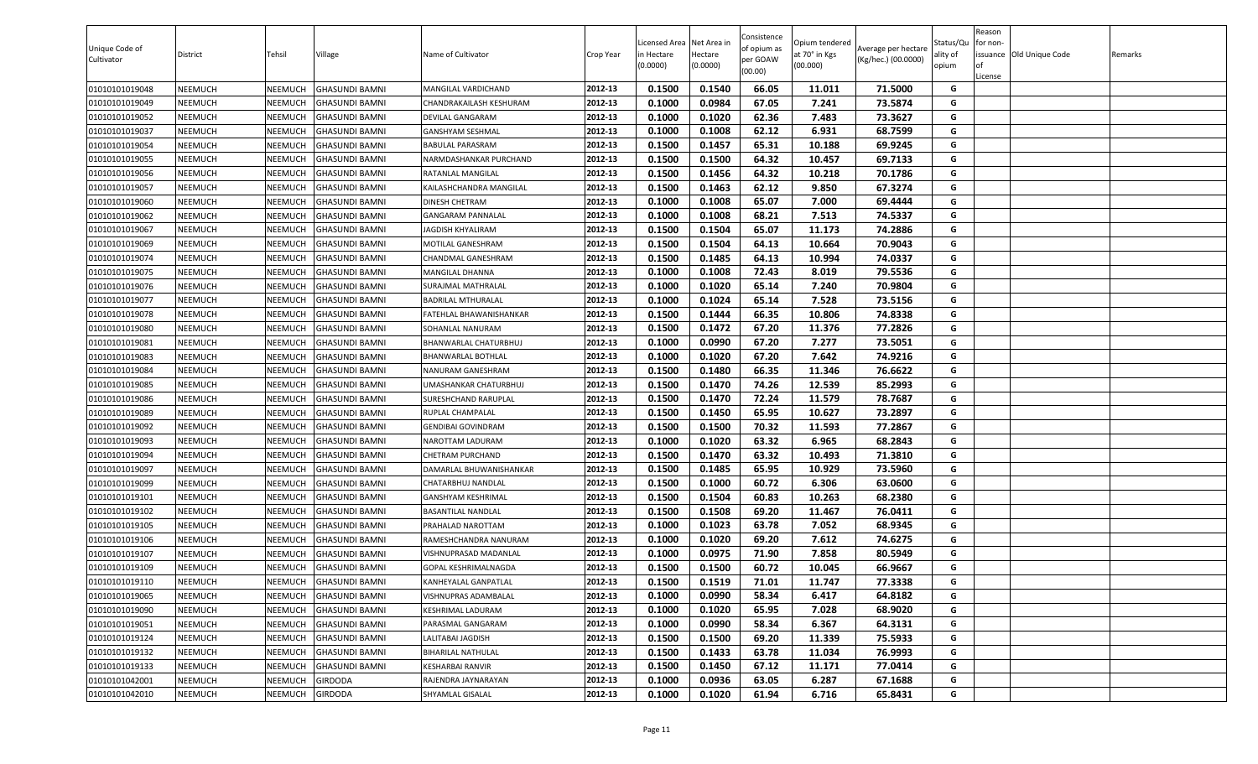| 0.1540<br>66.05<br>71.5000<br>01010101019048<br>NEEMUCH<br>NEEMUCH<br>GHASUNDI BAMNI<br>2012-13<br>0.1500<br>11.011<br>G<br>MANGILAL VARDICHAND<br>0.0984<br>73.5874<br>0.1000<br>67.05<br>7.241<br>G<br>01010101019049<br>NEEMUCH<br>NEEMUCH<br>GHASUNDI BAMNI<br>2012-13<br>CHANDRAKAILASH KESHURAM<br>0.1020<br>62.36<br>7.483<br>73.3627<br>01010101019052<br>NEEMUCH<br>NEEMUCH<br>GHASUNDI BAMNI<br>2012-13<br>0.1000<br>G<br>DEVILAL GANGARAM<br>0.1000<br>62.12<br>6.931<br>68.7599<br>G<br>2012-13<br>0.1008<br>01010101019037<br>NEEMUCH<br>NEEMUCH<br>GHASUNDI BAMNI<br>GANSHYAM SESHMAL<br>0.1500<br>0.1457<br>65.31<br>10.188<br>69.9245<br>NEEMUCH<br>NEEMUCH<br>2012-13<br>G<br>01010101019054<br>GHASUNDI BAMNI<br>BABULAL PARASRAM<br>2012-13<br>64.32<br>G<br>0.1500<br>0.1500<br>10.457<br>69.7133<br>01010101019055<br>NEEMUCH<br>NEEMUCH<br>NARMDASHANKAR PURCHAND<br>GHASUNDI BAMNI<br>01010101019056<br>NEEMUCH<br>NEEMUCH<br>2012-13<br>0.1500<br>0.1456<br>64.32<br>10.218<br>70.1786<br>G<br>GHASUNDI BAMNI<br>RATANLAL MANGILAL<br>62.12<br>67.3274<br>G<br>01010101019057<br>NEEMUCH<br>NEEMUCH<br><b>GHASUNDI BAMNI</b><br>KAILASHCHANDRA MANGILAL<br>2012-13<br>0.1500<br>0.1463<br>9.850<br>2012-13<br>0.1000<br>0.1008<br>65.07<br>7.000<br>69.4444<br>G<br>01010101019060<br>NEEMUCH<br>NEEMUCH<br>DINESH CHETRAM<br>GHASUNDI BAMNI<br>0.1000<br>0.1008<br>68.21<br>74.5337<br>01010101019062<br>NEEMUCH<br>NEEMUCH<br>GHASUNDI BAMNI<br>2012-13<br>7.513<br>G<br><b>GANGARAM PANNALAL</b><br>2012-13<br>0.1500<br>0.1504<br>65.07<br>11.173<br>74.2886<br>01010101019067<br>NEEMUCH<br>NEEMUCH<br>GHASUNDI BAMNI<br>G<br>JAGDISH KHYALIRAM<br>01010101019069<br>NEEMUCH<br>2012-13<br>0.1500<br>0.1504<br>64.13<br>10.664<br>70.9043<br>G<br>NEEMUCH<br>GHASUNDI BAMNI<br>MOTILAL GANESHRAM<br>0.1500<br>0.1485<br>64.13<br>74.0337<br>NEEMUCH<br>2012-13<br>10.994<br>G<br>01010101019074<br>NEEMUCH<br>GHASUNDI BAMNI<br>CHANDMAL GANESHRAM<br>0.1008<br>72.43<br>79.5536<br>G<br>01010101019075<br>NEEMUCH<br>NEEMUCH<br>2012-13<br>0.1000<br>8.019<br>GHASUNDI BAMNI<br>MANGILAL DHANNA<br>70.9804<br>2012-13<br>0.1000<br>0.1020<br>65.14<br>7.240<br>G<br>01010101019076<br>NEEMUCH<br>NEEMUCH<br>GHASUNDI BAMNI<br>SURAJMAL MATHRALAL<br>0.1000<br>0.1024<br>65.14<br>7.528<br>73.5156<br>01010101019077<br>NEEMUCH<br>NEEMUCH<br><b>GHASUNDI BAMNI</b><br>2012-13<br>G<br><b>BADRILAL MTHURALAL</b><br>0.1500<br>0.1444<br>66.35<br>10.806<br>74.8338<br>G<br>2012-13<br>NEEMUCH<br>01010101019078<br>NEEMUCH<br>GHASUNDI BAMNI<br>FATEHLAL BHAWANISHANKAR<br>2012-13<br>0.1500<br>0.1472<br>67.20<br>11.376<br>77.2826<br>G<br>01010101019080<br>NEEMUCH<br>NEEMUCH<br>GHASUNDI BAMNI<br>SOHANLAL NANURAM<br>2012-13<br>0.0990<br>73.5051<br>NEEMUCH<br>BHANWARLAL CHATURBHUJ<br>0.1000<br>67.20<br>7.277<br>G<br>01010101019081<br>NEEMUCH<br><b>GHASUNDI BAMNI</b><br>2012-13<br>0.1000<br>0.1020<br>67.20<br>7.642<br>74.9216<br>G<br>01010101019083<br>NEEMUCH<br>NEEMUCH<br>GHASUNDI BAMNI<br>BHANWARLAL BOTHLAL<br>66.35<br>0.1500<br>76.6622<br>G<br>NEEMUCH<br>2012-13<br>0.1480<br>11.346<br>01010101019084<br>NEEMUCH<br>GHASUNDI BAMNI<br>NANURAM GANESHRAM<br>0.1500<br>0.1470<br>74.26<br>12.539<br>85.2993<br>G<br>01010101019085<br>NEEMUCH<br>NEEMUCH<br><b>GHASUNDI BAMNI</b><br>2012-13<br>JMASHANKAR CHATURBHUJ<br>72.24<br>11.579<br>78.7687<br>NEEMUCH<br>2012-13<br>0.1500<br>0.1470<br>G<br>01010101019086<br>NEEMUCH<br>GHASUNDI BAMNI<br>SURESHCHAND RARUPLAL<br>0.1500<br>0.1450<br>65.95<br>10.627<br>73.2897<br>G<br>01010101019089<br>NEEMUCH<br>NEEMUCH<br>GHASUNDI BAMNI<br>2012-13<br>RUPLAL CHAMPALAL<br>0.1500<br>0.1500<br>70.32<br>11.593<br>77.2867<br>G<br>01010101019092<br>NEEMUCH<br>NEEMUCH<br>2012-13<br>GHASUNDI BAMNI<br>GENDIBAI GOVINDRAM<br>0.1000<br>0.1020<br>63.32<br>6.965<br>68.2843<br>01010101019093<br>NEEMUCH<br>NEEMUCH<br>GHASUNDI BAMNI<br>2012-13<br>G<br>NAROTTAM LADURAM<br>63.32<br>NEEMUCH<br>0.1500<br>0.1470<br>10.493<br>71.3810<br>G<br>01010101019094<br>NEEMUCH<br>GHASUNDI BAMNI<br>2012-13<br>CHETRAM PURCHAND<br>0.1500<br>0.1485<br>65.95<br>10.929<br>73.5960<br>01010101019097<br>NEEMUCH<br>NEEMUCH<br>GHASUNDI BAMNI<br>2012-13<br>G<br>DAMARLAL BHUWANISHANKAR<br>G<br>2012-13<br>0.1000<br>60.72<br>01010101019099<br>NEEMUCH<br>NEEMUCH<br>GHASUNDI BAMNI<br>0.1500<br>6.306<br>63.0600<br>CHATARBHUJ NANDLAL<br>2012-13<br>0.1500<br>0.1504<br>60.83<br>10.263<br>68.2380<br>G<br>NEEMUCH<br>01010101019101<br>NEEMUCH<br>GHASUNDI BAMNI<br>GANSHYAM KESHRIMAL<br>G<br>2012-13<br>0.1500<br>0.1508<br>69.20<br>76.0411<br>01010101019102<br>NEEMUCH<br>NEEMUCH<br>BASANTILAL NANDLAL<br>11.467<br><b>GHASUNDI BAMNI</b><br>2012-13<br>0.1000<br>0.1023<br>63.78<br>7.052<br>68.9345<br>G<br>01010101019105<br>NEEMUCH<br>NEEMUCH<br><b>GHASUNDI BAMNI</b><br>PRAHALAD NAROTTAM<br>69.20<br>7.612<br>74.6275<br>01010101019106<br>NEEMUCH<br>NEEMUCH<br>GHASUNDI BAMNI<br>2012-13<br>0.1000<br>0.1020<br>G<br>RAMESHCHANDRA NANURAM<br>0.0975<br>7.858<br>80.5949<br>NEEMUCH<br>NEEMUCH<br>0.1000<br>71.90<br>G<br>01010101019107<br>GHASUNDI BAMNI<br>2012-13<br>VISHNUPRASAD MADANLAL<br>0.1500<br>0.1500<br>60.72<br>10.045<br>66.9667<br>01010101019109<br>NEEMUCH<br>NEEMUCH<br><b>GHASUNDI BAMNI</b><br>2012-13<br>G<br>GOPAL KESHRIMALNAGDA<br>01010101019110<br>NEEMUCH<br>NEEMUCH<br>2012-13<br>0.1500<br>0.1519<br>71.01<br>11.747<br>77.3338<br>G<br><b>GHASUNDI BAMNI</b><br>KANHEYALAL GANPATLAL<br>0.0990<br>01010101019065<br>NEEMUCH<br>NEEMUCH<br>GHASUNDI BAMNI<br>2012-13<br>0.1000<br>58.34<br>6.417<br>64.8182<br>G<br>VISHNUPRAS ADAMBALAL<br>0.1000<br>65.95<br>7.028<br>68.9020<br>01010101019090<br>NEEMUCH<br>2012-13<br>0.1020<br>G<br>NEEMUCH<br>GHASUNDI BAMNI<br>KESHRIMAL LADURAM<br>58.34<br>6.367<br>0.1000<br>0.0990<br>64.3131<br>G<br>01010101019051<br>NEEMUCH<br>NEEMUCH<br><b>GHASUNDI BAMNI</b><br>PARASMAL GANGARAM<br>2012-13<br>01010101019124<br>NEEMUCH<br>NEEMUCH<br><b>GHASUNDI BAMNI</b><br>2012-13<br>0.1500<br>0.1500<br>69.20<br>11.339<br>75.5933<br>G<br>LALITABAI JAGDISH<br>01010101019132<br>2012-13<br>0.1433<br>63.78<br>11.034<br>76.9993<br>G<br>NEEMUCH<br>NEEMUCH<br><b>GHASUNDI BAMNI</b><br>BIHARILAL NATHULAL<br>0.1500<br>01010101019133<br>KESHARBAI RANVIR<br>2012-13<br>67.12<br>G<br>NEEMUCH<br>NEEMUCH<br>GHASUNDI BAMNI<br>0.1500<br>0.1450<br>11.171<br>77.0414<br>01010101042001<br>RAJENDRA JAYNARAYAN<br>2012-13<br>0.0936<br>63.05<br>6.287<br>67.1688<br>G<br>NEEMUCH<br>NEEMUCH<br>GIRDODA<br>0.1000<br>2012-13<br>G<br>01010101042010<br>NEEMUCH<br>SHYAMLAL GISALAL<br>0.1000<br>0.1020<br>61.94<br>6.716<br>65.8431<br>NEEMUCH<br><b>GIRDODA</b> | Unique Code of<br>Cultivator | District | Tehsil | Village | Name of Cultivator | Crop Year | Licensed Area Net Area in<br>in Hectare<br>(0.0000) | Hectare<br>(0.0000) | Consistence<br>of opium as<br>per GOAW<br>(00.00) | Opium tendered<br>at 70° in Kgs<br>(00.000) | Average per hectare<br>(Kg/hec.) (00.0000) | Status/Qu<br>ality of<br>opium | Reason<br>for non-<br>License | issuance Old Unique Code | Remarks |
|-----------------------------------------------------------------------------------------------------------------------------------------------------------------------------------------------------------------------------------------------------------------------------------------------------------------------------------------------------------------------------------------------------------------------------------------------------------------------------------------------------------------------------------------------------------------------------------------------------------------------------------------------------------------------------------------------------------------------------------------------------------------------------------------------------------------------------------------------------------------------------------------------------------------------------------------------------------------------------------------------------------------------------------------------------------------------------------------------------------------------------------------------------------------------------------------------------------------------------------------------------------------------------------------------------------------------------------------------------------------------------------------------------------------------------------------------------------------------------------------------------------------------------------------------------------------------------------------------------------------------------------------------------------------------------------------------------------------------------------------------------------------------------------------------------------------------------------------------------------------------------------------------------------------------------------------------------------------------------------------------------------------------------------------------------------------------------------------------------------------------------------------------------------------------------------------------------------------------------------------------------------------------------------------------------------------------------------------------------------------------------------------------------------------------------------------------------------------------------------------------------------------------------------------------------------------------------------------------------------------------------------------------------------------------------------------------------------------------------------------------------------------------------------------------------------------------------------------------------------------------------------------------------------------------------------------------------------------------------------------------------------------------------------------------------------------------------------------------------------------------------------------------------------------------------------------------------------------------------------------------------------------------------------------------------------------------------------------------------------------------------------------------------------------------------------------------------------------------------------------------------------------------------------------------------------------------------------------------------------------------------------------------------------------------------------------------------------------------------------------------------------------------------------------------------------------------------------------------------------------------------------------------------------------------------------------------------------------------------------------------------------------------------------------------------------------------------------------------------------------------------------------------------------------------------------------------------------------------------------------------------------------------------------------------------------------------------------------------------------------------------------------------------------------------------------------------------------------------------------------------------------------------------------------------------------------------------------------------------------------------------------------------------------------------------------------------------------------------------------------------------------------------------------------------------------------------------------------------------------------------------------------------------------------------------------------------------------------------------------------------------------------------------------------------------------------------------------------------------------------------------------------------------------------------------------------------------------------------------------------------------------------------------------------------------------------------------------------------------------------------------------------------------------------------------------------------------------------------------------------------------------------------------------------------------------------------------------------------------------------------------------------------------------------------------------------------------------------------------------------------------------------------------------------------------------------------------------------------------------------------------------------------------------------------------------------------------------------------------------------------------------------------------------------------------------------------------------------------------------------------------------------------------------------------------------------------------------------------------------------------------------------------------------------------------------------------------------------------------------------------------------------------------------------------------------------------------------------------------------------------------------------------------------------------------------------------------------------------------------------------------------------------------------------------------------------------------------------------------------------------------------------|------------------------------|----------|--------|---------|--------------------|-----------|-----------------------------------------------------|---------------------|---------------------------------------------------|---------------------------------------------|--------------------------------------------|--------------------------------|-------------------------------|--------------------------|---------|
|                                                                                                                                                                                                                                                                                                                                                                                                                                                                                                                                                                                                                                                                                                                                                                                                                                                                                                                                                                                                                                                                                                                                                                                                                                                                                                                                                                                                                                                                                                                                                                                                                                                                                                                                                                                                                                                                                                                                                                                                                                                                                                                                                                                                                                                                                                                                                                                                                                                                                                                                                                                                                                                                                                                                                                                                                                                                                                                                                                                                                                                                                                                                                                                                                                                                                                                                                                                                                                                                                                                                                                                                                                                                                                                                                                                                                                                                                                                                                                                                                                                                                                                                                                                                                                                                                                                                                                                                                                                                                                                                                                                                                                                                                                                                                                                                                                                                                                                                                                                                                                                                                                                                                                                                                                                                                                                                                                                                                                                                                                                                                                                                                                                                                                                                                                                                                                                                                                                                                                                                                                                                                                                                                                                                                                                                                                                                                                                                                                                                                                                                                                                                                                                                                                                                                                 |                              |          |        |         |                    |           |                                                     |                     |                                                   |                                             |                                            |                                |                               |                          |         |
|                                                                                                                                                                                                                                                                                                                                                                                                                                                                                                                                                                                                                                                                                                                                                                                                                                                                                                                                                                                                                                                                                                                                                                                                                                                                                                                                                                                                                                                                                                                                                                                                                                                                                                                                                                                                                                                                                                                                                                                                                                                                                                                                                                                                                                                                                                                                                                                                                                                                                                                                                                                                                                                                                                                                                                                                                                                                                                                                                                                                                                                                                                                                                                                                                                                                                                                                                                                                                                                                                                                                                                                                                                                                                                                                                                                                                                                                                                                                                                                                                                                                                                                                                                                                                                                                                                                                                                                                                                                                                                                                                                                                                                                                                                                                                                                                                                                                                                                                                                                                                                                                                                                                                                                                                                                                                                                                                                                                                                                                                                                                                                                                                                                                                                                                                                                                                                                                                                                                                                                                                                                                                                                                                                                                                                                                                                                                                                                                                                                                                                                                                                                                                                                                                                                                                                 |                              |          |        |         |                    |           |                                                     |                     |                                                   |                                             |                                            |                                |                               |                          |         |
|                                                                                                                                                                                                                                                                                                                                                                                                                                                                                                                                                                                                                                                                                                                                                                                                                                                                                                                                                                                                                                                                                                                                                                                                                                                                                                                                                                                                                                                                                                                                                                                                                                                                                                                                                                                                                                                                                                                                                                                                                                                                                                                                                                                                                                                                                                                                                                                                                                                                                                                                                                                                                                                                                                                                                                                                                                                                                                                                                                                                                                                                                                                                                                                                                                                                                                                                                                                                                                                                                                                                                                                                                                                                                                                                                                                                                                                                                                                                                                                                                                                                                                                                                                                                                                                                                                                                                                                                                                                                                                                                                                                                                                                                                                                                                                                                                                                                                                                                                                                                                                                                                                                                                                                                                                                                                                                                                                                                                                                                                                                                                                                                                                                                                                                                                                                                                                                                                                                                                                                                                                                                                                                                                                                                                                                                                                                                                                                                                                                                                                                                                                                                                                                                                                                                                                 |                              |          |        |         |                    |           |                                                     |                     |                                                   |                                             |                                            |                                |                               |                          |         |
|                                                                                                                                                                                                                                                                                                                                                                                                                                                                                                                                                                                                                                                                                                                                                                                                                                                                                                                                                                                                                                                                                                                                                                                                                                                                                                                                                                                                                                                                                                                                                                                                                                                                                                                                                                                                                                                                                                                                                                                                                                                                                                                                                                                                                                                                                                                                                                                                                                                                                                                                                                                                                                                                                                                                                                                                                                                                                                                                                                                                                                                                                                                                                                                                                                                                                                                                                                                                                                                                                                                                                                                                                                                                                                                                                                                                                                                                                                                                                                                                                                                                                                                                                                                                                                                                                                                                                                                                                                                                                                                                                                                                                                                                                                                                                                                                                                                                                                                                                                                                                                                                                                                                                                                                                                                                                                                                                                                                                                                                                                                                                                                                                                                                                                                                                                                                                                                                                                                                                                                                                                                                                                                                                                                                                                                                                                                                                                                                                                                                                                                                                                                                                                                                                                                                                                 |                              |          |        |         |                    |           |                                                     |                     |                                                   |                                             |                                            |                                |                               |                          |         |
|                                                                                                                                                                                                                                                                                                                                                                                                                                                                                                                                                                                                                                                                                                                                                                                                                                                                                                                                                                                                                                                                                                                                                                                                                                                                                                                                                                                                                                                                                                                                                                                                                                                                                                                                                                                                                                                                                                                                                                                                                                                                                                                                                                                                                                                                                                                                                                                                                                                                                                                                                                                                                                                                                                                                                                                                                                                                                                                                                                                                                                                                                                                                                                                                                                                                                                                                                                                                                                                                                                                                                                                                                                                                                                                                                                                                                                                                                                                                                                                                                                                                                                                                                                                                                                                                                                                                                                                                                                                                                                                                                                                                                                                                                                                                                                                                                                                                                                                                                                                                                                                                                                                                                                                                                                                                                                                                                                                                                                                                                                                                                                                                                                                                                                                                                                                                                                                                                                                                                                                                                                                                                                                                                                                                                                                                                                                                                                                                                                                                                                                                                                                                                                                                                                                                                                 |                              |          |        |         |                    |           |                                                     |                     |                                                   |                                             |                                            |                                |                               |                          |         |
|                                                                                                                                                                                                                                                                                                                                                                                                                                                                                                                                                                                                                                                                                                                                                                                                                                                                                                                                                                                                                                                                                                                                                                                                                                                                                                                                                                                                                                                                                                                                                                                                                                                                                                                                                                                                                                                                                                                                                                                                                                                                                                                                                                                                                                                                                                                                                                                                                                                                                                                                                                                                                                                                                                                                                                                                                                                                                                                                                                                                                                                                                                                                                                                                                                                                                                                                                                                                                                                                                                                                                                                                                                                                                                                                                                                                                                                                                                                                                                                                                                                                                                                                                                                                                                                                                                                                                                                                                                                                                                                                                                                                                                                                                                                                                                                                                                                                                                                                                                                                                                                                                                                                                                                                                                                                                                                                                                                                                                                                                                                                                                                                                                                                                                                                                                                                                                                                                                                                                                                                                                                                                                                                                                                                                                                                                                                                                                                                                                                                                                                                                                                                                                                                                                                                                                 |                              |          |        |         |                    |           |                                                     |                     |                                                   |                                             |                                            |                                |                               |                          |         |
|                                                                                                                                                                                                                                                                                                                                                                                                                                                                                                                                                                                                                                                                                                                                                                                                                                                                                                                                                                                                                                                                                                                                                                                                                                                                                                                                                                                                                                                                                                                                                                                                                                                                                                                                                                                                                                                                                                                                                                                                                                                                                                                                                                                                                                                                                                                                                                                                                                                                                                                                                                                                                                                                                                                                                                                                                                                                                                                                                                                                                                                                                                                                                                                                                                                                                                                                                                                                                                                                                                                                                                                                                                                                                                                                                                                                                                                                                                                                                                                                                                                                                                                                                                                                                                                                                                                                                                                                                                                                                                                                                                                                                                                                                                                                                                                                                                                                                                                                                                                                                                                                                                                                                                                                                                                                                                                                                                                                                                                                                                                                                                                                                                                                                                                                                                                                                                                                                                                                                                                                                                                                                                                                                                                                                                                                                                                                                                                                                                                                                                                                                                                                                                                                                                                                                                 |                              |          |        |         |                    |           |                                                     |                     |                                                   |                                             |                                            |                                |                               |                          |         |
|                                                                                                                                                                                                                                                                                                                                                                                                                                                                                                                                                                                                                                                                                                                                                                                                                                                                                                                                                                                                                                                                                                                                                                                                                                                                                                                                                                                                                                                                                                                                                                                                                                                                                                                                                                                                                                                                                                                                                                                                                                                                                                                                                                                                                                                                                                                                                                                                                                                                                                                                                                                                                                                                                                                                                                                                                                                                                                                                                                                                                                                                                                                                                                                                                                                                                                                                                                                                                                                                                                                                                                                                                                                                                                                                                                                                                                                                                                                                                                                                                                                                                                                                                                                                                                                                                                                                                                                                                                                                                                                                                                                                                                                                                                                                                                                                                                                                                                                                                                                                                                                                                                                                                                                                                                                                                                                                                                                                                                                                                                                                                                                                                                                                                                                                                                                                                                                                                                                                                                                                                                                                                                                                                                                                                                                                                                                                                                                                                                                                                                                                                                                                                                                                                                                                                                 |                              |          |        |         |                    |           |                                                     |                     |                                                   |                                             |                                            |                                |                               |                          |         |
|                                                                                                                                                                                                                                                                                                                                                                                                                                                                                                                                                                                                                                                                                                                                                                                                                                                                                                                                                                                                                                                                                                                                                                                                                                                                                                                                                                                                                                                                                                                                                                                                                                                                                                                                                                                                                                                                                                                                                                                                                                                                                                                                                                                                                                                                                                                                                                                                                                                                                                                                                                                                                                                                                                                                                                                                                                                                                                                                                                                                                                                                                                                                                                                                                                                                                                                                                                                                                                                                                                                                                                                                                                                                                                                                                                                                                                                                                                                                                                                                                                                                                                                                                                                                                                                                                                                                                                                                                                                                                                                                                                                                                                                                                                                                                                                                                                                                                                                                                                                                                                                                                                                                                                                                                                                                                                                                                                                                                                                                                                                                                                                                                                                                                                                                                                                                                                                                                                                                                                                                                                                                                                                                                                                                                                                                                                                                                                                                                                                                                                                                                                                                                                                                                                                                                                 |                              |          |        |         |                    |           |                                                     |                     |                                                   |                                             |                                            |                                |                               |                          |         |
|                                                                                                                                                                                                                                                                                                                                                                                                                                                                                                                                                                                                                                                                                                                                                                                                                                                                                                                                                                                                                                                                                                                                                                                                                                                                                                                                                                                                                                                                                                                                                                                                                                                                                                                                                                                                                                                                                                                                                                                                                                                                                                                                                                                                                                                                                                                                                                                                                                                                                                                                                                                                                                                                                                                                                                                                                                                                                                                                                                                                                                                                                                                                                                                                                                                                                                                                                                                                                                                                                                                                                                                                                                                                                                                                                                                                                                                                                                                                                                                                                                                                                                                                                                                                                                                                                                                                                                                                                                                                                                                                                                                                                                                                                                                                                                                                                                                                                                                                                                                                                                                                                                                                                                                                                                                                                                                                                                                                                                                                                                                                                                                                                                                                                                                                                                                                                                                                                                                                                                                                                                                                                                                                                                                                                                                                                                                                                                                                                                                                                                                                                                                                                                                                                                                                                                 |                              |          |        |         |                    |           |                                                     |                     |                                                   |                                             |                                            |                                |                               |                          |         |
|                                                                                                                                                                                                                                                                                                                                                                                                                                                                                                                                                                                                                                                                                                                                                                                                                                                                                                                                                                                                                                                                                                                                                                                                                                                                                                                                                                                                                                                                                                                                                                                                                                                                                                                                                                                                                                                                                                                                                                                                                                                                                                                                                                                                                                                                                                                                                                                                                                                                                                                                                                                                                                                                                                                                                                                                                                                                                                                                                                                                                                                                                                                                                                                                                                                                                                                                                                                                                                                                                                                                                                                                                                                                                                                                                                                                                                                                                                                                                                                                                                                                                                                                                                                                                                                                                                                                                                                                                                                                                                                                                                                                                                                                                                                                                                                                                                                                                                                                                                                                                                                                                                                                                                                                                                                                                                                                                                                                                                                                                                                                                                                                                                                                                                                                                                                                                                                                                                                                                                                                                                                                                                                                                                                                                                                                                                                                                                                                                                                                                                                                                                                                                                                                                                                                                                 |                              |          |        |         |                    |           |                                                     |                     |                                                   |                                             |                                            |                                |                               |                          |         |
|                                                                                                                                                                                                                                                                                                                                                                                                                                                                                                                                                                                                                                                                                                                                                                                                                                                                                                                                                                                                                                                                                                                                                                                                                                                                                                                                                                                                                                                                                                                                                                                                                                                                                                                                                                                                                                                                                                                                                                                                                                                                                                                                                                                                                                                                                                                                                                                                                                                                                                                                                                                                                                                                                                                                                                                                                                                                                                                                                                                                                                                                                                                                                                                                                                                                                                                                                                                                                                                                                                                                                                                                                                                                                                                                                                                                                                                                                                                                                                                                                                                                                                                                                                                                                                                                                                                                                                                                                                                                                                                                                                                                                                                                                                                                                                                                                                                                                                                                                                                                                                                                                                                                                                                                                                                                                                                                                                                                                                                                                                                                                                                                                                                                                                                                                                                                                                                                                                                                                                                                                                                                                                                                                                                                                                                                                                                                                                                                                                                                                                                                                                                                                                                                                                                                                                 |                              |          |        |         |                    |           |                                                     |                     |                                                   |                                             |                                            |                                |                               |                          |         |
|                                                                                                                                                                                                                                                                                                                                                                                                                                                                                                                                                                                                                                                                                                                                                                                                                                                                                                                                                                                                                                                                                                                                                                                                                                                                                                                                                                                                                                                                                                                                                                                                                                                                                                                                                                                                                                                                                                                                                                                                                                                                                                                                                                                                                                                                                                                                                                                                                                                                                                                                                                                                                                                                                                                                                                                                                                                                                                                                                                                                                                                                                                                                                                                                                                                                                                                                                                                                                                                                                                                                                                                                                                                                                                                                                                                                                                                                                                                                                                                                                                                                                                                                                                                                                                                                                                                                                                                                                                                                                                                                                                                                                                                                                                                                                                                                                                                                                                                                                                                                                                                                                                                                                                                                                                                                                                                                                                                                                                                                                                                                                                                                                                                                                                                                                                                                                                                                                                                                                                                                                                                                                                                                                                                                                                                                                                                                                                                                                                                                                                                                                                                                                                                                                                                                                                 |                              |          |        |         |                    |           |                                                     |                     |                                                   |                                             |                                            |                                |                               |                          |         |
|                                                                                                                                                                                                                                                                                                                                                                                                                                                                                                                                                                                                                                                                                                                                                                                                                                                                                                                                                                                                                                                                                                                                                                                                                                                                                                                                                                                                                                                                                                                                                                                                                                                                                                                                                                                                                                                                                                                                                                                                                                                                                                                                                                                                                                                                                                                                                                                                                                                                                                                                                                                                                                                                                                                                                                                                                                                                                                                                                                                                                                                                                                                                                                                                                                                                                                                                                                                                                                                                                                                                                                                                                                                                                                                                                                                                                                                                                                                                                                                                                                                                                                                                                                                                                                                                                                                                                                                                                                                                                                                                                                                                                                                                                                                                                                                                                                                                                                                                                                                                                                                                                                                                                                                                                                                                                                                                                                                                                                                                                                                                                                                                                                                                                                                                                                                                                                                                                                                                                                                                                                                                                                                                                                                                                                                                                                                                                                                                                                                                                                                                                                                                                                                                                                                                                                 |                              |          |        |         |                    |           |                                                     |                     |                                                   |                                             |                                            |                                |                               |                          |         |
|                                                                                                                                                                                                                                                                                                                                                                                                                                                                                                                                                                                                                                                                                                                                                                                                                                                                                                                                                                                                                                                                                                                                                                                                                                                                                                                                                                                                                                                                                                                                                                                                                                                                                                                                                                                                                                                                                                                                                                                                                                                                                                                                                                                                                                                                                                                                                                                                                                                                                                                                                                                                                                                                                                                                                                                                                                                                                                                                                                                                                                                                                                                                                                                                                                                                                                                                                                                                                                                                                                                                                                                                                                                                                                                                                                                                                                                                                                                                                                                                                                                                                                                                                                                                                                                                                                                                                                                                                                                                                                                                                                                                                                                                                                                                                                                                                                                                                                                                                                                                                                                                                                                                                                                                                                                                                                                                                                                                                                                                                                                                                                                                                                                                                                                                                                                                                                                                                                                                                                                                                                                                                                                                                                                                                                                                                                                                                                                                                                                                                                                                                                                                                                                                                                                                                                 |                              |          |        |         |                    |           |                                                     |                     |                                                   |                                             |                                            |                                |                               |                          |         |
|                                                                                                                                                                                                                                                                                                                                                                                                                                                                                                                                                                                                                                                                                                                                                                                                                                                                                                                                                                                                                                                                                                                                                                                                                                                                                                                                                                                                                                                                                                                                                                                                                                                                                                                                                                                                                                                                                                                                                                                                                                                                                                                                                                                                                                                                                                                                                                                                                                                                                                                                                                                                                                                                                                                                                                                                                                                                                                                                                                                                                                                                                                                                                                                                                                                                                                                                                                                                                                                                                                                                                                                                                                                                                                                                                                                                                                                                                                                                                                                                                                                                                                                                                                                                                                                                                                                                                                                                                                                                                                                                                                                                                                                                                                                                                                                                                                                                                                                                                                                                                                                                                                                                                                                                                                                                                                                                                                                                                                                                                                                                                                                                                                                                                                                                                                                                                                                                                                                                                                                                                                                                                                                                                                                                                                                                                                                                                                                                                                                                                                                                                                                                                                                                                                                                                                 |                              |          |        |         |                    |           |                                                     |                     |                                                   |                                             |                                            |                                |                               |                          |         |
|                                                                                                                                                                                                                                                                                                                                                                                                                                                                                                                                                                                                                                                                                                                                                                                                                                                                                                                                                                                                                                                                                                                                                                                                                                                                                                                                                                                                                                                                                                                                                                                                                                                                                                                                                                                                                                                                                                                                                                                                                                                                                                                                                                                                                                                                                                                                                                                                                                                                                                                                                                                                                                                                                                                                                                                                                                                                                                                                                                                                                                                                                                                                                                                                                                                                                                                                                                                                                                                                                                                                                                                                                                                                                                                                                                                                                                                                                                                                                                                                                                                                                                                                                                                                                                                                                                                                                                                                                                                                                                                                                                                                                                                                                                                                                                                                                                                                                                                                                                                                                                                                                                                                                                                                                                                                                                                                                                                                                                                                                                                                                                                                                                                                                                                                                                                                                                                                                                                                                                                                                                                                                                                                                                                                                                                                                                                                                                                                                                                                                                                                                                                                                                                                                                                                                                 |                              |          |        |         |                    |           |                                                     |                     |                                                   |                                             |                                            |                                |                               |                          |         |
|                                                                                                                                                                                                                                                                                                                                                                                                                                                                                                                                                                                                                                                                                                                                                                                                                                                                                                                                                                                                                                                                                                                                                                                                                                                                                                                                                                                                                                                                                                                                                                                                                                                                                                                                                                                                                                                                                                                                                                                                                                                                                                                                                                                                                                                                                                                                                                                                                                                                                                                                                                                                                                                                                                                                                                                                                                                                                                                                                                                                                                                                                                                                                                                                                                                                                                                                                                                                                                                                                                                                                                                                                                                                                                                                                                                                                                                                                                                                                                                                                                                                                                                                                                                                                                                                                                                                                                                                                                                                                                                                                                                                                                                                                                                                                                                                                                                                                                                                                                                                                                                                                                                                                                                                                                                                                                                                                                                                                                                                                                                                                                                                                                                                                                                                                                                                                                                                                                                                                                                                                                                                                                                                                                                                                                                                                                                                                                                                                                                                                                                                                                                                                                                                                                                                                                 |                              |          |        |         |                    |           |                                                     |                     |                                                   |                                             |                                            |                                |                               |                          |         |
|                                                                                                                                                                                                                                                                                                                                                                                                                                                                                                                                                                                                                                                                                                                                                                                                                                                                                                                                                                                                                                                                                                                                                                                                                                                                                                                                                                                                                                                                                                                                                                                                                                                                                                                                                                                                                                                                                                                                                                                                                                                                                                                                                                                                                                                                                                                                                                                                                                                                                                                                                                                                                                                                                                                                                                                                                                                                                                                                                                                                                                                                                                                                                                                                                                                                                                                                                                                                                                                                                                                                                                                                                                                                                                                                                                                                                                                                                                                                                                                                                                                                                                                                                                                                                                                                                                                                                                                                                                                                                                                                                                                                                                                                                                                                                                                                                                                                                                                                                                                                                                                                                                                                                                                                                                                                                                                                                                                                                                                                                                                                                                                                                                                                                                                                                                                                                                                                                                                                                                                                                                                                                                                                                                                                                                                                                                                                                                                                                                                                                                                                                                                                                                                                                                                                                                 |                              |          |        |         |                    |           |                                                     |                     |                                                   |                                             |                                            |                                |                               |                          |         |
|                                                                                                                                                                                                                                                                                                                                                                                                                                                                                                                                                                                                                                                                                                                                                                                                                                                                                                                                                                                                                                                                                                                                                                                                                                                                                                                                                                                                                                                                                                                                                                                                                                                                                                                                                                                                                                                                                                                                                                                                                                                                                                                                                                                                                                                                                                                                                                                                                                                                                                                                                                                                                                                                                                                                                                                                                                                                                                                                                                                                                                                                                                                                                                                                                                                                                                                                                                                                                                                                                                                                                                                                                                                                                                                                                                                                                                                                                                                                                                                                                                                                                                                                                                                                                                                                                                                                                                                                                                                                                                                                                                                                                                                                                                                                                                                                                                                                                                                                                                                                                                                                                                                                                                                                                                                                                                                                                                                                                                                                                                                                                                                                                                                                                                                                                                                                                                                                                                                                                                                                                                                                                                                                                                                                                                                                                                                                                                                                                                                                                                                                                                                                                                                                                                                                                                 |                              |          |        |         |                    |           |                                                     |                     |                                                   |                                             |                                            |                                |                               |                          |         |
|                                                                                                                                                                                                                                                                                                                                                                                                                                                                                                                                                                                                                                                                                                                                                                                                                                                                                                                                                                                                                                                                                                                                                                                                                                                                                                                                                                                                                                                                                                                                                                                                                                                                                                                                                                                                                                                                                                                                                                                                                                                                                                                                                                                                                                                                                                                                                                                                                                                                                                                                                                                                                                                                                                                                                                                                                                                                                                                                                                                                                                                                                                                                                                                                                                                                                                                                                                                                                                                                                                                                                                                                                                                                                                                                                                                                                                                                                                                                                                                                                                                                                                                                                                                                                                                                                                                                                                                                                                                                                                                                                                                                                                                                                                                                                                                                                                                                                                                                                                                                                                                                                                                                                                                                                                                                                                                                                                                                                                                                                                                                                                                                                                                                                                                                                                                                                                                                                                                                                                                                                                                                                                                                                                                                                                                                                                                                                                                                                                                                                                                                                                                                                                                                                                                                                                 |                              |          |        |         |                    |           |                                                     |                     |                                                   |                                             |                                            |                                |                               |                          |         |
|                                                                                                                                                                                                                                                                                                                                                                                                                                                                                                                                                                                                                                                                                                                                                                                                                                                                                                                                                                                                                                                                                                                                                                                                                                                                                                                                                                                                                                                                                                                                                                                                                                                                                                                                                                                                                                                                                                                                                                                                                                                                                                                                                                                                                                                                                                                                                                                                                                                                                                                                                                                                                                                                                                                                                                                                                                                                                                                                                                                                                                                                                                                                                                                                                                                                                                                                                                                                                                                                                                                                                                                                                                                                                                                                                                                                                                                                                                                                                                                                                                                                                                                                                                                                                                                                                                                                                                                                                                                                                                                                                                                                                                                                                                                                                                                                                                                                                                                                                                                                                                                                                                                                                                                                                                                                                                                                                                                                                                                                                                                                                                                                                                                                                                                                                                                                                                                                                                                                                                                                                                                                                                                                                                                                                                                                                                                                                                                                                                                                                                                                                                                                                                                                                                                                                                 |                              |          |        |         |                    |           |                                                     |                     |                                                   |                                             |                                            |                                |                               |                          |         |
|                                                                                                                                                                                                                                                                                                                                                                                                                                                                                                                                                                                                                                                                                                                                                                                                                                                                                                                                                                                                                                                                                                                                                                                                                                                                                                                                                                                                                                                                                                                                                                                                                                                                                                                                                                                                                                                                                                                                                                                                                                                                                                                                                                                                                                                                                                                                                                                                                                                                                                                                                                                                                                                                                                                                                                                                                                                                                                                                                                                                                                                                                                                                                                                                                                                                                                                                                                                                                                                                                                                                                                                                                                                                                                                                                                                                                                                                                                                                                                                                                                                                                                                                                                                                                                                                                                                                                                                                                                                                                                                                                                                                                                                                                                                                                                                                                                                                                                                                                                                                                                                                                                                                                                                                                                                                                                                                                                                                                                                                                                                                                                                                                                                                                                                                                                                                                                                                                                                                                                                                                                                                                                                                                                                                                                                                                                                                                                                                                                                                                                                                                                                                                                                                                                                                                                 |                              |          |        |         |                    |           |                                                     |                     |                                                   |                                             |                                            |                                |                               |                          |         |
|                                                                                                                                                                                                                                                                                                                                                                                                                                                                                                                                                                                                                                                                                                                                                                                                                                                                                                                                                                                                                                                                                                                                                                                                                                                                                                                                                                                                                                                                                                                                                                                                                                                                                                                                                                                                                                                                                                                                                                                                                                                                                                                                                                                                                                                                                                                                                                                                                                                                                                                                                                                                                                                                                                                                                                                                                                                                                                                                                                                                                                                                                                                                                                                                                                                                                                                                                                                                                                                                                                                                                                                                                                                                                                                                                                                                                                                                                                                                                                                                                                                                                                                                                                                                                                                                                                                                                                                                                                                                                                                                                                                                                                                                                                                                                                                                                                                                                                                                                                                                                                                                                                                                                                                                                                                                                                                                                                                                                                                                                                                                                                                                                                                                                                                                                                                                                                                                                                                                                                                                                                                                                                                                                                                                                                                                                                                                                                                                                                                                                                                                                                                                                                                                                                                                                                 |                              |          |        |         |                    |           |                                                     |                     |                                                   |                                             |                                            |                                |                               |                          |         |
|                                                                                                                                                                                                                                                                                                                                                                                                                                                                                                                                                                                                                                                                                                                                                                                                                                                                                                                                                                                                                                                                                                                                                                                                                                                                                                                                                                                                                                                                                                                                                                                                                                                                                                                                                                                                                                                                                                                                                                                                                                                                                                                                                                                                                                                                                                                                                                                                                                                                                                                                                                                                                                                                                                                                                                                                                                                                                                                                                                                                                                                                                                                                                                                                                                                                                                                                                                                                                                                                                                                                                                                                                                                                                                                                                                                                                                                                                                                                                                                                                                                                                                                                                                                                                                                                                                                                                                                                                                                                                                                                                                                                                                                                                                                                                                                                                                                                                                                                                                                                                                                                                                                                                                                                                                                                                                                                                                                                                                                                                                                                                                                                                                                                                                                                                                                                                                                                                                                                                                                                                                                                                                                                                                                                                                                                                                                                                                                                                                                                                                                                                                                                                                                                                                                                                                 |                              |          |        |         |                    |           |                                                     |                     |                                                   |                                             |                                            |                                |                               |                          |         |
|                                                                                                                                                                                                                                                                                                                                                                                                                                                                                                                                                                                                                                                                                                                                                                                                                                                                                                                                                                                                                                                                                                                                                                                                                                                                                                                                                                                                                                                                                                                                                                                                                                                                                                                                                                                                                                                                                                                                                                                                                                                                                                                                                                                                                                                                                                                                                                                                                                                                                                                                                                                                                                                                                                                                                                                                                                                                                                                                                                                                                                                                                                                                                                                                                                                                                                                                                                                                                                                                                                                                                                                                                                                                                                                                                                                                                                                                                                                                                                                                                                                                                                                                                                                                                                                                                                                                                                                                                                                                                                                                                                                                                                                                                                                                                                                                                                                                                                                                                                                                                                                                                                                                                                                                                                                                                                                                                                                                                                                                                                                                                                                                                                                                                                                                                                                                                                                                                                                                                                                                                                                                                                                                                                                                                                                                                                                                                                                                                                                                                                                                                                                                                                                                                                                                                                 |                              |          |        |         |                    |           |                                                     |                     |                                                   |                                             |                                            |                                |                               |                          |         |
|                                                                                                                                                                                                                                                                                                                                                                                                                                                                                                                                                                                                                                                                                                                                                                                                                                                                                                                                                                                                                                                                                                                                                                                                                                                                                                                                                                                                                                                                                                                                                                                                                                                                                                                                                                                                                                                                                                                                                                                                                                                                                                                                                                                                                                                                                                                                                                                                                                                                                                                                                                                                                                                                                                                                                                                                                                                                                                                                                                                                                                                                                                                                                                                                                                                                                                                                                                                                                                                                                                                                                                                                                                                                                                                                                                                                                                                                                                                                                                                                                                                                                                                                                                                                                                                                                                                                                                                                                                                                                                                                                                                                                                                                                                                                                                                                                                                                                                                                                                                                                                                                                                                                                                                                                                                                                                                                                                                                                                                                                                                                                                                                                                                                                                                                                                                                                                                                                                                                                                                                                                                                                                                                                                                                                                                                                                                                                                                                                                                                                                                                                                                                                                                                                                                                                                 |                              |          |        |         |                    |           |                                                     |                     |                                                   |                                             |                                            |                                |                               |                          |         |
|                                                                                                                                                                                                                                                                                                                                                                                                                                                                                                                                                                                                                                                                                                                                                                                                                                                                                                                                                                                                                                                                                                                                                                                                                                                                                                                                                                                                                                                                                                                                                                                                                                                                                                                                                                                                                                                                                                                                                                                                                                                                                                                                                                                                                                                                                                                                                                                                                                                                                                                                                                                                                                                                                                                                                                                                                                                                                                                                                                                                                                                                                                                                                                                                                                                                                                                                                                                                                                                                                                                                                                                                                                                                                                                                                                                                                                                                                                                                                                                                                                                                                                                                                                                                                                                                                                                                                                                                                                                                                                                                                                                                                                                                                                                                                                                                                                                                                                                                                                                                                                                                                                                                                                                                                                                                                                                                                                                                                                                                                                                                                                                                                                                                                                                                                                                                                                                                                                                                                                                                                                                                                                                                                                                                                                                                                                                                                                                                                                                                                                                                                                                                                                                                                                                                                                 |                              |          |        |         |                    |           |                                                     |                     |                                                   |                                             |                                            |                                |                               |                          |         |
|                                                                                                                                                                                                                                                                                                                                                                                                                                                                                                                                                                                                                                                                                                                                                                                                                                                                                                                                                                                                                                                                                                                                                                                                                                                                                                                                                                                                                                                                                                                                                                                                                                                                                                                                                                                                                                                                                                                                                                                                                                                                                                                                                                                                                                                                                                                                                                                                                                                                                                                                                                                                                                                                                                                                                                                                                                                                                                                                                                                                                                                                                                                                                                                                                                                                                                                                                                                                                                                                                                                                                                                                                                                                                                                                                                                                                                                                                                                                                                                                                                                                                                                                                                                                                                                                                                                                                                                                                                                                                                                                                                                                                                                                                                                                                                                                                                                                                                                                                                                                                                                                                                                                                                                                                                                                                                                                                                                                                                                                                                                                                                                                                                                                                                                                                                                                                                                                                                                                                                                                                                                                                                                                                                                                                                                                                                                                                                                                                                                                                                                                                                                                                                                                                                                                                                 |                              |          |        |         |                    |           |                                                     |                     |                                                   |                                             |                                            |                                |                               |                          |         |
|                                                                                                                                                                                                                                                                                                                                                                                                                                                                                                                                                                                                                                                                                                                                                                                                                                                                                                                                                                                                                                                                                                                                                                                                                                                                                                                                                                                                                                                                                                                                                                                                                                                                                                                                                                                                                                                                                                                                                                                                                                                                                                                                                                                                                                                                                                                                                                                                                                                                                                                                                                                                                                                                                                                                                                                                                                                                                                                                                                                                                                                                                                                                                                                                                                                                                                                                                                                                                                                                                                                                                                                                                                                                                                                                                                                                                                                                                                                                                                                                                                                                                                                                                                                                                                                                                                                                                                                                                                                                                                                                                                                                                                                                                                                                                                                                                                                                                                                                                                                                                                                                                                                                                                                                                                                                                                                                                                                                                                                                                                                                                                                                                                                                                                                                                                                                                                                                                                                                                                                                                                                                                                                                                                                                                                                                                                                                                                                                                                                                                                                                                                                                                                                                                                                                                                 |                              |          |        |         |                    |           |                                                     |                     |                                                   |                                             |                                            |                                |                               |                          |         |
|                                                                                                                                                                                                                                                                                                                                                                                                                                                                                                                                                                                                                                                                                                                                                                                                                                                                                                                                                                                                                                                                                                                                                                                                                                                                                                                                                                                                                                                                                                                                                                                                                                                                                                                                                                                                                                                                                                                                                                                                                                                                                                                                                                                                                                                                                                                                                                                                                                                                                                                                                                                                                                                                                                                                                                                                                                                                                                                                                                                                                                                                                                                                                                                                                                                                                                                                                                                                                                                                                                                                                                                                                                                                                                                                                                                                                                                                                                                                                                                                                                                                                                                                                                                                                                                                                                                                                                                                                                                                                                                                                                                                                                                                                                                                                                                                                                                                                                                                                                                                                                                                                                                                                                                                                                                                                                                                                                                                                                                                                                                                                                                                                                                                                                                                                                                                                                                                                                                                                                                                                                                                                                                                                                                                                                                                                                                                                                                                                                                                                                                                                                                                                                                                                                                                                                 |                              |          |        |         |                    |           |                                                     |                     |                                                   |                                             |                                            |                                |                               |                          |         |
|                                                                                                                                                                                                                                                                                                                                                                                                                                                                                                                                                                                                                                                                                                                                                                                                                                                                                                                                                                                                                                                                                                                                                                                                                                                                                                                                                                                                                                                                                                                                                                                                                                                                                                                                                                                                                                                                                                                                                                                                                                                                                                                                                                                                                                                                                                                                                                                                                                                                                                                                                                                                                                                                                                                                                                                                                                                                                                                                                                                                                                                                                                                                                                                                                                                                                                                                                                                                                                                                                                                                                                                                                                                                                                                                                                                                                                                                                                                                                                                                                                                                                                                                                                                                                                                                                                                                                                                                                                                                                                                                                                                                                                                                                                                                                                                                                                                                                                                                                                                                                                                                                                                                                                                                                                                                                                                                                                                                                                                                                                                                                                                                                                                                                                                                                                                                                                                                                                                                                                                                                                                                                                                                                                                                                                                                                                                                                                                                                                                                                                                                                                                                                                                                                                                                                                 |                              |          |        |         |                    |           |                                                     |                     |                                                   |                                             |                                            |                                |                               |                          |         |
|                                                                                                                                                                                                                                                                                                                                                                                                                                                                                                                                                                                                                                                                                                                                                                                                                                                                                                                                                                                                                                                                                                                                                                                                                                                                                                                                                                                                                                                                                                                                                                                                                                                                                                                                                                                                                                                                                                                                                                                                                                                                                                                                                                                                                                                                                                                                                                                                                                                                                                                                                                                                                                                                                                                                                                                                                                                                                                                                                                                                                                                                                                                                                                                                                                                                                                                                                                                                                                                                                                                                                                                                                                                                                                                                                                                                                                                                                                                                                                                                                                                                                                                                                                                                                                                                                                                                                                                                                                                                                                                                                                                                                                                                                                                                                                                                                                                                                                                                                                                                                                                                                                                                                                                                                                                                                                                                                                                                                                                                                                                                                                                                                                                                                                                                                                                                                                                                                                                                                                                                                                                                                                                                                                                                                                                                                                                                                                                                                                                                                                                                                                                                                                                                                                                                                                 |                              |          |        |         |                    |           |                                                     |                     |                                                   |                                             |                                            |                                |                               |                          |         |
|                                                                                                                                                                                                                                                                                                                                                                                                                                                                                                                                                                                                                                                                                                                                                                                                                                                                                                                                                                                                                                                                                                                                                                                                                                                                                                                                                                                                                                                                                                                                                                                                                                                                                                                                                                                                                                                                                                                                                                                                                                                                                                                                                                                                                                                                                                                                                                                                                                                                                                                                                                                                                                                                                                                                                                                                                                                                                                                                                                                                                                                                                                                                                                                                                                                                                                                                                                                                                                                                                                                                                                                                                                                                                                                                                                                                                                                                                                                                                                                                                                                                                                                                                                                                                                                                                                                                                                                                                                                                                                                                                                                                                                                                                                                                                                                                                                                                                                                                                                                                                                                                                                                                                                                                                                                                                                                                                                                                                                                                                                                                                                                                                                                                                                                                                                                                                                                                                                                                                                                                                                                                                                                                                                                                                                                                                                                                                                                                                                                                                                                                                                                                                                                                                                                                                                 |                              |          |        |         |                    |           |                                                     |                     |                                                   |                                             |                                            |                                |                               |                          |         |
|                                                                                                                                                                                                                                                                                                                                                                                                                                                                                                                                                                                                                                                                                                                                                                                                                                                                                                                                                                                                                                                                                                                                                                                                                                                                                                                                                                                                                                                                                                                                                                                                                                                                                                                                                                                                                                                                                                                                                                                                                                                                                                                                                                                                                                                                                                                                                                                                                                                                                                                                                                                                                                                                                                                                                                                                                                                                                                                                                                                                                                                                                                                                                                                                                                                                                                                                                                                                                                                                                                                                                                                                                                                                                                                                                                                                                                                                                                                                                                                                                                                                                                                                                                                                                                                                                                                                                                                                                                                                                                                                                                                                                                                                                                                                                                                                                                                                                                                                                                                                                                                                                                                                                                                                                                                                                                                                                                                                                                                                                                                                                                                                                                                                                                                                                                                                                                                                                                                                                                                                                                                                                                                                                                                                                                                                                                                                                                                                                                                                                                                                                                                                                                                                                                                                                                 |                              |          |        |         |                    |           |                                                     |                     |                                                   |                                             |                                            |                                |                               |                          |         |
|                                                                                                                                                                                                                                                                                                                                                                                                                                                                                                                                                                                                                                                                                                                                                                                                                                                                                                                                                                                                                                                                                                                                                                                                                                                                                                                                                                                                                                                                                                                                                                                                                                                                                                                                                                                                                                                                                                                                                                                                                                                                                                                                                                                                                                                                                                                                                                                                                                                                                                                                                                                                                                                                                                                                                                                                                                                                                                                                                                                                                                                                                                                                                                                                                                                                                                                                                                                                                                                                                                                                                                                                                                                                                                                                                                                                                                                                                                                                                                                                                                                                                                                                                                                                                                                                                                                                                                                                                                                                                                                                                                                                                                                                                                                                                                                                                                                                                                                                                                                                                                                                                                                                                                                                                                                                                                                                                                                                                                                                                                                                                                                                                                                                                                                                                                                                                                                                                                                                                                                                                                                                                                                                                                                                                                                                                                                                                                                                                                                                                                                                                                                                                                                                                                                                                                 |                              |          |        |         |                    |           |                                                     |                     |                                                   |                                             |                                            |                                |                               |                          |         |
|                                                                                                                                                                                                                                                                                                                                                                                                                                                                                                                                                                                                                                                                                                                                                                                                                                                                                                                                                                                                                                                                                                                                                                                                                                                                                                                                                                                                                                                                                                                                                                                                                                                                                                                                                                                                                                                                                                                                                                                                                                                                                                                                                                                                                                                                                                                                                                                                                                                                                                                                                                                                                                                                                                                                                                                                                                                                                                                                                                                                                                                                                                                                                                                                                                                                                                                                                                                                                                                                                                                                                                                                                                                                                                                                                                                                                                                                                                                                                                                                                                                                                                                                                                                                                                                                                                                                                                                                                                                                                                                                                                                                                                                                                                                                                                                                                                                                                                                                                                                                                                                                                                                                                                                                                                                                                                                                                                                                                                                                                                                                                                                                                                                                                                                                                                                                                                                                                                                                                                                                                                                                                                                                                                                                                                                                                                                                                                                                                                                                                                                                                                                                                                                                                                                                                                 |                              |          |        |         |                    |           |                                                     |                     |                                                   |                                             |                                            |                                |                               |                          |         |
|                                                                                                                                                                                                                                                                                                                                                                                                                                                                                                                                                                                                                                                                                                                                                                                                                                                                                                                                                                                                                                                                                                                                                                                                                                                                                                                                                                                                                                                                                                                                                                                                                                                                                                                                                                                                                                                                                                                                                                                                                                                                                                                                                                                                                                                                                                                                                                                                                                                                                                                                                                                                                                                                                                                                                                                                                                                                                                                                                                                                                                                                                                                                                                                                                                                                                                                                                                                                                                                                                                                                                                                                                                                                                                                                                                                                                                                                                                                                                                                                                                                                                                                                                                                                                                                                                                                                                                                                                                                                                                                                                                                                                                                                                                                                                                                                                                                                                                                                                                                                                                                                                                                                                                                                                                                                                                                                                                                                                                                                                                                                                                                                                                                                                                                                                                                                                                                                                                                                                                                                                                                                                                                                                                                                                                                                                                                                                                                                                                                                                                                                                                                                                                                                                                                                                                 |                              |          |        |         |                    |           |                                                     |                     |                                                   |                                             |                                            |                                |                               |                          |         |
|                                                                                                                                                                                                                                                                                                                                                                                                                                                                                                                                                                                                                                                                                                                                                                                                                                                                                                                                                                                                                                                                                                                                                                                                                                                                                                                                                                                                                                                                                                                                                                                                                                                                                                                                                                                                                                                                                                                                                                                                                                                                                                                                                                                                                                                                                                                                                                                                                                                                                                                                                                                                                                                                                                                                                                                                                                                                                                                                                                                                                                                                                                                                                                                                                                                                                                                                                                                                                                                                                                                                                                                                                                                                                                                                                                                                                                                                                                                                                                                                                                                                                                                                                                                                                                                                                                                                                                                                                                                                                                                                                                                                                                                                                                                                                                                                                                                                                                                                                                                                                                                                                                                                                                                                                                                                                                                                                                                                                                                                                                                                                                                                                                                                                                                                                                                                                                                                                                                                                                                                                                                                                                                                                                                                                                                                                                                                                                                                                                                                                                                                                                                                                                                                                                                                                                 |                              |          |        |         |                    |           |                                                     |                     |                                                   |                                             |                                            |                                |                               |                          |         |
|                                                                                                                                                                                                                                                                                                                                                                                                                                                                                                                                                                                                                                                                                                                                                                                                                                                                                                                                                                                                                                                                                                                                                                                                                                                                                                                                                                                                                                                                                                                                                                                                                                                                                                                                                                                                                                                                                                                                                                                                                                                                                                                                                                                                                                                                                                                                                                                                                                                                                                                                                                                                                                                                                                                                                                                                                                                                                                                                                                                                                                                                                                                                                                                                                                                                                                                                                                                                                                                                                                                                                                                                                                                                                                                                                                                                                                                                                                                                                                                                                                                                                                                                                                                                                                                                                                                                                                                                                                                                                                                                                                                                                                                                                                                                                                                                                                                                                                                                                                                                                                                                                                                                                                                                                                                                                                                                                                                                                                                                                                                                                                                                                                                                                                                                                                                                                                                                                                                                                                                                                                                                                                                                                                                                                                                                                                                                                                                                                                                                                                                                                                                                                                                                                                                                                                 |                              |          |        |         |                    |           |                                                     |                     |                                                   |                                             |                                            |                                |                               |                          |         |
|                                                                                                                                                                                                                                                                                                                                                                                                                                                                                                                                                                                                                                                                                                                                                                                                                                                                                                                                                                                                                                                                                                                                                                                                                                                                                                                                                                                                                                                                                                                                                                                                                                                                                                                                                                                                                                                                                                                                                                                                                                                                                                                                                                                                                                                                                                                                                                                                                                                                                                                                                                                                                                                                                                                                                                                                                                                                                                                                                                                                                                                                                                                                                                                                                                                                                                                                                                                                                                                                                                                                                                                                                                                                                                                                                                                                                                                                                                                                                                                                                                                                                                                                                                                                                                                                                                                                                                                                                                                                                                                                                                                                                                                                                                                                                                                                                                                                                                                                                                                                                                                                                                                                                                                                                                                                                                                                                                                                                                                                                                                                                                                                                                                                                                                                                                                                                                                                                                                                                                                                                                                                                                                                                                                                                                                                                                                                                                                                                                                                                                                                                                                                                                                                                                                                                                 |                              |          |        |         |                    |           |                                                     |                     |                                                   |                                             |                                            |                                |                               |                          |         |
|                                                                                                                                                                                                                                                                                                                                                                                                                                                                                                                                                                                                                                                                                                                                                                                                                                                                                                                                                                                                                                                                                                                                                                                                                                                                                                                                                                                                                                                                                                                                                                                                                                                                                                                                                                                                                                                                                                                                                                                                                                                                                                                                                                                                                                                                                                                                                                                                                                                                                                                                                                                                                                                                                                                                                                                                                                                                                                                                                                                                                                                                                                                                                                                                                                                                                                                                                                                                                                                                                                                                                                                                                                                                                                                                                                                                                                                                                                                                                                                                                                                                                                                                                                                                                                                                                                                                                                                                                                                                                                                                                                                                                                                                                                                                                                                                                                                                                                                                                                                                                                                                                                                                                                                                                                                                                                                                                                                                                                                                                                                                                                                                                                                                                                                                                                                                                                                                                                                                                                                                                                                                                                                                                                                                                                                                                                                                                                                                                                                                                                                                                                                                                                                                                                                                                                 |                              |          |        |         |                    |           |                                                     |                     |                                                   |                                             |                                            |                                |                               |                          |         |
|                                                                                                                                                                                                                                                                                                                                                                                                                                                                                                                                                                                                                                                                                                                                                                                                                                                                                                                                                                                                                                                                                                                                                                                                                                                                                                                                                                                                                                                                                                                                                                                                                                                                                                                                                                                                                                                                                                                                                                                                                                                                                                                                                                                                                                                                                                                                                                                                                                                                                                                                                                                                                                                                                                                                                                                                                                                                                                                                                                                                                                                                                                                                                                                                                                                                                                                                                                                                                                                                                                                                                                                                                                                                                                                                                                                                                                                                                                                                                                                                                                                                                                                                                                                                                                                                                                                                                                                                                                                                                                                                                                                                                                                                                                                                                                                                                                                                                                                                                                                                                                                                                                                                                                                                                                                                                                                                                                                                                                                                                                                                                                                                                                                                                                                                                                                                                                                                                                                                                                                                                                                                                                                                                                                                                                                                                                                                                                                                                                                                                                                                                                                                                                                                                                                                                                 |                              |          |        |         |                    |           |                                                     |                     |                                                   |                                             |                                            |                                |                               |                          |         |
|                                                                                                                                                                                                                                                                                                                                                                                                                                                                                                                                                                                                                                                                                                                                                                                                                                                                                                                                                                                                                                                                                                                                                                                                                                                                                                                                                                                                                                                                                                                                                                                                                                                                                                                                                                                                                                                                                                                                                                                                                                                                                                                                                                                                                                                                                                                                                                                                                                                                                                                                                                                                                                                                                                                                                                                                                                                                                                                                                                                                                                                                                                                                                                                                                                                                                                                                                                                                                                                                                                                                                                                                                                                                                                                                                                                                                                                                                                                                                                                                                                                                                                                                                                                                                                                                                                                                                                                                                                                                                                                                                                                                                                                                                                                                                                                                                                                                                                                                                                                                                                                                                                                                                                                                                                                                                                                                                                                                                                                                                                                                                                                                                                                                                                                                                                                                                                                                                                                                                                                                                                                                                                                                                                                                                                                                                                                                                                                                                                                                                                                                                                                                                                                                                                                                                                 |                              |          |        |         |                    |           |                                                     |                     |                                                   |                                             |                                            |                                |                               |                          |         |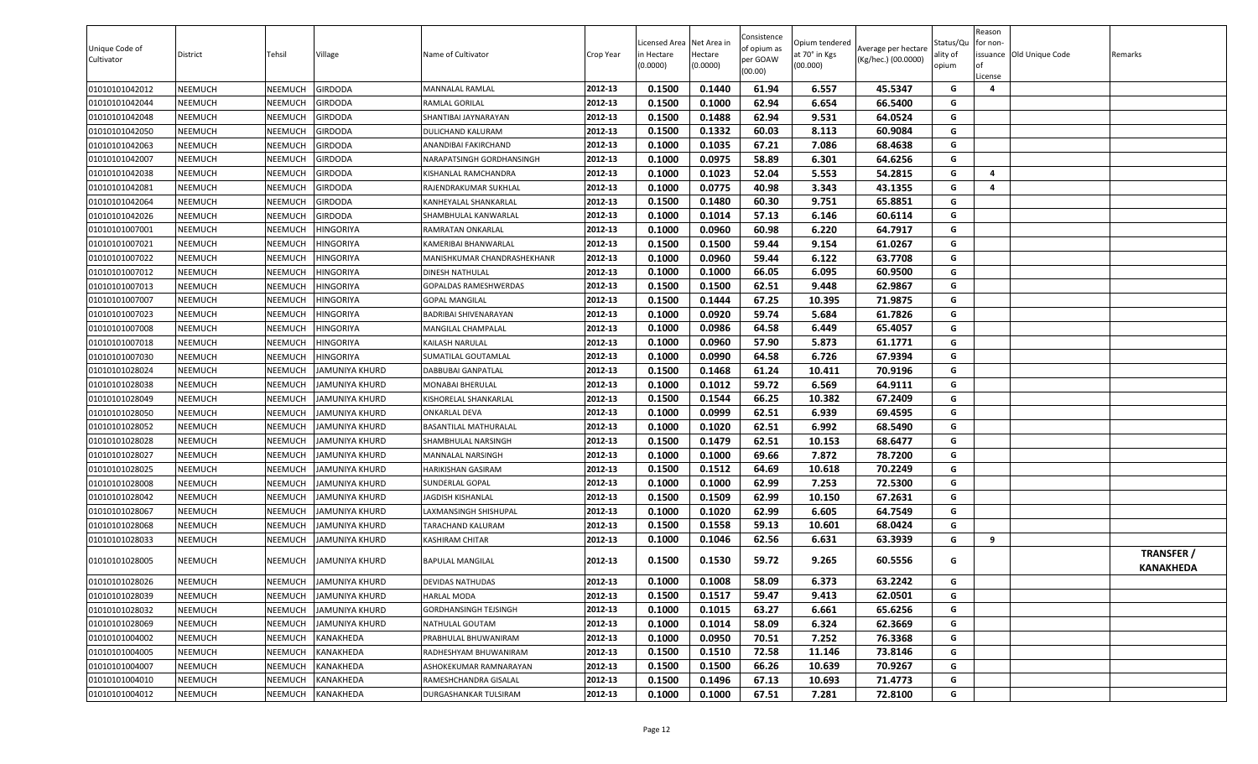| Unique Code of<br>Cultivator | District | Tehsil  | Village               | Name of Cultivator          | Crop Year | Licensed Area Net Area in<br>in Hectare<br>(0.0000) | Hectare<br>(0.0000) | Consistence<br>of opium as<br>per GOAW<br>(00.00) | Opium tendered<br>at 70° in Kgs<br>(00.000) | Average per hectare<br>(Kg/hec.) (00.0000) | Status/Qu<br>ality of<br>opium | Reason<br>for non-<br><b>of</b><br>License | issuance Old Unique Code | Remarks                               |
|------------------------------|----------|---------|-----------------------|-----------------------------|-----------|-----------------------------------------------------|---------------------|---------------------------------------------------|---------------------------------------------|--------------------------------------------|--------------------------------|--------------------------------------------|--------------------------|---------------------------------------|
| 01010101042012               | NEEMUCH  | NEEMUCH | GIRDODA               | MANNALAL RAMLAL             | 2012-13   | 0.1500                                              | 0.1440              | 61.94                                             | 6.557                                       | 45.5347                                    | G                              | $\overline{a}$                             |                          |                                       |
| 01010101042044               | NEEMUCH  | NEEMUCH | GIRDODA               | RAMLAL GORILAL              | 2012-13   | 0.1500                                              | 0.1000              | 62.94                                             | 6.654                                       | 66.5400                                    | G                              |                                            |                          |                                       |
| 01010101042048               | NEEMUCH  | NEEMUCH | GIRDODA               | SHANTIBAI JAYNARAYAN        | 2012-13   | 0.1500                                              | 0.1488              | 62.94                                             | 9.531                                       | 64.0524                                    | G                              |                                            |                          |                                       |
| 01010101042050               | NEEMUCH  | NEEMUCH | GIRDODA               | DULICHAND KALURAM           | 2012-13   | 0.1500                                              | 0.1332              | 60.03                                             | 8.113                                       | 60.9084                                    | G                              |                                            |                          |                                       |
| 01010101042063               | NEEMUCH  | NEEMUCH | GIRDODA               | ANANDIBAI FAKIRCHAND        | 2012-13   | 0.1000                                              | 0.1035              | 67.21                                             | 7.086                                       | 68.4638                                    | G                              |                                            |                          |                                       |
| 01010101042007               | NEEMUCH  | NEEMUCH | GIRDODA               | NARAPATSINGH GORDHANSINGH   | 2012-13   | 0.1000                                              | 0.0975              | 58.89                                             | 6.301                                       | 64.6256                                    | G                              |                                            |                          |                                       |
| 01010101042038               | NEEMUCH  | NEEMUCH | GIRDODA               | KISHANLAL RAMCHANDRA        | 2012-13   | 0.1000                                              | 0.1023              | 52.04                                             | 5.553                                       | 54.2815                                    | G                              | $\overline{\mathbf{4}}$                    |                          |                                       |
| 01010101042081               | NEEMUCH  | NEEMUCH | GIRDODA               | RAJENDRAKUMAR SUKHLAL       | 2012-13   | 0.1000                                              | 0.0775              | 40.98                                             | 3.343                                       | 43.1355                                    | G                              | 4                                          |                          |                                       |
| 01010101042064               | NEEMUCH  | NEEMUCH | GIRDODA               | KANHEYALAL SHANKARLAL       | 2012-13   | 0.1500                                              | 0.1480              | 60.30                                             | 9.751                                       | 65.8851                                    | G                              |                                            |                          |                                       |
| 01010101042026               | NEEMUCH  | NEEMUCH | GIRDODA               | SHAMBHULAL KANWARLAL        | 2012-13   | 0.1000                                              | 0.1014              | 57.13                                             | 6.146                                       | 60.6114                                    | G                              |                                            |                          |                                       |
| 01010101007001               | NEEMUCH  | NEEMUCH | <b>IINGORIYA</b>      | RAMRATAN ONKARLAL           | 2012-13   | 0.1000                                              | 0.0960              | 60.98                                             | 6.220                                       | 64.7917                                    | G                              |                                            |                          |                                       |
| 01010101007021               | NEEMUCH  | NEEMUCH | <b>IINGORIYA</b>      | KAMERIBAI BHANWARLAL        | 2012-13   | 0.1500                                              | 0.1500              | 59.44                                             | 9.154                                       | 61.0267                                    | G                              |                                            |                          |                                       |
| 01010101007022               | NEEMUCH  | NEEMUCH | <b>IINGORIYA</b>      | MANISHKUMAR CHANDRASHEKHANR | 2012-13   | 0.1000                                              | 0.0960              | 59.44                                             | 6.122                                       | 63.7708                                    | G                              |                                            |                          |                                       |
| 01010101007012               | NEEMUCH  | NEEMUCH | HINGORIYA             | DINESH NATHULAL             | 2012-13   | 0.1000                                              | 0.1000              | 66.05                                             | 6.095                                       | 60.9500                                    | G                              |                                            |                          |                                       |
| 01010101007013               | NEEMUCH  | NEEMUCH | <b>HINGORIYA</b>      | GOPALDAS RAMESHWERDAS       | 2012-13   | 0.1500                                              | 0.1500              | 62.51                                             | 9.448                                       | 62.9867                                    | G                              |                                            |                          |                                       |
| 01010101007007               | NEEMUCH  | NEEMUCH | HINGORIYA             | <b>GOPAL MANGILAL</b>       | 2012-13   | 0.1500                                              | 0.1444              | 67.25                                             | 10.395                                      | 71.9875                                    | G                              |                                            |                          |                                       |
| 01010101007023               | NEEMUCH  | NEEMUCH | <b>IINGORIYA</b>      | BADRIBAI SHIVENARAYAN       | 2012-13   | 0.1000                                              | 0.0920              | 59.74                                             | 5.684                                       | 61.7826                                    | G                              |                                            |                          |                                       |
| 01010101007008               | NEEMUCH  | NEEMUCH | <b>IINGORIYA</b>      | MANGILAL CHAMPALAL          | 2012-13   | 0.1000                                              | 0.0986              | 64.58                                             | 6.449                                       | 65.4057                                    | G                              |                                            |                          |                                       |
| 01010101007018               | NEEMUCH  | NEEMUCH | <b>IINGORIYA</b>      | KAILASH NARULAL             | 2012-13   | 0.1000                                              | 0.0960              | 57.90                                             | 5.873                                       | 61.1771                                    | G                              |                                            |                          |                                       |
| 01010101007030               | NEEMUCH  | NEEMUCH | <b>IINGORIYA</b>      | SUMATILAL GOUTAMLAL         | 2012-13   | 0.1000                                              | 0.0990              | 64.58                                             | 6.726                                       | 67.9394                                    | G                              |                                            |                          |                                       |
| 01010101028024               | NEEMUCH  | NEEMUCH | IAMUNIYA KHURD        | DABBUBAI GANPATLAL          | 2012-13   | 0.1500                                              | 0.1468              | 61.24                                             | 10.411                                      | 70.9196                                    | G                              |                                            |                          |                                       |
| 01010101028038               | NEEMUCH  | NEEMUCH | AMUNIYA KHURD         | MONABAI BHERULAL            | 2012-13   | 0.1000                                              | 0.1012              | 59.72                                             | 6.569                                       | 64.9111                                    | G                              |                                            |                          |                                       |
| 01010101028049               | NEEMUCH  | NEEMUCH | AMUNIYA KHURD         | KISHORELAL SHANKARLAL       | 2012-13   | 0.1500                                              | 0.1544              | 66.25                                             | 10.382                                      | 67.2409                                    | G                              |                                            |                          |                                       |
| 01010101028050               | NEEMUCH  | NEEMUCH | JAMUNIYA KHURD        | ONKARLAL DEVA               | 2012-13   | 0.1000                                              | 0.0999              | 62.51                                             | 6.939                                       | 69.4595                                    | G                              |                                            |                          |                                       |
| 01010101028052               | NEEMUCH  | NEEMUCH | JAMUNIYA KHURD        | BASANTILAL MATHURALAL       | 2012-13   | 0.1000                                              | 0.1020              | 62.51                                             | 6.992                                       | 68.5490                                    | G                              |                                            |                          |                                       |
| 01010101028028               | NEEMUCH  | NEEMUCH | AMUNIYA KHURD         | SHAMBHULAL NARSINGH         | 2012-13   | 0.1500                                              | 0.1479              | 62.51                                             | 10.153                                      | 68.6477                                    | G                              |                                            |                          |                                       |
| 01010101028027               | NEEMUCH  | NEEMUCH | AMUNIYA KHURD         | MANNALAL NARSINGH           | 2012-13   | 0.1000                                              | 0.1000              | 69.66                                             | 7.872                                       | 78.7200                                    | G                              |                                            |                          |                                       |
| 01010101028025               | NEEMUCH  | NEEMUCH | <b>AMUNIYA KHURD</b>  | HARIKISHAN GASIRAM          | 2012-13   | 0.1500                                              | 0.1512              | 64.69                                             | 10.618                                      | 70.2249                                    | G                              |                                            |                          |                                       |
| 01010101028008               | NEEMUCH  | NEEMUCH | JAMUNIYA KHURD        | SUNDERLAL GOPAL             | 2012-13   | 0.1000                                              | 0.1000              | 62.99                                             | 7.253                                       | 72.5300                                    | G                              |                                            |                          |                                       |
| 01010101028042               | NEEMUCH  | NEEMUCH | IAMUNIYA KHURD        | JAGDISH KISHANLAL           | 2012-13   | 0.1500                                              | 0.1509              | 62.99                                             | 10.150                                      | 67.2631                                    | G                              |                                            |                          |                                       |
| 01010101028067               | NEEMUCH  | NEEMUCH | JAMUNIYA KHURD        | LAXMANSINGH SHISHUPAL       | 2012-13   | 0.1000                                              | 0.1020              | 62.99                                             | 6.605                                       | 64.7549                                    | G                              |                                            |                          |                                       |
| 01010101028068               | NEEMUCH  | NEEMUCH | <b>AMUNIYA KHURD</b>  | TARACHAND KALURAM           | 2012-13   | 0.1500                                              | 0.1558              | 59.13                                             | 10.601                                      | 68.0424                                    | G                              |                                            |                          |                                       |
| 01010101028033               | NEEMUCH  | NEEMUCH | JAMUNIYA KHURD        | KASHIRAM CHITAR             | 2012-13   | 0.1000                                              | 0.1046              | 62.56                                             | 6.631                                       | 63.3939                                    | G                              | 9                                          |                          |                                       |
| 01010101028005               | NEEMUCH  | NEEMUCH | JAMUNIYA KHURD        | <b>BAPULAL MANGILAL</b>     | 2012-13   | 0.1500                                              | 0.1530              | 59.72                                             | 9.265                                       | 60.5556                                    | G                              |                                            |                          | <b>TRANSFER /</b><br><b>KANAKHEDA</b> |
| 01010101028026               | NEEMUCH  | NEEMUCH | <b>JAMUNIYA KHURD</b> | DEVIDAS NATHUDAS            | 2012-13   | 0.1000                                              | 0.1008              | 58.09                                             | 6.373                                       | 63.2242                                    | G                              |                                            |                          |                                       |
| 01010101028039               | NEEMUCH  | NEEMUCH | JAMUNIYA KHURD        | HARLAL MODA                 | 2012-13   | 0.1500                                              | 0.1517              | 59.47                                             | 9.413                                       | 62.0501                                    | G                              |                                            |                          |                                       |
| 01010101028032               | NEEMUCH  | NEEMUCH | JAMUNIYA KHURD        | GORDHANSINGH TEJSINGH       | 2012-13   | 0.1000                                              | 0.1015              | 63.27                                             | 6.661                                       | 65.6256                                    | G                              |                                            |                          |                                       |
| 01010101028069               | NEEMUCH  | NEEMUCH | JAMUNIYA KHURD        | NATHULAL GOUTAM             | 2012-13   | 0.1000                                              | 0.1014              | 58.09                                             | 6.324                                       | 62.3669                                    | G                              |                                            |                          |                                       |
| 01010101004002               | NEEMUCH  | NEEMUCH | KANAKHEDA             | PRABHULAL BHUWANIRAM        | 2012-13   | 0.1000                                              | 0.0950              | 70.51                                             | 7.252                                       | 76.3368                                    | G                              |                                            |                          |                                       |
| 01010101004005               | NEEMUCH  | NEEMUCH | KANAKHEDA             | RADHESHYAM BHUWANIRAM       | 2012-13   | 0.1500                                              | 0.1510              | 72.58                                             | 11.146                                      | 73.8146                                    | G                              |                                            |                          |                                       |
| 01010101004007               | NEEMUCH  | NEEMUCH | KANAKHEDA             | ASHOKEKUMAR RAMNARAYAN      | 2012-13   | 0.1500                                              | 0.1500              | 66.26                                             | 10.639                                      | 70.9267                                    | G                              |                                            |                          |                                       |
| 01010101004010               | NEEMUCH  | NEEMUCH | KANAKHEDA             | RAMESHCHANDRA GISALAL       | 2012-13   | 0.1500                                              | 0.1496              | 67.13                                             | 10.693                                      | 71.4773                                    | G                              |                                            |                          |                                       |
| 01010101004012               | NEEMUCH  | NEEMUCH | KANAKHEDA             | DURGASHANKAR TULSIRAM       | 2012-13   | 0.1000                                              | 0.1000              | 67.51                                             | 7.281                                       | 72.8100                                    | G                              |                                            |                          |                                       |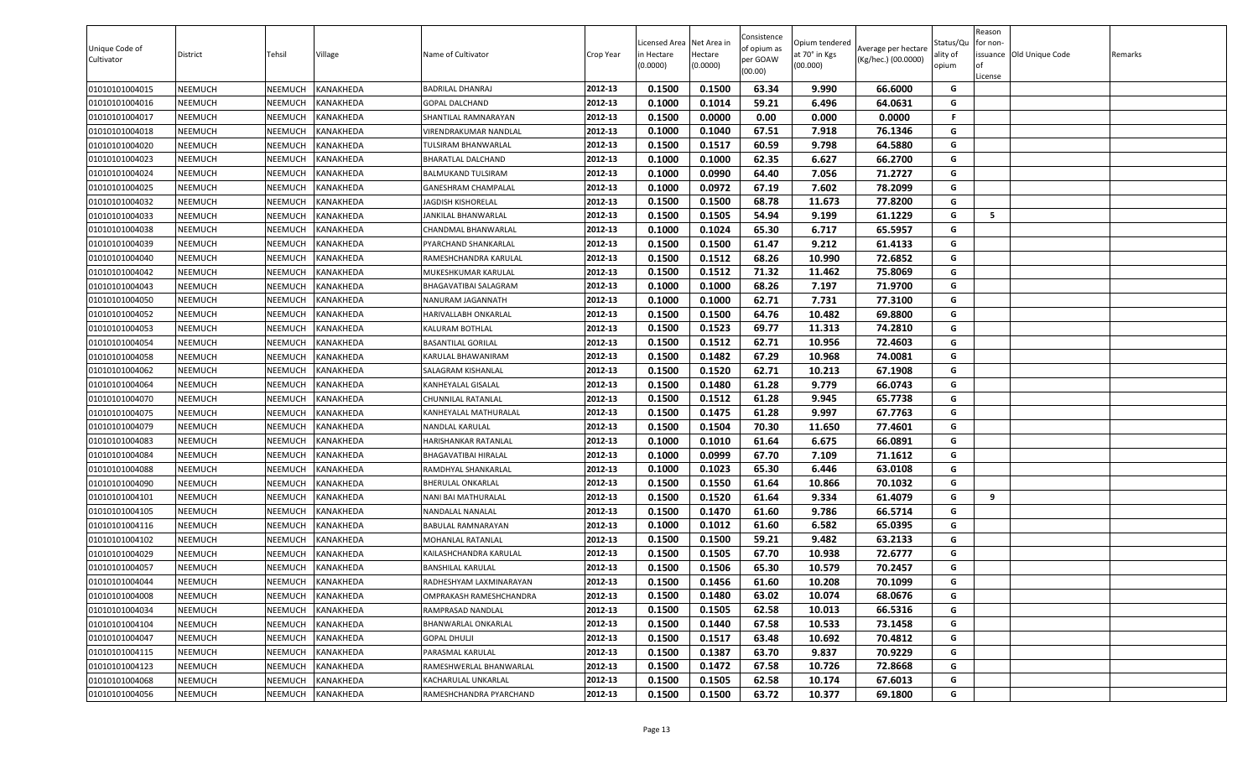| Unique Code of<br>Cultivator | District       | Tehsil         | Village          | Name of Cultivator           | Crop Year | icensed Area<br>n Hectare<br>(0.0000) | Net Area in<br>Hectare<br>(0.0000) | Consistence<br>of opium as<br>per GOAW<br>(00.00) | Opium tendered<br>at 70° in Kgs<br>(00.000) | Average per hectare<br>(Kg/hec.) (00.0000) | Status/Qu<br>ality of<br>opium | Reason<br>or non-<br>of<br>License | issuance Old Unique Code | Remarks |
|------------------------------|----------------|----------------|------------------|------------------------------|-----------|---------------------------------------|------------------------------------|---------------------------------------------------|---------------------------------------------|--------------------------------------------|--------------------------------|------------------------------------|--------------------------|---------|
| 01010101004015               | NEEMUCH        | NEEMUCH        | KANAKHEDA        | <b>BADRILAL DHANRAJ</b>      | 2012-13   | 0.1500                                | 0.1500                             | 63.34                                             | 9.990                                       | 66.6000                                    | G                              |                                    |                          |         |
| 01010101004016               | NEEMUCH        | NEEMUCH        | KANAKHEDA        | <b>GOPAL DALCHAND</b>        | 2012-13   | 0.1000                                | 0.1014                             | 59.21                                             | 6.496                                       | 64.0631                                    | G                              |                                    |                          |         |
| 01010101004017               | NEEMUCH        | NEEMUCH        | KANAKHEDA        | SHANTILAL RAMNARAYAN         | 2012-13   | 0.1500                                | 0.0000                             | 0.00                                              | 0.000                                       | 0.0000                                     | F.                             |                                    |                          |         |
| 01010101004018               | NEEMUCH        | NEEMUCH        | KANAKHEDA        | VIRENDRAKUMAR NANDLAL        | 2012-13   | 0.1000                                | 0.1040                             | 67.51                                             | 7.918                                       | 76.1346                                    | G                              |                                    |                          |         |
| 01010101004020               | NEEMUCH        | NEEMUCH        | KANAKHEDA        | TULSIRAM BHANWARLAL          | 2012-13   | 0.1500                                | 0.1517                             | 60.59                                             | 9.798                                       | 64.5880                                    | G                              |                                    |                          |         |
| 01010101004023               | NEEMUCH        | NEEMUCH        | KANAKHEDA        | <b>BHARATLAL DALCHAND</b>    | 2012-13   | 0.1000                                | 0.1000                             | 62.35                                             | 6.627                                       | 66.2700                                    | G                              |                                    |                          |         |
| 01010101004024               | NEEMUCH        | NEEMUCH        | KANAKHEDA        | BALMUKAND TULSIRAM           | 2012-13   | 0.1000                                | 0.0990                             | 64.40                                             | 7.056                                       | 71.2727                                    | G                              |                                    |                          |         |
| 01010101004025               | NEEMUCH        | NEEMUCH        | KANAKHEDA        | GANESHRAM CHAMPALAL          | 2012-13   | 0.1000                                | 0.0972                             | 67.19                                             | 7.602                                       | 78.2099                                    | G                              |                                    |                          |         |
| 01010101004032               | NEEMUCH        | NEEMUCH        | KANAKHEDA        | <b>JAGDISH KISHORELAL</b>    | 2012-13   | 0.1500                                | 0.1500                             | 68.78                                             | 11.673                                      | 77.8200                                    | G                              |                                    |                          |         |
| 01010101004033               | NEEMUCH        | NEEMUCH        | KANAKHEDA        | JANKILAL BHANWARLAL          | 2012-13   | 0.1500                                | 0.1505                             | 54.94                                             | 9.199                                       | 61.1229                                    | G                              | 5                                  |                          |         |
| 01010101004038               | NEEMUCH        | NEEMUCH        | KANAKHEDA        | CHANDMAL BHANWARLAL          | 2012-13   | 0.1000                                | 0.1024                             | 65.30                                             | 6.717                                       | 65.5957                                    | G                              |                                    |                          |         |
| 01010101004039               | NEEMUCH        | NEEMUCH        | KANAKHEDA        | PYARCHAND SHANKARLAL         | 2012-13   | 0.1500                                | 0.1500                             | 61.47                                             | 9.212                                       | 61.4133                                    | G                              |                                    |                          |         |
| 01010101004040               | NEEMUCH        | NEEMUCH        | KANAKHEDA        | RAMESHCHANDRA KARULAL        | 2012-13   | 0.1500                                | 0.1512                             | 68.26                                             | 10.990                                      | 72.6852                                    | G                              |                                    |                          |         |
| 01010101004042               | NEEMUCH        | NEEMUCH        | KANAKHEDA        | MUKESHKUMAR KARULAL          | 2012-13   | 0.1500                                | 0.1512                             | 71.32                                             | 11.462                                      | 75.8069                                    | G                              |                                    |                          |         |
| 01010101004043               | <b>NEEMUCH</b> | NEEMUCH        | KANAKHEDA        | <b>BHAGAVATIBAI SALAGRAM</b> | 2012-13   | 0.1000                                | 0.1000                             | 68.26                                             | 7.197                                       | 71.9700                                    | G                              |                                    |                          |         |
| 01010101004050               | NEEMUCH        | NEEMUCH        | KANAKHEDA        | NANURAM JAGANNATH            | 2012-13   | 0.1000                                | 0.1000                             | 62.71                                             | 7.731                                       | 77.3100                                    | G                              |                                    |                          |         |
| 01010101004052               | NEEMUCH        | NEEMUCH        | KANAKHEDA        | HARIVALLABH ONKARLAL         | 2012-13   | 0.1500                                | 0.1500                             | 64.76                                             | 10.482                                      | 69.8800                                    | G                              |                                    |                          |         |
| 01010101004053               | NEEMUCH        | NEEMUCH        | KANAKHEDA        | KALURAM BOTHLAL              | 2012-13   | 0.1500                                | 0.1523                             | 69.77                                             | 11.313                                      | 74.2810                                    | G                              |                                    |                          |         |
| 01010101004054               | NEEMUCH        | NEEMUCH        | KANAKHEDA        | <b>BASANTILAL GORILAL</b>    | 2012-13   | 0.1500                                | 0.1512                             | 62.71                                             | 10.956                                      | 72.4603                                    | G                              |                                    |                          |         |
| 01010101004058               | NEEMUCH        | NEEMUCH        | KANAKHEDA        | KARULAL BHAWANIRAM           | 2012-13   | 0.1500                                | 0.1482                             | 67.29                                             | 10.968                                      | 74.0081                                    | G                              |                                    |                          |         |
| 01010101004062               | NEEMUCH        | NEEMUCH        | KANAKHEDA        | SALAGRAM KISHANLAL           | 2012-13   | 0.1500                                | 0.1520                             | 62.71                                             | 10.213                                      | 67.1908                                    | G                              |                                    |                          |         |
| 01010101004064               | NEEMUCH        | NEEMUCH        | KANAKHEDA        | KANHEYALAL GISALAL           | 2012-13   | 0.1500                                | 0.1480                             | 61.28                                             | 9.779                                       | 66.0743                                    | G                              |                                    |                          |         |
| 01010101004070               | NEEMUCH        | NEEMUCH        | KANAKHEDA        | CHUNNILAL RATANLAL           | 2012-13   | 0.1500                                | 0.1512                             | 61.28                                             | 9.945                                       | 65.7738                                    | G                              |                                    |                          |         |
| 01010101004075               | NEEMUCH        | NEEMUCH        | KANAKHEDA        | KANHEYALAL MATHURALAL        | 2012-13   | 0.1500                                | 0.1475                             | 61.28                                             | 9.997                                       | 67.7763                                    | G                              |                                    |                          |         |
| 01010101004079               | NEEMUCH        | NEEMUCH        | KANAKHEDA        | NANDLAL KARULAL              | 2012-13   | 0.1500                                | 0.1504                             | 70.30                                             | 11.650                                      | 77.4601                                    | G                              |                                    |                          |         |
| 01010101004083               | NEEMUCH        | NEEMUCH        | KANAKHEDA        | HARISHANKAR RATANLAL         | 2012-13   | 0.1000                                | 0.1010                             | 61.64                                             | 6.675                                       | 66.0891                                    | G                              |                                    |                          |         |
| 01010101004084               | NEEMUCH        | NEEMUCH        | KANAKHEDA        | BHAGAVATIBAI HIRALAL         | 2012-13   | 0.1000                                | 0.0999                             | 67.70                                             | 7.109                                       | 71.1612                                    | G                              |                                    |                          |         |
| 01010101004088               | NEEMUCH        | NEEMUCH        | KANAKHEDA        | RAMDHYAL SHANKARLAL          | 2012-13   | 0.1000                                | 0.1023                             | 65.30                                             | 6.446                                       | 63.0108                                    | G                              |                                    |                          |         |
| 01010101004090               | NEEMUCH        | NEEMUCH        | KANAKHEDA        | <b>BHERULAL ONKARLAL</b>     | 2012-13   | 0.1500                                | 0.1550                             | 61.64                                             | 10.866                                      | 70.1032                                    | G                              |                                    |                          |         |
| 01010101004101               | NEEMUCH        | <b>NEEMUCH</b> | KANAKHEDA        | NANI BAI MATHURALAL          | 2012-13   | 0.1500                                | 0.1520                             | 61.64                                             | 9.334                                       | 61.4079                                    | G                              | 9                                  |                          |         |
| 01010101004105               | NEEMUCH        | NEEMUCH        | <b>KANAKHEDA</b> | NANDALAL NANALAL             | 2012-13   | 0.1500                                | 0.1470                             | 61.60                                             | 9.786                                       | 66.5714                                    | G                              |                                    |                          |         |
| 01010101004116               | <b>NEEMUCH</b> | NEEMUCH        | KANAKHEDA        | <b>BABULAL RAMNARAYAN</b>    | 2012-13   | 0.1000                                | 0.1012                             | 61.60                                             | 6.582                                       | 65.0395                                    | G                              |                                    |                          |         |
| 01010101004102               | NEEMUCH        | NEEMUCH        | KANAKHEDA        | MOHANLAL RATANLAL            | 2012-13   | 0.1500                                | 0.1500                             | 59.21                                             | 9.482                                       | 63.2133                                    | G                              |                                    |                          |         |
| 01010101004029               | NEEMUCH        | NEEMUCH        | KANAKHEDA        | KAILASHCHANDRA KARULAL       | 2012-13   | 0.1500                                | 0.1505                             | 67.70                                             | 10.938                                      | 72.6777                                    | G                              |                                    |                          |         |
| 01010101004057               | NEEMUCH        | NEEMUCH        | KANAKHEDA        | <b>BANSHILAL KARULAL</b>     | 2012-13   | 0.1500                                | 0.1506                             | 65.30                                             | 10.579                                      | 70.2457                                    | G                              |                                    |                          |         |
| 01010101004044               | NEEMUCH        | <b>NEEMUCH</b> | KANAKHEDA        | RADHESHYAM LAXMINARAYAN      | 2012-13   | 0.1500                                | 0.1456                             | 61.60                                             | 10.208                                      | 70.1099                                    | G                              |                                    |                          |         |
| 01010101004008               | NEEMUCH        | NEEMUCH        | KANAKHEDA        | OMPRAKASH RAMESHCHANDRA      | 2012-13   | 0.1500                                | 0.1480                             | 63.02                                             | 10.074                                      | 68.0676                                    | G                              |                                    |                          |         |
| 01010101004034               | NEEMUCH        | NEEMUCH        | KANAKHEDA        | RAMPRASAD NANDLAL            | 2012-13   | 0.1500                                | 0.1505                             | 62.58                                             | 10.013                                      | 66.5316                                    | G                              |                                    |                          |         |
| 01010101004104               | <b>NEEMUCH</b> | NEEMUCH        | KANAKHEDA        | <b>BHANWARLAL ONKARLAL</b>   | 2012-13   | 0.1500                                | 0.1440                             | 67.58                                             | 10.533                                      | 73.1458                                    | G                              |                                    |                          |         |
| 01010101004047               | <b>NEEMUCH</b> | NEEMUCH        | KANAKHEDA        | <b>GOPAL DHULJI</b>          | 2012-13   | 0.1500                                | 0.1517                             | 63.48                                             | 10.692                                      | 70.4812                                    | G                              |                                    |                          |         |
| 01010101004115               | <b>NEEMUCH</b> | NEEMUCH        | KANAKHEDA        | PARASMAL KARULAL             | 2012-13   | 0.1500                                | 0.1387                             | 63.70                                             | 9.837                                       | 70.9229                                    | G                              |                                    |                          |         |
| 01010101004123               | NEEMUCH        | NEEMUCH        | KANAKHEDA        | RAMESHWERLAL BHANWARLAL      | 2012-13   | 0.1500                                | 0.1472                             | 67.58                                             | 10.726                                      | 72.8668                                    | G                              |                                    |                          |         |
| 01010101004068               | <b>NEEMUCH</b> | NEEMUCH        | KANAKHEDA        | KACHARULAL UNKARLAL          | 2012-13   | 0.1500                                | 0.1505                             | 62.58                                             | 10.174                                      | 67.6013                                    | G                              |                                    |                          |         |
| 01010101004056               | <b>NEEMUCH</b> | NEEMUCH        | KANAKHEDA        | RAMESHCHANDRA PYARCHAND      | 2012-13   | 0.1500                                | 0.1500                             | 63.72                                             | 10.377                                      | 69.1800                                    | G                              |                                    |                          |         |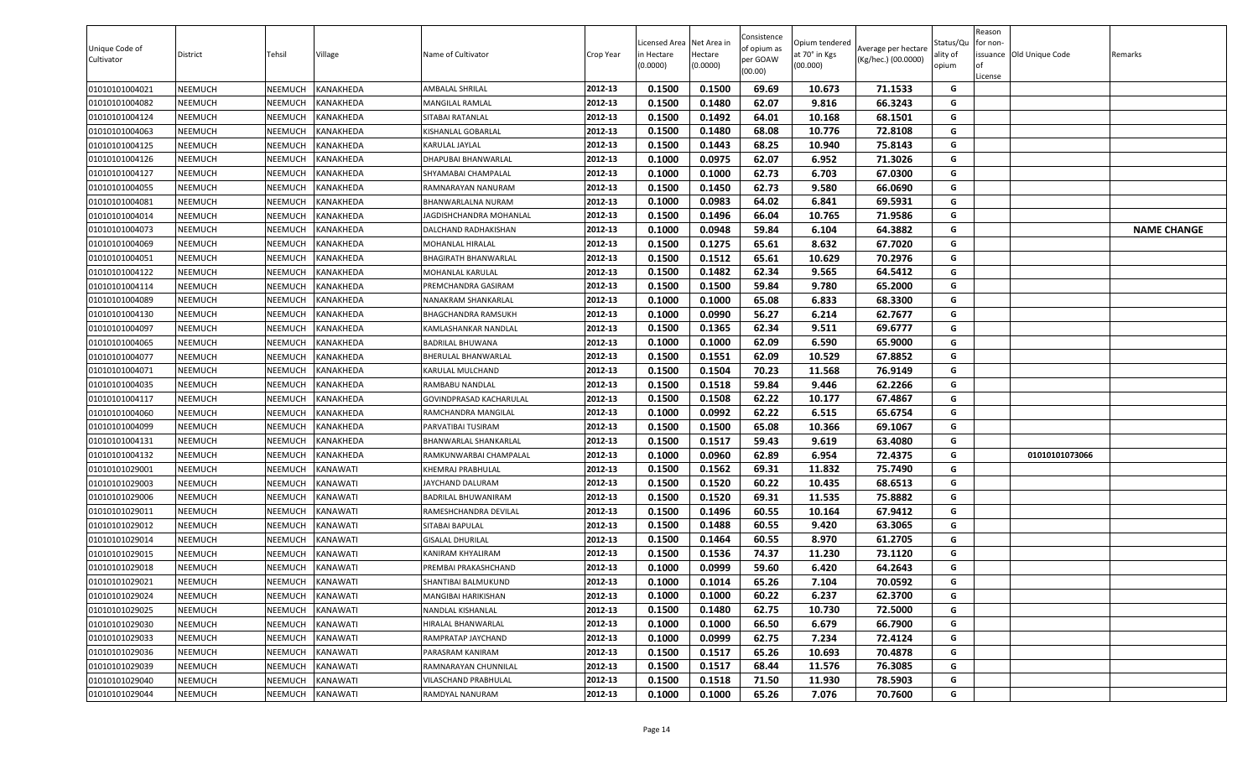| Unique Code of<br>Cultivator | District | Tehsil  | Village                 | Name of Cultivator      | Crop Year | Licensed Area Net Area in<br>in Hectare<br>(0.0000) | Hectare<br>(0.0000) | Consistence<br>of opium as<br>per GOAW<br>(00.00) | Opium tendered<br>at 70° in Kgs<br>(00.000) | Average per hectare<br>(Kg/hec.) (00.0000) | Status/Qu<br>ality of<br>opium | Reason<br>for non-<br>∩f<br>License | issuance Old Unique Code | Remarks            |
|------------------------------|----------|---------|-------------------------|-------------------------|-----------|-----------------------------------------------------|---------------------|---------------------------------------------------|---------------------------------------------|--------------------------------------------|--------------------------------|-------------------------------------|--------------------------|--------------------|
| 01010101004021               | NEEMUCH  | NEEMUCH | <b><i>KANAKHEDA</i></b> | AMBALAL SHRILAL         | 2012-13   | 0.1500                                              | 0.1500              | 69.69                                             | 10.673                                      | 71.1533                                    | G                              |                                     |                          |                    |
| 01010101004082               | NEEMUCH  | NEEMUCH | <b><i>KANAKHEDA</i></b> | MANGILAL RAMLAL         | 2012-13   | 0.1500                                              | 0.1480              | 62.07                                             | 9.816                                       | 66.3243                                    | G                              |                                     |                          |                    |
| 01010101004124               | NEEMUCH  | NEEMUCH | <b><i>KANAKHEDA</i></b> | SITABAI RATANLAL        | 2012-13   | 0.1500                                              | 0.1492              | 64.01                                             | 10.168                                      | 68.1501                                    | G                              |                                     |                          |                    |
| 01010101004063               | NEEMUCH  | NEEMUCH | KANAKHEDA               | KISHANLAL GOBARLAL      | 2012-13   | 0.1500                                              | 0.1480              | 68.08                                             | 10.776                                      | 72.8108                                    | G                              |                                     |                          |                    |
| 01010101004125               | NEEMUCH  | NEEMUCH | <b><i>KANAKHEDA</i></b> | KARULAL JAYLAL          | 2012-13   | 0.1500                                              | 0.1443              | 68.25                                             | 10.940                                      | 75.8143                                    | G                              |                                     |                          |                    |
| 01010101004126               | NEEMUCH  | NEEMUCH | KANAKHEDA               | DHAPUBAI BHANWARLAL     | 2012-13   | 0.1000                                              | 0.0975              | 62.07                                             | 6.952                                       | 71.3026                                    | G                              |                                     |                          |                    |
| 01010101004127               | NEEMUCH  | NEEMUCH | <b><i>KANAKHEDA</i></b> | SHYAMABAI CHAMPALAL     | 2012-13   | 0.1000                                              | 0.1000              | 62.73                                             | 6.703                                       | 67.0300                                    | G                              |                                     |                          |                    |
| 01010101004055               | NEEMUCH  | NEEMUCH | KANAKHEDA               | RAMNARAYAN NANURAM      | 2012-13   | 0.1500                                              | 0.1450              | 62.73                                             | 9.580                                       | 66.0690                                    | G                              |                                     |                          |                    |
| 01010101004081               | NEEMUCH  | NEEMUCH | <b><i>KANAKHEDA</i></b> | BHANWARLALNA NURAM      | 2012-13   | 0.1000                                              | 0.0983              | 64.02                                             | 6.841                                       | 69.5931                                    | G                              |                                     |                          |                    |
| 01010101004014               | NEEMUCH  | NEEMUCH | <b><i>KANAKHEDA</i></b> | JAGDISHCHANDRA MOHANLAL | 2012-13   | 0.1500                                              | 0.1496              | 66.04                                             | 10.765                                      | 71.9586                                    | G                              |                                     |                          |                    |
| 01010101004073               | NEEMUCH  | NEEMUCH | <b><i>KANAKHEDA</i></b> | DALCHAND RADHAKISHAN    | 2012-13   | 0.1000                                              | 0.0948              | 59.84                                             | 6.104                                       | 64.3882                                    | G                              |                                     |                          | <b>NAME CHANGE</b> |
| 01010101004069               | NEEMUCH  | NEEMUCH | <b><i>KANAKHEDA</i></b> | MOHANLAL HIRALAL        | 2012-13   | 0.1500                                              | 0.1275              | 65.61                                             | 8.632                                       | 67.7020                                    | G                              |                                     |                          |                    |
| 01010101004051               | NEEMUCH  | NEEMUCH | KANAKHEDA               | BHAGIRATH BHANWARLAL    | 2012-13   | 0.1500                                              | 0.1512              | 65.61                                             | 10.629                                      | 70.2976                                    | G                              |                                     |                          |                    |
| 01010101004122               | NEEMUCH  | NEEMUCH | <b><i>KANAKHEDA</i></b> | MOHANLAL KARULAL        | 2012-13   | 0.1500                                              | 0.1482              | 62.34                                             | 9.565                                       | 64.5412                                    | G                              |                                     |                          |                    |
| 01010101004114               | NEEMUCH  | NEEMUCH | KANAKHEDA               | PREMCHANDRA GASIRAM     | 2012-13   | 0.1500                                              | 0.1500              | 59.84                                             | 9.780                                       | 65.2000                                    | G                              |                                     |                          |                    |
| 01010101004089               | NEEMUCH  | NEEMUCH | KANAKHEDA               | NANAKRAM SHANKARLAL     | 2012-13   | 0.1000                                              | 0.1000              | 65.08                                             | 6.833                                       | 68.3300                                    | G                              |                                     |                          |                    |
| 01010101004130               | NEEMUCH  | NEEMUCH | KANAKHEDA               | BHAGCHANDRA RAMSUKH     | 2012-13   | 0.1000                                              | 0.0990              | 56.27                                             | 6.214                                       | 62.7677                                    | G                              |                                     |                          |                    |
| 01010101004097               | NEEMUCH  | NEEMUCH | <b><i>KANAKHEDA</i></b> | KAMLASHANKAR NANDLAL    | 2012-13   | 0.1500                                              | 0.1365              | 62.34                                             | 9.511                                       | 69.6777                                    | G                              |                                     |                          |                    |
| 01010101004065               | NEEMUCH  | NEEMUCH | <b><i>KANAKHEDA</i></b> | BADRILAL BHUWANA        | 2012-13   | 0.1000                                              | 0.1000              | 62.09                                             | 6.590                                       | 65.9000                                    | G                              |                                     |                          |                    |
| 01010101004077               | NEEMUCH  | NEEMUCH | <b><i>KANAKHEDA</i></b> | BHERULAL BHANWARLAL     | 2012-13   | 0.1500                                              | 0.1551              | 62.09                                             | 10.529                                      | 67.8852                                    | G                              |                                     |                          |                    |
| 01010101004071               | NEEMUCH  | NEEMUCH | KANAKHEDA               | KARULAL MULCHAND        | 2012-13   | 0.1500                                              | 0.1504              | 70.23                                             | 11.568                                      | 76.9149                                    | G                              |                                     |                          |                    |
| 01010101004035               | NEEMUCH  | NEEMUCH | <b><i>KANAKHEDA</i></b> | RAMBABU NANDLAL         | 2012-13   | 0.1500                                              | 0.1518              | 59.84                                             | 9.446                                       | 62.2266                                    | G                              |                                     |                          |                    |
| 01010101004117               | NEEMUCH  | NEEMUCH | KANAKHEDA               | GOVINDPRASAD KACHARULAL | 2012-13   | 0.1500                                              | 0.1508              | 62.22                                             | 10.177                                      | 67.4867                                    | G                              |                                     |                          |                    |
| 01010101004060               | NEEMUCH  | NEEMUCH | KANAKHEDA               | RAMCHANDRA MANGILAL     | 2012-13   | 0.1000                                              | 0.0992              | 62.22                                             | 6.515                                       | 65.6754                                    | G                              |                                     |                          |                    |
| 01010101004099               | NEEMUCH  | NEEMUCH | KANAKHEDA               | PARVATIBAI TUSIRAM      | 2012-13   | 0.1500                                              | 0.1500              | 65.08                                             | 10.366                                      | 69.1067                                    | G                              |                                     |                          |                    |
| 01010101004131               | NEEMUCH  | NEEMUCH | <b>ANAKHEDA</b>         | BHANWARLAL SHANKARLAL   | 2012-13   | 0.1500                                              | 0.1517              | 59.43                                             | 9.619                                       | 63.4080                                    | G                              |                                     |                          |                    |
| 01010101004132               | NEEMUCH  | NEEMUCH | KANAKHEDA               | RAMKUNWARBAI CHAMPALAL  | 2012-13   | 0.1000                                              | 0.0960              | 62.89                                             | 6.954                                       | 72.4375                                    | G                              |                                     | 01010101073066           |                    |
| 01010101029001               | NEEMUCH  | NEEMUCH | <b>ANAWATI</b>          | KHEMRAJ PRABHULAL       | 2012-13   | 0.1500                                              | 0.1562              | 69.31                                             | 11.832                                      | 75.7490                                    | G                              |                                     |                          |                    |
| 01010101029003               | NEEMUCH  | NEEMUCH | KANAWATI                | JAYCHAND DALURAM        | 2012-13   | 0.1500                                              | 0.1520              | 60.22                                             | 10.435                                      | 68.6513                                    | G                              |                                     |                          |                    |
| 01010101029006               | NEEMUCH  | NEEMUCH | KANAWATI                | BADRILAL BHUWANIRAM     | 2012-13   | 0.1500                                              | 0.1520              | 69.31                                             | 11.535                                      | 75.8882                                    | G                              |                                     |                          |                    |
| 01010101029011               | NEEMUCH  | NEEMUCH | <b>ANAWATI</b>          | RAMESHCHANDRA DEVILAL   | 2012-13   | 0.1500                                              | 0.1496              | 60.55                                             | 10.164                                      | 67.9412                                    | G                              |                                     |                          |                    |
| 01010101029012               | NEEMUCH  | NEEMUCH | KANAWATI                | <b>SITABAI BAPULAL</b>  | 2012-13   | 0.1500                                              | 0.1488              | 60.55                                             | 9.420                                       | 63.3065                                    | G                              |                                     |                          |                    |
| 01010101029014               | NEEMUCH  | NEEMUCH | KANAWATI                | GISALAL DHURILAL        | 2012-13   | 0.1500                                              | 0.1464              | 60.55                                             | 8.970                                       | 61.2705                                    | G                              |                                     |                          |                    |
| 01010101029015               | NEEMUCH  | NEEMUCH | <b>ANAWATI</b>          | KANIRAM KHYALIRAM       | 2012-13   | 0.1500                                              | 0.1536              | 74.37                                             | 11.230                                      | 73.1120                                    | G                              |                                     |                          |                    |
| 01010101029018               | NEEMUCH  | NEEMUCH | KANAWATI                | PREMBAI PRAKASHCHAND    | 2012-13   | 0.1000                                              | 0.0999              | 59.60                                             | 6.420                                       | 64.2643                                    | G                              |                                     |                          |                    |
| 01010101029021               | NEEMUCH  | NEEMUCH | KANAWATI                | SHANTIBAI BALMUKUND     | 2012-13   | 0.1000                                              | 0.1014              | 65.26                                             | 7.104                                       | 70.0592                                    | G                              |                                     |                          |                    |
| 01010101029024               | NEEMUCH  | NEEMUCH | KANAWATI                | MANGIBAI HARIKISHAN     | 2012-13   | 0.1000                                              | 0.1000              | 60.22                                             | 6.237                                       | 62.3700                                    | G                              |                                     |                          |                    |
| 01010101029025               | NEEMUCH  | NEEMUCH | KANAWATI                | VANDLAL KISHANLAL       | 2012-13   | 0.1500                                              | 0.1480              | 62.75                                             | 10.730                                      | 72.5000                                    | G                              |                                     |                          |                    |
| 01010101029030               | NEEMUCH  | NEEMUCH | KANAWATI                | HIRALAL BHANWARLAL      | 2012-13   | 0.1000                                              | 0.1000              | 66.50                                             | 6.679                                       | 66.7900                                    | G                              |                                     |                          |                    |
| 01010101029033               | NEEMUCH  | NEEMUCH | KANAWATI                | RAMPRATAP JAYCHAND      | 2012-13   | 0.1000                                              | 0.0999              | 62.75                                             | 7.234                                       | 72.4124                                    | G                              |                                     |                          |                    |
| 01010101029036               | NEEMUCH  | NEEMUCH | KANAWATI                | PARASRAM KANIRAM        | 2012-13   | 0.1500                                              | 0.1517              | 65.26                                             | 10.693                                      | 70.4878                                    | G                              |                                     |                          |                    |
| 01010101029039               | NEEMUCH  | NEEMUCH | KANAWATI                | RAMNARAYAN CHUNNILAL    | 2012-13   | 0.1500                                              | 0.1517              | 68.44                                             | 11.576                                      | 76.3085                                    | G                              |                                     |                          |                    |
| 01010101029040               | NEEMUCH  | NEEMUCH | KANAWATI                | VILASCHAND PRABHULAL    | 2012-13   | 0.1500                                              | 0.1518              | 71.50                                             | 11.930                                      | 78.5903                                    | G                              |                                     |                          |                    |
| 01010101029044               | NEEMUCH  | NEEMUCH | KANAWATI                | RAMDYAL NANURAM         | 2012-13   | 0.1000                                              | 0.1000              | 65.26                                             | 7.076                                       | 70.7600                                    | G                              |                                     |                          |                    |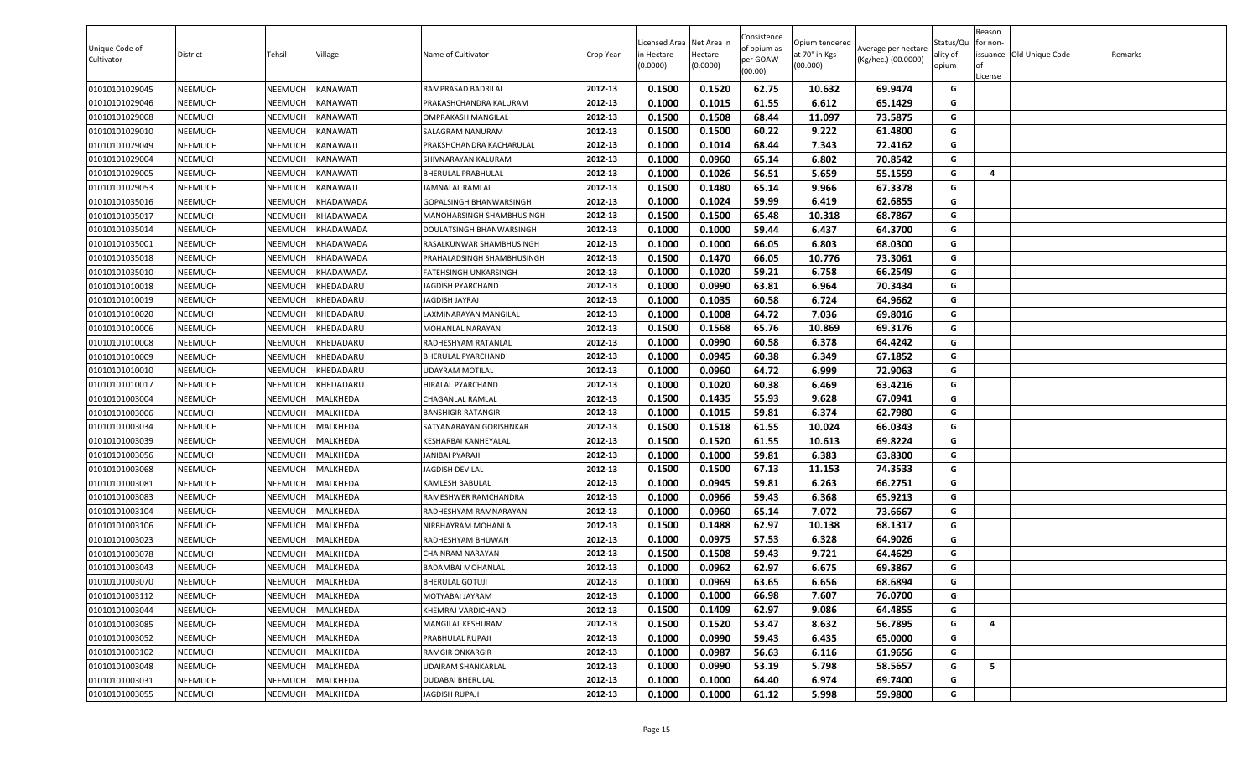| 0.1500<br>0.1520<br>62.75<br>69.9474<br>01010101029045<br>NEEMUCH<br>NEEMUCH<br>KANAWATI<br>RAMPRASAD BADRILAL<br>2012-13<br>10.632<br>G<br>0.1015<br>NEEMUCH<br>2012-13<br>0.1000<br>61.55<br>6.612<br>65.1429<br>G<br>01010101029046<br>NEEMUCH<br>KANAWATI<br>PRAKASHCHANDRA KALURAM<br>0.1500<br>0.1508<br>68.44<br>73.5875<br>01010101029008<br>NEEMUCH<br>NEEMUCH<br>KANAWATI<br>2012-13<br>11.097<br>G<br>OMPRAKASH MANGILAL<br>0.1500<br>0.1500<br>60.22<br>9.222<br>61.4800<br>G<br>01010101029010<br>NEEMUCH<br>NEEMUCH<br>KANAWATI<br>2012-13<br>SALAGRAM NANURAM<br>0.1000<br>0.1014<br>68.44<br>7.343<br>72.4162<br>01010101029049<br>NEEMUCH<br>KANAWATI<br>2012-13<br>G<br>NEEMUCH<br>PRAKSHCHANDRA KACHARULAL<br>65.14<br>G<br>2012-13<br>0.1000<br>0.0960<br>6.802<br>70.8542<br>01010101029004<br>NEEMUCH<br><b>NEEMUCH</b><br>KANAWATI<br>SHIVNARAYAN KALURAM<br>01010101029005<br>NEEMUCH<br>NEEMUCH<br>2012-13<br>0.1000<br>0.1026<br>56.51<br>5.659<br>55.1559<br>G<br>KANAWATI<br>BHERULAL PRABHULAL<br>4<br>G<br>65.14<br>01010101029053<br>NEEMUCH<br>NEEMUCH<br>KANAWATI<br>JAMNALAL RAMLAL<br>2012-13<br>0.1500<br>0.1480<br>9.966<br>67.3378<br>2012-13<br>0.1000<br>0.1024<br>59.99<br>62.6855<br>G<br>01010101035016<br>NEEMUCH<br>NEEMUCH<br>GOPALSINGH BHANWARSINGH<br>6.419<br>KHADAWADA<br>0.1500<br>0.1500<br>65.48<br>01010101035017<br>NEEMUCH<br>NEEMUCH<br>KHADAWADA<br>2012-13<br>10.318<br>68.7867<br>G<br>MANOHARSINGH SHAMBHUSINGH<br>01010101035014<br>NEEMUCH<br>2012-13<br>0.1000<br>0.1000<br>59.44<br>6.437<br>64.3700<br>NEEMUCH<br>KHADAWADA<br>G<br>DOULATSINGH BHANWARSINGH<br>0.1000<br>66.05<br>01010101035001<br>NEEMUCH<br>KHADAWADA<br>2012-13<br>0.1000<br>6.803<br>68.0300<br>G<br>NEEMUCH<br>RASALKUNWAR SHAMBHUSINGH<br>0.1500<br>0.1470<br>66.05<br>10.776<br><b>NEEMUCH</b><br>2012-13<br>73.3061<br>G<br>01010101035018<br>NEEMUCH<br>KHADAWADA<br>PRAHALADSINGH SHAMBHUSINGH<br>59.21<br>66.2549<br>G<br>01010101035010<br>NEEMUCH<br>NEEMUCH<br><b>KHADAWADA</b><br>2012-13<br>0.1000<br>0.1020<br>6.758<br>FATEHSINGH UNKARSINGH<br>NEEMUCH<br>2012-13<br>0.1000<br>0.0990<br>63.81<br>6.964<br>70.3434<br>G<br>01010101010018<br>NEEMUCH<br>KHEDADARU<br>JAGDISH PYARCHAND<br>0.1000<br>0.1035<br>60.58<br>6.724<br>64.9662<br>01010101010019<br><b>NEEMUCH</b><br>NEEMUCH<br>KHEDADARU<br>2012-13<br>G<br>JAGDISH JAYRAJ<br>0.1000<br>0.1008<br>64.72<br>7.036<br>G<br>2012-13<br>69.8016<br>NEEMUCH<br>KHEDADARU<br>LAXMINARAYAN MANGILAL<br>01010101010020<br>NEEMUCH<br>2012-13<br>0.1500<br>0.1568<br>65.76<br>69.3176<br>G<br>01010101010006<br>NEEMUCH<br>NEEMUCH<br>KHEDADARU<br>MOHANLAL NARAYAN<br>10.869<br>2012-13<br>NEEMUCH<br>0.1000<br>0.0990<br>60.58<br>6.378<br>64.4242<br>G<br>01010101010008<br>NEEMUCH<br>KHEDADARU<br>RADHESHYAM RATANLAL<br>2012-13<br>0.1000<br>0.0945<br>60.38<br>6.349<br>67.1852<br>G<br>01010101010009<br>NEEMUCH<br>NEEMUCH<br>KHEDADARU<br>BHERULAL PYARCHAND<br>0.1000<br>0.0960<br>64.72<br>6.999<br>G<br>NEEMUCH<br>2012-13<br>72.9063<br>01010101010010<br>NEEMUCH<br>KHEDADARU<br>UDAYRAM MOTILAL<br>0.1000<br>0.1020<br>60.38<br>63.4216<br>01010101010017<br>NEEMUCH<br><b>NEEMUCH</b><br>KHEDADARU<br>2012-13<br>6.469<br>G<br>HIRALAL PYARCHAND<br>55.93<br>9.628<br>NEEMUCH<br>MALKHEDA<br>2012-13<br>0.1500<br>0.1435<br>67.0941<br>G<br>01010101003004<br>NEEMUCH<br>CHAGANLAL RAMLAL<br>2012-13<br>0.1000<br>0.1015<br>59.81<br>6.374<br>62.7980<br>01010101003006<br>NEEMUCH<br>NEEMUCH<br>MALKHEDA<br>G<br><b>BANSHIGIR RATANGIR</b><br>0.1518<br>61.55<br>G<br>01010101003034<br>NEEMUCH<br>NEEMUCH<br>MALKHEDA<br>2012-13<br>0.1500<br>10.024<br>66.0343<br>SATYANARAYAN GORISHNKAR<br>0.1500<br>0.1520<br>61.55<br>69.8224<br>01010101003039<br>NEEMUCH<br>NEEMUCH<br>MALKHEDA<br>2012-13<br>10.613<br>G<br>KESHARBAI KANHEYALAL<br>NEEMUCH<br>2012-13<br>0.1000<br>0.1000<br>59.81<br>6.383<br>63.8300<br>G<br>01010101003056<br>NEEMUCH<br>MALKHEDA<br>JANIBAI PYARAJI<br>0.1500<br>0.1500<br>67.13<br>11.153<br>74.3533<br>01010101003068<br>NEEMUCH<br>NEEMUCH<br>MALKHEDA<br>2012-13<br>G<br>JAGDISH DEVILAL<br>G<br>2012-13<br>0.0945<br>59.81<br>01010101003081<br>NEEMUCH<br>MALKHEDA<br>0.1000<br>6.263<br>66.2751<br>NEEMUCH<br>KAMLESH BABULAL<br>2012-13<br>0.1000<br>0.0966<br>59.43<br>65.9213<br>G<br><b>NEEMUCH</b><br>MALKHEDA<br>6.368<br>01010101003083<br>NEEMUCH<br>RAMESHWER RAMCHANDRA<br>G<br>2012-13<br>0.0960<br>65.14<br>7.072<br>73.6667<br>01010101003104<br>NEEMUCH<br>NEEMUCH<br>MALKHEDA<br>RADHESHYAM RAMNARAYAN<br>0.1000<br>NEEMUCH<br>2012-13<br>0.1500<br>0.1488<br>62.97<br>10.138<br>68.1317<br>G<br>01010101003106<br>NEEMUCH<br>MALKHEDA<br>NIRBHAYRAM MOHANLAL<br>0.0975<br>57.53<br>01010101003023<br><b>NEEMUCH</b><br>NEEMUCH<br>MALKHEDA<br>2012-13<br>0.1000<br>6.328<br>64.9026<br>G<br>RADHESHYAM BHUWAN<br>0.1508<br>NEEMUCH<br>NEEMUCH<br>MALKHEDA<br>2012-13<br>0.1500<br>59.43<br>9.721<br>64.4629<br>G<br>01010101003078<br>CHAINRAM NARAYAN<br>0.1000<br>0.0962<br>62.97<br>6.675<br>69.3867<br>01010101003043<br>NEEMUCH<br>NEEMUCH<br>MALKHEDA<br>2012-13<br>G<br><b>BADAMBAI MOHANLAL</b><br>0.0969<br>NEEMUCH<br><b>NEEMUCH</b><br>MALKHEDA<br>2012-13<br>0.1000<br>63.65<br>6.656<br>68.6894<br>G<br>01010101003070<br><b>BHERULAL GOTUJI</b><br>0.1000<br>66.98<br>01010101003112<br>NEEMUCH<br>NEEMUCH<br>MALKHEDA<br>2012-13<br>0.1000<br>7.607<br>76.0700<br>G<br>MOTYABAI JAYRAM<br>2012-13<br>0.1500<br>0.1409<br>62.97<br>9.086<br>64.4855<br>G<br>01010101003044<br>NEEMUCH<br>NEEMUCH<br>MALKHEDA<br>KHEMRAJ VARDICHAND<br>53.47<br>8.632<br>2012-13<br>0.1500<br>0.1520<br>56.7895<br>01010101003085<br><b>NEEMUCH</b><br>NEEMUCH<br>MALKHEDA<br>G<br>MANGILAL KESHURAM<br>4<br>01010101003052<br>NEEMUCH<br>NEEMUCH<br>MALKHEDA<br>2012-13<br>0.1000<br>0.0990<br>59.43<br>6.435<br>65.0000<br>G<br>PRABHULAL RUPAJI<br>NEEMUCH<br>2012-13<br>0.1000<br>0.0987<br>56.63<br>6.116<br>61.9656<br>G<br>01010101003102<br><b>NEEMUCH</b><br>MALKHEDA<br>RAMGIR ONKARGIR<br>2012-13<br>G<br>5<br><b>UDAIRAM SHANKARLAL</b><br>0.0990<br>53.19<br>5.798<br>58.5657<br>01010101003048<br>NEEMUCH<br>NEEMUCH<br>MALKHEDA<br>0.1000<br>01010101003031<br>NEEMUCH<br>MALKHEDA<br><b>DUDABAI BHERULAL</b><br>2012-13<br>0.1000<br>0.1000<br>64.40<br>6.974<br>69.7400<br>G<br><b>NEEMUCH</b> | Unique Code of<br>Cultivator | District       | Tehsil  | Village  | Name of Cultivator | Crop Year | Licensed Area Net Area in<br>n Hectare<br>(0.0000) | Hectare<br>(0.0000) | Consistence<br>of opium as<br>per GOAW<br>(00.00) | Opium tendered<br>at 70° in Kgs<br>(00.000) | Average per hectare<br>(Kg/hec.) (00.0000) | Status/Qu<br>ality of<br>opium | Reason<br>for non-<br>of<br>License | issuance Old Unique Code | Remarks |
|-----------------------------------------------------------------------------------------------------------------------------------------------------------------------------------------------------------------------------------------------------------------------------------------------------------------------------------------------------------------------------------------------------------------------------------------------------------------------------------------------------------------------------------------------------------------------------------------------------------------------------------------------------------------------------------------------------------------------------------------------------------------------------------------------------------------------------------------------------------------------------------------------------------------------------------------------------------------------------------------------------------------------------------------------------------------------------------------------------------------------------------------------------------------------------------------------------------------------------------------------------------------------------------------------------------------------------------------------------------------------------------------------------------------------------------------------------------------------------------------------------------------------------------------------------------------------------------------------------------------------------------------------------------------------------------------------------------------------------------------------------------------------------------------------------------------------------------------------------------------------------------------------------------------------------------------------------------------------------------------------------------------------------------------------------------------------------------------------------------------------------------------------------------------------------------------------------------------------------------------------------------------------------------------------------------------------------------------------------------------------------------------------------------------------------------------------------------------------------------------------------------------------------------------------------------------------------------------------------------------------------------------------------------------------------------------------------------------------------------------------------------------------------------------------------------------------------------------------------------------------------------------------------------------------------------------------------------------------------------------------------------------------------------------------------------------------------------------------------------------------------------------------------------------------------------------------------------------------------------------------------------------------------------------------------------------------------------------------------------------------------------------------------------------------------------------------------------------------------------------------------------------------------------------------------------------------------------------------------------------------------------------------------------------------------------------------------------------------------------------------------------------------------------------------------------------------------------------------------------------------------------------------------------------------------------------------------------------------------------------------------------------------------------------------------------------------------------------------------------------------------------------------------------------------------------------------------------------------------------------------------------------------------------------------------------------------------------------------------------------------------------------------------------------------------------------------------------------------------------------------------------------------------------------------------------------------------------------------------------------------------------------------------------------------------------------------------------------------------------------------------------------------------------------------------------------------------------------------------------------------------------------------------------------------------------------------------------------------------------------------------------------------------------------------------------------------------------------------------------------------------------------------------------------------------------------------------------------------------------------------------------------------------------------------------------------------------------------------------------------------------------------------------------------------------------------------------------------------------------------------------------------------------------------------------------------------------------------------------------------------------------------------------------------------------------------------------------------------------------------------------------------------------------------------------------------------------------------------------------------------------------------------------------------------------------------------------------------------------------------------------------------------------------------------------------------------------------------------------------------------------------------------------------------------------------------------------------------------------------------------------------------------------------------------------------------------------------------------------------------------------------------------|------------------------------|----------------|---------|----------|--------------------|-----------|----------------------------------------------------|---------------------|---------------------------------------------------|---------------------------------------------|--------------------------------------------|--------------------------------|-------------------------------------|--------------------------|---------|
|                                                                                                                                                                                                                                                                                                                                                                                                                                                                                                                                                                                                                                                                                                                                                                                                                                                                                                                                                                                                                                                                                                                                                                                                                                                                                                                                                                                                                                                                                                                                                                                                                                                                                                                                                                                                                                                                                                                                                                                                                                                                                                                                                                                                                                                                                                                                                                                                                                                                                                                                                                                                                                                                                                                                                                                                                                                                                                                                                                                                                                                                                                                                                                                                                                                                                                                                                                                                                                                                                                                                                                                                                                                                                                                                                                                                                                                                                                                                                                                                                                                                                                                                                                                                                                                                                                                                                                                                                                                                                                                                                                                                                                                                                                                                                                                                                                                                                                                                                                                                                                                                                                                                                                                                                                                                                                                                                                                                                                                                                                                                                                                                                                                                                                                                                                                                                                                                                                                                                                                                                                                                                                                                                                                                                                                                                                                                                                                               |                              |                |         |          |                    |           |                                                    |                     |                                                   |                                             |                                            |                                |                                     |                          |         |
|                                                                                                                                                                                                                                                                                                                                                                                                                                                                                                                                                                                                                                                                                                                                                                                                                                                                                                                                                                                                                                                                                                                                                                                                                                                                                                                                                                                                                                                                                                                                                                                                                                                                                                                                                                                                                                                                                                                                                                                                                                                                                                                                                                                                                                                                                                                                                                                                                                                                                                                                                                                                                                                                                                                                                                                                                                                                                                                                                                                                                                                                                                                                                                                                                                                                                                                                                                                                                                                                                                                                                                                                                                                                                                                                                                                                                                                                                                                                                                                                                                                                                                                                                                                                                                                                                                                                                                                                                                                                                                                                                                                                                                                                                                                                                                                                                                                                                                                                                                                                                                                                                                                                                                                                                                                                                                                                                                                                                                                                                                                                                                                                                                                                                                                                                                                                                                                                                                                                                                                                                                                                                                                                                                                                                                                                                                                                                                                               |                              |                |         |          |                    |           |                                                    |                     |                                                   |                                             |                                            |                                |                                     |                          |         |
|                                                                                                                                                                                                                                                                                                                                                                                                                                                                                                                                                                                                                                                                                                                                                                                                                                                                                                                                                                                                                                                                                                                                                                                                                                                                                                                                                                                                                                                                                                                                                                                                                                                                                                                                                                                                                                                                                                                                                                                                                                                                                                                                                                                                                                                                                                                                                                                                                                                                                                                                                                                                                                                                                                                                                                                                                                                                                                                                                                                                                                                                                                                                                                                                                                                                                                                                                                                                                                                                                                                                                                                                                                                                                                                                                                                                                                                                                                                                                                                                                                                                                                                                                                                                                                                                                                                                                                                                                                                                                                                                                                                                                                                                                                                                                                                                                                                                                                                                                                                                                                                                                                                                                                                                                                                                                                                                                                                                                                                                                                                                                                                                                                                                                                                                                                                                                                                                                                                                                                                                                                                                                                                                                                                                                                                                                                                                                                                               |                              |                |         |          |                    |           |                                                    |                     |                                                   |                                             |                                            |                                |                                     |                          |         |
|                                                                                                                                                                                                                                                                                                                                                                                                                                                                                                                                                                                                                                                                                                                                                                                                                                                                                                                                                                                                                                                                                                                                                                                                                                                                                                                                                                                                                                                                                                                                                                                                                                                                                                                                                                                                                                                                                                                                                                                                                                                                                                                                                                                                                                                                                                                                                                                                                                                                                                                                                                                                                                                                                                                                                                                                                                                                                                                                                                                                                                                                                                                                                                                                                                                                                                                                                                                                                                                                                                                                                                                                                                                                                                                                                                                                                                                                                                                                                                                                                                                                                                                                                                                                                                                                                                                                                                                                                                                                                                                                                                                                                                                                                                                                                                                                                                                                                                                                                                                                                                                                                                                                                                                                                                                                                                                                                                                                                                                                                                                                                                                                                                                                                                                                                                                                                                                                                                                                                                                                                                                                                                                                                                                                                                                                                                                                                                                               |                              |                |         |          |                    |           |                                                    |                     |                                                   |                                             |                                            |                                |                                     |                          |         |
|                                                                                                                                                                                                                                                                                                                                                                                                                                                                                                                                                                                                                                                                                                                                                                                                                                                                                                                                                                                                                                                                                                                                                                                                                                                                                                                                                                                                                                                                                                                                                                                                                                                                                                                                                                                                                                                                                                                                                                                                                                                                                                                                                                                                                                                                                                                                                                                                                                                                                                                                                                                                                                                                                                                                                                                                                                                                                                                                                                                                                                                                                                                                                                                                                                                                                                                                                                                                                                                                                                                                                                                                                                                                                                                                                                                                                                                                                                                                                                                                                                                                                                                                                                                                                                                                                                                                                                                                                                                                                                                                                                                                                                                                                                                                                                                                                                                                                                                                                                                                                                                                                                                                                                                                                                                                                                                                                                                                                                                                                                                                                                                                                                                                                                                                                                                                                                                                                                                                                                                                                                                                                                                                                                                                                                                                                                                                                                                               |                              |                |         |          |                    |           |                                                    |                     |                                                   |                                             |                                            |                                |                                     |                          |         |
|                                                                                                                                                                                                                                                                                                                                                                                                                                                                                                                                                                                                                                                                                                                                                                                                                                                                                                                                                                                                                                                                                                                                                                                                                                                                                                                                                                                                                                                                                                                                                                                                                                                                                                                                                                                                                                                                                                                                                                                                                                                                                                                                                                                                                                                                                                                                                                                                                                                                                                                                                                                                                                                                                                                                                                                                                                                                                                                                                                                                                                                                                                                                                                                                                                                                                                                                                                                                                                                                                                                                                                                                                                                                                                                                                                                                                                                                                                                                                                                                                                                                                                                                                                                                                                                                                                                                                                                                                                                                                                                                                                                                                                                                                                                                                                                                                                                                                                                                                                                                                                                                                                                                                                                                                                                                                                                                                                                                                                                                                                                                                                                                                                                                                                                                                                                                                                                                                                                                                                                                                                                                                                                                                                                                                                                                                                                                                                                               |                              |                |         |          |                    |           |                                                    |                     |                                                   |                                             |                                            |                                |                                     |                          |         |
|                                                                                                                                                                                                                                                                                                                                                                                                                                                                                                                                                                                                                                                                                                                                                                                                                                                                                                                                                                                                                                                                                                                                                                                                                                                                                                                                                                                                                                                                                                                                                                                                                                                                                                                                                                                                                                                                                                                                                                                                                                                                                                                                                                                                                                                                                                                                                                                                                                                                                                                                                                                                                                                                                                                                                                                                                                                                                                                                                                                                                                                                                                                                                                                                                                                                                                                                                                                                                                                                                                                                                                                                                                                                                                                                                                                                                                                                                                                                                                                                                                                                                                                                                                                                                                                                                                                                                                                                                                                                                                                                                                                                                                                                                                                                                                                                                                                                                                                                                                                                                                                                                                                                                                                                                                                                                                                                                                                                                                                                                                                                                                                                                                                                                                                                                                                                                                                                                                                                                                                                                                                                                                                                                                                                                                                                                                                                                                                               |                              |                |         |          |                    |           |                                                    |                     |                                                   |                                             |                                            |                                |                                     |                          |         |
|                                                                                                                                                                                                                                                                                                                                                                                                                                                                                                                                                                                                                                                                                                                                                                                                                                                                                                                                                                                                                                                                                                                                                                                                                                                                                                                                                                                                                                                                                                                                                                                                                                                                                                                                                                                                                                                                                                                                                                                                                                                                                                                                                                                                                                                                                                                                                                                                                                                                                                                                                                                                                                                                                                                                                                                                                                                                                                                                                                                                                                                                                                                                                                                                                                                                                                                                                                                                                                                                                                                                                                                                                                                                                                                                                                                                                                                                                                                                                                                                                                                                                                                                                                                                                                                                                                                                                                                                                                                                                                                                                                                                                                                                                                                                                                                                                                                                                                                                                                                                                                                                                                                                                                                                                                                                                                                                                                                                                                                                                                                                                                                                                                                                                                                                                                                                                                                                                                                                                                                                                                                                                                                                                                                                                                                                                                                                                                                               |                              |                |         |          |                    |           |                                                    |                     |                                                   |                                             |                                            |                                |                                     |                          |         |
|                                                                                                                                                                                                                                                                                                                                                                                                                                                                                                                                                                                                                                                                                                                                                                                                                                                                                                                                                                                                                                                                                                                                                                                                                                                                                                                                                                                                                                                                                                                                                                                                                                                                                                                                                                                                                                                                                                                                                                                                                                                                                                                                                                                                                                                                                                                                                                                                                                                                                                                                                                                                                                                                                                                                                                                                                                                                                                                                                                                                                                                                                                                                                                                                                                                                                                                                                                                                                                                                                                                                                                                                                                                                                                                                                                                                                                                                                                                                                                                                                                                                                                                                                                                                                                                                                                                                                                                                                                                                                                                                                                                                                                                                                                                                                                                                                                                                                                                                                                                                                                                                                                                                                                                                                                                                                                                                                                                                                                                                                                                                                                                                                                                                                                                                                                                                                                                                                                                                                                                                                                                                                                                                                                                                                                                                                                                                                                                               |                              |                |         |          |                    |           |                                                    |                     |                                                   |                                             |                                            |                                |                                     |                          |         |
|                                                                                                                                                                                                                                                                                                                                                                                                                                                                                                                                                                                                                                                                                                                                                                                                                                                                                                                                                                                                                                                                                                                                                                                                                                                                                                                                                                                                                                                                                                                                                                                                                                                                                                                                                                                                                                                                                                                                                                                                                                                                                                                                                                                                                                                                                                                                                                                                                                                                                                                                                                                                                                                                                                                                                                                                                                                                                                                                                                                                                                                                                                                                                                                                                                                                                                                                                                                                                                                                                                                                                                                                                                                                                                                                                                                                                                                                                                                                                                                                                                                                                                                                                                                                                                                                                                                                                                                                                                                                                                                                                                                                                                                                                                                                                                                                                                                                                                                                                                                                                                                                                                                                                                                                                                                                                                                                                                                                                                                                                                                                                                                                                                                                                                                                                                                                                                                                                                                                                                                                                                                                                                                                                                                                                                                                                                                                                                                               |                              |                |         |          |                    |           |                                                    |                     |                                                   |                                             |                                            |                                |                                     |                          |         |
|                                                                                                                                                                                                                                                                                                                                                                                                                                                                                                                                                                                                                                                                                                                                                                                                                                                                                                                                                                                                                                                                                                                                                                                                                                                                                                                                                                                                                                                                                                                                                                                                                                                                                                                                                                                                                                                                                                                                                                                                                                                                                                                                                                                                                                                                                                                                                                                                                                                                                                                                                                                                                                                                                                                                                                                                                                                                                                                                                                                                                                                                                                                                                                                                                                                                                                                                                                                                                                                                                                                                                                                                                                                                                                                                                                                                                                                                                                                                                                                                                                                                                                                                                                                                                                                                                                                                                                                                                                                                                                                                                                                                                                                                                                                                                                                                                                                                                                                                                                                                                                                                                                                                                                                                                                                                                                                                                                                                                                                                                                                                                                                                                                                                                                                                                                                                                                                                                                                                                                                                                                                                                                                                                                                                                                                                                                                                                                                               |                              |                |         |          |                    |           |                                                    |                     |                                                   |                                             |                                            |                                |                                     |                          |         |
|                                                                                                                                                                                                                                                                                                                                                                                                                                                                                                                                                                                                                                                                                                                                                                                                                                                                                                                                                                                                                                                                                                                                                                                                                                                                                                                                                                                                                                                                                                                                                                                                                                                                                                                                                                                                                                                                                                                                                                                                                                                                                                                                                                                                                                                                                                                                                                                                                                                                                                                                                                                                                                                                                                                                                                                                                                                                                                                                                                                                                                                                                                                                                                                                                                                                                                                                                                                                                                                                                                                                                                                                                                                                                                                                                                                                                                                                                                                                                                                                                                                                                                                                                                                                                                                                                                                                                                                                                                                                                                                                                                                                                                                                                                                                                                                                                                                                                                                                                                                                                                                                                                                                                                                                                                                                                                                                                                                                                                                                                                                                                                                                                                                                                                                                                                                                                                                                                                                                                                                                                                                                                                                                                                                                                                                                                                                                                                                               |                              |                |         |          |                    |           |                                                    |                     |                                                   |                                             |                                            |                                |                                     |                          |         |
|                                                                                                                                                                                                                                                                                                                                                                                                                                                                                                                                                                                                                                                                                                                                                                                                                                                                                                                                                                                                                                                                                                                                                                                                                                                                                                                                                                                                                                                                                                                                                                                                                                                                                                                                                                                                                                                                                                                                                                                                                                                                                                                                                                                                                                                                                                                                                                                                                                                                                                                                                                                                                                                                                                                                                                                                                                                                                                                                                                                                                                                                                                                                                                                                                                                                                                                                                                                                                                                                                                                                                                                                                                                                                                                                                                                                                                                                                                                                                                                                                                                                                                                                                                                                                                                                                                                                                                                                                                                                                                                                                                                                                                                                                                                                                                                                                                                                                                                                                                                                                                                                                                                                                                                                                                                                                                                                                                                                                                                                                                                                                                                                                                                                                                                                                                                                                                                                                                                                                                                                                                                                                                                                                                                                                                                                                                                                                                                               |                              |                |         |          |                    |           |                                                    |                     |                                                   |                                             |                                            |                                |                                     |                          |         |
|                                                                                                                                                                                                                                                                                                                                                                                                                                                                                                                                                                                                                                                                                                                                                                                                                                                                                                                                                                                                                                                                                                                                                                                                                                                                                                                                                                                                                                                                                                                                                                                                                                                                                                                                                                                                                                                                                                                                                                                                                                                                                                                                                                                                                                                                                                                                                                                                                                                                                                                                                                                                                                                                                                                                                                                                                                                                                                                                                                                                                                                                                                                                                                                                                                                                                                                                                                                                                                                                                                                                                                                                                                                                                                                                                                                                                                                                                                                                                                                                                                                                                                                                                                                                                                                                                                                                                                                                                                                                                                                                                                                                                                                                                                                                                                                                                                                                                                                                                                                                                                                                                                                                                                                                                                                                                                                                                                                                                                                                                                                                                                                                                                                                                                                                                                                                                                                                                                                                                                                                                                                                                                                                                                                                                                                                                                                                                                                               |                              |                |         |          |                    |           |                                                    |                     |                                                   |                                             |                                            |                                |                                     |                          |         |
|                                                                                                                                                                                                                                                                                                                                                                                                                                                                                                                                                                                                                                                                                                                                                                                                                                                                                                                                                                                                                                                                                                                                                                                                                                                                                                                                                                                                                                                                                                                                                                                                                                                                                                                                                                                                                                                                                                                                                                                                                                                                                                                                                                                                                                                                                                                                                                                                                                                                                                                                                                                                                                                                                                                                                                                                                                                                                                                                                                                                                                                                                                                                                                                                                                                                                                                                                                                                                                                                                                                                                                                                                                                                                                                                                                                                                                                                                                                                                                                                                                                                                                                                                                                                                                                                                                                                                                                                                                                                                                                                                                                                                                                                                                                                                                                                                                                                                                                                                                                                                                                                                                                                                                                                                                                                                                                                                                                                                                                                                                                                                                                                                                                                                                                                                                                                                                                                                                                                                                                                                                                                                                                                                                                                                                                                                                                                                                                               |                              |                |         |          |                    |           |                                                    |                     |                                                   |                                             |                                            |                                |                                     |                          |         |
|                                                                                                                                                                                                                                                                                                                                                                                                                                                                                                                                                                                                                                                                                                                                                                                                                                                                                                                                                                                                                                                                                                                                                                                                                                                                                                                                                                                                                                                                                                                                                                                                                                                                                                                                                                                                                                                                                                                                                                                                                                                                                                                                                                                                                                                                                                                                                                                                                                                                                                                                                                                                                                                                                                                                                                                                                                                                                                                                                                                                                                                                                                                                                                                                                                                                                                                                                                                                                                                                                                                                                                                                                                                                                                                                                                                                                                                                                                                                                                                                                                                                                                                                                                                                                                                                                                                                                                                                                                                                                                                                                                                                                                                                                                                                                                                                                                                                                                                                                                                                                                                                                                                                                                                                                                                                                                                                                                                                                                                                                                                                                                                                                                                                                                                                                                                                                                                                                                                                                                                                                                                                                                                                                                                                                                                                                                                                                                                               |                              |                |         |          |                    |           |                                                    |                     |                                                   |                                             |                                            |                                |                                     |                          |         |
|                                                                                                                                                                                                                                                                                                                                                                                                                                                                                                                                                                                                                                                                                                                                                                                                                                                                                                                                                                                                                                                                                                                                                                                                                                                                                                                                                                                                                                                                                                                                                                                                                                                                                                                                                                                                                                                                                                                                                                                                                                                                                                                                                                                                                                                                                                                                                                                                                                                                                                                                                                                                                                                                                                                                                                                                                                                                                                                                                                                                                                                                                                                                                                                                                                                                                                                                                                                                                                                                                                                                                                                                                                                                                                                                                                                                                                                                                                                                                                                                                                                                                                                                                                                                                                                                                                                                                                                                                                                                                                                                                                                                                                                                                                                                                                                                                                                                                                                                                                                                                                                                                                                                                                                                                                                                                                                                                                                                                                                                                                                                                                                                                                                                                                                                                                                                                                                                                                                                                                                                                                                                                                                                                                                                                                                                                                                                                                                               |                              |                |         |          |                    |           |                                                    |                     |                                                   |                                             |                                            |                                |                                     |                          |         |
|                                                                                                                                                                                                                                                                                                                                                                                                                                                                                                                                                                                                                                                                                                                                                                                                                                                                                                                                                                                                                                                                                                                                                                                                                                                                                                                                                                                                                                                                                                                                                                                                                                                                                                                                                                                                                                                                                                                                                                                                                                                                                                                                                                                                                                                                                                                                                                                                                                                                                                                                                                                                                                                                                                                                                                                                                                                                                                                                                                                                                                                                                                                                                                                                                                                                                                                                                                                                                                                                                                                                                                                                                                                                                                                                                                                                                                                                                                                                                                                                                                                                                                                                                                                                                                                                                                                                                                                                                                                                                                                                                                                                                                                                                                                                                                                                                                                                                                                                                                                                                                                                                                                                                                                                                                                                                                                                                                                                                                                                                                                                                                                                                                                                                                                                                                                                                                                                                                                                                                                                                                                                                                                                                                                                                                                                                                                                                                                               |                              |                |         |          |                    |           |                                                    |                     |                                                   |                                             |                                            |                                |                                     |                          |         |
|                                                                                                                                                                                                                                                                                                                                                                                                                                                                                                                                                                                                                                                                                                                                                                                                                                                                                                                                                                                                                                                                                                                                                                                                                                                                                                                                                                                                                                                                                                                                                                                                                                                                                                                                                                                                                                                                                                                                                                                                                                                                                                                                                                                                                                                                                                                                                                                                                                                                                                                                                                                                                                                                                                                                                                                                                                                                                                                                                                                                                                                                                                                                                                                                                                                                                                                                                                                                                                                                                                                                                                                                                                                                                                                                                                                                                                                                                                                                                                                                                                                                                                                                                                                                                                                                                                                                                                                                                                                                                                                                                                                                                                                                                                                                                                                                                                                                                                                                                                                                                                                                                                                                                                                                                                                                                                                                                                                                                                                                                                                                                                                                                                                                                                                                                                                                                                                                                                                                                                                                                                                                                                                                                                                                                                                                                                                                                                                               |                              |                |         |          |                    |           |                                                    |                     |                                                   |                                             |                                            |                                |                                     |                          |         |
|                                                                                                                                                                                                                                                                                                                                                                                                                                                                                                                                                                                                                                                                                                                                                                                                                                                                                                                                                                                                                                                                                                                                                                                                                                                                                                                                                                                                                                                                                                                                                                                                                                                                                                                                                                                                                                                                                                                                                                                                                                                                                                                                                                                                                                                                                                                                                                                                                                                                                                                                                                                                                                                                                                                                                                                                                                                                                                                                                                                                                                                                                                                                                                                                                                                                                                                                                                                                                                                                                                                                                                                                                                                                                                                                                                                                                                                                                                                                                                                                                                                                                                                                                                                                                                                                                                                                                                                                                                                                                                                                                                                                                                                                                                                                                                                                                                                                                                                                                                                                                                                                                                                                                                                                                                                                                                                                                                                                                                                                                                                                                                                                                                                                                                                                                                                                                                                                                                                                                                                                                                                                                                                                                                                                                                                                                                                                                                                               |                              |                |         |          |                    |           |                                                    |                     |                                                   |                                             |                                            |                                |                                     |                          |         |
|                                                                                                                                                                                                                                                                                                                                                                                                                                                                                                                                                                                                                                                                                                                                                                                                                                                                                                                                                                                                                                                                                                                                                                                                                                                                                                                                                                                                                                                                                                                                                                                                                                                                                                                                                                                                                                                                                                                                                                                                                                                                                                                                                                                                                                                                                                                                                                                                                                                                                                                                                                                                                                                                                                                                                                                                                                                                                                                                                                                                                                                                                                                                                                                                                                                                                                                                                                                                                                                                                                                                                                                                                                                                                                                                                                                                                                                                                                                                                                                                                                                                                                                                                                                                                                                                                                                                                                                                                                                                                                                                                                                                                                                                                                                                                                                                                                                                                                                                                                                                                                                                                                                                                                                                                                                                                                                                                                                                                                                                                                                                                                                                                                                                                                                                                                                                                                                                                                                                                                                                                                                                                                                                                                                                                                                                                                                                                                                               |                              |                |         |          |                    |           |                                                    |                     |                                                   |                                             |                                            |                                |                                     |                          |         |
|                                                                                                                                                                                                                                                                                                                                                                                                                                                                                                                                                                                                                                                                                                                                                                                                                                                                                                                                                                                                                                                                                                                                                                                                                                                                                                                                                                                                                                                                                                                                                                                                                                                                                                                                                                                                                                                                                                                                                                                                                                                                                                                                                                                                                                                                                                                                                                                                                                                                                                                                                                                                                                                                                                                                                                                                                                                                                                                                                                                                                                                                                                                                                                                                                                                                                                                                                                                                                                                                                                                                                                                                                                                                                                                                                                                                                                                                                                                                                                                                                                                                                                                                                                                                                                                                                                                                                                                                                                                                                                                                                                                                                                                                                                                                                                                                                                                                                                                                                                                                                                                                                                                                                                                                                                                                                                                                                                                                                                                                                                                                                                                                                                                                                                                                                                                                                                                                                                                                                                                                                                                                                                                                                                                                                                                                                                                                                                                               |                              |                |         |          |                    |           |                                                    |                     |                                                   |                                             |                                            |                                |                                     |                          |         |
|                                                                                                                                                                                                                                                                                                                                                                                                                                                                                                                                                                                                                                                                                                                                                                                                                                                                                                                                                                                                                                                                                                                                                                                                                                                                                                                                                                                                                                                                                                                                                                                                                                                                                                                                                                                                                                                                                                                                                                                                                                                                                                                                                                                                                                                                                                                                                                                                                                                                                                                                                                                                                                                                                                                                                                                                                                                                                                                                                                                                                                                                                                                                                                                                                                                                                                                                                                                                                                                                                                                                                                                                                                                                                                                                                                                                                                                                                                                                                                                                                                                                                                                                                                                                                                                                                                                                                                                                                                                                                                                                                                                                                                                                                                                                                                                                                                                                                                                                                                                                                                                                                                                                                                                                                                                                                                                                                                                                                                                                                                                                                                                                                                                                                                                                                                                                                                                                                                                                                                                                                                                                                                                                                                                                                                                                                                                                                                                               |                              |                |         |          |                    |           |                                                    |                     |                                                   |                                             |                                            |                                |                                     |                          |         |
|                                                                                                                                                                                                                                                                                                                                                                                                                                                                                                                                                                                                                                                                                                                                                                                                                                                                                                                                                                                                                                                                                                                                                                                                                                                                                                                                                                                                                                                                                                                                                                                                                                                                                                                                                                                                                                                                                                                                                                                                                                                                                                                                                                                                                                                                                                                                                                                                                                                                                                                                                                                                                                                                                                                                                                                                                                                                                                                                                                                                                                                                                                                                                                                                                                                                                                                                                                                                                                                                                                                                                                                                                                                                                                                                                                                                                                                                                                                                                                                                                                                                                                                                                                                                                                                                                                                                                                                                                                                                                                                                                                                                                                                                                                                                                                                                                                                                                                                                                                                                                                                                                                                                                                                                                                                                                                                                                                                                                                                                                                                                                                                                                                                                                                                                                                                                                                                                                                                                                                                                                                                                                                                                                                                                                                                                                                                                                                                               |                              |                |         |          |                    |           |                                                    |                     |                                                   |                                             |                                            |                                |                                     |                          |         |
|                                                                                                                                                                                                                                                                                                                                                                                                                                                                                                                                                                                                                                                                                                                                                                                                                                                                                                                                                                                                                                                                                                                                                                                                                                                                                                                                                                                                                                                                                                                                                                                                                                                                                                                                                                                                                                                                                                                                                                                                                                                                                                                                                                                                                                                                                                                                                                                                                                                                                                                                                                                                                                                                                                                                                                                                                                                                                                                                                                                                                                                                                                                                                                                                                                                                                                                                                                                                                                                                                                                                                                                                                                                                                                                                                                                                                                                                                                                                                                                                                                                                                                                                                                                                                                                                                                                                                                                                                                                                                                                                                                                                                                                                                                                                                                                                                                                                                                                                                                                                                                                                                                                                                                                                                                                                                                                                                                                                                                                                                                                                                                                                                                                                                                                                                                                                                                                                                                                                                                                                                                                                                                                                                                                                                                                                                                                                                                                               |                              |                |         |          |                    |           |                                                    |                     |                                                   |                                             |                                            |                                |                                     |                          |         |
|                                                                                                                                                                                                                                                                                                                                                                                                                                                                                                                                                                                                                                                                                                                                                                                                                                                                                                                                                                                                                                                                                                                                                                                                                                                                                                                                                                                                                                                                                                                                                                                                                                                                                                                                                                                                                                                                                                                                                                                                                                                                                                                                                                                                                                                                                                                                                                                                                                                                                                                                                                                                                                                                                                                                                                                                                                                                                                                                                                                                                                                                                                                                                                                                                                                                                                                                                                                                                                                                                                                                                                                                                                                                                                                                                                                                                                                                                                                                                                                                                                                                                                                                                                                                                                                                                                                                                                                                                                                                                                                                                                                                                                                                                                                                                                                                                                                                                                                                                                                                                                                                                                                                                                                                                                                                                                                                                                                                                                                                                                                                                                                                                                                                                                                                                                                                                                                                                                                                                                                                                                                                                                                                                                                                                                                                                                                                                                                               |                              |                |         |          |                    |           |                                                    |                     |                                                   |                                             |                                            |                                |                                     |                          |         |
|                                                                                                                                                                                                                                                                                                                                                                                                                                                                                                                                                                                                                                                                                                                                                                                                                                                                                                                                                                                                                                                                                                                                                                                                                                                                                                                                                                                                                                                                                                                                                                                                                                                                                                                                                                                                                                                                                                                                                                                                                                                                                                                                                                                                                                                                                                                                                                                                                                                                                                                                                                                                                                                                                                                                                                                                                                                                                                                                                                                                                                                                                                                                                                                                                                                                                                                                                                                                                                                                                                                                                                                                                                                                                                                                                                                                                                                                                                                                                                                                                                                                                                                                                                                                                                                                                                                                                                                                                                                                                                                                                                                                                                                                                                                                                                                                                                                                                                                                                                                                                                                                                                                                                                                                                                                                                                                                                                                                                                                                                                                                                                                                                                                                                                                                                                                                                                                                                                                                                                                                                                                                                                                                                                                                                                                                                                                                                                                               |                              |                |         |          |                    |           |                                                    |                     |                                                   |                                             |                                            |                                |                                     |                          |         |
|                                                                                                                                                                                                                                                                                                                                                                                                                                                                                                                                                                                                                                                                                                                                                                                                                                                                                                                                                                                                                                                                                                                                                                                                                                                                                                                                                                                                                                                                                                                                                                                                                                                                                                                                                                                                                                                                                                                                                                                                                                                                                                                                                                                                                                                                                                                                                                                                                                                                                                                                                                                                                                                                                                                                                                                                                                                                                                                                                                                                                                                                                                                                                                                                                                                                                                                                                                                                                                                                                                                                                                                                                                                                                                                                                                                                                                                                                                                                                                                                                                                                                                                                                                                                                                                                                                                                                                                                                                                                                                                                                                                                                                                                                                                                                                                                                                                                                                                                                                                                                                                                                                                                                                                                                                                                                                                                                                                                                                                                                                                                                                                                                                                                                                                                                                                                                                                                                                                                                                                                                                                                                                                                                                                                                                                                                                                                                                                               |                              |                |         |          |                    |           |                                                    |                     |                                                   |                                             |                                            |                                |                                     |                          |         |
|                                                                                                                                                                                                                                                                                                                                                                                                                                                                                                                                                                                                                                                                                                                                                                                                                                                                                                                                                                                                                                                                                                                                                                                                                                                                                                                                                                                                                                                                                                                                                                                                                                                                                                                                                                                                                                                                                                                                                                                                                                                                                                                                                                                                                                                                                                                                                                                                                                                                                                                                                                                                                                                                                                                                                                                                                                                                                                                                                                                                                                                                                                                                                                                                                                                                                                                                                                                                                                                                                                                                                                                                                                                                                                                                                                                                                                                                                                                                                                                                                                                                                                                                                                                                                                                                                                                                                                                                                                                                                                                                                                                                                                                                                                                                                                                                                                                                                                                                                                                                                                                                                                                                                                                                                                                                                                                                                                                                                                                                                                                                                                                                                                                                                                                                                                                                                                                                                                                                                                                                                                                                                                                                                                                                                                                                                                                                                                                               |                              |                |         |          |                    |           |                                                    |                     |                                                   |                                             |                                            |                                |                                     |                          |         |
|                                                                                                                                                                                                                                                                                                                                                                                                                                                                                                                                                                                                                                                                                                                                                                                                                                                                                                                                                                                                                                                                                                                                                                                                                                                                                                                                                                                                                                                                                                                                                                                                                                                                                                                                                                                                                                                                                                                                                                                                                                                                                                                                                                                                                                                                                                                                                                                                                                                                                                                                                                                                                                                                                                                                                                                                                                                                                                                                                                                                                                                                                                                                                                                                                                                                                                                                                                                                                                                                                                                                                                                                                                                                                                                                                                                                                                                                                                                                                                                                                                                                                                                                                                                                                                                                                                                                                                                                                                                                                                                                                                                                                                                                                                                                                                                                                                                                                                                                                                                                                                                                                                                                                                                                                                                                                                                                                                                                                                                                                                                                                                                                                                                                                                                                                                                                                                                                                                                                                                                                                                                                                                                                                                                                                                                                                                                                                                                               |                              |                |         |          |                    |           |                                                    |                     |                                                   |                                             |                                            |                                |                                     |                          |         |
|                                                                                                                                                                                                                                                                                                                                                                                                                                                                                                                                                                                                                                                                                                                                                                                                                                                                                                                                                                                                                                                                                                                                                                                                                                                                                                                                                                                                                                                                                                                                                                                                                                                                                                                                                                                                                                                                                                                                                                                                                                                                                                                                                                                                                                                                                                                                                                                                                                                                                                                                                                                                                                                                                                                                                                                                                                                                                                                                                                                                                                                                                                                                                                                                                                                                                                                                                                                                                                                                                                                                                                                                                                                                                                                                                                                                                                                                                                                                                                                                                                                                                                                                                                                                                                                                                                                                                                                                                                                                                                                                                                                                                                                                                                                                                                                                                                                                                                                                                                                                                                                                                                                                                                                                                                                                                                                                                                                                                                                                                                                                                                                                                                                                                                                                                                                                                                                                                                                                                                                                                                                                                                                                                                                                                                                                                                                                                                                               |                              |                |         |          |                    |           |                                                    |                     |                                                   |                                             |                                            |                                |                                     |                          |         |
|                                                                                                                                                                                                                                                                                                                                                                                                                                                                                                                                                                                                                                                                                                                                                                                                                                                                                                                                                                                                                                                                                                                                                                                                                                                                                                                                                                                                                                                                                                                                                                                                                                                                                                                                                                                                                                                                                                                                                                                                                                                                                                                                                                                                                                                                                                                                                                                                                                                                                                                                                                                                                                                                                                                                                                                                                                                                                                                                                                                                                                                                                                                                                                                                                                                                                                                                                                                                                                                                                                                                                                                                                                                                                                                                                                                                                                                                                                                                                                                                                                                                                                                                                                                                                                                                                                                                                                                                                                                                                                                                                                                                                                                                                                                                                                                                                                                                                                                                                                                                                                                                                                                                                                                                                                                                                                                                                                                                                                                                                                                                                                                                                                                                                                                                                                                                                                                                                                                                                                                                                                                                                                                                                                                                                                                                                                                                                                                               |                              |                |         |          |                    |           |                                                    |                     |                                                   |                                             |                                            |                                |                                     |                          |         |
|                                                                                                                                                                                                                                                                                                                                                                                                                                                                                                                                                                                                                                                                                                                                                                                                                                                                                                                                                                                                                                                                                                                                                                                                                                                                                                                                                                                                                                                                                                                                                                                                                                                                                                                                                                                                                                                                                                                                                                                                                                                                                                                                                                                                                                                                                                                                                                                                                                                                                                                                                                                                                                                                                                                                                                                                                                                                                                                                                                                                                                                                                                                                                                                                                                                                                                                                                                                                                                                                                                                                                                                                                                                                                                                                                                                                                                                                                                                                                                                                                                                                                                                                                                                                                                                                                                                                                                                                                                                                                                                                                                                                                                                                                                                                                                                                                                                                                                                                                                                                                                                                                                                                                                                                                                                                                                                                                                                                                                                                                                                                                                                                                                                                                                                                                                                                                                                                                                                                                                                                                                                                                                                                                                                                                                                                                                                                                                                               |                              |                |         |          |                    |           |                                                    |                     |                                                   |                                             |                                            |                                |                                     |                          |         |
|                                                                                                                                                                                                                                                                                                                                                                                                                                                                                                                                                                                                                                                                                                                                                                                                                                                                                                                                                                                                                                                                                                                                                                                                                                                                                                                                                                                                                                                                                                                                                                                                                                                                                                                                                                                                                                                                                                                                                                                                                                                                                                                                                                                                                                                                                                                                                                                                                                                                                                                                                                                                                                                                                                                                                                                                                                                                                                                                                                                                                                                                                                                                                                                                                                                                                                                                                                                                                                                                                                                                                                                                                                                                                                                                                                                                                                                                                                                                                                                                                                                                                                                                                                                                                                                                                                                                                                                                                                                                                                                                                                                                                                                                                                                                                                                                                                                                                                                                                                                                                                                                                                                                                                                                                                                                                                                                                                                                                                                                                                                                                                                                                                                                                                                                                                                                                                                                                                                                                                                                                                                                                                                                                                                                                                                                                                                                                                                               |                              |                |         |          |                    |           |                                                    |                     |                                                   |                                             |                                            |                                |                                     |                          |         |
|                                                                                                                                                                                                                                                                                                                                                                                                                                                                                                                                                                                                                                                                                                                                                                                                                                                                                                                                                                                                                                                                                                                                                                                                                                                                                                                                                                                                                                                                                                                                                                                                                                                                                                                                                                                                                                                                                                                                                                                                                                                                                                                                                                                                                                                                                                                                                                                                                                                                                                                                                                                                                                                                                                                                                                                                                                                                                                                                                                                                                                                                                                                                                                                                                                                                                                                                                                                                                                                                                                                                                                                                                                                                                                                                                                                                                                                                                                                                                                                                                                                                                                                                                                                                                                                                                                                                                                                                                                                                                                                                                                                                                                                                                                                                                                                                                                                                                                                                                                                                                                                                                                                                                                                                                                                                                                                                                                                                                                                                                                                                                                                                                                                                                                                                                                                                                                                                                                                                                                                                                                                                                                                                                                                                                                                                                                                                                                                               |                              |                |         |          |                    |           |                                                    |                     |                                                   |                                             |                                            |                                |                                     |                          |         |
|                                                                                                                                                                                                                                                                                                                                                                                                                                                                                                                                                                                                                                                                                                                                                                                                                                                                                                                                                                                                                                                                                                                                                                                                                                                                                                                                                                                                                                                                                                                                                                                                                                                                                                                                                                                                                                                                                                                                                                                                                                                                                                                                                                                                                                                                                                                                                                                                                                                                                                                                                                                                                                                                                                                                                                                                                                                                                                                                                                                                                                                                                                                                                                                                                                                                                                                                                                                                                                                                                                                                                                                                                                                                                                                                                                                                                                                                                                                                                                                                                                                                                                                                                                                                                                                                                                                                                                                                                                                                                                                                                                                                                                                                                                                                                                                                                                                                                                                                                                                                                                                                                                                                                                                                                                                                                                                                                                                                                                                                                                                                                                                                                                                                                                                                                                                                                                                                                                                                                                                                                                                                                                                                                                                                                                                                                                                                                                                               |                              |                |         |          |                    |           |                                                    |                     |                                                   |                                             |                                            |                                |                                     |                          |         |
|                                                                                                                                                                                                                                                                                                                                                                                                                                                                                                                                                                                                                                                                                                                                                                                                                                                                                                                                                                                                                                                                                                                                                                                                                                                                                                                                                                                                                                                                                                                                                                                                                                                                                                                                                                                                                                                                                                                                                                                                                                                                                                                                                                                                                                                                                                                                                                                                                                                                                                                                                                                                                                                                                                                                                                                                                                                                                                                                                                                                                                                                                                                                                                                                                                                                                                                                                                                                                                                                                                                                                                                                                                                                                                                                                                                                                                                                                                                                                                                                                                                                                                                                                                                                                                                                                                                                                                                                                                                                                                                                                                                                                                                                                                                                                                                                                                                                                                                                                                                                                                                                                                                                                                                                                                                                                                                                                                                                                                                                                                                                                                                                                                                                                                                                                                                                                                                                                                                                                                                                                                                                                                                                                                                                                                                                                                                                                                                               |                              |                |         |          |                    |           |                                                    |                     |                                                   |                                             |                                            |                                |                                     |                          |         |
|                                                                                                                                                                                                                                                                                                                                                                                                                                                                                                                                                                                                                                                                                                                                                                                                                                                                                                                                                                                                                                                                                                                                                                                                                                                                                                                                                                                                                                                                                                                                                                                                                                                                                                                                                                                                                                                                                                                                                                                                                                                                                                                                                                                                                                                                                                                                                                                                                                                                                                                                                                                                                                                                                                                                                                                                                                                                                                                                                                                                                                                                                                                                                                                                                                                                                                                                                                                                                                                                                                                                                                                                                                                                                                                                                                                                                                                                                                                                                                                                                                                                                                                                                                                                                                                                                                                                                                                                                                                                                                                                                                                                                                                                                                                                                                                                                                                                                                                                                                                                                                                                                                                                                                                                                                                                                                                                                                                                                                                                                                                                                                                                                                                                                                                                                                                                                                                                                                                                                                                                                                                                                                                                                                                                                                                                                                                                                                                               |                              |                |         |          |                    |           |                                                    |                     |                                                   |                                             |                                            |                                |                                     |                          |         |
|                                                                                                                                                                                                                                                                                                                                                                                                                                                                                                                                                                                                                                                                                                                                                                                                                                                                                                                                                                                                                                                                                                                                                                                                                                                                                                                                                                                                                                                                                                                                                                                                                                                                                                                                                                                                                                                                                                                                                                                                                                                                                                                                                                                                                                                                                                                                                                                                                                                                                                                                                                                                                                                                                                                                                                                                                                                                                                                                                                                                                                                                                                                                                                                                                                                                                                                                                                                                                                                                                                                                                                                                                                                                                                                                                                                                                                                                                                                                                                                                                                                                                                                                                                                                                                                                                                                                                                                                                                                                                                                                                                                                                                                                                                                                                                                                                                                                                                                                                                                                                                                                                                                                                                                                                                                                                                                                                                                                                                                                                                                                                                                                                                                                                                                                                                                                                                                                                                                                                                                                                                                                                                                                                                                                                                                                                                                                                                                               |                              |                |         |          |                    |           |                                                    |                     |                                                   |                                             |                                            |                                |                                     |                          |         |
|                                                                                                                                                                                                                                                                                                                                                                                                                                                                                                                                                                                                                                                                                                                                                                                                                                                                                                                                                                                                                                                                                                                                                                                                                                                                                                                                                                                                                                                                                                                                                                                                                                                                                                                                                                                                                                                                                                                                                                                                                                                                                                                                                                                                                                                                                                                                                                                                                                                                                                                                                                                                                                                                                                                                                                                                                                                                                                                                                                                                                                                                                                                                                                                                                                                                                                                                                                                                                                                                                                                                                                                                                                                                                                                                                                                                                                                                                                                                                                                                                                                                                                                                                                                                                                                                                                                                                                                                                                                                                                                                                                                                                                                                                                                                                                                                                                                                                                                                                                                                                                                                                                                                                                                                                                                                                                                                                                                                                                                                                                                                                                                                                                                                                                                                                                                                                                                                                                                                                                                                                                                                                                                                                                                                                                                                                                                                                                                               |                              |                |         |          |                    |           |                                                    |                     |                                                   |                                             |                                            |                                |                                     |                          |         |
|                                                                                                                                                                                                                                                                                                                                                                                                                                                                                                                                                                                                                                                                                                                                                                                                                                                                                                                                                                                                                                                                                                                                                                                                                                                                                                                                                                                                                                                                                                                                                                                                                                                                                                                                                                                                                                                                                                                                                                                                                                                                                                                                                                                                                                                                                                                                                                                                                                                                                                                                                                                                                                                                                                                                                                                                                                                                                                                                                                                                                                                                                                                                                                                                                                                                                                                                                                                                                                                                                                                                                                                                                                                                                                                                                                                                                                                                                                                                                                                                                                                                                                                                                                                                                                                                                                                                                                                                                                                                                                                                                                                                                                                                                                                                                                                                                                                                                                                                                                                                                                                                                                                                                                                                                                                                                                                                                                                                                                                                                                                                                                                                                                                                                                                                                                                                                                                                                                                                                                                                                                                                                                                                                                                                                                                                                                                                                                                               |                              |                |         |          |                    |           |                                                    |                     |                                                   |                                             |                                            |                                |                                     |                          |         |
|                                                                                                                                                                                                                                                                                                                                                                                                                                                                                                                                                                                                                                                                                                                                                                                                                                                                                                                                                                                                                                                                                                                                                                                                                                                                                                                                                                                                                                                                                                                                                                                                                                                                                                                                                                                                                                                                                                                                                                                                                                                                                                                                                                                                                                                                                                                                                                                                                                                                                                                                                                                                                                                                                                                                                                                                                                                                                                                                                                                                                                                                                                                                                                                                                                                                                                                                                                                                                                                                                                                                                                                                                                                                                                                                                                                                                                                                                                                                                                                                                                                                                                                                                                                                                                                                                                                                                                                                                                                                                                                                                                                                                                                                                                                                                                                                                                                                                                                                                                                                                                                                                                                                                                                                                                                                                                                                                                                                                                                                                                                                                                                                                                                                                                                                                                                                                                                                                                                                                                                                                                                                                                                                                                                                                                                                                                                                                                                               |                              |                |         |          |                    |           |                                                    |                     |                                                   |                                             |                                            |                                |                                     |                          |         |
|                                                                                                                                                                                                                                                                                                                                                                                                                                                                                                                                                                                                                                                                                                                                                                                                                                                                                                                                                                                                                                                                                                                                                                                                                                                                                                                                                                                                                                                                                                                                                                                                                                                                                                                                                                                                                                                                                                                                                                                                                                                                                                                                                                                                                                                                                                                                                                                                                                                                                                                                                                                                                                                                                                                                                                                                                                                                                                                                                                                                                                                                                                                                                                                                                                                                                                                                                                                                                                                                                                                                                                                                                                                                                                                                                                                                                                                                                                                                                                                                                                                                                                                                                                                                                                                                                                                                                                                                                                                                                                                                                                                                                                                                                                                                                                                                                                                                                                                                                                                                                                                                                                                                                                                                                                                                                                                                                                                                                                                                                                                                                                                                                                                                                                                                                                                                                                                                                                                                                                                                                                                                                                                                                                                                                                                                                                                                                                                               |                              |                |         |          |                    |           |                                                    |                     |                                                   |                                             |                                            |                                |                                     |                          |         |
|                                                                                                                                                                                                                                                                                                                                                                                                                                                                                                                                                                                                                                                                                                                                                                                                                                                                                                                                                                                                                                                                                                                                                                                                                                                                                                                                                                                                                                                                                                                                                                                                                                                                                                                                                                                                                                                                                                                                                                                                                                                                                                                                                                                                                                                                                                                                                                                                                                                                                                                                                                                                                                                                                                                                                                                                                                                                                                                                                                                                                                                                                                                                                                                                                                                                                                                                                                                                                                                                                                                                                                                                                                                                                                                                                                                                                                                                                                                                                                                                                                                                                                                                                                                                                                                                                                                                                                                                                                                                                                                                                                                                                                                                                                                                                                                                                                                                                                                                                                                                                                                                                                                                                                                                                                                                                                                                                                                                                                                                                                                                                                                                                                                                                                                                                                                                                                                                                                                                                                                                                                                                                                                                                                                                                                                                                                                                                                                               | 01010101003055               | <b>NEEMUCH</b> | NEEMUCH | MALKHEDA | JAGDISH RUPAJI     | 2012-13   | 0.1000                                             | 0.1000              | 61.12                                             | 5.998                                       | 59.9800                                    | G                              |                                     |                          |         |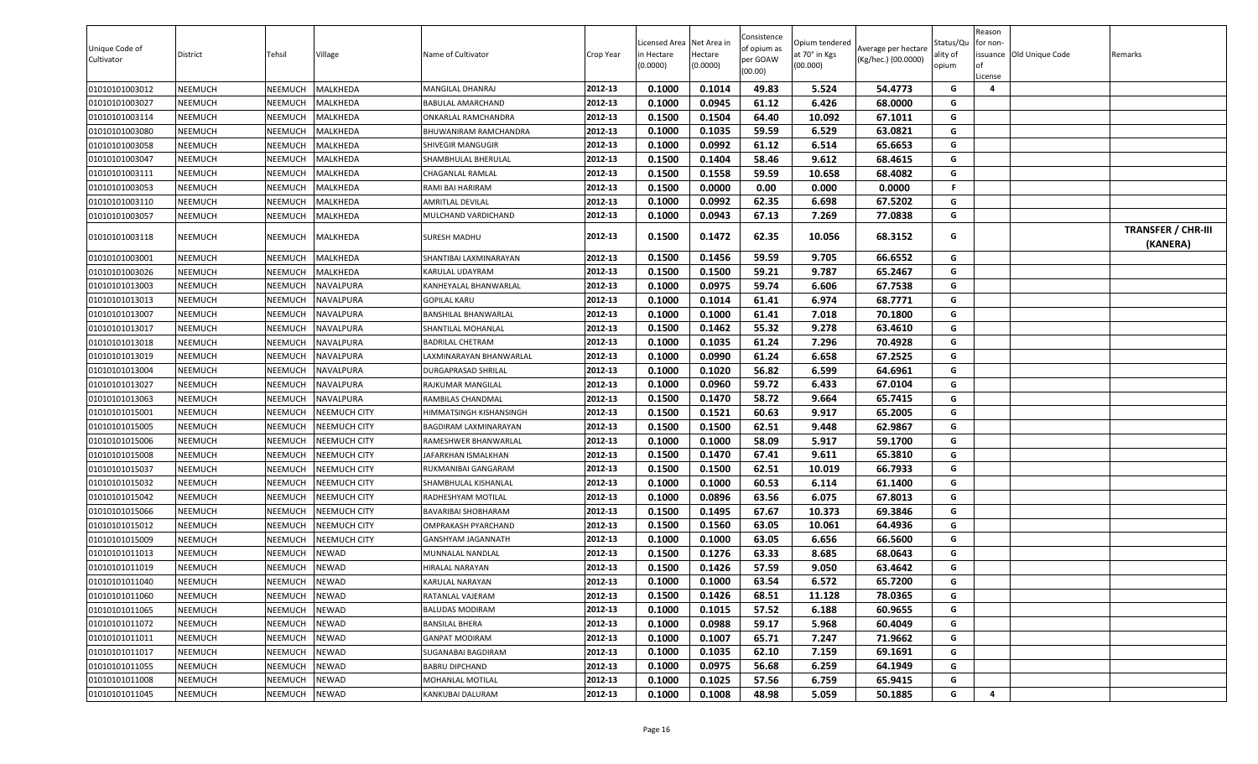| Unique Code of<br>Cultivator | District | Tehsil  | Village             | Name of Cultivator      | Crop Year | Licensed Area Net Area in<br>in Hectare<br>(0.0000) | Hectare<br>(0.0000) | Consistence<br>of opium as<br>per GOAW<br>(00.00) | Opium tendered<br>at 70° in Kgs<br>(00.000) | Average per hectare<br>(Kg/hec.) (00.0000) | Status/Qu<br>ality of<br>opium | Reason<br>for non-<br><b>of</b><br>License | issuance Old Unique Code | Remarks                               |
|------------------------------|----------|---------|---------------------|-------------------------|-----------|-----------------------------------------------------|---------------------|---------------------------------------------------|---------------------------------------------|--------------------------------------------|--------------------------------|--------------------------------------------|--------------------------|---------------------------------------|
| 01010101003012               | NEEMUCH  | NEEMUCH | MALKHEDA            | <b>MANGILAL DHANRAJ</b> | 2012-13   | 0.1000                                              | 0.1014              | 49.83                                             | 5.524                                       | 54.4773                                    | G                              | $\overline{a}$                             |                          |                                       |
| 01010101003027               | NEEMUCH  | NEEMUCH | <b>MALKHEDA</b>     | BABULAL AMARCHAND       | 2012-13   | 0.1000                                              | 0.0945              | 61.12                                             | 6.426                                       | 68.0000                                    | G                              |                                            |                          |                                       |
| 01010101003114               | NEEMUCH  | NEEMUCH | MALKHEDA            | ONKARLAL RAMCHANDRA     | 2012-13   | 0.1500                                              | 0.1504              | 64.40                                             | 10.092                                      | 67.1011                                    | G                              |                                            |                          |                                       |
| 01010101003080               | NEEMUCH  | NEEMUCH | VIALKHEDA           | BHUWANIRAM RAMCHANDRA   | 2012-13   | 0.1000                                              | 0.1035              | 59.59                                             | 6.529                                       | 63.0821                                    | G                              |                                            |                          |                                       |
| 01010101003058               | NEEMUCH  | NEEMUCH | MALKHEDA            | SHIVEGIR MANGUGIR       | 2012-13   | 0.1000                                              | 0.0992              | 61.12                                             | 6.514                                       | 65.6653                                    | G                              |                                            |                          |                                       |
| 01010101003047               | NEEMUCH  | NEEMUCH | MALKHEDA            | SHAMBHULAL BHERULAL     | 2012-13   | 0.1500                                              | 0.1404              | 58.46                                             | 9.612                                       | 68.4615                                    | G                              |                                            |                          |                                       |
| 01010101003111               | NEEMUCH  | NEEMUCH | <b>MALKHEDA</b>     | CHAGANLAL RAMLAL        | 2012-13   | 0.1500                                              | 0.1558              | 59.59                                             | 10.658                                      | 68.4082                                    | G                              |                                            |                          |                                       |
| 01010101003053               | NEEMUCH  | NEEMUCH | MALKHEDA            | RAMI BAI HARIRAM        | 2012-13   | 0.1500                                              | 0.0000              | 0.00                                              | 0.000                                       | 0.0000                                     | F.                             |                                            |                          |                                       |
| 01010101003110               | NEEMUCH  | NEEMUCH | MALKHEDA            | AMRITLAL DEVILAL        | 2012-13   | 0.1000                                              | 0.0992              | 62.35                                             | 6.698                                       | 67.5202                                    | G                              |                                            |                          |                                       |
| 01010101003057               | NEEMUCH  | NEEMUCH | MALKHEDA            | MULCHAND VARDICHAND     | 2012-13   | 0.1000                                              | 0.0943              | 67.13                                             | 7.269                                       | 77.0838                                    | G                              |                                            |                          |                                       |
| 01010101003118               | NEEMUCH  | NEEMUCH | MALKHEDA            | SURESH MADHU            | 2012-13   | 0.1500                                              | 0.1472              | 62.35                                             | 10.056                                      | 68.3152                                    | G                              |                                            |                          | <b>TRANSFER / CHR-III</b><br>(KANERA) |
| 01010101003001               | NEEMUCH  | NEEMUCH | MALKHEDA            | SHANTIBAI LAXMINARAYAN  | 2012-13   | 0.1500                                              | 0.1456              | 59.59                                             | 9.705                                       | 66.6552                                    | G                              |                                            |                          |                                       |
| 01010101003026               | NEEMUCH  | NEEMUCH | MALKHEDA            | KARULAL UDAYRAM         | 2012-13   | 0.1500                                              | 0.1500              | 59.21                                             | 9.787                                       | 65.2467                                    | G                              |                                            |                          |                                       |
| 01010101013003               | NEEMUCH  | NEEMUCH | NAVALPURA           | KANHEYALAL BHANWARLAL   | 2012-13   | 0.1000                                              | 0.0975              | 59.74                                             | 6.606                                       | 67.7538                                    | G                              |                                            |                          |                                       |
| 01010101013013               | NEEMUCH  | NEEMUCH | NAVALPURA           | <b>GOPILAL KARU</b>     | 2012-13   | 0.1000                                              | 0.1014              | 61.41                                             | 6.974                                       | 68.7771                                    | G                              |                                            |                          |                                       |
| 01010101013007               | NEEMUCH  | NEEMUCH | NAVALPURA           | BANSHILAL BHANWARLAL    | 2012-13   | 0.1000                                              | 0.1000              | 61.41                                             | 7.018                                       | 70.1800                                    | G                              |                                            |                          |                                       |
| 01010101013017               | NEEMUCH  | NEEMUCH | NAVALPURA           | SHANTILAL MOHANLAL      | 2012-13   | 0.1500                                              | 0.1462              | 55.32                                             | 9.278                                       | 63.4610                                    | G                              |                                            |                          |                                       |
| 01010101013018               | NEEMUCH  | NEEMUCH | NAVALPURA           | <b>BADRILAL CHETRAM</b> | 2012-13   | 0.1000                                              | 0.1035              | 61.24                                             | 7.296                                       | 70.4928                                    | G                              |                                            |                          |                                       |
| 01010101013019               | NEEMUCH  | NEEMUCH | <b>NAVALPURA</b>    | AXMINARAYAN BHANWARLAL  | 2012-13   | 0.1000                                              | 0.0990              | 61.24                                             | 6.658                                       | 67.2525                                    | G                              |                                            |                          |                                       |
| 01010101013004               | NEEMUCH  | NEEMUCH | <b>NAVALPURA</b>    | DURGAPRASAD SHRILAL     | 2012-13   | 0.1000                                              | 0.1020              | 56.82                                             | 6.599                                       | 64.6961                                    | G                              |                                            |                          |                                       |
| 01010101013027               | NEEMUCH  | NEEMUCH | NAVALPURA           | RAJKUMAR MANGILAL       | 2012-13   | 0.1000                                              | 0.0960              | 59.72                                             | 6.433                                       | 67.0104                                    | G                              |                                            |                          |                                       |
| 01010101013063               | NEEMUCH  | NEEMUCH | NAVALPURA           | RAMBILAS CHANDMAL       | 2012-13   | 0.1500                                              | 0.1470              | 58.72                                             | 9.664                                       | 65.7415                                    | G                              |                                            |                          |                                       |
| 01010101015001               | NEEMUCH  | NEEMUCH | NEEMUCH CITY        | HIMMATSINGH KISHANSINGH | 2012-13   | 0.1500                                              | 0.1521              | 60.63                                             | 9.917                                       | 65.2005                                    | G                              |                                            |                          |                                       |
| 01010101015005               | NEEMUCH  | NEEMUCH | NEEMUCH CITY        | BAGDIRAM LAXMINARAYAN   | 2012-13   | 0.1500                                              | 0.1500              | 62.51                                             | 9.448                                       | 62.9867                                    | G                              |                                            |                          |                                       |
| 01010101015006               | NEEMUCH  | NEEMUCH | <b>NEEMUCH CITY</b> | RAMESHWER BHANWARLAI    | 2012-13   | 0.1000                                              | 0.1000              | 58.09                                             | 5.917                                       | 59.1700                                    | G                              |                                            |                          |                                       |
| 01010101015008               | NEEMUCH  | NEEMUCH | NEEMUCH CITY        | JAFARKHAN ISMALKHAN     | 2012-13   | 0.1500                                              | 0.1470              | 67.41                                             | 9.611                                       | 65.3810                                    | G                              |                                            |                          |                                       |
| 01010101015037               | NEEMUCH  | NEEMUCH | NEEMUCH CITY        | RUKMANIBAI GANGARAM     | 2012-13   | 0.1500                                              | 0.1500              | 62.51                                             | 10.019                                      | 66.7933                                    | G                              |                                            |                          |                                       |
| 01010101015032               | NEEMUCH  | NEEMUCH | NEEMUCH CITY        | SHAMBHULAL KISHANLAL    | 2012-13   | 0.1000                                              | 0.1000              | 60.53                                             | 6.114                                       | 61.1400                                    | G                              |                                            |                          |                                       |
| 01010101015042               | NEEMUCH  | NEEMUCH | <b>NEEMUCH CITY</b> | RADHESHYAM MOTILAL      | 2012-13   | 0.1000                                              | 0.0896              | 63.56                                             | 6.075                                       | 67.8013                                    | G                              |                                            |                          |                                       |
| 01010101015066               | NEEMUCH  | NEEMUCH | <b>NEEMUCH CITY</b> | BAVARIBAI SHOBHARAM     | 2012-13   | 0.1500                                              | 0.1495              | 67.67                                             | 10.373                                      | 69.3846                                    | G                              |                                            |                          |                                       |
| 01010101015012               | NEEMUCH  | NEEMUCH | NEEMUCH CITY        | OMPRAKASH PYARCHAND     | 2012-13   | 0.1500                                              | 0.1560              | 63.05                                             | 10.061                                      | 64.4936                                    | G                              |                                            |                          |                                       |
| 01010101015009               | NEEMUCH  | NEEMUCH | NEEMUCH CITY        | GANSHYAM JAGANNATH      | 2012-13   | 0.1000                                              | 0.1000              | 63.05                                             | 6.656                                       | 66.5600                                    | G                              |                                            |                          |                                       |
| 01010101011013               | NEEMUCH  | NEEMUCH | NEWAD               | MUNNALAL NANDLAL        | 2012-13   | 0.1500                                              | 0.1276              | 63.33                                             | 8.685                                       | 68.0643                                    | G                              |                                            |                          |                                       |
| 01010101011019               | NEEMUCH  | NEEMUCH | NEWAD               | HIRALAL NARAYAN         | 2012-13   | 0.1500                                              | 0.1426              | 57.59                                             | 9.050                                       | 63.4642                                    | G                              |                                            |                          |                                       |
| 01010101011040               | NEEMUCH  | NEEMUCH | NEWAD               | KARULAL NARAYAN         | 2012-13   | 0.1000                                              | 0.1000              | 63.54                                             | 6.572                                       | 65.7200                                    | G                              |                                            |                          |                                       |
| 01010101011060               | NEEMUCH  | NEEMUCH | NEWAD               | RATANLAL VAJERAM        | 2012-13   | 0.1500                                              | 0.1426              | 68.51                                             | 11.128                                      | 78.0365                                    | G                              |                                            |                          |                                       |
| 01010101011065               | NEEMUCH  | NEEMUCH | NEWAD               | BALUDAS MODIRAM         | 2012-13   | 0.1000                                              | 0.1015              | 57.52                                             | 6.188                                       | 60.9655                                    | G                              |                                            |                          |                                       |
| 01010101011072               | NEEMUCH  | NEEMUCH | NEWAD               | <b>BANSILAL BHERA</b>   | 2012-13   | 0.1000                                              | 0.0988              | 59.17                                             | 5.968                                       | 60.4049                                    | G                              |                                            |                          |                                       |
| 01010101011011               | NEEMUCH  | NEEMUCH | NEWAD               | GANPAT MODIRAM          | 2012-13   | 0.1000                                              | 0.1007              | 65.71                                             | 7.247                                       | 71.9662                                    | G                              |                                            |                          |                                       |
| 01010101011017               | NEEMUCH  | NEEMUCH | NEWAD               | SUGANABAI BAGDIRAM      | 2012-13   | 0.1000                                              | 0.1035              | 62.10                                             | 7.159                                       | 69.1691                                    | G                              |                                            |                          |                                       |
| 01010101011055               | NEEMUCH  | NEEMUCH | NEWAD               | <b>BABRU DIPCHAND</b>   | 2012-13   | 0.1000                                              | 0.0975              | 56.68                                             | 6.259                                       | 64.1949                                    | G                              |                                            |                          |                                       |
| 01010101011008               | NEEMUCH  | NEEMUCH | NEWAD               | MOHANLAL MOTILAL        | 2012-13   | 0.1000                                              | 0.1025              | 57.56                                             | 6.759                                       | 65.9415                                    | G                              |                                            |                          |                                       |
| 01010101011045               | NEEMUCH  | NEEMUCH | NEWAD               | KANKUBAI DALURAM        | 2012-13   | 0.1000                                              | 0.1008              | 48.98                                             | 5.059                                       | 50.1885                                    | G                              | 4                                          |                          |                                       |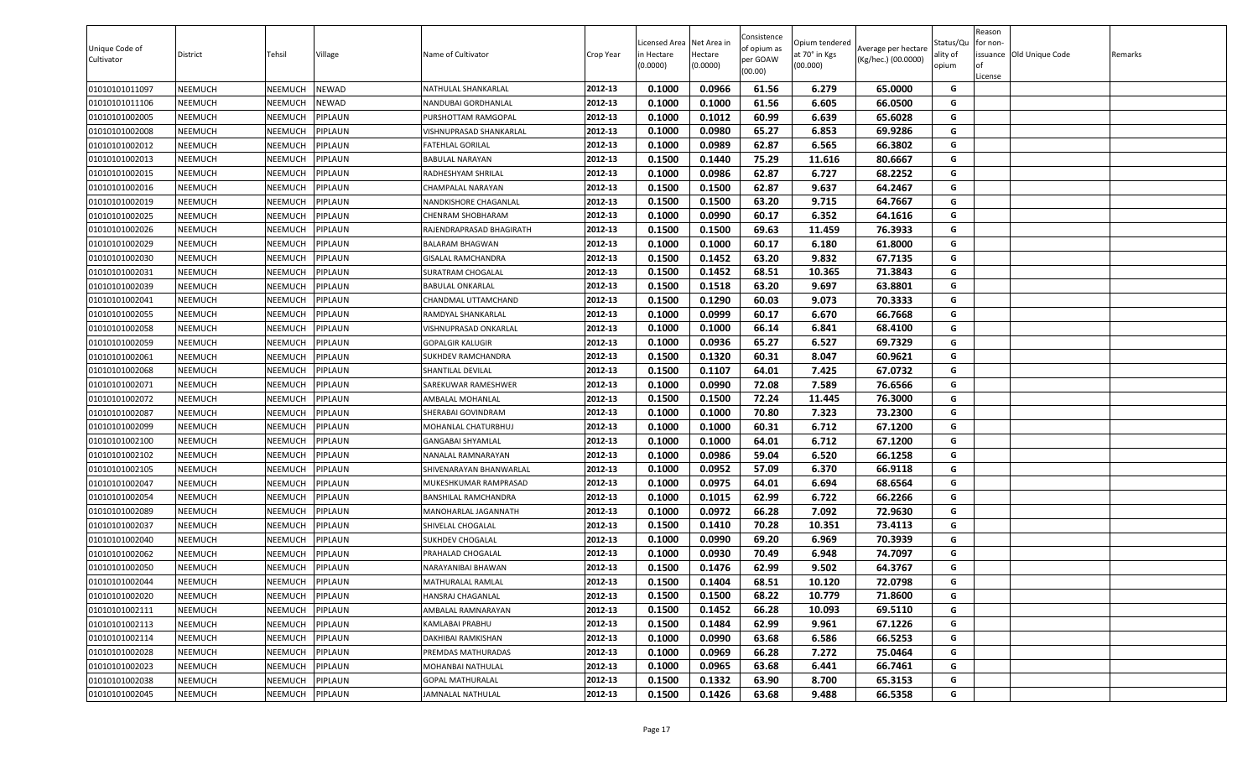| Unique Code of<br>Cultivator | <b>District</b> | Tehsil         | Village | Name of Cultivator       | Crop Year | icensed Area<br>in Hectare<br>(0.0000) | Net Area in<br>Hectare<br>(0.0000) | Consistence<br>of opium as<br>per GOAW<br>(00.00) | Opium tendered<br>at 70° in Kgs<br>(00.000) | Average per hectare<br>(Kg/hec.) (00.0000) | Status/Qu<br>ality of<br>opium | Reason<br>for non-<br>lof<br>License | issuance Old Unique Code | Remarks |
|------------------------------|-----------------|----------------|---------|--------------------------|-----------|----------------------------------------|------------------------------------|---------------------------------------------------|---------------------------------------------|--------------------------------------------|--------------------------------|--------------------------------------|--------------------------|---------|
| 01010101011097               | <b>NEEMUCH</b>  | NEEMUCH        | NEWAD   | NATHULAL SHANKARLAL      | 2012-13   | 0.1000                                 | 0.0966                             | 61.56                                             | 6.279                                       | 65.0000                                    | G                              |                                      |                          |         |
| 01010101011106               | NEEMUCH         | NEEMUCH        | NEWAD   | NANDUBAI GORDHANLAL      | 2012-13   | 0.1000                                 | 0.1000                             | 61.56                                             | 6.605                                       | 66.0500                                    | G                              |                                      |                          |         |
| 01010101002005               | <b>NEEMUCH</b>  | NEEMUCH        | PIPLAUN | PURSHOTTAM RAMGOPAL      | 2012-13   | 0.1000                                 | 0.1012                             | 60.99                                             | 6.639                                       | 65.6028                                    | G                              |                                      |                          |         |
| 01010101002008               | NEEMUCH         | NEEMUCH        | PIPLAUN | VISHNUPRASAD SHANKARLAL  | 2012-13   | 0.1000                                 | 0.0980                             | 65.27                                             | 6.853                                       | 69.9286                                    | G                              |                                      |                          |         |
| 01010101002012               | <b>NEEMUCH</b>  | NEEMUCH        | PIPLAUN | FATEHLAL GORILAL         | 2012-13   | 0.1000                                 | 0.0989                             | 62.87                                             | 6.565                                       | 66.3802                                    | G                              |                                      |                          |         |
| 01010101002013               | <b>NEEMUCH</b>  | NEEMUCH        | PIPLAUN | <b>BABULAL NARAYAN</b>   | 2012-13   | 0.1500                                 | 0.1440                             | 75.29                                             | 11.616                                      | 80.6667                                    | G                              |                                      |                          |         |
| 01010101002015               | <b>NEEMUCH</b>  | NEEMUCH        | PIPLAUN | RADHESHYAM SHRILAL       | 2012-13   | 0.1000                                 | 0.0986                             | 62.87                                             | 6.727                                       | 68.2252                                    | G                              |                                      |                          |         |
| 01010101002016               | <b>NEEMUCH</b>  | NEEMUCH        | PIPLAUN | CHAMPALAL NARAYAN        | 2012-13   | 0.1500                                 | 0.1500                             | 62.87                                             | 9.637                                       | 64.2467                                    | G                              |                                      |                          |         |
| 01010101002019               | <b>NEEMUCH</b>  | NEEMUCH        | PIPLAUN | NANDKISHORE CHAGANLAL    | 2012-13   | 0.1500                                 | 0.1500                             | 63.20                                             | 9.715                                       | 64.7667                                    | G                              |                                      |                          |         |
| 01010101002025               | NEEMUCH         | NEEMUCH        | PIPLAUN | CHENRAM SHOBHARAM        | 2012-13   | 0.1000                                 | 0.0990                             | 60.17                                             | 6.352                                       | 64.1616                                    | G                              |                                      |                          |         |
| 01010101002026               | <b>NEEMUCH</b>  | NEEMUCH        | PIPLAUN | RAJENDRAPRASAD BHAGIRATH | 2012-13   | 0.1500                                 | 0.1500                             | 69.63                                             | 11.459                                      | 76.3933                                    | G                              |                                      |                          |         |
| 01010101002029               | NEEMUCH         | NEEMUCH        | PIPLAUN | BALARAM BHAGWAN          | 2012-13   | 0.1000                                 | 0.1000                             | 60.17                                             | 6.180                                       | 61.8000                                    | G                              |                                      |                          |         |
| 01010101002030               | <b>NEEMUCH</b>  | NEEMUCH        | PIPLAUN | GISALAL RAMCHANDRA       | 2012-13   | 0.1500                                 | 0.1452                             | 63.20                                             | 9.832                                       | 67.7135                                    | G                              |                                      |                          |         |
| 01010101002031               | <b>NEEMUCH</b>  | NEEMUCH        | PIPLAUN | SURATRAM CHOGALAL        | 2012-13   | 0.1500                                 | 0.1452                             | 68.51                                             | 10.365                                      | 71.3843                                    | G                              |                                      |                          |         |
| 01010101002039               | <b>NEEMUCH</b>  | NEEMUCH        | PIPLAUN | <b>BABULAL ONKARLAL</b>  | 2012-13   | 0.1500                                 | 0.1518                             | 63.20                                             | 9.697                                       | 63.8801                                    | G                              |                                      |                          |         |
| 01010101002041               | <b>NEEMUCH</b>  | NEEMUCH        | PIPLAUN | CHANDMAL UTTAMCHAND      | 2012-13   | 0.1500                                 | 0.1290                             | 60.03                                             | 9.073                                       | 70.3333                                    | G                              |                                      |                          |         |
| 01010101002055               | <b>NEEMUCH</b>  | NEEMUCH        | PIPLAUN | RAMDYAL SHANKARLAL       | 2012-13   | 0.1000                                 | 0.0999                             | 60.17                                             | 6.670                                       | 66.7668                                    | G                              |                                      |                          |         |
| 01010101002058               | <b>NEEMUCH</b>  | NEEMUCH        | PIPLAUN | VISHNUPRASAD ONKARLAL    | 2012-13   | 0.1000                                 | 0.1000                             | 66.14                                             | 6.841                                       | 68.4100                                    | G                              |                                      |                          |         |
| 01010101002059               | <b>NEEMUCH</b>  | NEEMUCH        | PIPLAUN | <b>GOPALGIR KALUGIR</b>  | 2012-13   | 0.1000                                 | 0.0936                             | 65.27                                             | 6.527                                       | 69.7329                                    | G                              |                                      |                          |         |
| 01010101002061               | <b>NEEMUCH</b>  | NEEMUCH        | PIPLAUN | SUKHDEV RAMCHANDRA       | 2012-13   | 0.1500                                 | 0.1320                             | 60.31                                             | 8.047                                       | 60.9621                                    | G                              |                                      |                          |         |
| 01010101002068               | NEEMUCH         | NEEMUCH        | PIPLAUN | SHANTILAL DEVILAL        | 2012-13   | 0.1500                                 | 0.1107                             | 64.01                                             | 7.425                                       | 67.0732                                    | G                              |                                      |                          |         |
| 01010101002071               | <b>NEEMUCH</b>  | NEEMUCH        | PIPLAUN | SAREKUWAR RAMESHWER      | 2012-13   | 0.1000                                 | 0.0990                             | 72.08                                             | 7.589                                       | 76.6566                                    | G                              |                                      |                          |         |
| 01010101002072               | <b>NEEMUCH</b>  | NEEMUCH        | PIPLAUN | AMBALAL MOHANLAL         | 2012-13   | 0.1500                                 | 0.1500                             | 72.24                                             | 11.445                                      | 76.3000                                    | G                              |                                      |                          |         |
| 01010101002087               | <b>NEEMUCH</b>  | NEEMUCH        | PIPLAUN | SHERABAI GOVINDRAM       | 2012-13   | 0.1000                                 | 0.1000                             | 70.80                                             | 7.323                                       | 73.2300                                    | G                              |                                      |                          |         |
| 01010101002099               | <b>NEEMUCH</b>  | NEEMUCH        | PIPLAUN | MOHANLAL CHATURBHUJ      | 2012-13   | 0.1000                                 | 0.1000                             | 60.31                                             | 6.712                                       | 67.1200                                    | G                              |                                      |                          |         |
| 01010101002100               | <b>NEEMUCH</b>  | NEEMUCH        | PIPLAUN | GANGABAI SHYAMLAL        | 2012-13   | 0.1000                                 | 0.1000                             | 64.01                                             | 6.712                                       | 67.1200                                    | G                              |                                      |                          |         |
| 01010101002102               | <b>NEEMUCH</b>  | NEEMUCH        | PIPLAUN | NANALAL RAMNARAYAN       | 2012-13   | 0.1000                                 | 0.0986                             | 59.04                                             | 6.520                                       | 66.1258                                    | G                              |                                      |                          |         |
| 01010101002105               | <b>NEEMUCH</b>  | NEEMUCH        | PIPLAUN | SHIVENARAYAN BHANWARLAL  | 2012-13   | 0.1000                                 | 0.0952                             | 57.09                                             | 6.370                                       | 66.9118                                    | G                              |                                      |                          |         |
| 01010101002047               | NEEMUCH         | NEEMUCH        | PIPLAUN | MUKESHKUMAR RAMPRASAD    | 2012-13   | 0.1000                                 | 0.0975                             | 64.01                                             | 6.694                                       | 68.6564                                    | G                              |                                      |                          |         |
| 01010101002054               | <b>NEEMUCH</b>  | NEEMUCH        | PIPLAUN | BANSHILAL RAMCHANDRA     | 2012-13   | 0.1000                                 | 0.1015                             | 62.99                                             | 6.722                                       | 66.2266                                    | G                              |                                      |                          |         |
| 01010101002089               | <b>NEEMUCH</b>  | NEEMUCH        | PIPLAUN | MANOHARLAL JAGANNATH     | 2012-13   | 0.1000                                 | 0.0972                             | 66.28                                             | 7.092                                       | 72.9630                                    | G                              |                                      |                          |         |
| 01010101002037               | <b>NEEMUCH</b>  | NEEMUCH        | PIPLAUN | SHIVELAL CHOGALAL        | 2012-13   | 0.1500                                 | 0.1410                             | 70.28                                             | 10.351                                      | 73.4113                                    | G                              |                                      |                          |         |
| 01010101002040               | <b>NEEMUCH</b>  | NEEMUCH        | PIPLAUN | SUKHDEV CHOGALAL         | 2012-13   | 0.1000                                 | 0.0990                             | 69.20                                             | 6.969                                       | 70.3939                                    | G                              |                                      |                          |         |
| 01010101002062               | <b>NEEMUCH</b>  | NEEMUCH        | PIPLAUN | PRAHALAD CHOGALAL        | 2012-13   | 0.1000                                 | 0.0930                             | 70.49                                             | 6.948                                       | 74.7097                                    | G                              |                                      |                          |         |
| 01010101002050               | <b>NEEMUCH</b>  | NEEMUCH        | PIPLAUN | NARAYANIBAI BHAWAN       | 2012-13   | 0.1500                                 | 0.1476                             | 62.99                                             | 9.502                                       | 64.3767                                    | G                              |                                      |                          |         |
| 01010101002044               | <b>NEEMUCH</b>  | <b>NEEMUCH</b> | PIPLAUN | <b>MATHURALAL RAMLAL</b> | 2012-13   | 0.1500                                 | 0.1404                             | 68.51                                             | 10.120                                      | 72.0798                                    | G                              |                                      |                          |         |
| 01010101002020               | <b>NEEMUCH</b>  | NEEMUCH        | PIPLAUN | HANSRAJ CHAGANLAL        | 2012-13   | 0.1500                                 | 0.1500                             | 68.22                                             | 10.779                                      | 71.8600                                    | G                              |                                      |                          |         |
| 01010101002111               | <b>NEEMUCH</b>  | NEEMUCH        | PIPLAUN | AMBALAL RAMNARAYAN       | 2012-13   | 0.1500                                 | 0.1452                             | 66.28                                             | 10.093                                      | 69.5110                                    | G                              |                                      |                          |         |
| 01010101002113               | <b>NEEMUCH</b>  | NEEMUCH        | PIPLAUN | KAMLABAI PRABHU          | 2012-13   | 0.1500                                 | 0.1484                             | 62.99                                             | 9.961                                       | 67.1226                                    | G                              |                                      |                          |         |
| 01010101002114               | <b>NEEMUCH</b>  | NEEMUCH        | PIPLAUN | DAKHIBAI RAMKISHAN       | 2012-13   | 0.1000                                 | 0.0990                             | 63.68                                             | 6.586                                       | 66.5253                                    | G                              |                                      |                          |         |
| 01010101002028               | <b>NEEMUCH</b>  | NEEMUCH        | PIPLAUN | PREMDAS MATHURADAS       | 2012-13   | 0.1000                                 | 0.0969                             | 66.28                                             | 7.272                                       | 75.0464                                    | G                              |                                      |                          |         |
| 01010101002023               | <b>NEEMUCH</b>  | NEEMUCH        | PIPLAUN | MOHANBAI NATHULAL        | 2012-13   | 0.1000                                 | 0.0965                             | 63.68                                             | 6.441                                       | 66.7461                                    | G                              |                                      |                          |         |
| 01010101002038               | <b>NEEMUCH</b>  | NEEMUCH        | PIPLAUN | <b>GOPAL MATHURALAL</b>  | 2012-13   | 0.1500                                 | 0.1332                             | 63.90                                             | 8.700                                       | 65.3153                                    | G                              |                                      |                          |         |
| 01010101002045               | <b>NEEMUCH</b>  | NEEMUCH        | PIPLAUN | JAMNALAL NATHULAL        | 2012-13   | 0.1500                                 | 0.1426                             | 63.68                                             | 9.488                                       | 66.5358                                    | G                              |                                      |                          |         |
|                              |                 |                |         |                          |           |                                        |                                    |                                                   |                                             |                                            |                                |                                      |                          |         |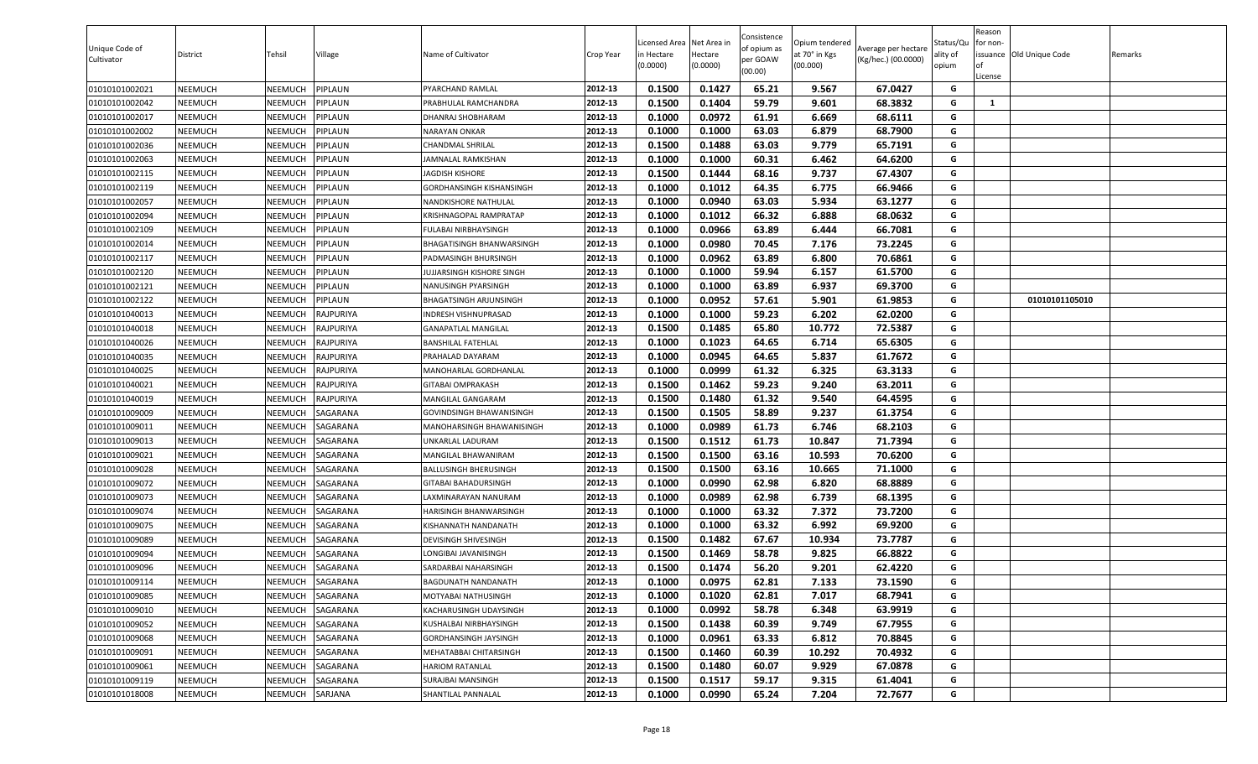| Unique Code of<br>Cultivator | District | Tehsil         | Village         | Name of Cultivator            | Crop Year | Licensed Area<br>in Hectare<br>(0.0000) | Net Area in<br>Hectare<br>(0.0000) | Consistence<br>of opium as<br>per GOAW<br>(00.00) | Opium tendered<br>at 70° in Kgs<br>(00.000) | Average per hectare<br>(Kg/hec.) (00.0000) | Status/Qu<br>ality of<br>opium | Reason<br>for non-<br>lof<br>License | issuance Old Unique Code | Remarks |
|------------------------------|----------|----------------|-----------------|-------------------------------|-----------|-----------------------------------------|------------------------------------|---------------------------------------------------|---------------------------------------------|--------------------------------------------|--------------------------------|--------------------------------------|--------------------------|---------|
| 01010101002021               | NEEMUCH  | NEEMUCH        | <b>IPLAUN</b>   | PYARCHAND RAMLAL              | 2012-13   | 0.1500                                  | 0.1427                             | 65.21                                             | 9.567                                       | 67.0427                                    | G                              |                                      |                          |         |
| 01010101002042               | NEEMUCH  | NEEMUCH        | <b>IPLAUN</b>   | PRABHULAL RAMCHANDRA          | 2012-13   | 0.1500                                  | 0.1404                             | 59.79                                             | 9.601                                       | 68.3832                                    | G                              | 1                                    |                          |         |
| 01010101002017               | NEEMUCH  | NEEMUCH        | <b>IPLAUN</b>   | DHANRAJ SHOBHARAM             | 2012-13   | 0.1000                                  | 0.0972                             | 61.91                                             | 6.669                                       | 68.6111                                    | G                              |                                      |                          |         |
| 01010101002002               | NEEMUCH  | <b>NEEMUCH</b> | <b>IPLAUN</b>   | VARAYAN ONKAR                 | 2012-13   | 0.1000                                  | 0.1000                             | 63.03                                             | 6.879                                       | 68.7900                                    | G                              |                                      |                          |         |
| 01010101002036               | NEEMUCH  | NEEMUCH        | <b>IPLAUN</b>   | CHANDMAL SHRILAL              | 2012-13   | 0.1500                                  | 0.1488                             | 63.03                                             | 9.779                                       | 65.7191                                    | G                              |                                      |                          |         |
| 01010101002063               | NEEMUCH  | NEEMUCH        | <b>IPLAUN</b>   | JAMNALAL RAMKISHAN            | 2012-13   | 0.1000                                  | 0.1000                             | 60.31                                             | 6.462                                       | 64.6200                                    | G                              |                                      |                          |         |
| 01010101002115               | NEEMUCH  | NEEMUCH        | <b>IPLAUN</b>   | JAGDISH KISHORE               | 2012-13   | 0.1500                                  | 0.1444                             | 68.16                                             | 9.737                                       | 67.4307                                    | G                              |                                      |                          |         |
| 01010101002119               | NEEMUCH  | NEEMUCH        | <b>IPLAUN</b>   | GORDHANSINGH KISHANSINGH      | 2012-13   | 0.1000                                  | 0.1012                             | 64.35                                             | 6.775                                       | 66.9466                                    | G                              |                                      |                          |         |
| 01010101002057               | NEEMUCH  | NEEMUCH        | <b>IPLAUN</b>   | NANDKISHORE NATHULAL          | 2012-13   | 0.1000                                  | 0.0940                             | 63.03                                             | 5.934                                       | 63.1277                                    | G                              |                                      |                          |         |
| 01010101002094               | NEEMUCH  | NEEMUCH        | <b>IPLAUN</b>   | KRISHNAGOPAL RAMPRATAP        | 2012-13   | 0.1000                                  | 0.1012                             | 66.32                                             | 6.888                                       | 68.0632                                    | G                              |                                      |                          |         |
| 01010101002109               | NEEMUCH  | NEEMUCH        | <b>IPLAUN</b>   | ULABAI NIRBHAYSINGH           | 2012-13   | 0.1000                                  | 0.0966                             | 63.89                                             | 6.444                                       | 66.7081                                    | G                              |                                      |                          |         |
| 01010101002014               | NEEMUCH  | NEEMUCH        | <b>IPLAUN</b>   | BHAGATISINGH BHANWARSINGH     | 2012-13   | 0.1000                                  | 0.0980                             | 70.45                                             | 7.176                                       | 73.2245                                    | G                              |                                      |                          |         |
| 01010101002117               | NEEMUCH  | NEEMUCH        | <b>IPLAUN</b>   | PADMASINGH BHURSINGH          | 2012-13   | 0.1000                                  | 0.0962                             | 63.89                                             | 6.800                                       | 70.6861                                    | G                              |                                      |                          |         |
| 01010101002120               | NEEMUCH  | NEEMUCH        | PIPLAUN         | UJJARSINGH KISHORE SINGH      | 2012-13   | 0.1000                                  | 0.1000                             | 59.94                                             | 6.157                                       | 61.5700                                    | G                              |                                      |                          |         |
| 01010101002121               | NEEMUCH  | NEEMUCH        | <b>PIPLAUN</b>  | NANUSINGH PYARSINGH           | 2012-13   | 0.1000                                  | 0.1000                             | 63.89                                             | 6.937                                       | 69.3700                                    | G                              |                                      |                          |         |
| 01010101002122               | NEEMUCH  | NEEMUCH        | <b>IPLAUN</b>   | BHAGATSINGH ARJUNSINGH        | 2012-13   | 0.1000                                  | 0.0952                             | 57.61                                             | 5.901                                       | 61.9853                                    | G                              |                                      | 01010101105010           |         |
| 01010101040013               | NEEMUCH  | NEEMUCH        | <b>AJPURIYA</b> | INDRESH VISHNUPRASAD          | 2012-13   | 0.1000                                  | 0.1000                             | 59.23                                             | 6.202                                       | 62.0200                                    | G                              |                                      |                          |         |
| 01010101040018               | NEEMUCH  | NEEMUCH        | RAJPURIYA       | <b>GANAPATLAL MANGILAL</b>    | 2012-13   | 0.1500                                  | 0.1485                             | 65.80                                             | 10.772                                      | 72.5387                                    | G                              |                                      |                          |         |
| 01010101040026               | NEEMUCH  | NEEMUCH        | RAJPURIYA       | BANSHILAL FATEHLAL            | 2012-13   | 0.1000                                  | 0.1023                             | 64.65                                             | 6.714                                       | 65.6305                                    | G                              |                                      |                          |         |
| 01010101040035               | NEEMUCH  | NEEMUCH        | RAJPURIYA       | PRAHALAD DAYARAM              | 2012-13   | 0.1000                                  | 0.0945                             | 64.65                                             | 5.837                                       | 61.7672                                    | G                              |                                      |                          |         |
| 01010101040025               | NEEMUCH  | NEEMUCH        | RAJPURIYA       | MANOHARLAL GORDHANLAL         | 2012-13   | 0.1000                                  | 0.0999                             | 61.32                                             | 6.325                                       | 63.3133                                    | G                              |                                      |                          |         |
| 01010101040021               | NEEMUCH  | NEEMUCH        | RAJPURIYA       | <b>GITABAI OMPRAKASH</b>      | 2012-13   | 0.1500                                  | 0.1462                             | 59.23                                             | 9.240                                       | 63.2011                                    | G                              |                                      |                          |         |
| 01010101040019               | NEEMUCH  | NEEMUCH        | RAJPURIYA       | MANGILAL GANGARAM             | 2012-13   | 0.1500                                  | 0.1480                             | 61.32                                             | 9.540                                       | 64.4595                                    | G                              |                                      |                          |         |
| 01010101009009               | NEEMUCH  | NEEMUCH        | SAGARANA        | GOVINDSINGH BHAWANISINGH      | 2012-13   | 0.1500                                  | 0.1505                             | 58.89                                             | 9.237                                       | 61.3754                                    | G                              |                                      |                          |         |
| 01010101009011               | NEEMUCH  | NEEMUCH        | SAGARANA        | MANOHARSINGH BHAWANISINGH     | 2012-13   | 0.1000                                  | 0.0989                             | 61.73                                             | 6.746                                       | 68.2103                                    | G                              |                                      |                          |         |
| 01010101009013               | NEEMUCH  | NEEMUCH        | SAGARANA        | UNKARLAL LADURAM              | 2012-13   | 0.1500                                  | 0.1512                             | 61.73                                             | 10.847                                      | 71.7394                                    | G                              |                                      |                          |         |
| 01010101009021               | NEEMUCH  | NEEMUCH        | SAGARANA        | MANGILAL BHAWANIRAM           | 2012-13   | 0.1500                                  | 0.1500                             | 63.16                                             | 10.593                                      | 70.6200                                    | G                              |                                      |                          |         |
| 01010101009028               | NEEMUCH  | NEEMUCH        | SAGARANA        | BALLUSINGH BHERUSINGH         | 2012-13   | 0.1500                                  | 0.1500                             | 63.16                                             | 10.665                                      | 71.1000                                    | G                              |                                      |                          |         |
| 01010101009072               | NEEMUCH  | NEEMUCH        | SAGARANA        | GITABAI BAHADURSINGH          | 2012-13   | 0.1000                                  | 0.0990                             | 62.98                                             | 6.820                                       | 68.8889                                    | G                              |                                      |                          |         |
| 01010101009073               | NEEMUCH  | NEEMUCH        | SAGARANA        | AXMINARAYAN NANURAM           | 2012-13   | 0.1000                                  | 0.0989                             | 62.98                                             | 6.739                                       | 68.1395                                    | G                              |                                      |                          |         |
| 01010101009074               | NEEMUCH  | NEEMUCH        | SAGARANA        | HARISINGH BHANWARSINGH        | 2012-13   | 0.1000                                  | 0.1000                             | 63.32                                             | 7.372                                       | 73.7200                                    | G                              |                                      |                          |         |
| 01010101009075               | NEEMUCH  | NEEMUCH        | SAGARANA        | KISHANNATH NANDANATH          | 2012-13   | 0.1000                                  | 0.1000                             | 63.32                                             | 6.992                                       | 69.9200                                    | G                              |                                      |                          |         |
| 01010101009089               | NEEMUCH  | NEEMUCH        | SAGARANA        | DEVISINGH SHIVESINGH          | 2012-13   | 0.1500                                  | 0.1482                             | 67.67                                             | 10.934                                      | 73.7787                                    | G                              |                                      |                          |         |
| 01010101009094               | NEEMUCH  | NEEMUCH        | SAGARANA        | LONGIBAI JAVANISINGH          | 2012-13   | 0.1500                                  | 0.1469                             | 58.78                                             | 9.825                                       | 66.8822                                    | G                              |                                      |                          |         |
| 01010101009096               | NEEMUCH  | NEEMUCH        | SAGARANA        | SARDARBAI NAHARSINGH          | 2012-13   | 0.1500                                  | 0.1474                             | 56.20                                             | 9.201                                       | 62.4220                                    | G                              |                                      |                          |         |
| 01010101009114               | NEEMUCH  | NEEMUCH        | SAGARANA        | <b>BAGDUNATH NANDANATH</b>    | 2012-13   | 0.1000                                  | 0.0975                             | 62.81                                             | 7.133                                       | 73.1590                                    | G                              |                                      |                          |         |
| 01010101009085               | NEEMUCH  | NEEMUCH        | SAGARANA        | MOTYABAI NATHUSINGH           | 2012-13   | 0.1000                                  | 0.1020                             | 62.81                                             | 7.017                                       | 68.7941                                    | G                              |                                      |                          |         |
| 01010101009010               | NEEMUCH  | NEEMUCH        | SAGARANA        | <b>KACHARUSINGH UDAYSINGH</b> | 2012-13   | 0.1000                                  | 0.0992                             | 58.78                                             | 6.348                                       | 63.9919                                    | G                              |                                      |                          |         |
| 01010101009052               | NEEMUCH  | NEEMUCH        | SAGARANA        | KUSHALBAI NIRBHAYSINGH        | 2012-13   | 0.1500                                  | 0.1438                             | 60.39                                             | 9.749                                       | 67.7955                                    | G                              |                                      |                          |         |
| 01010101009068               | NEEMUCH  | NEEMUCH        | SAGARANA        | GORDHANSINGH JAYSINGH         | 2012-13   | 0.1000                                  | 0.0961                             | 63.33                                             | 6.812                                       | 70.8845                                    | G                              |                                      |                          |         |
| 01010101009091               | NEEMUCH  | NEEMUCH        | SAGARANA        | MEHATABBAI CHITARSINGH        | 2012-13   | 0.1500                                  | 0.1460                             | 60.39                                             | 10.292                                      | 70.4932                                    | G                              |                                      |                          |         |
| 01010101009061               | NEEMUCH  | NEEMUCH        | SAGARANA        | HARIOM RATANLAL               | 2012-13   | 0.1500                                  | 0.1480                             | 60.07                                             | 9.929                                       | 67.0878                                    | G                              |                                      |                          |         |
| 01010101009119               | NEEMUCH  | NEEMUCH        | SAGARANA        | SURAJBAI MANSINGH             | 2012-13   | 0.1500                                  | 0.1517                             | 59.17                                             | 9.315                                       | 61.4041                                    | G                              |                                      |                          |         |
| 01010101018008               | NEEMUCH  | NEEMUCH        | SARJANA         | SHANTILAL PANNALAL            | 2012-13   | 0.1000                                  | 0.0990                             | 65.24                                             | 7.204                                       | 72.7677                                    | G                              |                                      |                          |         |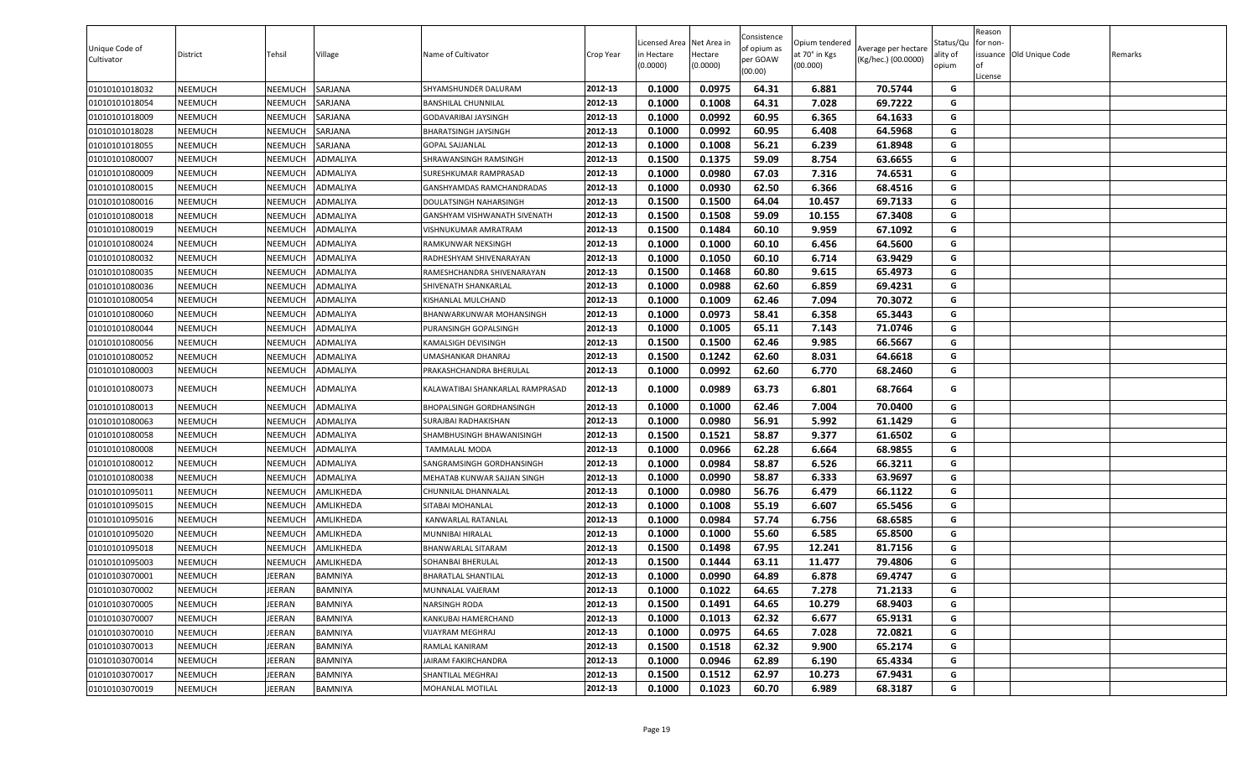| Unique Code of<br>Cultivator | District       | Tehsil        | Village         | Name of Cultivator               | Crop Year | Licensed Area<br>n Hectare<br>(0.0000) | Net Area in<br>Hectare<br>(0.0000) | Consistence<br>of opium as<br>per GOAW<br>(00.00) | Opium tendered<br>at 70° in Kgs<br>(00.000) | Average per hectare<br>(Kg/hec.) (00.0000) | Status/Qu<br>ality of<br>opium | Reason<br>or non-<br>of<br>License | issuance Old Unique Code | Remarks |
|------------------------------|----------------|---------------|-----------------|----------------------------------|-----------|----------------------------------------|------------------------------------|---------------------------------------------------|---------------------------------------------|--------------------------------------------|--------------------------------|------------------------------------|--------------------------|---------|
| 01010101018032               | NEEMUCH        | NEEMUCH       | SARJANA         | SHYAMSHUNDER DALURAM             | 2012-13   | 0.1000                                 | 0.0975                             | 64.31                                             | 6.881                                       | 70.5744                                    | G                              |                                    |                          |         |
| 01010101018054               | NEEMUCH        | NEEMUCH       | SARJANA         | <b>BANSHILAL CHUNNILAL</b>       | 2012-13   | 0.1000                                 | 0.1008                             | 64.31                                             | 7.028                                       | 69.7222                                    | G                              |                                    |                          |         |
| 01010101018009               | NEEMUCH        | NEEMUCH       | SARJANA         | <b>GODAVARIBAI JAYSINGH</b>      | 2012-13   | 0.1000                                 | 0.0992                             | 60.95                                             | 6.365                                       | 64.1633                                    | G                              |                                    |                          |         |
| 01010101018028               | NEEMUCH        | NEEMUCH       | SARJANA         | BHARATSINGH JAYSINGH             | 2012-13   | 0.1000                                 | 0.0992                             | 60.95                                             | 6.408                                       | 64.5968                                    | G                              |                                    |                          |         |
| 01010101018055               | NEEMUCH        | NEEMUCH       | SARJANA         | <b>GOPAL SAJJANLAL</b>           | 2012-13   | 0.1000                                 | 0.1008                             | 56.21                                             | 6.239                                       | 61.8948                                    | G                              |                                    |                          |         |
| 01010101080007               | NEEMUCH        | NEEMUCH       | ADMALIYA        | SHRAWANSINGH RAMSINGH            | 2012-13   | 0.1500                                 | 0.1375                             | 59.09                                             | 8.754                                       | 63.6655                                    | G                              |                                    |                          |         |
| 01010101080009               | NEEMUCH        | NEEMUCH       | ADMALIYA        | SURESHKUMAR RAMPRASAD            | 2012-13   | 0.1000                                 | 0.0980                             | 67.03                                             | 7.316                                       | 74.6531                                    | G                              |                                    |                          |         |
| 01010101080015               | NEEMUCH        | NEEMUCH       | ADMALIYA        | GANSHYAMDAS RAMCHANDRADAS        | 2012-13   | 0.1000                                 | 0.0930                             | 62.50                                             | 6.366                                       | 68.4516                                    | G                              |                                    |                          |         |
| 01010101080016               | NEEMUCH        | NEEMUCH       | ADMALIYA        | DOULATSINGH NAHARSINGH           | 2012-13   | 0.1500                                 | 0.1500                             | 64.04                                             | 10.457                                      | 69.7133                                    | G                              |                                    |                          |         |
| 01010101080018               | NEEMUCH        | NEEMUCH       | ADMALIYA        | GANSHYAM VISHWANATH SIVENATH     | 2012-13   | 0.1500                                 | 0.1508                             | 59.09                                             | 10.155                                      | 67.3408                                    | G                              |                                    |                          |         |
| 01010101080019               | NEEMUCH        | NEEMUCH       | ADMALIYA        | VISHNUKUMAR AMRATRAM             | 2012-13   | 0.1500                                 | 0.1484                             | 60.10                                             | 9.959                                       | 67.1092                                    | G                              |                                    |                          |         |
| 01010101080024               | NEEMUCH        | NEEMUCH       | ADMALIYA        | RAMKUNWAR NEKSINGH               | 2012-13   | 0.1000                                 | 0.1000                             | 60.10                                             | 6.456                                       | 64.5600                                    | G                              |                                    |                          |         |
| 01010101080032               | NEEMUCH        | NEEMUCH       | ADMALIYA        | RADHESHYAM SHIVENARAYAN          | 2012-13   | 0.1000                                 | 0.1050                             | 60.10                                             | 6.714                                       | 63.9429                                    | G                              |                                    |                          |         |
| 01010101080035               | NEEMUCH        | NEEMUCH       | ADMALIYA        | RAMESHCHANDRA SHIVENARAYAN       | 2012-13   | 0.1500                                 | 0.1468                             | 60.80                                             | 9.615                                       | 65.4973                                    | G                              |                                    |                          |         |
| 01010101080036               | <b>NEEMUCH</b> | NEEMUCH       | ADMALIYA        | SHIVENATH SHANKARLAL             | 2012-13   | 0.1000                                 | 0.0988                             | 62.60                                             | 6.859                                       | 69.4231                                    | G                              |                                    |                          |         |
| 01010101080054               | NEEMUCH        | NEEMUCH       | ADMALIYA        | KISHANLAL MULCHAND               | 2012-13   | 0.1000                                 | 0.1009                             | 62.46                                             | 7.094                                       | 70.3072                                    | G                              |                                    |                          |         |
| 01010101080060               | NEEMUCH        | NEEMUCH       | ADMALIYA        | BHANWARKUNWAR MOHANSINGH         | 2012-13   | 0.1000                                 | 0.0973                             | 58.41                                             | 6.358                                       | 65.3443                                    | G                              |                                    |                          |         |
| 01010101080044               | NEEMUCH        | NEEMUCH       | ADMALIYA        | PURANSINGH GOPALSINGH            | 2012-13   | 0.1000                                 | 0.1005                             | 65.11                                             | 7.143                                       | 71.0746                                    | G                              |                                    |                          |         |
| 01010101080056               | NEEMUCH        | NEEMUCH       | ADMALIYA        | KAMALSIGH DEVISINGH              | 2012-13   | 0.1500                                 | 0.1500                             | 62.46                                             | 9.985                                       | 66.5667                                    | G                              |                                    |                          |         |
| 01010101080052               | NEEMUCH        | NEEMUCH       | ADMALIYA        | UMASHANKAR DHANRAJ               | 2012-13   | 0.1500                                 | 0.1242                             | 62.60                                             | 8.031                                       | 64.6618                                    | G                              |                                    |                          |         |
| 01010101080003               | NEEMUCH        | NEEMUCH       | ADMALIYA        | PRAKASHCHANDRA BHERULAL          | 2012-13   | 0.1000                                 | 0.0992                             | 62.60                                             | 6.770                                       | 68.2460                                    | G                              |                                    |                          |         |
| 01010101080073               | NEEMUCH        | NEEMUCH       | ADMALIYA        | KALAWATIBAI SHANKARLAL RAMPRASAD | 2012-13   | 0.1000                                 | 0.0989                             | 63.73                                             | 6.801                                       | 68.7664                                    | G                              |                                    |                          |         |
| 01010101080013               | NEEMUCH        | NEEMUCH       | <b>ADMALIYA</b> | <b>BHOPALSINGH GORDHANSINGH</b>  | 2012-13   | 0.1000                                 | 0.1000                             | 62.46                                             | 7.004                                       | 70.0400                                    | G                              |                                    |                          |         |
| 01010101080063               | NEEMUCH        | NEEMUCH       | ADMALIYA        | SURAJBAI RADHAKISHAN             | 2012-13   | 0.1000                                 | 0.0980                             | 56.91                                             | 5.992                                       | 61.1429                                    | G                              |                                    |                          |         |
| 01010101080058               | <b>NEEMUCH</b> | NEEMUCH       | ADMALIYA        | SHAMBHUSINGH BHAWANISINGH        | 2012-13   | 0.1500                                 | 0.1521                             | 58.87                                             | 9.377                                       | 61.6502                                    | G                              |                                    |                          |         |
| 01010101080008               | NEEMUCH        | NEEMUCH       | ADMALIYA        | <b>TAMMALAL MODA</b>             | 2012-13   | 0.1000                                 | 0.0966                             | 62.28                                             | 6.664                                       | 68.9855                                    | G                              |                                    |                          |         |
| 01010101080012               | NEEMUCH        | NEEMUCH       | ADMALIYA        | SANGRAMSINGH GORDHANSINGH        | 2012-13   | 0.1000                                 | 0.0984                             | 58.87                                             | 6.526                                       | 66.3211                                    | G                              |                                    |                          |         |
| 01010101080038               | NEEMUCH        | NEEMUCH       | ADMALIYA        | MEHATAB KUNWAR SAJJAN SINGH      | 2012-13   | 0.1000                                 | 0.0990                             | 58.87                                             | 6.333                                       | 63.9697                                    | G                              |                                    |                          |         |
| 01010101095011               | NEEMUCH        | NEEMUCH       | AMLIKHEDA       | CHUNNILAL DHANNALAL              | 2012-13   | 0.1000                                 | 0.0980                             | 56.76                                             | 6.479                                       | 66.1122                                    | G                              |                                    |                          |         |
| 01010101095015               | NEEMUCH        | NEEMUCH       | AMLIKHEDA       | SITABAI MOHANLAL                 | 2012-13   | 0.1000                                 | 0.1008                             | 55.19                                             | 6.607                                       | 65.5456                                    | G                              |                                    |                          |         |
| 01010101095016               | NEEMUCH        | NEEMUCH       | AMLIKHEDA       | KANWARLAL RATANLAL               | 2012-13   | 0.1000                                 | 0.0984                             | 57.74                                             | 6.756                                       | 68.6585                                    | G                              |                                    |                          |         |
| 01010101095020               | NEEMUCH        | NEEMUCH       | AMLIKHEDA       | MUNNIBAI HIRALAL                 | 2012-13   | 0.1000                                 | 0.1000                             | 55.60                                             | 6.585                                       | 65.8500                                    | G                              |                                    |                          |         |
| 01010101095018               | NEEMUCH        | NEEMUCH       | AMLIKHEDA       | BHANWARLAL SITARAM               | 2012-13   | 0.1500                                 | 0.1498                             | 67.95                                             | 12.241                                      | 81.7156                                    | G                              |                                    |                          |         |
| 01010101095003               | NEEMUCH        | NEEMUCH       | AMLIKHEDA       | SOHANBAI BHERULAL                | 2012-13   | 0.1500                                 | 0.1444                             | 63.11                                             | 11.477                                      | 79.4806                                    | G                              |                                    |                          |         |
| 01010103070001               | NEEMUCH        | JEERAN        | BAMNIYA         | <b>BHARATLAL SHANTILAL</b>       | 2012-13   | 0.1000                                 | 0.0990                             | 64.89                                             | 6.878                                       | 69.4747                                    | G                              |                                    |                          |         |
| 01010103070002               | <b>NEEMUCH</b> | <b>JEERAN</b> | BAMNIYA         | MUNNALAL VAJERAM                 | 2012-13   | 0.1000                                 | 0.1022                             | 64.65                                             | 7.278                                       | 71.2133                                    | G                              |                                    |                          |         |
| 01010103070005               | <b>NEEMUCH</b> | <b>JEERAN</b> | BAMNIYA         | NARSINGH RODA                    | 2012-13   | 0.1500                                 | 0.1491                             | 64.65                                             | 10.279                                      | 68.9403                                    | G                              |                                    |                          |         |
| 01010103070007               | NEEMUCH        | <b>JEERAN</b> | BAMNIYA         | KANKUBAI HAMERCHAND              | 2012-13   | 0.1000                                 | 0.1013                             | 62.32                                             | 6.677                                       | 65.9131                                    | G                              |                                    |                          |         |
| 01010103070010               | NEEMUCH        | <b>JEERAN</b> | <b>BAMNIYA</b>  | VIJAYRAM MEGHRAJ                 | 2012-13   | 0.1000                                 | 0.0975                             | 64.65                                             | 7.028                                       | 72.0821                                    | G                              |                                    |                          |         |
| 01010103070013               | NEEMUCH        | <b>JEERAN</b> | BAMNIYA         | RAMLAL KANIRAM                   | 2012-13   | 0.1500                                 | 0.1518                             | 62.32                                             | 9.900                                       | 65.2174                                    | G                              |                                    |                          |         |
| 01010103070014               | <b>NEEMUCH</b> | <b>JEERAN</b> | BAMNIYA         | JAIRAM FAKIRCHANDRA              | 2012-13   | 0.1000                                 | 0.0946                             | 62.89                                             | 6.190                                       | 65.4334                                    | G                              |                                    |                          |         |
| 01010103070017               | NEEMUCH        | <b>JEERAN</b> | BAMNIYA         | SHANTILAL MEGHRAJ                | 2012-13   | 0.1500                                 | 0.1512                             | 62.97                                             | 10.273                                      | 67.9431                                    | G                              |                                    |                          |         |
| 01010103070019               | NEEMUCH        | <b>JEERAN</b> | BAMNIYA         | MOHANLAL MOTILAL                 | 2012-13   | 0.1000                                 | 0.1023                             | 60.70                                             | 6.989                                       | 68.3187                                    | G                              |                                    |                          |         |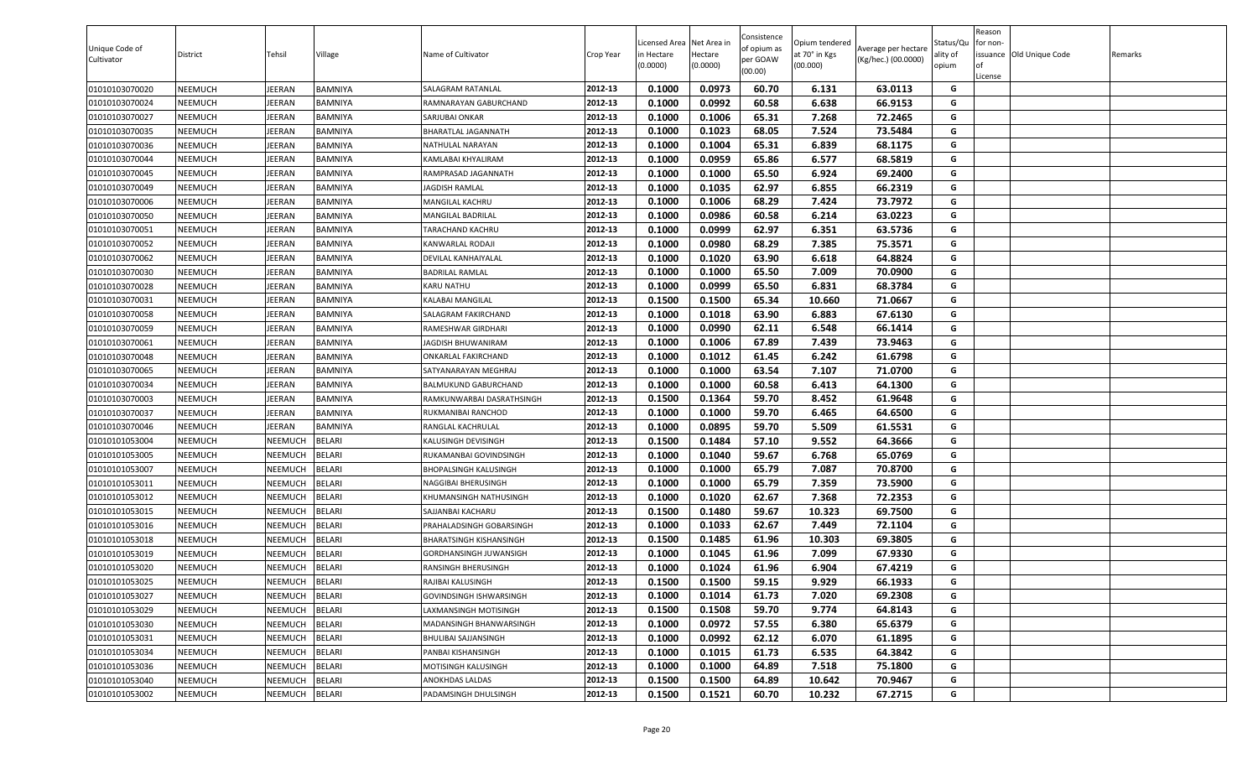| Unique Code of<br>Cultivator | District       | Tehsil         | Village        | Name of Cultivator             | Crop Year | Licensed Area<br>n Hectare<br>(0.0000) | Net Area in<br>Hectare<br>(0.0000) | Consistence<br>of opium as<br>per GOAW<br>(00.00) | Opium tendered<br>at 70° in Kgs<br>(00.000) | Average per hectare<br>(Kg/hec.) (00.0000) | Status/Qu<br>ality of<br>opium | Reason<br>or non-<br>of<br>License | issuance Old Unique Code | Remarks |
|------------------------------|----------------|----------------|----------------|--------------------------------|-----------|----------------------------------------|------------------------------------|---------------------------------------------------|---------------------------------------------|--------------------------------------------|--------------------------------|------------------------------------|--------------------------|---------|
| 01010103070020               | NEEMUCH        | JEERAN         | BAMNIYA        | SALAGRAM RATANLAL              | 2012-13   | 0.1000                                 | 0.0973                             | 60.70                                             | 6.131                                       | 63.0113                                    | G                              |                                    |                          |         |
| 01010103070024               | NEEMUCH        | JEERAN         | BAMNIYA        | RAMNARAYAN GABURCHAND          | 2012-13   | 0.1000                                 | 0.0992                             | 60.58                                             | 6.638                                       | 66.9153                                    | G                              |                                    |                          |         |
| 01010103070027               | NEEMUCH        | <b>JEERAN</b>  | BAMNIYA        | SARJUBAI ONKAR                 | 2012-13   | 0.1000                                 | 0.1006                             | 65.31                                             | 7.268                                       | 72.2465                                    | G                              |                                    |                          |         |
| 01010103070035               | NEEMUCH        | JEERAN         | BAMNIYA        | BHARATLAL JAGANNATH            | 2012-13   | 0.1000                                 | 0.1023                             | 68.05                                             | 7.524                                       | 73.5484                                    | G                              |                                    |                          |         |
| 01010103070036               | NEEMUCH        | JEERAN         | BAMNIYA        | NATHULAL NARAYAN               | 2012-13   | 0.1000                                 | 0.1004                             | 65.31                                             | 6.839                                       | 68.1175                                    | G                              |                                    |                          |         |
| 01010103070044               | NEEMUCH        | JEERAN         | BAMNIYA        | KAMLABAI KHYALIRAM             | 2012-13   | 0.1000                                 | 0.0959                             | 65.86                                             | 6.577                                       | 68.5819                                    | G                              |                                    |                          |         |
| 01010103070045               | NEEMUCH        | <b>JEERAN</b>  | <b>BAMNIYA</b> | RAMPRASAD JAGANNATH            | 2012-13   | 0.1000                                 | 0.1000                             | 65.50                                             | 6.924                                       | 69.2400                                    | G                              |                                    |                          |         |
| 01010103070049               | NEEMUCH        | <b>JEERAN</b>  | BAMNIYA        | <b>JAGDISH RAMLAL</b>          | 2012-13   | 0.1000                                 | 0.1035                             | 62.97                                             | 6.855                                       | 66.2319                                    | G                              |                                    |                          |         |
| 01010103070006               | NEEMUCH        | JEERAN         | BAMNIYA        | <b>MANGILAL KACHRU</b>         | 2012-13   | 0.1000                                 | 0.1006                             | 68.29                                             | 7.424                                       | 73.7972                                    | G                              |                                    |                          |         |
| 01010103070050               | NEEMUCH        | JEERAN         | BAMNIYA        | MANGILAL BADRILAL              | 2012-13   | 0.1000                                 | 0.0986                             | 60.58                                             | 6.214                                       | 63.0223                                    | G                              |                                    |                          |         |
| 01010103070051               | NEEMUCH        | JEERAN         | BAMNIYA        | TARACHAND KACHRU               | 2012-13   | 0.1000                                 | 0.0999                             | 62.97                                             | 6.351                                       | 63.5736                                    | G                              |                                    |                          |         |
| 01010103070052               | NEEMUCH        | <b>JEERAN</b>  | BAMNIYA        | KANWARLAL RODAJI               | 2012-13   | 0.1000                                 | 0.0980                             | 68.29                                             | 7.385                                       | 75.3571                                    | G                              |                                    |                          |         |
| 01010103070062               | NEEMUCH        | JEERAN         | BAMNIYA        | DEVILAL KANHAIYALAL            | 2012-13   | 0.1000                                 | 0.1020                             | 63.90                                             | 6.618                                       | 64.8824                                    | G                              |                                    |                          |         |
| 01010103070030               | NEEMUCH        | JEERAN         | BAMNIYA        | <b>BADRILAL RAMLAL</b>         | 2012-13   | 0.1000                                 | 0.1000                             | 65.50                                             | 7.009                                       | 70.0900                                    | G                              |                                    |                          |         |
| 01010103070028               | <b>NEEMUCH</b> | <b>JEERAN</b>  | <b>BAMNIYA</b> | <b>KARU NATHU</b>              | 2012-13   | 0.1000                                 | 0.0999                             | 65.50                                             | 6.831                                       | 68.3784                                    | G                              |                                    |                          |         |
| 01010103070031               | NEEMUCH        | <b>JEERAN</b>  | BAMNIYA        | <b>KALABAI MANGILAL</b>        | 2012-13   | 0.1500                                 | 0.1500                             | 65.34                                             | 10.660                                      | 71.0667                                    | G                              |                                    |                          |         |
| 01010103070058               | NEEMUCH        | <b>JEERAN</b>  | BAMNIYA        | SALAGRAM FAKIRCHAND            | 2012-13   | 0.1000                                 | 0.1018                             | 63.90                                             | 6.883                                       | 67.6130                                    | G                              |                                    |                          |         |
| 01010103070059               | NEEMUCH        | JEERAN         | BAMNIYA        | <b>RAMESHWAR GIRDHARI</b>      | 2012-13   | 0.1000                                 | 0.0990                             | 62.11                                             | 6.548                                       | 66.1414                                    | G                              |                                    |                          |         |
| 01010103070061               | NEEMUCH        | JEERAN         | BAMNIYA        | JAGDISH BHUWANIRAM             | 2012-13   | 0.1000                                 | 0.1006                             | 67.89                                             | 7.439                                       | 73.9463                                    | G                              |                                    |                          |         |
| 01010103070048               | NEEMUCH        | <b>JEERAN</b>  | BAMNIYA        | <b>ONKARLAL FAKIRCHAND</b>     | 2012-13   | 0.1000                                 | 0.1012                             | 61.45                                             | 6.242                                       | 61.6798                                    | G                              |                                    |                          |         |
| 01010103070065               | NEEMUCH        | JEERAN         | BAMNIYA        | SATYANARAYAN MEGHRAJ           | 2012-13   | 0.1000                                 | 0.1000                             | 63.54                                             | 7.107                                       | 71.0700                                    | G                              |                                    |                          |         |
| 01010103070034               | NEEMUCH        | JEERAN         | <b>BAMNIYA</b> | BALMUKUND GABURCHAND           | 2012-13   | 0.1000                                 | 0.1000                             | 60.58                                             | 6.413                                       | 64.1300                                    | G                              |                                    |                          |         |
| 01010103070003               | NEEMUCH        | JEERAN         | BAMNIYA        | RAMKUNWARBAI DASRATHSINGH      | 2012-13   | 0.1500                                 | 0.1364                             | 59.70                                             | 8.452                                       | 61.9648                                    | G                              |                                    |                          |         |
| 01010103070037               | NEEMUCH        | <b>JEERAN</b>  | <b>BAMNIYA</b> | RUKMANIBAI RANCHOD             | 2012-13   | 0.1000                                 | 0.1000                             | 59.70                                             | 6.465                                       | 64.6500                                    | G                              |                                    |                          |         |
| 01010103070046               | NEEMUCH        | JEERAN         | BAMNIYA        | RANGLAL KACHRULAL              | 2012-13   | 0.1000                                 | 0.0895                             | 59.70                                             | 5.509                                       | 61.5531                                    | G                              |                                    |                          |         |
| 01010101053004               | NEEMUCH        | NEEMUCH        | <b>BELARI</b>  | KALUSINGH DEVISINGH            | 2012-13   | 0.1500                                 | 0.1484                             | 57.10                                             | 9.552                                       | 64.3666                                    | G                              |                                    |                          |         |
| 01010101053005               | NEEMUCH        | NEEMUCH        | <b>BELARI</b>  | RUKAMANBAI GOVINDSINGH         | 2012-13   | 0.1000                                 | 0.1040                             | 59.67                                             | 6.768                                       | 65.0769                                    | G                              |                                    |                          |         |
| 01010101053007               | NEEMUCH        | NEEMUCH        | <b>BELARI</b>  | <b>BHOPALSINGH KALUSINGH</b>   | 2012-13   | 0.1000                                 | 0.1000                             | 65.79                                             | 7.087                                       | 70.8700                                    | G                              |                                    |                          |         |
| 01010101053011               | NEEMUCH        | NEEMUCH        | <b>BELARI</b>  | NAGGIBAI BHERUSINGH            | 2012-13   | 0.1000                                 | 0.1000                             | 65.79                                             | 7.359                                       | 73.5900                                    | G                              |                                    |                          |         |
| 01010101053012               | NEEMUCH        | NEEMUCH        | <b>BELARI</b>  | KHUMANSINGH NATHUSINGH         | 2012-13   | 0.1000                                 | 0.1020                             | 62.67                                             | 7.368                                       | 72.2353                                    | G                              |                                    |                          |         |
| 01010101053015               | NEEMUCH        | NEEMUCH        | <b>BELARI</b>  | SAJJANBAI KACHARU              | 2012-13   | 0.1500                                 | 0.1480                             | 59.67                                             | 10.323                                      | 69.7500                                    | G                              |                                    |                          |         |
| 01010101053016               | <b>NEEMUCH</b> | NEEMUCH        | <b>BELARI</b>  | PRAHALADSINGH GOBARSINGH       | 2012-13   | 0.1000                                 | 0.1033                             | 62.67                                             | 7.449                                       | 72.1104                                    | G                              |                                    |                          |         |
| 01010101053018               | NEEMUCH        | NEEMUCH        | BELARI         | <b>BHARATSINGH KISHANSINGH</b> | 2012-13   | 0.1500                                 | 0.1485                             | 61.96                                             | 10.303                                      | 69.3805                                    | G                              |                                    |                          |         |
| 01010101053019               | NEEMUCH        | NEEMUCH        | <b>BELARI</b>  | <b>GORDHANSINGH JUWANSIGH</b>  | 2012-13   | 0.1000                                 | 0.1045                             | 61.96                                             | 7.099                                       | 67.9330                                    | G                              |                                    |                          |         |
| 01010101053020               | NEEMUCH        | NEEMUCH        | BELARI         | RANSINGH BHERUSINGH            | 2012-13   | 0.1000                                 | 0.1024                             | 61.96                                             | 6.904                                       | 67.4219                                    | G                              |                                    |                          |         |
| 01010101053025               | NEEMUCH        | <b>NEEMUCH</b> | <b>BELARI</b>  | RAJIBAI KALUSINGH              | 2012-13   | 0.1500                                 | 0.1500                             | 59.15                                             | 9.929                                       | 66.1933                                    | G                              |                                    |                          |         |
| 01010101053027               | NEEMUCH        | NEEMUCH        | <b>BELARI</b>  | GOVINDSINGH ISHWARSINGH        | 2012-13   | 0.1000                                 | 0.1014                             | 61.73                                             | 7.020                                       | 69.2308                                    | G                              |                                    |                          |         |
| 01010101053029               | NEEMUCH        | NEEMUCH        | <b>BELARI</b>  | LAXMANSINGH MOTISINGH          | 2012-13   | 0.1500                                 | 0.1508                             | 59.70                                             | 9.774                                       | 64.8143                                    | G                              |                                    |                          |         |
| 01010101053030               | <b>NEEMUCH</b> | NEEMUCH        | <b>BELARI</b>  | MADANSINGH BHANWARSINGH        | 2012-13   | 0.1000                                 | 0.0972                             | 57.55                                             | 6.380                                       | 65.6379                                    | G                              |                                    |                          |         |
| 01010101053031               | <b>NEEMUCH</b> | NEEMUCH        | <b>BELARI</b>  | <b>BHULIBAI SAJJANSINGH</b>    | 2012-13   | 0.1000                                 | 0.0992                             | 62.12                                             | 6.070                                       | 61.1895                                    | G                              |                                    |                          |         |
| 01010101053034               | <b>NEEMUCH</b> | NEEMUCH        | <b>BELARI</b>  | PANBAI KISHANSINGH             | 2012-13   | 0.1000                                 | 0.1015                             | 61.73                                             | 6.535                                       | 64.3842                                    | G                              |                                    |                          |         |
| 01010101053036               | NEEMUCH        | NEEMUCH        | <b>BELARI</b>  | MOTISINGH KALUSINGH            | 2012-13   | 0.1000                                 | 0.1000                             | 64.89                                             | 7.518                                       | 75.1800                                    | G                              |                                    |                          |         |
| 01010101053040               | <b>NEEMUCH</b> | NEEMUCH        | <b>BELARI</b>  | ANOKHDAS LALDAS                | 2012-13   | 0.1500                                 | 0.1500                             | 64.89                                             | 10.642                                      | 70.9467                                    | G                              |                                    |                          |         |
| 01010101053002               | NEEMUCH        | NEEMUCH        | <b>BELARI</b>  | PADAMSINGH DHULSINGH           | 2012-13   | 0.1500                                 | 0.1521                             | 60.70                                             | 10.232                                      | 67.2715                                    | G                              |                                    |                          |         |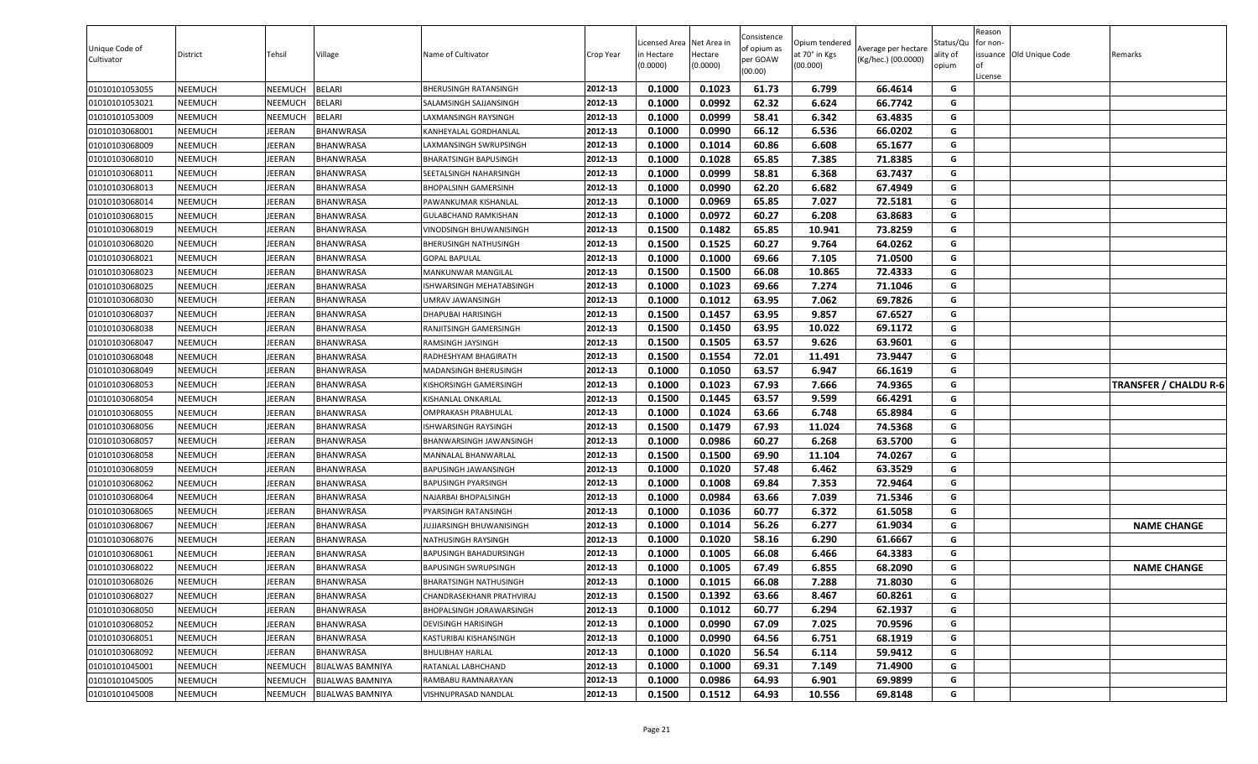| Unique Code of<br>Cultivator | District | Tehsil        | Village                 | Name of Cultivator            | Crop Year | .icensed Area<br>n Hectare<br>(0.0000) | Net Area in<br>Hectare<br>(0.0000) | Consistence<br>of opium as<br>per GOAW<br>(00.00) | Opium tendered<br>at 70° in Kgs<br>(00.000) | Average per hectare<br>(Kg/hec.) (00.0000) | Status/Qu<br>ality of<br>opium | Reason<br>for non-<br>0f<br>License | issuance Old Unique Code | Remarks                      |
|------------------------------|----------|---------------|-------------------------|-------------------------------|-----------|----------------------------------------|------------------------------------|---------------------------------------------------|---------------------------------------------|--------------------------------------------|--------------------------------|-------------------------------------|--------------------------|------------------------------|
| 01010101053055               | NEEMUCH  | NEEMUCH       | <b>BELARI</b>           | BHERUSINGH RATANSINGH         | 2012-13   | 0.1000                                 | 0.1023                             | 61.73                                             | 6.799                                       | 66.4614                                    | G                              |                                     |                          |                              |
| 01010101053021               | NEEMUCH  | NEEMUCH       | <b>BELARI</b>           | SALAMSINGH SAJJANSINGH        | 2012-13   | 0.1000                                 | 0.0992                             | 62.32                                             | 6.624                                       | 66.7742                                    | G                              |                                     |                          |                              |
| 01010101053009               | NEEMUCH  | NEEMUCH       | <b>BELARI</b>           | AXMANSINGH RAYSINGH           | 2012-13   | 0.1000                                 | 0.0999                             | 58.41                                             | 6.342                                       | 63.4835                                    | G                              |                                     |                          |                              |
| 01010103068001               | NEEMUCH  | EERAN         | BHANWRASA               | KANHEYALAL GORDHANLAL         | 2012-13   | 0.1000                                 | 0.0990                             | 66.12                                             | 6.536                                       | 66.0202                                    | G                              |                                     |                          |                              |
| 01010103068009               | NEEMUCH  | EERAN         | BHANWRASA               | AXMANSINGH SWRUPSINGH         | 2012-13   | 0.1000                                 | 0.1014                             | 60.86                                             | 6.608                                       | 65.1677                                    | G                              |                                     |                          |                              |
| 01010103068010               | NEEMUCH  | EERAN         | BHANWRASA               | BHARATSINGH BAPUSINGH         | 2012-13   | 0.1000                                 | 0.1028                             | 65.85                                             | 7.385                                       | 71.8385                                    | G                              |                                     |                          |                              |
| 01010103068011               | NEEMUCH  | <b>IEERAN</b> | BHANWRASA               | SEETALSINGH NAHARSINGH        | 2012-13   | 0.1000                                 | 0.0999                             | 58.81                                             | 6.368                                       | 63.7437                                    | G                              |                                     |                          |                              |
| 01010103068013               | NEEMUCH  | JEERAN        | BHANWRASA               | BHOPALSINH GAMERSINH          | 2012-13   | 0.1000                                 | 0.0990                             | 62.20                                             | 6.682                                       | 67.4949                                    | G                              |                                     |                          |                              |
| 01010103068014               | NEEMUCH  | JEERAN        | BHANWRASA               | PAWANKUMAR KISHANLAL          | 2012-13   | 0.1000                                 | 0.0969                             | 65.85                                             | 7.027                                       | 72.5181                                    | G                              |                                     |                          |                              |
| 01010103068015               | NEEMUCH  | <b>IEERAN</b> | BHANWRASA               | GULABCHAND RAMKISHAN          | 2012-13   | 0.1000                                 | 0.0972                             | 60.27                                             | 6.208                                       | 63.8683                                    | G                              |                                     |                          |                              |
| 01010103068019               | NEEMUCH  | <b>IEERAN</b> | BHANWRASA               | VINODSINGH BHUWANISINGH       | 2012-13   | 0.1500                                 | 0.1482                             | 65.85                                             | 10.941                                      | 73.8259                                    | G                              |                                     |                          |                              |
| 01010103068020               | NEEMUCH  | <b>IEERAN</b> | BHANWRASA               | BHERUSINGH NATHUSINGH         | 2012-13   | 0.1500                                 | 0.1525                             | 60.27                                             | 9.764                                       | 64.0262                                    | G                              |                                     |                          |                              |
| 01010103068021               | NEEMUCH  | <b>IEERAN</b> | BHANWRASA               | <b>GOPAL BAPULAL</b>          | 2012-13   | 0.1000                                 | 0.1000                             | 69.66                                             | 7.105                                       | 71.0500                                    | G                              |                                     |                          |                              |
| 01010103068023               | NEEMUCH  | <b>IEERAN</b> | <b>BHANWRASA</b>        | MANKUNWAR MANGILAL            | 2012-13   | 0.1500                                 | 0.1500                             | 66.08                                             | 10.865                                      | 72.4333                                    | G                              |                                     |                          |                              |
| 01010103068025               | NEEMUCH  | <b>IEERAN</b> | <b>BHANWRASA</b>        | ISHWARSINGH MEHATABSINGH      | 2012-13   | 0.1000                                 | 0.1023                             | 69.66                                             | 7.274                                       | 71.1046                                    | G                              |                                     |                          |                              |
| 01010103068030               | NEEMUCH  | JEERAN        | <b>BHANWRASA</b>        | UMRAV JAWANSINGH              | 2012-13   | 0.1000                                 | 0.1012                             | 63.95                                             | 7.062                                       | 69.7826                                    | G                              |                                     |                          |                              |
| 01010103068037               | NEEMUCH  | JEERAN        | BHANWRASA               | DHAPUBAI HARISINGH            | 2012-13   | 0.1500                                 | 0.1457                             | 63.95                                             | 9.857                                       | 67.6527                                    | G                              |                                     |                          |                              |
| 01010103068038               | NEEMUCH  | <b>IEERAN</b> | BHANWRASA               | RANJITSINGH GAMERSINGH        | 2012-13   | 0.1500                                 | 0.1450                             | 63.95                                             | 10.022                                      | 69.1172                                    | G                              |                                     |                          |                              |
| 01010103068047               | NEEMUCH  | EERAN         | <b>BHANWRASA</b>        | RAMSINGH JAYSINGH             | 2012-13   | 0.1500                                 | 0.1505                             | 63.57                                             | 9.626                                       | 63.9601                                    | G                              |                                     |                          |                              |
| 01010103068048               | NEEMUCH  | EERAN         | BHANWRASA               | RADHESHYAM BHAGIRATH          | 2012-13   | 0.1500                                 | 0.1554                             | 72.01                                             | 11.491                                      | 73.9447                                    | G                              |                                     |                          |                              |
| 01010103068049               | NEEMUCH  | <b>IEERAN</b> | BHANWRASA               | MADANSINGH BHERUSINGH         | 2012-13   | 0.1000                                 | 0.1050                             | 63.57                                             | 6.947                                       | 66.1619                                    | G                              |                                     |                          |                              |
| 01010103068053               | NEEMUCH  | EERAN         | <b>BHANWRASA</b>        | KISHORSINGH GAMERSINGH        | 2012-13   | 0.1000                                 | 0.1023                             | 67.93                                             | 7.666                                       | 74.9365                                    | G                              |                                     |                          | <b>TRANSFER / CHALDU R-6</b> |
| 01010103068054               | NEEMUCH  | EERAN         | BHANWRASA               | KISHANLAL ONKARLAL            | 2012-13   | 0.1500                                 | 0.1445                             | 63.57                                             | 9.599                                       | 66.4291                                    | G                              |                                     |                          |                              |
| 01010103068055               | NEEMUCH  | <b>IEERAN</b> | BHANWRASA               | OMPRAKASH PRABHULAL           | 2012-13   | 0.1000                                 | 0.1024                             | 63.66                                             | 6.748                                       | 65.8984                                    | G                              |                                     |                          |                              |
| 01010103068056               | NEEMUCH  | JEERAN        | BHANWRASA               | ISHWARSINGH RAYSINGH          | 2012-13   | 0.1500                                 | 0.1479                             | 67.93                                             | 11.024                                      | 74.5368                                    | G                              |                                     |                          |                              |
| 01010103068057               | NEEMUCH  | <b>IEERAN</b> | BHANWRASA               | BHANWARSINGH JAWANSINGH       | 2012-13   | 0.1000                                 | 0.0986                             | 60.27                                             | 6.268                                       | 63.5700                                    | G                              |                                     |                          |                              |
| 01010103068058               | NEEMUCH  | <b>IEERAN</b> | BHANWRASA               | MANNALAL BHANWARLAL           | 2012-13   | 0.1500                                 | 0.1500                             | 69.90                                             | 11.104                                      | 74.0267                                    | G                              |                                     |                          |                              |
| 01010103068059               | NEEMUCH  | EERAN         | BHANWRASA               | BAPUSINGH JAWANSINGH          | 2012-13   | 0.1000                                 | 0.1020                             | 57.48                                             | 6.462                                       | 63.3529                                    | G                              |                                     |                          |                              |
| 01010103068062               | NEEMUCH  | <b>IEERAN</b> | BHANWRASA               | BAPUSINGH PYARSINGH           | 2012-13   | 0.1000                                 | 0.1008                             | 69.84                                             | 7.353                                       | 72.9464                                    | G                              |                                     |                          |                              |
| 01010103068064               | NEEMUCH  | <b>IEERAN</b> | BHANWRASA               | NAJARBAI BHOPALSINGH          | 2012-13   | 0.1000                                 | 0.0984                             | 63.66                                             | 7.039                                       | 71.5346                                    | G                              |                                     |                          |                              |
| 01010103068065               | NEEMUCH  | <b>IEERAN</b> | BHANWRASA               | PYARSINGH RATANSINGH          | 2012-13   | 0.1000                                 | 0.1036                             | 60.77                                             | 6.372                                       | 61.5058                                    | G                              |                                     |                          |                              |
| 01010103068067               | NEEMUCH  | <b>IEERAN</b> | BHANWRASA               | JUJJARSINGH BHUWANISINGH      | 2012-13   | 0.1000                                 | 0.1014                             | 56.26                                             | 6.277                                       | 61.9034                                    | G                              |                                     |                          | <b>NAME CHANGE</b>           |
| 01010103068076               | NEEMUCH  | JEERAN        | BHANWRASA               | NATHUSINGH RAYSINGH           | 2012-13   | 0.1000                                 | 0.1020                             | 58.16                                             | 6.290                                       | 61.6667                                    | G                              |                                     |                          |                              |
| 01010103068061               | NEEMUCH  | <b>IEERAN</b> | BHANWRASA               | <b>BAPUSINGH BAHADURSINGH</b> | 2012-13   | 0.1000                                 | 0.1005                             | 66.08                                             | 6.466                                       | 64.3383                                    | G                              |                                     |                          |                              |
| 01010103068022               | NEEMUCH  | <b>IEERAN</b> | <b>BHANWRASA</b>        | <b>BAPUSINGH SWRUPSINGH</b>   | 2012-13   | 0.1000                                 | 0.1005                             | 67.49                                             | 6.855                                       | 68.2090                                    | G                              |                                     |                          | <b>NAME CHANGE</b>           |
| 01010103068026               | NEEMUCH  | JEERAN        | <b>BHANWRASA</b>        | <b>BHARATSINGH NATHUSINGH</b> | 2012-13   | 0.1000                                 | 0.1015                             | 66.08                                             | 7.288                                       | 71.8030                                    | G                              |                                     |                          |                              |
| 01010103068027               | NEEMUCH  | JEERAN        | BHANWRASA               | CHANDRASEKHANR PRATHVIRAJ     | 2012-13   | 0.1500                                 | 0.1392                             | 63.66                                             | 8.467                                       | 60.8261                                    | G                              |                                     |                          |                              |
| 01010103068050               | NEEMUCH  | <b>IEERAN</b> | BHANWRASA               | BHOPALSINGH JORAWARSINGH      | 2012-13   | 0.1000                                 | 0.1012                             | 60.77                                             | 6.294                                       | 62.1937                                    | G                              |                                     |                          |                              |
| 01010103068052               | NEEMUCH  | JEERAN        | <b>BHANWRASA</b>        | DEVISINGH HARISINGH           | 2012-13   | 0.1000                                 | 0.0990                             | 67.09                                             | 7.025                                       | 70.9596                                    | G                              |                                     |                          |                              |
| 01010103068051               | NEEMUCH  | JEERAN        | BHANWRASA               | KASTURIBAI KISHANSINGH        | 2012-13   | 0.1000                                 | 0.0990                             | 64.56                                             | 6.751                                       | 68.1919                                    | G                              |                                     |                          |                              |
| 01010103068092               | NEEMUCH  | <b>IEERAN</b> | <b>BHANWRASA</b>        | <b>BHULIBHAY HARLAL</b>       | 2012-13   | 0.1000                                 | 0.1020                             | 56.54                                             | 6.114                                       | 59.9412                                    | G                              |                                     |                          |                              |
| 01010101045001               | NEEMUCH  | NEEMUCH       | BIJALWAS BAMNIYA        | RATANLAL LABHCHAND            | 2012-13   | 0.1000                                 | 0.1000                             | 69.31                                             | 7.149                                       | 71.4900                                    | G                              |                                     |                          |                              |
| 01010101045005               | NEEMUCH  | NEEMUCH       | BIJALWAS BAMNIYA        | RAMBABU RAMNARAYAN            | 2012-13   | 0.1000                                 | 0.0986                             | 64.93                                             | 6.901                                       | 69.9899                                    | G                              |                                     |                          |                              |
| 01010101045008               | NEEMUCH  | NEEMUCH       | <b>BIJALWAS BAMNIYA</b> | VISHNUPRASAD NANDLAL          | 2012-13   | 0.1500                                 | 0.1512                             | 64.93                                             | 10.556                                      | 69.8148                                    | G                              |                                     |                          |                              |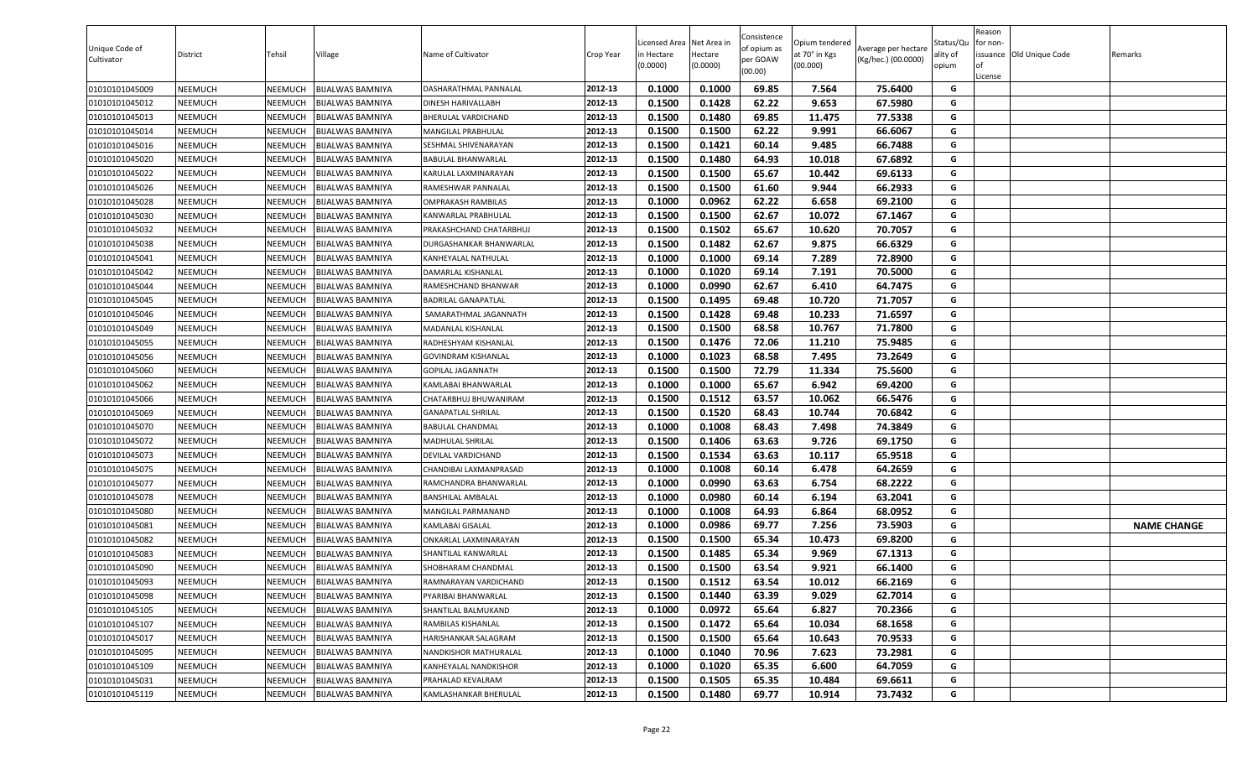| Unique Code of<br>Cultivator | District       | Tehsil         | Village                 | Name of Cultivator         | Crop Year | icensed Area Net Area in<br>in Hectare<br>(0.0000) | Hectare<br>(0.0000) | Consistence<br>of opium as<br>per GOAW<br>(00.00) | Opium tendered<br>at 70° in Kgs<br>(00.000) | Average per hectare<br>(Kg/hec.) (00.0000) | Status/Qu<br>ality of<br>opium | Reason<br>for non-<br>License | issuance Old Unique Code | Remarks            |
|------------------------------|----------------|----------------|-------------------------|----------------------------|-----------|----------------------------------------------------|---------------------|---------------------------------------------------|---------------------------------------------|--------------------------------------------|--------------------------------|-------------------------------|--------------------------|--------------------|
| 01010101045009               | <b>NEEMUCH</b> | NEEMUCH        | BIJALWAS BAMNIYA        | DASHARATHMAL PANNALAL      | 2012-13   | 0.1000                                             | 0.1000              | 69.85                                             | 7.564                                       | 75.6400                                    | G                              |                               |                          |                    |
| 01010101045012               | <b>NEEMUCH</b> | NEEMUCH        | BIJALWAS BAMNIYA        | DINESH HARIVALLABH         | 2012-13   | 0.1500                                             | 0.1428              | 62.22                                             | 9.653                                       | 67.5980                                    | G                              |                               |                          |                    |
| 01010101045013               | <b>NEEMUCH</b> | NEEMUCH        | <b>BIJALWAS BAMNIYA</b> | BHERULAL VARDICHAND        | 2012-13   | 0.1500                                             | 0.1480              | 69.85                                             | 11.475                                      | 77.5338                                    | G                              |                               |                          |                    |
| 01010101045014               | NEEMUCH        | NEEMUCH        | BIJALWAS BAMNIYA        | MANGILAL PRABHULAL         | 2012-13   | 0.1500                                             | 0.1500              | 62.22                                             | 9.991                                       | 66.6067                                    | G                              |                               |                          |                    |
| 01010101045016               | <b>NEEMUCH</b> | NEEMUCH        | <b>BIJALWAS BAMNIYA</b> | SESHMAL SHIVENARAYAN       | 2012-13   | 0.1500                                             | 0.1421              | 60.14                                             | 9.485                                       | 66.7488                                    | G                              |                               |                          |                    |
| 01010101045020               | <b>NEEMUCH</b> | <b>NEEMUCH</b> | <b>BIJALWAS BAMNIYA</b> | BABULAL BHANWARLAL         | 2012-13   | 0.1500                                             | 0.1480              | 64.93                                             | 10.018                                      | 67.6892                                    | G                              |                               |                          |                    |
| 01010101045022               | <b>NEEMUCH</b> | NEEMUCH        | <b>BIJALWAS BAMNIYA</b> | KARULAL LAXMINARAYAN       | 2012-13   | 0.1500                                             | 0.1500              | 65.67                                             | 10.442                                      | 69.6133                                    | G                              |                               |                          |                    |
| 01010101045026               | <b>NEEMUCH</b> | NEEMUCH        | <b>BIJALWAS BAMNIYA</b> | RAMESHWAR PANNALAL         | 2012-13   | 0.1500                                             | 0.1500              | 61.60                                             | 9.944                                       | 66.2933                                    | G                              |                               |                          |                    |
| 01010101045028               | <b>NEEMUCH</b> | NEEMUCH        | BIJALWAS BAMNIYA        | OMPRAKASH RAMBILAS         | 2012-13   | 0.1000                                             | 0.0962              | 62.22                                             | 6.658                                       | 69.2100                                    | G                              |                               |                          |                    |
| 01010101045030               | <b>NEEMUCH</b> | <b>NEEMUCH</b> | BIJALWAS BAMNIYA        | KANWARLAL PRABHULAL        | 2012-13   | 0.1500                                             | 0.1500              | 62.67                                             | 10.072                                      | 67.1467                                    | G                              |                               |                          |                    |
| 01010101045032               | <b>NEEMUCH</b> | NEEMUCH        | <b>BIJALWAS BAMNIYA</b> | PRAKASHCHAND CHATARBHUJ    | 2012-13   | 0.1500                                             | 0.1502              | 65.67                                             | 10.620                                      | 70.7057                                    | G                              |                               |                          |                    |
| 01010101045038               | <b>NEEMUCH</b> | NEEMUCH        | BIJALWAS BAMNIYA        | DURGASHANKAR BHANWARLAL    | 2012-13   | 0.1500                                             | 0.1482              | 62.67                                             | 9.875                                       | 66.6329                                    | G                              |                               |                          |                    |
| 01010101045041               | NEEMUCH        | NEEMUCH        | BIJALWAS BAMNIYA        | KANHEYALAL NATHULAL        | 2012-13   | 0.1000                                             | 0.1000              | 69.14                                             | 7.289                                       | 72.8900                                    | G                              |                               |                          |                    |
| 01010101045042               | <b>NEEMUCH</b> | NEEMUCH        | <b>BIJALWAS BAMNIYA</b> | DAMARLAL KISHANLAL         | 2012-13   | 0.1000                                             | 0.1020              | 69.14                                             | 7.191                                       | 70.5000                                    | G                              |                               |                          |                    |
| 01010101045044               | <b>NEEMUCH</b> | NEEMUCH        | <b>BIJALWAS BAMNIYA</b> | RAMESHCHAND BHANWAR        | 2012-13   | 0.1000                                             | 0.0990              | 62.67                                             | 6.410                                       | 64.7475                                    | G                              |                               |                          |                    |
| 01010101045045               | <b>NEEMUCH</b> | NEEMUCH        | <b>BIJALWAS BAMNIYA</b> | <b>BADRILAL GANAPATLAL</b> | 2012-13   | 0.1500                                             | 0.1495              | 69.48                                             | 10.720                                      | 71.7057                                    | G                              |                               |                          |                    |
| 01010101045046               | <b>NEEMUCH</b> | NEEMUCH        | BIJALWAS BAMNIYA        | SAMARATHMAL JAGANNATH      | 2012-13   | 0.1500                                             | 0.1428              | 69.48                                             | 10.233                                      | 71.6597                                    | G                              |                               |                          |                    |
| 01010101045049               | <b>NEEMUCH</b> | NEEMUCH        | <b>BIJALWAS BAMNIYA</b> | MADANLAL KISHANLAL         | 2012-13   | 0.1500                                             | 0.1500              | 68.58                                             | 10.767                                      | 71.7800                                    | G                              |                               |                          |                    |
| 01010101045055               | <b>NEEMUCH</b> | NEEMUCH        | <b>BIJALWAS BAMNIYA</b> | RADHESHYAM KISHANLAL       | 2012-13   | 0.1500                                             | 0.1476              | 72.06                                             | 11.210                                      | 75.9485                                    | G                              |                               |                          |                    |
| 01010101045056               | NEEMUCH        | NEEMUCH        | <b>BIJALWAS BAMNIYA</b> | <b>GOVINDRAM KISHANLAL</b> | 2012-13   | 0.1000                                             | 0.1023              | 68.58                                             | 7.495                                       | 73.2649                                    | G                              |                               |                          |                    |
| 01010101045060               | NEEMUCH        | NEEMUCH        | BIJALWAS BAMNIYA        | GOPILAL JAGANNATH          | 2012-13   | 0.1500                                             | 0.1500              | 72.79                                             | 11.334                                      | 75.5600                                    | G                              |                               |                          |                    |
| 01010101045062               | <b>NEEMUCH</b> | NEEMUCH        | <b>BIJALWAS BAMNIYA</b> | KAMLABAI BHANWARLAL        | 2012-13   | 0.1000                                             | 0.1000              | 65.67                                             | 6.942                                       | 69.4200                                    | G                              |                               |                          |                    |
| 01010101045066               | <b>NEEMUCH</b> | NEEMUCH        | <b>BIJALWAS BAMNIYA</b> | CHATARBHUJ BHUWANIRAM      | 2012-13   | 0.1500                                             | 0.1512              | 63.57                                             | 10.062                                      | 66.5476                                    | G                              |                               |                          |                    |
| 01010101045069               | <b>NEEMUCH</b> | NEEMUCH        | <b>BIJALWAS BAMNIYA</b> | <b>GANAPATLAL SHRILAL</b>  | 2012-13   | 0.1500                                             | 0.1520              | 68.43                                             | 10.744                                      | 70.6842                                    | G                              |                               |                          |                    |
| 01010101045070               | <b>NEEMUCH</b> | NEEMUCH        | BIJALWAS BAMNIYA        | <b>BABULAL CHANDMAL</b>    | 2012-13   | 0.1000                                             | 0.1008              | 68.43                                             | 7.498                                       | 74.3849                                    | G                              |                               |                          |                    |
| 01010101045072               | <b>NEEMUCH</b> | NEEMUCH        | BIJALWAS BAMNIYA        | MADHULAL SHRILAL           | 2012-13   | 0.1500                                             | 0.1406              | 63.63                                             | 9.726                                       | 69.1750                                    | G                              |                               |                          |                    |
| 01010101045073               | NEEMUCH        | NEEMUCH        | BIJALWAS BAMNIYA        | DEVILAL VARDICHAND         | 2012-13   | 0.1500                                             | 0.1534              | 63.63                                             | 10.117                                      | 65.9518                                    | G                              |                               |                          |                    |
| 01010101045075               | <b>NEEMUCH</b> | NEEMUCH        | <b>BIJALWAS BAMNIYA</b> | CHANDIBAI LAXMANPRASAD     | 2012-13   | 0.1000                                             | 0.1008              | 60.14                                             | 6.478                                       | 64.2659                                    | G                              |                               |                          |                    |
| 01010101045077               | <b>NEEMUCH</b> | <b>NEEMUCH</b> | <b>BIJALWAS BAMNIYA</b> | RAMCHANDRA BHANWARLAL      | 2012-13   | 0.1000                                             | 0.0990              | 63.63                                             | 6.754                                       | 68.2222                                    | G                              |                               |                          |                    |
| 01010101045078               | NEEMUCH        | NEEMUCH        | BIJALWAS BAMNIYA        | BANSHILAL AMBALAL          | 2012-13   | 0.1000                                             | 0.0980              | 60.14                                             | 6.194                                       | 63.2041                                    | G                              |                               |                          |                    |
| 01010101045080               | <b>NEEMUCH</b> | NEEMUCH        | <b>BIJALWAS BAMNIYA</b> | MANGILAL PARMANAND         | 2012-13   | 0.1000                                             | 0.1008              | 64.93                                             | 6.864                                       | 68.0952                                    | G                              |                               |                          |                    |
| 01010101045081               | <b>NEEMUCH</b> | NEEMUCH        | <b>BIJALWAS BAMNIYA</b> | KAMLABAI GISALAL           | 2012-13   | 0.1000                                             | 0.0986              | 69.77                                             | 7.256                                       | 73.5903                                    | G                              |                               |                          | <b>NAME CHANGE</b> |
| 01010101045082               | <b>NEEMUCH</b> | <b>NEEMUCH</b> | <b>BIJALWAS BAMNIYA</b> | ONKARLAL LAXMINARAYAN      | 2012-13   | 0.1500                                             | 0.1500              | 65.34                                             | 10.473                                      | 69.8200                                    | G                              |                               |                          |                    |
| 01010101045083               | <b>NEEMUCH</b> | NEEMUCH        | <b>BIJALWAS BAMNIYA</b> | SHANTILAL KANWARLAL        | 2012-13   | 0.1500                                             | 0.1485              | 65.34                                             | 9.969                                       | 67.1313                                    | G                              |                               |                          |                    |
| 01010101045090               | <b>NEEMUCH</b> | NEEMUCH        | <b>BIJALWAS BAMNIYA</b> | SHOBHARAM CHANDMAL         | 2012-13   | 0.1500                                             | 0.1500              | 63.54                                             | 9.921                                       | 66.1400                                    | G                              |                               |                          |                    |
| 01010101045093               | <b>NEEMUCH</b> | <b>NEEMUCH</b> | <b>BIJALWAS BAMNIYA</b> | RAMNARAYAN VARDICHAND      | 2012-13   | 0.1500                                             | 0.1512              | 63.54                                             | 10.012                                      | 66.2169                                    | G                              |                               |                          |                    |
| 01010101045098               | <b>NEEMUCH</b> | NEEMUCH        | <b>BIJALWAS BAMNIYA</b> | PYARIBAI BHANWARLAL        | 2012-13   | 0.1500                                             | 0.1440              | 63.39                                             | 9.029                                       | 62.7014                                    | G                              |                               |                          |                    |
| 01010101045105               | NEEMUCH        | NEEMUCH        | BIJALWAS BAMNIYA        | SHANTILAL BALMUKAND        | 2012-13   | 0.1000                                             | 0.0972              | 65.64                                             | 6.827                                       | 70.2366                                    | G                              |                               |                          |                    |
| 01010101045107               | <b>NEEMUCH</b> | NEEMUCH        | <b>BIJALWAS BAMNIYA</b> | RAMBILAS KISHANLAL         | 2012-13   | 0.1500                                             | 0.1472              | 65.64                                             | 10.034                                      | 68.1658                                    | G                              |                               |                          |                    |
| 01010101045017               | <b>NEEMUCH</b> | NEEMUCH        | <b>BIJALWAS BAMNIYA</b> | HARISHANKAR SALAGRAM       | 2012-13   | 0.1500                                             | 0.1500              | 65.64                                             | 10.643                                      | 70.9533                                    | G                              |                               |                          |                    |
| 01010101045095               | <b>NEEMUCH</b> | NEEMUCH        | <b>BIJALWAS BAMNIYA</b> | NANDKISHOR MATHURALAL      | 2012-13   | 0.1000                                             | 0.1040              | 70.96                                             | 7.623                                       | 73.2981                                    | G                              |                               |                          |                    |
| 01010101045109               | <b>NEEMUCH</b> | NEEMUCH        | <b>BIJALWAS BAMNIYA</b> | KANHEYALAL NANDKISHOR      | 2012-13   | 0.1000                                             | 0.1020              | 65.35                                             | 6.600                                       | 64.7059                                    | G                              |                               |                          |                    |
| 01010101045031               | <b>NEEMUCH</b> | NEEMUCH        | <b>BIJALWAS BAMNIYA</b> | PRAHALAD KEVALRAM          | 2012-13   | 0.1500                                             | 0.1505              | 65.35                                             | 10.484                                      | 69.6611                                    | G                              |                               |                          |                    |
| 01010101045119               | <b>NEEMUCH</b> | <b>NEEMUCH</b> | <b>BIJALWAS BAMNIYA</b> | KAMLASHANKAR BHERULAL      | 2012-13   | 0.1500                                             | 0.1480              | 69.77                                             | 10.914                                      | 73.7432                                    | G                              |                               |                          |                    |
|                              |                |                |                         |                            |           |                                                    |                     |                                                   |                                             |                                            |                                |                               |                          |                    |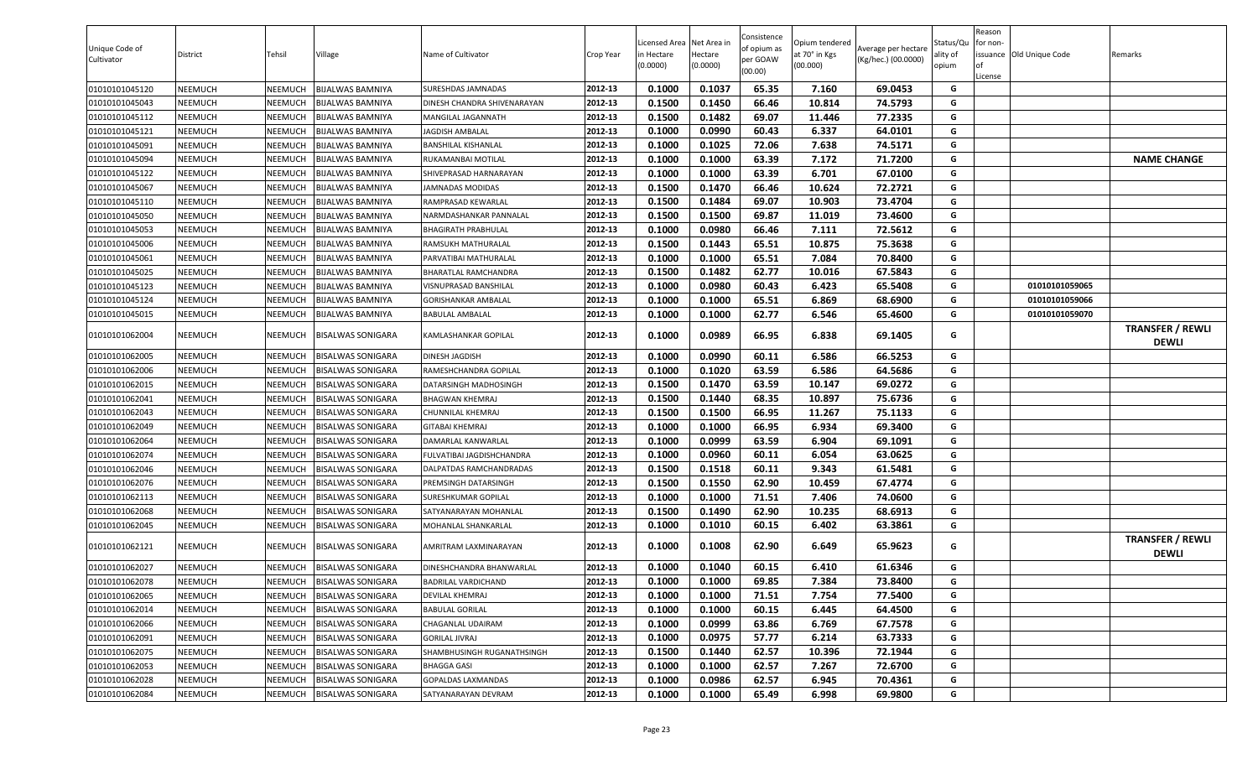| Unique Code of<br>Cultivator | District       | Tehsil         | Village                  | Name of Cultivator          | Crop Year | Licensed Area<br>n Hectare<br>(0.0000) | Net Area in<br>Hectare<br>(0.0000) | Consistence<br>of opium as<br>per GOAW<br>(00.00) | Opium tendered<br>at 70° in Kgs<br>(00.000) | Average per hectare<br>(Kg/hec.) (00.0000) | Status/Qu<br>ality of<br>opium | Reason<br>for non-<br>lof<br>License | issuance Old Unique Code | Remarks                                 |
|------------------------------|----------------|----------------|--------------------------|-----------------------------|-----------|----------------------------------------|------------------------------------|---------------------------------------------------|---------------------------------------------|--------------------------------------------|--------------------------------|--------------------------------------|--------------------------|-----------------------------------------|
| 01010101045120               | <b>NEEMUCH</b> | NEEMUCH        | BIJALWAS BAMNIYA         | SURESHDAS JAMNADAS          | 2012-13   | 0.1000                                 | 0.1037                             | 65.35                                             | 7.160                                       | 69.0453                                    | G                              |                                      |                          |                                         |
| 01010101045043               | <b>NEEMUCH</b> | NEEMUCH        | BIJALWAS BAMNIYA         | DINESH CHANDRA SHIVENARAYAN | 2012-13   | 0.1500                                 | 0.1450                             | 66.46                                             | 10.814                                      | 74.5793                                    | G                              |                                      |                          |                                         |
| 01010101045112               | <b>NEEMUCH</b> | NEEMUCH        | <b>BIJALWAS BAMNIYA</b>  | MANGILAL JAGANNATH          | 2012-13   | 0.1500                                 | 0.1482                             | 69.07                                             | 11.446                                      | 77.2335                                    | G                              |                                      |                          |                                         |
| 01010101045121               | NEEMUCH        | NEEMUCH        | BIJALWAS BAMNIYA         | JAGDISH AMBALAL             | 2012-13   | 0.1000                                 | 0.0990                             | 60.43                                             | 6.337                                       | 64.0101                                    | G                              |                                      |                          |                                         |
| 01010101045091               | NEEMUCH        | NEEMUCH        | <b>BIJALWAS BAMNIYA</b>  | BANSHILAL KISHANLAL         | 2012-13   | 0.1000                                 | 0.1025                             | 72.06                                             | 7.638                                       | 74.5171                                    | G                              |                                      |                          |                                         |
| 01010101045094               | <b>NEEMUCH</b> | NEEMUCH        | BIJALWAS BAMNIYA         | RUKAMANBAI MOTILAL          | 2012-13   | 0.1000                                 | 0.1000                             | 63.39                                             | 7.172                                       | 71.7200                                    | G                              |                                      |                          | <b>NAME CHANGE</b>                      |
| 01010101045122               | <b>NEEMUCH</b> | NEEMUCH        | BIJALWAS BAMNIYA         | SHIVEPRASAD HARNARAYAN      | 2012-13   | 0.1000                                 | 0.1000                             | 63.39                                             | 6.701                                       | 67.0100                                    | G                              |                                      |                          |                                         |
| 01010101045067               | <b>NEEMUCH</b> | NEEMUCH        | <b>BIJALWAS BAMNIYA</b>  | JAMNADAS MODIDAS            | 2012-13   | 0.1500                                 | 0.1470                             | 66.46                                             | 10.624                                      | 72.2721                                    | G                              |                                      |                          |                                         |
| 01010101045110               | <b>NEEMUCH</b> | NEEMUCH        | BIJALWAS BAMNIYA         | RAMPRASAD KEWARLAL          | 2012-13   | 0.1500                                 | 0.1484                             | 69.07                                             | 10.903                                      | 73.4704                                    | G                              |                                      |                          |                                         |
| 01010101045050               | <b>NEEMUCH</b> | NEEMUCH        | BIJALWAS BAMNIYA         | NARMDASHANKAR PANNALAL      | 2012-13   | 0.1500                                 | 0.1500                             | 69.87                                             | 11.019                                      | 73.4600                                    | G                              |                                      |                          |                                         |
| 01010101045053               | NEEMUCH        | NEEMUCH        | <b>BIJALWAS BAMNIYA</b>  | BHAGIRATH PRABHULAL         | 2012-13   | 0.1000                                 | 0.0980                             | 66.46                                             | 7.111                                       | 72.5612                                    | G                              |                                      |                          |                                         |
| 01010101045006               | <b>NEEMUCH</b> | NEEMUCH        | BIJALWAS BAMNIYA         | RAMSUKH MATHURALAL          | 2012-13   | 0.1500                                 | 0.1443                             | 65.51                                             | 10.875                                      | 75.3638                                    | G                              |                                      |                          |                                         |
| 01010101045061               | NEEMUCH        | NEEMUCH        | BIJALWAS BAMNIYA         | PARVATIBAI MATHURALAL       | 2012-13   | 0.1000                                 | 0.1000                             | 65.51                                             | 7.084                                       | 70.8400                                    | G                              |                                      |                          |                                         |
| 01010101045025               | <b>NEEMUCH</b> | NEEMUCH        | BIJALWAS BAMNIYA         | BHARATLAL RAMCHANDRA        | 2012-13   | 0.1500                                 | 0.1482                             | 62.77                                             | 10.016                                      | 67.5843                                    | G                              |                                      |                          |                                         |
| 01010101045123               | <b>NEEMUCH</b> | NEEMUCH        | <b>BIJALWAS BAMNIYA</b>  | VISNUPRASAD BANSHILAL       | 2012-13   | 0.1000                                 | 0.0980                             | 60.43                                             | 6.423                                       | 65.5408                                    | G                              |                                      | 01010101059065           |                                         |
| 01010101045124               | <b>NEEMUCH</b> | NEEMUCH        | <b>BIJALWAS BAMNIYA</b>  | <b>GORISHANKAR AMBALAL</b>  | 2012-13   | 0.1000                                 | 0.1000                             | 65.51                                             | 6.869                                       | 68.6900                                    | G                              |                                      | 01010101059066           |                                         |
| 01010101045015               | <b>NEEMUCH</b> | NEEMUCH        | BIJALWAS BAMNIYA         | <b>BABULAL AMBALAL</b>      | 2012-13   | 0.1000                                 | 0.1000                             | 62.77                                             | 6.546                                       | 65.4600                                    | G                              |                                      | 01010101059070           |                                         |
| 01010101062004               | <b>NEEMUCH</b> | NEEMUCH        | BISALWAS SONIGARA        | KAMLASHANKAR GOPILAL        | 2012-13   | 0.1000                                 | 0.0989                             | 66.95                                             | 6.838                                       | 69.1405                                    | G                              |                                      |                          | <b>TRANSFER / REWLI</b><br><b>DEWLI</b> |
| 01010101062005               | <b>NEEMUCH</b> | NEEMUCH        | <b>BISALWAS SONIGARA</b> | DINESH JAGDISH              | 2012-13   | 0.1000                                 | 0.0990                             | 60.11                                             | 6.586                                       | 66.5253                                    | G                              |                                      |                          |                                         |
| 01010101062006               | NEEMUCH        | NEEMUCH        | BISALWAS SONIGARA        | RAMESHCHANDRA GOPILAL       | 2012-13   | 0.1000                                 | 0.1020                             | 63.59                                             | 6.586                                       | 64.5686                                    | G                              |                                      |                          |                                         |
| 01010101062015               | NEEMUCH        | NEEMUCH        | BISALWAS SONIGARA        | DATARSINGH MADHOSINGH       | 2012-13   | 0.1500                                 | 0.1470                             | 63.59                                             | 10.147                                      | 69.0272                                    | G                              |                                      |                          |                                         |
| 01010101062041               | <b>NEEMUCH</b> | NEEMUCH        | BISALWAS SONIGARA        | BHAGWAN KHEMRAJ             | 2012-13   | 0.1500                                 | 0.1440                             | 68.35                                             | 10.897                                      | 75.6736                                    | G                              |                                      |                          |                                         |
| 01010101062043               | <b>NEEMUCH</b> | NEEMUCH        | BISALWAS SONIGARA        | CHUNNILAL KHEMRAJ           | 2012-13   | 0.1500                                 | 0.1500                             | 66.95                                             | 11.267                                      | 75.1133                                    | G                              |                                      |                          |                                         |
| 01010101062049               | <b>NEEMUCH</b> | NEEMUCH        | BISALWAS SONIGARA        | GITABAI KHEMRAJ             | 2012-13   | 0.1000                                 | 0.1000                             | 66.95                                             | 6.934                                       | 69.3400                                    | G                              |                                      |                          |                                         |
| 01010101062064               | <b>NEEMUCH</b> | NEEMUCH        | BISALWAS SONIGARA        | DAMARLAL KANWARLAL          | 2012-13   | 0.1000                                 | 0.0999                             | 63.59                                             | 6.904                                       | 69.1091                                    | G                              |                                      |                          |                                         |
| 01010101062074               | <b>NEEMUCH</b> | NEEMUCH        | BISALWAS SONIGARA        | FULVATIBAI JAGDISHCHANDRA   | 2012-13   | 0.1000                                 | 0.0960                             | 60.11                                             | 6.054                                       | 63.0625                                    | G                              |                                      |                          |                                         |
| 01010101062046               | NEEMUCH        | NEEMUCH        | BISALWAS SONIGARA        | DALPATDAS RAMCHANDRADAS     | 2012-13   | 0.1500                                 | 0.1518                             | 60.11                                             | 9.343                                       | 61.5481                                    | G                              |                                      |                          |                                         |
| 01010101062076               | <b>NEEMUCH</b> | NEEMUCH        | BISALWAS SONIGARA        | PREMSINGH DATARSINGH        | 2012-13   | 0.1500                                 | 0.1550                             | 62.90                                             | 10.459                                      | 67.4774                                    | G                              |                                      |                          |                                         |
| 01010101062113               | NEEMUCH        | NEEMUCH        | BISALWAS SONIGARA        | SURESHKUMAR GOPILAL         | 2012-13   | 0.1000                                 | 0.1000                             | 71.51                                             | 7.406                                       | 74.0600                                    | G                              |                                      |                          |                                         |
| 01010101062068               | <b>NEEMUCH</b> | NEEMUCH        | <b>BISALWAS SONIGARA</b> | SATYANARAYAN MOHANLAL       | 2012-13   | 0.1500                                 | 0.1490                             | 62.90                                             | 10.235                                      | 68.6913                                    | G                              |                                      |                          |                                         |
| 01010101062045               | <b>NEEMUCH</b> | NEEMUCH        | <b>BISALWAS SONIGARA</b> | MOHANLAL SHANKARLAL         | 2012-13   | 0.1000                                 | 0.1010                             | 60.15                                             | 6.402                                       | 63.3861                                    | G                              |                                      |                          |                                         |
| 01010101062121               | <b>NEEMUCH</b> | NEEMUCH        | <b>BISALWAS SONIGARA</b> | AMRITRAM LAXMINARAYAN       | 2012-13   | 0.1000                                 | 0.1008                             | 62.90                                             | 6.649                                       | 65.9623                                    | G                              |                                      |                          | <b>TRANSFER / REWLI</b><br><b>DEWLI</b> |
| 01010101062027               | <b>NEEMUCH</b> | NEEMUCH        | BISALWAS SONIGARA        | DINESHCHANDRA BHANWARLAL    | 2012-13   | 0.1000                                 | 0.1040                             | 60.15                                             | 6.410                                       | 61.6346                                    | G                              |                                      |                          |                                         |
| 01010101062078               | <b>NEEMUCH</b> | <b>NEEMUCH</b> | <b>BISALWAS SONIGARA</b> | BADRILAL VARDICHAND         | 2012-13   | 0.1000                                 | 0.1000                             | 69.85                                             | 7.384                                       | 73.8400                                    | G                              |                                      |                          |                                         |
| 01010101062065               | <b>NEEMUCH</b> | NEEMUCH        | <b>BISALWAS SONIGARA</b> | DEVILAL KHEMRAJ             | 2012-13   | 0.1000                                 | 0.1000                             | 71.51                                             | 7.754                                       | 77.5400                                    | G                              |                                      |                          |                                         |
| 01010101062014               | <b>NEEMUCH</b> | NEEMUCH        | <b>BISALWAS SONIGARA</b> | BABULAL GORILAL             | 2012-13   | 0.1000                                 | 0.1000                             | 60.15                                             | 6.445                                       | 64.4500                                    | G                              |                                      |                          |                                         |
| 01010101062066               | <b>NEEMUCH</b> | NEEMUCH        | <b>BISALWAS SONIGARA</b> | CHAGANLAL UDAIRAM           | 2012-13   | 0.1000                                 | 0.0999                             | 63.86                                             | 6.769                                       | 67.7578                                    | G                              |                                      |                          |                                         |
| 01010101062091               | <b>NEEMUCH</b> | NEEMUCH        | <b>BISALWAS SONIGARA</b> | <b>GORILAL JIVRAJ</b>       | 2012-13   | 0.1000                                 | 0.0975                             | 57.77                                             | 6.214                                       | 63.7333                                    | G                              |                                      |                          |                                         |
| 01010101062075               | <b>NEEMUCH</b> | NEEMUCH        | <b>BISALWAS SONIGARA</b> | SHAMBHUSINGH RUGANATHSINGH  | 2012-13   | 0.1500                                 | 0.1440                             | 62.57                                             | 10.396                                      | 72.1944                                    | G                              |                                      |                          |                                         |
| 01010101062053               | <b>NEEMUCH</b> | NEEMUCH        | <b>BISALWAS SONIGARA</b> | <b>BHAGGA GASI</b>          | 2012-13   | 0.1000                                 | 0.1000                             | 62.57                                             | 7.267                                       | 72.6700                                    | G                              |                                      |                          |                                         |
| 01010101062028               | <b>NEEMUCH</b> | NEEMUCH        | <b>BISALWAS SONIGARA</b> | GOPALDAS LAXMANDAS          | 2012-13   | 0.1000                                 | 0.0986                             | 62.57                                             | 6.945                                       | 70.4361                                    | G                              |                                      |                          |                                         |
| 01010101062084               | <b>NEEMUCH</b> | NEEMUCH        | <b>BISALWAS SONIGARA</b> | SATYANARAYAN DEVRAM         | 2012-13   | 0.1000                                 | 0.1000                             | 65.49                                             | 6.998                                       | 69.9800                                    | G                              |                                      |                          |                                         |
|                              |                |                |                          |                             |           |                                        |                                    |                                                   |                                             |                                            |                                |                                      |                          |                                         |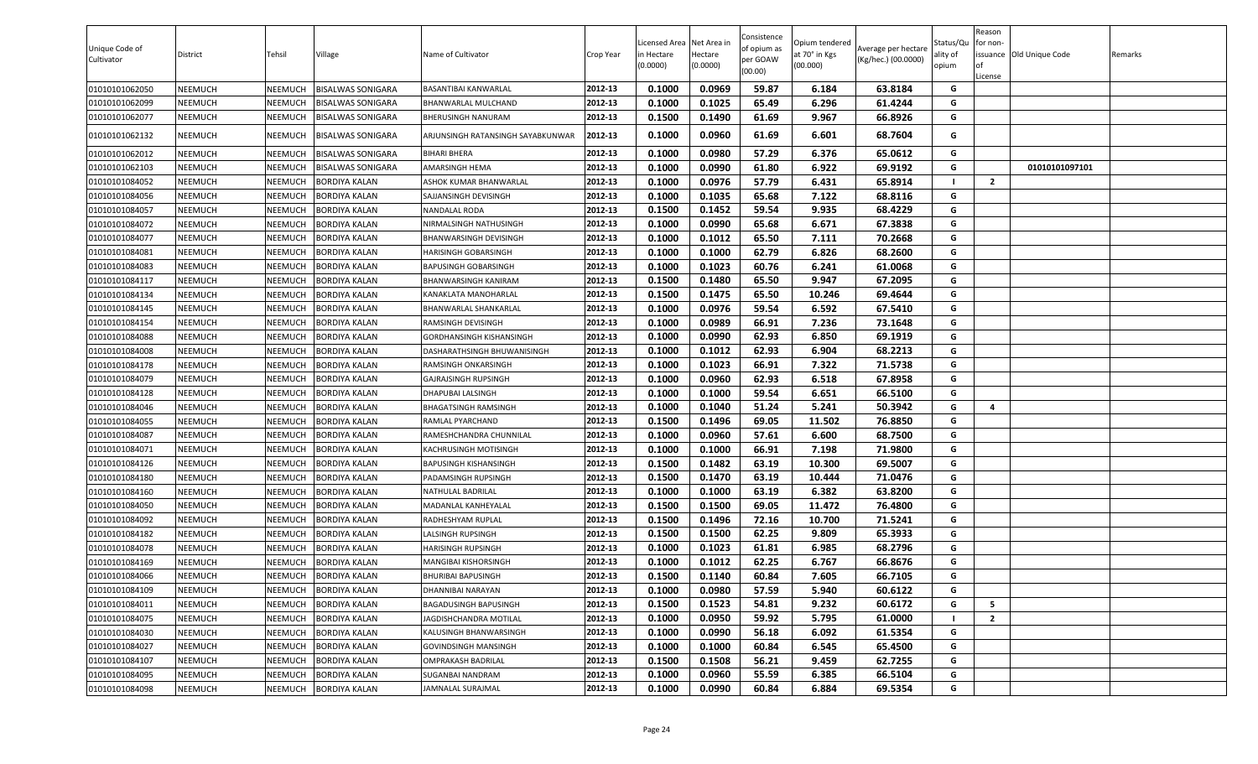| Unique Code of<br>Cultivator | District       | Tehsil  | Village                  | Name of Cultivator                | Crop Year | Licensed Area<br>n Hectare<br>(0.0000) | Net Area i<br>Hectare<br>(0.0000) | Consistence<br>of opium as<br>per GOAW<br>(00.00) | Opium tendered<br>at 70° in Kgs<br>(00.000) | Average per hectare<br>(Kg/hec.) (00.0000) | Status/Qu<br>ality of<br>opium | Reason<br>for non-<br>issuance Old Unique Code<br>of<br>License | Remarks |
|------------------------------|----------------|---------|--------------------------|-----------------------------------|-----------|----------------------------------------|-----------------------------------|---------------------------------------------------|---------------------------------------------|--------------------------------------------|--------------------------------|-----------------------------------------------------------------|---------|
| 01010101062050               | NEEMUCH        | NEEMUCH | <b>BISALWAS SONIGARA</b> | BASANTIBAI KANWARLAL              | 2012-13   | 0.1000                                 | 0.0969                            | 59.87                                             | 6.184                                       | 63.8184                                    | G                              |                                                                 |         |
| 01010101062099               | NEEMUCH        | NEEMUCH | <b>BISALWAS SONIGARA</b> | <b>BHANWARLAL MULCHAND</b>        | 2012-13   | 0.1000                                 | 0.1025                            | 65.49                                             | 6.296                                       | 61.4244                                    | G                              |                                                                 |         |
| 01010101062077               | NEEMUCH        | NEEMUCH | <b>BISALWAS SONIGARA</b> | <b>BHERUSINGH NANURAM</b>         | 2012-13   | 0.1500                                 | 0.1490                            | 61.69                                             | 9.967                                       | 66.8926                                    | G                              |                                                                 |         |
| 01010101062132               | NEEMUCH        | NEEMUCH | <b>BISALWAS SONIGARA</b> | ARJUNSINGH RATANSINGH SAYABKUNWAR | 2012-13   | 0.1000                                 | 0.0960                            | 61.69                                             | 6.601                                       | 68.7604                                    | G                              |                                                                 |         |
| 01010101062012               | NEEMUCH        | NEEMUCH | <b>BISALWAS SONIGARA</b> | <b>BIHARI BHERA</b>               | 2012-13   | 0.1000                                 | 0.0980                            | 57.29                                             | 6.376                                       | 65.0612                                    | G                              |                                                                 |         |
| 01010101062103               | NEEMUCH        | NEEMUCH | <b>BISALWAS SONIGARA</b> | AMARSINGH HEMA                    | 2012-13   | 0.1000                                 | 0.0990                            | 61.80                                             | 6.922                                       | 69.9192                                    | G                              | 01010101097101                                                  |         |
| 01010101084052               | NEEMUCH        | NEEMUCH | <b>BORDIYA KALAN</b>     | ASHOK KUMAR BHANWARLAL            | 2012-13   | 0.1000                                 | 0.0976                            | 57.79                                             | 6.431                                       | 65.8914                                    | л.                             | $\overline{2}$                                                  |         |
| 01010101084056               | NEEMUCH        | NEEMUCH | <b>BORDIYA KALAN</b>     | SAJJANSINGH DEVISINGH             | 2012-13   | 0.1000                                 | 0.1035                            | 65.68                                             | 7.122                                       | 68.8116                                    | G                              |                                                                 |         |
| 01010101084057               | NEEMUCH        | NEEMUCH | <b>BORDIYA KALAN</b>     | NANDALAL RODA                     | 2012-13   | 0.1500                                 | 0.1452                            | 59.54                                             | 9.935                                       | 68.4229                                    | G                              |                                                                 |         |
| 01010101084072               | NEEMUCH        | NEEMUCH | <b>BORDIYA KALAN</b>     | NIRMALSINGH NATHUSINGH            | 2012-13   | 0.1000                                 | 0.0990                            | 65.68                                             | 6.671                                       | 67.3838                                    | G                              |                                                                 |         |
| 01010101084077               | NEEMUCH        | NEEMUCH | BORDIYA KALAN            | BHANWARSINGH DEVISINGH            | 2012-13   | 0.1000                                 | 0.1012                            | 65.50                                             | 7.111                                       | 70.2668                                    | G                              |                                                                 |         |
| 01010101084081               | NEEMUCH        | NEEMUCH | <b>BORDIYA KALAN</b>     | HARISINGH GOBARSINGH              | 2012-13   | 0.1000                                 | 0.1000                            | 62.79                                             | 6.826                                       | 68.2600                                    | G                              |                                                                 |         |
| 01010101084083               | NEEMUCH        | NEEMUCH | <b>BORDIYA KALAN</b>     | <b>BAPUSINGH GOBARSINGH</b>       | 2012-13   | 0.1000                                 | 0.1023                            | 60.76                                             | 6.241                                       | 61.0068                                    | G                              |                                                                 |         |
| 01010101084117               | NEEMUCH        | NEEMUCH | BORDIYA KALAN            | BHANWARSINGH KANIRAM              | 2012-13   | 0.1500                                 | 0.1480                            | 65.50                                             | 9.947                                       | 67.2095                                    | G                              |                                                                 |         |
| 01010101084134               | NEEMUCH        | NEEMUCH | <b>BORDIYA KALAN</b>     | KANAKLATA MANOHARLAL              | 2012-13   | 0.1500                                 | 0.1475                            | 65.50                                             | 10.246                                      | 69.4644                                    | G                              |                                                                 |         |
| 01010101084145               | NEEMUCH        | NEEMUCH | <b>BORDIYA KALAN</b>     | BHANWARLAL SHANKARLAL             | 2012-13   | 0.1000                                 | 0.0976                            | 59.54                                             | 6.592                                       | 67.5410                                    | G                              |                                                                 |         |
| 01010101084154               | NEEMUCH        | NEEMUCH | <b>BORDIYA KALAN</b>     | RAMSINGH DEVISINGH                | 2012-13   | 0.1000                                 | 0.0989                            | 66.91                                             | 7.236                                       | 73.1648                                    | G                              |                                                                 |         |
| 01010101084088               | NEEMUCH        | NEEMUCH | <b>BORDIYA KALAN</b>     | GORDHANSINGH KISHANSINGH          | 2012-13   | 0.1000                                 | 0.0990                            | 62.93                                             | 6.850                                       | 69.1919                                    | G                              |                                                                 |         |
| 01010101084008               | NEEMUCH        | NEEMUCH | <b>BORDIYA KALAN</b>     | DASHARATHSINGH BHUWANISINGH       | 2012-13   | 0.1000                                 | 0.1012                            | 62.93                                             | 6.904                                       | 68.2213                                    | G                              |                                                                 |         |
| 01010101084178               | NEEMUCH        | NEEMUCH | <b>BORDIYA KALAN</b>     | RAMSINGH ONKARSINGH               | 2012-13   | 0.1000                                 | 0.1023                            | 66.91                                             | 7.322                                       | 71.5738                                    | G                              |                                                                 |         |
| 01010101084079               | NEEMUCH        | NEEMUCH | <b>BORDIYA KALAN</b>     | <b>GAJRAJSINGH RUPSINGH</b>       | 2012-13   | 0.1000                                 | 0.0960                            | 62.93                                             | 6.518                                       | 67.8958                                    | G                              |                                                                 |         |
| 01010101084128               | NEEMUCH        | NEEMUCH | <b>BORDIYA KALAN</b>     | DHAPUBAI LALSINGH                 | 2012-13   | 0.1000                                 | 0.1000                            | 59.54                                             | 6.651                                       | 66.5100                                    | G                              |                                                                 |         |
| 01010101084046               | NEEMUCH        | NEEMUCH | <b>BORDIYA KALAN</b>     | BHAGATSINGH RAMSINGH              | 2012-13   | 0.1000                                 | 0.1040                            | 51.24                                             | 5.241                                       | 50.3942                                    | G                              | 4                                                               |         |
| 01010101084055               | NEEMUCH        | NEEMUCH | <b>BORDIYA KALAN</b>     | RAMLAL PYARCHAND                  | 2012-13   | 0.1500                                 | 0.1496                            | 69.05                                             | 11.502                                      | 76.8850                                    | G                              |                                                                 |         |
| 01010101084087               | NEEMUCH        | NEEMUCH | <b>BORDIYA KALAN</b>     | RAMESHCHANDRA CHUNNILAL           | 2012-13   | 0.1000                                 | 0.0960                            | 57.61                                             | 6.600                                       | 68.7500                                    | G                              |                                                                 |         |
| 01010101084071               | NEEMUCH        | NEEMUCH | <b>BORDIYA KALAN</b>     | KACHRUSINGH MOTISINGH             | 2012-13   | 0.1000                                 | 0.1000                            | 66.91                                             | 7.198                                       | 71.9800                                    | G                              |                                                                 |         |
| 01010101084126               | NEEMUCH        | NEEMUCH | <b>BORDIYA KALAN</b>     | <b>BAPUSINGH KISHANSINGH</b>      | 2012-13   | 0.1500                                 | 0.1482                            | 63.19                                             | 10.300                                      | 69.5007                                    | G                              |                                                                 |         |
| 01010101084180               | NEEMUCH        | NEEMUCH | BORDIYA KALAN            | PADAMSINGH RUPSINGH               | 2012-13   | 0.1500                                 | 0.1470                            | 63.19                                             | 10.444                                      | 71.0476                                    | G                              |                                                                 |         |
| 01010101084160               | NEEMUCH        | NEEMUCH | <b>BORDIYA KALAN</b>     | NATHULAL BADRILAL                 | 2012-13   | 0.1000                                 | 0.1000                            | 63.19                                             | 6.382                                       | 63.8200                                    | G                              |                                                                 |         |
| 01010101084050               | NEEMUCH        | NEEMUCH | <b>BORDIYA KALAN</b>     | MADANLAL KANHEYALAL               | 2012-13   | 0.1500                                 | 0.1500                            | 69.05                                             | 11.472                                      | 76.4800                                    | G                              |                                                                 |         |
| 01010101084092               | NEEMUCH        | NEEMUCH | <b>BORDIYA KALAN</b>     | RADHESHYAM RUPLAL                 | 2012-13   | 0.1500                                 | 0.1496                            | 72.16                                             | 10.700                                      | 71.5241                                    | G                              |                                                                 |         |
| 01010101084182               | NEEMUCH        | NEEMUCH | <b>BORDIYA KALAN</b>     | LALSINGH RUPSINGH                 | 2012-13   | 0.1500                                 | 0.1500                            | 62.25                                             | 9.809                                       | 65.3933                                    | G                              |                                                                 |         |
| 01010101084078               | NEEMUCH        | NEEMUCH | <b>BORDIYA KALAN</b>     | <b>HARISINGH RUPSINGH</b>         | 2012-13   | 0.1000                                 | 0.1023                            | 61.81                                             | 6.985                                       | 68.2796                                    | G                              |                                                                 |         |
| 01010101084169               | NEEMUCH        | NEEMUCH | <b>BORDIYA KALAN</b>     | <b>MANGIBAI KISHORSINGH</b>       | 2012-13   | 0.1000                                 | 0.1012                            | 62.25                                             | 6.767                                       | 66.8676                                    | G                              |                                                                 |         |
| 01010101084066               | NEEMUCH        | NEEMUCH | <b>BORDIYA KALAN</b>     | <b>BHURIBAI BAPUSINGH</b>         | 2012-13   | 0.1500                                 | 0.1140                            | 60.84                                             | 7.605                                       | 66.7105                                    | G                              |                                                                 |         |
| 01010101084109               | <b>NEEMUCH</b> | NEEMUCH | <b>BORDIYA KALAN</b>     | DHANNIBAI NARAYAN                 | 2012-13   | 0.1000                                 | 0.0980                            | 57.59                                             | 5.940                                       | 60.6122                                    | G                              |                                                                 |         |
| 01010101084011               | NEEMUCH        | NEEMUCH | <b>BORDIYA KALAN</b>     | <b>BAGADUSINGH BAPUSINGH</b>      | 2012-13   | 0.1500                                 | 0.1523                            | 54.81                                             | 9.232                                       | 60.6172                                    | G                              | 5                                                               |         |
| 01010101084075               | NEEMUCH        | NEEMUCH | <b>BORDIYA KALAN</b>     | JAGDISHCHANDRA MOTILAL            | 2012-13   | 0.1000                                 | 0.0950                            | 59.92                                             | 5.795                                       | 61.0000                                    |                                | $\overline{2}$                                                  |         |
| 01010101084030               | NEEMUCH        | NEEMUCH | <b>BORDIYA KALAN</b>     | KALUSINGH BHANWARSINGH            | 2012-13   | 0.1000                                 | 0.0990                            | 56.18                                             | 6.092                                       | 61.5354                                    | G                              |                                                                 |         |
| 01010101084027               | NEEMUCH        | NEEMUCH | <b>BORDIYA KALAN</b>     | <b>GOVINDSINGH MANSINGH</b>       | 2012-13   | 0.1000                                 | 0.1000                            | 60.84                                             | 6.545                                       | 65.4500                                    | G                              |                                                                 |         |
| 01010101084107               | NEEMUCH        | NEEMUCH | <b>BORDIYA KALAN</b>     | <b>OMPRAKASH BADRILAL</b>         | 2012-13   | 0.1500                                 | 0.1508                            | 56.21                                             | 9.459                                       | 62.7255                                    | G                              |                                                                 |         |
| 01010101084095               | NEEMUCH        | NEEMUCH | <b>BORDIYA KALAN</b>     | SUGANBAI NANDRAM                  | 2012-13   | 0.1000                                 | 0.0960                            | 55.59                                             | 6.385                                       | 66.5104                                    | G                              |                                                                 |         |
| 01010101084098               | NEEMUCH        | NEEMUCH | <b>BORDIYA KALAN</b>     | JAMNALAL SURAJMAL                 | 2012-13   | 0.1000                                 | 0.0990                            | 60.84                                             | 6.884                                       | 69.5354                                    | G                              |                                                                 |         |
|                              |                |         |                          |                                   |           |                                        |                                   |                                                   |                                             |                                            |                                |                                                                 |         |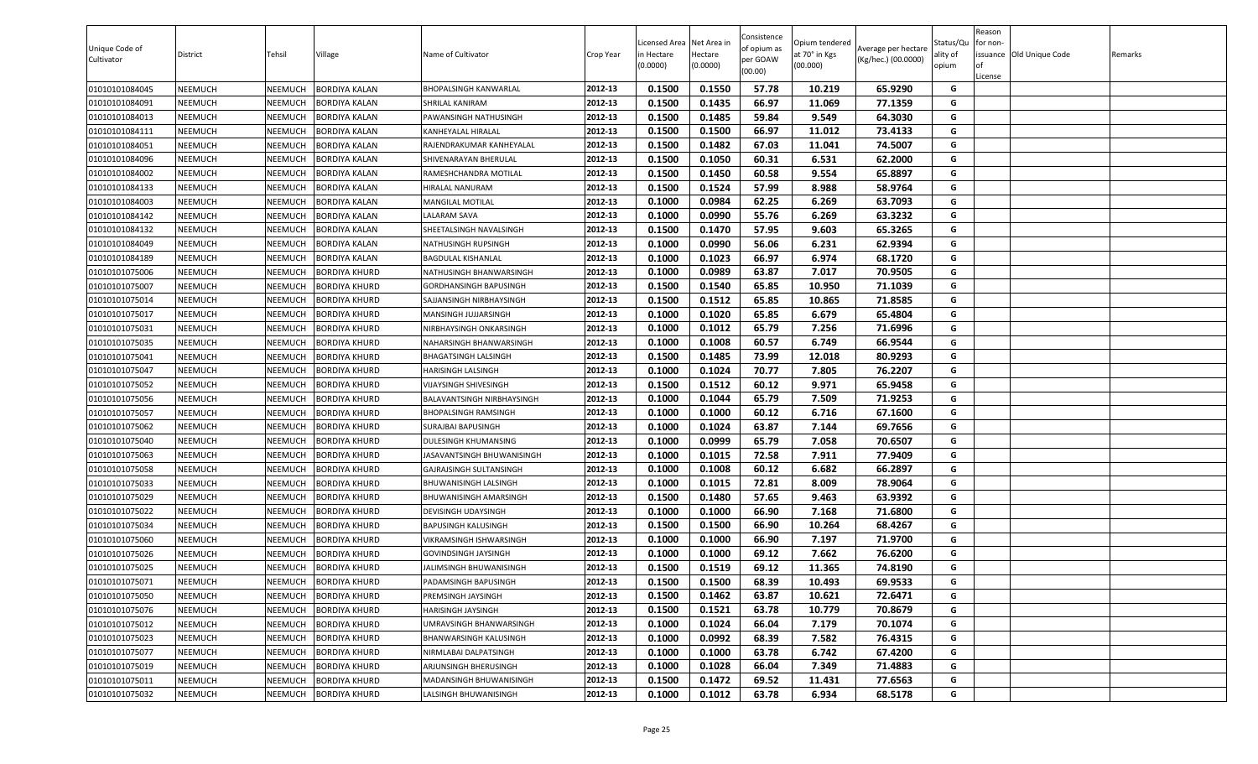| Unique Code of<br>Cultivator | District | Tehsil  | Village              | Name of Cultivator          | <b>Crop Year</b> | Licensed Area Net Area in<br>in Hectare<br>(0.0000) | Hectare<br>(0.0000) | Consistence<br>of opium as<br>per GOAW<br>(00.00) | Opium tendered<br>at 70° in Kgs<br>(00.000) | Average per hectare<br>(Kg/hec.) (00.0000) | Status/Qu<br>ality of<br>opium | Reason<br>for non-<br><b>of</b><br>License | issuance Old Unique Code | Remarks |
|------------------------------|----------|---------|----------------------|-----------------------------|------------------|-----------------------------------------------------|---------------------|---------------------------------------------------|---------------------------------------------|--------------------------------------------|--------------------------------|--------------------------------------------|--------------------------|---------|
| 01010101084045               | NEEMUCH  | NEEMUCH | <b>BORDIYA KALAN</b> | BHOPALSINGH KANWARLAL       | 2012-13          | 0.1500                                              | 0.1550              | 57.78                                             | 10.219                                      | 65.9290                                    | G                              |                                            |                          |         |
| 01010101084091               | NEEMUCH  | NEEMUCH | <b>BORDIYA KALAN</b> | <b>SHRILAL KANIRAM</b>      | 2012-13          | 0.1500                                              | 0.1435              | 66.97                                             | 11.069                                      | 77.1359                                    | G                              |                                            |                          |         |
| 01010101084013               | NEEMUCH  | NEEMUCH | <b>BORDIYA KALAN</b> | PAWANSINGH NATHUSINGH       | 2012-13          | 0.1500                                              | 0.1485              | 59.84                                             | 9.549                                       | 64.3030                                    | G                              |                                            |                          |         |
| 01010101084111               | NEEMUCH  | NEEMUCH | 3ORDIYA KALAN        | KANHEYALAL HIRALAL          | 2012-13          | 0.1500                                              | 0.1500              | 66.97                                             | 11.012                                      | 73.4133                                    | G                              |                                            |                          |         |
| 01010101084051               | NEEMUCH  | NEEMUCH | 3ORDIYA KALAN        | RAJENDRAKUMAR KANHEYALAL    | 2012-13          | 0.1500                                              | 0.1482              | 67.03                                             | 11.041                                      | 74.5007                                    | G                              |                                            |                          |         |
| 01010101084096               | NEEMUCH  | NEEMUCH | <b>BORDIYA KALAN</b> | SHIVENARAYAN BHERULAL       | 2012-13          | 0.1500                                              | 0.1050              | 60.31                                             | 6.531                                       | 62.2000                                    | G                              |                                            |                          |         |
| 01010101084002               | NEEMUCH  | NEEMUCH | <b>BORDIYA KALAN</b> | RAMESHCHANDRA MOTILAL       | 2012-13          | 0.1500                                              | 0.1450              | 60.58                                             | 9.554                                       | 65.8897                                    | G                              |                                            |                          |         |
| 01010101084133               | NEEMUCH  | NEEMUCH | BORDIYA KALAN        | HIRALAL NANURAM             | 2012-13          | 0.1500                                              | 0.1524              | 57.99                                             | 8.988                                       | 58.9764                                    | G                              |                                            |                          |         |
| 01010101084003               | NEEMUCH  | NEEMUCH | 3ORDIYA KALAN        | MANGILAL MOTILAL            | 2012-13          | 0.1000                                              | 0.0984              | 62.25                                             | 6.269                                       | 63.7093                                    | G                              |                                            |                          |         |
| 01010101084142               | NEEMUCH  | NEEMUCH | <b>BORDIYA KALAN</b> | <b>ALARAM SAVA</b>          | 2012-13          | 0.1000                                              | 0.0990              | 55.76                                             | 6.269                                       | 63.3232                                    | G                              |                                            |                          |         |
| 01010101084132               | NEEMUCH  | NEEMUCH | <b>BORDIYA KALAN</b> | SHEETALSINGH NAVALSINGH     | 2012-13          | 0.1500                                              | 0.1470              | 57.95                                             | 9.603                                       | 65.3265                                    | G                              |                                            |                          |         |
| 01010101084049               | NEEMUCH  | NEEMUCH | BORDIYA KALAN        | NATHUSINGH RUPSINGH         | 2012-13          | 0.1000                                              | 0.0990              | 56.06                                             | 6.231                                       | 62.9394                                    | G                              |                                            |                          |         |
| 01010101084189               | NEEMUCH  | NEEMUCH | 3ORDIYA KALAN        | BAGDULAL KISHANLAL          | 2012-13          | 0.1000                                              | 0.1023              | 66.97                                             | 6.974                                       | 68.1720                                    | G                              |                                            |                          |         |
| 01010101075006               | NEEMUCH  | NEEMUCH | 3ORDIYA KHURD        | NATHUSINGH BHANWARSINGH     | 2012-13          | 0.1000                                              | 0.0989              | 63.87                                             | 7.017                                       | 70.9505                                    | G                              |                                            |                          |         |
| 01010101075007               | NEEMUCH  | NEEMUCH | BORDIYA KHURD        | GORDHANSINGH BAPUSINGH      | 2012-13          | 0.1500                                              | 0.1540              | 65.85                                             | 10.950                                      | 71.1039                                    | G                              |                                            |                          |         |
| 01010101075014               | NEEMUCH  | NEEMUCH | BORDIYA KHURD        | SAJJANSINGH NIRBHAYSINGH    | 2012-13          | 0.1500                                              | 0.1512              | 65.85                                             | 10.865                                      | 71.8585                                    | G                              |                                            |                          |         |
| 01010101075017               | NEEMUCH  | NEEMUCH | 3ORDIYA KHURD        | MANSINGH JUJJARSINGH        | 2012-13          | 0.1000                                              | 0.1020              | 65.85                                             | 6.679                                       | 65.4804                                    | G                              |                                            |                          |         |
| 01010101075031               | NEEMUCH  | NEEMUCH | 3ORDIYA KHURD        | NIRBHAYSINGH ONKARSINGH     | 2012-13          | 0.1000                                              | 0.1012              | 65.79                                             | 7.256                                       | 71.6996                                    | G                              |                                            |                          |         |
| 01010101075035               | NEEMUCH  | NEEMUCH | <b>BORDIYA KHURD</b> | NAHARSINGH BHANWARSINGH     | 2012-13          | 0.1000                                              | 0.1008              | 60.57                                             | 6.749                                       | 66.9544                                    | G                              |                                            |                          |         |
| 01010101075041               | NEEMUCH  | NEEMUCH | 3ORDIYA KHURD        | <b>BHAGATSINGH LALSINGH</b> | 2012-13          | 0.1500                                              | 0.1485              | 73.99                                             | 12.018                                      | 80.9293                                    | G                              |                                            |                          |         |
| 01010101075047               | NEEMUCH  | NEEMUCH | <b>BORDIYA KHURD</b> | HARISINGH LALSINGH          | 2012-13          | 0.1000                                              | 0.1024              | 70.77                                             | 7.805                                       | 76.2207                                    | G                              |                                            |                          |         |
| 01010101075052               | NEEMUCH  | NEEMUCH | 3ORDIYA KHURD        | VIJAYSINGH SHIVESINGH       | 2012-13          | 0.1500                                              | 0.1512              | 60.12                                             | 9.971                                       | 65.9458                                    | G                              |                                            |                          |         |
| 01010101075056               | NEEMUCH  | NEEMUCH | 3ORDIYA KHURD        | BALAVANTSINGH NIRBHAYSINGH  | 2012-13          | 0.1000                                              | 0.1044              | 65.79                                             | 7.509                                       | 71.9253                                    | G                              |                                            |                          |         |
| 01010101075057               | NEEMUCH  | NEEMUCH | BORDIYA KHURD        | BHOPALSINGH RAMSINGH        | 2012-13          | 0.1000                                              | 0.1000              | 60.12                                             | 6.716                                       | 67.1600                                    | G                              |                                            |                          |         |
| 01010101075062               | NEEMUCH  | NEEMUCH | BORDIYA KHURD        | SURAJBAI BAPUSINGH          | 2012-13          | 0.1000                                              | 0.1024              | 63.87                                             | 7.144                                       | 69.7656                                    | G                              |                                            |                          |         |
| 01010101075040               | NEEMUCH  | NEEMUCH | 3ORDIYA KHURD        | DULESINGH KHUMANSING        | 2012-13          | 0.1000                                              | 0.0999              | 65.79                                             | 7.058                                       | 70.6507                                    | G                              |                                            |                          |         |
| 01010101075063               | NEEMUCH  | NEEMUCH | 3ORDIYA KHURD        | JASAVANTSINGH BHUWANISINGH  | 2012-13          | 0.1000                                              | 0.1015              | 72.58                                             | 7.911                                       | 77.9409                                    | G                              |                                            |                          |         |
| 01010101075058               | NEEMUCH  | NEEMUCH | BORDIYA KHURD        | GAJRAJSINGH SULTANSINGH     | 2012-13          | 0.1000                                              | 0.1008              | 60.12                                             | 6.682                                       | 66.2897                                    | G                              |                                            |                          |         |
| 01010101075033               | NEEMUCH  | NEEMUCH | BORDIYA KHURD        | BHUWANISINGH LALSINGH       | 2012-13          | 0.1000                                              | 0.1015              | 72.81                                             | 8.009                                       | 78.9064                                    | G                              |                                            |                          |         |
| 01010101075029               | NEEMUCH  | NEEMUCH | 3ORDIYA KHURD        | BHUWANISINGH AMARSINGH      | 2012-13          | 0.1500                                              | 0.1480              | 57.65                                             | 9.463                                       | 63.9392                                    | G                              |                                            |                          |         |
| 01010101075022               | NEEMUCH  | NEEMUCH | BORDIYA KHURD        | DEVISINGH UDAYSINGH         | 2012-13          | 0.1000                                              | 0.1000              | 66.90                                             | 7.168                                       | 71.6800                                    | G                              |                                            |                          |         |
| 01010101075034               | NEEMUCH  | NEEMUCH | BORDIYA KHURD        | BAPUSINGH KALUSINGH         | 2012-13          | 0.1500                                              | 0.1500              | 66.90                                             | 10.264                                      | 68.4267                                    | G                              |                                            |                          |         |
| 01010101075060               | NEEMUCH  | NEEMUCH | BORDIYA KHURD        | VIKRAMSINGH ISHWARSINGH     | 2012-13          | 0.1000                                              | 0.1000              | 66.90                                             | 7.197                                       | 71.9700                                    | G                              |                                            |                          |         |
| 01010101075026               | NEEMUCH  | NEEMUCH | 3ORDIYA KHURD        | GOVINDSINGH JAYSINGH        | 2012-13          | 0.1000                                              | 0.1000              | 69.12                                             | 7.662                                       | 76.6200                                    | G                              |                                            |                          |         |
| 01010101075025               | NEEMUCH  | NEEMUCH | <b>BORDIYA KHURD</b> | JALIMSINGH BHUWANISINGH     | 2012-13          | 0.1500                                              | 0.1519              | 69.12                                             | 11.365                                      | 74.8190                                    | G                              |                                            |                          |         |
| 01010101075071               | NEEMUCH  | NEEMUCH | <b>BORDIYA KHURD</b> | PADAMSINGH BAPUSINGH        | 2012-13          | 0.1500                                              | 0.1500              | 68.39                                             | 10.493                                      | 69.9533                                    | G                              |                                            |                          |         |
| 01010101075050               | NEEMUCH  | NEEMUCH | BORDIYA KHURD        | PREMSINGH JAYSINGH          | 2012-13          | 0.1500                                              | 0.1462              | 63.87                                             | 10.621                                      | 72.6471                                    | G                              |                                            |                          |         |
| 01010101075076               | NEEMUCH  | NEEMUCH | BORDIYA KHURD        | HARISINGH JAYSINGH          | 2012-13          | 0.1500                                              | 0.1521              | 63.78                                             | 10.779                                      | 70.8679                                    | G                              |                                            |                          |         |
| 01010101075012               | NEEMUCH  | NEEMUCH | <b>BORDIYA KHURD</b> | UMRAVSINGH BHANWARSINGH     | 2012-13          | 0.1000                                              | 0.1024              | 66.04                                             | 7.179                                       | 70.1074                                    | G                              |                                            |                          |         |
| 01010101075023               | NEEMUCH  | NEEMUCH | <b>BORDIYA KHURD</b> | BHANWARSINGH KALUSINGH      | 2012-13          | 0.1000                                              | 0.0992              | 68.39                                             | 7.582                                       | 76.4315                                    | G                              |                                            |                          |         |
| 01010101075077               | NEEMUCH  | NEEMUCH | BORDIYA KHURD        | NIRMLABAI DALPATSINGH       | 2012-13          | 0.1000                                              | 0.1000              | 63.78                                             | 6.742                                       | 67.4200                                    | G                              |                                            |                          |         |
| 01010101075019               | NEEMUCH  | NEEMUCH | BORDIYA KHURD        | ARJUNSINGH BHERUSINGH       | 2012-13          | 0.1000                                              | 0.1028              | 66.04                                             | 7.349                                       | 71.4883                                    | G                              |                                            |                          |         |
| 01010101075011               | NEEMUCH  | NEEMUCH | BORDIYA KHURD        | MADANSINGH BHUWANISINGH     | 2012-13          | 0.1500                                              | 0.1472              | 69.52                                             | 11.431                                      | 77.6563                                    | G                              |                                            |                          |         |
| 01010101075032               | NEEMUCH  | NEEMUCH | <b>BORDIYA KHURD</b> | LALSINGH BHUWANISINGH       | 2012-13          | 0.1000                                              | 0.1012              | 63.78                                             | 6.934                                       | 68.5178                                    | G                              |                                            |                          |         |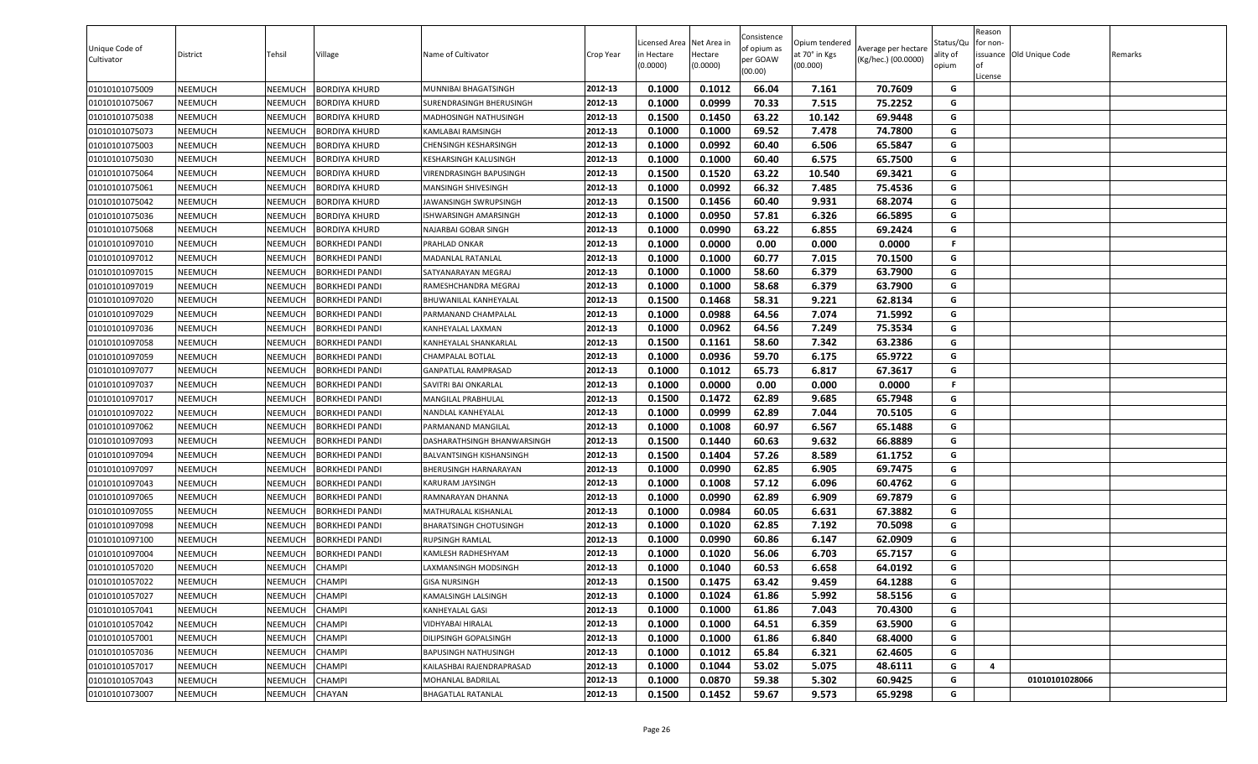| Unique Code of<br>Cultivator | District       | Tehsil         | Village               | Name of Cultivator          | <b>Crop Year</b> | Licensed Area Net Area in<br>in Hectare<br>(0.0000) | Hectare<br>(0.0000) | Consistence<br>of opium as<br>per GOAW<br>(00.00) | Opium tendered<br>at 70° in Kgs<br>(00.000) | Average per hectare<br>(Kg/hec.) (00.0000) | Status/Qu<br>ality of<br>opium | Reason<br>for non-<br>l of<br>License | issuance Old Unique Code | Remarks |
|------------------------------|----------------|----------------|-----------------------|-----------------------------|------------------|-----------------------------------------------------|---------------------|---------------------------------------------------|---------------------------------------------|--------------------------------------------|--------------------------------|---------------------------------------|--------------------------|---------|
| 01010101075009               | <b>NEEMUCH</b> | NEEMUCH        | BORDIYA KHURD         | MUNNIBAI BHAGATSINGH        | 2012-13          | 0.1000                                              | 0.1012              | 66.04                                             | 7.161                                       | 70.7609                                    | G                              |                                       |                          |         |
| 01010101075067               | NEEMUCH        | NEEMUCH        | BORDIYA KHURD         | SURENDRASINGH BHERUSINGH    | 2012-13          | 0.1000                                              | 0.0999              | 70.33                                             | 7.515                                       | 75.2252                                    | G                              |                                       |                          |         |
| 01010101075038               | <b>NEEMUCH</b> | NEEMUCH        | BORDIYA KHURD         | MADHOSINGH NATHUSINGH       | 2012-13          | 0.1500                                              | 0.1450              | 63.22                                             | 10.142                                      | 69.9448                                    | G                              |                                       |                          |         |
| 01010101075073               | NEEMUCH        | NEEMUCH        | BORDIYA KHURD         | KAMLABAI RAMSINGH           | 2012-13          | 0.1000                                              | 0.1000              | 69.52                                             | 7.478                                       | 74.7800                                    | G                              |                                       |                          |         |
| 01010101075003               | <b>NEEMUCH</b> | NEEMUCH        | BORDIYA KHURD         | CHENSINGH KESHARSINGH       | 2012-13          | 0.1000                                              | 0.0992              | 60.40                                             | 6.506                                       | 65.5847                                    | G                              |                                       |                          |         |
| 01010101075030               | <b>NEEMUCH</b> | <b>NEEMUCH</b> | <b>BORDIYA KHURD</b>  | KESHARSINGH KALUSINGH       | 2012-13          | 0.1000                                              | 0.1000              | 60.40                                             | 6.575                                       | 65.7500                                    | G                              |                                       |                          |         |
| 01010101075064               | <b>NEEMUCH</b> | NEEMUCH        | <b>BORDIYA KHURD</b>  | VIRENDRASINGH BAPUSINGH     | 2012-13          | 0.1500                                              | 0.1520              | 63.22                                             | 10.540                                      | 69.3421                                    | G                              |                                       |                          |         |
| 01010101075061               | <b>NEEMUCH</b> | NEEMUCH        | <b>BORDIYA KHURD</b>  | <b>MANSINGH SHIVESINGH</b>  | 2012-13          | 0.1000                                              | 0.0992              | 66.32                                             | 7.485                                       | 75.4536                                    | G                              |                                       |                          |         |
| 01010101075042               | <b>NEEMUCH</b> | NEEMUCH        | BORDIYA KHURD         | JAWANSINGH SWRUPSINGH       | 2012-13          | 0.1500                                              | 0.1456              | 60.40                                             | 9.931                                       | 68.2074                                    | G                              |                                       |                          |         |
| 01010101075036               | <b>NEEMUCH</b> | NEEMUCH        | BORDIYA KHURD         | ISHWARSINGH AMARSINGH       | 2012-13          | 0.1000                                              | 0.0950              | 57.81                                             | 6.326                                       | 66.5895                                    | G                              |                                       |                          |         |
| 01010101075068               | <b>NEEMUCH</b> | NEEMUCH        | BORDIYA KHURD         | NAJARBAI GOBAR SINGH        | 2012-13          | 0.1000                                              | 0.0990              | 63.22                                             | 6.855                                       | 69.2424                                    | G                              |                                       |                          |         |
| 01010101097010               | <b>NEEMUCH</b> | NEEMUCH        | BORKHEDI PANDI        | PRAHLAD ONKAR               | 2012-13          | 0.1000                                              | 0.0000              | 0.00                                              | 0.000                                       | 0.0000                                     | F.                             |                                       |                          |         |
| 01010101097012               | NEEMUCH        | NEEMUCH        | <b>BORKHEDI PANDI</b> | MADANLAL RATANLAL           | 2012-13          | 0.1000                                              | 0.1000              | 60.77                                             | 7.015                                       | 70.1500                                    | G                              |                                       |                          |         |
| 01010101097015               | <b>NEEMUCH</b> | NEEMUCH        | <b>BORKHEDI PANDI</b> | SATYANARAYAN MEGRAJ         | 2012-13          | 0.1000                                              | 0.1000              | 58.60                                             | 6.379                                       | 63.7900                                    | G                              |                                       |                          |         |
| 01010101097019               | <b>NEEMUCH</b> | NEEMUCH        | <b>BORKHEDI PANDI</b> | RAMESHCHANDRA MEGRAJ        | 2012-13          | 0.1000                                              | 0.1000              | 58.68                                             | 6.379                                       | 63.7900                                    | G                              |                                       |                          |         |
| 01010101097020               | <b>NEEMUCH</b> | NEEMUCH        | <b>BORKHEDI PANDI</b> | BHUWANILAL KANHEYALAL       | 2012-13          | 0.1500                                              | 0.1468              | 58.31                                             | 9.221                                       | 62.8134                                    | G                              |                                       |                          |         |
| 01010101097029               | <b>NEEMUCH</b> | NEEMUCH        | BORKHEDI PANDI        | PARMANAND CHAMPALAL         | 2012-13          | 0.1000                                              | 0.0988              | 64.56                                             | 7.074                                       | 71.5992                                    | G                              |                                       |                          |         |
| 01010101097036               | <b>NEEMUCH</b> | NEEMUCH        | BORKHEDI PANDI        | KANHEYALAL LAXMAN           | 2012-13          | 0.1000                                              | 0.0962              | 64.56                                             | 7.249                                       | 75.3534                                    | G                              |                                       |                          |         |
| 01010101097058               | <b>NEEMUCH</b> | NEEMUCH        | BORKHEDI PANDI        | KANHEYALAL SHANKARLAL       | 2012-13          | 0.1500                                              | 0.1161              | 58.60                                             | 7.342                                       | 63.2386                                    | G                              |                                       |                          |         |
| 01010101097059               | NEEMUCH        | NEEMUCH        | <b>BORKHEDI PANDI</b> | CHAMPALAL BOTLAL            | 2012-13          | 0.1000                                              | 0.0936              | 59.70                                             | 6.175                                       | 65.9722                                    | G                              |                                       |                          |         |
| 01010101097077               | NEEMUCH        | NEEMUCH        | BORKHEDI PANDI        | GANPATLAL RAMPRASAD         | 2012-13          | 0.1000                                              | 0.1012              | 65.73                                             | 6.817                                       | 67.3617                                    | G                              |                                       |                          |         |
| 01010101097037               | <b>NEEMUCH</b> | NEEMUCH        | <b>BORKHEDI PANDI</b> | SAVITRI BAI ONKARLAL        | 2012-13          | 0.1000                                              | 0.0000              | 0.00                                              | 0.000                                       | 0.0000                                     | -F                             |                                       |                          |         |
| 01010101097017               | <b>NEEMUCH</b> | NEEMUCH        | BORKHEDI PANDI        | MANGILAL PRABHULAL          | 2012-13          | 0.1500                                              | 0.1472              | 62.89                                             | 9.685                                       | 65.7948                                    | G                              |                                       |                          |         |
| 01010101097022               | <b>NEEMUCH</b> | NEEMUCH        | <b>BORKHEDI PANDI</b> | NANDLAL KANHEYALAL          | 2012-13          | 0.1000                                              | 0.0999              | 62.89                                             | 7.044                                       | 70.5105                                    | G                              |                                       |                          |         |
| 01010101097062               | <b>NEEMUCH</b> | NEEMUCH        | <b>BORKHEDI PANDI</b> | PARMANAND MANGILAL          | 2012-13          | 0.1000                                              | 0.1008              | 60.97                                             | 6.567                                       | 65.1488                                    | G                              |                                       |                          |         |
| 01010101097093               | <b>NEEMUCH</b> | NEEMUCH        | BORKHEDI PANDI        | DASHARATHSINGH BHANWARSINGH | 2012-13          | 0.1500                                              | 0.1440              | 60.63                                             | 9.632                                       | 66.8889                                    | G                              |                                       |                          |         |
| 01010101097094               | NEEMUCH        | NEEMUCH        | BORKHEDI PANDI        | BALVANTSINGH KISHANSINGH    | 2012-13          | 0.1500                                              | 0.1404              | 57.26                                             | 8.589                                       | 61.1752                                    | G                              |                                       |                          |         |
| 01010101097097               | <b>NEEMUCH</b> | NEEMUCH        | <b>BORKHEDI PANDI</b> | BHERUSINGH HARNARAYAN       | 2012-13          | 0.1000                                              | 0.0990              | 62.85                                             | 6.905                                       | 69.7475                                    | G                              |                                       |                          |         |
| 01010101097043               | <b>NEEMUCH</b> | <b>NEEMUCH</b> | <b>BORKHEDI PANDI</b> | KARURAM JAYSINGH            | 2012-13          | 0.1000                                              | 0.1008              | 57.12                                             | 6.096                                       | 60.4762                                    | G                              |                                       |                          |         |
| 01010101097065               | NEEMUCH        | NEEMUCH        | <b>BORKHEDI PANDI</b> | RAMNARAYAN DHANNA           | 2012-13          | 0.1000                                              | 0.0990              | 62.89                                             | 6.909                                       | 69.7879                                    | G                              |                                       |                          |         |
| 01010101097055               | <b>NEEMUCH</b> | NEEMUCH        | <b>BORKHEDI PANDI</b> | MATHURALAL KISHANLAL        | 2012-13          | 0.1000                                              | 0.0984              | 60.05                                             | 6.631                                       | 67.3882                                    | G                              |                                       |                          |         |
| 01010101097098               | <b>NEEMUCH</b> | NEEMUCH        | <b>BORKHEDI PANDI</b> | BHARATSINGH CHOTUSINGH      | 2012-13          | 0.1000                                              | 0.1020              | 62.85                                             | 7.192                                       | 70.5098                                    | G                              |                                       |                          |         |
| 01010101097100               | <b>NEEMUCH</b> | NEEMUCH        | <b>BORKHEDI PANDI</b> | RUPSINGH RAMLAL             | 2012-13          | 0.1000                                              | 0.0990              | 60.86                                             | 6.147                                       | 62.0909                                    | G                              |                                       |                          |         |
| 01010101097004               | <b>NEEMUCH</b> | NEEMUCH        | BORKHEDI PANDI        | KAMLESH RADHESHYAM          | 2012-13          | 0.1000                                              | 0.1020              | 56.06                                             | 6.703                                       | 65.7157                                    | G                              |                                       |                          |         |
| 01010101057020               | <b>NEEMUCH</b> | NEEMUCH        | CHAMPI                | LAXMANSINGH MODSINGH        | 2012-13          | 0.1000                                              | 0.1040              | 60.53                                             | 6.658                                       | 64.0192                                    | G                              |                                       |                          |         |
| 01010101057022               | <b>NEEMUCH</b> | <b>NEEMUCH</b> | <b>CHAMPI</b>         | <b>GISA NURSINGH</b>        | 2012-13          | 0.1500                                              | 0.1475              | 63.42                                             | 9.459                                       | 64.1288                                    | G                              |                                       |                          |         |
| 01010101057027               | <b>NEEMUCH</b> | NEEMUCH        | <b>CHAMPI</b>         | KAMALSINGH LALSINGH         | 2012-13          | 0.1000                                              | 0.1024              | 61.86                                             | 5.992                                       | 58.5156                                    | G                              |                                       |                          |         |
| 01010101057041               | NEEMUCH        | NEEMUCH        | CHAMPI                | KANHEYALAL GASI             | 2012-13          | 0.1000                                              | 0.1000              | 61.86                                             | 7.043                                       | 70.4300                                    | G                              |                                       |                          |         |
| 01010101057042               | <b>NEEMUCH</b> | NEEMUCH        | <b>CHAMPI</b>         | VIDHYABAI HIRALAL           | 2012-13          | 0.1000                                              | 0.1000              | 64.51                                             | 6.359                                       | 63.5900                                    | G                              |                                       |                          |         |
| 01010101057001               | <b>NEEMUCH</b> | NEEMUCH        | <b>CHAMPI</b>         | DILIPSINGH GOPALSINGH       | 2012-13          | 0.1000                                              | 0.1000              | 61.86                                             | 6.840                                       | 68.4000                                    | G                              |                                       |                          |         |
| 01010101057036               | <b>NEEMUCH</b> | NEEMUCH        | <b>CHAMPI</b>         | BAPUSINGH NATHUSINGH        | 2012-13          | 0.1000                                              | 0.1012              | 65.84                                             | 6.321                                       | 62.4605                                    | G                              |                                       |                          |         |
| 01010101057017               | <b>NEEMUCH</b> | NEEMUCH        | <b>CHAMPI</b>         | KAILASHBAI RAJENDRAPRASAD   | 2012-13          | 0.1000                                              | 0.1044              | 53.02                                             | 5.075                                       | 48.6111                                    | G                              | 4                                     |                          |         |
| 01010101057043               | <b>NEEMUCH</b> | NEEMUCH        | <b>CHAMPI</b>         | MOHANLAL BADRILAL           | 2012-13          | 0.1000                                              | 0.0870              | 59.38                                             | 5.302                                       | 60.9425                                    | G                              |                                       | 01010101028066           |         |
| 01010101073007               | <b>NEEMUCH</b> | NEEMUCH        | CHAYAN                | <b>BHAGATLAL RATANLAL</b>   | 2012-13          | 0.1500                                              | 0.1452              | 59.67                                             | 9.573                                       | 65.9298                                    | G                              |                                       |                          |         |
|                              |                |                |                       |                             |                  |                                                     |                     |                                                   |                                             |                                            |                                |                                       |                          |         |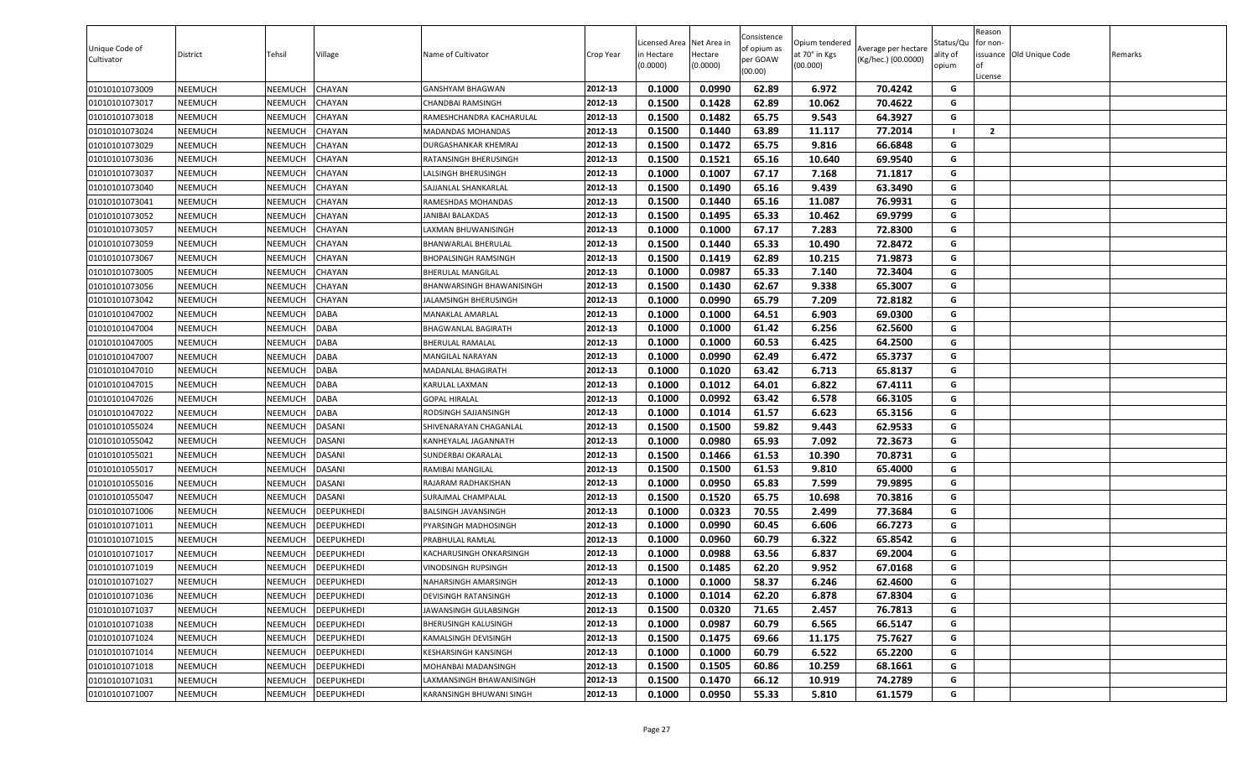| (Kg/hec.) (00.0000)<br>per GOAW<br>Cultivator<br>(00.000)<br>(0.0000)<br>(0.0000)<br>(00.00)                                                      | ality of<br>opium | lof<br>License | for non-<br>issuance Old Unique Code | Remarks |
|---------------------------------------------------------------------------------------------------------------------------------------------------|-------------------|----------------|--------------------------------------|---------|
| 0.1000<br>0.0990<br>62.89<br>70.4242<br>01010101073009<br>NEEMUCH<br>NEEMUCH<br>CHAYAN<br>2012-13<br>6.972<br>GANSHYAM BHAGWAN                    | G                 |                |                                      |         |
| 0.1500<br>0.1428<br>62.89<br>10.062<br>70.4622<br>01010101073017<br>NEEMUCH<br>NEEMUCH<br><b>HAYAN</b><br>2012-13<br>CHANDBAI RAMSINGH            | G                 |                |                                      |         |
| 01010101073018<br>NEEMUCH<br>NEEMUCH<br>CHAYAN<br>2012-13<br>0.1500<br>0.1482<br>65.75<br>9.543<br>64.3927<br>RAMESHCHANDRA KACHARULAL            | G                 |                |                                      |         |
| 0.1500<br>0.1440<br>63.89<br>77.2014<br><b>VEEMUCH</b><br><b>HAYAN</b><br>2012-13<br>11.117<br>01010101073024<br>NEEMUCH<br>MADANDAS MOHANDAS     | - 1               | $\overline{2}$ |                                      |         |
| 65.75<br>0.1500<br>0.1472<br>9.816<br>66.6848<br>01010101073029<br>NEEMUCH<br>NEEMUCH<br>CHAYAN<br>2012-13<br><b>DURGASHANKAR KHEMRAJ</b>         | G                 |                |                                      |         |
| 2012-13<br>0.1521<br>65.16<br>69.9540<br>CHAYAN<br>0.1500<br>10.640<br>01010101073036<br>NEEMUCH<br>NEEMUCH<br>RATANSINGH BHERUSINGH              | G                 |                |                                      |         |
| 2012-13<br>0.1000<br>0.1007<br>67.17<br>7.168<br>71.1817<br>01010101073037<br>NEEMUCH<br>NEEMUCH<br>CHAYAN<br>ALSINGH BHERUSINGH                  | G                 |                |                                      |         |
| 2012-13<br>0.1500<br>0.1490<br>65.16<br>9.439<br>01010101073040<br>NEEMUCH<br>NEEMUCH<br>CHAYAN<br>SAJJANLAL SHANKARLAL<br>63.3490                | G                 |                |                                      |         |
| 2012-13<br>0.1500<br>0.1440<br>65.16<br>76.9931<br>01010101073041<br>NEEMUCH<br>NEEMUCH<br><b>HAYAN</b><br>RAMESHDAS MOHANDAS<br>11.087           | G                 |                |                                      |         |
| NEEMUCH<br>0.1500<br>0.1495<br>65.33<br>10.462<br>69.9799<br>01010101073052<br>NEEMUCH<br><b>HAYAN</b><br>2012-13<br>JANIBAI BALAKDAS             | G                 |                |                                      |         |
| 0.1000<br>67.17<br>7.283<br>72.8300<br>01010101073057<br>NEEMUCH<br>NEEMUCH<br>CHAYAN<br>2012-13<br>0.1000<br>AXMAN BHUWANISINGH                  | G                 |                |                                      |         |
| 65.33<br>NEEMUCH<br>CHAYAN<br>2012-13<br>0.1500<br>0.1440<br>10.490<br>72.8472<br>01010101073059<br>NEEMUCH<br>BHANWARLAL BHERULAL                | G                 |                |                                      |         |
| 62.89<br>0.1500<br>0.1419<br>10.215<br>71.9873<br>01010101073067<br>NEEMUCH<br>NEEMUCH<br>CHAYAN<br>2012-13<br>BHOPALSINGH RAMSINGH               | G                 |                |                                      |         |
| 0.0987<br>65.33<br>7.140<br>72.3404<br>CHAYAN<br>2012-13<br>0.1000<br>01010101073005<br>NEEMUCH<br>NEEMUCH<br>BHERULAL MANGILAL                   | G                 |                |                                      |         |
| NEEMUCH<br>0.1500<br>0.1430<br>62.67<br>9.338<br>65.3007<br>01010101073056<br>NEEMUCH<br>CHAYAN<br>2012-13<br><b>BHANWARSINGH BHAWANISINGH</b>    | G                 |                |                                      |         |
| 0.0990<br>0.1000<br>65.79<br>7.209<br>72.8182<br>01010101073042<br>NEEMUCH<br>NEEMUCH<br>CHAYAN<br>JALAMSINGH BHERUSINGH<br>2012-13               | G                 |                |                                      |         |
| 0.1000<br>0.1000<br>64.51<br>6.903<br>69.0300<br>DABA<br>2012-13<br>01010101047002<br>NEEMUCH<br>NEEMUCH<br>MANAKLAL AMARLAL                      | G                 |                |                                      |         |
| 2012-13<br>0.1000<br>0.1000<br>61.42<br>6.256<br>62.5600<br>01010101047004<br>NEEMUCH<br>NEEMUCH<br>DABA<br>BHAGWANLAL BAGIRATH                   | G                 |                |                                      |         |
| 2012-13<br>0.1000<br>0.1000<br>60.53<br>6.425<br>64.2500<br>01010101047005<br>NEEMUCH<br>NEEMUCH<br>DABA<br>BHERULAL RAMALAL                      | G                 |                |                                      |         |
| 2012-13<br>0.0990<br>01010101047007<br>NEEMUCH<br>NEEMUCH<br>DABA<br>0.1000<br>62.49<br>6.472<br>65.3737<br>MANGILAL NARAYAN                      | G                 |                |                                      |         |
| 0.1000<br>63.42<br>6.713<br>65.8137<br>NEEMUCH<br>DABA<br>2012-13<br>0.1020<br>01010101047010<br>NEEMUCH<br>MADANLAL BHAGIRATH                    | G                 |                |                                      |         |
| 6.822<br>0.1000<br>0.1012<br>64.01<br>67.4111<br>01010101047015<br>NEEMUCH<br>NEEMUCH<br><b>DABA</b><br>2012-13<br><b><i>KARULAL LAXMAN</i></b>   | G                 |                |                                      |         |
| NEEMUCH<br>DABA<br>2012-13<br>0.1000<br>0.0992<br>63.42<br>6.578<br>66.3105<br>01010101047026<br>NEEMUCH<br><b>GOPAL HIRALAL</b>                  | G                 |                |                                      |         |
| 61.57<br>6.623<br>01010101047022<br>NEEMUCH<br>NEEMUCH<br>DABA<br>2012-13<br>0.1000<br>0.1014<br>65.3156<br>RODSINGH SAJJANSINGH                  | G                 |                |                                      |         |
| 0.1500<br>59.82<br>9.443<br>62.9533<br>NEEMUCH<br>NEEMUCH<br><b>DASANI</b><br>2012-13<br>0.1500<br>01010101055024<br>SHIVENARAYAN CHAGANLAL       | G                 |                |                                      |         |
| 0.1000<br>0.0980<br>65.93<br>7.092<br>72.3673<br>01010101055042<br>NEEMUCH<br>NEEMUCH<br>DASANI<br>2012-13<br>KANHEYALAL JAGANNATH                | G                 |                |                                      |         |
| 01010101055021<br>NEEMUCH<br>0.1500<br>0.1466<br>61.53<br>10.390<br>70.8731<br>NEEMUCH<br><b>DASANI</b><br>2012-13<br>SUNDERBAI OKARALAL          | G                 |                |                                      |         |
| 61.53<br>01010101055017<br>NEEMUCH<br>NEEMUCH<br><b>DASANI</b><br>2012-13<br>0.1500<br>0.1500<br>9.810<br>65.4000<br>RAMIBAI MANGILAL             | G                 |                |                                      |         |
| 2012-13<br>0.1000<br>0.0950<br>65.83<br>7.599<br>NEEMUCH<br>DASANI<br>79.9895<br>01010101055016<br>NEEMUCH<br>RAJARAM RADHAKISHAN                 | G                 |                |                                      |         |
| 65.75<br>2012-13<br>0.1500<br>0.1520<br>10.698<br>70.3816<br>01010101055047<br>NEEMUCH<br>NEEMUCH<br>DASANI<br>SURAJMAL CHAMPALAL                 | G                 |                |                                      |         |
| 2012-13<br>0.0323<br>70.55<br>77.3684<br>NEEMUCH<br><b>DEEPUKHEDI</b><br>0.1000<br>2.499<br>01010101071006<br>NEEMUCH<br>BALSINGH JAVANSINGH      | G                 |                |                                      |         |
| NEEMUCH<br>2012-13<br>0.1000<br>0.0990<br>60.45<br>6.606<br>66.7273<br>01010101071011<br>NEEMUCH<br>DEEPUKHEDI<br>PYARSINGH MADHOSINGH            | G                 |                |                                      |         |
| 0.0960<br>60.79<br>6.322<br>65.8542<br>NEEMUCH<br>NEEMUCH<br>DEEPUKHEDI<br>2012-13<br>0.1000<br>01010101071015<br>PRABHULAL RAMLAL                | G                 |                |                                      |         |
| 0.0988<br>63.56<br>6.837<br>69.2004<br>01010101071017<br>NEEMUCH<br>NEEMUCH<br>DEEPUKHEDI<br>2012-13<br>0.1000<br>KACHARUSINGH ONKARSINGH         | G                 |                |                                      |         |
| 01010101071019<br>DEEPUKHEDI<br>0.1500<br>0.1485<br>62.20<br>9.952<br>67.0168<br>NEEMUCH<br>NEEMUCH<br>2012-13<br>VINODSINGH RUPSINGH             | G                 |                |                                      |         |
| 01010101071027<br>NEEMUCH<br>DEEPUKHEDI<br>2012-13<br>0.1000<br>0.1000<br>58.37<br>6.246<br>62.4600<br>NEEMUCH<br>NAHARSINGH AMARSINGH            | G                 |                |                                      |         |
| 2012-13<br>0.1000<br>0.1014<br>62.20<br>6.878<br>67.8304<br>01010101071036<br>NEEMUCH<br>NEEMUCH<br><b>DEEPUKHEDI</b><br>DEVISINGH RATANSINGH     | G                 |                |                                      |         |
| 71.65<br>0.1500<br>0.0320<br>2.457<br>76.7813<br>01010101071037<br>NEEMUCH<br>NEEMUCH<br><b>DEEPUKHEDI</b><br>2012-13<br>JAWANSINGH GULABSINGH    | G                 |                |                                      |         |
| 60.79<br>6.565<br>66.5147<br>NEEMUCH<br>DEEPUKHEDI<br>2012-13<br>0.1000<br>0.0987<br>01010101071038<br>NEEMUCH<br>BHERUSINGH KALUSINGH            | G                 |                |                                      |         |
| 01010101071024<br>NEEMUCH<br>DEEPUKHEDI<br>2012-13<br>0.1500<br>0.1475<br>69.66<br>11.175<br>75.7627<br>NEEMUCH<br>KAMALSINGH DEVISINGH           | G                 |                |                                      |         |
| 2012-13<br>0.1000<br>60.79<br>6.522<br>65.2200<br>01010101071014<br>NEEMUCH<br>NEEMUCH<br>DEEPUKHEDI<br>KESHARSINGH KANSINGH<br>0.1000            | G                 |                |                                      |         |
| DEEPUKHEDI<br>2012-13<br>0.1500<br>0.1505<br>60.86<br>10.259<br>68.1661<br>01010101071018<br>NEEMUCH<br>NEEMUCH<br>MOHANBAI MADANSINGH            | G                 |                |                                      |         |
| 01010101071031<br>DEEPUKHEDI<br>2012-13<br>0.1500<br>0.1470<br>66.12<br>10.919<br>74.2789<br>NEEMUCH<br>NEEMUCH<br>AXMANSINGH BHAWANISINGH        | G                 |                |                                      |         |
| 01010101071007<br>NEEMUCH<br><b>DEEPUKHEDI</b><br>KARANSINGH BHUWANI SINGH<br>2012-13<br>0.1000<br>0.0950<br>55.33<br>5.810<br>61.1579<br>NEEMUCH | G                 |                |                                      |         |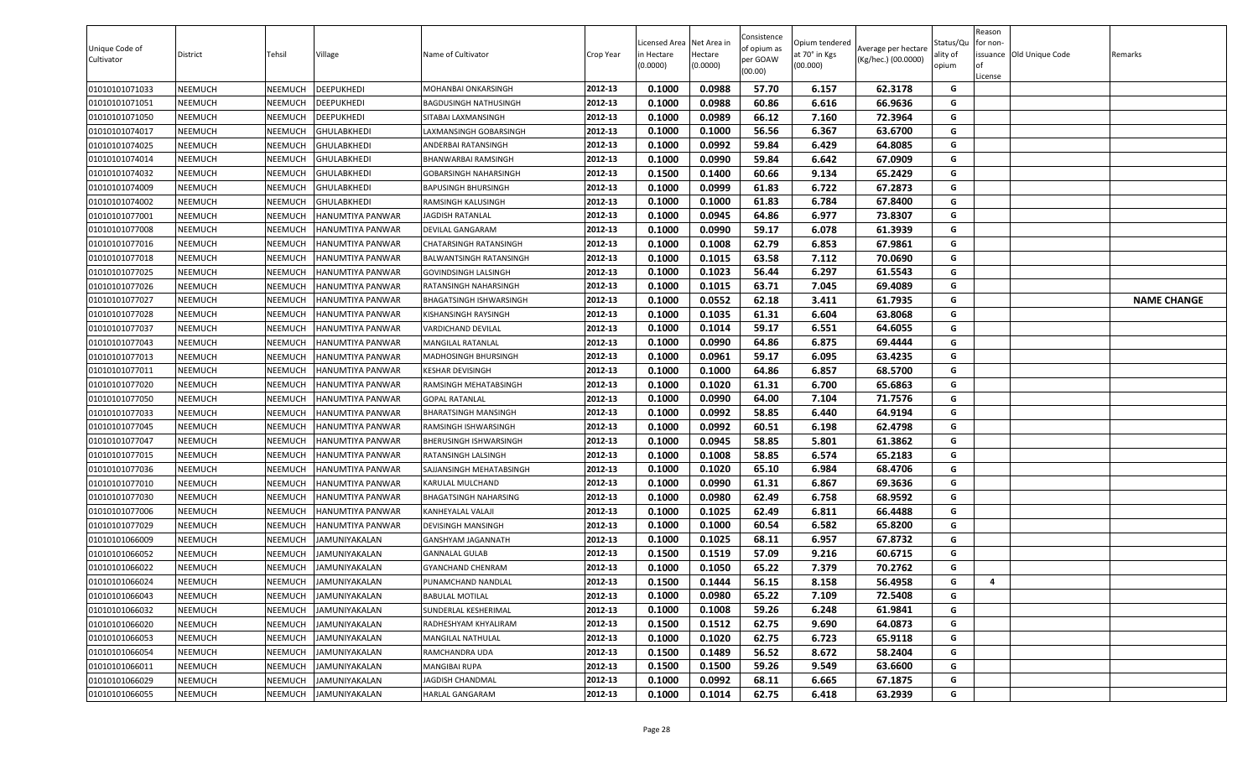| Unique Code of<br>Cultivator | <b>District</b> | Tehsil         | Village              | Name of Cultivator          | Crop Year | icensed Area<br>in Hectare<br>(0.0000) | Net Area in<br>Hectare<br>(0.0000) | Consistence<br>of opium as<br>per GOAW<br>(00.00) | Opium tendered<br>at 70° in Kgs<br>(00.000) | Average per hectare<br>(Kg/hec.) (00.0000) | Status/Qu<br>ality of<br>opium | Reason<br>for non-<br>lof<br>License | issuance Old Unique Code | Remarks            |
|------------------------------|-----------------|----------------|----------------------|-----------------------------|-----------|----------------------------------------|------------------------------------|---------------------------------------------------|---------------------------------------------|--------------------------------------------|--------------------------------|--------------------------------------|--------------------------|--------------------|
| 01010101071033               | <b>NEEMUCH</b>  | NEEMUCH        | DEEPUKHEDI           | MOHANBAI ONKARSINGH         | 2012-13   | 0.1000                                 | 0.0988                             | 57.70                                             | 6.157                                       | 62.3178                                    | G                              |                                      |                          |                    |
| 01010101071051               | NEEMUCH         | NEEMUCH        | DEEPUKHEDI           | BAGDUSINGH NATHUSINGH       | 2012-13   | 0.1000                                 | 0.0988                             | 60.86                                             | 6.616                                       | 66.9636                                    | G                              |                                      |                          |                    |
| 01010101071050               | <b>NEEMUCH</b>  | NEEMUCH        | DEEPUKHEDI           | SITABAI LAXMANSINGH         | 2012-13   | 0.1000                                 | 0.0989                             | 66.12                                             | 7.160                                       | 72.3964                                    | G                              |                                      |                          |                    |
| 01010101074017               | NEEMUCH         | NEEMUCH        | GHULABKHEDI          | AXMANSINGH GOBARSINGH       | 2012-13   | 0.1000                                 | 0.1000                             | 56.56                                             | 6.367                                       | 63.6700                                    | G                              |                                      |                          |                    |
| 01010101074025               | <b>NEEMUCH</b>  | NEEMUCH        | GHULABKHEDI          | ANDERBAI RATANSINGH         | 2012-13   | 0.1000                                 | 0.0992                             | 59.84                                             | 6.429                                       | 64.8085                                    | G                              |                                      |                          |                    |
| 01010101074014               | <b>NEEMUCH</b>  | NEEMUCH        | GHULABKHEDI          | BHANWARBAI RAMSINGH         | 2012-13   | 0.1000                                 | 0.0990                             | 59.84                                             | 6.642                                       | 67.0909                                    | G                              |                                      |                          |                    |
| 01010101074032               | <b>NEEMUCH</b>  | NEEMUCH        | GHULABKHEDI          | GOBARSINGH NAHARSINGH       | 2012-13   | 0.1500                                 | 0.1400                             | 60.66                                             | 9.134                                       | 65.2429                                    | G                              |                                      |                          |                    |
| 01010101074009               | <b>NEEMUCH</b>  | NEEMUCH        | GHULABKHEDI          | <b>BAPUSINGH BHURSINGH</b>  | 2012-13   | 0.1000                                 | 0.0999                             | 61.83                                             | 6.722                                       | 67.2873                                    | G                              |                                      |                          |                    |
| 01010101074002               | <b>NEEMUCH</b>  | NEEMUCH        | GHULABKHEDI          | RAMSINGH KALUSINGH          | 2012-13   | 0.1000                                 | 0.1000                             | 61.83                                             | 6.784                                       | 67.8400                                    | G                              |                                      |                          |                    |
| 01010101077001               | NEEMUCH         | NEEMUCH        | HANUMTIYA PANWAR     | JAGDISH RATANLAL            | 2012-13   | 0.1000                                 | 0.0945                             | 64.86                                             | 6.977                                       | 73.8307                                    | G                              |                                      |                          |                    |
| 01010101077008               | <b>NEEMUCH</b>  | NEEMUCH        | HANUMTIYA PANWAR     | DEVILAL GANGARAM            | 2012-13   | 0.1000                                 | 0.0990                             | 59.17                                             | 6.078                                       | 61.3939                                    | G                              |                                      |                          |                    |
| 01010101077016               | NEEMUCH         | NEEMUCH        | HANUMTIYA PANWAR     | CHATARSINGH RATANSINGH      | 2012-13   | 0.1000                                 | 0.1008                             | 62.79                                             | 6.853                                       | 67.9861                                    | G                              |                                      |                          |                    |
| 01010101077018               | <b>NEEMUCH</b>  | NEEMUCH        | HANUMTIYA PANWAR     | BALWANTSINGH RATANSINGH     | 2012-13   | 0.1000                                 | 0.1015                             | 63.58                                             | 7.112                                       | 70.0690                                    | G                              |                                      |                          |                    |
| 01010101077025               | <b>NEEMUCH</b>  | NEEMUCH        | HANUMTIYA PANWAR     | GOVINDSINGH LALSINGH        | 2012-13   | 0.1000                                 | 0.1023                             | 56.44                                             | 6.297                                       | 61.5543                                    | G                              |                                      |                          |                    |
| 01010101077026               | <b>NEEMUCH</b>  | NEEMUCH        | HANUMTIYA PANWAR     | RATANSINGH NAHARSINGH       | 2012-13   | 0.1000                                 | 0.1015                             | 63.71                                             | 7.045                                       | 69.4089                                    | G                              |                                      |                          |                    |
| 01010101077027               | <b>NEEMUCH</b>  | NEEMUCH        | HANUMTIYA PANWAR     | BHAGATSINGH ISHWARSINGH     | 2012-13   | 0.1000                                 | 0.0552                             | 62.18                                             | 3.411                                       | 61.7935                                    | G                              |                                      |                          | <b>NAME CHANGE</b> |
| 01010101077028               | <b>NEEMUCH</b>  | NEEMUCH        | HANUMTIYA PANWAR     | KISHANSINGH RAYSINGH        | 2012-13   | 0.1000                                 | 0.1035                             | 61.31                                             | 6.604                                       | 63.8068                                    | G                              |                                      |                          |                    |
| 01010101077037               | <b>NEEMUCH</b>  | NEEMUCH        | HANUMTIYA PANWAR     | VARDICHAND DEVILAL          | 2012-13   | 0.1000                                 | 0.1014                             | 59.17                                             | 6.551                                       | 64.6055                                    | G                              |                                      |                          |                    |
| 01010101077043               | <b>NEEMUCH</b>  | NEEMUCH        | HANUMTIYA PANWAR     | MANGILAL RATANLAL           | 2012-13   | 0.1000                                 | 0.0990                             | 64.86                                             | 6.875                                       | 69.4444                                    | G                              |                                      |                          |                    |
| 01010101077013               | <b>NEEMUCH</b>  | NEEMUCH        | HANUMTIYA PANWAR     | MADHOSINGH BHURSINGH        | 2012-13   | 0.1000                                 | 0.0961                             | 59.17                                             | 6.095                                       | 63.4235                                    | G                              |                                      |                          |                    |
| 01010101077011               | NEEMUCH         | NEEMUCH        | HANUMTIYA PANWAR     | KESHAR DEVISINGH            | 2012-13   | 0.1000                                 | 0.1000                             | 64.86                                             | 6.857                                       | 68.5700                                    | G                              |                                      |                          |                    |
| 01010101077020               | <b>NEEMUCH</b>  | NEEMUCH        | HANUMTIYA PANWAR     | RAMSINGH MEHATABSINGH       | 2012-13   | 0.1000                                 | 0.1020                             | 61.31                                             | 6.700                                       | 65.6863                                    | G                              |                                      |                          |                    |
| 01010101077050               | <b>NEEMUCH</b>  | NEEMUCH        | HANUMTIYA PANWAR     | <b>GOPAL RATANLAL</b>       | 2012-13   | 0.1000                                 | 0.0990                             | 64.00                                             | 7.104                                       | 71.7576                                    | G                              |                                      |                          |                    |
| 01010101077033               | <b>NEEMUCH</b>  | NEEMUCH        | HANUMTIYA PANWAR     | <b>BHARATSINGH MANSINGH</b> | 2012-13   | 0.1000                                 | 0.0992                             | 58.85                                             | 6.440                                       | 64.9194                                    | G                              |                                      |                          |                    |
| 01010101077045               | <b>NEEMUCH</b>  | NEEMUCH        | HANUMTIYA PANWAR     | RAMSINGH ISHWARSINGH        | 2012-13   | 0.1000                                 | 0.0992                             | 60.51                                             | 6.198                                       | 62.4798                                    | G                              |                                      |                          |                    |
| 01010101077047               | <b>NEEMUCH</b>  | NEEMUCH        | HANUMTIYA PANWAR     | BHERUSINGH ISHWARSINGH      | 2012-13   | 0.1000                                 | 0.0945                             | 58.85                                             | 5.801                                       | 61.3862                                    | G                              |                                      |                          |                    |
| 01010101077015               | <b>NEEMUCH</b>  | NEEMUCH        | HANUMTIYA PANWAR     | RATANSINGH LALSINGH         | 2012-13   | 0.1000                                 | 0.1008                             | 58.85                                             | 6.574                                       | 65.2183                                    | G                              |                                      |                          |                    |
| 01010101077036               | <b>NEEMUCH</b>  | NEEMUCH        | HANUMTIYA PANWAR     | SAJJANSINGH MEHATABSINGH    | 2012-13   | 0.1000                                 | 0.1020                             | 65.10                                             | 6.984                                       | 68.4706                                    | G                              |                                      |                          |                    |
| 01010101077010               | NEEMUCH         | NEEMUCH        | HANUMTIYA PANWAR     | KARULAL MULCHAND            | 2012-13   | 0.1000                                 | 0.0990                             | 61.31                                             | 6.867                                       | 69.3636                                    | G                              |                                      |                          |                    |
| 01010101077030               | <b>NEEMUCH</b>  | NEEMUCH        | HANUMTIYA PANWAR     | BHAGATSINGH NAHARSING       | 2012-13   | 0.1000                                 | 0.0980                             | 62.49                                             | 6.758                                       | 68.9592                                    | G                              |                                      |                          |                    |
| 01010101077006               | <b>NEEMUCH</b>  | NEEMUCH        | HANUMTIYA PANWAR     | KANHEYALAL VALAJI           | 2012-13   | 0.1000                                 | 0.1025                             | 62.49                                             | 6.811                                       | 66.4488                                    | G                              |                                      |                          |                    |
| 01010101077029               | <b>NEEMUCH</b>  | NEEMUCH        | HANUMTIYA PANWAR     | DEVISINGH MANSINGH          | 2012-13   | 0.1000                                 | 0.1000                             | 60.54                                             | 6.582                                       | 65.8200                                    | G                              |                                      |                          |                    |
| 01010101066009               | <b>NEEMUCH</b>  | NEEMUCH        | JAMUNIYAKALAN        | GANSHYAM JAGANNATH          | 2012-13   | 0.1000                                 | 0.1025                             | 68.11                                             | 6.957                                       | 67.8732                                    | G                              |                                      |                          |                    |
| 01010101066052               | <b>NEEMUCH</b>  | NEEMUCH        | JAMUNIYAKALAN        | <b>GANNALAL GULAB</b>       | 2012-13   | 0.1500                                 | 0.1519                             | 57.09                                             | 9.216                                       | 60.6715                                    | G                              |                                      |                          |                    |
| 01010101066022               | <b>NEEMUCH</b>  | NEEMUCH        | <b>JAMUNIYAKALAN</b> | GYANCHAND CHENRAM           | 2012-13   | 0.1000                                 | 0.1050                             | 65.22                                             | 7.379                                       | 70.2762                                    | G                              |                                      |                          |                    |
| 01010101066024               | <b>NEEMUCH</b>  | <b>NEEMUCH</b> | JAMUNIYAKALAN        | PUNAMCHAND NANDLAL          | 2012-13   | 0.1500                                 | 0.1444                             | 56.15                                             | 8.158                                       | 56.4958                                    | G                              | $\overline{a}$                       |                          |                    |
| 01010101066043               | <b>NEEMUCH</b>  | NEEMUCH        | JAMUNIYAKALAN        | <b>BABULAL MOTILAL</b>      | 2012-13   | 0.1000                                 | 0.0980                             | 65.22                                             | 7.109                                       | 72.5408                                    | G                              |                                      |                          |                    |
| 01010101066032               | <b>NEEMUCH</b>  | NEEMUCH        | JAMUNIYAKALAN        | SUNDERLAL KESHERIMAL        | 2012-13   | 0.1000                                 | 0.1008                             | 59.26                                             | 6.248                                       | 61.9841                                    | G                              |                                      |                          |                    |
| 01010101066020               | <b>NEEMUCH</b>  | NEEMUCH        | JAMUNIYAKALAN        | RADHESHYAM KHYALIRAM        | 2012-13   | 0.1500                                 | 0.1512                             | 62.75                                             | 9.690                                       | 64.0873                                    | G                              |                                      |                          |                    |
| 01010101066053               | <b>NEEMUCH</b>  | NEEMUCH        | JAMUNIYAKALAN        | MANGILAL NATHULAL           | 2012-13   | 0.1000                                 | 0.1020                             | 62.75                                             | 6.723                                       | 65.9118                                    | G                              |                                      |                          |                    |
| 01010101066054               | <b>NEEMUCH</b>  | NEEMUCH        | JAMUNIYAKALAN        | RAMCHANDRA UDA              | 2012-13   | 0.1500                                 | 0.1489                             | 56.52                                             | 8.672                                       | 58.2404                                    | G                              |                                      |                          |                    |
| 01010101066011               | <b>NEEMUCH</b>  | NEEMUCH        | JAMUNIYAKALAN        | MANGIBAI RUPA               | 2012-13   | 0.1500                                 | 0.1500                             | 59.26                                             | 9.549                                       | 63.6600                                    | G                              |                                      |                          |                    |
| 01010101066029               | <b>NEEMUCH</b>  | NEEMUCH        | JAMUNIYAKALAN        | JAGDISH CHANDMAL            | 2012-13   | 0.1000                                 | 0.0992                             | 68.11                                             | 6.665                                       | 67.1875                                    | G                              |                                      |                          |                    |
| 01010101066055               | <b>NEEMUCH</b>  | NEEMUCH        | <b>JAMUNIYAKALAN</b> | HARLAL GANGARAM             | 2012-13   | 0.1000                                 | 0.1014                             | 62.75                                             | 6.418                                       | 63.2939                                    | G                              |                                      |                          |                    |
|                              |                 |                |                      |                             |           |                                        |                                    |                                                   |                                             |                                            |                                |                                      |                          |                    |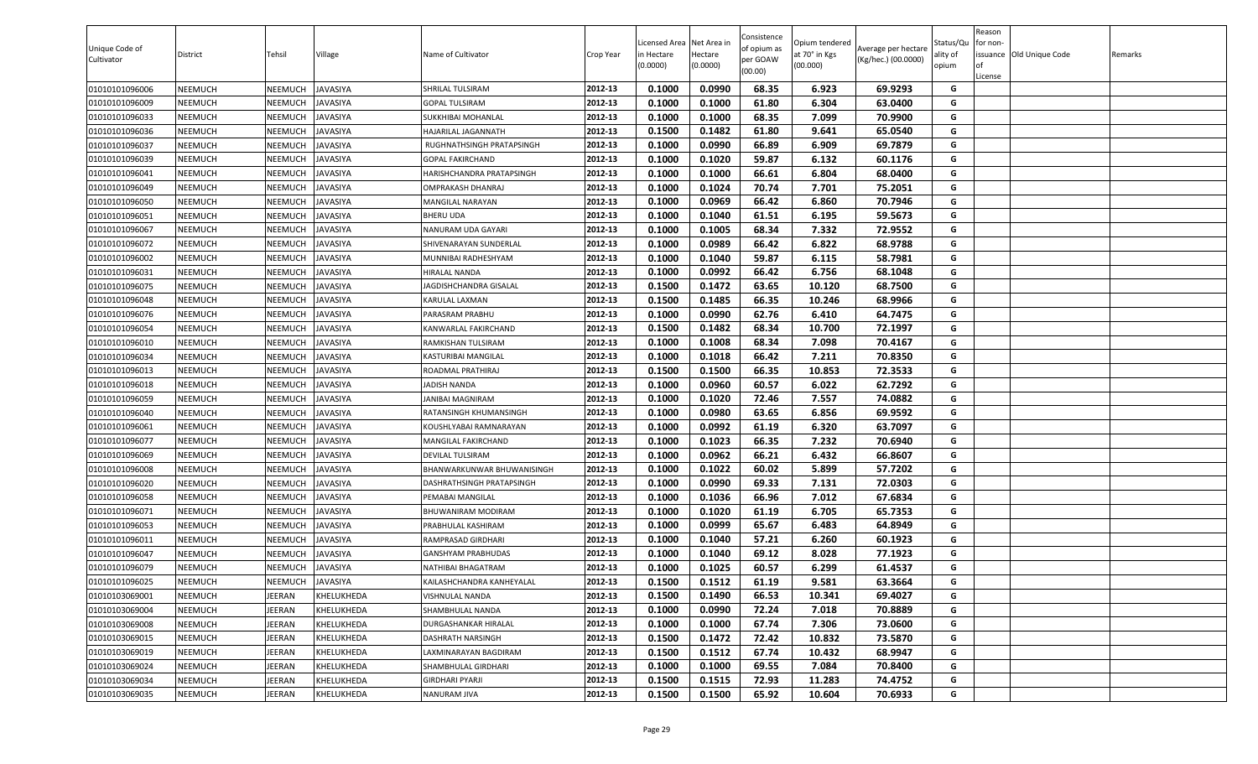| 0.1000<br>0.0990<br>68.35<br>01010101096006<br><b>NEEMUCH</b><br>NEEMUCH<br>JAVASIYA<br>SHRILAL TULSIRAM<br>2012-13<br>6.923<br>69.9293<br>G<br>0.1000<br>0.1000<br>61.80<br>6.304<br>63.0400<br>01010101096009<br>NEEMUCH<br>NEEMUCH<br>JAVASIYA<br>2012-13<br>G<br><b>GOPAL TULSIRAM</b><br>68.35<br>01010101096033<br><b>NEEMUCH</b><br>NEEMUCH<br>JAVASIYA<br>2012-13<br>0.1000<br>0.1000<br>7.099<br>70.9900<br>G<br>SUKKHIBAI MOHANLAL<br>0.1500<br>0.1482<br>61.80<br>01010101096036<br>NEEMUCH<br>NEEMUCH<br>IAVASIYA<br>2012-13<br>9.641<br>65.0540<br>G<br>HAJARILAL JAGANNATH<br>66.89<br>0.1000<br>0.0990<br>6.909<br>69.7879<br>G<br>01010101096037<br><b>NEEMUCH</b><br>NEEMUCH<br>JAVASIYA<br>2012-13<br>RUGHNATHSINGH PRATAPSINGH<br>2012-13<br>0.1020<br>59.87<br>6.132<br>60.1176<br>NEEMUCH<br>0.1000<br>G<br>01010101096039<br>NEEMUCH<br>JAVASIYA<br><b>GOPAL FAKIRCHAND</b><br>2012-13<br>0.1000<br>0.1000<br>66.61<br>6.804<br>68.0400<br>G<br>01010101096041<br><b>NEEMUCH</b><br>NEEMUCH<br><b>JAVASIYA</b><br>HARISHCHANDRA PRATAPSINGH<br>G<br>2012-13<br>0.1000<br>0.1024<br>70.74<br>7.701<br>01010101096049<br><b>NEEMUCH</b><br>NEEMUCH<br>JAVASIYA<br>OMPRAKASH DHANRAJ<br>75.2051<br>01010101096050<br>MANGILAL NARAYAN<br>2012-13<br>0.1000<br>0.0969<br>66.42<br>6.860<br>70.7946<br>G<br><b>NEEMUCH</b><br>NEEMUCH<br>JAVASIYA<br>59.5673<br>NEEMUCH<br>0.1000<br>0.1040<br>61.51<br>6.195<br>G<br>01010101096051<br>NEEMUCH<br>JAVASIYA<br>2012-13<br><b>BHERU UDA</b><br>0.1005<br>68.34<br>7.332<br>72.9552<br>01010101096067<br><b>NEEMUCH</b><br>NEEMUCH<br><b>JAVASIYA</b><br>2012-13<br>0.1000<br>G<br>NANURAM UDA GAYARI<br>0.0989<br>66.42<br>6.822<br>G<br>NEEMUCH<br>JAVASIYA<br>2012-13<br>0.1000<br>68.9788<br>01010101096072<br><b>NEEMUCH</b><br>SHIVENARAYAN SUNDERLAL<br>0.1000<br>0.1040<br>59.87<br>6.115<br>58.7981<br>G<br>01010101096002<br><b>NEEMUCH</b><br>NEEMUCH<br>JAVASIYA<br>2012-13<br>MUNNIBAI RADHESHYAM<br>0.0992<br>66.42<br>6.756<br>2012-13<br>0.1000<br>68.1048<br>G<br>01010101096031<br><b>NEEMUCH</b><br>NEEMUCH<br>JAVASIYA<br>HIRALAL NANDA<br>NEEMUCH<br>0.1500<br>0.1472<br>63.65<br>10.120<br>68.7500<br>G<br>01010101096075<br><b>NEEMUCH</b><br><b>JAVASIYA</b><br>JAGDISHCHANDRA GISALAL<br>2012-13<br>0.1500<br>0.1485<br>66.35<br>68.9966<br>G<br>01010101096048<br><b>NEEMUCH</b><br>NEEMUCH<br>JAVASIYA<br>2012-13<br>10.246<br>KARULAL LAXMAN<br>0.1000<br>0.0990<br>62.76<br>6.410<br>64.7475<br>01010101096076<br>NEEMUCH<br>2012-13<br>G<br><b>NEEMUCH</b><br>JAVASIYA<br>PARASRAM PRABHU<br>2012-13<br>0.1500<br>0.1482<br>68.34<br>10.700<br>72.1997<br>G<br>01010101096054<br><b>NEEMUCH</b><br>NEEMUCH<br>JAVASIYA<br>KANWARLAL FAKIRCHAND<br>01010101096010<br>2012-13<br>0.1000<br>0.1008<br>68.34<br>7.098<br>70.4167<br>G<br><b>NEEMUCH</b><br>NEEMUCH<br>JAVASIYA<br>RAMKISHAN TULSIRAM<br>2012-13<br>G<br>01010101096034<br><b>NEEMUCH</b><br>NEEMUCH<br>JAVASIYA<br>KASTURIBAI MANGILAL<br>0.1000<br>0.1018<br>66.42<br>7.211<br>70.8350<br>0.1500<br>0.1500<br>66.35<br>10.853<br>72.3533<br>01010101096013<br>NEEMUCH<br>NEEMUCH<br><b>IAVASIYA</b><br>2012-13<br>G<br>ROADMAL PRATHIRAJ<br>60.57<br>6.022<br>62.7292<br>0.1000<br>0.0960<br>01010101096018<br><b>NEEMUCH</b><br>NEEMUCH<br><b>JAVASIYA</b><br>2012-13<br>G<br>JADISH NANDA<br>01010101096059<br><b>NEEMUCH</b><br>NEEMUCH<br>2012-13<br>0.1000<br>0.1020<br>72.46<br>7.557<br>74.0882<br>JAVASIYA<br>G<br>JANIBAI MAGNIRAM<br>63.65<br>01010101096040<br><b>NEEMUCH</b><br>NEEMUCH<br>JAVASIYA<br>2012-13<br>0.1000<br>0.0980<br>6.856<br>69.9592<br>G<br>RATANSINGH KHUMANSINGH<br>0.1000<br>0.0992<br>61.19<br>6.320<br>63.7097<br>01010101096061<br><b>NEEMUCH</b><br>NEEMUCH<br>JAVASIYA<br>2012-13<br>G<br>KOUSHLYABAI RAMNARAYAN<br>0.1000<br>0.1023<br>66.35<br>7.232<br>01010101096077<br><b>NEEMUCH</b><br>NEEMUCH<br>JAVASIYA<br>2012-13<br>70.6940<br>G<br>MANGILAL FAKIRCHAND<br>01010101096069<br>NEEMUCH<br>2012-13<br>0.1000<br>0.0962<br>66.21<br>6.432<br>66.8607<br>NEEMUCH<br>JAVASIYA<br>G<br>DEVILAL TULSIRAM<br>5.899<br>57.7202<br>01010101096008<br>NEEMUCH<br>NEEMUCH<br>JAVASIYA<br>2012-13<br>0.1000<br>0.1022<br>60.02<br>G<br>BHANWARKUNWAR BHUWANISINGH<br>G<br>2012-13<br>0.1000<br>0.0990<br>69.33<br>7.131<br>NEEMUCH<br>JAVASIYA<br>72.0303<br>01010101096020<br><b>NEEMUCH</b><br>DASHRATHSINGH PRATAPSINGH<br>66.96<br>G<br>2012-13<br>0.1000<br>0.1036<br>7.012<br>67.6834<br>01010101096058<br><b>NEEMUCH</b><br>NEEMUCH<br>JAVASIYA<br>PEMABAI MANGILAL<br>2012-13<br>0.1020<br>61.19<br>6.705<br>65.7353<br>G<br><b>NEEMUCH</b><br>NEEMUCH<br>0.1000<br>01010101096071<br>JAVASIYA<br>BHUWANIRAM MODIRAM<br>NEEMUCH<br>2012-13<br>0.1000<br>0.0999<br>65.67<br>6.483<br>64.8949<br>G<br>01010101096053<br><b>NEEMUCH</b><br><b>JAVASIYA</b><br>PRABHULAL KASHIRAM<br>57.21<br>6.260<br>G<br>01010101096011<br><b>NEEMUCH</b><br>NEEMUCH<br>JAVASIYA<br>2012-13<br>0.1000<br>0.1040<br>60.1923<br>RAMPRASAD GIRDHARI<br>0.1040<br>69.12<br>8.028<br>77.1923<br>01010101096047<br><b>NEEMUCH</b><br>NEEMUCH<br>JAVASIYA<br>2012-13<br>0.1000<br>G<br><b>GANSHYAM PRABHUDAS</b><br>61.4537<br>01010101096079<br>0.1000<br>0.1025<br>60.57<br>6.299<br>G<br><b>NEEMUCH</b><br>NEEMUCH<br>JAVASIYA<br>2012-13<br>NATHIBAI BHAGATRAM<br>01010101096025<br><b>NEEMUCH</b><br><b>JAVASIYA</b><br>2012-13<br>0.1500<br>0.1512<br>61.19<br>9.581<br>63.3664<br><b>NEEMUCH</b><br>KAILASHCHANDRA KANHEYALAL<br>G<br>JEERAN<br>2012-13<br>0.1500<br>0.1490<br>66.53<br>69.4027<br>G<br>01010103069001<br><b>NEEMUCH</b><br>10.341<br>KHELUKHEDA<br>VISHNULAL NANDA<br>72.24<br>0.1000<br>0.0990<br>7.018<br>70.8889<br>01010103069004<br><b>NEEMUCH</b><br>JEERAN<br>KHELUKHEDA<br>2012-13<br>G<br>SHAMBHULAL NANDA<br>67.74<br>7.306<br>01010103069008<br><b>NEEMUCH</b><br>JEERAN<br>2012-13<br>0.1000<br>0.1000<br>73.0600<br>G<br>KHELUKHEDA<br>DURGASHANKAR HIRALAL<br><b>NEEMUCH</b><br>JEERAN<br>2012-13<br>0.1500<br>0.1472<br>72.42<br>10.832<br>73.5870<br>01010103069015<br>KHELUKHEDA<br>DASHRATH NARSINGH<br>G<br>G<br>2012-13<br>0.1512<br>67.74<br>10.432<br>01010103069019<br><b>NEEMUCH</b><br>JEERAN<br>KHELUKHEDA<br>LAXMINARAYAN BAGDIRAM<br>0.1500<br>68.9947<br>01010103069024<br>2012-13<br>0.1000<br>69.55<br>7.084<br>G<br><b>NEEMUCH</b><br>JEERAN<br>KHELUKHEDA<br>SHAMBHULAL GIRDHARI<br>0.1000<br>70.8400<br>01010103069034<br>JEERAN<br>2012-13<br>0.1500<br>0.1515<br>72.93<br>11.283<br>74.4752<br>G<br><b>NEEMUCH</b><br>KHELUKHEDA<br>GIRDHARI PYARJI<br>01010103069035<br>JEERAN<br>KHELUKHEDA<br>2012-13<br>0.1500<br>0.1500<br>65.92<br>10.604<br>70.6933<br>G<br><b>NEEMUCH</b><br>NANURAM JIVA | Unique Code of<br>Cultivator | <b>District</b> | Tehsil | Village | Name of Cultivator | Crop Year | icensed Area<br>in Hectare<br>(0.0000) | Net Area in<br>Hectare<br>(0.0000) | Consistence<br>of opium as<br>per GOAW<br>(00.00) | Opium tendered<br>at 70° in Kgs<br>(00.000) | Average per hectare<br>(Kg/hec.) (00.0000) | Status/Qu<br>ality of<br>opium | Reason<br>for non-<br>lof<br>License | issuance Old Unique Code | Remarks |
|----------------------------------------------------------------------------------------------------------------------------------------------------------------------------------------------------------------------------------------------------------------------------------------------------------------------------------------------------------------------------------------------------------------------------------------------------------------------------------------------------------------------------------------------------------------------------------------------------------------------------------------------------------------------------------------------------------------------------------------------------------------------------------------------------------------------------------------------------------------------------------------------------------------------------------------------------------------------------------------------------------------------------------------------------------------------------------------------------------------------------------------------------------------------------------------------------------------------------------------------------------------------------------------------------------------------------------------------------------------------------------------------------------------------------------------------------------------------------------------------------------------------------------------------------------------------------------------------------------------------------------------------------------------------------------------------------------------------------------------------------------------------------------------------------------------------------------------------------------------------------------------------------------------------------------------------------------------------------------------------------------------------------------------------------------------------------------------------------------------------------------------------------------------------------------------------------------------------------------------------------------------------------------------------------------------------------------------------------------------------------------------------------------------------------------------------------------------------------------------------------------------------------------------------------------------------------------------------------------------------------------------------------------------------------------------------------------------------------------------------------------------------------------------------------------------------------------------------------------------------------------------------------------------------------------------------------------------------------------------------------------------------------------------------------------------------------------------------------------------------------------------------------------------------------------------------------------------------------------------------------------------------------------------------------------------------------------------------------------------------------------------------------------------------------------------------------------------------------------------------------------------------------------------------------------------------------------------------------------------------------------------------------------------------------------------------------------------------------------------------------------------------------------------------------------------------------------------------------------------------------------------------------------------------------------------------------------------------------------------------------------------------------------------------------------------------------------------------------------------------------------------------------------------------------------------------------------------------------------------------------------------------------------------------------------------------------------------------------------------------------------------------------------------------------------------------------------------------------------------------------------------------------------------------------------------------------------------------------------------------------------------------------------------------------------------------------------------------------------------------------------------------------------------------------------------------------------------------------------------------------------------------------------------------------------------------------------------------------------------------------------------------------------------------------------------------------------------------------------------------------------------------------------------------------------------------------------------------------------------------------------------------------------------------------------------------------------------------------------------------------------------------------------------------------------------------------------------------------------------------------------------------------------------------------------------------------------------------------------------------------------------------------------------------------------------------------------------------------------------------------------------------------------------------------------------------------------------------------------------------------------------------------------------------------------------------------------------------------------------------------------------------------------------------------------------------------------------------------------------------------------------------------------------------------------------------------------------------------------------------------------------------------------------------------------------------------------------------------------------------------------------------------------------------------------------------------------------------------------------------------------------------------------------------------------------------------------------------------------------------------------------------------------------------------------------------------------------------------------------------|------------------------------|-----------------|--------|---------|--------------------|-----------|----------------------------------------|------------------------------------|---------------------------------------------------|---------------------------------------------|--------------------------------------------|--------------------------------|--------------------------------------|--------------------------|---------|
|                                                                                                                                                                                                                                                                                                                                                                                                                                                                                                                                                                                                                                                                                                                                                                                                                                                                                                                                                                                                                                                                                                                                                                                                                                                                                                                                                                                                                                                                                                                                                                                                                                                                                                                                                                                                                                                                                                                                                                                                                                                                                                                                                                                                                                                                                                                                                                                                                                                                                                                                                                                                                                                                                                                                                                                                                                                                                                                                                                                                                                                                                                                                                                                                                                                                                                                                                                                                                                                                                                                                                                                                                                                                                                                                                                                                                                                                                                                                                                                                                                                                                                                                                                                                                                                                                                                                                                                                                                                                                                                                                                                                                                                                                                                                                                                                                                                                                                                                                                                                                                                                                                                                                                                                                                                                                                                                                                                                                                                                                                                                                                                                                                                                                                                                                                                                                                                                                                                                                                                                                                                                                                                                                                                                                                                                                                                                                                                                                                                                                                                                                                                                                                                                                                                                              |                              |                 |        |         |                    |           |                                        |                                    |                                                   |                                             |                                            |                                |                                      |                          |         |
|                                                                                                                                                                                                                                                                                                                                                                                                                                                                                                                                                                                                                                                                                                                                                                                                                                                                                                                                                                                                                                                                                                                                                                                                                                                                                                                                                                                                                                                                                                                                                                                                                                                                                                                                                                                                                                                                                                                                                                                                                                                                                                                                                                                                                                                                                                                                                                                                                                                                                                                                                                                                                                                                                                                                                                                                                                                                                                                                                                                                                                                                                                                                                                                                                                                                                                                                                                                                                                                                                                                                                                                                                                                                                                                                                                                                                                                                                                                                                                                                                                                                                                                                                                                                                                                                                                                                                                                                                                                                                                                                                                                                                                                                                                                                                                                                                                                                                                                                                                                                                                                                                                                                                                                                                                                                                                                                                                                                                                                                                                                                                                                                                                                                                                                                                                                                                                                                                                                                                                                                                                                                                                                                                                                                                                                                                                                                                                                                                                                                                                                                                                                                                                                                                                                                              |                              |                 |        |         |                    |           |                                        |                                    |                                                   |                                             |                                            |                                |                                      |                          |         |
|                                                                                                                                                                                                                                                                                                                                                                                                                                                                                                                                                                                                                                                                                                                                                                                                                                                                                                                                                                                                                                                                                                                                                                                                                                                                                                                                                                                                                                                                                                                                                                                                                                                                                                                                                                                                                                                                                                                                                                                                                                                                                                                                                                                                                                                                                                                                                                                                                                                                                                                                                                                                                                                                                                                                                                                                                                                                                                                                                                                                                                                                                                                                                                                                                                                                                                                                                                                                                                                                                                                                                                                                                                                                                                                                                                                                                                                                                                                                                                                                                                                                                                                                                                                                                                                                                                                                                                                                                                                                                                                                                                                                                                                                                                                                                                                                                                                                                                                                                                                                                                                                                                                                                                                                                                                                                                                                                                                                                                                                                                                                                                                                                                                                                                                                                                                                                                                                                                                                                                                                                                                                                                                                                                                                                                                                                                                                                                                                                                                                                                                                                                                                                                                                                                                                              |                              |                 |        |         |                    |           |                                        |                                    |                                                   |                                             |                                            |                                |                                      |                          |         |
|                                                                                                                                                                                                                                                                                                                                                                                                                                                                                                                                                                                                                                                                                                                                                                                                                                                                                                                                                                                                                                                                                                                                                                                                                                                                                                                                                                                                                                                                                                                                                                                                                                                                                                                                                                                                                                                                                                                                                                                                                                                                                                                                                                                                                                                                                                                                                                                                                                                                                                                                                                                                                                                                                                                                                                                                                                                                                                                                                                                                                                                                                                                                                                                                                                                                                                                                                                                                                                                                                                                                                                                                                                                                                                                                                                                                                                                                                                                                                                                                                                                                                                                                                                                                                                                                                                                                                                                                                                                                                                                                                                                                                                                                                                                                                                                                                                                                                                                                                                                                                                                                                                                                                                                                                                                                                                                                                                                                                                                                                                                                                                                                                                                                                                                                                                                                                                                                                                                                                                                                                                                                                                                                                                                                                                                                                                                                                                                                                                                                                                                                                                                                                                                                                                                                              |                              |                 |        |         |                    |           |                                        |                                    |                                                   |                                             |                                            |                                |                                      |                          |         |
|                                                                                                                                                                                                                                                                                                                                                                                                                                                                                                                                                                                                                                                                                                                                                                                                                                                                                                                                                                                                                                                                                                                                                                                                                                                                                                                                                                                                                                                                                                                                                                                                                                                                                                                                                                                                                                                                                                                                                                                                                                                                                                                                                                                                                                                                                                                                                                                                                                                                                                                                                                                                                                                                                                                                                                                                                                                                                                                                                                                                                                                                                                                                                                                                                                                                                                                                                                                                                                                                                                                                                                                                                                                                                                                                                                                                                                                                                                                                                                                                                                                                                                                                                                                                                                                                                                                                                                                                                                                                                                                                                                                                                                                                                                                                                                                                                                                                                                                                                                                                                                                                                                                                                                                                                                                                                                                                                                                                                                                                                                                                                                                                                                                                                                                                                                                                                                                                                                                                                                                                                                                                                                                                                                                                                                                                                                                                                                                                                                                                                                                                                                                                                                                                                                                                              |                              |                 |        |         |                    |           |                                        |                                    |                                                   |                                             |                                            |                                |                                      |                          |         |
|                                                                                                                                                                                                                                                                                                                                                                                                                                                                                                                                                                                                                                                                                                                                                                                                                                                                                                                                                                                                                                                                                                                                                                                                                                                                                                                                                                                                                                                                                                                                                                                                                                                                                                                                                                                                                                                                                                                                                                                                                                                                                                                                                                                                                                                                                                                                                                                                                                                                                                                                                                                                                                                                                                                                                                                                                                                                                                                                                                                                                                                                                                                                                                                                                                                                                                                                                                                                                                                                                                                                                                                                                                                                                                                                                                                                                                                                                                                                                                                                                                                                                                                                                                                                                                                                                                                                                                                                                                                                                                                                                                                                                                                                                                                                                                                                                                                                                                                                                                                                                                                                                                                                                                                                                                                                                                                                                                                                                                                                                                                                                                                                                                                                                                                                                                                                                                                                                                                                                                                                                                                                                                                                                                                                                                                                                                                                                                                                                                                                                                                                                                                                                                                                                                                                              |                              |                 |        |         |                    |           |                                        |                                    |                                                   |                                             |                                            |                                |                                      |                          |         |
|                                                                                                                                                                                                                                                                                                                                                                                                                                                                                                                                                                                                                                                                                                                                                                                                                                                                                                                                                                                                                                                                                                                                                                                                                                                                                                                                                                                                                                                                                                                                                                                                                                                                                                                                                                                                                                                                                                                                                                                                                                                                                                                                                                                                                                                                                                                                                                                                                                                                                                                                                                                                                                                                                                                                                                                                                                                                                                                                                                                                                                                                                                                                                                                                                                                                                                                                                                                                                                                                                                                                                                                                                                                                                                                                                                                                                                                                                                                                                                                                                                                                                                                                                                                                                                                                                                                                                                                                                                                                                                                                                                                                                                                                                                                                                                                                                                                                                                                                                                                                                                                                                                                                                                                                                                                                                                                                                                                                                                                                                                                                                                                                                                                                                                                                                                                                                                                                                                                                                                                                                                                                                                                                                                                                                                                                                                                                                                                                                                                                                                                                                                                                                                                                                                                                              |                              |                 |        |         |                    |           |                                        |                                    |                                                   |                                             |                                            |                                |                                      |                          |         |
|                                                                                                                                                                                                                                                                                                                                                                                                                                                                                                                                                                                                                                                                                                                                                                                                                                                                                                                                                                                                                                                                                                                                                                                                                                                                                                                                                                                                                                                                                                                                                                                                                                                                                                                                                                                                                                                                                                                                                                                                                                                                                                                                                                                                                                                                                                                                                                                                                                                                                                                                                                                                                                                                                                                                                                                                                                                                                                                                                                                                                                                                                                                                                                                                                                                                                                                                                                                                                                                                                                                                                                                                                                                                                                                                                                                                                                                                                                                                                                                                                                                                                                                                                                                                                                                                                                                                                                                                                                                                                                                                                                                                                                                                                                                                                                                                                                                                                                                                                                                                                                                                                                                                                                                                                                                                                                                                                                                                                                                                                                                                                                                                                                                                                                                                                                                                                                                                                                                                                                                                                                                                                                                                                                                                                                                                                                                                                                                                                                                                                                                                                                                                                                                                                                                                              |                              |                 |        |         |                    |           |                                        |                                    |                                                   |                                             |                                            |                                |                                      |                          |         |
|                                                                                                                                                                                                                                                                                                                                                                                                                                                                                                                                                                                                                                                                                                                                                                                                                                                                                                                                                                                                                                                                                                                                                                                                                                                                                                                                                                                                                                                                                                                                                                                                                                                                                                                                                                                                                                                                                                                                                                                                                                                                                                                                                                                                                                                                                                                                                                                                                                                                                                                                                                                                                                                                                                                                                                                                                                                                                                                                                                                                                                                                                                                                                                                                                                                                                                                                                                                                                                                                                                                                                                                                                                                                                                                                                                                                                                                                                                                                                                                                                                                                                                                                                                                                                                                                                                                                                                                                                                                                                                                                                                                                                                                                                                                                                                                                                                                                                                                                                                                                                                                                                                                                                                                                                                                                                                                                                                                                                                                                                                                                                                                                                                                                                                                                                                                                                                                                                                                                                                                                                                                                                                                                                                                                                                                                                                                                                                                                                                                                                                                                                                                                                                                                                                                                              |                              |                 |        |         |                    |           |                                        |                                    |                                                   |                                             |                                            |                                |                                      |                          |         |
|                                                                                                                                                                                                                                                                                                                                                                                                                                                                                                                                                                                                                                                                                                                                                                                                                                                                                                                                                                                                                                                                                                                                                                                                                                                                                                                                                                                                                                                                                                                                                                                                                                                                                                                                                                                                                                                                                                                                                                                                                                                                                                                                                                                                                                                                                                                                                                                                                                                                                                                                                                                                                                                                                                                                                                                                                                                                                                                                                                                                                                                                                                                                                                                                                                                                                                                                                                                                                                                                                                                                                                                                                                                                                                                                                                                                                                                                                                                                                                                                                                                                                                                                                                                                                                                                                                                                                                                                                                                                                                                                                                                                                                                                                                                                                                                                                                                                                                                                                                                                                                                                                                                                                                                                                                                                                                                                                                                                                                                                                                                                                                                                                                                                                                                                                                                                                                                                                                                                                                                                                                                                                                                                                                                                                                                                                                                                                                                                                                                                                                                                                                                                                                                                                                                                              |                              |                 |        |         |                    |           |                                        |                                    |                                                   |                                             |                                            |                                |                                      |                          |         |
|                                                                                                                                                                                                                                                                                                                                                                                                                                                                                                                                                                                                                                                                                                                                                                                                                                                                                                                                                                                                                                                                                                                                                                                                                                                                                                                                                                                                                                                                                                                                                                                                                                                                                                                                                                                                                                                                                                                                                                                                                                                                                                                                                                                                                                                                                                                                                                                                                                                                                                                                                                                                                                                                                                                                                                                                                                                                                                                                                                                                                                                                                                                                                                                                                                                                                                                                                                                                                                                                                                                                                                                                                                                                                                                                                                                                                                                                                                                                                                                                                                                                                                                                                                                                                                                                                                                                                                                                                                                                                                                                                                                                                                                                                                                                                                                                                                                                                                                                                                                                                                                                                                                                                                                                                                                                                                                                                                                                                                                                                                                                                                                                                                                                                                                                                                                                                                                                                                                                                                                                                                                                                                                                                                                                                                                                                                                                                                                                                                                                                                                                                                                                                                                                                                                                              |                              |                 |        |         |                    |           |                                        |                                    |                                                   |                                             |                                            |                                |                                      |                          |         |
|                                                                                                                                                                                                                                                                                                                                                                                                                                                                                                                                                                                                                                                                                                                                                                                                                                                                                                                                                                                                                                                                                                                                                                                                                                                                                                                                                                                                                                                                                                                                                                                                                                                                                                                                                                                                                                                                                                                                                                                                                                                                                                                                                                                                                                                                                                                                                                                                                                                                                                                                                                                                                                                                                                                                                                                                                                                                                                                                                                                                                                                                                                                                                                                                                                                                                                                                                                                                                                                                                                                                                                                                                                                                                                                                                                                                                                                                                                                                                                                                                                                                                                                                                                                                                                                                                                                                                                                                                                                                                                                                                                                                                                                                                                                                                                                                                                                                                                                                                                                                                                                                                                                                                                                                                                                                                                                                                                                                                                                                                                                                                                                                                                                                                                                                                                                                                                                                                                                                                                                                                                                                                                                                                                                                                                                                                                                                                                                                                                                                                                                                                                                                                                                                                                                                              |                              |                 |        |         |                    |           |                                        |                                    |                                                   |                                             |                                            |                                |                                      |                          |         |
|                                                                                                                                                                                                                                                                                                                                                                                                                                                                                                                                                                                                                                                                                                                                                                                                                                                                                                                                                                                                                                                                                                                                                                                                                                                                                                                                                                                                                                                                                                                                                                                                                                                                                                                                                                                                                                                                                                                                                                                                                                                                                                                                                                                                                                                                                                                                                                                                                                                                                                                                                                                                                                                                                                                                                                                                                                                                                                                                                                                                                                                                                                                                                                                                                                                                                                                                                                                                                                                                                                                                                                                                                                                                                                                                                                                                                                                                                                                                                                                                                                                                                                                                                                                                                                                                                                                                                                                                                                                                                                                                                                                                                                                                                                                                                                                                                                                                                                                                                                                                                                                                                                                                                                                                                                                                                                                                                                                                                                                                                                                                                                                                                                                                                                                                                                                                                                                                                                                                                                                                                                                                                                                                                                                                                                                                                                                                                                                                                                                                                                                                                                                                                                                                                                                                              |                              |                 |        |         |                    |           |                                        |                                    |                                                   |                                             |                                            |                                |                                      |                          |         |
|                                                                                                                                                                                                                                                                                                                                                                                                                                                                                                                                                                                                                                                                                                                                                                                                                                                                                                                                                                                                                                                                                                                                                                                                                                                                                                                                                                                                                                                                                                                                                                                                                                                                                                                                                                                                                                                                                                                                                                                                                                                                                                                                                                                                                                                                                                                                                                                                                                                                                                                                                                                                                                                                                                                                                                                                                                                                                                                                                                                                                                                                                                                                                                                                                                                                                                                                                                                                                                                                                                                                                                                                                                                                                                                                                                                                                                                                                                                                                                                                                                                                                                                                                                                                                                                                                                                                                                                                                                                                                                                                                                                                                                                                                                                                                                                                                                                                                                                                                                                                                                                                                                                                                                                                                                                                                                                                                                                                                                                                                                                                                                                                                                                                                                                                                                                                                                                                                                                                                                                                                                                                                                                                                                                                                                                                                                                                                                                                                                                                                                                                                                                                                                                                                                                                              |                              |                 |        |         |                    |           |                                        |                                    |                                                   |                                             |                                            |                                |                                      |                          |         |
|                                                                                                                                                                                                                                                                                                                                                                                                                                                                                                                                                                                                                                                                                                                                                                                                                                                                                                                                                                                                                                                                                                                                                                                                                                                                                                                                                                                                                                                                                                                                                                                                                                                                                                                                                                                                                                                                                                                                                                                                                                                                                                                                                                                                                                                                                                                                                                                                                                                                                                                                                                                                                                                                                                                                                                                                                                                                                                                                                                                                                                                                                                                                                                                                                                                                                                                                                                                                                                                                                                                                                                                                                                                                                                                                                                                                                                                                                                                                                                                                                                                                                                                                                                                                                                                                                                                                                                                                                                                                                                                                                                                                                                                                                                                                                                                                                                                                                                                                                                                                                                                                                                                                                                                                                                                                                                                                                                                                                                                                                                                                                                                                                                                                                                                                                                                                                                                                                                                                                                                                                                                                                                                                                                                                                                                                                                                                                                                                                                                                                                                                                                                                                                                                                                                                              |                              |                 |        |         |                    |           |                                        |                                    |                                                   |                                             |                                            |                                |                                      |                          |         |
|                                                                                                                                                                                                                                                                                                                                                                                                                                                                                                                                                                                                                                                                                                                                                                                                                                                                                                                                                                                                                                                                                                                                                                                                                                                                                                                                                                                                                                                                                                                                                                                                                                                                                                                                                                                                                                                                                                                                                                                                                                                                                                                                                                                                                                                                                                                                                                                                                                                                                                                                                                                                                                                                                                                                                                                                                                                                                                                                                                                                                                                                                                                                                                                                                                                                                                                                                                                                                                                                                                                                                                                                                                                                                                                                                                                                                                                                                                                                                                                                                                                                                                                                                                                                                                                                                                                                                                                                                                                                                                                                                                                                                                                                                                                                                                                                                                                                                                                                                                                                                                                                                                                                                                                                                                                                                                                                                                                                                                                                                                                                                                                                                                                                                                                                                                                                                                                                                                                                                                                                                                                                                                                                                                                                                                                                                                                                                                                                                                                                                                                                                                                                                                                                                                                                              |                              |                 |        |         |                    |           |                                        |                                    |                                                   |                                             |                                            |                                |                                      |                          |         |
|                                                                                                                                                                                                                                                                                                                                                                                                                                                                                                                                                                                                                                                                                                                                                                                                                                                                                                                                                                                                                                                                                                                                                                                                                                                                                                                                                                                                                                                                                                                                                                                                                                                                                                                                                                                                                                                                                                                                                                                                                                                                                                                                                                                                                                                                                                                                                                                                                                                                                                                                                                                                                                                                                                                                                                                                                                                                                                                                                                                                                                                                                                                                                                                                                                                                                                                                                                                                                                                                                                                                                                                                                                                                                                                                                                                                                                                                                                                                                                                                                                                                                                                                                                                                                                                                                                                                                                                                                                                                                                                                                                                                                                                                                                                                                                                                                                                                                                                                                                                                                                                                                                                                                                                                                                                                                                                                                                                                                                                                                                                                                                                                                                                                                                                                                                                                                                                                                                                                                                                                                                                                                                                                                                                                                                                                                                                                                                                                                                                                                                                                                                                                                                                                                                                                              |                              |                 |        |         |                    |           |                                        |                                    |                                                   |                                             |                                            |                                |                                      |                          |         |
|                                                                                                                                                                                                                                                                                                                                                                                                                                                                                                                                                                                                                                                                                                                                                                                                                                                                                                                                                                                                                                                                                                                                                                                                                                                                                                                                                                                                                                                                                                                                                                                                                                                                                                                                                                                                                                                                                                                                                                                                                                                                                                                                                                                                                                                                                                                                                                                                                                                                                                                                                                                                                                                                                                                                                                                                                                                                                                                                                                                                                                                                                                                                                                                                                                                                                                                                                                                                                                                                                                                                                                                                                                                                                                                                                                                                                                                                                                                                                                                                                                                                                                                                                                                                                                                                                                                                                                                                                                                                                                                                                                                                                                                                                                                                                                                                                                                                                                                                                                                                                                                                                                                                                                                                                                                                                                                                                                                                                                                                                                                                                                                                                                                                                                                                                                                                                                                                                                                                                                                                                                                                                                                                                                                                                                                                                                                                                                                                                                                                                                                                                                                                                                                                                                                                              |                              |                 |        |         |                    |           |                                        |                                    |                                                   |                                             |                                            |                                |                                      |                          |         |
|                                                                                                                                                                                                                                                                                                                                                                                                                                                                                                                                                                                                                                                                                                                                                                                                                                                                                                                                                                                                                                                                                                                                                                                                                                                                                                                                                                                                                                                                                                                                                                                                                                                                                                                                                                                                                                                                                                                                                                                                                                                                                                                                                                                                                                                                                                                                                                                                                                                                                                                                                                                                                                                                                                                                                                                                                                                                                                                                                                                                                                                                                                                                                                                                                                                                                                                                                                                                                                                                                                                                                                                                                                                                                                                                                                                                                                                                                                                                                                                                                                                                                                                                                                                                                                                                                                                                                                                                                                                                                                                                                                                                                                                                                                                                                                                                                                                                                                                                                                                                                                                                                                                                                                                                                                                                                                                                                                                                                                                                                                                                                                                                                                                                                                                                                                                                                                                                                                                                                                                                                                                                                                                                                                                                                                                                                                                                                                                                                                                                                                                                                                                                                                                                                                                                              |                              |                 |        |         |                    |           |                                        |                                    |                                                   |                                             |                                            |                                |                                      |                          |         |
|                                                                                                                                                                                                                                                                                                                                                                                                                                                                                                                                                                                                                                                                                                                                                                                                                                                                                                                                                                                                                                                                                                                                                                                                                                                                                                                                                                                                                                                                                                                                                                                                                                                                                                                                                                                                                                                                                                                                                                                                                                                                                                                                                                                                                                                                                                                                                                                                                                                                                                                                                                                                                                                                                                                                                                                                                                                                                                                                                                                                                                                                                                                                                                                                                                                                                                                                                                                                                                                                                                                                                                                                                                                                                                                                                                                                                                                                                                                                                                                                                                                                                                                                                                                                                                                                                                                                                                                                                                                                                                                                                                                                                                                                                                                                                                                                                                                                                                                                                                                                                                                                                                                                                                                                                                                                                                                                                                                                                                                                                                                                                                                                                                                                                                                                                                                                                                                                                                                                                                                                                                                                                                                                                                                                                                                                                                                                                                                                                                                                                                                                                                                                                                                                                                                                              |                              |                 |        |         |                    |           |                                        |                                    |                                                   |                                             |                                            |                                |                                      |                          |         |
|                                                                                                                                                                                                                                                                                                                                                                                                                                                                                                                                                                                                                                                                                                                                                                                                                                                                                                                                                                                                                                                                                                                                                                                                                                                                                                                                                                                                                                                                                                                                                                                                                                                                                                                                                                                                                                                                                                                                                                                                                                                                                                                                                                                                                                                                                                                                                                                                                                                                                                                                                                                                                                                                                                                                                                                                                                                                                                                                                                                                                                                                                                                                                                                                                                                                                                                                                                                                                                                                                                                                                                                                                                                                                                                                                                                                                                                                                                                                                                                                                                                                                                                                                                                                                                                                                                                                                                                                                                                                                                                                                                                                                                                                                                                                                                                                                                                                                                                                                                                                                                                                                                                                                                                                                                                                                                                                                                                                                                                                                                                                                                                                                                                                                                                                                                                                                                                                                                                                                                                                                                                                                                                                                                                                                                                                                                                                                                                                                                                                                                                                                                                                                                                                                                                                              |                              |                 |        |         |                    |           |                                        |                                    |                                                   |                                             |                                            |                                |                                      |                          |         |
|                                                                                                                                                                                                                                                                                                                                                                                                                                                                                                                                                                                                                                                                                                                                                                                                                                                                                                                                                                                                                                                                                                                                                                                                                                                                                                                                                                                                                                                                                                                                                                                                                                                                                                                                                                                                                                                                                                                                                                                                                                                                                                                                                                                                                                                                                                                                                                                                                                                                                                                                                                                                                                                                                                                                                                                                                                                                                                                                                                                                                                                                                                                                                                                                                                                                                                                                                                                                                                                                                                                                                                                                                                                                                                                                                                                                                                                                                                                                                                                                                                                                                                                                                                                                                                                                                                                                                                                                                                                                                                                                                                                                                                                                                                                                                                                                                                                                                                                                                                                                                                                                                                                                                                                                                                                                                                                                                                                                                                                                                                                                                                                                                                                                                                                                                                                                                                                                                                                                                                                                                                                                                                                                                                                                                                                                                                                                                                                                                                                                                                                                                                                                                                                                                                                                              |                              |                 |        |         |                    |           |                                        |                                    |                                                   |                                             |                                            |                                |                                      |                          |         |
|                                                                                                                                                                                                                                                                                                                                                                                                                                                                                                                                                                                                                                                                                                                                                                                                                                                                                                                                                                                                                                                                                                                                                                                                                                                                                                                                                                                                                                                                                                                                                                                                                                                                                                                                                                                                                                                                                                                                                                                                                                                                                                                                                                                                                                                                                                                                                                                                                                                                                                                                                                                                                                                                                                                                                                                                                                                                                                                                                                                                                                                                                                                                                                                                                                                                                                                                                                                                                                                                                                                                                                                                                                                                                                                                                                                                                                                                                                                                                                                                                                                                                                                                                                                                                                                                                                                                                                                                                                                                                                                                                                                                                                                                                                                                                                                                                                                                                                                                                                                                                                                                                                                                                                                                                                                                                                                                                                                                                                                                                                                                                                                                                                                                                                                                                                                                                                                                                                                                                                                                                                                                                                                                                                                                                                                                                                                                                                                                                                                                                                                                                                                                                                                                                                                                              |                              |                 |        |         |                    |           |                                        |                                    |                                                   |                                             |                                            |                                |                                      |                          |         |
|                                                                                                                                                                                                                                                                                                                                                                                                                                                                                                                                                                                                                                                                                                                                                                                                                                                                                                                                                                                                                                                                                                                                                                                                                                                                                                                                                                                                                                                                                                                                                                                                                                                                                                                                                                                                                                                                                                                                                                                                                                                                                                                                                                                                                                                                                                                                                                                                                                                                                                                                                                                                                                                                                                                                                                                                                                                                                                                                                                                                                                                                                                                                                                                                                                                                                                                                                                                                                                                                                                                                                                                                                                                                                                                                                                                                                                                                                                                                                                                                                                                                                                                                                                                                                                                                                                                                                                                                                                                                                                                                                                                                                                                                                                                                                                                                                                                                                                                                                                                                                                                                                                                                                                                                                                                                                                                                                                                                                                                                                                                                                                                                                                                                                                                                                                                                                                                                                                                                                                                                                                                                                                                                                                                                                                                                                                                                                                                                                                                                                                                                                                                                                                                                                                                                              |                              |                 |        |         |                    |           |                                        |                                    |                                                   |                                             |                                            |                                |                                      |                          |         |
|                                                                                                                                                                                                                                                                                                                                                                                                                                                                                                                                                                                                                                                                                                                                                                                                                                                                                                                                                                                                                                                                                                                                                                                                                                                                                                                                                                                                                                                                                                                                                                                                                                                                                                                                                                                                                                                                                                                                                                                                                                                                                                                                                                                                                                                                                                                                                                                                                                                                                                                                                                                                                                                                                                                                                                                                                                                                                                                                                                                                                                                                                                                                                                                                                                                                                                                                                                                                                                                                                                                                                                                                                                                                                                                                                                                                                                                                                                                                                                                                                                                                                                                                                                                                                                                                                                                                                                                                                                                                                                                                                                                                                                                                                                                                                                                                                                                                                                                                                                                                                                                                                                                                                                                                                                                                                                                                                                                                                                                                                                                                                                                                                                                                                                                                                                                                                                                                                                                                                                                                                                                                                                                                                                                                                                                                                                                                                                                                                                                                                                                                                                                                                                                                                                                                              |                              |                 |        |         |                    |           |                                        |                                    |                                                   |                                             |                                            |                                |                                      |                          |         |
|                                                                                                                                                                                                                                                                                                                                                                                                                                                                                                                                                                                                                                                                                                                                                                                                                                                                                                                                                                                                                                                                                                                                                                                                                                                                                                                                                                                                                                                                                                                                                                                                                                                                                                                                                                                                                                                                                                                                                                                                                                                                                                                                                                                                                                                                                                                                                                                                                                                                                                                                                                                                                                                                                                                                                                                                                                                                                                                                                                                                                                                                                                                                                                                                                                                                                                                                                                                                                                                                                                                                                                                                                                                                                                                                                                                                                                                                                                                                                                                                                                                                                                                                                                                                                                                                                                                                                                                                                                                                                                                                                                                                                                                                                                                                                                                                                                                                                                                                                                                                                                                                                                                                                                                                                                                                                                                                                                                                                                                                                                                                                                                                                                                                                                                                                                                                                                                                                                                                                                                                                                                                                                                                                                                                                                                                                                                                                                                                                                                                                                                                                                                                                                                                                                                                              |                              |                 |        |         |                    |           |                                        |                                    |                                                   |                                             |                                            |                                |                                      |                          |         |
|                                                                                                                                                                                                                                                                                                                                                                                                                                                                                                                                                                                                                                                                                                                                                                                                                                                                                                                                                                                                                                                                                                                                                                                                                                                                                                                                                                                                                                                                                                                                                                                                                                                                                                                                                                                                                                                                                                                                                                                                                                                                                                                                                                                                                                                                                                                                                                                                                                                                                                                                                                                                                                                                                                                                                                                                                                                                                                                                                                                                                                                                                                                                                                                                                                                                                                                                                                                                                                                                                                                                                                                                                                                                                                                                                                                                                                                                                                                                                                                                                                                                                                                                                                                                                                                                                                                                                                                                                                                                                                                                                                                                                                                                                                                                                                                                                                                                                                                                                                                                                                                                                                                                                                                                                                                                                                                                                                                                                                                                                                                                                                                                                                                                                                                                                                                                                                                                                                                                                                                                                                                                                                                                                                                                                                                                                                                                                                                                                                                                                                                                                                                                                                                                                                                                              |                              |                 |        |         |                    |           |                                        |                                    |                                                   |                                             |                                            |                                |                                      |                          |         |
|                                                                                                                                                                                                                                                                                                                                                                                                                                                                                                                                                                                                                                                                                                                                                                                                                                                                                                                                                                                                                                                                                                                                                                                                                                                                                                                                                                                                                                                                                                                                                                                                                                                                                                                                                                                                                                                                                                                                                                                                                                                                                                                                                                                                                                                                                                                                                                                                                                                                                                                                                                                                                                                                                                                                                                                                                                                                                                                                                                                                                                                                                                                                                                                                                                                                                                                                                                                                                                                                                                                                                                                                                                                                                                                                                                                                                                                                                                                                                                                                                                                                                                                                                                                                                                                                                                                                                                                                                                                                                                                                                                                                                                                                                                                                                                                                                                                                                                                                                                                                                                                                                                                                                                                                                                                                                                                                                                                                                                                                                                                                                                                                                                                                                                                                                                                                                                                                                                                                                                                                                                                                                                                                                                                                                                                                                                                                                                                                                                                                                                                                                                                                                                                                                                                                              |                              |                 |        |         |                    |           |                                        |                                    |                                                   |                                             |                                            |                                |                                      |                          |         |
|                                                                                                                                                                                                                                                                                                                                                                                                                                                                                                                                                                                                                                                                                                                                                                                                                                                                                                                                                                                                                                                                                                                                                                                                                                                                                                                                                                                                                                                                                                                                                                                                                                                                                                                                                                                                                                                                                                                                                                                                                                                                                                                                                                                                                                                                                                                                                                                                                                                                                                                                                                                                                                                                                                                                                                                                                                                                                                                                                                                                                                                                                                                                                                                                                                                                                                                                                                                                                                                                                                                                                                                                                                                                                                                                                                                                                                                                                                                                                                                                                                                                                                                                                                                                                                                                                                                                                                                                                                                                                                                                                                                                                                                                                                                                                                                                                                                                                                                                                                                                                                                                                                                                                                                                                                                                                                                                                                                                                                                                                                                                                                                                                                                                                                                                                                                                                                                                                                                                                                                                                                                                                                                                                                                                                                                                                                                                                                                                                                                                                                                                                                                                                                                                                                                                              |                              |                 |        |         |                    |           |                                        |                                    |                                                   |                                             |                                            |                                |                                      |                          |         |
|                                                                                                                                                                                                                                                                                                                                                                                                                                                                                                                                                                                                                                                                                                                                                                                                                                                                                                                                                                                                                                                                                                                                                                                                                                                                                                                                                                                                                                                                                                                                                                                                                                                                                                                                                                                                                                                                                                                                                                                                                                                                                                                                                                                                                                                                                                                                                                                                                                                                                                                                                                                                                                                                                                                                                                                                                                                                                                                                                                                                                                                                                                                                                                                                                                                                                                                                                                                                                                                                                                                                                                                                                                                                                                                                                                                                                                                                                                                                                                                                                                                                                                                                                                                                                                                                                                                                                                                                                                                                                                                                                                                                                                                                                                                                                                                                                                                                                                                                                                                                                                                                                                                                                                                                                                                                                                                                                                                                                                                                                                                                                                                                                                                                                                                                                                                                                                                                                                                                                                                                                                                                                                                                                                                                                                                                                                                                                                                                                                                                                                                                                                                                                                                                                                                                              |                              |                 |        |         |                    |           |                                        |                                    |                                                   |                                             |                                            |                                |                                      |                          |         |
|                                                                                                                                                                                                                                                                                                                                                                                                                                                                                                                                                                                                                                                                                                                                                                                                                                                                                                                                                                                                                                                                                                                                                                                                                                                                                                                                                                                                                                                                                                                                                                                                                                                                                                                                                                                                                                                                                                                                                                                                                                                                                                                                                                                                                                                                                                                                                                                                                                                                                                                                                                                                                                                                                                                                                                                                                                                                                                                                                                                                                                                                                                                                                                                                                                                                                                                                                                                                                                                                                                                                                                                                                                                                                                                                                                                                                                                                                                                                                                                                                                                                                                                                                                                                                                                                                                                                                                                                                                                                                                                                                                                                                                                                                                                                                                                                                                                                                                                                                                                                                                                                                                                                                                                                                                                                                                                                                                                                                                                                                                                                                                                                                                                                                                                                                                                                                                                                                                                                                                                                                                                                                                                                                                                                                                                                                                                                                                                                                                                                                                                                                                                                                                                                                                                                              |                              |                 |        |         |                    |           |                                        |                                    |                                                   |                                             |                                            |                                |                                      |                          |         |
|                                                                                                                                                                                                                                                                                                                                                                                                                                                                                                                                                                                                                                                                                                                                                                                                                                                                                                                                                                                                                                                                                                                                                                                                                                                                                                                                                                                                                                                                                                                                                                                                                                                                                                                                                                                                                                                                                                                                                                                                                                                                                                                                                                                                                                                                                                                                                                                                                                                                                                                                                                                                                                                                                                                                                                                                                                                                                                                                                                                                                                                                                                                                                                                                                                                                                                                                                                                                                                                                                                                                                                                                                                                                                                                                                                                                                                                                                                                                                                                                                                                                                                                                                                                                                                                                                                                                                                                                                                                                                                                                                                                                                                                                                                                                                                                                                                                                                                                                                                                                                                                                                                                                                                                                                                                                                                                                                                                                                                                                                                                                                                                                                                                                                                                                                                                                                                                                                                                                                                                                                                                                                                                                                                                                                                                                                                                                                                                                                                                                                                                                                                                                                                                                                                                                              |                              |                 |        |         |                    |           |                                        |                                    |                                                   |                                             |                                            |                                |                                      |                          |         |
|                                                                                                                                                                                                                                                                                                                                                                                                                                                                                                                                                                                                                                                                                                                                                                                                                                                                                                                                                                                                                                                                                                                                                                                                                                                                                                                                                                                                                                                                                                                                                                                                                                                                                                                                                                                                                                                                                                                                                                                                                                                                                                                                                                                                                                                                                                                                                                                                                                                                                                                                                                                                                                                                                                                                                                                                                                                                                                                                                                                                                                                                                                                                                                                                                                                                                                                                                                                                                                                                                                                                                                                                                                                                                                                                                                                                                                                                                                                                                                                                                                                                                                                                                                                                                                                                                                                                                                                                                                                                                                                                                                                                                                                                                                                                                                                                                                                                                                                                                                                                                                                                                                                                                                                                                                                                                                                                                                                                                                                                                                                                                                                                                                                                                                                                                                                                                                                                                                                                                                                                                                                                                                                                                                                                                                                                                                                                                                                                                                                                                                                                                                                                                                                                                                                                              |                              |                 |        |         |                    |           |                                        |                                    |                                                   |                                             |                                            |                                |                                      |                          |         |
|                                                                                                                                                                                                                                                                                                                                                                                                                                                                                                                                                                                                                                                                                                                                                                                                                                                                                                                                                                                                                                                                                                                                                                                                                                                                                                                                                                                                                                                                                                                                                                                                                                                                                                                                                                                                                                                                                                                                                                                                                                                                                                                                                                                                                                                                                                                                                                                                                                                                                                                                                                                                                                                                                                                                                                                                                                                                                                                                                                                                                                                                                                                                                                                                                                                                                                                                                                                                                                                                                                                                                                                                                                                                                                                                                                                                                                                                                                                                                                                                                                                                                                                                                                                                                                                                                                                                                                                                                                                                                                                                                                                                                                                                                                                                                                                                                                                                                                                                                                                                                                                                                                                                                                                                                                                                                                                                                                                                                                                                                                                                                                                                                                                                                                                                                                                                                                                                                                                                                                                                                                                                                                                                                                                                                                                                                                                                                                                                                                                                                                                                                                                                                                                                                                                                              |                              |                 |        |         |                    |           |                                        |                                    |                                                   |                                             |                                            |                                |                                      |                          |         |
|                                                                                                                                                                                                                                                                                                                                                                                                                                                                                                                                                                                                                                                                                                                                                                                                                                                                                                                                                                                                                                                                                                                                                                                                                                                                                                                                                                                                                                                                                                                                                                                                                                                                                                                                                                                                                                                                                                                                                                                                                                                                                                                                                                                                                                                                                                                                                                                                                                                                                                                                                                                                                                                                                                                                                                                                                                                                                                                                                                                                                                                                                                                                                                                                                                                                                                                                                                                                                                                                                                                                                                                                                                                                                                                                                                                                                                                                                                                                                                                                                                                                                                                                                                                                                                                                                                                                                                                                                                                                                                                                                                                                                                                                                                                                                                                                                                                                                                                                                                                                                                                                                                                                                                                                                                                                                                                                                                                                                                                                                                                                                                                                                                                                                                                                                                                                                                                                                                                                                                                                                                                                                                                                                                                                                                                                                                                                                                                                                                                                                                                                                                                                                                                                                                                                              |                              |                 |        |         |                    |           |                                        |                                    |                                                   |                                             |                                            |                                |                                      |                          |         |
|                                                                                                                                                                                                                                                                                                                                                                                                                                                                                                                                                                                                                                                                                                                                                                                                                                                                                                                                                                                                                                                                                                                                                                                                                                                                                                                                                                                                                                                                                                                                                                                                                                                                                                                                                                                                                                                                                                                                                                                                                                                                                                                                                                                                                                                                                                                                                                                                                                                                                                                                                                                                                                                                                                                                                                                                                                                                                                                                                                                                                                                                                                                                                                                                                                                                                                                                                                                                                                                                                                                                                                                                                                                                                                                                                                                                                                                                                                                                                                                                                                                                                                                                                                                                                                                                                                                                                                                                                                                                                                                                                                                                                                                                                                                                                                                                                                                                                                                                                                                                                                                                                                                                                                                                                                                                                                                                                                                                                                                                                                                                                                                                                                                                                                                                                                                                                                                                                                                                                                                                                                                                                                                                                                                                                                                                                                                                                                                                                                                                                                                                                                                                                                                                                                                                              |                              |                 |        |         |                    |           |                                        |                                    |                                                   |                                             |                                            |                                |                                      |                          |         |
|                                                                                                                                                                                                                                                                                                                                                                                                                                                                                                                                                                                                                                                                                                                                                                                                                                                                                                                                                                                                                                                                                                                                                                                                                                                                                                                                                                                                                                                                                                                                                                                                                                                                                                                                                                                                                                                                                                                                                                                                                                                                                                                                                                                                                                                                                                                                                                                                                                                                                                                                                                                                                                                                                                                                                                                                                                                                                                                                                                                                                                                                                                                                                                                                                                                                                                                                                                                                                                                                                                                                                                                                                                                                                                                                                                                                                                                                                                                                                                                                                                                                                                                                                                                                                                                                                                                                                                                                                                                                                                                                                                                                                                                                                                                                                                                                                                                                                                                                                                                                                                                                                                                                                                                                                                                                                                                                                                                                                                                                                                                                                                                                                                                                                                                                                                                                                                                                                                                                                                                                                                                                                                                                                                                                                                                                                                                                                                                                                                                                                                                                                                                                                                                                                                                                              |                              |                 |        |         |                    |           |                                        |                                    |                                                   |                                             |                                            |                                |                                      |                          |         |
|                                                                                                                                                                                                                                                                                                                                                                                                                                                                                                                                                                                                                                                                                                                                                                                                                                                                                                                                                                                                                                                                                                                                                                                                                                                                                                                                                                                                                                                                                                                                                                                                                                                                                                                                                                                                                                                                                                                                                                                                                                                                                                                                                                                                                                                                                                                                                                                                                                                                                                                                                                                                                                                                                                                                                                                                                                                                                                                                                                                                                                                                                                                                                                                                                                                                                                                                                                                                                                                                                                                                                                                                                                                                                                                                                                                                                                                                                                                                                                                                                                                                                                                                                                                                                                                                                                                                                                                                                                                                                                                                                                                                                                                                                                                                                                                                                                                                                                                                                                                                                                                                                                                                                                                                                                                                                                                                                                                                                                                                                                                                                                                                                                                                                                                                                                                                                                                                                                                                                                                                                                                                                                                                                                                                                                                                                                                                                                                                                                                                                                                                                                                                                                                                                                                                              |                              |                 |        |         |                    |           |                                        |                                    |                                                   |                                             |                                            |                                |                                      |                          |         |
|                                                                                                                                                                                                                                                                                                                                                                                                                                                                                                                                                                                                                                                                                                                                                                                                                                                                                                                                                                                                                                                                                                                                                                                                                                                                                                                                                                                                                                                                                                                                                                                                                                                                                                                                                                                                                                                                                                                                                                                                                                                                                                                                                                                                                                                                                                                                                                                                                                                                                                                                                                                                                                                                                                                                                                                                                                                                                                                                                                                                                                                                                                                                                                                                                                                                                                                                                                                                                                                                                                                                                                                                                                                                                                                                                                                                                                                                                                                                                                                                                                                                                                                                                                                                                                                                                                                                                                                                                                                                                                                                                                                                                                                                                                                                                                                                                                                                                                                                                                                                                                                                                                                                                                                                                                                                                                                                                                                                                                                                                                                                                                                                                                                                                                                                                                                                                                                                                                                                                                                                                                                                                                                                                                                                                                                                                                                                                                                                                                                                                                                                                                                                                                                                                                                                              |                              |                 |        |         |                    |           |                                        |                                    |                                                   |                                             |                                            |                                |                                      |                          |         |
|                                                                                                                                                                                                                                                                                                                                                                                                                                                                                                                                                                                                                                                                                                                                                                                                                                                                                                                                                                                                                                                                                                                                                                                                                                                                                                                                                                                                                                                                                                                                                                                                                                                                                                                                                                                                                                                                                                                                                                                                                                                                                                                                                                                                                                                                                                                                                                                                                                                                                                                                                                                                                                                                                                                                                                                                                                                                                                                                                                                                                                                                                                                                                                                                                                                                                                                                                                                                                                                                                                                                                                                                                                                                                                                                                                                                                                                                                                                                                                                                                                                                                                                                                                                                                                                                                                                                                                                                                                                                                                                                                                                                                                                                                                                                                                                                                                                                                                                                                                                                                                                                                                                                                                                                                                                                                                                                                                                                                                                                                                                                                                                                                                                                                                                                                                                                                                                                                                                                                                                                                                                                                                                                                                                                                                                                                                                                                                                                                                                                                                                                                                                                                                                                                                                                              |                              |                 |        |         |                    |           |                                        |                                    |                                                   |                                             |                                            |                                |                                      |                          |         |
|                                                                                                                                                                                                                                                                                                                                                                                                                                                                                                                                                                                                                                                                                                                                                                                                                                                                                                                                                                                                                                                                                                                                                                                                                                                                                                                                                                                                                                                                                                                                                                                                                                                                                                                                                                                                                                                                                                                                                                                                                                                                                                                                                                                                                                                                                                                                                                                                                                                                                                                                                                                                                                                                                                                                                                                                                                                                                                                                                                                                                                                                                                                                                                                                                                                                                                                                                                                                                                                                                                                                                                                                                                                                                                                                                                                                                                                                                                                                                                                                                                                                                                                                                                                                                                                                                                                                                                                                                                                                                                                                                                                                                                                                                                                                                                                                                                                                                                                                                                                                                                                                                                                                                                                                                                                                                                                                                                                                                                                                                                                                                                                                                                                                                                                                                                                                                                                                                                                                                                                                                                                                                                                                                                                                                                                                                                                                                                                                                                                                                                                                                                                                                                                                                                                                              |                              |                 |        |         |                    |           |                                        |                                    |                                                   |                                             |                                            |                                |                                      |                          |         |
|                                                                                                                                                                                                                                                                                                                                                                                                                                                                                                                                                                                                                                                                                                                                                                                                                                                                                                                                                                                                                                                                                                                                                                                                                                                                                                                                                                                                                                                                                                                                                                                                                                                                                                                                                                                                                                                                                                                                                                                                                                                                                                                                                                                                                                                                                                                                                                                                                                                                                                                                                                                                                                                                                                                                                                                                                                                                                                                                                                                                                                                                                                                                                                                                                                                                                                                                                                                                                                                                                                                                                                                                                                                                                                                                                                                                                                                                                                                                                                                                                                                                                                                                                                                                                                                                                                                                                                                                                                                                                                                                                                                                                                                                                                                                                                                                                                                                                                                                                                                                                                                                                                                                                                                                                                                                                                                                                                                                                                                                                                                                                                                                                                                                                                                                                                                                                                                                                                                                                                                                                                                                                                                                                                                                                                                                                                                                                                                                                                                                                                                                                                                                                                                                                                                                              |                              |                 |        |         |                    |           |                                        |                                    |                                                   |                                             |                                            |                                |                                      |                          |         |
|                                                                                                                                                                                                                                                                                                                                                                                                                                                                                                                                                                                                                                                                                                                                                                                                                                                                                                                                                                                                                                                                                                                                                                                                                                                                                                                                                                                                                                                                                                                                                                                                                                                                                                                                                                                                                                                                                                                                                                                                                                                                                                                                                                                                                                                                                                                                                                                                                                                                                                                                                                                                                                                                                                                                                                                                                                                                                                                                                                                                                                                                                                                                                                                                                                                                                                                                                                                                                                                                                                                                                                                                                                                                                                                                                                                                                                                                                                                                                                                                                                                                                                                                                                                                                                                                                                                                                                                                                                                                                                                                                                                                                                                                                                                                                                                                                                                                                                                                                                                                                                                                                                                                                                                                                                                                                                                                                                                                                                                                                                                                                                                                                                                                                                                                                                                                                                                                                                                                                                                                                                                                                                                                                                                                                                                                                                                                                                                                                                                                                                                                                                                                                                                                                                                                              |                              |                 |        |         |                    |           |                                        |                                    |                                                   |                                             |                                            |                                |                                      |                          |         |
|                                                                                                                                                                                                                                                                                                                                                                                                                                                                                                                                                                                                                                                                                                                                                                                                                                                                                                                                                                                                                                                                                                                                                                                                                                                                                                                                                                                                                                                                                                                                                                                                                                                                                                                                                                                                                                                                                                                                                                                                                                                                                                                                                                                                                                                                                                                                                                                                                                                                                                                                                                                                                                                                                                                                                                                                                                                                                                                                                                                                                                                                                                                                                                                                                                                                                                                                                                                                                                                                                                                                                                                                                                                                                                                                                                                                                                                                                                                                                                                                                                                                                                                                                                                                                                                                                                                                                                                                                                                                                                                                                                                                                                                                                                                                                                                                                                                                                                                                                                                                                                                                                                                                                                                                                                                                                                                                                                                                                                                                                                                                                                                                                                                                                                                                                                                                                                                                                                                                                                                                                                                                                                                                                                                                                                                                                                                                                                                                                                                                                                                                                                                                                                                                                                                                              |                              |                 |        |         |                    |           |                                        |                                    |                                                   |                                             |                                            |                                |                                      |                          |         |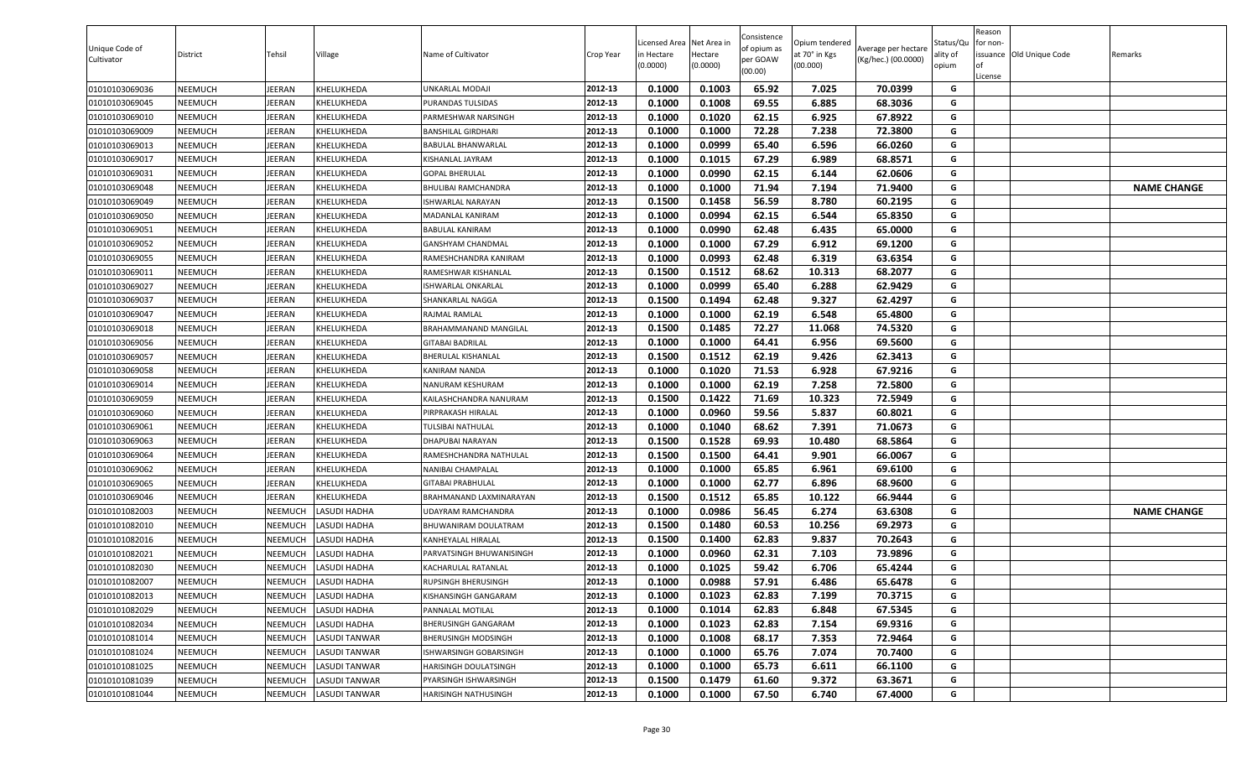| Unique Code of<br>Cultivator | District | Tehsil        | Village            | Name of Cultivator              | Crop Year | icensed Area.<br>in Hectare<br>(0.0000) | Net Area in<br>Hectare<br>(0.0000) | Consistence<br>of opium as<br>per GOAW<br>(00.00) | Opium tendered<br>at 70° in Kgs<br>(00.000) | Average per hectare<br>(Kg/hec.) (00.0000) | Status/Qu<br>ality of<br>opium | Reason<br>for non-<br><b>of</b><br>License | issuance Old Unique Code | Remarks            |
|------------------------------|----------|---------------|--------------------|---------------------------------|-----------|-----------------------------------------|------------------------------------|---------------------------------------------------|---------------------------------------------|--------------------------------------------|--------------------------------|--------------------------------------------|--------------------------|--------------------|
| 01010103069036               | NEEMUCH  | <b>IEERAN</b> | KHELUKHEDA         | UNKARLAL MODAJI                 | 2012-13   | 0.1000                                  | 0.1003                             | 65.92                                             | 7.025                                       | 70.0399                                    | G                              |                                            |                          |                    |
| 01010103069045               | NEEMUCH  | EERAN         | KHELUKHEDA         | PURANDAS TULSIDAS               | 2012-13   | 0.1000                                  | 0.1008                             | 69.55                                             | 6.885                                       | 68.3036                                    | G                              |                                            |                          |                    |
| 01010103069010               | NEEMUCH  | EERAN         | KHELUKHEDA         | PARMESHWAR NARSINGH             | 2012-13   | 0.1000                                  | 0.1020                             | 62.15                                             | 6.925                                       | 67.8922                                    | G                              |                                            |                          |                    |
| 01010103069009               | NEEMUCH  | EERAN         | KHELUKHEDA         | BANSHILAL GIRDHARI              | 2012-13   | 0.1000                                  | 0.1000                             | 72.28                                             | 7.238                                       | 72.3800                                    | G                              |                                            |                          |                    |
| 01010103069013               | NEEMUCH  | EERAN         | KHELUKHEDA         | BABULAL BHANWARLAL              | 2012-13   | 0.1000                                  | 0.0999                             | 65.40                                             | 6.596                                       | 66.0260                                    | G                              |                                            |                          |                    |
| 01010103069017               | NEEMUCH  | <b>IEERAN</b> | KHELUKHEDA         | KISHANLAL JAYRAM                | 2012-13   | 0.1000                                  | 0.1015                             | 67.29                                             | 6.989                                       | 68.8571                                    | G                              |                                            |                          |                    |
| 01010103069031               | NEEMUCH  | <b>IEERAN</b> | KHELUKHEDA         | GOPAL BHERULAL                  | 2012-13   | 0.1000                                  | 0.0990                             | 62.15                                             | 6.144                                       | 62.0606                                    | G                              |                                            |                          |                    |
| 01010103069048               | NEEMUCH  | JEERAN        | KHELUKHEDA         | BHULIBAI RAMCHANDRA             | 2012-13   | 0.1000                                  | 0.1000                             | 71.94                                             | 7.194                                       | 71.9400                                    | G                              |                                            |                          | <b>NAME CHANGE</b> |
| 01010103069049               | NEEMUCH  | JEERAN        | KHELUKHEDA         | <b>ISHWARLAL NARAYAN</b>        | 2012-13   | 0.1500                                  | 0.1458                             | 56.59                                             | 8.780                                       | 60.2195                                    | G                              |                                            |                          |                    |
| 01010103069050               | NEEMUCH  | <b>IEERAN</b> | KHELUKHEDA         | MADANLAL KANIRAM                | 2012-13   | 0.1000                                  | 0.0994                             | 62.15                                             | 6.544                                       | 65.8350                                    | G                              |                                            |                          |                    |
| 01010103069051               | NEEMUCH  | <b>IEERAN</b> | KHELUKHEDA         | BABULAL KANIRAM                 | 2012-13   | 0.1000                                  | 0.0990                             | 62.48                                             | 6.435                                       | 65.0000                                    | G                              |                                            |                          |                    |
| 01010103069052               | NEEMUCH  | <b>IEERAN</b> | KHELUKHEDA         | GANSHYAM CHANDMAL               | 2012-13   | 0.1000                                  | 0.1000                             | 67.29                                             | 6.912                                       | 69.1200                                    | G                              |                                            |                          |                    |
| 01010103069055               | NEEMUCH  | <b>IEERAN</b> | KHELUKHEDA         | RAMESHCHANDRA KANIRAM           | 2012-13   | 0.1000                                  | 0.0993                             | 62.48                                             | 6.319                                       | 63.6354                                    | G                              |                                            |                          |                    |
| 01010103069011               | NEEMUCH  | <b>IEERAN</b> | KHELUKHEDA         | RAMESHWAR KISHANLAL             | 2012-13   | 0.1500                                  | 0.1512                             | 68.62                                             | 10.313                                      | 68.2077                                    | G                              |                                            |                          |                    |
| 01010103069027               | NEEMUCH  | <b>IEERAN</b> | KHELUKHEDA         | ISHWARLAL ONKARLAL              | 2012-13   | 0.1000                                  | 0.0999                             | 65.40                                             | 6.288                                       | 62.9429                                    | G                              |                                            |                          |                    |
| 01010103069037               | NEEMUCH  | JEERAN        | KHELUKHEDA         | SHANKARLAL NAGGA                | 2012-13   | 0.1500                                  | 0.1494                             | 62.48                                             | 9.327                                       | 62.4297                                    | G                              |                                            |                          |                    |
| 01010103069047               | NEEMUCH  | JEERAN        | KHELUKHEDA         | RAJMAL RAMLAL                   | 2012-13   | 0.1000                                  | 0.1000                             | 62.19                                             | 6.548                                       | 65.4800                                    | G                              |                                            |                          |                    |
| 01010103069018               | NEEMUCH  | <b>IEERAN</b> | KHELUKHEDA         | BRAHAMMANAND MANGILAL           | 2012-13   | 0.1500                                  | 0.1485                             | 72.27                                             | 11.068                                      | 74.5320                                    | G                              |                                            |                          |                    |
| 01010103069056               | NEEMUCH  | <b>IEERAN</b> | KHELUKHEDA         | <b>GITABAI BADRILAL</b>         | 2012-13   | 0.1000                                  | 0.1000                             | 64.41                                             | 6.956                                       | 69.5600                                    | G                              |                                            |                          |                    |
| 01010103069057               | NEEMUCH  | EERAN         | KHELUKHEDA         | BHERULAL KISHANLAL              | 2012-13   | 0.1500                                  | 0.1512                             | 62.19                                             | 9.426                                       | 62.3413                                    | G                              |                                            |                          |                    |
| 01010103069058               | NEEMUCH  | <b>IEERAN</b> | KHELUKHEDA         | KANIRAM NANDA                   | 2012-13   | 0.1000                                  | 0.1020                             | 71.53                                             | 6.928                                       | 67.9216                                    | G                              |                                            |                          |                    |
| 01010103069014               | NEEMUCH  | EERAN         | KHELUKHEDA         | NANURAM KESHURAM                | 2012-13   | 0.1000                                  | 0.1000                             | 62.19                                             | 7.258                                       | 72.5800                                    | G                              |                                            |                          |                    |
| 01010103069059               | NEEMUCH  | <b>IEERAN</b> | KHELUKHEDA         | KAILASHCHANDRA NANURAM          | 2012-13   | 0.1500                                  | 0.1422                             | 71.69                                             | 10.323                                      | 72.5949                                    | G                              |                                            |                          |                    |
| 01010103069060               | NEEMUCH  | <b>IEERAN</b> | KHELUKHEDA         | PIRPRAKASH HIRALAL              | 2012-13   | 0.1000                                  | 0.0960                             | 59.56                                             | 5.837                                       | 60.8021                                    | G                              |                                            |                          |                    |
| 01010103069061               | NEEMUCH  | JEERAN        | KHELUKHEDA         | <b><i>FULSIBAI NATHULAL</i></b> | 2012-13   | 0.1000                                  | 0.1040                             | 68.62                                             | 7.391                                       | 71.0673                                    | G                              |                                            |                          |                    |
| 01010103069063               | NEEMUCH  | <b>IEERAN</b> | KHELUKHEDA         | DHAPUBAI NARAYAN                | 2012-13   | 0.1500                                  | 0.1528                             | 69.93                                             | 10.480                                      | 68.5864                                    | G                              |                                            |                          |                    |
| 01010103069064               | NEEMUCH  | <b>IEERAN</b> | KHELUKHEDA         | RAMESHCHANDRA NATHULAL          | 2012-13   | 0.1500                                  | 0.1500                             | 64.41                                             | 9.901                                       | 66.0067                                    | G                              |                                            |                          |                    |
| 01010103069062               | NEEMUCH  | EERAN         | KHELUKHEDA         | NANIBAI CHAMPALAL               | 2012-13   | 0.1000                                  | 0.1000                             | 65.85                                             | 6.961                                       | 69.6100                                    | G                              |                                            |                          |                    |
| 01010103069065               | NEEMUCH  | <b>IEERAN</b> | KHELUKHEDA         | GITABAI PRABHULAL               | 2012-13   | 0.1000                                  | 0.1000                             | 62.77                                             | 6.896                                       | 68.9600                                    | G                              |                                            |                          |                    |
| 01010103069046               | NEEMUCH  | <b>IEERAN</b> | KHELUKHEDA         | BRAHMANAND LAXMINARAYAN         | 2012-13   | 0.1500                                  | 0.1512                             | 65.85                                             | 10.122                                      | 66.9444                                    | G                              |                                            |                          |                    |
| 01010101082003               | NEEMUCH  | NEEMUCH       | ASUDI HADHA        | JDAYRAM RAMCHANDRA              | 2012-13   | 0.1000                                  | 0.0986                             | 56.45                                             | 6.274                                       | 63.6308                                    | G                              |                                            |                          | <b>NAME CHANGE</b> |
| 01010101082010               | NEEMUCH  | NEEMUCH       | <b>ASUDI HADHA</b> | BHUWANIRAM DOULATRAM            | 2012-13   | 0.1500                                  | 0.1480                             | 60.53                                             | 10.256                                      | 69.2973                                    | G                              |                                            |                          |                    |
| 01010101082016               | NEEMUCH  | NEEMUCH       | ASUDI HADHA.       | KANHEYALAL HIRALAL              | 2012-13   | 0.1500                                  | 0.1400                             | 62.83                                             | 9.837                                       | 70.2643                                    | G                              |                                            |                          |                    |
| 01010101082021               | NEEMUCH  | NEEMUCH       | ASUDI HADHA        | PARVATSINGH BHUWANISINGH        | 2012-13   | 0.1000                                  | 0.0960                             | 62.31                                             | 7.103                                       | 73.9896                                    | G                              |                                            |                          |                    |
| 01010101082030               | NEEMUCH  | NEEMUCH       | ASUDI HADHA        | KACHARULAL RATANLAL             | 2012-13   | 0.1000                                  | 0.1025                             | 59.42                                             | 6.706                                       | 65.4244                                    | G                              |                                            |                          |                    |
| 01010101082007               | NEEMUCH  | NEEMUCH       | LASUDI HADHA       | RUPSINGH BHERUSINGH             | 2012-13   | 0.1000                                  | 0.0988                             | 57.91                                             | 6.486                                       | 65.6478                                    | G                              |                                            |                          |                    |
| 01010101082013               | NEEMUCH  | NEEMUCH       | LASUDI HADHA       | KISHANSINGH GANGARAM            | 2012-13   | 0.1000                                  | 0.1023                             | 62.83                                             | 7.199                                       | 70.3715                                    | G                              |                                            |                          |                    |
| 01010101082029               | NEEMUCH  | NEEMUCH       | LASUDI HADHA       | <b>PANNALAL MOTILAL</b>         | 2012-13   | 0.1000                                  | 0.1014                             | 62.83                                             | 6.848                                       | 67.5345                                    | G                              |                                            |                          |                    |
| 01010101082034               | NEEMUCH  | NEEMUCH       | LASUDI HADHA       | BHERUSINGH GANGARAM             | 2012-13   | 0.1000                                  | 0.1023                             | 62.83                                             | 7.154                                       | 69.9316                                    | G                              |                                            |                          |                    |
| 01010101081014               | NEEMUCH  | NEEMUCH       | LASUDI TANWAR      | BHERUSINGH MODSINGH             | 2012-13   | 0.1000                                  | 0.1008                             | 68.17                                             | 7.353                                       | 72.9464                                    | G                              |                                            |                          |                    |
| 01010101081024               | NEEMUCH  | NEEMUCH       | LASUDI TANWAR      | ISHWARSINGH GOBARSINGH          | 2012-13   | 0.1000                                  | 0.1000                             | 65.76                                             | 7.074                                       | 70.7400                                    | G                              |                                            |                          |                    |
| 01010101081025               | NEEMUCH  | NEEMUCH       | LASUDI TANWAR      | HARISINGH DOULATSINGH           | 2012-13   | 0.1000                                  | 0.1000                             | 65.73                                             | 6.611                                       | 66.1100                                    | G                              |                                            |                          |                    |
| 01010101081039               | NEEMUCH  | NEEMUCH       | LASUDI TANWAR      | PYARSINGH ISHWARSINGH           | 2012-13   | 0.1500                                  | 0.1479                             | 61.60                                             | 9.372                                       | 63.3671                                    | G                              |                                            |                          |                    |
| 01010101081044               | NEEMUCH  | NEEMUCH       | LASUDI TANWAR      | HARISINGH NATHUSINGH            | 2012-13   | 0.1000                                  | 0.1000                             | 67.50                                             | 6.740                                       | 67.4000                                    | G                              |                                            |                          |                    |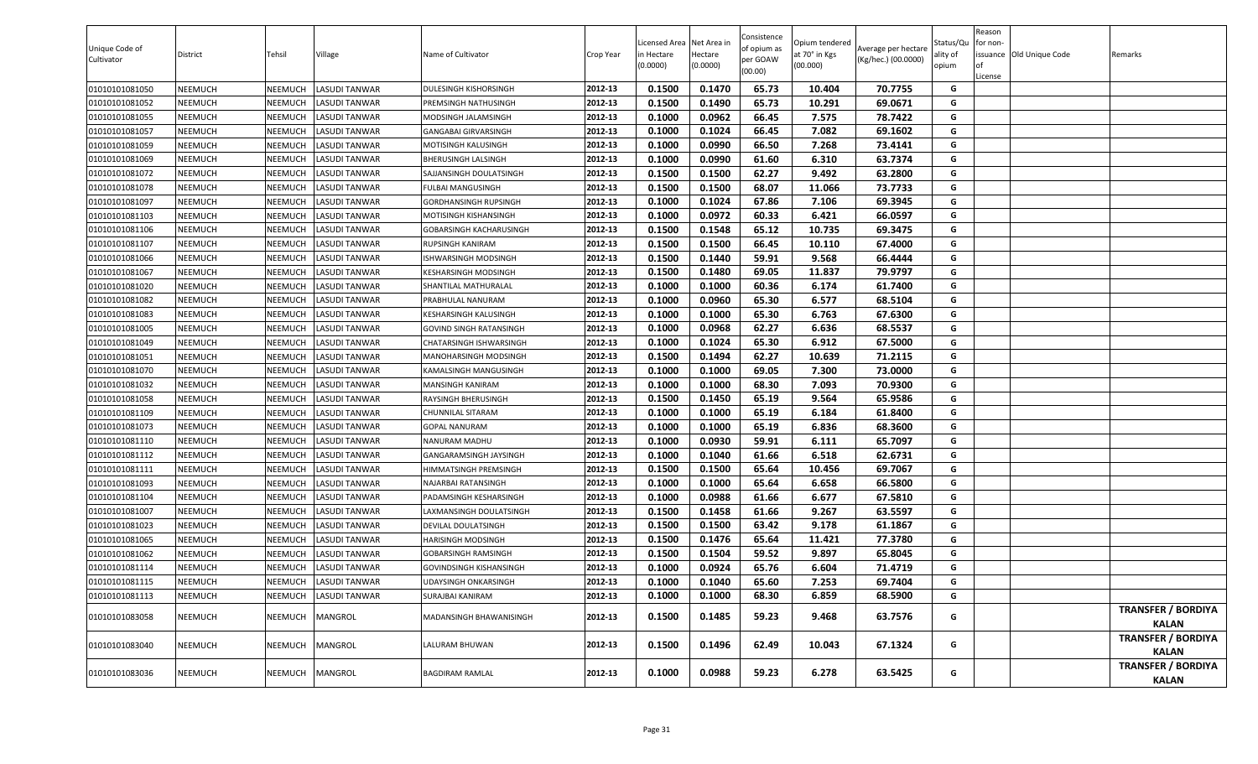| Unique Code of<br>Cultivator | District       | Tehsil  | Village              | Name of Cultivator             | Crop Year | Licensed Area<br>in Hectare<br>(0.0000) | Net Area in<br>Hectare<br>(0.0000) | Consistence<br>of opium as<br>per GOAW<br>(00.00) | Opium tendered<br>at 70° in Kgs<br>(00.000) | Average per hectare<br>(Kg/hec.) (00.0000) | Status/Qu<br>ality of<br>opium | Reason<br>for non-<br>l of<br>License | issuance Old Unique Code | Remarks                                   |
|------------------------------|----------------|---------|----------------------|--------------------------------|-----------|-----------------------------------------|------------------------------------|---------------------------------------------------|---------------------------------------------|--------------------------------------------|--------------------------------|---------------------------------------|--------------------------|-------------------------------------------|
| 01010101081050               | <b>NEEMUCH</b> | NEEMUCH | LASUDI TANWAR        | DULESINGH KISHORSINGH          | 2012-13   | 0.1500                                  | 0.1470                             | 65.73                                             | 10.404                                      | 70.7755                                    | G                              |                                       |                          |                                           |
| 01010101081052               | <b>NEEMUCH</b> | NEEMUCH | LASUDI TANWAR        | PREMSINGH NATHUSINGH           | 2012-13   | 0.1500                                  | 0.1490                             | 65.73                                             | 10.291                                      | 69.0671                                    | G                              |                                       |                          |                                           |
| 01010101081055               | <b>NEEMUCH</b> | NEEMUCH | LASUDI TANWAR        | MODSINGH JALAMSINGH            | 2012-13   | 0.1000                                  | 0.0962                             | 66.45                                             | 7.575                                       | 78.7422                                    | G                              |                                       |                          |                                           |
| 01010101081057               | <b>NEEMUCH</b> | NEEMUCH | LASUDI TANWAR        | GANGABAI GIRVARSINGH           | 2012-13   | 0.1000                                  | 0.1024                             | 66.45                                             | 7.082                                       | 69.1602                                    | G                              |                                       |                          |                                           |
| 01010101081059               | NEEMUCH        | NEEMUCH | LASUDI TANWAR        | MOTISINGH KALUSINGH            | 2012-13   | 0.1000                                  | 0.0990                             | 66.50                                             | 7.268                                       | 73.4141                                    | G                              |                                       |                          |                                           |
| 01010101081069               | <b>NEEMUCH</b> | NEEMUCH | LASUDI TANWAR        | BHERUSINGH LALSINGH            | 2012-13   | 0.1000                                  | 0.0990                             | 61.60                                             | 6.310                                       | 63.7374                                    | G                              |                                       |                          |                                           |
| 01010101081072               | <b>NEEMUCH</b> | NEEMUCH | LASUDI TANWAR        | SAJJANSINGH DOULATSINGH        | 2012-13   | 0.1500                                  | 0.1500                             | 62.27                                             | 9.492                                       | 63.2800                                    | G                              |                                       |                          |                                           |
| 01010101081078               | <b>NEEMUCH</b> | NEEMUCH | LASUDI TANWAR        | FULBAI MANGUSINGH              | 2012-13   | 0.1500                                  | 0.1500                             | 68.07                                             | 11.066                                      | 73.7733                                    | G                              |                                       |                          |                                           |
| 01010101081097               | <b>NEEMUCH</b> | NEEMUCH | LASUDI TANWAR        | GORDHANSINGH RUPSINGH          | 2012-13   | 0.1000                                  | 0.1024                             | 67.86                                             | 7.106                                       | 69.3945                                    | G                              |                                       |                          |                                           |
| 01010101081103               | <b>NEEMUCH</b> | NEEMUCH | LASUDI TANWAR        | MOTISINGH KISHANSINGH          | 2012-13   | 0.1000                                  | 0.0972                             | 60.33                                             | 6.421                                       | 66.0597                                    | G                              |                                       |                          |                                           |
| 01010101081106               | <b>NEEMUCH</b> | NEEMUCH | LASUDI TANWAR        | GOBARSINGH KACHARUSINGH        | 2012-13   | 0.1500                                  | 0.1548                             | 65.12                                             | 10.735                                      | 69.3475                                    | G                              |                                       |                          |                                           |
| 01010101081107               | <b>NEEMUCH</b> | NEEMUCH | LASUDI TANWAR        | RUPSINGH KANIRAM               | 2012-13   | 0.1500                                  | 0.1500                             | 66.45                                             | 10.110                                      | 67.4000                                    | G                              |                                       |                          |                                           |
| 01010101081066               | NEEMUCH        | NEEMUCH | LASUDI TANWAR        | ISHWARSINGH MODSINGH           | 2012-13   | 0.1500                                  | 0.1440                             | 59.91                                             | 9.568                                       | 66.4444                                    | G                              |                                       |                          |                                           |
| 01010101081067               | <b>NEEMUCH</b> | NEEMUCH | LASUDI TANWAR        | KESHARSINGH MODSINGH           | 2012-13   | 0.1500                                  | 0.1480                             | 69.05                                             | 11.837                                      | 79.9797                                    | G                              |                                       |                          |                                           |
| 01010101081020               | <b>NEEMUCH</b> | NEEMUCH | <b>LASUDI TANWAR</b> | SHANTILAL MATHURALAL           | 2012-13   | 0.1000                                  | 0.1000                             | 60.36                                             | 6.174                                       | 61.7400                                    | G                              |                                       |                          |                                           |
| 01010101081082               | <b>NEEMUCH</b> | NEEMUCH | LASUDI TANWAR        | PRABHULAL NANURAM              | 2012-13   | 0.1000                                  | 0.0960                             | 65.30                                             | 6.577                                       | 68.5104                                    | G                              |                                       |                          |                                           |
| 01010101081083               | <b>NEEMUCH</b> | NEEMUCH | LASUDI TANWAR        | KESHARSINGH KALUSINGH          | 2012-13   | 0.1000                                  | 0.1000                             | 65.30                                             | 6.763                                       | 67.6300                                    | G                              |                                       |                          |                                           |
| 01010101081005               | <b>NEEMUCH</b> | NEEMUCH | LASUDI TANWAR        | GOVIND SINGH RATANSINGH        | 2012-13   | 0.1000                                  | 0.0968                             | 62.27                                             | 6.636                                       | 68.5537                                    | G                              |                                       |                          |                                           |
| 01010101081049               | <b>NEEMUCH</b> | NEEMUCH | LASUDI TANWAR        | CHATARSINGH ISHWARSINGH        | 2012-13   | 0.1000                                  | 0.1024                             | 65.30                                             | 6.912                                       | 67.5000                                    | G                              |                                       |                          |                                           |
| 01010101081051               | NEEMUCH        | NEEMUCH | LASUDI TANWAR        | MANOHARSINGH MODSINGH          | 2012-13   | 0.1500                                  | 0.1494                             | 62.27                                             | 10.639                                      | 71.2115                                    | G                              |                                       |                          |                                           |
| 01010101081070               | NEEMUCH        | NEEMUCH | LASUDI TANWAR        | KAMALSINGH MANGUSINGH          | 2012-13   | 0.1000                                  | 0.1000                             | 69.05                                             | 7.300                                       | 73.0000                                    | G                              |                                       |                          |                                           |
| 01010101081032               | NEEMUCH        | NEEMUCH | LASUDI TANWAR        | MANSINGH KANIRAM               | 2012-13   | 0.1000                                  | 0.1000                             | 68.30                                             | 7.093                                       | 70.9300                                    | G                              |                                       |                          |                                           |
| 01010101081058               | <b>NEEMUCH</b> | NEEMUCH | LASUDI TANWAR        | RAYSINGH BHERUSINGH            | 2012-13   | 0.1500                                  | 0.1450                             | 65.19                                             | 9.564                                       | 65.9586                                    | G                              |                                       |                          |                                           |
| 01010101081109               | <b>NEEMUCH</b> | NEEMUCH | LASUDI TANWAR        | CHUNNILAL SITARAM              | 2012-13   | 0.1000                                  | 0.1000                             | 65.19                                             | 6.184                                       | 61.8400                                    | G                              |                                       |                          |                                           |
| 01010101081073               | <b>NEEMUCH</b> | NEEMUCH | LASUDI TANWAR        | <b>GOPAL NANURAM</b>           | 2012-13   | 0.1000                                  | 0.1000                             | 65.19                                             | 6.836                                       | 68.3600                                    | G                              |                                       |                          |                                           |
| 01010101081110               | <b>NEEMUCH</b> | NEEMUCH | LASUDI TANWAR        | NANURAM MADHU                  | 2012-13   | 0.1000                                  | 0.0930                             | 59.91                                             | 6.111                                       | 65.7097                                    | G                              |                                       |                          |                                           |
| 01010101081112               | <b>NEEMUCH</b> | NEEMUCH | LASUDI TANWAR        | GANGARAMSINGH JAYSINGH         | 2012-13   | 0.1000                                  | 0.1040                             | 61.66                                             | 6.518                                       | 62.6731                                    | G                              |                                       |                          |                                           |
| 01010101081111               | NEEMUCH        | NEEMUCH | LASUDI TANWAR        | HIMMATSINGH PREMSINGH          | 2012-13   | 0.1500                                  | 0.1500                             | 65.64                                             | 10.456                                      | 69.7067                                    | G                              |                                       |                          |                                           |
| 01010101081093               | <b>NEEMUCH</b> | NEEMUCH | LASUDI TANWAR        | NAJARBAI RATANSINGH            | 2012-13   | 0.1000                                  | 0.1000                             | 65.64                                             | 6.658                                       | 66.5800                                    | G                              |                                       |                          |                                           |
| 01010101081104               | NEEMUCH        | NEEMUCH | LASUDI TANWAR        | PADAMSINGH KESHARSINGH         | 2012-13   | 0.1000                                  | 0.0988                             | 61.66                                             | 6.677                                       | 67.5810                                    | G                              |                                       |                          |                                           |
| 01010101081007               | <b>NEEMUCH</b> | NEEMUCH | LASUDI TANWAR        | LAXMANSINGH DOULATSINGH        | 2012-13   | 0.1500                                  | 0.1458                             | 61.66                                             | 9.267                                       | 63.5597                                    | G                              |                                       |                          |                                           |
| 01010101081023               | <b>NEEMUCH</b> | NEEMUCH | LASUDI TANWAR        | DEVILAL DOULATSINGH            | 2012-13   | 0.1500                                  | 0.1500                             | 63.42                                             | 9.178                                       | 61.1867                                    | G                              |                                       |                          |                                           |
| 01010101081065               | <b>NEEMUCH</b> | NEEMUCH | <b>LASUDI TANWAR</b> | HARISINGH MODSINGH             | 2012-13   | 0.1500                                  | 0.1476                             | 65.64                                             | 11.421                                      | 77.3780                                    | G                              |                                       |                          |                                           |
| 01010101081062               | <b>NEEMUCH</b> | NEEMUCH | LASUDI TANWAR        | GOBARSINGH RAMSINGH            | 2012-13   | 0.1500                                  | 0.1504                             | 59.52                                             | 9.897                                       | 65.8045                                    | G                              |                                       |                          |                                           |
| 01010101081114               | <b>NEEMUCH</b> | NEEMUCH | LASUDI TANWAR        | <b>GOVINDSINGH KISHANSINGH</b> | 2012-13   | 0.1000                                  | 0.0924                             | 65.76                                             | 6.604                                       | 71.4719                                    | G                              |                                       |                          |                                           |
| 01010101081115               | <b>NEEMUCH</b> | NEEMUCH | <b>LASUDI TANWAR</b> | UDAYSINGH ONKARSINGH           | 2012-13   | 0.1000                                  | 0.1040                             | 65.60                                             | 7.253                                       | 69.7404                                    | G                              |                                       |                          |                                           |
| 01010101081113               | <b>NEEMUCH</b> | NEEMUCH | LASUDI TANWAR        | SURAJBAI KANIRAM               | 2012-13   | 0.1000                                  | 0.1000                             | 68.30                                             | 6.859                                       | 68.5900                                    | G                              |                                       |                          |                                           |
| 01010101083058               | <b>NEEMUCH</b> | NEEMUCH | <b>MANGROL</b>       | MADANSINGH BHAWANISINGH        | 2012-13   | 0.1500                                  | 0.1485                             | 59.23                                             | 9.468                                       | 63.7576                                    | G                              |                                       |                          | <b>TRANSFER / BORDIYA</b><br>KALAN        |
| 01010101083040               | NEEMUCH        | NEEMUCH | <b>MANGROL</b>       | LALURAM BHUWAN                 | 2012-13   | 0.1500                                  | 0.1496                             | 62.49                                             | 10.043                                      | 67.1324                                    | G                              |                                       |                          | <b>TRANSFER / BORDIYA</b><br><b>KALAN</b> |
| 01010101083036               | <b>NEEMUCH</b> | NEEMUCH | <b>MANGROL</b>       | <b>BAGDIRAM RAMLAL</b>         | 2012-13   | 0.1000                                  | 0.0988                             | 59.23                                             | 6.278                                       | 63.5425                                    | G                              |                                       |                          | <b>TRANSFER / BORDIYA</b><br><b>KALAN</b> |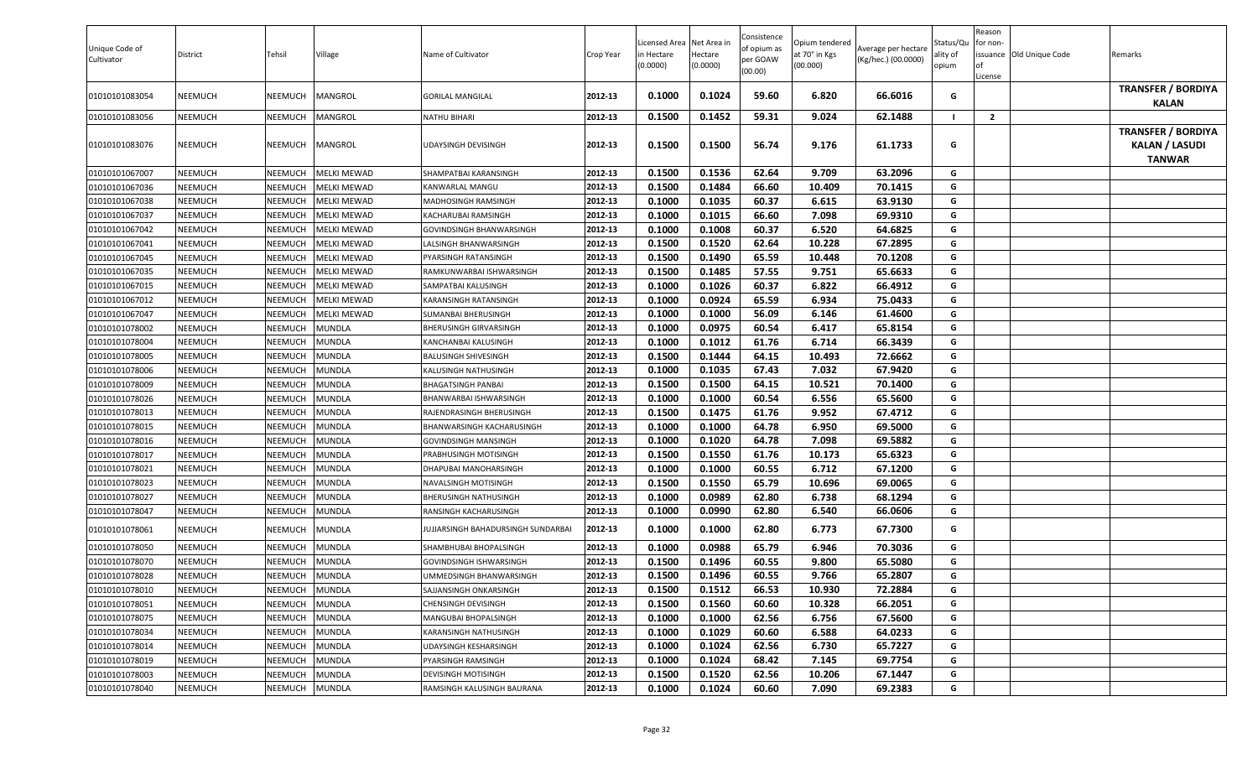| Unique Code of<br>Cultivator | District       | Tehsil         | Village            | Name of Cultivator                 | Crop Year | icensed Area.<br>n Hectare<br>(0.0000) | Net Area in<br>Hectare<br>(0.0000) | Consistence<br>of opium as<br>per GOAW<br>(00.00) | Opium tendered<br>at 70° in Kgs<br>(00.000) | Average per hectare<br>(Kg/hec.) (00.0000) | Status/Qu<br>ality of<br>opium | Reason<br>for non-<br><b>of</b><br>License | issuance Old Unique Code | Remarks                                                             |
|------------------------------|----------------|----------------|--------------------|------------------------------------|-----------|----------------------------------------|------------------------------------|---------------------------------------------------|---------------------------------------------|--------------------------------------------|--------------------------------|--------------------------------------------|--------------------------|---------------------------------------------------------------------|
| 01010101083054               | <b>NEEMUCH</b> | NEEMUCH        | MANGROL            | <b>GORILAL MANGILAL</b>            | 2012-13   | 0.1000                                 | 0.1024                             | 59.60                                             | 6.820                                       | 66.6016                                    | G                              |                                            |                          | <b>TRANSFER / BORDIYA</b><br><b>KALAN</b>                           |
| 01010101083056               | NEEMUCH        | NEEMUCH        | MANGROL            | NATHU BIHARI                       | 2012-13   | 0.1500                                 | 0.1452                             | 59.31                                             | 9.024                                       | 62.1488                                    |                                | $\overline{2}$                             |                          |                                                                     |
| 01010101083076               | NEEMUCH        | NEEMUCH        | <b>MANGROL</b>     | UDAYSINGH DEVISINGH                | 2012-13   | 0.1500                                 | 0.1500                             | 56.74                                             | 9.176                                       | 61.1733                                    | G                              |                                            |                          | <b>TRANSFER / BORDIYA</b><br><b>KALAN / LASUDI</b><br><b>TANWAR</b> |
| 01010101067007               | NEEMUCH        | NEEMUCH        | MELKI MEWAD        | SHAMPATBAI KARANSINGH              | 2012-13   | 0.1500                                 | 0.1536                             | 62.64                                             | 9.709                                       | 63.2096                                    | G                              |                                            |                          |                                                                     |
| 01010101067036               | NEEMUCH        | NEEMUCH        | MELKI MEWAD        | KANWARLAL MANGU                    | 2012-13   | 0.1500                                 | 0.1484                             | 66.60                                             | 10.409                                      | 70.1415                                    | G                              |                                            |                          |                                                                     |
| 01010101067038               | NEEMUCH        | NEEMUCH        | MELKI MEWAD        | MADHOSINGH RAMSINGH                | 2012-13   | 0.1000                                 | 0.1035                             | 60.37                                             | 6.615                                       | 63.9130                                    | G                              |                                            |                          |                                                                     |
| 01010101067037               | NEEMUCH        | NEEMUCH        | MELKI MEWAD        | KACHARUBAI RAMSINGH                | 2012-13   | 0.1000                                 | 0.1015                             | 66.60                                             | 7.098                                       | 69.9310                                    | G                              |                                            |                          |                                                                     |
| 01010101067042               | NEEMUCH        | NEEMUCH        | MELKI MEWAD        | GOVINDSINGH BHANWARSINGH           | 2012-13   | 0.1000                                 | 0.1008                             | 60.37                                             | 6.520                                       | 64.6825                                    | G                              |                                            |                          |                                                                     |
| 01010101067041               | NEEMUCH        | NEEMUCH        | MELKI MEWAD        | ALSINGH BHANWARSINGH               | 2012-13   | 0.1500                                 | 0.1520                             | 62.64                                             | 10.228                                      | 67.2895                                    | G                              |                                            |                          |                                                                     |
| 01010101067045               | NEEMUCH        | NEEMUCH        | <b>MELKI MEWAD</b> | PYARSINGH RATANSINGH               | 2012-13   | 0.1500                                 | 0.1490                             | 65.59                                             | 10.448                                      | 70.1208                                    | G                              |                                            |                          |                                                                     |
| 01010101067035               | NEEMUCH        | NEEMUCH        | MELKI MEWAD        | RAMKUNWARBAI ISHWARSINGH           | 2012-13   | 0.1500                                 | 0.1485                             | 57.55                                             | 9.751                                       | 65.6633                                    | G                              |                                            |                          |                                                                     |
| 01010101067015               | NEEMUCH        | NEEMUCH        | MELKI MEWAD        | SAMPATBAI KALUSINGH                | 2012-13   | 0.1000                                 | 0.1026                             | 60.37                                             | 6.822                                       | 66.4912                                    | G                              |                                            |                          |                                                                     |
| 01010101067012               | NEEMUCH        | NEEMUCH        | MELKI MEWAD        | KARANSINGH RATANSINGH              | 2012-13   | 0.1000                                 | 0.0924                             | 65.59                                             | 6.934                                       | 75.0433                                    | G                              |                                            |                          |                                                                     |
| 01010101067047               | NEEMUCH        | NEEMUCH        | MELKI MEWAD        | SUMANBAI BHERUSINGH                | 2012-13   | 0.1000                                 | 0.1000                             | 56.09                                             | 6.146                                       | 61.4600                                    | G                              |                                            |                          |                                                                     |
| 01010101078002               | NEEMUCH        | NEEMUCH        | MUNDLA             | BHERUSINGH GIRVARSINGH             | 2012-13   | 0.1000                                 | 0.0975                             | 60.54                                             | 6.417                                       | 65.8154                                    | G                              |                                            |                          |                                                                     |
| 01010101078004               | NEEMUCH        | NEEMUCH        | MUNDLA             | KANCHANBAI KALUSINGH               | 2012-13   | 0.1000                                 | 0.1012                             | 61.76                                             | 6.714                                       | 66.3439                                    | G                              |                                            |                          |                                                                     |
| 01010101078005               | NEEMUCH        | <b>NEEMUCH</b> | MUNDLA             | BALUSINGH SHIVESINGH               | 2012-13   | 0.1500                                 | 0.1444                             | 64.15                                             | 10.493                                      | 72.6662                                    | G                              |                                            |                          |                                                                     |
| 01010101078006               | NEEMUCH        | NEEMUCH        | MUNDLA             | KALUSINGH NATHUSINGH               | 2012-13   | 0.1000                                 | 0.1035                             | 67.43                                             | 7.032                                       | 67.9420                                    | G                              |                                            |                          |                                                                     |
| 01010101078009               | NEEMUCH        | NEEMUCH        | MUNDLA             | BHAGATSINGH PANBAI                 | 2012-13   | 0.1500                                 | 0.1500                             | 64.15                                             | 10.521                                      | 70.1400                                    | G                              |                                            |                          |                                                                     |
| 01010101078026               | NEEMUCH        | NEEMUCH        | MUNDLA             | BHANWARBAI ISHWARSINGH             | 2012-13   | 0.1000                                 | 0.1000                             | 60.54                                             | 6.556                                       | 65.5600                                    | G                              |                                            |                          |                                                                     |
| 01010101078013               | NEEMUCH        | NEEMUCH        | MUNDLA             | RAJENDRASINGH BHERUSINGH           | 2012-13   | 0.1500                                 | 0.1475                             | 61.76                                             | 9.952                                       | 67.4712                                    | G                              |                                            |                          |                                                                     |
| 01010101078015               | NEEMUCH        | NEEMUCH        | MUNDLA             | BHANWARSINGH KACHARUSINGH          | 2012-13   | 0.1000                                 | 0.1000                             | 64.78                                             | 6.950                                       | 69.5000                                    | G                              |                                            |                          |                                                                     |
| 01010101078016               | NEEMUCH        | NEEMUCH        | MUNDLA             | GOVINDSINGH MANSINGH               | 2012-13   | 0.1000                                 | 0.1020                             | 64.78                                             | 7.098                                       | 69.5882                                    | G                              |                                            |                          |                                                                     |
| 01010101078017               | NEEMUCH        | NEEMUCH        | MUNDLA             | PRABHUSINGH MOTISINGH              | 2012-13   | 0.1500                                 | 0.1550                             | 61.76                                             | 10.173                                      | 65.6323                                    | G                              |                                            |                          |                                                                     |
| 01010101078021               | NEEMUCH        | NEEMUCH        | MUNDLA             | DHAPUBAI MANOHARSINGH              | 2012-13   | 0.1000                                 | 0.1000                             | 60.55                                             | 6.712                                       | 67.1200                                    | G                              |                                            |                          |                                                                     |
| 01010101078023               | NEEMUCH        | NEEMUCH        | MUNDLA             | NAVALSINGH MOTISINGH               | 2012-13   | 0.1500                                 | 0.1550                             | 65.79                                             | 10.696                                      | 69.0065                                    | G                              |                                            |                          |                                                                     |
| 01010101078027               | NEEMUCH        | NEEMUCH        | MUNDLA             | BHERUSINGH NATHUSINGH              | 2012-13   | 0.1000                                 | 0.0989                             | 62.80                                             | 6.738                                       | 68.1294                                    | G                              |                                            |                          |                                                                     |
| 01010101078047               | NEEMUCH        | NEEMUCH        | MUNDLA             | RANSINGH KACHARUSINGH              | 2012-13   | 0.1000                                 | 0.0990                             | 62.80                                             | 6.540                                       | 66.0606                                    | G                              |                                            |                          |                                                                     |
| 01010101078061               | NEEMUCH        | NEEMUCH        | MUNDLA             | JUJJARSINGH BAHADURSINGH SUNDARBAI | 2012-13   | 0.1000                                 | 0.1000                             | 62.80                                             | 6.773                                       | 67.7300                                    | G                              |                                            |                          |                                                                     |
| 01010101078050               | NEEMUCH        | NEEMUCH        | MUNDLA             | SHAMBHUBAI BHOPALSINGH             | 2012-13   | 0.1000                                 | 0.0988                             | 65.79                                             | 6.946                                       | 70.3036                                    | G                              |                                            |                          |                                                                     |
| 01010101078070               | NEEMUCH        | NEEMUCH        | MUNDLA             | GOVINDSINGH ISHWARSINGH            | 2012-13   | 0.1500                                 | 0.1496                             | 60.55                                             | 9.800                                       | 65.5080                                    | G                              |                                            |                          |                                                                     |
| 01010101078028               | NEEMUCH        | NEEMUCH        | MUNDLA             | JMMEDSINGH BHANWARSINGH            | 2012-13   | 0.1500                                 | 0.1496                             | 60.55                                             | 9.766                                       | 65.2807                                    | G                              |                                            |                          |                                                                     |
| 01010101078010               | NEEMUCH        | NEEMUCH MUNDLA |                    | SAJJANSINGH ONKARSINGH             | 2012-13   | 0.1500                                 | 0.1512                             | 66.53                                             | 10.930                                      | 72.2884                                    | G                              |                                            |                          |                                                                     |
| 01010101078051               | NEEMUCH        | NEEMUCH        | <b>MUNDLA</b>      | CHENSINGH DEVISINGH                | 2012-13   | 0.1500                                 | 0.1560                             | 60.60                                             | 10.328                                      | 66.2051                                    | G                              |                                            |                          |                                                                     |
| 01010101078075               | NEEMUCH        | NEEMUCH        | <b>MUNDLA</b>      | MANGUBAI BHOPALSINGH               | 2012-13   | 0.1000                                 | 0.1000                             | 62.56                                             | 6.756                                       | 67.5600                                    | G                              |                                            |                          |                                                                     |
| 01010101078034               | NEEMUCH        | NEEMUCH        | <b>MUNDLA</b>      | KARANSINGH NATHUSINGH              | 2012-13   | 0.1000                                 | 0.1029                             | 60.60                                             | 6.588                                       | 64.0233                                    | G                              |                                            |                          |                                                                     |
| 01010101078014               | NEEMUCH        | NEEMUCH        | MUNDLA             | UDAYSINGH KESHARSINGH              | 2012-13   | 0.1000                                 | 0.1024                             | 62.56                                             | 6.730                                       | 65.7227                                    | G                              |                                            |                          |                                                                     |
| 01010101078019               | NEEMUCH        | NEEMUCH        | <b>MUNDLA</b>      | PYARSINGH RAMSINGH                 | 2012-13   | 0.1000                                 | 0.1024                             | 68.42                                             | 7.145                                       | 69.7754                                    | G                              |                                            |                          |                                                                     |
| 01010101078003               | NEEMUCH        | NEEMUCH        | <b>MUNDLA</b>      | DEVISINGH MOTISINGH                | 2012-13   | 0.1500                                 | 0.1520                             | 62.56                                             | 10.206                                      | 67.1447                                    | G                              |                                            |                          |                                                                     |
| 01010101078040               | NEEMUCH        | NEEMUCH MUNDLA |                    | RAMSINGH KALUSINGH BAURANA         | 2012-13   | 0.1000                                 | 0.1024                             | 60.60                                             | 7.090                                       | 69.2383                                    | G                              |                                            |                          |                                                                     |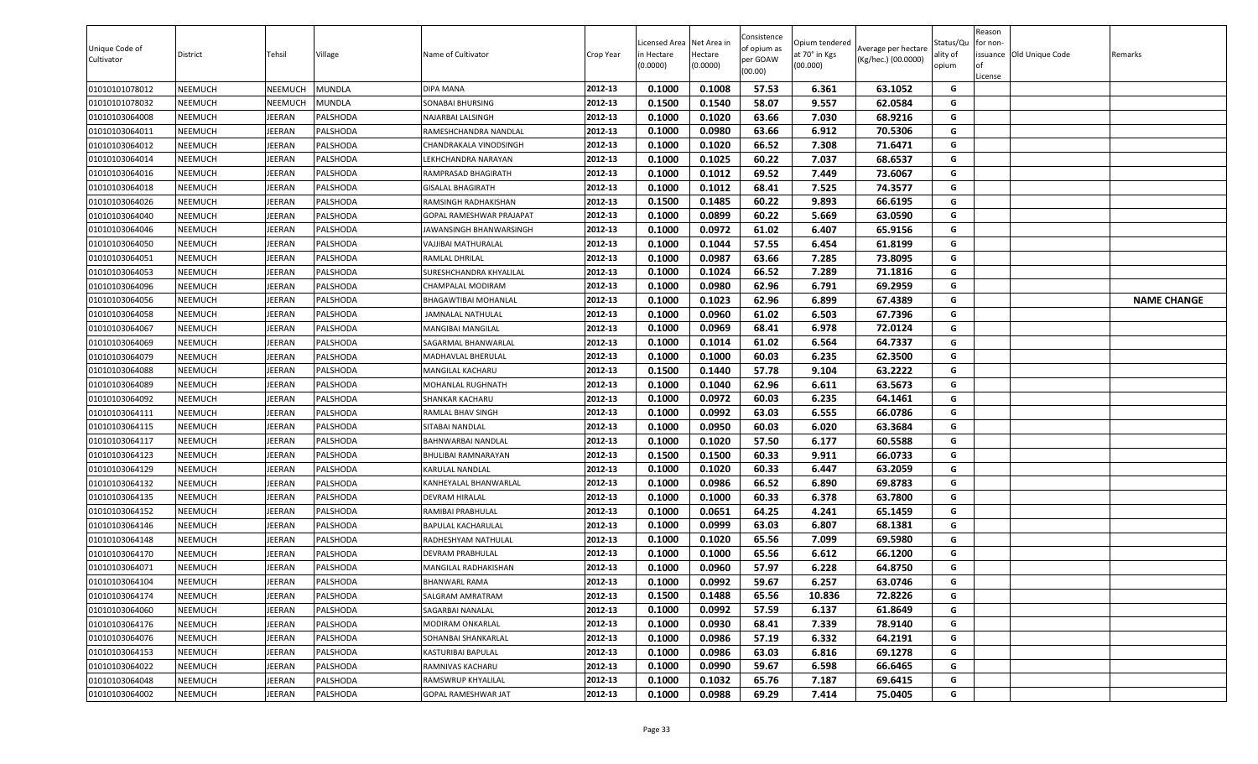| Unique Code of<br>Cultivator | District | Tehsil        | Village         | Name of Cultivator        | Crop Year | .icensed Area<br>in Hectare<br>(0.0000) | Net Area in<br>Hectare<br>(0.0000) | Consistence<br>of opium as<br>per GOAW<br>(00.00) | Opium tendered<br>at 70° in Kgs<br>(00.000) | Average per hectare<br>(Kg/hec.) (00.0000) | Status/Qu<br>ality of<br>opium | Reason<br>for non-<br><b>of</b><br>License | issuance Old Unique Code | Remarks            |
|------------------------------|----------|---------------|-----------------|---------------------------|-----------|-----------------------------------------|------------------------------------|---------------------------------------------------|---------------------------------------------|--------------------------------------------|--------------------------------|--------------------------------------------|--------------------------|--------------------|
| 01010101078012               | NEEMUCH  | NEEMUCH       | MUNDLA          | DIPA MANA                 | 2012-13   | 0.1000                                  | 0.1008                             | 57.53                                             | 6.361                                       | 63.1052                                    | G                              |                                            |                          |                    |
| 01010101078032               | NEEMUCH  | NEEMUCH       | MUNDLA          | <b>SONABAI BHURSING</b>   | 2012-13   | 0.1500                                  | 0.1540                             | 58.07                                             | 9.557                                       | 62.0584                                    | G                              |                                            |                          |                    |
| 01010103064008               | NEEMUCH  | <b>IEERAN</b> | PALSHODA        | NAJARBAI LALSINGH         | 2012-13   | 0.1000                                  | 0.1020                             | 63.66                                             | 7.030                                       | 68.9216                                    | G                              |                                            |                          |                    |
| 01010103064011               | NEEMUCH  | EERAN         | <b>PALSHODA</b> | RAMESHCHANDRA NANDLAL     | 2012-13   | 0.1000                                  | 0.0980                             | 63.66                                             | 6.912                                       | 70.5306                                    | G                              |                                            |                          |                    |
| 01010103064012               | NEEMUCH  | EERAN         | PALSHODA        | CHANDRAKALA VINODSINGH    | 2012-13   | 0.1000                                  | 0.1020                             | 66.52                                             | 7.308                                       | 71.6471                                    | G                              |                                            |                          |                    |
| 01010103064014               | NEEMUCH  | <b>IEERAN</b> | PALSHODA        | <b>EKHCHANDRA NARAYAN</b> | 2012-13   | 0.1000                                  | 0.1025                             | 60.22                                             | 7.037                                       | 68.6537                                    | G                              |                                            |                          |                    |
| 01010103064016               | NEEMUCH  | <b>IEERAN</b> | PALSHODA        | RAMPRASAD BHAGIRATH       | 2012-13   | 0.1000                                  | 0.1012                             | 69.52                                             | 7.449                                       | 73.6067                                    | G                              |                                            |                          |                    |
| 01010103064018               | NEEMUCH  | JEERAN        | PALSHODA        | GISALAL BHAGIRATH         | 2012-13   | 0.1000                                  | 0.1012                             | 68.41                                             | 7.525                                       | 74.3577                                    | G                              |                                            |                          |                    |
| 01010103064026               | NEEMUCH  | JEERAN        | PALSHODA        | RAMSINGH RADHAKISHAN      | 2012-13   | 0.1500                                  | 0.1485                             | 60.22                                             | 9.893                                       | 66.6195                                    | G                              |                                            |                          |                    |
| 01010103064040               | NEEMUCH  | <b>IEERAN</b> | PALSHODA        | GOPAL RAMESHWAR PRAJAPAT  | 2012-13   | 0.1000                                  | 0.0899                             | 60.22                                             | 5.669                                       | 63.0590                                    | G                              |                                            |                          |                    |
| 01010103064046               | NEEMUCH  | <b>IEERAN</b> | PALSHODA        | JAWANSINGH BHANWARSINGH   | 2012-13   | 0.1000                                  | 0.0972                             | 61.02                                             | 6.407                                       | 65.9156                                    | G                              |                                            |                          |                    |
| 01010103064050               | NEEMUCH  | <b>IEERAN</b> | PALSHODA        | VAJJIBAI MATHURALAL       | 2012-13   | 0.1000                                  | 0.1044                             | 57.55                                             | 6.454                                       | 61.8199                                    | G                              |                                            |                          |                    |
| 01010103064051               | NEEMUCH  | <b>IEERAN</b> | PALSHODA        | RAMLAL DHRILAL            | 2012-13   | 0.1000                                  | 0.0987                             | 63.66                                             | 7.285                                       | 73.8095                                    | G                              |                                            |                          |                    |
| 01010103064053               | NEEMUCH  | <b>IEERAN</b> | PALSHODA        | SURESHCHANDRA KHYALILAL   | 2012-13   | 0.1000                                  | 0.1024                             | 66.52                                             | 7.289                                       | 71.1816                                    | G                              |                                            |                          |                    |
| 01010103064096               | NEEMUCH  | <b>IEERAN</b> | PALSHODA        | CHAMPALAL MODIRAM         | 2012-13   | 0.1000                                  | 0.0980                             | 62.96                                             | 6.791                                       | 69.2959                                    | G                              |                                            |                          |                    |
| 01010103064056               | NEEMUCH  | JEERAN        | PALSHODA        | BHAGAWTIBAI MOHANLAL      | 2012-13   | 0.1000                                  | 0.1023                             | 62.96                                             | 6.899                                       | 67.4389                                    | G                              |                                            |                          | <b>NAME CHANGE</b> |
| 01010103064058               | NEEMUCH  | JEERAN        | PALSHODA        | JAMNALAL NATHULAL         | 2012-13   | 0.1000                                  | 0.0960                             | 61.02                                             | 6.503                                       | 67.7396                                    | G                              |                                            |                          |                    |
| 01010103064067               | NEEMUCH  | <b>IEERAN</b> | PALSHODA        | <b>MANGIBAI MANGILAL</b>  | 2012-13   | 0.1000                                  | 0.0969                             | 68.41                                             | 6.978                                       | 72.0124                                    | G                              |                                            |                          |                    |
| 01010103064069               | NEEMUCH  | <b>IEERAN</b> | PALSHODA        | SAGARMAL BHANWARLAL       | 2012-13   | 0.1000                                  | 0.1014                             | 61.02                                             | 6.564                                       | 64.7337                                    | G                              |                                            |                          |                    |
| 01010103064079               | NEEMUCH  | <b>IEERAN</b> | PALSHODA        | MADHAVLAL BHERULAL        | 2012-13   | 0.1000                                  | 0.1000                             | 60.03                                             | 6.235                                       | 62.3500                                    | G                              |                                            |                          |                    |
| 01010103064088               | NEEMUCH  | <b>IEERAN</b> | PALSHODA        | MANGILAL KACHARU          | 2012-13   | 0.1500                                  | 0.1440                             | 57.78                                             | 9.104                                       | 63.2222                                    | G                              |                                            |                          |                    |
| 01010103064089               | NEEMUCH  | EERAN         | PALSHODA        | MOHANLAL RUGHNATH         | 2012-13   | 0.1000                                  | 0.1040                             | 62.96                                             | 6.611                                       | 63.5673                                    | G                              |                                            |                          |                    |
| 01010103064092               | NEEMUCH  | <b>IEERAN</b> | PALSHODA        | SHANKAR KACHARU           | 2012-13   | 0.1000                                  | 0.0972                             | 60.03                                             | 6.235                                       | 64.1461                                    | G                              |                                            |                          |                    |
| 01010103064111               | NEEMUCH  | <b>IEERAN</b> | PALSHODA        | RAMLAL BHAV SINGH         | 2012-13   | 0.1000                                  | 0.0992                             | 63.03                                             | 6.555                                       | 66.0786                                    | G                              |                                            |                          |                    |
| 01010103064115               | NEEMUCH  | JEERAN        | PALSHODA        | SITABAI NANDLAL           | 2012-13   | 0.1000                                  | 0.0950                             | 60.03                                             | 6.020                                       | 63.3684                                    | G                              |                                            |                          |                    |
| 01010103064117               | NEEMUCH  | <b>IEERAN</b> | PALSHODA        | BAHNWARBAI NANDLAL        | 2012-13   | 0.1000                                  | 0.1020                             | 57.50                                             | 6.177                                       | 60.5588                                    | G                              |                                            |                          |                    |
| 01010103064123               | NEEMUCH  | <b>IEERAN</b> | PALSHODA        | BHULIBAI RAMNARAYAN       | 2012-13   | 0.1500                                  | 0.1500                             | 60.33                                             | 9.911                                       | 66.0733                                    | G                              |                                            |                          |                    |
| 01010103064129               | NEEMUCH  | EERAN         | PALSHODA        | KARULAL NANDLAL           | 2012-13   | 0.1000                                  | 0.1020                             | 60.33                                             | 6.447                                       | 63.2059                                    | G                              |                                            |                          |                    |
| 01010103064132               | NEEMUCH  | <b>IEERAN</b> | PALSHODA        | KANHEYALAL BHANWARLAL     | 2012-13   | 0.1000                                  | 0.0986                             | 66.52                                             | 6.890                                       | 69.8783                                    | G                              |                                            |                          |                    |
| 01010103064135               | NEEMUCH  | <b>IEERAN</b> | PALSHODA        | <b>DEVRAM HIRALAL</b>     | 2012-13   | 0.1000                                  | 0.1000                             | 60.33                                             | 6.378                                       | 63.7800                                    | G                              |                                            |                          |                    |
| 01010103064152               | NEEMUCH  | <b>IEERAN</b> | PALSHODA        | RAMIBAI PRABHULAL         | 2012-13   | 0.1000                                  | 0.0651                             | 64.25                                             | 4.241                                       | 65.1459                                    | G                              |                                            |                          |                    |
| 01010103064146               | NEEMUCH  | <b>IEERAN</b> | PALSHODA        | BAPULAL KACHARULAL        | 2012-13   | 0.1000                                  | 0.0999                             | 63.03                                             | 6.807                                       | 68.1381                                    | G                              |                                            |                          |                    |
| 01010103064148               | NEEMUCH  | <b>IEERAN</b> | PALSHODA        | RADHESHYAM NATHULAL       | 2012-13   | 0.1000                                  | 0.1020                             | 65.56                                             | 7.099                                       | 69.5980                                    | G                              |                                            |                          |                    |
| 01010103064170               | NEEMUCH  | <b>IEERAN</b> | PALSHODA        | DEVRAM PRABHULAL          | 2012-13   | 0.1000                                  | 0.1000                             | 65.56                                             | 6.612                                       | 66.1200                                    | G                              |                                            |                          |                    |
| 01010103064071               | NEEMUCH  | EERAN         | PALSHODA        | MANGILAL RADHAKISHAN      | 2012-13   | 0.1000                                  | 0.0960                             | 57.97                                             | 6.228                                       | 64.8750                                    | G                              |                                            |                          |                    |
| 01010103064104               | NEEMUCH  | JEERAN        | PALSHODA        | BHANWARL RAMA             | 2012-13   | 0.1000                                  | 0.0992                             | 59.67                                             | 6.257                                       | 63.0746                                    | G                              |                                            |                          |                    |
| 01010103064174               | NEEMUCH  | <b>IEERAN</b> | PALSHODA        | SALGRAM AMRATRAM          | 2012-13   | 0.1500                                  | 0.1488                             | 65.56                                             | 10.836                                      | 72.8226                                    | G                              |                                            |                          |                    |
| 01010103064060               | NEEMUCH  | <b>IEERAN</b> | PALSHODA        | SAGARBAI NANALAL          | 2012-13   | 0.1000                                  | 0.0992                             | 57.59                                             | 6.137                                       | 61.8649                                    | G                              |                                            |                          |                    |
| 01010103064176               | NEEMUCH  | JEERAN        | PALSHODA        | MODIRAM ONKARLAL          | 2012-13   | 0.1000                                  | 0.0930                             | 68.41                                             | 7.339                                       | 78.9140                                    | G                              |                                            |                          |                    |
| 01010103064076               | NEEMUCH  | JEERAN        | PALSHODA        | SOHANBAI SHANKARLAL       | 2012-13   | 0.1000                                  | 0.0986                             | 57.19                                             | 6.332                                       | 64.2191                                    | G                              |                                            |                          |                    |
| 01010103064153               | NEEMUCH  | JEERAN        | PALSHODA        | KASTURIBAI BAPULAL        | 2012-13   | 0.1000                                  | 0.0986                             | 63.03                                             | 6.816                                       | 69.1278                                    | G                              |                                            |                          |                    |
| 01010103064022               | NEEMUCH  | JEERAN        | PALSHODA        | RAMNIVAS KACHARU          | 2012-13   | 0.1000                                  | 0.0990                             | 59.67                                             | 6.598                                       | 66.6465                                    | G                              |                                            |                          |                    |
| 01010103064048               | NEEMUCH  | JEERAN        | PALSHODA        | RAMSWRUP KHYALILAL        | 2012-13   | 0.1000                                  | 0.1032                             | 65.76                                             | 7.187                                       | 69.6415                                    | G                              |                                            |                          |                    |
| 01010103064002               | NEEMUCH  | JEERAN        | PALSHODA        | GOPAL RAMESHWAR JAT       | 2012-13   | 0.1000                                  | 0.0988                             | 69.29                                             | 7.414                                       | 75.0405                                    | G                              |                                            |                          |                    |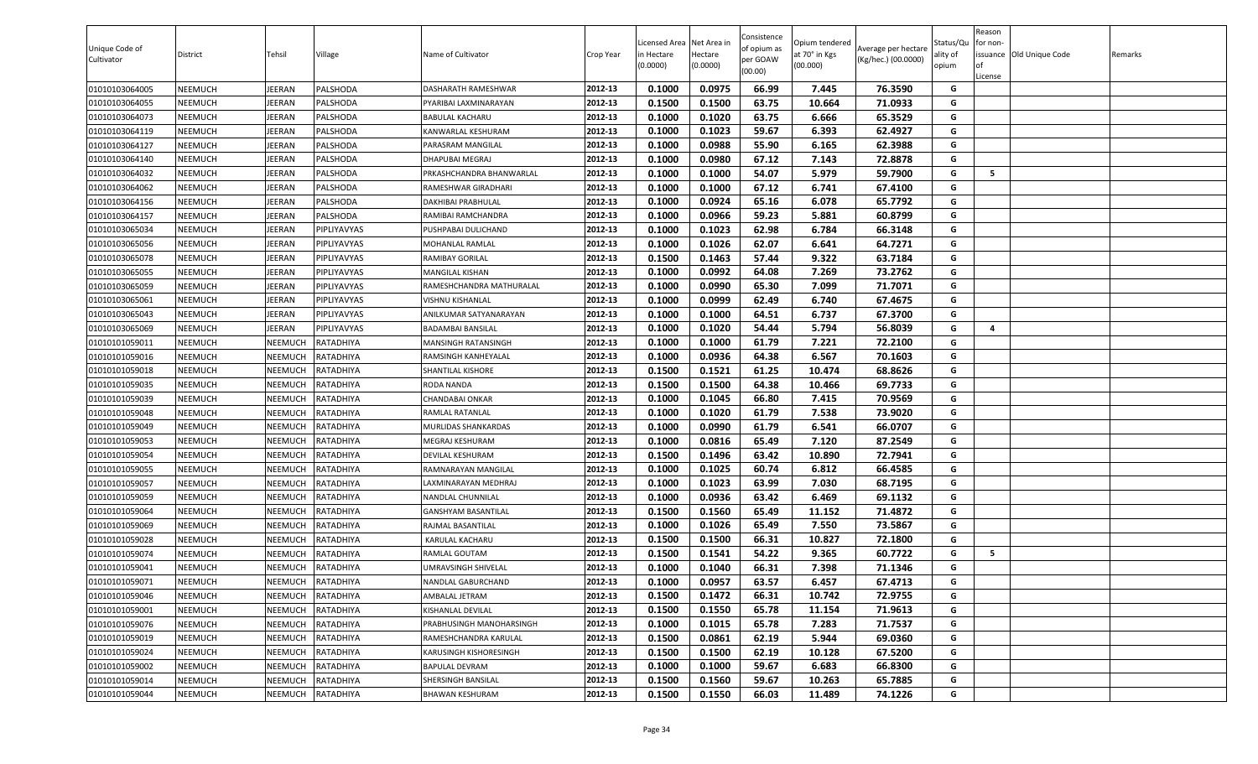| Unique Code of<br>Cultivator | District       | Tehsil         | Village     | Name of Cultivator         | Crop Year | Licensed Area<br>n Hectare<br>(0.0000) | Net Area ir<br>Hectare<br>(0.0000) | Consistence<br>of opium as<br>per GOAW<br>(00.00) | Opium tendered<br>at 70° in Kgs<br>(00.000) | Average per hectare<br>(Kg/hec.) (00.0000) | Status/Qu<br>ality of<br>opium | Reason<br>or non-<br>of<br>License | issuance Old Unique Code | Remarks |
|------------------------------|----------------|----------------|-------------|----------------------------|-----------|----------------------------------------|------------------------------------|---------------------------------------------------|---------------------------------------------|--------------------------------------------|--------------------------------|------------------------------------|--------------------------|---------|
| 01010103064005               | NEEMUCH        | JEERAN         | PALSHODA    | DASHARATH RAMESHWAR        | 2012-13   | 0.1000                                 | 0.0975                             | 66.99                                             | 7.445                                       | 76.3590                                    | G                              |                                    |                          |         |
| 01010103064055               | NEEMUCH        | JEERAN         | PALSHODA    | PYARIBAI LAXMINARAYAN      | 2012-13   | 0.1500                                 | 0.1500                             | 63.75                                             | 10.664                                      | 71.0933                                    | G                              |                                    |                          |         |
| 01010103064073               | NEEMUCH        | <b>JEERAN</b>  | PALSHODA    | <b>BABULAL KACHARU</b>     | 2012-13   | 0.1000                                 | 0.1020                             | 63.75                                             | 6.666                                       | 65.3529                                    | G                              |                                    |                          |         |
| 01010103064119               | NEEMUCH        | JEERAN         | PALSHODA    | KANWARLAL KESHURAM         | 2012-13   | 0.1000                                 | 0.1023                             | 59.67                                             | 6.393                                       | 62.4927                                    | G                              |                                    |                          |         |
| 01010103064127               | NEEMUCH        | JEERAN         | PALSHODA    | PARASRAM MANGILAL          | 2012-13   | 0.1000                                 | 0.0988                             | 55.90                                             | 6.165                                       | 62.3988                                    | G                              |                                    |                          |         |
| 01010103064140               | NEEMUCH        | JEERAN         | PALSHODA    | DHAPUBAI MEGRAJ            | 2012-13   | 0.1000                                 | 0.0980                             | 67.12                                             | 7.143                                       | 72.8878                                    | G                              |                                    |                          |         |
| 01010103064032               | NEEMUCH        | <b>JEERAN</b>  | PALSHODA    | PRKASHCHANDRA BHANWARLAL   | 2012-13   | 0.1000                                 | 0.1000                             | 54.07                                             | 5.979                                       | 59.7900                                    | G                              | 5                                  |                          |         |
| 01010103064062               | NEEMUCH        | <b>JEERAN</b>  | PALSHODA    | RAMESHWAR GIRADHARI        | 2012-13   | 0.1000                                 | 0.1000                             | 67.12                                             | 6.741                                       | 67.4100                                    | G                              |                                    |                          |         |
| 01010103064156               | NEEMUCH        | JEERAN         | PALSHODA    | DAKHIBAI PRABHULAL         | 2012-13   | 0.1000                                 | 0.0924                             | 65.16                                             | 6.078                                       | 65.7792                                    | G                              |                                    |                          |         |
| 01010103064157               | NEEMUCH        | JEERAN         | PALSHODA    | RAMIBAI RAMCHANDRA         | 2012-13   | 0.1000                                 | 0.0966                             | 59.23                                             | 5.881                                       | 60.8799                                    | G                              |                                    |                          |         |
| 01010103065034               | NEEMUCH        | JEERAN         | PIPLIYAVYAS | PUSHPABAI DULICHAND        | 2012-13   | 0.1000                                 | 0.1023                             | 62.98                                             | 6.784                                       | 66.3148                                    | G                              |                                    |                          |         |
| 01010103065056               | NEEMUCH        | <b>JEERAN</b>  | PIPLIYAVYAS | MOHANLAL RAMLAL            | 2012-13   | 0.1000                                 | 0.1026                             | 62.07                                             | 6.641                                       | 64.7271                                    | G                              |                                    |                          |         |
| 01010103065078               | NEEMUCH        | JEERAN         | PIPLIYAVYAS | RAMIBAY GORILAL            | 2012-13   | 0.1500                                 | 0.1463                             | 57.44                                             | 9.322                                       | 63.7184                                    | G                              |                                    |                          |         |
| 01010103065055               | NEEMUCH        | JEERAN         | PIPLIYAVYAS | <b>MANGILAL KISHAN</b>     | 2012-13   | 0.1000                                 | 0.0992                             | 64.08                                             | 7.269                                       | 73.2762                                    | G                              |                                    |                          |         |
| 01010103065059               | <b>NEEMUCH</b> | <b>JEERAN</b>  | PIPLIYAVYAS | RAMESHCHANDRA MATHURALAL   | 2012-13   | 0.1000                                 | 0.0990                             | 65.30                                             | 7.099                                       | 71.7071                                    | G                              |                                    |                          |         |
| 01010103065061               | NEEMUCH        | <b>JEERAN</b>  | PIPLIYAVYAS | <b>VISHNU KISHANLAL</b>    | 2012-13   | 0.1000                                 | 0.0999                             | 62.49                                             | 6.740                                       | 67.4675                                    | G                              |                                    |                          |         |
| 01010103065043               | NEEMUCH        | JEERAN         | PIPLIYAVYAS | ANILKUMAR SATYANARAYAN     | 2012-13   | 0.1000                                 | 0.1000                             | 64.51                                             | 6.737                                       | 67.3700                                    | G                              |                                    |                          |         |
| 01010103065069               | NEEMUCH        | JEERAN         | PIPLIYAVYAS | <b>BADAMBAI BANSILAL</b>   | 2012-13   | 0.1000                                 | 0.1020                             | 54.44                                             | 5.794                                       | 56.8039                                    | G                              | 4                                  |                          |         |
| 01010101059011               | NEEMUCH        | NEEMUCH        | RATADHIYA   | MANSINGH RATANSINGH        | 2012-13   | 0.1000                                 | 0.1000                             | 61.79                                             | 7.221                                       | 72.2100                                    | G                              |                                    |                          |         |
| 01010101059016               | NEEMUCH        | NEEMUCH        | RATADHIYA   | RAMSINGH KANHEYALAL        | 2012-13   | 0.1000                                 | 0.0936                             | 64.38                                             | 6.567                                       | 70.1603                                    | G                              |                                    |                          |         |
| 01010101059018               | NEEMUCH        | NEEMUCH        | RATADHIYA   | SHANTILAL KISHORE          | 2012-13   | 0.1500                                 | 0.1521                             | 61.25                                             | 10.474                                      | 68.8626                                    | G                              |                                    |                          |         |
| 01010101059035               | NEEMUCH        | NEEMUCH        | RATADHIYA   | RODA NANDA                 | 2012-13   | 0.1500                                 | 0.1500                             | 64.38                                             | 10.466                                      | 69.7733                                    | G                              |                                    |                          |         |
| 01010101059039               | NEEMUCH        | NEEMUCH        | RATADHIYA   | CHANDABAI ONKAR            | 2012-13   | 0.1000                                 | 0.1045                             | 66.80                                             | 7.415                                       | 70.9569                                    | G                              |                                    |                          |         |
| 01010101059048               | NEEMUCH        | NEEMUCH        | RATADHIYA   | RAMLAL RATANLAL            | 2012-13   | 0.1000                                 | 0.1020                             | 61.79                                             | 7.538                                       | 73.9020                                    | G                              |                                    |                          |         |
| 01010101059049               | NEEMUCH        | NEEMUCH        | RATADHIYA   | MURLIDAS SHANKARDAS        | 2012-13   | 0.1000                                 | 0.0990                             | 61.79                                             | 6.541                                       | 66.0707                                    | G                              |                                    |                          |         |
| 01010101059053               | NEEMUCH        | NEEMUCH        | RATADHIYA   | MEGRAJ KESHURAM            | 2012-13   | 0.1000                                 | 0.0816                             | 65.49                                             | 7.120                                       | 87.2549                                    | G                              |                                    |                          |         |
| 01010101059054               | NEEMUCH        | NEEMUCH        | RATADHIYA   | DEVILAL KESHURAM           | 2012-13   | 0.1500                                 | 0.1496                             | 63.42                                             | 10.890                                      | 72.7941                                    | G                              |                                    |                          |         |
| 01010101059055               | NEEMUCH        | NEEMUCH        | RATADHIYA   | RAMNARAYAN MANGILAL        | 2012-13   | 0.1000                                 | 0.1025                             | 60.74                                             | 6.812                                       | 66.4585                                    | G                              |                                    |                          |         |
| 01010101059057               | NEEMUCH        | NEEMUCH        | RATADHIYA   | LAXMINARAYAN MEDHRAJ       | 2012-13   | 0.1000                                 | 0.1023                             | 63.99                                             | 7.030                                       | 68.7195                                    | G                              |                                    |                          |         |
| 01010101059059               | NEEMUCH        | <b>NEEMUCH</b> | RATADHIYA   | NANDLAL CHUNNILAL          | 2012-13   | 0.1000                                 | 0.0936                             | 63.42                                             | 6.469                                       | 69.1132                                    | G                              |                                    |                          |         |
| 01010101059064               | NEEMUCH        | NEEMUCH        | RATADHIYA   | <b>GANSHYAM BASANTILAL</b> | 2012-13   | 0.1500                                 | 0.1560                             | 65.49                                             | 11.152                                      | 71.4872                                    | G                              |                                    |                          |         |
| 01010101059069               | <b>NEEMUCH</b> | NEEMUCH        | RATADHIYA   | RAJMAL BASANTILAL          | 2012-13   | 0.1000                                 | 0.1026                             | 65.49                                             | 7.550                                       | 73.5867                                    | G                              |                                    |                          |         |
| 01010101059028               | NEEMUCH        | NEEMUCH        | RATADHIYA   | KARULAL KACHARU            | 2012-13   | 0.1500                                 | 0.1500                             | 66.31                                             | 10.827                                      | 72.1800                                    | G                              |                                    |                          |         |
| 01010101059074               | NEEMUCH        | NEEMUCH        | RATADHIYA   | <b>RAMLAL GOUTAM</b>       | 2012-13   | 0.1500                                 | 0.1541                             | 54.22                                             | 9.365                                       | 60.7722                                    | G                              | 5                                  |                          |         |
| 01010101059041               | NEEMUCH        | NEEMUCH        | RATADHIYA   | UMRAVSINGH SHIVELAL        | 2012-13   | 0.1000                                 | 0.1040                             | 66.31                                             | 7.398                                       | 71.1346                                    | G                              |                                    |                          |         |
| 01010101059071               | NEEMUCH        | <b>NEEMUCH</b> | RATADHIYA   | <b>NANDLAL GABURCHAND</b>  | 2012-13   | 0.1000                                 | 0.0957                             | 63.57                                             | 6.457                                       | 67.4713                                    | G                              |                                    |                          |         |
| 01010101059046               | NEEMUCH        | NEEMUCH        | RATADHIYA   | AMBALAL JETRAM             | 2012-13   | 0.1500                                 | 0.1472                             | 66.31                                             | 10.742                                      | 72.9755                                    | G                              |                                    |                          |         |
| 01010101059001               | NEEMUCH        | NEEMUCH        | RATADHIYA   | KISHANLAL DEVILAL          | 2012-13   | 0.1500                                 | 0.1550                             | 65.78                                             | 11.154                                      | 71.9613                                    | G                              |                                    |                          |         |
| 01010101059076               | <b>NEEMUCH</b> | NEEMUCH        | RATADHIYA   | PRABHUSINGH MANOHARSINGH   | 2012-13   | 0.1000                                 | 0.1015                             | 65.78                                             | 7.283                                       | 71.7537                                    | G                              |                                    |                          |         |
| 01010101059019               | <b>NEEMUCH</b> | NEEMUCH        | RATADHIYA   | RAMESHCHANDRA KARULAL      | 2012-13   | 0.1500                                 | 0.0861                             | 62.19                                             | 5.944                                       | 69.0360                                    | G                              |                                    |                          |         |
| 01010101059024               | <b>NEEMUCH</b> | NEEMUCH        | RATADHIYA   | KARUSINGH KISHORESINGH     | 2012-13   | 0.1500                                 | 0.1500                             | 62.19                                             | 10.128                                      | 67.5200                                    | G                              |                                    |                          |         |
| 01010101059002               | NEEMUCH        | NEEMUCH        | RATADHIYA   | <b>BAPULAL DEVRAM</b>      | 2012-13   | 0.1000                                 | 0.1000                             | 59.67                                             | 6.683                                       | 66.8300                                    | G                              |                                    |                          |         |
| 01010101059014               | <b>NEEMUCH</b> | NEEMUCH        | RATADHIYA   | SHERSINGH BANSILAL         | 2012-13   | 0.1500                                 | 0.1560                             | 59.67                                             | 10.263                                      | 65.7885                                    | G                              |                                    |                          |         |
| 01010101059044               | <b>NEEMUCH</b> | NEEMUCH        | RATADHIYA   | <b>BHAWAN KESHURAM</b>     | 2012-13   | 0.1500                                 | 0.1550                             | 66.03                                             | 11.489                                      | 74.1226                                    | G                              |                                    |                          |         |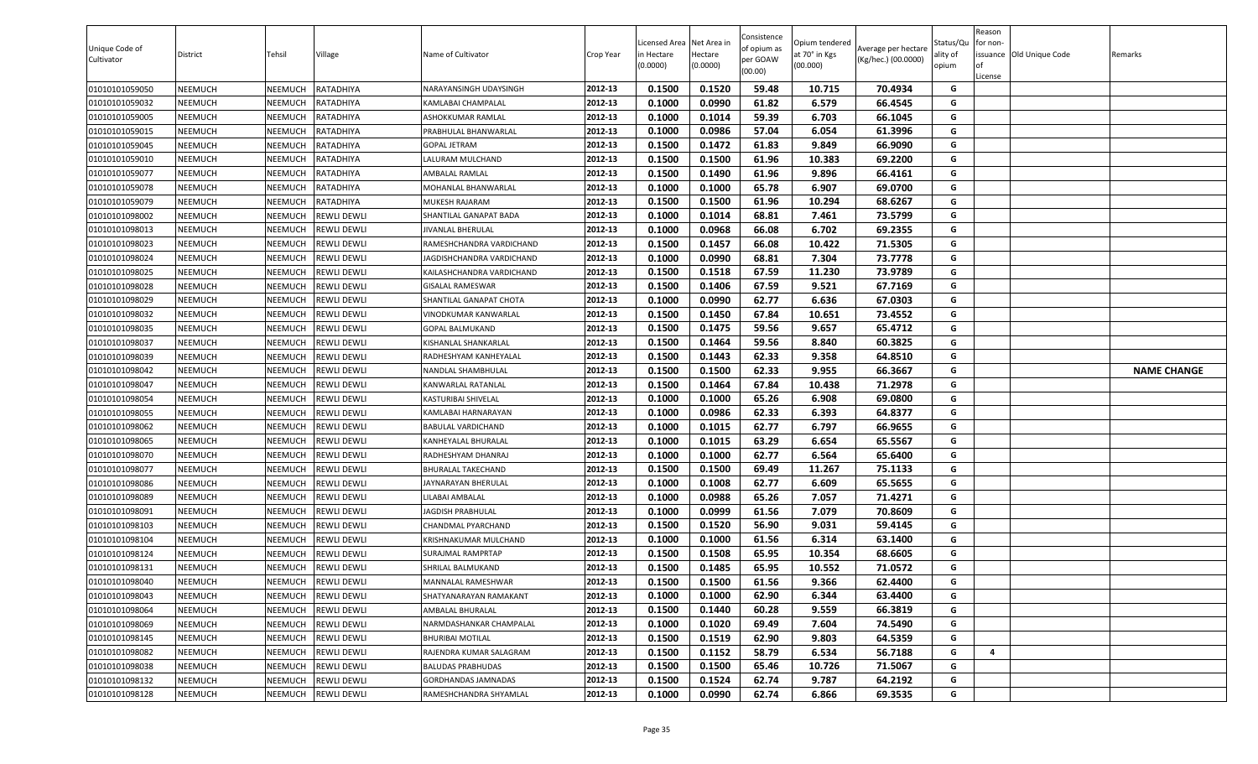| 0.1500<br>0.1520<br>59.48<br>01010101059050<br><b>NEEMUCH</b><br>NEEMUCH<br>RATADHIYA<br>2012-13<br>10.715<br>70.4934<br>G<br>NARAYANSINGH UDAYSINGH<br>01010101059032<br>0.1000<br>0.0990<br>61.82<br>6.579<br>66.4545<br>NEEMUCH<br>NEEMUCH<br>RATADHIYA<br>2012-13<br>G<br>KAMLABAI CHAMPALAL<br>01010101059005<br><b>NEEMUCH</b><br>NEEMUCH<br>RATADHIYA<br>2012-13<br>0.1000<br>0.1014<br>59.39<br>6.703<br>66.1045<br>G<br>ASHOKKUMAR RAMLAL<br>0.1000<br>0.0986<br>57.04<br>61.3996<br>01010101059015<br>NEEMUCH<br>NEEMUCH<br>RATADHIYA<br>2012-13<br>6.054<br>G<br>PRABHULAL BHANWARLAL<br>61.83<br>9.849<br>0.1500<br>0.1472<br>66.9090<br>G<br>01010101059045<br><b>NEEMUCH</b><br>NEEMUCH<br>RATADHIYA<br>2012-13<br>GOPAL JETRAM<br>2012-13<br>0.1500<br>61.96<br>10.383<br>69.2200<br>NEEMUCH<br>RATADHIYA<br>0.1500<br>G<br>01010101059010<br><b>NEEMUCH</b><br>LALURAM MULCHAND<br>G<br>2012-13<br>0.1500<br>0.1490<br>61.96<br>9.896<br>66.4161<br>01010101059077<br><b>NEEMUCH</b><br>NEEMUCH<br>RATADHIYA<br>AMBALAL RAMLAL<br>G<br>2012-13<br>0.1000<br>0.1000<br>65.78<br>6.907<br>69.0700<br>01010101059078<br><b>NEEMUCH</b><br>NEEMUCH<br>RATADHIYA<br>MOHANLAL BHANWARLAL<br>01010101059079<br>RATADHIYA<br>2012-13<br>0.1500<br>0.1500<br>61.96<br>10.294<br>68.6267<br>G<br><b>NEEMUCH</b><br>NEEMUCH<br>MUKESH RAJARAM<br>73.5799<br>01010101098002<br>NEEMUCH<br>0.1000<br>0.1014<br>68.81<br>7.461<br>G<br>NEEMUCH<br>REWLI DEWLI<br>SHANTILAL GANAPAT BADA<br>2012-13<br>0.0968<br>66.08<br>6.702<br>69.2355<br>01010101098013<br><b>NEEMUCH</b><br>NEEMUCH<br><b>REWLI DEWLI</b><br>2012-13<br>0.1000<br>G<br>JIVANLAL BHERULAL<br>66.08<br>10.422<br>71.5305<br>G<br>NEEMUCH<br>2012-13<br>0.1500<br>0.1457<br>01010101098023<br>NEEMUCH<br>REWLI DEWLI<br>RAMESHCHANDRA VARDICHAND<br>68.81<br>0.1000<br>0.0990<br>7.304<br>73.7778<br>G<br>01010101098024<br><b>NEEMUCH</b><br>NEEMUCH<br><b>REWLI DEWLI</b><br>2012-13<br>IAGDISHCHANDRA VARDICHAND<br>67.59<br>11.230<br>73.9789<br><b>NEEMUCH</b><br>0.1500<br>0.1518<br>G<br>01010101098025<br>NEEMUCH<br><b>REWLI DEWLI</b><br>2012-13<br>KAILASHCHANDRA VARDICHAND<br>0.1500<br>0.1406<br>67.59<br>9.521<br>67.7169<br>G<br>01010101098028<br><b>NEEMUCH</b><br>NEEMUCH<br><b>REWLI DEWLI</b><br>2012-13<br><b>GISALAL RAMESWAR</b><br>0.1000<br>0.0990<br>62.77<br>6.636<br>67.0303<br>G<br>01010101098029<br><b>NEEMUCH</b><br>NEEMUCH<br>REWLI DEWLI<br>2012-13<br>SHANTILAL GANAPAT CHOTA<br>0.1500<br>0.1450<br>67.84<br>10.651<br>73.4552<br>01010101098032<br>NEEMUCH<br>2012-13<br>G<br><b>NEEMUCH</b><br>REWLI DEWLI<br>VINODKUMAR KANWARLAL<br>2012-13<br>0.1500<br>0.1475<br>59.56<br>9.657<br>65.4712<br>G<br>01010101098035<br><b>NEEMUCH</b><br>NEEMUCH<br><b>REWLI DEWLI</b><br><b>GOPAL BALMUKAND</b><br>01010101098037<br>2012-13<br>0.1500<br>0.1464<br>59.56<br>8.840<br>60.3825<br>G<br><b>NEEMUCH</b><br>NEEMUCH<br>REWLI DEWLI<br>KISHANLAL SHANKARLAL<br>G<br>2012-13<br>01010101098039<br><b>NEEMUCH</b><br>NEEMUCH<br>REWLI DEWLI<br>RADHESHYAM KANHEYALAL<br>0.1500<br>0.1443<br>62.33<br>9.358<br>64.8510<br>0.1500<br>0.1500<br>62.33<br>9.955<br>66.3667<br>01010101098042<br>NEEMUCH<br>NEEMUCH<br>REWLI DEWLI<br>2012-13<br>G<br><b>NAME CHANGE</b><br>NANDLAL SHAMBHULAL<br>67.84<br>0.1500<br>0.1464<br>10.438<br>71.2978<br>G<br>01010101098047<br><b>NEEMUCH</b><br>NEEMUCH<br><b>REWLI DEWLI</b><br>2012-13<br>KANWARLAL RATANLAL<br>01010101098054<br><b>NEEMUCH</b><br>NEEMUCH<br>REWLI DEWLI<br>2012-13<br>0.1000<br>0.1000<br>65.26<br>6.908<br>69.0800<br>G<br>KASTURIBAI SHIVELAL<br>0.0986<br>01010101098055<br><b>NEEMUCH</b><br>NEEMUCH<br>REWLI DEWLI<br>2012-13<br>0.1000<br>62.33<br>6.393<br>64.8377<br>G<br>KAMLABAI HARNARAYAN<br>62.77<br>6.797<br>66.9655<br>01010101098062<br><b>NEEMUCH</b><br>NEEMUCH<br>REWLI DEWLI<br>2012-13<br>0.1000<br>0.1015<br>G<br>BABULAL VARDICHAND<br>0.1000<br>0.1015<br>63.29<br>6.654<br>65.5567<br>01010101098065<br><b>NEEMUCH</b><br>NEEMUCH<br><b>REWLI DEWLI</b><br>2012-13<br>G<br>KANHEYALAL BHURALAL<br>01010101098070<br>NEEMUCH<br>REWLI DEWLI<br>2012-13<br>0.1000<br>0.1000<br>62.77<br>6.564<br>65.6400<br><b>NEEMUCH</b><br>G<br>RADHESHYAM DHANRAJ<br>01010101098077<br><b>NEEMUCH</b><br>NEEMUCH<br>REWLI DEWLI<br>2012-13<br>0.1500<br>0.1500<br>69.49<br>11.267<br>75.1133<br>G<br>BHURALAL TAKECHAND<br>G<br>2012-13<br>0.1000<br>0.1008<br>62.77<br>6.609<br>65.5655<br>NEEMUCH<br>REWLI DEWLI<br>01010101098086<br>NEEMUCH<br>AYNARAYAN BHERULAL<br>65.26<br>G<br>2012-13<br>0.1000<br>0.0988<br>7.057<br>71.4271<br>01010101098089<br><b>NEEMUCH</b><br>NEEMUCH<br>REWLI DEWLI<br>ILABAI AMBALAL<br>2012-13<br>0.0999<br>61.56<br>7.079<br>70.8609<br>G<br><b>NEEMUCH</b><br>NEEMUCH<br>0.1000<br>01010101098091<br><b>REWLI DEWLI</b><br>JAGDISH PRABHULAL<br><b>NEEMUCH</b><br>NEEMUCH<br>2012-13<br>0.1500<br>0.1520<br>56.90<br>9.031<br>59.4145<br>G<br>01010101098103<br><b>REWLI DEWLI</b><br>CHANDMAL PYARCHAND<br>0.1000<br>0.1000<br>61.56<br>6.314<br>G<br>01010101098104<br><b>NEEMUCH</b><br>NEEMUCH<br>REWLI DEWLI<br>2012-13<br>63.1400<br>KRISHNAKUMAR MULCHAND<br>0.1508<br>65.95<br>10.354<br>68.6605<br>01010101098124<br><b>NEEMUCH</b><br>NEEMUCH<br><b>REWLI DEWLI</b><br>2012-13<br>0.1500<br>G<br>SURAJMAL RAMPRTAP<br>10.552<br>01010101098131<br><b>REWLI DEWLI</b><br>0.1500<br>0.1485<br>65.95<br>71.0572<br>G<br><b>NEEMUCH</b><br>NEEMUCH<br>2012-13<br>SHRILAL BALMUKAND<br>01010101098040<br><b>NEEMUCH</b><br><b>REWLI DEWLI</b><br>2012-13<br>0.1500<br>0.1500<br>61.56<br>9.366<br>62.4400<br>G<br><b>NEEMUCH</b><br>MANNALAL RAMESHWAR<br>2012-13<br>0.1000<br>0.1000<br>62.90<br>63.4400<br>G<br>01010101098043<br><b>NEEMUCH</b><br>NEEMUCH<br>REWLI DEWLI<br>6.344<br>SHATYANARAYAN RAMAKANT<br>0.1500<br>0.1440<br>60.28<br>9.559<br>66.3819<br>01010101098064<br><b>NEEMUCH</b><br>NEEMUCH<br><b>REWLI DEWLI</b><br>2012-13<br>G<br>AMBALAL BHURALAL<br>7.604<br>74.5490<br><b>NEEMUCH</b><br>NEEMUCH<br>2012-13<br>0.1000<br>0.1020<br>69.49<br>G<br>01010101098069<br><b>REWLI DEWLI</b><br>NARMDASHANKAR CHAMPALAL<br><b>NEEMUCH</b><br>NEEMUCH<br>2012-13<br>0.1500<br>0.1519<br>62.90<br>9.803<br>64.5359<br>01010101098145<br><b>REWLI DEWLI</b><br>G<br><b>BHURIBAI MOTILAL</b><br>G<br>2012-13<br>0.1152<br>58.79<br>6.534<br>4<br>01010101098082<br><b>NEEMUCH</b><br><b>NEEMUCH</b><br><b>REWLI DEWLI</b><br>RAJENDRA KUMAR SALAGRAM<br>0.1500<br>56.7188<br>01010101098038<br>2012-13<br>0.1500<br>0.1500<br>65.46<br>10.726<br>71.5067<br>G<br><b>NEEMUCH</b><br>NEEMUCH<br><b>REWLI DEWLI</b><br><b>BALUDAS PRABHUDAS</b><br>62.74<br>G<br>01010101098132<br>2012-13<br>0.1500<br>0.1524<br>9.787<br>64.2192<br><b>NEEMUCH</b><br><b>NEEMUCH</b><br><b>REWLI DEWLI</b><br>GORDHANDAS JAMNADAS<br>01010101098128<br><b>NEEMUCH</b><br>NEEMUCH<br><b>REWLI DEWLI</b><br>RAMESHCHANDRA SHYAMLAL<br>2012-13<br>0.1000<br>0.0990<br>62.74<br>6.866<br>69.3535<br>G | Unique Code of<br>Cultivator | <b>District</b> | Tehsil | Village | Name of Cultivator | Crop Year | .icensed Area<br>in Hectare<br>(0.0000) | Net Area in<br>Hectare<br>(0.0000) | Consistence<br>of opium as<br>per GOAW<br>(00.00) | Opium tendered<br>at 70° in Kgs<br>(00.000) | Average per hectare<br>(Kg/hec.) (00.0000) | Status/Qu<br>ality of<br>opium | Reason<br>for non-<br>lof<br>License | issuance Old Unique Code | Remarks |
|---------------------------------------------------------------------------------------------------------------------------------------------------------------------------------------------------------------------------------------------------------------------------------------------------------------------------------------------------------------------------------------------------------------------------------------------------------------------------------------------------------------------------------------------------------------------------------------------------------------------------------------------------------------------------------------------------------------------------------------------------------------------------------------------------------------------------------------------------------------------------------------------------------------------------------------------------------------------------------------------------------------------------------------------------------------------------------------------------------------------------------------------------------------------------------------------------------------------------------------------------------------------------------------------------------------------------------------------------------------------------------------------------------------------------------------------------------------------------------------------------------------------------------------------------------------------------------------------------------------------------------------------------------------------------------------------------------------------------------------------------------------------------------------------------------------------------------------------------------------------------------------------------------------------------------------------------------------------------------------------------------------------------------------------------------------------------------------------------------------------------------------------------------------------------------------------------------------------------------------------------------------------------------------------------------------------------------------------------------------------------------------------------------------------------------------------------------------------------------------------------------------------------------------------------------------------------------------------------------------------------------------------------------------------------------------------------------------------------------------------------------------------------------------------------------------------------------------------------------------------------------------------------------------------------------------------------------------------------------------------------------------------------------------------------------------------------------------------------------------------------------------------------------------------------------------------------------------------------------------------------------------------------------------------------------------------------------------------------------------------------------------------------------------------------------------------------------------------------------------------------------------------------------------------------------------------------------------------------------------------------------------------------------------------------------------------------------------------------------------------------------------------------------------------------------------------------------------------------------------------------------------------------------------------------------------------------------------------------------------------------------------------------------------------------------------------------------------------------------------------------------------------------------------------------------------------------------------------------------------------------------------------------------------------------------------------------------------------------------------------------------------------------------------------------------------------------------------------------------------------------------------------------------------------------------------------------------------------------------------------------------------------------------------------------------------------------------------------------------------------------------------------------------------------------------------------------------------------------------------------------------------------------------------------------------------------------------------------------------------------------------------------------------------------------------------------------------------------------------------------------------------------------------------------------------------------------------------------------------------------------------------------------------------------------------------------------------------------------------------------------------------------------------------------------------------------------------------------------------------------------------------------------------------------------------------------------------------------------------------------------------------------------------------------------------------------------------------------------------------------------------------------------------------------------------------------------------------------------------------------------------------------------------------------------------------------------------------------------------------------------------------------------------------------------------------------------------------------------------------------------------------------------------------------------------------------------------------------------------------------------------------------------------------------------------------------------------------------------------------------------------------------------------------------------------------------------------------------------------------------------------------------------------------------------------------------------------------------------------------------------------------------------------------------------------------------------------------------------------------------------------------------------------------------------------------------------------------------------------------------------------------------------------------------------------------------------------------------------------------------------------------------------|------------------------------|-----------------|--------|---------|--------------------|-----------|-----------------------------------------|------------------------------------|---------------------------------------------------|---------------------------------------------|--------------------------------------------|--------------------------------|--------------------------------------|--------------------------|---------|
|                                                                                                                                                                                                                                                                                                                                                                                                                                                                                                                                                                                                                                                                                                                                                                                                                                                                                                                                                                                                                                                                                                                                                                                                                                                                                                                                                                                                                                                                                                                                                                                                                                                                                                                                                                                                                                                                                                                                                                                                                                                                                                                                                                                                                                                                                                                                                                                                                                                                                                                                                                                                                                                                                                                                                                                                                                                                                                                                                                                                                                                                                                                                                                                                                                                                                                                                                                                                                                                                                                                                                                                                                                                                                                                                                                                                                                                                                                                                                                                                                                                                                                                                                                                                                                                                                                                                                                                                                                                                                                                                                                                                                                                                                                                                                                                                                                                                                                                                                                                                                                                                                                                                                                                                                                                                                                                                                                                                                                                                                                                                                                                                                                                                                                                                                                                                                                                                                                                                                                                                                                                                                                                                                                                                                                                                                                                                                                                                                                                                                                                                                                                                                                                                                                                                                                                                                                                                                                                                                                                                                           |                              |                 |        |         |                    |           |                                         |                                    |                                                   |                                             |                                            |                                |                                      |                          |         |
|                                                                                                                                                                                                                                                                                                                                                                                                                                                                                                                                                                                                                                                                                                                                                                                                                                                                                                                                                                                                                                                                                                                                                                                                                                                                                                                                                                                                                                                                                                                                                                                                                                                                                                                                                                                                                                                                                                                                                                                                                                                                                                                                                                                                                                                                                                                                                                                                                                                                                                                                                                                                                                                                                                                                                                                                                                                                                                                                                                                                                                                                                                                                                                                                                                                                                                                                                                                                                                                                                                                                                                                                                                                                                                                                                                                                                                                                                                                                                                                                                                                                                                                                                                                                                                                                                                                                                                                                                                                                                                                                                                                                                                                                                                                                                                                                                                                                                                                                                                                                                                                                                                                                                                                                                                                                                                                                                                                                                                                                                                                                                                                                                                                                                                                                                                                                                                                                                                                                                                                                                                                                                                                                                                                                                                                                                                                                                                                                                                                                                                                                                                                                                                                                                                                                                                                                                                                                                                                                                                                                                           |                              |                 |        |         |                    |           |                                         |                                    |                                                   |                                             |                                            |                                |                                      |                          |         |
|                                                                                                                                                                                                                                                                                                                                                                                                                                                                                                                                                                                                                                                                                                                                                                                                                                                                                                                                                                                                                                                                                                                                                                                                                                                                                                                                                                                                                                                                                                                                                                                                                                                                                                                                                                                                                                                                                                                                                                                                                                                                                                                                                                                                                                                                                                                                                                                                                                                                                                                                                                                                                                                                                                                                                                                                                                                                                                                                                                                                                                                                                                                                                                                                                                                                                                                                                                                                                                                                                                                                                                                                                                                                                                                                                                                                                                                                                                                                                                                                                                                                                                                                                                                                                                                                                                                                                                                                                                                                                                                                                                                                                                                                                                                                                                                                                                                                                                                                                                                                                                                                                                                                                                                                                                                                                                                                                                                                                                                                                                                                                                                                                                                                                                                                                                                                                                                                                                                                                                                                                                                                                                                                                                                                                                                                                                                                                                                                                                                                                                                                                                                                                                                                                                                                                                                                                                                                                                                                                                                                                           |                              |                 |        |         |                    |           |                                         |                                    |                                                   |                                             |                                            |                                |                                      |                          |         |
|                                                                                                                                                                                                                                                                                                                                                                                                                                                                                                                                                                                                                                                                                                                                                                                                                                                                                                                                                                                                                                                                                                                                                                                                                                                                                                                                                                                                                                                                                                                                                                                                                                                                                                                                                                                                                                                                                                                                                                                                                                                                                                                                                                                                                                                                                                                                                                                                                                                                                                                                                                                                                                                                                                                                                                                                                                                                                                                                                                                                                                                                                                                                                                                                                                                                                                                                                                                                                                                                                                                                                                                                                                                                                                                                                                                                                                                                                                                                                                                                                                                                                                                                                                                                                                                                                                                                                                                                                                                                                                                                                                                                                                                                                                                                                                                                                                                                                                                                                                                                                                                                                                                                                                                                                                                                                                                                                                                                                                                                                                                                                                                                                                                                                                                                                                                                                                                                                                                                                                                                                                                                                                                                                                                                                                                                                                                                                                                                                                                                                                                                                                                                                                                                                                                                                                                                                                                                                                                                                                                                                           |                              |                 |        |         |                    |           |                                         |                                    |                                                   |                                             |                                            |                                |                                      |                          |         |
|                                                                                                                                                                                                                                                                                                                                                                                                                                                                                                                                                                                                                                                                                                                                                                                                                                                                                                                                                                                                                                                                                                                                                                                                                                                                                                                                                                                                                                                                                                                                                                                                                                                                                                                                                                                                                                                                                                                                                                                                                                                                                                                                                                                                                                                                                                                                                                                                                                                                                                                                                                                                                                                                                                                                                                                                                                                                                                                                                                                                                                                                                                                                                                                                                                                                                                                                                                                                                                                                                                                                                                                                                                                                                                                                                                                                                                                                                                                                                                                                                                                                                                                                                                                                                                                                                                                                                                                                                                                                                                                                                                                                                                                                                                                                                                                                                                                                                                                                                                                                                                                                                                                                                                                                                                                                                                                                                                                                                                                                                                                                                                                                                                                                                                                                                                                                                                                                                                                                                                                                                                                                                                                                                                                                                                                                                                                                                                                                                                                                                                                                                                                                                                                                                                                                                                                                                                                                                                                                                                                                                           |                              |                 |        |         |                    |           |                                         |                                    |                                                   |                                             |                                            |                                |                                      |                          |         |
|                                                                                                                                                                                                                                                                                                                                                                                                                                                                                                                                                                                                                                                                                                                                                                                                                                                                                                                                                                                                                                                                                                                                                                                                                                                                                                                                                                                                                                                                                                                                                                                                                                                                                                                                                                                                                                                                                                                                                                                                                                                                                                                                                                                                                                                                                                                                                                                                                                                                                                                                                                                                                                                                                                                                                                                                                                                                                                                                                                                                                                                                                                                                                                                                                                                                                                                                                                                                                                                                                                                                                                                                                                                                                                                                                                                                                                                                                                                                                                                                                                                                                                                                                                                                                                                                                                                                                                                                                                                                                                                                                                                                                                                                                                                                                                                                                                                                                                                                                                                                                                                                                                                                                                                                                                                                                                                                                                                                                                                                                                                                                                                                                                                                                                                                                                                                                                                                                                                                                                                                                                                                                                                                                                                                                                                                                                                                                                                                                                                                                                                                                                                                                                                                                                                                                                                                                                                                                                                                                                                                                           |                              |                 |        |         |                    |           |                                         |                                    |                                                   |                                             |                                            |                                |                                      |                          |         |
|                                                                                                                                                                                                                                                                                                                                                                                                                                                                                                                                                                                                                                                                                                                                                                                                                                                                                                                                                                                                                                                                                                                                                                                                                                                                                                                                                                                                                                                                                                                                                                                                                                                                                                                                                                                                                                                                                                                                                                                                                                                                                                                                                                                                                                                                                                                                                                                                                                                                                                                                                                                                                                                                                                                                                                                                                                                                                                                                                                                                                                                                                                                                                                                                                                                                                                                                                                                                                                                                                                                                                                                                                                                                                                                                                                                                                                                                                                                                                                                                                                                                                                                                                                                                                                                                                                                                                                                                                                                                                                                                                                                                                                                                                                                                                                                                                                                                                                                                                                                                                                                                                                                                                                                                                                                                                                                                                                                                                                                                                                                                                                                                                                                                                                                                                                                                                                                                                                                                                                                                                                                                                                                                                                                                                                                                                                                                                                                                                                                                                                                                                                                                                                                                                                                                                                                                                                                                                                                                                                                                                           |                              |                 |        |         |                    |           |                                         |                                    |                                                   |                                             |                                            |                                |                                      |                          |         |
|                                                                                                                                                                                                                                                                                                                                                                                                                                                                                                                                                                                                                                                                                                                                                                                                                                                                                                                                                                                                                                                                                                                                                                                                                                                                                                                                                                                                                                                                                                                                                                                                                                                                                                                                                                                                                                                                                                                                                                                                                                                                                                                                                                                                                                                                                                                                                                                                                                                                                                                                                                                                                                                                                                                                                                                                                                                                                                                                                                                                                                                                                                                                                                                                                                                                                                                                                                                                                                                                                                                                                                                                                                                                                                                                                                                                                                                                                                                                                                                                                                                                                                                                                                                                                                                                                                                                                                                                                                                                                                                                                                                                                                                                                                                                                                                                                                                                                                                                                                                                                                                                                                                                                                                                                                                                                                                                                                                                                                                                                                                                                                                                                                                                                                                                                                                                                                                                                                                                                                                                                                                                                                                                                                                                                                                                                                                                                                                                                                                                                                                                                                                                                                                                                                                                                                                                                                                                                                                                                                                                                           |                              |                 |        |         |                    |           |                                         |                                    |                                                   |                                             |                                            |                                |                                      |                          |         |
|                                                                                                                                                                                                                                                                                                                                                                                                                                                                                                                                                                                                                                                                                                                                                                                                                                                                                                                                                                                                                                                                                                                                                                                                                                                                                                                                                                                                                                                                                                                                                                                                                                                                                                                                                                                                                                                                                                                                                                                                                                                                                                                                                                                                                                                                                                                                                                                                                                                                                                                                                                                                                                                                                                                                                                                                                                                                                                                                                                                                                                                                                                                                                                                                                                                                                                                                                                                                                                                                                                                                                                                                                                                                                                                                                                                                                                                                                                                                                                                                                                                                                                                                                                                                                                                                                                                                                                                                                                                                                                                                                                                                                                                                                                                                                                                                                                                                                                                                                                                                                                                                                                                                                                                                                                                                                                                                                                                                                                                                                                                                                                                                                                                                                                                                                                                                                                                                                                                                                                                                                                                                                                                                                                                                                                                                                                                                                                                                                                                                                                                                                                                                                                                                                                                                                                                                                                                                                                                                                                                                                           |                              |                 |        |         |                    |           |                                         |                                    |                                                   |                                             |                                            |                                |                                      |                          |         |
|                                                                                                                                                                                                                                                                                                                                                                                                                                                                                                                                                                                                                                                                                                                                                                                                                                                                                                                                                                                                                                                                                                                                                                                                                                                                                                                                                                                                                                                                                                                                                                                                                                                                                                                                                                                                                                                                                                                                                                                                                                                                                                                                                                                                                                                                                                                                                                                                                                                                                                                                                                                                                                                                                                                                                                                                                                                                                                                                                                                                                                                                                                                                                                                                                                                                                                                                                                                                                                                                                                                                                                                                                                                                                                                                                                                                                                                                                                                                                                                                                                                                                                                                                                                                                                                                                                                                                                                                                                                                                                                                                                                                                                                                                                                                                                                                                                                                                                                                                                                                                                                                                                                                                                                                                                                                                                                                                                                                                                                                                                                                                                                                                                                                                                                                                                                                                                                                                                                                                                                                                                                                                                                                                                                                                                                                                                                                                                                                                                                                                                                                                                                                                                                                                                                                                                                                                                                                                                                                                                                                                           |                              |                 |        |         |                    |           |                                         |                                    |                                                   |                                             |                                            |                                |                                      |                          |         |
|                                                                                                                                                                                                                                                                                                                                                                                                                                                                                                                                                                                                                                                                                                                                                                                                                                                                                                                                                                                                                                                                                                                                                                                                                                                                                                                                                                                                                                                                                                                                                                                                                                                                                                                                                                                                                                                                                                                                                                                                                                                                                                                                                                                                                                                                                                                                                                                                                                                                                                                                                                                                                                                                                                                                                                                                                                                                                                                                                                                                                                                                                                                                                                                                                                                                                                                                                                                                                                                                                                                                                                                                                                                                                                                                                                                                                                                                                                                                                                                                                                                                                                                                                                                                                                                                                                                                                                                                                                                                                                                                                                                                                                                                                                                                                                                                                                                                                                                                                                                                                                                                                                                                                                                                                                                                                                                                                                                                                                                                                                                                                                                                                                                                                                                                                                                                                                                                                                                                                                                                                                                                                                                                                                                                                                                                                                                                                                                                                                                                                                                                                                                                                                                                                                                                                                                                                                                                                                                                                                                                                           |                              |                 |        |         |                    |           |                                         |                                    |                                                   |                                             |                                            |                                |                                      |                          |         |
|                                                                                                                                                                                                                                                                                                                                                                                                                                                                                                                                                                                                                                                                                                                                                                                                                                                                                                                                                                                                                                                                                                                                                                                                                                                                                                                                                                                                                                                                                                                                                                                                                                                                                                                                                                                                                                                                                                                                                                                                                                                                                                                                                                                                                                                                                                                                                                                                                                                                                                                                                                                                                                                                                                                                                                                                                                                                                                                                                                                                                                                                                                                                                                                                                                                                                                                                                                                                                                                                                                                                                                                                                                                                                                                                                                                                                                                                                                                                                                                                                                                                                                                                                                                                                                                                                                                                                                                                                                                                                                                                                                                                                                                                                                                                                                                                                                                                                                                                                                                                                                                                                                                                                                                                                                                                                                                                                                                                                                                                                                                                                                                                                                                                                                                                                                                                                                                                                                                                                                                                                                                                                                                                                                                                                                                                                                                                                                                                                                                                                                                                                                                                                                                                                                                                                                                                                                                                                                                                                                                                                           |                              |                 |        |         |                    |           |                                         |                                    |                                                   |                                             |                                            |                                |                                      |                          |         |
|                                                                                                                                                                                                                                                                                                                                                                                                                                                                                                                                                                                                                                                                                                                                                                                                                                                                                                                                                                                                                                                                                                                                                                                                                                                                                                                                                                                                                                                                                                                                                                                                                                                                                                                                                                                                                                                                                                                                                                                                                                                                                                                                                                                                                                                                                                                                                                                                                                                                                                                                                                                                                                                                                                                                                                                                                                                                                                                                                                                                                                                                                                                                                                                                                                                                                                                                                                                                                                                                                                                                                                                                                                                                                                                                                                                                                                                                                                                                                                                                                                                                                                                                                                                                                                                                                                                                                                                                                                                                                                                                                                                                                                                                                                                                                                                                                                                                                                                                                                                                                                                                                                                                                                                                                                                                                                                                                                                                                                                                                                                                                                                                                                                                                                                                                                                                                                                                                                                                                                                                                                                                                                                                                                                                                                                                                                                                                                                                                                                                                                                                                                                                                                                                                                                                                                                                                                                                                                                                                                                                                           |                              |                 |        |         |                    |           |                                         |                                    |                                                   |                                             |                                            |                                |                                      |                          |         |
|                                                                                                                                                                                                                                                                                                                                                                                                                                                                                                                                                                                                                                                                                                                                                                                                                                                                                                                                                                                                                                                                                                                                                                                                                                                                                                                                                                                                                                                                                                                                                                                                                                                                                                                                                                                                                                                                                                                                                                                                                                                                                                                                                                                                                                                                                                                                                                                                                                                                                                                                                                                                                                                                                                                                                                                                                                                                                                                                                                                                                                                                                                                                                                                                                                                                                                                                                                                                                                                                                                                                                                                                                                                                                                                                                                                                                                                                                                                                                                                                                                                                                                                                                                                                                                                                                                                                                                                                                                                                                                                                                                                                                                                                                                                                                                                                                                                                                                                                                                                                                                                                                                                                                                                                                                                                                                                                                                                                                                                                                                                                                                                                                                                                                                                                                                                                                                                                                                                                                                                                                                                                                                                                                                                                                                                                                                                                                                                                                                                                                                                                                                                                                                                                                                                                                                                                                                                                                                                                                                                                                           |                              |                 |        |         |                    |           |                                         |                                    |                                                   |                                             |                                            |                                |                                      |                          |         |
|                                                                                                                                                                                                                                                                                                                                                                                                                                                                                                                                                                                                                                                                                                                                                                                                                                                                                                                                                                                                                                                                                                                                                                                                                                                                                                                                                                                                                                                                                                                                                                                                                                                                                                                                                                                                                                                                                                                                                                                                                                                                                                                                                                                                                                                                                                                                                                                                                                                                                                                                                                                                                                                                                                                                                                                                                                                                                                                                                                                                                                                                                                                                                                                                                                                                                                                                                                                                                                                                                                                                                                                                                                                                                                                                                                                                                                                                                                                                                                                                                                                                                                                                                                                                                                                                                                                                                                                                                                                                                                                                                                                                                                                                                                                                                                                                                                                                                                                                                                                                                                                                                                                                                                                                                                                                                                                                                                                                                                                                                                                                                                                                                                                                                                                                                                                                                                                                                                                                                                                                                                                                                                                                                                                                                                                                                                                                                                                                                                                                                                                                                                                                                                                                                                                                                                                                                                                                                                                                                                                                                           |                              |                 |        |         |                    |           |                                         |                                    |                                                   |                                             |                                            |                                |                                      |                          |         |
|                                                                                                                                                                                                                                                                                                                                                                                                                                                                                                                                                                                                                                                                                                                                                                                                                                                                                                                                                                                                                                                                                                                                                                                                                                                                                                                                                                                                                                                                                                                                                                                                                                                                                                                                                                                                                                                                                                                                                                                                                                                                                                                                                                                                                                                                                                                                                                                                                                                                                                                                                                                                                                                                                                                                                                                                                                                                                                                                                                                                                                                                                                                                                                                                                                                                                                                                                                                                                                                                                                                                                                                                                                                                                                                                                                                                                                                                                                                                                                                                                                                                                                                                                                                                                                                                                                                                                                                                                                                                                                                                                                                                                                                                                                                                                                                                                                                                                                                                                                                                                                                                                                                                                                                                                                                                                                                                                                                                                                                                                                                                                                                                                                                                                                                                                                                                                                                                                                                                                                                                                                                                                                                                                                                                                                                                                                                                                                                                                                                                                                                                                                                                                                                                                                                                                                                                                                                                                                                                                                                                                           |                              |                 |        |         |                    |           |                                         |                                    |                                                   |                                             |                                            |                                |                                      |                          |         |
|                                                                                                                                                                                                                                                                                                                                                                                                                                                                                                                                                                                                                                                                                                                                                                                                                                                                                                                                                                                                                                                                                                                                                                                                                                                                                                                                                                                                                                                                                                                                                                                                                                                                                                                                                                                                                                                                                                                                                                                                                                                                                                                                                                                                                                                                                                                                                                                                                                                                                                                                                                                                                                                                                                                                                                                                                                                                                                                                                                                                                                                                                                                                                                                                                                                                                                                                                                                                                                                                                                                                                                                                                                                                                                                                                                                                                                                                                                                                                                                                                                                                                                                                                                                                                                                                                                                                                                                                                                                                                                                                                                                                                                                                                                                                                                                                                                                                                                                                                                                                                                                                                                                                                                                                                                                                                                                                                                                                                                                                                                                                                                                                                                                                                                                                                                                                                                                                                                                                                                                                                                                                                                                                                                                                                                                                                                                                                                                                                                                                                                                                                                                                                                                                                                                                                                                                                                                                                                                                                                                                                           |                              |                 |        |         |                    |           |                                         |                                    |                                                   |                                             |                                            |                                |                                      |                          |         |
|                                                                                                                                                                                                                                                                                                                                                                                                                                                                                                                                                                                                                                                                                                                                                                                                                                                                                                                                                                                                                                                                                                                                                                                                                                                                                                                                                                                                                                                                                                                                                                                                                                                                                                                                                                                                                                                                                                                                                                                                                                                                                                                                                                                                                                                                                                                                                                                                                                                                                                                                                                                                                                                                                                                                                                                                                                                                                                                                                                                                                                                                                                                                                                                                                                                                                                                                                                                                                                                                                                                                                                                                                                                                                                                                                                                                                                                                                                                                                                                                                                                                                                                                                                                                                                                                                                                                                                                                                                                                                                                                                                                                                                                                                                                                                                                                                                                                                                                                                                                                                                                                                                                                                                                                                                                                                                                                                                                                                                                                                                                                                                                                                                                                                                                                                                                                                                                                                                                                                                                                                                                                                                                                                                                                                                                                                                                                                                                                                                                                                                                                                                                                                                                                                                                                                                                                                                                                                                                                                                                                                           |                              |                 |        |         |                    |           |                                         |                                    |                                                   |                                             |                                            |                                |                                      |                          |         |
|                                                                                                                                                                                                                                                                                                                                                                                                                                                                                                                                                                                                                                                                                                                                                                                                                                                                                                                                                                                                                                                                                                                                                                                                                                                                                                                                                                                                                                                                                                                                                                                                                                                                                                                                                                                                                                                                                                                                                                                                                                                                                                                                                                                                                                                                                                                                                                                                                                                                                                                                                                                                                                                                                                                                                                                                                                                                                                                                                                                                                                                                                                                                                                                                                                                                                                                                                                                                                                                                                                                                                                                                                                                                                                                                                                                                                                                                                                                                                                                                                                                                                                                                                                                                                                                                                                                                                                                                                                                                                                                                                                                                                                                                                                                                                                                                                                                                                                                                                                                                                                                                                                                                                                                                                                                                                                                                                                                                                                                                                                                                                                                                                                                                                                                                                                                                                                                                                                                                                                                                                                                                                                                                                                                                                                                                                                                                                                                                                                                                                                                                                                                                                                                                                                                                                                                                                                                                                                                                                                                                                           |                              |                 |        |         |                    |           |                                         |                                    |                                                   |                                             |                                            |                                |                                      |                          |         |
|                                                                                                                                                                                                                                                                                                                                                                                                                                                                                                                                                                                                                                                                                                                                                                                                                                                                                                                                                                                                                                                                                                                                                                                                                                                                                                                                                                                                                                                                                                                                                                                                                                                                                                                                                                                                                                                                                                                                                                                                                                                                                                                                                                                                                                                                                                                                                                                                                                                                                                                                                                                                                                                                                                                                                                                                                                                                                                                                                                                                                                                                                                                                                                                                                                                                                                                                                                                                                                                                                                                                                                                                                                                                                                                                                                                                                                                                                                                                                                                                                                                                                                                                                                                                                                                                                                                                                                                                                                                                                                                                                                                                                                                                                                                                                                                                                                                                                                                                                                                                                                                                                                                                                                                                                                                                                                                                                                                                                                                                                                                                                                                                                                                                                                                                                                                                                                                                                                                                                                                                                                                                                                                                                                                                                                                                                                                                                                                                                                                                                                                                                                                                                                                                                                                                                                                                                                                                                                                                                                                                                           |                              |                 |        |         |                    |           |                                         |                                    |                                                   |                                             |                                            |                                |                                      |                          |         |
|                                                                                                                                                                                                                                                                                                                                                                                                                                                                                                                                                                                                                                                                                                                                                                                                                                                                                                                                                                                                                                                                                                                                                                                                                                                                                                                                                                                                                                                                                                                                                                                                                                                                                                                                                                                                                                                                                                                                                                                                                                                                                                                                                                                                                                                                                                                                                                                                                                                                                                                                                                                                                                                                                                                                                                                                                                                                                                                                                                                                                                                                                                                                                                                                                                                                                                                                                                                                                                                                                                                                                                                                                                                                                                                                                                                                                                                                                                                                                                                                                                                                                                                                                                                                                                                                                                                                                                                                                                                                                                                                                                                                                                                                                                                                                                                                                                                                                                                                                                                                                                                                                                                                                                                                                                                                                                                                                                                                                                                                                                                                                                                                                                                                                                                                                                                                                                                                                                                                                                                                                                                                                                                                                                                                                                                                                                                                                                                                                                                                                                                                                                                                                                                                                                                                                                                                                                                                                                                                                                                                                           |                              |                 |        |         |                    |           |                                         |                                    |                                                   |                                             |                                            |                                |                                      |                          |         |
|                                                                                                                                                                                                                                                                                                                                                                                                                                                                                                                                                                                                                                                                                                                                                                                                                                                                                                                                                                                                                                                                                                                                                                                                                                                                                                                                                                                                                                                                                                                                                                                                                                                                                                                                                                                                                                                                                                                                                                                                                                                                                                                                                                                                                                                                                                                                                                                                                                                                                                                                                                                                                                                                                                                                                                                                                                                                                                                                                                                                                                                                                                                                                                                                                                                                                                                                                                                                                                                                                                                                                                                                                                                                                                                                                                                                                                                                                                                                                                                                                                                                                                                                                                                                                                                                                                                                                                                                                                                                                                                                                                                                                                                                                                                                                                                                                                                                                                                                                                                                                                                                                                                                                                                                                                                                                                                                                                                                                                                                                                                                                                                                                                                                                                                                                                                                                                                                                                                                                                                                                                                                                                                                                                                                                                                                                                                                                                                                                                                                                                                                                                                                                                                                                                                                                                                                                                                                                                                                                                                                                           |                              |                 |        |         |                    |           |                                         |                                    |                                                   |                                             |                                            |                                |                                      |                          |         |
|                                                                                                                                                                                                                                                                                                                                                                                                                                                                                                                                                                                                                                                                                                                                                                                                                                                                                                                                                                                                                                                                                                                                                                                                                                                                                                                                                                                                                                                                                                                                                                                                                                                                                                                                                                                                                                                                                                                                                                                                                                                                                                                                                                                                                                                                                                                                                                                                                                                                                                                                                                                                                                                                                                                                                                                                                                                                                                                                                                                                                                                                                                                                                                                                                                                                                                                                                                                                                                                                                                                                                                                                                                                                                                                                                                                                                                                                                                                                                                                                                                                                                                                                                                                                                                                                                                                                                                                                                                                                                                                                                                                                                                                                                                                                                                                                                                                                                                                                                                                                                                                                                                                                                                                                                                                                                                                                                                                                                                                                                                                                                                                                                                                                                                                                                                                                                                                                                                                                                                                                                                                                                                                                                                                                                                                                                                                                                                                                                                                                                                                                                                                                                                                                                                                                                                                                                                                                                                                                                                                                                           |                              |                 |        |         |                    |           |                                         |                                    |                                                   |                                             |                                            |                                |                                      |                          |         |
|                                                                                                                                                                                                                                                                                                                                                                                                                                                                                                                                                                                                                                                                                                                                                                                                                                                                                                                                                                                                                                                                                                                                                                                                                                                                                                                                                                                                                                                                                                                                                                                                                                                                                                                                                                                                                                                                                                                                                                                                                                                                                                                                                                                                                                                                                                                                                                                                                                                                                                                                                                                                                                                                                                                                                                                                                                                                                                                                                                                                                                                                                                                                                                                                                                                                                                                                                                                                                                                                                                                                                                                                                                                                                                                                                                                                                                                                                                                                                                                                                                                                                                                                                                                                                                                                                                                                                                                                                                                                                                                                                                                                                                                                                                                                                                                                                                                                                                                                                                                                                                                                                                                                                                                                                                                                                                                                                                                                                                                                                                                                                                                                                                                                                                                                                                                                                                                                                                                                                                                                                                                                                                                                                                                                                                                                                                                                                                                                                                                                                                                                                                                                                                                                                                                                                                                                                                                                                                                                                                                                                           |                              |                 |        |         |                    |           |                                         |                                    |                                                   |                                             |                                            |                                |                                      |                          |         |
|                                                                                                                                                                                                                                                                                                                                                                                                                                                                                                                                                                                                                                                                                                                                                                                                                                                                                                                                                                                                                                                                                                                                                                                                                                                                                                                                                                                                                                                                                                                                                                                                                                                                                                                                                                                                                                                                                                                                                                                                                                                                                                                                                                                                                                                                                                                                                                                                                                                                                                                                                                                                                                                                                                                                                                                                                                                                                                                                                                                                                                                                                                                                                                                                                                                                                                                                                                                                                                                                                                                                                                                                                                                                                                                                                                                                                                                                                                                                                                                                                                                                                                                                                                                                                                                                                                                                                                                                                                                                                                                                                                                                                                                                                                                                                                                                                                                                                                                                                                                                                                                                                                                                                                                                                                                                                                                                                                                                                                                                                                                                                                                                                                                                                                                                                                                                                                                                                                                                                                                                                                                                                                                                                                                                                                                                                                                                                                                                                                                                                                                                                                                                                                                                                                                                                                                                                                                                                                                                                                                                                           |                              |                 |        |         |                    |           |                                         |                                    |                                                   |                                             |                                            |                                |                                      |                          |         |
|                                                                                                                                                                                                                                                                                                                                                                                                                                                                                                                                                                                                                                                                                                                                                                                                                                                                                                                                                                                                                                                                                                                                                                                                                                                                                                                                                                                                                                                                                                                                                                                                                                                                                                                                                                                                                                                                                                                                                                                                                                                                                                                                                                                                                                                                                                                                                                                                                                                                                                                                                                                                                                                                                                                                                                                                                                                                                                                                                                                                                                                                                                                                                                                                                                                                                                                                                                                                                                                                                                                                                                                                                                                                                                                                                                                                                                                                                                                                                                                                                                                                                                                                                                                                                                                                                                                                                                                                                                                                                                                                                                                                                                                                                                                                                                                                                                                                                                                                                                                                                                                                                                                                                                                                                                                                                                                                                                                                                                                                                                                                                                                                                                                                                                                                                                                                                                                                                                                                                                                                                                                                                                                                                                                                                                                                                                                                                                                                                                                                                                                                                                                                                                                                                                                                                                                                                                                                                                                                                                                                                           |                              |                 |        |         |                    |           |                                         |                                    |                                                   |                                             |                                            |                                |                                      |                          |         |
|                                                                                                                                                                                                                                                                                                                                                                                                                                                                                                                                                                                                                                                                                                                                                                                                                                                                                                                                                                                                                                                                                                                                                                                                                                                                                                                                                                                                                                                                                                                                                                                                                                                                                                                                                                                                                                                                                                                                                                                                                                                                                                                                                                                                                                                                                                                                                                                                                                                                                                                                                                                                                                                                                                                                                                                                                                                                                                                                                                                                                                                                                                                                                                                                                                                                                                                                                                                                                                                                                                                                                                                                                                                                                                                                                                                                                                                                                                                                                                                                                                                                                                                                                                                                                                                                                                                                                                                                                                                                                                                                                                                                                                                                                                                                                                                                                                                                                                                                                                                                                                                                                                                                                                                                                                                                                                                                                                                                                                                                                                                                                                                                                                                                                                                                                                                                                                                                                                                                                                                                                                                                                                                                                                                                                                                                                                                                                                                                                                                                                                                                                                                                                                                                                                                                                                                                                                                                                                                                                                                                                           |                              |                 |        |         |                    |           |                                         |                                    |                                                   |                                             |                                            |                                |                                      |                          |         |
|                                                                                                                                                                                                                                                                                                                                                                                                                                                                                                                                                                                                                                                                                                                                                                                                                                                                                                                                                                                                                                                                                                                                                                                                                                                                                                                                                                                                                                                                                                                                                                                                                                                                                                                                                                                                                                                                                                                                                                                                                                                                                                                                                                                                                                                                                                                                                                                                                                                                                                                                                                                                                                                                                                                                                                                                                                                                                                                                                                                                                                                                                                                                                                                                                                                                                                                                                                                                                                                                                                                                                                                                                                                                                                                                                                                                                                                                                                                                                                                                                                                                                                                                                                                                                                                                                                                                                                                                                                                                                                                                                                                                                                                                                                                                                                                                                                                                                                                                                                                                                                                                                                                                                                                                                                                                                                                                                                                                                                                                                                                                                                                                                                                                                                                                                                                                                                                                                                                                                                                                                                                                                                                                                                                                                                                                                                                                                                                                                                                                                                                                                                                                                                                                                                                                                                                                                                                                                                                                                                                                                           |                              |                 |        |         |                    |           |                                         |                                    |                                                   |                                             |                                            |                                |                                      |                          |         |
|                                                                                                                                                                                                                                                                                                                                                                                                                                                                                                                                                                                                                                                                                                                                                                                                                                                                                                                                                                                                                                                                                                                                                                                                                                                                                                                                                                                                                                                                                                                                                                                                                                                                                                                                                                                                                                                                                                                                                                                                                                                                                                                                                                                                                                                                                                                                                                                                                                                                                                                                                                                                                                                                                                                                                                                                                                                                                                                                                                                                                                                                                                                                                                                                                                                                                                                                                                                                                                                                                                                                                                                                                                                                                                                                                                                                                                                                                                                                                                                                                                                                                                                                                                                                                                                                                                                                                                                                                                                                                                                                                                                                                                                                                                                                                                                                                                                                                                                                                                                                                                                                                                                                                                                                                                                                                                                                                                                                                                                                                                                                                                                                                                                                                                                                                                                                                                                                                                                                                                                                                                                                                                                                                                                                                                                                                                                                                                                                                                                                                                                                                                                                                                                                                                                                                                                                                                                                                                                                                                                                                           |                              |                 |        |         |                    |           |                                         |                                    |                                                   |                                             |                                            |                                |                                      |                          |         |
|                                                                                                                                                                                                                                                                                                                                                                                                                                                                                                                                                                                                                                                                                                                                                                                                                                                                                                                                                                                                                                                                                                                                                                                                                                                                                                                                                                                                                                                                                                                                                                                                                                                                                                                                                                                                                                                                                                                                                                                                                                                                                                                                                                                                                                                                                                                                                                                                                                                                                                                                                                                                                                                                                                                                                                                                                                                                                                                                                                                                                                                                                                                                                                                                                                                                                                                                                                                                                                                                                                                                                                                                                                                                                                                                                                                                                                                                                                                                                                                                                                                                                                                                                                                                                                                                                                                                                                                                                                                                                                                                                                                                                                                                                                                                                                                                                                                                                                                                                                                                                                                                                                                                                                                                                                                                                                                                                                                                                                                                                                                                                                                                                                                                                                                                                                                                                                                                                                                                                                                                                                                                                                                                                                                                                                                                                                                                                                                                                                                                                                                                                                                                                                                                                                                                                                                                                                                                                                                                                                                                                           |                              |                 |        |         |                    |           |                                         |                                    |                                                   |                                             |                                            |                                |                                      |                          |         |
|                                                                                                                                                                                                                                                                                                                                                                                                                                                                                                                                                                                                                                                                                                                                                                                                                                                                                                                                                                                                                                                                                                                                                                                                                                                                                                                                                                                                                                                                                                                                                                                                                                                                                                                                                                                                                                                                                                                                                                                                                                                                                                                                                                                                                                                                                                                                                                                                                                                                                                                                                                                                                                                                                                                                                                                                                                                                                                                                                                                                                                                                                                                                                                                                                                                                                                                                                                                                                                                                                                                                                                                                                                                                                                                                                                                                                                                                                                                                                                                                                                                                                                                                                                                                                                                                                                                                                                                                                                                                                                                                                                                                                                                                                                                                                                                                                                                                                                                                                                                                                                                                                                                                                                                                                                                                                                                                                                                                                                                                                                                                                                                                                                                                                                                                                                                                                                                                                                                                                                                                                                                                                                                                                                                                                                                                                                                                                                                                                                                                                                                                                                                                                                                                                                                                                                                                                                                                                                                                                                                                                           |                              |                 |        |         |                    |           |                                         |                                    |                                                   |                                             |                                            |                                |                                      |                          |         |
|                                                                                                                                                                                                                                                                                                                                                                                                                                                                                                                                                                                                                                                                                                                                                                                                                                                                                                                                                                                                                                                                                                                                                                                                                                                                                                                                                                                                                                                                                                                                                                                                                                                                                                                                                                                                                                                                                                                                                                                                                                                                                                                                                                                                                                                                                                                                                                                                                                                                                                                                                                                                                                                                                                                                                                                                                                                                                                                                                                                                                                                                                                                                                                                                                                                                                                                                                                                                                                                                                                                                                                                                                                                                                                                                                                                                                                                                                                                                                                                                                                                                                                                                                                                                                                                                                                                                                                                                                                                                                                                                                                                                                                                                                                                                                                                                                                                                                                                                                                                                                                                                                                                                                                                                                                                                                                                                                                                                                                                                                                                                                                                                                                                                                                                                                                                                                                                                                                                                                                                                                                                                                                                                                                                                                                                                                                                                                                                                                                                                                                                                                                                                                                                                                                                                                                                                                                                                                                                                                                                                                           |                              |                 |        |         |                    |           |                                         |                                    |                                                   |                                             |                                            |                                |                                      |                          |         |
|                                                                                                                                                                                                                                                                                                                                                                                                                                                                                                                                                                                                                                                                                                                                                                                                                                                                                                                                                                                                                                                                                                                                                                                                                                                                                                                                                                                                                                                                                                                                                                                                                                                                                                                                                                                                                                                                                                                                                                                                                                                                                                                                                                                                                                                                                                                                                                                                                                                                                                                                                                                                                                                                                                                                                                                                                                                                                                                                                                                                                                                                                                                                                                                                                                                                                                                                                                                                                                                                                                                                                                                                                                                                                                                                                                                                                                                                                                                                                                                                                                                                                                                                                                                                                                                                                                                                                                                                                                                                                                                                                                                                                                                                                                                                                                                                                                                                                                                                                                                                                                                                                                                                                                                                                                                                                                                                                                                                                                                                                                                                                                                                                                                                                                                                                                                                                                                                                                                                                                                                                                                                                                                                                                                                                                                                                                                                                                                                                                                                                                                                                                                                                                                                                                                                                                                                                                                                                                                                                                                                                           |                              |                 |        |         |                    |           |                                         |                                    |                                                   |                                             |                                            |                                |                                      |                          |         |
|                                                                                                                                                                                                                                                                                                                                                                                                                                                                                                                                                                                                                                                                                                                                                                                                                                                                                                                                                                                                                                                                                                                                                                                                                                                                                                                                                                                                                                                                                                                                                                                                                                                                                                                                                                                                                                                                                                                                                                                                                                                                                                                                                                                                                                                                                                                                                                                                                                                                                                                                                                                                                                                                                                                                                                                                                                                                                                                                                                                                                                                                                                                                                                                                                                                                                                                                                                                                                                                                                                                                                                                                                                                                                                                                                                                                                                                                                                                                                                                                                                                                                                                                                                                                                                                                                                                                                                                                                                                                                                                                                                                                                                                                                                                                                                                                                                                                                                                                                                                                                                                                                                                                                                                                                                                                                                                                                                                                                                                                                                                                                                                                                                                                                                                                                                                                                                                                                                                                                                                                                                                                                                                                                                                                                                                                                                                                                                                                                                                                                                                                                                                                                                                                                                                                                                                                                                                                                                                                                                                                                           |                              |                 |        |         |                    |           |                                         |                                    |                                                   |                                             |                                            |                                |                                      |                          |         |
|                                                                                                                                                                                                                                                                                                                                                                                                                                                                                                                                                                                                                                                                                                                                                                                                                                                                                                                                                                                                                                                                                                                                                                                                                                                                                                                                                                                                                                                                                                                                                                                                                                                                                                                                                                                                                                                                                                                                                                                                                                                                                                                                                                                                                                                                                                                                                                                                                                                                                                                                                                                                                                                                                                                                                                                                                                                                                                                                                                                                                                                                                                                                                                                                                                                                                                                                                                                                                                                                                                                                                                                                                                                                                                                                                                                                                                                                                                                                                                                                                                                                                                                                                                                                                                                                                                                                                                                                                                                                                                                                                                                                                                                                                                                                                                                                                                                                                                                                                                                                                                                                                                                                                                                                                                                                                                                                                                                                                                                                                                                                                                                                                                                                                                                                                                                                                                                                                                                                                                                                                                                                                                                                                                                                                                                                                                                                                                                                                                                                                                                                                                                                                                                                                                                                                                                                                                                                                                                                                                                                                           |                              |                 |        |         |                    |           |                                         |                                    |                                                   |                                             |                                            |                                |                                      |                          |         |
|                                                                                                                                                                                                                                                                                                                                                                                                                                                                                                                                                                                                                                                                                                                                                                                                                                                                                                                                                                                                                                                                                                                                                                                                                                                                                                                                                                                                                                                                                                                                                                                                                                                                                                                                                                                                                                                                                                                                                                                                                                                                                                                                                                                                                                                                                                                                                                                                                                                                                                                                                                                                                                                                                                                                                                                                                                                                                                                                                                                                                                                                                                                                                                                                                                                                                                                                                                                                                                                                                                                                                                                                                                                                                                                                                                                                                                                                                                                                                                                                                                                                                                                                                                                                                                                                                                                                                                                                                                                                                                                                                                                                                                                                                                                                                                                                                                                                                                                                                                                                                                                                                                                                                                                                                                                                                                                                                                                                                                                                                                                                                                                                                                                                                                                                                                                                                                                                                                                                                                                                                                                                                                                                                                                                                                                                                                                                                                                                                                                                                                                                                                                                                                                                                                                                                                                                                                                                                                                                                                                                                           |                              |                 |        |         |                    |           |                                         |                                    |                                                   |                                             |                                            |                                |                                      |                          |         |
|                                                                                                                                                                                                                                                                                                                                                                                                                                                                                                                                                                                                                                                                                                                                                                                                                                                                                                                                                                                                                                                                                                                                                                                                                                                                                                                                                                                                                                                                                                                                                                                                                                                                                                                                                                                                                                                                                                                                                                                                                                                                                                                                                                                                                                                                                                                                                                                                                                                                                                                                                                                                                                                                                                                                                                                                                                                                                                                                                                                                                                                                                                                                                                                                                                                                                                                                                                                                                                                                                                                                                                                                                                                                                                                                                                                                                                                                                                                                                                                                                                                                                                                                                                                                                                                                                                                                                                                                                                                                                                                                                                                                                                                                                                                                                                                                                                                                                                                                                                                                                                                                                                                                                                                                                                                                                                                                                                                                                                                                                                                                                                                                                                                                                                                                                                                                                                                                                                                                                                                                                                                                                                                                                                                                                                                                                                                                                                                                                                                                                                                                                                                                                                                                                                                                                                                                                                                                                                                                                                                                                           |                              |                 |        |         |                    |           |                                         |                                    |                                                   |                                             |                                            |                                |                                      |                          |         |
|                                                                                                                                                                                                                                                                                                                                                                                                                                                                                                                                                                                                                                                                                                                                                                                                                                                                                                                                                                                                                                                                                                                                                                                                                                                                                                                                                                                                                                                                                                                                                                                                                                                                                                                                                                                                                                                                                                                                                                                                                                                                                                                                                                                                                                                                                                                                                                                                                                                                                                                                                                                                                                                                                                                                                                                                                                                                                                                                                                                                                                                                                                                                                                                                                                                                                                                                                                                                                                                                                                                                                                                                                                                                                                                                                                                                                                                                                                                                                                                                                                                                                                                                                                                                                                                                                                                                                                                                                                                                                                                                                                                                                                                                                                                                                                                                                                                                                                                                                                                                                                                                                                                                                                                                                                                                                                                                                                                                                                                                                                                                                                                                                                                                                                                                                                                                                                                                                                                                                                                                                                                                                                                                                                                                                                                                                                                                                                                                                                                                                                                                                                                                                                                                                                                                                                                                                                                                                                                                                                                                                           |                              |                 |        |         |                    |           |                                         |                                    |                                                   |                                             |                                            |                                |                                      |                          |         |
|                                                                                                                                                                                                                                                                                                                                                                                                                                                                                                                                                                                                                                                                                                                                                                                                                                                                                                                                                                                                                                                                                                                                                                                                                                                                                                                                                                                                                                                                                                                                                                                                                                                                                                                                                                                                                                                                                                                                                                                                                                                                                                                                                                                                                                                                                                                                                                                                                                                                                                                                                                                                                                                                                                                                                                                                                                                                                                                                                                                                                                                                                                                                                                                                                                                                                                                                                                                                                                                                                                                                                                                                                                                                                                                                                                                                                                                                                                                                                                                                                                                                                                                                                                                                                                                                                                                                                                                                                                                                                                                                                                                                                                                                                                                                                                                                                                                                                                                                                                                                                                                                                                                                                                                                                                                                                                                                                                                                                                                                                                                                                                                                                                                                                                                                                                                                                                                                                                                                                                                                                                                                                                                                                                                                                                                                                                                                                                                                                                                                                                                                                                                                                                                                                                                                                                                                                                                                                                                                                                                                                           |                              |                 |        |         |                    |           |                                         |                                    |                                                   |                                             |                                            |                                |                                      |                          |         |
|                                                                                                                                                                                                                                                                                                                                                                                                                                                                                                                                                                                                                                                                                                                                                                                                                                                                                                                                                                                                                                                                                                                                                                                                                                                                                                                                                                                                                                                                                                                                                                                                                                                                                                                                                                                                                                                                                                                                                                                                                                                                                                                                                                                                                                                                                                                                                                                                                                                                                                                                                                                                                                                                                                                                                                                                                                                                                                                                                                                                                                                                                                                                                                                                                                                                                                                                                                                                                                                                                                                                                                                                                                                                                                                                                                                                                                                                                                                                                                                                                                                                                                                                                                                                                                                                                                                                                                                                                                                                                                                                                                                                                                                                                                                                                                                                                                                                                                                                                                                                                                                                                                                                                                                                                                                                                                                                                                                                                                                                                                                                                                                                                                                                                                                                                                                                                                                                                                                                                                                                                                                                                                                                                                                                                                                                                                                                                                                                                                                                                                                                                                                                                                                                                                                                                                                                                                                                                                                                                                                                                           |                              |                 |        |         |                    |           |                                         |                                    |                                                   |                                             |                                            |                                |                                      |                          |         |
|                                                                                                                                                                                                                                                                                                                                                                                                                                                                                                                                                                                                                                                                                                                                                                                                                                                                                                                                                                                                                                                                                                                                                                                                                                                                                                                                                                                                                                                                                                                                                                                                                                                                                                                                                                                                                                                                                                                                                                                                                                                                                                                                                                                                                                                                                                                                                                                                                                                                                                                                                                                                                                                                                                                                                                                                                                                                                                                                                                                                                                                                                                                                                                                                                                                                                                                                                                                                                                                                                                                                                                                                                                                                                                                                                                                                                                                                                                                                                                                                                                                                                                                                                                                                                                                                                                                                                                                                                                                                                                                                                                                                                                                                                                                                                                                                                                                                                                                                                                                                                                                                                                                                                                                                                                                                                                                                                                                                                                                                                                                                                                                                                                                                                                                                                                                                                                                                                                                                                                                                                                                                                                                                                                                                                                                                                                                                                                                                                                                                                                                                                                                                                                                                                                                                                                                                                                                                                                                                                                                                                           |                              |                 |        |         |                    |           |                                         |                                    |                                                   |                                             |                                            |                                |                                      |                          |         |
|                                                                                                                                                                                                                                                                                                                                                                                                                                                                                                                                                                                                                                                                                                                                                                                                                                                                                                                                                                                                                                                                                                                                                                                                                                                                                                                                                                                                                                                                                                                                                                                                                                                                                                                                                                                                                                                                                                                                                                                                                                                                                                                                                                                                                                                                                                                                                                                                                                                                                                                                                                                                                                                                                                                                                                                                                                                                                                                                                                                                                                                                                                                                                                                                                                                                                                                                                                                                                                                                                                                                                                                                                                                                                                                                                                                                                                                                                                                                                                                                                                                                                                                                                                                                                                                                                                                                                                                                                                                                                                                                                                                                                                                                                                                                                                                                                                                                                                                                                                                                                                                                                                                                                                                                                                                                                                                                                                                                                                                                                                                                                                                                                                                                                                                                                                                                                                                                                                                                                                                                                                                                                                                                                                                                                                                                                                                                                                                                                                                                                                                                                                                                                                                                                                                                                                                                                                                                                                                                                                                                                           |                              |                 |        |         |                    |           |                                         |                                    |                                                   |                                             |                                            |                                |                                      |                          |         |
|                                                                                                                                                                                                                                                                                                                                                                                                                                                                                                                                                                                                                                                                                                                                                                                                                                                                                                                                                                                                                                                                                                                                                                                                                                                                                                                                                                                                                                                                                                                                                                                                                                                                                                                                                                                                                                                                                                                                                                                                                                                                                                                                                                                                                                                                                                                                                                                                                                                                                                                                                                                                                                                                                                                                                                                                                                                                                                                                                                                                                                                                                                                                                                                                                                                                                                                                                                                                                                                                                                                                                                                                                                                                                                                                                                                                                                                                                                                                                                                                                                                                                                                                                                                                                                                                                                                                                                                                                                                                                                                                                                                                                                                                                                                                                                                                                                                                                                                                                                                                                                                                                                                                                                                                                                                                                                                                                                                                                                                                                                                                                                                                                                                                                                                                                                                                                                                                                                                                                                                                                                                                                                                                                                                                                                                                                                                                                                                                                                                                                                                                                                                                                                                                                                                                                                                                                                                                                                                                                                                                                           |                              |                 |        |         |                    |           |                                         |                                    |                                                   |                                             |                                            |                                |                                      |                          |         |
|                                                                                                                                                                                                                                                                                                                                                                                                                                                                                                                                                                                                                                                                                                                                                                                                                                                                                                                                                                                                                                                                                                                                                                                                                                                                                                                                                                                                                                                                                                                                                                                                                                                                                                                                                                                                                                                                                                                                                                                                                                                                                                                                                                                                                                                                                                                                                                                                                                                                                                                                                                                                                                                                                                                                                                                                                                                                                                                                                                                                                                                                                                                                                                                                                                                                                                                                                                                                                                                                                                                                                                                                                                                                                                                                                                                                                                                                                                                                                                                                                                                                                                                                                                                                                                                                                                                                                                                                                                                                                                                                                                                                                                                                                                                                                                                                                                                                                                                                                                                                                                                                                                                                                                                                                                                                                                                                                                                                                                                                                                                                                                                                                                                                                                                                                                                                                                                                                                                                                                                                                                                                                                                                                                                                                                                                                                                                                                                                                                                                                                                                                                                                                                                                                                                                                                                                                                                                                                                                                                                                                           |                              |                 |        |         |                    |           |                                         |                                    |                                                   |                                             |                                            |                                |                                      |                          |         |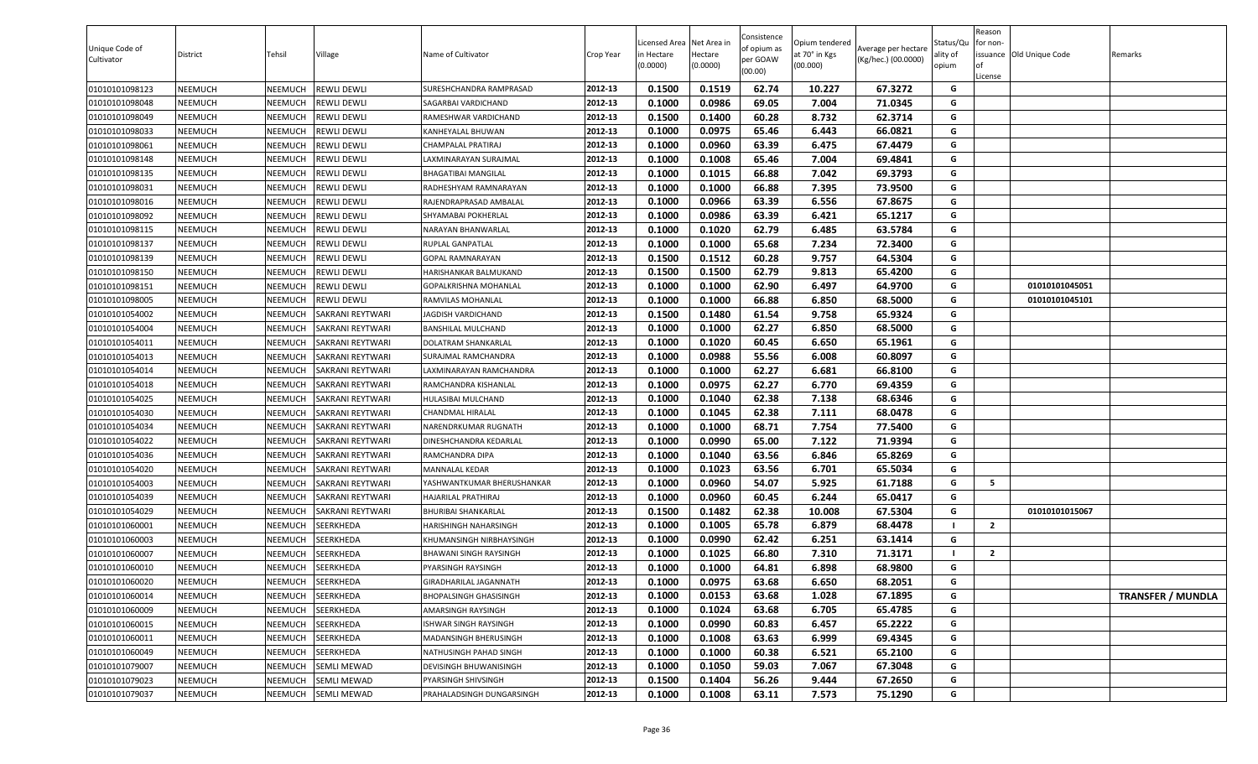| Unique Code of<br>Cultivator | District       | Tehsil  | Village            | Name of Cultivator           | Crop Year | icensed Area.<br>in Hectare<br>(0.0000) | Net Area in<br>Hectare<br>(0.0000) | Consistence<br>of opium as<br>per GOAW<br>(00.00) | Opium tendered<br>at 70° in Kgs<br>(00.000) | Average per hectare<br>(Kg/hec.) (00.0000) | Status/Qu<br>ality of<br>opium | Reason<br>for non-<br>issuance Old Unique Code<br>l of<br>License | Remarks                  |
|------------------------------|----------------|---------|--------------------|------------------------------|-----------|-----------------------------------------|------------------------------------|---------------------------------------------------|---------------------------------------------|--------------------------------------------|--------------------------------|-------------------------------------------------------------------|--------------------------|
| 01010101098123               | NEEMUCH        | NEEMUCH | REWLI DEWLI        | SURESHCHANDRA RAMPRASAD      | 2012-13   | 0.1500                                  | 0.1519                             | 62.74                                             | 10.227                                      | 67.3272                                    | G                              |                                                                   |                          |
| 01010101098048               | NEEMUCH        | NEEMUCH | REWLI DEWLI        | SAGARBAI VARDICHAND          | 2012-13   | 0.1000                                  | 0.0986                             | 69.05                                             | 7.004                                       | 71.0345                                    | G                              |                                                                   |                          |
| 01010101098049               | NEEMUCH        | NEEMUCH | REWLI DEWLI        | RAMESHWAR VARDICHAND         | 2012-13   | 0.1500                                  | 0.1400                             | 60.28                                             | 8.732                                       | 62.3714                                    | G                              |                                                                   |                          |
| 01010101098033               | VEEMUCH        | NEEMUCH | REWLI DEWLI        | KANHEYALAL BHUWAN            | 2012-13   | 0.1000                                  | 0.0975                             | 65.46                                             | 6.443                                       | 66.0821                                    | G                              |                                                                   |                          |
| 01010101098061               | NEEMUCH        | NEEMUCH | REWLI DEWLI        | CHAMPALAL PRATIRAJ           | 2012-13   | 0.1000                                  | 0.0960                             | 63.39                                             | 6.475                                       | 67.4479                                    | G                              |                                                                   |                          |
| 01010101098148               | NEEMUCH        | NEEMUCH | REWLI DEWLI        | LAXMINARAYAN SURAJMAL        | 2012-13   | 0.1000                                  | 0.1008                             | 65.46                                             | 7.004                                       | 69.4841                                    | G                              |                                                                   |                          |
| 01010101098135               | NEEMUCH        | NEEMUCH | REWLI DEWLI        | <b>BHAGATIBAI MANGILAL</b>   | 2012-13   | 0.1000                                  | 0.1015                             | 66.88                                             | 7.042                                       | 69.3793                                    | G                              |                                                                   |                          |
| 01010101098031               | NEEMUCH        | NEEMUCH | REWLI DEWLI        | RADHESHYAM RAMNARAYAN        | 2012-13   | 0.1000                                  | 0.1000                             | 66.88                                             | 7.395                                       | 73.9500                                    | G                              |                                                                   |                          |
| 01010101098016               | NEEMUCH        | NEEMUCH | REWLI DEWLI        | RAJENDRAPRASAD AMBALAL       | 2012-13   | 0.1000                                  | 0.0966                             | 63.39                                             | 6.556                                       | 67.8675                                    | G                              |                                                                   |                          |
| 01010101098092               | NEEMUCH        | NEEMUCH | REWLI DEWLI        | SHYAMABAI POKHERLAL          | 2012-13   | 0.1000                                  | 0.0986                             | 63.39                                             | 6.421                                       | 65.1217                                    | G                              |                                                                   |                          |
| 01010101098115               | NEEMUCH        | NEEMUCH | REWLI DEWLI        | NARAYAN BHANWARLAL           | 2012-13   | 0.1000                                  | 0.1020                             | 62.79                                             | 6.485                                       | 63.5784                                    | G                              |                                                                   |                          |
| 01010101098137               | NEEMUCH        | NEEMUCH | REWLI DEWLI        | RUPLAL GANPATLAL             | 2012-13   | 0.1000                                  | 0.1000                             | 65.68                                             | 7.234                                       | 72.3400                                    | G                              |                                                                   |                          |
| 01010101098139               | NEEMUCH        | NEEMUCH | REWLI DEWLI        | GOPAL RAMNARAYAN             | 2012-13   | 0.1500                                  | 0.1512                             | 60.28                                             | 9.757                                       | 64.5304                                    | G                              |                                                                   |                          |
| 01010101098150               | NEEMUCH        | NEEMUCH | REWLI DEWLI        | HARISHANKAR BALMUKAND        | 2012-13   | 0.1500                                  | 0.1500                             | 62.79                                             | 9.813                                       | 65.4200                                    | G                              |                                                                   |                          |
| 01010101098151               | <b>NEEMUCH</b> | NEEMUCH | REWLI DEWLI        | <b>GOPALKRISHNA MOHANLAL</b> | 2012-13   | 0.1000                                  | 0.1000                             | 62.90                                             | 6.497                                       | 64.9700                                    | G                              | 01010101045051                                                    |                          |
| 01010101098005               | NEEMUCH        | NEEMUCH | REWLI DEWLI        | RAMVILAS MOHANLAL            | 2012-13   | 0.1000                                  | 0.1000                             | 66.88                                             | 6.850                                       | 68.5000                                    | G                              | 01010101045101                                                    |                          |
| 01010101054002               | NEEMUCH        | NEEMUCH | SAKRANI REYTWARI   | JAGDISH VARDICHAND           | 2012-13   | 0.1500                                  | 0.1480                             | 61.54                                             | 9.758                                       | 65.9324                                    | G                              |                                                                   |                          |
| 01010101054004               | NEEMUCH        | NEEMUCH | SAKRANI REYTWARI   | BANSHILAL MULCHAND           | 2012-13   | 0.1000                                  | 0.1000                             | 62.27                                             | 6.850                                       | 68.5000                                    | G                              |                                                                   |                          |
| 01010101054011               | NEEMUCH        | NEEMUCH | SAKRANI REYTWARI   | DOLATRAM SHANKARLAL          | 2012-13   | 0.1000                                  | 0.1020                             | 60.45                                             | 6.650                                       | 65.1961                                    | G                              |                                                                   |                          |
| 01010101054013               | NEEMUCH        | NEEMUCH | SAKRANI REYTWARI   | SURAJMAL RAMCHANDRA          | 2012-13   | 0.1000                                  | 0.0988                             | 55.56                                             | 6.008                                       | 60.8097                                    | G                              |                                                                   |                          |
| 01010101054014               | VEEMUCH        | NEEMUCH | SAKRANI REYTWARI   | LAXMINARAYAN RAMCHANDRA      | 2012-13   | 0.1000                                  | 0.1000                             | 62.27                                             | 6.681                                       | 66.8100                                    | G                              |                                                                   |                          |
| 01010101054018               | NEEMUCH        | NEEMUCH | SAKRANI REYTWARI   | RAMCHANDRA KISHANLAL         | 2012-13   | 0.1000                                  | 0.0975                             | 62.27                                             | 6.770                                       | 69.4359                                    | G                              |                                                                   |                          |
| 01010101054025               | NEEMUCH        | NEEMUCH | SAKRANI REYTWARI   | HULASIBAI MULCHAND           | 2012-13   | 0.1000                                  | 0.1040                             | 62.38                                             | 7.138                                       | 68.6346                                    | G                              |                                                                   |                          |
| 01010101054030               | NEEMUCH        | NEEMUCH | SAKRANI REYTWARI   | CHANDMAL HIRALAL             | 2012-13   | 0.1000                                  | 0.1045                             | 62.38                                             | 7.111                                       | 68.0478                                    | G                              |                                                                   |                          |
| 01010101054034               | NEEMUCH        | NEEMUCH | SAKRANI REYTWARI   | NARENDRKUMAR RUGNATH         | 2012-13   | 0.1000                                  | 0.1000                             | 68.71                                             | 7.754                                       | 77.5400                                    | G                              |                                                                   |                          |
| 01010101054022               | NEEMUCH        | NEEMUCH | SAKRANI REYTWARI   | DINESHCHANDRA KEDARLAL       | 2012-13   | 0.1000                                  | 0.0990                             | 65.00                                             | 7.122                                       | 71.9394                                    | G                              |                                                                   |                          |
| 01010101054036               | NEEMUCH        | NEEMUCH | SAKRANI REYTWARI   | RAMCHANDRA DIPA              | 2012-13   | 0.1000                                  | 0.1040                             | 63.56                                             | 6.846                                       | 65.8269                                    | G                              |                                                                   |                          |
| 01010101054020               | NEEMUCH        | NEEMUCH | SAKRANI REYTWARI   | MANNALAL KEDAR               | 2012-13   | 0.1000                                  | 0.1023                             | 63.56                                             | 6.701                                       | 65.5034                                    | G                              |                                                                   |                          |
| 01010101054003               | NEEMUCH        | NEEMUCH | SAKRANI REYTWARI   | YASHWANTKUMAR BHERUSHANKAR   | 2012-13   | 0.1000                                  | 0.0960                             | 54.07                                             | 5.925                                       | 61.7188                                    | G                              | 5                                                                 |                          |
| 01010101054039               | NEEMUCH        | NEEMUCH | SAKRANI REYTWARI   | HAJARILAL PRATHIRAJ          | 2012-13   | 0.1000                                  | 0.0960                             | 60.45                                             | 6.244                                       | 65.0417                                    | G                              |                                                                   |                          |
| 01010101054029               | NEEMUCH        | NEEMUCH | SAKRANI REYTWARI   | <b>BHURIBAI SHANKARLAL</b>   | 2012-13   | 0.1500                                  | 0.1482                             | 62.38                                             | 10.008                                      | 67.5304                                    | G                              | 01010101015067                                                    |                          |
| 01010101060001               | NEEMUCH        | NEEMUCH | SEERKHEDA          | HARISHINGH NAHARSINGH        | 2012-13   | 0.1000                                  | 0.1005                             | 65.78                                             | 6.879                                       | 68.4478                                    |                                | $\overline{2}$                                                    |                          |
| 01010101060003               | NEEMUCH        | NEEMUCH | SEERKHEDA          | KHUMANSINGH NIRBHAYSINGH     | 2012-13   | 0.1000                                  | 0.0990                             | 62.42                                             | 6.251                                       | 63.1414                                    | G                              |                                                                   |                          |
| 01010101060007               | NEEMUCH        | NEEMUCH | SEERKHEDA          | BHAWANI SINGH RAYSINGH       | 2012-13   | 0.1000                                  | 0.1025                             | 66.80                                             | 7.310                                       | 71.3171                                    |                                | $\overline{2}$                                                    |                          |
| 01010101060010               | NEEMUCH        | NEEMUCH | SEERKHEDA          | PYARSINGH RAYSINGH           | 2012-13   | 0.1000                                  | 0.1000                             | 64.81                                             | 6.898                                       | 68.9800                                    | G                              |                                                                   |                          |
| 01010101060020               | <b>NEEMUCH</b> | NEEMUCH | SEERKHEDA          | GIRADHARILAL JAGANNATH       | 2012-13   | 0.1000                                  | 0.0975                             | 63.68                                             | 6.650                                       | 68.2051                                    | G                              |                                                                   |                          |
| 01010101060014               | NEEMUCH        | NEEMUCH | SEERKHEDA          | BHOPALSINGH GHASISINGH       | 2012-13   | 0.1000                                  | 0.0153                             | 63.68                                             | 1.028                                       | 67.1895                                    | G                              |                                                                   | <b>TRANSFER / MUNDLA</b> |
| 01010101060009               | NEEMUCH        | NEEMUCH | SEERKHEDA          | AMARSINGH RAYSINGH           | 2012-13   | 0.1000                                  | 0.1024                             | 63.68                                             | 6.705                                       | 65.4785                                    | G                              |                                                                   |                          |
| 01010101060015               | NEEMUCH        | NEEMUCH | SEERKHEDA          | ISHWAR SINGH RAYSINGH        | 2012-13   | 0.1000                                  | 0.0990                             | 60.83                                             | 6.457                                       | 65.2222                                    | G                              |                                                                   |                          |
| 01010101060011               | NEEMUCH        | NEEMUCH | SEERKHEDA          | MADANSINGH BHERUSINGH        | 2012-13   | 0.1000                                  | 0.1008                             | 63.63                                             | 6.999                                       | 69.4345                                    | G                              |                                                                   |                          |
| 01010101060049               | NEEMUCH        | NEEMUCH | SEERKHEDA          | NATHUSINGH PAHAD SINGH       | 2012-13   | 0.1000                                  | 0.1000                             | 60.38                                             | 6.521                                       | 65.2100                                    | G                              |                                                                   |                          |
| 01010101079007               | NEEMUCH        | NEEMUCH | SEMLI MEWAD        | DEVISINGH BHUWANISINGH       | 2012-13   | 0.1000                                  | 0.1050                             | 59.03                                             | 7.067                                       | 67.3048                                    | G                              |                                                                   |                          |
| 01010101079023               | NEEMUCH        | NEEMUCH | SEMLI MEWAD        | PYARSINGH SHIVSINGH          | 2012-13   | 0.1500                                  | 0.1404                             | 56.26                                             | 9.444                                       | 67.2650                                    | G                              |                                                                   |                          |
| 01010101079037               | NEEMUCH        | NEEMUCH | <b>SEMLI MEWAD</b> | PRAHALADSINGH DUNGARSINGH    | 2012-13   | 0.1000                                  | 0.1008                             | 63.11                                             | 7.573                                       | 75.1290                                    | G                              |                                                                   |                          |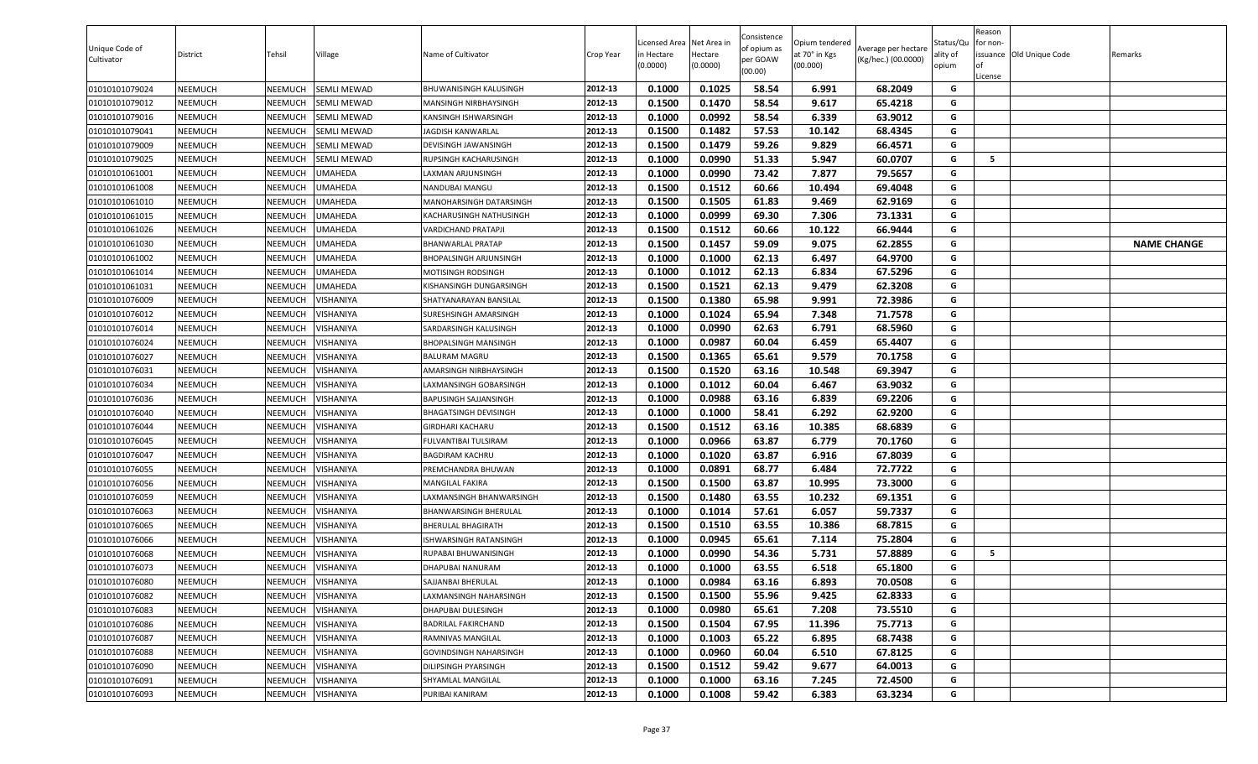| Unique Code of<br>Cultivator | District | Tehsil         | Village          | Name of Cultivator         | Crop Year | Licensed Area Net Area in<br>in Hectare<br>(0.0000) | Hectare<br>(0.0000) | Consistence<br>of opium as<br>per GOAW<br>(00.00) | Opium tendered<br>at 70° in Kgs<br>(00.000) | Average per hectare<br>(Kg/hec.) (00.0000) | Status/Qu<br>ality of<br>opium | Reason<br>for non-<br>∩f<br>License | issuance Old Unique Code | Remarks            |
|------------------------------|----------|----------------|------------------|----------------------------|-----------|-----------------------------------------------------|---------------------|---------------------------------------------------|---------------------------------------------|--------------------------------------------|--------------------------------|-------------------------------------|--------------------------|--------------------|
| 01010101079024               | NEEMUCH  | NEEMUCH        | SEMLI MEWAD      | BHUWANISINGH KALUSINGH     | 2012-13   | 0.1000                                              | 0.1025              | 58.54                                             | 6.991                                       | 68.2049                                    | G                              |                                     |                          |                    |
| 01010101079012               | NEEMUCH  | NEEMUCH        | SEMLI MEWAD      | MANSINGH NIRBHAYSINGH      | 2012-13   | 0.1500                                              | 0.1470              | 58.54                                             | 9.617                                       | 65.4218                                    | G                              |                                     |                          |                    |
| 01010101079016               | NEEMUCH  | NEEMUCH        | SEMLI MEWAD      | KANSINGH ISHWARSINGH       | 2012-13   | 0.1000                                              | 0.0992              | 58.54                                             | 6.339                                       | 63.9012                                    | G                              |                                     |                          |                    |
| 01010101079041               | NEEMUCH  | NEEMUCH        | SEMLI MEWAD      | JAGDISH KANWARLAL          | 2012-13   | 0.1500                                              | 0.1482              | 57.53                                             | 10.142                                      | 68.4345                                    | G                              |                                     |                          |                    |
| 01010101079009               | NEEMUCH  | NEEMUCH        | SEMLI MEWAD      | )EVISINGH JAWANSINGH       | 2012-13   | 0.1500                                              | 0.1479              | 59.26                                             | 9.829                                       | 66.4571                                    | G                              |                                     |                          |                    |
| 01010101079025               | NEEMUCH  | NEEMUCH        | SEMLI MEWAD      | RUPSINGH KACHARUSINGH      | 2012-13   | 0.1000                                              | 0.0990              | 51.33                                             | 5.947                                       | 60.0707                                    | G                              | - 5                                 |                          |                    |
| 01010101061001               | NEEMUCH  | NEEMUCH        | UMAHEDA          | AXMAN ARJUNSINGH           | 2012-13   | 0.1000                                              | 0.0990              | 73.42                                             | 7.877                                       | 79.5657                                    | G                              |                                     |                          |                    |
| 01010101061008               | NEEMUCH  | NEEMUCH        | UMAHEDA          | NANDUBAI MANGU             | 2012-13   | 0.1500                                              | 0.1512              | 60.66                                             | 10.494                                      | 69.4048                                    | G                              |                                     |                          |                    |
| 01010101061010               | NEEMUCH  | NEEMUCH        | JMAHEDA          | MANOHARSINGH DATARSINGH    | 2012-13   | 0.1500                                              | 0.1505              | 61.83                                             | 9.469                                       | 62.9169                                    | G                              |                                     |                          |                    |
| 01010101061015               | NEEMUCH  | NEEMUCH        | UMAHEDA          | KACHARUSINGH NATHUSINGH    | 2012-13   | 0.1000                                              | 0.0999              | 69.30                                             | 7.306                                       | 73.1331                                    | G                              |                                     |                          |                    |
| 01010101061026               | NEEMUCH  | NEEMUCH        | JMAHEDA          | VARDICHAND PRATAPJI        | 2012-13   | 0.1500                                              | 0.1512              | 60.66                                             | 10.122                                      | 66.9444                                    | G                              |                                     |                          |                    |
| 01010101061030               | NEEMUCH  | NEEMUCH        | UMAHEDA          | BHANWARLAL PRATAP          | 2012-13   | 0.1500                                              | 0.1457              | 59.09                                             | 9.075                                       | 62.2855                                    | G                              |                                     |                          | <b>NAME CHANGE</b> |
| 01010101061002               | NEEMUCH  | NEEMUCH        | UMAHEDA          | BHOPALSINGH ARJUNSINGH     | 2012-13   | 0.1000                                              | 0.1000              | 62.13                                             | 6.497                                       | 64.9700                                    | G                              |                                     |                          |                    |
| 01010101061014               | NEEMUCH  | NEEMUCH        | JMAHEDA          | MOTISINGH RODSINGH         | 2012-13   | 0.1000                                              | 0.1012              | 62.13                                             | 6.834                                       | 67.5296                                    | G                              |                                     |                          |                    |
| 01010101061031               | NEEMUCH  | NEEMUCH        | UMAHEDA          | KISHANSINGH DUNGARSINGH    | 2012-13   | 0.1500                                              | 0.1521              | 62.13                                             | 9.479                                       | 62.3208                                    | G                              |                                     |                          |                    |
| 01010101076009               | NEEMUCH  | NEEMUCH        | VISHANIYA        | SHATYANARAYAN BANSILAL     | 2012-13   | 0.1500                                              | 0.1380              | 65.98                                             | 9.991                                       | 72.3986                                    | G                              |                                     |                          |                    |
| 01010101076012               | NEEMUCH  | NEEMUCH        | <b>JISHANIYA</b> | SURESHSINGH AMARSINGH      | 2012-13   | 0.1000                                              | 0.1024              | 65.94                                             | 7.348                                       | 71.7578                                    | G                              |                                     |                          |                    |
| 01010101076014               | NEEMUCH  | NEEMUCH        | <b>JISHANIYA</b> | SARDARSINGH KALUSINGH      | 2012-13   | 0.1000                                              | 0.0990              | 62.63                                             | 6.791                                       | 68.5960                                    | G                              |                                     |                          |                    |
| 01010101076024               | NEEMUCH  | NEEMUCH        | <b>JISHANIYA</b> | BHOPALSINGH MANSINGH       | 2012-13   | 0.1000                                              | 0.0987              | 60.04                                             | 6.459                                       | 65.4407                                    | G                              |                                     |                          |                    |
| 01010101076027               | NEEMUCH  | NEEMUCH        | <b>JISHANIYA</b> | BALURAM MAGRU              | 2012-13   | 0.1500                                              | 0.1365              | 65.61                                             | 9.579                                       | 70.1758                                    | G                              |                                     |                          |                    |
| 01010101076031               | NEEMUCH  | NEEMUCH        | /ISHANIYA        | AMARSINGH NIRBHAYSINGH     | 2012-13   | 0.1500                                              | 0.1520              | 63.16                                             | 10.548                                      | 69.3947                                    | G                              |                                     |                          |                    |
| 01010101076034               | NEEMUCH  | NEEMUCH        | <b>JISHANIYA</b> | AXMANSINGH GOBARSINGH      | 2012-13   | 0.1000                                              | 0.1012              | 60.04                                             | 6.467                                       | 63.9032                                    | G                              |                                     |                          |                    |
| 01010101076036               | NEEMUCH  | NEEMUCH        | <b>JISHANIYA</b> | BAPUSINGH SAJJANSINGH      | 2012-13   | 0.1000                                              | 0.0988              | 63.16                                             | 6.839                                       | 69.2206                                    | G                              |                                     |                          |                    |
| 01010101076040               | NEEMUCH  | NEEMUCH        | VISHANIYA        | BHAGATSINGH DEVISINGH      | 2012-13   | 0.1000                                              | 0.1000              | 58.41                                             | 6.292                                       | 62.9200                                    | G                              |                                     |                          |                    |
| 01010101076044               | NEEMUCH  | NEEMUCH        | <b>JISHANIYA</b> | GIRDHARI KACHARU           | 2012-13   | 0.1500                                              | 0.1512              | 63.16                                             | 10.385                                      | 68.6839                                    | G                              |                                     |                          |                    |
| 01010101076045               | NEEMUCH  | NEEMUCH        | <b>JISHANIYA</b> | FULVANTIBAI TULSIRAM       | 2012-13   | 0.1000                                              | 0.0966              | 63.87                                             | 6.779                                       | 70.1760                                    | G                              |                                     |                          |                    |
| 01010101076047               | NEEMUCH  | NEEMUCH        | <b>JISHANIYA</b> | BAGDIRAM KACHRU            | 2012-13   | 0.1000                                              | 0.1020              | 63.87                                             | 6.916                                       | 67.8039                                    | G                              |                                     |                          |                    |
| 01010101076055               | NEEMUCH  | NEEMUCH        | VISHANIYA        | PREMCHANDRA BHUWAN         | 2012-13   | 0.1000                                              | 0.0891              | 68.77                                             | 6.484                                       | 72.7722                                    | G                              |                                     |                          |                    |
| 01010101076056               | NEEMUCH  | NEEMUCH        | <b>JISHANIYA</b> | MANGILAL FAKIRA            | 2012-13   | 0.1500                                              | 0.1500              | 63.87                                             | 10.995                                      | 73.3000                                    | G                              |                                     |                          |                    |
| 01010101076059               | NEEMUCH  | NEEMUCH        | /ISHANIYA        | AXMANSINGH BHANWARSINGH    | 2012-13   | 0.1500                                              | 0.1480              | 63.55                                             | 10.232                                      | 69.1351                                    | G                              |                                     |                          |                    |
| 01010101076063               | NEEMUCH  | NEEMUCH        | VISHANIYA        | BHANWARSINGH BHERULAL      | 2012-13   | 0.1000                                              | 0.1014              | 57.61                                             | 6.057                                       | 59.7337                                    | G                              |                                     |                          |                    |
| 01010101076065               | NEEMUCH  | NEEMUCH        | VISHANIYA        | BHERULAL BHAGIRATH         | 2012-13   | 0.1500                                              | 0.1510              | 63.55                                             | 10.386                                      | 68.7815                                    | G                              |                                     |                          |                    |
| 01010101076066               | NEEMUCH  | NEEMUCH        | VISHANIYA        | ISHWARSINGH RATANSINGH     | 2012-13   | 0.1000                                              | 0.0945              | 65.61                                             | 7.114                                       | 75.2804                                    | G                              |                                     |                          |                    |
| 01010101076068               | NEEMUCH  | NEEMUCH        | /ISHANIYA        | RUPABAI BHUWANISINGH       | 2012-13   | 0.1000                                              | 0.0990              | 54.36                                             | 5.731                                       | 57.8889                                    | G                              | -5                                  |                          |                    |
| 01010101076073               | NEEMUCH  | NEEMUCH        | VISHANIYA        | DHAPUBAI NANURAM           | 2012-13   | 0.1000                                              | 0.1000              | 63.55                                             | 6.518                                       | 65.1800                                    | G                              |                                     |                          |                    |
| 01010101076080               | NEEMUCH  | <b>NEEMUCH</b> | VISHANIYA        | SAJJANBAI BHERULAL         | 2012-13   | 0.1000                                              | 0.0984              | 63.16                                             | 6.893                                       | 70.0508                                    | G                              |                                     |                          |                    |
| 01010101076082               | NEEMUCH  | NEEMUCH        | VISHANIYA        | LAXMANSINGH NAHARSINGH     | 2012-13   | 0.1500                                              | 0.1500              | 55.96                                             | 9.425                                       | 62.8333                                    | G                              |                                     |                          |                    |
| 01010101076083               | NEEMUCH  | NEEMUCH        | VISHANIYA        | )HAPUBAI DULESINGH         | 2012-13   | 0.1000                                              | 0.0980              | 65.61                                             | 7.208                                       | 73.5510                                    | G                              |                                     |                          |                    |
| 01010101076086               | NEEMUCH  | NEEMUCH        | VISHANIYA        | <b>BADRILAL FAKIRCHAND</b> | 2012-13   | 0.1500                                              | 0.1504              | 67.95                                             | 11.396                                      | 75.7713                                    | G                              |                                     |                          |                    |
| 01010101076087               | NEEMUCH  | NEEMUCH        | VISHANIYA        | RAMNIVAS MANGILAL          | 2012-13   | 0.1000                                              | 0.1003              | 65.22                                             | 6.895                                       | 68.7438                                    | G                              |                                     |                          |                    |
| 01010101076088               | NEEMUCH  | NEEMUCH        | VISHANIYA        | GOVINDSINGH NAHARSINGH     | 2012-13   | 0.1000                                              | 0.0960              | 60.04                                             | 6.510                                       | 67.8125                                    | G                              |                                     |                          |                    |
| 01010101076090               | NEEMUCH  | NEEMUCH        | VISHANIYA        | DILIPSINGH PYARSINGH       | 2012-13   | 0.1500                                              | 0.1512              | 59.42                                             | 9.677                                       | 64.0013                                    | G                              |                                     |                          |                    |
| 01010101076091               | NEEMUCH  | NEEMUCH        | VISHANIYA        | SHYAMLAL MANGILAL          | 2012-13   | 0.1000                                              | 0.1000              | 63.16                                             | 7.245                                       | 72.4500                                    | G                              |                                     |                          |                    |
| 01010101076093               | NEEMUCH  | NEEMUCH        | VISHANIYA        | PURIBAI KANIRAM            | 2012-13   | 0.1000                                              | 0.1008              | 59.42                                             | 6.383                                       | 63.3234                                    | G                              |                                     |                          |                    |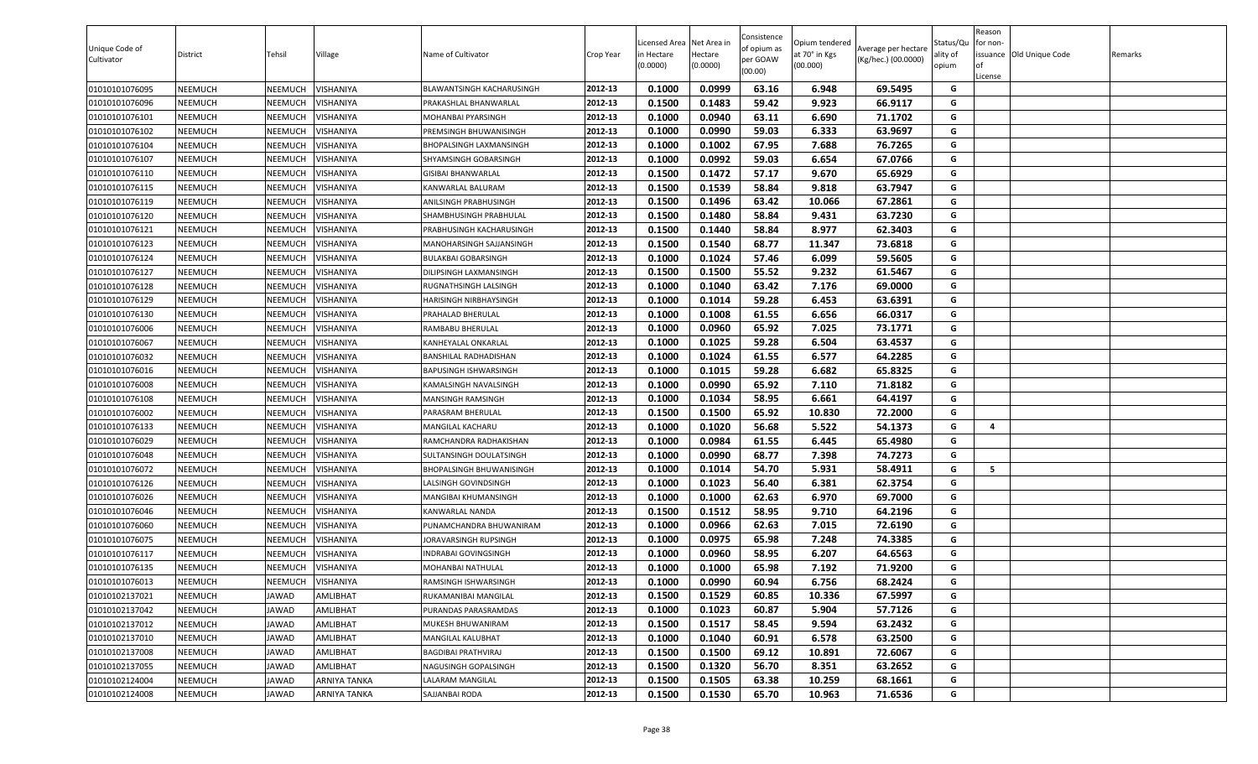| 0.1000<br>0.0999<br>63.16<br>01010101076095<br><b>NEEMUCH</b><br>NEEMUCH<br>VISHANIYA<br>2012-13<br>6.948<br>69.5495<br>G<br>BLAWANTSINGH KACHARUSINGH<br>0.1500<br>0.1483<br>59.42<br>9.923<br>66.9117<br>01010101076096<br>NEEMUCH<br>NEEMUCH<br>VISHANIYA<br>2012-13<br>G<br>PRAKASHLAL BHANWARLAL<br>01010101076101<br><b>NEEMUCH</b><br>NEEMUCH<br>VISHANIYA<br>2012-13<br>0.1000<br>0.0940<br>63.11<br>6.690<br>71.1702<br>G<br>MOHANBAI PYARSINGH<br>0.1000<br>0.0990<br>59.03<br>6.333<br>63.9697<br>NEEMUCH<br>NEEMUCH<br>2012-13<br>G<br>01010101076102<br>/ISHANIYA<br>PREMSINGH BHUWANISINGH<br>67.95<br>7.688<br>76.7265<br>0.1000<br>0.1002<br>G<br>01010101076104<br><b>NEEMUCH</b><br>NEEMUCH<br>VISHANIYA<br>2012-13<br>BHOPALSINGH LAXMANSINGH<br>2012-13<br>0.0992<br>59.03<br>67.0766<br>NEEMUCH<br>0.1000<br>6.654<br>G<br>01010101076107<br><b>NEEMUCH</b><br>VISHANIYA<br>SHYAMSINGH GOBARSINGH<br>2012-13<br>0.1500<br>0.1472<br>57.17<br>9.670<br>65.6929<br>G<br>01010101076110<br><b>NEEMUCH</b><br>NEEMUCH<br>VISHANIYA<br><b>GISIBAI BHANWARLAL</b><br>G<br>2012-13<br>0.1500<br>0.1539<br>58.84<br>63.7947<br>01010101076115<br><b>NEEMUCH</b><br>NEEMUCH<br>VISHANIYA<br>KANWARLAL BALURAM<br>9.818<br>2012-13<br>0.1500<br>0.1496<br>63.42<br>67.2861<br>G<br>01010101076119<br><b>NEEMUCH</b><br>NEEMUCH<br>VISHANIYA<br>ANILSINGH PRABHUSINGH<br>10.066<br>63.7230<br>01010101076120<br>NEEMUCH<br>0.1500<br>0.1480<br>58.84<br>9.431<br>G<br>NEEMUCH<br>VISHANIYA<br>2012-13<br>SHAMBHUSINGH PRABHULAL<br>58.84<br>8.977<br>62.3403<br>01010101076121<br><b>NEEMUCH</b><br>NEEMUCH<br>VISHANIYA<br>2012-13<br>0.1500<br>0.1440<br>G<br>PRABHUSINGH KACHARUSINGH<br>68.77<br>G<br>NEEMUCH<br>2012-13<br>0.1500<br>0.1540<br>11.347<br>73.6818<br>01010101076123<br>NEEMUCH<br>VISHANIYA<br>MANOHARSINGH SAJJANSINGH<br>0.1000<br>0.1024<br>57.46<br>6.099<br>59.5605<br>01010101076124<br><b>NEEMUCH</b><br>NEEMUCH<br>VISHANIYA<br>2012-13<br>G<br>BULAKBAI GOBARSINGH<br>0.1500<br>55.52<br>9.232<br>61.5467<br>2012-13<br>0.1500<br>G<br>01010101076127<br><b>NEEMUCH</b><br>NEEMUCH<br>VISHANIYA<br>DILIPSINGH LAXMANSINGH<br>NEEMUCH<br>0.1000<br>0.1040<br>63.42<br>7.176<br>69.0000<br>01010101076128<br><b>NEEMUCH</b><br>VISHANIYA<br>2012-13<br>G<br>RUGNATHSINGH LALSINGH<br>0.1000<br>59.28<br>6.453<br>63.6391<br>G<br>01010101076129<br><b>NEEMUCH</b><br>NEEMUCH<br>VISHANIYA<br>0.1014<br>HARISINGH NIRBHAYSINGH<br>2012-13<br>0.1008<br>61.55<br>6.656<br>66.0317<br>2012-13<br>0.1000<br>G<br>01010101076130<br><b>NEEMUCH</b><br>NEEMUCH<br>/ISHANIYA<br>PRAHALAD BHERULAL<br>0.0960<br>2012-13<br>0.1000<br>65.92<br>7.025<br>73.1771<br>G<br>01010101076006<br><b>NEEMUCH</b><br>NEEMUCH<br>VISHANIYA<br>RAMBABU BHERULAL<br>01010101076067<br>2012-13<br>0.1000<br>0.1025<br>59.28<br>6.504<br>63.4537<br>G<br><b>NEEMUCH</b><br>NEEMUCH<br>VISHANIYA<br>KANHEYALAL ONKARLAL<br>G<br>01010101076032<br><b>NEEMUCH</b><br>NEEMUCH<br>VISHANIYA<br>BANSHILAL RADHADISHAN<br>2012-13<br>0.1000<br>0.1024<br>61.55<br>6.577<br>64.2285<br>0.1000<br>59.28<br>6.682<br>65.8325<br>NEEMUCH<br>NEEMUCH<br>2012-13<br>0.1015<br>G<br>01010101076016<br>/ISHANIYA<br>BAPUSINGH ISHWARSINGH<br>65.92<br>0.1000<br>0.0990<br>7.110<br>71.8182<br>01010101076008<br><b>NEEMUCH</b><br>NEEMUCH<br>VISHANIYA<br>2012-13<br>G<br>KAMALSINGH NAVALSINGH<br>01010101076108<br><b>NEEMUCH</b><br>NEEMUCH<br>2012-13<br>0.1000<br>0.1034<br>58.95<br>6.661<br>64.4197<br>VISHANIYA<br>G<br>MANSINGH RAMSINGH<br>01010101076002<br><b>NEEMUCH</b><br>NEEMUCH<br>VISHANIYA<br>2012-13<br>0.1500<br>0.1500<br>65.92<br>10.830<br>72.2000<br>G<br>PARASRAM BHERULAL<br>0.1020<br>56.68<br>5.522<br>54.1373<br>01010101076133<br><b>NEEMUCH</b><br>NEEMUCH<br>2012-13<br>0.1000<br>G<br>VISHANIYA<br>MANGILAL KACHARU<br>4<br>0.1000<br>0.0984<br>61.55<br>6.445<br>65.4980<br>01010101076029<br><b>NEEMUCH</b><br>NEEMUCH<br>VISHANIYA<br>2012-13<br>G<br>RAMCHANDRA RADHAKISHAN<br>01010101076048<br>NEEMUCH<br>0.1000<br>0.0990<br>68.77<br>7.398<br>74.7273<br>NEEMUCH<br>VISHANIYA<br>2012-13<br>G<br>SULTANSINGH DOULATSINGH<br>01010101076072<br>NEEMUCH<br>NEEMUCH<br>VISHANIYA<br>2012-13<br>0.1000<br>0.1014<br>54.70<br>5.931<br>58.4911<br>G<br>5<br>BHOPALSINGH BHUWANISINGH<br>2012-13<br>0.1023<br>56.40<br>6.381<br>62.3754<br>G<br>NEEMUCH<br>0.1000<br>01010101076126<br>NEEMUCH<br>VISHANIYA<br>LALSINGH GOVINDSINGH<br>62.63<br>G<br>2012-13<br>0.1000<br>0.1000<br>6.970<br>69.7000<br>01010101076026<br><b>NEEMUCH</b><br>NEEMUCH<br>VISHANIYA<br>MANGIBAI KHUMANSINGH<br>2012-13<br>58.95<br>G<br>01010101076046<br><b>NEEMUCH</b><br>NEEMUCH<br>0.1500<br>0.1512<br>9.710<br>64.2196<br>VISHANIYA<br>KANWARLAL NANDA<br>NEEMUCH<br>2012-13<br>0.1000<br>0.0966<br>62.63<br>7.015<br>72.6190<br>G<br>01010101076060<br><b>NEEMUCH</b><br>VISHANIYA<br>PUNAMCHANDRA BHUWANIRAM<br>0.0975<br>65.98<br>7.248<br>74.3385<br>01010101076075<br><b>NEEMUCH</b><br>NEEMUCH<br>VISHANIYA<br>2012-13<br>0.1000<br>G<br>JORAVARSINGH RUPSINGH<br>0.0960<br>58.95<br>6.207<br>64.6563<br>01010101076117<br><b>NEEMUCH</b><br>NEEMUCH<br>VISHANIYA<br>2012-13<br>0.1000<br>G<br><b>INDRABAI GOVINGSINGH</b><br>7.192<br>01010101076135<br>0.1000<br>0.1000<br>65.98<br>71.9200<br>G<br>NEEMUCH<br>NEEMUCH<br>VISHANIYA<br>2012-13<br>MOHANBAI NATHULAL<br>01010101076013<br><b>NEEMUCH</b><br>VISHANIYA<br>2012-13<br>0.1000<br>0.0990<br>60.94<br>6.756<br>68.2424<br><b>NEEMUCH</b><br>G<br>RAMSINGH ISHWARSINGH<br>2012-13<br>0.1500<br>0.1529<br>60.85<br>67.5997<br>G<br>01010102137021<br><b>NEEMUCH</b><br><b>JAWAD</b><br>10.336<br>AMLIBHAT<br>RUKAMANIBAI MANGILAL<br>0.1000<br>0.1023<br>60.87<br>5.904<br>57.7126<br>01010102137042<br><b>NEEMUCH</b><br>JAWAD<br>AMLIBHAT<br>2012-13<br>G<br>PURANDAS PARASRAMDAS<br>0.1517<br>58.45<br>9.594<br>63.2432<br>01010102137012<br>2012-13<br>0.1500<br>G<br><b>NEEMUCH</b><br><b>JAWAD</b><br>AMLIBHAT<br>MUKESH BHUWANIRAM<br>01010102137010<br><b>NEEMUCH</b><br>2012-13<br>0.1000<br>0.1040<br>60.91<br>6.578<br>63.2500<br>JAWAD<br>AMLIBHAT<br>MANGILAL KALUBHAT<br>G<br>G<br>2012-13<br>69.12<br>72.6067<br>01010102137008<br><b>NEEMUCH</b><br><b>JAWAD</b><br>AMLIBHAT<br>BAGDIBAI PRATHVIRAJ<br>0.1500<br>0.1500<br>10.891<br>01010102137055<br>2012-13<br>0.1320<br>56.70<br>8.351<br>63.2652<br>G<br><b>NEEMUCH</b><br>NAGUSINGH GOPALSINGH<br>0.1500<br>JAWAD<br>AMLIBHAT<br>G<br>01010102124004<br>2012-13<br>0.1500<br>0.1505<br>63.38<br>10.259<br>68.1661<br><b>NEEMUCH</b><br><b>JAWAD</b><br>ARNIYA TANKA<br>LALARAM MANGILAL<br>01010102124008<br><b>JAWAD</b><br>2012-13<br>0.1500<br>0.1530<br>65.70<br>10.963<br>71.6536<br>G<br><b>NEEMUCH</b><br>ARNIYA TANKA<br>SAJJANBAI RODA | Unique Code of<br>Cultivator | <b>District</b> | Tehsil | Village | Name of Cultivator | Crop Year | .icensed Area<br>in Hectare<br>(0.0000) | Net Area in<br>Hectare<br>(0.0000) | Consistence<br>of opium as<br>per GOAW<br>(00.00) | Opium tendered<br>at 70° in Kgs<br>(00.000) | Average per hectare<br>(Kg/hec.) (00.0000) | Status/Qu<br>ality of<br>opium | Reason<br>for non-<br>lof<br>License | issuance Old Unique Code | Remarks |
|-------------------------------------------------------------------------------------------------------------------------------------------------------------------------------------------------------------------------------------------------------------------------------------------------------------------------------------------------------------------------------------------------------------------------------------------------------------------------------------------------------------------------------------------------------------------------------------------------------------------------------------------------------------------------------------------------------------------------------------------------------------------------------------------------------------------------------------------------------------------------------------------------------------------------------------------------------------------------------------------------------------------------------------------------------------------------------------------------------------------------------------------------------------------------------------------------------------------------------------------------------------------------------------------------------------------------------------------------------------------------------------------------------------------------------------------------------------------------------------------------------------------------------------------------------------------------------------------------------------------------------------------------------------------------------------------------------------------------------------------------------------------------------------------------------------------------------------------------------------------------------------------------------------------------------------------------------------------------------------------------------------------------------------------------------------------------------------------------------------------------------------------------------------------------------------------------------------------------------------------------------------------------------------------------------------------------------------------------------------------------------------------------------------------------------------------------------------------------------------------------------------------------------------------------------------------------------------------------------------------------------------------------------------------------------------------------------------------------------------------------------------------------------------------------------------------------------------------------------------------------------------------------------------------------------------------------------------------------------------------------------------------------------------------------------------------------------------------------------------------------------------------------------------------------------------------------------------------------------------------------------------------------------------------------------------------------------------------------------------------------------------------------------------------------------------------------------------------------------------------------------------------------------------------------------------------------------------------------------------------------------------------------------------------------------------------------------------------------------------------------------------------------------------------------------------------------------------------------------------------------------------------------------------------------------------------------------------------------------------------------------------------------------------------------------------------------------------------------------------------------------------------------------------------------------------------------------------------------------------------------------------------------------------------------------------------------------------------------------------------------------------------------------------------------------------------------------------------------------------------------------------------------------------------------------------------------------------------------------------------------------------------------------------------------------------------------------------------------------------------------------------------------------------------------------------------------------------------------------------------------------------------------------------------------------------------------------------------------------------------------------------------------------------------------------------------------------------------------------------------------------------------------------------------------------------------------------------------------------------------------------------------------------------------------------------------------------------------------------------------------------------------------------------------------------------------------------------------------------------------------------------------------------------------------------------------------------------------------------------------------------------------------------------------------------------------------------------------------------------------------------------------------------------------------------------------------------------------------------------------------------------------------------------------------------------------------------------------------------------------------------------------------------------------------------------------------------------------------------------------------------------------------------------------------------------------------------------------------------------------------------------------------------------------------------------------------------------------------------------------------------------------------------------------------------------------------------------------------------------------------------------------------------------------------------------------------------------------------------------------------------------------------------------------------------------------------------------------------------------------------------------------------------------------------------------|------------------------------|-----------------|--------|---------|--------------------|-----------|-----------------------------------------|------------------------------------|---------------------------------------------------|---------------------------------------------|--------------------------------------------|--------------------------------|--------------------------------------|--------------------------|---------|
|                                                                                                                                                                                                                                                                                                                                                                                                                                                                                                                                                                                                                                                                                                                                                                                                                                                                                                                                                                                                                                                                                                                                                                                                                                                                                                                                                                                                                                                                                                                                                                                                                                                                                                                                                                                                                                                                                                                                                                                                                                                                                                                                                                                                                                                                                                                                                                                                                                                                                                                                                                                                                                                                                                                                                                                                                                                                                                                                                                                                                                                                                                                                                                                                                                                                                                                                                                                                                                                                                                                                                                                                                                                                                                                                                                                                                                                                                                                                                                                                                                                                                                                                                                                                                                                                                                                                                                                                                                                                                                                                                                                                                                                                                                                                                                                                                                                                                                                                                                                                                                                                                                                                                                                                                                                                                                                                                                                                                                                                                                                                                                                                                                                                                                                                                                                                                                                                                                                                                                                                                                                                                                                                                                                                                                                                                                                                                                                                                                                                                                                                                                                                                                                                                                                                                                                                             |                              |                 |        |         |                    |           |                                         |                                    |                                                   |                                             |                                            |                                |                                      |                          |         |
|                                                                                                                                                                                                                                                                                                                                                                                                                                                                                                                                                                                                                                                                                                                                                                                                                                                                                                                                                                                                                                                                                                                                                                                                                                                                                                                                                                                                                                                                                                                                                                                                                                                                                                                                                                                                                                                                                                                                                                                                                                                                                                                                                                                                                                                                                                                                                                                                                                                                                                                                                                                                                                                                                                                                                                                                                                                                                                                                                                                                                                                                                                                                                                                                                                                                                                                                                                                                                                                                                                                                                                                                                                                                                                                                                                                                                                                                                                                                                                                                                                                                                                                                                                                                                                                                                                                                                                                                                                                                                                                                                                                                                                                                                                                                                                                                                                                                                                                                                                                                                                                                                                                                                                                                                                                                                                                                                                                                                                                                                                                                                                                                                                                                                                                                                                                                                                                                                                                                                                                                                                                                                                                                                                                                                                                                                                                                                                                                                                                                                                                                                                                                                                                                                                                                                                                                             |                              |                 |        |         |                    |           |                                         |                                    |                                                   |                                             |                                            |                                |                                      |                          |         |
|                                                                                                                                                                                                                                                                                                                                                                                                                                                                                                                                                                                                                                                                                                                                                                                                                                                                                                                                                                                                                                                                                                                                                                                                                                                                                                                                                                                                                                                                                                                                                                                                                                                                                                                                                                                                                                                                                                                                                                                                                                                                                                                                                                                                                                                                                                                                                                                                                                                                                                                                                                                                                                                                                                                                                                                                                                                                                                                                                                                                                                                                                                                                                                                                                                                                                                                                                                                                                                                                                                                                                                                                                                                                                                                                                                                                                                                                                                                                                                                                                                                                                                                                                                                                                                                                                                                                                                                                                                                                                                                                                                                                                                                                                                                                                                                                                                                                                                                                                                                                                                                                                                                                                                                                                                                                                                                                                                                                                                                                                                                                                                                                                                                                                                                                                                                                                                                                                                                                                                                                                                                                                                                                                                                                                                                                                                                                                                                                                                                                                                                                                                                                                                                                                                                                                                                                             |                              |                 |        |         |                    |           |                                         |                                    |                                                   |                                             |                                            |                                |                                      |                          |         |
|                                                                                                                                                                                                                                                                                                                                                                                                                                                                                                                                                                                                                                                                                                                                                                                                                                                                                                                                                                                                                                                                                                                                                                                                                                                                                                                                                                                                                                                                                                                                                                                                                                                                                                                                                                                                                                                                                                                                                                                                                                                                                                                                                                                                                                                                                                                                                                                                                                                                                                                                                                                                                                                                                                                                                                                                                                                                                                                                                                                                                                                                                                                                                                                                                                                                                                                                                                                                                                                                                                                                                                                                                                                                                                                                                                                                                                                                                                                                                                                                                                                                                                                                                                                                                                                                                                                                                                                                                                                                                                                                                                                                                                                                                                                                                                                                                                                                                                                                                                                                                                                                                                                                                                                                                                                                                                                                                                                                                                                                                                                                                                                                                                                                                                                                                                                                                                                                                                                                                                                                                                                                                                                                                                                                                                                                                                                                                                                                                                                                                                                                                                                                                                                                                                                                                                                                             |                              |                 |        |         |                    |           |                                         |                                    |                                                   |                                             |                                            |                                |                                      |                          |         |
|                                                                                                                                                                                                                                                                                                                                                                                                                                                                                                                                                                                                                                                                                                                                                                                                                                                                                                                                                                                                                                                                                                                                                                                                                                                                                                                                                                                                                                                                                                                                                                                                                                                                                                                                                                                                                                                                                                                                                                                                                                                                                                                                                                                                                                                                                                                                                                                                                                                                                                                                                                                                                                                                                                                                                                                                                                                                                                                                                                                                                                                                                                                                                                                                                                                                                                                                                                                                                                                                                                                                                                                                                                                                                                                                                                                                                                                                                                                                                                                                                                                                                                                                                                                                                                                                                                                                                                                                                                                                                                                                                                                                                                                                                                                                                                                                                                                                                                                                                                                                                                                                                                                                                                                                                                                                                                                                                                                                                                                                                                                                                                                                                                                                                                                                                                                                                                                                                                                                                                                                                                                                                                                                                                                                                                                                                                                                                                                                                                                                                                                                                                                                                                                                                                                                                                                                             |                              |                 |        |         |                    |           |                                         |                                    |                                                   |                                             |                                            |                                |                                      |                          |         |
|                                                                                                                                                                                                                                                                                                                                                                                                                                                                                                                                                                                                                                                                                                                                                                                                                                                                                                                                                                                                                                                                                                                                                                                                                                                                                                                                                                                                                                                                                                                                                                                                                                                                                                                                                                                                                                                                                                                                                                                                                                                                                                                                                                                                                                                                                                                                                                                                                                                                                                                                                                                                                                                                                                                                                                                                                                                                                                                                                                                                                                                                                                                                                                                                                                                                                                                                                                                                                                                                                                                                                                                                                                                                                                                                                                                                                                                                                                                                                                                                                                                                                                                                                                                                                                                                                                                                                                                                                                                                                                                                                                                                                                                                                                                                                                                                                                                                                                                                                                                                                                                                                                                                                                                                                                                                                                                                                                                                                                                                                                                                                                                                                                                                                                                                                                                                                                                                                                                                                                                                                                                                                                                                                                                                                                                                                                                                                                                                                                                                                                                                                                                                                                                                                                                                                                                                             |                              |                 |        |         |                    |           |                                         |                                    |                                                   |                                             |                                            |                                |                                      |                          |         |
|                                                                                                                                                                                                                                                                                                                                                                                                                                                                                                                                                                                                                                                                                                                                                                                                                                                                                                                                                                                                                                                                                                                                                                                                                                                                                                                                                                                                                                                                                                                                                                                                                                                                                                                                                                                                                                                                                                                                                                                                                                                                                                                                                                                                                                                                                                                                                                                                                                                                                                                                                                                                                                                                                                                                                                                                                                                                                                                                                                                                                                                                                                                                                                                                                                                                                                                                                                                                                                                                                                                                                                                                                                                                                                                                                                                                                                                                                                                                                                                                                                                                                                                                                                                                                                                                                                                                                                                                                                                                                                                                                                                                                                                                                                                                                                                                                                                                                                                                                                                                                                                                                                                                                                                                                                                                                                                                                                                                                                                                                                                                                                                                                                                                                                                                                                                                                                                                                                                                                                                                                                                                                                                                                                                                                                                                                                                                                                                                                                                                                                                                                                                                                                                                                                                                                                                                             |                              |                 |        |         |                    |           |                                         |                                    |                                                   |                                             |                                            |                                |                                      |                          |         |
|                                                                                                                                                                                                                                                                                                                                                                                                                                                                                                                                                                                                                                                                                                                                                                                                                                                                                                                                                                                                                                                                                                                                                                                                                                                                                                                                                                                                                                                                                                                                                                                                                                                                                                                                                                                                                                                                                                                                                                                                                                                                                                                                                                                                                                                                                                                                                                                                                                                                                                                                                                                                                                                                                                                                                                                                                                                                                                                                                                                                                                                                                                                                                                                                                                                                                                                                                                                                                                                                                                                                                                                                                                                                                                                                                                                                                                                                                                                                                                                                                                                                                                                                                                                                                                                                                                                                                                                                                                                                                                                                                                                                                                                                                                                                                                                                                                                                                                                                                                                                                                                                                                                                                                                                                                                                                                                                                                                                                                                                                                                                                                                                                                                                                                                                                                                                                                                                                                                                                                                                                                                                                                                                                                                                                                                                                                                                                                                                                                                                                                                                                                                                                                                                                                                                                                                                             |                              |                 |        |         |                    |           |                                         |                                    |                                                   |                                             |                                            |                                |                                      |                          |         |
|                                                                                                                                                                                                                                                                                                                                                                                                                                                                                                                                                                                                                                                                                                                                                                                                                                                                                                                                                                                                                                                                                                                                                                                                                                                                                                                                                                                                                                                                                                                                                                                                                                                                                                                                                                                                                                                                                                                                                                                                                                                                                                                                                                                                                                                                                                                                                                                                                                                                                                                                                                                                                                                                                                                                                                                                                                                                                                                                                                                                                                                                                                                                                                                                                                                                                                                                                                                                                                                                                                                                                                                                                                                                                                                                                                                                                                                                                                                                                                                                                                                                                                                                                                                                                                                                                                                                                                                                                                                                                                                                                                                                                                                                                                                                                                                                                                                                                                                                                                                                                                                                                                                                                                                                                                                                                                                                                                                                                                                                                                                                                                                                                                                                                                                                                                                                                                                                                                                                                                                                                                                                                                                                                                                                                                                                                                                                                                                                                                                                                                                                                                                                                                                                                                                                                                                                             |                              |                 |        |         |                    |           |                                         |                                    |                                                   |                                             |                                            |                                |                                      |                          |         |
|                                                                                                                                                                                                                                                                                                                                                                                                                                                                                                                                                                                                                                                                                                                                                                                                                                                                                                                                                                                                                                                                                                                                                                                                                                                                                                                                                                                                                                                                                                                                                                                                                                                                                                                                                                                                                                                                                                                                                                                                                                                                                                                                                                                                                                                                                                                                                                                                                                                                                                                                                                                                                                                                                                                                                                                                                                                                                                                                                                                                                                                                                                                                                                                                                                                                                                                                                                                                                                                                                                                                                                                                                                                                                                                                                                                                                                                                                                                                                                                                                                                                                                                                                                                                                                                                                                                                                                                                                                                                                                                                                                                                                                                                                                                                                                                                                                                                                                                                                                                                                                                                                                                                                                                                                                                                                                                                                                                                                                                                                                                                                                                                                                                                                                                                                                                                                                                                                                                                                                                                                                                                                                                                                                                                                                                                                                                                                                                                                                                                                                                                                                                                                                                                                                                                                                                                             |                              |                 |        |         |                    |           |                                         |                                    |                                                   |                                             |                                            |                                |                                      |                          |         |
|                                                                                                                                                                                                                                                                                                                                                                                                                                                                                                                                                                                                                                                                                                                                                                                                                                                                                                                                                                                                                                                                                                                                                                                                                                                                                                                                                                                                                                                                                                                                                                                                                                                                                                                                                                                                                                                                                                                                                                                                                                                                                                                                                                                                                                                                                                                                                                                                                                                                                                                                                                                                                                                                                                                                                                                                                                                                                                                                                                                                                                                                                                                                                                                                                                                                                                                                                                                                                                                                                                                                                                                                                                                                                                                                                                                                                                                                                                                                                                                                                                                                                                                                                                                                                                                                                                                                                                                                                                                                                                                                                                                                                                                                                                                                                                                                                                                                                                                                                                                                                                                                                                                                                                                                                                                                                                                                                                                                                                                                                                                                                                                                                                                                                                                                                                                                                                                                                                                                                                                                                                                                                                                                                                                                                                                                                                                                                                                                                                                                                                                                                                                                                                                                                                                                                                                                             |                              |                 |        |         |                    |           |                                         |                                    |                                                   |                                             |                                            |                                |                                      |                          |         |
|                                                                                                                                                                                                                                                                                                                                                                                                                                                                                                                                                                                                                                                                                                                                                                                                                                                                                                                                                                                                                                                                                                                                                                                                                                                                                                                                                                                                                                                                                                                                                                                                                                                                                                                                                                                                                                                                                                                                                                                                                                                                                                                                                                                                                                                                                                                                                                                                                                                                                                                                                                                                                                                                                                                                                                                                                                                                                                                                                                                                                                                                                                                                                                                                                                                                                                                                                                                                                                                                                                                                                                                                                                                                                                                                                                                                                                                                                                                                                                                                                                                                                                                                                                                                                                                                                                                                                                                                                                                                                                                                                                                                                                                                                                                                                                                                                                                                                                                                                                                                                                                                                                                                                                                                                                                                                                                                                                                                                                                                                                                                                                                                                                                                                                                                                                                                                                                                                                                                                                                                                                                                                                                                                                                                                                                                                                                                                                                                                                                                                                                                                                                                                                                                                                                                                                                                             |                              |                 |        |         |                    |           |                                         |                                    |                                                   |                                             |                                            |                                |                                      |                          |         |
|                                                                                                                                                                                                                                                                                                                                                                                                                                                                                                                                                                                                                                                                                                                                                                                                                                                                                                                                                                                                                                                                                                                                                                                                                                                                                                                                                                                                                                                                                                                                                                                                                                                                                                                                                                                                                                                                                                                                                                                                                                                                                                                                                                                                                                                                                                                                                                                                                                                                                                                                                                                                                                                                                                                                                                                                                                                                                                                                                                                                                                                                                                                                                                                                                                                                                                                                                                                                                                                                                                                                                                                                                                                                                                                                                                                                                                                                                                                                                                                                                                                                                                                                                                                                                                                                                                                                                                                                                                                                                                                                                                                                                                                                                                                                                                                                                                                                                                                                                                                                                                                                                                                                                                                                                                                                                                                                                                                                                                                                                                                                                                                                                                                                                                                                                                                                                                                                                                                                                                                                                                                                                                                                                                                                                                                                                                                                                                                                                                                                                                                                                                                                                                                                                                                                                                                                             |                              |                 |        |         |                    |           |                                         |                                    |                                                   |                                             |                                            |                                |                                      |                          |         |
|                                                                                                                                                                                                                                                                                                                                                                                                                                                                                                                                                                                                                                                                                                                                                                                                                                                                                                                                                                                                                                                                                                                                                                                                                                                                                                                                                                                                                                                                                                                                                                                                                                                                                                                                                                                                                                                                                                                                                                                                                                                                                                                                                                                                                                                                                                                                                                                                                                                                                                                                                                                                                                                                                                                                                                                                                                                                                                                                                                                                                                                                                                                                                                                                                                                                                                                                                                                                                                                                                                                                                                                                                                                                                                                                                                                                                                                                                                                                                                                                                                                                                                                                                                                                                                                                                                                                                                                                                                                                                                                                                                                                                                                                                                                                                                                                                                                                                                                                                                                                                                                                                                                                                                                                                                                                                                                                                                                                                                                                                                                                                                                                                                                                                                                                                                                                                                                                                                                                                                                                                                                                                                                                                                                                                                                                                                                                                                                                                                                                                                                                                                                                                                                                                                                                                                                                             |                              |                 |        |         |                    |           |                                         |                                    |                                                   |                                             |                                            |                                |                                      |                          |         |
|                                                                                                                                                                                                                                                                                                                                                                                                                                                                                                                                                                                                                                                                                                                                                                                                                                                                                                                                                                                                                                                                                                                                                                                                                                                                                                                                                                                                                                                                                                                                                                                                                                                                                                                                                                                                                                                                                                                                                                                                                                                                                                                                                                                                                                                                                                                                                                                                                                                                                                                                                                                                                                                                                                                                                                                                                                                                                                                                                                                                                                                                                                                                                                                                                                                                                                                                                                                                                                                                                                                                                                                                                                                                                                                                                                                                                                                                                                                                                                                                                                                                                                                                                                                                                                                                                                                                                                                                                                                                                                                                                                                                                                                                                                                                                                                                                                                                                                                                                                                                                                                                                                                                                                                                                                                                                                                                                                                                                                                                                                                                                                                                                                                                                                                                                                                                                                                                                                                                                                                                                                                                                                                                                                                                                                                                                                                                                                                                                                                                                                                                                                                                                                                                                                                                                                                                             |                              |                 |        |         |                    |           |                                         |                                    |                                                   |                                             |                                            |                                |                                      |                          |         |
|                                                                                                                                                                                                                                                                                                                                                                                                                                                                                                                                                                                                                                                                                                                                                                                                                                                                                                                                                                                                                                                                                                                                                                                                                                                                                                                                                                                                                                                                                                                                                                                                                                                                                                                                                                                                                                                                                                                                                                                                                                                                                                                                                                                                                                                                                                                                                                                                                                                                                                                                                                                                                                                                                                                                                                                                                                                                                                                                                                                                                                                                                                                                                                                                                                                                                                                                                                                                                                                                                                                                                                                                                                                                                                                                                                                                                                                                                                                                                                                                                                                                                                                                                                                                                                                                                                                                                                                                                                                                                                                                                                                                                                                                                                                                                                                                                                                                                                                                                                                                                                                                                                                                                                                                                                                                                                                                                                                                                                                                                                                                                                                                                                                                                                                                                                                                                                                                                                                                                                                                                                                                                                                                                                                                                                                                                                                                                                                                                                                                                                                                                                                                                                                                                                                                                                                                             |                              |                 |        |         |                    |           |                                         |                                    |                                                   |                                             |                                            |                                |                                      |                          |         |
|                                                                                                                                                                                                                                                                                                                                                                                                                                                                                                                                                                                                                                                                                                                                                                                                                                                                                                                                                                                                                                                                                                                                                                                                                                                                                                                                                                                                                                                                                                                                                                                                                                                                                                                                                                                                                                                                                                                                                                                                                                                                                                                                                                                                                                                                                                                                                                                                                                                                                                                                                                                                                                                                                                                                                                                                                                                                                                                                                                                                                                                                                                                                                                                                                                                                                                                                                                                                                                                                                                                                                                                                                                                                                                                                                                                                                                                                                                                                                                                                                                                                                                                                                                                                                                                                                                                                                                                                                                                                                                                                                                                                                                                                                                                                                                                                                                                                                                                                                                                                                                                                                                                                                                                                                                                                                                                                                                                                                                                                                                                                                                                                                                                                                                                                                                                                                                                                                                                                                                                                                                                                                                                                                                                                                                                                                                                                                                                                                                                                                                                                                                                                                                                                                                                                                                                                             |                              |                 |        |         |                    |           |                                         |                                    |                                                   |                                             |                                            |                                |                                      |                          |         |
|                                                                                                                                                                                                                                                                                                                                                                                                                                                                                                                                                                                                                                                                                                                                                                                                                                                                                                                                                                                                                                                                                                                                                                                                                                                                                                                                                                                                                                                                                                                                                                                                                                                                                                                                                                                                                                                                                                                                                                                                                                                                                                                                                                                                                                                                                                                                                                                                                                                                                                                                                                                                                                                                                                                                                                                                                                                                                                                                                                                                                                                                                                                                                                                                                                                                                                                                                                                                                                                                                                                                                                                                                                                                                                                                                                                                                                                                                                                                                                                                                                                                                                                                                                                                                                                                                                                                                                                                                                                                                                                                                                                                                                                                                                                                                                                                                                                                                                                                                                                                                                                                                                                                                                                                                                                                                                                                                                                                                                                                                                                                                                                                                                                                                                                                                                                                                                                                                                                                                                                                                                                                                                                                                                                                                                                                                                                                                                                                                                                                                                                                                                                                                                                                                                                                                                                                             |                              |                 |        |         |                    |           |                                         |                                    |                                                   |                                             |                                            |                                |                                      |                          |         |
|                                                                                                                                                                                                                                                                                                                                                                                                                                                                                                                                                                                                                                                                                                                                                                                                                                                                                                                                                                                                                                                                                                                                                                                                                                                                                                                                                                                                                                                                                                                                                                                                                                                                                                                                                                                                                                                                                                                                                                                                                                                                                                                                                                                                                                                                                                                                                                                                                                                                                                                                                                                                                                                                                                                                                                                                                                                                                                                                                                                                                                                                                                                                                                                                                                                                                                                                                                                                                                                                                                                                                                                                                                                                                                                                                                                                                                                                                                                                                                                                                                                                                                                                                                                                                                                                                                                                                                                                                                                                                                                                                                                                                                                                                                                                                                                                                                                                                                                                                                                                                                                                                                                                                                                                                                                                                                                                                                                                                                                                                                                                                                                                                                                                                                                                                                                                                                                                                                                                                                                                                                                                                                                                                                                                                                                                                                                                                                                                                                                                                                                                                                                                                                                                                                                                                                                                             |                              |                 |        |         |                    |           |                                         |                                    |                                                   |                                             |                                            |                                |                                      |                          |         |
|                                                                                                                                                                                                                                                                                                                                                                                                                                                                                                                                                                                                                                                                                                                                                                                                                                                                                                                                                                                                                                                                                                                                                                                                                                                                                                                                                                                                                                                                                                                                                                                                                                                                                                                                                                                                                                                                                                                                                                                                                                                                                                                                                                                                                                                                                                                                                                                                                                                                                                                                                                                                                                                                                                                                                                                                                                                                                                                                                                                                                                                                                                                                                                                                                                                                                                                                                                                                                                                                                                                                                                                                                                                                                                                                                                                                                                                                                                                                                                                                                                                                                                                                                                                                                                                                                                                                                                                                                                                                                                                                                                                                                                                                                                                                                                                                                                                                                                                                                                                                                                                                                                                                                                                                                                                                                                                                                                                                                                                                                                                                                                                                                                                                                                                                                                                                                                                                                                                                                                                                                                                                                                                                                                                                                                                                                                                                                                                                                                                                                                                                                                                                                                                                                                                                                                                                             |                              |                 |        |         |                    |           |                                         |                                    |                                                   |                                             |                                            |                                |                                      |                          |         |
|                                                                                                                                                                                                                                                                                                                                                                                                                                                                                                                                                                                                                                                                                                                                                                                                                                                                                                                                                                                                                                                                                                                                                                                                                                                                                                                                                                                                                                                                                                                                                                                                                                                                                                                                                                                                                                                                                                                                                                                                                                                                                                                                                                                                                                                                                                                                                                                                                                                                                                                                                                                                                                                                                                                                                                                                                                                                                                                                                                                                                                                                                                                                                                                                                                                                                                                                                                                                                                                                                                                                                                                                                                                                                                                                                                                                                                                                                                                                                                                                                                                                                                                                                                                                                                                                                                                                                                                                                                                                                                                                                                                                                                                                                                                                                                                                                                                                                                                                                                                                                                                                                                                                                                                                                                                                                                                                                                                                                                                                                                                                                                                                                                                                                                                                                                                                                                                                                                                                                                                                                                                                                                                                                                                                                                                                                                                                                                                                                                                                                                                                                                                                                                                                                                                                                                                                             |                              |                 |        |         |                    |           |                                         |                                    |                                                   |                                             |                                            |                                |                                      |                          |         |
|                                                                                                                                                                                                                                                                                                                                                                                                                                                                                                                                                                                                                                                                                                                                                                                                                                                                                                                                                                                                                                                                                                                                                                                                                                                                                                                                                                                                                                                                                                                                                                                                                                                                                                                                                                                                                                                                                                                                                                                                                                                                                                                                                                                                                                                                                                                                                                                                                                                                                                                                                                                                                                                                                                                                                                                                                                                                                                                                                                                                                                                                                                                                                                                                                                                                                                                                                                                                                                                                                                                                                                                                                                                                                                                                                                                                                                                                                                                                                                                                                                                                                                                                                                                                                                                                                                                                                                                                                                                                                                                                                                                                                                                                                                                                                                                                                                                                                                                                                                                                                                                                                                                                                                                                                                                                                                                                                                                                                                                                                                                                                                                                                                                                                                                                                                                                                                                                                                                                                                                                                                                                                                                                                                                                                                                                                                                                                                                                                                                                                                                                                                                                                                                                                                                                                                                                             |                              |                 |        |         |                    |           |                                         |                                    |                                                   |                                             |                                            |                                |                                      |                          |         |
|                                                                                                                                                                                                                                                                                                                                                                                                                                                                                                                                                                                                                                                                                                                                                                                                                                                                                                                                                                                                                                                                                                                                                                                                                                                                                                                                                                                                                                                                                                                                                                                                                                                                                                                                                                                                                                                                                                                                                                                                                                                                                                                                                                                                                                                                                                                                                                                                                                                                                                                                                                                                                                                                                                                                                                                                                                                                                                                                                                                                                                                                                                                                                                                                                                                                                                                                                                                                                                                                                                                                                                                                                                                                                                                                                                                                                                                                                                                                                                                                                                                                                                                                                                                                                                                                                                                                                                                                                                                                                                                                                                                                                                                                                                                                                                                                                                                                                                                                                                                                                                                                                                                                                                                                                                                                                                                                                                                                                                                                                                                                                                                                                                                                                                                                                                                                                                                                                                                                                                                                                                                                                                                                                                                                                                                                                                                                                                                                                                                                                                                                                                                                                                                                                                                                                                                                             |                              |                 |        |         |                    |           |                                         |                                    |                                                   |                                             |                                            |                                |                                      |                          |         |
|                                                                                                                                                                                                                                                                                                                                                                                                                                                                                                                                                                                                                                                                                                                                                                                                                                                                                                                                                                                                                                                                                                                                                                                                                                                                                                                                                                                                                                                                                                                                                                                                                                                                                                                                                                                                                                                                                                                                                                                                                                                                                                                                                                                                                                                                                                                                                                                                                                                                                                                                                                                                                                                                                                                                                                                                                                                                                                                                                                                                                                                                                                                                                                                                                                                                                                                                                                                                                                                                                                                                                                                                                                                                                                                                                                                                                                                                                                                                                                                                                                                                                                                                                                                                                                                                                                                                                                                                                                                                                                                                                                                                                                                                                                                                                                                                                                                                                                                                                                                                                                                                                                                                                                                                                                                                                                                                                                                                                                                                                                                                                                                                                                                                                                                                                                                                                                                                                                                                                                                                                                                                                                                                                                                                                                                                                                                                                                                                                                                                                                                                                                                                                                                                                                                                                                                                             |                              |                 |        |         |                    |           |                                         |                                    |                                                   |                                             |                                            |                                |                                      |                          |         |
|                                                                                                                                                                                                                                                                                                                                                                                                                                                                                                                                                                                                                                                                                                                                                                                                                                                                                                                                                                                                                                                                                                                                                                                                                                                                                                                                                                                                                                                                                                                                                                                                                                                                                                                                                                                                                                                                                                                                                                                                                                                                                                                                                                                                                                                                                                                                                                                                                                                                                                                                                                                                                                                                                                                                                                                                                                                                                                                                                                                                                                                                                                                                                                                                                                                                                                                                                                                                                                                                                                                                                                                                                                                                                                                                                                                                                                                                                                                                                                                                                                                                                                                                                                                                                                                                                                                                                                                                                                                                                                                                                                                                                                                                                                                                                                                                                                                                                                                                                                                                                                                                                                                                                                                                                                                                                                                                                                                                                                                                                                                                                                                                                                                                                                                                                                                                                                                                                                                                                                                                                                                                                                                                                                                                                                                                                                                                                                                                                                                                                                                                                                                                                                                                                                                                                                                                             |                              |                 |        |         |                    |           |                                         |                                    |                                                   |                                             |                                            |                                |                                      |                          |         |
|                                                                                                                                                                                                                                                                                                                                                                                                                                                                                                                                                                                                                                                                                                                                                                                                                                                                                                                                                                                                                                                                                                                                                                                                                                                                                                                                                                                                                                                                                                                                                                                                                                                                                                                                                                                                                                                                                                                                                                                                                                                                                                                                                                                                                                                                                                                                                                                                                                                                                                                                                                                                                                                                                                                                                                                                                                                                                                                                                                                                                                                                                                                                                                                                                                                                                                                                                                                                                                                                                                                                                                                                                                                                                                                                                                                                                                                                                                                                                                                                                                                                                                                                                                                                                                                                                                                                                                                                                                                                                                                                                                                                                                                                                                                                                                                                                                                                                                                                                                                                                                                                                                                                                                                                                                                                                                                                                                                                                                                                                                                                                                                                                                                                                                                                                                                                                                                                                                                                                                                                                                                                                                                                                                                                                                                                                                                                                                                                                                                                                                                                                                                                                                                                                                                                                                                                             |                              |                 |        |         |                    |           |                                         |                                    |                                                   |                                             |                                            |                                |                                      |                          |         |
|                                                                                                                                                                                                                                                                                                                                                                                                                                                                                                                                                                                                                                                                                                                                                                                                                                                                                                                                                                                                                                                                                                                                                                                                                                                                                                                                                                                                                                                                                                                                                                                                                                                                                                                                                                                                                                                                                                                                                                                                                                                                                                                                                                                                                                                                                                                                                                                                                                                                                                                                                                                                                                                                                                                                                                                                                                                                                                                                                                                                                                                                                                                                                                                                                                                                                                                                                                                                                                                                                                                                                                                                                                                                                                                                                                                                                                                                                                                                                                                                                                                                                                                                                                                                                                                                                                                                                                                                                                                                                                                                                                                                                                                                                                                                                                                                                                                                                                                                                                                                                                                                                                                                                                                                                                                                                                                                                                                                                                                                                                                                                                                                                                                                                                                                                                                                                                                                                                                                                                                                                                                                                                                                                                                                                                                                                                                                                                                                                                                                                                                                                                                                                                                                                                                                                                                                             |                              |                 |        |         |                    |           |                                         |                                    |                                                   |                                             |                                            |                                |                                      |                          |         |
|                                                                                                                                                                                                                                                                                                                                                                                                                                                                                                                                                                                                                                                                                                                                                                                                                                                                                                                                                                                                                                                                                                                                                                                                                                                                                                                                                                                                                                                                                                                                                                                                                                                                                                                                                                                                                                                                                                                                                                                                                                                                                                                                                                                                                                                                                                                                                                                                                                                                                                                                                                                                                                                                                                                                                                                                                                                                                                                                                                                                                                                                                                                                                                                                                                                                                                                                                                                                                                                                                                                                                                                                                                                                                                                                                                                                                                                                                                                                                                                                                                                                                                                                                                                                                                                                                                                                                                                                                                                                                                                                                                                                                                                                                                                                                                                                                                                                                                                                                                                                                                                                                                                                                                                                                                                                                                                                                                                                                                                                                                                                                                                                                                                                                                                                                                                                                                                                                                                                                                                                                                                                                                                                                                                                                                                                                                                                                                                                                                                                                                                                                                                                                                                                                                                                                                                                             |                              |                 |        |         |                    |           |                                         |                                    |                                                   |                                             |                                            |                                |                                      |                          |         |
|                                                                                                                                                                                                                                                                                                                                                                                                                                                                                                                                                                                                                                                                                                                                                                                                                                                                                                                                                                                                                                                                                                                                                                                                                                                                                                                                                                                                                                                                                                                                                                                                                                                                                                                                                                                                                                                                                                                                                                                                                                                                                                                                                                                                                                                                                                                                                                                                                                                                                                                                                                                                                                                                                                                                                                                                                                                                                                                                                                                                                                                                                                                                                                                                                                                                                                                                                                                                                                                                                                                                                                                                                                                                                                                                                                                                                                                                                                                                                                                                                                                                                                                                                                                                                                                                                                                                                                                                                                                                                                                                                                                                                                                                                                                                                                                                                                                                                                                                                                                                                                                                                                                                                                                                                                                                                                                                                                                                                                                                                                                                                                                                                                                                                                                                                                                                                                                                                                                                                                                                                                                                                                                                                                                                                                                                                                                                                                                                                                                                                                                                                                                                                                                                                                                                                                                                             |                              |                 |        |         |                    |           |                                         |                                    |                                                   |                                             |                                            |                                |                                      |                          |         |
|                                                                                                                                                                                                                                                                                                                                                                                                                                                                                                                                                                                                                                                                                                                                                                                                                                                                                                                                                                                                                                                                                                                                                                                                                                                                                                                                                                                                                                                                                                                                                                                                                                                                                                                                                                                                                                                                                                                                                                                                                                                                                                                                                                                                                                                                                                                                                                                                                                                                                                                                                                                                                                                                                                                                                                                                                                                                                                                                                                                                                                                                                                                                                                                                                                                                                                                                                                                                                                                                                                                                                                                                                                                                                                                                                                                                                                                                                                                                                                                                                                                                                                                                                                                                                                                                                                                                                                                                                                                                                                                                                                                                                                                                                                                                                                                                                                                                                                                                                                                                                                                                                                                                                                                                                                                                                                                                                                                                                                                                                                                                                                                                                                                                                                                                                                                                                                                                                                                                                                                                                                                                                                                                                                                                                                                                                                                                                                                                                                                                                                                                                                                                                                                                                                                                                                                                             |                              |                 |        |         |                    |           |                                         |                                    |                                                   |                                             |                                            |                                |                                      |                          |         |
|                                                                                                                                                                                                                                                                                                                                                                                                                                                                                                                                                                                                                                                                                                                                                                                                                                                                                                                                                                                                                                                                                                                                                                                                                                                                                                                                                                                                                                                                                                                                                                                                                                                                                                                                                                                                                                                                                                                                                                                                                                                                                                                                                                                                                                                                                                                                                                                                                                                                                                                                                                                                                                                                                                                                                                                                                                                                                                                                                                                                                                                                                                                                                                                                                                                                                                                                                                                                                                                                                                                                                                                                                                                                                                                                                                                                                                                                                                                                                                                                                                                                                                                                                                                                                                                                                                                                                                                                                                                                                                                                                                                                                                                                                                                                                                                                                                                                                                                                                                                                                                                                                                                                                                                                                                                                                                                                                                                                                                                                                                                                                                                                                                                                                                                                                                                                                                                                                                                                                                                                                                                                                                                                                                                                                                                                                                                                                                                                                                                                                                                                                                                                                                                                                                                                                                                                             |                              |                 |        |         |                    |           |                                         |                                    |                                                   |                                             |                                            |                                |                                      |                          |         |
|                                                                                                                                                                                                                                                                                                                                                                                                                                                                                                                                                                                                                                                                                                                                                                                                                                                                                                                                                                                                                                                                                                                                                                                                                                                                                                                                                                                                                                                                                                                                                                                                                                                                                                                                                                                                                                                                                                                                                                                                                                                                                                                                                                                                                                                                                                                                                                                                                                                                                                                                                                                                                                                                                                                                                                                                                                                                                                                                                                                                                                                                                                                                                                                                                                                                                                                                                                                                                                                                                                                                                                                                                                                                                                                                                                                                                                                                                                                                                                                                                                                                                                                                                                                                                                                                                                                                                                                                                                                                                                                                                                                                                                                                                                                                                                                                                                                                                                                                                                                                                                                                                                                                                                                                                                                                                                                                                                                                                                                                                                                                                                                                                                                                                                                                                                                                                                                                                                                                                                                                                                                                                                                                                                                                                                                                                                                                                                                                                                                                                                                                                                                                                                                                                                                                                                                                             |                              |                 |        |         |                    |           |                                         |                                    |                                                   |                                             |                                            |                                |                                      |                          |         |
|                                                                                                                                                                                                                                                                                                                                                                                                                                                                                                                                                                                                                                                                                                                                                                                                                                                                                                                                                                                                                                                                                                                                                                                                                                                                                                                                                                                                                                                                                                                                                                                                                                                                                                                                                                                                                                                                                                                                                                                                                                                                                                                                                                                                                                                                                                                                                                                                                                                                                                                                                                                                                                                                                                                                                                                                                                                                                                                                                                                                                                                                                                                                                                                                                                                                                                                                                                                                                                                                                                                                                                                                                                                                                                                                                                                                                                                                                                                                                                                                                                                                                                                                                                                                                                                                                                                                                                                                                                                                                                                                                                                                                                                                                                                                                                                                                                                                                                                                                                                                                                                                                                                                                                                                                                                                                                                                                                                                                                                                                                                                                                                                                                                                                                                                                                                                                                                                                                                                                                                                                                                                                                                                                                                                                                                                                                                                                                                                                                                                                                                                                                                                                                                                                                                                                                                                             |                              |                 |        |         |                    |           |                                         |                                    |                                                   |                                             |                                            |                                |                                      |                          |         |
|                                                                                                                                                                                                                                                                                                                                                                                                                                                                                                                                                                                                                                                                                                                                                                                                                                                                                                                                                                                                                                                                                                                                                                                                                                                                                                                                                                                                                                                                                                                                                                                                                                                                                                                                                                                                                                                                                                                                                                                                                                                                                                                                                                                                                                                                                                                                                                                                                                                                                                                                                                                                                                                                                                                                                                                                                                                                                                                                                                                                                                                                                                                                                                                                                                                                                                                                                                                                                                                                                                                                                                                                                                                                                                                                                                                                                                                                                                                                                                                                                                                                                                                                                                                                                                                                                                                                                                                                                                                                                                                                                                                                                                                                                                                                                                                                                                                                                                                                                                                                                                                                                                                                                                                                                                                                                                                                                                                                                                                                                                                                                                                                                                                                                                                                                                                                                                                                                                                                                                                                                                                                                                                                                                                                                                                                                                                                                                                                                                                                                                                                                                                                                                                                                                                                                                                                             |                              |                 |        |         |                    |           |                                         |                                    |                                                   |                                             |                                            |                                |                                      |                          |         |
|                                                                                                                                                                                                                                                                                                                                                                                                                                                                                                                                                                                                                                                                                                                                                                                                                                                                                                                                                                                                                                                                                                                                                                                                                                                                                                                                                                                                                                                                                                                                                                                                                                                                                                                                                                                                                                                                                                                                                                                                                                                                                                                                                                                                                                                                                                                                                                                                                                                                                                                                                                                                                                                                                                                                                                                                                                                                                                                                                                                                                                                                                                                                                                                                                                                                                                                                                                                                                                                                                                                                                                                                                                                                                                                                                                                                                                                                                                                                                                                                                                                                                                                                                                                                                                                                                                                                                                                                                                                                                                                                                                                                                                                                                                                                                                                                                                                                                                                                                                                                                                                                                                                                                                                                                                                                                                                                                                                                                                                                                                                                                                                                                                                                                                                                                                                                                                                                                                                                                                                                                                                                                                                                                                                                                                                                                                                                                                                                                                                                                                                                                                                                                                                                                                                                                                                                             |                              |                 |        |         |                    |           |                                         |                                    |                                                   |                                             |                                            |                                |                                      |                          |         |
|                                                                                                                                                                                                                                                                                                                                                                                                                                                                                                                                                                                                                                                                                                                                                                                                                                                                                                                                                                                                                                                                                                                                                                                                                                                                                                                                                                                                                                                                                                                                                                                                                                                                                                                                                                                                                                                                                                                                                                                                                                                                                                                                                                                                                                                                                                                                                                                                                                                                                                                                                                                                                                                                                                                                                                                                                                                                                                                                                                                                                                                                                                                                                                                                                                                                                                                                                                                                                                                                                                                                                                                                                                                                                                                                                                                                                                                                                                                                                                                                                                                                                                                                                                                                                                                                                                                                                                                                                                                                                                                                                                                                                                                                                                                                                                                                                                                                                                                                                                                                                                                                                                                                                                                                                                                                                                                                                                                                                                                                                                                                                                                                                                                                                                                                                                                                                                                                                                                                                                                                                                                                                                                                                                                                                                                                                                                                                                                                                                                                                                                                                                                                                                                                                                                                                                                                             |                              |                 |        |         |                    |           |                                         |                                    |                                                   |                                             |                                            |                                |                                      |                          |         |
|                                                                                                                                                                                                                                                                                                                                                                                                                                                                                                                                                                                                                                                                                                                                                                                                                                                                                                                                                                                                                                                                                                                                                                                                                                                                                                                                                                                                                                                                                                                                                                                                                                                                                                                                                                                                                                                                                                                                                                                                                                                                                                                                                                                                                                                                                                                                                                                                                                                                                                                                                                                                                                                                                                                                                                                                                                                                                                                                                                                                                                                                                                                                                                                                                                                                                                                                                                                                                                                                                                                                                                                                                                                                                                                                                                                                                                                                                                                                                                                                                                                                                                                                                                                                                                                                                                                                                                                                                                                                                                                                                                                                                                                                                                                                                                                                                                                                                                                                                                                                                                                                                                                                                                                                                                                                                                                                                                                                                                                                                                                                                                                                                                                                                                                                                                                                                                                                                                                                                                                                                                                                                                                                                                                                                                                                                                                                                                                                                                                                                                                                                                                                                                                                                                                                                                                                             |                              |                 |        |         |                    |           |                                         |                                    |                                                   |                                             |                                            |                                |                                      |                          |         |
|                                                                                                                                                                                                                                                                                                                                                                                                                                                                                                                                                                                                                                                                                                                                                                                                                                                                                                                                                                                                                                                                                                                                                                                                                                                                                                                                                                                                                                                                                                                                                                                                                                                                                                                                                                                                                                                                                                                                                                                                                                                                                                                                                                                                                                                                                                                                                                                                                                                                                                                                                                                                                                                                                                                                                                                                                                                                                                                                                                                                                                                                                                                                                                                                                                                                                                                                                                                                                                                                                                                                                                                                                                                                                                                                                                                                                                                                                                                                                                                                                                                                                                                                                                                                                                                                                                                                                                                                                                                                                                                                                                                                                                                                                                                                                                                                                                                                                                                                                                                                                                                                                                                                                                                                                                                                                                                                                                                                                                                                                                                                                                                                                                                                                                                                                                                                                                                                                                                                                                                                                                                                                                                                                                                                                                                                                                                                                                                                                                                                                                                                                                                                                                                                                                                                                                                                             |                              |                 |        |         |                    |           |                                         |                                    |                                                   |                                             |                                            |                                |                                      |                          |         |
|                                                                                                                                                                                                                                                                                                                                                                                                                                                                                                                                                                                                                                                                                                                                                                                                                                                                                                                                                                                                                                                                                                                                                                                                                                                                                                                                                                                                                                                                                                                                                                                                                                                                                                                                                                                                                                                                                                                                                                                                                                                                                                                                                                                                                                                                                                                                                                                                                                                                                                                                                                                                                                                                                                                                                                                                                                                                                                                                                                                                                                                                                                                                                                                                                                                                                                                                                                                                                                                                                                                                                                                                                                                                                                                                                                                                                                                                                                                                                                                                                                                                                                                                                                                                                                                                                                                                                                                                                                                                                                                                                                                                                                                                                                                                                                                                                                                                                                                                                                                                                                                                                                                                                                                                                                                                                                                                                                                                                                                                                                                                                                                                                                                                                                                                                                                                                                                                                                                                                                                                                                                                                                                                                                                                                                                                                                                                                                                                                                                                                                                                                                                                                                                                                                                                                                                                             |                              |                 |        |         |                    |           |                                         |                                    |                                                   |                                             |                                            |                                |                                      |                          |         |
|                                                                                                                                                                                                                                                                                                                                                                                                                                                                                                                                                                                                                                                                                                                                                                                                                                                                                                                                                                                                                                                                                                                                                                                                                                                                                                                                                                                                                                                                                                                                                                                                                                                                                                                                                                                                                                                                                                                                                                                                                                                                                                                                                                                                                                                                                                                                                                                                                                                                                                                                                                                                                                                                                                                                                                                                                                                                                                                                                                                                                                                                                                                                                                                                                                                                                                                                                                                                                                                                                                                                                                                                                                                                                                                                                                                                                                                                                                                                                                                                                                                                                                                                                                                                                                                                                                                                                                                                                                                                                                                                                                                                                                                                                                                                                                                                                                                                                                                                                                                                                                                                                                                                                                                                                                                                                                                                                                                                                                                                                                                                                                                                                                                                                                                                                                                                                                                                                                                                                                                                                                                                                                                                                                                                                                                                                                                                                                                                                                                                                                                                                                                                                                                                                                                                                                                                             |                              |                 |        |         |                    |           |                                         |                                    |                                                   |                                             |                                            |                                |                                      |                          |         |
|                                                                                                                                                                                                                                                                                                                                                                                                                                                                                                                                                                                                                                                                                                                                                                                                                                                                                                                                                                                                                                                                                                                                                                                                                                                                                                                                                                                                                                                                                                                                                                                                                                                                                                                                                                                                                                                                                                                                                                                                                                                                                                                                                                                                                                                                                                                                                                                                                                                                                                                                                                                                                                                                                                                                                                                                                                                                                                                                                                                                                                                                                                                                                                                                                                                                                                                                                                                                                                                                                                                                                                                                                                                                                                                                                                                                                                                                                                                                                                                                                                                                                                                                                                                                                                                                                                                                                                                                                                                                                                                                                                                                                                                                                                                                                                                                                                                                                                                                                                                                                                                                                                                                                                                                                                                                                                                                                                                                                                                                                                                                                                                                                                                                                                                                                                                                                                                                                                                                                                                                                                                                                                                                                                                                                                                                                                                                                                                                                                                                                                                                                                                                                                                                                                                                                                                                             |                              |                 |        |         |                    |           |                                         |                                    |                                                   |                                             |                                            |                                |                                      |                          |         |
|                                                                                                                                                                                                                                                                                                                                                                                                                                                                                                                                                                                                                                                                                                                                                                                                                                                                                                                                                                                                                                                                                                                                                                                                                                                                                                                                                                                                                                                                                                                                                                                                                                                                                                                                                                                                                                                                                                                                                                                                                                                                                                                                                                                                                                                                                                                                                                                                                                                                                                                                                                                                                                                                                                                                                                                                                                                                                                                                                                                                                                                                                                                                                                                                                                                                                                                                                                                                                                                                                                                                                                                                                                                                                                                                                                                                                                                                                                                                                                                                                                                                                                                                                                                                                                                                                                                                                                                                                                                                                                                                                                                                                                                                                                                                                                                                                                                                                                                                                                                                                                                                                                                                                                                                                                                                                                                                                                                                                                                                                                                                                                                                                                                                                                                                                                                                                                                                                                                                                                                                                                                                                                                                                                                                                                                                                                                                                                                                                                                                                                                                                                                                                                                                                                                                                                                                             |                              |                 |        |         |                    |           |                                         |                                    |                                                   |                                             |                                            |                                |                                      |                          |         |
|                                                                                                                                                                                                                                                                                                                                                                                                                                                                                                                                                                                                                                                                                                                                                                                                                                                                                                                                                                                                                                                                                                                                                                                                                                                                                                                                                                                                                                                                                                                                                                                                                                                                                                                                                                                                                                                                                                                                                                                                                                                                                                                                                                                                                                                                                                                                                                                                                                                                                                                                                                                                                                                                                                                                                                                                                                                                                                                                                                                                                                                                                                                                                                                                                                                                                                                                                                                                                                                                                                                                                                                                                                                                                                                                                                                                                                                                                                                                                                                                                                                                                                                                                                                                                                                                                                                                                                                                                                                                                                                                                                                                                                                                                                                                                                                                                                                                                                                                                                                                                                                                                                                                                                                                                                                                                                                                                                                                                                                                                                                                                                                                                                                                                                                                                                                                                                                                                                                                                                                                                                                                                                                                                                                                                                                                                                                                                                                                                                                                                                                                                                                                                                                                                                                                                                                                             |                              |                 |        |         |                    |           |                                         |                                    |                                                   |                                             |                                            |                                |                                      |                          |         |
|                                                                                                                                                                                                                                                                                                                                                                                                                                                                                                                                                                                                                                                                                                                                                                                                                                                                                                                                                                                                                                                                                                                                                                                                                                                                                                                                                                                                                                                                                                                                                                                                                                                                                                                                                                                                                                                                                                                                                                                                                                                                                                                                                                                                                                                                                                                                                                                                                                                                                                                                                                                                                                                                                                                                                                                                                                                                                                                                                                                                                                                                                                                                                                                                                                                                                                                                                                                                                                                                                                                                                                                                                                                                                                                                                                                                                                                                                                                                                                                                                                                                                                                                                                                                                                                                                                                                                                                                                                                                                                                                                                                                                                                                                                                                                                                                                                                                                                                                                                                                                                                                                                                                                                                                                                                                                                                                                                                                                                                                                                                                                                                                                                                                                                                                                                                                                                                                                                                                                                                                                                                                                                                                                                                                                                                                                                                                                                                                                                                                                                                                                                                                                                                                                                                                                                                                             |                              |                 |        |         |                    |           |                                         |                                    |                                                   |                                             |                                            |                                |                                      |                          |         |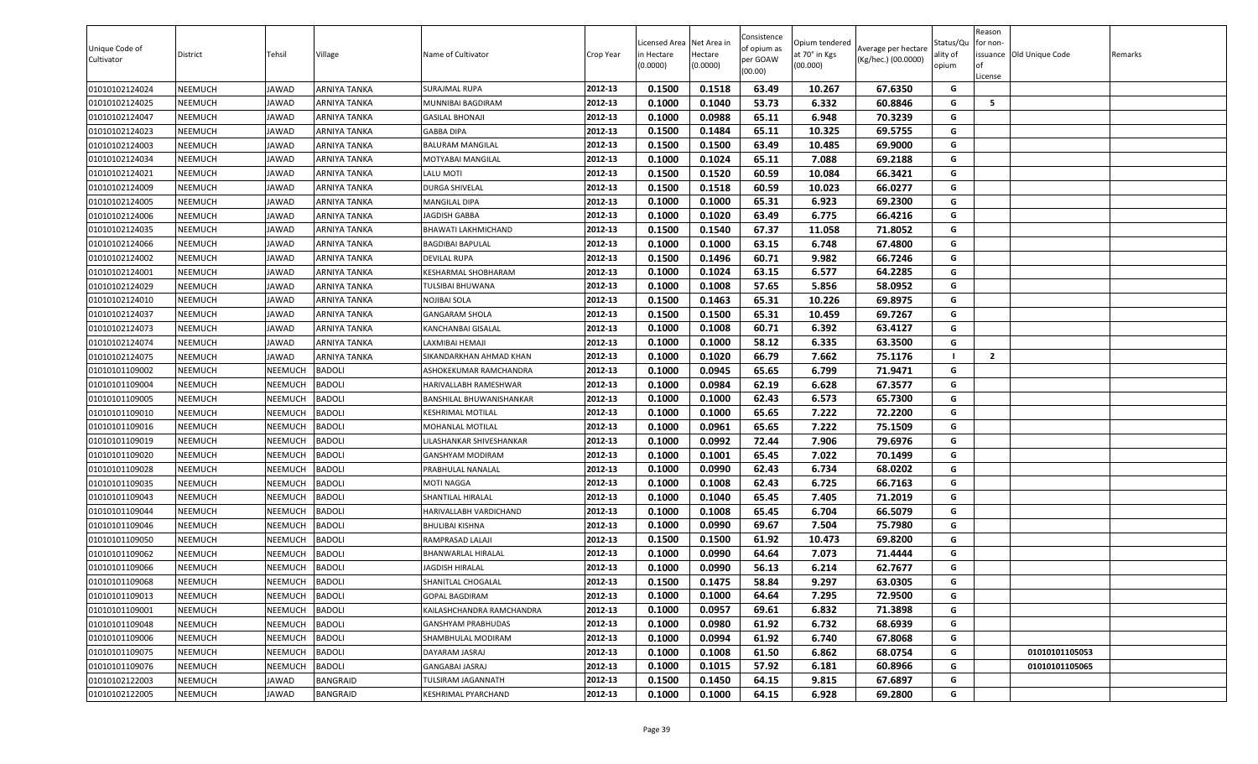| Unique Code of<br>Cultivator | District       | Tehsil         | Village             | Name of Cultivator        | Crop Year | Licensed Area Net Area in<br>n Hectare<br>(0.0000) | Hectare<br>(0.0000) | Consistence<br>of opium as<br>per GOAW<br>(00.00) | Opium tendered<br>at 70° in Kgs<br>(00.000) | Average per hectare<br>(Kg/hec.) (00.0000) | Status/Qu<br>ality of<br>opium | Reason<br>for non-<br>of<br>License | issuance Old Unique Code | Remarks |
|------------------------------|----------------|----------------|---------------------|---------------------------|-----------|----------------------------------------------------|---------------------|---------------------------------------------------|---------------------------------------------|--------------------------------------------|--------------------------------|-------------------------------------|--------------------------|---------|
| 01010102124024               | NEEMUCH        | JAWAD          | ARNIYA TANKA        | <b>SURAJMAL RUPA</b>      | 2012-13   | 0.1500                                             | 0.1518              | 63.49                                             | 10.267                                      | 67.6350                                    | G                              |                                     |                          |         |
| 01010102124025               | NEEMUCH        | <b>JAWAD</b>   | ARNIYA TANKA        | MUNNIBAI BAGDIRAM         | 2012-13   | 0.1000                                             | 0.1040              | 53.73                                             | 6.332                                       | 60.8846                                    | G                              | 5                                   |                          |         |
| 01010102124047               | NEEMUCH        | <b>JAWAD</b>   | <b>ARNIYA TANKA</b> | <b>GASILAL BHONAJI</b>    | 2012-13   | 0.1000                                             | 0.0988              | 65.11                                             | 6.948                                       | 70.3239                                    | G                              |                                     |                          |         |
| 01010102124023               | NEEMUCH        | <b>JAWAD</b>   | ARNIYA TANKA        | <b>GABBA DIPA</b>         | 2012-13   | 0.1500                                             | 0.1484              | 65.11                                             | 10.325                                      | 69.5755                                    | G                              |                                     |                          |         |
| 01010102124003               | NEEMUCH        | <b>JAWAD</b>   | ARNIYA TANKA        | <b>BALURAM MANGILAL</b>   | 2012-13   | 0.1500                                             | 0.1500              | 63.49                                             | 10.485                                      | 69.9000                                    | G                              |                                     |                          |         |
| 01010102124034               | NEEMUCH        | <b>JAWAD</b>   | ARNIYA TANKA        | MOTYABAI MANGILAL         | 2012-13   | 0.1000                                             | 0.1024              | 65.11                                             | 7.088                                       | 69.2188                                    | G                              |                                     |                          |         |
| 01010102124021               | NEEMUCH        | <b>JAWAD</b>   | ARNIYA TANKA        | LALU MOTI                 | 2012-13   | 0.1500                                             | 0.1520              | 60.59                                             | 10.084                                      | 66.3421                                    | G                              |                                     |                          |         |
| 01010102124009               | NEEMUCH        | <b>JAWAD</b>   | ARNIYA TANKA        | <b>DURGA SHIVELAL</b>     | 2012-13   | 0.1500                                             | 0.1518              | 60.59                                             | 10.023                                      | 66.0277                                    | G                              |                                     |                          |         |
| 01010102124005               | NEEMUCH        | <b>JAWAD</b>   | ARNIYA TANKA        | <b>MANGILAL DIPA</b>      | 2012-13   | 0.1000                                             | 0.1000              | 65.31                                             | 6.923                                       | 69.2300                                    | G                              |                                     |                          |         |
| 01010102124006               | NEEMUCH        | <b>JAWAD</b>   | ARNIYA TANKA        | <b>JAGDISH GABBA</b>      | 2012-13   | 0.1000                                             | 0.1020              | 63.49                                             | 6.775                                       | 66.4216                                    | G                              |                                     |                          |         |
| 01010102124035               | NEEMUCH        | <b>JAWAD</b>   | ARNIYA TANKA        | BHAWATI LAKHMICHAND       | 2012-13   | 0.1500                                             | 0.1540              | 67.37                                             | 11.058                                      | 71.8052                                    | G                              |                                     |                          |         |
| 01010102124066               | NEEMUCH        | <b>JAWAD</b>   | ARNIYA TANKA        | <b>BAGDIBAI BAPULAL</b>   | 2012-13   | 0.1000                                             | 0.1000              | 63.15                                             | 6.748                                       | 67.4800                                    | G                              |                                     |                          |         |
| 01010102124002               | NEEMUCH        | <b>JAWAD</b>   | ARNIYA TANKA        | <b>DEVILAL RUPA</b>       | 2012-13   | 0.1500                                             | 0.1496              | 60.71                                             | 9.982                                       | 66.7246                                    | G                              |                                     |                          |         |
| 01010102124001               | NEEMUCH        | <b>JAWAD</b>   | <b>ARNIYA TANKA</b> | KESHARMAL SHOBHARAM       | 2012-13   | 0.1000                                             | 0.1024              | 63.15                                             | 6.577                                       | 64.2285                                    | G                              |                                     |                          |         |
| 01010102124029               | NEEMUCH        | <b>JAWAD</b>   | <b>ARNIYA TANKA</b> | <b>TULSIBAI BHUWANA</b>   | 2012-13   | 0.1000                                             | 0.1008              | 57.65                                             | 5.856                                       | 58.0952                                    | G                              |                                     |                          |         |
| 01010102124010               | <b>NEEMUCH</b> | <b>JAWAD</b>   | <b>ARNIYA TANKA</b> | NOJIBAI SOLA              | 2012-13   | 0.1500                                             | 0.1463              | 65.31                                             | 10.226                                      | 69.8975                                    | G                              |                                     |                          |         |
| 01010102124037               | NEEMUCH        | <b>JAWAD</b>   | ARNIYA TANKA        | <b>GANGARAM SHOLA</b>     | 2012-13   | 0.1500                                             | 0.1500              | 65.31                                             | 10.459                                      | 69.7267                                    | G                              |                                     |                          |         |
| 01010102124073               | NEEMUCH        | <b>JAWAD</b>   | ARNIYA TANKA        | KANCHANBAI GISALAL        | 2012-13   | 0.1000                                             | 0.1008              | 60.71                                             | 6.392                                       | 63.4127                                    | G                              |                                     |                          |         |
| 01010102124074               | NEEMUCH        | <b>JAWAD</b>   | <b>ARNIYA TANKA</b> | LAXMIBAI HEMAJI           | 2012-13   | 0.1000                                             | 0.1000              | 58.12                                             | 6.335                                       | 63.3500                                    | G                              |                                     |                          |         |
| 01010102124075               | NEEMUCH        | <b>JAWAD</b>   | ARNIYA TANKA        | SIKANDARKHAN AHMAD KHAN   | 2012-13   | 0.1000                                             | 0.1020              | 66.79                                             | 7.662                                       | 75.1176                                    |                                | $\overline{2}$                      |                          |         |
| 01010101109002               | NEEMUCH        | NEEMUCH        | <b>BADOLI</b>       | ASHOKEKUMAR RAMCHANDRA    | 2012-13   | 0.1000                                             | 0.0945              | 65.65                                             | 6.799                                       | 71.9471                                    | G                              |                                     |                          |         |
| 01010101109004               | NEEMUCH        | NEEMUCH        | <b>BADOLI</b>       | HARIVALLABH RAMESHWAR     | 2012-13   | 0.1000                                             | 0.0984              | 62.19                                             | 6.628                                       | 67.3577                                    | G                              |                                     |                          |         |
| 01010101109005               | NEEMUCH        | NEEMUCH        | <b>BADOLI</b>       | BANSHILAL BHUWANISHANKAR  | 2012-13   | 0.1000                                             | 0.1000              | 62.43                                             | 6.573                                       | 65.7300                                    | G                              |                                     |                          |         |
| 01010101109010               | NEEMUCH        | NEEMUCH        | <b>BADOLI</b>       | <b>KESHRIMAL MOTILAL</b>  | 2012-13   | 0.1000                                             | 0.1000              | 65.65                                             | 7.222                                       | 72.2200                                    | G                              |                                     |                          |         |
| 01010101109016               | NEEMUCH        | NEEMUCH        | <b>BADOLI</b>       | MOHANLAL MOTILAL          | 2012-13   | 0.1000                                             | 0.0961              | 65.65                                             | 7.222                                       | 75.1509                                    | G                              |                                     |                          |         |
| 01010101109019               | NEEMUCH        | NEEMUCH        | <b>BADOLI</b>       | LILASHANKAR SHIVESHANKAR  | 2012-13   | 0.1000                                             | 0.0992              | 72.44                                             | 7.906                                       | 79.6976                                    | G                              |                                     |                          |         |
| 01010101109020               | NEEMUCH        | NEEMUCH        | <b>BADOLI</b>       | <b>GANSHYAM MODIRAM</b>   | 2012-13   | 0.1000                                             | 0.1001              | 65.45                                             | 7.022                                       | 70.1499                                    | G                              |                                     |                          |         |
| 01010101109028               | NEEMUCH        | NEEMUCH        | <b>BADOLI</b>       | PRABHULAL NANALAL         | 2012-13   | 0.1000                                             | 0.0990              | 62.43                                             | 6.734                                       | 68.0202                                    | G                              |                                     |                          |         |
| 01010101109035               | NEEMUCH        | NEEMUCH        | <b>BADOLI</b>       | <b>MOTI NAGGA</b>         | 2012-13   | 0.1000                                             | 0.1008              | 62.43                                             | 6.725                                       | 66.7163                                    | G                              |                                     |                          |         |
| 01010101109043               | NEEMUCH        | NEEMUCH        | <b>BADOLI</b>       | SHANTILAL HIRALAL         | 2012-13   | 0.1000                                             | 0.1040              | 65.45                                             | 7.405                                       | 71.2019                                    | G                              |                                     |                          |         |
| 01010101109044               | NEEMUCH        | NEEMUCH        | <b>BADOLI</b>       | HARIVALLABH VARDICHAND    | 2012-13   | 0.1000                                             | 0.1008              | 65.45                                             | 6.704                                       | 66.5079                                    | G                              |                                     |                          |         |
| 01010101109046               | NEEMUCH        | NEEMUCH        | <b>BADOLI</b>       | <b>BHULIBAI KISHNA</b>    | 2012-13   | 0.1000                                             | 0.0990              | 69.67                                             | 7.504                                       | 75.7980                                    | G                              |                                     |                          |         |
| 01010101109050               | <b>NEEMUCH</b> | NEEMUCH        | <b>BADOLI</b>       | RAMPRASAD LALAJI          | 2012-13   | 0.1500                                             | 0.1500              | 61.92                                             | 10.473                                      | 69.8200                                    | G                              |                                     |                          |         |
| 01010101109062               | NEEMUCH        | NEEMUCH        | <b>BADOLI</b>       | BHANWARLAL HIRALAL        | 2012-13   | 0.1000                                             | 0.0990              | 64.64                                             | 7.073                                       | 71.4444                                    | G                              |                                     |                          |         |
| 01010101109066               | NEEMUCH        | NEEMUCH        | <b>BADOLI</b>       | <b>JAGDISH HIRALAL</b>    | 2012-13   | 0.1000                                             | 0.0990              | 56.13                                             | 6.214                                       | 62.7677                                    | G                              |                                     |                          |         |
| 01010101109068               | NEEMUCH        | <b>NEEMUCH</b> | <b>BADOLI</b>       | SHANITLAL CHOGALAL        | 2012-13   | 0.1500                                             | 0.1475              | 58.84                                             | 9.297                                       | 63.0305                                    | G                              |                                     |                          |         |
| 01010101109013               | NEEMUCH        | NEEMUCH        | <b>BADOLI</b>       | <b>GOPAL BAGDIRAM</b>     | 2012-13   | 0.1000                                             | 0.1000              | 64.64                                             | 7.295                                       | 72.9500                                    | G                              |                                     |                          |         |
| 01010101109001               | NEEMUCH        | NEEMUCH        | <b>BADOLI</b>       | KAILASHCHANDRA RAMCHANDRA | 2012-13   | 0.1000                                             | 0.0957              | 69.61                                             | 6.832                                       | 71.3898                                    | G                              |                                     |                          |         |
| 01010101109048               | <b>NEEMUCH</b> | NEEMUCH        | <b>BADOLI</b>       | GANSHYAM PRABHUDAS        | 2012-13   | 0.1000                                             | 0.0980              | 61.92                                             | 6.732                                       | 68.6939                                    | G                              |                                     |                          |         |
| 01010101109006               | NEEMUCH        | NEEMUCH        | <b>BADOLI</b>       | SHAMBHULAL MODIRAM        | 2012-13   | 0.1000                                             | 0.0994              | 61.92                                             | 6.740                                       | 67.8068                                    | G                              |                                     |                          |         |
| 01010101109075               | <b>NEEMUCH</b> | NEEMUCH        | <b>BADOLI</b>       | DAYARAM JASRAJ            | 2012-13   | 0.1000                                             | 0.1008              | 61.50                                             | 6.862                                       | 68.0754                                    | G                              |                                     | 01010101105053           |         |
| 01010101109076               | NEEMUCH        | NEEMUCH        | <b>BADOLI</b>       | <b>GANGABAI JASRAJ</b>    | 2012-13   | 0.1000                                             | 0.1015              | 57.92                                             | 6.181                                       | 60.8966                                    | G                              |                                     | 01010101105065           |         |
| 01010102122003               | NEEMUCH        | <b>JAWAD</b>   | <b>BANGRAID</b>     | TULSIRAM JAGANNATH        | 2012-13   | 0.1500                                             | 0.1450              | 64.15                                             | 9.815                                       | 67.6897                                    | G                              |                                     |                          |         |
| 01010102122005               | <b>NEEMUCH</b> | <b>JAWAD</b>   | <b>BANGRAID</b>     | KESHRIMAL PYARCHAND       | 2012-13   | 0.1000                                             | 0.1000              | 64.15                                             | 6.928                                       | 69.2800                                    | G                              |                                     |                          |         |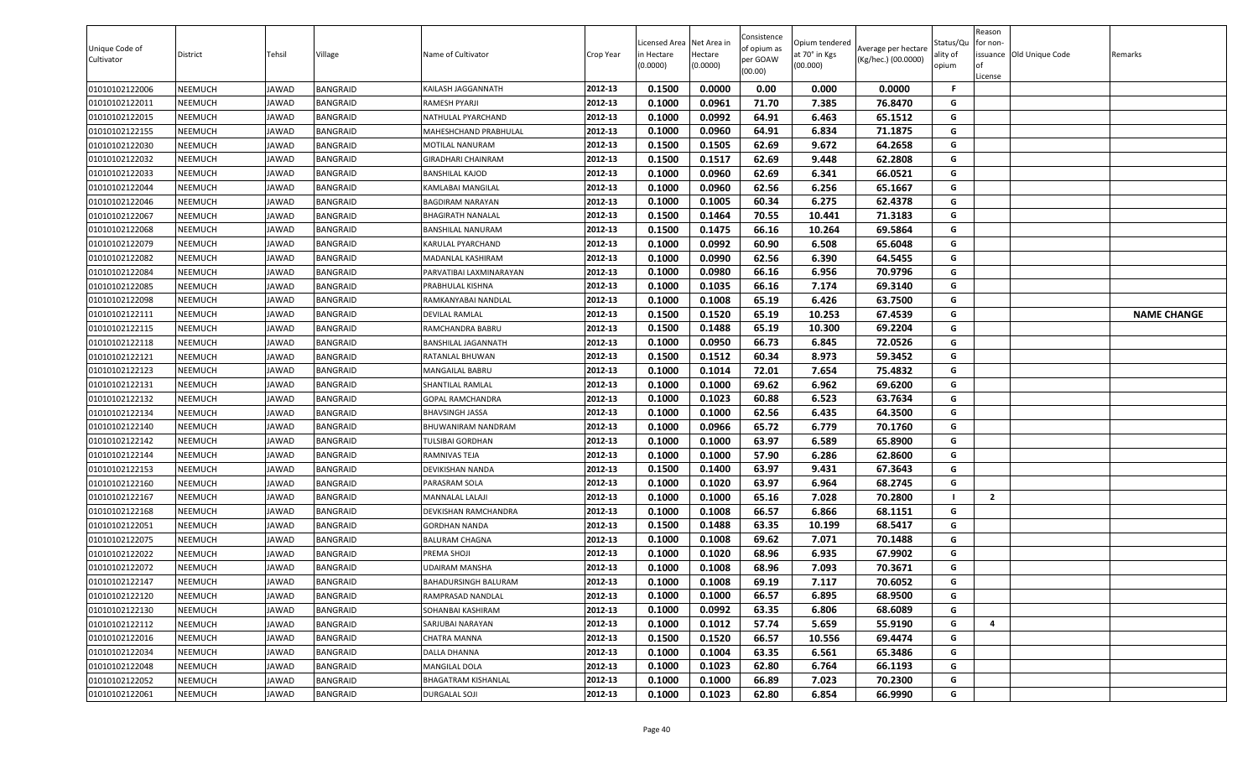| Unique Code of<br>Cultivator | District | Tehsil       | Village  | Name of Cultivator          | Crop Year | .icensed Area<br>in Hectare<br>(0.0000) | Net Area in<br>Hectare<br>(0.0000) | Consistence<br>of opium as<br>per GOAW<br>(00.00) | Opium tendered<br>at 70° in Kgs<br>(00.000) | Average per hectare<br>(Kg/hec.) (00.0000) | Status/Qu<br>ality of<br>opium | Reason<br>for non-<br><b>of</b><br>License | issuance Old Unique Code | Remarks            |
|------------------------------|----------|--------------|----------|-----------------------------|-----------|-----------------------------------------|------------------------------------|---------------------------------------------------|---------------------------------------------|--------------------------------------------|--------------------------------|--------------------------------------------|--------------------------|--------------------|
| 01010102122006               | NEEMUCH  | JAWAD        | BANGRAID | KAILASH JAGGANNATH          | 2012-13   | 0.1500                                  | 0.0000                             | 0.00                                              | 0.000                                       | 0.0000                                     | -F                             |                                            |                          |                    |
| 01010102122011               | NEEMUCH  | JAWAD        | BANGRAID | RAMESH PYARJI               | 2012-13   | 0.1000                                  | 0.0961                             | 71.70                                             | 7.385                                       | 76.8470                                    | G                              |                                            |                          |                    |
| 01010102122015               | NEEMUCH  | JAWAD        | BANGRAID | NATHULAL PYARCHAND          | 2012-13   | 0.1000                                  | 0.0992                             | 64.91                                             | 6.463                                       | 65.1512                                    | G                              |                                            |                          |                    |
| 01010102122155               | NEEMUCH  | JAWAD        | BANGRAID | MAHESHCHAND PRABHULAL       | 2012-13   | 0.1000                                  | 0.0960                             | 64.91                                             | 6.834                                       | 71.1875                                    | G                              |                                            |                          |                    |
| 01010102122030               | NEEMUCH  | JAWAD        | BANGRAID | MOTILAL NANURAM             | 2012-13   | 0.1500                                  | 0.1505                             | 62.69                                             | 9.672                                       | 64.2658                                    | G                              |                                            |                          |                    |
| 01010102122032               | NEEMUCH  | <b>IAWAD</b> | BANGRAID | <b>GIRADHARI CHAINRAM</b>   | 2012-13   | 0.1500                                  | 0.1517                             | 62.69                                             | 9.448                                       | 62.2808                                    | G                              |                                            |                          |                    |
| 01010102122033               | NEEMUCH  | <b>IAWAD</b> | BANGRAID | BANSHILAL KAJOD             | 2012-13   | 0.1000                                  | 0.0960                             | 62.69                                             | 6.341                                       | 66.0521                                    | G                              |                                            |                          |                    |
| 01010102122044               | NEEMUCH  | JAWAD        | BANGRAID | KAMLABAI MANGILAL           | 2012-13   | 0.1000                                  | 0.0960                             | 62.56                                             | 6.256                                       | 65.1667                                    | G                              |                                            |                          |                    |
| 01010102122046               | NEEMUCH  | JAWAD        | BANGRAID | BAGDIRAM NARAYAN            | 2012-13   | 0.1000                                  | 0.1005                             | 60.34                                             | 6.275                                       | 62.4378                                    | G                              |                                            |                          |                    |
| 01010102122067               | NEEMUCH  | JAWAD        | BANGRAID | BHAGIRATH NANALAL           | 2012-13   | 0.1500                                  | 0.1464                             | 70.55                                             | 10.441                                      | 71.3183                                    | G                              |                                            |                          |                    |
| 01010102122068               | NEEMUCH  | JAWAD        | BANGRAID | BANSHILAL NANURAM           | 2012-13   | 0.1500                                  | 0.1475                             | 66.16                                             | 10.264                                      | 69.5864                                    | G                              |                                            |                          |                    |
| 01010102122079               | NEEMUCH  | JAWAD        | BANGRAID | <b>KARULAL PYARCHAND</b>    | 2012-13   | 0.1000                                  | 0.0992                             | 60.90                                             | 6.508                                       | 65.6048                                    | G                              |                                            |                          |                    |
| 01010102122082               | NEEMUCH  | JAWAD        | BANGRAID | MADANLAL KASHIRAM           | 2012-13   | 0.1000                                  | 0.0990                             | 62.56                                             | 6.390                                       | 64.5455                                    | G                              |                                            |                          |                    |
| 01010102122084               | NEEMUCH  | <b>IAWAD</b> | BANGRAID | PARVATIBAI LAXMINARAYAN     | 2012-13   | 0.1000                                  | 0.0980                             | 66.16                                             | 6.956                                       | 70.9796                                    | G                              |                                            |                          |                    |
| 01010102122085               | NEEMUCH  | JAWAD        | BANGRAID | PRABHULAL KISHNA            | 2012-13   | 0.1000                                  | 0.1035                             | 66.16                                             | 7.174                                       | 69.3140                                    | G                              |                                            |                          |                    |
| 01010102122098               | NEEMUCH  | JAWAD        | BANGRAID | RAMKANYABAI NANDLAL         | 2012-13   | 0.1000                                  | 0.1008                             | 65.19                                             | 6.426                                       | 63.7500                                    | G                              |                                            |                          |                    |
| 01010102122111               | NEEMUCH  | JAWAD        | BANGRAID | DEVILAL RAMLAL              | 2012-13   | 0.1500                                  | 0.1520                             | 65.19                                             | 10.253                                      | 67.4539                                    | G                              |                                            |                          | <b>NAME CHANGE</b> |
| 01010102122115               | NEEMUCH  | JAWAD        | BANGRAID | RAMCHANDRA BABRU            | 2012-13   | 0.1500                                  | 0.1488                             | 65.19                                             | 10.300                                      | 69.2204                                    | G                              |                                            |                          |                    |
| 01010102122118               | NEEMUCH  | JAWAD        | BANGRAID | BANSHILAL JAGANNATH         | 2012-13   | 0.1000                                  | 0.0950                             | 66.73                                             | 6.845                                       | 72.0526                                    | G                              |                                            |                          |                    |
| 01010102122121               | NEEMUCH  | JAWAD        | BANGRAID | RATANLAL BHUWAN             | 2012-13   | 0.1500                                  | 0.1512                             | 60.34                                             | 8.973                                       | 59.3452                                    | G                              |                                            |                          |                    |
| 01010102122123               | NEEMUCH  | JAWAD        | BANGRAID | MANGAILAL BABRU             | 2012-13   | 0.1000                                  | 0.1014                             | 72.01                                             | 7.654                                       | 75.4832                                    | G                              |                                            |                          |                    |
| 01010102122131               | NEEMUCH  | JAWAD        | BANGRAID | SHANTILAL RAMLAL            | 2012-13   | 0.1000                                  | 0.1000                             | 69.62                                             | 6.962                                       | 69.6200                                    | G                              |                                            |                          |                    |
| 01010102122132               | NEEMUCH  | <b>IAWAD</b> | BANGRAID | <b>GOPAL RAMCHANDRA</b>     | 2012-13   | 0.1000                                  | 0.1023                             | 60.88                                             | 6.523                                       | 63.7634                                    | G                              |                                            |                          |                    |
| 01010102122134               | NEEMUCH  | JAWAD        | BANGRAID | <b>BHAVSINGH JASSA</b>      | 2012-13   | 0.1000                                  | 0.1000                             | 62.56                                             | 6.435                                       | 64.3500                                    | G                              |                                            |                          |                    |
| 01010102122140               | NEEMUCH  | JAWAD        | BANGRAID | BHUWANIRAM NANDRAM          | 2012-13   | 0.1000                                  | 0.0966                             | 65.72                                             | 6.779                                       | 70.1760                                    | G                              |                                            |                          |                    |
| 01010102122142               | NEEMUCH  | JAWAD        | BANGRAID | TULSIBAI GORDHAN            | 2012-13   | 0.1000                                  | 0.1000                             | 63.97                                             | 6.589                                       | 65.8900                                    | G                              |                                            |                          |                    |
| 01010102122144               | NEEMUCH  | <b>IAWAD</b> | BANGRAID | RAMNIVAS TEJA               | 2012-13   | 0.1000                                  | 0.1000                             | 57.90                                             | 6.286                                       | 62.8600                                    | G                              |                                            |                          |                    |
| 01010102122153               | NEEMUCH  | JAWAD        | BANGRAID | <b>DEVIKISHAN NANDA</b>     | 2012-13   | 0.1500                                  | 0.1400                             | 63.97                                             | 9.431                                       | 67.3643                                    | G                              |                                            |                          |                    |
| 01010102122160               | NEEMUCH  | JAWAD        | BANGRAID | PARASRAM SOLA               | 2012-13   | 0.1000                                  | 0.1020                             | 63.97                                             | 6.964                                       | 68.2745                                    | G                              |                                            |                          |                    |
| 01010102122167               | NEEMUCH  | JAWAD        | BANGRAID | MANNALAL LALAJI             | 2012-13   | 0.1000                                  | 0.1000                             | 65.16                                             | 7.028                                       | 70.2800                                    |                                | $\overline{\mathbf{2}}$                    |                          |                    |
| 01010102122168               | NEEMUCH  | <b>IAWAD</b> | BANGRAID | <b>DEVKISHAN RAMCHANDRA</b> | 2012-13   | 0.1000                                  | 0.1008                             | 66.57                                             | 6.866                                       | 68.1151                                    | G                              |                                            |                          |                    |
| 01010102122051               | NEEMUCH  | JAWAD        | BANGRAID | GORDHAN NANDA               | 2012-13   | 0.1500                                  | 0.1488                             | 63.35                                             | 10.199                                      | 68.5417                                    | G                              |                                            |                          |                    |
| 01010102122075               | NEEMUCH  | JAWAD        | BANGRAID | BALURAM CHAGNA              | 2012-13   | 0.1000                                  | 0.1008                             | 69.62                                             | 7.071                                       | 70.1488                                    | G                              |                                            |                          |                    |
| 01010102122022               | NEEMUCH  | JAWAD        | BANGRAID | PREMA SHOJI                 | 2012-13   | 0.1000                                  | 0.1020                             | 68.96                                             | 6.935                                       | 67.9902                                    | G                              |                                            |                          |                    |
| 01010102122072               | NEEMUCH  | <b>IAWAD</b> | BANGRAID | JDAIRAM MANSHA              | 2012-13   | 0.1000                                  | 0.1008                             | 68.96                                             | 7.093                                       | 70.3671                                    | G                              |                                            |                          |                    |
| 01010102122147               | NEEMUCH  | JAWAD        | BANGRAID | BAHADURSINGH BALURAM        | 2012-13   | 0.1000                                  | 0.1008                             | 69.19                                             | 7.117                                       | 70.6052                                    | G                              |                                            |                          |                    |
| 01010102122120               | NEEMUCH  | JAWAD        | BANGRAID | RAMPRASAD NANDLAL           | 2012-13   | 0.1000                                  | 0.1000                             | 66.57                                             | 6.895                                       | 68.9500                                    | G                              |                                            |                          |                    |
| 01010102122130               | NEEMUCH  | JAWAD        | BANGRAID | SOHANBAI KASHIRAM           | 2012-13   | 0.1000                                  | 0.0992                             | 63.35                                             | 6.806                                       | 68.6089                                    | G                              |                                            |                          |                    |
| 01010102122112               | NEEMUCH  | JAWAD        | BANGRAID | SARJUBAI NARAYAN            | 2012-13   | 0.1000                                  | 0.1012                             | 57.74                                             | 5.659                                       | 55.9190                                    | G                              | $\overline{\mathbf{4}}$                    |                          |                    |
| 01010102122016               | NEEMUCH  | JAWAD        | BANGRAID | CHATRA MANNA                | 2012-13   | 0.1500                                  | 0.1520                             | 66.57                                             | 10.556                                      | 69.4474                                    | G                              |                                            |                          |                    |
| 01010102122034               | NEEMUCH  | JAWAD        | BANGRAID | DALLA DHANNA                | 2012-13   | 0.1000                                  | 0.1004                             | 63.35                                             | 6.561                                       | 65.3486                                    | G                              |                                            |                          |                    |
| 01010102122048               | NEEMUCH  | JAWAD        | BANGRAID | MANGILAL DOLA               | 2012-13   | 0.1000                                  | 0.1023                             | 62.80                                             | 6.764                                       | 66.1193                                    | G                              |                                            |                          |                    |
| 01010102122052               | NEEMUCH  | JAWAD        | BANGRAID | BHAGATRAM KISHANLAL         | 2012-13   | 0.1000                                  | 0.1000                             | 66.89                                             | 7.023                                       | 70.2300                                    | G                              |                                            |                          |                    |
| 01010102122061               | NEEMUCH  | JAWAD        | BANGRAID | DURGALAL SOJI               | 2012-13   | 0.1000                                  | 0.1023                             | 62.80                                             | 6.854                                       | 66.9990                                    | G                              |                                            |                          |                    |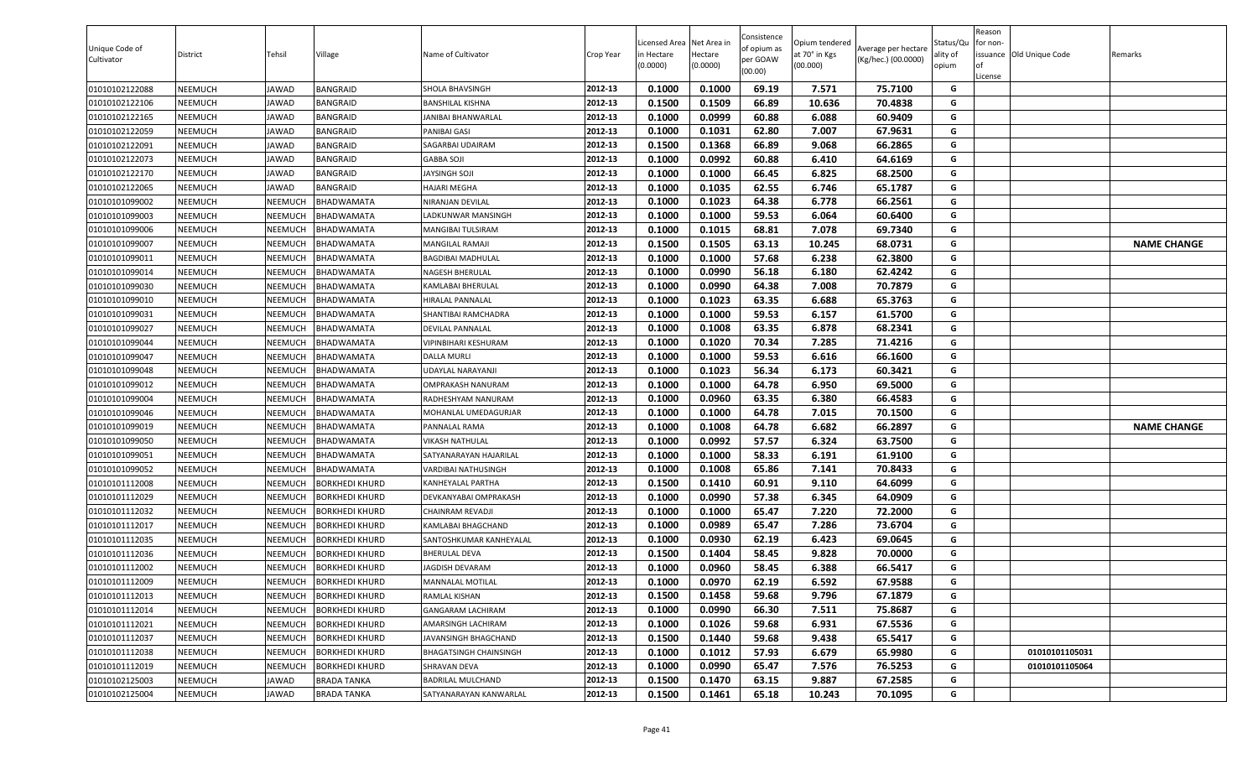| Unique Code of<br>Cultivator | District | Tehsil       | Village               | Name of Cultivator       | Crop Year | Licensed Area Net Area in<br>in Hectare<br>(0.0000) | Hectare<br>(0.0000) | Consistence<br>of opium as<br>per GOAW<br>(00.00) | Opium tendered<br>at 70° in Kgs<br>(00.000) | Average per hectare<br>(Kg/hec.) (00.0000) | Status/Qu<br>ality of<br>opium | Reason<br>for non-<br>0f<br>License | issuance Old Unique Code | Remarks            |
|------------------------------|----------|--------------|-----------------------|--------------------------|-----------|-----------------------------------------------------|---------------------|---------------------------------------------------|---------------------------------------------|--------------------------------------------|--------------------------------|-------------------------------------|--------------------------|--------------------|
| 01010102122088               | NEEMUCH  | JAWAD        | BANGRAID              | SHOLA BHAVSINGH          | 2012-13   | 0.1000                                              | 0.1000              | 69.19                                             | 7.571                                       | 75.7100                                    | G                              |                                     |                          |                    |
| 01010102122106               | NEEMUCH  | JAWAD        | BANGRAID              | BANSHILAL KISHNA         | 2012-13   | 0.1500                                              | 0.1509              | 66.89                                             | 10.636                                      | 70.4838                                    | G                              |                                     |                          |                    |
| 01010102122165               | NEEMUCH  | <b>IAWAD</b> | BANGRAID              | JANIBAI BHANWARLAL       | 2012-13   | 0.1000                                              | 0.0999              | 60.88                                             | 6.088                                       | 60.9409                                    | G                              |                                     |                          |                    |
| 01010102122059               | NEEMUCH  | JAWAD        | BANGRAID              | PANIBAI GASI             | 2012-13   | 0.1000                                              | 0.1031              | 62.80                                             | 7.007                                       | 67.9631                                    | G                              |                                     |                          |                    |
| 01010102122091               | NEEMUCH  | JAWAD        | BANGRAID              | SAGARBAI UDAIRAM         | 2012-13   | 0.1500                                              | 0.1368              | 66.89                                             | 9.068                                       | 66.2865                                    | G                              |                                     |                          |                    |
| 01010102122073               | NEEMUCH  | JAWAD        | BANGRAID              | GABBA SOJI               | 2012-13   | 0.1000                                              | 0.0992              | 60.88                                             | 6.410                                       | 64.6169                                    | G                              |                                     |                          |                    |
| 01010102122170               | NEEMUCH  | <b>IAWAD</b> | BANGRAID              | <b>JAYSINGH SOJI</b>     | 2012-13   | 0.1000                                              | 0.1000              | 66.45                                             | 6.825                                       | 68.2500                                    | G                              |                                     |                          |                    |
| 01010102122065               | NEEMUCH  | JAWAD        | BANGRAID              | HAJARI MEGHA             | 2012-13   | 0.1000                                              | 0.1035              | 62.55                                             | 6.746                                       | 65.1787                                    | G                              |                                     |                          |                    |
| 01010101099002               | NEEMUCH  | NEEMUCH      | 3HADWAMATA            | <b>VIRANJAN DEVILAL</b>  | 2012-13   | 0.1000                                              | 0.1023              | 64.38                                             | 6.778                                       | 66.2561                                    | G                              |                                     |                          |                    |
| 01010101099003               | NEEMUCH  | NEEMUCH      | <b>BHADWAMATA</b>     | ADKUNWAR MANSINGH        | 2012-13   | 0.1000                                              | 0.1000              | 59.53                                             | 6.064                                       | 60.6400                                    | G                              |                                     |                          |                    |
| 01010101099006               | NEEMUCH  | NEEMUCH      | <b>BHADWAMATA</b>     | MANGIBAI TULSIRAM        | 2012-13   | 0.1000                                              | 0.1015              | 68.81                                             | 7.078                                       | 69.7340                                    | G                              |                                     |                          |                    |
| 01010101099007               | NEEMUCH  | NEEMUCH      | 3HADWAMATA            | MANGILAL RAMAJI          | 2012-13   | 0.1500                                              | 0.1505              | 63.13                                             | 10.245                                      | 68.0731                                    | G                              |                                     |                          | <b>NAME CHANGE</b> |
| 01010101099011               | NEEMUCH  | NEEMUCH      | 3HADWAMATA            | BAGDIBAI MADHULAL        | 2012-13   | 0.1000                                              | 0.1000              | 57.68                                             | 6.238                                       | 62.3800                                    | G                              |                                     |                          |                    |
| 01010101099014               | NEEMUCH  | NEEMUCH      | <b>BHADWAMATA</b>     | NAGESH BHERULAL          | 2012-13   | 0.1000                                              | 0.0990              | 56.18                                             | 6.180                                       | 62.4242                                    | G                              |                                     |                          |                    |
| 01010101099030               | NEEMUCH  | NEEMUCH      | BHADWAMATA            | KAMLABAI BHERULAL        | 2012-13   | 0.1000                                              | 0.0990              | 64.38                                             | 7.008                                       | 70.7879                                    | G                              |                                     |                          |                    |
| 01010101099010               | NEEMUCH  | NEEMUCH      | BHADWAMATA            | HIRALAL PANNALAL         | 2012-13   | 0.1000                                              | 0.1023              | 63.35                                             | 6.688                                       | 65.3763                                    | G                              |                                     |                          |                    |
| 01010101099031               | NEEMUCH  | NEEMUCH      | <b>BHADWAMATA</b>     | SHANTIBAI RAMCHADRA      | 2012-13   | 0.1000                                              | 0.1000              | 59.53                                             | 6.157                                       | 61.5700                                    | G                              |                                     |                          |                    |
| 01010101099027               | NEEMUCH  | NEEMUCH      | <b>BHADWAMATA</b>     | DEVILAL PANNALAL         | 2012-13   | 0.1000                                              | 0.1008              | 63.35                                             | 6.878                                       | 68.2341                                    | G                              |                                     |                          |                    |
| 01010101099044               | NEEMUCH  | NEEMUCH      | <b>BHADWAMATA</b>     | VIPINBIHARI KESHURAM     | 2012-13   | 0.1000                                              | 0.1020              | 70.34                                             | 7.285                                       | 71.4216                                    | G                              |                                     |                          |                    |
| 01010101099047               | NEEMUCH  | NEEMUCH      | <b>BHADWAMATA</b>     | DALLA MURLI              | 2012-13   | 0.1000                                              | 0.1000              | 59.53                                             | 6.616                                       | 66.1600                                    | G                              |                                     |                          |                    |
| 01010101099048               | NEEMUCH  | NEEMUCH      | 3HADWAMATA            | JDAYLAL NARAYANJI        | 2012-13   | 0.1000                                              | 0.1023              | 56.34                                             | 6.173                                       | 60.3421                                    | G                              |                                     |                          |                    |
| 01010101099012               | NEEMUCH  | NEEMUCH      | <b>BHADWAMATA</b>     | OMPRAKASH NANURAM        | 2012-13   | 0.1000                                              | 0.1000              | 64.78                                             | 6.950                                       | 69.5000                                    | G                              |                                     |                          |                    |
| 01010101099004               | NEEMUCH  | NEEMUCH      | <b>BHADWAMATA</b>     | RADHESHYAM NANURAM       | 2012-13   | 0.1000                                              | 0.0960              | 63.35                                             | 6.380                                       | 66.4583                                    | G                              |                                     |                          |                    |
| 01010101099046               | NEEMUCH  | NEEMUCH      | BHADWAMATA            | MOHANLAL UMEDAGURJAR     | 2012-13   | 0.1000                                              | 0.1000              | 64.78                                             | 7.015                                       | 70.1500                                    | G                              |                                     |                          |                    |
| 01010101099019               | NEEMUCH  | NEEMUCH      | BHADWAMATA            | PANNALAL RAMA            | 2012-13   | 0.1000                                              | 0.1008              | 64.78                                             | 6.682                                       | 66.2897                                    | G                              |                                     |                          | <b>NAME CHANGE</b> |
| 01010101099050               | NEEMUCH  | NEEMUCH      | <b>BHADWAMATA</b>     | VIKASH NATHULAL          | 2012-13   | 0.1000                                              | 0.0992              | 57.57                                             | 6.324                                       | 63.7500                                    | G                              |                                     |                          |                    |
| 01010101099051               | NEEMUCH  | NEEMUCH      | <b>BHADWAMATA</b>     | SATYANARAYAN HAJARILAL   | 2012-13   | 0.1000                                              | 0.1000              | 58.33                                             | 6.191                                       | 61.9100                                    | G                              |                                     |                          |                    |
| 01010101099052               | NEEMUCH  | NEEMUCH      | BHADWAMATA            | /ARDIBAI NATHUSINGH      | 2012-13   | 0.1000                                              | 0.1008              | 65.86                                             | 7.141                                       | 70.8433                                    | G                              |                                     |                          |                    |
| 01010101112008               | NEEMUCH  | NEEMUCH      | BORKHEDI KHURD        | KANHEYALAL PARTHA        | 2012-13   | 0.1500                                              | 0.1410              | 60.91                                             | 9.110                                       | 64.6099                                    | G                              |                                     |                          |                    |
| 01010101112029               | NEEMUCH  | NEEMUCH      | BORKHEDI KHURD        | DEVKANYABAI OMPRAKASH    | 2012-13   | 0.1000                                              | 0.0990              | 57.38                                             | 6.345                                       | 64.0909                                    | G                              |                                     |                          |                    |
| 01010101112032               | NEEMUCH  | NEEMUCH      | BORKHEDI KHURD        | CHAINRAM REVADJI         | 2012-13   | 0.1000                                              | 0.1000              | 65.47                                             | 7.220                                       | 72.2000                                    | G                              |                                     |                          |                    |
| 01010101112017               | NEEMUCH  | NEEMUCH      | BORKHEDI KHURD        | KAMLABAI BHAGCHAND       | 2012-13   | 0.1000                                              | 0.0989              | 65.47                                             | 7.286                                       | 73.6704                                    | G                              |                                     |                          |                    |
| 01010101112035               | NEEMUCH  | NEEMUCH      | BORKHEDI KHURD        | SANTOSHKUMAR KANHEYALAL  | 2012-13   | 0.1000                                              | 0.0930              | 62.19                                             | 6.423                                       | 69.0645                                    | G                              |                                     |                          |                    |
| 01010101112036               | NEEMUCH  | NEEMUCH      | BORKHEDI KHURD        | BHERULAL DEVA            | 2012-13   | 0.1500                                              | 0.1404              | 58.45                                             | 9.828                                       | 70.0000                                    | G                              |                                     |                          |                    |
| 01010101112002               | NEEMUCH  | NEEMUCH      | BORKHEDI KHURD        | JAGDISH DEVARAM          | 2012-13   | 0.1000                                              | 0.0960              | 58.45                                             | 6.388                                       | 66.5417                                    | G                              |                                     |                          |                    |
| 01010101112009               | NEEMUCH  | NEEMUCH      | <b>BORKHEDI KHURD</b> | <b>MANNALAL MOTILAL</b>  | 2012-13   | 0.1000                                              | 0.0970              | 62.19                                             | 6.592                                       | 67.9588                                    | G                              |                                     |                          |                    |
| 01010101112013               | NEEMUCH  | NEEMUCH      | <b>BORKHEDI KHURD</b> | RAMLAL KISHAN            | 2012-13   | 0.1500                                              | 0.1458              | 59.68                                             | 9.796                                       | 67.1879                                    | G                              |                                     |                          |                    |
| 01010101112014               | NEEMUCH  | NEEMUCH      | BORKHEDI KHURD        | GANGARAM LACHIRAM        | 2012-13   | 0.1000                                              | 0.0990              | 66.30                                             | 7.511                                       | 75.8687                                    | G                              |                                     |                          |                    |
| 01010101112021               | NEEMUCH  | NEEMUCH      | <b>BORKHEDI KHURD</b> | AMARSINGH LACHIRAM       | 2012-13   | 0.1000                                              | 0.1026              | 59.68                                             | 6.931                                       | 67.5536                                    | G                              |                                     |                          |                    |
| 01010101112037               | NEEMUCH  | NEEMUCH      | <b>BORKHEDI KHURD</b> | JAVANSINGH BHAGCHAND     | 2012-13   | 0.1500                                              | 0.1440              | 59.68                                             | 9.438                                       | 65.5417                                    | G                              |                                     |                          |                    |
| 01010101112038               | NEEMUCH  | NEEMUCH      | BORKHEDI KHURD        | BHAGATSINGH CHAINSINGH   | 2012-13   | 0.1000                                              | 0.1012              | 57.93                                             | 6.679                                       | 65.9980                                    | G                              |                                     | 01010101105031           |                    |
| 01010101112019               | NEEMUCH  | NEEMUCH      | BORKHEDI KHURD        | SHRAVAN DEVA             | 2012-13   | 0.1000                                              | 0.0990              | 65.47                                             | 7.576                                       | 76.5253                                    | G                              |                                     | 01010101105064           |                    |
| 01010102125003               | NEEMUCH  | JAWAD        | <b>BRADA TANKA</b>    | <b>BADRILAL MULCHAND</b> | 2012-13   | 0.1500                                              | 0.1470              | 63.15                                             | 9.887                                       | 67.2585                                    | G                              |                                     |                          |                    |
| 01010102125004               | NEEMUCH  | JAWAD        | <b>BRADA TANKA</b>    | SATYANARAYAN KANWARLAL   | 2012-13   | 0.1500                                              | 0.1461              | 65.18                                             | 10.243                                      | 70.1095                                    | G                              |                                     |                          |                    |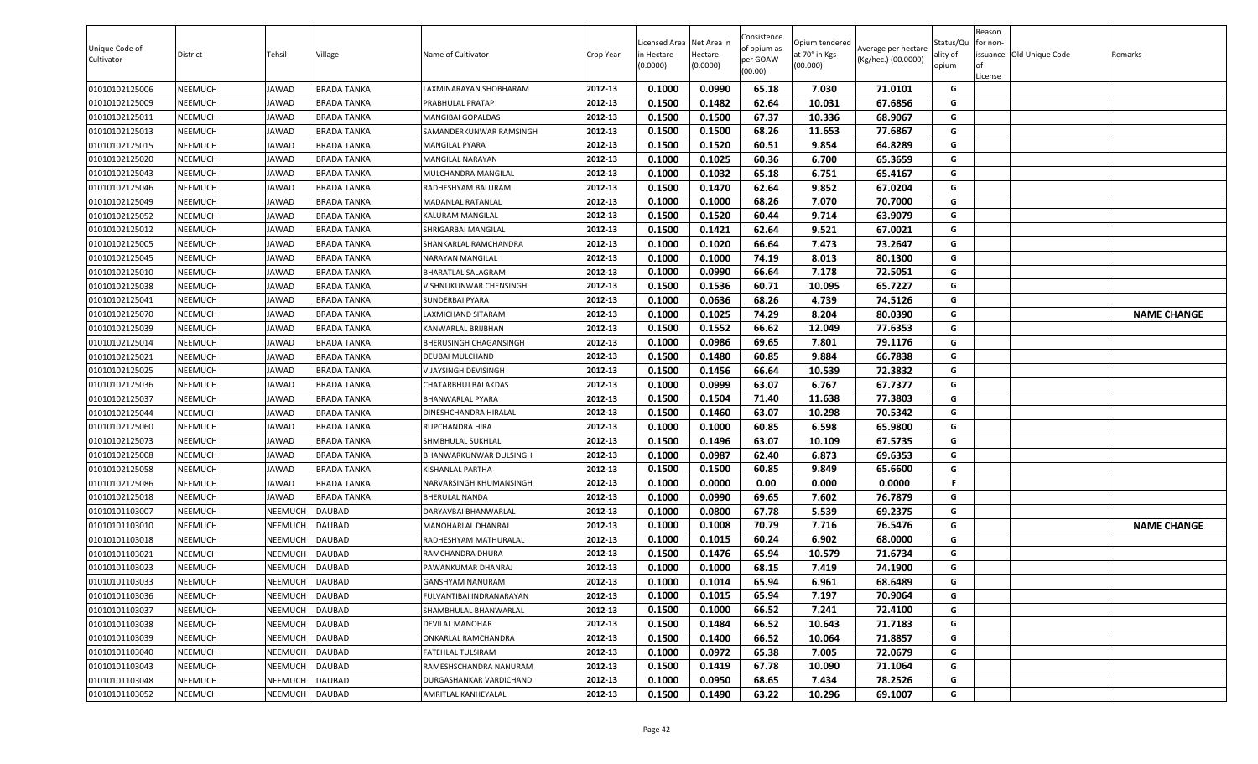| 0.0990<br>65.18<br>01010102125006<br>NEEMUCH<br>JAWAD<br><b>BRADA TANKA</b><br>2012-13<br>0.1000<br>7.030<br>71.0101<br>G<br>LAXMINARAYAN SHOBHARAM<br>62.64<br>01010102125009<br>0.1500<br>0.1482<br>10.031<br>67.6856<br>G<br>NEEMUCH<br>JAWAD<br><b>BRADA TANKA</b><br>2012-13<br>PRABHULAL PRATAP<br>0.1500<br>67.37<br>68.9067<br>01010102125011<br>NEEMUCH<br><b>IAWAD</b><br><b>BRADA TANKA</b><br>2012-13<br>0.1500<br>10.336<br>G<br>MANGIBAI GOPALDAS<br>68.26<br>0.1500<br>11.653<br>77.6867<br>G<br>2012-13<br>0.1500<br>01010102125013<br>NEEMUCH<br>JAWAD<br>BRADA TANKA<br>SAMANDERKUNWAR RAMSINGH<br>0.1500<br>0.1520<br>60.51<br>9.854<br>64.8289<br>01010102125015<br>NEEMUCH<br>JAWAD<br>2012-13<br>G<br>BRADA TANKA<br>MANGILAL PYARA<br>2012-13<br>60.36<br>G<br>0.1000<br>0.1025<br>6.700<br>65.3659<br>01010102125020<br>NEEMUCH<br>JAWAD<br>MANGILAL NARAYAN<br><b>BRADA TANKA</b><br>01010102125043<br>NEEMUCH<br>2012-13<br>0.1000<br>0.1032<br>65.18<br>6.751<br>65.4167<br>G<br>JAWAD<br><b>BRADA TANKA</b><br>MULCHANDRA MANGILAL<br>2012-13<br>62.64<br>9.852<br>G<br>01010102125046<br>NEEMUCH<br>JAWAD<br><b>BRADA TANKA</b><br>RADHESHYAM BALURAM<br>0.1500<br>0.1470<br>67.0204<br>2012-13<br>0.1000<br>0.1000<br>68.26<br>7.070<br>G<br>01010102125049<br>NEEMUCH<br><b>MADANLAL RATANLAL</b><br>70.7000<br>JAWAD<br>BRADA TANKA<br>01010102125052<br>0.1500<br>0.1520<br>60.44<br>63.9079<br>NEEMUCH<br>JAWAD<br><b>BRADA TANKA</b><br>2012-13<br>9.714<br>G<br>KALURAM MANGILAL<br>01010102125012<br>2012-13<br>0.1500<br>0.1421<br>62.64<br>9.521<br>67.0021<br>NEEMUCH<br>JAWAD<br>BRADA TANKA<br>G<br>SHRIGARBAI MANGILAL<br>66.64<br>7.473<br>73.2647<br>01010102125005<br>JAWAD<br>2012-13<br>0.1000<br>0.1020<br>G<br>NEEMUCH<br>BRADA TANKA<br>SHANKARLAL RAMCHANDRA<br>0.1000<br>0.1000<br>74.19<br>8.013<br>01010102125045<br>2012-13<br>80.1300<br>G<br>NEEMUCH<br>JAWAD<br>BRADA TANKA<br>VARAYAN MANGILAL<br>0.0990<br>66.64<br>7.178<br>72.5051<br>G<br>01010102125010<br>NEEMUCH<br>JAWAD<br><b>BRADA TANKA</b><br>2012-13<br>0.1000<br>BHARATLAL SALAGRAM<br>65.7227<br>2012-13<br>0.1500<br>0.1536<br>60.71<br>10.095<br>G<br>01010102125038<br>NEEMUCH<br>JAWAD<br><b>BRADA TANKA</b><br>VISHNUKUNWAR CHENSINGH<br>0.1000<br>0.0636<br>68.26<br>74.5126<br>01010102125041<br>NEEMUCH<br>JAWAD<br><b>BRADA TANKA</b><br>SUNDERBAI PYARA<br>2012-13<br>4.739<br>G<br>0.1000<br>0.1025<br>74.29<br>8.204<br>80.0390<br>G<br>2012-13<br><b>NAME CHANGE</b><br>01010102125070<br>NEEMUCH<br>LAXMICHAND SITARAM<br>JAWAD<br>BRADA TANKA<br>01010102125039<br>2012-13<br>0.1500<br>0.1552<br>66.62<br>12.049<br>77.6353<br>G<br>NEEMUCH<br>JAWAD<br><b>BRADA TANKA</b><br>KANWARLAL BRIJBHAN<br>2012-13<br>0.0986<br>01010102125014<br><b>BHERUSINGH CHAGANSINGH</b><br>0.1000<br>69.65<br>7.801<br>79.1176<br>G<br>NEEMUCH<br>JAWAD<br><b>BRADA TANKA</b><br>2012-13<br>0.1500<br>0.1480<br>60.85<br>9.884<br>66.7838<br>G<br>01010102125021<br>NEEMUCH<br><b>IAWAD</b><br><b>BRADA TANKA</b><br>DEUBAI MULCHAND<br>66.64<br>72.3832<br>G<br>01010102125025<br>2012-13<br>0.1500<br>0.1456<br>10.539<br>NEEMUCH<br>JAWAD<br>BRADA TANKA<br>VIJAYSINGH DEVISINGH<br>0.1000<br>0.0999<br>63.07<br>6.767<br>67.7377<br>01010102125036<br>NEEMUCH<br>JAWAD<br><b>BRADA TANKA</b><br>2012-13<br>G<br>CHATARBHUJ BALAKDAS<br>11.638<br>77.3803<br>2012-13<br>0.1500<br>0.1504<br>71.40<br>G<br>01010102125037<br>NEEMUCH<br><b>IAWAD</b><br><b>BRADA TANKA</b><br>BHANWARLAL PYARA<br>0.1500<br>0.1460<br>63.07<br>10.298<br>70.5342<br>G<br>01010102125044<br>NEEMUCH<br>JAWAD<br><b>BRADA TANKA</b><br>2012-13<br>DINESHCHANDRA HIRALAL<br>0.1000<br>0.1000<br>60.85<br>6.598<br>65.9800<br>G<br>01010102125060<br>NEEMUCH<br>2012-13<br>JAWAD<br>BRADA TANKA<br>RUPCHANDRA HIRA<br>01010102125073<br>0.1500<br>0.1496<br>63.07<br>67.5735<br>NEEMUCH<br>JAWAD<br><b>BRADA TANKA</b><br>2012-13<br>10.109<br>G<br>SHMBHULAL SUKHLAL<br>0.0987<br>69.6353<br>01010102125008<br>0.1000<br>62.40<br>6.873<br>G<br>NEEMUCH<br>JAWAD<br><b>BRADA TANKA</b><br>2012-13<br>BHANWARKUNWAR DULSINGH<br>01010102125058<br>0.1500<br>60.85<br>65.6600<br>NEEMUCH<br>JAWAD<br><b>BRADA TANKA</b><br>2012-13<br>0.1500<br>9.849<br>G<br>KISHANLAL PARTHA<br>2012-13<br>0.0000<br>0.00<br>F.<br>01010102125086<br>NEEMUCH<br>JAWAD<br><b>BRADA TANKA</b><br>NARVARSINGH KHUMANSINGH<br>0.1000<br>0.000<br>0.0000<br>2012-13<br>0.1000<br>0.0990<br>69.65<br>7.602<br>76.7879<br>G<br>01010102125018<br>BHERULAL NANDA<br>NEEMUCH<br>JAWAD<br>BRADA TANKA<br>67.78<br>G<br>2012-13<br>0.1000<br>0.0800<br>5.539<br>69.2375<br>01010101103007<br>NEEMUCH<br>NEEMUCH<br>DAUBAD<br>DARYAVBAI BHANWARLAL<br>2012-13<br>0.1000<br>0.1008<br>70.79<br>7.716<br>76.5476<br>G<br>01010101103010<br>NEEMUCH<br>NEEMUCH<br>DAUBAD<br>MANOHARLAL DHANRAJ<br><b>NAME CHANGE</b><br>6.902<br>01010101103018<br>NEEMUCH<br>NEEMUCH<br>DAUBAD<br>2012-13<br>0.1000<br>0.1015<br>60.24<br>68.0000<br>G<br>RADHESHYAM MATHURALAL<br>0.1476<br>65.94<br>71.6734<br>NEEMUCH<br>NEEMUCH<br><b>DAUBAD</b><br>2012-13<br>0.1500<br>10.579<br>G<br>01010101103021<br>RAMCHANDRA DHURA<br>DAUBAD<br>0.1000<br>0.1000<br>68.15<br>7.419<br>74.1900<br>01010101103023<br>NEEMUCH<br>NEEMUCH<br>2012-13<br>G<br>PAWANKUMAR DHANRAJ<br>65.94<br>01010101103033<br>NEEMUCH<br>NEEMUCH<br><b>DAUBAD</b><br>2012-13<br>0.1000<br>0.1014<br>6.961<br>68.6489<br>G<br>GANSHYAM NANURAM<br>0.1015<br>01010101103036<br>NEEMUCH<br>NEEMUCH<br>DAUBAD<br>2012-13<br>0.1000<br>65.94<br>7.197<br>70.9064<br>G<br>FULVANTIBAI INDRANARAYAN<br>2012-13<br>0.1500<br>0.1000<br>66.52<br>7.241<br>72.4100<br>G<br>01010101103037<br>NEEMUCH<br>DAUBAD<br>NEEMUCH<br>SHAMBHULAL BHANWARLAL<br>66.52<br>10.643<br><b>DAUBAD</b><br>2012-13<br>0.1500<br>0.1484<br>71.7183<br>G<br>01010101103038<br>NEEMUCH<br>NEEMUCH<br>DEVILAL MANOHAR<br>66.52<br>01010101103039<br>NEEMUCH<br>NEEMUCH<br>DAUBAD<br>2012-13<br>0.1500<br>0.1400<br>10.064<br>71.8857<br>G<br>ONKARLAL RAMCHANDRA<br>DAUBAD<br>2012-13<br>0.1000<br>0.0972<br>65.38<br>7.005<br>72.0679<br>G<br>01010101103040<br>NEEMUCH<br>NEEMUCH<br>FATEHLAL TULSIRAM<br>G<br>01010101103043<br>NEEMUCH<br>2012-13<br>0.1419<br>67.78<br>71.1064<br>NEEMUCH<br>DAUBAD<br>RAMESHSCHANDRA NANURAM<br>0.1500<br>10.090<br>01010101103048<br>NEEMUCH<br>DAUBAD<br>DURGASHANKAR VARDICHAND<br>2012-13<br>0.1000<br>0.0950<br>68.65<br>7.434<br>78.2526<br>G<br>NEEMUCH | Unique Code of<br>Cultivator | District | Tehsil | Village | Name of Cultivator | Crop Year | Licensed Area Net Area in<br>in Hectare<br>(0.0000) | Hectare<br>(0.0000) | Consistence<br>of opium as<br>per GOAW<br>(00.00) | Opium tendered<br>at 70° in Kgs<br>(00.000) | Average per hectare<br>(Kg/hec.) (00.0000) | Status/Qu<br>ality of<br>opium | Reason<br>for non-<br>License | issuance Old Unique Code | Remarks |
|------------------------------------------------------------------------------------------------------------------------------------------------------------------------------------------------------------------------------------------------------------------------------------------------------------------------------------------------------------------------------------------------------------------------------------------------------------------------------------------------------------------------------------------------------------------------------------------------------------------------------------------------------------------------------------------------------------------------------------------------------------------------------------------------------------------------------------------------------------------------------------------------------------------------------------------------------------------------------------------------------------------------------------------------------------------------------------------------------------------------------------------------------------------------------------------------------------------------------------------------------------------------------------------------------------------------------------------------------------------------------------------------------------------------------------------------------------------------------------------------------------------------------------------------------------------------------------------------------------------------------------------------------------------------------------------------------------------------------------------------------------------------------------------------------------------------------------------------------------------------------------------------------------------------------------------------------------------------------------------------------------------------------------------------------------------------------------------------------------------------------------------------------------------------------------------------------------------------------------------------------------------------------------------------------------------------------------------------------------------------------------------------------------------------------------------------------------------------------------------------------------------------------------------------------------------------------------------------------------------------------------------------------------------------------------------------------------------------------------------------------------------------------------------------------------------------------------------------------------------------------------------------------------------------------------------------------------------------------------------------------------------------------------------------------------------------------------------------------------------------------------------------------------------------------------------------------------------------------------------------------------------------------------------------------------------------------------------------------------------------------------------------------------------------------------------------------------------------------------------------------------------------------------------------------------------------------------------------------------------------------------------------------------------------------------------------------------------------------------------------------------------------------------------------------------------------------------------------------------------------------------------------------------------------------------------------------------------------------------------------------------------------------------------------------------------------------------------------------------------------------------------------------------------------------------------------------------------------------------------------------------------------------------------------------------------------------------------------------------------------------------------------------------------------------------------------------------------------------------------------------------------------------------------------------------------------------------------------------------------------------------------------------------------------------------------------------------------------------------------------------------------------------------------------------------------------------------------------------------------------------------------------------------------------------------------------------------------------------------------------------------------------------------------------------------------------------------------------------------------------------------------------------------------------------------------------------------------------------------------------------------------------------------------------------------------------------------------------------------------------------------------------------------------------------------------------------------------------------------------------------------------------------------------------------------------------------------------------------------------------------------------------------------------------------------------------------------------------------------------------------------------------------------------------------------------------------------------------------------------------------------------------------------------------------------------------------------------------------------------------------------------------------------------------------------------------------------------------------------------------------------------------------------------------------------------------------------------------------------------------------------------------------------------------------------------------------------------------------------------------------------------------------------------------------------------------------------------------------------------------------------|------------------------------|----------|--------|---------|--------------------|-----------|-----------------------------------------------------|---------------------|---------------------------------------------------|---------------------------------------------|--------------------------------------------|--------------------------------|-------------------------------|--------------------------|---------|
|                                                                                                                                                                                                                                                                                                                                                                                                                                                                                                                                                                                                                                                                                                                                                                                                                                                                                                                                                                                                                                                                                                                                                                                                                                                                                                                                                                                                                                                                                                                                                                                                                                                                                                                                                                                                                                                                                                                                                                                                                                                                                                                                                                                                                                                                                                                                                                                                                                                                                                                                                                                                                                                                                                                                                                                                                                                                                                                                                                                                                                                                                                                                                                                                                                                                                                                                                                                                                                                                                                                                                                                                                                                                                                                                                                                                                                                                                                                                                                                                                                                                                                                                                                                                                                                                                                                                                                                                                                                                                                                                                                                                                                                                                                                                                                                                                                                                                                                                                                                                                                                                                                                                                                                                                                                                                                                                                                                                                                                                                                                                                                                                                                                                                                                                                                                                                                                                                                                                                                                                                                                                                                                                                                                                                                                                                                                                                                                                                                                                                                            |                              |          |        |         |                    |           |                                                     |                     |                                                   |                                             |                                            |                                |                               |                          |         |
|                                                                                                                                                                                                                                                                                                                                                                                                                                                                                                                                                                                                                                                                                                                                                                                                                                                                                                                                                                                                                                                                                                                                                                                                                                                                                                                                                                                                                                                                                                                                                                                                                                                                                                                                                                                                                                                                                                                                                                                                                                                                                                                                                                                                                                                                                                                                                                                                                                                                                                                                                                                                                                                                                                                                                                                                                                                                                                                                                                                                                                                                                                                                                                                                                                                                                                                                                                                                                                                                                                                                                                                                                                                                                                                                                                                                                                                                                                                                                                                                                                                                                                                                                                                                                                                                                                                                                                                                                                                                                                                                                                                                                                                                                                                                                                                                                                                                                                                                                                                                                                                                                                                                                                                                                                                                                                                                                                                                                                                                                                                                                                                                                                                                                                                                                                                                                                                                                                                                                                                                                                                                                                                                                                                                                                                                                                                                                                                                                                                                                                            |                              |          |        |         |                    |           |                                                     |                     |                                                   |                                             |                                            |                                |                               |                          |         |
|                                                                                                                                                                                                                                                                                                                                                                                                                                                                                                                                                                                                                                                                                                                                                                                                                                                                                                                                                                                                                                                                                                                                                                                                                                                                                                                                                                                                                                                                                                                                                                                                                                                                                                                                                                                                                                                                                                                                                                                                                                                                                                                                                                                                                                                                                                                                                                                                                                                                                                                                                                                                                                                                                                                                                                                                                                                                                                                                                                                                                                                                                                                                                                                                                                                                                                                                                                                                                                                                                                                                                                                                                                                                                                                                                                                                                                                                                                                                                                                                                                                                                                                                                                                                                                                                                                                                                                                                                                                                                                                                                                                                                                                                                                                                                                                                                                                                                                                                                                                                                                                                                                                                                                                                                                                                                                                                                                                                                                                                                                                                                                                                                                                                                                                                                                                                                                                                                                                                                                                                                                                                                                                                                                                                                                                                                                                                                                                                                                                                                                            |                              |          |        |         |                    |           |                                                     |                     |                                                   |                                             |                                            |                                |                               |                          |         |
|                                                                                                                                                                                                                                                                                                                                                                                                                                                                                                                                                                                                                                                                                                                                                                                                                                                                                                                                                                                                                                                                                                                                                                                                                                                                                                                                                                                                                                                                                                                                                                                                                                                                                                                                                                                                                                                                                                                                                                                                                                                                                                                                                                                                                                                                                                                                                                                                                                                                                                                                                                                                                                                                                                                                                                                                                                                                                                                                                                                                                                                                                                                                                                                                                                                                                                                                                                                                                                                                                                                                                                                                                                                                                                                                                                                                                                                                                                                                                                                                                                                                                                                                                                                                                                                                                                                                                                                                                                                                                                                                                                                                                                                                                                                                                                                                                                                                                                                                                                                                                                                                                                                                                                                                                                                                                                                                                                                                                                                                                                                                                                                                                                                                                                                                                                                                                                                                                                                                                                                                                                                                                                                                                                                                                                                                                                                                                                                                                                                                                                            |                              |          |        |         |                    |           |                                                     |                     |                                                   |                                             |                                            |                                |                               |                          |         |
|                                                                                                                                                                                                                                                                                                                                                                                                                                                                                                                                                                                                                                                                                                                                                                                                                                                                                                                                                                                                                                                                                                                                                                                                                                                                                                                                                                                                                                                                                                                                                                                                                                                                                                                                                                                                                                                                                                                                                                                                                                                                                                                                                                                                                                                                                                                                                                                                                                                                                                                                                                                                                                                                                                                                                                                                                                                                                                                                                                                                                                                                                                                                                                                                                                                                                                                                                                                                                                                                                                                                                                                                                                                                                                                                                                                                                                                                                                                                                                                                                                                                                                                                                                                                                                                                                                                                                                                                                                                                                                                                                                                                                                                                                                                                                                                                                                                                                                                                                                                                                                                                                                                                                                                                                                                                                                                                                                                                                                                                                                                                                                                                                                                                                                                                                                                                                                                                                                                                                                                                                                                                                                                                                                                                                                                                                                                                                                                                                                                                                                            |                              |          |        |         |                    |           |                                                     |                     |                                                   |                                             |                                            |                                |                               |                          |         |
|                                                                                                                                                                                                                                                                                                                                                                                                                                                                                                                                                                                                                                                                                                                                                                                                                                                                                                                                                                                                                                                                                                                                                                                                                                                                                                                                                                                                                                                                                                                                                                                                                                                                                                                                                                                                                                                                                                                                                                                                                                                                                                                                                                                                                                                                                                                                                                                                                                                                                                                                                                                                                                                                                                                                                                                                                                                                                                                                                                                                                                                                                                                                                                                                                                                                                                                                                                                                                                                                                                                                                                                                                                                                                                                                                                                                                                                                                                                                                                                                                                                                                                                                                                                                                                                                                                                                                                                                                                                                                                                                                                                                                                                                                                                                                                                                                                                                                                                                                                                                                                                                                                                                                                                                                                                                                                                                                                                                                                                                                                                                                                                                                                                                                                                                                                                                                                                                                                                                                                                                                                                                                                                                                                                                                                                                                                                                                                                                                                                                                                            |                              |          |        |         |                    |           |                                                     |                     |                                                   |                                             |                                            |                                |                               |                          |         |
|                                                                                                                                                                                                                                                                                                                                                                                                                                                                                                                                                                                                                                                                                                                                                                                                                                                                                                                                                                                                                                                                                                                                                                                                                                                                                                                                                                                                                                                                                                                                                                                                                                                                                                                                                                                                                                                                                                                                                                                                                                                                                                                                                                                                                                                                                                                                                                                                                                                                                                                                                                                                                                                                                                                                                                                                                                                                                                                                                                                                                                                                                                                                                                                                                                                                                                                                                                                                                                                                                                                                                                                                                                                                                                                                                                                                                                                                                                                                                                                                                                                                                                                                                                                                                                                                                                                                                                                                                                                                                                                                                                                                                                                                                                                                                                                                                                                                                                                                                                                                                                                                                                                                                                                                                                                                                                                                                                                                                                                                                                                                                                                                                                                                                                                                                                                                                                                                                                                                                                                                                                                                                                                                                                                                                                                                                                                                                                                                                                                                                                            |                              |          |        |         |                    |           |                                                     |                     |                                                   |                                             |                                            |                                |                               |                          |         |
|                                                                                                                                                                                                                                                                                                                                                                                                                                                                                                                                                                                                                                                                                                                                                                                                                                                                                                                                                                                                                                                                                                                                                                                                                                                                                                                                                                                                                                                                                                                                                                                                                                                                                                                                                                                                                                                                                                                                                                                                                                                                                                                                                                                                                                                                                                                                                                                                                                                                                                                                                                                                                                                                                                                                                                                                                                                                                                                                                                                                                                                                                                                                                                                                                                                                                                                                                                                                                                                                                                                                                                                                                                                                                                                                                                                                                                                                                                                                                                                                                                                                                                                                                                                                                                                                                                                                                                                                                                                                                                                                                                                                                                                                                                                                                                                                                                                                                                                                                                                                                                                                                                                                                                                                                                                                                                                                                                                                                                                                                                                                                                                                                                                                                                                                                                                                                                                                                                                                                                                                                                                                                                                                                                                                                                                                                                                                                                                                                                                                                                            |                              |          |        |         |                    |           |                                                     |                     |                                                   |                                             |                                            |                                |                               |                          |         |
|                                                                                                                                                                                                                                                                                                                                                                                                                                                                                                                                                                                                                                                                                                                                                                                                                                                                                                                                                                                                                                                                                                                                                                                                                                                                                                                                                                                                                                                                                                                                                                                                                                                                                                                                                                                                                                                                                                                                                                                                                                                                                                                                                                                                                                                                                                                                                                                                                                                                                                                                                                                                                                                                                                                                                                                                                                                                                                                                                                                                                                                                                                                                                                                                                                                                                                                                                                                                                                                                                                                                                                                                                                                                                                                                                                                                                                                                                                                                                                                                                                                                                                                                                                                                                                                                                                                                                                                                                                                                                                                                                                                                                                                                                                                                                                                                                                                                                                                                                                                                                                                                                                                                                                                                                                                                                                                                                                                                                                                                                                                                                                                                                                                                                                                                                                                                                                                                                                                                                                                                                                                                                                                                                                                                                                                                                                                                                                                                                                                                                                            |                              |          |        |         |                    |           |                                                     |                     |                                                   |                                             |                                            |                                |                               |                          |         |
|                                                                                                                                                                                                                                                                                                                                                                                                                                                                                                                                                                                                                                                                                                                                                                                                                                                                                                                                                                                                                                                                                                                                                                                                                                                                                                                                                                                                                                                                                                                                                                                                                                                                                                                                                                                                                                                                                                                                                                                                                                                                                                                                                                                                                                                                                                                                                                                                                                                                                                                                                                                                                                                                                                                                                                                                                                                                                                                                                                                                                                                                                                                                                                                                                                                                                                                                                                                                                                                                                                                                                                                                                                                                                                                                                                                                                                                                                                                                                                                                                                                                                                                                                                                                                                                                                                                                                                                                                                                                                                                                                                                                                                                                                                                                                                                                                                                                                                                                                                                                                                                                                                                                                                                                                                                                                                                                                                                                                                                                                                                                                                                                                                                                                                                                                                                                                                                                                                                                                                                                                                                                                                                                                                                                                                                                                                                                                                                                                                                                                                            |                              |          |        |         |                    |           |                                                     |                     |                                                   |                                             |                                            |                                |                               |                          |         |
|                                                                                                                                                                                                                                                                                                                                                                                                                                                                                                                                                                                                                                                                                                                                                                                                                                                                                                                                                                                                                                                                                                                                                                                                                                                                                                                                                                                                                                                                                                                                                                                                                                                                                                                                                                                                                                                                                                                                                                                                                                                                                                                                                                                                                                                                                                                                                                                                                                                                                                                                                                                                                                                                                                                                                                                                                                                                                                                                                                                                                                                                                                                                                                                                                                                                                                                                                                                                                                                                                                                                                                                                                                                                                                                                                                                                                                                                                                                                                                                                                                                                                                                                                                                                                                                                                                                                                                                                                                                                                                                                                                                                                                                                                                                                                                                                                                                                                                                                                                                                                                                                                                                                                                                                                                                                                                                                                                                                                                                                                                                                                                                                                                                                                                                                                                                                                                                                                                                                                                                                                                                                                                                                                                                                                                                                                                                                                                                                                                                                                                            |                              |          |        |         |                    |           |                                                     |                     |                                                   |                                             |                                            |                                |                               |                          |         |
|                                                                                                                                                                                                                                                                                                                                                                                                                                                                                                                                                                                                                                                                                                                                                                                                                                                                                                                                                                                                                                                                                                                                                                                                                                                                                                                                                                                                                                                                                                                                                                                                                                                                                                                                                                                                                                                                                                                                                                                                                                                                                                                                                                                                                                                                                                                                                                                                                                                                                                                                                                                                                                                                                                                                                                                                                                                                                                                                                                                                                                                                                                                                                                                                                                                                                                                                                                                                                                                                                                                                                                                                                                                                                                                                                                                                                                                                                                                                                                                                                                                                                                                                                                                                                                                                                                                                                                                                                                                                                                                                                                                                                                                                                                                                                                                                                                                                                                                                                                                                                                                                                                                                                                                                                                                                                                                                                                                                                                                                                                                                                                                                                                                                                                                                                                                                                                                                                                                                                                                                                                                                                                                                                                                                                                                                                                                                                                                                                                                                                                            |                              |          |        |         |                    |           |                                                     |                     |                                                   |                                             |                                            |                                |                               |                          |         |
|                                                                                                                                                                                                                                                                                                                                                                                                                                                                                                                                                                                                                                                                                                                                                                                                                                                                                                                                                                                                                                                                                                                                                                                                                                                                                                                                                                                                                                                                                                                                                                                                                                                                                                                                                                                                                                                                                                                                                                                                                                                                                                                                                                                                                                                                                                                                                                                                                                                                                                                                                                                                                                                                                                                                                                                                                                                                                                                                                                                                                                                                                                                                                                                                                                                                                                                                                                                                                                                                                                                                                                                                                                                                                                                                                                                                                                                                                                                                                                                                                                                                                                                                                                                                                                                                                                                                                                                                                                                                                                                                                                                                                                                                                                                                                                                                                                                                                                                                                                                                                                                                                                                                                                                                                                                                                                                                                                                                                                                                                                                                                                                                                                                                                                                                                                                                                                                                                                                                                                                                                                                                                                                                                                                                                                                                                                                                                                                                                                                                                                            |                              |          |        |         |                    |           |                                                     |                     |                                                   |                                             |                                            |                                |                               |                          |         |
|                                                                                                                                                                                                                                                                                                                                                                                                                                                                                                                                                                                                                                                                                                                                                                                                                                                                                                                                                                                                                                                                                                                                                                                                                                                                                                                                                                                                                                                                                                                                                                                                                                                                                                                                                                                                                                                                                                                                                                                                                                                                                                                                                                                                                                                                                                                                                                                                                                                                                                                                                                                                                                                                                                                                                                                                                                                                                                                                                                                                                                                                                                                                                                                                                                                                                                                                                                                                                                                                                                                                                                                                                                                                                                                                                                                                                                                                                                                                                                                                                                                                                                                                                                                                                                                                                                                                                                                                                                                                                                                                                                                                                                                                                                                                                                                                                                                                                                                                                                                                                                                                                                                                                                                                                                                                                                                                                                                                                                                                                                                                                                                                                                                                                                                                                                                                                                                                                                                                                                                                                                                                                                                                                                                                                                                                                                                                                                                                                                                                                                            |                              |          |        |         |                    |           |                                                     |                     |                                                   |                                             |                                            |                                |                               |                          |         |
|                                                                                                                                                                                                                                                                                                                                                                                                                                                                                                                                                                                                                                                                                                                                                                                                                                                                                                                                                                                                                                                                                                                                                                                                                                                                                                                                                                                                                                                                                                                                                                                                                                                                                                                                                                                                                                                                                                                                                                                                                                                                                                                                                                                                                                                                                                                                                                                                                                                                                                                                                                                                                                                                                                                                                                                                                                                                                                                                                                                                                                                                                                                                                                                                                                                                                                                                                                                                                                                                                                                                                                                                                                                                                                                                                                                                                                                                                                                                                                                                                                                                                                                                                                                                                                                                                                                                                                                                                                                                                                                                                                                                                                                                                                                                                                                                                                                                                                                                                                                                                                                                                                                                                                                                                                                                                                                                                                                                                                                                                                                                                                                                                                                                                                                                                                                                                                                                                                                                                                                                                                                                                                                                                                                                                                                                                                                                                                                                                                                                                                            |                              |          |        |         |                    |           |                                                     |                     |                                                   |                                             |                                            |                                |                               |                          |         |
|                                                                                                                                                                                                                                                                                                                                                                                                                                                                                                                                                                                                                                                                                                                                                                                                                                                                                                                                                                                                                                                                                                                                                                                                                                                                                                                                                                                                                                                                                                                                                                                                                                                                                                                                                                                                                                                                                                                                                                                                                                                                                                                                                                                                                                                                                                                                                                                                                                                                                                                                                                                                                                                                                                                                                                                                                                                                                                                                                                                                                                                                                                                                                                                                                                                                                                                                                                                                                                                                                                                                                                                                                                                                                                                                                                                                                                                                                                                                                                                                                                                                                                                                                                                                                                                                                                                                                                                                                                                                                                                                                                                                                                                                                                                                                                                                                                                                                                                                                                                                                                                                                                                                                                                                                                                                                                                                                                                                                                                                                                                                                                                                                                                                                                                                                                                                                                                                                                                                                                                                                                                                                                                                                                                                                                                                                                                                                                                                                                                                                                            |                              |          |        |         |                    |           |                                                     |                     |                                                   |                                             |                                            |                                |                               |                          |         |
|                                                                                                                                                                                                                                                                                                                                                                                                                                                                                                                                                                                                                                                                                                                                                                                                                                                                                                                                                                                                                                                                                                                                                                                                                                                                                                                                                                                                                                                                                                                                                                                                                                                                                                                                                                                                                                                                                                                                                                                                                                                                                                                                                                                                                                                                                                                                                                                                                                                                                                                                                                                                                                                                                                                                                                                                                                                                                                                                                                                                                                                                                                                                                                                                                                                                                                                                                                                                                                                                                                                                                                                                                                                                                                                                                                                                                                                                                                                                                                                                                                                                                                                                                                                                                                                                                                                                                                                                                                                                                                                                                                                                                                                                                                                                                                                                                                                                                                                                                                                                                                                                                                                                                                                                                                                                                                                                                                                                                                                                                                                                                                                                                                                                                                                                                                                                                                                                                                                                                                                                                                                                                                                                                                                                                                                                                                                                                                                                                                                                                                            |                              |          |        |         |                    |           |                                                     |                     |                                                   |                                             |                                            |                                |                               |                          |         |
|                                                                                                                                                                                                                                                                                                                                                                                                                                                                                                                                                                                                                                                                                                                                                                                                                                                                                                                                                                                                                                                                                                                                                                                                                                                                                                                                                                                                                                                                                                                                                                                                                                                                                                                                                                                                                                                                                                                                                                                                                                                                                                                                                                                                                                                                                                                                                                                                                                                                                                                                                                                                                                                                                                                                                                                                                                                                                                                                                                                                                                                                                                                                                                                                                                                                                                                                                                                                                                                                                                                                                                                                                                                                                                                                                                                                                                                                                                                                                                                                                                                                                                                                                                                                                                                                                                                                                                                                                                                                                                                                                                                                                                                                                                                                                                                                                                                                                                                                                                                                                                                                                                                                                                                                                                                                                                                                                                                                                                                                                                                                                                                                                                                                                                                                                                                                                                                                                                                                                                                                                                                                                                                                                                                                                                                                                                                                                                                                                                                                                                            |                              |          |        |         |                    |           |                                                     |                     |                                                   |                                             |                                            |                                |                               |                          |         |
|                                                                                                                                                                                                                                                                                                                                                                                                                                                                                                                                                                                                                                                                                                                                                                                                                                                                                                                                                                                                                                                                                                                                                                                                                                                                                                                                                                                                                                                                                                                                                                                                                                                                                                                                                                                                                                                                                                                                                                                                                                                                                                                                                                                                                                                                                                                                                                                                                                                                                                                                                                                                                                                                                                                                                                                                                                                                                                                                                                                                                                                                                                                                                                                                                                                                                                                                                                                                                                                                                                                                                                                                                                                                                                                                                                                                                                                                                                                                                                                                                                                                                                                                                                                                                                                                                                                                                                                                                                                                                                                                                                                                                                                                                                                                                                                                                                                                                                                                                                                                                                                                                                                                                                                                                                                                                                                                                                                                                                                                                                                                                                                                                                                                                                                                                                                                                                                                                                                                                                                                                                                                                                                                                                                                                                                                                                                                                                                                                                                                                                            |                              |          |        |         |                    |           |                                                     |                     |                                                   |                                             |                                            |                                |                               |                          |         |
|                                                                                                                                                                                                                                                                                                                                                                                                                                                                                                                                                                                                                                                                                                                                                                                                                                                                                                                                                                                                                                                                                                                                                                                                                                                                                                                                                                                                                                                                                                                                                                                                                                                                                                                                                                                                                                                                                                                                                                                                                                                                                                                                                                                                                                                                                                                                                                                                                                                                                                                                                                                                                                                                                                                                                                                                                                                                                                                                                                                                                                                                                                                                                                                                                                                                                                                                                                                                                                                                                                                                                                                                                                                                                                                                                                                                                                                                                                                                                                                                                                                                                                                                                                                                                                                                                                                                                                                                                                                                                                                                                                                                                                                                                                                                                                                                                                                                                                                                                                                                                                                                                                                                                                                                                                                                                                                                                                                                                                                                                                                                                                                                                                                                                                                                                                                                                                                                                                                                                                                                                                                                                                                                                                                                                                                                                                                                                                                                                                                                                                            |                              |          |        |         |                    |           |                                                     |                     |                                                   |                                             |                                            |                                |                               |                          |         |
|                                                                                                                                                                                                                                                                                                                                                                                                                                                                                                                                                                                                                                                                                                                                                                                                                                                                                                                                                                                                                                                                                                                                                                                                                                                                                                                                                                                                                                                                                                                                                                                                                                                                                                                                                                                                                                                                                                                                                                                                                                                                                                                                                                                                                                                                                                                                                                                                                                                                                                                                                                                                                                                                                                                                                                                                                                                                                                                                                                                                                                                                                                                                                                                                                                                                                                                                                                                                                                                                                                                                                                                                                                                                                                                                                                                                                                                                                                                                                                                                                                                                                                                                                                                                                                                                                                                                                                                                                                                                                                                                                                                                                                                                                                                                                                                                                                                                                                                                                                                                                                                                                                                                                                                                                                                                                                                                                                                                                                                                                                                                                                                                                                                                                                                                                                                                                                                                                                                                                                                                                                                                                                                                                                                                                                                                                                                                                                                                                                                                                                            |                              |          |        |         |                    |           |                                                     |                     |                                                   |                                             |                                            |                                |                               |                          |         |
|                                                                                                                                                                                                                                                                                                                                                                                                                                                                                                                                                                                                                                                                                                                                                                                                                                                                                                                                                                                                                                                                                                                                                                                                                                                                                                                                                                                                                                                                                                                                                                                                                                                                                                                                                                                                                                                                                                                                                                                                                                                                                                                                                                                                                                                                                                                                                                                                                                                                                                                                                                                                                                                                                                                                                                                                                                                                                                                                                                                                                                                                                                                                                                                                                                                                                                                                                                                                                                                                                                                                                                                                                                                                                                                                                                                                                                                                                                                                                                                                                                                                                                                                                                                                                                                                                                                                                                                                                                                                                                                                                                                                                                                                                                                                                                                                                                                                                                                                                                                                                                                                                                                                                                                                                                                                                                                                                                                                                                                                                                                                                                                                                                                                                                                                                                                                                                                                                                                                                                                                                                                                                                                                                                                                                                                                                                                                                                                                                                                                                                            |                              |          |        |         |                    |           |                                                     |                     |                                                   |                                             |                                            |                                |                               |                          |         |
|                                                                                                                                                                                                                                                                                                                                                                                                                                                                                                                                                                                                                                                                                                                                                                                                                                                                                                                                                                                                                                                                                                                                                                                                                                                                                                                                                                                                                                                                                                                                                                                                                                                                                                                                                                                                                                                                                                                                                                                                                                                                                                                                                                                                                                                                                                                                                                                                                                                                                                                                                                                                                                                                                                                                                                                                                                                                                                                                                                                                                                                                                                                                                                                                                                                                                                                                                                                                                                                                                                                                                                                                                                                                                                                                                                                                                                                                                                                                                                                                                                                                                                                                                                                                                                                                                                                                                                                                                                                                                                                                                                                                                                                                                                                                                                                                                                                                                                                                                                                                                                                                                                                                                                                                                                                                                                                                                                                                                                                                                                                                                                                                                                                                                                                                                                                                                                                                                                                                                                                                                                                                                                                                                                                                                                                                                                                                                                                                                                                                                                            |                              |          |        |         |                    |           |                                                     |                     |                                                   |                                             |                                            |                                |                               |                          |         |
|                                                                                                                                                                                                                                                                                                                                                                                                                                                                                                                                                                                                                                                                                                                                                                                                                                                                                                                                                                                                                                                                                                                                                                                                                                                                                                                                                                                                                                                                                                                                                                                                                                                                                                                                                                                                                                                                                                                                                                                                                                                                                                                                                                                                                                                                                                                                                                                                                                                                                                                                                                                                                                                                                                                                                                                                                                                                                                                                                                                                                                                                                                                                                                                                                                                                                                                                                                                                                                                                                                                                                                                                                                                                                                                                                                                                                                                                                                                                                                                                                                                                                                                                                                                                                                                                                                                                                                                                                                                                                                                                                                                                                                                                                                                                                                                                                                                                                                                                                                                                                                                                                                                                                                                                                                                                                                                                                                                                                                                                                                                                                                                                                                                                                                                                                                                                                                                                                                                                                                                                                                                                                                                                                                                                                                                                                                                                                                                                                                                                                                            |                              |          |        |         |                    |           |                                                     |                     |                                                   |                                             |                                            |                                |                               |                          |         |
|                                                                                                                                                                                                                                                                                                                                                                                                                                                                                                                                                                                                                                                                                                                                                                                                                                                                                                                                                                                                                                                                                                                                                                                                                                                                                                                                                                                                                                                                                                                                                                                                                                                                                                                                                                                                                                                                                                                                                                                                                                                                                                                                                                                                                                                                                                                                                                                                                                                                                                                                                                                                                                                                                                                                                                                                                                                                                                                                                                                                                                                                                                                                                                                                                                                                                                                                                                                                                                                                                                                                                                                                                                                                                                                                                                                                                                                                                                                                                                                                                                                                                                                                                                                                                                                                                                                                                                                                                                                                                                                                                                                                                                                                                                                                                                                                                                                                                                                                                                                                                                                                                                                                                                                                                                                                                                                                                                                                                                                                                                                                                                                                                                                                                                                                                                                                                                                                                                                                                                                                                                                                                                                                                                                                                                                                                                                                                                                                                                                                                                            |                              |          |        |         |                    |           |                                                     |                     |                                                   |                                             |                                            |                                |                               |                          |         |
|                                                                                                                                                                                                                                                                                                                                                                                                                                                                                                                                                                                                                                                                                                                                                                                                                                                                                                                                                                                                                                                                                                                                                                                                                                                                                                                                                                                                                                                                                                                                                                                                                                                                                                                                                                                                                                                                                                                                                                                                                                                                                                                                                                                                                                                                                                                                                                                                                                                                                                                                                                                                                                                                                                                                                                                                                                                                                                                                                                                                                                                                                                                                                                                                                                                                                                                                                                                                                                                                                                                                                                                                                                                                                                                                                                                                                                                                                                                                                                                                                                                                                                                                                                                                                                                                                                                                                                                                                                                                                                                                                                                                                                                                                                                                                                                                                                                                                                                                                                                                                                                                                                                                                                                                                                                                                                                                                                                                                                                                                                                                                                                                                                                                                                                                                                                                                                                                                                                                                                                                                                                                                                                                                                                                                                                                                                                                                                                                                                                                                                            |                              |          |        |         |                    |           |                                                     |                     |                                                   |                                             |                                            |                                |                               |                          |         |
|                                                                                                                                                                                                                                                                                                                                                                                                                                                                                                                                                                                                                                                                                                                                                                                                                                                                                                                                                                                                                                                                                                                                                                                                                                                                                                                                                                                                                                                                                                                                                                                                                                                                                                                                                                                                                                                                                                                                                                                                                                                                                                                                                                                                                                                                                                                                                                                                                                                                                                                                                                                                                                                                                                                                                                                                                                                                                                                                                                                                                                                                                                                                                                                                                                                                                                                                                                                                                                                                                                                                                                                                                                                                                                                                                                                                                                                                                                                                                                                                                                                                                                                                                                                                                                                                                                                                                                                                                                                                                                                                                                                                                                                                                                                                                                                                                                                                                                                                                                                                                                                                                                                                                                                                                                                                                                                                                                                                                                                                                                                                                                                                                                                                                                                                                                                                                                                                                                                                                                                                                                                                                                                                                                                                                                                                                                                                                                                                                                                                                                            |                              |          |        |         |                    |           |                                                     |                     |                                                   |                                             |                                            |                                |                               |                          |         |
|                                                                                                                                                                                                                                                                                                                                                                                                                                                                                                                                                                                                                                                                                                                                                                                                                                                                                                                                                                                                                                                                                                                                                                                                                                                                                                                                                                                                                                                                                                                                                                                                                                                                                                                                                                                                                                                                                                                                                                                                                                                                                                                                                                                                                                                                                                                                                                                                                                                                                                                                                                                                                                                                                                                                                                                                                                                                                                                                                                                                                                                                                                                                                                                                                                                                                                                                                                                                                                                                                                                                                                                                                                                                                                                                                                                                                                                                                                                                                                                                                                                                                                                                                                                                                                                                                                                                                                                                                                                                                                                                                                                                                                                                                                                                                                                                                                                                                                                                                                                                                                                                                                                                                                                                                                                                                                                                                                                                                                                                                                                                                                                                                                                                                                                                                                                                                                                                                                                                                                                                                                                                                                                                                                                                                                                                                                                                                                                                                                                                                                            |                              |          |        |         |                    |           |                                                     |                     |                                                   |                                             |                                            |                                |                               |                          |         |
|                                                                                                                                                                                                                                                                                                                                                                                                                                                                                                                                                                                                                                                                                                                                                                                                                                                                                                                                                                                                                                                                                                                                                                                                                                                                                                                                                                                                                                                                                                                                                                                                                                                                                                                                                                                                                                                                                                                                                                                                                                                                                                                                                                                                                                                                                                                                                                                                                                                                                                                                                                                                                                                                                                                                                                                                                                                                                                                                                                                                                                                                                                                                                                                                                                                                                                                                                                                                                                                                                                                                                                                                                                                                                                                                                                                                                                                                                                                                                                                                                                                                                                                                                                                                                                                                                                                                                                                                                                                                                                                                                                                                                                                                                                                                                                                                                                                                                                                                                                                                                                                                                                                                                                                                                                                                                                                                                                                                                                                                                                                                                                                                                                                                                                                                                                                                                                                                                                                                                                                                                                                                                                                                                                                                                                                                                                                                                                                                                                                                                                            |                              |          |        |         |                    |           |                                                     |                     |                                                   |                                             |                                            |                                |                               |                          |         |
|                                                                                                                                                                                                                                                                                                                                                                                                                                                                                                                                                                                                                                                                                                                                                                                                                                                                                                                                                                                                                                                                                                                                                                                                                                                                                                                                                                                                                                                                                                                                                                                                                                                                                                                                                                                                                                                                                                                                                                                                                                                                                                                                                                                                                                                                                                                                                                                                                                                                                                                                                                                                                                                                                                                                                                                                                                                                                                                                                                                                                                                                                                                                                                                                                                                                                                                                                                                                                                                                                                                                                                                                                                                                                                                                                                                                                                                                                                                                                                                                                                                                                                                                                                                                                                                                                                                                                                                                                                                                                                                                                                                                                                                                                                                                                                                                                                                                                                                                                                                                                                                                                                                                                                                                                                                                                                                                                                                                                                                                                                                                                                                                                                                                                                                                                                                                                                                                                                                                                                                                                                                                                                                                                                                                                                                                                                                                                                                                                                                                                                            |                              |          |        |         |                    |           |                                                     |                     |                                                   |                                             |                                            |                                |                               |                          |         |
|                                                                                                                                                                                                                                                                                                                                                                                                                                                                                                                                                                                                                                                                                                                                                                                                                                                                                                                                                                                                                                                                                                                                                                                                                                                                                                                                                                                                                                                                                                                                                                                                                                                                                                                                                                                                                                                                                                                                                                                                                                                                                                                                                                                                                                                                                                                                                                                                                                                                                                                                                                                                                                                                                                                                                                                                                                                                                                                                                                                                                                                                                                                                                                                                                                                                                                                                                                                                                                                                                                                                                                                                                                                                                                                                                                                                                                                                                                                                                                                                                                                                                                                                                                                                                                                                                                                                                                                                                                                                                                                                                                                                                                                                                                                                                                                                                                                                                                                                                                                                                                                                                                                                                                                                                                                                                                                                                                                                                                                                                                                                                                                                                                                                                                                                                                                                                                                                                                                                                                                                                                                                                                                                                                                                                                                                                                                                                                                                                                                                                                            |                              |          |        |         |                    |           |                                                     |                     |                                                   |                                             |                                            |                                |                               |                          |         |
|                                                                                                                                                                                                                                                                                                                                                                                                                                                                                                                                                                                                                                                                                                                                                                                                                                                                                                                                                                                                                                                                                                                                                                                                                                                                                                                                                                                                                                                                                                                                                                                                                                                                                                                                                                                                                                                                                                                                                                                                                                                                                                                                                                                                                                                                                                                                                                                                                                                                                                                                                                                                                                                                                                                                                                                                                                                                                                                                                                                                                                                                                                                                                                                                                                                                                                                                                                                                                                                                                                                                                                                                                                                                                                                                                                                                                                                                                                                                                                                                                                                                                                                                                                                                                                                                                                                                                                                                                                                                                                                                                                                                                                                                                                                                                                                                                                                                                                                                                                                                                                                                                                                                                                                                                                                                                                                                                                                                                                                                                                                                                                                                                                                                                                                                                                                                                                                                                                                                                                                                                                                                                                                                                                                                                                                                                                                                                                                                                                                                                                            |                              |          |        |         |                    |           |                                                     |                     |                                                   |                                             |                                            |                                |                               |                          |         |
|                                                                                                                                                                                                                                                                                                                                                                                                                                                                                                                                                                                                                                                                                                                                                                                                                                                                                                                                                                                                                                                                                                                                                                                                                                                                                                                                                                                                                                                                                                                                                                                                                                                                                                                                                                                                                                                                                                                                                                                                                                                                                                                                                                                                                                                                                                                                                                                                                                                                                                                                                                                                                                                                                                                                                                                                                                                                                                                                                                                                                                                                                                                                                                                                                                                                                                                                                                                                                                                                                                                                                                                                                                                                                                                                                                                                                                                                                                                                                                                                                                                                                                                                                                                                                                                                                                                                                                                                                                                                                                                                                                                                                                                                                                                                                                                                                                                                                                                                                                                                                                                                                                                                                                                                                                                                                                                                                                                                                                                                                                                                                                                                                                                                                                                                                                                                                                                                                                                                                                                                                                                                                                                                                                                                                                                                                                                                                                                                                                                                                                            |                              |          |        |         |                    |           |                                                     |                     |                                                   |                                             |                                            |                                |                               |                          |         |
|                                                                                                                                                                                                                                                                                                                                                                                                                                                                                                                                                                                                                                                                                                                                                                                                                                                                                                                                                                                                                                                                                                                                                                                                                                                                                                                                                                                                                                                                                                                                                                                                                                                                                                                                                                                                                                                                                                                                                                                                                                                                                                                                                                                                                                                                                                                                                                                                                                                                                                                                                                                                                                                                                                                                                                                                                                                                                                                                                                                                                                                                                                                                                                                                                                                                                                                                                                                                                                                                                                                                                                                                                                                                                                                                                                                                                                                                                                                                                                                                                                                                                                                                                                                                                                                                                                                                                                                                                                                                                                                                                                                                                                                                                                                                                                                                                                                                                                                                                                                                                                                                                                                                                                                                                                                                                                                                                                                                                                                                                                                                                                                                                                                                                                                                                                                                                                                                                                                                                                                                                                                                                                                                                                                                                                                                                                                                                                                                                                                                                                            |                              |          |        |         |                    |           |                                                     |                     |                                                   |                                             |                                            |                                |                               |                          |         |
|                                                                                                                                                                                                                                                                                                                                                                                                                                                                                                                                                                                                                                                                                                                                                                                                                                                                                                                                                                                                                                                                                                                                                                                                                                                                                                                                                                                                                                                                                                                                                                                                                                                                                                                                                                                                                                                                                                                                                                                                                                                                                                                                                                                                                                                                                                                                                                                                                                                                                                                                                                                                                                                                                                                                                                                                                                                                                                                                                                                                                                                                                                                                                                                                                                                                                                                                                                                                                                                                                                                                                                                                                                                                                                                                                                                                                                                                                                                                                                                                                                                                                                                                                                                                                                                                                                                                                                                                                                                                                                                                                                                                                                                                                                                                                                                                                                                                                                                                                                                                                                                                                                                                                                                                                                                                                                                                                                                                                                                                                                                                                                                                                                                                                                                                                                                                                                                                                                                                                                                                                                                                                                                                                                                                                                                                                                                                                                                                                                                                                                            |                              |          |        |         |                    |           |                                                     |                     |                                                   |                                             |                                            |                                |                               |                          |         |
|                                                                                                                                                                                                                                                                                                                                                                                                                                                                                                                                                                                                                                                                                                                                                                                                                                                                                                                                                                                                                                                                                                                                                                                                                                                                                                                                                                                                                                                                                                                                                                                                                                                                                                                                                                                                                                                                                                                                                                                                                                                                                                                                                                                                                                                                                                                                                                                                                                                                                                                                                                                                                                                                                                                                                                                                                                                                                                                                                                                                                                                                                                                                                                                                                                                                                                                                                                                                                                                                                                                                                                                                                                                                                                                                                                                                                                                                                                                                                                                                                                                                                                                                                                                                                                                                                                                                                                                                                                                                                                                                                                                                                                                                                                                                                                                                                                                                                                                                                                                                                                                                                                                                                                                                                                                                                                                                                                                                                                                                                                                                                                                                                                                                                                                                                                                                                                                                                                                                                                                                                                                                                                                                                                                                                                                                                                                                                                                                                                                                                                            |                              |          |        |         |                    |           |                                                     |                     |                                                   |                                             |                                            |                                |                               |                          |         |
|                                                                                                                                                                                                                                                                                                                                                                                                                                                                                                                                                                                                                                                                                                                                                                                                                                                                                                                                                                                                                                                                                                                                                                                                                                                                                                                                                                                                                                                                                                                                                                                                                                                                                                                                                                                                                                                                                                                                                                                                                                                                                                                                                                                                                                                                                                                                                                                                                                                                                                                                                                                                                                                                                                                                                                                                                                                                                                                                                                                                                                                                                                                                                                                                                                                                                                                                                                                                                                                                                                                                                                                                                                                                                                                                                                                                                                                                                                                                                                                                                                                                                                                                                                                                                                                                                                                                                                                                                                                                                                                                                                                                                                                                                                                                                                                                                                                                                                                                                                                                                                                                                                                                                                                                                                                                                                                                                                                                                                                                                                                                                                                                                                                                                                                                                                                                                                                                                                                                                                                                                                                                                                                                                                                                                                                                                                                                                                                                                                                                                                            |                              |          |        |         |                    |           |                                                     |                     |                                                   |                                             |                                            |                                |                               |                          |         |
|                                                                                                                                                                                                                                                                                                                                                                                                                                                                                                                                                                                                                                                                                                                                                                                                                                                                                                                                                                                                                                                                                                                                                                                                                                                                                                                                                                                                                                                                                                                                                                                                                                                                                                                                                                                                                                                                                                                                                                                                                                                                                                                                                                                                                                                                                                                                                                                                                                                                                                                                                                                                                                                                                                                                                                                                                                                                                                                                                                                                                                                                                                                                                                                                                                                                                                                                                                                                                                                                                                                                                                                                                                                                                                                                                                                                                                                                                                                                                                                                                                                                                                                                                                                                                                                                                                                                                                                                                                                                                                                                                                                                                                                                                                                                                                                                                                                                                                                                                                                                                                                                                                                                                                                                                                                                                                                                                                                                                                                                                                                                                                                                                                                                                                                                                                                                                                                                                                                                                                                                                                                                                                                                                                                                                                                                                                                                                                                                                                                                                                            |                              |          |        |         |                    |           |                                                     |                     |                                                   |                                             |                                            |                                |                               |                          |         |
|                                                                                                                                                                                                                                                                                                                                                                                                                                                                                                                                                                                                                                                                                                                                                                                                                                                                                                                                                                                                                                                                                                                                                                                                                                                                                                                                                                                                                                                                                                                                                                                                                                                                                                                                                                                                                                                                                                                                                                                                                                                                                                                                                                                                                                                                                                                                                                                                                                                                                                                                                                                                                                                                                                                                                                                                                                                                                                                                                                                                                                                                                                                                                                                                                                                                                                                                                                                                                                                                                                                                                                                                                                                                                                                                                                                                                                                                                                                                                                                                                                                                                                                                                                                                                                                                                                                                                                                                                                                                                                                                                                                                                                                                                                                                                                                                                                                                                                                                                                                                                                                                                                                                                                                                                                                                                                                                                                                                                                                                                                                                                                                                                                                                                                                                                                                                                                                                                                                                                                                                                                                                                                                                                                                                                                                                                                                                                                                                                                                                                                            |                              |          |        |         |                    |           |                                                     |                     |                                                   |                                             |                                            |                                |                               |                          |         |
|                                                                                                                                                                                                                                                                                                                                                                                                                                                                                                                                                                                                                                                                                                                                                                                                                                                                                                                                                                                                                                                                                                                                                                                                                                                                                                                                                                                                                                                                                                                                                                                                                                                                                                                                                                                                                                                                                                                                                                                                                                                                                                                                                                                                                                                                                                                                                                                                                                                                                                                                                                                                                                                                                                                                                                                                                                                                                                                                                                                                                                                                                                                                                                                                                                                                                                                                                                                                                                                                                                                                                                                                                                                                                                                                                                                                                                                                                                                                                                                                                                                                                                                                                                                                                                                                                                                                                                                                                                                                                                                                                                                                                                                                                                                                                                                                                                                                                                                                                                                                                                                                                                                                                                                                                                                                                                                                                                                                                                                                                                                                                                                                                                                                                                                                                                                                                                                                                                                                                                                                                                                                                                                                                                                                                                                                                                                                                                                                                                                                                                            |                              |          |        |         |                    |           |                                                     |                     |                                                   |                                             |                                            |                                |                               |                          |         |
|                                                                                                                                                                                                                                                                                                                                                                                                                                                                                                                                                                                                                                                                                                                                                                                                                                                                                                                                                                                                                                                                                                                                                                                                                                                                                                                                                                                                                                                                                                                                                                                                                                                                                                                                                                                                                                                                                                                                                                                                                                                                                                                                                                                                                                                                                                                                                                                                                                                                                                                                                                                                                                                                                                                                                                                                                                                                                                                                                                                                                                                                                                                                                                                                                                                                                                                                                                                                                                                                                                                                                                                                                                                                                                                                                                                                                                                                                                                                                                                                                                                                                                                                                                                                                                                                                                                                                                                                                                                                                                                                                                                                                                                                                                                                                                                                                                                                                                                                                                                                                                                                                                                                                                                                                                                                                                                                                                                                                                                                                                                                                                                                                                                                                                                                                                                                                                                                                                                                                                                                                                                                                                                                                                                                                                                                                                                                                                                                                                                                                                            |                              |          |        |         |                    |           |                                                     |                     |                                                   |                                             |                                            |                                |                               |                          |         |
|                                                                                                                                                                                                                                                                                                                                                                                                                                                                                                                                                                                                                                                                                                                                                                                                                                                                                                                                                                                                                                                                                                                                                                                                                                                                                                                                                                                                                                                                                                                                                                                                                                                                                                                                                                                                                                                                                                                                                                                                                                                                                                                                                                                                                                                                                                                                                                                                                                                                                                                                                                                                                                                                                                                                                                                                                                                                                                                                                                                                                                                                                                                                                                                                                                                                                                                                                                                                                                                                                                                                                                                                                                                                                                                                                                                                                                                                                                                                                                                                                                                                                                                                                                                                                                                                                                                                                                                                                                                                                                                                                                                                                                                                                                                                                                                                                                                                                                                                                                                                                                                                                                                                                                                                                                                                                                                                                                                                                                                                                                                                                                                                                                                                                                                                                                                                                                                                                                                                                                                                                                                                                                                                                                                                                                                                                                                                                                                                                                                                                                            |                              |          |        |         |                    |           |                                                     |                     |                                                   |                                             |                                            |                                |                               |                          |         |
|                                                                                                                                                                                                                                                                                                                                                                                                                                                                                                                                                                                                                                                                                                                                                                                                                                                                                                                                                                                                                                                                                                                                                                                                                                                                                                                                                                                                                                                                                                                                                                                                                                                                                                                                                                                                                                                                                                                                                                                                                                                                                                                                                                                                                                                                                                                                                                                                                                                                                                                                                                                                                                                                                                                                                                                                                                                                                                                                                                                                                                                                                                                                                                                                                                                                                                                                                                                                                                                                                                                                                                                                                                                                                                                                                                                                                                                                                                                                                                                                                                                                                                                                                                                                                                                                                                                                                                                                                                                                                                                                                                                                                                                                                                                                                                                                                                                                                                                                                                                                                                                                                                                                                                                                                                                                                                                                                                                                                                                                                                                                                                                                                                                                                                                                                                                                                                                                                                                                                                                                                                                                                                                                                                                                                                                                                                                                                                                                                                                                                                            |                              |          |        |         |                    |           |                                                     |                     |                                                   |                                             |                                            |                                |                               |                          |         |
| 2012-13<br>63.22<br>10.296<br>G<br>01010101103052<br>NEEMUCH<br><b>DAUBAD</b><br>AMRITLAL KANHEYALAL<br>0.1500<br>0.1490<br>69.1007<br>NEEMUCH                                                                                                                                                                                                                                                                                                                                                                                                                                                                                                                                                                                                                                                                                                                                                                                                                                                                                                                                                                                                                                                                                                                                                                                                                                                                                                                                                                                                                                                                                                                                                                                                                                                                                                                                                                                                                                                                                                                                                                                                                                                                                                                                                                                                                                                                                                                                                                                                                                                                                                                                                                                                                                                                                                                                                                                                                                                                                                                                                                                                                                                                                                                                                                                                                                                                                                                                                                                                                                                                                                                                                                                                                                                                                                                                                                                                                                                                                                                                                                                                                                                                                                                                                                                                                                                                                                                                                                                                                                                                                                                                                                                                                                                                                                                                                                                                                                                                                                                                                                                                                                                                                                                                                                                                                                                                                                                                                                                                                                                                                                                                                                                                                                                                                                                                                                                                                                                                                                                                                                                                                                                                                                                                                                                                                                                                                                                                                             |                              |          |        |         |                    |           |                                                     |                     |                                                   |                                             |                                            |                                |                               |                          |         |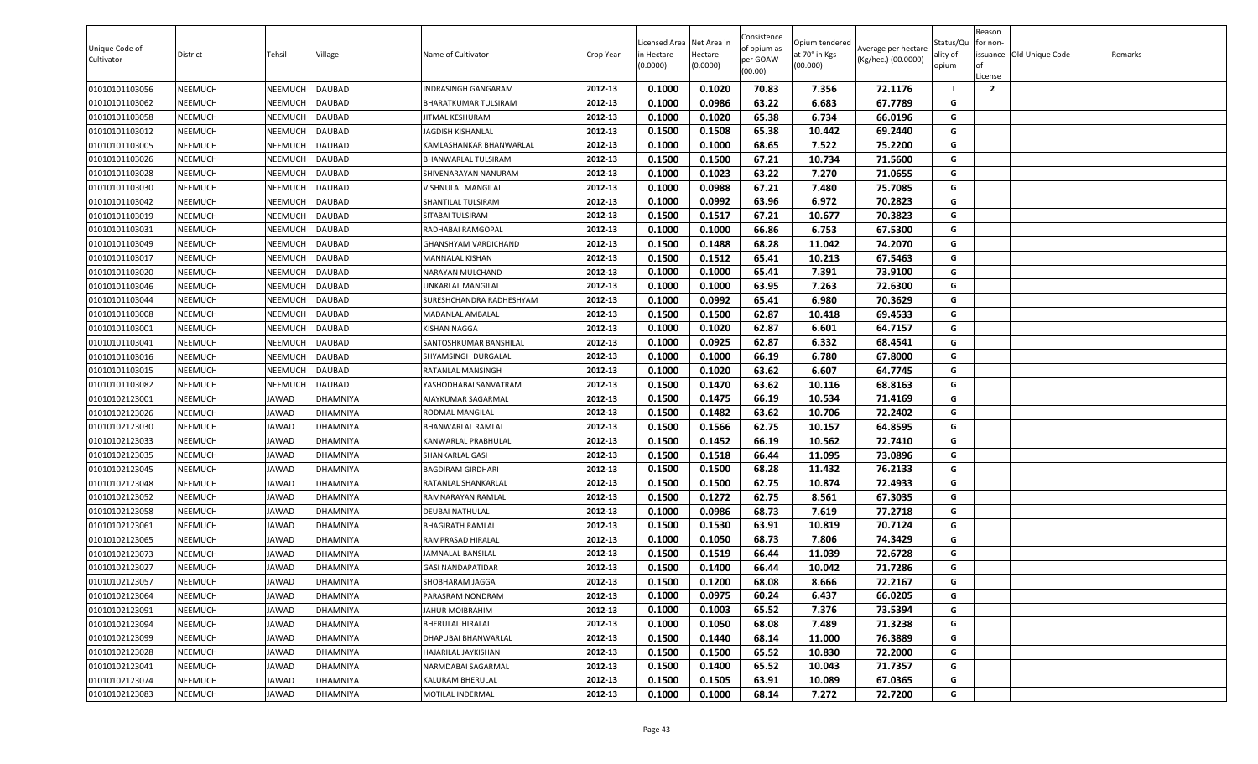| 0.1000<br>0.1020<br>72.1176<br>01010101103056<br>NEEMUCH<br>NEEMUCH<br><b>DAUBAD</b><br>2012-13<br>70.83<br>7.356<br>$\overline{2}$<br>INDRASINGH GANGARAM<br>2012-13<br>0.1000<br>0.0986<br>63.22<br>6.683<br>67.7789<br>01010101103062<br>NEEMUCH<br>NEEMUCH<br>DAUBAD<br>G<br>BHARATKUMAR TULSIRAM<br>01010101103058<br>NEEMUCH<br>NEEMUCH<br><b>DAUBAD</b><br>2012-13<br>0.1000<br>0.1020<br>65.38<br>6.734<br>66.0196<br>G<br><b>JITMAL KESHURAM</b><br>0.1500<br>0.1508<br>65.38<br>NEEMUCH<br>DAUBAD<br>2012-13<br>10.442<br>69.2440<br>G<br>01010101103012<br>NEEMUCH<br>JAGDISH KISHANLAL<br>68.65<br>7.522<br>0.1000<br>0.1000<br>75.2200<br>G<br>01010101103005<br>NEEMUCH<br>NEEMUCH<br><b>DAUBAD</b><br>2012-13<br>KAMLASHANKAR BHANWARLAL<br>2012-13<br>0.1500<br>67.21<br>NEEMUCH<br>DAUBAD<br>0.1500<br>10.734<br>71.5600<br>G<br>01010101103026<br>NEEMUCH<br>BHANWARLAL TULSIRAM<br>G<br>2012-13<br>0.1000<br>0.1023<br>63.22<br>7.270<br>71.0655<br>01010101103028<br>NEEMUCH<br>NEEMUCH<br><b>DAUBAD</b><br>SHIVENARAYAN NANURAM<br>G<br>2012-13<br>0.0988<br>67.21<br>7.480<br>75.7085<br>NEEMUCH<br>NEEMUCH<br><b>DAUBAD</b><br>VISHNULAL MANGILAL<br>0.1000<br>01010101103030<br>NEEMUCH<br>DAUBAD<br>2012-13<br>0.1000<br>0.0992<br>63.96<br>6.972<br>70.2823<br>G<br>01010101103042<br>NEEMUCH<br>SHANTILAL TULSIRAM<br>0.1517<br>70.3823<br>NEEMUCH<br>DAUBAD<br>2012-13<br>0.1500<br>67.21<br>10.677<br>G<br>01010101103019<br>NEEMUCH<br>SITABAI TULSIRAM<br>0.1000<br>0.1000<br>67.5300<br>01010101103031<br>NEEMUCH<br>NEEMUCH<br>DAUBAD<br>2012-13<br>66.86<br>6.753<br>G<br>RADHABAI RAMGOPAL<br>0.1488<br>68.28<br>G<br>NEEMUCH<br><b>DAUBAD</b><br>2012-13<br>0.1500<br>11.042<br>74.2070<br>01010101103049<br>NEEMUCH<br>GHANSHYAM VARDICHAND<br><b>DAUBAD</b><br>2012-13<br>0.1500<br>0.1512<br>65.41<br>10.213<br>67.5463<br>G<br>01010101103017<br>NEEMUCH<br>NEEMUCH<br>MANNALAL KISHAN<br>65.41<br><b>DAUBAD</b><br>2012-13<br>0.1000<br>0.1000<br>7.391<br>73.9100<br>G<br>01010101103020<br>NEEMUCH<br>NEEMUCH<br>NARAYAN MULCHAND<br>NEEMUCH<br>2012-13<br>0.1000<br>0.1000<br>63.95<br>7.263<br>72.6300<br>01010101103046<br><b>NEEMUCH</b><br><b>DAUBAD</b><br>UNKARLAL MANGILAL<br>G<br>0.0992<br>65.41<br>6.980<br>70.3629<br>G<br>01010101103044<br>NEEMUCH<br>NEEMUCH<br>DAUBAD<br>0.1000<br>SURESHCHANDRA RADHESHYAM<br>2012-13<br>0.1500<br>0.1500<br>62.87<br>69.4533<br>NEEMUCH<br>DAUBAD<br>2012-13<br>10.418<br>G<br>01010101103008<br>NEEMUCH<br>MADANLAL AMBALAL<br>G<br>DAUBAD<br>2012-13<br>0.1000<br>0.1020<br>62.87<br>6.601<br>64.7157<br>01010101103001<br>NEEMUCH<br>NEEMUCH<br><b>KISHAN NAGGA</b><br>NEEMUCH<br>2012-13<br>0.1000<br>0.0925<br>62.87<br>6.332<br>68.4541<br>G<br>01010101103041<br>NEEMUCH<br>DAUBAD<br>SANTOSHKUMAR BANSHILAL<br>2012-13<br>G<br>01010101103016<br>NEEMUCH<br>NEEMUCH<br><b>DAUBAD</b><br>SHYAMSINGH DURGALAL<br>0.1000<br>0.1000<br>66.19<br>6.780<br>67.8000<br>0.1000<br>0.1020<br>63.62<br>6.607<br>64.7745<br>NEEMUCH<br>DAUBAD<br>2012-13<br>G<br>01010101103015<br>NEEMUCH<br>RATANLAL MANSINGH<br>63.62<br>0.1500<br>0.1470<br>10.116<br>68.8163<br>01010101103082<br>NEEMUCH<br>NEEMUCH<br><b>DAUBAD</b><br>2012-13<br>G<br>YASHODHABAI SANVATRAM<br>01010102123001<br>NEEMUCH<br>2012-13<br>0.1500<br>0.1475<br>66.19<br>10.534<br>71.4169<br><b>JAWAD</b><br>DHAMNIYA<br>G<br>AJAYKUMAR SAGARMAL<br>01010102123026<br>NEEMUCH<br><b>JAWAD</b><br><b>DHAMNIYA</b><br>2012-13<br>0.1500<br>0.1482<br>63.62<br>10.706<br>72.2402<br>G<br>RODMAL MANGILAL<br>0.1500<br>0.1566<br>62.75<br>10.157<br>64.8595<br>01010102123030<br>NEEMUCH<br><b>DHAMNIYA</b><br>2012-13<br>G<br><b>JAWAD</b><br>BHANWARLAL RAMLAL<br>66.19<br>0.1500<br>0.1452<br>10.562<br>72.7410<br>01010102123033<br>NEEMUCH<br><b>JAWAD</b><br><b>DHAMNIYA</b><br>2012-13<br>G<br>KANWARLAL PRABHULAL<br>01010102123035<br>2012-13<br>0.1500<br>0.1518<br>66.44<br>11.095<br>73.0896<br>NEEMUCH<br><b>JAWAD</b><br>DHAMNIYA<br>G<br>SHANKARLAL GASI<br>68.28<br>76.2133<br>01010102123045<br>NEEMUCH<br><b>JAWAD</b><br>DHAMNIYA<br>2012-13<br>0.1500<br>0.1500<br>11.432<br>G<br><b>BAGDIRAM GIRDHARI</b><br>2012-13<br>0.1500<br>62.75<br>10.874<br>72.4933<br>G<br>0.1500<br>01010102123048<br>NEEMUCH<br><b>JAWAD</b><br>DHAMNIYA<br>RATANLAL SHANKARLAL<br>62.75<br>G<br>2012-13<br>0.1500<br>0.1272<br>8.561<br>67.3035<br>01010102123052<br>NEEMUCH<br><b>JAWAD</b><br><b>DHAMNIYA</b><br>RAMNARAYAN RAMLAL<br>2012-13<br>68.73<br>7.619<br>77.2718<br>G<br>01010102123058<br>DEUBAI NATHULAL<br>0.1000<br>0.0986<br>NEEMUCH<br><b>JAWAD</b><br>DHAMNIYA<br>2012-13<br>0.1500<br>0.1530<br>63.91<br>10.819<br>70.7124<br>G<br>01010102123061<br><b>NEEMUCH</b><br><b>JAWAD</b><br><b>DHAMNIYA</b><br><b>BHAGIRATH RAMLAL</b><br>0.1050<br>68.73<br>7.806<br>74.3429<br>G<br>NEEMUCH<br>DHAMNIYA<br>2012-13<br>0.1000<br>01010102123065<br><b>JAWAD</b><br>RAMPRASAD HIRALAL<br>0.1500<br>0.1519<br>66.44<br>11.039<br>72.6728<br>01010102123073<br>NEEMUCH<br><b>DHAMNIYA</b><br>2012-13<br>G<br><b>JAWAD</b><br>JAMNALAL BANSILAL<br>71.7286<br>01010102123027<br>2012-13<br>0.1500<br>0.1400<br>66.44<br>10.042<br>G<br>NEEMUCH<br><b>JAWAD</b><br>DHAMNIYA<br><b>GASI NANDAPATIDAR</b><br>01010102123057<br><b>JAWAD</b><br>2012-13<br>0.1500<br>0.1200<br>68.08<br>8.666<br>72.2167<br>NEEMUCH<br><b>DHAMNIYA</b><br>SHOBHARAM JAGGA<br>G<br>0.0975<br>2012-13<br>0.1000<br>60.24<br>6.437<br>G<br>01010102123064<br>NEEMUCH<br>66.0205<br><b>JAWAD</b><br>DHAMNIYA<br>PARASRAM NONDRAM<br>2012-13<br>0.1000<br>0.1003<br>65.52<br>7.376<br>73.5394<br>01010102123091<br>NEEMUCH<br><b>JAWAD</b><br>DHAMNIYA<br>G<br>JAHUR MOIBRAHIM<br>71.3238<br>01010102123094<br>2012-13<br>0.1000<br>0.1050<br>68.08<br>7.489<br>G<br><b>NEEMUCH</b><br><b>DHAMNIYA</b><br><b>JAWAD</b><br>BHERULAL HIRALAL<br>01010102123099<br>2012-13<br>0.1500<br>0.1440<br>68.14<br>76.3889<br><b>NEEMUCH</b><br><b>JAWAD</b><br><b>DHAMNIYA</b><br>11.000<br>G<br><b>DHAPUBAI BHANWARLAL</b><br>2012-13<br>65.52<br>G<br>01010102123028<br><b>NEEMUCH</b><br><b>JAWAD</b><br><b>DHAMNIYA</b><br>HAJARILAL JAYKISHAN<br>0.1500<br>0.1500<br>10.830<br>72.2000<br>2012-13<br>0.1400<br>65.52<br>71.7357<br>G<br>01010102123041<br>NEEMUCH<br>NARMDABAI SAGARMAL<br>0.1500<br>10.043<br><b>JAWAD</b><br><b>DHAMNIYA</b><br>2012-13<br>0.1500<br>0.1505<br>63.91<br>G<br>01010102123074<br><b>NEEMUCH</b><br><b>JAWAD</b><br><b>DHAMNIYA</b><br>KALURAM BHERULAL<br>10.089<br>67.0365<br>01010102123083<br>2012-13<br>0.1000<br>0.1000<br>68.14<br>7.272<br>G<br>NEEMUCH<br><b>JAWAD</b><br>DHAMNIYA<br><b>MOTILAL INDERMAL</b> | Unique Code of<br>Cultivator | District | Tehsil | Village | Name of Cultivator | Crop Year | Licensed Area<br>n Hectare<br>(0.0000) | Net Area ir<br>Hectare<br>(0.0000) | Consistence<br>of opium as<br>per GOAW<br>(00.00) | Opium tendered<br>at 70° in Kgs<br>(00.000) | Average per hectare<br>(Kg/hec.) (00.0000) | Status/Qu<br>ality of<br>opium | Reason<br>or non-<br>of<br>License | issuance Old Unique Code | Remarks |
|-------------------------------------------------------------------------------------------------------------------------------------------------------------------------------------------------------------------------------------------------------------------------------------------------------------------------------------------------------------------------------------------------------------------------------------------------------------------------------------------------------------------------------------------------------------------------------------------------------------------------------------------------------------------------------------------------------------------------------------------------------------------------------------------------------------------------------------------------------------------------------------------------------------------------------------------------------------------------------------------------------------------------------------------------------------------------------------------------------------------------------------------------------------------------------------------------------------------------------------------------------------------------------------------------------------------------------------------------------------------------------------------------------------------------------------------------------------------------------------------------------------------------------------------------------------------------------------------------------------------------------------------------------------------------------------------------------------------------------------------------------------------------------------------------------------------------------------------------------------------------------------------------------------------------------------------------------------------------------------------------------------------------------------------------------------------------------------------------------------------------------------------------------------------------------------------------------------------------------------------------------------------------------------------------------------------------------------------------------------------------------------------------------------------------------------------------------------------------------------------------------------------------------------------------------------------------------------------------------------------------------------------------------------------------------------------------------------------------------------------------------------------------------------------------------------------------------------------------------------------------------------------------------------------------------------------------------------------------------------------------------------------------------------------------------------------------------------------------------------------------------------------------------------------------------------------------------------------------------------------------------------------------------------------------------------------------------------------------------------------------------------------------------------------------------------------------------------------------------------------------------------------------------------------------------------------------------------------------------------------------------------------------------------------------------------------------------------------------------------------------------------------------------------------------------------------------------------------------------------------------------------------------------------------------------------------------------------------------------------------------------------------------------------------------------------------------------------------------------------------------------------------------------------------------------------------------------------------------------------------------------------------------------------------------------------------------------------------------------------------------------------------------------------------------------------------------------------------------------------------------------------------------------------------------------------------------------------------------------------------------------------------------------------------------------------------------------------------------------------------------------------------------------------------------------------------------------------------------------------------------------------------------------------------------------------------------------------------------------------------------------------------------------------------------------------------------------------------------------------------------------------------------------------------------------------------------------------------------------------------------------------------------------------------------------------------------------------------------------------------------------------------------------------------------------------------------------------------------------------------------------------------------------------------------------------------------------------------------------------------------------------------------------------------------------------------------------------------------------------------------------------------------------------------------------------------------------------------------------------------------------------------------------------------------------------------------------------------------------------------------------------------------------------------------------------------------------------------------------------------------------------------------------------------------------------------------------------------------------------------------------------------------------------------------------------------------------------------------------------------------------------------------------------------------------------------------------------------------------------------------------------------------------------------------------------------------------------------------------------------------------------------------------------------------------------------------|------------------------------|----------|--------|---------|--------------------|-----------|----------------------------------------|------------------------------------|---------------------------------------------------|---------------------------------------------|--------------------------------------------|--------------------------------|------------------------------------|--------------------------|---------|
|                                                                                                                                                                                                                                                                                                                                                                                                                                                                                                                                                                                                                                                                                                                                                                                                                                                                                                                                                                                                                                                                                                                                                                                                                                                                                                                                                                                                                                                                                                                                                                                                                                                                                                                                                                                                                                                                                                                                                                                                                                                                                                                                                                                                                                                                                                                                                                                                                                                                                                                                                                                                                                                                                                                                                                                                                                                                                                                                                                                                                                                                                                                                                                                                                                                                                                                                                                                                                                                                                                                                                                                                                                                                                                                                                                                                                                                                                                                                                                                                                                                                                                                                                                                                                                                                                                                                                                                                                                                                                                                                                                                                                                                                                                                                                                                                                                                                                                                                                                                                                                                                                                                                                                                                                                                                                                                                                                                                                                                                                                                                                                                                                                                                                                                                                                                                                                                                                                                                                                                                                                                                                                                                                                                                                                                                                                                                                                                                                                                                                                                                                                                                                                                                                                 |                              |          |        |         |                    |           |                                        |                                    |                                                   |                                             |                                            |                                |                                    |                          |         |
|                                                                                                                                                                                                                                                                                                                                                                                                                                                                                                                                                                                                                                                                                                                                                                                                                                                                                                                                                                                                                                                                                                                                                                                                                                                                                                                                                                                                                                                                                                                                                                                                                                                                                                                                                                                                                                                                                                                                                                                                                                                                                                                                                                                                                                                                                                                                                                                                                                                                                                                                                                                                                                                                                                                                                                                                                                                                                                                                                                                                                                                                                                                                                                                                                                                                                                                                                                                                                                                                                                                                                                                                                                                                                                                                                                                                                                                                                                                                                                                                                                                                                                                                                                                                                                                                                                                                                                                                                                                                                                                                                                                                                                                                                                                                                                                                                                                                                                                                                                                                                                                                                                                                                                                                                                                                                                                                                                                                                                                                                                                                                                                                                                                                                                                                                                                                                                                                                                                                                                                                                                                                                                                                                                                                                                                                                                                                                                                                                                                                                                                                                                                                                                                                                                 |                              |          |        |         |                    |           |                                        |                                    |                                                   |                                             |                                            |                                |                                    |                          |         |
|                                                                                                                                                                                                                                                                                                                                                                                                                                                                                                                                                                                                                                                                                                                                                                                                                                                                                                                                                                                                                                                                                                                                                                                                                                                                                                                                                                                                                                                                                                                                                                                                                                                                                                                                                                                                                                                                                                                                                                                                                                                                                                                                                                                                                                                                                                                                                                                                                                                                                                                                                                                                                                                                                                                                                                                                                                                                                                                                                                                                                                                                                                                                                                                                                                                                                                                                                                                                                                                                                                                                                                                                                                                                                                                                                                                                                                                                                                                                                                                                                                                                                                                                                                                                                                                                                                                                                                                                                                                                                                                                                                                                                                                                                                                                                                                                                                                                                                                                                                                                                                                                                                                                                                                                                                                                                                                                                                                                                                                                                                                                                                                                                                                                                                                                                                                                                                                                                                                                                                                                                                                                                                                                                                                                                                                                                                                                                                                                                                                                                                                                                                                                                                                                                                 |                              |          |        |         |                    |           |                                        |                                    |                                                   |                                             |                                            |                                |                                    |                          |         |
|                                                                                                                                                                                                                                                                                                                                                                                                                                                                                                                                                                                                                                                                                                                                                                                                                                                                                                                                                                                                                                                                                                                                                                                                                                                                                                                                                                                                                                                                                                                                                                                                                                                                                                                                                                                                                                                                                                                                                                                                                                                                                                                                                                                                                                                                                                                                                                                                                                                                                                                                                                                                                                                                                                                                                                                                                                                                                                                                                                                                                                                                                                                                                                                                                                                                                                                                                                                                                                                                                                                                                                                                                                                                                                                                                                                                                                                                                                                                                                                                                                                                                                                                                                                                                                                                                                                                                                                                                                                                                                                                                                                                                                                                                                                                                                                                                                                                                                                                                                                                                                                                                                                                                                                                                                                                                                                                                                                                                                                                                                                                                                                                                                                                                                                                                                                                                                                                                                                                                                                                                                                                                                                                                                                                                                                                                                                                                                                                                                                                                                                                                                                                                                                                                                 |                              |          |        |         |                    |           |                                        |                                    |                                                   |                                             |                                            |                                |                                    |                          |         |
|                                                                                                                                                                                                                                                                                                                                                                                                                                                                                                                                                                                                                                                                                                                                                                                                                                                                                                                                                                                                                                                                                                                                                                                                                                                                                                                                                                                                                                                                                                                                                                                                                                                                                                                                                                                                                                                                                                                                                                                                                                                                                                                                                                                                                                                                                                                                                                                                                                                                                                                                                                                                                                                                                                                                                                                                                                                                                                                                                                                                                                                                                                                                                                                                                                                                                                                                                                                                                                                                                                                                                                                                                                                                                                                                                                                                                                                                                                                                                                                                                                                                                                                                                                                                                                                                                                                                                                                                                                                                                                                                                                                                                                                                                                                                                                                                                                                                                                                                                                                                                                                                                                                                                                                                                                                                                                                                                                                                                                                                                                                                                                                                                                                                                                                                                                                                                                                                                                                                                                                                                                                                                                                                                                                                                                                                                                                                                                                                                                                                                                                                                                                                                                                                                                 |                              |          |        |         |                    |           |                                        |                                    |                                                   |                                             |                                            |                                |                                    |                          |         |
|                                                                                                                                                                                                                                                                                                                                                                                                                                                                                                                                                                                                                                                                                                                                                                                                                                                                                                                                                                                                                                                                                                                                                                                                                                                                                                                                                                                                                                                                                                                                                                                                                                                                                                                                                                                                                                                                                                                                                                                                                                                                                                                                                                                                                                                                                                                                                                                                                                                                                                                                                                                                                                                                                                                                                                                                                                                                                                                                                                                                                                                                                                                                                                                                                                                                                                                                                                                                                                                                                                                                                                                                                                                                                                                                                                                                                                                                                                                                                                                                                                                                                                                                                                                                                                                                                                                                                                                                                                                                                                                                                                                                                                                                                                                                                                                                                                                                                                                                                                                                                                                                                                                                                                                                                                                                                                                                                                                                                                                                                                                                                                                                                                                                                                                                                                                                                                                                                                                                                                                                                                                                                                                                                                                                                                                                                                                                                                                                                                                                                                                                                                                                                                                                                                 |                              |          |        |         |                    |           |                                        |                                    |                                                   |                                             |                                            |                                |                                    |                          |         |
|                                                                                                                                                                                                                                                                                                                                                                                                                                                                                                                                                                                                                                                                                                                                                                                                                                                                                                                                                                                                                                                                                                                                                                                                                                                                                                                                                                                                                                                                                                                                                                                                                                                                                                                                                                                                                                                                                                                                                                                                                                                                                                                                                                                                                                                                                                                                                                                                                                                                                                                                                                                                                                                                                                                                                                                                                                                                                                                                                                                                                                                                                                                                                                                                                                                                                                                                                                                                                                                                                                                                                                                                                                                                                                                                                                                                                                                                                                                                                                                                                                                                                                                                                                                                                                                                                                                                                                                                                                                                                                                                                                                                                                                                                                                                                                                                                                                                                                                                                                                                                                                                                                                                                                                                                                                                                                                                                                                                                                                                                                                                                                                                                                                                                                                                                                                                                                                                                                                                                                                                                                                                                                                                                                                                                                                                                                                                                                                                                                                                                                                                                                                                                                                                                                 |                              |          |        |         |                    |           |                                        |                                    |                                                   |                                             |                                            |                                |                                    |                          |         |
|                                                                                                                                                                                                                                                                                                                                                                                                                                                                                                                                                                                                                                                                                                                                                                                                                                                                                                                                                                                                                                                                                                                                                                                                                                                                                                                                                                                                                                                                                                                                                                                                                                                                                                                                                                                                                                                                                                                                                                                                                                                                                                                                                                                                                                                                                                                                                                                                                                                                                                                                                                                                                                                                                                                                                                                                                                                                                                                                                                                                                                                                                                                                                                                                                                                                                                                                                                                                                                                                                                                                                                                                                                                                                                                                                                                                                                                                                                                                                                                                                                                                                                                                                                                                                                                                                                                                                                                                                                                                                                                                                                                                                                                                                                                                                                                                                                                                                                                                                                                                                                                                                                                                                                                                                                                                                                                                                                                                                                                                                                                                                                                                                                                                                                                                                                                                                                                                                                                                                                                                                                                                                                                                                                                                                                                                                                                                                                                                                                                                                                                                                                                                                                                                                                 |                              |          |        |         |                    |           |                                        |                                    |                                                   |                                             |                                            |                                |                                    |                          |         |
|                                                                                                                                                                                                                                                                                                                                                                                                                                                                                                                                                                                                                                                                                                                                                                                                                                                                                                                                                                                                                                                                                                                                                                                                                                                                                                                                                                                                                                                                                                                                                                                                                                                                                                                                                                                                                                                                                                                                                                                                                                                                                                                                                                                                                                                                                                                                                                                                                                                                                                                                                                                                                                                                                                                                                                                                                                                                                                                                                                                                                                                                                                                                                                                                                                                                                                                                                                                                                                                                                                                                                                                                                                                                                                                                                                                                                                                                                                                                                                                                                                                                                                                                                                                                                                                                                                                                                                                                                                                                                                                                                                                                                                                                                                                                                                                                                                                                                                                                                                                                                                                                                                                                                                                                                                                                                                                                                                                                                                                                                                                                                                                                                                                                                                                                                                                                                                                                                                                                                                                                                                                                                                                                                                                                                                                                                                                                                                                                                                                                                                                                                                                                                                                                                                 |                              |          |        |         |                    |           |                                        |                                    |                                                   |                                             |                                            |                                |                                    |                          |         |
|                                                                                                                                                                                                                                                                                                                                                                                                                                                                                                                                                                                                                                                                                                                                                                                                                                                                                                                                                                                                                                                                                                                                                                                                                                                                                                                                                                                                                                                                                                                                                                                                                                                                                                                                                                                                                                                                                                                                                                                                                                                                                                                                                                                                                                                                                                                                                                                                                                                                                                                                                                                                                                                                                                                                                                                                                                                                                                                                                                                                                                                                                                                                                                                                                                                                                                                                                                                                                                                                                                                                                                                                                                                                                                                                                                                                                                                                                                                                                                                                                                                                                                                                                                                                                                                                                                                                                                                                                                                                                                                                                                                                                                                                                                                                                                                                                                                                                                                                                                                                                                                                                                                                                                                                                                                                                                                                                                                                                                                                                                                                                                                                                                                                                                                                                                                                                                                                                                                                                                                                                                                                                                                                                                                                                                                                                                                                                                                                                                                                                                                                                                                                                                                                                                 |                              |          |        |         |                    |           |                                        |                                    |                                                   |                                             |                                            |                                |                                    |                          |         |
|                                                                                                                                                                                                                                                                                                                                                                                                                                                                                                                                                                                                                                                                                                                                                                                                                                                                                                                                                                                                                                                                                                                                                                                                                                                                                                                                                                                                                                                                                                                                                                                                                                                                                                                                                                                                                                                                                                                                                                                                                                                                                                                                                                                                                                                                                                                                                                                                                                                                                                                                                                                                                                                                                                                                                                                                                                                                                                                                                                                                                                                                                                                                                                                                                                                                                                                                                                                                                                                                                                                                                                                                                                                                                                                                                                                                                                                                                                                                                                                                                                                                                                                                                                                                                                                                                                                                                                                                                                                                                                                                                                                                                                                                                                                                                                                                                                                                                                                                                                                                                                                                                                                                                                                                                                                                                                                                                                                                                                                                                                                                                                                                                                                                                                                                                                                                                                                                                                                                                                                                                                                                                                                                                                                                                                                                                                                                                                                                                                                                                                                                                                                                                                                                                                 |                              |          |        |         |                    |           |                                        |                                    |                                                   |                                             |                                            |                                |                                    |                          |         |
|                                                                                                                                                                                                                                                                                                                                                                                                                                                                                                                                                                                                                                                                                                                                                                                                                                                                                                                                                                                                                                                                                                                                                                                                                                                                                                                                                                                                                                                                                                                                                                                                                                                                                                                                                                                                                                                                                                                                                                                                                                                                                                                                                                                                                                                                                                                                                                                                                                                                                                                                                                                                                                                                                                                                                                                                                                                                                                                                                                                                                                                                                                                                                                                                                                                                                                                                                                                                                                                                                                                                                                                                                                                                                                                                                                                                                                                                                                                                                                                                                                                                                                                                                                                                                                                                                                                                                                                                                                                                                                                                                                                                                                                                                                                                                                                                                                                                                                                                                                                                                                                                                                                                                                                                                                                                                                                                                                                                                                                                                                                                                                                                                                                                                                                                                                                                                                                                                                                                                                                                                                                                                                                                                                                                                                                                                                                                                                                                                                                                                                                                                                                                                                                                                                 |                              |          |        |         |                    |           |                                        |                                    |                                                   |                                             |                                            |                                |                                    |                          |         |
|                                                                                                                                                                                                                                                                                                                                                                                                                                                                                                                                                                                                                                                                                                                                                                                                                                                                                                                                                                                                                                                                                                                                                                                                                                                                                                                                                                                                                                                                                                                                                                                                                                                                                                                                                                                                                                                                                                                                                                                                                                                                                                                                                                                                                                                                                                                                                                                                                                                                                                                                                                                                                                                                                                                                                                                                                                                                                                                                                                                                                                                                                                                                                                                                                                                                                                                                                                                                                                                                                                                                                                                                                                                                                                                                                                                                                                                                                                                                                                                                                                                                                                                                                                                                                                                                                                                                                                                                                                                                                                                                                                                                                                                                                                                                                                                                                                                                                                                                                                                                                                                                                                                                                                                                                                                                                                                                                                                                                                                                                                                                                                                                                                                                                                                                                                                                                                                                                                                                                                                                                                                                                                                                                                                                                                                                                                                                                                                                                                                                                                                                                                                                                                                                                                 |                              |          |        |         |                    |           |                                        |                                    |                                                   |                                             |                                            |                                |                                    |                          |         |
|                                                                                                                                                                                                                                                                                                                                                                                                                                                                                                                                                                                                                                                                                                                                                                                                                                                                                                                                                                                                                                                                                                                                                                                                                                                                                                                                                                                                                                                                                                                                                                                                                                                                                                                                                                                                                                                                                                                                                                                                                                                                                                                                                                                                                                                                                                                                                                                                                                                                                                                                                                                                                                                                                                                                                                                                                                                                                                                                                                                                                                                                                                                                                                                                                                                                                                                                                                                                                                                                                                                                                                                                                                                                                                                                                                                                                                                                                                                                                                                                                                                                                                                                                                                                                                                                                                                                                                                                                                                                                                                                                                                                                                                                                                                                                                                                                                                                                                                                                                                                                                                                                                                                                                                                                                                                                                                                                                                                                                                                                                                                                                                                                                                                                                                                                                                                                                                                                                                                                                                                                                                                                                                                                                                                                                                                                                                                                                                                                                                                                                                                                                                                                                                                                                 |                              |          |        |         |                    |           |                                        |                                    |                                                   |                                             |                                            |                                |                                    |                          |         |
|                                                                                                                                                                                                                                                                                                                                                                                                                                                                                                                                                                                                                                                                                                                                                                                                                                                                                                                                                                                                                                                                                                                                                                                                                                                                                                                                                                                                                                                                                                                                                                                                                                                                                                                                                                                                                                                                                                                                                                                                                                                                                                                                                                                                                                                                                                                                                                                                                                                                                                                                                                                                                                                                                                                                                                                                                                                                                                                                                                                                                                                                                                                                                                                                                                                                                                                                                                                                                                                                                                                                                                                                                                                                                                                                                                                                                                                                                                                                                                                                                                                                                                                                                                                                                                                                                                                                                                                                                                                                                                                                                                                                                                                                                                                                                                                                                                                                                                                                                                                                                                                                                                                                                                                                                                                                                                                                                                                                                                                                                                                                                                                                                                                                                                                                                                                                                                                                                                                                                                                                                                                                                                                                                                                                                                                                                                                                                                                                                                                                                                                                                                                                                                                                                                 |                              |          |        |         |                    |           |                                        |                                    |                                                   |                                             |                                            |                                |                                    |                          |         |
|                                                                                                                                                                                                                                                                                                                                                                                                                                                                                                                                                                                                                                                                                                                                                                                                                                                                                                                                                                                                                                                                                                                                                                                                                                                                                                                                                                                                                                                                                                                                                                                                                                                                                                                                                                                                                                                                                                                                                                                                                                                                                                                                                                                                                                                                                                                                                                                                                                                                                                                                                                                                                                                                                                                                                                                                                                                                                                                                                                                                                                                                                                                                                                                                                                                                                                                                                                                                                                                                                                                                                                                                                                                                                                                                                                                                                                                                                                                                                                                                                                                                                                                                                                                                                                                                                                                                                                                                                                                                                                                                                                                                                                                                                                                                                                                                                                                                                                                                                                                                                                                                                                                                                                                                                                                                                                                                                                                                                                                                                                                                                                                                                                                                                                                                                                                                                                                                                                                                                                                                                                                                                                                                                                                                                                                                                                                                                                                                                                                                                                                                                                                                                                                                                                 |                              |          |        |         |                    |           |                                        |                                    |                                                   |                                             |                                            |                                |                                    |                          |         |
|                                                                                                                                                                                                                                                                                                                                                                                                                                                                                                                                                                                                                                                                                                                                                                                                                                                                                                                                                                                                                                                                                                                                                                                                                                                                                                                                                                                                                                                                                                                                                                                                                                                                                                                                                                                                                                                                                                                                                                                                                                                                                                                                                                                                                                                                                                                                                                                                                                                                                                                                                                                                                                                                                                                                                                                                                                                                                                                                                                                                                                                                                                                                                                                                                                                                                                                                                                                                                                                                                                                                                                                                                                                                                                                                                                                                                                                                                                                                                                                                                                                                                                                                                                                                                                                                                                                                                                                                                                                                                                                                                                                                                                                                                                                                                                                                                                                                                                                                                                                                                                                                                                                                                                                                                                                                                                                                                                                                                                                                                                                                                                                                                                                                                                                                                                                                                                                                                                                                                                                                                                                                                                                                                                                                                                                                                                                                                                                                                                                                                                                                                                                                                                                                                                 |                              |          |        |         |                    |           |                                        |                                    |                                                   |                                             |                                            |                                |                                    |                          |         |
|                                                                                                                                                                                                                                                                                                                                                                                                                                                                                                                                                                                                                                                                                                                                                                                                                                                                                                                                                                                                                                                                                                                                                                                                                                                                                                                                                                                                                                                                                                                                                                                                                                                                                                                                                                                                                                                                                                                                                                                                                                                                                                                                                                                                                                                                                                                                                                                                                                                                                                                                                                                                                                                                                                                                                                                                                                                                                                                                                                                                                                                                                                                                                                                                                                                                                                                                                                                                                                                                                                                                                                                                                                                                                                                                                                                                                                                                                                                                                                                                                                                                                                                                                                                                                                                                                                                                                                                                                                                                                                                                                                                                                                                                                                                                                                                                                                                                                                                                                                                                                                                                                                                                                                                                                                                                                                                                                                                                                                                                                                                                                                                                                                                                                                                                                                                                                                                                                                                                                                                                                                                                                                                                                                                                                                                                                                                                                                                                                                                                                                                                                                                                                                                                                                 |                              |          |        |         |                    |           |                                        |                                    |                                                   |                                             |                                            |                                |                                    |                          |         |
|                                                                                                                                                                                                                                                                                                                                                                                                                                                                                                                                                                                                                                                                                                                                                                                                                                                                                                                                                                                                                                                                                                                                                                                                                                                                                                                                                                                                                                                                                                                                                                                                                                                                                                                                                                                                                                                                                                                                                                                                                                                                                                                                                                                                                                                                                                                                                                                                                                                                                                                                                                                                                                                                                                                                                                                                                                                                                                                                                                                                                                                                                                                                                                                                                                                                                                                                                                                                                                                                                                                                                                                                                                                                                                                                                                                                                                                                                                                                                                                                                                                                                                                                                                                                                                                                                                                                                                                                                                                                                                                                                                                                                                                                                                                                                                                                                                                                                                                                                                                                                                                                                                                                                                                                                                                                                                                                                                                                                                                                                                                                                                                                                                                                                                                                                                                                                                                                                                                                                                                                                                                                                                                                                                                                                                                                                                                                                                                                                                                                                                                                                                                                                                                                                                 |                              |          |        |         |                    |           |                                        |                                    |                                                   |                                             |                                            |                                |                                    |                          |         |
|                                                                                                                                                                                                                                                                                                                                                                                                                                                                                                                                                                                                                                                                                                                                                                                                                                                                                                                                                                                                                                                                                                                                                                                                                                                                                                                                                                                                                                                                                                                                                                                                                                                                                                                                                                                                                                                                                                                                                                                                                                                                                                                                                                                                                                                                                                                                                                                                                                                                                                                                                                                                                                                                                                                                                                                                                                                                                                                                                                                                                                                                                                                                                                                                                                                                                                                                                                                                                                                                                                                                                                                                                                                                                                                                                                                                                                                                                                                                                                                                                                                                                                                                                                                                                                                                                                                                                                                                                                                                                                                                                                                                                                                                                                                                                                                                                                                                                                                                                                                                                                                                                                                                                                                                                                                                                                                                                                                                                                                                                                                                                                                                                                                                                                                                                                                                                                                                                                                                                                                                                                                                                                                                                                                                                                                                                                                                                                                                                                                                                                                                                                                                                                                                                                 |                              |          |        |         |                    |           |                                        |                                    |                                                   |                                             |                                            |                                |                                    |                          |         |
|                                                                                                                                                                                                                                                                                                                                                                                                                                                                                                                                                                                                                                                                                                                                                                                                                                                                                                                                                                                                                                                                                                                                                                                                                                                                                                                                                                                                                                                                                                                                                                                                                                                                                                                                                                                                                                                                                                                                                                                                                                                                                                                                                                                                                                                                                                                                                                                                                                                                                                                                                                                                                                                                                                                                                                                                                                                                                                                                                                                                                                                                                                                                                                                                                                                                                                                                                                                                                                                                                                                                                                                                                                                                                                                                                                                                                                                                                                                                                                                                                                                                                                                                                                                                                                                                                                                                                                                                                                                                                                                                                                                                                                                                                                                                                                                                                                                                                                                                                                                                                                                                                                                                                                                                                                                                                                                                                                                                                                                                                                                                                                                                                                                                                                                                                                                                                                                                                                                                                                                                                                                                                                                                                                                                                                                                                                                                                                                                                                                                                                                                                                                                                                                                                                 |                              |          |        |         |                    |           |                                        |                                    |                                                   |                                             |                                            |                                |                                    |                          |         |
|                                                                                                                                                                                                                                                                                                                                                                                                                                                                                                                                                                                                                                                                                                                                                                                                                                                                                                                                                                                                                                                                                                                                                                                                                                                                                                                                                                                                                                                                                                                                                                                                                                                                                                                                                                                                                                                                                                                                                                                                                                                                                                                                                                                                                                                                                                                                                                                                                                                                                                                                                                                                                                                                                                                                                                                                                                                                                                                                                                                                                                                                                                                                                                                                                                                                                                                                                                                                                                                                                                                                                                                                                                                                                                                                                                                                                                                                                                                                                                                                                                                                                                                                                                                                                                                                                                                                                                                                                                                                                                                                                                                                                                                                                                                                                                                                                                                                                                                                                                                                                                                                                                                                                                                                                                                                                                                                                                                                                                                                                                                                                                                                                                                                                                                                                                                                                                                                                                                                                                                                                                                                                                                                                                                                                                                                                                                                                                                                                                                                                                                                                                                                                                                                                                 |                              |          |        |         |                    |           |                                        |                                    |                                                   |                                             |                                            |                                |                                    |                          |         |
|                                                                                                                                                                                                                                                                                                                                                                                                                                                                                                                                                                                                                                                                                                                                                                                                                                                                                                                                                                                                                                                                                                                                                                                                                                                                                                                                                                                                                                                                                                                                                                                                                                                                                                                                                                                                                                                                                                                                                                                                                                                                                                                                                                                                                                                                                                                                                                                                                                                                                                                                                                                                                                                                                                                                                                                                                                                                                                                                                                                                                                                                                                                                                                                                                                                                                                                                                                                                                                                                                                                                                                                                                                                                                                                                                                                                                                                                                                                                                                                                                                                                                                                                                                                                                                                                                                                                                                                                                                                                                                                                                                                                                                                                                                                                                                                                                                                                                                                                                                                                                                                                                                                                                                                                                                                                                                                                                                                                                                                                                                                                                                                                                                                                                                                                                                                                                                                                                                                                                                                                                                                                                                                                                                                                                                                                                                                                                                                                                                                                                                                                                                                                                                                                                                 |                              |          |        |         |                    |           |                                        |                                    |                                                   |                                             |                                            |                                |                                    |                          |         |
|                                                                                                                                                                                                                                                                                                                                                                                                                                                                                                                                                                                                                                                                                                                                                                                                                                                                                                                                                                                                                                                                                                                                                                                                                                                                                                                                                                                                                                                                                                                                                                                                                                                                                                                                                                                                                                                                                                                                                                                                                                                                                                                                                                                                                                                                                                                                                                                                                                                                                                                                                                                                                                                                                                                                                                                                                                                                                                                                                                                                                                                                                                                                                                                                                                                                                                                                                                                                                                                                                                                                                                                                                                                                                                                                                                                                                                                                                                                                                                                                                                                                                                                                                                                                                                                                                                                                                                                                                                                                                                                                                                                                                                                                                                                                                                                                                                                                                                                                                                                                                                                                                                                                                                                                                                                                                                                                                                                                                                                                                                                                                                                                                                                                                                                                                                                                                                                                                                                                                                                                                                                                                                                                                                                                                                                                                                                                                                                                                                                                                                                                                                                                                                                                                                 |                              |          |        |         |                    |           |                                        |                                    |                                                   |                                             |                                            |                                |                                    |                          |         |
|                                                                                                                                                                                                                                                                                                                                                                                                                                                                                                                                                                                                                                                                                                                                                                                                                                                                                                                                                                                                                                                                                                                                                                                                                                                                                                                                                                                                                                                                                                                                                                                                                                                                                                                                                                                                                                                                                                                                                                                                                                                                                                                                                                                                                                                                                                                                                                                                                                                                                                                                                                                                                                                                                                                                                                                                                                                                                                                                                                                                                                                                                                                                                                                                                                                                                                                                                                                                                                                                                                                                                                                                                                                                                                                                                                                                                                                                                                                                                                                                                                                                                                                                                                                                                                                                                                                                                                                                                                                                                                                                                                                                                                                                                                                                                                                                                                                                                                                                                                                                                                                                                                                                                                                                                                                                                                                                                                                                                                                                                                                                                                                                                                                                                                                                                                                                                                                                                                                                                                                                                                                                                                                                                                                                                                                                                                                                                                                                                                                                                                                                                                                                                                                                                                 |                              |          |        |         |                    |           |                                        |                                    |                                                   |                                             |                                            |                                |                                    |                          |         |
|                                                                                                                                                                                                                                                                                                                                                                                                                                                                                                                                                                                                                                                                                                                                                                                                                                                                                                                                                                                                                                                                                                                                                                                                                                                                                                                                                                                                                                                                                                                                                                                                                                                                                                                                                                                                                                                                                                                                                                                                                                                                                                                                                                                                                                                                                                                                                                                                                                                                                                                                                                                                                                                                                                                                                                                                                                                                                                                                                                                                                                                                                                                                                                                                                                                                                                                                                                                                                                                                                                                                                                                                                                                                                                                                                                                                                                                                                                                                                                                                                                                                                                                                                                                                                                                                                                                                                                                                                                                                                                                                                                                                                                                                                                                                                                                                                                                                                                                                                                                                                                                                                                                                                                                                                                                                                                                                                                                                                                                                                                                                                                                                                                                                                                                                                                                                                                                                                                                                                                                                                                                                                                                                                                                                                                                                                                                                                                                                                                                                                                                                                                                                                                                                                                 |                              |          |        |         |                    |           |                                        |                                    |                                                   |                                             |                                            |                                |                                    |                          |         |
|                                                                                                                                                                                                                                                                                                                                                                                                                                                                                                                                                                                                                                                                                                                                                                                                                                                                                                                                                                                                                                                                                                                                                                                                                                                                                                                                                                                                                                                                                                                                                                                                                                                                                                                                                                                                                                                                                                                                                                                                                                                                                                                                                                                                                                                                                                                                                                                                                                                                                                                                                                                                                                                                                                                                                                                                                                                                                                                                                                                                                                                                                                                                                                                                                                                                                                                                                                                                                                                                                                                                                                                                                                                                                                                                                                                                                                                                                                                                                                                                                                                                                                                                                                                                                                                                                                                                                                                                                                                                                                                                                                                                                                                                                                                                                                                                                                                                                                                                                                                                                                                                                                                                                                                                                                                                                                                                                                                                                                                                                                                                                                                                                                                                                                                                                                                                                                                                                                                                                                                                                                                                                                                                                                                                                                                                                                                                                                                                                                                                                                                                                                                                                                                                                                 |                              |          |        |         |                    |           |                                        |                                    |                                                   |                                             |                                            |                                |                                    |                          |         |
|                                                                                                                                                                                                                                                                                                                                                                                                                                                                                                                                                                                                                                                                                                                                                                                                                                                                                                                                                                                                                                                                                                                                                                                                                                                                                                                                                                                                                                                                                                                                                                                                                                                                                                                                                                                                                                                                                                                                                                                                                                                                                                                                                                                                                                                                                                                                                                                                                                                                                                                                                                                                                                                                                                                                                                                                                                                                                                                                                                                                                                                                                                                                                                                                                                                                                                                                                                                                                                                                                                                                                                                                                                                                                                                                                                                                                                                                                                                                                                                                                                                                                                                                                                                                                                                                                                                                                                                                                                                                                                                                                                                                                                                                                                                                                                                                                                                                                                                                                                                                                                                                                                                                                                                                                                                                                                                                                                                                                                                                                                                                                                                                                                                                                                                                                                                                                                                                                                                                                                                                                                                                                                                                                                                                                                                                                                                                                                                                                                                                                                                                                                                                                                                                                                 |                              |          |        |         |                    |           |                                        |                                    |                                                   |                                             |                                            |                                |                                    |                          |         |
|                                                                                                                                                                                                                                                                                                                                                                                                                                                                                                                                                                                                                                                                                                                                                                                                                                                                                                                                                                                                                                                                                                                                                                                                                                                                                                                                                                                                                                                                                                                                                                                                                                                                                                                                                                                                                                                                                                                                                                                                                                                                                                                                                                                                                                                                                                                                                                                                                                                                                                                                                                                                                                                                                                                                                                                                                                                                                                                                                                                                                                                                                                                                                                                                                                                                                                                                                                                                                                                                                                                                                                                                                                                                                                                                                                                                                                                                                                                                                                                                                                                                                                                                                                                                                                                                                                                                                                                                                                                                                                                                                                                                                                                                                                                                                                                                                                                                                                                                                                                                                                                                                                                                                                                                                                                                                                                                                                                                                                                                                                                                                                                                                                                                                                                                                                                                                                                                                                                                                                                                                                                                                                                                                                                                                                                                                                                                                                                                                                                                                                                                                                                                                                                                                                 |                              |          |        |         |                    |           |                                        |                                    |                                                   |                                             |                                            |                                |                                    |                          |         |
|                                                                                                                                                                                                                                                                                                                                                                                                                                                                                                                                                                                                                                                                                                                                                                                                                                                                                                                                                                                                                                                                                                                                                                                                                                                                                                                                                                                                                                                                                                                                                                                                                                                                                                                                                                                                                                                                                                                                                                                                                                                                                                                                                                                                                                                                                                                                                                                                                                                                                                                                                                                                                                                                                                                                                                                                                                                                                                                                                                                                                                                                                                                                                                                                                                                                                                                                                                                                                                                                                                                                                                                                                                                                                                                                                                                                                                                                                                                                                                                                                                                                                                                                                                                                                                                                                                                                                                                                                                                                                                                                                                                                                                                                                                                                                                                                                                                                                                                                                                                                                                                                                                                                                                                                                                                                                                                                                                                                                                                                                                                                                                                                                                                                                                                                                                                                                                                                                                                                                                                                                                                                                                                                                                                                                                                                                                                                                                                                                                                                                                                                                                                                                                                                                                 |                              |          |        |         |                    |           |                                        |                                    |                                                   |                                             |                                            |                                |                                    |                          |         |
|                                                                                                                                                                                                                                                                                                                                                                                                                                                                                                                                                                                                                                                                                                                                                                                                                                                                                                                                                                                                                                                                                                                                                                                                                                                                                                                                                                                                                                                                                                                                                                                                                                                                                                                                                                                                                                                                                                                                                                                                                                                                                                                                                                                                                                                                                                                                                                                                                                                                                                                                                                                                                                                                                                                                                                                                                                                                                                                                                                                                                                                                                                                                                                                                                                                                                                                                                                                                                                                                                                                                                                                                                                                                                                                                                                                                                                                                                                                                                                                                                                                                                                                                                                                                                                                                                                                                                                                                                                                                                                                                                                                                                                                                                                                                                                                                                                                                                                                                                                                                                                                                                                                                                                                                                                                                                                                                                                                                                                                                                                                                                                                                                                                                                                                                                                                                                                                                                                                                                                                                                                                                                                                                                                                                                                                                                                                                                                                                                                                                                                                                                                                                                                                                                                 |                              |          |        |         |                    |           |                                        |                                    |                                                   |                                             |                                            |                                |                                    |                          |         |
|                                                                                                                                                                                                                                                                                                                                                                                                                                                                                                                                                                                                                                                                                                                                                                                                                                                                                                                                                                                                                                                                                                                                                                                                                                                                                                                                                                                                                                                                                                                                                                                                                                                                                                                                                                                                                                                                                                                                                                                                                                                                                                                                                                                                                                                                                                                                                                                                                                                                                                                                                                                                                                                                                                                                                                                                                                                                                                                                                                                                                                                                                                                                                                                                                                                                                                                                                                                                                                                                                                                                                                                                                                                                                                                                                                                                                                                                                                                                                                                                                                                                                                                                                                                                                                                                                                                                                                                                                                                                                                                                                                                                                                                                                                                                                                                                                                                                                                                                                                                                                                                                                                                                                                                                                                                                                                                                                                                                                                                                                                                                                                                                                                                                                                                                                                                                                                                                                                                                                                                                                                                                                                                                                                                                                                                                                                                                                                                                                                                                                                                                                                                                                                                                                                 |                              |          |        |         |                    |           |                                        |                                    |                                                   |                                             |                                            |                                |                                    |                          |         |
|                                                                                                                                                                                                                                                                                                                                                                                                                                                                                                                                                                                                                                                                                                                                                                                                                                                                                                                                                                                                                                                                                                                                                                                                                                                                                                                                                                                                                                                                                                                                                                                                                                                                                                                                                                                                                                                                                                                                                                                                                                                                                                                                                                                                                                                                                                                                                                                                                                                                                                                                                                                                                                                                                                                                                                                                                                                                                                                                                                                                                                                                                                                                                                                                                                                                                                                                                                                                                                                                                                                                                                                                                                                                                                                                                                                                                                                                                                                                                                                                                                                                                                                                                                                                                                                                                                                                                                                                                                                                                                                                                                                                                                                                                                                                                                                                                                                                                                                                                                                                                                                                                                                                                                                                                                                                                                                                                                                                                                                                                                                                                                                                                                                                                                                                                                                                                                                                                                                                                                                                                                                                                                                                                                                                                                                                                                                                                                                                                                                                                                                                                                                                                                                                                                 |                              |          |        |         |                    |           |                                        |                                    |                                                   |                                             |                                            |                                |                                    |                          |         |
|                                                                                                                                                                                                                                                                                                                                                                                                                                                                                                                                                                                                                                                                                                                                                                                                                                                                                                                                                                                                                                                                                                                                                                                                                                                                                                                                                                                                                                                                                                                                                                                                                                                                                                                                                                                                                                                                                                                                                                                                                                                                                                                                                                                                                                                                                                                                                                                                                                                                                                                                                                                                                                                                                                                                                                                                                                                                                                                                                                                                                                                                                                                                                                                                                                                                                                                                                                                                                                                                                                                                                                                                                                                                                                                                                                                                                                                                                                                                                                                                                                                                                                                                                                                                                                                                                                                                                                                                                                                                                                                                                                                                                                                                                                                                                                                                                                                                                                                                                                                                                                                                                                                                                                                                                                                                                                                                                                                                                                                                                                                                                                                                                                                                                                                                                                                                                                                                                                                                                                                                                                                                                                                                                                                                                                                                                                                                                                                                                                                                                                                                                                                                                                                                                                 |                              |          |        |         |                    |           |                                        |                                    |                                                   |                                             |                                            |                                |                                    |                          |         |
|                                                                                                                                                                                                                                                                                                                                                                                                                                                                                                                                                                                                                                                                                                                                                                                                                                                                                                                                                                                                                                                                                                                                                                                                                                                                                                                                                                                                                                                                                                                                                                                                                                                                                                                                                                                                                                                                                                                                                                                                                                                                                                                                                                                                                                                                                                                                                                                                                                                                                                                                                                                                                                                                                                                                                                                                                                                                                                                                                                                                                                                                                                                                                                                                                                                                                                                                                                                                                                                                                                                                                                                                                                                                                                                                                                                                                                                                                                                                                                                                                                                                                                                                                                                                                                                                                                                                                                                                                                                                                                                                                                                                                                                                                                                                                                                                                                                                                                                                                                                                                                                                                                                                                                                                                                                                                                                                                                                                                                                                                                                                                                                                                                                                                                                                                                                                                                                                                                                                                                                                                                                                                                                                                                                                                                                                                                                                                                                                                                                                                                                                                                                                                                                                                                 |                              |          |        |         |                    |           |                                        |                                    |                                                   |                                             |                                            |                                |                                    |                          |         |
|                                                                                                                                                                                                                                                                                                                                                                                                                                                                                                                                                                                                                                                                                                                                                                                                                                                                                                                                                                                                                                                                                                                                                                                                                                                                                                                                                                                                                                                                                                                                                                                                                                                                                                                                                                                                                                                                                                                                                                                                                                                                                                                                                                                                                                                                                                                                                                                                                                                                                                                                                                                                                                                                                                                                                                                                                                                                                                                                                                                                                                                                                                                                                                                                                                                                                                                                                                                                                                                                                                                                                                                                                                                                                                                                                                                                                                                                                                                                                                                                                                                                                                                                                                                                                                                                                                                                                                                                                                                                                                                                                                                                                                                                                                                                                                                                                                                                                                                                                                                                                                                                                                                                                                                                                                                                                                                                                                                                                                                                                                                                                                                                                                                                                                                                                                                                                                                                                                                                                                                                                                                                                                                                                                                                                                                                                                                                                                                                                                                                                                                                                                                                                                                                                                 |                              |          |        |         |                    |           |                                        |                                    |                                                   |                                             |                                            |                                |                                    |                          |         |
|                                                                                                                                                                                                                                                                                                                                                                                                                                                                                                                                                                                                                                                                                                                                                                                                                                                                                                                                                                                                                                                                                                                                                                                                                                                                                                                                                                                                                                                                                                                                                                                                                                                                                                                                                                                                                                                                                                                                                                                                                                                                                                                                                                                                                                                                                                                                                                                                                                                                                                                                                                                                                                                                                                                                                                                                                                                                                                                                                                                                                                                                                                                                                                                                                                                                                                                                                                                                                                                                                                                                                                                                                                                                                                                                                                                                                                                                                                                                                                                                                                                                                                                                                                                                                                                                                                                                                                                                                                                                                                                                                                                                                                                                                                                                                                                                                                                                                                                                                                                                                                                                                                                                                                                                                                                                                                                                                                                                                                                                                                                                                                                                                                                                                                                                                                                                                                                                                                                                                                                                                                                                                                                                                                                                                                                                                                                                                                                                                                                                                                                                                                                                                                                                                                 |                              |          |        |         |                    |           |                                        |                                    |                                                   |                                             |                                            |                                |                                    |                          |         |
|                                                                                                                                                                                                                                                                                                                                                                                                                                                                                                                                                                                                                                                                                                                                                                                                                                                                                                                                                                                                                                                                                                                                                                                                                                                                                                                                                                                                                                                                                                                                                                                                                                                                                                                                                                                                                                                                                                                                                                                                                                                                                                                                                                                                                                                                                                                                                                                                                                                                                                                                                                                                                                                                                                                                                                                                                                                                                                                                                                                                                                                                                                                                                                                                                                                                                                                                                                                                                                                                                                                                                                                                                                                                                                                                                                                                                                                                                                                                                                                                                                                                                                                                                                                                                                                                                                                                                                                                                                                                                                                                                                                                                                                                                                                                                                                                                                                                                                                                                                                                                                                                                                                                                                                                                                                                                                                                                                                                                                                                                                                                                                                                                                                                                                                                                                                                                                                                                                                                                                                                                                                                                                                                                                                                                                                                                                                                                                                                                                                                                                                                                                                                                                                                                                 |                              |          |        |         |                    |           |                                        |                                    |                                                   |                                             |                                            |                                |                                    |                          |         |
|                                                                                                                                                                                                                                                                                                                                                                                                                                                                                                                                                                                                                                                                                                                                                                                                                                                                                                                                                                                                                                                                                                                                                                                                                                                                                                                                                                                                                                                                                                                                                                                                                                                                                                                                                                                                                                                                                                                                                                                                                                                                                                                                                                                                                                                                                                                                                                                                                                                                                                                                                                                                                                                                                                                                                                                                                                                                                                                                                                                                                                                                                                                                                                                                                                                                                                                                                                                                                                                                                                                                                                                                                                                                                                                                                                                                                                                                                                                                                                                                                                                                                                                                                                                                                                                                                                                                                                                                                                                                                                                                                                                                                                                                                                                                                                                                                                                                                                                                                                                                                                                                                                                                                                                                                                                                                                                                                                                                                                                                                                                                                                                                                                                                                                                                                                                                                                                                                                                                                                                                                                                                                                                                                                                                                                                                                                                                                                                                                                                                                                                                                                                                                                                                                                 |                              |          |        |         |                    |           |                                        |                                    |                                                   |                                             |                                            |                                |                                    |                          |         |
|                                                                                                                                                                                                                                                                                                                                                                                                                                                                                                                                                                                                                                                                                                                                                                                                                                                                                                                                                                                                                                                                                                                                                                                                                                                                                                                                                                                                                                                                                                                                                                                                                                                                                                                                                                                                                                                                                                                                                                                                                                                                                                                                                                                                                                                                                                                                                                                                                                                                                                                                                                                                                                                                                                                                                                                                                                                                                                                                                                                                                                                                                                                                                                                                                                                                                                                                                                                                                                                                                                                                                                                                                                                                                                                                                                                                                                                                                                                                                                                                                                                                                                                                                                                                                                                                                                                                                                                                                                                                                                                                                                                                                                                                                                                                                                                                                                                                                                                                                                                                                                                                                                                                                                                                                                                                                                                                                                                                                                                                                                                                                                                                                                                                                                                                                                                                                                                                                                                                                                                                                                                                                                                                                                                                                                                                                                                                                                                                                                                                                                                                                                                                                                                                                                 |                              |          |        |         |                    |           |                                        |                                    |                                                   |                                             |                                            |                                |                                    |                          |         |
|                                                                                                                                                                                                                                                                                                                                                                                                                                                                                                                                                                                                                                                                                                                                                                                                                                                                                                                                                                                                                                                                                                                                                                                                                                                                                                                                                                                                                                                                                                                                                                                                                                                                                                                                                                                                                                                                                                                                                                                                                                                                                                                                                                                                                                                                                                                                                                                                                                                                                                                                                                                                                                                                                                                                                                                                                                                                                                                                                                                                                                                                                                                                                                                                                                                                                                                                                                                                                                                                                                                                                                                                                                                                                                                                                                                                                                                                                                                                                                                                                                                                                                                                                                                                                                                                                                                                                                                                                                                                                                                                                                                                                                                                                                                                                                                                                                                                                                                                                                                                                                                                                                                                                                                                                                                                                                                                                                                                                                                                                                                                                                                                                                                                                                                                                                                                                                                                                                                                                                                                                                                                                                                                                                                                                                                                                                                                                                                                                                                                                                                                                                                                                                                                                                 |                              |          |        |         |                    |           |                                        |                                    |                                                   |                                             |                                            |                                |                                    |                          |         |
|                                                                                                                                                                                                                                                                                                                                                                                                                                                                                                                                                                                                                                                                                                                                                                                                                                                                                                                                                                                                                                                                                                                                                                                                                                                                                                                                                                                                                                                                                                                                                                                                                                                                                                                                                                                                                                                                                                                                                                                                                                                                                                                                                                                                                                                                                                                                                                                                                                                                                                                                                                                                                                                                                                                                                                                                                                                                                                                                                                                                                                                                                                                                                                                                                                                                                                                                                                                                                                                                                                                                                                                                                                                                                                                                                                                                                                                                                                                                                                                                                                                                                                                                                                                                                                                                                                                                                                                                                                                                                                                                                                                                                                                                                                                                                                                                                                                                                                                                                                                                                                                                                                                                                                                                                                                                                                                                                                                                                                                                                                                                                                                                                                                                                                                                                                                                                                                                                                                                                                                                                                                                                                                                                                                                                                                                                                                                                                                                                                                                                                                                                                                                                                                                                                 |                              |          |        |         |                    |           |                                        |                                    |                                                   |                                             |                                            |                                |                                    |                          |         |
|                                                                                                                                                                                                                                                                                                                                                                                                                                                                                                                                                                                                                                                                                                                                                                                                                                                                                                                                                                                                                                                                                                                                                                                                                                                                                                                                                                                                                                                                                                                                                                                                                                                                                                                                                                                                                                                                                                                                                                                                                                                                                                                                                                                                                                                                                                                                                                                                                                                                                                                                                                                                                                                                                                                                                                                                                                                                                                                                                                                                                                                                                                                                                                                                                                                                                                                                                                                                                                                                                                                                                                                                                                                                                                                                                                                                                                                                                                                                                                                                                                                                                                                                                                                                                                                                                                                                                                                                                                                                                                                                                                                                                                                                                                                                                                                                                                                                                                                                                                                                                                                                                                                                                                                                                                                                                                                                                                                                                                                                                                                                                                                                                                                                                                                                                                                                                                                                                                                                                                                                                                                                                                                                                                                                                                                                                                                                                                                                                                                                                                                                                                                                                                                                                                 |                              |          |        |         |                    |           |                                        |                                    |                                                   |                                             |                                            |                                |                                    |                          |         |
|                                                                                                                                                                                                                                                                                                                                                                                                                                                                                                                                                                                                                                                                                                                                                                                                                                                                                                                                                                                                                                                                                                                                                                                                                                                                                                                                                                                                                                                                                                                                                                                                                                                                                                                                                                                                                                                                                                                                                                                                                                                                                                                                                                                                                                                                                                                                                                                                                                                                                                                                                                                                                                                                                                                                                                                                                                                                                                                                                                                                                                                                                                                                                                                                                                                                                                                                                                                                                                                                                                                                                                                                                                                                                                                                                                                                                                                                                                                                                                                                                                                                                                                                                                                                                                                                                                                                                                                                                                                                                                                                                                                                                                                                                                                                                                                                                                                                                                                                                                                                                                                                                                                                                                                                                                                                                                                                                                                                                                                                                                                                                                                                                                                                                                                                                                                                                                                                                                                                                                                                                                                                                                                                                                                                                                                                                                                                                                                                                                                                                                                                                                                                                                                                                                 |                              |          |        |         |                    |           |                                        |                                    |                                                   |                                             | 72.7200                                    |                                |                                    |                          |         |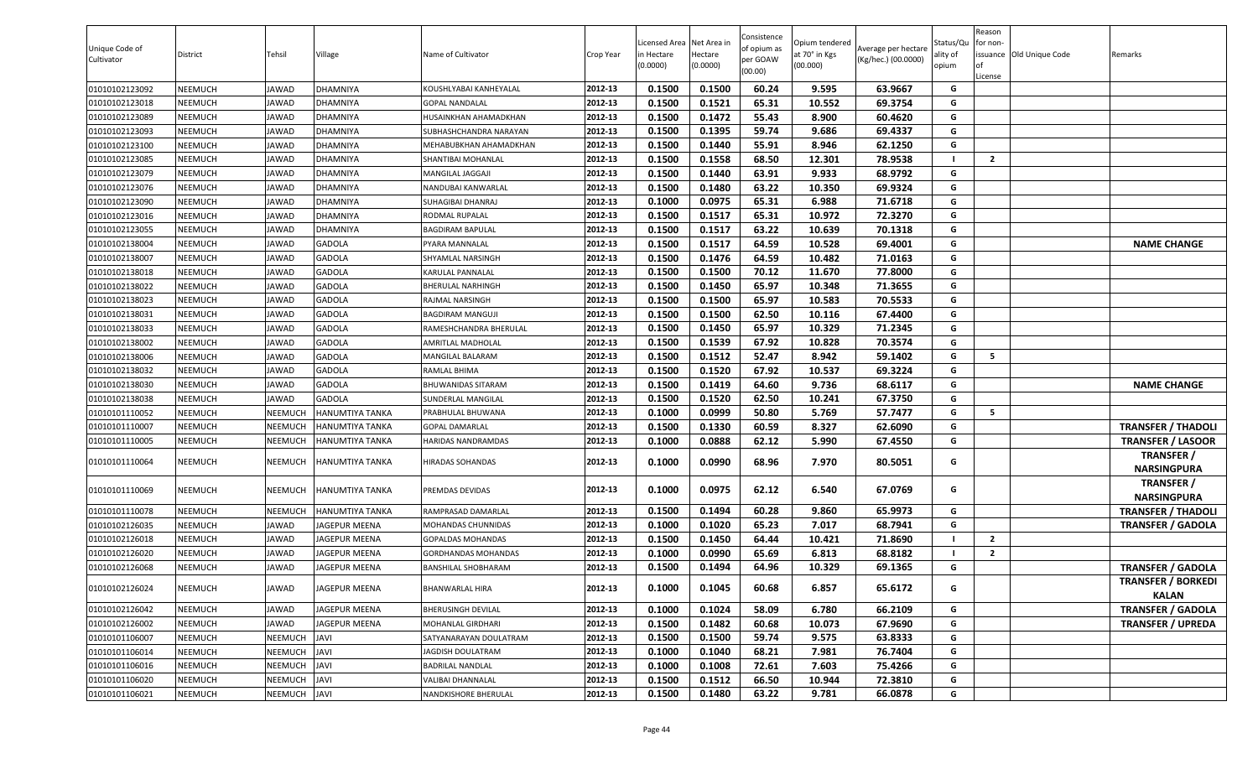| Unique Code of<br>Cultivator | District       | Tehsil       | Village              | Name of Cultivator       | Crop Year | Licensed Area Net Area in<br>in Hectare<br>(0.0000) | Hectare<br>(0.0000) | Consistence<br>of opium as<br>per GOAW<br>(00.00) | Opium tendered<br>at 70° in Kgs<br>(00.000) | Average per hectare<br>(Kg/hec.) (00.0000) | Status/Qu<br>ality of<br>opium | Reason<br>for non-<br>License | issuance Old Unique Code | Remarks                                   |
|------------------------------|----------------|--------------|----------------------|--------------------------|-----------|-----------------------------------------------------|---------------------|---------------------------------------------------|---------------------------------------------|--------------------------------------------|--------------------------------|-------------------------------|--------------------------|-------------------------------------------|
| 01010102123092               | NEEMUCH        | JAWAD        | DHAMNIYA             | KOUSHLYABAI KANHEYALAL   | 2012-13   | 0.1500                                              | 0.1500              | 60.24                                             | 9.595                                       | 63.9667                                    | G                              |                               |                          |                                           |
| 01010102123018               | NEEMUCH        | JAWAD        | DHAMNIYA             | <b>GOPAL NANDALAL</b>    | 2012-13   | 0.1500                                              | 0.1521              | 65.31                                             | 10.552                                      | 69.3754                                    | G                              |                               |                          |                                           |
| 01010102123089               | NEEMUCH        | <b>IAWAD</b> | DHAMNIYA             | HUSAINKHAN AHAMADKHAN    | 2012-13   | 0.1500                                              | 0.1472              | 55.43                                             | 8.900                                       | 60.4620                                    | G                              |                               |                          |                                           |
| 01010102123093               | NEEMUCH        | JAWAD        | DHAMNIYA             | SUBHASHCHANDRA NARAYAN   | 2012-13   | 0.1500                                              | 0.1395              | 59.74                                             | 9.686                                       | 69.4337                                    | G                              |                               |                          |                                           |
| 01010102123100               | NEEMUCH        | JAWAD        | DHAMNIYA             | MEHABUBKHAN AHAMADKHAN   | 2012-13   | 0.1500                                              | 0.1440              | 55.91                                             | 8.946                                       | 62.1250                                    | G                              |                               |                          |                                           |
| 01010102123085               | NEEMUCH        | JAWAD        | DHAMNIYA             | SHANTIBAI MOHANLAL       | 2012-13   | 0.1500                                              | 0.1558              | 68.50                                             | 12.301                                      | 78.9538                                    |                                | $\overline{2}$                |                          |                                           |
| 01010102123079               | <b>NEEMUCH</b> | <b>IAWAD</b> | DHAMNIYA             | MANGILAL JAGGAJI         | 2012-13   | 0.1500                                              | 0.1440              | 63.91                                             | 9.933                                       | 68.9792                                    | G                              |                               |                          |                                           |
| 01010102123076               | NEEMUCH        | JAWAD        | DHAMNIYA             | NANDUBAI KANWARLAL       | 2012-13   | 0.1500                                              | 0.1480              | 63.22                                             | 10.350                                      | 69.9324                                    | G                              |                               |                          |                                           |
| 01010102123090               | NEEMUCH        | JAWAD        | DHAMNIYA             | SUHAGIBAI DHANRAJ        | 2012-13   | 0.1000                                              | 0.0975              | 65.31                                             | 6.988                                       | 71.6718                                    | G                              |                               |                          |                                           |
| 01010102123016               | NEEMUCH        | JAWAD        | DHAMNIYA             | RODMAL RUPALAL           | 2012-13   | 0.1500                                              | 0.1517              | 65.31                                             | 10.972                                      | 72.3270                                    | G                              |                               |                          |                                           |
| 01010102123055               | NEEMUCH        | JAWAD        | DHAMNIYA             | <b>BAGDIRAM BAPULAL</b>  | 2012-13   | 0.1500                                              | 0.1517              | 63.22                                             | 10.639                                      | 70.1318                                    | G                              |                               |                          |                                           |
| 01010102138004               | NEEMUCH        | JAWAD        | GADOLA               | YARA MANNALAL            | 2012-13   | 0.1500                                              | 0.1517              | 64.59                                             | 10.528                                      | 69.4001                                    | G                              |                               |                          | <b>NAME CHANGE</b>                        |
| 01010102138007               | NEEMUCH        | JAWAD        | GADOLA               | HYAMLAL NARSINGH         | 2012-13   | 0.1500                                              | 0.1476              | 64.59                                             | 10.482                                      | 71.0163                                    | G                              |                               |                          |                                           |
| 01010102138018               | NEEMUCH        | JAWAD        | GADOLA               | <b>KARULAL PANNALAL</b>  | 2012-13   | 0.1500                                              | 0.1500              | 70.12                                             | 11.670                                      | 77.8000                                    | G                              |                               |                          |                                           |
| 01010102138022               | NEEMUCH        | <b>IAWAD</b> | GADOLA               | BHERULAL NARHINGH        | 2012-13   | 0.1500                                              | 0.1450              | 65.97                                             | 10.348                                      | 71.3655                                    | G                              |                               |                          |                                           |
| 01010102138023               | NEEMUCH        | JAWAD        | GADOLA               | RAJMAL NARSINGH          | 2012-13   | 0.1500                                              | 0.1500              | 65.97                                             | 10.583                                      | 70.5533                                    | G                              |                               |                          |                                           |
| 01010102138031               | NEEMUCH        | JAWAD        | GADOLA               | BAGDIRAM MANGUJI         | 2012-13   | 0.1500                                              | 0.1500              | 62.50                                             | 10.116                                      | 67.4400                                    | G                              |                               |                          |                                           |
| 01010102138033               | NEEMUCH        | JAWAD        | GADOLA               | RAMESHCHANDRA BHERULAL   | 2012-13   | 0.1500                                              | 0.1450              | 65.97                                             | 10.329                                      | 71.2345                                    | G                              |                               |                          |                                           |
| 01010102138002               | NEEMUCH        | JAWAD        | GADOLA               | AMRITLAL MADHOLAL        | 2012-13   | 0.1500                                              | 0.1539              | 67.92                                             | 10.828                                      | 70.3574                                    | G                              |                               |                          |                                           |
| 01010102138006               | NEEMUCH        | <b>IAWAD</b> | GADOLA               | MANGILAL BALARAM         | 2012-13   | 0.1500                                              | 0.1512              | 52.47                                             | 8.942                                       | 59.1402                                    | G                              | 5                             |                          |                                           |
| 01010102138032               | NEEMUCH        | JAWAD        | GADOLA               | RAMLAL BHIMA             | 2012-13   | 0.1500                                              | 0.1520              | 67.92                                             | 10.537                                      | 69.3224                                    | G                              |                               |                          |                                           |
| 01010102138030               | NEEMUCH        | JAWAD        | GADOLA               | BHUWANIDAS SITARAM       | 2012-13   | 0.1500                                              | 0.1419              | 64.60                                             | 9.736                                       | 68.6117                                    | G                              |                               |                          | <b>NAME CHANGE</b>                        |
| 01010102138038               | NEEMUCH        | <b>IAWAD</b> | GADOLA               | SUNDERLAL MANGILAL       | 2012-13   | 0.1500                                              | 0.1520              | 62.50                                             | 10.241                                      | 67.3750                                    | G                              |                               |                          |                                           |
| 01010101110052               | NEEMUCH        | NEEMUCH      | HANUMTIYA TANKA      | PRABHULAL BHUWANA        | 2012-13   | 0.1000                                              | 0.0999              | 50.80                                             | 5.769                                       | 57.7477                                    | G                              | -5                            |                          |                                           |
| 01010101110007               | NEEMUCH        | NEEMUCH      | HANUMTIYA TANKA      | <b>GOPAL DAMARLAL</b>    | 2012-13   | 0.1500                                              | 0.1330              | 60.59                                             | 8.327                                       | 62.6090                                    | G                              |                               |                          | <b>TRANSFER / THADOLI</b>                 |
| 01010101110005               | NEEMUCH        | NEEMUCH      | HANUMTIYA TANKA      | HARIDAS NANDRAMDAS       | 2012-13   | 0.1000                                              | 0.0888              | 62.12                                             | 5.990                                       | 67.4550                                    | G                              |                               |                          | <b>TRANSFER / LASOOR</b>                  |
| 01010101110064               | NEEMUCH        | NEEMUCH      | HANUMTIYA TANKA      | <b>HIRADAS SOHANDAS</b>  | 2012-13   | 0.1000                                              | 0.0990              | 68.96                                             | 7.970                                       | 80.5051                                    | G                              |                               |                          | <b>TRANSFER /</b><br><b>NARSINGPURA</b>   |
| 01010101110069               | NEEMUCH        | NEEMUCH      | HANUMTIYA TANKA      | PREMDAS DEVIDAS          | 2012-13   | 0.1000                                              | 0.0975              | 62.12                                             | 6.540                                       | 67.0769                                    | G                              |                               |                          | <b>TRANSFER /</b><br><b>NARSINGPURA</b>   |
| 01010101110078               | NEEMUCH        | NEEMUCH      | HANUMTIYA TANKA      | RAMPRASAD DAMARLAL       | 2012-13   | 0.1500                                              | 0.1494              | 60.28                                             | 9.860                                       | 65.9973                                    | G                              |                               |                          | <b>TRANSFER / THADOLI</b>                 |
| 01010102126035               | NEEMUCH        | JAWAD        | JAGEPUR MEENA        | MOHANDAS CHUNNIDAS       | 2012-13   | 0.1000                                              | 0.1020              | 65.23                                             | 7.017                                       | 68.7941                                    | G                              |                               |                          | <b>TRANSFER / GADOLA</b>                  |
| 01010102126018               | NEEMUCH        | JAWAD        | <b>JAGEPUR MEENA</b> | GOPALDAS MOHANDAS        | 2012-13   | 0.1500                                              | 0.1450              | 64.44                                             | 10.421                                      | 71.8690                                    |                                | $\overline{2}$                |                          |                                           |
| 01010102126020               | NEEMUCH        | JAWAD        | JAGEPUR MEENA        | GORDHANDAS MOHANDAS      | 2012-13   | 0.1000                                              | 0.0990              | 65.69                                             | 6.813                                       | 68.8182                                    |                                | $\overline{2}$                |                          |                                           |
| 01010102126068               | NEEMUCH        | JAWAD        | <b>JAGEPUR MEENA</b> | BANSHILAL SHOBHARAM      | 2012-13   | 0.1500                                              | 0.1494              | 64.96                                             | 10.329                                      | 69.1365                                    | G                              |                               |                          | <b>TRANSFER / GADOLA</b>                  |
| 01010102126024               | NEEMUCH        | JAWAD        | JAGEPUR MEENA        | BHANWARLAL HIRA          | 2012-13   | 0.1000                                              | 0.1045              | 60.68                                             | 6.857                                       | 65.6172                                    | G                              |                               |                          | <b>TRANSFER / BORKEDI</b><br><b>KALAN</b> |
| 01010102126042               | NEEMUCH        | <b>JAWAD</b> | JAGEPUR MEENA        | BHERUSINGH DEVILAL       | 2012-13   | 0.1000                                              | 0.1024              | 58.09                                             | 6.780                                       | 66.2109                                    | G                              |                               |                          | <b>TRANSFER / GADOLA</b>                  |
| 01010102126002               | NEEMUCH        | JAWAD        | JAGEPUR MEENA        | MOHANLAL GIRDHARI        | 2012-13   | 0.1500                                              | 0.1482              | 60.68                                             | 10.073                                      | 67.9690                                    | G                              |                               |                          | <b>TRANSFER / UPREDA</b>                  |
| 01010101106007               | NEEMUCH        | NEEMUCH      | JAVI                 | SATYANARAYAN DOULATRAM   | 2012-13   | 0.1500                                              | 0.1500              | 59.74                                             | 9.575                                       | 63.8333                                    | G                              |                               |                          |                                           |
| 01010101106014               | NEEMUCH        | NEEMUCH      | IVAL                 | <b>JAGDISH DOULATRAM</b> | 2012-13   | 0.1000                                              | 0.1040              | 68.21                                             | 7.981                                       | 76.7404                                    | G                              |                               |                          |                                           |
| 01010101106016               | NEEMUCH        | NEEMUCH      | IVAI                 | BADRILAL NANDLAL         | 2012-13   | 0.1000                                              | 0.1008              | 72.61                                             | 7.603                                       | 75.4266                                    | G                              |                               |                          |                                           |
| 01010101106020               | NEEMUCH        | NEEMUCH      | <b>JAVI</b>          | VALIBAI DHANNALAL        | 2012-13   | 0.1500                                              | 0.1512              | 66.50                                             | 10.944                                      | 72.3810                                    | G                              |                               |                          |                                           |
| 01010101106021               | NEEMUCH        | NEEMUCH      | JAVI                 | NANDKISHORE BHERULAL     | 2012-13   | 0.1500                                              | 0.1480              | 63.22                                             | 9.781                                       | 66.0878                                    | G                              |                               |                          |                                           |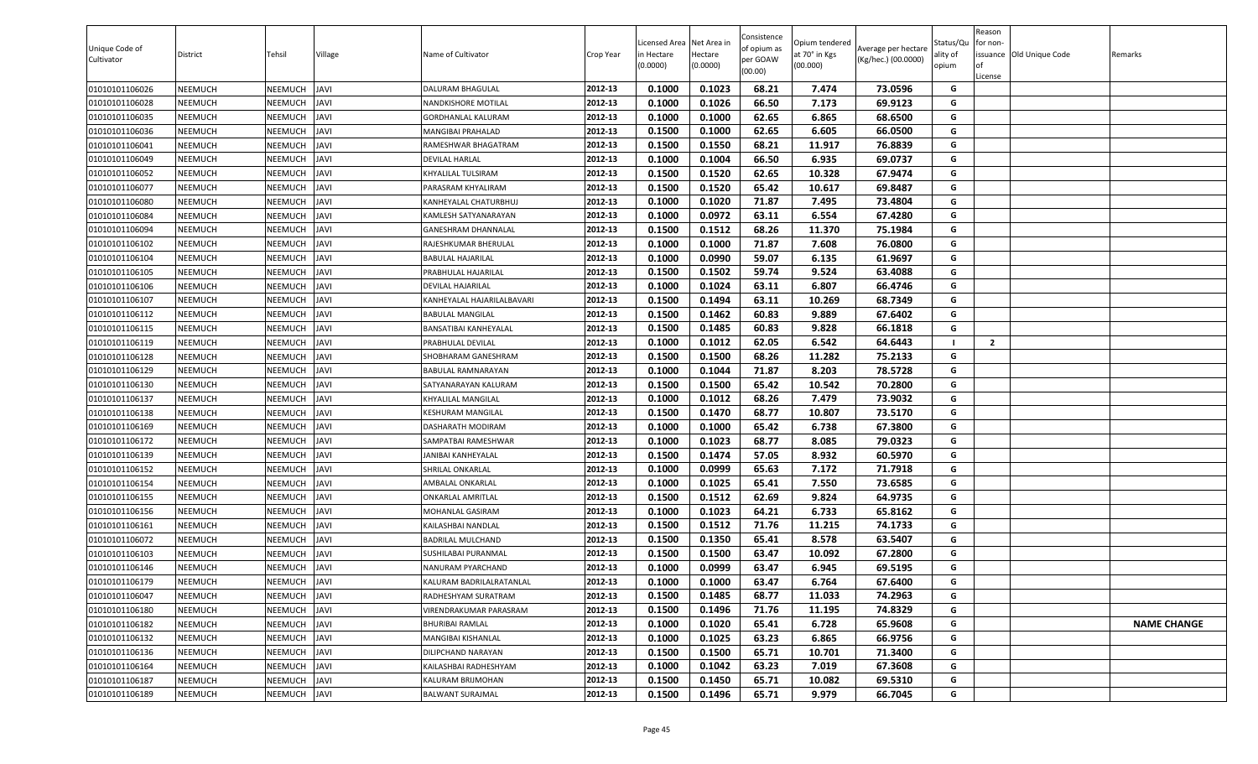| 0.1000<br>0.1023<br>68.21<br>01010101106026<br><b>NEEMUCH</b><br>NEEMUCH<br>JAVI<br>2012-13<br>7.474<br>73.0596<br>G<br>DALURAM BHAGULAL<br>01010101106028<br>2012-13<br>0.1000<br>0.1026<br>66.50<br>7.173<br>69.9123<br>NEEMUCH<br>NEEMUCH<br><b>IVAL</b><br>G<br>NANDKISHORE MOTILAL<br>62.65<br>01010101106035<br><b>NEEMUCH</b><br>NEEMUCH<br><b>JAVI</b><br>2012-13<br>0.1000<br>0.1000<br>6.865<br>68.6500<br>G<br>GORDHANLAL KALURAM<br>0.1500<br>0.1000<br>62.65<br>6.605<br>01010101106036<br>NEEMUCH<br>NEEMUCH<br><b>IVAL</b><br>2012-13<br>66.0500<br>G<br>MANGIBAI PRAHALAD<br>68.21<br>0.1500<br>0.1550<br>11.917<br>76.8839<br>G<br>01010101106041<br><b>NEEMUCH</b><br>NEEMUCH<br><b>JAVI</b><br>2012-13<br>RAMESHWAR BHAGATRAM<br>2012-13<br>66.50<br>6.935<br>69.0737<br><b>NEEMUCH</b><br>NEEMUCH<br>DEVILAL HARLAL<br>0.1000<br>0.1004<br>G<br>01010101106049<br><b>JAVI</b><br>NEEMUCH<br><b>JAVI</b><br>2012-13<br>0.1500<br>0.1520<br>62.65<br>10.328<br>67.9474<br>G<br>01010101106052<br><b>NEEMUCH</b><br>KHYALILAL TULSIRAM<br>65.42<br>G<br>2012-13<br>0.1500<br>0.1520<br>10.617<br>69.8487<br>01010101106077<br><b>NEEMUCH</b><br>NEEMUCH<br><b>JAVI</b><br>PARASRAM KHYALIRAM<br>NEEMUCH<br>2012-13<br>0.1000<br>0.1020<br>71.87<br>7.495<br>G<br>01010101106080<br><b>NEEMUCH</b><br><b>JAVI</b><br>KANHEYALAL CHATURBHUJ<br>73.4804<br>0.0972<br>01010101106084<br>NEEMUCH<br><b>JAVI</b><br>0.1000<br>63.11<br>6.554<br>67.4280<br>G<br>NEEMUCH<br>2012-13<br>KAMLESH SATYANARAYAN<br><b>JAVI</b><br>0.1512<br>68.26<br>11.370<br>75.1984<br>01010101106094<br><b>NEEMUCH</b><br>NEEMUCH<br>2012-13<br>0.1500<br>G<br>GANESHRAM DHANNALAL<br>0.1000<br>71.87<br>7.608<br>G<br>NEEMUCH<br><b>JAVI</b><br>2012-13<br>0.1000<br>76.0800<br>01010101106102<br>NEEMUCH<br>RAJESHKUMAR BHERULAL<br>0.1000<br>0.0990<br>59.07<br>6.135<br>61.9697<br>01010101106104<br><b>NEEMUCH</b><br>NEEMUCH<br><b>JAVI</b><br>2012-13<br>G<br>BABULAL HAJARILAL<br>0.1502<br>59.74<br>9.524<br><b>NEEMUCH</b><br>NEEMUCH<br><b>JAVI</b><br>2012-13<br>0.1500<br>63.4088<br>G<br>01010101106105<br>PRABHULAL HAJARILAL<br><b>NEEMUCH</b><br>NEEMUCH<br><b>JAVI</b><br>0.1000<br>0.1024<br>63.11<br>6.807<br>66.4746<br>G<br>01010101106106<br>2012-13<br>DEVILAL HAJARILAL<br><b>JAVI</b><br>0.1500<br>0.1494<br>63.11<br>10.269<br>68.7349<br>G<br>01010101106107<br><b>NEEMUCH</b><br>NEEMUCH<br>KANHEYALAL HAJARILALBAVARI<br>2012-13<br>0.1500<br>0.1462<br>60.83<br>9.889<br>67.6402<br>NEEMUCH<br>2012-13<br>G<br>01010101106112<br><b>NEEMUCH</b><br><b>IVAL</b><br><b>BABULAL MANGILAL</b><br>NEEMUCH<br>2012-13<br>0.1500<br>0.1485<br>60.83<br>9.828<br>66.1818<br>G<br>01010101106115<br><b>NEEMUCH</b><br><b>IVAL</b><br>BANSATIBAI KANHEYALAL<br>01010101106119<br><b>JAVI</b><br>2012-13<br>0.1000<br>0.1012<br>62.05<br>6.542<br>64.6443<br><b>NEEMUCH</b><br>NEEMUCH<br>PRABHULAL DEVILAL<br>$\overline{2}$<br>2012-13<br>G<br>01010101106128<br><b>NEEMUCH</b><br>NEEMUCH<br><b>JAVI</b><br>SHOBHARAM GANESHRAM<br>0.1500<br>0.1500<br>68.26<br>11.282<br>75.2133<br>0.1000<br>71.87<br>8.203<br>78.5728<br>NEEMUCH<br>NEEMUCH<br><b>IVAL</b><br>2012-13<br>0.1044<br>G<br>01010101106129<br>BABULAL RAMNARAYAN<br>65.42<br>10.542<br>0.1500<br>0.1500<br>70.2800<br>01010101106130<br><b>NEEMUCH</b><br>NEEMUCH<br><b>JAVI</b><br>2012-13<br>G<br>SATYANARAYAN KALURAM<br>01010101106137<br><b>NEEMUCH</b><br>NEEMUCH<br><b>JAVI</b><br>2012-13<br>0.1000<br>0.1012<br>68.26<br>7.479<br>73.9032<br>G<br>KHYALILAL MANGILAL<br>68.77<br>73.5170<br>01010101106138<br><b>NEEMUCH</b><br>NEEMUCH<br><b>JAVI</b><br>2012-13<br>0.1500<br>0.1470<br>10.807<br>G<br>KESHURAM MANGILAL<br>0.1000<br>0.1000<br>65.42<br>6.738<br>67.3800<br>01010101106169<br><b>NEEMUCH</b><br>NEEMUCH<br><b>IVAL</b><br>2012-13<br>G<br>DASHARATH MODIRAM<br>0.1000<br>0.1023<br>68.77<br>8.085<br>79.0323<br>01010101106172<br><b>NEEMUCH</b><br>NEEMUCH<br><b>JAVI</b><br>2012-13<br>G<br>SAMPATBAI RAMESHWAR<br>01010101106139<br>NEEMUCH<br><b>JAVI</b><br>2012-13<br>0.1500<br>0.1474<br>57.05<br>8.932<br>60.5970<br>NEEMUCH<br>G<br>JANIBAI KANHEYALAL<br>0.0999<br>65.63<br>7.172<br>01010101106152<br><b>NEEMUCH</b><br>NEEMUCH<br><b>JAVI</b><br>2012-13<br>0.1000<br>71.7918<br>G<br>SHRILAL ONKARLAL<br>2012-13<br>0.1000<br>0.1025<br>65.41<br>7.550<br>73.6585<br>G<br>NEEMUCH<br><b>JAVI</b><br>01010101106154<br>NEEMUCH<br>AMBALAL ONKARLAL<br>62.69<br>G<br>2012-13<br>0.1500<br>0.1512<br>9.824<br>64.9735<br>01010101106155<br><b>NEEMUCH</b><br>NEEMUCH<br><b>JAVI</b><br>ONKARLAL AMRITLAL<br>2012-13<br>0.1023<br>64.21<br>6.733<br>65.8162<br>G<br><b>NEEMUCH</b><br>NEEMUCH<br><b>JAVI</b><br>0.1000<br>01010101106156<br>MOHANLAL GASIRAM<br><b>NEEMUCH</b><br>NEEMUCH<br><b>JAVI</b><br>2012-13<br>0.1500<br>0.1512<br>71.76<br>11.215<br>74.1733<br>G<br>01010101106161<br>KAILASHBAI NANDLAL<br>0.1500<br>0.1350<br>65.41<br>8.578<br>G<br>01010101106072<br><b>NEEMUCH</b><br>NEEMUCH<br><b>JAVI</b><br>2012-13<br>63.5407<br>BADRILAL MULCHAND<br>0.1500<br>63.47<br>10.092<br>67.2800<br>01010101106103<br><b>NEEMUCH</b><br>NEEMUCH<br><b>JAVI</b><br>2012-13<br>0.1500<br>G<br>SUSHILABAI PURANMAL<br>0.0999<br>01010101106146<br>0.1000<br>63.47<br>6.945<br>69.5195<br>G<br><b>NEEMUCH</b><br>NEEMUCH<br><b>JAVI</b><br>2012-13<br>NANURAM PYARCHAND<br>01010101106179<br><b>NEEMUCH</b><br><b>NEEMUCH</b><br><b>JAVI</b><br>2012-13<br>0.1000<br>0.1000<br>63.47<br>6.764<br>67.6400<br>G<br>KALURAM BADRILALRATANLAL<br>2012-13<br>0.1500<br>0.1485<br>68.77<br>11.033<br>74.2963<br>G<br>01010101106047<br><b>NEEMUCH</b><br>NEEMUCH<br><b>JAVI</b><br>RADHESHYAM SURATRAM<br>2012-13<br>0.1500<br>0.1496<br>71.76<br>11.195<br>74.8329<br>01010101106180<br><b>NEEMUCH</b><br>NEEMUCH<br><b>JAVI</b><br>G<br>/IRENDRAKUMAR PARASRAM<br>65.41<br>65.9608<br><b>NEEMUCH</b><br>JAVI<br>2012-13<br>0.1000<br>0.1020<br>6.728<br>G<br>01010101106182<br>NEEMUCH<br><b>BHURIBAI RAMLAL</b><br><b>NAME CHANGE</b><br>01010101106132<br><b>NEEMUCH</b><br>NEEMUCH<br>JAVI<br>2012-13<br>0.1000<br>0.1025<br>63.23<br>6.865<br>66.9756<br>MANGIBAI KISHANLAL<br>G<br>G<br>JAVI<br>2012-13<br>65.71<br>01010101106136<br><b>NEEMUCH</b><br>NEEMUCH<br>DILIPCHAND NARAYAN<br>0.1500<br>0.1500<br>10.701<br>71.3400<br>01010101106164<br><b>JAVI</b><br>2012-13<br>0.1000<br>0.1042<br>63.23<br>7.019<br>67.3608<br>G<br><b>NEEMUCH</b><br>NEEMUCH<br>KAILASHBAI RADHESHYAM<br>2012-13<br>65.71<br>01010101106187<br>NEEMUCH<br>JAVI<br>KALURAM BRIJMOHAN<br>0.1500<br>0.1450<br>10.082<br>69.5310<br>G<br><b>NEEMUCH</b><br>01010101106189<br>NEEMUCH JAVI<br><b>BALWANT SURAJMAL</b><br>2012-13<br>0.1500<br>0.1496<br>65.71<br>9.979<br>66.7045<br>G<br><b>NEEMUCH</b> | Unique Code of<br>Cultivator | District | Tehsil | Village | Name of Cultivator | Crop Year | .icensed Area<br>in Hectare<br>(0.0000) | Net Area in<br>Hectare<br>(0.0000) | Consistence<br>of opium as<br>per GOAW<br>(00.00) | Opium tendered<br>at 70° in Kgs<br>(00.000) | Average per hectare<br>(Kg/hec.) (00.0000) | Status/Qu<br>ality of<br>opium | Reason<br>for non-<br>lof<br>License | issuance Old Unique Code | Remarks |
|---------------------------------------------------------------------------------------------------------------------------------------------------------------------------------------------------------------------------------------------------------------------------------------------------------------------------------------------------------------------------------------------------------------------------------------------------------------------------------------------------------------------------------------------------------------------------------------------------------------------------------------------------------------------------------------------------------------------------------------------------------------------------------------------------------------------------------------------------------------------------------------------------------------------------------------------------------------------------------------------------------------------------------------------------------------------------------------------------------------------------------------------------------------------------------------------------------------------------------------------------------------------------------------------------------------------------------------------------------------------------------------------------------------------------------------------------------------------------------------------------------------------------------------------------------------------------------------------------------------------------------------------------------------------------------------------------------------------------------------------------------------------------------------------------------------------------------------------------------------------------------------------------------------------------------------------------------------------------------------------------------------------------------------------------------------------------------------------------------------------------------------------------------------------------------------------------------------------------------------------------------------------------------------------------------------------------------------------------------------------------------------------------------------------------------------------------------------------------------------------------------------------------------------------------------------------------------------------------------------------------------------------------------------------------------------------------------------------------------------------------------------------------------------------------------------------------------------------------------------------------------------------------------------------------------------------------------------------------------------------------------------------------------------------------------------------------------------------------------------------------------------------------------------------------------------------------------------------------------------------------------------------------------------------------------------------------------------------------------------------------------------------------------------------------------------------------------------------------------------------------------------------------------------------------------------------------------------------------------------------------------------------------------------------------------------------------------------------------------------------------------------------------------------------------------------------------------------------------------------------------------------------------------------------------------------------------------------------------------------------------------------------------------------------------------------------------------------------------------------------------------------------------------------------------------------------------------------------------------------------------------------------------------------------------------------------------------------------------------------------------------------------------------------------------------------------------------------------------------------------------------------------------------------------------------------------------------------------------------------------------------------------------------------------------------------------------------------------------------------------------------------------------------------------------------------------------------------------------------------------------------------------------------------------------------------------------------------------------------------------------------------------------------------------------------------------------------------------------------------------------------------------------------------------------------------------------------------------------------------------------------------------------------------------------------------------------------------------------------------------------------------------------------------------------------------------------------------------------------------------------------------------------------------------------------------------------------------------------------------------------------------------------------------------------------------------------------------------------------------------------------------------------------------------------------------------------------------------------------------------------------------------------------------------------------------------------------------------------------------------------------------------------------------------------------------------------------------------------------------------------------------------------------------------------------------------------------------------------------------------------------------------------------------------------------------------------------------------------------------------------------------------------------------------------------------------------------------------------------------------------------------------------------------------------------------------------------------------------------------------------------------------------------------------------------------------------------------------------------------------------------------------------------------------------------------------|------------------------------|----------|--------|---------|--------------------|-----------|-----------------------------------------|------------------------------------|---------------------------------------------------|---------------------------------------------|--------------------------------------------|--------------------------------|--------------------------------------|--------------------------|---------|
|                                                                                                                                                                                                                                                                                                                                                                                                                                                                                                                                                                                                                                                                                                                                                                                                                                                                                                                                                                                                                                                                                                                                                                                                                                                                                                                                                                                                                                                                                                                                                                                                                                                                                                                                                                                                                                                                                                                                                                                                                                                                                                                                                                                                                                                                                                                                                                                                                                                                                                                                                                                                                                                                                                                                                                                                                                                                                                                                                                                                                                                                                                                                                                                                                                                                                                                                                                                                                                                                                                                                                                                                                                                                                                                                                                                                                                                                                                                                                                                                                                                                                                                                                                                                                                                                                                                                                                                                                                                                                                                                                                                                                                                                                                                                                                                                                                                                                                                                                                                                                                                                                                                                                                                                                                                                                                                                                                                                                                                                                                                                                                                                                                                                                                                                                                                                                                                                                                                                                                                                                                                                                                                                                                                                                                                                                                                                                                                                                                                                                                                                                                                                                                                                                                                                                                                                                     |                              |          |        |         |                    |           |                                         |                                    |                                                   |                                             |                                            |                                |                                      |                          |         |
|                                                                                                                                                                                                                                                                                                                                                                                                                                                                                                                                                                                                                                                                                                                                                                                                                                                                                                                                                                                                                                                                                                                                                                                                                                                                                                                                                                                                                                                                                                                                                                                                                                                                                                                                                                                                                                                                                                                                                                                                                                                                                                                                                                                                                                                                                                                                                                                                                                                                                                                                                                                                                                                                                                                                                                                                                                                                                                                                                                                                                                                                                                                                                                                                                                                                                                                                                                                                                                                                                                                                                                                                                                                                                                                                                                                                                                                                                                                                                                                                                                                                                                                                                                                                                                                                                                                                                                                                                                                                                                                                                                                                                                                                                                                                                                                                                                                                                                                                                                                                                                                                                                                                                                                                                                                                                                                                                                                                                                                                                                                                                                                                                                                                                                                                                                                                                                                                                                                                                                                                                                                                                                                                                                                                                                                                                                                                                                                                                                                                                                                                                                                                                                                                                                                                                                                                                     |                              |          |        |         |                    |           |                                         |                                    |                                                   |                                             |                                            |                                |                                      |                          |         |
|                                                                                                                                                                                                                                                                                                                                                                                                                                                                                                                                                                                                                                                                                                                                                                                                                                                                                                                                                                                                                                                                                                                                                                                                                                                                                                                                                                                                                                                                                                                                                                                                                                                                                                                                                                                                                                                                                                                                                                                                                                                                                                                                                                                                                                                                                                                                                                                                                                                                                                                                                                                                                                                                                                                                                                                                                                                                                                                                                                                                                                                                                                                                                                                                                                                                                                                                                                                                                                                                                                                                                                                                                                                                                                                                                                                                                                                                                                                                                                                                                                                                                                                                                                                                                                                                                                                                                                                                                                                                                                                                                                                                                                                                                                                                                                                                                                                                                                                                                                                                                                                                                                                                                                                                                                                                                                                                                                                                                                                                                                                                                                                                                                                                                                                                                                                                                                                                                                                                                                                                                                                                                                                                                                                                                                                                                                                                                                                                                                                                                                                                                                                                                                                                                                                                                                                                                     |                              |          |        |         |                    |           |                                         |                                    |                                                   |                                             |                                            |                                |                                      |                          |         |
|                                                                                                                                                                                                                                                                                                                                                                                                                                                                                                                                                                                                                                                                                                                                                                                                                                                                                                                                                                                                                                                                                                                                                                                                                                                                                                                                                                                                                                                                                                                                                                                                                                                                                                                                                                                                                                                                                                                                                                                                                                                                                                                                                                                                                                                                                                                                                                                                                                                                                                                                                                                                                                                                                                                                                                                                                                                                                                                                                                                                                                                                                                                                                                                                                                                                                                                                                                                                                                                                                                                                                                                                                                                                                                                                                                                                                                                                                                                                                                                                                                                                                                                                                                                                                                                                                                                                                                                                                                                                                                                                                                                                                                                                                                                                                                                                                                                                                                                                                                                                                                                                                                                                                                                                                                                                                                                                                                                                                                                                                                                                                                                                                                                                                                                                                                                                                                                                                                                                                                                                                                                                                                                                                                                                                                                                                                                                                                                                                                                                                                                                                                                                                                                                                                                                                                                                                     |                              |          |        |         |                    |           |                                         |                                    |                                                   |                                             |                                            |                                |                                      |                          |         |
|                                                                                                                                                                                                                                                                                                                                                                                                                                                                                                                                                                                                                                                                                                                                                                                                                                                                                                                                                                                                                                                                                                                                                                                                                                                                                                                                                                                                                                                                                                                                                                                                                                                                                                                                                                                                                                                                                                                                                                                                                                                                                                                                                                                                                                                                                                                                                                                                                                                                                                                                                                                                                                                                                                                                                                                                                                                                                                                                                                                                                                                                                                                                                                                                                                                                                                                                                                                                                                                                                                                                                                                                                                                                                                                                                                                                                                                                                                                                                                                                                                                                                                                                                                                                                                                                                                                                                                                                                                                                                                                                                                                                                                                                                                                                                                                                                                                                                                                                                                                                                                                                                                                                                                                                                                                                                                                                                                                                                                                                                                                                                                                                                                                                                                                                                                                                                                                                                                                                                                                                                                                                                                                                                                                                                                                                                                                                                                                                                                                                                                                                                                                                                                                                                                                                                                                                                     |                              |          |        |         |                    |           |                                         |                                    |                                                   |                                             |                                            |                                |                                      |                          |         |
|                                                                                                                                                                                                                                                                                                                                                                                                                                                                                                                                                                                                                                                                                                                                                                                                                                                                                                                                                                                                                                                                                                                                                                                                                                                                                                                                                                                                                                                                                                                                                                                                                                                                                                                                                                                                                                                                                                                                                                                                                                                                                                                                                                                                                                                                                                                                                                                                                                                                                                                                                                                                                                                                                                                                                                                                                                                                                                                                                                                                                                                                                                                                                                                                                                                                                                                                                                                                                                                                                                                                                                                                                                                                                                                                                                                                                                                                                                                                                                                                                                                                                                                                                                                                                                                                                                                                                                                                                                                                                                                                                                                                                                                                                                                                                                                                                                                                                                                                                                                                                                                                                                                                                                                                                                                                                                                                                                                                                                                                                                                                                                                                                                                                                                                                                                                                                                                                                                                                                                                                                                                                                                                                                                                                                                                                                                                                                                                                                                                                                                                                                                                                                                                                                                                                                                                                                     |                              |          |        |         |                    |           |                                         |                                    |                                                   |                                             |                                            |                                |                                      |                          |         |
|                                                                                                                                                                                                                                                                                                                                                                                                                                                                                                                                                                                                                                                                                                                                                                                                                                                                                                                                                                                                                                                                                                                                                                                                                                                                                                                                                                                                                                                                                                                                                                                                                                                                                                                                                                                                                                                                                                                                                                                                                                                                                                                                                                                                                                                                                                                                                                                                                                                                                                                                                                                                                                                                                                                                                                                                                                                                                                                                                                                                                                                                                                                                                                                                                                                                                                                                                                                                                                                                                                                                                                                                                                                                                                                                                                                                                                                                                                                                                                                                                                                                                                                                                                                                                                                                                                                                                                                                                                                                                                                                                                                                                                                                                                                                                                                                                                                                                                                                                                                                                                                                                                                                                                                                                                                                                                                                                                                                                                                                                                                                                                                                                                                                                                                                                                                                                                                                                                                                                                                                                                                                                                                                                                                                                                                                                                                                                                                                                                                                                                                                                                                                                                                                                                                                                                                                                     |                              |          |        |         |                    |           |                                         |                                    |                                                   |                                             |                                            |                                |                                      |                          |         |
|                                                                                                                                                                                                                                                                                                                                                                                                                                                                                                                                                                                                                                                                                                                                                                                                                                                                                                                                                                                                                                                                                                                                                                                                                                                                                                                                                                                                                                                                                                                                                                                                                                                                                                                                                                                                                                                                                                                                                                                                                                                                                                                                                                                                                                                                                                                                                                                                                                                                                                                                                                                                                                                                                                                                                                                                                                                                                                                                                                                                                                                                                                                                                                                                                                                                                                                                                                                                                                                                                                                                                                                                                                                                                                                                                                                                                                                                                                                                                                                                                                                                                                                                                                                                                                                                                                                                                                                                                                                                                                                                                                                                                                                                                                                                                                                                                                                                                                                                                                                                                                                                                                                                                                                                                                                                                                                                                                                                                                                                                                                                                                                                                                                                                                                                                                                                                                                                                                                                                                                                                                                                                                                                                                                                                                                                                                                                                                                                                                                                                                                                                                                                                                                                                                                                                                                                                     |                              |          |        |         |                    |           |                                         |                                    |                                                   |                                             |                                            |                                |                                      |                          |         |
|                                                                                                                                                                                                                                                                                                                                                                                                                                                                                                                                                                                                                                                                                                                                                                                                                                                                                                                                                                                                                                                                                                                                                                                                                                                                                                                                                                                                                                                                                                                                                                                                                                                                                                                                                                                                                                                                                                                                                                                                                                                                                                                                                                                                                                                                                                                                                                                                                                                                                                                                                                                                                                                                                                                                                                                                                                                                                                                                                                                                                                                                                                                                                                                                                                                                                                                                                                                                                                                                                                                                                                                                                                                                                                                                                                                                                                                                                                                                                                                                                                                                                                                                                                                                                                                                                                                                                                                                                                                                                                                                                                                                                                                                                                                                                                                                                                                                                                                                                                                                                                                                                                                                                                                                                                                                                                                                                                                                                                                                                                                                                                                                                                                                                                                                                                                                                                                                                                                                                                                                                                                                                                                                                                                                                                                                                                                                                                                                                                                                                                                                                                                                                                                                                                                                                                                                                     |                              |          |        |         |                    |           |                                         |                                    |                                                   |                                             |                                            |                                |                                      |                          |         |
|                                                                                                                                                                                                                                                                                                                                                                                                                                                                                                                                                                                                                                                                                                                                                                                                                                                                                                                                                                                                                                                                                                                                                                                                                                                                                                                                                                                                                                                                                                                                                                                                                                                                                                                                                                                                                                                                                                                                                                                                                                                                                                                                                                                                                                                                                                                                                                                                                                                                                                                                                                                                                                                                                                                                                                                                                                                                                                                                                                                                                                                                                                                                                                                                                                                                                                                                                                                                                                                                                                                                                                                                                                                                                                                                                                                                                                                                                                                                                                                                                                                                                                                                                                                                                                                                                                                                                                                                                                                                                                                                                                                                                                                                                                                                                                                                                                                                                                                                                                                                                                                                                                                                                                                                                                                                                                                                                                                                                                                                                                                                                                                                                                                                                                                                                                                                                                                                                                                                                                                                                                                                                                                                                                                                                                                                                                                                                                                                                                                                                                                                                                                                                                                                                                                                                                                                                     |                              |          |        |         |                    |           |                                         |                                    |                                                   |                                             |                                            |                                |                                      |                          |         |
|                                                                                                                                                                                                                                                                                                                                                                                                                                                                                                                                                                                                                                                                                                                                                                                                                                                                                                                                                                                                                                                                                                                                                                                                                                                                                                                                                                                                                                                                                                                                                                                                                                                                                                                                                                                                                                                                                                                                                                                                                                                                                                                                                                                                                                                                                                                                                                                                                                                                                                                                                                                                                                                                                                                                                                                                                                                                                                                                                                                                                                                                                                                                                                                                                                                                                                                                                                                                                                                                                                                                                                                                                                                                                                                                                                                                                                                                                                                                                                                                                                                                                                                                                                                                                                                                                                                                                                                                                                                                                                                                                                                                                                                                                                                                                                                                                                                                                                                                                                                                                                                                                                                                                                                                                                                                                                                                                                                                                                                                                                                                                                                                                                                                                                                                                                                                                                                                                                                                                                                                                                                                                                                                                                                                                                                                                                                                                                                                                                                                                                                                                                                                                                                                                                                                                                                                                     |                              |          |        |         |                    |           |                                         |                                    |                                                   |                                             |                                            |                                |                                      |                          |         |
|                                                                                                                                                                                                                                                                                                                                                                                                                                                                                                                                                                                                                                                                                                                                                                                                                                                                                                                                                                                                                                                                                                                                                                                                                                                                                                                                                                                                                                                                                                                                                                                                                                                                                                                                                                                                                                                                                                                                                                                                                                                                                                                                                                                                                                                                                                                                                                                                                                                                                                                                                                                                                                                                                                                                                                                                                                                                                                                                                                                                                                                                                                                                                                                                                                                                                                                                                                                                                                                                                                                                                                                                                                                                                                                                                                                                                                                                                                                                                                                                                                                                                                                                                                                                                                                                                                                                                                                                                                                                                                                                                                                                                                                                                                                                                                                                                                                                                                                                                                                                                                                                                                                                                                                                                                                                                                                                                                                                                                                                                                                                                                                                                                                                                                                                                                                                                                                                                                                                                                                                                                                                                                                                                                                                                                                                                                                                                                                                                                                                                                                                                                                                                                                                                                                                                                                                                     |                              |          |        |         |                    |           |                                         |                                    |                                                   |                                             |                                            |                                |                                      |                          |         |
|                                                                                                                                                                                                                                                                                                                                                                                                                                                                                                                                                                                                                                                                                                                                                                                                                                                                                                                                                                                                                                                                                                                                                                                                                                                                                                                                                                                                                                                                                                                                                                                                                                                                                                                                                                                                                                                                                                                                                                                                                                                                                                                                                                                                                                                                                                                                                                                                                                                                                                                                                                                                                                                                                                                                                                                                                                                                                                                                                                                                                                                                                                                                                                                                                                                                                                                                                                                                                                                                                                                                                                                                                                                                                                                                                                                                                                                                                                                                                                                                                                                                                                                                                                                                                                                                                                                                                                                                                                                                                                                                                                                                                                                                                                                                                                                                                                                                                                                                                                                                                                                                                                                                                                                                                                                                                                                                                                                                                                                                                                                                                                                                                                                                                                                                                                                                                                                                                                                                                                                                                                                                                                                                                                                                                                                                                                                                                                                                                                                                                                                                                                                                                                                                                                                                                                                                                     |                              |          |        |         |                    |           |                                         |                                    |                                                   |                                             |                                            |                                |                                      |                          |         |
|                                                                                                                                                                                                                                                                                                                                                                                                                                                                                                                                                                                                                                                                                                                                                                                                                                                                                                                                                                                                                                                                                                                                                                                                                                                                                                                                                                                                                                                                                                                                                                                                                                                                                                                                                                                                                                                                                                                                                                                                                                                                                                                                                                                                                                                                                                                                                                                                                                                                                                                                                                                                                                                                                                                                                                                                                                                                                                                                                                                                                                                                                                                                                                                                                                                                                                                                                                                                                                                                                                                                                                                                                                                                                                                                                                                                                                                                                                                                                                                                                                                                                                                                                                                                                                                                                                                                                                                                                                                                                                                                                                                                                                                                                                                                                                                                                                                                                                                                                                                                                                                                                                                                                                                                                                                                                                                                                                                                                                                                                                                                                                                                                                                                                                                                                                                                                                                                                                                                                                                                                                                                                                                                                                                                                                                                                                                                                                                                                                                                                                                                                                                                                                                                                                                                                                                                                     |                              |          |        |         |                    |           |                                         |                                    |                                                   |                                             |                                            |                                |                                      |                          |         |
|                                                                                                                                                                                                                                                                                                                                                                                                                                                                                                                                                                                                                                                                                                                                                                                                                                                                                                                                                                                                                                                                                                                                                                                                                                                                                                                                                                                                                                                                                                                                                                                                                                                                                                                                                                                                                                                                                                                                                                                                                                                                                                                                                                                                                                                                                                                                                                                                                                                                                                                                                                                                                                                                                                                                                                                                                                                                                                                                                                                                                                                                                                                                                                                                                                                                                                                                                                                                                                                                                                                                                                                                                                                                                                                                                                                                                                                                                                                                                                                                                                                                                                                                                                                                                                                                                                                                                                                                                                                                                                                                                                                                                                                                                                                                                                                                                                                                                                                                                                                                                                                                                                                                                                                                                                                                                                                                                                                                                                                                                                                                                                                                                                                                                                                                                                                                                                                                                                                                                                                                                                                                                                                                                                                                                                                                                                                                                                                                                                                                                                                                                                                                                                                                                                                                                                                                                     |                              |          |        |         |                    |           |                                         |                                    |                                                   |                                             |                                            |                                |                                      |                          |         |
|                                                                                                                                                                                                                                                                                                                                                                                                                                                                                                                                                                                                                                                                                                                                                                                                                                                                                                                                                                                                                                                                                                                                                                                                                                                                                                                                                                                                                                                                                                                                                                                                                                                                                                                                                                                                                                                                                                                                                                                                                                                                                                                                                                                                                                                                                                                                                                                                                                                                                                                                                                                                                                                                                                                                                                                                                                                                                                                                                                                                                                                                                                                                                                                                                                                                                                                                                                                                                                                                                                                                                                                                                                                                                                                                                                                                                                                                                                                                                                                                                                                                                                                                                                                                                                                                                                                                                                                                                                                                                                                                                                                                                                                                                                                                                                                                                                                                                                                                                                                                                                                                                                                                                                                                                                                                                                                                                                                                                                                                                                                                                                                                                                                                                                                                                                                                                                                                                                                                                                                                                                                                                                                                                                                                                                                                                                                                                                                                                                                                                                                                                                                                                                                                                                                                                                                                                     |                              |          |        |         |                    |           |                                         |                                    |                                                   |                                             |                                            |                                |                                      |                          |         |
|                                                                                                                                                                                                                                                                                                                                                                                                                                                                                                                                                                                                                                                                                                                                                                                                                                                                                                                                                                                                                                                                                                                                                                                                                                                                                                                                                                                                                                                                                                                                                                                                                                                                                                                                                                                                                                                                                                                                                                                                                                                                                                                                                                                                                                                                                                                                                                                                                                                                                                                                                                                                                                                                                                                                                                                                                                                                                                                                                                                                                                                                                                                                                                                                                                                                                                                                                                                                                                                                                                                                                                                                                                                                                                                                                                                                                                                                                                                                                                                                                                                                                                                                                                                                                                                                                                                                                                                                                                                                                                                                                                                                                                                                                                                                                                                                                                                                                                                                                                                                                                                                                                                                                                                                                                                                                                                                                                                                                                                                                                                                                                                                                                                                                                                                                                                                                                                                                                                                                                                                                                                                                                                                                                                                                                                                                                                                                                                                                                                                                                                                                                                                                                                                                                                                                                                                                     |                              |          |        |         |                    |           |                                         |                                    |                                                   |                                             |                                            |                                |                                      |                          |         |
|                                                                                                                                                                                                                                                                                                                                                                                                                                                                                                                                                                                                                                                                                                                                                                                                                                                                                                                                                                                                                                                                                                                                                                                                                                                                                                                                                                                                                                                                                                                                                                                                                                                                                                                                                                                                                                                                                                                                                                                                                                                                                                                                                                                                                                                                                                                                                                                                                                                                                                                                                                                                                                                                                                                                                                                                                                                                                                                                                                                                                                                                                                                                                                                                                                                                                                                                                                                                                                                                                                                                                                                                                                                                                                                                                                                                                                                                                                                                                                                                                                                                                                                                                                                                                                                                                                                                                                                                                                                                                                                                                                                                                                                                                                                                                                                                                                                                                                                                                                                                                                                                                                                                                                                                                                                                                                                                                                                                                                                                                                                                                                                                                                                                                                                                                                                                                                                                                                                                                                                                                                                                                                                                                                                                                                                                                                                                                                                                                                                                                                                                                                                                                                                                                                                                                                                                                     |                              |          |        |         |                    |           |                                         |                                    |                                                   |                                             |                                            |                                |                                      |                          |         |
|                                                                                                                                                                                                                                                                                                                                                                                                                                                                                                                                                                                                                                                                                                                                                                                                                                                                                                                                                                                                                                                                                                                                                                                                                                                                                                                                                                                                                                                                                                                                                                                                                                                                                                                                                                                                                                                                                                                                                                                                                                                                                                                                                                                                                                                                                                                                                                                                                                                                                                                                                                                                                                                                                                                                                                                                                                                                                                                                                                                                                                                                                                                                                                                                                                                                                                                                                                                                                                                                                                                                                                                                                                                                                                                                                                                                                                                                                                                                                                                                                                                                                                                                                                                                                                                                                                                                                                                                                                                                                                                                                                                                                                                                                                                                                                                                                                                                                                                                                                                                                                                                                                                                                                                                                                                                                                                                                                                                                                                                                                                                                                                                                                                                                                                                                                                                                                                                                                                                                                                                                                                                                                                                                                                                                                                                                                                                                                                                                                                                                                                                                                                                                                                                                                                                                                                                                     |                              |          |        |         |                    |           |                                         |                                    |                                                   |                                             |                                            |                                |                                      |                          |         |
|                                                                                                                                                                                                                                                                                                                                                                                                                                                                                                                                                                                                                                                                                                                                                                                                                                                                                                                                                                                                                                                                                                                                                                                                                                                                                                                                                                                                                                                                                                                                                                                                                                                                                                                                                                                                                                                                                                                                                                                                                                                                                                                                                                                                                                                                                                                                                                                                                                                                                                                                                                                                                                                                                                                                                                                                                                                                                                                                                                                                                                                                                                                                                                                                                                                                                                                                                                                                                                                                                                                                                                                                                                                                                                                                                                                                                                                                                                                                                                                                                                                                                                                                                                                                                                                                                                                                                                                                                                                                                                                                                                                                                                                                                                                                                                                                                                                                                                                                                                                                                                                                                                                                                                                                                                                                                                                                                                                                                                                                                                                                                                                                                                                                                                                                                                                                                                                                                                                                                                                                                                                                                                                                                                                                                                                                                                                                                                                                                                                                                                                                                                                                                                                                                                                                                                                                                     |                              |          |        |         |                    |           |                                         |                                    |                                                   |                                             |                                            |                                |                                      |                          |         |
|                                                                                                                                                                                                                                                                                                                                                                                                                                                                                                                                                                                                                                                                                                                                                                                                                                                                                                                                                                                                                                                                                                                                                                                                                                                                                                                                                                                                                                                                                                                                                                                                                                                                                                                                                                                                                                                                                                                                                                                                                                                                                                                                                                                                                                                                                                                                                                                                                                                                                                                                                                                                                                                                                                                                                                                                                                                                                                                                                                                                                                                                                                                                                                                                                                                                                                                                                                                                                                                                                                                                                                                                                                                                                                                                                                                                                                                                                                                                                                                                                                                                                                                                                                                                                                                                                                                                                                                                                                                                                                                                                                                                                                                                                                                                                                                                                                                                                                                                                                                                                                                                                                                                                                                                                                                                                                                                                                                                                                                                                                                                                                                                                                                                                                                                                                                                                                                                                                                                                                                                                                                                                                                                                                                                                                                                                                                                                                                                                                                                                                                                                                                                                                                                                                                                                                                                                     |                              |          |        |         |                    |           |                                         |                                    |                                                   |                                             |                                            |                                |                                      |                          |         |
|                                                                                                                                                                                                                                                                                                                                                                                                                                                                                                                                                                                                                                                                                                                                                                                                                                                                                                                                                                                                                                                                                                                                                                                                                                                                                                                                                                                                                                                                                                                                                                                                                                                                                                                                                                                                                                                                                                                                                                                                                                                                                                                                                                                                                                                                                                                                                                                                                                                                                                                                                                                                                                                                                                                                                                                                                                                                                                                                                                                                                                                                                                                                                                                                                                                                                                                                                                                                                                                                                                                                                                                                                                                                                                                                                                                                                                                                                                                                                                                                                                                                                                                                                                                                                                                                                                                                                                                                                                                                                                                                                                                                                                                                                                                                                                                                                                                                                                                                                                                                                                                                                                                                                                                                                                                                                                                                                                                                                                                                                                                                                                                                                                                                                                                                                                                                                                                                                                                                                                                                                                                                                                                                                                                                                                                                                                                                                                                                                                                                                                                                                                                                                                                                                                                                                                                                                     |                              |          |        |         |                    |           |                                         |                                    |                                                   |                                             |                                            |                                |                                      |                          |         |
|                                                                                                                                                                                                                                                                                                                                                                                                                                                                                                                                                                                                                                                                                                                                                                                                                                                                                                                                                                                                                                                                                                                                                                                                                                                                                                                                                                                                                                                                                                                                                                                                                                                                                                                                                                                                                                                                                                                                                                                                                                                                                                                                                                                                                                                                                                                                                                                                                                                                                                                                                                                                                                                                                                                                                                                                                                                                                                                                                                                                                                                                                                                                                                                                                                                                                                                                                                                                                                                                                                                                                                                                                                                                                                                                                                                                                                                                                                                                                                                                                                                                                                                                                                                                                                                                                                                                                                                                                                                                                                                                                                                                                                                                                                                                                                                                                                                                                                                                                                                                                                                                                                                                                                                                                                                                                                                                                                                                                                                                                                                                                                                                                                                                                                                                                                                                                                                                                                                                                                                                                                                                                                                                                                                                                                                                                                                                                                                                                                                                                                                                                                                                                                                                                                                                                                                                                     |                              |          |        |         |                    |           |                                         |                                    |                                                   |                                             |                                            |                                |                                      |                          |         |
|                                                                                                                                                                                                                                                                                                                                                                                                                                                                                                                                                                                                                                                                                                                                                                                                                                                                                                                                                                                                                                                                                                                                                                                                                                                                                                                                                                                                                                                                                                                                                                                                                                                                                                                                                                                                                                                                                                                                                                                                                                                                                                                                                                                                                                                                                                                                                                                                                                                                                                                                                                                                                                                                                                                                                                                                                                                                                                                                                                                                                                                                                                                                                                                                                                                                                                                                                                                                                                                                                                                                                                                                                                                                                                                                                                                                                                                                                                                                                                                                                                                                                                                                                                                                                                                                                                                                                                                                                                                                                                                                                                                                                                                                                                                                                                                                                                                                                                                                                                                                                                                                                                                                                                                                                                                                                                                                                                                                                                                                                                                                                                                                                                                                                                                                                                                                                                                                                                                                                                                                                                                                                                                                                                                                                                                                                                                                                                                                                                                                                                                                                                                                                                                                                                                                                                                                                     |                              |          |        |         |                    |           |                                         |                                    |                                                   |                                             |                                            |                                |                                      |                          |         |
|                                                                                                                                                                                                                                                                                                                                                                                                                                                                                                                                                                                                                                                                                                                                                                                                                                                                                                                                                                                                                                                                                                                                                                                                                                                                                                                                                                                                                                                                                                                                                                                                                                                                                                                                                                                                                                                                                                                                                                                                                                                                                                                                                                                                                                                                                                                                                                                                                                                                                                                                                                                                                                                                                                                                                                                                                                                                                                                                                                                                                                                                                                                                                                                                                                                                                                                                                                                                                                                                                                                                                                                                                                                                                                                                                                                                                                                                                                                                                                                                                                                                                                                                                                                                                                                                                                                                                                                                                                                                                                                                                                                                                                                                                                                                                                                                                                                                                                                                                                                                                                                                                                                                                                                                                                                                                                                                                                                                                                                                                                                                                                                                                                                                                                                                                                                                                                                                                                                                                                                                                                                                                                                                                                                                                                                                                                                                                                                                                                                                                                                                                                                                                                                                                                                                                                                                                     |                              |          |        |         |                    |           |                                         |                                    |                                                   |                                             |                                            |                                |                                      |                          |         |
|                                                                                                                                                                                                                                                                                                                                                                                                                                                                                                                                                                                                                                                                                                                                                                                                                                                                                                                                                                                                                                                                                                                                                                                                                                                                                                                                                                                                                                                                                                                                                                                                                                                                                                                                                                                                                                                                                                                                                                                                                                                                                                                                                                                                                                                                                                                                                                                                                                                                                                                                                                                                                                                                                                                                                                                                                                                                                                                                                                                                                                                                                                                                                                                                                                                                                                                                                                                                                                                                                                                                                                                                                                                                                                                                                                                                                                                                                                                                                                                                                                                                                                                                                                                                                                                                                                                                                                                                                                                                                                                                                                                                                                                                                                                                                                                                                                                                                                                                                                                                                                                                                                                                                                                                                                                                                                                                                                                                                                                                                                                                                                                                                                                                                                                                                                                                                                                                                                                                                                                                                                                                                                                                                                                                                                                                                                                                                                                                                                                                                                                                                                                                                                                                                                                                                                                                                     |                              |          |        |         |                    |           |                                         |                                    |                                                   |                                             |                                            |                                |                                      |                          |         |
|                                                                                                                                                                                                                                                                                                                                                                                                                                                                                                                                                                                                                                                                                                                                                                                                                                                                                                                                                                                                                                                                                                                                                                                                                                                                                                                                                                                                                                                                                                                                                                                                                                                                                                                                                                                                                                                                                                                                                                                                                                                                                                                                                                                                                                                                                                                                                                                                                                                                                                                                                                                                                                                                                                                                                                                                                                                                                                                                                                                                                                                                                                                                                                                                                                                                                                                                                                                                                                                                                                                                                                                                                                                                                                                                                                                                                                                                                                                                                                                                                                                                                                                                                                                                                                                                                                                                                                                                                                                                                                                                                                                                                                                                                                                                                                                                                                                                                                                                                                                                                                                                                                                                                                                                                                                                                                                                                                                                                                                                                                                                                                                                                                                                                                                                                                                                                                                                                                                                                                                                                                                                                                                                                                                                                                                                                                                                                                                                                                                                                                                                                                                                                                                                                                                                                                                                                     |                              |          |        |         |                    |           |                                         |                                    |                                                   |                                             |                                            |                                |                                      |                          |         |
|                                                                                                                                                                                                                                                                                                                                                                                                                                                                                                                                                                                                                                                                                                                                                                                                                                                                                                                                                                                                                                                                                                                                                                                                                                                                                                                                                                                                                                                                                                                                                                                                                                                                                                                                                                                                                                                                                                                                                                                                                                                                                                                                                                                                                                                                                                                                                                                                                                                                                                                                                                                                                                                                                                                                                                                                                                                                                                                                                                                                                                                                                                                                                                                                                                                                                                                                                                                                                                                                                                                                                                                                                                                                                                                                                                                                                                                                                                                                                                                                                                                                                                                                                                                                                                                                                                                                                                                                                                                                                                                                                                                                                                                                                                                                                                                                                                                                                                                                                                                                                                                                                                                                                                                                                                                                                                                                                                                                                                                                                                                                                                                                                                                                                                                                                                                                                                                                                                                                                                                                                                                                                                                                                                                                                                                                                                                                                                                                                                                                                                                                                                                                                                                                                                                                                                                                                     |                              |          |        |         |                    |           |                                         |                                    |                                                   |                                             |                                            |                                |                                      |                          |         |
|                                                                                                                                                                                                                                                                                                                                                                                                                                                                                                                                                                                                                                                                                                                                                                                                                                                                                                                                                                                                                                                                                                                                                                                                                                                                                                                                                                                                                                                                                                                                                                                                                                                                                                                                                                                                                                                                                                                                                                                                                                                                                                                                                                                                                                                                                                                                                                                                                                                                                                                                                                                                                                                                                                                                                                                                                                                                                                                                                                                                                                                                                                                                                                                                                                                                                                                                                                                                                                                                                                                                                                                                                                                                                                                                                                                                                                                                                                                                                                                                                                                                                                                                                                                                                                                                                                                                                                                                                                                                                                                                                                                                                                                                                                                                                                                                                                                                                                                                                                                                                                                                                                                                                                                                                                                                                                                                                                                                                                                                                                                                                                                                                                                                                                                                                                                                                                                                                                                                                                                                                                                                                                                                                                                                                                                                                                                                                                                                                                                                                                                                                                                                                                                                                                                                                                                                                     |                              |          |        |         |                    |           |                                         |                                    |                                                   |                                             |                                            |                                |                                      |                          |         |
|                                                                                                                                                                                                                                                                                                                                                                                                                                                                                                                                                                                                                                                                                                                                                                                                                                                                                                                                                                                                                                                                                                                                                                                                                                                                                                                                                                                                                                                                                                                                                                                                                                                                                                                                                                                                                                                                                                                                                                                                                                                                                                                                                                                                                                                                                                                                                                                                                                                                                                                                                                                                                                                                                                                                                                                                                                                                                                                                                                                                                                                                                                                                                                                                                                                                                                                                                                                                                                                                                                                                                                                                                                                                                                                                                                                                                                                                                                                                                                                                                                                                                                                                                                                                                                                                                                                                                                                                                                                                                                                                                                                                                                                                                                                                                                                                                                                                                                                                                                                                                                                                                                                                                                                                                                                                                                                                                                                                                                                                                                                                                                                                                                                                                                                                                                                                                                                                                                                                                                                                                                                                                                                                                                                                                                                                                                                                                                                                                                                                                                                                                                                                                                                                                                                                                                                                                     |                              |          |        |         |                    |           |                                         |                                    |                                                   |                                             |                                            |                                |                                      |                          |         |
|                                                                                                                                                                                                                                                                                                                                                                                                                                                                                                                                                                                                                                                                                                                                                                                                                                                                                                                                                                                                                                                                                                                                                                                                                                                                                                                                                                                                                                                                                                                                                                                                                                                                                                                                                                                                                                                                                                                                                                                                                                                                                                                                                                                                                                                                                                                                                                                                                                                                                                                                                                                                                                                                                                                                                                                                                                                                                                                                                                                                                                                                                                                                                                                                                                                                                                                                                                                                                                                                                                                                                                                                                                                                                                                                                                                                                                                                                                                                                                                                                                                                                                                                                                                                                                                                                                                                                                                                                                                                                                                                                                                                                                                                                                                                                                                                                                                                                                                                                                                                                                                                                                                                                                                                                                                                                                                                                                                                                                                                                                                                                                                                                                                                                                                                                                                                                                                                                                                                                                                                                                                                                                                                                                                                                                                                                                                                                                                                                                                                                                                                                                                                                                                                                                                                                                                                                     |                              |          |        |         |                    |           |                                         |                                    |                                                   |                                             |                                            |                                |                                      |                          |         |
|                                                                                                                                                                                                                                                                                                                                                                                                                                                                                                                                                                                                                                                                                                                                                                                                                                                                                                                                                                                                                                                                                                                                                                                                                                                                                                                                                                                                                                                                                                                                                                                                                                                                                                                                                                                                                                                                                                                                                                                                                                                                                                                                                                                                                                                                                                                                                                                                                                                                                                                                                                                                                                                                                                                                                                                                                                                                                                                                                                                                                                                                                                                                                                                                                                                                                                                                                                                                                                                                                                                                                                                                                                                                                                                                                                                                                                                                                                                                                                                                                                                                                                                                                                                                                                                                                                                                                                                                                                                                                                                                                                                                                                                                                                                                                                                                                                                                                                                                                                                                                                                                                                                                                                                                                                                                                                                                                                                                                                                                                                                                                                                                                                                                                                                                                                                                                                                                                                                                                                                                                                                                                                                                                                                                                                                                                                                                                                                                                                                                                                                                                                                                                                                                                                                                                                                                                     |                              |          |        |         |                    |           |                                         |                                    |                                                   |                                             |                                            |                                |                                      |                          |         |
|                                                                                                                                                                                                                                                                                                                                                                                                                                                                                                                                                                                                                                                                                                                                                                                                                                                                                                                                                                                                                                                                                                                                                                                                                                                                                                                                                                                                                                                                                                                                                                                                                                                                                                                                                                                                                                                                                                                                                                                                                                                                                                                                                                                                                                                                                                                                                                                                                                                                                                                                                                                                                                                                                                                                                                                                                                                                                                                                                                                                                                                                                                                                                                                                                                                                                                                                                                                                                                                                                                                                                                                                                                                                                                                                                                                                                                                                                                                                                                                                                                                                                                                                                                                                                                                                                                                                                                                                                                                                                                                                                                                                                                                                                                                                                                                                                                                                                                                                                                                                                                                                                                                                                                                                                                                                                                                                                                                                                                                                                                                                                                                                                                                                                                                                                                                                                                                                                                                                                                                                                                                                                                                                                                                                                                                                                                                                                                                                                                                                                                                                                                                                                                                                                                                                                                                                                     |                              |          |        |         |                    |           |                                         |                                    |                                                   |                                             |                                            |                                |                                      |                          |         |
|                                                                                                                                                                                                                                                                                                                                                                                                                                                                                                                                                                                                                                                                                                                                                                                                                                                                                                                                                                                                                                                                                                                                                                                                                                                                                                                                                                                                                                                                                                                                                                                                                                                                                                                                                                                                                                                                                                                                                                                                                                                                                                                                                                                                                                                                                                                                                                                                                                                                                                                                                                                                                                                                                                                                                                                                                                                                                                                                                                                                                                                                                                                                                                                                                                                                                                                                                                                                                                                                                                                                                                                                                                                                                                                                                                                                                                                                                                                                                                                                                                                                                                                                                                                                                                                                                                                                                                                                                                                                                                                                                                                                                                                                                                                                                                                                                                                                                                                                                                                                                                                                                                                                                                                                                                                                                                                                                                                                                                                                                                                                                                                                                                                                                                                                                                                                                                                                                                                                                                                                                                                                                                                                                                                                                                                                                                                                                                                                                                                                                                                                                                                                                                                                                                                                                                                                                     |                              |          |        |         |                    |           |                                         |                                    |                                                   |                                             |                                            |                                |                                      |                          |         |
|                                                                                                                                                                                                                                                                                                                                                                                                                                                                                                                                                                                                                                                                                                                                                                                                                                                                                                                                                                                                                                                                                                                                                                                                                                                                                                                                                                                                                                                                                                                                                                                                                                                                                                                                                                                                                                                                                                                                                                                                                                                                                                                                                                                                                                                                                                                                                                                                                                                                                                                                                                                                                                                                                                                                                                                                                                                                                                                                                                                                                                                                                                                                                                                                                                                                                                                                                                                                                                                                                                                                                                                                                                                                                                                                                                                                                                                                                                                                                                                                                                                                                                                                                                                                                                                                                                                                                                                                                                                                                                                                                                                                                                                                                                                                                                                                                                                                                                                                                                                                                                                                                                                                                                                                                                                                                                                                                                                                                                                                                                                                                                                                                                                                                                                                                                                                                                                                                                                                                                                                                                                                                                                                                                                                                                                                                                                                                                                                                                                                                                                                                                                                                                                                                                                                                                                                                     |                              |          |        |         |                    |           |                                         |                                    |                                                   |                                             |                                            |                                |                                      |                          |         |
|                                                                                                                                                                                                                                                                                                                                                                                                                                                                                                                                                                                                                                                                                                                                                                                                                                                                                                                                                                                                                                                                                                                                                                                                                                                                                                                                                                                                                                                                                                                                                                                                                                                                                                                                                                                                                                                                                                                                                                                                                                                                                                                                                                                                                                                                                                                                                                                                                                                                                                                                                                                                                                                                                                                                                                                                                                                                                                                                                                                                                                                                                                                                                                                                                                                                                                                                                                                                                                                                                                                                                                                                                                                                                                                                                                                                                                                                                                                                                                                                                                                                                                                                                                                                                                                                                                                                                                                                                                                                                                                                                                                                                                                                                                                                                                                                                                                                                                                                                                                                                                                                                                                                                                                                                                                                                                                                                                                                                                                                                                                                                                                                                                                                                                                                                                                                                                                                                                                                                                                                                                                                                                                                                                                                                                                                                                                                                                                                                                                                                                                                                                                                                                                                                                                                                                                                                     |                              |          |        |         |                    |           |                                         |                                    |                                                   |                                             |                                            |                                |                                      |                          |         |
|                                                                                                                                                                                                                                                                                                                                                                                                                                                                                                                                                                                                                                                                                                                                                                                                                                                                                                                                                                                                                                                                                                                                                                                                                                                                                                                                                                                                                                                                                                                                                                                                                                                                                                                                                                                                                                                                                                                                                                                                                                                                                                                                                                                                                                                                                                                                                                                                                                                                                                                                                                                                                                                                                                                                                                                                                                                                                                                                                                                                                                                                                                                                                                                                                                                                                                                                                                                                                                                                                                                                                                                                                                                                                                                                                                                                                                                                                                                                                                                                                                                                                                                                                                                                                                                                                                                                                                                                                                                                                                                                                                                                                                                                                                                                                                                                                                                                                                                                                                                                                                                                                                                                                                                                                                                                                                                                                                                                                                                                                                                                                                                                                                                                                                                                                                                                                                                                                                                                                                                                                                                                                                                                                                                                                                                                                                                                                                                                                                                                                                                                                                                                                                                                                                                                                                                                                     |                              |          |        |         |                    |           |                                         |                                    |                                                   |                                             |                                            |                                |                                      |                          |         |
|                                                                                                                                                                                                                                                                                                                                                                                                                                                                                                                                                                                                                                                                                                                                                                                                                                                                                                                                                                                                                                                                                                                                                                                                                                                                                                                                                                                                                                                                                                                                                                                                                                                                                                                                                                                                                                                                                                                                                                                                                                                                                                                                                                                                                                                                                                                                                                                                                                                                                                                                                                                                                                                                                                                                                                                                                                                                                                                                                                                                                                                                                                                                                                                                                                                                                                                                                                                                                                                                                                                                                                                                                                                                                                                                                                                                                                                                                                                                                                                                                                                                                                                                                                                                                                                                                                                                                                                                                                                                                                                                                                                                                                                                                                                                                                                                                                                                                                                                                                                                                                                                                                                                                                                                                                                                                                                                                                                                                                                                                                                                                                                                                                                                                                                                                                                                                                                                                                                                                                                                                                                                                                                                                                                                                                                                                                                                                                                                                                                                                                                                                                                                                                                                                                                                                                                                                     |                              |          |        |         |                    |           |                                         |                                    |                                                   |                                             |                                            |                                |                                      |                          |         |
|                                                                                                                                                                                                                                                                                                                                                                                                                                                                                                                                                                                                                                                                                                                                                                                                                                                                                                                                                                                                                                                                                                                                                                                                                                                                                                                                                                                                                                                                                                                                                                                                                                                                                                                                                                                                                                                                                                                                                                                                                                                                                                                                                                                                                                                                                                                                                                                                                                                                                                                                                                                                                                                                                                                                                                                                                                                                                                                                                                                                                                                                                                                                                                                                                                                                                                                                                                                                                                                                                                                                                                                                                                                                                                                                                                                                                                                                                                                                                                                                                                                                                                                                                                                                                                                                                                                                                                                                                                                                                                                                                                                                                                                                                                                                                                                                                                                                                                                                                                                                                                                                                                                                                                                                                                                                                                                                                                                                                                                                                                                                                                                                                                                                                                                                                                                                                                                                                                                                                                                                                                                                                                                                                                                                                                                                                                                                                                                                                                                                                                                                                                                                                                                                                                                                                                                                                     |                              |          |        |         |                    |           |                                         |                                    |                                                   |                                             |                                            |                                |                                      |                          |         |
|                                                                                                                                                                                                                                                                                                                                                                                                                                                                                                                                                                                                                                                                                                                                                                                                                                                                                                                                                                                                                                                                                                                                                                                                                                                                                                                                                                                                                                                                                                                                                                                                                                                                                                                                                                                                                                                                                                                                                                                                                                                                                                                                                                                                                                                                                                                                                                                                                                                                                                                                                                                                                                                                                                                                                                                                                                                                                                                                                                                                                                                                                                                                                                                                                                                                                                                                                                                                                                                                                                                                                                                                                                                                                                                                                                                                                                                                                                                                                                                                                                                                                                                                                                                                                                                                                                                                                                                                                                                                                                                                                                                                                                                                                                                                                                                                                                                                                                                                                                                                                                                                                                                                                                                                                                                                                                                                                                                                                                                                                                                                                                                                                                                                                                                                                                                                                                                                                                                                                                                                                                                                                                                                                                                                                                                                                                                                                                                                                                                                                                                                                                                                                                                                                                                                                                                                                     |                              |          |        |         |                    |           |                                         |                                    |                                                   |                                             |                                            |                                |                                      |                          |         |
|                                                                                                                                                                                                                                                                                                                                                                                                                                                                                                                                                                                                                                                                                                                                                                                                                                                                                                                                                                                                                                                                                                                                                                                                                                                                                                                                                                                                                                                                                                                                                                                                                                                                                                                                                                                                                                                                                                                                                                                                                                                                                                                                                                                                                                                                                                                                                                                                                                                                                                                                                                                                                                                                                                                                                                                                                                                                                                                                                                                                                                                                                                                                                                                                                                                                                                                                                                                                                                                                                                                                                                                                                                                                                                                                                                                                                                                                                                                                                                                                                                                                                                                                                                                                                                                                                                                                                                                                                                                                                                                                                                                                                                                                                                                                                                                                                                                                                                                                                                                                                                                                                                                                                                                                                                                                                                                                                                                                                                                                                                                                                                                                                                                                                                                                                                                                                                                                                                                                                                                                                                                                                                                                                                                                                                                                                                                                                                                                                                                                                                                                                                                                                                                                                                                                                                                                                     |                              |          |        |         |                    |           |                                         |                                    |                                                   |                                             |                                            |                                |                                      |                          |         |
|                                                                                                                                                                                                                                                                                                                                                                                                                                                                                                                                                                                                                                                                                                                                                                                                                                                                                                                                                                                                                                                                                                                                                                                                                                                                                                                                                                                                                                                                                                                                                                                                                                                                                                                                                                                                                                                                                                                                                                                                                                                                                                                                                                                                                                                                                                                                                                                                                                                                                                                                                                                                                                                                                                                                                                                                                                                                                                                                                                                                                                                                                                                                                                                                                                                                                                                                                                                                                                                                                                                                                                                                                                                                                                                                                                                                                                                                                                                                                                                                                                                                                                                                                                                                                                                                                                                                                                                                                                                                                                                                                                                                                                                                                                                                                                                                                                                                                                                                                                                                                                                                                                                                                                                                                                                                                                                                                                                                                                                                                                                                                                                                                                                                                                                                                                                                                                                                                                                                                                                                                                                                                                                                                                                                                                                                                                                                                                                                                                                                                                                                                                                                                                                                                                                                                                                                                     |                              |          |        |         |                    |           |                                         |                                    |                                                   |                                             |                                            |                                |                                      |                          |         |
|                                                                                                                                                                                                                                                                                                                                                                                                                                                                                                                                                                                                                                                                                                                                                                                                                                                                                                                                                                                                                                                                                                                                                                                                                                                                                                                                                                                                                                                                                                                                                                                                                                                                                                                                                                                                                                                                                                                                                                                                                                                                                                                                                                                                                                                                                                                                                                                                                                                                                                                                                                                                                                                                                                                                                                                                                                                                                                                                                                                                                                                                                                                                                                                                                                                                                                                                                                                                                                                                                                                                                                                                                                                                                                                                                                                                                                                                                                                                                                                                                                                                                                                                                                                                                                                                                                                                                                                                                                                                                                                                                                                                                                                                                                                                                                                                                                                                                                                                                                                                                                                                                                                                                                                                                                                                                                                                                                                                                                                                                                                                                                                                                                                                                                                                                                                                                                                                                                                                                                                                                                                                                                                                                                                                                                                                                                                                                                                                                                                                                                                                                                                                                                                                                                                                                                                                                     |                              |          |        |         |                    |           |                                         |                                    |                                                   |                                             |                                            |                                |                                      |                          |         |
|                                                                                                                                                                                                                                                                                                                                                                                                                                                                                                                                                                                                                                                                                                                                                                                                                                                                                                                                                                                                                                                                                                                                                                                                                                                                                                                                                                                                                                                                                                                                                                                                                                                                                                                                                                                                                                                                                                                                                                                                                                                                                                                                                                                                                                                                                                                                                                                                                                                                                                                                                                                                                                                                                                                                                                                                                                                                                                                                                                                                                                                                                                                                                                                                                                                                                                                                                                                                                                                                                                                                                                                                                                                                                                                                                                                                                                                                                                                                                                                                                                                                                                                                                                                                                                                                                                                                                                                                                                                                                                                                                                                                                                                                                                                                                                                                                                                                                                                                                                                                                                                                                                                                                                                                                                                                                                                                                                                                                                                                                                                                                                                                                                                                                                                                                                                                                                                                                                                                                                                                                                                                                                                                                                                                                                                                                                                                                                                                                                                                                                                                                                                                                                                                                                                                                                                                                     |                              |          |        |         |                    |           |                                         |                                    |                                                   |                                             |                                            |                                |                                      |                          |         |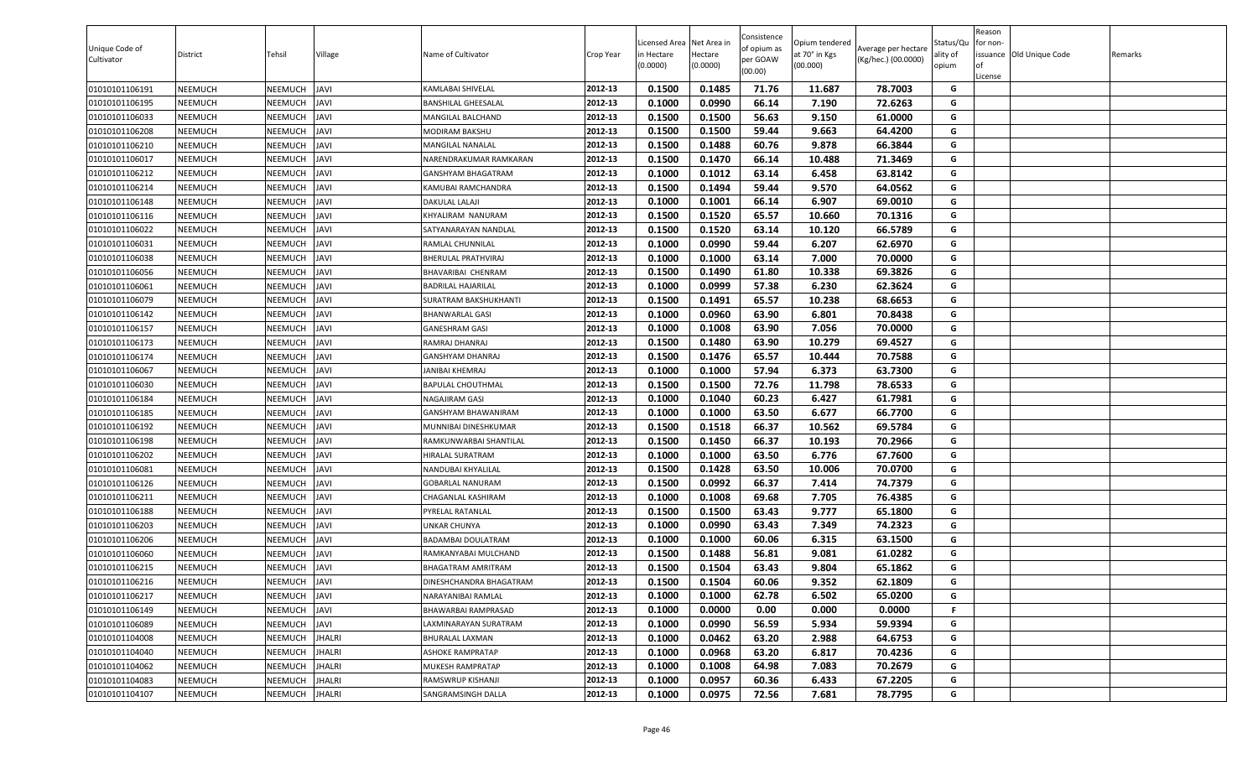| 0.1500<br>0.1485<br>71.76<br>11.687<br>01010101106191<br><b>NEEMUCH</b><br>NEEMUCH<br>JAVI<br>KAMLABAI SHIVELAL<br>2012-13<br>78.7003<br>G<br>01010101106195<br>2012-13<br>0.1000<br>0.0990<br>66.14<br>7.190<br>72.6263<br>NEEMUCH<br>NEEMUCH<br><b>IVAL</b><br>G<br>BANSHILAL GHEESALAL<br>01010101106033<br><b>NEEMUCH</b><br>NEEMUCH<br><b>JAVI</b><br>2012-13<br>0.1500<br>0.1500<br>56.63<br>9.150<br>61.0000<br>G<br>MANGILAL BALCHAND<br>0.1500<br>0.1500<br>59.44<br>9.663<br>64.4200<br>NEEMUCH<br>NEEMUCH<br><b>IVAL</b><br>2012-13<br>G<br>01010101106208<br>MODIRAM BAKSHU<br>9.878<br>0.1500<br>0.1488<br>60.76<br>66.3844<br>G<br>01010101106210<br><b>NEEMUCH</b><br>NEEMUCH<br><b>JAVI</b><br>2012-13<br>MANGILAL NANALAL<br>2012-13<br>66.14<br>NEEMUCH<br>0.1500<br>0.1470<br>10.488<br>71.3469<br>G<br>01010101106017<br>NEEMUCH<br><b>JAVI</b><br>NARENDRAKUMAR RAMKARAN<br><b>JAVI</b><br>2012-13<br>0.1000<br>0.1012<br>63.14<br>6.458<br>63.8142<br>G<br>01010101106212<br><b>NEEMUCH</b><br>NEEMUCH<br>GANSHYAM BHAGATRAM<br>G<br>2012-13<br>0.1500<br>59.44<br>9.570<br>64.0562<br>01010101106214<br><b>NEEMUCH</b><br>NEEMUCH<br><b>JAVI</b><br>KAMUBAI RAMCHANDRA<br>0.1494<br>NEEMUCH<br>2012-13<br>0.1000<br>0.1001<br>66.14<br>6.907<br>G<br>01010101106148<br><b>NEEMUCH</b><br><b>JAVI</b><br>DAKULAL LALAJI<br>69.0010<br>01010101106116<br>NEEMUCH<br><b>JAVI</b><br>2012-13<br>0.1500<br>0.1520<br>65.57<br>10.660<br>70.1316<br>G<br>NEEMUCH<br>KHYALIRAM NANURAM<br>0.1520<br>66.5789<br>01010101106022<br><b>NEEMUCH</b><br>NEEMUCH<br><b>JAVI</b><br>2012-13<br>0.1500<br>63.14<br>10.120<br>G<br>SATYANARAYAN NANDLAL<br>0.0990<br>59.44<br>62.6970<br>G<br>NEEMUCH<br><b>JAVI</b><br>2012-13<br>0.1000<br>6.207<br>01010101106031<br><b>NEEMUCH</b><br>RAMLAL CHUNNILAL<br>63.14<br>0.1000<br>0.1000<br>7.000<br>70.0000<br>01010101106038<br><b>NEEMUCH</b><br>NEEMUCH<br><b>JAVI</b><br>2012-13<br>G<br>BHERULAL PRATHVIRAJ<br>61.80<br>10.338<br>69.3826<br><b>NEEMUCH</b><br>NEEMUCH<br><b>JAVI</b><br>2012-13<br>0.1500<br>0.1490<br>G<br>01010101106056<br>BHAVARIBAI CHENRAM<br><b>NEEMUCH</b><br>NEEMUCH<br><b>JAVI</b><br>0.1000<br>0.0999<br>57.38<br>6.230<br>62.3624<br>G<br>01010101106061<br>2012-13<br><b>BADRILAL HAJARILAL</b><br><b>JAVI</b><br>0.1500<br>65.57<br>10.238<br>68.6653<br>G<br>01010101106079<br><b>NEEMUCH</b><br>NEEMUCH<br>2012-13<br>0.1491<br>SURATRAM BAKSHUKHANTI<br>0.1000<br>0.0960<br>63.90<br>6.801<br>70.8438<br>NEEMUCH<br>2012-13<br>G<br>01010101106142<br><b>NEEMUCH</b><br><b>IVAL</b><br>BHANWARLAL GASI<br>NEEMUCH<br>2012-13<br>0.1000<br>0.1008<br>63.90<br>7.056<br>70.0000<br>G<br>01010101106157<br><b>NEEMUCH</b><br><b>IVAL</b><br>GANESHRAM GASI<br>01010101106173<br><b>JAVI</b><br>2012-13<br>0.1500<br>0.1480<br>63.90<br>10.279<br>69.4527<br>G<br><b>NEEMUCH</b><br>NEEMUCH<br>RAMRAJ DHANRAJ<br>2012-13<br>G<br>01010101106174<br><b>NEEMUCH</b><br>NEEMUCH<br><b>JAVI</b><br>GANSHYAM DHANRAJ<br>0.1500<br>0.1476<br>65.57<br>10.444<br>70.7588<br>0.1000<br>0.1000<br>57.94<br>6.373<br>63.7300<br>NEEMUCH<br>NEEMUCH<br>2012-13<br>G<br>01010101106067<br>JAVI<br>ANIBAI KHEMRAJ<br>72.76<br>78.6533<br>0.1500<br>0.1500<br>11.798<br>01010101106030<br><b>NEEMUCH</b><br>NEEMUCH<br><b>JAVI</b><br>2012-13<br>G<br>BAPULAL CHOUTHMAL<br>01010101106184<br><b>NEEMUCH</b><br>NEEMUCH<br><b>JAVI</b><br>2012-13<br>0.1000<br>0.1040<br>60.23<br>6.427<br>61.7981<br>G<br>NAGAJIRAM GASI<br>63.50<br>01010101106185<br><b>NEEMUCH</b><br>NEEMUCH<br><b>JAVI</b><br>2012-13<br>0.1000<br>0.1000<br>6.677<br>66.7700<br>G<br>GANSHYAM BHAWANIRAM<br>0.1500<br>0.1518<br>66.37<br>10.562<br>69.5784<br>01010101106192<br><b>NEEMUCH</b><br>NEEMUCH<br><b>IVAL</b><br>2012-13<br>G<br>MUNNIBAI DINESHKUMAR<br>0.1500<br>0.1450<br>66.37<br>10.193<br>70.2966<br>01010101106198<br><b>NEEMUCH</b><br>NEEMUCH<br><b>JAVI</b><br>2012-13<br>G<br>RAMKUNWARBAI SHANTILAL<br>01010101106202<br>NEEMUCH<br>2012-13<br>0.1000<br>0.1000<br>63.50<br>6.776<br>67.7600<br>NEEMUCH<br><b>IVAL</b><br>G<br>HIRALAL SURATRAM<br>63.50<br>01010101106081<br>NEEMUCH<br>NEEMUCH<br><b>JAVI</b><br>2012-13<br>0.1500<br>0.1428<br>10.006<br>70.0700<br>G<br>NANDUBAI KHYALILAL<br>2012-13<br>0.0992<br>66.37<br>7.414<br>74.7379<br>G<br>NEEMUCH<br><b>JAVI</b><br>0.1500<br>01010101106126<br>NEEMUCH<br>GOBARLAL NANURAM<br>69.68<br>G<br>2012-13<br>0.1000<br>0.1008<br>7.705<br>76.4385<br>01010101106211<br><b>NEEMUCH</b><br>NEEMUCH<br><b>JAVI</b><br>CHAGANLAL KASHIRAM<br>2012-13<br>0.1500<br>63.43<br>9.777<br>65.1800<br>G<br><b>NEEMUCH</b><br>NEEMUCH<br><b>JAVI</b><br>PYRELAL RATANLAL<br>0.1500<br>01010101106188<br><b>NEEMUCH</b><br>NEEMUCH<br><b>JAVI</b><br>UNKAR CHUNYA<br>2012-13<br>0.1000<br>0.0990<br>63.43<br>7.349<br>74.2323<br>G<br>01010101106203<br>0.1000<br>60.06<br>6.315<br>G<br><b>NEEMUCH</b><br>NEEMUCH<br><b>JAVI</b><br>2012-13<br>0.1000<br>63.1500<br>01010101106206<br><b>BADAMBAI DOULATRAM</b><br>0.1488<br>56.81<br>9.081<br>61.0282<br>01010101106060<br><b>NEEMUCH</b><br>NEEMUCH<br><b>JAVI</b><br>2012-13<br>0.1500<br>G<br>RAMKANYABAI MULCHAND<br>65.1862<br>01010101106215<br>0.1500<br>0.1504<br>63.43<br>9.804<br>G<br><b>NEEMUCH</b><br>NEEMUCH<br><b>JAVI</b><br>2012-13<br><b>BHAGATRAM AMRITRAM</b><br>01010101106216<br><b>NEEMUCH</b><br><b>NEEMUCH</b><br><b>JAVI</b><br>2012-13<br>0.1500<br>0.1504<br>60.06<br>9.352<br>62.1809<br>DINESHCHANDRA BHAGATRAM<br>G<br>2012-13<br>0.1000<br>0.1000<br>62.78<br>6.502<br>65.0200<br>G<br>01010101106217<br><b>NEEMUCH</b><br>NEEMUCH<br><b>JAVI</b><br>NARAYANIBAI RAMLAL<br>0.1000<br>0.0000<br>0.00<br>0.000<br>0.0000<br>01010101106149<br><b>NEEMUCH</b><br>NEEMUCH<br><b>JAVI</b><br>2012-13<br>BHAWARBAI RAMPRASAD<br>F.<br>56.59<br>5.934<br><b>NEEMUCH</b><br><b>JAVI</b><br>2012-13<br>0.1000<br>0.0990<br>59.9394<br>G<br>01010101106089<br>NEEMUCH<br>LAXMINARAYAN SURATRAM<br><b>NEEMUCH</b><br>NEEMUCH<br><b>JHALRI</b><br>2012-13<br>0.1000<br>0.0462<br>63.20<br>2.988<br>64.6753<br>01010101104008<br>BHURALAL LAXMAN<br>G<br>G<br>ASHOKE RAMPRATAP<br>2012-13<br>0.0968<br>63.20<br>6.817<br>70.4236<br>01010101104040<br><b>NEEMUCH</b><br>NEEMUCH<br>JHALRI<br>0.1000<br>2012-13<br>0.1000<br>0.1008<br>64.98<br>7.083<br>70.2679<br>G<br>01010101104062<br><b>NEEMUCH</b><br>NEEMUCH<br>JHALRI<br>MUKESH RAMPRATAP<br>2012-13<br>0.1000<br>0.0957<br>60.36<br>6.433<br>67.2205<br>G<br>01010101104083<br><b>NEEMUCH</b><br>NEEMUCH<br><b>JHALRI</b><br>RAMSWRUP KISHANJI<br>01010101104107<br>NEEMUCH<br><b>JHALRI</b><br>SANGRAMSINGH DALLA<br>2012-13<br>0.1000<br>0.0975<br>72.56<br>7.681<br>78.7795<br>G<br><b>NEEMUCH</b> | Unique Code of<br>Cultivator | District | Tehsil | Village | Name of Cultivator | Crop Year | icensed Area<br>in Hectare<br>(0.0000) | Net Area in<br>Hectare<br>(0.0000) | Consistence<br>of opium as<br>per GOAW<br>(00.00) | Opium tendered<br>at 70° in Kgs<br>(00.000) | Average per hectare<br>(Kg/hec.) (00.0000) | Status/Qu<br>ality of<br>opium | Reason<br>for non-<br>lof<br>License | issuance Old Unique Code | Remarks |
|-----------------------------------------------------------------------------------------------------------------------------------------------------------------------------------------------------------------------------------------------------------------------------------------------------------------------------------------------------------------------------------------------------------------------------------------------------------------------------------------------------------------------------------------------------------------------------------------------------------------------------------------------------------------------------------------------------------------------------------------------------------------------------------------------------------------------------------------------------------------------------------------------------------------------------------------------------------------------------------------------------------------------------------------------------------------------------------------------------------------------------------------------------------------------------------------------------------------------------------------------------------------------------------------------------------------------------------------------------------------------------------------------------------------------------------------------------------------------------------------------------------------------------------------------------------------------------------------------------------------------------------------------------------------------------------------------------------------------------------------------------------------------------------------------------------------------------------------------------------------------------------------------------------------------------------------------------------------------------------------------------------------------------------------------------------------------------------------------------------------------------------------------------------------------------------------------------------------------------------------------------------------------------------------------------------------------------------------------------------------------------------------------------------------------------------------------------------------------------------------------------------------------------------------------------------------------------------------------------------------------------------------------------------------------------------------------------------------------------------------------------------------------------------------------------------------------------------------------------------------------------------------------------------------------------------------------------------------------------------------------------------------------------------------------------------------------------------------------------------------------------------------------------------------------------------------------------------------------------------------------------------------------------------------------------------------------------------------------------------------------------------------------------------------------------------------------------------------------------------------------------------------------------------------------------------------------------------------------------------------------------------------------------------------------------------------------------------------------------------------------------------------------------------------------------------------------------------------------------------------------------------------------------------------------------------------------------------------------------------------------------------------------------------------------------------------------------------------------------------------------------------------------------------------------------------------------------------------------------------------------------------------------------------------------------------------------------------------------------------------------------------------------------------------------------------------------------------------------------------------------------------------------------------------------------------------------------------------------------------------------------------------------------------------------------------------------------------------------------------------------------------------------------------------------------------------------------------------------------------------------------------------------------------------------------------------------------------------------------------------------------------------------------------------------------------------------------------------------------------------------------------------------------------------------------------------------------------------------------------------------------------------------------------------------------------------------------------------------------------------------------------------------------------------------------------------------------------------------------------------------------------------------------------------------------------------------------------------------------------------------------------------------------------------------------------------------------------------------------------------------------------------------------------------------------------------------------------------------------------------------------------------------------------------------------------------------------------------------------------------------------------------------------------------------------------------------------------------------------------------------------------------------------------------------------------------------------------------------------------------------------------------------------------------------------------------------------------------------------------------------------------------------------------------------------------------------------------------------------------------------------------------------------------------------------------------------------------------------------------------------------------------------------------------------------------------------------------------------------------------------------------|------------------------------|----------|--------|---------|--------------------|-----------|----------------------------------------|------------------------------------|---------------------------------------------------|---------------------------------------------|--------------------------------------------|--------------------------------|--------------------------------------|--------------------------|---------|
|                                                                                                                                                                                                                                                                                                                                                                                                                                                                                                                                                                                                                                                                                                                                                                                                                                                                                                                                                                                                                                                                                                                                                                                                                                                                                                                                                                                                                                                                                                                                                                                                                                                                                                                                                                                                                                                                                                                                                                                                                                                                                                                                                                                                                                                                                                                                                                                                                                                                                                                                                                                                                                                                                                                                                                                                                                                                                                                                                                                                                                                                                                                                                                                                                                                                                                                                                                                                                                                                                                                                                                                                                                                                                                                                                                                                                                                                                                                                                                                                                                                                                                                                                                                                                                                                                                                                                                                                                                                                                                                                                                                                                                                                                                                                                                                                                                                                                                                                                                                                                                                                                                                                                                                                                                                                                                                                                                                                                                                                                                                                                                                                                                                                                                                                                                                                                                                                                                                                                                                                                                                                                                                                                                                                                                                                                                                                                                                                                                                                                                                                                                                                                                                                                                                                                           |                              |          |        |         |                    |           |                                        |                                    |                                                   |                                             |                                            |                                |                                      |                          |         |
|                                                                                                                                                                                                                                                                                                                                                                                                                                                                                                                                                                                                                                                                                                                                                                                                                                                                                                                                                                                                                                                                                                                                                                                                                                                                                                                                                                                                                                                                                                                                                                                                                                                                                                                                                                                                                                                                                                                                                                                                                                                                                                                                                                                                                                                                                                                                                                                                                                                                                                                                                                                                                                                                                                                                                                                                                                                                                                                                                                                                                                                                                                                                                                                                                                                                                                                                                                                                                                                                                                                                                                                                                                                                                                                                                                                                                                                                                                                                                                                                                                                                                                                                                                                                                                                                                                                                                                                                                                                                                                                                                                                                                                                                                                                                                                                                                                                                                                                                                                                                                                                                                                                                                                                                                                                                                                                                                                                                                                                                                                                                                                                                                                                                                                                                                                                                                                                                                                                                                                                                                                                                                                                                                                                                                                                                                                                                                                                                                                                                                                                                                                                                                                                                                                                                                           |                              |          |        |         |                    |           |                                        |                                    |                                                   |                                             |                                            |                                |                                      |                          |         |
|                                                                                                                                                                                                                                                                                                                                                                                                                                                                                                                                                                                                                                                                                                                                                                                                                                                                                                                                                                                                                                                                                                                                                                                                                                                                                                                                                                                                                                                                                                                                                                                                                                                                                                                                                                                                                                                                                                                                                                                                                                                                                                                                                                                                                                                                                                                                                                                                                                                                                                                                                                                                                                                                                                                                                                                                                                                                                                                                                                                                                                                                                                                                                                                                                                                                                                                                                                                                                                                                                                                                                                                                                                                                                                                                                                                                                                                                                                                                                                                                                                                                                                                                                                                                                                                                                                                                                                                                                                                                                                                                                                                                                                                                                                                                                                                                                                                                                                                                                                                                                                                                                                                                                                                                                                                                                                                                                                                                                                                                                                                                                                                                                                                                                                                                                                                                                                                                                                                                                                                                                                                                                                                                                                                                                                                                                                                                                                                                                                                                                                                                                                                                                                                                                                                                                           |                              |          |        |         |                    |           |                                        |                                    |                                                   |                                             |                                            |                                |                                      |                          |         |
|                                                                                                                                                                                                                                                                                                                                                                                                                                                                                                                                                                                                                                                                                                                                                                                                                                                                                                                                                                                                                                                                                                                                                                                                                                                                                                                                                                                                                                                                                                                                                                                                                                                                                                                                                                                                                                                                                                                                                                                                                                                                                                                                                                                                                                                                                                                                                                                                                                                                                                                                                                                                                                                                                                                                                                                                                                                                                                                                                                                                                                                                                                                                                                                                                                                                                                                                                                                                                                                                                                                                                                                                                                                                                                                                                                                                                                                                                                                                                                                                                                                                                                                                                                                                                                                                                                                                                                                                                                                                                                                                                                                                                                                                                                                                                                                                                                                                                                                                                                                                                                                                                                                                                                                                                                                                                                                                                                                                                                                                                                                                                                                                                                                                                                                                                                                                                                                                                                                                                                                                                                                                                                                                                                                                                                                                                                                                                                                                                                                                                                                                                                                                                                                                                                                                                           |                              |          |        |         |                    |           |                                        |                                    |                                                   |                                             |                                            |                                |                                      |                          |         |
|                                                                                                                                                                                                                                                                                                                                                                                                                                                                                                                                                                                                                                                                                                                                                                                                                                                                                                                                                                                                                                                                                                                                                                                                                                                                                                                                                                                                                                                                                                                                                                                                                                                                                                                                                                                                                                                                                                                                                                                                                                                                                                                                                                                                                                                                                                                                                                                                                                                                                                                                                                                                                                                                                                                                                                                                                                                                                                                                                                                                                                                                                                                                                                                                                                                                                                                                                                                                                                                                                                                                                                                                                                                                                                                                                                                                                                                                                                                                                                                                                                                                                                                                                                                                                                                                                                                                                                                                                                                                                                                                                                                                                                                                                                                                                                                                                                                                                                                                                                                                                                                                                                                                                                                                                                                                                                                                                                                                                                                                                                                                                                                                                                                                                                                                                                                                                                                                                                                                                                                                                                                                                                                                                                                                                                                                                                                                                                                                                                                                                                                                                                                                                                                                                                                                                           |                              |          |        |         |                    |           |                                        |                                    |                                                   |                                             |                                            |                                |                                      |                          |         |
|                                                                                                                                                                                                                                                                                                                                                                                                                                                                                                                                                                                                                                                                                                                                                                                                                                                                                                                                                                                                                                                                                                                                                                                                                                                                                                                                                                                                                                                                                                                                                                                                                                                                                                                                                                                                                                                                                                                                                                                                                                                                                                                                                                                                                                                                                                                                                                                                                                                                                                                                                                                                                                                                                                                                                                                                                                                                                                                                                                                                                                                                                                                                                                                                                                                                                                                                                                                                                                                                                                                                                                                                                                                                                                                                                                                                                                                                                                                                                                                                                                                                                                                                                                                                                                                                                                                                                                                                                                                                                                                                                                                                                                                                                                                                                                                                                                                                                                                                                                                                                                                                                                                                                                                                                                                                                                                                                                                                                                                                                                                                                                                                                                                                                                                                                                                                                                                                                                                                                                                                                                                                                                                                                                                                                                                                                                                                                                                                                                                                                                                                                                                                                                                                                                                                                           |                              |          |        |         |                    |           |                                        |                                    |                                                   |                                             |                                            |                                |                                      |                          |         |
|                                                                                                                                                                                                                                                                                                                                                                                                                                                                                                                                                                                                                                                                                                                                                                                                                                                                                                                                                                                                                                                                                                                                                                                                                                                                                                                                                                                                                                                                                                                                                                                                                                                                                                                                                                                                                                                                                                                                                                                                                                                                                                                                                                                                                                                                                                                                                                                                                                                                                                                                                                                                                                                                                                                                                                                                                                                                                                                                                                                                                                                                                                                                                                                                                                                                                                                                                                                                                                                                                                                                                                                                                                                                                                                                                                                                                                                                                                                                                                                                                                                                                                                                                                                                                                                                                                                                                                                                                                                                                                                                                                                                                                                                                                                                                                                                                                                                                                                                                                                                                                                                                                                                                                                                                                                                                                                                                                                                                                                                                                                                                                                                                                                                                                                                                                                                                                                                                                                                                                                                                                                                                                                                                                                                                                                                                                                                                                                                                                                                                                                                                                                                                                                                                                                                                           |                              |          |        |         |                    |           |                                        |                                    |                                                   |                                             |                                            |                                |                                      |                          |         |
|                                                                                                                                                                                                                                                                                                                                                                                                                                                                                                                                                                                                                                                                                                                                                                                                                                                                                                                                                                                                                                                                                                                                                                                                                                                                                                                                                                                                                                                                                                                                                                                                                                                                                                                                                                                                                                                                                                                                                                                                                                                                                                                                                                                                                                                                                                                                                                                                                                                                                                                                                                                                                                                                                                                                                                                                                                                                                                                                                                                                                                                                                                                                                                                                                                                                                                                                                                                                                                                                                                                                                                                                                                                                                                                                                                                                                                                                                                                                                                                                                                                                                                                                                                                                                                                                                                                                                                                                                                                                                                                                                                                                                                                                                                                                                                                                                                                                                                                                                                                                                                                                                                                                                                                                                                                                                                                                                                                                                                                                                                                                                                                                                                                                                                                                                                                                                                                                                                                                                                                                                                                                                                                                                                                                                                                                                                                                                                                                                                                                                                                                                                                                                                                                                                                                                           |                              |          |        |         |                    |           |                                        |                                    |                                                   |                                             |                                            |                                |                                      |                          |         |
|                                                                                                                                                                                                                                                                                                                                                                                                                                                                                                                                                                                                                                                                                                                                                                                                                                                                                                                                                                                                                                                                                                                                                                                                                                                                                                                                                                                                                                                                                                                                                                                                                                                                                                                                                                                                                                                                                                                                                                                                                                                                                                                                                                                                                                                                                                                                                                                                                                                                                                                                                                                                                                                                                                                                                                                                                                                                                                                                                                                                                                                                                                                                                                                                                                                                                                                                                                                                                                                                                                                                                                                                                                                                                                                                                                                                                                                                                                                                                                                                                                                                                                                                                                                                                                                                                                                                                                                                                                                                                                                                                                                                                                                                                                                                                                                                                                                                                                                                                                                                                                                                                                                                                                                                                                                                                                                                                                                                                                                                                                                                                                                                                                                                                                                                                                                                                                                                                                                                                                                                                                                                                                                                                                                                                                                                                                                                                                                                                                                                                                                                                                                                                                                                                                                                                           |                              |          |        |         |                    |           |                                        |                                    |                                                   |                                             |                                            |                                |                                      |                          |         |
|                                                                                                                                                                                                                                                                                                                                                                                                                                                                                                                                                                                                                                                                                                                                                                                                                                                                                                                                                                                                                                                                                                                                                                                                                                                                                                                                                                                                                                                                                                                                                                                                                                                                                                                                                                                                                                                                                                                                                                                                                                                                                                                                                                                                                                                                                                                                                                                                                                                                                                                                                                                                                                                                                                                                                                                                                                                                                                                                                                                                                                                                                                                                                                                                                                                                                                                                                                                                                                                                                                                                                                                                                                                                                                                                                                                                                                                                                                                                                                                                                                                                                                                                                                                                                                                                                                                                                                                                                                                                                                                                                                                                                                                                                                                                                                                                                                                                                                                                                                                                                                                                                                                                                                                                                                                                                                                                                                                                                                                                                                                                                                                                                                                                                                                                                                                                                                                                                                                                                                                                                                                                                                                                                                                                                                                                                                                                                                                                                                                                                                                                                                                                                                                                                                                                                           |                              |          |        |         |                    |           |                                        |                                    |                                                   |                                             |                                            |                                |                                      |                          |         |
|                                                                                                                                                                                                                                                                                                                                                                                                                                                                                                                                                                                                                                                                                                                                                                                                                                                                                                                                                                                                                                                                                                                                                                                                                                                                                                                                                                                                                                                                                                                                                                                                                                                                                                                                                                                                                                                                                                                                                                                                                                                                                                                                                                                                                                                                                                                                                                                                                                                                                                                                                                                                                                                                                                                                                                                                                                                                                                                                                                                                                                                                                                                                                                                                                                                                                                                                                                                                                                                                                                                                                                                                                                                                                                                                                                                                                                                                                                                                                                                                                                                                                                                                                                                                                                                                                                                                                                                                                                                                                                                                                                                                                                                                                                                                                                                                                                                                                                                                                                                                                                                                                                                                                                                                                                                                                                                                                                                                                                                                                                                                                                                                                                                                                                                                                                                                                                                                                                                                                                                                                                                                                                                                                                                                                                                                                                                                                                                                                                                                                                                                                                                                                                                                                                                                                           |                              |          |        |         |                    |           |                                        |                                    |                                                   |                                             |                                            |                                |                                      |                          |         |
|                                                                                                                                                                                                                                                                                                                                                                                                                                                                                                                                                                                                                                                                                                                                                                                                                                                                                                                                                                                                                                                                                                                                                                                                                                                                                                                                                                                                                                                                                                                                                                                                                                                                                                                                                                                                                                                                                                                                                                                                                                                                                                                                                                                                                                                                                                                                                                                                                                                                                                                                                                                                                                                                                                                                                                                                                                                                                                                                                                                                                                                                                                                                                                                                                                                                                                                                                                                                                                                                                                                                                                                                                                                                                                                                                                                                                                                                                                                                                                                                                                                                                                                                                                                                                                                                                                                                                                                                                                                                                                                                                                                                                                                                                                                                                                                                                                                                                                                                                                                                                                                                                                                                                                                                                                                                                                                                                                                                                                                                                                                                                                                                                                                                                                                                                                                                                                                                                                                                                                                                                                                                                                                                                                                                                                                                                                                                                                                                                                                                                                                                                                                                                                                                                                                                                           |                              |          |        |         |                    |           |                                        |                                    |                                                   |                                             |                                            |                                |                                      |                          |         |
|                                                                                                                                                                                                                                                                                                                                                                                                                                                                                                                                                                                                                                                                                                                                                                                                                                                                                                                                                                                                                                                                                                                                                                                                                                                                                                                                                                                                                                                                                                                                                                                                                                                                                                                                                                                                                                                                                                                                                                                                                                                                                                                                                                                                                                                                                                                                                                                                                                                                                                                                                                                                                                                                                                                                                                                                                                                                                                                                                                                                                                                                                                                                                                                                                                                                                                                                                                                                                                                                                                                                                                                                                                                                                                                                                                                                                                                                                                                                                                                                                                                                                                                                                                                                                                                                                                                                                                                                                                                                                                                                                                                                                                                                                                                                                                                                                                                                                                                                                                                                                                                                                                                                                                                                                                                                                                                                                                                                                                                                                                                                                                                                                                                                                                                                                                                                                                                                                                                                                                                                                                                                                                                                                                                                                                                                                                                                                                                                                                                                                                                                                                                                                                                                                                                                                           |                              |          |        |         |                    |           |                                        |                                    |                                                   |                                             |                                            |                                |                                      |                          |         |
|                                                                                                                                                                                                                                                                                                                                                                                                                                                                                                                                                                                                                                                                                                                                                                                                                                                                                                                                                                                                                                                                                                                                                                                                                                                                                                                                                                                                                                                                                                                                                                                                                                                                                                                                                                                                                                                                                                                                                                                                                                                                                                                                                                                                                                                                                                                                                                                                                                                                                                                                                                                                                                                                                                                                                                                                                                                                                                                                                                                                                                                                                                                                                                                                                                                                                                                                                                                                                                                                                                                                                                                                                                                                                                                                                                                                                                                                                                                                                                                                                                                                                                                                                                                                                                                                                                                                                                                                                                                                                                                                                                                                                                                                                                                                                                                                                                                                                                                                                                                                                                                                                                                                                                                                                                                                                                                                                                                                                                                                                                                                                                                                                                                                                                                                                                                                                                                                                                                                                                                                                                                                                                                                                                                                                                                                                                                                                                                                                                                                                                                                                                                                                                                                                                                                                           |                              |          |        |         |                    |           |                                        |                                    |                                                   |                                             |                                            |                                |                                      |                          |         |
|                                                                                                                                                                                                                                                                                                                                                                                                                                                                                                                                                                                                                                                                                                                                                                                                                                                                                                                                                                                                                                                                                                                                                                                                                                                                                                                                                                                                                                                                                                                                                                                                                                                                                                                                                                                                                                                                                                                                                                                                                                                                                                                                                                                                                                                                                                                                                                                                                                                                                                                                                                                                                                                                                                                                                                                                                                                                                                                                                                                                                                                                                                                                                                                                                                                                                                                                                                                                                                                                                                                                                                                                                                                                                                                                                                                                                                                                                                                                                                                                                                                                                                                                                                                                                                                                                                                                                                                                                                                                                                                                                                                                                                                                                                                                                                                                                                                                                                                                                                                                                                                                                                                                                                                                                                                                                                                                                                                                                                                                                                                                                                                                                                                                                                                                                                                                                                                                                                                                                                                                                                                                                                                                                                                                                                                                                                                                                                                                                                                                                                                                                                                                                                                                                                                                                           |                              |          |        |         |                    |           |                                        |                                    |                                                   |                                             |                                            |                                |                                      |                          |         |
|                                                                                                                                                                                                                                                                                                                                                                                                                                                                                                                                                                                                                                                                                                                                                                                                                                                                                                                                                                                                                                                                                                                                                                                                                                                                                                                                                                                                                                                                                                                                                                                                                                                                                                                                                                                                                                                                                                                                                                                                                                                                                                                                                                                                                                                                                                                                                                                                                                                                                                                                                                                                                                                                                                                                                                                                                                                                                                                                                                                                                                                                                                                                                                                                                                                                                                                                                                                                                                                                                                                                                                                                                                                                                                                                                                                                                                                                                                                                                                                                                                                                                                                                                                                                                                                                                                                                                                                                                                                                                                                                                                                                                                                                                                                                                                                                                                                                                                                                                                                                                                                                                                                                                                                                                                                                                                                                                                                                                                                                                                                                                                                                                                                                                                                                                                                                                                                                                                                                                                                                                                                                                                                                                                                                                                                                                                                                                                                                                                                                                                                                                                                                                                                                                                                                                           |                              |          |        |         |                    |           |                                        |                                    |                                                   |                                             |                                            |                                |                                      |                          |         |
|                                                                                                                                                                                                                                                                                                                                                                                                                                                                                                                                                                                                                                                                                                                                                                                                                                                                                                                                                                                                                                                                                                                                                                                                                                                                                                                                                                                                                                                                                                                                                                                                                                                                                                                                                                                                                                                                                                                                                                                                                                                                                                                                                                                                                                                                                                                                                                                                                                                                                                                                                                                                                                                                                                                                                                                                                                                                                                                                                                                                                                                                                                                                                                                                                                                                                                                                                                                                                                                                                                                                                                                                                                                                                                                                                                                                                                                                                                                                                                                                                                                                                                                                                                                                                                                                                                                                                                                                                                                                                                                                                                                                                                                                                                                                                                                                                                                                                                                                                                                                                                                                                                                                                                                                                                                                                                                                                                                                                                                                                                                                                                                                                                                                                                                                                                                                                                                                                                                                                                                                                                                                                                                                                                                                                                                                                                                                                                                                                                                                                                                                                                                                                                                                                                                                                           |                              |          |        |         |                    |           |                                        |                                    |                                                   |                                             |                                            |                                |                                      |                          |         |
|                                                                                                                                                                                                                                                                                                                                                                                                                                                                                                                                                                                                                                                                                                                                                                                                                                                                                                                                                                                                                                                                                                                                                                                                                                                                                                                                                                                                                                                                                                                                                                                                                                                                                                                                                                                                                                                                                                                                                                                                                                                                                                                                                                                                                                                                                                                                                                                                                                                                                                                                                                                                                                                                                                                                                                                                                                                                                                                                                                                                                                                                                                                                                                                                                                                                                                                                                                                                                                                                                                                                                                                                                                                                                                                                                                                                                                                                                                                                                                                                                                                                                                                                                                                                                                                                                                                                                                                                                                                                                                                                                                                                                                                                                                                                                                                                                                                                                                                                                                                                                                                                                                                                                                                                                                                                                                                                                                                                                                                                                                                                                                                                                                                                                                                                                                                                                                                                                                                                                                                                                                                                                                                                                                                                                                                                                                                                                                                                                                                                                                                                                                                                                                                                                                                                                           |                              |          |        |         |                    |           |                                        |                                    |                                                   |                                             |                                            |                                |                                      |                          |         |
|                                                                                                                                                                                                                                                                                                                                                                                                                                                                                                                                                                                                                                                                                                                                                                                                                                                                                                                                                                                                                                                                                                                                                                                                                                                                                                                                                                                                                                                                                                                                                                                                                                                                                                                                                                                                                                                                                                                                                                                                                                                                                                                                                                                                                                                                                                                                                                                                                                                                                                                                                                                                                                                                                                                                                                                                                                                                                                                                                                                                                                                                                                                                                                                                                                                                                                                                                                                                                                                                                                                                                                                                                                                                                                                                                                                                                                                                                                                                                                                                                                                                                                                                                                                                                                                                                                                                                                                                                                                                                                                                                                                                                                                                                                                                                                                                                                                                                                                                                                                                                                                                                                                                                                                                                                                                                                                                                                                                                                                                                                                                                                                                                                                                                                                                                                                                                                                                                                                                                                                                                                                                                                                                                                                                                                                                                                                                                                                                                                                                                                                                                                                                                                                                                                                                                           |                              |          |        |         |                    |           |                                        |                                    |                                                   |                                             |                                            |                                |                                      |                          |         |
|                                                                                                                                                                                                                                                                                                                                                                                                                                                                                                                                                                                                                                                                                                                                                                                                                                                                                                                                                                                                                                                                                                                                                                                                                                                                                                                                                                                                                                                                                                                                                                                                                                                                                                                                                                                                                                                                                                                                                                                                                                                                                                                                                                                                                                                                                                                                                                                                                                                                                                                                                                                                                                                                                                                                                                                                                                                                                                                                                                                                                                                                                                                                                                                                                                                                                                                                                                                                                                                                                                                                                                                                                                                                                                                                                                                                                                                                                                                                                                                                                                                                                                                                                                                                                                                                                                                                                                                                                                                                                                                                                                                                                                                                                                                                                                                                                                                                                                                                                                                                                                                                                                                                                                                                                                                                                                                                                                                                                                                                                                                                                                                                                                                                                                                                                                                                                                                                                                                                                                                                                                                                                                                                                                                                                                                                                                                                                                                                                                                                                                                                                                                                                                                                                                                                                           |                              |          |        |         |                    |           |                                        |                                    |                                                   |                                             |                                            |                                |                                      |                          |         |
|                                                                                                                                                                                                                                                                                                                                                                                                                                                                                                                                                                                                                                                                                                                                                                                                                                                                                                                                                                                                                                                                                                                                                                                                                                                                                                                                                                                                                                                                                                                                                                                                                                                                                                                                                                                                                                                                                                                                                                                                                                                                                                                                                                                                                                                                                                                                                                                                                                                                                                                                                                                                                                                                                                                                                                                                                                                                                                                                                                                                                                                                                                                                                                                                                                                                                                                                                                                                                                                                                                                                                                                                                                                                                                                                                                                                                                                                                                                                                                                                                                                                                                                                                                                                                                                                                                                                                                                                                                                                                                                                                                                                                                                                                                                                                                                                                                                                                                                                                                                                                                                                                                                                                                                                                                                                                                                                                                                                                                                                                                                                                                                                                                                                                                                                                                                                                                                                                                                                                                                                                                                                                                                                                                                                                                                                                                                                                                                                                                                                                                                                                                                                                                                                                                                                                           |                              |          |        |         |                    |           |                                        |                                    |                                                   |                                             |                                            |                                |                                      |                          |         |
|                                                                                                                                                                                                                                                                                                                                                                                                                                                                                                                                                                                                                                                                                                                                                                                                                                                                                                                                                                                                                                                                                                                                                                                                                                                                                                                                                                                                                                                                                                                                                                                                                                                                                                                                                                                                                                                                                                                                                                                                                                                                                                                                                                                                                                                                                                                                                                                                                                                                                                                                                                                                                                                                                                                                                                                                                                                                                                                                                                                                                                                                                                                                                                                                                                                                                                                                                                                                                                                                                                                                                                                                                                                                                                                                                                                                                                                                                                                                                                                                                                                                                                                                                                                                                                                                                                                                                                                                                                                                                                                                                                                                                                                                                                                                                                                                                                                                                                                                                                                                                                                                                                                                                                                                                                                                                                                                                                                                                                                                                                                                                                                                                                                                                                                                                                                                                                                                                                                                                                                                                                                                                                                                                                                                                                                                                                                                                                                                                                                                                                                                                                                                                                                                                                                                                           |                              |          |        |         |                    |           |                                        |                                    |                                                   |                                             |                                            |                                |                                      |                          |         |
|                                                                                                                                                                                                                                                                                                                                                                                                                                                                                                                                                                                                                                                                                                                                                                                                                                                                                                                                                                                                                                                                                                                                                                                                                                                                                                                                                                                                                                                                                                                                                                                                                                                                                                                                                                                                                                                                                                                                                                                                                                                                                                                                                                                                                                                                                                                                                                                                                                                                                                                                                                                                                                                                                                                                                                                                                                                                                                                                                                                                                                                                                                                                                                                                                                                                                                                                                                                                                                                                                                                                                                                                                                                                                                                                                                                                                                                                                                                                                                                                                                                                                                                                                                                                                                                                                                                                                                                                                                                                                                                                                                                                                                                                                                                                                                                                                                                                                                                                                                                                                                                                                                                                                                                                                                                                                                                                                                                                                                                                                                                                                                                                                                                                                                                                                                                                                                                                                                                                                                                                                                                                                                                                                                                                                                                                                                                                                                                                                                                                                                                                                                                                                                                                                                                                                           |                              |          |        |         |                    |           |                                        |                                    |                                                   |                                             |                                            |                                |                                      |                          |         |
|                                                                                                                                                                                                                                                                                                                                                                                                                                                                                                                                                                                                                                                                                                                                                                                                                                                                                                                                                                                                                                                                                                                                                                                                                                                                                                                                                                                                                                                                                                                                                                                                                                                                                                                                                                                                                                                                                                                                                                                                                                                                                                                                                                                                                                                                                                                                                                                                                                                                                                                                                                                                                                                                                                                                                                                                                                                                                                                                                                                                                                                                                                                                                                                                                                                                                                                                                                                                                                                                                                                                                                                                                                                                                                                                                                                                                                                                                                                                                                                                                                                                                                                                                                                                                                                                                                                                                                                                                                                                                                                                                                                                                                                                                                                                                                                                                                                                                                                                                                                                                                                                                                                                                                                                                                                                                                                                                                                                                                                                                                                                                                                                                                                                                                                                                                                                                                                                                                                                                                                                                                                                                                                                                                                                                                                                                                                                                                                                                                                                                                                                                                                                                                                                                                                                                           |                              |          |        |         |                    |           |                                        |                                    |                                                   |                                             |                                            |                                |                                      |                          |         |
|                                                                                                                                                                                                                                                                                                                                                                                                                                                                                                                                                                                                                                                                                                                                                                                                                                                                                                                                                                                                                                                                                                                                                                                                                                                                                                                                                                                                                                                                                                                                                                                                                                                                                                                                                                                                                                                                                                                                                                                                                                                                                                                                                                                                                                                                                                                                                                                                                                                                                                                                                                                                                                                                                                                                                                                                                                                                                                                                                                                                                                                                                                                                                                                                                                                                                                                                                                                                                                                                                                                                                                                                                                                                                                                                                                                                                                                                                                                                                                                                                                                                                                                                                                                                                                                                                                                                                                                                                                                                                                                                                                                                                                                                                                                                                                                                                                                                                                                                                                                                                                                                                                                                                                                                                                                                                                                                                                                                                                                                                                                                                                                                                                                                                                                                                                                                                                                                                                                                                                                                                                                                                                                                                                                                                                                                                                                                                                                                                                                                                                                                                                                                                                                                                                                                                           |                              |          |        |         |                    |           |                                        |                                    |                                                   |                                             |                                            |                                |                                      |                          |         |
|                                                                                                                                                                                                                                                                                                                                                                                                                                                                                                                                                                                                                                                                                                                                                                                                                                                                                                                                                                                                                                                                                                                                                                                                                                                                                                                                                                                                                                                                                                                                                                                                                                                                                                                                                                                                                                                                                                                                                                                                                                                                                                                                                                                                                                                                                                                                                                                                                                                                                                                                                                                                                                                                                                                                                                                                                                                                                                                                                                                                                                                                                                                                                                                                                                                                                                                                                                                                                                                                                                                                                                                                                                                                                                                                                                                                                                                                                                                                                                                                                                                                                                                                                                                                                                                                                                                                                                                                                                                                                                                                                                                                                                                                                                                                                                                                                                                                                                                                                                                                                                                                                                                                                                                                                                                                                                                                                                                                                                                                                                                                                                                                                                                                                                                                                                                                                                                                                                                                                                                                                                                                                                                                                                                                                                                                                                                                                                                                                                                                                                                                                                                                                                                                                                                                                           |                              |          |        |         |                    |           |                                        |                                    |                                                   |                                             |                                            |                                |                                      |                          |         |
|                                                                                                                                                                                                                                                                                                                                                                                                                                                                                                                                                                                                                                                                                                                                                                                                                                                                                                                                                                                                                                                                                                                                                                                                                                                                                                                                                                                                                                                                                                                                                                                                                                                                                                                                                                                                                                                                                                                                                                                                                                                                                                                                                                                                                                                                                                                                                                                                                                                                                                                                                                                                                                                                                                                                                                                                                                                                                                                                                                                                                                                                                                                                                                                                                                                                                                                                                                                                                                                                                                                                                                                                                                                                                                                                                                                                                                                                                                                                                                                                                                                                                                                                                                                                                                                                                                                                                                                                                                                                                                                                                                                                                                                                                                                                                                                                                                                                                                                                                                                                                                                                                                                                                                                                                                                                                                                                                                                                                                                                                                                                                                                                                                                                                                                                                                                                                                                                                                                                                                                                                                                                                                                                                                                                                                                                                                                                                                                                                                                                                                                                                                                                                                                                                                                                                           |                              |          |        |         |                    |           |                                        |                                    |                                                   |                                             |                                            |                                |                                      |                          |         |
|                                                                                                                                                                                                                                                                                                                                                                                                                                                                                                                                                                                                                                                                                                                                                                                                                                                                                                                                                                                                                                                                                                                                                                                                                                                                                                                                                                                                                                                                                                                                                                                                                                                                                                                                                                                                                                                                                                                                                                                                                                                                                                                                                                                                                                                                                                                                                                                                                                                                                                                                                                                                                                                                                                                                                                                                                                                                                                                                                                                                                                                                                                                                                                                                                                                                                                                                                                                                                                                                                                                                                                                                                                                                                                                                                                                                                                                                                                                                                                                                                                                                                                                                                                                                                                                                                                                                                                                                                                                                                                                                                                                                                                                                                                                                                                                                                                                                                                                                                                                                                                                                                                                                                                                                                                                                                                                                                                                                                                                                                                                                                                                                                                                                                                                                                                                                                                                                                                                                                                                                                                                                                                                                                                                                                                                                                                                                                                                                                                                                                                                                                                                                                                                                                                                                                           |                              |          |        |         |                    |           |                                        |                                    |                                                   |                                             |                                            |                                |                                      |                          |         |
|                                                                                                                                                                                                                                                                                                                                                                                                                                                                                                                                                                                                                                                                                                                                                                                                                                                                                                                                                                                                                                                                                                                                                                                                                                                                                                                                                                                                                                                                                                                                                                                                                                                                                                                                                                                                                                                                                                                                                                                                                                                                                                                                                                                                                                                                                                                                                                                                                                                                                                                                                                                                                                                                                                                                                                                                                                                                                                                                                                                                                                                                                                                                                                                                                                                                                                                                                                                                                                                                                                                                                                                                                                                                                                                                                                                                                                                                                                                                                                                                                                                                                                                                                                                                                                                                                                                                                                                                                                                                                                                                                                                                                                                                                                                                                                                                                                                                                                                                                                                                                                                                                                                                                                                                                                                                                                                                                                                                                                                                                                                                                                                                                                                                                                                                                                                                                                                                                                                                                                                                                                                                                                                                                                                                                                                                                                                                                                                                                                                                                                                                                                                                                                                                                                                                                           |                              |          |        |         |                    |           |                                        |                                    |                                                   |                                             |                                            |                                |                                      |                          |         |
|                                                                                                                                                                                                                                                                                                                                                                                                                                                                                                                                                                                                                                                                                                                                                                                                                                                                                                                                                                                                                                                                                                                                                                                                                                                                                                                                                                                                                                                                                                                                                                                                                                                                                                                                                                                                                                                                                                                                                                                                                                                                                                                                                                                                                                                                                                                                                                                                                                                                                                                                                                                                                                                                                                                                                                                                                                                                                                                                                                                                                                                                                                                                                                                                                                                                                                                                                                                                                                                                                                                                                                                                                                                                                                                                                                                                                                                                                                                                                                                                                                                                                                                                                                                                                                                                                                                                                                                                                                                                                                                                                                                                                                                                                                                                                                                                                                                                                                                                                                                                                                                                                                                                                                                                                                                                                                                                                                                                                                                                                                                                                                                                                                                                                                                                                                                                                                                                                                                                                                                                                                                                                                                                                                                                                                                                                                                                                                                                                                                                                                                                                                                                                                                                                                                                                           |                              |          |        |         |                    |           |                                        |                                    |                                                   |                                             |                                            |                                |                                      |                          |         |
|                                                                                                                                                                                                                                                                                                                                                                                                                                                                                                                                                                                                                                                                                                                                                                                                                                                                                                                                                                                                                                                                                                                                                                                                                                                                                                                                                                                                                                                                                                                                                                                                                                                                                                                                                                                                                                                                                                                                                                                                                                                                                                                                                                                                                                                                                                                                                                                                                                                                                                                                                                                                                                                                                                                                                                                                                                                                                                                                                                                                                                                                                                                                                                                                                                                                                                                                                                                                                                                                                                                                                                                                                                                                                                                                                                                                                                                                                                                                                                                                                                                                                                                                                                                                                                                                                                                                                                                                                                                                                                                                                                                                                                                                                                                                                                                                                                                                                                                                                                                                                                                                                                                                                                                                                                                                                                                                                                                                                                                                                                                                                                                                                                                                                                                                                                                                                                                                                                                                                                                                                                                                                                                                                                                                                                                                                                                                                                                                                                                                                                                                                                                                                                                                                                                                                           |                              |          |        |         |                    |           |                                        |                                    |                                                   |                                             |                                            |                                |                                      |                          |         |
|                                                                                                                                                                                                                                                                                                                                                                                                                                                                                                                                                                                                                                                                                                                                                                                                                                                                                                                                                                                                                                                                                                                                                                                                                                                                                                                                                                                                                                                                                                                                                                                                                                                                                                                                                                                                                                                                                                                                                                                                                                                                                                                                                                                                                                                                                                                                                                                                                                                                                                                                                                                                                                                                                                                                                                                                                                                                                                                                                                                                                                                                                                                                                                                                                                                                                                                                                                                                                                                                                                                                                                                                                                                                                                                                                                                                                                                                                                                                                                                                                                                                                                                                                                                                                                                                                                                                                                                                                                                                                                                                                                                                                                                                                                                                                                                                                                                                                                                                                                                                                                                                                                                                                                                                                                                                                                                                                                                                                                                                                                                                                                                                                                                                                                                                                                                                                                                                                                                                                                                                                                                                                                                                                                                                                                                                                                                                                                                                                                                                                                                                                                                                                                                                                                                                                           |                              |          |        |         |                    |           |                                        |                                    |                                                   |                                             |                                            |                                |                                      |                          |         |
|                                                                                                                                                                                                                                                                                                                                                                                                                                                                                                                                                                                                                                                                                                                                                                                                                                                                                                                                                                                                                                                                                                                                                                                                                                                                                                                                                                                                                                                                                                                                                                                                                                                                                                                                                                                                                                                                                                                                                                                                                                                                                                                                                                                                                                                                                                                                                                                                                                                                                                                                                                                                                                                                                                                                                                                                                                                                                                                                                                                                                                                                                                                                                                                                                                                                                                                                                                                                                                                                                                                                                                                                                                                                                                                                                                                                                                                                                                                                                                                                                                                                                                                                                                                                                                                                                                                                                                                                                                                                                                                                                                                                                                                                                                                                                                                                                                                                                                                                                                                                                                                                                                                                                                                                                                                                                                                                                                                                                                                                                                                                                                                                                                                                                                                                                                                                                                                                                                                                                                                                                                                                                                                                                                                                                                                                                                                                                                                                                                                                                                                                                                                                                                                                                                                                                           |                              |          |        |         |                    |           |                                        |                                    |                                                   |                                             |                                            |                                |                                      |                          |         |
|                                                                                                                                                                                                                                                                                                                                                                                                                                                                                                                                                                                                                                                                                                                                                                                                                                                                                                                                                                                                                                                                                                                                                                                                                                                                                                                                                                                                                                                                                                                                                                                                                                                                                                                                                                                                                                                                                                                                                                                                                                                                                                                                                                                                                                                                                                                                                                                                                                                                                                                                                                                                                                                                                                                                                                                                                                                                                                                                                                                                                                                                                                                                                                                                                                                                                                                                                                                                                                                                                                                                                                                                                                                                                                                                                                                                                                                                                                                                                                                                                                                                                                                                                                                                                                                                                                                                                                                                                                                                                                                                                                                                                                                                                                                                                                                                                                                                                                                                                                                                                                                                                                                                                                                                                                                                                                                                                                                                                                                                                                                                                                                                                                                                                                                                                                                                                                                                                                                                                                                                                                                                                                                                                                                                                                                                                                                                                                                                                                                                                                                                                                                                                                                                                                                                                           |                              |          |        |         |                    |           |                                        |                                    |                                                   |                                             |                                            |                                |                                      |                          |         |
|                                                                                                                                                                                                                                                                                                                                                                                                                                                                                                                                                                                                                                                                                                                                                                                                                                                                                                                                                                                                                                                                                                                                                                                                                                                                                                                                                                                                                                                                                                                                                                                                                                                                                                                                                                                                                                                                                                                                                                                                                                                                                                                                                                                                                                                                                                                                                                                                                                                                                                                                                                                                                                                                                                                                                                                                                                                                                                                                                                                                                                                                                                                                                                                                                                                                                                                                                                                                                                                                                                                                                                                                                                                                                                                                                                                                                                                                                                                                                                                                                                                                                                                                                                                                                                                                                                                                                                                                                                                                                                                                                                                                                                                                                                                                                                                                                                                                                                                                                                                                                                                                                                                                                                                                                                                                                                                                                                                                                                                                                                                                                                                                                                                                                                                                                                                                                                                                                                                                                                                                                                                                                                                                                                                                                                                                                                                                                                                                                                                                                                                                                                                                                                                                                                                                                           |                              |          |        |         |                    |           |                                        |                                    |                                                   |                                             |                                            |                                |                                      |                          |         |
|                                                                                                                                                                                                                                                                                                                                                                                                                                                                                                                                                                                                                                                                                                                                                                                                                                                                                                                                                                                                                                                                                                                                                                                                                                                                                                                                                                                                                                                                                                                                                                                                                                                                                                                                                                                                                                                                                                                                                                                                                                                                                                                                                                                                                                                                                                                                                                                                                                                                                                                                                                                                                                                                                                                                                                                                                                                                                                                                                                                                                                                                                                                                                                                                                                                                                                                                                                                                                                                                                                                                                                                                                                                                                                                                                                                                                                                                                                                                                                                                                                                                                                                                                                                                                                                                                                                                                                                                                                                                                                                                                                                                                                                                                                                                                                                                                                                                                                                                                                                                                                                                                                                                                                                                                                                                                                                                                                                                                                                                                                                                                                                                                                                                                                                                                                                                                                                                                                                                                                                                                                                                                                                                                                                                                                                                                                                                                                                                                                                                                                                                                                                                                                                                                                                                                           |                              |          |        |         |                    |           |                                        |                                    |                                                   |                                             |                                            |                                |                                      |                          |         |
|                                                                                                                                                                                                                                                                                                                                                                                                                                                                                                                                                                                                                                                                                                                                                                                                                                                                                                                                                                                                                                                                                                                                                                                                                                                                                                                                                                                                                                                                                                                                                                                                                                                                                                                                                                                                                                                                                                                                                                                                                                                                                                                                                                                                                                                                                                                                                                                                                                                                                                                                                                                                                                                                                                                                                                                                                                                                                                                                                                                                                                                                                                                                                                                                                                                                                                                                                                                                                                                                                                                                                                                                                                                                                                                                                                                                                                                                                                                                                                                                                                                                                                                                                                                                                                                                                                                                                                                                                                                                                                                                                                                                                                                                                                                                                                                                                                                                                                                                                                                                                                                                                                                                                                                                                                                                                                                                                                                                                                                                                                                                                                                                                                                                                                                                                                                                                                                                                                                                                                                                                                                                                                                                                                                                                                                                                                                                                                                                                                                                                                                                                                                                                                                                                                                                                           |                              |          |        |         |                    |           |                                        |                                    |                                                   |                                             |                                            |                                |                                      |                          |         |
|                                                                                                                                                                                                                                                                                                                                                                                                                                                                                                                                                                                                                                                                                                                                                                                                                                                                                                                                                                                                                                                                                                                                                                                                                                                                                                                                                                                                                                                                                                                                                                                                                                                                                                                                                                                                                                                                                                                                                                                                                                                                                                                                                                                                                                                                                                                                                                                                                                                                                                                                                                                                                                                                                                                                                                                                                                                                                                                                                                                                                                                                                                                                                                                                                                                                                                                                                                                                                                                                                                                                                                                                                                                                                                                                                                                                                                                                                                                                                                                                                                                                                                                                                                                                                                                                                                                                                                                                                                                                                                                                                                                                                                                                                                                                                                                                                                                                                                                                                                                                                                                                                                                                                                                                                                                                                                                                                                                                                                                                                                                                                                                                                                                                                                                                                                                                                                                                                                                                                                                                                                                                                                                                                                                                                                                                                                                                                                                                                                                                                                                                                                                                                                                                                                                                                           |                              |          |        |         |                    |           |                                        |                                    |                                                   |                                             |                                            |                                |                                      |                          |         |
|                                                                                                                                                                                                                                                                                                                                                                                                                                                                                                                                                                                                                                                                                                                                                                                                                                                                                                                                                                                                                                                                                                                                                                                                                                                                                                                                                                                                                                                                                                                                                                                                                                                                                                                                                                                                                                                                                                                                                                                                                                                                                                                                                                                                                                                                                                                                                                                                                                                                                                                                                                                                                                                                                                                                                                                                                                                                                                                                                                                                                                                                                                                                                                                                                                                                                                                                                                                                                                                                                                                                                                                                                                                                                                                                                                                                                                                                                                                                                                                                                                                                                                                                                                                                                                                                                                                                                                                                                                                                                                                                                                                                                                                                                                                                                                                                                                                                                                                                                                                                                                                                                                                                                                                                                                                                                                                                                                                                                                                                                                                                                                                                                                                                                                                                                                                                                                                                                                                                                                                                                                                                                                                                                                                                                                                                                                                                                                                                                                                                                                                                                                                                                                                                                                                                                           |                              |          |        |         |                    |           |                                        |                                    |                                                   |                                             |                                            |                                |                                      |                          |         |
|                                                                                                                                                                                                                                                                                                                                                                                                                                                                                                                                                                                                                                                                                                                                                                                                                                                                                                                                                                                                                                                                                                                                                                                                                                                                                                                                                                                                                                                                                                                                                                                                                                                                                                                                                                                                                                                                                                                                                                                                                                                                                                                                                                                                                                                                                                                                                                                                                                                                                                                                                                                                                                                                                                                                                                                                                                                                                                                                                                                                                                                                                                                                                                                                                                                                                                                                                                                                                                                                                                                                                                                                                                                                                                                                                                                                                                                                                                                                                                                                                                                                                                                                                                                                                                                                                                                                                                                                                                                                                                                                                                                                                                                                                                                                                                                                                                                                                                                                                                                                                                                                                                                                                                                                                                                                                                                                                                                                                                                                                                                                                                                                                                                                                                                                                                                                                                                                                                                                                                                                                                                                                                                                                                                                                                                                                                                                                                                                                                                                                                                                                                                                                                                                                                                                                           |                              |          |        |         |                    |           |                                        |                                    |                                                   |                                             |                                            |                                |                                      |                          |         |
|                                                                                                                                                                                                                                                                                                                                                                                                                                                                                                                                                                                                                                                                                                                                                                                                                                                                                                                                                                                                                                                                                                                                                                                                                                                                                                                                                                                                                                                                                                                                                                                                                                                                                                                                                                                                                                                                                                                                                                                                                                                                                                                                                                                                                                                                                                                                                                                                                                                                                                                                                                                                                                                                                                                                                                                                                                                                                                                                                                                                                                                                                                                                                                                                                                                                                                                                                                                                                                                                                                                                                                                                                                                                                                                                                                                                                                                                                                                                                                                                                                                                                                                                                                                                                                                                                                                                                                                                                                                                                                                                                                                                                                                                                                                                                                                                                                                                                                                                                                                                                                                                                                                                                                                                                                                                                                                                                                                                                                                                                                                                                                                                                                                                                                                                                                                                                                                                                                                                                                                                                                                                                                                                                                                                                                                                                                                                                                                                                                                                                                                                                                                                                                                                                                                                                           |                              |          |        |         |                    |           |                                        |                                    |                                                   |                                             |                                            |                                |                                      |                          |         |
|                                                                                                                                                                                                                                                                                                                                                                                                                                                                                                                                                                                                                                                                                                                                                                                                                                                                                                                                                                                                                                                                                                                                                                                                                                                                                                                                                                                                                                                                                                                                                                                                                                                                                                                                                                                                                                                                                                                                                                                                                                                                                                                                                                                                                                                                                                                                                                                                                                                                                                                                                                                                                                                                                                                                                                                                                                                                                                                                                                                                                                                                                                                                                                                                                                                                                                                                                                                                                                                                                                                                                                                                                                                                                                                                                                                                                                                                                                                                                                                                                                                                                                                                                                                                                                                                                                                                                                                                                                                                                                                                                                                                                                                                                                                                                                                                                                                                                                                                                                                                                                                                                                                                                                                                                                                                                                                                                                                                                                                                                                                                                                                                                                                                                                                                                                                                                                                                                                                                                                                                                                                                                                                                                                                                                                                                                                                                                                                                                                                                                                                                                                                                                                                                                                                                                           |                              |          |        |         |                    |           |                                        |                                    |                                                   |                                             |                                            |                                |                                      |                          |         |
|                                                                                                                                                                                                                                                                                                                                                                                                                                                                                                                                                                                                                                                                                                                                                                                                                                                                                                                                                                                                                                                                                                                                                                                                                                                                                                                                                                                                                                                                                                                                                                                                                                                                                                                                                                                                                                                                                                                                                                                                                                                                                                                                                                                                                                                                                                                                                                                                                                                                                                                                                                                                                                                                                                                                                                                                                                                                                                                                                                                                                                                                                                                                                                                                                                                                                                                                                                                                                                                                                                                                                                                                                                                                                                                                                                                                                                                                                                                                                                                                                                                                                                                                                                                                                                                                                                                                                                                                                                                                                                                                                                                                                                                                                                                                                                                                                                                                                                                                                                                                                                                                                                                                                                                                                                                                                                                                                                                                                                                                                                                                                                                                                                                                                                                                                                                                                                                                                                                                                                                                                                                                                                                                                                                                                                                                                                                                                                                                                                                                                                                                                                                                                                                                                                                                                           |                              |          |        |         |                    |           |                                        |                                    |                                                   |                                             |                                            |                                |                                      |                          |         |
|                                                                                                                                                                                                                                                                                                                                                                                                                                                                                                                                                                                                                                                                                                                                                                                                                                                                                                                                                                                                                                                                                                                                                                                                                                                                                                                                                                                                                                                                                                                                                                                                                                                                                                                                                                                                                                                                                                                                                                                                                                                                                                                                                                                                                                                                                                                                                                                                                                                                                                                                                                                                                                                                                                                                                                                                                                                                                                                                                                                                                                                                                                                                                                                                                                                                                                                                                                                                                                                                                                                                                                                                                                                                                                                                                                                                                                                                                                                                                                                                                                                                                                                                                                                                                                                                                                                                                                                                                                                                                                                                                                                                                                                                                                                                                                                                                                                                                                                                                                                                                                                                                                                                                                                                                                                                                                                                                                                                                                                                                                                                                                                                                                                                                                                                                                                                                                                                                                                                                                                                                                                                                                                                                                                                                                                                                                                                                                                                                                                                                                                                                                                                                                                                                                                                                           |                              |          |        |         |                    |           |                                        |                                    |                                                   |                                             |                                            |                                |                                      |                          |         |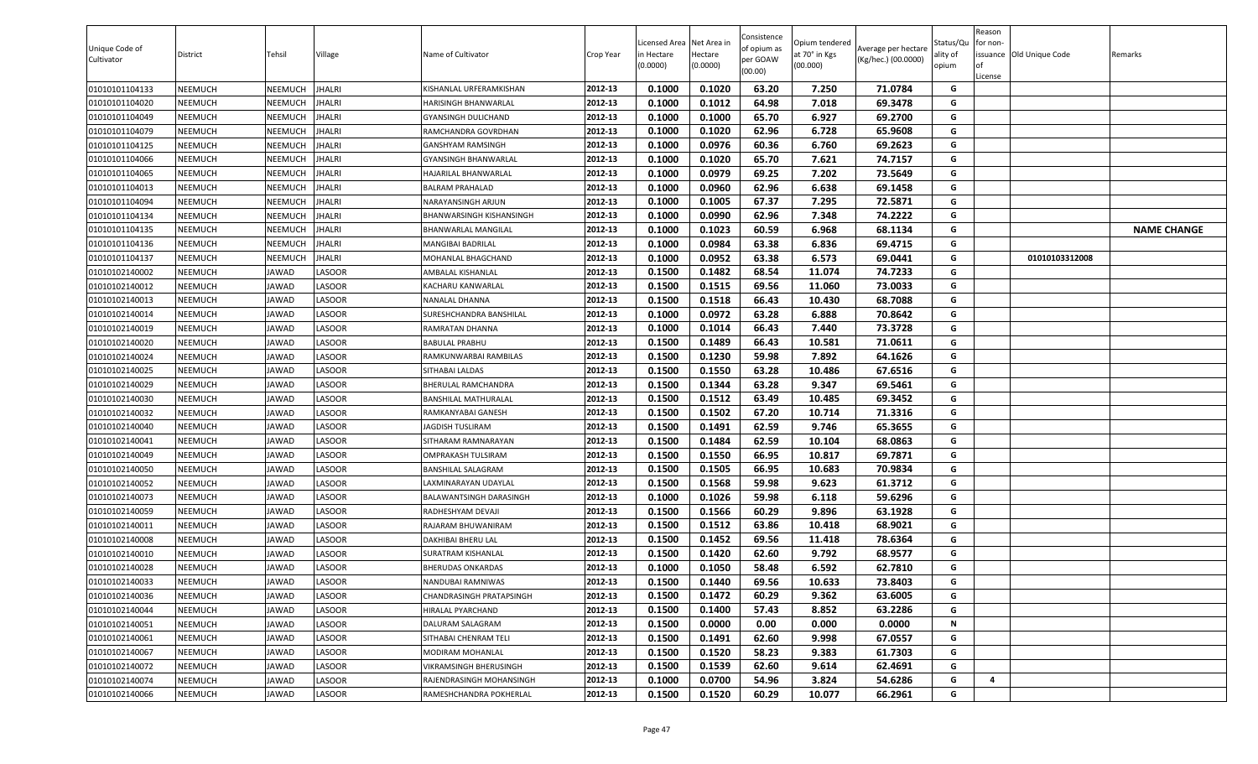| Unique Code of<br>Cultivator | District | Tehsil         | Village      | Name of Cultivator        | Crop Year | icensed Area.<br>in Hectare<br>(0.0000) | Net Area in<br>Hectare<br>(0.0000) | Consistence<br>of opium as<br>per GOAW<br>(00.00) | Opium tendered<br>at 70° in Kgs<br>(00.000) | Average per hectare<br>(Kg/hec.) (00.0000) | Status/Qu<br>ality of<br>opium | Reason<br>for non-<br><b>of</b><br>License | issuance Old Unique Code | Remarks            |
|------------------------------|----------|----------------|--------------|---------------------------|-----------|-----------------------------------------|------------------------------------|---------------------------------------------------|---------------------------------------------|--------------------------------------------|--------------------------------|--------------------------------------------|--------------------------|--------------------|
| 01010101104133               | NEEMUCH  | NEEMUCH        | HALRI        | KISHANLAL URFERAMKISHAN   | 2012-13   | 0.1000                                  | 0.1020                             | 63.20                                             | 7.250                                       | 71.0784                                    | G                              |                                            |                          |                    |
| 01010101104020               | NEEMUCH  | NEEMUCH        | HALRI        | HARISINGH BHANWARLAL      | 2012-13   | 0.1000                                  | 0.1012                             | 64.98                                             | 7.018                                       | 69.3478                                    | G                              |                                            |                          |                    |
| 01010101104049               | NEEMUCH  | NEEMUCH        | HALRI        | GYANSINGH DULICHAND       | 2012-13   | 0.1000                                  | 0.1000                             | 65.70                                             | 6.927                                       | 69.2700                                    | G                              |                                            |                          |                    |
| 01010101104079               | NEEMUCH  | <b>VEEMUCH</b> | HALRI        | RAMCHANDRA GOVRDHAN       | 2012-13   | 0.1000                                  | 0.1020                             | 62.96                                             | 6.728                                       | 65.9608                                    | G                              |                                            |                          |                    |
| 01010101104125               | NEEMUCH  | NEEMUCH        | HALRI        | GANSHYAM RAMSINGH         | 2012-13   | 0.1000                                  | 0.0976                             | 60.36                                             | 6.760                                       | 69.2623                                    | G                              |                                            |                          |                    |
| 01010101104066               | NEEMUCH  | NEEMUCH        | <b>HALRI</b> | GYANSINGH BHANWARLAL      | 2012-13   | 0.1000                                  | 0.1020                             | 65.70                                             | 7.621                                       | 74.7157                                    | G                              |                                            |                          |                    |
| 01010101104065               | NEEMUCH  | NEEMUCH        | <b>HALRI</b> | HAJARILAL BHANWARLAL      | 2012-13   | 0.1000                                  | 0.0979                             | 69.25                                             | 7.202                                       | 73.5649                                    | G                              |                                            |                          |                    |
| 01010101104013               | NEEMUCH  | NEEMUCH        | HALRI        | <b>BALRAM PRAHALAD</b>    | 2012-13   | 0.1000                                  | 0.0960                             | 62.96                                             | 6.638                                       | 69.1458                                    | G                              |                                            |                          |                    |
| 01010101104094               | NEEMUCH  | NEEMUCH        | HALRI        | NARAYANSINGH ARJUN        | 2012-13   | 0.1000                                  | 0.1005                             | 67.37                                             | 7.295                                       | 72.5871                                    | G                              |                                            |                          |                    |
| 01010101104134               | NEEMUCH  | NEEMUCH        | HALRI        | BHANWARSINGH KISHANSINGH  | 2012-13   | 0.1000                                  | 0.0990                             | 62.96                                             | 7.348                                       | 74.2222                                    | G                              |                                            |                          |                    |
| 01010101104135               | NEEMUCH  | NEEMUCH        | HALRI        | BHANWARLAL MANGILAL       | 2012-13   | 0.1000                                  | 0.1023                             | 60.59                                             | 6.968                                       | 68.1134                                    | G                              |                                            |                          | <b>NAME CHANGE</b> |
| 01010101104136               | NEEMUCH  | NEEMUCH        | HALRI        | MANGIBAI BADRILAL         | 2012-13   | 0.1000                                  | 0.0984                             | 63.38                                             | 6.836                                       | 69.4715                                    | G                              |                                            |                          |                    |
| 01010101104137               | NEEMUCH  | NEEMUCH        | HALRI        | MOHANLAL BHAGCHAND        | 2012-13   | 0.1000                                  | 0.0952                             | 63.38                                             | 6.573                                       | 69.0441                                    | G                              |                                            | 01010103312008           |                    |
| 01010102140002               | NEEMUCH  | <b>IAWAD</b>   | ASOOR.       | AMBALAL KISHANLAL         | 2012-13   | 0.1500                                  | 0.1482                             | 68.54                                             | 11.074                                      | 74.7233                                    | G                              |                                            |                          |                    |
| 01010102140012               | NEEMUCH  | JAWAD          | <b>ASOOR</b> | KACHARU KANWARLAL         | 2012-13   | 0.1500                                  | 0.1515                             | 69.56                                             | 11.060                                      | 73.0033                                    | G                              |                                            |                          |                    |
| 01010102140013               | NEEMUCH  | JAWAD          | LASOOR       | <b>NANALAL DHANNA</b>     | 2012-13   | 0.1500                                  | 0.1518                             | 66.43                                             | 10.430                                      | 68.7088                                    | G                              |                                            |                          |                    |
| 01010102140014               | NEEMUCH  | JAWAD          | ASOOR.       | SURESHCHANDRA BANSHILAL   | 2012-13   | 0.1000                                  | 0.0972                             | 63.28                                             | 6.888                                       | 70.8642                                    | G                              |                                            |                          |                    |
| 01010102140019               | NEEMUCH  | JAWAD          | ASOOR.       | RAMRATAN DHANNA           | 2012-13   | 0.1000                                  | 0.1014                             | 66.43                                             | 7.440                                       | 73.3728                                    | G                              |                                            |                          |                    |
| 01010102140020               | NEEMUCH  | JAWAD          | ASOOR.       | <b>BABULAL PRABHU</b>     | 2012-13   | 0.1500                                  | 0.1489                             | 66.43                                             | 10.581                                      | 71.0611                                    | G                              |                                            |                          |                    |
| 01010102140024               | NEEMUCH  | JAWAD          | <b>ASOOR</b> | RAMKUNWARBAI RAMBILAS     | 2012-13   | 0.1500                                  | 0.1230                             | 59.98                                             | 7.892                                       | 64.1626                                    | G                              |                                            |                          |                    |
| 01010102140025               | NEEMUCH  | JAWAD          | ASOOR.       | ITHABAI LALDAS            | 2012-13   | 0.1500                                  | 0.1550                             | 63.28                                             | 10.486                                      | 67.6516                                    | G                              |                                            |                          |                    |
| 01010102140029               | NEEMUCH  | JAWAD          | ASOOR.       | BHERULAL RAMCHANDRA       | 2012-13   | 0.1500                                  | 0.1344                             | 63.28                                             | 9.347                                       | 69.5461                                    | G                              |                                            |                          |                    |
| 01010102140030               | NEEMUCH  | <b>IAWAD</b>   | <b>ASOOR</b> | BANSHILAL MATHURALAL      | 2012-13   | 0.1500                                  | 0.1512                             | 63.49                                             | 10.485                                      | 69.3452                                    | G                              |                                            |                          |                    |
| 01010102140032               | NEEMUCH  | JAWAD          | ASOOR.       | RAMKANYABAI GANESH        | 2012-13   | 0.1500                                  | 0.1502                             | 67.20                                             | 10.714                                      | 71.3316                                    | G                              |                                            |                          |                    |
| 01010102140040               | NEEMUCH  | JAWAD          | LASOOR       | JAGDISH TUSLIRAM          | 2012-13   | 0.1500                                  | 0.1491                             | 62.59                                             | 9.746                                       | 65.3655                                    | G                              |                                            |                          |                    |
| 01010102140041               | NEEMUCH  | JAWAD          | LASOOR       | SITHARAM RAMNARAYAN       | 2012-13   | 0.1500                                  | 0.1484                             | 62.59                                             | 10.104                                      | 68.0863                                    | G                              |                                            |                          |                    |
| 01010102140049               | NEEMUCH  | <b>IAWAD</b>   | ASOOR.       | <b>OMPRAKASH TULSIRAM</b> | 2012-13   | 0.1500                                  | 0.1550                             | 66.95                                             | 10.817                                      | 69.7871                                    | G                              |                                            |                          |                    |
| 01010102140050               | NEEMUCH  | JAWAD          | ASOOR.       | BANSHILAL SALAGRAM        | 2012-13   | 0.1500                                  | 0.1505                             | 66.95                                             | 10.683                                      | 70.9834                                    | G                              |                                            |                          |                    |
| 01010102140052               | NEEMUCH  | JAWAD          | ASOOR.       | AXMINARAYAN UDAYLAL.      | 2012-13   | 0.1500                                  | 0.1568                             | 59.98                                             | 9.623                                       | 61.3712                                    | G                              |                                            |                          |                    |
| 01010102140073               | NEEMUCH  | JAWAD          | ASOOR.       | BALAWANTSINGH DARASINGH   | 2012-13   | 0.1000                                  | 0.1026                             | 59.98                                             | 6.118                                       | 59.6296                                    | G                              |                                            |                          |                    |
| 01010102140059               | NEEMUCH  | <b>IAWAD</b>   | LASOOR       | RADHESHYAM DEVAJI         | 2012-13   | 0.1500                                  | 0.1566                             | 60.29                                             | 9.896                                       | 63.1928                                    | G                              |                                            |                          |                    |
| 01010102140011               | NEEMUCH  | JAWAD          | <b>ASOOR</b> | RAJARAM BHUWANIRAM        | 2012-13   | 0.1500                                  | 0.1512                             | 63.86                                             | 10.418                                      | 68.9021                                    | G                              |                                            |                          |                    |
| 01010102140008               | NEEMUCH  | JAWAD          | LASOOR       | DAKHIBAI BHERU LAL        | 2012-13   | 0.1500                                  | 0.1452                             | 69.56                                             | 11.418                                      | 78.6364                                    | G                              |                                            |                          |                    |
| 01010102140010               | NEEMUCH  | JAWAD          | LASOOR       | SURATRAM KISHANLAL        | 2012-13   | 0.1500                                  | 0.1420                             | 62.60                                             | 9.792                                       | 68.9577                                    | G                              |                                            |                          |                    |
| 01010102140028               | NEEMUCH  | <b>IAWAD</b>   | ASOOR.       | <b>BHERUDAS ONKARDAS</b>  | 2012-13   | 0.1000                                  | 0.1050                             | 58.48                                             | 6.592                                       | 62.7810                                    | G                              |                                            |                          |                    |
| 01010102140033               | NEEMUCH  | JAWAD          | <b>ASOOR</b> | NANDUBAI RAMNIWAS         | 2012-13   | 0.1500                                  | 0.1440                             | 69.56                                             | 10.633                                      | 73.8403                                    | G                              |                                            |                          |                    |
| 01010102140036               | NEEMUCH  | JAWAD          | LASOOR       | CHANDRASINGH PRATAPSINGH  | 2012-13   | 0.1500                                  | 0.1472                             | 60.29                                             | 9.362                                       | 63.6005                                    | G                              |                                            |                          |                    |
| 01010102140044               | NEEMUCH  | JAWAD          | ASOOR.       | IIRALAL PYARCHAND         | 2012-13   | 0.1500                                  | 0.1400                             | 57.43                                             | 8.852                                       | 63.2286                                    | G                              |                                            |                          |                    |
| 01010102140051               | NEEMUCH  | JAWAD          | LASOOR       | DALURAM SALAGRAM          | 2012-13   | 0.1500                                  | 0.0000                             | 0.00                                              | 0.000                                       | 0.0000                                     | N                              |                                            |                          |                    |
| 01010102140061               | NEEMUCH  | JAWAD          | ASOOR.       | SITHABAI CHENRAM TELI     | 2012-13   | 0.1500                                  | 0.1491                             | 62.60                                             | 9.998                                       | 67.0557                                    | G                              |                                            |                          |                    |
| 01010102140067               | NEEMUCH  | JAWAD          | LASOOR       | MODIRAM MOHANLAL          | 2012-13   | 0.1500                                  | 0.1520                             | 58.23                                             | 9.383                                       | 61.7303                                    | G                              |                                            |                          |                    |
| 01010102140072               | NEEMUCH  | JAWAD          | LASOOR       | VIKRAMSINGH BHERUSINGH    | 2012-13   | 0.1500                                  | 0.1539                             | 62.60                                             | 9.614                                       | 62.4691                                    | G                              |                                            |                          |                    |
| 01010102140074               | NEEMUCH  | JAWAD          | LASOOR       | RAJENDRASINGH MOHANSINGH  | 2012-13   | 0.1000                                  | 0.0700                             | 54.96                                             | 3.824                                       | 54.6286                                    | G                              | 4                                          |                          |                    |
| 01010102140066               | NEEMUCH  | JAWAD          | LASOOR       | RAMESHCHANDRA POKHERLAL   | 2012-13   | 0.1500                                  | 0.1520                             | 60.29                                             | 10.077                                      | 66.2961                                    | G                              |                                            |                          |                    |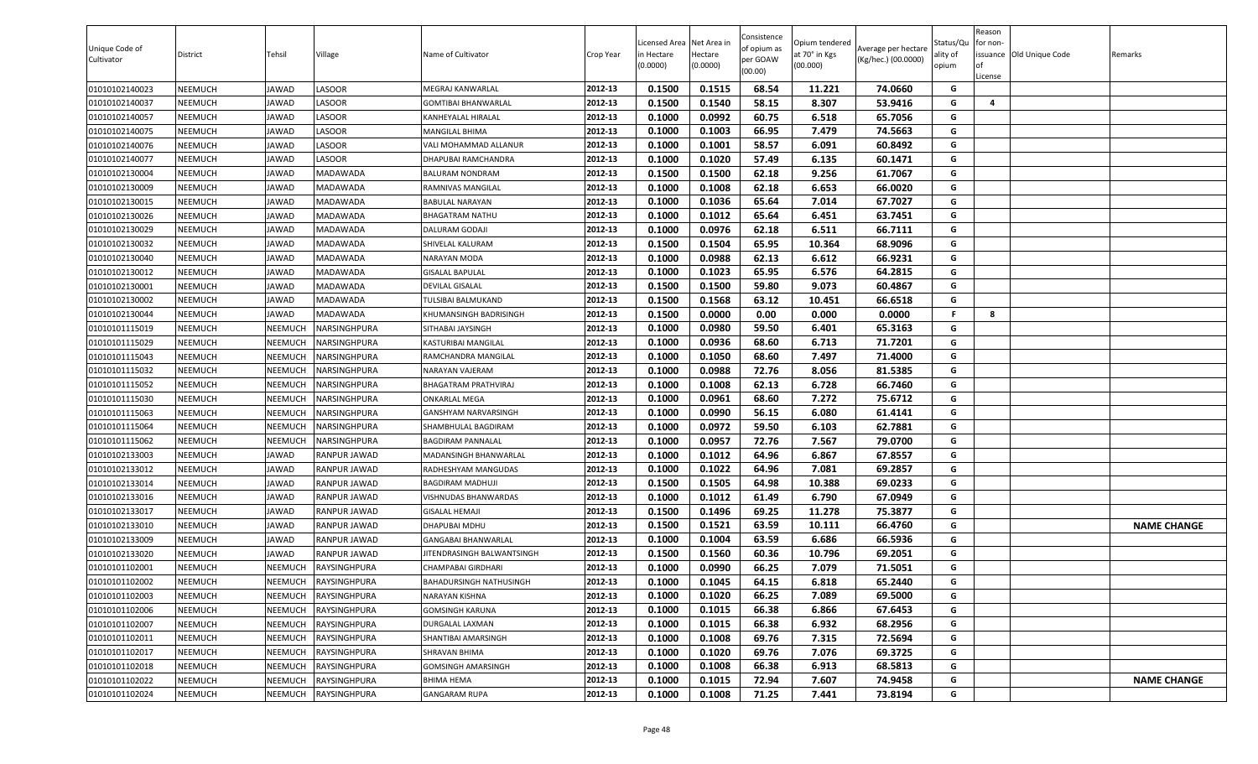| Unique Code of<br>Cultivator | District | Tehsil       | Village                    | Name of Cultivator               | Crop Year | Licensed Area<br>in Hectare<br>(0.0000) | Net Area in<br>Hectare<br>(0.0000) | Consistence<br>of opium as<br>per GOAW<br>(00.00) | Opium tendered<br>at 70° in Kgs<br>(00.000) | Average per hectare<br>(Kg/hec.) (00.0000) | Status/Qu<br>ality of<br>opium | Reason<br>for non-<br><b>of</b><br>License | issuance Old Unique Code | Remarks            |
|------------------------------|----------|--------------|----------------------------|----------------------------------|-----------|-----------------------------------------|------------------------------------|---------------------------------------------------|---------------------------------------------|--------------------------------------------|--------------------------------|--------------------------------------------|--------------------------|--------------------|
| 01010102140023               | NEEMUCH  | JAWAD        | LASOOR                     | MEGRAJ KANWARLAL                 | 2012-13   | 0.1500                                  | 0.1515                             | 68.54                                             | 11.221                                      | 74.0660                                    | G                              |                                            |                          |                    |
| 01010102140037               | NEEMUCH  | JAWAD        | ASOOR.                     | <b>GOMTIBAI BHANWARLAL</b>       | 2012-13   | 0.1500                                  | 0.1540                             | 58.15                                             | 8.307                                       | 53.9416                                    | G                              | 4                                          |                          |                    |
| 01010102140057               | NEEMUCH  | JAWAD        | <b>ASOOR</b>               | KANHEYALAL HIRALAL               | 2012-13   | 0.1000                                  | 0.0992                             | 60.75                                             | 6.518                                       | 65.7056                                    | G                              |                                            |                          |                    |
| 01010102140075               | NEEMUCH  | JAWAD        | ASOOR.                     | MANGILAL BHIMA                   | 2012-13   | 0.1000                                  | 0.1003                             | 66.95                                             | 7.479                                       | 74.5663                                    | G                              |                                            |                          |                    |
| 01010102140076               | NEEMUCH  | JAWAD        | ASOOR.                     | VALI MOHAMMAD ALLANUR            | 2012-13   | 0.1000                                  | 0.1001                             | 58.57                                             | 6.091                                       | 60.8492                                    | G                              |                                            |                          |                    |
| 01010102140077               | NEEMUCH  | <b>IAWAD</b> | LASOOR                     | DHAPUBAI RAMCHANDRA              | 2012-13   | 0.1000                                  | 0.1020                             | 57.49                                             | 6.135                                       | 60.1471                                    | G                              |                                            |                          |                    |
| 01010102130004               | NEEMUCH  | <b>IAWAD</b> | MADAWADA                   | BALURAM NONDRAM                  | 2012-13   | 0.1500                                  | 0.1500                             | 62.18                                             | 9.256                                       | 61.7067                                    | G                              |                                            |                          |                    |
| 01010102130009               | NEEMUCH  | JAWAD        | MADAWADA                   | RAMNIVAS MANGILAL                | 2012-13   | 0.1000                                  | 0.1008                             | 62.18                                             | 6.653                                       | 66.0020                                    | G                              |                                            |                          |                    |
| 01010102130015               | NEEMUCH  | JAWAD        | <b>MADAWADA</b>            | BABULAL NARAYAN                  | 2012-13   | 0.1000                                  | 0.1036                             | 65.64                                             | 7.014                                       | 67.7027                                    | G                              |                                            |                          |                    |
| 01010102130026               | NEEMUCH  | JAWAD        | MADAWADA                   | BHAGATRAM NATHU                  | 2012-13   | 0.1000                                  | 0.1012                             | 65.64                                             | 6.451                                       | 63.7451                                    | G                              |                                            |                          |                    |
| 01010102130029               | NEEMUCH  | JAWAD        | MADAWADA                   | DALURAM GODAJI                   | 2012-13   | 0.1000                                  | 0.0976                             | 62.18                                             | 6.511                                       | 66.7111                                    | G                              |                                            |                          |                    |
| 01010102130032               | NEEMUCH  | JAWAD        | MADAWADA                   | SHIVELAL KALURAM                 | 2012-13   | 0.1500                                  | 0.1504                             | 65.95                                             | 10.364                                      | 68.9096                                    | G                              |                                            |                          |                    |
| 01010102130040               | NEEMUCH  | JAWAD        | MADAWADA                   | NARAYAN MODA                     | 2012-13   | 0.1000                                  | 0.0988                             | 62.13                                             | 6.612                                       | 66.9231                                    | G                              |                                            |                          |                    |
| 01010102130012               | NEEMUCH  | <b>IAWAD</b> | MADAWADA                   | <b>GISALAL BAPULAL</b>           | 2012-13   | 0.1000                                  | 0.1023                             | 65.95                                             | 6.576                                       | 64.2815                                    | G                              |                                            |                          |                    |
| 01010102130001               | NEEMUCH  | JAWAD        | <b>MADAWADA</b>            | DEVILAL GISALAL                  | 2012-13   | 0.1500                                  | 0.1500                             | 59.80                                             | 9.073                                       | 60.4867                                    | G                              |                                            |                          |                    |
| 01010102130002               | NEEMUCH  | JAWAD        | MADAWADA                   | TULSIBAI BALMUKAND               | 2012-13   | 0.1500                                  | 0.1568                             | 63.12                                             | 10.451                                      | 66.6518                                    | G                              |                                            |                          |                    |
| 01010102130044               | NEEMUCH  | JAWAD        | MADAWADA                   | KHUMANSINGH BADRISINGH           | 2012-13   | 0.1500                                  | 0.0000                             | 0.00                                              | 0.000                                       | 0.0000                                     | -F.                            | 8                                          |                          |                    |
| 01010101115019               | NEEMUCH  | NEEMUCH      | NARSINGHPURA               | SITHABAI JAYSINGH                | 2012-13   | 0.1000                                  | 0.0980                             | 59.50                                             | 6.401                                       | 65.3163                                    | G                              |                                            |                          |                    |
| 01010101115029               | NEEMUCH  | NEEMUCH      | <b>VARSINGHPURA</b>        | KASTURIBAI MANGILAL              | 2012-13   | 0.1000                                  | 0.0936                             | 68.60                                             | 6.713                                       | 71.7201                                    | G                              |                                            |                          |                    |
| 01010101115043               | NEEMUCH  | NEEMUCH      | <b>VARSINGHPURA</b>        | RAMCHANDRA MANGILAL              | 2012-13   | 0.1000                                  | 0.1050                             | 68.60                                             | 7.497                                       | 71.4000                                    | G                              |                                            |                          |                    |
| 01010101115032               | NEEMUCH  | NEEMUCH      | <b><i>NARSINGHPURA</i></b> | <b>VARAYAN VAJERAM</b>           | 2012-13   | 0.1000                                  | 0.0988                             | 72.76                                             | 8.056                                       | 81.5385                                    | G                              |                                            |                          |                    |
| 01010101115052               | NEEMUCH  | NEEMUCH      | NARSINGHPURA               | BHAGATRAM PRATHVIRAJ             | 2012-13   | 0.1000                                  | 0.1008                             | 62.13                                             | 6.728                                       | 66.7460                                    | G                              |                                            |                          |                    |
| 01010101115030               | NEEMUCH  | NEEMUCH      | NARSINGHPURA               | ONKARLAL MEGA                    | 2012-13   | 0.1000                                  | 0.0961                             | 68.60                                             | 7.272                                       | 75.6712                                    | G                              |                                            |                          |                    |
| 01010101115063               | NEEMUCH  | NEEMUCH      | VARSINGHPURA               | GANSHYAM NARVARSINGH             | 2012-13   | 0.1000                                  | 0.0990                             | 56.15                                             | 6.080                                       | 61.4141                                    | G                              |                                            |                          |                    |
| 01010101115064               | NEEMUCH  | NEEMUCH      | NARSINGHPURA               | SHAMBHULAL BAGDIRAM              | 2012-13   | 0.1000                                  | 0.0972                             | 59.50                                             | 6.103                                       | 62.7881                                    | G                              |                                            |                          |                    |
| 01010101115062               | NEEMUCH  | NEEMUCH      | NARSINGHPURA               | BAGDIRAM PANNALAL                | 2012-13   | 0.1000                                  | 0.0957                             | 72.76                                             | 7.567                                       | 79.0700                                    | G                              |                                            |                          |                    |
| 01010102133003               | NEEMUCH  | <b>IAWAD</b> | RANPUR JAWAD               | MADANSINGH BHANWARLAL            | 2012-13   | 0.1000                                  | 0.1012                             | 64.96                                             | 6.867                                       | 67.8557                                    | G                              |                                            |                          |                    |
| 01010102133012               | NEEMUCH  | <b>IAWAD</b> | RANPUR JAWAD               | RADHESHYAM MANGUDAS              | 2012-13   | 0.1000                                  | 0.1022                             | 64.96                                             | 7.081                                       | 69.2857                                    | G                              |                                            |                          |                    |
| 01010102133014               | NEEMUCH  | JAWAD        | RANPUR JAWAD               | BAGDIRAM MADHUJI                 | 2012-13   | 0.1500                                  | 0.1505                             | 64.98                                             | 10.388                                      | 69.0233                                    | G                              |                                            |                          |                    |
| 01010102133016               | NEEMUCH  | JAWAD        | RANPUR JAWAD               | /ISHNUDAS BHANWARDAS             | 2012-13   | 0.1000                                  | 0.1012                             | 61.49                                             | 6.790                                       | 67.0949                                    | G                              |                                            |                          |                    |
| 01010102133017               | NEEMUCH  | JAWAD        | RANPUR JAWAD               | <b>GISALAL HEMAJI</b>            | 2012-13   | 0.1500                                  | 0.1496                             | 69.25                                             | 11.278                                      | 75.3877                                    | G                              |                                            |                          |                    |
| 01010102133010               | NEEMUCH  | JAWAD        | RANPUR JAWAD               | DHAPUBAI MDHU                    | 2012-13   | 0.1500                                  | 0.1521                             | 63.59                                             | 10.111                                      | 66.4760                                    | G                              |                                            |                          | <b>NAME CHANGE</b> |
| 01010102133009               | NEEMUCH  | JAWAD        | RANPUR JAWAD               | GANGABAI BHANWARLAL              | 2012-13   | 0.1000                                  | 0.1004                             | 63.59                                             | 6.686                                       | 66.5936                                    | G                              |                                            |                          |                    |
| 01010102133020               | NEEMUCH  | JAWAD        | RANPUR JAWAD               | <b>ITENDRASINGH BALWANTSINGH</b> | 2012-13   | 0.1500                                  | 0.1560                             | 60.36                                             | 10.796                                      | 69.2051                                    | G                              |                                            |                          |                    |
| 01010101102001               | NEEMUCH  | NEEMUCH      | RAYSINGHPURA               | CHAMPABAI GIRDHARI               | 2012-13   | 0.1000                                  | 0.0990                             | 66.25                                             | 7.079                                       | 71.5051                                    | G                              |                                            |                          |                    |
| 01010101102002               | NEEMUCH  | NEEMUCH      | RAYSINGHPURA               | BAHADURSINGH NATHUSINGH          | 2012-13   | 0.1000                                  | 0.1045                             | 64.15                                             | 6.818                                       | 65.2440                                    | G                              |                                            |                          |                    |
| 01010101102003               | NEEMUCH  | NEEMUCH      | RAYSINGHPURA               | NARAYAN KISHNA                   | 2012-13   | 0.1000                                  | 0.1020                             | 66.25                                             | 7.089                                       | 69.5000                                    | G                              |                                            |                          |                    |
| 01010101102006               | NEEMUCH  | NEEMUCH      | RAYSINGHPURA               | GOMSINGH KARUNA                  | 2012-13   | 0.1000                                  | 0.1015                             | 66.38                                             | 6.866                                       | 67.6453                                    | G                              |                                            |                          |                    |
| 01010101102007               | NEEMUCH  | NEEMUCH      | RAYSINGHPURA               | DURGALAL LAXMAN                  | 2012-13   | 0.1000                                  | 0.1015                             | 66.38                                             | 6.932                                       | 68.2956                                    | G                              |                                            |                          |                    |
| 01010101102011               | NEEMUCH  | NEEMUCH      | RAYSINGHPURA               | SHANTIBAI AMARSINGH              | 2012-13   | 0.1000                                  | 0.1008                             | 69.76                                             | 7.315                                       | 72.5694                                    | G                              |                                            |                          |                    |
| 01010101102017               | NEEMUCH  | NEEMUCH      | RAYSINGHPURA               | SHRAVAN BHIMA                    | 2012-13   | 0.1000                                  | 0.1020                             | 69.76                                             | 7.076                                       | 69.3725                                    | G                              |                                            |                          |                    |
| 01010101102018               | NEEMUCH  | NEEMUCH      | RAYSINGHPURA               | GOMSINGH AMARSINGH               | 2012-13   | 0.1000                                  | 0.1008                             | 66.38                                             | 6.913                                       | 68.5813                                    | G                              |                                            |                          |                    |
| 01010101102022               | NEEMUCH  | NEEMUCH      | RAYSINGHPURA               | BHIMA HEMA                       | 2012-13   | 0.1000                                  | 0.1015                             | 72.94                                             | 7.607                                       | 74.9458                                    | G                              |                                            |                          | <b>NAME CHANGE</b> |
| 01010101102024               | NEEMUCH  | NEEMUCH      | RAYSINGHPURA               | <b>GANGARAM RUPA</b>             | 2012-13   | 0.1000                                  | 0.1008                             | 71.25                                             | 7.441                                       | 73.8194                                    | G                              |                                            |                          |                    |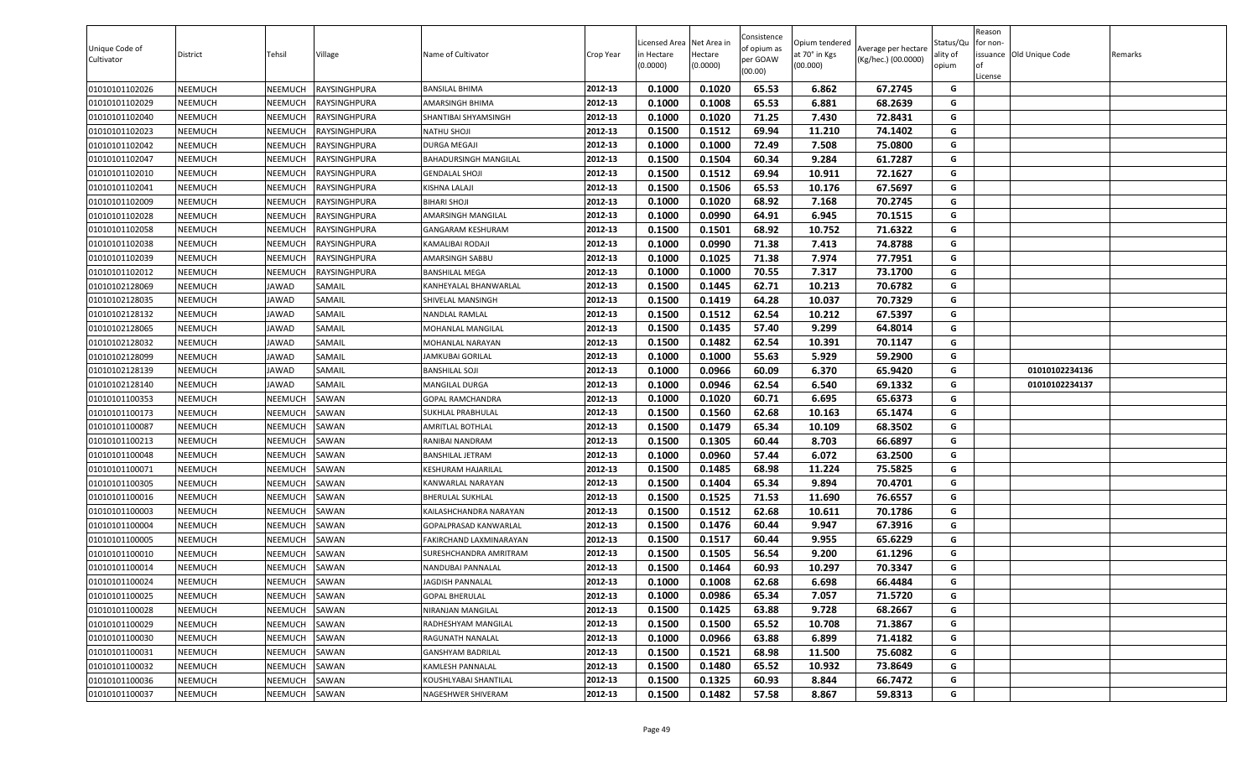| Unique Code of<br>Cultivator | District | Tehsil       | Village      | Name of Cultivator      | Crop Year | Licensed Area Net Area in<br>in Hectare<br>(0.0000) | Hectare<br>(0.0000) | Consistence<br>of opium as<br>per GOAW<br>(00.00) | Opium tendered<br>at 70° in Kgs<br>(00.000) | Average per hectare<br>(Kg/hec.) (00.0000) | Status/Qu<br>ality of<br>opium | Reason<br>for non-<br><b>of</b><br>License | issuance Old Unique Code | Remarks |
|------------------------------|----------|--------------|--------------|-------------------------|-----------|-----------------------------------------------------|---------------------|---------------------------------------------------|---------------------------------------------|--------------------------------------------|--------------------------------|--------------------------------------------|--------------------------|---------|
| 01010101102026               | NEEMUCH  | NEEMUCH      | RAYSINGHPURA | BANSILAL BHIMA          | 2012-13   | 0.1000                                              | 0.1020              | 65.53                                             | 6.862                                       | 67.2745                                    | G                              |                                            |                          |         |
| 01010101102029               | NEEMUCH  | NEEMUCH      | RAYSINGHPURA | AMARSINGH BHIMA         | 2012-13   | 0.1000                                              | 0.1008              | 65.53                                             | 6.881                                       | 68.2639                                    | G                              |                                            |                          |         |
| 01010101102040               | NEEMUCH  | NEEMUCH      | RAYSINGHPURA | SHANTIBAI SHYAMSINGH    | 2012-13   | 0.1000                                              | 0.1020              | 71.25                                             | 7.430                                       | 72.8431                                    | G                              |                                            |                          |         |
| 01010101102023               | NEEMUCH  | NEEMUCH      | २AYSINGHPURA | NATHU SHOJI             | 2012-13   | 0.1500                                              | 0.1512              | 69.94                                             | 11.210                                      | 74.1402                                    | G                              |                                            |                          |         |
| 01010101102042               | NEEMUCH  | NEEMUCH      | RAYSINGHPURA | DURGA MEGAJI            | 2012-13   | 0.1000                                              | 0.1000              | 72.49                                             | 7.508                                       | 75.0800                                    | G                              |                                            |                          |         |
| 01010101102047               | NEEMUCH  | NEEMUCH      | RAYSINGHPURA | BAHADURSINGH MANGILAL   | 2012-13   | 0.1500                                              | 0.1504              | 60.34                                             | 9.284                                       | 61.7287                                    | G                              |                                            |                          |         |
| 01010101102010               | NEEMUCH  | NEEMUCH      | RAYSINGHPURA | <b>GENDALAL SHOJI</b>   | 2012-13   | 0.1500                                              | 0.1512              | 69.94                                             | 10.911                                      | 72.1627                                    | G                              |                                            |                          |         |
| 01010101102041               | NEEMUCH  | NEEMUCH      | RAYSINGHPURA | KISHNA LALAJI           | 2012-13   | 0.1500                                              | 0.1506              | 65.53                                             | 10.176                                      | 67.5697                                    | G                              |                                            |                          |         |
| 01010101102009               | NEEMUCH  | NEEMUCH      | RAYSINGHPURA | BIHARI SHOJI            | 2012-13   | 0.1000                                              | 0.1020              | 68.92                                             | 7.168                                       | 70.2745                                    | G                              |                                            |                          |         |
| 01010101102028               | NEEMUCH  | NEEMUCH      | RAYSINGHPURA | AMARSINGH MANGILAL      | 2012-13   | 0.1000                                              | 0.0990              | 64.91                                             | 6.945                                       | 70.1515                                    | G                              |                                            |                          |         |
| 01010101102058               | NEEMUCH  | NEEMUCH      | RAYSINGHPURA | GANGARAM KESHURAM       | 2012-13   | 0.1500                                              | 0.1501              | 68.92                                             | 10.752                                      | 71.6322                                    | G                              |                                            |                          |         |
| 01010101102038               | NEEMUCH  | NEEMUCH      | २AYSINGHPURA | <b>KAMALIBAI RODAJI</b> | 2012-13   | 0.1000                                              | 0.0990              | 71.38                                             | 7.413                                       | 74.8788                                    | G                              |                                            |                          |         |
| 01010101102039               | NEEMUCH  | NEEMUCH      | २AYSINGHPURA | \MARSINGH SABBU         | 2012-13   | 0.1000                                              | 0.1025              | 71.38                                             | 7.974                                       | 77.7951                                    | G                              |                                            |                          |         |
| 01010101102012               | NEEMUCH  | NEEMUCH      | RAYSINGHPURA | BANSHILAL MEGA          | 2012-13   | 0.1000                                              | 0.1000              | 70.55                                             | 7.317                                       | 73.1700                                    | G                              |                                            |                          |         |
| 01010102128069               | NEEMUCH  | JAWAD        | SAMAIL       | KANHEYALAL BHANWARLAL   | 2012-13   | 0.1500                                              | 0.1445              | 62.71                                             | 10.213                                      | 70.6782                                    | G                              |                                            |                          |         |
| 01010102128035               | NEEMUCH  | JAWAD        | SAMAIL       | SHIVELAL MANSINGH       | 2012-13   | 0.1500                                              | 0.1419              | 64.28                                             | 10.037                                      | 70.7329                                    | G                              |                                            |                          |         |
| 01010102128132               | NEEMUCH  | JAWAD        | SAMAIL       | NANDLAL RAMLAL          | 2012-13   | 0.1500                                              | 0.1512              | 62.54                                             | 10.212                                      | 67.5397                                    | G                              |                                            |                          |         |
| 01010102128065               | NEEMUCH  | JAWAD        | SAMAIL       | MOHANLAL MANGILAL       | 2012-13   | 0.1500                                              | 0.1435              | 57.40                                             | 9.299                                       | 64.8014                                    | G                              |                                            |                          |         |
| 01010102128032               | NEEMUCH  | JAWAD        | SAMAIL       | MOHANLAL NARAYAN        | 2012-13   | 0.1500                                              | 0.1482              | 62.54                                             | 10.391                                      | 70.1147                                    | G                              |                                            |                          |         |
| 01010102128099               | NEEMUCH  | <b>IAWAD</b> | SAMAIL       | JAMKUBAI GORILAL        | 2012-13   | 0.1000                                              | 0.1000              | 55.63                                             | 5.929                                       | 59.2900                                    | G                              |                                            |                          |         |
| 01010102128139               | NEEMUCH  | JAWAD        | SAMAIL       | BANSHILAL SOJI          | 2012-13   | 0.1000                                              | 0.0966              | 60.09                                             | 6.370                                       | 65.9420                                    | G                              |                                            | 01010102234136           |         |
| 01010102128140               | NEEMUCH  | JAWAD        | SAMAIL       | MANGILAL DURGA          | 2012-13   | 0.1000                                              | 0.0946              | 62.54                                             | 6.540                                       | 69.1332                                    | G                              |                                            | 01010102234137           |         |
| 01010101100353               | NEEMUCH  | NEEMUCH      | SAWAN        | <b>GOPAL RAMCHANDRA</b> | 2012-13   | 0.1000                                              | 0.1020              | 60.71                                             | 6.695                                       | 65.6373                                    | G                              |                                            |                          |         |
| 01010101100173               | NEEMUCH  | NEEMUCH      | SAWAN        | SUKHLAL PRABHULAL       | 2012-13   | 0.1500                                              | 0.1560              | 62.68                                             | 10.163                                      | 65.1474                                    | G                              |                                            |                          |         |
| 01010101100087               | NEEMUCH  | NEEMUCH      | SAWAN        | AMRITLAL BOTHLAL        | 2012-13   | 0.1500                                              | 0.1479              | 65.34                                             | 10.109                                      | 68.3502                                    | G                              |                                            |                          |         |
| 01010101100213               | NEEMUCH  | NEEMUCH      | SAWAN        | RANIBAI NANDRAM         | 2012-13   | 0.1500                                              | 0.1305              | 60.44                                             | 8.703                                       | 66.6897                                    | G                              |                                            |                          |         |
| 01010101100048               | NEEMUCH  | NEEMUCH      | SAWAN        | BANSHILAL JETRAM        | 2012-13   | 0.1000                                              | 0.0960              | 57.44                                             | 6.072                                       | 63.2500                                    | G                              |                                            |                          |         |
| 01010101100071               | NEEMUCH  | NEEMUCH      | SAWAN        | KESHURAM HAJARILAL      | 2012-13   | 0.1500                                              | 0.1485              | 68.98                                             | 11.224                                      | 75.5825                                    | G                              |                                            |                          |         |
| 01010101100305               | NEEMUCH  | NEEMUCH      | SAWAN        | KANWARLAL NARAYAN       | 2012-13   | 0.1500                                              | 0.1404              | 65.34                                             | 9.894                                       | 70.4701                                    | G                              |                                            |                          |         |
| 01010101100016               | NEEMUCH  | NEEMUCH      | SAWAN        | BHERULAL SUKHLAL        | 2012-13   | 0.1500                                              | 0.1525              | 71.53                                             | 11.690                                      | 76.6557                                    | G                              |                                            |                          |         |
| 01010101100003               | NEEMUCH  | NEEMUCH      | SAWAN        | KAILASHCHANDRA NARAYAN  | 2012-13   | 0.1500                                              | 0.1512              | 62.68                                             | 10.611                                      | 70.1786                                    | G                              |                                            |                          |         |
| 01010101100004               | NEEMUCH  | NEEMUCH      | SAWAN        | GOPALPRASAD KANWARLAL   | 2012-13   | 0.1500                                              | 0.1476              | 60.44                                             | 9.947                                       | 67.3916                                    | G                              |                                            |                          |         |
| 01010101100005               | NEEMUCH  | NEEMUCH      | SAWAN        | FAKIRCHAND LAXMINARAYAN | 2012-13   | 0.1500                                              | 0.1517              | 60.44                                             | 9.955                                       | 65.6229                                    | G                              |                                            |                          |         |
| 01010101100010               | NEEMUCH  | NEEMUCH      | SAWAN        | SURESHCHANDRA AMRITRAM  | 2012-13   | 0.1500                                              | 0.1505              | 56.54                                             | 9.200                                       | 61.1296                                    | G                              |                                            |                          |         |
| 01010101100014               | NEEMUCH  | NEEMUCH      | SAWAN        | NANDUBAI PANNALAL       | 2012-13   | 0.1500                                              | 0.1464              | 60.93                                             | 10.297                                      | 70.3347                                    | G                              |                                            |                          |         |
| 01010101100024               | NEEMUCH  | NEEMUCH      | SAWAN        | <b>JAGDISH PANNALAL</b> | 2012-13   | 0.1000                                              | 0.1008              | 62.68                                             | 6.698                                       | 66.4484                                    | G                              |                                            |                          |         |
| 01010101100025               | NEEMUCH  | NEEMUCH      | SAWAN        | <b>GOPAL BHERULAL</b>   | 2012-13   | 0.1000                                              | 0.0986              | 65.34                                             | 7.057                                       | 71.5720                                    | G                              |                                            |                          |         |
| 01010101100028               | NEEMUCH  | NEEMUCH      | SAWAN        | IIRANJAN MANGILAL       | 2012-13   | 0.1500                                              | 0.1425              | 63.88                                             | 9.728                                       | 68.2667                                    | G                              |                                            |                          |         |
| 01010101100029               | NEEMUCH  | NEEMUCH      | SAWAN        | RADHESHYAM MANGILAL     | 2012-13   | 0.1500                                              | 0.1500              | 65.52                                             | 10.708                                      | 71.3867                                    | G                              |                                            |                          |         |
| 01010101100030               | NEEMUCH  | NEEMUCH      | SAWAN        | RAGUNATH NANALAL        | 2012-13   | 0.1000                                              | 0.0966              | 63.88                                             | 6.899                                       | 71.4182                                    | G                              |                                            |                          |         |
| 01010101100031               | NEEMUCH  | NEEMUCH      | SAWAN        | GANSHYAM BADRILAL       | 2012-13   | 0.1500                                              | 0.1521              | 68.98                                             | 11.500                                      | 75.6082                                    | G                              |                                            |                          |         |
| 01010101100032               | NEEMUCH  | NEEMUCH      | SAWAN        | KAMLESH PANNALAL        | 2012-13   | 0.1500                                              | 0.1480              | 65.52                                             | 10.932                                      | 73.8649                                    | G                              |                                            |                          |         |
| 01010101100036               | NEEMUCH  | NEEMUCH      | SAWAN        | KOUSHLYABAI SHANTILAL   | 2012-13   | 0.1500                                              | 0.1325              | 60.93                                             | 8.844                                       | 66.7472                                    | G                              |                                            |                          |         |
| 01010101100037               | NEEMUCH  | NEEMUCH      | SAWAN        | NAGESHWER SHIVERAM      | 2012-13   | 0.1500                                              | 0.1482              | 57.58                                             | 8.867                                       | 59.8313                                    | G                              |                                            |                          |         |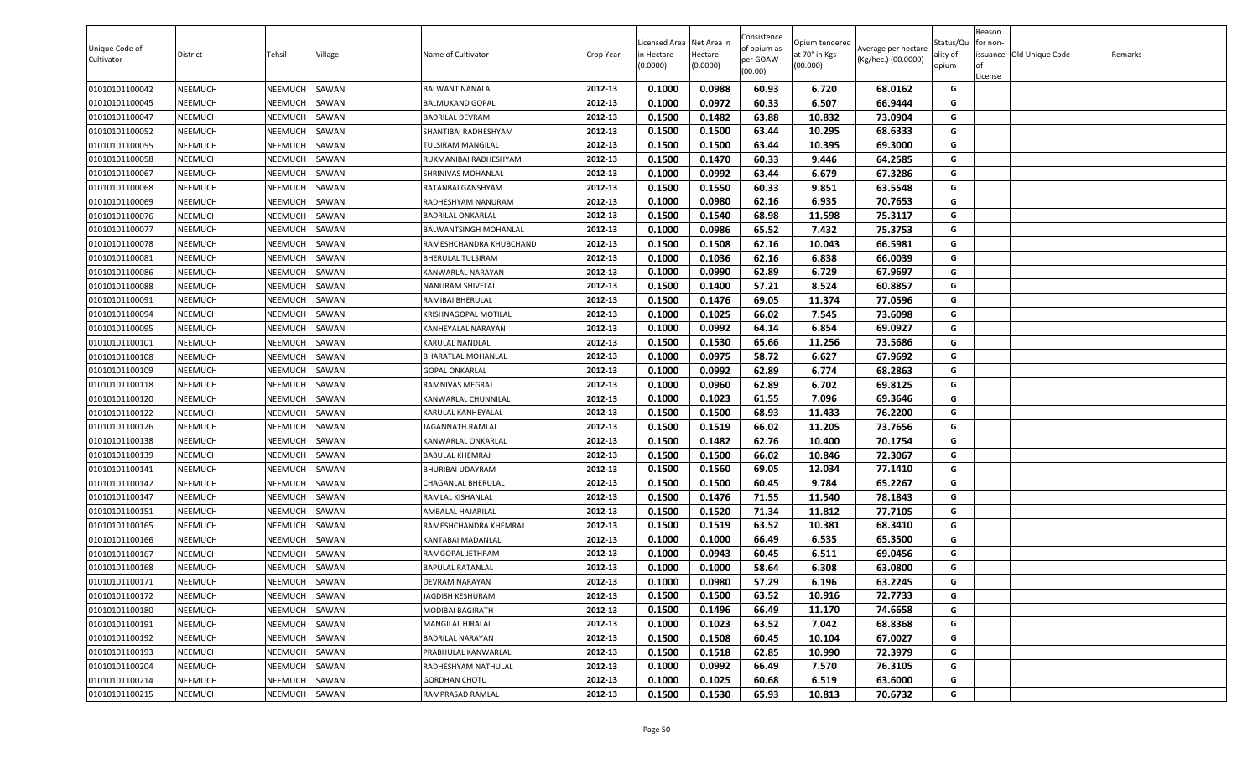| 0.1000<br>0.0988<br>60.93<br>01010101100042<br>NEEMUCH<br>NEEMUCH<br>SAWAN<br>2012-13<br>6.720<br>68.0162<br>G<br><b>BALWANT NANALAL</b><br>2012-13<br>0.1000<br>0.0972<br>60.33<br>6.507<br>66.9444<br>01010101100045<br>NEEMUCH<br>NEEMUCH<br>SAWAN<br>G<br><b>BALMUKAND GOPAL</b><br>01010101100047<br>NEEMUCH<br>NEEMUCH<br>SAWAN<br>2012-13<br>0.1500<br>0.1482<br>63.88<br>10.832<br>73.0904<br>G<br><b>BADRILAL DEVRAM</b><br>0.1500<br>0.1500<br>63.44<br>NEEMUCH<br>SAWAN<br>2012-13<br>10.295<br>68.6333<br>G<br>01010101100052<br>NEEMUCH<br>SHANTIBAI RADHESHYAM<br>63.44<br>0.1500<br>0.1500<br>10.395<br>G<br>01010101100055<br>NEEMUCH<br>NEEMUCH<br>SAWAN<br>2012-13<br>69.3000<br>TULSIRAM MANGILAL<br>2012-13<br>0.1500<br>NEEMUCH<br>0.1470<br>60.33<br>9.446<br>64.2585<br>G<br>01010101100058<br>NEEMUCH<br>SAWAN<br>RUKMANIBAI RADHESHYAM<br>2012-13<br>0.1000<br>0.0992<br>63.44<br>6.679<br>67.3286<br>G<br>01010101100067<br>NEEMUCH<br>NEEMUCH<br>SAWAN<br>SHRINIVAS MOHANLAL<br>G<br>2012-13<br>0.1550<br>60.33<br>63.5548<br>NEEMUCH<br>NEEMUCH<br>SAWAN<br>RATANBAI GANSHYAM<br>0.1500<br>9.851<br>01010101100068<br>NEEMUCH<br>2012-13<br>0.1000<br>0.0980<br>62.16<br>6.935<br>70.7653<br>G<br>01010101100069<br>NEEMUCH<br>SAWAN<br>RADHESHYAM NANURAM<br>NEEMUCH<br>2012-13<br>0.1500<br>0.1540<br>68.98<br>11.598<br>75.3117<br>G<br>01010101100076<br>NEEMUCH<br>SAWAN<br><b>BADRILAL ONKARLAL</b><br>0.1000<br>0.0986<br>65.52<br>75.3753<br>01010101100077<br>NEEMUCH<br>NEEMUCH<br>SAWAN<br>2012-13<br>7.432<br>G<br>BALWANTSINGH MOHANLAL<br>0.1508<br>62.16<br>66.5981<br>G<br>NEEMUCH<br>2012-13<br>0.1500<br>10.043<br>01010101100078<br>NEEMUCH<br>SAWAN<br>RAMESHCHANDRA KHUBCHAND<br>62.16<br>2012-13<br>0.1000<br>0.1036<br>6.838<br>66.0039<br>G<br>01010101100081<br>NEEMUCH<br>NEEMUCH<br>SAWAN<br>BHERULAL TULSIRAM<br>62.89<br>6.729<br>NEEMUCH<br>2012-13<br>0.1000<br>0.0990<br>67.9697<br>G<br>01010101100086<br>NEEMUCH<br>SAWAN<br><b>KANWARLAL NARAYAN</b><br>NEEMUCH<br>2012-13<br>0.1500<br>0.1400<br>57.21<br>8.524<br>60.8857<br>01010101100088<br><b>NEEMUCH</b><br>SAWAN<br>G<br><b>NANURAM SHIVELAL</b><br>0.1500<br>0.1476<br>69.05<br>11.374<br>77.0596<br>G<br>NEEMUCH<br>NEEMUCH<br>SAWAN<br>2012-13<br>01010101100091<br>RAMIBAI BHERULAL<br>0.1000<br>0.1025<br>66.02<br>7.545<br>73.6098<br>NEEMUCH<br>KRISHNAGOPAL MOTILAL<br>2012-13<br>G<br>01010101100094<br>NEEMUCH<br>SAWAN<br>G<br>2012-13<br>0.1000<br>0.0992<br>64.14<br>6.854<br>69.0927<br>01010101100095<br>NEEMUCH<br>NEEMUCH<br>SAWAN<br>KANHEYALAL NARAYAN<br>NEEMUCH<br>2012-13<br>0.1500<br>0.1530<br>65.66<br>11.256<br>73.5686<br>G<br>01010101100101<br>NEEMUCH<br>SAWAN<br>KARULAL NANDLAL<br>2012-13<br>G<br>01010101100108<br>NEEMUCH<br>NEEMUCH<br>SAWAN<br><b>BHARATLAL MOHANLAL</b><br>0.1000<br>0.0975<br>58.72<br>6.627<br>67.9692<br>0.1000<br>0.0992<br>62.89<br>6.774<br>68.2863<br>NEEMUCH<br>SAWAN<br>2012-13<br>G<br>01010101100109<br>NEEMUCH<br>GOPAL ONKARLAL<br>62.89<br>6.702<br>0.1000<br>0.0960<br>69.8125<br>01010101100118<br>NEEMUCH<br>NEEMUCH<br>SAWAN<br>2012-13<br>G<br>RAMNIVAS MEGRAJ<br>NEEMUCH<br>NEEMUCH<br>2012-13<br>0.1000<br>0.1023<br>61.55<br>7.096<br>69.3646<br>01010101100120<br>SAWAN<br>G<br>KANWARLAL CHUNNILAL<br>01010101100122<br>NEEMUCH<br>NEEMUCH<br>SAWAN<br>2012-13<br>0.1500<br>0.1500<br>68.93<br>11.433<br>76.2200<br>G<br>KARULAL KANHEYALAL<br>0.1500<br>0.1519<br>66.02<br>11.205<br>73.7656<br>NEEMUCH<br>NEEMUCH<br>SAWAN<br>2012-13<br>G<br>01010101100126<br>JAGANNATH RAMLAL<br>0.1500<br>0.1482<br>62.76<br>70.1754<br>01010101100138<br>NEEMUCH<br>NEEMUCH<br>SAWAN<br>2012-13<br>10.400<br>G<br>KANWARLAL ONKARLAL<br>01010101100139<br>NEEMUCH<br>2012-13<br>0.1500<br>0.1500<br>66.02<br>10.846<br>72.3067<br>NEEMUCH<br>SAWAN<br>G<br><b>BABULAL KHEMRAJ</b><br>69.05<br>01010101100141<br>NEEMUCH<br>NEEMUCH<br>SAWAN<br>2012-13<br>0.1500<br>0.1560<br>12.034<br>77.1410<br>G<br>BHURIBAI UDAYRAM<br>2012-13<br>0.1500<br>60.45<br>65.2267<br>G<br>NEEMUCH<br>SAWAN<br>0.1500<br>9.784<br>01010101100142<br>NEEMUCH<br>CHAGANLAL BHERULAL<br>G<br>2012-13<br>0.1500<br>0.1476<br>71.55<br>11.540<br>78.1843<br>01010101100147<br>NEEMUCH<br>NEEMUCH<br>SAWAN<br>RAMLAL KISHANLAL<br>2012-13<br>0.1500<br>0.1520<br>71.34<br>77.7105<br>G<br>NEEMUCH<br>SAWAN<br>11.812<br>01010101100151<br>NEEMUCH<br>AMBALAL HAJARILAL<br>NEEMUCH<br>2012-13<br>0.1500<br>0.1519<br>63.52<br>10.381<br>68.3410<br>G<br>01010101100165<br><b>NEEMUCH</b><br>SAWAN<br>RAMESHCHANDRA KHEMRAJ<br>66.49<br>G<br>NEEMUCH<br>NEEMUCH<br>SAWAN<br>2012-13<br>0.1000<br>0.1000<br>6.535<br>65.3500<br>01010101100166<br>KANTABAI MADANLAL<br>0.1000<br>0.0943<br>6.511<br>01010101100167<br>NEEMUCH<br>NEEMUCH<br>SAWAN<br>2012-13<br>60.45<br>69.0456<br>G<br>RAMGOPAL JETHRAM<br>01010101100168<br>NEEMUCH<br>2012-13<br>0.1000<br>0.1000<br>58.64<br>6.308<br>63.0800<br>G<br>NEEMUCH<br>SAWAN<br><b>BAPULAL RATANLAL</b><br><b>NEEMUCH</b><br>2012-13<br>0.1000<br>0.0980<br>57.29<br>6.196<br>63.2245<br>01010101100171<br>NEEMUCH<br>SAWAN<br><b>DEVRAM NARAYAN</b><br>G<br>2012-13<br>0.1500<br>0.1500<br>63.52<br>72.7733<br>G<br>NEEMUCH<br>NEEMUCH<br>10.916<br>01010101100172<br>SAWAN<br>JAGDISH KESHURAM<br>2012-13<br>0.1500<br>0.1496<br>66.49<br>11.170<br>74.6658<br>01010101100180<br>NEEMUCH<br>NEEMUCH<br>SAWAN<br>G<br>MODIBAI BAGIRATH<br>63.52<br>68.8368<br>NEEMUCH<br>2012-13<br>0.1000<br>0.1023<br>7.042<br>G<br>01010101100191<br><b>NEEMUCH</b><br>SAWAN<br>MANGILAL HIRALAL<br>01010101100192<br>NEEMUCH<br>2012-13<br>0.1500<br>0.1508<br>60.45<br>10.104<br>67.0027<br><b>NEEMUCH</b><br>SAWAN<br><b>BADRILAL NARAYAN</b><br>G<br>G<br>2012-13<br>0.1518<br>62.85<br>01010101100193<br><b>NEEMUCH</b><br>NEEMUCH<br>SAWAN<br>PRABHULAL KANWARLAL<br>0.1500<br>10.990<br>72.3979<br>2012-13<br>0.1000<br>0.0992<br>66.49<br>7.570<br>76.3105<br>G<br>01010101100204<br>NEEMUCH<br>NEEMUCH<br>SAWAN<br>RADHESHYAM NATHULAL<br>2012-13<br>G<br>0.1000<br>0.1025<br>60.68<br>6.519<br>01010101100214<br><b>NEEMUCH</b><br>NEEMUCH<br>SAWAN<br><b>GORDHAN CHOTU</b><br>63.6000 | Unique Code of<br>Cultivator | District       | Tehsil  | Village | Name of Cultivator | Crop Year | Licensed Area<br>n Hectare<br>(0.0000) | Net Area ir<br>Hectare<br>(0.0000) | Consistence<br>of opium as<br>per GOAW<br>(00.00) | Opium tendered<br>at 70° in Kgs<br>(00.000) | Average per hectare<br>(Kg/hec.) (00.0000) | Status/Qu<br>ality of<br>opium | Reason<br>or non-<br>of<br>License | issuance Old Unique Code | Remarks |
|-------------------------------------------------------------------------------------------------------------------------------------------------------------------------------------------------------------------------------------------------------------------------------------------------------------------------------------------------------------------------------------------------------------------------------------------------------------------------------------------------------------------------------------------------------------------------------------------------------------------------------------------------------------------------------------------------------------------------------------------------------------------------------------------------------------------------------------------------------------------------------------------------------------------------------------------------------------------------------------------------------------------------------------------------------------------------------------------------------------------------------------------------------------------------------------------------------------------------------------------------------------------------------------------------------------------------------------------------------------------------------------------------------------------------------------------------------------------------------------------------------------------------------------------------------------------------------------------------------------------------------------------------------------------------------------------------------------------------------------------------------------------------------------------------------------------------------------------------------------------------------------------------------------------------------------------------------------------------------------------------------------------------------------------------------------------------------------------------------------------------------------------------------------------------------------------------------------------------------------------------------------------------------------------------------------------------------------------------------------------------------------------------------------------------------------------------------------------------------------------------------------------------------------------------------------------------------------------------------------------------------------------------------------------------------------------------------------------------------------------------------------------------------------------------------------------------------------------------------------------------------------------------------------------------------------------------------------------------------------------------------------------------------------------------------------------------------------------------------------------------------------------------------------------------------------------------------------------------------------------------------------------------------------------------------------------------------------------------------------------------------------------------------------------------------------------------------------------------------------------------------------------------------------------------------------------------------------------------------------------------------------------------------------------------------------------------------------------------------------------------------------------------------------------------------------------------------------------------------------------------------------------------------------------------------------------------------------------------------------------------------------------------------------------------------------------------------------------------------------------------------------------------------------------------------------------------------------------------------------------------------------------------------------------------------------------------------------------------------------------------------------------------------------------------------------------------------------------------------------------------------------------------------------------------------------------------------------------------------------------------------------------------------------------------------------------------------------------------------------------------------------------------------------------------------------------------------------------------------------------------------------------------------------------------------------------------------------------------------------------------------------------------------------------------------------------------------------------------------------------------------------------------------------------------------------------------------------------------------------------------------------------------------------------------------------------------------------------------------------------------------------------------------------------------------------------------------------------------------------------------------------------------------------------------------------------------------------------------------------------------------------------------------------------------------------------------------------------------------------------------------------------------------------------------------------------------------------------------------------------------------------------------------------------------------------------------------------------------------------------------------------------------------------------------------------------------------------------------------------------------------------------------------------------------------------------------------|------------------------------|----------------|---------|---------|--------------------|-----------|----------------------------------------|------------------------------------|---------------------------------------------------|---------------------------------------------|--------------------------------------------|--------------------------------|------------------------------------|--------------------------|---------|
|                                                                                                                                                                                                                                                                                                                                                                                                                                                                                                                                                                                                                                                                                                                                                                                                                                                                                                                                                                                                                                                                                                                                                                                                                                                                                                                                                                                                                                                                                                                                                                                                                                                                                                                                                                                                                                                                                                                                                                                                                                                                                                                                                                                                                                                                                                                                                                                                                                                                                                                                                                                                                                                                                                                                                                                                                                                                                                                                                                                                                                                                                                                                                                                                                                                                                                                                                                                                                                                                                                                                                                                                                                                                                                                                                                                                                                                                                                                                                                                                                                                                                                                                                                                                                                                                                                                                                                                                                                                                                                                                                                                                                                                                                                                                                                                                                                                                                                                                                                                                                                                                                                                                                                                                                                                                                                                                                                                                                                                                                                                                                                                                                                                                                                                                                                                                                                                                                                                                                                                                                                                                                                                                                                                                       |                              |                |         |         |                    |           |                                        |                                    |                                                   |                                             |                                            |                                |                                    |                          |         |
|                                                                                                                                                                                                                                                                                                                                                                                                                                                                                                                                                                                                                                                                                                                                                                                                                                                                                                                                                                                                                                                                                                                                                                                                                                                                                                                                                                                                                                                                                                                                                                                                                                                                                                                                                                                                                                                                                                                                                                                                                                                                                                                                                                                                                                                                                                                                                                                                                                                                                                                                                                                                                                                                                                                                                                                                                                                                                                                                                                                                                                                                                                                                                                                                                                                                                                                                                                                                                                                                                                                                                                                                                                                                                                                                                                                                                                                                                                                                                                                                                                                                                                                                                                                                                                                                                                                                                                                                                                                                                                                                                                                                                                                                                                                                                                                                                                                                                                                                                                                                                                                                                                                                                                                                                                                                                                                                                                                                                                                                                                                                                                                                                                                                                                                                                                                                                                                                                                                                                                                                                                                                                                                                                                                                       |                              |                |         |         |                    |           |                                        |                                    |                                                   |                                             |                                            |                                |                                    |                          |         |
|                                                                                                                                                                                                                                                                                                                                                                                                                                                                                                                                                                                                                                                                                                                                                                                                                                                                                                                                                                                                                                                                                                                                                                                                                                                                                                                                                                                                                                                                                                                                                                                                                                                                                                                                                                                                                                                                                                                                                                                                                                                                                                                                                                                                                                                                                                                                                                                                                                                                                                                                                                                                                                                                                                                                                                                                                                                                                                                                                                                                                                                                                                                                                                                                                                                                                                                                                                                                                                                                                                                                                                                                                                                                                                                                                                                                                                                                                                                                                                                                                                                                                                                                                                                                                                                                                                                                                                                                                                                                                                                                                                                                                                                                                                                                                                                                                                                                                                                                                                                                                                                                                                                                                                                                                                                                                                                                                                                                                                                                                                                                                                                                                                                                                                                                                                                                                                                                                                                                                                                                                                                                                                                                                                                                       |                              |                |         |         |                    |           |                                        |                                    |                                                   |                                             |                                            |                                |                                    |                          |         |
|                                                                                                                                                                                                                                                                                                                                                                                                                                                                                                                                                                                                                                                                                                                                                                                                                                                                                                                                                                                                                                                                                                                                                                                                                                                                                                                                                                                                                                                                                                                                                                                                                                                                                                                                                                                                                                                                                                                                                                                                                                                                                                                                                                                                                                                                                                                                                                                                                                                                                                                                                                                                                                                                                                                                                                                                                                                                                                                                                                                                                                                                                                                                                                                                                                                                                                                                                                                                                                                                                                                                                                                                                                                                                                                                                                                                                                                                                                                                                                                                                                                                                                                                                                                                                                                                                                                                                                                                                                                                                                                                                                                                                                                                                                                                                                                                                                                                                                                                                                                                                                                                                                                                                                                                                                                                                                                                                                                                                                                                                                                                                                                                                                                                                                                                                                                                                                                                                                                                                                                                                                                                                                                                                                                                       |                              |                |         |         |                    |           |                                        |                                    |                                                   |                                             |                                            |                                |                                    |                          |         |
|                                                                                                                                                                                                                                                                                                                                                                                                                                                                                                                                                                                                                                                                                                                                                                                                                                                                                                                                                                                                                                                                                                                                                                                                                                                                                                                                                                                                                                                                                                                                                                                                                                                                                                                                                                                                                                                                                                                                                                                                                                                                                                                                                                                                                                                                                                                                                                                                                                                                                                                                                                                                                                                                                                                                                                                                                                                                                                                                                                                                                                                                                                                                                                                                                                                                                                                                                                                                                                                                                                                                                                                                                                                                                                                                                                                                                                                                                                                                                                                                                                                                                                                                                                                                                                                                                                                                                                                                                                                                                                                                                                                                                                                                                                                                                                                                                                                                                                                                                                                                                                                                                                                                                                                                                                                                                                                                                                                                                                                                                                                                                                                                                                                                                                                                                                                                                                                                                                                                                                                                                                                                                                                                                                                                       |                              |                |         |         |                    |           |                                        |                                    |                                                   |                                             |                                            |                                |                                    |                          |         |
|                                                                                                                                                                                                                                                                                                                                                                                                                                                                                                                                                                                                                                                                                                                                                                                                                                                                                                                                                                                                                                                                                                                                                                                                                                                                                                                                                                                                                                                                                                                                                                                                                                                                                                                                                                                                                                                                                                                                                                                                                                                                                                                                                                                                                                                                                                                                                                                                                                                                                                                                                                                                                                                                                                                                                                                                                                                                                                                                                                                                                                                                                                                                                                                                                                                                                                                                                                                                                                                                                                                                                                                                                                                                                                                                                                                                                                                                                                                                                                                                                                                                                                                                                                                                                                                                                                                                                                                                                                                                                                                                                                                                                                                                                                                                                                                                                                                                                                                                                                                                                                                                                                                                                                                                                                                                                                                                                                                                                                                                                                                                                                                                                                                                                                                                                                                                                                                                                                                                                                                                                                                                                                                                                                                                       |                              |                |         |         |                    |           |                                        |                                    |                                                   |                                             |                                            |                                |                                    |                          |         |
|                                                                                                                                                                                                                                                                                                                                                                                                                                                                                                                                                                                                                                                                                                                                                                                                                                                                                                                                                                                                                                                                                                                                                                                                                                                                                                                                                                                                                                                                                                                                                                                                                                                                                                                                                                                                                                                                                                                                                                                                                                                                                                                                                                                                                                                                                                                                                                                                                                                                                                                                                                                                                                                                                                                                                                                                                                                                                                                                                                                                                                                                                                                                                                                                                                                                                                                                                                                                                                                                                                                                                                                                                                                                                                                                                                                                                                                                                                                                                                                                                                                                                                                                                                                                                                                                                                                                                                                                                                                                                                                                                                                                                                                                                                                                                                                                                                                                                                                                                                                                                                                                                                                                                                                                                                                                                                                                                                                                                                                                                                                                                                                                                                                                                                                                                                                                                                                                                                                                                                                                                                                                                                                                                                                                       |                              |                |         |         |                    |           |                                        |                                    |                                                   |                                             |                                            |                                |                                    |                          |         |
|                                                                                                                                                                                                                                                                                                                                                                                                                                                                                                                                                                                                                                                                                                                                                                                                                                                                                                                                                                                                                                                                                                                                                                                                                                                                                                                                                                                                                                                                                                                                                                                                                                                                                                                                                                                                                                                                                                                                                                                                                                                                                                                                                                                                                                                                                                                                                                                                                                                                                                                                                                                                                                                                                                                                                                                                                                                                                                                                                                                                                                                                                                                                                                                                                                                                                                                                                                                                                                                                                                                                                                                                                                                                                                                                                                                                                                                                                                                                                                                                                                                                                                                                                                                                                                                                                                                                                                                                                                                                                                                                                                                                                                                                                                                                                                                                                                                                                                                                                                                                                                                                                                                                                                                                                                                                                                                                                                                                                                                                                                                                                                                                                                                                                                                                                                                                                                                                                                                                                                                                                                                                                                                                                                                                       |                              |                |         |         |                    |           |                                        |                                    |                                                   |                                             |                                            |                                |                                    |                          |         |
|                                                                                                                                                                                                                                                                                                                                                                                                                                                                                                                                                                                                                                                                                                                                                                                                                                                                                                                                                                                                                                                                                                                                                                                                                                                                                                                                                                                                                                                                                                                                                                                                                                                                                                                                                                                                                                                                                                                                                                                                                                                                                                                                                                                                                                                                                                                                                                                                                                                                                                                                                                                                                                                                                                                                                                                                                                                                                                                                                                                                                                                                                                                                                                                                                                                                                                                                                                                                                                                                                                                                                                                                                                                                                                                                                                                                                                                                                                                                                                                                                                                                                                                                                                                                                                                                                                                                                                                                                                                                                                                                                                                                                                                                                                                                                                                                                                                                                                                                                                                                                                                                                                                                                                                                                                                                                                                                                                                                                                                                                                                                                                                                                                                                                                                                                                                                                                                                                                                                                                                                                                                                                                                                                                                                       |                              |                |         |         |                    |           |                                        |                                    |                                                   |                                             |                                            |                                |                                    |                          |         |
|                                                                                                                                                                                                                                                                                                                                                                                                                                                                                                                                                                                                                                                                                                                                                                                                                                                                                                                                                                                                                                                                                                                                                                                                                                                                                                                                                                                                                                                                                                                                                                                                                                                                                                                                                                                                                                                                                                                                                                                                                                                                                                                                                                                                                                                                                                                                                                                                                                                                                                                                                                                                                                                                                                                                                                                                                                                                                                                                                                                                                                                                                                                                                                                                                                                                                                                                                                                                                                                                                                                                                                                                                                                                                                                                                                                                                                                                                                                                                                                                                                                                                                                                                                                                                                                                                                                                                                                                                                                                                                                                                                                                                                                                                                                                                                                                                                                                                                                                                                                                                                                                                                                                                                                                                                                                                                                                                                                                                                                                                                                                                                                                                                                                                                                                                                                                                                                                                                                                                                                                                                                                                                                                                                                                       |                              |                |         |         |                    |           |                                        |                                    |                                                   |                                             |                                            |                                |                                    |                          |         |
|                                                                                                                                                                                                                                                                                                                                                                                                                                                                                                                                                                                                                                                                                                                                                                                                                                                                                                                                                                                                                                                                                                                                                                                                                                                                                                                                                                                                                                                                                                                                                                                                                                                                                                                                                                                                                                                                                                                                                                                                                                                                                                                                                                                                                                                                                                                                                                                                                                                                                                                                                                                                                                                                                                                                                                                                                                                                                                                                                                                                                                                                                                                                                                                                                                                                                                                                                                                                                                                                                                                                                                                                                                                                                                                                                                                                                                                                                                                                                                                                                                                                                                                                                                                                                                                                                                                                                                                                                                                                                                                                                                                                                                                                                                                                                                                                                                                                                                                                                                                                                                                                                                                                                                                                                                                                                                                                                                                                                                                                                                                                                                                                                                                                                                                                                                                                                                                                                                                                                                                                                                                                                                                                                                                                       |                              |                |         |         |                    |           |                                        |                                    |                                                   |                                             |                                            |                                |                                    |                          |         |
|                                                                                                                                                                                                                                                                                                                                                                                                                                                                                                                                                                                                                                                                                                                                                                                                                                                                                                                                                                                                                                                                                                                                                                                                                                                                                                                                                                                                                                                                                                                                                                                                                                                                                                                                                                                                                                                                                                                                                                                                                                                                                                                                                                                                                                                                                                                                                                                                                                                                                                                                                                                                                                                                                                                                                                                                                                                                                                                                                                                                                                                                                                                                                                                                                                                                                                                                                                                                                                                                                                                                                                                                                                                                                                                                                                                                                                                                                                                                                                                                                                                                                                                                                                                                                                                                                                                                                                                                                                                                                                                                                                                                                                                                                                                                                                                                                                                                                                                                                                                                                                                                                                                                                                                                                                                                                                                                                                                                                                                                                                                                                                                                                                                                                                                                                                                                                                                                                                                                                                                                                                                                                                                                                                                                       |                              |                |         |         |                    |           |                                        |                                    |                                                   |                                             |                                            |                                |                                    |                          |         |
|                                                                                                                                                                                                                                                                                                                                                                                                                                                                                                                                                                                                                                                                                                                                                                                                                                                                                                                                                                                                                                                                                                                                                                                                                                                                                                                                                                                                                                                                                                                                                                                                                                                                                                                                                                                                                                                                                                                                                                                                                                                                                                                                                                                                                                                                                                                                                                                                                                                                                                                                                                                                                                                                                                                                                                                                                                                                                                                                                                                                                                                                                                                                                                                                                                                                                                                                                                                                                                                                                                                                                                                                                                                                                                                                                                                                                                                                                                                                                                                                                                                                                                                                                                                                                                                                                                                                                                                                                                                                                                                                                                                                                                                                                                                                                                                                                                                                                                                                                                                                                                                                                                                                                                                                                                                                                                                                                                                                                                                                                                                                                                                                                                                                                                                                                                                                                                                                                                                                                                                                                                                                                                                                                                                                       |                              |                |         |         |                    |           |                                        |                                    |                                                   |                                             |                                            |                                |                                    |                          |         |
|                                                                                                                                                                                                                                                                                                                                                                                                                                                                                                                                                                                                                                                                                                                                                                                                                                                                                                                                                                                                                                                                                                                                                                                                                                                                                                                                                                                                                                                                                                                                                                                                                                                                                                                                                                                                                                                                                                                                                                                                                                                                                                                                                                                                                                                                                                                                                                                                                                                                                                                                                                                                                                                                                                                                                                                                                                                                                                                                                                                                                                                                                                                                                                                                                                                                                                                                                                                                                                                                                                                                                                                                                                                                                                                                                                                                                                                                                                                                                                                                                                                                                                                                                                                                                                                                                                                                                                                                                                                                                                                                                                                                                                                                                                                                                                                                                                                                                                                                                                                                                                                                                                                                                                                                                                                                                                                                                                                                                                                                                                                                                                                                                                                                                                                                                                                                                                                                                                                                                                                                                                                                                                                                                                                                       |                              |                |         |         |                    |           |                                        |                                    |                                                   |                                             |                                            |                                |                                    |                          |         |
|                                                                                                                                                                                                                                                                                                                                                                                                                                                                                                                                                                                                                                                                                                                                                                                                                                                                                                                                                                                                                                                                                                                                                                                                                                                                                                                                                                                                                                                                                                                                                                                                                                                                                                                                                                                                                                                                                                                                                                                                                                                                                                                                                                                                                                                                                                                                                                                                                                                                                                                                                                                                                                                                                                                                                                                                                                                                                                                                                                                                                                                                                                                                                                                                                                                                                                                                                                                                                                                                                                                                                                                                                                                                                                                                                                                                                                                                                                                                                                                                                                                                                                                                                                                                                                                                                                                                                                                                                                                                                                                                                                                                                                                                                                                                                                                                                                                                                                                                                                                                                                                                                                                                                                                                                                                                                                                                                                                                                                                                                                                                                                                                                                                                                                                                                                                                                                                                                                                                                                                                                                                                                                                                                                                                       |                              |                |         |         |                    |           |                                        |                                    |                                                   |                                             |                                            |                                |                                    |                          |         |
|                                                                                                                                                                                                                                                                                                                                                                                                                                                                                                                                                                                                                                                                                                                                                                                                                                                                                                                                                                                                                                                                                                                                                                                                                                                                                                                                                                                                                                                                                                                                                                                                                                                                                                                                                                                                                                                                                                                                                                                                                                                                                                                                                                                                                                                                                                                                                                                                                                                                                                                                                                                                                                                                                                                                                                                                                                                                                                                                                                                                                                                                                                                                                                                                                                                                                                                                                                                                                                                                                                                                                                                                                                                                                                                                                                                                                                                                                                                                                                                                                                                                                                                                                                                                                                                                                                                                                                                                                                                                                                                                                                                                                                                                                                                                                                                                                                                                                                                                                                                                                                                                                                                                                                                                                                                                                                                                                                                                                                                                                                                                                                                                                                                                                                                                                                                                                                                                                                                                                                                                                                                                                                                                                                                                       |                              |                |         |         |                    |           |                                        |                                    |                                                   |                                             |                                            |                                |                                    |                          |         |
|                                                                                                                                                                                                                                                                                                                                                                                                                                                                                                                                                                                                                                                                                                                                                                                                                                                                                                                                                                                                                                                                                                                                                                                                                                                                                                                                                                                                                                                                                                                                                                                                                                                                                                                                                                                                                                                                                                                                                                                                                                                                                                                                                                                                                                                                                                                                                                                                                                                                                                                                                                                                                                                                                                                                                                                                                                                                                                                                                                                                                                                                                                                                                                                                                                                                                                                                                                                                                                                                                                                                                                                                                                                                                                                                                                                                                                                                                                                                                                                                                                                                                                                                                                                                                                                                                                                                                                                                                                                                                                                                                                                                                                                                                                                                                                                                                                                                                                                                                                                                                                                                                                                                                                                                                                                                                                                                                                                                                                                                                                                                                                                                                                                                                                                                                                                                                                                                                                                                                                                                                                                                                                                                                                                                       |                              |                |         |         |                    |           |                                        |                                    |                                                   |                                             |                                            |                                |                                    |                          |         |
|                                                                                                                                                                                                                                                                                                                                                                                                                                                                                                                                                                                                                                                                                                                                                                                                                                                                                                                                                                                                                                                                                                                                                                                                                                                                                                                                                                                                                                                                                                                                                                                                                                                                                                                                                                                                                                                                                                                                                                                                                                                                                                                                                                                                                                                                                                                                                                                                                                                                                                                                                                                                                                                                                                                                                                                                                                                                                                                                                                                                                                                                                                                                                                                                                                                                                                                                                                                                                                                                                                                                                                                                                                                                                                                                                                                                                                                                                                                                                                                                                                                                                                                                                                                                                                                                                                                                                                                                                                                                                                                                                                                                                                                                                                                                                                                                                                                                                                                                                                                                                                                                                                                                                                                                                                                                                                                                                                                                                                                                                                                                                                                                                                                                                                                                                                                                                                                                                                                                                                                                                                                                                                                                                                                                       |                              |                |         |         |                    |           |                                        |                                    |                                                   |                                             |                                            |                                |                                    |                          |         |
|                                                                                                                                                                                                                                                                                                                                                                                                                                                                                                                                                                                                                                                                                                                                                                                                                                                                                                                                                                                                                                                                                                                                                                                                                                                                                                                                                                                                                                                                                                                                                                                                                                                                                                                                                                                                                                                                                                                                                                                                                                                                                                                                                                                                                                                                                                                                                                                                                                                                                                                                                                                                                                                                                                                                                                                                                                                                                                                                                                                                                                                                                                                                                                                                                                                                                                                                                                                                                                                                                                                                                                                                                                                                                                                                                                                                                                                                                                                                                                                                                                                                                                                                                                                                                                                                                                                                                                                                                                                                                                                                                                                                                                                                                                                                                                                                                                                                                                                                                                                                                                                                                                                                                                                                                                                                                                                                                                                                                                                                                                                                                                                                                                                                                                                                                                                                                                                                                                                                                                                                                                                                                                                                                                                                       |                              |                |         |         |                    |           |                                        |                                    |                                                   |                                             |                                            |                                |                                    |                          |         |
|                                                                                                                                                                                                                                                                                                                                                                                                                                                                                                                                                                                                                                                                                                                                                                                                                                                                                                                                                                                                                                                                                                                                                                                                                                                                                                                                                                                                                                                                                                                                                                                                                                                                                                                                                                                                                                                                                                                                                                                                                                                                                                                                                                                                                                                                                                                                                                                                                                                                                                                                                                                                                                                                                                                                                                                                                                                                                                                                                                                                                                                                                                                                                                                                                                                                                                                                                                                                                                                                                                                                                                                                                                                                                                                                                                                                                                                                                                                                                                                                                                                                                                                                                                                                                                                                                                                                                                                                                                                                                                                                                                                                                                                                                                                                                                                                                                                                                                                                                                                                                                                                                                                                                                                                                                                                                                                                                                                                                                                                                                                                                                                                                                                                                                                                                                                                                                                                                                                                                                                                                                                                                                                                                                                                       |                              |                |         |         |                    |           |                                        |                                    |                                                   |                                             |                                            |                                |                                    |                          |         |
|                                                                                                                                                                                                                                                                                                                                                                                                                                                                                                                                                                                                                                                                                                                                                                                                                                                                                                                                                                                                                                                                                                                                                                                                                                                                                                                                                                                                                                                                                                                                                                                                                                                                                                                                                                                                                                                                                                                                                                                                                                                                                                                                                                                                                                                                                                                                                                                                                                                                                                                                                                                                                                                                                                                                                                                                                                                                                                                                                                                                                                                                                                                                                                                                                                                                                                                                                                                                                                                                                                                                                                                                                                                                                                                                                                                                                                                                                                                                                                                                                                                                                                                                                                                                                                                                                                                                                                                                                                                                                                                                                                                                                                                                                                                                                                                                                                                                                                                                                                                                                                                                                                                                                                                                                                                                                                                                                                                                                                                                                                                                                                                                                                                                                                                                                                                                                                                                                                                                                                                                                                                                                                                                                                                                       |                              |                |         |         |                    |           |                                        |                                    |                                                   |                                             |                                            |                                |                                    |                          |         |
|                                                                                                                                                                                                                                                                                                                                                                                                                                                                                                                                                                                                                                                                                                                                                                                                                                                                                                                                                                                                                                                                                                                                                                                                                                                                                                                                                                                                                                                                                                                                                                                                                                                                                                                                                                                                                                                                                                                                                                                                                                                                                                                                                                                                                                                                                                                                                                                                                                                                                                                                                                                                                                                                                                                                                                                                                                                                                                                                                                                                                                                                                                                                                                                                                                                                                                                                                                                                                                                                                                                                                                                                                                                                                                                                                                                                                                                                                                                                                                                                                                                                                                                                                                                                                                                                                                                                                                                                                                                                                                                                                                                                                                                                                                                                                                                                                                                                                                                                                                                                                                                                                                                                                                                                                                                                                                                                                                                                                                                                                                                                                                                                                                                                                                                                                                                                                                                                                                                                                                                                                                                                                                                                                                                                       |                              |                |         |         |                    |           |                                        |                                    |                                                   |                                             |                                            |                                |                                    |                          |         |
|                                                                                                                                                                                                                                                                                                                                                                                                                                                                                                                                                                                                                                                                                                                                                                                                                                                                                                                                                                                                                                                                                                                                                                                                                                                                                                                                                                                                                                                                                                                                                                                                                                                                                                                                                                                                                                                                                                                                                                                                                                                                                                                                                                                                                                                                                                                                                                                                                                                                                                                                                                                                                                                                                                                                                                                                                                                                                                                                                                                                                                                                                                                                                                                                                                                                                                                                                                                                                                                                                                                                                                                                                                                                                                                                                                                                                                                                                                                                                                                                                                                                                                                                                                                                                                                                                                                                                                                                                                                                                                                                                                                                                                                                                                                                                                                                                                                                                                                                                                                                                                                                                                                                                                                                                                                                                                                                                                                                                                                                                                                                                                                                                                                                                                                                                                                                                                                                                                                                                                                                                                                                                                                                                                                                       |                              |                |         |         |                    |           |                                        |                                    |                                                   |                                             |                                            |                                |                                    |                          |         |
|                                                                                                                                                                                                                                                                                                                                                                                                                                                                                                                                                                                                                                                                                                                                                                                                                                                                                                                                                                                                                                                                                                                                                                                                                                                                                                                                                                                                                                                                                                                                                                                                                                                                                                                                                                                                                                                                                                                                                                                                                                                                                                                                                                                                                                                                                                                                                                                                                                                                                                                                                                                                                                                                                                                                                                                                                                                                                                                                                                                                                                                                                                                                                                                                                                                                                                                                                                                                                                                                                                                                                                                                                                                                                                                                                                                                                                                                                                                                                                                                                                                                                                                                                                                                                                                                                                                                                                                                                                                                                                                                                                                                                                                                                                                                                                                                                                                                                                                                                                                                                                                                                                                                                                                                                                                                                                                                                                                                                                                                                                                                                                                                                                                                                                                                                                                                                                                                                                                                                                                                                                                                                                                                                                                                       |                              |                |         |         |                    |           |                                        |                                    |                                                   |                                             |                                            |                                |                                    |                          |         |
|                                                                                                                                                                                                                                                                                                                                                                                                                                                                                                                                                                                                                                                                                                                                                                                                                                                                                                                                                                                                                                                                                                                                                                                                                                                                                                                                                                                                                                                                                                                                                                                                                                                                                                                                                                                                                                                                                                                                                                                                                                                                                                                                                                                                                                                                                                                                                                                                                                                                                                                                                                                                                                                                                                                                                                                                                                                                                                                                                                                                                                                                                                                                                                                                                                                                                                                                                                                                                                                                                                                                                                                                                                                                                                                                                                                                                                                                                                                                                                                                                                                                                                                                                                                                                                                                                                                                                                                                                                                                                                                                                                                                                                                                                                                                                                                                                                                                                                                                                                                                                                                                                                                                                                                                                                                                                                                                                                                                                                                                                                                                                                                                                                                                                                                                                                                                                                                                                                                                                                                                                                                                                                                                                                                                       |                              |                |         |         |                    |           |                                        |                                    |                                                   |                                             |                                            |                                |                                    |                          |         |
|                                                                                                                                                                                                                                                                                                                                                                                                                                                                                                                                                                                                                                                                                                                                                                                                                                                                                                                                                                                                                                                                                                                                                                                                                                                                                                                                                                                                                                                                                                                                                                                                                                                                                                                                                                                                                                                                                                                                                                                                                                                                                                                                                                                                                                                                                                                                                                                                                                                                                                                                                                                                                                                                                                                                                                                                                                                                                                                                                                                                                                                                                                                                                                                                                                                                                                                                                                                                                                                                                                                                                                                                                                                                                                                                                                                                                                                                                                                                                                                                                                                                                                                                                                                                                                                                                                                                                                                                                                                                                                                                                                                                                                                                                                                                                                                                                                                                                                                                                                                                                                                                                                                                                                                                                                                                                                                                                                                                                                                                                                                                                                                                                                                                                                                                                                                                                                                                                                                                                                                                                                                                                                                                                                                                       |                              |                |         |         |                    |           |                                        |                                    |                                                   |                                             |                                            |                                |                                    |                          |         |
|                                                                                                                                                                                                                                                                                                                                                                                                                                                                                                                                                                                                                                                                                                                                                                                                                                                                                                                                                                                                                                                                                                                                                                                                                                                                                                                                                                                                                                                                                                                                                                                                                                                                                                                                                                                                                                                                                                                                                                                                                                                                                                                                                                                                                                                                                                                                                                                                                                                                                                                                                                                                                                                                                                                                                                                                                                                                                                                                                                                                                                                                                                                                                                                                                                                                                                                                                                                                                                                                                                                                                                                                                                                                                                                                                                                                                                                                                                                                                                                                                                                                                                                                                                                                                                                                                                                                                                                                                                                                                                                                                                                                                                                                                                                                                                                                                                                                                                                                                                                                                                                                                                                                                                                                                                                                                                                                                                                                                                                                                                                                                                                                                                                                                                                                                                                                                                                                                                                                                                                                                                                                                                                                                                                                       |                              |                |         |         |                    |           |                                        |                                    |                                                   |                                             |                                            |                                |                                    |                          |         |
|                                                                                                                                                                                                                                                                                                                                                                                                                                                                                                                                                                                                                                                                                                                                                                                                                                                                                                                                                                                                                                                                                                                                                                                                                                                                                                                                                                                                                                                                                                                                                                                                                                                                                                                                                                                                                                                                                                                                                                                                                                                                                                                                                                                                                                                                                                                                                                                                                                                                                                                                                                                                                                                                                                                                                                                                                                                                                                                                                                                                                                                                                                                                                                                                                                                                                                                                                                                                                                                                                                                                                                                                                                                                                                                                                                                                                                                                                                                                                                                                                                                                                                                                                                                                                                                                                                                                                                                                                                                                                                                                                                                                                                                                                                                                                                                                                                                                                                                                                                                                                                                                                                                                                                                                                                                                                                                                                                                                                                                                                                                                                                                                                                                                                                                                                                                                                                                                                                                                                                                                                                                                                                                                                                                                       |                              |                |         |         |                    |           |                                        |                                    |                                                   |                                             |                                            |                                |                                    |                          |         |
|                                                                                                                                                                                                                                                                                                                                                                                                                                                                                                                                                                                                                                                                                                                                                                                                                                                                                                                                                                                                                                                                                                                                                                                                                                                                                                                                                                                                                                                                                                                                                                                                                                                                                                                                                                                                                                                                                                                                                                                                                                                                                                                                                                                                                                                                                                                                                                                                                                                                                                                                                                                                                                                                                                                                                                                                                                                                                                                                                                                                                                                                                                                                                                                                                                                                                                                                                                                                                                                                                                                                                                                                                                                                                                                                                                                                                                                                                                                                                                                                                                                                                                                                                                                                                                                                                                                                                                                                                                                                                                                                                                                                                                                                                                                                                                                                                                                                                                                                                                                                                                                                                                                                                                                                                                                                                                                                                                                                                                                                                                                                                                                                                                                                                                                                                                                                                                                                                                                                                                                                                                                                                                                                                                                                       |                              |                |         |         |                    |           |                                        |                                    |                                                   |                                             |                                            |                                |                                    |                          |         |
|                                                                                                                                                                                                                                                                                                                                                                                                                                                                                                                                                                                                                                                                                                                                                                                                                                                                                                                                                                                                                                                                                                                                                                                                                                                                                                                                                                                                                                                                                                                                                                                                                                                                                                                                                                                                                                                                                                                                                                                                                                                                                                                                                                                                                                                                                                                                                                                                                                                                                                                                                                                                                                                                                                                                                                                                                                                                                                                                                                                                                                                                                                                                                                                                                                                                                                                                                                                                                                                                                                                                                                                                                                                                                                                                                                                                                                                                                                                                                                                                                                                                                                                                                                                                                                                                                                                                                                                                                                                                                                                                                                                                                                                                                                                                                                                                                                                                                                                                                                                                                                                                                                                                                                                                                                                                                                                                                                                                                                                                                                                                                                                                                                                                                                                                                                                                                                                                                                                                                                                                                                                                                                                                                                                                       |                              |                |         |         |                    |           |                                        |                                    |                                                   |                                             |                                            |                                |                                    |                          |         |
|                                                                                                                                                                                                                                                                                                                                                                                                                                                                                                                                                                                                                                                                                                                                                                                                                                                                                                                                                                                                                                                                                                                                                                                                                                                                                                                                                                                                                                                                                                                                                                                                                                                                                                                                                                                                                                                                                                                                                                                                                                                                                                                                                                                                                                                                                                                                                                                                                                                                                                                                                                                                                                                                                                                                                                                                                                                                                                                                                                                                                                                                                                                                                                                                                                                                                                                                                                                                                                                                                                                                                                                                                                                                                                                                                                                                                                                                                                                                                                                                                                                                                                                                                                                                                                                                                                                                                                                                                                                                                                                                                                                                                                                                                                                                                                                                                                                                                                                                                                                                                                                                                                                                                                                                                                                                                                                                                                                                                                                                                                                                                                                                                                                                                                                                                                                                                                                                                                                                                                                                                                                                                                                                                                                                       |                              |                |         |         |                    |           |                                        |                                    |                                                   |                                             |                                            |                                |                                    |                          |         |
|                                                                                                                                                                                                                                                                                                                                                                                                                                                                                                                                                                                                                                                                                                                                                                                                                                                                                                                                                                                                                                                                                                                                                                                                                                                                                                                                                                                                                                                                                                                                                                                                                                                                                                                                                                                                                                                                                                                                                                                                                                                                                                                                                                                                                                                                                                                                                                                                                                                                                                                                                                                                                                                                                                                                                                                                                                                                                                                                                                                                                                                                                                                                                                                                                                                                                                                                                                                                                                                                                                                                                                                                                                                                                                                                                                                                                                                                                                                                                                                                                                                                                                                                                                                                                                                                                                                                                                                                                                                                                                                                                                                                                                                                                                                                                                                                                                                                                                                                                                                                                                                                                                                                                                                                                                                                                                                                                                                                                                                                                                                                                                                                                                                                                                                                                                                                                                                                                                                                                                                                                                                                                                                                                                                                       |                              |                |         |         |                    |           |                                        |                                    |                                                   |                                             |                                            |                                |                                    |                          |         |
|                                                                                                                                                                                                                                                                                                                                                                                                                                                                                                                                                                                                                                                                                                                                                                                                                                                                                                                                                                                                                                                                                                                                                                                                                                                                                                                                                                                                                                                                                                                                                                                                                                                                                                                                                                                                                                                                                                                                                                                                                                                                                                                                                                                                                                                                                                                                                                                                                                                                                                                                                                                                                                                                                                                                                                                                                                                                                                                                                                                                                                                                                                                                                                                                                                                                                                                                                                                                                                                                                                                                                                                                                                                                                                                                                                                                                                                                                                                                                                                                                                                                                                                                                                                                                                                                                                                                                                                                                                                                                                                                                                                                                                                                                                                                                                                                                                                                                                                                                                                                                                                                                                                                                                                                                                                                                                                                                                                                                                                                                                                                                                                                                                                                                                                                                                                                                                                                                                                                                                                                                                                                                                                                                                                                       |                              |                |         |         |                    |           |                                        |                                    |                                                   |                                             |                                            |                                |                                    |                          |         |
|                                                                                                                                                                                                                                                                                                                                                                                                                                                                                                                                                                                                                                                                                                                                                                                                                                                                                                                                                                                                                                                                                                                                                                                                                                                                                                                                                                                                                                                                                                                                                                                                                                                                                                                                                                                                                                                                                                                                                                                                                                                                                                                                                                                                                                                                                                                                                                                                                                                                                                                                                                                                                                                                                                                                                                                                                                                                                                                                                                                                                                                                                                                                                                                                                                                                                                                                                                                                                                                                                                                                                                                                                                                                                                                                                                                                                                                                                                                                                                                                                                                                                                                                                                                                                                                                                                                                                                                                                                                                                                                                                                                                                                                                                                                                                                                                                                                                                                                                                                                                                                                                                                                                                                                                                                                                                                                                                                                                                                                                                                                                                                                                                                                                                                                                                                                                                                                                                                                                                                                                                                                                                                                                                                                                       |                              |                |         |         |                    |           |                                        |                                    |                                                   |                                             |                                            |                                |                                    |                          |         |
|                                                                                                                                                                                                                                                                                                                                                                                                                                                                                                                                                                                                                                                                                                                                                                                                                                                                                                                                                                                                                                                                                                                                                                                                                                                                                                                                                                                                                                                                                                                                                                                                                                                                                                                                                                                                                                                                                                                                                                                                                                                                                                                                                                                                                                                                                                                                                                                                                                                                                                                                                                                                                                                                                                                                                                                                                                                                                                                                                                                                                                                                                                                                                                                                                                                                                                                                                                                                                                                                                                                                                                                                                                                                                                                                                                                                                                                                                                                                                                                                                                                                                                                                                                                                                                                                                                                                                                                                                                                                                                                                                                                                                                                                                                                                                                                                                                                                                                                                                                                                                                                                                                                                                                                                                                                                                                                                                                                                                                                                                                                                                                                                                                                                                                                                                                                                                                                                                                                                                                                                                                                                                                                                                                                                       |                              |                |         |         |                    |           |                                        |                                    |                                                   |                                             |                                            |                                |                                    |                          |         |
|                                                                                                                                                                                                                                                                                                                                                                                                                                                                                                                                                                                                                                                                                                                                                                                                                                                                                                                                                                                                                                                                                                                                                                                                                                                                                                                                                                                                                                                                                                                                                                                                                                                                                                                                                                                                                                                                                                                                                                                                                                                                                                                                                                                                                                                                                                                                                                                                                                                                                                                                                                                                                                                                                                                                                                                                                                                                                                                                                                                                                                                                                                                                                                                                                                                                                                                                                                                                                                                                                                                                                                                                                                                                                                                                                                                                                                                                                                                                                                                                                                                                                                                                                                                                                                                                                                                                                                                                                                                                                                                                                                                                                                                                                                                                                                                                                                                                                                                                                                                                                                                                                                                                                                                                                                                                                                                                                                                                                                                                                                                                                                                                                                                                                                                                                                                                                                                                                                                                                                                                                                                                                                                                                                                                       |                              |                |         |         |                    |           |                                        |                                    |                                                   |                                             |                                            |                                |                                    |                          |         |
|                                                                                                                                                                                                                                                                                                                                                                                                                                                                                                                                                                                                                                                                                                                                                                                                                                                                                                                                                                                                                                                                                                                                                                                                                                                                                                                                                                                                                                                                                                                                                                                                                                                                                                                                                                                                                                                                                                                                                                                                                                                                                                                                                                                                                                                                                                                                                                                                                                                                                                                                                                                                                                                                                                                                                                                                                                                                                                                                                                                                                                                                                                                                                                                                                                                                                                                                                                                                                                                                                                                                                                                                                                                                                                                                                                                                                                                                                                                                                                                                                                                                                                                                                                                                                                                                                                                                                                                                                                                                                                                                                                                                                                                                                                                                                                                                                                                                                                                                                                                                                                                                                                                                                                                                                                                                                                                                                                                                                                                                                                                                                                                                                                                                                                                                                                                                                                                                                                                                                                                                                                                                                                                                                                                                       |                              |                |         |         |                    |           |                                        |                                    |                                                   |                                             |                                            |                                |                                    |                          |         |
|                                                                                                                                                                                                                                                                                                                                                                                                                                                                                                                                                                                                                                                                                                                                                                                                                                                                                                                                                                                                                                                                                                                                                                                                                                                                                                                                                                                                                                                                                                                                                                                                                                                                                                                                                                                                                                                                                                                                                                                                                                                                                                                                                                                                                                                                                                                                                                                                                                                                                                                                                                                                                                                                                                                                                                                                                                                                                                                                                                                                                                                                                                                                                                                                                                                                                                                                                                                                                                                                                                                                                                                                                                                                                                                                                                                                                                                                                                                                                                                                                                                                                                                                                                                                                                                                                                                                                                                                                                                                                                                                                                                                                                                                                                                                                                                                                                                                                                                                                                                                                                                                                                                                                                                                                                                                                                                                                                                                                                                                                                                                                                                                                                                                                                                                                                                                                                                                                                                                                                                                                                                                                                                                                                                                       |                              |                |         |         |                    |           |                                        |                                    |                                                   |                                             |                                            |                                |                                    |                          |         |
|                                                                                                                                                                                                                                                                                                                                                                                                                                                                                                                                                                                                                                                                                                                                                                                                                                                                                                                                                                                                                                                                                                                                                                                                                                                                                                                                                                                                                                                                                                                                                                                                                                                                                                                                                                                                                                                                                                                                                                                                                                                                                                                                                                                                                                                                                                                                                                                                                                                                                                                                                                                                                                                                                                                                                                                                                                                                                                                                                                                                                                                                                                                                                                                                                                                                                                                                                                                                                                                                                                                                                                                                                                                                                                                                                                                                                                                                                                                                                                                                                                                                                                                                                                                                                                                                                                                                                                                                                                                                                                                                                                                                                                                                                                                                                                                                                                                                                                                                                                                                                                                                                                                                                                                                                                                                                                                                                                                                                                                                                                                                                                                                                                                                                                                                                                                                                                                                                                                                                                                                                                                                                                                                                                                                       |                              |                |         |         |                    |           |                                        |                                    |                                                   |                                             |                                            |                                |                                    |                          |         |
|                                                                                                                                                                                                                                                                                                                                                                                                                                                                                                                                                                                                                                                                                                                                                                                                                                                                                                                                                                                                                                                                                                                                                                                                                                                                                                                                                                                                                                                                                                                                                                                                                                                                                                                                                                                                                                                                                                                                                                                                                                                                                                                                                                                                                                                                                                                                                                                                                                                                                                                                                                                                                                                                                                                                                                                                                                                                                                                                                                                                                                                                                                                                                                                                                                                                                                                                                                                                                                                                                                                                                                                                                                                                                                                                                                                                                                                                                                                                                                                                                                                                                                                                                                                                                                                                                                                                                                                                                                                                                                                                                                                                                                                                                                                                                                                                                                                                                                                                                                                                                                                                                                                                                                                                                                                                                                                                                                                                                                                                                                                                                                                                                                                                                                                                                                                                                                                                                                                                                                                                                                                                                                                                                                                                       |                              |                |         |         |                    |           |                                        |                                    |                                                   |                                             |                                            |                                |                                    |                          |         |
|                                                                                                                                                                                                                                                                                                                                                                                                                                                                                                                                                                                                                                                                                                                                                                                                                                                                                                                                                                                                                                                                                                                                                                                                                                                                                                                                                                                                                                                                                                                                                                                                                                                                                                                                                                                                                                                                                                                                                                                                                                                                                                                                                                                                                                                                                                                                                                                                                                                                                                                                                                                                                                                                                                                                                                                                                                                                                                                                                                                                                                                                                                                                                                                                                                                                                                                                                                                                                                                                                                                                                                                                                                                                                                                                                                                                                                                                                                                                                                                                                                                                                                                                                                                                                                                                                                                                                                                                                                                                                                                                                                                                                                                                                                                                                                                                                                                                                                                                                                                                                                                                                                                                                                                                                                                                                                                                                                                                                                                                                                                                                                                                                                                                                                                                                                                                                                                                                                                                                                                                                                                                                                                                                                                                       |                              |                |         |         |                    |           |                                        |                                    |                                                   |                                             |                                            |                                |                                    |                          |         |
|                                                                                                                                                                                                                                                                                                                                                                                                                                                                                                                                                                                                                                                                                                                                                                                                                                                                                                                                                                                                                                                                                                                                                                                                                                                                                                                                                                                                                                                                                                                                                                                                                                                                                                                                                                                                                                                                                                                                                                                                                                                                                                                                                                                                                                                                                                                                                                                                                                                                                                                                                                                                                                                                                                                                                                                                                                                                                                                                                                                                                                                                                                                                                                                                                                                                                                                                                                                                                                                                                                                                                                                                                                                                                                                                                                                                                                                                                                                                                                                                                                                                                                                                                                                                                                                                                                                                                                                                                                                                                                                                                                                                                                                                                                                                                                                                                                                                                                                                                                                                                                                                                                                                                                                                                                                                                                                                                                                                                                                                                                                                                                                                                                                                                                                                                                                                                                                                                                                                                                                                                                                                                                                                                                                                       |                              |                |         |         |                    |           |                                        |                                    |                                                   |                                             |                                            |                                |                                    |                          |         |
|                                                                                                                                                                                                                                                                                                                                                                                                                                                                                                                                                                                                                                                                                                                                                                                                                                                                                                                                                                                                                                                                                                                                                                                                                                                                                                                                                                                                                                                                                                                                                                                                                                                                                                                                                                                                                                                                                                                                                                                                                                                                                                                                                                                                                                                                                                                                                                                                                                                                                                                                                                                                                                                                                                                                                                                                                                                                                                                                                                                                                                                                                                                                                                                                                                                                                                                                                                                                                                                                                                                                                                                                                                                                                                                                                                                                                                                                                                                                                                                                                                                                                                                                                                                                                                                                                                                                                                                                                                                                                                                                                                                                                                                                                                                                                                                                                                                                                                                                                                                                                                                                                                                                                                                                                                                                                                                                                                                                                                                                                                                                                                                                                                                                                                                                                                                                                                                                                                                                                                                                                                                                                                                                                                                                       |                              |                |         |         |                    |           |                                        |                                    |                                                   |                                             |                                            |                                |                                    |                          |         |
|                                                                                                                                                                                                                                                                                                                                                                                                                                                                                                                                                                                                                                                                                                                                                                                                                                                                                                                                                                                                                                                                                                                                                                                                                                                                                                                                                                                                                                                                                                                                                                                                                                                                                                                                                                                                                                                                                                                                                                                                                                                                                                                                                                                                                                                                                                                                                                                                                                                                                                                                                                                                                                                                                                                                                                                                                                                                                                                                                                                                                                                                                                                                                                                                                                                                                                                                                                                                                                                                                                                                                                                                                                                                                                                                                                                                                                                                                                                                                                                                                                                                                                                                                                                                                                                                                                                                                                                                                                                                                                                                                                                                                                                                                                                                                                                                                                                                                                                                                                                                                                                                                                                                                                                                                                                                                                                                                                                                                                                                                                                                                                                                                                                                                                                                                                                                                                                                                                                                                                                                                                                                                                                                                                                                       | 01010101100215               | <b>NEEMUCH</b> | NEEMUCH | SAWAN   | RAMPRASAD RAMLAL   | 2012-13   | 0.1500                                 | 0.1530                             | 65.93                                             | 10.813                                      | 70.6732                                    | G                              |                                    |                          |         |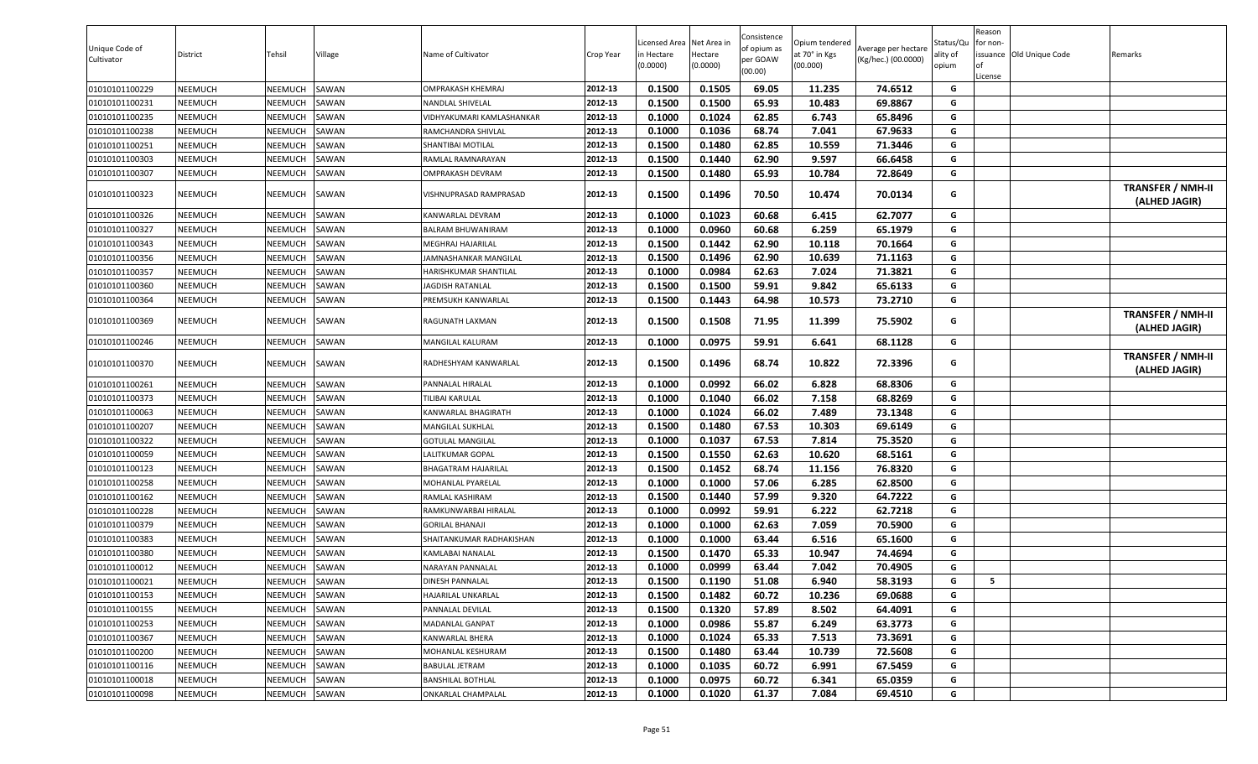| Unique Code of<br>Cultivator | District       | Tehsil  | Village      | Name of Cultivator        | Crop Year | Licensed Area<br>in Hectare<br>(0.0000) | Net Area in<br>Hectare<br>(0.0000) | Consistence<br>of opium as<br>per GOAW<br>(00.00) | Opium tendered<br>at 70° in Kgs<br>(00.000) | Average per hectare<br>(Kg/hec.) (00.0000) | Status/Qu<br>ality of<br>opium | Reason<br>for non-<br>License | issuance Old Unique Code | Remarks                                   |
|------------------------------|----------------|---------|--------------|---------------------------|-----------|-----------------------------------------|------------------------------------|---------------------------------------------------|---------------------------------------------|--------------------------------------------|--------------------------------|-------------------------------|--------------------------|-------------------------------------------|
| 01010101100229               | <b>NEEMUCH</b> | NEEMUCH | SAWAN        | OMPRAKASH KHEMRAJ         | 2012-13   | 0.1500                                  | 0.1505                             | 69.05                                             | 11.235                                      | 74.6512                                    | G                              |                               |                          |                                           |
| 01010101100231               | <b>NEEMUCH</b> | NEEMUCH | SAWAN        | NANDLAL SHIVELAL          | 2012-13   | 0.1500                                  | 0.1500                             | 65.93                                             | 10.483                                      | 69.8867                                    | G                              |                               |                          |                                           |
| 01010101100235               | <b>NEEMUCH</b> | NEEMUCH | SAWAN        | VIDHYAKUMARI KAMLASHANKAR | 2012-13   | 0.1000                                  | 0.1024                             | 62.85                                             | 6.743                                       | 65.8496                                    | G                              |                               |                          |                                           |
| 01010101100238               | <b>NEEMUCH</b> | NEEMUCH | <b>SAWAN</b> | RAMCHANDRA SHIVLAL        | 2012-13   | 0.1000                                  | 0.1036                             | 68.74                                             | 7.041                                       | 67.9633                                    | G                              |                               |                          |                                           |
| 01010101100251               | <b>NEEMUCH</b> | NEEMUCH | SAWAN        | SHANTIBAI MOTILAL         | 2012-13   | 0.1500                                  | 0.1480                             | 62.85                                             | 10.559                                      | 71.3446                                    | G                              |                               |                          |                                           |
| 01010101100303               | NEEMUCH        | NEEMUCH | SAWAN        | RAMLAL RAMNARAYAN         | 2012-13   | 0.1500                                  | 0.1440                             | 62.90                                             | 9.597                                       | 66.6458                                    | G                              |                               |                          |                                           |
| 01010101100307               | <b>NEEMUCH</b> | NEEMUCH | SAWAN        | OMPRAKASH DEVRAM          | 2012-13   | 0.1500                                  | 0.1480                             | 65.93                                             | 10.784                                      | 72.8649                                    | G                              |                               |                          |                                           |
| 01010101100323               | <b>NEEMUCH</b> | NEEMUCH | SAWAN        | VISHNUPRASAD RAMPRASAD    | 2012-13   | 0.1500                                  | 0.1496                             | 70.50                                             | 10.474                                      | 70.0134                                    | G                              |                               |                          | <b>TRANSFER / NMH-II</b><br>(ALHED JAGIR) |
| 01010101100326               | NEEMUCH        | NEEMUCH | SAWAN        | KANWARLAL DEVRAM          | 2012-13   | 0.1000                                  | 0.1023                             | 60.68                                             | 6.415                                       | 62.7077                                    | G                              |                               |                          |                                           |
| 01010101100327               | <b>NEEMUCH</b> | NEEMUCH | SAWAN        | BALRAM BHUWANIRAM         | 2012-13   | 0.1000                                  | 0.0960                             | 60.68                                             | 6.259                                       | 65.1979                                    | G                              |                               |                          |                                           |
| 01010101100343               | <b>NEEMUCH</b> | NEEMUCH | SAWAN        | MEGHRAJ HAJARILAL         | 2012-13   | 0.1500                                  | 0.1442                             | 62.90                                             | 10.118                                      | 70.1664                                    | G                              |                               |                          |                                           |
| 01010101100356               | <b>NEEMUCH</b> | NEEMUCH | SAWAN        | JAMNASHANKAR MANGILAL     | 2012-13   | 0.1500                                  | 0.1496                             | 62.90                                             | 10.639                                      | 71.1163                                    | G                              |                               |                          |                                           |
| 01010101100357               | <b>NEEMUCH</b> | NEEMUCH | SAWAN        | HARISHKUMAR SHANTILAL     | 2012-13   | 0.1000                                  | 0.0984                             | 62.63                                             | 7.024                                       | 71.3821                                    | G                              |                               |                          |                                           |
| 01010101100360               | <b>NEEMUCH</b> | NEEMUCH | SAWAN        | JAGDISH RATANLAL          | 2012-13   | 0.1500                                  | 0.1500                             | 59.91                                             | 9.842                                       | 65.6133                                    | G                              |                               |                          |                                           |
| 01010101100364               | <b>NEEMUCH</b> | NEEMUCH | SAWAN        | PREMSUKH KANWARLAL        | 2012-13   | 0.1500                                  | 0.1443                             | 64.98                                             | 10.573                                      | 73.2710                                    | G                              |                               |                          |                                           |
| 01010101100369               | <b>NEEMUCH</b> | NEEMUCH | SAWAN        | RAGUNATH LAXMAN           | 2012-13   | 0.1500                                  | 0.1508                             | 71.95                                             | 11.399                                      | 75.5902                                    | G                              |                               |                          | <b>TRANSFER / NMH-II</b><br>(ALHED JAGIR) |
| 01010101100246               | <b>NEEMUCH</b> | NEEMUCH | SAWAN        | MANGILAL KALURAM          | 2012-13   | 0.1000                                  | 0.0975                             | 59.91                                             | 6.641                                       | 68.1128                                    | G                              |                               |                          |                                           |
| 01010101100370               | NEEMUCH        | NEEMUCH | SAWAN        | RADHESHYAM KANWARLAL      | 2012-13   | 0.1500                                  | 0.1496                             | 68.74                                             | 10.822                                      | 72.3396                                    | G                              |                               |                          | <b>TRANSFER / NMH-II</b><br>(ALHED JAGIR) |
| 01010101100261               | <b>NEEMUCH</b> | NEEMUCH | SAWAN        | PANNALAL HIRALAL          | 2012-13   | 0.1000                                  | 0.0992                             | 66.02                                             | 6.828                                       | 68.8306                                    | G                              |                               |                          |                                           |
| 01010101100373               | <b>NEEMUCH</b> | NEEMUCH | SAWAN        | TILIBAI KARULAL           | 2012-13   | 0.1000                                  | 0.1040                             | 66.02                                             | 7.158                                       | 68.8269                                    | G                              |                               |                          |                                           |
| 01010101100063               | <b>NEEMUCH</b> | NEEMUCH | SAWAN        | KANWARLAL BHAGIRATH       | 2012-13   | 0.1000                                  | 0.1024                             | 66.02                                             | 7.489                                       | 73.1348                                    | G                              |                               |                          |                                           |
| 01010101100207               | <b>NEEMUCH</b> | NEEMUCH | SAWAN        | MANGILAL SUKHLAL          | 2012-13   | 0.1500                                  | 0.1480                             | 67.53                                             | 10.303                                      | 69.6149                                    | G                              |                               |                          |                                           |
| 01010101100322               | <b>NEEMUCH</b> | NEEMUCH | SAWAN        | <b>GOTULAL MANGILAL</b>   | 2012-13   | 0.1000                                  | 0.1037                             | 67.53                                             | 7.814                                       | 75.3520                                    | G                              |                               |                          |                                           |
| 01010101100059               | <b>NEEMUCH</b> | NEEMUCH | SAWAN        | LALITKUMAR GOPAL          | 2012-13   | 0.1500                                  | 0.1550                             | 62.63                                             | 10.620                                      | 68.5161                                    | G                              |                               |                          |                                           |
| 01010101100123               | <b>NEEMUCH</b> | NEEMUCH | SAWAN        | BHAGATRAM HAJARILAL       | 2012-13   | 0.1500                                  | 0.1452                             | 68.74                                             | 11.156                                      | 76.8320                                    | G                              |                               |                          |                                           |
| 01010101100258               | <b>NEEMUCH</b> | NEEMUCH | SAWAN        | MOHANLAL PYARELAL         | 2012-13   | 0.1000                                  | 0.1000                             | 57.06                                             | 6.285                                       | 62.8500                                    | G                              |                               |                          |                                           |
| 01010101100162               | <b>NEEMUCH</b> | NEEMUCH | SAWAN        | RAMLAL KASHIRAM           | 2012-13   | 0.1500                                  | 0.1440                             | 57.99                                             | 9.320                                       | 64.7222                                    | G                              |                               |                          |                                           |
| 01010101100228               | <b>NEEMUCH</b> | NEEMUCH | SAWAN        | RAMKUNWARBAI HIRALAL      | 2012-13   | 0.1000                                  | 0.0992                             | 59.91                                             | 6.222                                       | 62.7218                                    | G                              |                               |                          |                                           |
| 01010101100379               | <b>NEEMUCH</b> | NEEMUCH | SAWAN        | <b>GORILAL BHANAJI</b>    | 2012-13   | 0.1000                                  | 0.1000                             | 62.63                                             | 7.059                                       | 70.5900                                    | G                              |                               |                          |                                           |
| 01010101100383               | <b>NEEMUCH</b> | NEEMUCH | SAWAN        | SHAITANKUMAR RADHAKISHAN  | 2012-13   | 0.1000                                  | 0.1000                             | 63.44                                             | 6.516                                       | 65.1600                                    | G                              |                               |                          |                                           |
| 01010101100380               | <b>NEEMUCH</b> | NEEMUCH | SAWAN        | KAMLABAI NANALAL          | 2012-13   | 0.1500                                  | 0.1470                             | 65.33                                             | 10.947                                      | 74.4694                                    | G                              |                               |                          |                                           |
| 01010101100012               | <b>NEEMUCH</b> | NEEMUCH | SAWAN        | NARAYAN PANNALAL          | 2012-13   | 0.1000                                  | 0.0999                             | 63.44                                             | 7.042                                       | 70.4905                                    | G                              |                               |                          |                                           |
| 01010101100021               | <b>NEEMUCH</b> | NEEMUCH | SAWAN        | DINESH PANNALAL           | 2012-13   | 0.1500                                  | 0.1190                             | 51.08                                             | 6.940                                       | 58.3193                                    | G                              | -5                            |                          |                                           |
| 01010101100153               | <b>NEEMUCH</b> | NEEMUCH | SAWAN        | HAJARILAL UNKARLAL        | 2012-13   | 0.1500                                  | 0.1482                             | 60.72                                             | 10.236                                      | 69.0688                                    | G                              |                               |                          |                                           |
| 01010101100155               | <b>NEEMUCH</b> | NEEMUCH | SAWAN        | PANNALAL DEVILAL          | 2012-13   | 0.1500                                  | 0.1320                             | 57.89                                             | 8.502                                       | 64.4091                                    | G                              |                               |                          |                                           |
| 01010101100253               | <b>NEEMUCH</b> | NEEMUCH | SAWAN        | <b>MADANLAL GANPAT</b>    | 2012-13   | 0.1000                                  | 0.0986                             | 55.87                                             | 6.249                                       | 63.3773                                    | G                              |                               |                          |                                           |
| 01010101100367               | <b>NEEMUCH</b> | NEEMUCH | SAWAN        | KANWARLAL BHERA           | 2012-13   | 0.1000                                  | 0.1024                             | 65.33                                             | 7.513                                       | 73.3691                                    | G                              |                               |                          |                                           |
| 01010101100200               | <b>NEEMUCH</b> | NEEMUCH | SAWAN        | MOHANLAL KESHURAM         | 2012-13   | 0.1500                                  | 0.1480                             | 63.44                                             | 10.739                                      | 72.5608                                    | G                              |                               |                          |                                           |
| 01010101100116               | <b>NEEMUCH</b> | NEEMUCH | SAWAN        | <b>BABULAL JETRAM</b>     | 2012-13   | 0.1000                                  | 0.1035                             | 60.72                                             | 6.991                                       | 67.5459                                    | G                              |                               |                          |                                           |
| 01010101100018               | <b>NEEMUCH</b> | NEEMUCH | SAWAN        | BANSHILAL BOTHLAL         | 2012-13   | 0.1000                                  | 0.0975                             | 60.72                                             | 6.341                                       | 65.0359                                    | G                              |                               |                          |                                           |
| 01010101100098               | <b>NEEMUCH</b> | NEEMUCH | SAWAN        | ONKARLAL CHAMPALAL        | 2012-13   | 0.1000                                  | 0.1020                             | 61.37                                             | 7.084                                       | 69.4510                                    | G                              |                               |                          |                                           |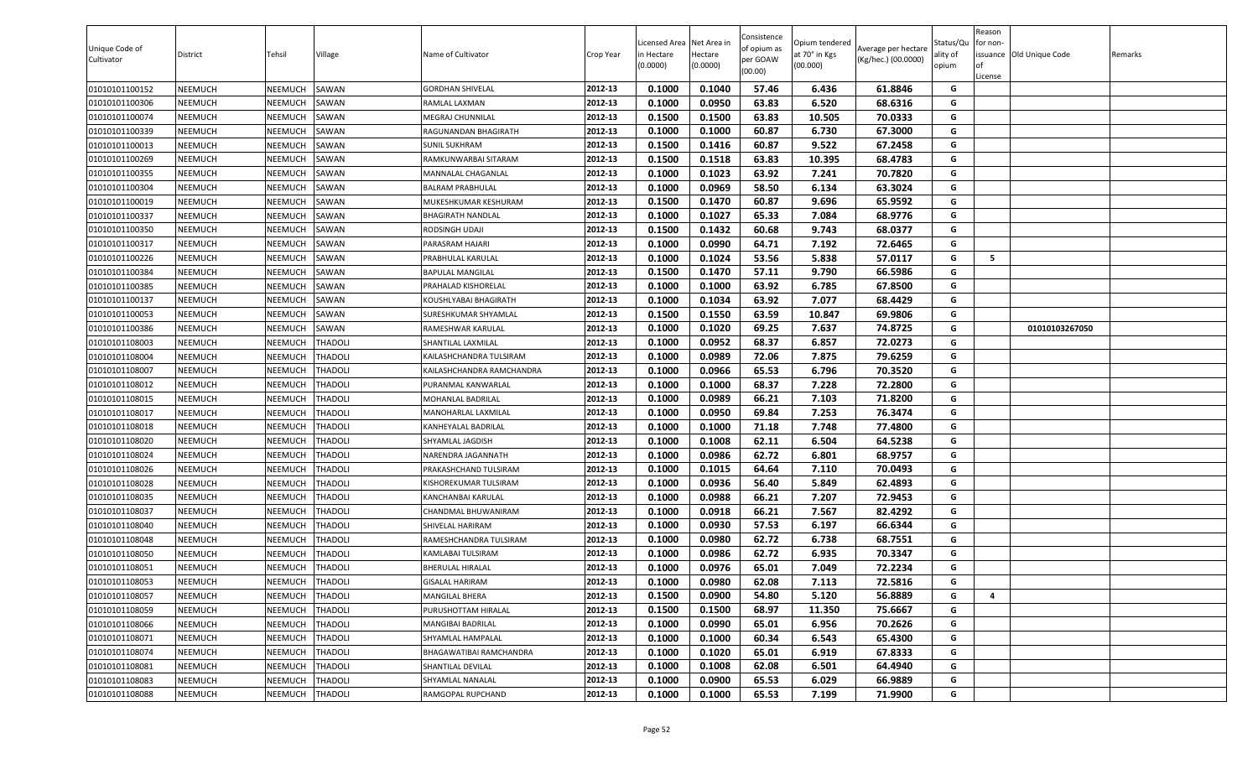| Unique Code of<br>Cultivator | District       | Tehsil         | Village        | Name of Cultivator        | Crop Year | Licensed Area<br>n Hectare<br>(0.0000) | Net Area ir<br>Hectare<br>(0.0000) | Consistence<br>of opium as<br>per GOAW<br>(00.00) | Opium tendered<br>at 70° in Kgs<br>(00.000) | Average per hectare<br>(Kg/hec.) (00.0000) | Status/Qu<br>ality of<br>opium | Reason<br>or non-<br>of<br>License | issuance Old Unique Code | Remarks |
|------------------------------|----------------|----------------|----------------|---------------------------|-----------|----------------------------------------|------------------------------------|---------------------------------------------------|---------------------------------------------|--------------------------------------------|--------------------------------|------------------------------------|--------------------------|---------|
| 01010101100152               | NEEMUCH        | NEEMUCH        | SAWAN          | <b>GORDHAN SHIVELAL</b>   | 2012-13   | 0.1000                                 | 0.1040                             | 57.46                                             | 6.436                                       | 61.8846                                    | G                              |                                    |                          |         |
| 01010101100306               | NEEMUCH        | NEEMUCH        | SAWAN          | RAMLAL LAXMAN             | 2012-13   | 0.1000                                 | 0.0950                             | 63.83                                             | 6.520                                       | 68.6316                                    | G                              |                                    |                          |         |
| 01010101100074               | NEEMUCH        | NEEMUCH        | SAWAN          | <b>MEGRAJ CHUNNILAL</b>   | 2012-13   | 0.1500                                 | 0.1500                             | 63.83                                             | 10.505                                      | 70.0333                                    | G                              |                                    |                          |         |
| 01010101100339               | NEEMUCH        | NEEMUCH        | SAWAN          | RAGUNANDAN BHAGIRATH      | 2012-13   | 0.1000                                 | 0.1000                             | 60.87                                             | 6.730                                       | 67.3000                                    | G                              |                                    |                          |         |
| 01010101100013               | NEEMUCH        | NEEMUCH        | SAWAN          | <b>SUNIL SUKHRAM</b>      | 2012-13   | 0.1500                                 | 0.1416                             | 60.87                                             | 9.522                                       | 67.2458                                    | G                              |                                    |                          |         |
| 01010101100269               | NEEMUCH        | NEEMUCH        | SAWAN          | RAMKUNWARBAI SITARAM      | 2012-13   | 0.1500                                 | 0.1518                             | 63.83                                             | 10.395                                      | 68.4783                                    | G                              |                                    |                          |         |
| 01010101100355               | NEEMUCH        | NEEMUCH        | SAWAN          | MANNALAL CHAGANLAL        | 2012-13   | 0.1000                                 | 0.1023                             | 63.92                                             | 7.241                                       | 70.7820                                    | G                              |                                    |                          |         |
| 01010101100304               | NEEMUCH        | NEEMUCH        | SAWAN          | <b>BALRAM PRABHULAL</b>   | 2012-13   | 0.1000                                 | 0.0969                             | 58.50                                             | 6.134                                       | 63.3024                                    | G                              |                                    |                          |         |
| 01010101100019               | NEEMUCH        | NEEMUCH        | SAWAN          | MUKESHKUMAR KESHURAM      | 2012-13   | 0.1500                                 | 0.1470                             | 60.87                                             | 9.696                                       | 65.9592                                    | G                              |                                    |                          |         |
| 01010101100337               | NEEMUCH        | NEEMUCH        | SAWAN          | <b>BHAGIRATH NANDLAL</b>  | 2012-13   | 0.1000                                 | 0.1027                             | 65.33                                             | 7.084                                       | 68.9776                                    | G                              |                                    |                          |         |
| 01010101100350               | NEEMUCH        | NEEMUCH        | SAWAN          | RODSINGH UDAJI            | 2012-13   | 0.1500                                 | 0.1432                             | 60.68                                             | 9.743                                       | 68.0377                                    | G                              |                                    |                          |         |
| 01010101100317               | NEEMUCH        | NEEMUCH        | SAWAN          | PARASRAM HAJARI           | 2012-13   | 0.1000                                 | 0.0990                             | 64.71                                             | 7.192                                       | 72.6465                                    | G                              |                                    |                          |         |
| 01010101100226               | NEEMUCH        | NEEMUCH        | SAWAN          | PRABHULAL KARULAL         | 2012-13   | 0.1000                                 | 0.1024                             | 53.56                                             | 5.838                                       | 57.0117                                    | G                              | 5                                  |                          |         |
| 01010101100384               | NEEMUCH        | NEEMUCH        | SAWAN          | <b>BAPULAL MANGILAL</b>   | 2012-13   | 0.1500                                 | 0.1470                             | 57.11                                             | 9.790                                       | 66.5986                                    | G                              |                                    |                          |         |
| 01010101100385               | <b>NEEMUCH</b> | NEEMUCH        | SAWAN          | PRAHALAD KISHORELAL       | 2012-13   | 0.1000                                 | 0.1000                             | 63.92                                             | 6.785                                       | 67.8500                                    | G                              |                                    |                          |         |
| 01010101100137               | NEEMUCH        | NEEMUCH        | SAWAN          | KOUSHLYABAI BHAGIRATH     | 2012-13   | 0.1000                                 | 0.1034                             | 63.92                                             | 7.077                                       | 68.4429                                    | G                              |                                    |                          |         |
| 01010101100053               | NEEMUCH        | NEEMUCH        | SAWAN          | SURESHKUMAR SHYAMLAL      | 2012-13   | 0.1500                                 | 0.1550                             | 63.59                                             | 10.847                                      | 69.9806                                    | G                              |                                    |                          |         |
| 01010101100386               | NEEMUCH        | NEEMUCH        | SAWAN          | RAMESHWAR KARULAL         | 2012-13   | 0.1000                                 | 0.1020                             | 69.25                                             | 7.637                                       | 74.8725                                    | G                              |                                    | 01010103267050           |         |
| 01010101108003               | NEEMUCH        | NEEMUCH        | THADOLI        | SHANTILAL LAXMILAL        | 2012-13   | 0.1000                                 | 0.0952                             | 68.37                                             | 6.857                                       | 72.0273                                    | G                              |                                    |                          |         |
| 01010101108004               | NEEMUCH        | NEEMUCH        | THADOLI        | KAILASHCHANDRA TULSIRAM   | 2012-13   | 0.1000                                 | 0.0989                             | 72.06                                             | 7.875                                       | 79.6259                                    | G                              |                                    |                          |         |
| 01010101108007               | NEEMUCH        | NEEMUCH        | THADOLI        | KAILASHCHANDRA RAMCHANDRA | 2012-13   | 0.1000                                 | 0.0966                             | 65.53                                             | 6.796                                       | 70.3520                                    | G                              |                                    |                          |         |
| 01010101108012               | NEEMUCH        | NEEMUCH        | <b>THADOLI</b> | PURANMAL KANWARLAL        | 2012-13   | 0.1000                                 | 0.1000                             | 68.37                                             | 7.228                                       | 72.2800                                    | G                              |                                    |                          |         |
| 01010101108015               | NEEMUCH        | NEEMUCH        | <b>THADOLI</b> | MOHANLAL BADRILAL         | 2012-13   | 0.1000                                 | 0.0989                             | 66.21                                             | 7.103                                       | 71.8200                                    | G                              |                                    |                          |         |
| 01010101108017               | NEEMUCH        | NEEMUCH        | <b>THADOLI</b> | MANOHARLAL LAXMILAL       | 2012-13   | 0.1000                                 | 0.0950                             | 69.84                                             | 7.253                                       | 76.3474                                    | G                              |                                    |                          |         |
| 01010101108018               | NEEMUCH        | NEEMUCH        | THADOLI        | KANHEYALAL BADRILAL       | 2012-13   | 0.1000                                 | 0.1000                             | 71.18                                             | 7.748                                       | 77.4800                                    | G                              |                                    |                          |         |
| 01010101108020               | NEEMUCH        | NEEMUCH        | <b>THADOLI</b> | SHYAMLAL JAGDISH          | 2012-13   | 0.1000                                 | 0.1008                             | 62.11                                             | 6.504                                       | 64.5238                                    | G                              |                                    |                          |         |
| 01010101108024               | NEEMUCH        | NEEMUCH        | THADOLI        | NARENDRA JAGANNATH        | 2012-13   | 0.1000                                 | 0.0986                             | 62.72                                             | 6.801                                       | 68.9757                                    | G                              |                                    |                          |         |
| 01010101108026               | NEEMUCH        | NEEMUCH        | <b>THADOLI</b> | PRAKASHCHAND TULSIRAM     | 2012-13   | 0.1000                                 | 0.1015                             | 64.64                                             | 7.110                                       | 70.0493                                    | G                              |                                    |                          |         |
| 01010101108028               | NEEMUCH        | NEEMUCH        | THADOLI        | KISHOREKUMAR TULSIRAM     | 2012-13   | 0.1000                                 | 0.0936                             | 56.40                                             | 5.849                                       | 62.4893                                    | G                              |                                    |                          |         |
| 01010101108035               | NEEMUCH        | NEEMUCH        | <b>THADOLI</b> | KANCHANBAI KARULAL        | 2012-13   | 0.1000                                 | 0.0988                             | 66.21                                             | 7.207                                       | 72.9453                                    | G                              |                                    |                          |         |
| 01010101108037               | NEEMUCH        | NEEMUCH        | <b>THADOLI</b> | CHANDMAL BHUWANIRAM       | 2012-13   | 0.1000                                 | 0.0918                             | 66.21                                             | 7.567                                       | 82.4292                                    | G                              |                                    |                          |         |
| 01010101108040               | NEEMUCH        | NEEMUCH        | <b>THADOLI</b> | SHIVELAL HARIRAM          | 2012-13   | 0.1000                                 | 0.0930                             | 57.53                                             | 6.197                                       | 66.6344                                    | G                              |                                    |                          |         |
| 01010101108048               | NEEMUCH        | NEEMUCH        | THADOLI        | RAMESHCHANDRA TULSIRAM    | 2012-13   | 0.1000                                 | 0.0980                             | 62.72                                             | 6.738                                       | 68.7551                                    | G                              |                                    |                          |         |
| 01010101108050               | NEEMUCH        | NEEMUCH        | <b>THADOLI</b> | KAMLABAI TULSIRAM         | 2012-13   | 0.1000                                 | 0.0986                             | 62.72                                             | 6.935                                       | 70.3347                                    | G                              |                                    |                          |         |
| 01010101108051               | NEEMUCH        | NEEMUCH        | <b>THADOLI</b> | <b>BHERULAL HIRALAL</b>   | 2012-13   | 0.1000                                 | 0.0976                             | 65.01                                             | 7.049                                       | 72.2234                                    | G                              |                                    |                          |         |
| 01010101108053               | NEEMUCH        | <b>NEEMUCH</b> | <b>THADOLI</b> | <b>GISALAL HARIRAM</b>    | 2012-13   | 0.1000                                 | 0.0980                             | 62.08                                             | 7.113                                       | 72.5816                                    | G                              |                                    |                          |         |
| 01010101108057               | NEEMUCH        | NEEMUCH        | <b>THADOLI</b> | MANGILAL BHERA            | 2012-13   | 0.1500                                 | 0.0900                             | 54.80                                             | 5.120                                       | 56.8889                                    | G                              | 4                                  |                          |         |
| 01010101108059               | NEEMUCH        | NEEMUCH        | <b>THADOLI</b> | PURUSHOTTAM HIRALAL       | 2012-13   | 0.1500                                 | 0.1500                             | 68.97                                             | 11.350                                      | 75.6667                                    | G                              |                                    |                          |         |
| 01010101108066               | <b>NEEMUCH</b> | NEEMUCH        | <b>THADOLI</b> | MANGIBAI BADRILAL         | 2012-13   | 0.1000                                 | 0.0990                             | 65.01                                             | 6.956                                       | 70.2626                                    | G                              |                                    |                          |         |
| 01010101108071               | <b>NEEMUCH</b> | NEEMUCH        | <b>THADOLI</b> | SHYAMLAL HAMPALAL         | 2012-13   | 0.1000                                 | 0.1000                             | 60.34                                             | 6.543                                       | 65.4300                                    | G                              |                                    |                          |         |
| 01010101108074               | <b>NEEMUCH</b> | NEEMUCH        | <b>THADOLI</b> | BHAGAWATIBAI RAMCHANDRA   | 2012-13   | 0.1000                                 | 0.1020                             | 65.01                                             | 6.919                                       | 67.8333                                    | G                              |                                    |                          |         |
| 01010101108081               | NEEMUCH        | NEEMUCH        | <b>THADOLI</b> | SHANTILAL DEVILAL         | 2012-13   | 0.1000                                 | 0.1008                             | 62.08                                             | 6.501                                       | 64.4940                                    | G                              |                                    |                          |         |
| 01010101108083               | <b>NEEMUCH</b> | NEEMUCH        | <b>THADOLI</b> | SHYAMLAL NANALAL          | 2012-13   | 0.1000                                 | 0.0900                             | 65.53                                             | 6.029                                       | 66.9889                                    | G                              |                                    |                          |         |
| 01010101108088               | <b>NEEMUCH</b> | <b>NEEMUCH</b> | <b>THADOLI</b> | RAMGOPAL RUPCHAND         | 2012-13   | 0.1000                                 | 0.1000                             | 65.53                                             | 7.199                                       | 71.9900                                    | G                              |                                    |                          |         |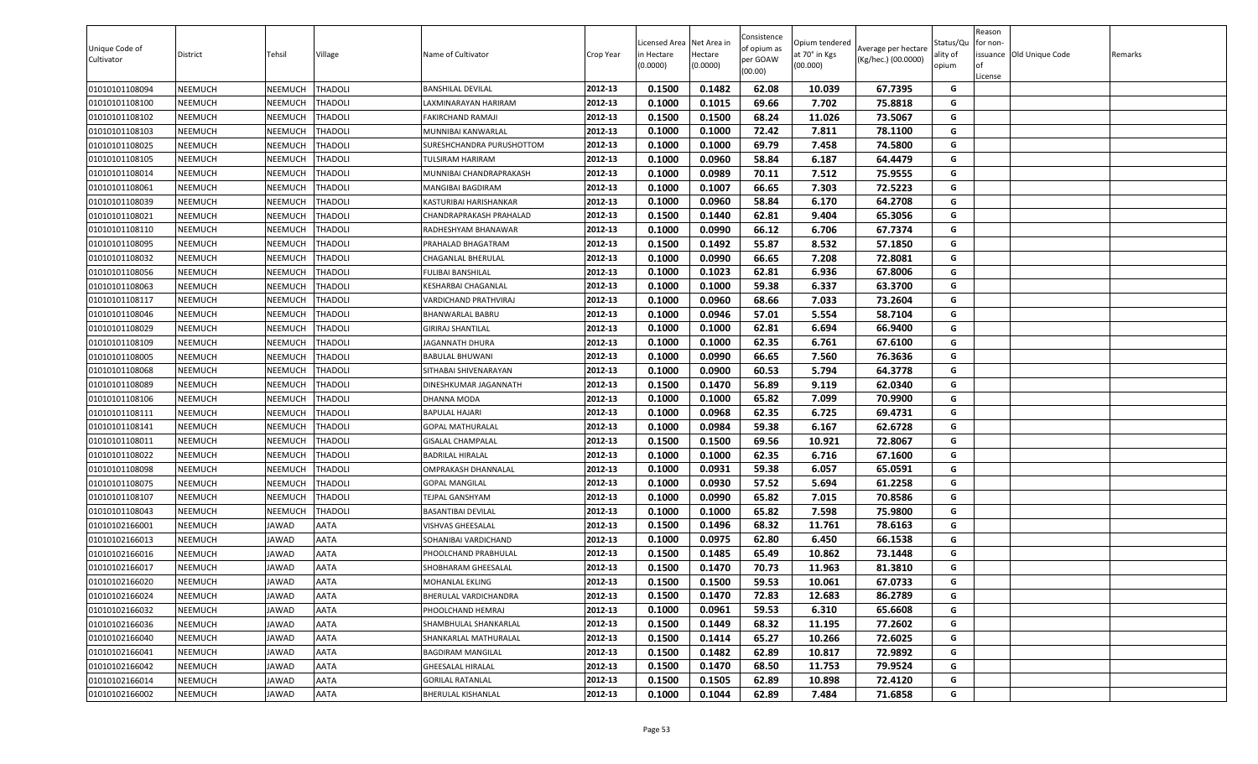| 0.1500<br>0.1482<br>62.08<br>67.7395<br>01010101108094<br><b>NEEMUCH</b><br>NEEMUCH<br>THADOLI<br>2012-13<br>10.039<br>G<br>BANSHILAL DEVILAL<br>0.1000<br>0.1015<br>69.66<br>7.702<br>75.8818<br>01010101108100<br>NEEMUCH<br>NEEMUCH<br>THADOLI<br>2012-13<br>G<br>AXMINARAYAN HARIRAM<br>01010101108102<br><b>NEEMUCH</b><br>NEEMUCH<br>THADOLI<br>2012-13<br>0.1500<br>0.1500<br>68.24<br>11.026<br>73.5067<br>G<br>FAKIRCHAND RAMAJI<br>0.1000<br>72.42<br>7.811<br>NEEMUCH<br>NEEMUCH<br><b>THADOLI</b><br>2012-13<br>0.1000<br>78.1100<br>G<br>01010101108103<br>MUNNIBAI KANWARLAL<br>69.79<br>0.1000<br>0.1000<br>7.458<br>74.5800<br>G<br>01010101108025<br><b>NEEMUCH</b><br>NEEMUCH<br>THADOLI<br>2012-13<br>SURESHCHANDRA PURUSHOTTOM<br>2012-13<br>0.0960<br>58.84<br>6.187<br>NEEMUCH<br><b>THADOLI</b><br>0.1000<br>64.4479<br>G<br>01010101108105<br><b>NEEMUCH</b><br>TULSIRAM HARIRAM<br>2012-13<br>0.1000<br>0.0989<br>70.11<br>7.512<br>75.9555<br>G<br>01010101108014<br><b>NEEMUCH</b><br>NEEMUCH<br>THADOLI<br>MUNNIBAI CHANDRAPRAKASH<br>66.65<br>G<br>2012-13<br>0.1000<br>0.1007<br>7.303<br>72.5223<br>01010101108061<br><b>NEEMUCH</b><br>NEEMUCH<br>THADOLI<br>MANGIBAI BAGDIRAM<br>2012-13<br>0.1000<br>0.0960<br>58.84<br>6.170<br>64.2708<br>G<br>01010101108039<br><b>NEEMUCH</b><br>NEEMUCH<br>THADOLI<br>KASTURIBAI HARISHANKAR<br>01010101108021<br>NEEMUCH<br>0.1500<br>0.1440<br>62.81<br>9.404<br>65.3056<br>G<br>NEEMUCH<br>THADOLI<br>2012-13<br>CHANDRAPRAKASH PRAHALAD<br>0.0990<br>66.12<br>6.706<br>67.7374<br>01010101108110<br><b>NEEMUCH</b><br>NEEMUCH<br>THADOLI<br>2012-13<br>0.1000<br>G<br>RADHESHYAM BHANAWAR<br>55.87<br>8.532<br>G<br>NEEMUCH<br>THADOLI<br>2012-13<br>0.1500<br>0.1492<br>57.1850<br>01010101108095<br>NEEMUCH<br>PRAHALAD BHAGATRAM<br>66.65<br>0.1000<br>0.0990<br>7.208<br>72.8081<br>01010101108032<br><b>NEEMUCH</b><br>NEEMUCH<br>THADOLI<br>2012-13<br>G<br>CHAGANLAL BHERULAL<br>0.1023<br>62.81<br>6.936<br>67.8006<br>THADOLI<br>2012-13<br>0.1000<br>G<br>01010101108056<br><b>NEEMUCH</b><br>NEEMUCH<br>FULIBAI BANSHILAL<br>NEEMUCH<br>0.1000<br>0.1000<br>59.38<br>6.337<br>63.3700<br>G<br>01010101108063<br><b>NEEMUCH</b><br><b>THADOLI</b><br>2012-13<br>KESHARBAI CHAGANLAL<br>0.1000<br>0.0960<br>68.66<br>7.033<br>73.2604<br>G<br>01010101108117<br><b>NEEMUCH</b><br>NEEMUCH<br>THADOLI<br>2012-13<br>VARDICHAND PRATHVIRAJ<br>0.1000<br>0.0946<br>57.01<br>5.554<br>58.7104<br>2012-13<br>G<br>01010101108046<br><b>NEEMUCH</b><br>NEEMUCH<br>THADOLI<br>BHANWARLAL BABRU<br>2012-13<br>0.1000<br>0.1000<br>62.81<br>6.694<br>66.9400<br>G<br>01010101108029<br><b>NEEMUCH</b><br>NEEMUCH<br>THADOLI<br>GIRIRAJ SHANTILAL<br>01010101108109<br>2012-13<br>0.1000<br>0.1000<br>62.35<br>6.761<br>67.6100<br>G<br><b>NEEMUCH</b><br>NEEMUCH<br>THADOLI<br>JAGANNATH DHURA<br>2012-13<br>0.0990<br>66.65<br>G<br>01010101108005<br><b>NEEMUCH</b><br>NEEMUCH<br>THADOLI<br>0.1000<br>7.560<br>76.3636<br>BABULAL BHUWANI<br>0.1000<br>0.0900<br>60.53<br>5.794<br>64.3778<br>NEEMUCH<br>NEEMUCH<br><b>THADOLI</b><br>2012-13<br>G<br>01010101108068<br>SITHABAI SHIVENARAYAN<br>56.89<br>0.1500<br>0.1470<br>9.119<br>62.0340<br>01010101108089<br><b>NEEMUCH</b><br>NEEMUCH<br>THADOLI<br>2012-13<br>G<br>DINESHKUMAR JAGANNATH<br>01010101108106<br><b>NEEMUCH</b><br>NEEMUCH<br>THADOLI<br>2012-13<br>0.1000<br>0.1000<br>65.82<br>7.099<br>70.9900<br>G<br>DHANNA MODA<br>0.0968<br>01010101108111<br><b>NEEMUCH</b><br>NEEMUCH<br>THADOLI<br>2012-13<br>0.1000<br>62.35<br>6.725<br>69.4731<br>G<br>BAPULAL HAJARI<br>0.0984<br>59.38<br>6.167<br>62.6728<br>01010101108141<br>NEEMUCH<br>NEEMUCH<br>THADOLI<br>2012-13<br>0.1000<br>G<br><b>GOPAL MATHURALAL</b><br>0.1500<br>69.56<br>10.921<br>72.8067<br>01010101108011<br><b>NEEMUCH</b><br>NEEMUCH<br>THADOLI<br>2012-13<br>0.1500<br>G<br><b>GISALAL CHAMPALAL</b><br>01010101108022<br>NEEMUCH<br><b>THADOLI</b><br>2012-13<br>0.1000<br>0.1000<br>62.35<br>6.716<br>67.1600<br><b>NEEMUCH</b><br>G<br>BADRILAL HIRALAL<br>0.0931<br>59.38<br>01010101108098<br>NEEMUCH<br>NEEMUCH<br>THADOLI<br>2012-13<br>0.1000<br>6.057<br>65.0591<br>G<br>OMPRAKASH DHANNALAL<br>2012-13<br>0.0930<br>57.52<br>5.694<br>61.2258<br>G<br>NEEMUCH<br>THADOLI<br>0.1000<br>01010101108075<br><b>NEEMUCH</b><br>GOPAL MANGILAL<br>65.82<br>G<br>2012-13<br>0.1000<br>0.0990<br>7.015<br>70.8586<br>01010101108107<br><b>NEEMUCH</b><br>NEEMUCH<br>THADOLI<br>TEJPAL GANSHYAM<br>2012-13<br>0.1000<br>65.82<br>7.598<br>75.9800<br>G<br><b>NEEMUCH</b><br>NEEMUCH<br>THADOLI<br>0.1000<br>01010101108043<br>BASANTIBAI DEVILAL<br><b>JAWAD</b><br>AATA<br>2012-13<br>0.1500<br>0.1496<br>68.32<br>11.761<br>78.6163<br>G<br>01010102166001<br><b>NEEMUCH</b><br>VISHVAS GHEESALAL<br>AATA<br>0.0975<br>62.80<br>6.450<br>G<br>01010102166013<br><b>NEEMUCH</b><br><b>JAWAD</b><br>2012-13<br>0.1000<br>66.1538<br>SOHANIBAI VARDICHAND<br>0.1485<br>65.49<br>01010102166016<br><b>NEEMUCH</b><br>JAWAD<br><b>AATA</b><br>2012-13<br>0.1500<br>10.862<br>73.1448<br>G<br>PHOOLCHAND PRABHULAL<br>01010102166017<br>AATA<br>0.1500<br>0.1470<br>70.73<br>11.963<br>81.3810<br>G<br><b>NEEMUCH</b><br>JAWAD<br>2012-13<br>SHOBHARAM GHEESALAL<br>01010102166020<br><b>JAWAD</b><br>AATA<br>2012-13<br>0.1500<br>0.1500<br>59.53<br>10.061<br>67.0733<br><b>NEEMUCH</b><br>MOHANLAL EKLING<br>G<br>2012-13<br>0.1470<br>72.83<br>12.683<br>86.2789<br>01010102166024<br><b>NEEMUCH</b><br><b>JAWAD</b><br>AATA<br>0.1500<br>G<br>BHERULAL VARDICHANDRA<br>AATA<br>0.1000<br>0.0961<br>59.53<br>6.310<br>65.6608<br>01010102166032<br><b>NEEMUCH</b><br>JAWAD<br>2012-13<br>G<br>PHOOLCHAND HEMRAJ<br>68.32<br>77.2602<br>AATA<br>2012-13<br>0.1500<br>0.1449<br>11.195<br>G<br>01010102166036<br><b>NEEMUCH</b><br><b>JAWAD</b><br>SHAMBHULAL SHANKARLAL<br><b>AATA</b><br>0.1500<br>0.1414<br>65.27<br>10.266<br>72.6025<br>01010102166040<br><b>NEEMUCH</b><br>JAWAD<br>2012-13<br>G<br>SHANKARLAL MATHURALAL<br>G<br>2012-13<br>01010102166041<br><b>NEEMUCH</b><br><b>JAWAD</b><br><b>AATA</b><br>BAGDIRAM MANGILAL<br>0.1500<br>0.1482<br>62.89<br>10.817<br>72.9892<br>01010102166042<br>AATA<br>2012-13<br>0.1470<br>68.50<br>11.753<br>79.9524<br>G<br><b>NEEMUCH</b><br><b>GHEESALAL HIRALAL</b><br>0.1500<br>JAWAD<br>01010102166014<br>AATA<br>2012-13<br>0.1500<br>0.1505<br>62.89<br>10.898<br>72.4120<br>G<br><b>NEEMUCH</b><br><b>JAWAD</b><br><b>GORILAL RATANLAL</b><br>01010102166002<br>JAWAD<br>AATA<br>BHERULAL KISHANLAL<br>2012-13<br>0.1000<br>0.1044<br>62.89<br>7.484<br>71.6858<br>G<br><b>NEEMUCH</b> | Unique Code of<br>Cultivator | <b>District</b> | Tehsil | Village | Name of Cultivator | Crop Year | icensed Area<br>in Hectare<br>(0.0000) | Net Area in<br>Hectare<br>(0.0000) | Consistence<br>of opium as<br>per GOAW<br>(00.00) | Opium tendered<br>at 70° in Kgs<br>(00.000) | Average per hectare<br>(Kg/hec.) (00.0000) | Status/Qu<br>ality of<br>opium | Reason<br>for non-<br>lof<br>License | issuance Old Unique Code | Remarks |
|---------------------------------------------------------------------------------------------------------------------------------------------------------------------------------------------------------------------------------------------------------------------------------------------------------------------------------------------------------------------------------------------------------------------------------------------------------------------------------------------------------------------------------------------------------------------------------------------------------------------------------------------------------------------------------------------------------------------------------------------------------------------------------------------------------------------------------------------------------------------------------------------------------------------------------------------------------------------------------------------------------------------------------------------------------------------------------------------------------------------------------------------------------------------------------------------------------------------------------------------------------------------------------------------------------------------------------------------------------------------------------------------------------------------------------------------------------------------------------------------------------------------------------------------------------------------------------------------------------------------------------------------------------------------------------------------------------------------------------------------------------------------------------------------------------------------------------------------------------------------------------------------------------------------------------------------------------------------------------------------------------------------------------------------------------------------------------------------------------------------------------------------------------------------------------------------------------------------------------------------------------------------------------------------------------------------------------------------------------------------------------------------------------------------------------------------------------------------------------------------------------------------------------------------------------------------------------------------------------------------------------------------------------------------------------------------------------------------------------------------------------------------------------------------------------------------------------------------------------------------------------------------------------------------------------------------------------------------------------------------------------------------------------------------------------------------------------------------------------------------------------------------------------------------------------------------------------------------------------------------------------------------------------------------------------------------------------------------------------------------------------------------------------------------------------------------------------------------------------------------------------------------------------------------------------------------------------------------------------------------------------------------------------------------------------------------------------------------------------------------------------------------------------------------------------------------------------------------------------------------------------------------------------------------------------------------------------------------------------------------------------------------------------------------------------------------------------------------------------------------------------------------------------------------------------------------------------------------------------------------------------------------------------------------------------------------------------------------------------------------------------------------------------------------------------------------------------------------------------------------------------------------------------------------------------------------------------------------------------------------------------------------------------------------------------------------------------------------------------------------------------------------------------------------------------------------------------------------------------------------------------------------------------------------------------------------------------------------------------------------------------------------------------------------------------------------------------------------------------------------------------------------------------------------------------------------------------------------------------------------------------------------------------------------------------------------------------------------------------------------------------------------------------------------------------------------------------------------------------------------------------------------------------------------------------------------------------------------------------------------------------------------------------------------------------------------------------------------------------------------------------------------------------------------------------------------------------------------------------------------------------------------------------------------------------------------------------------------------------------------------------------------------------------------------------------------------------------------------------------------------------------------------------------------------------------------------------------------------------------------------------------------------------------------------------------------------------------------------------------------------------------------------------------------------------------------------------------------------------------------------------------------------------------------------------------------------------------------------------------------------------------------------------------------------|------------------------------|-----------------|--------|---------|--------------------|-----------|----------------------------------------|------------------------------------|---------------------------------------------------|---------------------------------------------|--------------------------------------------|--------------------------------|--------------------------------------|--------------------------|---------|
|                                                                                                                                                                                                                                                                                                                                                                                                                                                                                                                                                                                                                                                                                                                                                                                                                                                                                                                                                                                                                                                                                                                                                                                                                                                                                                                                                                                                                                                                                                                                                                                                                                                                                                                                                                                                                                                                                                                                                                                                                                                                                                                                                                                                                                                                                                                                                                                                                                                                                                                                                                                                                                                                                                                                                                                                                                                                                                                                                                                                                                                                                                                                                                                                                                                                                                                                                                                                                                                                                                                                                                                                                                                                                                                                                                                                                                                                                                                                                                                                                                                                                                                                                                                                                                                                                                                                                                                                                                                                                                                                                                                                                                                                                                                                                                                                                                                                                                                                                                                                                                                                                                                                                                                                                                                                                                                                                                                                                                                                                                                                                                                                                                                                                                                                                                                                                                                                                                                                                                                                                                                                                                                                                                                                                                                                                                                                                                                                                                                                                                                                                                                                                                                                           |                              |                 |        |         |                    |           |                                        |                                    |                                                   |                                             |                                            |                                |                                      |                          |         |
|                                                                                                                                                                                                                                                                                                                                                                                                                                                                                                                                                                                                                                                                                                                                                                                                                                                                                                                                                                                                                                                                                                                                                                                                                                                                                                                                                                                                                                                                                                                                                                                                                                                                                                                                                                                                                                                                                                                                                                                                                                                                                                                                                                                                                                                                                                                                                                                                                                                                                                                                                                                                                                                                                                                                                                                                                                                                                                                                                                                                                                                                                                                                                                                                                                                                                                                                                                                                                                                                                                                                                                                                                                                                                                                                                                                                                                                                                                                                                                                                                                                                                                                                                                                                                                                                                                                                                                                                                                                                                                                                                                                                                                                                                                                                                                                                                                                                                                                                                                                                                                                                                                                                                                                                                                                                                                                                                                                                                                                                                                                                                                                                                                                                                                                                                                                                                                                                                                                                                                                                                                                                                                                                                                                                                                                                                                                                                                                                                                                                                                                                                                                                                                                                           |                              |                 |        |         |                    |           |                                        |                                    |                                                   |                                             |                                            |                                |                                      |                          |         |
|                                                                                                                                                                                                                                                                                                                                                                                                                                                                                                                                                                                                                                                                                                                                                                                                                                                                                                                                                                                                                                                                                                                                                                                                                                                                                                                                                                                                                                                                                                                                                                                                                                                                                                                                                                                                                                                                                                                                                                                                                                                                                                                                                                                                                                                                                                                                                                                                                                                                                                                                                                                                                                                                                                                                                                                                                                                                                                                                                                                                                                                                                                                                                                                                                                                                                                                                                                                                                                                                                                                                                                                                                                                                                                                                                                                                                                                                                                                                                                                                                                                                                                                                                                                                                                                                                                                                                                                                                                                                                                                                                                                                                                                                                                                                                                                                                                                                                                                                                                                                                                                                                                                                                                                                                                                                                                                                                                                                                                                                                                                                                                                                                                                                                                                                                                                                                                                                                                                                                                                                                                                                                                                                                                                                                                                                                                                                                                                                                                                                                                                                                                                                                                                                           |                              |                 |        |         |                    |           |                                        |                                    |                                                   |                                             |                                            |                                |                                      |                          |         |
|                                                                                                                                                                                                                                                                                                                                                                                                                                                                                                                                                                                                                                                                                                                                                                                                                                                                                                                                                                                                                                                                                                                                                                                                                                                                                                                                                                                                                                                                                                                                                                                                                                                                                                                                                                                                                                                                                                                                                                                                                                                                                                                                                                                                                                                                                                                                                                                                                                                                                                                                                                                                                                                                                                                                                                                                                                                                                                                                                                                                                                                                                                                                                                                                                                                                                                                                                                                                                                                                                                                                                                                                                                                                                                                                                                                                                                                                                                                                                                                                                                                                                                                                                                                                                                                                                                                                                                                                                                                                                                                                                                                                                                                                                                                                                                                                                                                                                                                                                                                                                                                                                                                                                                                                                                                                                                                                                                                                                                                                                                                                                                                                                                                                                                                                                                                                                                                                                                                                                                                                                                                                                                                                                                                                                                                                                                                                                                                                                                                                                                                                                                                                                                                                           |                              |                 |        |         |                    |           |                                        |                                    |                                                   |                                             |                                            |                                |                                      |                          |         |
|                                                                                                                                                                                                                                                                                                                                                                                                                                                                                                                                                                                                                                                                                                                                                                                                                                                                                                                                                                                                                                                                                                                                                                                                                                                                                                                                                                                                                                                                                                                                                                                                                                                                                                                                                                                                                                                                                                                                                                                                                                                                                                                                                                                                                                                                                                                                                                                                                                                                                                                                                                                                                                                                                                                                                                                                                                                                                                                                                                                                                                                                                                                                                                                                                                                                                                                                                                                                                                                                                                                                                                                                                                                                                                                                                                                                                                                                                                                                                                                                                                                                                                                                                                                                                                                                                                                                                                                                                                                                                                                                                                                                                                                                                                                                                                                                                                                                                                                                                                                                                                                                                                                                                                                                                                                                                                                                                                                                                                                                                                                                                                                                                                                                                                                                                                                                                                                                                                                                                                                                                                                                                                                                                                                                                                                                                                                                                                                                                                                                                                                                                                                                                                                                           |                              |                 |        |         |                    |           |                                        |                                    |                                                   |                                             |                                            |                                |                                      |                          |         |
|                                                                                                                                                                                                                                                                                                                                                                                                                                                                                                                                                                                                                                                                                                                                                                                                                                                                                                                                                                                                                                                                                                                                                                                                                                                                                                                                                                                                                                                                                                                                                                                                                                                                                                                                                                                                                                                                                                                                                                                                                                                                                                                                                                                                                                                                                                                                                                                                                                                                                                                                                                                                                                                                                                                                                                                                                                                                                                                                                                                                                                                                                                                                                                                                                                                                                                                                                                                                                                                                                                                                                                                                                                                                                                                                                                                                                                                                                                                                                                                                                                                                                                                                                                                                                                                                                                                                                                                                                                                                                                                                                                                                                                                                                                                                                                                                                                                                                                                                                                                                                                                                                                                                                                                                                                                                                                                                                                                                                                                                                                                                                                                                                                                                                                                                                                                                                                                                                                                                                                                                                                                                                                                                                                                                                                                                                                                                                                                                                                                                                                                                                                                                                                                                           |                              |                 |        |         |                    |           |                                        |                                    |                                                   |                                             |                                            |                                |                                      |                          |         |
|                                                                                                                                                                                                                                                                                                                                                                                                                                                                                                                                                                                                                                                                                                                                                                                                                                                                                                                                                                                                                                                                                                                                                                                                                                                                                                                                                                                                                                                                                                                                                                                                                                                                                                                                                                                                                                                                                                                                                                                                                                                                                                                                                                                                                                                                                                                                                                                                                                                                                                                                                                                                                                                                                                                                                                                                                                                                                                                                                                                                                                                                                                                                                                                                                                                                                                                                                                                                                                                                                                                                                                                                                                                                                                                                                                                                                                                                                                                                                                                                                                                                                                                                                                                                                                                                                                                                                                                                                                                                                                                                                                                                                                                                                                                                                                                                                                                                                                                                                                                                                                                                                                                                                                                                                                                                                                                                                                                                                                                                                                                                                                                                                                                                                                                                                                                                                                                                                                                                                                                                                                                                                                                                                                                                                                                                                                                                                                                                                                                                                                                                                                                                                                                                           |                              |                 |        |         |                    |           |                                        |                                    |                                                   |                                             |                                            |                                |                                      |                          |         |
|                                                                                                                                                                                                                                                                                                                                                                                                                                                                                                                                                                                                                                                                                                                                                                                                                                                                                                                                                                                                                                                                                                                                                                                                                                                                                                                                                                                                                                                                                                                                                                                                                                                                                                                                                                                                                                                                                                                                                                                                                                                                                                                                                                                                                                                                                                                                                                                                                                                                                                                                                                                                                                                                                                                                                                                                                                                                                                                                                                                                                                                                                                                                                                                                                                                                                                                                                                                                                                                                                                                                                                                                                                                                                                                                                                                                                                                                                                                                                                                                                                                                                                                                                                                                                                                                                                                                                                                                                                                                                                                                                                                                                                                                                                                                                                                                                                                                                                                                                                                                                                                                                                                                                                                                                                                                                                                                                                                                                                                                                                                                                                                                                                                                                                                                                                                                                                                                                                                                                                                                                                                                                                                                                                                                                                                                                                                                                                                                                                                                                                                                                                                                                                                                           |                              |                 |        |         |                    |           |                                        |                                    |                                                   |                                             |                                            |                                |                                      |                          |         |
|                                                                                                                                                                                                                                                                                                                                                                                                                                                                                                                                                                                                                                                                                                                                                                                                                                                                                                                                                                                                                                                                                                                                                                                                                                                                                                                                                                                                                                                                                                                                                                                                                                                                                                                                                                                                                                                                                                                                                                                                                                                                                                                                                                                                                                                                                                                                                                                                                                                                                                                                                                                                                                                                                                                                                                                                                                                                                                                                                                                                                                                                                                                                                                                                                                                                                                                                                                                                                                                                                                                                                                                                                                                                                                                                                                                                                                                                                                                                                                                                                                                                                                                                                                                                                                                                                                                                                                                                                                                                                                                                                                                                                                                                                                                                                                                                                                                                                                                                                                                                                                                                                                                                                                                                                                                                                                                                                                                                                                                                                                                                                                                                                                                                                                                                                                                                                                                                                                                                                                                                                                                                                                                                                                                                                                                                                                                                                                                                                                                                                                                                                                                                                                                                           |                              |                 |        |         |                    |           |                                        |                                    |                                                   |                                             |                                            |                                |                                      |                          |         |
|                                                                                                                                                                                                                                                                                                                                                                                                                                                                                                                                                                                                                                                                                                                                                                                                                                                                                                                                                                                                                                                                                                                                                                                                                                                                                                                                                                                                                                                                                                                                                                                                                                                                                                                                                                                                                                                                                                                                                                                                                                                                                                                                                                                                                                                                                                                                                                                                                                                                                                                                                                                                                                                                                                                                                                                                                                                                                                                                                                                                                                                                                                                                                                                                                                                                                                                                                                                                                                                                                                                                                                                                                                                                                                                                                                                                                                                                                                                                                                                                                                                                                                                                                                                                                                                                                                                                                                                                                                                                                                                                                                                                                                                                                                                                                                                                                                                                                                                                                                                                                                                                                                                                                                                                                                                                                                                                                                                                                                                                                                                                                                                                                                                                                                                                                                                                                                                                                                                                                                                                                                                                                                                                                                                                                                                                                                                                                                                                                                                                                                                                                                                                                                                                           |                              |                 |        |         |                    |           |                                        |                                    |                                                   |                                             |                                            |                                |                                      |                          |         |
|                                                                                                                                                                                                                                                                                                                                                                                                                                                                                                                                                                                                                                                                                                                                                                                                                                                                                                                                                                                                                                                                                                                                                                                                                                                                                                                                                                                                                                                                                                                                                                                                                                                                                                                                                                                                                                                                                                                                                                                                                                                                                                                                                                                                                                                                                                                                                                                                                                                                                                                                                                                                                                                                                                                                                                                                                                                                                                                                                                                                                                                                                                                                                                                                                                                                                                                                                                                                                                                                                                                                                                                                                                                                                                                                                                                                                                                                                                                                                                                                                                                                                                                                                                                                                                                                                                                                                                                                                                                                                                                                                                                                                                                                                                                                                                                                                                                                                                                                                                                                                                                                                                                                                                                                                                                                                                                                                                                                                                                                                                                                                                                                                                                                                                                                                                                                                                                                                                                                                                                                                                                                                                                                                                                                                                                                                                                                                                                                                                                                                                                                                                                                                                                                           |                              |                 |        |         |                    |           |                                        |                                    |                                                   |                                             |                                            |                                |                                      |                          |         |
|                                                                                                                                                                                                                                                                                                                                                                                                                                                                                                                                                                                                                                                                                                                                                                                                                                                                                                                                                                                                                                                                                                                                                                                                                                                                                                                                                                                                                                                                                                                                                                                                                                                                                                                                                                                                                                                                                                                                                                                                                                                                                                                                                                                                                                                                                                                                                                                                                                                                                                                                                                                                                                                                                                                                                                                                                                                                                                                                                                                                                                                                                                                                                                                                                                                                                                                                                                                                                                                                                                                                                                                                                                                                                                                                                                                                                                                                                                                                                                                                                                                                                                                                                                                                                                                                                                                                                                                                                                                                                                                                                                                                                                                                                                                                                                                                                                                                                                                                                                                                                                                                                                                                                                                                                                                                                                                                                                                                                                                                                                                                                                                                                                                                                                                                                                                                                                                                                                                                                                                                                                                                                                                                                                                                                                                                                                                                                                                                                                                                                                                                                                                                                                                                           |                              |                 |        |         |                    |           |                                        |                                    |                                                   |                                             |                                            |                                |                                      |                          |         |
|                                                                                                                                                                                                                                                                                                                                                                                                                                                                                                                                                                                                                                                                                                                                                                                                                                                                                                                                                                                                                                                                                                                                                                                                                                                                                                                                                                                                                                                                                                                                                                                                                                                                                                                                                                                                                                                                                                                                                                                                                                                                                                                                                                                                                                                                                                                                                                                                                                                                                                                                                                                                                                                                                                                                                                                                                                                                                                                                                                                                                                                                                                                                                                                                                                                                                                                                                                                                                                                                                                                                                                                                                                                                                                                                                                                                                                                                                                                                                                                                                                                                                                                                                                                                                                                                                                                                                                                                                                                                                                                                                                                                                                                                                                                                                                                                                                                                                                                                                                                                                                                                                                                                                                                                                                                                                                                                                                                                                                                                                                                                                                                                                                                                                                                                                                                                                                                                                                                                                                                                                                                                                                                                                                                                                                                                                                                                                                                                                                                                                                                                                                                                                                                                           |                              |                 |        |         |                    |           |                                        |                                    |                                                   |                                             |                                            |                                |                                      |                          |         |
|                                                                                                                                                                                                                                                                                                                                                                                                                                                                                                                                                                                                                                                                                                                                                                                                                                                                                                                                                                                                                                                                                                                                                                                                                                                                                                                                                                                                                                                                                                                                                                                                                                                                                                                                                                                                                                                                                                                                                                                                                                                                                                                                                                                                                                                                                                                                                                                                                                                                                                                                                                                                                                                                                                                                                                                                                                                                                                                                                                                                                                                                                                                                                                                                                                                                                                                                                                                                                                                                                                                                                                                                                                                                                                                                                                                                                                                                                                                                                                                                                                                                                                                                                                                                                                                                                                                                                                                                                                                                                                                                                                                                                                                                                                                                                                                                                                                                                                                                                                                                                                                                                                                                                                                                                                                                                                                                                                                                                                                                                                                                                                                                                                                                                                                                                                                                                                                                                                                                                                                                                                                                                                                                                                                                                                                                                                                                                                                                                                                                                                                                                                                                                                                                           |                              |                 |        |         |                    |           |                                        |                                    |                                                   |                                             |                                            |                                |                                      |                          |         |
|                                                                                                                                                                                                                                                                                                                                                                                                                                                                                                                                                                                                                                                                                                                                                                                                                                                                                                                                                                                                                                                                                                                                                                                                                                                                                                                                                                                                                                                                                                                                                                                                                                                                                                                                                                                                                                                                                                                                                                                                                                                                                                                                                                                                                                                                                                                                                                                                                                                                                                                                                                                                                                                                                                                                                                                                                                                                                                                                                                                                                                                                                                                                                                                                                                                                                                                                                                                                                                                                                                                                                                                                                                                                                                                                                                                                                                                                                                                                                                                                                                                                                                                                                                                                                                                                                                                                                                                                                                                                                                                                                                                                                                                                                                                                                                                                                                                                                                                                                                                                                                                                                                                                                                                                                                                                                                                                                                                                                                                                                                                                                                                                                                                                                                                                                                                                                                                                                                                                                                                                                                                                                                                                                                                                                                                                                                                                                                                                                                                                                                                                                                                                                                                                           |                              |                 |        |         |                    |           |                                        |                                    |                                                   |                                             |                                            |                                |                                      |                          |         |
|                                                                                                                                                                                                                                                                                                                                                                                                                                                                                                                                                                                                                                                                                                                                                                                                                                                                                                                                                                                                                                                                                                                                                                                                                                                                                                                                                                                                                                                                                                                                                                                                                                                                                                                                                                                                                                                                                                                                                                                                                                                                                                                                                                                                                                                                                                                                                                                                                                                                                                                                                                                                                                                                                                                                                                                                                                                                                                                                                                                                                                                                                                                                                                                                                                                                                                                                                                                                                                                                                                                                                                                                                                                                                                                                                                                                                                                                                                                                                                                                                                                                                                                                                                                                                                                                                                                                                                                                                                                                                                                                                                                                                                                                                                                                                                                                                                                                                                                                                                                                                                                                                                                                                                                                                                                                                                                                                                                                                                                                                                                                                                                                                                                                                                                                                                                                                                                                                                                                                                                                                                                                                                                                                                                                                                                                                                                                                                                                                                                                                                                                                                                                                                                                           |                              |                 |        |         |                    |           |                                        |                                    |                                                   |                                             |                                            |                                |                                      |                          |         |
|                                                                                                                                                                                                                                                                                                                                                                                                                                                                                                                                                                                                                                                                                                                                                                                                                                                                                                                                                                                                                                                                                                                                                                                                                                                                                                                                                                                                                                                                                                                                                                                                                                                                                                                                                                                                                                                                                                                                                                                                                                                                                                                                                                                                                                                                                                                                                                                                                                                                                                                                                                                                                                                                                                                                                                                                                                                                                                                                                                                                                                                                                                                                                                                                                                                                                                                                                                                                                                                                                                                                                                                                                                                                                                                                                                                                                                                                                                                                                                                                                                                                                                                                                                                                                                                                                                                                                                                                                                                                                                                                                                                                                                                                                                                                                                                                                                                                                                                                                                                                                                                                                                                                                                                                                                                                                                                                                                                                                                                                                                                                                                                                                                                                                                                                                                                                                                                                                                                                                                                                                                                                                                                                                                                                                                                                                                                                                                                                                                                                                                                                                                                                                                                                           |                              |                 |        |         |                    |           |                                        |                                    |                                                   |                                             |                                            |                                |                                      |                          |         |
|                                                                                                                                                                                                                                                                                                                                                                                                                                                                                                                                                                                                                                                                                                                                                                                                                                                                                                                                                                                                                                                                                                                                                                                                                                                                                                                                                                                                                                                                                                                                                                                                                                                                                                                                                                                                                                                                                                                                                                                                                                                                                                                                                                                                                                                                                                                                                                                                                                                                                                                                                                                                                                                                                                                                                                                                                                                                                                                                                                                                                                                                                                                                                                                                                                                                                                                                                                                                                                                                                                                                                                                                                                                                                                                                                                                                                                                                                                                                                                                                                                                                                                                                                                                                                                                                                                                                                                                                                                                                                                                                                                                                                                                                                                                                                                                                                                                                                                                                                                                                                                                                                                                                                                                                                                                                                                                                                                                                                                                                                                                                                                                                                                                                                                                                                                                                                                                                                                                                                                                                                                                                                                                                                                                                                                                                                                                                                                                                                                                                                                                                                                                                                                                                           |                              |                 |        |         |                    |           |                                        |                                    |                                                   |                                             |                                            |                                |                                      |                          |         |
|                                                                                                                                                                                                                                                                                                                                                                                                                                                                                                                                                                                                                                                                                                                                                                                                                                                                                                                                                                                                                                                                                                                                                                                                                                                                                                                                                                                                                                                                                                                                                                                                                                                                                                                                                                                                                                                                                                                                                                                                                                                                                                                                                                                                                                                                                                                                                                                                                                                                                                                                                                                                                                                                                                                                                                                                                                                                                                                                                                                                                                                                                                                                                                                                                                                                                                                                                                                                                                                                                                                                                                                                                                                                                                                                                                                                                                                                                                                                                                                                                                                                                                                                                                                                                                                                                                                                                                                                                                                                                                                                                                                                                                                                                                                                                                                                                                                                                                                                                                                                                                                                                                                                                                                                                                                                                                                                                                                                                                                                                                                                                                                                                                                                                                                                                                                                                                                                                                                                                                                                                                                                                                                                                                                                                                                                                                                                                                                                                                                                                                                                                                                                                                                                           |                              |                 |        |         |                    |           |                                        |                                    |                                                   |                                             |                                            |                                |                                      |                          |         |
|                                                                                                                                                                                                                                                                                                                                                                                                                                                                                                                                                                                                                                                                                                                                                                                                                                                                                                                                                                                                                                                                                                                                                                                                                                                                                                                                                                                                                                                                                                                                                                                                                                                                                                                                                                                                                                                                                                                                                                                                                                                                                                                                                                                                                                                                                                                                                                                                                                                                                                                                                                                                                                                                                                                                                                                                                                                                                                                                                                                                                                                                                                                                                                                                                                                                                                                                                                                                                                                                                                                                                                                                                                                                                                                                                                                                                                                                                                                                                                                                                                                                                                                                                                                                                                                                                                                                                                                                                                                                                                                                                                                                                                                                                                                                                                                                                                                                                                                                                                                                                                                                                                                                                                                                                                                                                                                                                                                                                                                                                                                                                                                                                                                                                                                                                                                                                                                                                                                                                                                                                                                                                                                                                                                                                                                                                                                                                                                                                                                                                                                                                                                                                                                                           |                              |                 |        |         |                    |           |                                        |                                    |                                                   |                                             |                                            |                                |                                      |                          |         |
|                                                                                                                                                                                                                                                                                                                                                                                                                                                                                                                                                                                                                                                                                                                                                                                                                                                                                                                                                                                                                                                                                                                                                                                                                                                                                                                                                                                                                                                                                                                                                                                                                                                                                                                                                                                                                                                                                                                                                                                                                                                                                                                                                                                                                                                                                                                                                                                                                                                                                                                                                                                                                                                                                                                                                                                                                                                                                                                                                                                                                                                                                                                                                                                                                                                                                                                                                                                                                                                                                                                                                                                                                                                                                                                                                                                                                                                                                                                                                                                                                                                                                                                                                                                                                                                                                                                                                                                                                                                                                                                                                                                                                                                                                                                                                                                                                                                                                                                                                                                                                                                                                                                                                                                                                                                                                                                                                                                                                                                                                                                                                                                                                                                                                                                                                                                                                                                                                                                                                                                                                                                                                                                                                                                                                                                                                                                                                                                                                                                                                                                                                                                                                                                                           |                              |                 |        |         |                    |           |                                        |                                    |                                                   |                                             |                                            |                                |                                      |                          |         |
|                                                                                                                                                                                                                                                                                                                                                                                                                                                                                                                                                                                                                                                                                                                                                                                                                                                                                                                                                                                                                                                                                                                                                                                                                                                                                                                                                                                                                                                                                                                                                                                                                                                                                                                                                                                                                                                                                                                                                                                                                                                                                                                                                                                                                                                                                                                                                                                                                                                                                                                                                                                                                                                                                                                                                                                                                                                                                                                                                                                                                                                                                                                                                                                                                                                                                                                                                                                                                                                                                                                                                                                                                                                                                                                                                                                                                                                                                                                                                                                                                                                                                                                                                                                                                                                                                                                                                                                                                                                                                                                                                                                                                                                                                                                                                                                                                                                                                                                                                                                                                                                                                                                                                                                                                                                                                                                                                                                                                                                                                                                                                                                                                                                                                                                                                                                                                                                                                                                                                                                                                                                                                                                                                                                                                                                                                                                                                                                                                                                                                                                                                                                                                                                                           |                              |                 |        |         |                    |           |                                        |                                    |                                                   |                                             |                                            |                                |                                      |                          |         |
|                                                                                                                                                                                                                                                                                                                                                                                                                                                                                                                                                                                                                                                                                                                                                                                                                                                                                                                                                                                                                                                                                                                                                                                                                                                                                                                                                                                                                                                                                                                                                                                                                                                                                                                                                                                                                                                                                                                                                                                                                                                                                                                                                                                                                                                                                                                                                                                                                                                                                                                                                                                                                                                                                                                                                                                                                                                                                                                                                                                                                                                                                                                                                                                                                                                                                                                                                                                                                                                                                                                                                                                                                                                                                                                                                                                                                                                                                                                                                                                                                                                                                                                                                                                                                                                                                                                                                                                                                                                                                                                                                                                                                                                                                                                                                                                                                                                                                                                                                                                                                                                                                                                                                                                                                                                                                                                                                                                                                                                                                                                                                                                                                                                                                                                                                                                                                                                                                                                                                                                                                                                                                                                                                                                                                                                                                                                                                                                                                                                                                                                                                                                                                                                                           |                              |                 |        |         |                    |           |                                        |                                    |                                                   |                                             |                                            |                                |                                      |                          |         |
|                                                                                                                                                                                                                                                                                                                                                                                                                                                                                                                                                                                                                                                                                                                                                                                                                                                                                                                                                                                                                                                                                                                                                                                                                                                                                                                                                                                                                                                                                                                                                                                                                                                                                                                                                                                                                                                                                                                                                                                                                                                                                                                                                                                                                                                                                                                                                                                                                                                                                                                                                                                                                                                                                                                                                                                                                                                                                                                                                                                                                                                                                                                                                                                                                                                                                                                                                                                                                                                                                                                                                                                                                                                                                                                                                                                                                                                                                                                                                                                                                                                                                                                                                                                                                                                                                                                                                                                                                                                                                                                                                                                                                                                                                                                                                                                                                                                                                                                                                                                                                                                                                                                                                                                                                                                                                                                                                                                                                                                                                                                                                                                                                                                                                                                                                                                                                                                                                                                                                                                                                                                                                                                                                                                                                                                                                                                                                                                                                                                                                                                                                                                                                                                                           |                              |                 |        |         |                    |           |                                        |                                    |                                                   |                                             |                                            |                                |                                      |                          |         |
|                                                                                                                                                                                                                                                                                                                                                                                                                                                                                                                                                                                                                                                                                                                                                                                                                                                                                                                                                                                                                                                                                                                                                                                                                                                                                                                                                                                                                                                                                                                                                                                                                                                                                                                                                                                                                                                                                                                                                                                                                                                                                                                                                                                                                                                                                                                                                                                                                                                                                                                                                                                                                                                                                                                                                                                                                                                                                                                                                                                                                                                                                                                                                                                                                                                                                                                                                                                                                                                                                                                                                                                                                                                                                                                                                                                                                                                                                                                                                                                                                                                                                                                                                                                                                                                                                                                                                                                                                                                                                                                                                                                                                                                                                                                                                                                                                                                                                                                                                                                                                                                                                                                                                                                                                                                                                                                                                                                                                                                                                                                                                                                                                                                                                                                                                                                                                                                                                                                                                                                                                                                                                                                                                                                                                                                                                                                                                                                                                                                                                                                                                                                                                                                                           |                              |                 |        |         |                    |           |                                        |                                    |                                                   |                                             |                                            |                                |                                      |                          |         |
|                                                                                                                                                                                                                                                                                                                                                                                                                                                                                                                                                                                                                                                                                                                                                                                                                                                                                                                                                                                                                                                                                                                                                                                                                                                                                                                                                                                                                                                                                                                                                                                                                                                                                                                                                                                                                                                                                                                                                                                                                                                                                                                                                                                                                                                                                                                                                                                                                                                                                                                                                                                                                                                                                                                                                                                                                                                                                                                                                                                                                                                                                                                                                                                                                                                                                                                                                                                                                                                                                                                                                                                                                                                                                                                                                                                                                                                                                                                                                                                                                                                                                                                                                                                                                                                                                                                                                                                                                                                                                                                                                                                                                                                                                                                                                                                                                                                                                                                                                                                                                                                                                                                                                                                                                                                                                                                                                                                                                                                                                                                                                                                                                                                                                                                                                                                                                                                                                                                                                                                                                                                                                                                                                                                                                                                                                                                                                                                                                                                                                                                                                                                                                                                                           |                              |                 |        |         |                    |           |                                        |                                    |                                                   |                                             |                                            |                                |                                      |                          |         |
|                                                                                                                                                                                                                                                                                                                                                                                                                                                                                                                                                                                                                                                                                                                                                                                                                                                                                                                                                                                                                                                                                                                                                                                                                                                                                                                                                                                                                                                                                                                                                                                                                                                                                                                                                                                                                                                                                                                                                                                                                                                                                                                                                                                                                                                                                                                                                                                                                                                                                                                                                                                                                                                                                                                                                                                                                                                                                                                                                                                                                                                                                                                                                                                                                                                                                                                                                                                                                                                                                                                                                                                                                                                                                                                                                                                                                                                                                                                                                                                                                                                                                                                                                                                                                                                                                                                                                                                                                                                                                                                                                                                                                                                                                                                                                                                                                                                                                                                                                                                                                                                                                                                                                                                                                                                                                                                                                                                                                                                                                                                                                                                                                                                                                                                                                                                                                                                                                                                                                                                                                                                                                                                                                                                                                                                                                                                                                                                                                                                                                                                                                                                                                                                                           |                              |                 |        |         |                    |           |                                        |                                    |                                                   |                                             |                                            |                                |                                      |                          |         |
|                                                                                                                                                                                                                                                                                                                                                                                                                                                                                                                                                                                                                                                                                                                                                                                                                                                                                                                                                                                                                                                                                                                                                                                                                                                                                                                                                                                                                                                                                                                                                                                                                                                                                                                                                                                                                                                                                                                                                                                                                                                                                                                                                                                                                                                                                                                                                                                                                                                                                                                                                                                                                                                                                                                                                                                                                                                                                                                                                                                                                                                                                                                                                                                                                                                                                                                                                                                                                                                                                                                                                                                                                                                                                                                                                                                                                                                                                                                                                                                                                                                                                                                                                                                                                                                                                                                                                                                                                                                                                                                                                                                                                                                                                                                                                                                                                                                                                                                                                                                                                                                                                                                                                                                                                                                                                                                                                                                                                                                                                                                                                                                                                                                                                                                                                                                                                                                                                                                                                                                                                                                                                                                                                                                                                                                                                                                                                                                                                                                                                                                                                                                                                                                                           |                              |                 |        |         |                    |           |                                        |                                    |                                                   |                                             |                                            |                                |                                      |                          |         |
|                                                                                                                                                                                                                                                                                                                                                                                                                                                                                                                                                                                                                                                                                                                                                                                                                                                                                                                                                                                                                                                                                                                                                                                                                                                                                                                                                                                                                                                                                                                                                                                                                                                                                                                                                                                                                                                                                                                                                                                                                                                                                                                                                                                                                                                                                                                                                                                                                                                                                                                                                                                                                                                                                                                                                                                                                                                                                                                                                                                                                                                                                                                                                                                                                                                                                                                                                                                                                                                                                                                                                                                                                                                                                                                                                                                                                                                                                                                                                                                                                                                                                                                                                                                                                                                                                                                                                                                                                                                                                                                                                                                                                                                                                                                                                                                                                                                                                                                                                                                                                                                                                                                                                                                                                                                                                                                                                                                                                                                                                                                                                                                                                                                                                                                                                                                                                                                                                                                                                                                                                                                                                                                                                                                                                                                                                                                                                                                                                                                                                                                                                                                                                                                                           |                              |                 |        |         |                    |           |                                        |                                    |                                                   |                                             |                                            |                                |                                      |                          |         |
|                                                                                                                                                                                                                                                                                                                                                                                                                                                                                                                                                                                                                                                                                                                                                                                                                                                                                                                                                                                                                                                                                                                                                                                                                                                                                                                                                                                                                                                                                                                                                                                                                                                                                                                                                                                                                                                                                                                                                                                                                                                                                                                                                                                                                                                                                                                                                                                                                                                                                                                                                                                                                                                                                                                                                                                                                                                                                                                                                                                                                                                                                                                                                                                                                                                                                                                                                                                                                                                                                                                                                                                                                                                                                                                                                                                                                                                                                                                                                                                                                                                                                                                                                                                                                                                                                                                                                                                                                                                                                                                                                                                                                                                                                                                                                                                                                                                                                                                                                                                                                                                                                                                                                                                                                                                                                                                                                                                                                                                                                                                                                                                                                                                                                                                                                                                                                                                                                                                                                                                                                                                                                                                                                                                                                                                                                                                                                                                                                                                                                                                                                                                                                                                                           |                              |                 |        |         |                    |           |                                        |                                    |                                                   |                                             |                                            |                                |                                      |                          |         |
|                                                                                                                                                                                                                                                                                                                                                                                                                                                                                                                                                                                                                                                                                                                                                                                                                                                                                                                                                                                                                                                                                                                                                                                                                                                                                                                                                                                                                                                                                                                                                                                                                                                                                                                                                                                                                                                                                                                                                                                                                                                                                                                                                                                                                                                                                                                                                                                                                                                                                                                                                                                                                                                                                                                                                                                                                                                                                                                                                                                                                                                                                                                                                                                                                                                                                                                                                                                                                                                                                                                                                                                                                                                                                                                                                                                                                                                                                                                                                                                                                                                                                                                                                                                                                                                                                                                                                                                                                                                                                                                                                                                                                                                                                                                                                                                                                                                                                                                                                                                                                                                                                                                                                                                                                                                                                                                                                                                                                                                                                                                                                                                                                                                                                                                                                                                                                                                                                                                                                                                                                                                                                                                                                                                                                                                                                                                                                                                                                                                                                                                                                                                                                                                                           |                              |                 |        |         |                    |           |                                        |                                    |                                                   |                                             |                                            |                                |                                      |                          |         |
|                                                                                                                                                                                                                                                                                                                                                                                                                                                                                                                                                                                                                                                                                                                                                                                                                                                                                                                                                                                                                                                                                                                                                                                                                                                                                                                                                                                                                                                                                                                                                                                                                                                                                                                                                                                                                                                                                                                                                                                                                                                                                                                                                                                                                                                                                                                                                                                                                                                                                                                                                                                                                                                                                                                                                                                                                                                                                                                                                                                                                                                                                                                                                                                                                                                                                                                                                                                                                                                                                                                                                                                                                                                                                                                                                                                                                                                                                                                                                                                                                                                                                                                                                                                                                                                                                                                                                                                                                                                                                                                                                                                                                                                                                                                                                                                                                                                                                                                                                                                                                                                                                                                                                                                                                                                                                                                                                                                                                                                                                                                                                                                                                                                                                                                                                                                                                                                                                                                                                                                                                                                                                                                                                                                                                                                                                                                                                                                                                                                                                                                                                                                                                                                                           |                              |                 |        |         |                    |           |                                        |                                    |                                                   |                                             |                                            |                                |                                      |                          |         |
|                                                                                                                                                                                                                                                                                                                                                                                                                                                                                                                                                                                                                                                                                                                                                                                                                                                                                                                                                                                                                                                                                                                                                                                                                                                                                                                                                                                                                                                                                                                                                                                                                                                                                                                                                                                                                                                                                                                                                                                                                                                                                                                                                                                                                                                                                                                                                                                                                                                                                                                                                                                                                                                                                                                                                                                                                                                                                                                                                                                                                                                                                                                                                                                                                                                                                                                                                                                                                                                                                                                                                                                                                                                                                                                                                                                                                                                                                                                                                                                                                                                                                                                                                                                                                                                                                                                                                                                                                                                                                                                                                                                                                                                                                                                                                                                                                                                                                                                                                                                                                                                                                                                                                                                                                                                                                                                                                                                                                                                                                                                                                                                                                                                                                                                                                                                                                                                                                                                                                                                                                                                                                                                                                                                                                                                                                                                                                                                                                                                                                                                                                                                                                                                                           |                              |                 |        |         |                    |           |                                        |                                    |                                                   |                                             |                                            |                                |                                      |                          |         |
|                                                                                                                                                                                                                                                                                                                                                                                                                                                                                                                                                                                                                                                                                                                                                                                                                                                                                                                                                                                                                                                                                                                                                                                                                                                                                                                                                                                                                                                                                                                                                                                                                                                                                                                                                                                                                                                                                                                                                                                                                                                                                                                                                                                                                                                                                                                                                                                                                                                                                                                                                                                                                                                                                                                                                                                                                                                                                                                                                                                                                                                                                                                                                                                                                                                                                                                                                                                                                                                                                                                                                                                                                                                                                                                                                                                                                                                                                                                                                                                                                                                                                                                                                                                                                                                                                                                                                                                                                                                                                                                                                                                                                                                                                                                                                                                                                                                                                                                                                                                                                                                                                                                                                                                                                                                                                                                                                                                                                                                                                                                                                                                                                                                                                                                                                                                                                                                                                                                                                                                                                                                                                                                                                                                                                                                                                                                                                                                                                                                                                                                                                                                                                                                                           |                              |                 |        |         |                    |           |                                        |                                    |                                                   |                                             |                                            |                                |                                      |                          |         |
|                                                                                                                                                                                                                                                                                                                                                                                                                                                                                                                                                                                                                                                                                                                                                                                                                                                                                                                                                                                                                                                                                                                                                                                                                                                                                                                                                                                                                                                                                                                                                                                                                                                                                                                                                                                                                                                                                                                                                                                                                                                                                                                                                                                                                                                                                                                                                                                                                                                                                                                                                                                                                                                                                                                                                                                                                                                                                                                                                                                                                                                                                                                                                                                                                                                                                                                                                                                                                                                                                                                                                                                                                                                                                                                                                                                                                                                                                                                                                                                                                                                                                                                                                                                                                                                                                                                                                                                                                                                                                                                                                                                                                                                                                                                                                                                                                                                                                                                                                                                                                                                                                                                                                                                                                                                                                                                                                                                                                                                                                                                                                                                                                                                                                                                                                                                                                                                                                                                                                                                                                                                                                                                                                                                                                                                                                                                                                                                                                                                                                                                                                                                                                                                                           |                              |                 |        |         |                    |           |                                        |                                    |                                                   |                                             |                                            |                                |                                      |                          |         |
|                                                                                                                                                                                                                                                                                                                                                                                                                                                                                                                                                                                                                                                                                                                                                                                                                                                                                                                                                                                                                                                                                                                                                                                                                                                                                                                                                                                                                                                                                                                                                                                                                                                                                                                                                                                                                                                                                                                                                                                                                                                                                                                                                                                                                                                                                                                                                                                                                                                                                                                                                                                                                                                                                                                                                                                                                                                                                                                                                                                                                                                                                                                                                                                                                                                                                                                                                                                                                                                                                                                                                                                                                                                                                                                                                                                                                                                                                                                                                                                                                                                                                                                                                                                                                                                                                                                                                                                                                                                                                                                                                                                                                                                                                                                                                                                                                                                                                                                                                                                                                                                                                                                                                                                                                                                                                                                                                                                                                                                                                                                                                                                                                                                                                                                                                                                                                                                                                                                                                                                                                                                                                                                                                                                                                                                                                                                                                                                                                                                                                                                                                                                                                                                                           |                              |                 |        |         |                    |           |                                        |                                    |                                                   |                                             |                                            |                                |                                      |                          |         |
|                                                                                                                                                                                                                                                                                                                                                                                                                                                                                                                                                                                                                                                                                                                                                                                                                                                                                                                                                                                                                                                                                                                                                                                                                                                                                                                                                                                                                                                                                                                                                                                                                                                                                                                                                                                                                                                                                                                                                                                                                                                                                                                                                                                                                                                                                                                                                                                                                                                                                                                                                                                                                                                                                                                                                                                                                                                                                                                                                                                                                                                                                                                                                                                                                                                                                                                                                                                                                                                                                                                                                                                                                                                                                                                                                                                                                                                                                                                                                                                                                                                                                                                                                                                                                                                                                                                                                                                                                                                                                                                                                                                                                                                                                                                                                                                                                                                                                                                                                                                                                                                                                                                                                                                                                                                                                                                                                                                                                                                                                                                                                                                                                                                                                                                                                                                                                                                                                                                                                                                                                                                                                                                                                                                                                                                                                                                                                                                                                                                                                                                                                                                                                                                                           |                              |                 |        |         |                    |           |                                        |                                    |                                                   |                                             |                                            |                                |                                      |                          |         |
|                                                                                                                                                                                                                                                                                                                                                                                                                                                                                                                                                                                                                                                                                                                                                                                                                                                                                                                                                                                                                                                                                                                                                                                                                                                                                                                                                                                                                                                                                                                                                                                                                                                                                                                                                                                                                                                                                                                                                                                                                                                                                                                                                                                                                                                                                                                                                                                                                                                                                                                                                                                                                                                                                                                                                                                                                                                                                                                                                                                                                                                                                                                                                                                                                                                                                                                                                                                                                                                                                                                                                                                                                                                                                                                                                                                                                                                                                                                                                                                                                                                                                                                                                                                                                                                                                                                                                                                                                                                                                                                                                                                                                                                                                                                                                                                                                                                                                                                                                                                                                                                                                                                                                                                                                                                                                                                                                                                                                                                                                                                                                                                                                                                                                                                                                                                                                                                                                                                                                                                                                                                                                                                                                                                                                                                                                                                                                                                                                                                                                                                                                                                                                                                                           |                              |                 |        |         |                    |           |                                        |                                    |                                                   |                                             |                                            |                                |                                      |                          |         |
|                                                                                                                                                                                                                                                                                                                                                                                                                                                                                                                                                                                                                                                                                                                                                                                                                                                                                                                                                                                                                                                                                                                                                                                                                                                                                                                                                                                                                                                                                                                                                                                                                                                                                                                                                                                                                                                                                                                                                                                                                                                                                                                                                                                                                                                                                                                                                                                                                                                                                                                                                                                                                                                                                                                                                                                                                                                                                                                                                                                                                                                                                                                                                                                                                                                                                                                                                                                                                                                                                                                                                                                                                                                                                                                                                                                                                                                                                                                                                                                                                                                                                                                                                                                                                                                                                                                                                                                                                                                                                                                                                                                                                                                                                                                                                                                                                                                                                                                                                                                                                                                                                                                                                                                                                                                                                                                                                                                                                                                                                                                                                                                                                                                                                                                                                                                                                                                                                                                                                                                                                                                                                                                                                                                                                                                                                                                                                                                                                                                                                                                                                                                                                                                                           |                              |                 |        |         |                    |           |                                        |                                    |                                                   |                                             |                                            |                                |                                      |                          |         |
|                                                                                                                                                                                                                                                                                                                                                                                                                                                                                                                                                                                                                                                                                                                                                                                                                                                                                                                                                                                                                                                                                                                                                                                                                                                                                                                                                                                                                                                                                                                                                                                                                                                                                                                                                                                                                                                                                                                                                                                                                                                                                                                                                                                                                                                                                                                                                                                                                                                                                                                                                                                                                                                                                                                                                                                                                                                                                                                                                                                                                                                                                                                                                                                                                                                                                                                                                                                                                                                                                                                                                                                                                                                                                                                                                                                                                                                                                                                                                                                                                                                                                                                                                                                                                                                                                                                                                                                                                                                                                                                                                                                                                                                                                                                                                                                                                                                                                                                                                                                                                                                                                                                                                                                                                                                                                                                                                                                                                                                                                                                                                                                                                                                                                                                                                                                                                                                                                                                                                                                                                                                                                                                                                                                                                                                                                                                                                                                                                                                                                                                                                                                                                                                                           |                              |                 |        |         |                    |           |                                        |                                    |                                                   |                                             |                                            |                                |                                      |                          |         |
|                                                                                                                                                                                                                                                                                                                                                                                                                                                                                                                                                                                                                                                                                                                                                                                                                                                                                                                                                                                                                                                                                                                                                                                                                                                                                                                                                                                                                                                                                                                                                                                                                                                                                                                                                                                                                                                                                                                                                                                                                                                                                                                                                                                                                                                                                                                                                                                                                                                                                                                                                                                                                                                                                                                                                                                                                                                                                                                                                                                                                                                                                                                                                                                                                                                                                                                                                                                                                                                                                                                                                                                                                                                                                                                                                                                                                                                                                                                                                                                                                                                                                                                                                                                                                                                                                                                                                                                                                                                                                                                                                                                                                                                                                                                                                                                                                                                                                                                                                                                                                                                                                                                                                                                                                                                                                                                                                                                                                                                                                                                                                                                                                                                                                                                                                                                                                                                                                                                                                                                                                                                                                                                                                                                                                                                                                                                                                                                                                                                                                                                                                                                                                                                                           |                              |                 |        |         |                    |           |                                        |                                    |                                                   |                                             |                                            |                                |                                      |                          |         |
|                                                                                                                                                                                                                                                                                                                                                                                                                                                                                                                                                                                                                                                                                                                                                                                                                                                                                                                                                                                                                                                                                                                                                                                                                                                                                                                                                                                                                                                                                                                                                                                                                                                                                                                                                                                                                                                                                                                                                                                                                                                                                                                                                                                                                                                                                                                                                                                                                                                                                                                                                                                                                                                                                                                                                                                                                                                                                                                                                                                                                                                                                                                                                                                                                                                                                                                                                                                                                                                                                                                                                                                                                                                                                                                                                                                                                                                                                                                                                                                                                                                                                                                                                                                                                                                                                                                                                                                                                                                                                                                                                                                                                                                                                                                                                                                                                                                                                                                                                                                                                                                                                                                                                                                                                                                                                                                                                                                                                                                                                                                                                                                                                                                                                                                                                                                                                                                                                                                                                                                                                                                                                                                                                                                                                                                                                                                                                                                                                                                                                                                                                                                                                                                                           |                              |                 |        |         |                    |           |                                        |                                    |                                                   |                                             |                                            |                                |                                      |                          |         |
|                                                                                                                                                                                                                                                                                                                                                                                                                                                                                                                                                                                                                                                                                                                                                                                                                                                                                                                                                                                                                                                                                                                                                                                                                                                                                                                                                                                                                                                                                                                                                                                                                                                                                                                                                                                                                                                                                                                                                                                                                                                                                                                                                                                                                                                                                                                                                                                                                                                                                                                                                                                                                                                                                                                                                                                                                                                                                                                                                                                                                                                                                                                                                                                                                                                                                                                                                                                                                                                                                                                                                                                                                                                                                                                                                                                                                                                                                                                                                                                                                                                                                                                                                                                                                                                                                                                                                                                                                                                                                                                                                                                                                                                                                                                                                                                                                                                                                                                                                                                                                                                                                                                                                                                                                                                                                                                                                                                                                                                                                                                                                                                                                                                                                                                                                                                                                                                                                                                                                                                                                                                                                                                                                                                                                                                                                                                                                                                                                                                                                                                                                                                                                                                                           |                              |                 |        |         |                    |           |                                        |                                    |                                                   |                                             |                                            |                                |                                      |                          |         |
|                                                                                                                                                                                                                                                                                                                                                                                                                                                                                                                                                                                                                                                                                                                                                                                                                                                                                                                                                                                                                                                                                                                                                                                                                                                                                                                                                                                                                                                                                                                                                                                                                                                                                                                                                                                                                                                                                                                                                                                                                                                                                                                                                                                                                                                                                                                                                                                                                                                                                                                                                                                                                                                                                                                                                                                                                                                                                                                                                                                                                                                                                                                                                                                                                                                                                                                                                                                                                                                                                                                                                                                                                                                                                                                                                                                                                                                                                                                                                                                                                                                                                                                                                                                                                                                                                                                                                                                                                                                                                                                                                                                                                                                                                                                                                                                                                                                                                                                                                                                                                                                                                                                                                                                                                                                                                                                                                                                                                                                                                                                                                                                                                                                                                                                                                                                                                                                                                                                                                                                                                                                                                                                                                                                                                                                                                                                                                                                                                                                                                                                                                                                                                                                                           |                              |                 |        |         |                    |           |                                        |                                    |                                                   |                                             |                                            |                                |                                      |                          |         |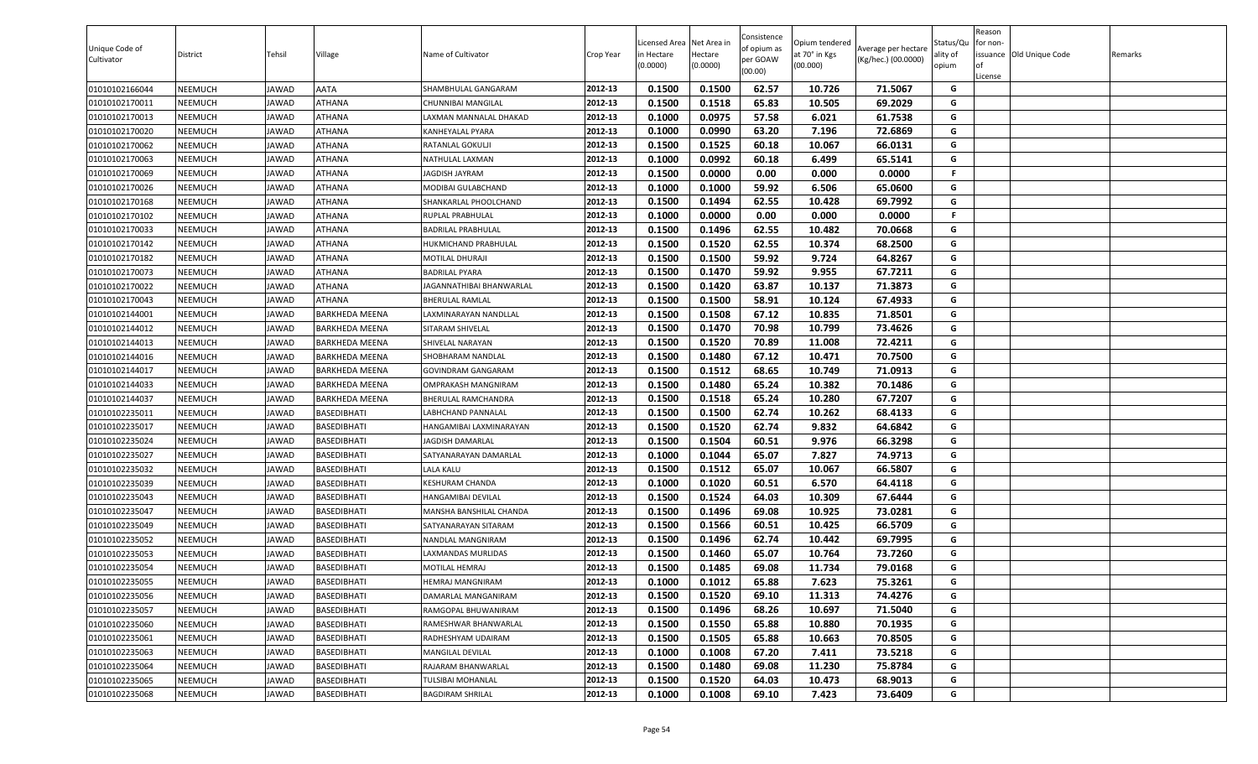| Unique Code of<br>Cultivator | District | Tehsil       | Village               | Name of Cultivator       | Crop Year | Licensed Area Net Area in<br>in Hectare<br>(0.0000) | Hectare<br>(0.0000) | Consistence<br>of opium as<br>per GOAW<br>(00.00) | Opium tendered<br>at 70° in Kgs<br>(00.000) | Average per hectare<br>(Kg/hec.) (00.0000) | Status/Qu<br>ality of<br>opium | Reason<br>for non-<br>of<br>License | issuance Old Unique Code | Remarks |
|------------------------------|----------|--------------|-----------------------|--------------------------|-----------|-----------------------------------------------------|---------------------|---------------------------------------------------|---------------------------------------------|--------------------------------------------|--------------------------------|-------------------------------------|--------------------------|---------|
| 01010102166044               | NEEMUCH  | JAWAD        | AATA                  | SHAMBHULAL GANGARAM      | 2012-13   | 0.1500                                              | 0.1500              | 62.57                                             | 10.726                                      | 71.5067                                    | G                              |                                     |                          |         |
| 01010102170011               | NEEMUCH  | JAWAD        | ATHANA                | CHUNNIBAI MANGILAL       | 2012-13   | 0.1500                                              | 0.1518              | 65.83                                             | 10.505                                      | 69.2029                                    | G                              |                                     |                          |         |
| 01010102170013               | NEEMUCH  | JAWAD        | ATHANA                | LAXMAN MANNALAL DHAKAD   | 2012-13   | 0.1000                                              | 0.0975              | 57.58                                             | 6.021                                       | 61.7538                                    | G                              |                                     |                          |         |
| 01010102170020               | NEEMUCH  | JAWAD        | ATHANA                | KANHEYALAL PYARA         | 2012-13   | 0.1000                                              | 0.0990              | 63.20                                             | 7.196                                       | 72.6869                                    | G                              |                                     |                          |         |
| 01010102170062               | NEEMUCH  | <b>JAWAD</b> | ATHANA                | RATANLAL GOKULJI         | 2012-13   | 0.1500                                              | 0.1525              | 60.18                                             | 10.067                                      | 66.0131                                    | G                              |                                     |                          |         |
| 01010102170063               | NEEMUCH  | <b>JAWAD</b> | ATHANA                | NATHULAL LAXMAN          | 2012-13   | 0.1000                                              | 0.0992              | 60.18                                             | 6.499                                       | 65.5141                                    | G                              |                                     |                          |         |
| 01010102170069               | NEEMUCH  | JAWAD        | ATHANA                | JAGDISH JAYRAM           | 2012-13   | 0.1500                                              | 0.0000              | 0.00                                              | 0.000                                       | 0.0000                                     | F.                             |                                     |                          |         |
| 01010102170026               | NEEMUCH  | <b>JAWAD</b> | ATHANA                | MODIBAI GULABCHAND       | 2012-13   | 0.1000                                              | 0.1000              | 59.92                                             | 6.506                                       | 65.0600                                    | G                              |                                     |                          |         |
| 01010102170168               | NEEMUCH  | JAWAD        | ATHANA                | SHANKARLAL PHOOLCHAND    | 2012-13   | 0.1500                                              | 0.1494              | 62.55                                             | 10.428                                      | 69.7992                                    | G                              |                                     |                          |         |
| 01010102170102               | NEEMUCH  | <b>JAWAD</b> | ATHANA                | RUPLAL PRABHULAL         | 2012-13   | 0.1000                                              | 0.0000              | 0.00                                              | 0.000                                       | 0.0000                                     | F.                             |                                     |                          |         |
| 01010102170033               | NEEMUCH  | JAWAD        | ATHANA                | BADRILAL PRABHULAL       | 2012-13   | 0.1500                                              | 0.1496              | 62.55                                             | 10.482                                      | 70.0668                                    | G                              |                                     |                          |         |
| 01010102170142               | NEEMUCH  | JAWAD        | ATHANA                | HUKMICHAND PRABHULAL     | 2012-13   | 0.1500                                              | 0.1520              | 62.55                                             | 10.374                                      | 68.2500                                    | G                              |                                     |                          |         |
| 01010102170182               | NEEMUCH  | JAWAD        | ATHANA                | MOTILAL DHURAJI          | 2012-13   | 0.1500                                              | 0.1500              | 59.92                                             | 9.724                                       | 64.8267                                    | G                              |                                     |                          |         |
| 01010102170073               | NEEMUCH  | <b>JAWAD</b> | ATHANA                | <b>BADRILAL PYARA</b>    | 2012-13   | 0.1500                                              | 0.1470              | 59.92                                             | 9.955                                       | 67.7211                                    | G                              |                                     |                          |         |
| 01010102170022               | NEEMUCH  | JAWAD        | ATHANA                | JAGANNATHIBAI BHANWARLAL | 2012-13   | 0.1500                                              | 0.1420              | 63.87                                             | 10.137                                      | 71.3873                                    | G                              |                                     |                          |         |
| 01010102170043               | NEEMUCH  | <b>JAWAD</b> | ATHANA                | <b>BHERULAL RAMLAL</b>   | 2012-13   | 0.1500                                              | 0.1500              | 58.91                                             | 10.124                                      | 67.4933                                    | G                              |                                     |                          |         |
| 01010102144001               | NEEMUCH  | JAWAD        | BARKHEDA MEENA        | LAXMINARAYAN NANDLLAL    | 2012-13   | 0.1500                                              | 0.1508              | 67.12                                             | 10.835                                      | 71.8501                                    | G                              |                                     |                          |         |
| 01010102144012               | NEEMUCH  | <b>JAWAD</b> | BARKHEDA MEENA        | SITARAM SHIVELAL         | 2012-13   | 0.1500                                              | 0.1470              | 70.98                                             | 10.799                                      | 73.4626                                    | G                              |                                     |                          |         |
| 01010102144013               | NEEMUCH  | <b>JAWAD</b> | BARKHEDA MEENA        | SHIVELAL NARAYAN         | 2012-13   | 0.1500                                              | 0.1520              | 70.89                                             | 11.008                                      | 72.4211                                    | G                              |                                     |                          |         |
| 01010102144016               | NEEMUCH  | JAWAD        | BARKHEDA MEENA        | SHOBHARAM NANDLAL        | 2012-13   | 0.1500                                              | 0.1480              | 67.12                                             | 10.471                                      | 70.7500                                    | G                              |                                     |                          |         |
| 01010102144017               | NEEMUCH  | JAWAD        | BARKHEDA MEENA        | GOVINDRAM GANGARAM       | 2012-13   | 0.1500                                              | 0.1512              | 68.65                                             | 10.749                                      | 71.0913                                    | G                              |                                     |                          |         |
| 01010102144033               | NEEMUCH  | <b>JAWAD</b> | BARKHEDA MEENA        | OMPRAKASH MANGNIRAM      | 2012-13   | 0.1500                                              | 0.1480              | 65.24                                             | 10.382                                      | 70.1486                                    | G                              |                                     |                          |         |
| 01010102144037               | NEEMUCH  | JAWAD        | <b>BARKHEDA MEENA</b> | BHERULAL RAMCHANDRA      | 2012-13   | 0.1500                                              | 0.1518              | 65.24                                             | 10.280                                      | 67.7207                                    | G                              |                                     |                          |         |
| 01010102235011               | NEEMUCH  | JAWAD        | BASEDIBHATI           | LABHCHAND PANNALAL       | 2012-13   | 0.1500                                              | 0.1500              | 62.74                                             | 10.262                                      | 68.4133                                    | G                              |                                     |                          |         |
| 01010102235017               | NEEMUCH  | JAWAD        | BASEDIBHATI           | HANGAMIBAI LAXMINARAYAN  | 2012-13   | 0.1500                                              | 0.1520              | 62.74                                             | 9.832                                       | 64.6842                                    | G                              |                                     |                          |         |
| 01010102235024               | NEEMUCH  | <b>JAWAD</b> | BASEDIBHATI           | <b>JAGDISH DAMARLAL</b>  | 2012-13   | 0.1500                                              | 0.1504              | 60.51                                             | 9.976                                       | 66.3298                                    | G                              |                                     |                          |         |
| 01010102235027               | NEEMUCH  | <b>JAWAD</b> | BASEDIBHATI           | SATYANARAYAN DAMARLAL    | 2012-13   | 0.1000                                              | 0.1044              | 65.07                                             | 7.827                                       | 74.9713                                    | G                              |                                     |                          |         |
| 01010102235032               | NEEMUCH  | <b>JAWAD</b> | BASEDIBHATI           | LALA KALU                | 2012-13   | 0.1500                                              | 0.1512              | 65.07                                             | 10.067                                      | 66.5807                                    | G                              |                                     |                          |         |
| 01010102235039               | NEEMUCH  | <b>JAWAD</b> | BASEDIBHATI           | KESHURAM CHANDA          | 2012-13   | 0.1000                                              | 0.1020              | 60.51                                             | 6.570                                       | 64.4118                                    | G                              |                                     |                          |         |
| 01010102235043               | NEEMUCH  | JAWAD        | 3ASEDIBHATI           | HANGAMIBAI DEVILAL       | 2012-13   | 0.1500                                              | 0.1524              | 64.03                                             | 10.309                                      | 67.6444                                    | G                              |                                     |                          |         |
| 01010102235047               | NEEMUCH  | <b>JAWAD</b> | BASEDIBHATI           | MANSHA BANSHILAL CHANDA  | 2012-13   | 0.1500                                              | 0.1496              | 69.08                                             | 10.925                                      | 73.0281                                    | G                              |                                     |                          |         |
| 01010102235049               | NEEMUCH  | <b>JAWAD</b> | BASEDIBHATI           | SATYANARAYAN SITARAM     | 2012-13   | 0.1500                                              | 0.1566              | 60.51                                             | 10.425                                      | 66.5709                                    | G                              |                                     |                          |         |
| 01010102235052               | NEEMUCH  | <b>JAWAD</b> | BASEDIBHATI           | NANDLAL MANGNIRAM        | 2012-13   | 0.1500                                              | 0.1496              | 62.74                                             | 10.442                                      | 69.7995                                    | G                              |                                     |                          |         |
| 01010102235053               | NEEMUCH  | JAWAD        | BASEDIBHATI           | LAXMANDAS MURLIDAS       | 2012-13   | 0.1500                                              | 0.1460              | 65.07                                             | 10.764                                      | 73.7260                                    | G                              |                                     |                          |         |
| 01010102235054               | NEEMUCH  | <b>JAWAD</b> | BASEDIBHATI           | MOTILAL HEMRAJ           | 2012-13   | 0.1500                                              | 0.1485              | 69.08                                             | 11.734                                      | 79.0168                                    | G                              |                                     |                          |         |
| 01010102235055               | NEEMUCH  | <b>JAWAD</b> | BASEDIBHATI           | <b>HEMRAJ MANGNIRAM</b>  | 2012-13   | 0.1000                                              | 0.1012              | 65.88                                             | 7.623                                       | 75.3261                                    | G                              |                                     |                          |         |
| 01010102235056               | NEEMUCH  | <b>JAWAD</b> | BASEDIBHATI           | DAMARLAL MANGANIRAM      | 2012-13   | 0.1500                                              | 0.1520              | 69.10                                             | 11.313                                      | 74.4276                                    | G                              |                                     |                          |         |
| 01010102235057               | NEEMUCH  | JAWAD        | BASEDIBHATI           | RAMGOPAL BHUWANIRAM      | 2012-13   | 0.1500                                              | 0.1496              | 68.26                                             | 10.697                                      | 71.5040                                    | G                              |                                     |                          |         |
| 01010102235060               | NEEMUCH  | <b>JAWAD</b> | BASEDIBHATI           | RAMESHWAR BHANWARLAL     | 2012-13   | 0.1500                                              | 0.1550              | 65.88                                             | 10.880                                      | 70.1935                                    | G                              |                                     |                          |         |
| 01010102235061               | NEEMUCH  | <b>JAWAD</b> | BASEDIBHATI           | RADHESHYAM UDAIRAM       | 2012-13   | 0.1500                                              | 0.1505              | 65.88                                             | 10.663                                      | 70.8505                                    | G                              |                                     |                          |         |
| 01010102235063               | NEEMUCH  | <b>JAWAD</b> | BASEDIBHATI           | MANGILAL DEVILAL         | 2012-13   | 0.1000                                              | 0.1008              | 67.20                                             | 7.411                                       | 73.5218                                    | G                              |                                     |                          |         |
| 01010102235064               | NEEMUCH  | <b>JAWAD</b> | BASEDIBHATI           | RAJARAM BHANWARLAL       | 2012-13   | 0.1500                                              | 0.1480              | 69.08                                             | 11.230                                      | 75.8784                                    | G                              |                                     |                          |         |
| 01010102235065               | NEEMUCH  | <b>JAWAD</b> | BASEDIBHATI           | TULSIBAI MOHANLAL        | 2012-13   | 0.1500                                              | 0.1520              | 64.03                                             | 10.473                                      | 68.9013                                    | G                              |                                     |                          |         |
| 01010102235068               | NEEMUCH  | <b>JAWAD</b> | BASEDIBHATI           | <b>BAGDIRAM SHRILAL</b>  | 2012-13   | 0.1000                                              | 0.1008              | 69.10                                             | 7.423                                       | 73.6409                                    | G                              |                                     |                          |         |
|                              |          |              |                       |                          |           |                                                     |                     |                                                   |                                             |                                            |                                |                                     |                          |         |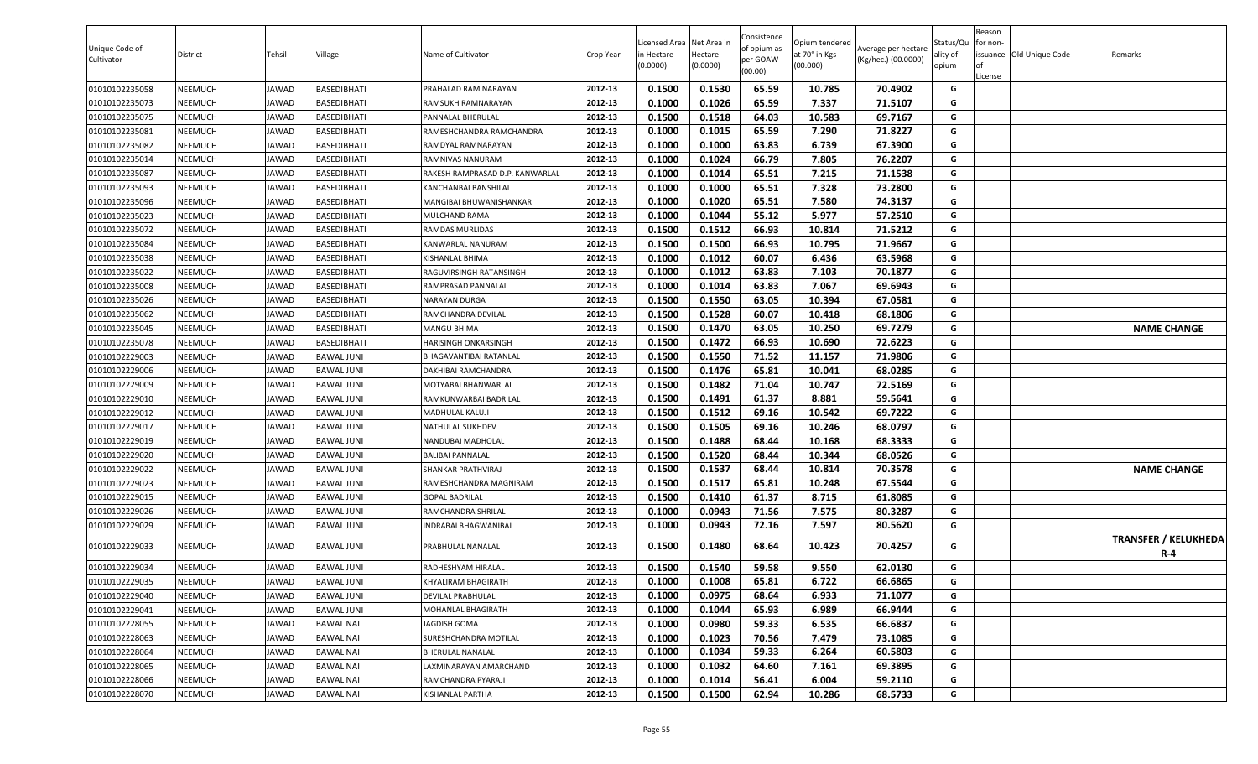| Unique Code of<br>Cultivator | District       | Tehsil       | Village           | Name of Cultivator              | Crop Year | .icensed Area<br>n Hectare<br>(0.0000) | Net Area in<br>Hectare<br>(0.0000) | Consistence<br>of opium as<br>per GOAW<br>(00.00) | Opium tendered<br>at 70° in Kgs<br>(00.000) | Average per hectare<br>(Kg/hec.) (00.0000) | Status/Qu<br>ality of<br>opium | Reason<br>for non-<br>lof<br>License | issuance Old Unique Code | Remarks                            |
|------------------------------|----------------|--------------|-------------------|---------------------------------|-----------|----------------------------------------|------------------------------------|---------------------------------------------------|---------------------------------------------|--------------------------------------------|--------------------------------|--------------------------------------|--------------------------|------------------------------------|
| 01010102235058               | <b>NEEMUCH</b> | JAWAD        | BASEDIBHATI       | PRAHALAD RAM NARAYAN            | 2012-13   | 0.1500                                 | 0.1530                             | 65.59                                             | 10.785                                      | 70.4902                                    | G                              |                                      |                          |                                    |
| 01010102235073               | NEEMUCH        | JAWAD        | BASEDIBHATI       | RAMSUKH RAMNARAYAN              | 2012-13   | 0.1000                                 | 0.1026                             | 65.59                                             | 7.337                                       | 71.5107                                    | G                              |                                      |                          |                                    |
| 01010102235075               | <b>NEEMUCH</b> | <b>JAWAD</b> | BASEDIBHATI       | PANNALAL BHERULAL               | 2012-13   | 0.1500                                 | 0.1518                             | 64.03                                             | 10.583                                      | 69.7167                                    | G                              |                                      |                          |                                    |
| 01010102235081               | NEEMUCH        | JAWAD        | BASEDIBHATI       | RAMESHCHANDRA RAMCHANDRA        | 2012-13   | 0.1000                                 | 0.1015                             | 65.59                                             | 7.290                                       | 71.8227                                    | G                              |                                      |                          |                                    |
| 01010102235082               | <b>NEEMUCH</b> | JAWAD        | BASEDIBHATI       | RAMDYAL RAMNARAYAN              | 2012-13   | 0.1000                                 | 0.1000                             | 63.83                                             | 6.739                                       | 67.3900                                    | G                              |                                      |                          |                                    |
| 01010102235014               | <b>NEEMUCH</b> | <b>JAWAD</b> | BASEDIBHATI       | RAMNIVAS NANURAM                | 2012-13   | 0.1000                                 | 0.1024                             | 66.79                                             | 7.805                                       | 76.2207                                    | G                              |                                      |                          |                                    |
| 01010102235087               | <b>NEEMUCH</b> | JAWAD        | BASEDIBHATI       | RAKESH RAMPRASAD D.P. KANWARLAL | 2012-13   | 0.1000                                 | 0.1014                             | 65.51                                             | 7.215                                       | 71.1538                                    | G                              |                                      |                          |                                    |
| 01010102235093               | <b>NEEMUCH</b> | JAWAD        | BASEDIBHATI       | KANCHANBAI BANSHILAL            | 2012-13   | 0.1000                                 | 0.1000                             | 65.51                                             | 7.328                                       | 73.2800                                    | G                              |                                      |                          |                                    |
| 01010102235096               | <b>NEEMUCH</b> | <b>JAWAD</b> | BASEDIBHATI       | MANGIBAI BHUWANISHANKAR         | 2012-13   | 0.1000                                 | 0.1020                             | 65.51                                             | 7.580                                       | 74.3137                                    | G                              |                                      |                          |                                    |
| 01010102235023               | NEEMUCH        | <b>JAWAD</b> | BASEDIBHATI       | MULCHAND RAMA                   | 2012-13   | 0.1000                                 | 0.1044                             | 55.12                                             | 5.977                                       | 57.2510                                    | G                              |                                      |                          |                                    |
| 01010102235072               | <b>NEEMUCH</b> | JAWAD        | BASEDIBHATI       | RAMDAS MURLIDAS                 | 2012-13   | 0.1500                                 | 0.1512                             | 66.93                                             | 10.814                                      | 71.5212                                    | G                              |                                      |                          |                                    |
| 01010102235084               | NEEMUCH        | <b>JAWAD</b> | BASEDIBHATI       | KANWARLAL NANURAM               | 2012-13   | 0.1500                                 | 0.1500                             | 66.93                                             | 10.795                                      | 71.9667                                    | G                              |                                      |                          |                                    |
| 01010102235038               | <b>NEEMUCH</b> | <b>JAWAD</b> | BASEDIBHATI       | KISHANLAL BHIMA                 | 2012-13   | 0.1000                                 | 0.1012                             | 60.07                                             | 6.436                                       | 63.5968                                    | G                              |                                      |                          |                                    |
| 01010102235022               | <b>NEEMUCH</b> | <b>JAWAD</b> | BASEDIBHATI       | RAGUVIRSINGH RATANSINGH         | 2012-13   | 0.1000                                 | 0.1012                             | 63.83                                             | 7.103                                       | 70.1877                                    | G                              |                                      |                          |                                    |
| 01010102235008               | <b>NEEMUCH</b> | JAWAD        | BASEDIBHATI       | RAMPRASAD PANNALAL              | 2012-13   | 0.1000                                 | 0.1014                             | 63.83                                             | 7.067                                       | 69.6943                                    | G                              |                                      |                          |                                    |
| 01010102235026               | <b>NEEMUCH</b> | <b>JAWAD</b> | BASEDIBHATI       | NARAYAN DURGA                   | 2012-13   | 0.1500                                 | 0.1550                             | 63.05                                             | 10.394                                      | 67.0581                                    | G                              |                                      |                          |                                    |
| 01010102235062               | <b>NEEMUCH</b> | JAWAD        | BASEDIBHATI       | RAMCHANDRA DEVILAL              | 2012-13   | 0.1500                                 | 0.1528                             | 60.07                                             | 10.418                                      | 68.1806                                    | G                              |                                      |                          |                                    |
| 01010102235045               | <b>NEEMUCH</b> | <b>JAWAD</b> | BASEDIBHATI       | <b>MANGU BHIMA</b>              | 2012-13   | 0.1500                                 | 0.1470                             | 63.05                                             | 10.250                                      | 69.7279                                    | G                              |                                      |                          | <b>NAME CHANGE</b>                 |
| 01010102235078               | <b>NEEMUCH</b> | JAWAD        | BASEDIBHATI       | HARISINGH ONKARSINGH            | 2012-13   | 0.1500                                 | 0.1472                             | 66.93                                             | 10.690                                      | 72.6223                                    | G                              |                                      |                          |                                    |
| 01010102229003               | <b>NEEMUCH</b> | JAWAD        | BAWAL JUNI        | BHAGAVANTIBAI RATANLAL          | 2012-13   | 0.1500                                 | 0.1550                             | 71.52                                             | 11.157                                      | 71.9806                                    | G                              |                                      |                          |                                    |
| 01010102229006               | NEEMUCH        | JAWAD        | BAWAL JUNI        | DAKHIBAI RAMCHANDRA             | 2012-13   | 0.1500                                 | 0.1476                             | 65.81                                             | 10.041                                      | 68.0285                                    | G                              |                                      |                          |                                    |
| 01010102229009               | <b>NEEMUCH</b> | JAWAD        | <b>BAWAL JUNI</b> | MOTYABAI BHANWARLAL             | 2012-13   | 0.1500                                 | 0.1482                             | 71.04                                             | 10.747                                      | 72.5169                                    | G                              |                                      |                          |                                    |
| 01010102229010               | <b>NEEMUCH</b> | <b>JAWAD</b> | <b>BAWAL JUNI</b> | RAMKUNWARBAI BADRILAL           | 2012-13   | 0.1500                                 | 0.1491                             | 61.37                                             | 8.881                                       | 59.5641                                    | G                              |                                      |                          |                                    |
| 01010102229012               | <b>NEEMUCH</b> | <b>JAWAD</b> | <b>BAWAL JUNI</b> | MADHULAL KALUJI                 | 2012-13   | 0.1500                                 | 0.1512                             | 69.16                                             | 10.542                                      | 69.7222                                    | G                              |                                      |                          |                                    |
| 01010102229017               | <b>NEEMUCH</b> | JAWAD        | BAWAL JUNI        | NATHULAL SUKHDEV                | 2012-13   | 0.1500                                 | 0.1505                             | 69.16                                             | 10.246                                      | 68.0797                                    | G                              |                                      |                          |                                    |
| 01010102229019               | <b>NEEMUCH</b> | <b>JAWAD</b> | <b>BAWAL JUNI</b> | NANDUBAI MADHOLAL               | 2012-13   | 0.1500                                 | 0.1488                             | 68.44                                             | 10.168                                      | 68.3333                                    | G                              |                                      |                          |                                    |
| 01010102229020               | <b>NEEMUCH</b> | JAWAD        | BAWAL JUNI        | <b>BALIBAI PANNALAL</b>         | 2012-13   | 0.1500                                 | 0.1520                             | 68.44                                             | 10.344                                      | 68.0526                                    | G                              |                                      |                          |                                    |
| 01010102229022               | <b>NEEMUCH</b> | JAWAD        | BAWAL JUNI        | SHANKAR PRATHVIRAJ              | 2012-13   | 0.1500                                 | 0.1537                             | 68.44                                             | 10.814                                      | 70.3578                                    | G                              |                                      |                          | <b>NAME CHANGE</b>                 |
| 01010102229023               | NEEMUCH        | JAWAD        | BAWAL JUNI        | RAMESHCHANDRA MAGNIRAM          | 2012-13   | 0.1500                                 | 0.1517                             | 65.81                                             | 10.248                                      | 67.5544                                    | G                              |                                      |                          |                                    |
| 01010102229015               | <b>NEEMUCH</b> | JAWAD        | <b>BAWAL JUNI</b> | <b>GOPAL BADRILAL</b>           | 2012-13   | 0.1500                                 | 0.1410                             | 61.37                                             | 8.715                                       | 61.8085                                    | G                              |                                      |                          |                                    |
| 01010102229026               | <b>NEEMUCH</b> | <b>JAWAD</b> | <b>BAWAL JUNI</b> | RAMCHANDRA SHRILAL              | 2012-13   | 0.1000                                 | 0.0943                             | 71.56                                             | 7.575                                       | 80.3287                                    | G                              |                                      |                          |                                    |
| 01010102229029               | <b>NEEMUCH</b> | <b>JAWAD</b> | <b>BAWAL JUNI</b> | INDRABAI BHAGWANIBAI            | 2012-13   | 0.1000                                 | 0.0943                             | 72.16                                             | 7.597                                       | 80.5620                                    | G                              |                                      |                          |                                    |
| 01010102229033               | <b>NEEMUCH</b> | JAWAD        | <b>BAWAL JUNI</b> | PRABHULAL NANALAL               | 2012-13   | 0.1500                                 | 0.1480                             | 68.64                                             | 10.423                                      | 70.4257                                    | G                              |                                      |                          | <b>TRANSFER / KELUKHEDA</b><br>R-4 |
| 01010102229034               | NEEMUCH        | <b>JAWAD</b> | <b>BAWAL JUNI</b> | RADHESHYAM HIRALAL              | 2012-13   | 0.1500                                 | 0.1540                             | 59.58                                             | 9.550                                       | 62.0130                                    | G                              |                                      |                          |                                    |
| 01010102229035               | <b>NEEMUCH</b> | <b>JAWAD</b> | <b>BAWAL JUNI</b> | KHYALIRAM BHAGIRATH             | 2012-13   | 0.1000                                 | 0.1008                             | 65.81                                             | 6.722                                       | 66.6865                                    | G                              |                                      |                          |                                    |
| 01010102229040               | <b>NEEMUCH</b> | <b>JAWAD</b> | <b>BAWAL JUNI</b> | DEVILAL PRABHULAL               | 2012-13   | 0.1000                                 | 0.0975                             | 68.64                                             | 6.933                                       | 71.1077                                    | G                              |                                      |                          |                                    |
| 01010102229041               | <b>NEEMUCH</b> | JAWAD        | <b>BAWAL JUNI</b> | MOHANLAL BHAGIRATH              | 2012-13   | 0.1000                                 | 0.1044                             | 65.93                                             | 6.989                                       | 66.9444                                    | G                              |                                      |                          |                                    |
| 01010102228055               | <b>NEEMUCH</b> | JAWAD        | <b>BAWAL NAI</b>  | JAGDISH GOMA                    | 2012-13   | 0.1000                                 | 0.0980                             | 59.33                                             | 6.535                                       | 66.6837                                    | G                              |                                      |                          |                                    |
| 01010102228063               | <b>NEEMUCH</b> | JAWAD        | <b>BAWAL NAI</b>  | SURESHCHANDRA MOTILAL           | 2012-13   | 0.1000                                 | 0.1023                             | 70.56                                             | 7.479                                       | 73.1085                                    | G                              |                                      |                          |                                    |
| 01010102228064               | <b>NEEMUCH</b> | JAWAD        | BAWAL NAI         | <b>BHERULAL NANALAL</b>         | 2012-13   | 0.1000                                 | 0.1034                             | 59.33                                             | 6.264                                       | 60.5803                                    | G                              |                                      |                          |                                    |
| 01010102228065               | <b>NEEMUCH</b> | <b>JAWAD</b> | <b>BAWAL NAI</b>  | LAXMINARAYAN AMARCHAND          | 2012-13   | 0.1000                                 | 0.1032                             | 64.60                                             | 7.161                                       | 69.3895                                    | G                              |                                      |                          |                                    |
| 01010102228066               | <b>NEEMUCH</b> | <b>JAWAD</b> | <b>BAWAL NAI</b>  | RAMCHANDRA PYARAJI              | 2012-13   | 0.1000                                 | 0.1014                             | 56.41                                             | 6.004                                       | 59.2110                                    | G                              |                                      |                          |                                    |
| 01010102228070               | <b>NEEMUCH</b> | <b>JAWAD</b> | <b>BAWAL NAI</b>  | KISHANLAL PARTHA                | 2012-13   | 0.1500                                 | 0.1500                             | 62.94                                             | 10.286                                      | 68.5733                                    | G                              |                                      |                          |                                    |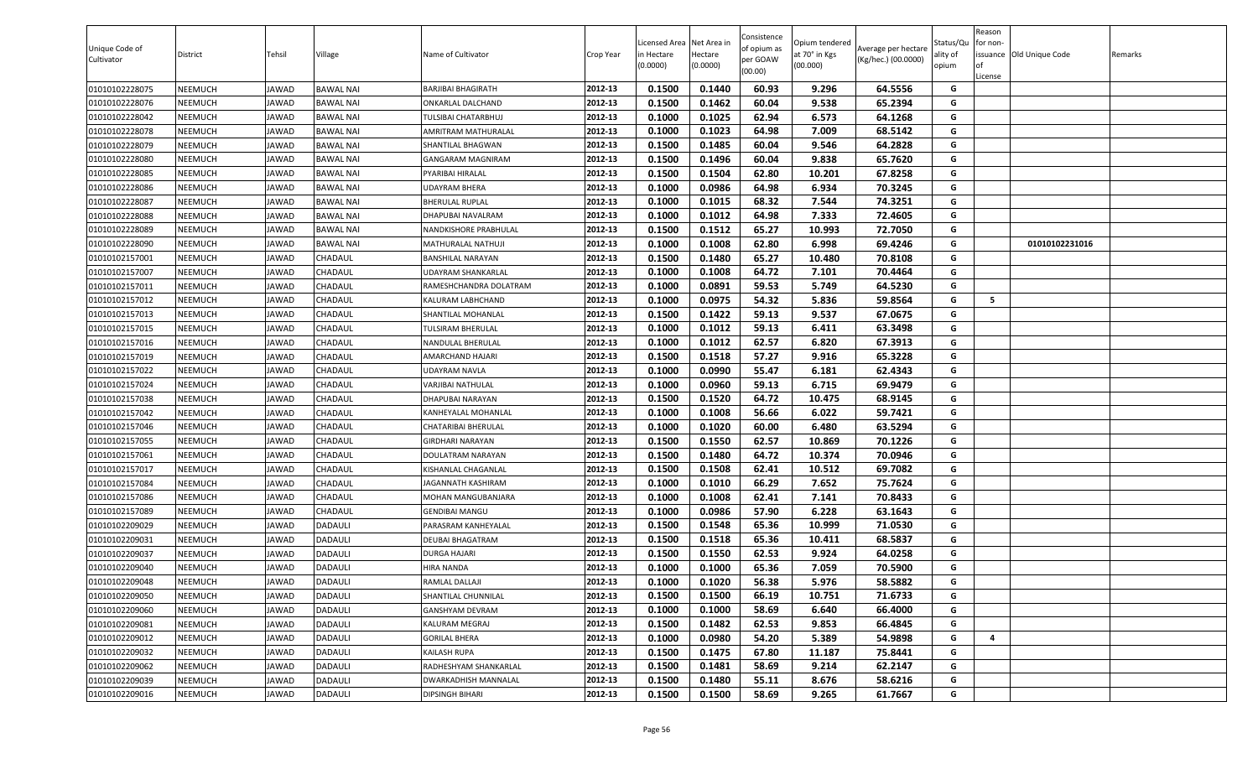| Unique Code of<br>Cultivator | District       | Tehsil       | Village          | Name of Cultivator        | Crop Year | Licensed Area<br>n Hectare<br>(0.0000) | Net Area in<br>Hectare<br>(0.0000) | Consistence<br>of opium as<br>per GOAW<br>(00.00) | Opium tendered<br>at 70° in Kgs<br>(00.000) | Average per hectare<br>(Kg/hec.) (00.0000) | Status/Qu<br>ality of<br>opium | Reason<br>or non-<br>of<br>License | issuance Old Unique Code | Remarks |
|------------------------------|----------------|--------------|------------------|---------------------------|-----------|----------------------------------------|------------------------------------|---------------------------------------------------|---------------------------------------------|--------------------------------------------|--------------------------------|------------------------------------|--------------------------|---------|
| 01010102228075               | NEEMUCH        | <b>JAWAD</b> | <b>BAWAL NAI</b> | <b>BARJIBAI BHAGIRATH</b> | 2012-13   | 0.1500                                 | 0.1440                             | 60.93                                             | 9.296                                       | 64.5556                                    | G                              |                                    |                          |         |
| 01010102228076               | NEEMUCH        | <b>JAWAD</b> | <b>BAWAL NAI</b> | ONKARLAL DALCHAND         | 2012-13   | 0.1500                                 | 0.1462                             | 60.04                                             | 9.538                                       | 65.2394                                    | G                              |                                    |                          |         |
| 01010102228042               | NEEMUCH        | <b>JAWAD</b> | <b>BAWAL NAI</b> | TULSIBAI CHATARBHUJ       | 2012-13   | 0.1000                                 | 0.1025                             | 62.94                                             | 6.573                                       | 64.1268                                    | G                              |                                    |                          |         |
| 01010102228078               | NEEMUCH        | JAWAD        | <b>BAWAL NAI</b> | AMRITRAM MATHURALAL       | 2012-13   | 0.1000                                 | 0.1023                             | 64.98                                             | 7.009                                       | 68.5142                                    | G                              |                                    |                          |         |
| 01010102228079               | NEEMUCH        | <b>JAWAD</b> | <b>BAWAL NAI</b> | SHANTILAL BHAGWAN         | 2012-13   | 0.1500                                 | 0.1485                             | 60.04                                             | 9.546                                       | 64.2828                                    | G                              |                                    |                          |         |
| 01010102228080               | NEEMUCH        | <b>JAWAD</b> | <b>BAWAL NAI</b> | <b>GANGARAM MAGNIRAM</b>  | 2012-13   | 0.1500                                 | 0.1496                             | 60.04                                             | 9.838                                       | 65.7620                                    | G                              |                                    |                          |         |
| 01010102228085               | NEEMUCH        | <b>JAWAD</b> | <b>BAWAL NAI</b> | PYARIBAI HIRALAL          | 2012-13   | 0.1500                                 | 0.1504                             | 62.80                                             | 10.201                                      | 67.8258                                    | G                              |                                    |                          |         |
| 01010102228086               | NEEMUCH        | <b>JAWAD</b> | <b>BAWAL NAI</b> | <b>UDAYRAM BHERA</b>      | 2012-13   | 0.1000                                 | 0.0986                             | 64.98                                             | 6.934                                       | 70.3245                                    | G                              |                                    |                          |         |
| 01010102228087               | NEEMUCH        | <b>JAWAD</b> | <b>BAWAL NAI</b> | <b>BHERULAL RUPLAL</b>    | 2012-13   | 0.1000                                 | 0.1015                             | 68.32                                             | 7.544                                       | 74.3251                                    | G                              |                                    |                          |         |
| 01010102228088               | NEEMUCH        | <b>JAWAD</b> | <b>BAWAL NAI</b> | DHAPUBAI NAVALRAM         | 2012-13   | 0.1000                                 | 0.1012                             | 64.98                                             | 7.333                                       | 72.4605                                    | G                              |                                    |                          |         |
| 01010102228089               | NEEMUCH        | <b>JAWAD</b> | <b>BAWAL NAI</b> | NANDKISHORE PRABHULAL     | 2012-13   | 0.1500                                 | 0.1512                             | 65.27                                             | 10.993                                      | 72.7050                                    | G                              |                                    |                          |         |
| 01010102228090               | NEEMUCH        | <b>JAWAD</b> | <b>BAWAL NAI</b> | MATHURALAL NATHUJI        | 2012-13   | 0.1000                                 | 0.1008                             | 62.80                                             | 6.998                                       | 69.4246                                    | G                              |                                    | 01010102231016           |         |
| 01010102157001               | NEEMUCH        | <b>JAWAD</b> | CHADAUL          | BANSHILAL NARAYAN         | 2012-13   | 0.1500                                 | 0.1480                             | 65.27                                             | 10.480                                      | 70.8108                                    | G                              |                                    |                          |         |
| 01010102157007               | NEEMUCH        | <b>JAWAD</b> | CHADAUL          | UDAYRAM SHANKARLAL        | 2012-13   | 0.1000                                 | 0.1008                             | 64.72                                             | 7.101                                       | 70.4464                                    | G                              |                                    |                          |         |
| 01010102157011               | <b>NEEMUCH</b> | <b>JAWAD</b> | CHADAUL          | RAMESHCHANDRA DOLATRAM    | 2012-13   | 0.1000                                 | 0.0891                             | 59.53                                             | 5.749                                       | 64.5230                                    | G                              |                                    |                          |         |
| 01010102157012               | NEEMUCH        | <b>JAWAD</b> | CHADAUL          | KALURAM LABHCHAND         | 2012-13   | 0.1000                                 | 0.0975                             | 54.32                                             | 5.836                                       | 59.8564                                    | G                              | 5                                  |                          |         |
| 01010102157013               | NEEMUCH        | <b>JAWAD</b> | CHADAUL          | SHANTILAL MOHANLAL        | 2012-13   | 0.1500                                 | 0.1422                             | 59.13                                             | 9.537                                       | 67.0675                                    | G                              |                                    |                          |         |
| 01010102157015               | NEEMUCH        | <b>JAWAD</b> | CHADAUL          | <b>TULSIRAM BHERULAL</b>  | 2012-13   | 0.1000                                 | 0.1012                             | 59.13                                             | 6.411                                       | 63.3498                                    | G                              |                                    |                          |         |
| 01010102157016               | NEEMUCH        | <b>JAWAD</b> | CHADAUL          | NANDULAL BHERULAL         | 2012-13   | 0.1000                                 | 0.1012                             | 62.57                                             | 6.820                                       | 67.3913                                    | G                              |                                    |                          |         |
| 01010102157019               | NEEMUCH        | <b>JAWAD</b> | CHADAUL          | AMARCHAND HAJARI          | 2012-13   | 0.1500                                 | 0.1518                             | 57.27                                             | 9.916                                       | 65.3228                                    | G                              |                                    |                          |         |
| 01010102157022               | NEEMUCH        | <b>JAWAD</b> | CHADAUL          | UDAYRAM NAVLA             | 2012-13   | 0.1000                                 | 0.0990                             | 55.47                                             | 6.181                                       | 62.4343                                    | G                              |                                    |                          |         |
| 01010102157024               | NEEMUCH        | <b>JAWAD</b> | CHADAUL          | VARJIBAI NATHULAL         | 2012-13   | 0.1000                                 | 0.0960                             | 59.13                                             | 6.715                                       | 69.9479                                    | G                              |                                    |                          |         |
| 01010102157038               | NEEMUCH        | <b>JAWAD</b> | CHADAUL          | DHAPUBAI NARAYAN          | 2012-13   | 0.1500                                 | 0.1520                             | 64.72                                             | 10.475                                      | 68.9145                                    | G                              |                                    |                          |         |
| 01010102157042               | NEEMUCH        | <b>JAWAD</b> | CHADAUL          | KANHEYALAL MOHANLAL       | 2012-13   | 0.1000                                 | 0.1008                             | 56.66                                             | 6.022                                       | 59.7421                                    | G                              |                                    |                          |         |
| 01010102157046               | NEEMUCH        | <b>JAWAD</b> | CHADAUL          | CHATARIBAI BHERULAL       | 2012-13   | 0.1000                                 | 0.1020                             | 60.00                                             | 6.480                                       | 63.5294                                    | G                              |                                    |                          |         |
| 01010102157055               | NEEMUCH        | <b>JAWAD</b> | CHADAUL          | <b>GIRDHARI NARAYAN</b>   | 2012-13   | 0.1500                                 | 0.1550                             | 62.57                                             | 10.869                                      | 70.1226                                    | G                              |                                    |                          |         |
| 01010102157061               | NEEMUCH        | <b>JAWAD</b> | CHADAUL          | DOULATRAM NARAYAN         | 2012-13   | 0.1500                                 | 0.1480                             | 64.72                                             | 10.374                                      | 70.0946                                    | G                              |                                    |                          |         |
| 01010102157017               | NEEMUCH        | <b>JAWAD</b> | CHADAUL          | KISHANLAL CHAGANLAL       | 2012-13   | 0.1500                                 | 0.1508                             | 62.41                                             | 10.512                                      | 69.7082                                    | G                              |                                    |                          |         |
| 01010102157084               | NEEMUCH        | <b>JAWAD</b> | CHADAUL          | JAGANNATH KASHIRAM        | 2012-13   | 0.1000                                 | 0.1010                             | 66.29                                             | 7.652                                       | 75.7624                                    | G                              |                                    |                          |         |
| 01010102157086               | NEEMUCH        | <b>JAWAD</b> | CHADAUL          | MOHAN MANGUBANJARA        | 2012-13   | 0.1000                                 | 0.1008                             | 62.41                                             | 7.141                                       | 70.8433                                    | G                              |                                    |                          |         |
| 01010102157089               | NEEMUCH        | <b>JAWAD</b> | CHADAUL          | <b>GENDIBAI MANGU</b>     | 2012-13   | 0.1000                                 | 0.0986                             | 57.90                                             | 6.228                                       | 63.1643                                    | G                              |                                    |                          |         |
| 01010102209029               | <b>NEEMUCH</b> | <b>JAWAD</b> | <b>DADAULI</b>   | PARASRAM KANHEYALAL       | 2012-13   | 0.1500                                 | 0.1548                             | 65.36                                             | 10.999                                      | 71.0530                                    | G                              |                                    |                          |         |
| 01010102209031               | NEEMUCH        | <b>JAWAD</b> | DADAULI          | DEUBAI BHAGATRAM          | 2012-13   | 0.1500                                 | 0.1518                             | 65.36                                             | 10.411                                      | 68.5837                                    | G                              |                                    |                          |         |
| 01010102209037               | NEEMUCH        | <b>JAWAD</b> | <b>DADAULI</b>   | <b>DURGA HAJARI</b>       | 2012-13   | 0.1500                                 | 0.1550                             | 62.53                                             | 9.924                                       | 64.0258                                    | G                              |                                    |                          |         |
| 01010102209040               | NEEMUCH        | <b>JAWAD</b> | DADAULI          | HIRA NANDA                | 2012-13   | 0.1000                                 | 0.1000                             | 65.36                                             | 7.059                                       | 70.5900                                    | G                              |                                    |                          |         |
| 01010102209048               | NEEMUCH        | <b>JAWAD</b> | <b>DADAULI</b>   | RAMLAL DALLAJI            | 2012-13   | 0.1000                                 | 0.1020                             | 56.38                                             | 5.976                                       | 58.5882                                    | G                              |                                    |                          |         |
| 01010102209050               | NEEMUCH        | <b>JAWAD</b> | DADAULI          | SHANTILAL CHUNNILAL       | 2012-13   | 0.1500                                 | 0.1500                             | 66.19                                             | 10.751                                      | 71.6733                                    | G                              |                                    |                          |         |
| 01010102209060               | NEEMUCH        | <b>JAWAD</b> | DADAULI          | GANSHYAM DEVRAM           | 2012-13   | 0.1000                                 | 0.1000                             | 58.69                                             | 6.640                                       | 66.4000                                    | G                              |                                    |                          |         |
| 01010102209081               | <b>NEEMUCH</b> | <b>JAWAD</b> | <b>DADAULI</b>   | KALURAM MEGRAJ            | 2012-13   | 0.1500                                 | 0.1482                             | 62.53                                             | 9.853                                       | 66.4845                                    | G                              |                                    |                          |         |
| 01010102209012               | <b>NEEMUCH</b> | <b>JAWAD</b> | <b>DADAULI</b>   | <b>GORILAL BHERA</b>      | 2012-13   | 0.1000                                 | 0.0980                             | 54.20                                             | 5.389                                       | 54.9898                                    | G                              | 4                                  |                          |         |
| 01010102209032               | <b>NEEMUCH</b> | <b>JAWAD</b> | <b>DADAULI</b>   | KAILASH RUPA              | 2012-13   | 0.1500                                 | 0.1475                             | 67.80                                             | 11.187                                      | 75.8441                                    | G                              |                                    |                          |         |
| 01010102209062               | NEEMUCH        | <b>JAWAD</b> | <b>DADAULI</b>   | RADHESHYAM SHANKARLAL     | 2012-13   | 0.1500                                 | 0.1481                             | 58.69                                             | 9.214                                       | 62.2147                                    | G                              |                                    |                          |         |
| 01010102209039               | <b>NEEMUCH</b> | <b>JAWAD</b> | <b>DADAULI</b>   | DWARKADHISH MANNALAL      | 2012-13   | 0.1500                                 | 0.1480                             | 55.11                                             | 8.676                                       | 58.6216                                    | G                              |                                    |                          |         |
| 01010102209016               | <b>NEEMUCH</b> | <b>JAWAD</b> | DADAULI          | <b>DIPSINGH BIHARI</b>    | 2012-13   | 0.1500                                 | 0.1500                             | 58.69                                             | 9.265                                       | 61.7667                                    | G                              |                                    |                          |         |
|                              |                |              |                  |                           |           |                                        |                                    |                                                   |                                             |                                            |                                |                                    |                          |         |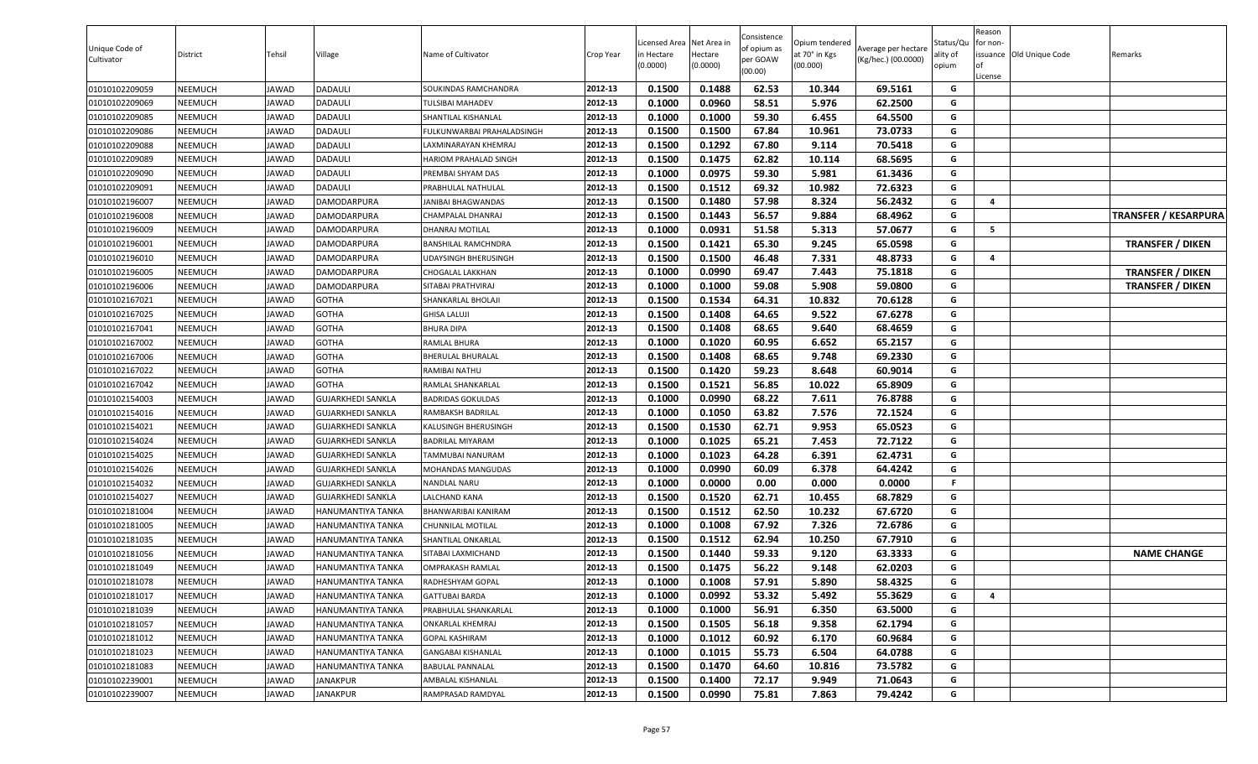| Unique Code of<br>Cultivator | District       | Tehsil       | Village                  | Name of Cultivator           | Crop Year | icensed Area.<br>n Hectare<br>(0.0000) | Net Area in<br>Hectare<br>(0.0000) | Consistence<br>of opium as<br>per GOAW<br>(00.00) | Opium tendered<br>at 70° in Kgs<br>(00.000) | Average per hectare<br>(Kg/hec.) (00.0000) | Status/Qu<br>ality of<br>opium | Reason<br>for non-<br><b>of</b><br>License | issuance Old Unique Code | Remarks                     |
|------------------------------|----------------|--------------|--------------------------|------------------------------|-----------|----------------------------------------|------------------------------------|---------------------------------------------------|---------------------------------------------|--------------------------------------------|--------------------------------|--------------------------------------------|--------------------------|-----------------------------|
| 01010102209059               | NEEMUCH        | JAWAD        | DADAULI                  | SOUKINDAS RAMCHANDRA         | 2012-13   | 0.1500                                 | 0.1488                             | 62.53                                             | 10.344                                      | 69.5161                                    | G                              |                                            |                          |                             |
| 01010102209069               | NEEMUCH        | <b>IAWAD</b> | DADAULI                  | TULSIBAI MAHADEV             | 2012-13   | 0.1000                                 | 0.0960                             | 58.51                                             | 5.976                                       | 62.2500                                    | G                              |                                            |                          |                             |
| 01010102209085               | NEEMUCH        | JAWAD        | DADAULI                  | SHANTILAL KISHANLAL          | 2012-13   | 0.1000                                 | 0.1000                             | 59.30                                             | 6.455                                       | 64.5500                                    | G                              |                                            |                          |                             |
| 01010102209086               | NEEMUCH        | JAWAD        | DADAULI                  | ULKUNWARBAI PRAHALADSINGH    | 2012-13   | 0.1500                                 | 0.1500                             | 67.84                                             | 10.961                                      | 73.0733                                    | G                              |                                            |                          |                             |
| 01010102209088               | NEEMUCH        | JAWAD        | DADAULI                  | AXMINARAYAN KHEMRAJ          | 2012-13   | 0.1500                                 | 0.1292                             | 67.80                                             | 9.114                                       | 70.5418                                    | G                              |                                            |                          |                             |
| 01010102209089               | NEEMUCH        | <b>IAWAD</b> | DADAULI                  | <b>HARIOM PRAHALAD SINGH</b> | 2012-13   | 0.1500                                 | 0.1475                             | 62.82                                             | 10.114                                      | 68.5695                                    | G                              |                                            |                          |                             |
| 01010102209090               | NEEMUCH        | <b>IAWAD</b> | DADAULI                  | PREMBAI SHYAM DAS            | 2012-13   | 0.1000                                 | 0.0975                             | 59.30                                             | 5.981                                       | 61.3436                                    | G                              |                                            |                          |                             |
| 01010102209091               | NEEMUCH        | JAWAD        | DADAULI                  | PRABHULAL NATHULAL           | 2012-13   | 0.1500                                 | 0.1512                             | 69.32                                             | 10.982                                      | 72.6323                                    | G                              |                                            |                          |                             |
| 01010102196007               | NEEMUCH        | JAWAD        | DAMODARPURA              | JANIBAI BHAGWANDAS           | 2012-13   | 0.1500                                 | 0.1480                             | 57.98                                             | 8.324                                       | 56.2432                                    | G                              | 4                                          |                          |                             |
| 01010102196008               | NEEMUCH        | JAWAD        | DAMODARPURA              | CHAMPALAL DHANRAJ            | 2012-13   | 0.1500                                 | 0.1443                             | 56.57                                             | 9.884                                       | 68.4962                                    | G                              |                                            |                          | <b>TRANSFER / KESARPURA</b> |
| 01010102196009               | NEEMUCH        | JAWAD        | DAMODARPURA              | <b>DHANRAJ MOTILAL</b>       | 2012-13   | 0.1000                                 | 0.0931                             | 51.58                                             | 5.313                                       | 57.0677                                    | G                              | 5                                          |                          |                             |
| 01010102196001               | NEEMUCH        | JAWAD        | DAMODARPURA              | BANSHILAL RAMCHNDRA          | 2012-13   | 0.1500                                 | 0.1421                             | 65.30                                             | 9.245                                       | 65.0598                                    | G                              |                                            |                          | <b>TRANSFER / DIKEN</b>     |
| 01010102196010               | NEEMUCH        | JAWAD        | DAMODARPURA              | JDAYSINGH BHERUSINGH         | 2012-13   | 0.1500                                 | 0.1500                             | 46.48                                             | 7.331                                       | 48.8733                                    | $\mathsf{G}$                   | 4                                          |                          |                             |
| 01010102196005               | NEEMUCH        | <b>IAWAD</b> | DAMODARPURA              | CHOGALAL LAKKHAN             | 2012-13   | 0.1000                                 | 0.0990                             | 69.47                                             | 7.443                                       | 75.1818                                    | G                              |                                            |                          | <b>TRANSFER / DIKEN</b>     |
| 01010102196006               | NEEMUCH        | JAWAD        | DAMODARPURA              | SITABAI PRATHVIRAJ           | 2012-13   | 0.1000                                 | 0.1000                             | 59.08                                             | 5.908                                       | 59.0800                                    | G                              |                                            |                          | <b>TRANSFER / DIKEN</b>     |
| 01010102167021               | NEEMUCH        | JAWAD        | GOTHA                    | SHANKARLAL BHOLAJI           | 2012-13   | 0.1500                                 | 0.1534                             | 64.31                                             | 10.832                                      | 70.6128                                    | G                              |                                            |                          |                             |
| 01010102167025               | NEEMUCH        | JAWAD        | <b>GOTHA</b>             | <b>GHISA LALUJI</b>          | 2012-13   | 0.1500                                 | 0.1408                             | 64.65                                             | 9.522                                       | 67.6278                                    | G                              |                                            |                          |                             |
| 01010102167041               | NEEMUCH        | JAWAD        | <b>GOTHA</b>             | <b>BHURA DIPA</b>            | 2012-13   | 0.1500                                 | 0.1408                             | 68.65                                             | 9.640                                       | 68.4659                                    | G                              |                                            |                          |                             |
| 01010102167002               | NEEMUCH        | JAWAD        | <b>GOTHA</b>             | RAMLAL BHURA                 | 2012-13   | 0.1000                                 | 0.1020                             | 60.95                                             | 6.652                                       | 65.2157                                    | G                              |                                            |                          |                             |
| 01010102167006               | NEEMUCH        | JAWAD        | <b>GOTHA</b>             | BHERULAL BHURALAL            | 2012-13   | 0.1500                                 | 0.1408                             | 68.65                                             | 9.748                                       | 69.2330                                    | G                              |                                            |                          |                             |
| 01010102167022               | NEEMUCH        | JAWAD        | GOTHA                    | RAMIBAI NATHU                | 2012-13   | 0.1500                                 | 0.1420                             | 59.23                                             | 8.648                                       | 60.9014                                    | G                              |                                            |                          |                             |
| 01010102167042               | NEEMUCH        | JAWAD        | <b>GOTHA</b>             | RAMLAL SHANKARLAL            | 2012-13   | 0.1500                                 | 0.1521                             | 56.85                                             | 10.022                                      | 65.8909                                    | G                              |                                            |                          |                             |
| 01010102154003               | NEEMUCH        | <b>IAWAD</b> | GUJARKHEDI SANKLA        | <b>BADRIDAS GOKULDAS</b>     | 2012-13   | 0.1000                                 | 0.0990                             | 68.22                                             | 7.611                                       | 76.8788                                    | G                              |                                            |                          |                             |
| 01010102154016               | NEEMUCH        | JAWAD        | <b>GUJARKHEDI SANKLA</b> | RAMBAKSH BADRILAL            | 2012-13   | 0.1000                                 | 0.1050                             | 63.82                                             | 7.576                                       | 72.1524                                    | G                              |                                            |                          |                             |
| 01010102154021               | NEEMUCH        | JAWAD        | GUJARKHEDI SANKLA        | KALUSINGH BHERUSINGH         | 2012-13   | 0.1500                                 | 0.1530                             | 62.71                                             | 9.953                                       | 65.0523                                    | G                              |                                            |                          |                             |
| 01010102154024               | NEEMUCH        | JAWAD        | GUJARKHEDI SANKLA        | BADRILAL MIYARAM             | 2012-13   | 0.1000                                 | 0.1025                             | 65.21                                             | 7.453                                       | 72.7122                                    | G                              |                                            |                          |                             |
| 01010102154025               | <b>NEEMUCH</b> | <b>IAWAD</b> | GUJARKHEDI SANKLA        | <b>TAMMUBAI NANURAM</b>      | 2012-13   | 0.1000                                 | 0.1023                             | 64.28                                             | 6.391                                       | 62.4731                                    | G                              |                                            |                          |                             |
| 01010102154026               | NEEMUCH        | JAWAD        | GUJARKHEDI SANKLA        | MOHANDAS MANGUDAS            | 2012-13   | 0.1000                                 | 0.0990                             | 60.09                                             | 6.378                                       | 64.4242                                    | G                              |                                            |                          |                             |
| 01010102154032               | NEEMUCH        | JAWAD        | GUJARKHEDI SANKLA        | NANDLAL NARU                 | 2012-13   | 0.1000                                 | 0.0000                             | 0.00                                              | 0.000                                       | 0.0000                                     | F.                             |                                            |                          |                             |
| 01010102154027               | NEEMUCH        | JAWAD        | GUJARKHEDI SANKLA        | <b>ALCHAND KANA</b>          | 2012-13   | 0.1500                                 | 0.1520                             | 62.71                                             | 10.455                                      | 68.7829                                    | G                              |                                            |                          |                             |
| 01010102181004               | NEEMUCH        | <b>IAWAD</b> | HANUMANTIYA TANKA        | BHANWARIBAI KANIRAM          | 2012-13   | 0.1500                                 | 0.1512                             | 62.50                                             | 10.232                                      | 67.6720                                    | G                              |                                            |                          |                             |
| 01010102181005               | NEEMUCH        | JAWAD        | HANUMANTIYA TANKA        | CHUNNILAL MOTILAL            | 2012-13   | 0.1000                                 | 0.1008                             | 67.92                                             | 7.326                                       | 72.6786                                    | G                              |                                            |                          |                             |
| 01010102181035               | NEEMUCH        | JAWAD        | HANUMANTIYA TANKA        | SHANTILAL ONKARLAL           | 2012-13   | 0.1500                                 | 0.1512                             | 62.94                                             | 10.250                                      | 67.7910                                    | G                              |                                            |                          |                             |
| 01010102181056               | NEEMUCH        | JAWAD        | HANUMANTIYA TANKA        | SITABAI LAXMICHAND           | 2012-13   | 0.1500                                 | 0.1440                             | 59.33                                             | 9.120                                       | 63.3333                                    | G                              |                                            |                          | <b>NAME CHANGE</b>          |
| 01010102181049               | NEEMUCH        | <b>IAWAD</b> | HANUMANTIYA TANKA        | OMPRAKASH RAMLAL             | 2012-13   | 0.1500                                 | 0.1475                             | 56.22                                             | 9.148                                       | 62.0203                                    | G                              |                                            |                          |                             |
| 01010102181078               | NEEMUCH        | <b>JAWAD</b> | HANUMANTIYA TANKA        | RADHESHYAM GOPAL             | 2012-13   | 0.1000                                 | 0.1008                             | 57.91                                             | 5.890                                       | 58.4325                                    | G                              |                                            |                          |                             |
| 01010102181017               | NEEMUCH        | JAWAD        | HANUMANTIYA TANKA        | <b>GATTUBAI BARDA</b>        | 2012-13   | 0.1000                                 | 0.0992                             | 53.32                                             | 5.492                                       | 55.3629                                    | G                              | 4                                          |                          |                             |
| 01010102181039               | NEEMUCH        | JAWAD        | HANUMANTIYA TANKA        | PRABHULAL SHANKARLAL         | 2012-13   | 0.1000                                 | 0.1000                             | 56.91                                             | 6.350                                       | 63.5000                                    | G                              |                                            |                          |                             |
| 01010102181057               | NEEMUCH        | JAWAD        | HANUMANTIYA TANKA        | <b>ONKARLAL KHEMRAJ</b>      | 2012-13   | 0.1500                                 | 0.1505                             | 56.18                                             | 9.358                                       | 62.1794                                    | G                              |                                            |                          |                             |
| 01010102181012               | NEEMUCH        | JAWAD        | HANUMANTIYA TANKA        | GOPAL KASHIRAM               | 2012-13   | 0.1000                                 | 0.1012                             | 60.92                                             | 6.170                                       | 60.9684                                    | G                              |                                            |                          |                             |
| 01010102181023               | NEEMUCH        | JAWAD        | HANUMANTIYA TANKA        | <b>GANGABAI KISHANLAL</b>    | 2012-13   | 0.1000                                 | 0.1015                             | 55.73                                             | 6.504                                       | 64.0788                                    | G                              |                                            |                          |                             |
| 01010102181083               | NEEMUCH        | JAWAD        | HANUMANTIYA TANKA        | <b>BABULAL PANNALAL</b>      | 2012-13   | 0.1500                                 | 0.1470                             | 64.60                                             | 10.816                                      | 73.5782                                    | G                              |                                            |                          |                             |
| 01010102239001               | NEEMUCH        | JAWAD        | JANAKPUR                 | AMBALAL KISHANLAL            | 2012-13   | 0.1500                                 | 0.1400                             | 72.17                                             | 9.949                                       | 71.0643                                    | G                              |                                            |                          |                             |
| 01010102239007               | NEEMUCH        | JAWAD        | JANAKPUR                 | RAMPRASAD RAMDYAL            | 2012-13   | 0.1500                                 | 0.0990                             | 75.81                                             | 7.863                                       | 79.4242                                    | G                              |                                            |                          |                             |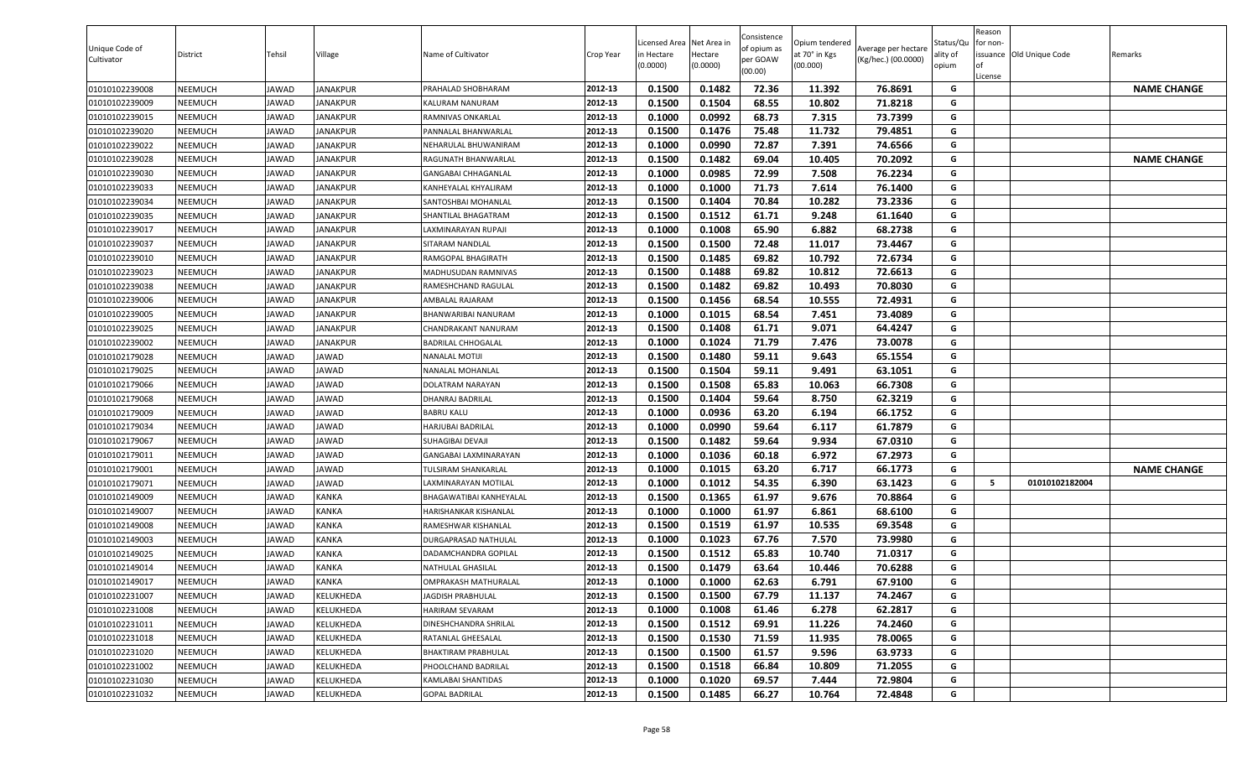| Unique Code of<br>Cultivator | District | Tehsil       | Village      | Name of Cultivator          | Crop Year | .icensed Area<br>in Hectare<br>(0.0000) | Net Area in<br>Hectare<br>(0.0000) | Consistence<br>of opium as<br>per GOAW<br>(00.00) | Opium tendered<br>at 70° in Kgs<br>(00.000) | Average per hectare<br>(Kg/hec.) (00.0000) | Status/Qu<br>ality of<br>opium | Reason<br>for non-<br><b>of</b><br>License | issuance Old Unique Code | Remarks            |
|------------------------------|----------|--------------|--------------|-----------------------------|-----------|-----------------------------------------|------------------------------------|---------------------------------------------------|---------------------------------------------|--------------------------------------------|--------------------------------|--------------------------------------------|--------------------------|--------------------|
| 01010102239008               | NEEMUCH  | JAWAD        | JANAKPUR     | PRAHALAD SHOBHARAM          | 2012-13   | 0.1500                                  | 0.1482                             | 72.36                                             | 11.392                                      | 76.8691                                    | G                              |                                            |                          | <b>NAME CHANGE</b> |
| 01010102239009               | NEEMUCH  | JAWAD        | JANAKPUR     | KALURAM NANURAM             | 2012-13   | 0.1500                                  | 0.1504                             | 68.55                                             | 10.802                                      | 71.8218                                    | G                              |                                            |                          |                    |
| 01010102239015               | NEEMUCH  | JAWAD        | JANAKPUR     | RAMNIVAS ONKARLAL           | 2012-13   | 0.1000                                  | 0.0992                             | 68.73                                             | 7.315                                       | 73.7399                                    | G                              |                                            |                          |                    |
| 01010102239020               | NEEMUCH  | JAWAD        | ANAKPUR      | ANNALAL BHANWARLAL?         | 2012-13   | 0.1500                                  | 0.1476                             | 75.48                                             | 11.732                                      | 79.4851                                    | G                              |                                            |                          |                    |
| 01010102239022               | NEEMUCH  | JAWAD        | JANAKPUR     | <b>NEHARULAL BHUWANIRAM</b> | 2012-13   | 0.1000                                  | 0.0990                             | 72.87                                             | 7.391                                       | 74.6566                                    | G                              |                                            |                          |                    |
| 01010102239028               | NEEMUCH  | <b>IAWAD</b> | JANAKPUR     | RAGUNATH BHANWARLAL         | 2012-13   | 0.1500                                  | 0.1482                             | 69.04                                             | 10.405                                      | 70.2092                                    | G                              |                                            |                          | <b>NAME CHANGE</b> |
| 01010102239030               | NEEMUCH  | <b>IAWAD</b> | JANAKPUR     | GANGABAI CHHAGANLAL         | 2012-13   | 0.1000                                  | 0.0985                             | 72.99                                             | 7.508                                       | 76.2234                                    | G                              |                                            |                          |                    |
| 01010102239033               | NEEMUCH  | JAWAD        | JANAKPUR     | KANHEYALAL KHYALIRAM        | 2012-13   | 0.1000                                  | 0.1000                             | 71.73                                             | 7.614                                       | 76.1400                                    | G                              |                                            |                          |                    |
| 01010102239034               | NEEMUCH  | JAWAD        | JANAKPUR     | SANTOSHBAI MOHANLAL         | 2012-13   | 0.1500                                  | 0.1404                             | 70.84                                             | 10.282                                      | 73.2336                                    | G                              |                                            |                          |                    |
| 01010102239035               | NEEMUCH  | JAWAD        | JANAKPUR     | SHANTILAL BHAGATRAM         | 2012-13   | 0.1500                                  | 0.1512                             | 61.71                                             | 9.248                                       | 61.1640                                    | G                              |                                            |                          |                    |
| 01010102239017               | NEEMUCH  | JAWAD        | JANAKPUR     | AXMINARAYAN RUPAJI          | 2012-13   | 0.1000                                  | 0.1008                             | 65.90                                             | 6.882                                       | 68.2738                                    | G                              |                                            |                          |                    |
| 01010102239037               | NEEMUCH  | JAWAD        | JANAKPUR     | SITARAM NANDLAL             | 2012-13   | 0.1500                                  | 0.1500                             | 72.48                                             | 11.017                                      | 73.4467                                    | G                              |                                            |                          |                    |
| 01010102239010               | NEEMUCH  | JAWAD        | ANAKPUR      | RAMGOPAL BHAGIRATH          | 2012-13   | 0.1500                                  | 0.1485                             | 69.82                                             | 10.792                                      | 72.6734                                    | G                              |                                            |                          |                    |
| 01010102239023               | NEEMUCH  | <b>IAWAD</b> | JANAKPUR     | MADHUSUDAN RAMNIVAS         | 2012-13   | 0.1500                                  | 0.1488                             | 69.82                                             | 10.812                                      | 72.6613                                    | G                              |                                            |                          |                    |
| 01010102239038               | NEEMUCH  | JAWAD        | JANAKPUR     | RAMESHCHAND RAGULAL         | 2012-13   | 0.1500                                  | 0.1482                             | 69.82                                             | 10.493                                      | 70.8030                                    | G                              |                                            |                          |                    |
| 01010102239006               | NEEMUCH  | JAWAD        | JANAKPUR     | AMBALAL RAJARAM             | 2012-13   | 0.1500                                  | 0.1456                             | 68.54                                             | 10.555                                      | 72.4931                                    | G                              |                                            |                          |                    |
| 01010102239005               | NEEMUCH  | JAWAD        | JANAKPUR     | BHANWARIBAI NANURAM         | 2012-13   | 0.1000                                  | 0.1015                             | 68.54                                             | 7.451                                       | 73.4089                                    | G                              |                                            |                          |                    |
| 01010102239025               | NEEMUCH  | JAWAD        | JANAKPUR     | CHANDRAKANT NANURAM         | 2012-13   | 0.1500                                  | 0.1408                             | 61.71                                             | 9.071                                       | 64.4247                                    | G                              |                                            |                          |                    |
| 01010102239002               | NEEMUCH  | JAWAD        | ANAKPUR      | BADRILAL CHHOGALAL          | 2012-13   | 0.1000                                  | 0.1024                             | 71.79                                             | 7.476                                       | 73.0078                                    | G                              |                                            |                          |                    |
| 01010102179028               | NEEMUCH  | JAWAD        | <b>JAWAD</b> | NANALAL MOTIJI              | 2012-13   | 0.1500                                  | 0.1480                             | 59.11                                             | 9.643                                       | 65.1554                                    | G                              |                                            |                          |                    |
| 01010102179025               | NEEMUCH  | JAWAD        | AWAD         | VANALAL MOHANLAL            | 2012-13   | 0.1500                                  | 0.1504                             | 59.11                                             | 9.491                                       | 63.1051                                    | G                              |                                            |                          |                    |
| 01010102179066               | NEEMUCH  | JAWAD        | <b>JAWAD</b> | <b>DOLATRAM NARAYAN</b>     | 2012-13   | 0.1500                                  | 0.1508                             | 65.83                                             | 10.063                                      | 66.7308                                    | G                              |                                            |                          |                    |
| 01010102179068               | NEEMUCH  | <b>IAWAD</b> | <b>JAWAD</b> | <b>DHANRAJ BADRILAL</b>     | 2012-13   | 0.1500                                  | 0.1404                             | 59.64                                             | 8.750                                       | 62.3219                                    | G                              |                                            |                          |                    |
| 01010102179009               | NEEMUCH  | JAWAD        | JAWAD        | <b>BABRU KALU</b>           | 2012-13   | 0.1000                                  | 0.0936                             | 63.20                                             | 6.194                                       | 66.1752                                    | G                              |                                            |                          |                    |
| 01010102179034               | NEEMUCH  | JAWAD        | <b>JAWAD</b> | HARJUBAI BADRILAL           | 2012-13   | 0.1000                                  | 0.0990                             | 59.64                                             | 6.117                                       | 61.7879                                    | G                              |                                            |                          |                    |
| 01010102179067               | NEEMUCH  | JAWAD        | JAWAD        | SUHAGIBAI DEVAJI            | 2012-13   | 0.1500                                  | 0.1482                             | 59.64                                             | 9.934                                       | 67.0310                                    | G                              |                                            |                          |                    |
| 01010102179011               | NEEMUCH  | <b>IAWAD</b> | <b>JAWAD</b> | GANGABAI LAXMINARAYAN       | 2012-13   | 0.1000                                  | 0.1036                             | 60.18                                             | 6.972                                       | 67.2973                                    | G                              |                                            |                          |                    |
| 01010102179001               | NEEMUCH  | <b>IAWAD</b> | JAWAD        | <b>TULSIRAM SHANKARLAL</b>  | 2012-13   | 0.1000                                  | 0.1015                             | 63.20                                             | 6.717                                       | 66.1773                                    | G                              |                                            |                          | <b>NAME CHANGE</b> |
| 01010102179071               | NEEMUCH  | JAWAD        | <b>JAWAD</b> | AXMINARAYAN MOTILAL         | 2012-13   | 0.1000                                  | 0.1012                             | 54.35                                             | 6.390                                       | 63.1423                                    | G                              | -5                                         | 01010102182004           |                    |
| 01010102149009               | NEEMUCH  | JAWAD        | KANKA        | BHAGAWATIBAI KANHEYALAL     | 2012-13   | 0.1500                                  | 0.1365                             | 61.97                                             | 9.676                                       | 70.8864                                    | G                              |                                            |                          |                    |
| 01010102149007               | NEEMUCH  | <b>IAWAD</b> | KANKA        | HARISHANKAR KISHANLAL       | 2012-13   | 0.1000                                  | 0.1000                             | 61.97                                             | 6.861                                       | 68.6100                                    | G                              |                                            |                          |                    |
| 01010102149008               | NEEMUCH  | JAWAD        | KANKA        | RAMESHWAR KISHANLAL         | 2012-13   | 0.1500                                  | 0.1519                             | 61.97                                             | 10.535                                      | 69.3548                                    | G                              |                                            |                          |                    |
| 01010102149003               | NEEMUCH  | JAWAD        | KANKA        | DURGAPRASAD NATHULAL        | 2012-13   | 0.1000                                  | 0.1023                             | 67.76                                             | 7.570                                       | 73.9980                                    | G                              |                                            |                          |                    |
| 01010102149025               | NEEMUCH  | JAWAD        | KANKA        | DADAMCHANDRA GOPILAL        | 2012-13   | 0.1500                                  | 0.1512                             | 65.83                                             | 10.740                                      | 71.0317                                    | G                              |                                            |                          |                    |
| 01010102149014               | NEEMUCH  | <b>IAWAD</b> | KANKA        | NATHULAL GHASILAL           | 2012-13   | 0.1500                                  | 0.1479                             | 63.64                                             | 10.446                                      | 70.6288                                    | G                              |                                            |                          |                    |
| 01010102149017               | NEEMUCH  | JAWAD        | <b>KANKA</b> | OMPRAKASH MATHURALAL        | 2012-13   | 0.1000                                  | 0.1000                             | 62.63                                             | 6.791                                       | 67.9100                                    | G                              |                                            |                          |                    |
| 01010102231007               | NEEMUCH  | JAWAD        | KELUKHEDA    | JAGDISH PRABHULAL           | 2012-13   | 0.1500                                  | 0.1500                             | 67.79                                             | 11.137                                      | 74.2467                                    | G                              |                                            |                          |                    |
| 01010102231008               | NEEMUCH  | JAWAD        | KELUKHEDA    | <b>HARIRAM SEVARAM</b>      | 2012-13   | 0.1000                                  | 0.1008                             | 61.46                                             | 6.278                                       | 62.2817                                    | G                              |                                            |                          |                    |
| 01010102231011               | NEEMUCH  | JAWAD        | KELUKHEDA    | DINESHCHANDRA SHRILAL       | 2012-13   | 0.1500                                  | 0.1512                             | 69.91                                             | 11.226                                      | 74.2460                                    | G                              |                                            |                          |                    |
| 01010102231018               | NEEMUCH  | JAWAD        | KELUKHEDA    | RATANLAL GHEESALAL          | 2012-13   | 0.1500                                  | 0.1530                             | 71.59                                             | 11.935                                      | 78.0065                                    | G                              |                                            |                          |                    |
| 01010102231020               | NEEMUCH  | JAWAD        | KELUKHEDA    | BHAKTIRAM PRABHULAL         | 2012-13   | 0.1500                                  | 0.1500                             | 61.57                                             | 9.596                                       | 63.9733                                    | G                              |                                            |                          |                    |
| 01010102231002               | NEEMUCH  | JAWAD        | KELUKHEDA    | PHOOLCHAND BADRILAL         | 2012-13   | 0.1500                                  | 0.1518                             | 66.84                                             | 10.809                                      | 71.2055                                    | G                              |                                            |                          |                    |
| 01010102231030               | NEEMUCH  | JAWAD        | KELUKHEDA    | KAMLABAI SHANTIDAS          | 2012-13   | 0.1000                                  | 0.1020                             | 69.57                                             | 7.444                                       | 72.9804                                    | G                              |                                            |                          |                    |
| 01010102231032               | NEEMUCH  | JAWAD        | KELUKHEDA    | <b>GOPAL BADRILAL</b>       | 2012-13   | 0.1500                                  | 0.1485                             | 66.27                                             | 10.764                                      | 72.4848                                    | G                              |                                            |                          |                    |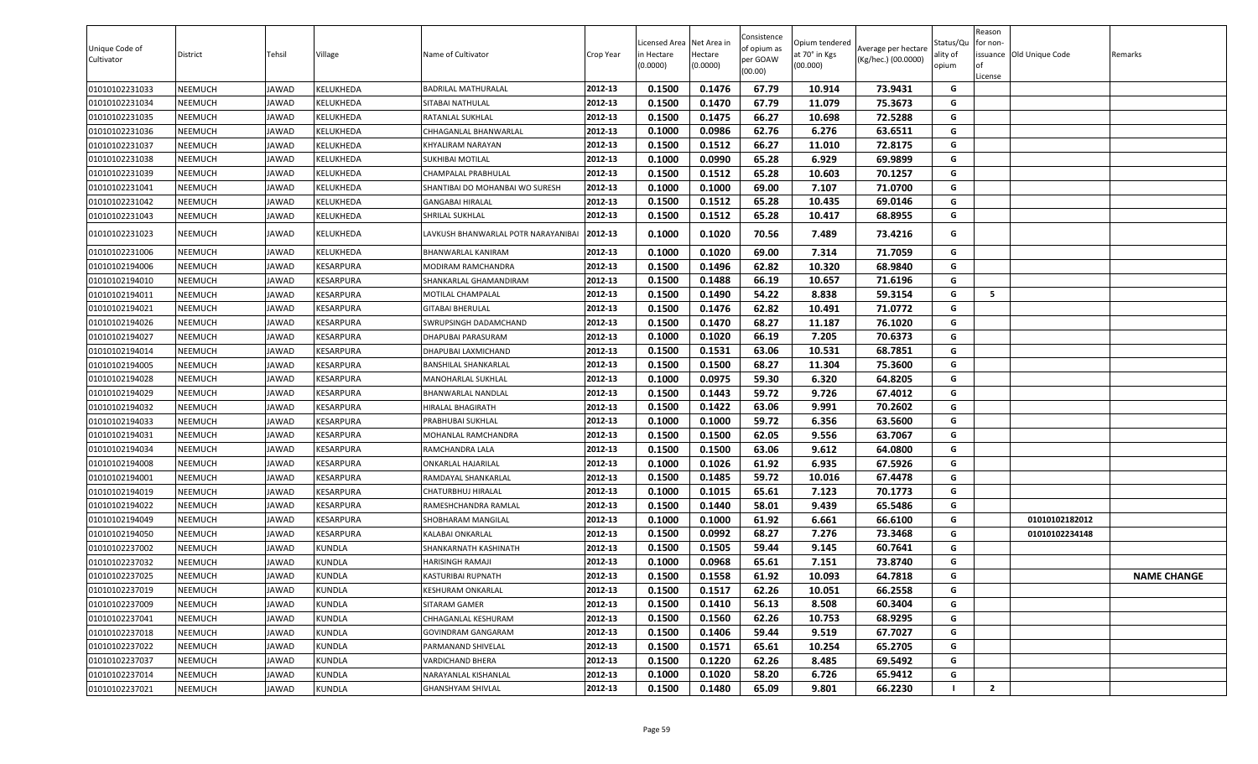| Unique Code of<br>Cultivator | District       | Tehsil       | Village          | Name of Cultivator                 | Crop Year | Licensed Area<br>n Hectare<br>(0.0000) | Net Area ir<br>Hectare<br>(0.0000) | Consistence<br>of opium as<br>per GOAW<br>(00.00) | Opium tendered<br>at 70° in Kgs<br>(00.000) | Average per hectare<br>(Kg/hec.) (00.0000) | Status/Qu<br>ality of<br>opium | Reason<br>or non-<br>of | issuance Old Unique Code | Remarks            |
|------------------------------|----------------|--------------|------------------|------------------------------------|-----------|----------------------------------------|------------------------------------|---------------------------------------------------|---------------------------------------------|--------------------------------------------|--------------------------------|-------------------------|--------------------------|--------------------|
| 01010102231033               | NEEMUCH        | <b>JAWAD</b> | KELUKHEDA        | <b>BADRILAL MATHURALAL</b>         | 2012-13   | 0.1500                                 | 0.1476                             | 67.79                                             | 10.914                                      | 73.9431                                    | G                              | License                 |                          |                    |
| 01010102231034               | NEEMUCH        | <b>JAWAD</b> | KELUKHEDA        | SITABAI NATHULAL                   | 2012-13   | 0.1500                                 | 0.1470                             | 67.79                                             | 11.079                                      | 75.3673                                    | G                              |                         |                          |                    |
| 01010102231035               | NEEMUCH        | <b>JAWAD</b> | KELUKHEDA        | RATANLAL SUKHLAL                   | 2012-13   | 0.1500                                 | 0.1475                             | 66.27                                             | 10.698                                      | 72.5288                                    | G                              |                         |                          |                    |
| 01010102231036               | NEEMUCH        | JAWAD        | KELUKHEDA        | CHHAGANLAL BHANWARLAL              | 2012-13   | 0.1000                                 | 0.0986                             | 62.76                                             | 6.276                                       | 63.6511                                    | G                              |                         |                          |                    |
| 01010102231037               | NEEMUCH        | <b>JAWAD</b> | KELUKHEDA        | KHYALIRAM NARAYAN                  | 2012-13   | 0.1500                                 | 0.1512                             | 66.27                                             | 11.010                                      | 72.8175                                    | G                              |                         |                          |                    |
| 01010102231038               | NEEMUCH        | <b>JAWAD</b> | KELUKHEDA        | <b>SUKHIBAI MOTILAL</b>            | 2012-13   | 0.1000                                 | 0.0990                             | 65.28                                             | 6.929                                       | 69.9899                                    | G                              |                         |                          |                    |
| 01010102231039               | NEEMUCH        | <b>JAWAD</b> | KELUKHEDA        | CHAMPALAL PRABHULAL                | 2012-13   | 0.1500                                 | 0.1512                             | 65.28                                             | 10.603                                      | 70.1257                                    | G                              |                         |                          |                    |
| 01010102231041               | NEEMUCH        | <b>JAWAD</b> | KELUKHEDA        | SHANTIBAI DO MOHANBAI WO SURESH    | 2012-13   | 0.1000                                 | 0.1000                             | 69.00                                             | 7.107                                       | 71.0700                                    | G                              |                         |                          |                    |
| 01010102231042               | NEEMUCH        | <b>JAWAD</b> | KELUKHEDA        | <b>GANGABAI HIRALAL</b>            | 2012-13   | 0.1500                                 | 0.1512                             | 65.28                                             | 10.435                                      | 69.0146                                    | G                              |                         |                          |                    |
| 01010102231043               | NEEMUCH        | <b>JAWAD</b> | KELUKHEDA        | SHRILAL SUKHLAL                    | 2012-13   | 0.1500                                 | 0.1512                             | 65.28                                             | 10.417                                      | 68.8955                                    | G                              |                         |                          |                    |
| 01010102231023               | NEEMUCH        | JAWAD        | KELUKHEDA        | LAVKUSH BHANWARLAL POTR NARAYANIBA | 2012-13   | 0.1000                                 | 0.1020                             | 70.56                                             | 7.489                                       | 73.4216                                    | G                              |                         |                          |                    |
| 01010102231006               | NEEMUCH        | <b>JAWAD</b> | KELUKHEDA        | BHANWARLAL KANIRAM                 | 2012-13   | 0.1000                                 | 0.1020                             | 69.00                                             | 7.314                                       | 71.7059                                    | G                              |                         |                          |                    |
| 01010102194006               | NEEMUCH        | JAWAD        | KESARPURA        | MODIRAM RAMCHANDRA                 | 2012-13   | 0.1500                                 | 0.1496                             | 62.82                                             | 10.320                                      | 68.9840                                    | G                              |                         |                          |                    |
| 01010102194010               | NEEMUCH        | <b>JAWAD</b> | KESARPURA        | SHANKARLAL GHAMANDIRAM             | 2012-13   | 0.1500                                 | 0.1488                             | 66.19                                             | 10.657                                      | 71.6196                                    | G                              |                         |                          |                    |
| 01010102194011               | NEEMUCH        | <b>JAWAD</b> | KESARPURA        | MOTILAL CHAMPALAL                  | 2012-13   | 0.1500                                 | 0.1490                             | 54.22                                             | 8.838                                       | 59.3154                                    | G                              | 5                       |                          |                    |
| 01010102194021               | NEEMUCH        | <b>JAWAD</b> | <b>KESARPURA</b> | <b>GITABAI BHERULAL</b>            | 2012-13   | 0.1500                                 | 0.1476                             | 62.82                                             | 10.491                                      | 71.0772                                    | G                              |                         |                          |                    |
| 01010102194026               | NEEMUCH        | <b>JAWAD</b> | KESARPURA        | <b>SWRUPSINGH DADAMCHAND</b>       | 2012-13   | 0.1500                                 | 0.1470                             | 68.27                                             | 11.187                                      | 76.1020                                    | G                              |                         |                          |                    |
| 01010102194027               | NEEMUCH        | <b>JAWAD</b> | KESARPURA        | DHAPUBAI PARASURAM                 | 2012-13   | 0.1000                                 | 0.1020                             | 66.19                                             | 7.205                                       | 70.6373                                    | G                              |                         |                          |                    |
| 01010102194014               | NEEMUCH        | <b>JAWAD</b> | KESARPURA        | DHAPUBAI LAXMICHAND                | 2012-13   | 0.1500                                 | 0.1531                             | 63.06                                             | 10.531                                      | 68.7851                                    | G                              |                         |                          |                    |
| 01010102194005               | NEEMUCH        | <b>JAWAD</b> | KESARPURA        | <b>BANSHILAL SHANKARLAL</b>        | 2012-13   | 0.1500                                 | 0.1500                             | 68.27                                             | 11.304                                      | 75.3600                                    | G                              |                         |                          |                    |
| 01010102194028               | NEEMUCH        | <b>JAWAD</b> | KESARPURA        | <b>MANOHARLAL SUKHLAL</b>          | 2012-13   | 0.1000                                 | 0.0975                             | 59.30                                             | 6.320                                       | 64.8205                                    | G                              |                         |                          |                    |
| 01010102194029               | NEEMUCH        | <b>JAWAD</b> | KESARPURA        | BHANWARLAL NANDLAL                 | 2012-13   | 0.1500                                 | 0.1443                             | 59.72                                             | 9.726                                       | 67.4012                                    | G                              |                         |                          |                    |
| 01010102194032               | NEEMUCH        | <b>JAWAD</b> | KESARPURA        | HIRALAL BHAGIRATH                  | 2012-13   | 0.1500                                 | 0.1422                             | 63.06                                             | 9.991                                       | 70.2602                                    | G                              |                         |                          |                    |
| 01010102194033               | NEEMUCH        | <b>JAWAD</b> | KESARPURA        | PRABHUBAI SUKHLAL                  | 2012-13   | 0.1000                                 | 0.1000                             | 59.72                                             | 6.356                                       | 63.5600                                    | G                              |                         |                          |                    |
| 01010102194031               | NEEMUCH        | <b>JAWAD</b> | KESARPURA        | MOHANLAL RAMCHANDRA                | 2012-13   | 0.1500                                 | 0.1500                             | 62.05                                             | 9.556                                       | 63.7067                                    | G                              |                         |                          |                    |
| 01010102194034               | NEEMUCH        | <b>JAWAD</b> | KESARPURA        | RAMCHANDRA LALA                    | 2012-13   | 0.1500                                 | 0.1500                             | 63.06                                             | 9.612                                       | 64.0800                                    | G                              |                         |                          |                    |
| 01010102194008               | NEEMUCH        | <b>JAWAD</b> | KESARPURA        | ONKARLAL HAJARILAL                 | 2012-13   | 0.1000                                 | 0.1026                             | 61.92                                             | 6.935                                       | 67.5926                                    | G                              |                         |                          |                    |
| 01010102194001               | NEEMUCH        | <b>JAWAD</b> | KESARPURA        | RAMDAYAL SHANKARLAL                | 2012-13   | 0.1500                                 | 0.1485                             | 59.72                                             | 10.016                                      | 67.4478                                    | G                              |                         |                          |                    |
| 01010102194019               | NEEMUCH        | <b>JAWAD</b> | KESARPURA        | CHATURBHUJ HIRALAL                 | 2012-13   | 0.1000                                 | 0.1015                             | 65.61                                             | 7.123                                       | 70.1773                                    | G                              |                         |                          |                    |
| 01010102194022               | NEEMUCH        | <b>JAWAD</b> | KESARPURA        | RAMESHCHANDRA RAMLAL               | 2012-13   | 0.1500                                 | 0.1440                             | 58.01                                             | 9.439                                       | 65.5486                                    | G                              |                         |                          |                    |
| 01010102194049               | NEEMUCH        | <b>JAWAD</b> | KESARPURA        | SHOBHARAM MANGILAL                 | 2012-13   | 0.1000                                 | 0.1000                             | 61.92                                             | 6.661                                       | 66.6100                                    | G                              |                         | 01010102182012           |                    |
| 01010102194050               | NEEMUCH        | <b>JAWAD</b> | KESARPURA        | <b>KALABAI ONKARLAL</b>            | 2012-13   | 0.1500                                 | 0.0992                             | 68.27                                             | 7.276                                       | 73.3468                                    | G                              |                         | 01010102234148           |                    |
| 01010102237002               | NEEMUCH        | <b>JAWAD</b> | <b>KUNDLA</b>    | SHANKARNATH KASHINATH              | 2012-13   | 0.1500                                 | 0.1505                             | 59.44                                             | 9.145                                       | 60.7641                                    | G                              |                         |                          |                    |
| 01010102237032               | NEEMUCH        | <b>JAWAD</b> | KUNDLA           | <b>HARISINGH RAMAJI</b>            | 2012-13   | 0.1000                                 | 0.0968                             | 65.61                                             | 7.151                                       | 73.8740                                    | G                              |                         |                          |                    |
| 01010102237025               | NEEMUCH        | <b>JAWAD</b> | <b>KUNDLA</b>    | <b>KASTURIBAI RUPNATH</b>          | 2012-13   | 0.1500                                 | 0.1558                             | 61.92                                             | 10.093                                      | 64.7818                                    | G                              |                         |                          | <b>NAME CHANGE</b> |
| 01010102237019               | <b>NEEMUCH</b> | JAWAD        | <b>KUNDLA</b>    | <b>KESHURAM ONKARLAL</b>           | 2012-13   | 0.1500                                 | 0.1517                             | 62.26                                             | 10.051                                      | 66.2558                                    | G                              |                         |                          |                    |
| 01010102237009               | <b>NEEMUCH</b> | <b>JAWAD</b> | <b>KUNDLA</b>    | SITARAM GAMER                      | 2012-13   | 0.1500                                 | 0.1410                             | 56.13                                             | 8.508                                       | 60.3404                                    | G                              |                         |                          |                    |
| 01010102237041               | NEEMUCH        | <b>JAWAD</b> | <b>KUNDLA</b>    | CHHAGANLAL KESHURAM                | 2012-13   | 0.1500                                 | 0.1560                             | 62.26                                             | 10.753                                      | 68.9295                                    | G                              |                         |                          |                    |
| 01010102237018               | NEEMUCH        | <b>JAWAD</b> | <b>KUNDLA</b>    | GOVINDRAM GANGARAM                 | 2012-13   | 0.1500                                 | 0.1406                             | 59.44                                             | 9.519                                       | 67.7027                                    | G                              |                         |                          |                    |
| 01010102237022               | NEEMUCH        | <b>JAWAD</b> | <b>KUNDLA</b>    | PARMANAND SHIVELAL                 | 2012-13   | 0.1500                                 | 0.1571                             | 65.61                                             | 10.254                                      | 65.2705                                    | G                              |                         |                          |                    |
| 01010102237037               | <b>NEEMUCH</b> | <b>JAWAD</b> | <b>KUNDLA</b>    | VARDICHAND BHERA                   | 2012-13   | 0.1500                                 | 0.1220                             | 62.26                                             | 8.485                                       | 69.5492                                    | G                              |                         |                          |                    |
| 01010102237014               | NEEMUCH        | <b>JAWAD</b> | <b>KUNDLA</b>    | NARAYANLAL KISHANLAL               | 2012-13   | 0.1000                                 | 0.1020                             | 58.20                                             | 6.726                                       | 65.9412                                    | G                              |                         |                          |                    |
| 01010102237021               | NEEMUCH        | <b>JAWAD</b> | <b>KUNDLA</b>    | <b>GHANSHYAM SHIVLAL</b>           | 2012-13   | 0.1500                                 | 0.1480                             | 65.09                                             | 9.801                                       | 66.2230                                    | л.                             | $\overline{2}$          |                          |                    |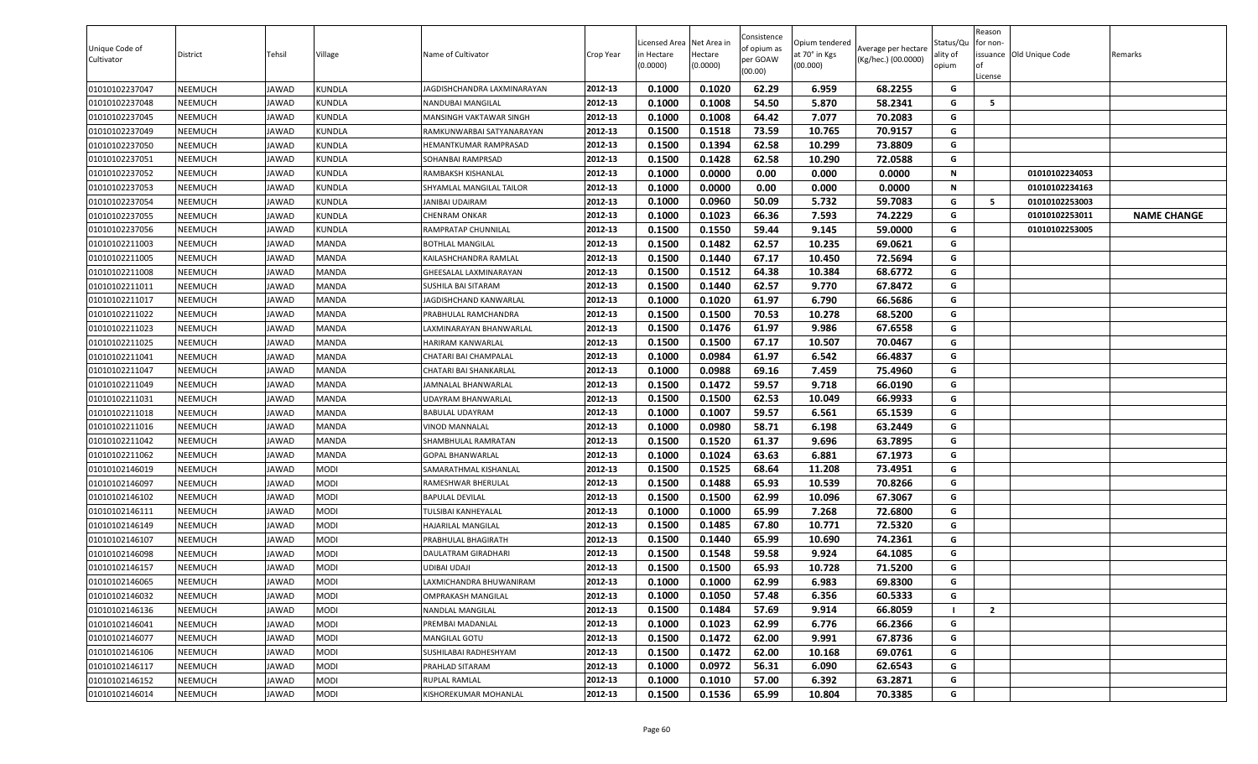| (0.0000)                                                                                                  |        | (0.0000) | per GOAW<br>(00.00) | at 70° in Kgs<br>(00.000) | Average per hectare<br>(Kg/hec.) (00.0000) | ality of<br>opium | or non-<br>of<br>License | issuance Old Unique Code | Remarks            |
|-----------------------------------------------------------------------------------------------------------|--------|----------|---------------------|---------------------------|--------------------------------------------|-------------------|--------------------------|--------------------------|--------------------|
| 01010102237047<br>NEEMUCH<br><b>JAWAD</b><br><b>KUNDLA</b><br>2012-13<br>JAGDISHCHANDRA LAXMINARAYAN      | 0.1000 | 0.1020   | 62.29               | 6.959                     | 68.2255                                    | G                 |                          |                          |                    |
| 01010102237048<br>2012-13<br>NEEMUCH<br><b>JAWAD</b><br><b>KUNDLA</b><br><b>NANDUBAI MANGILAL</b>         | 0.1000 | 0.1008   | 54.50               | 5.870                     | 58.2341                                    | G                 | 5                        |                          |                    |
| 01010102237045<br>NEEMUCH<br><b>JAWAD</b><br><b>KUNDLA</b><br>2012-13<br>MANSINGH VAKTAWAR SINGH          | 0.1000 | 0.1008   | 64.42               | 7.077                     | 70.2083                                    | G                 |                          |                          |                    |
| 01010102237049<br>2012-13<br>NEEMUCH<br>JAWAD<br>KUNDLA<br>RAMKUNWARBAI SATYANARAYAN                      | 0.1500 | 0.1518   | 73.59               | 10.765                    | 70.9157                                    | G                 |                          |                          |                    |
| 01010102237050<br>NEEMUCH<br><b>JAWAD</b><br><b>KUNDLA</b><br>2012-13<br>HEMANTKUMAR RAMPRASAD            | 0.1500 | 0.1394   | 62.58               | 10.299                    | 73.8809                                    | G                 |                          |                          |                    |
| 2012-13<br>01010102237051<br>NEEMUCH<br><b>JAWAD</b><br><b>KUNDLA</b><br>SOHANBAI RAMPRSAD                | 0.1500 | 0.1428   | 62.58               | 10.290                    | 72.0588                                    | G                 |                          |                          |                    |
| <b>KUNDLA</b><br>2012-13<br>01010102237052<br>NEEMUCH<br><b>JAWAD</b><br>RAMBAKSH KISHANLAL               | 0.1000 | 0.0000   | 0.00                | 0.000                     | 0.0000                                     | Ν                 |                          | 01010102234053           |                    |
| 2012-13<br>01010102237053<br>NEEMUCH<br><b>KUNDLA</b><br>SHYAMLAL MANGILAL TAILOR<br><b>JAWAD</b>         | 0.1000 | 0.0000   | 0.00                | 0.000                     | 0.0000                                     | N                 |                          | 01010102234163           |                    |
| 01010102237054<br>2012-13<br>NEEMUCH<br><b>JAWAD</b><br><b>KUNDLA</b><br>JANIBAI UDAIRAM                  | 0.1000 | 0.0960   | 50.09               | 5.732                     | 59.7083                                    | G                 | -5                       | 01010102253003           |                    |
| 01010102237055<br>2012-13<br>NEEMUCH<br><b>JAWAD</b><br><b>KUNDLA</b><br><b>CHENRAM ONKAR</b>             | 0.1000 | 0.1023   | 66.36               | 7.593                     | 74.2229                                    | G                 |                          | 01010102253011           | <b>NAME CHANGE</b> |
| 01010102237056<br>NEEMUCH<br><b>JAWAD</b><br><b>KUNDLA</b><br>2012-13<br>RAMPRATAP CHUNNILAL              | 0.1500 | 0.1550   | 59.44               | 9.145                     | 59.0000                                    | G                 |                          | 01010102253005           |                    |
| <b>JAWAD</b><br>MANDA<br>2012-13<br>01010102211003<br>NEEMUCH<br><b>BOTHLAL MANGILAL</b>                  | 0.1500 | 0.1482   | 62.57               | 10.235                    | 69.0621                                    | G                 |                          |                          |                    |
| MANDA<br>2012-13<br>01010102211005<br>NEEMUCH<br><b>JAWAD</b><br>KAILASHCHANDRA RAMLAL                    | 0.1500 | 0.1440   | 67.17               | 10.450                    | 72.5694                                    | G                 |                          |                          |                    |
| MANDA<br>2012-13<br>01010102211008<br>NEEMUCH<br><b>JAWAD</b><br>GHEESALAL LAXMINARAYAN                   | 0.1500 | 0.1512   | 64.38               | 10.384                    | 68.6772                                    | G                 |                          |                          |                    |
| <b>MANDA</b><br>01010102211011<br><b>NEEMUCH</b><br><b>JAWAD</b><br>2012-13<br><b>SUSHILA BAI SITARAM</b> | 0.1500 | 0.1440   | 62.57               | 9.770                     | 67.8472                                    | G                 |                          |                          |                    |
| 01010102211017<br>NEEMUCH<br><b>MANDA</b><br>2012-13<br><b>JAWAD</b><br>JAGDISHCHAND KANWARLAL            | 0.1000 | 0.1020   | 61.97               | 6.790                     | 66.5686                                    | G                 |                          |                          |                    |
| 2012-13<br>01010102211022<br>NEEMUCH<br><b>MANDA</b><br>PRABHULAL RAMCHANDRA<br><b>JAWAD</b>              | 0.1500 | 0.1500   | 70.53               | 10.278                    | 68.5200                                    | G                 |                          |                          |                    |
| 2012-13<br>01010102211023<br>NEEMUCH<br><b>JAWAD</b><br>MANDA<br>LAXMINARAYAN BHANWARLAL                  | 0.1500 | 0.1476   | 61.97               | 9.986                     | 67.6558                                    | G                 |                          |                          |                    |
| 01010102211025<br>2012-13<br>NEEMUCH<br><b>JAWAD</b><br>MANDA<br>HARIRAM KANWARLAL                        | 0.1500 | 0.1500   | 67.17               | 10.507                    | 70.0467                                    | G                 |                          |                          |                    |
| 2012-13<br>01010102211041<br>NEEMUCH<br><b>JAWAD</b><br>MANDA<br>CHATARI BAI CHAMPALAL                    | 0.1000 | 0.0984   | 61.97               | 6.542                     | 66.4837                                    | G                 |                          |                          |                    |
| 01010102211047<br>MANDA<br>2012-13<br>NEEMUCH<br><b>JAWAD</b><br>CHATARI BAI SHANKARLAL                   | 0.1000 | 0.0988   | 69.16               | 7.459                     | 75.4960                                    | G                 |                          |                          |                    |
| 01010102211049<br>NEEMUCH<br><b>JAWAD</b><br><b>MANDA</b><br>2012-13<br>JAMNALAL BHANWARLAL               | 0.1500 | 0.1472   | 59.57               | 9.718                     | 66.0190                                    | G                 |                          |                          |                    |
| 01010102211031<br>NEEMUCH<br>MANDA<br>2012-13<br><b>JAWAD</b><br>UDAYRAM BHANWARLAL                       | 0.1500 | 0.1500   | 62.53               | 10.049                    | 66.9933                                    | G                 |                          |                          |                    |
| 01010102211018<br>NEEMUCH<br><b>JAWAD</b><br><b>MANDA</b><br>2012-13<br><b>BABULAL UDAYRAM</b>            | 0.1000 | 0.1007   | 59.57               | 6.561                     | 65.1539                                    | G                 |                          |                          |                    |
| 01010102211016<br>NEEMUCH<br><b>MANDA</b><br>2012-13<br><b>JAWAD</b><br><b>VINOD MANNALAL</b>             | 0.1000 | 0.0980   | 58.71               | 6.198                     | 63.2449                                    | G                 |                          |                          |                    |
| 01010102211042<br>NEEMUCH<br><b>JAWAD</b><br><b>MANDA</b><br>2012-13<br>SHAMBHULAL RAMRATAN               | 0.1500 | 0.1520   | 61.37               | 9.696                     | 63.7895                                    | G                 |                          |                          |                    |
| 01010102211062<br>2012-13<br>NEEMUCH<br><b>JAWAD</b><br>MANDA<br><b>GOPAL BHANWARLAL</b>                  | 0.1000 | 0.1024   | 63.63               | 6.881                     | 67.1973                                    | G                 |                          |                          |                    |
| 01010102146019<br>NEEMUCH<br><b>JAWAD</b><br>MODI<br>2012-13<br>SAMARATHMAL KISHANLAL                     | 0.1500 | 0.1525   | 68.64               | 11.208                    | 73.4951                                    | G                 |                          |                          |                    |
| 2012-13<br><b>JAWAD</b><br>MODI<br>01010102146097<br>NEEMUCH<br>RAMESHWAR BHERULAL                        | 0.1500 | 0.1488   | 65.93               | 10.539                    | 70.8266                                    | G                 |                          |                          |                    |
| MODI<br>2012-13<br>01010102146102<br>NEEMUCH<br><b>JAWAD</b><br><b>BAPULAL DEVILAL</b>                    | 0.1500 | 0.1500   | 62.99               | 10.096                    | 67.3067                                    | G                 |                          |                          |                    |
| 2012-13<br>MODI<br>01010102146111<br>NEEMUCH<br><b>JAWAD</b><br>TULSIBAI KANHEYALAL                       | 0.1000 | 0.1000   | 65.99               | 7.268                     | 72.6800                                    | G                 |                          |                          |                    |
| MODI<br>2012-13<br>01010102146149<br>NEEMUCH<br><b>JAWAD</b><br>HAJARILAL MANGILAL                        | 0.1500 | 0.1485   | 67.80               | 10.771                    | 72.5320                                    | G                 |                          |                          |                    |
| NEEMUCH<br><b>JAWAD</b><br>MODI<br>2012-13<br>01010102146107<br>PRABHULAL BHAGIRATH                       | 0.1500 | 0.1440   | 65.99               | 10.690                    | 74.2361                                    | G                 |                          |                          |                    |
| 01010102146098<br>NEEMUCH<br><b>MODI</b><br>2012-13<br>JAWAD<br>DAULATRAM GIRADHARI                       | 0.1500 | 0.1548   | 59.58               | 9.924                     | 64.1085                                    | G                 |                          |                          |                    |
| 01010102146157<br>MODI<br>2012-13<br>NEEMUCH<br><b>JAWAD</b><br>UDIBAI UDAJI                              | 0.1500 | 0.1500   | 65.93               | 10.728                    | 71.5200                                    | G                 |                          |                          |                    |
| 01010102146065<br><b>JAWAD</b><br><b>MODI</b><br>2012-13<br>NEEMUCH<br>LAXMICHANDRA BHUWANIRAM            | 0.1000 | 0.1000   | 62.99               | 6.983                     | 69.8300                                    | G                 |                          |                          |                    |
| 01010102146032<br>NEEMUCH<br><b>JAWAD</b><br><b>MODI</b><br>2012-13<br><b>OMPRAKASH MANGILAL</b>          | 0.1000 | 0.1050   | 57.48               | 6.356                     | 60.5333                                    | G                 |                          |                          |                    |
| MODI<br>2012-13<br>01010102146136<br>NEEMUCH<br><b>JAWAD</b><br><b>NANDLAL MANGILAL</b>                   | 0.1500 | 0.1484   | 57.69               | 9.914                     | 66.8059                                    | -1                | $\overline{2}$           |                          |                    |
| 01010102146041<br>MODI<br>2012-13<br><b>NEEMUCH</b><br><b>JAWAD</b><br>PREMBAI MADANLAL                   | 0.1000 | 0.1023   | 62.99               | 6.776                     | 66.2366                                    | G                 |                          |                          |                    |
| MODI<br>2012-13<br>01010102146077<br><b>NEEMUCH</b><br><b>JAWAD</b><br><b>MANGILAL GOTU</b>               | 0.1500 | 0.1472   | 62.00               | 9.991                     | 67.8736                                    | G                 |                          |                          |                    |
| 2012-13<br>01010102146106<br><b>NEEMUCH</b><br><b>JAWAD</b><br><b>MODI</b><br>SUSHILABAI RADHESHYAM       | 0.1500 | 0.1472   | 62.00               | 10.168                    | 69.0761                                    | G                 |                          |                          |                    |
| 2012-13<br>01010102146117<br>NEEMUCH<br>MODI<br>PRAHLAD SITARAM<br><b>JAWAD</b>                           | 0.1000 | 0.0972   | 56.31               | 6.090                     | 62.6543                                    | G                 |                          |                          |                    |
| 2012-13<br>01010102146152<br><b>NEEMUCH</b><br><b>JAWAD</b><br>MODI<br><b>RUPLAL RAMLAL</b>               | 0.1000 | 0.1010   | 57.00               | 6.392                     | 63.2871                                    | G                 |                          |                          |                    |
| 01010102146014<br>MODI<br>KISHOREKUMAR MOHANLAL<br>2012-13<br>NEEMUCH<br><b>JAWAD</b>                     | 0.1500 | 0.1536   | 65.99               | 10.804                    | 70.3385                                    | G                 |                          |                          |                    |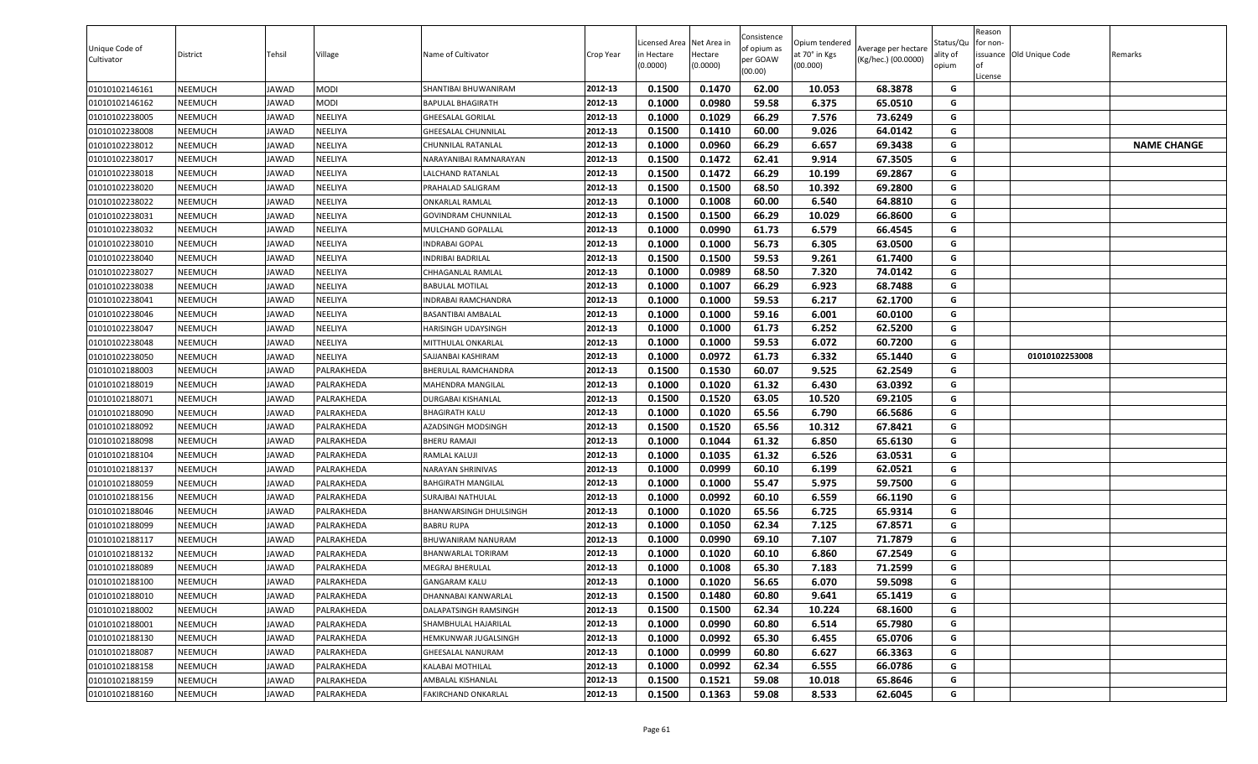| Unique Code of<br>Cultivator | District | Tehsil       | Village     | Name of Cultivator           | Crop Year | .icensed Area<br>in Hectare<br>(0.0000) | Net Area in<br>Hectare<br>(0.0000) | Consistence<br>of opium as<br>per GOAW<br>(00.00) | Opium tendered<br>at 70° in Kgs<br>(00.000) | Average per hectare<br>(Kg/hec.) (00.0000) | Status/Qu<br>ality of<br>opium | Reason<br>for non-<br><b>of</b><br>License | issuance Old Unique Code | Remarks            |
|------------------------------|----------|--------------|-------------|------------------------------|-----------|-----------------------------------------|------------------------------------|---------------------------------------------------|---------------------------------------------|--------------------------------------------|--------------------------------|--------------------------------------------|--------------------------|--------------------|
| 01010102146161               | NEEMUCH  | JAWAD        | <b>MODI</b> | SHANTIBAI BHUWANIRAM         | 2012-13   | 0.1500                                  | 0.1470                             | 62.00                                             | 10.053                                      | 68.3878                                    | G                              |                                            |                          |                    |
| 01010102146162               | NEEMUCH  | JAWAD        | NODI        | BAPULAL BHAGIRATH            | 2012-13   | 0.1000                                  | 0.0980                             | 59.58                                             | 6.375                                       | 65.0510                                    | G                              |                                            |                          |                    |
| 01010102238005               | NEEMUCH  | JAWAD        | NEELIYA     | <b>GHEESALAL GORILAL</b>     | 2012-13   | 0.1000                                  | 0.1029                             | 66.29                                             | 7.576                                       | 73.6249                                    | G                              |                                            |                          |                    |
| 01010102238008               | NEEMUCH  | JAWAD        | NEELIYA     | SHEESALAL CHUNNILAL          | 2012-13   | 0.1500                                  | 0.1410                             | 60.00                                             | 9.026                                       | 64.0142                                    | G                              |                                            |                          |                    |
| 01010102238012               | NEEMUCH  | JAWAD        | NEELIYA     | CHUNNILAL RATANLAL           | 2012-13   | 0.1000                                  | 0.0960                             | 66.29                                             | 6.657                                       | 69.3438                                    | G                              |                                            |                          | <b>NAME CHANGE</b> |
| 01010102238017               | NEEMUCH  | <b>IAWAD</b> | NEELIYA     | NARAYANIBAI RAMNARAYAN       | 2012-13   | 0.1500                                  | 0.1472                             | 62.41                                             | 9.914                                       | 67.3505                                    | G                              |                                            |                          |                    |
| 01010102238018               | NEEMUCH  | <b>IAWAD</b> | NEELIYA     | LALCHAND RATANLAL            | 2012-13   | 0.1500                                  | 0.1472                             | 66.29                                             | 10.199                                      | 69.2867                                    | G                              |                                            |                          |                    |
| 01010102238020               | NEEMUCH  | JAWAD        | NEELIYA     | PRAHALAD SALIGRAM            | 2012-13   | 0.1500                                  | 0.1500                             | 68.50                                             | 10.392                                      | 69.2800                                    | G                              |                                            |                          |                    |
| 01010102238022               | NEEMUCH  | JAWAD        | NEELIYA     | ONKARLAL RAMLAL              | 2012-13   | 0.1000                                  | 0.1008                             | 60.00                                             | 6.540                                       | 64.8810                                    | G                              |                                            |                          |                    |
| 01010102238031               | NEEMUCH  | JAWAD        | NEELIYA     | GOVINDRAM CHUNNILAL          | 2012-13   | 0.1500                                  | 0.1500                             | 66.29                                             | 10.029                                      | 66.8600                                    | G                              |                                            |                          |                    |
| 01010102238032               | NEEMUCH  | JAWAD        | NEELIYA     | MULCHAND GOPALLAL            | 2012-13   | 0.1000                                  | 0.0990                             | 61.73                                             | 6.579                                       | 66.4545                                    | G                              |                                            |                          |                    |
| 01010102238010               | NEEMUCH  | JAWAD        | NEELIYA     | <b>INDRABAI GOPAL</b>        | 2012-13   | 0.1000                                  | 0.1000                             | 56.73                                             | 6.305                                       | 63.0500                                    | G                              |                                            |                          |                    |
| 01010102238040               | NEEMUCH  | JAWAD        | NEELIYA     | NDRIBAI BADRILAL             | 2012-13   | 0.1500                                  | 0.1500                             | 59.53                                             | 9.261                                       | 61.7400                                    | G                              |                                            |                          |                    |
| 01010102238027               | NEEMUCH  | <b>IAWAD</b> | NEELIYA     | CHHAGANLAL RAMLAL            | 2012-13   | 0.1000                                  | 0.0989                             | 68.50                                             | 7.320                                       | 74.0142                                    | G                              |                                            |                          |                    |
| 01010102238038               | NEEMUCH  | JAWAD        | NEELIYA     | <b>BABULAL MOTILAL</b>       | 2012-13   | 0.1000                                  | 0.1007                             | 66.29                                             | 6.923                                       | 68.7488                                    | G                              |                                            |                          |                    |
| 01010102238041               | NEEMUCH  | JAWAD        | NEELIYA     | INDRABAI RAMCHANDRA          | 2012-13   | 0.1000                                  | 0.1000                             | 59.53                                             | 6.217                                       | 62.1700                                    | G                              |                                            |                          |                    |
| 01010102238046               | NEEMUCH  | JAWAD        | NEELIYA     | <b>BASANTIBAI AMBALAL</b>    | 2012-13   | 0.1000                                  | 0.1000                             | 59.16                                             | 6.001                                       | 60.0100                                    | G                              |                                            |                          |                    |
| 01010102238047               | NEEMUCH  | JAWAD        | NEELIYA     | HARISINGH UDAYSINGH          | 2012-13   | 0.1000                                  | 0.1000                             | 61.73                                             | 6.252                                       | 62.5200                                    | G                              |                                            |                          |                    |
| 01010102238048               | NEEMUCH  | JAWAD        | NEELIYA     | MITTHULAL ONKARLAL           | 2012-13   | 0.1000                                  | 0.1000                             | 59.53                                             | 6.072                                       | 60.7200                                    | G                              |                                            |                          |                    |
| 01010102238050               | NEEMUCH  | JAWAD        | NEELIYA     | SAJJANBAI KASHIRAM           | 2012-13   | 0.1000                                  | 0.0972                             | 61.73                                             | 6.332                                       | 65.1440                                    | G                              |                                            | 01010102253008           |                    |
| 01010102188003               | NEEMUCH  | JAWAD        | PALRAKHEDA  | BHERULAL RAMCHANDRA          | 2012-13   | 0.1500                                  | 0.1530                             | 60.07                                             | 9.525                                       | 62.2549                                    | G                              |                                            |                          |                    |
| 01010102188019               | NEEMUCH  | JAWAD        | PALRAKHEDA  | MAHENDRA MANGILAL            | 2012-13   | 0.1000                                  | 0.1020                             | 61.32                                             | 6.430                                       | 63.0392                                    | G                              |                                            |                          |                    |
| 01010102188071               | NEEMUCH  | <b>IAWAD</b> | PALRAKHEDA  | DURGABAI KISHANLAL           | 2012-13   | 0.1500                                  | 0.1520                             | 63.05                                             | 10.520                                      | 69.2105                                    | G                              |                                            |                          |                    |
| 01010102188090               | NEEMUCH  | JAWAD        | PALRAKHEDA  | <b>BHAGIRATH KALU</b>        | 2012-13   | 0.1000                                  | 0.1020                             | 65.56                                             | 6.790                                       | 66.5686                                    | G                              |                                            |                          |                    |
| 01010102188092               | NEEMUCH  | JAWAD        | PALRAKHEDA  | AZADSINGH MODSINGH           | 2012-13   | 0.1500                                  | 0.1520                             | 65.56                                             | 10.312                                      | 67.8421                                    | G                              |                                            |                          |                    |
| 01010102188098               | NEEMUCH  | JAWAD        | PALRAKHEDA  | <b>BHERU RAMAJI</b>          | 2012-13   | 0.1000                                  | 0.1044                             | 61.32                                             | 6.850                                       | 65.6130                                    | G                              |                                            |                          |                    |
| 01010102188104               | NEEMUCH  | <b>IAWAD</b> | PALRAKHEDA  | RAMLAL KALUJI                | 2012-13   | 0.1000                                  | 0.1035                             | 61.32                                             | 6.526                                       | 63.0531                                    | G                              |                                            |                          |                    |
| 01010102188137               | NEEMUCH  | <b>IAWAD</b> | PALRAKHEDA  | NARAYAN SHRINIVAS            | 2012-13   | 0.1000                                  | 0.0999                             | 60.10                                             | 6.199                                       | 62.0521                                    | G                              |                                            |                          |                    |
| 01010102188059               | NEEMUCH  | JAWAD        | PALRAKHEDA  | BAHGIRATH MANGILAL           | 2012-13   | 0.1000                                  | 0.1000                             | 55.47                                             | 5.975                                       | 59.7500                                    | G                              |                                            |                          |                    |
| 01010102188156               | NEEMUCH  | JAWAD        | PALRAKHEDA  | SURAJBAI NATHULAL            | 2012-13   | 0.1000                                  | 0.0992                             | 60.10                                             | 6.559                                       | 66.1190                                    | G                              |                                            |                          |                    |
| 01010102188046               | NEEMUCH  | JAWAD        | PALRAKHEDA  | BHANWARSINGH DHULSINGH       | 2012-13   | 0.1000                                  | 0.1020                             | 65.56                                             | 6.725                                       | 65.9314                                    | G                              |                                            |                          |                    |
| 01010102188099               | NEEMUCH  | JAWAD        | PALRAKHEDA  | <b>BABRU RUPA</b>            | 2012-13   | 0.1000                                  | 0.1050                             | 62.34                                             | 7.125                                       | 67.8571                                    | G                              |                                            |                          |                    |
| 01010102188117               | NEEMUCH  | JAWAD        | PALRAKHEDA  | BHUWANIRAM NANURAM           | 2012-13   | 0.1000                                  | 0.0990                             | 69.10                                             | 7.107                                       | 71.7879                                    | G                              |                                            |                          |                    |
| 01010102188132               | NEEMUCH  | JAWAD        | PALRAKHEDA  | <b>BHANWARLAL TORIRAM</b>    | 2012-13   | 0.1000                                  | 0.1020                             | 60.10                                             | 6.860                                       | 67.2549                                    | G                              |                                            |                          |                    |
| 01010102188089               | NEEMUCH  | <b>IAWAD</b> | PALRAKHEDA  | MEGRAJ BHERULAL              | 2012-13   | 0.1000                                  | 0.1008                             | 65.30                                             | 7.183                                       | 71.2599                                    | G                              |                                            |                          |                    |
| 01010102188100               | NEEMUCH  | JAWAD        | PALRAKHEDA  | <b>GANGARAM KALU</b>         | 2012-13   | 0.1000                                  | 0.1020                             | 56.65                                             | 6.070                                       | 59.5098                                    | G                              |                                            |                          |                    |
| 01010102188010               | NEEMUCH  | JAWAD        | PALRAKHEDA  | DHANNABAI KANWARLAL          | 2012-13   | 0.1500                                  | 0.1480                             | 60.80                                             | 9.641                                       | 65.1419                                    | G                              |                                            |                          |                    |
| 01010102188002               | NEEMUCH  | JAWAD        | PALRAKHEDA  | <b>DALAPATSINGH RAMSINGH</b> | 2012-13   | 0.1500                                  | 0.1500                             | 62.34                                             | 10.224                                      | 68.1600                                    | G                              |                                            |                          |                    |
| 01010102188001               | NEEMUCH  | JAWAD        | PALRAKHEDA  | SHAMBHULAL HAJARILAL         | 2012-13   | 0.1000                                  | 0.0990                             | 60.80                                             | 6.514                                       | 65.7980                                    | G                              |                                            |                          |                    |
| 01010102188130               | NEEMUCH  | JAWAD        | PALRAKHEDA  | HEMKUNWAR JUGALSINGH         | 2012-13   | 0.1000                                  | 0.0992                             | 65.30                                             | 6.455                                       | 65.0706                                    | G                              |                                            |                          |                    |
| 01010102188087               | NEEMUCH  | JAWAD        | PALRAKHEDA  | GHEESALAL NANURAM            | 2012-13   | 0.1000                                  | 0.0999                             | 60.80                                             | 6.627                                       | 66.3363                                    | G                              |                                            |                          |                    |
| 01010102188158               | NEEMUCH  | JAWAD        | PALRAKHEDA  | KALABAI MOTHILAL             | 2012-13   | 0.1000                                  | 0.0992                             | 62.34                                             | 6.555                                       | 66.0786                                    | G                              |                                            |                          |                    |
| 01010102188159               | NEEMUCH  | JAWAD        | PALRAKHEDA  | AMBALAL KISHANLAL            | 2012-13   | 0.1500                                  | 0.1521                             | 59.08                                             | 10.018                                      | 65.8646                                    | G                              |                                            |                          |                    |
| 01010102188160               | NEEMUCH  | JAWAD        | PALRAKHEDA  | FAKIRCHAND ONKARLAL          | 2012-13   | 0.1500                                  | 0.1363                             | 59.08                                             | 8.533                                       | 62.6045                                    | G                              |                                            |                          |                    |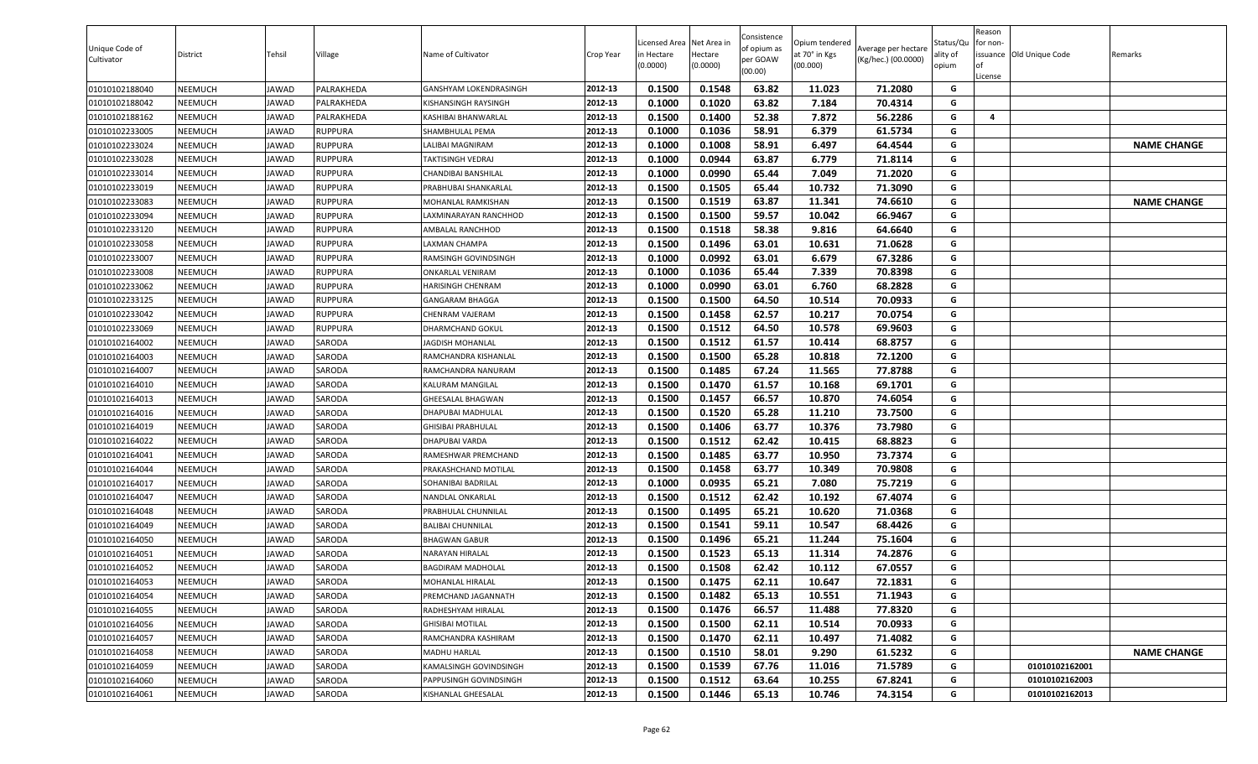| Unique Code of<br>Cultivator | District       | Tehsil       | Village        | Name of Cultivator         | Crop Year | Licensed Area Net Area in<br>in Hectare<br>(0.0000) | Hectare<br>(0.0000) | Consistence<br>of opium as<br>per GOAW<br>(00.00) | Opium tendered<br>at 70° in Kgs<br>(00.000) | Average per hectare<br>(Kg/hec.) (00.0000) | Status/Qu<br>ality of<br>opium | Reason<br>for non-<br>lof<br>License | issuance Old Unique Code | Remarks            |
|------------------------------|----------------|--------------|----------------|----------------------------|-----------|-----------------------------------------------------|---------------------|---------------------------------------------------|---------------------------------------------|--------------------------------------------|--------------------------------|--------------------------------------|--------------------------|--------------------|
| 01010102188040               | NEEMUCH        | JAWAD        | PALRAKHEDA     | GANSHYAM LOKENDRASINGH     | 2012-13   | 0.1500                                              | 0.1548              | 63.82                                             | 11.023                                      | 71.2080                                    | G                              |                                      |                          |                    |
| 01010102188042               | NEEMUCH        | <b>JAWAD</b> | PALRAKHEDA     | KISHANSINGH RAYSINGH       | 2012-13   | 0.1000                                              | 0.1020              | 63.82                                             | 7.184                                       | 70.4314                                    | G                              |                                      |                          |                    |
| 01010102188162               | NEEMUCH        | <b>JAWAD</b> | PALRAKHEDA     | KASHIBAI BHANWARLAL        | 2012-13   | 0.1500                                              | 0.1400              | 52.38                                             | 7.872                                       | 56.2286                                    | G                              | 4                                    |                          |                    |
| 01010102233005               | NEEMUCH        | <b>JAWAD</b> | RUPPURA        | SHAMBHULAL PEMA            | 2012-13   | 0.1000                                              | 0.1036              | 58.91                                             | 6.379                                       | 61.5734                                    | G                              |                                      |                          |                    |
| 01010102233024               | NEEMUCH        | <b>JAWAD</b> | RUPPURA        | LALIBAI MAGNIRAM           | 2012-13   | 0.1000                                              | 0.1008              | 58.91                                             | 6.497                                       | 64.4544                                    | G                              |                                      |                          | <b>NAME CHANGE</b> |
| 01010102233028               | NEEMUCH        | <b>JAWAD</b> | RUPPURA        | TAKTISINGH VEDRAJ          | 2012-13   | 0.1000                                              | 0.0944              | 63.87                                             | 6.779                                       | 71.8114                                    | G                              |                                      |                          |                    |
| 01010102233014               | NEEMUCH        | <b>JAWAD</b> | <b>RUPPURA</b> | <b>CHANDIBAI BANSHILAL</b> | 2012-13   | 0.1000                                              | 0.0990              | 65.44                                             | 7.049                                       | 71.2020                                    | G                              |                                      |                          |                    |
| 01010102233019               | NEEMUCH        | <b>JAWAD</b> | <b>RUPPURA</b> | PRABHUBAI SHANKARLAL       | 2012-13   | 0.1500                                              | 0.1505              | 65.44                                             | 10.732                                      | 71.3090                                    | G                              |                                      |                          |                    |
| 01010102233083               | NEEMUCH        | <b>JAWAD</b> | RUPPURA        | MOHANLAL RAMKISHAN         | 2012-13   | 0.1500                                              | 0.1519              | 63.87                                             | 11.341                                      | 74.6610                                    | G                              |                                      |                          | <b>NAME CHANGE</b> |
| 01010102233094               | NEEMUCH        | <b>JAWAD</b> | <b>RUPPURA</b> | LAXMINARAYAN RANCHHOD      | 2012-13   | 0.1500                                              | 0.1500              | 59.57                                             | 10.042                                      | 66.9467                                    | G                              |                                      |                          |                    |
| 01010102233120               | NEEMUCH        | <b>JAWAD</b> | <b>RUPPURA</b> | AMBALAL RANCHHOD           | 2012-13   | 0.1500                                              | 0.1518              | 58.38                                             | 9.816                                       | 64.6640                                    | G                              |                                      |                          |                    |
| 01010102233058               | NEEMUCH        | <b>JAWAD</b> | RUPPURA        | LAXMAN CHAMPA              | 2012-13   | 0.1500                                              | 0.1496              | 63.01                                             | 10.631                                      | 71.0628                                    | G                              |                                      |                          |                    |
| 01010102233007               | NEEMUCH        | <b>JAWAD</b> | RUPPURA        | RAMSINGH GOVINDSINGH       | 2012-13   | 0.1000                                              | 0.0992              | 63.01                                             | 6.679                                       | 67.3286                                    | G                              |                                      |                          |                    |
| 01010102233008               | NEEMUCH        | <b>JAWAD</b> | <b>RUPPURA</b> | ONKARLAL VENIRAM           | 2012-13   | 0.1000                                              | 0.1036              | 65.44                                             | 7.339                                       | 70.8398                                    | G                              |                                      |                          |                    |
| 01010102233062               | NEEMUCH        | <b>JAWAD</b> | <b>RUPPURA</b> | <b>HARISINGH CHENRAM</b>   | 2012-13   | 0.1000                                              | 0.0990              | 63.01                                             | 6.760                                       | 68.2828                                    | G                              |                                      |                          |                    |
| 01010102233125               | NEEMUCH        | <b>JAWAD</b> | <b>RUPPURA</b> | GANGARAM BHAGGA            | 2012-13   | 0.1500                                              | 0.1500              | 64.50                                             | 10.514                                      | 70.0933                                    | G                              |                                      |                          |                    |
| 01010102233042               | NEEMUCH        | <b>JAWAD</b> | <b>RUPPURA</b> | CHENRAM VAJERAM            | 2012-13   | 0.1500                                              | 0.1458              | 62.57                                             | 10.217                                      | 70.0754                                    | G                              |                                      |                          |                    |
| 01010102233069               | NEEMUCH        | <b>JAWAD</b> | RUPPURA        | DHARMCHAND GOKUL           | 2012-13   | 0.1500                                              | 0.1512              | 64.50                                             | 10.578                                      | 69.9603                                    | G                              |                                      |                          |                    |
| 01010102164002               | NEEMUCH        | <b>JAWAD</b> | SARODA         | <b>JAGDISH MOHANLAL</b>    | 2012-13   | 0.1500                                              | 0.1512              | 61.57                                             | 10.414                                      | 68.8757                                    | G                              |                                      |                          |                    |
| 01010102164003               | NEEMUCH        | <b>JAWAD</b> | SARODA         | RAMCHANDRA KISHANLAL       | 2012-13   | 0.1500                                              | 0.1500              | 65.28                                             | 10.818                                      | 72.1200                                    | G                              |                                      |                          |                    |
| 01010102164007               | NEEMUCH        | <b>JAWAD</b> | SARODA         | RAMCHANDRA NANURAM         | 2012-13   | 0.1500                                              | 0.1485              | 67.24                                             | 11.565                                      | 77.8788                                    | G                              |                                      |                          |                    |
| 01010102164010               | NEEMUCH        | <b>JAWAD</b> | SARODA         | KALURAM MANGILAL           | 2012-13   | 0.1500                                              | 0.1470              | 61.57                                             | 10.168                                      | 69.1701                                    | G                              |                                      |                          |                    |
| 01010102164013               | NEEMUCH        | <b>JAWAD</b> | SARODA         | <b>GHEESALAL BHAGWAN</b>   | 2012-13   | 0.1500                                              | 0.1457              | 66.57                                             | 10.870                                      | 74.6054                                    | G                              |                                      |                          |                    |
| 01010102164016               | NEEMUCH        | <b>JAWAD</b> | SARODA         | DHAPUBAI MADHULAL          | 2012-13   | 0.1500                                              | 0.1520              | 65.28                                             | 11.210                                      | 73.7500                                    | G                              |                                      |                          |                    |
| 01010102164019               | NEEMUCH        | <b>JAWAD</b> | SARODA         | <b>GHISIBAI PRABHULAL</b>  | 2012-13   | 0.1500                                              | 0.1406              | 63.77                                             | 10.376                                      | 73.7980                                    | G                              |                                      |                          |                    |
| 01010102164022               | NEEMUCH        | <b>JAWAD</b> | SARODA         | DHAPUBAI VARDA             | 2012-13   | 0.1500                                              | 0.1512              | 62.42                                             | 10.415                                      | 68.8823                                    | G                              |                                      |                          |                    |
| 01010102164041               | NEEMUCH        | <b>JAWAD</b> | SARODA         | RAMESHWAR PREMCHAND        | 2012-13   | 0.1500                                              | 0.1485              | 63.77                                             | 10.950                                      | 73.7374                                    | G                              |                                      |                          |                    |
| 01010102164044               | NEEMUCH        | <b>JAWAD</b> | SARODA         | PRAKASHCHAND MOTILAL       | 2012-13   | 0.1500                                              | 0.1458              | 63.77                                             | 10.349                                      | 70.9808                                    | G                              |                                      |                          |                    |
| 01010102164017               | NEEMUCH        | <b>JAWAD</b> | SARODA         | SOHANIBAI BADRILAL         | 2012-13   | 0.1000                                              | 0.0935              | 65.21                                             | 7.080                                       | 75.7219                                    | G                              |                                      |                          |                    |
| 01010102164047               | NEEMUCH        | JAWAD        | SARODA         | NANDLAL ONKARLAL           | 2012-13   | 0.1500                                              | 0.1512              | 62.42                                             | 10.192                                      | 67.4074                                    | G                              |                                      |                          |                    |
| 01010102164048               | NEEMUCH        | <b>JAWAD</b> | SARODA         | PRABHULAL CHUNNILAL        | 2012-13   | 0.1500                                              | 0.1495              | 65.21                                             | 10.620                                      | 71.0368                                    | G                              |                                      |                          |                    |
| 01010102164049               | NEEMUCH        | <b>JAWAD</b> | SARODA         | <b>BALIBAI CHUNNILAL</b>   | 2012-13   | 0.1500                                              | 0.1541              | 59.11                                             | 10.547                                      | 68.4426                                    | G                              |                                      |                          |                    |
| 01010102164050               | NEEMUCH        | <b>JAWAD</b> | SARODA         | <b>BHAGWAN GABUR</b>       | 2012-13   | 0.1500                                              | 0.1496              | 65.21                                             | 11.244                                      | 75.1604                                    | G                              |                                      |                          |                    |
| 01010102164051               | NEEMUCH        | <b>JAWAD</b> | SARODA         | NARAYAN HIRALAL            | 2012-13   | 0.1500                                              | 0.1523              | 65.13                                             | 11.314                                      | 74.2876                                    | G                              |                                      |                          |                    |
| 01010102164052               | NEEMUCH        | <b>JAWAD</b> | SARODA         | <b>BAGDIRAM MADHOLAL</b>   | 2012-13   | 0.1500                                              | 0.1508              | 62.42                                             | 10.112                                      | 67.0557                                    | G                              |                                      |                          |                    |
| 01010102164053               | NEEMUCH        | <b>JAWAD</b> | SARODA         | MOHANLAL HIRALAL           | 2012-13   | 0.1500                                              | 0.1475              | 62.11                                             | 10.647                                      | 72.1831                                    | G                              |                                      |                          |                    |
| 01010102164054               | NEEMUCH        | <b>JAWAD</b> | SARODA         | PREMCHAND JAGANNATH        | 2012-13   | 0.1500                                              | 0.1482              | 65.13                                             | 10.551                                      | 71.1943                                    | G                              |                                      |                          |                    |
| 01010102164055               | NEEMUCH        | <b>JAWAD</b> | SARODA         | RADHESHYAM HIRALAL         | 2012-13   | 0.1500                                              | 0.1476              | 66.57                                             | 11.488                                      | 77.8320                                    | G                              |                                      |                          |                    |
| 01010102164056               | <b>NEEMUCH</b> | <b>JAWAD</b> | SARODA         | <b>GHISIBAI MOTILAL</b>    | 2012-13   | 0.1500                                              | 0.1500              | 62.11                                             | 10.514                                      | 70.0933                                    | G                              |                                      |                          |                    |
| 01010102164057               | NEEMUCH        | <b>JAWAD</b> | SARODA         | RAMCHANDRA KASHIRAM        | 2012-13   | 0.1500                                              | 0.1470              | 62.11                                             | 10.497                                      | 71.4082                                    | G                              |                                      |                          |                    |
| 01010102164058               | NEEMUCH        | <b>JAWAD</b> | <b>SARODA</b>  | MADHU HARLAL               | 2012-13   | 0.1500                                              | 0.1510              | 58.01                                             | 9.290                                       | 61.5232                                    | G                              |                                      |                          | <b>NAME CHANGE</b> |
| 01010102164059               | NEEMUCH        | <b>JAWAD</b> | SARODA         | KAMALSINGH GOVINDSINGH     | 2012-13   | 0.1500                                              | 0.1539              | 67.76                                             | 11.016                                      | 71.5789                                    | G                              |                                      | 01010102162001           |                    |
| 01010102164060               | NEEMUCH        | <b>JAWAD</b> | SARODA         | PAPPUSINGH GOVINDSINGH     | 2012-13   | 0.1500                                              | 0.1512              | 63.64                                             | 10.255                                      | 67.8241                                    | G                              |                                      | 01010102162003           |                    |
| 01010102164061               | NEEMUCH        | <b>JAWAD</b> | SARODA         | KISHANLAL GHEESALAL        | 2012-13   | 0.1500                                              | 0.1446              | 65.13                                             | 10.746                                      | 74.3154                                    | G                              |                                      | 01010102162013           |                    |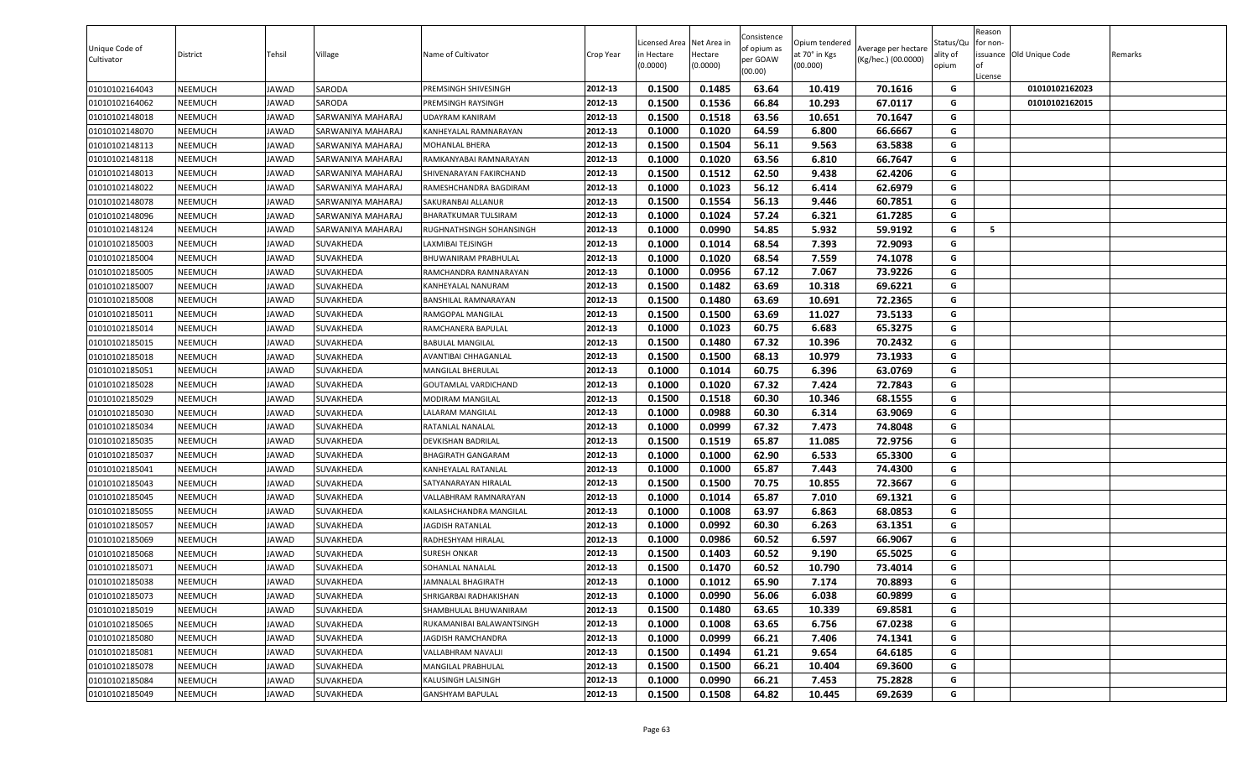| Unique Code of<br>Cultivator | District | Tehsil       | Village           | Name of Cultivator        | Crop Year | Licensed Area Net Area in<br>in Hectare<br>(0.0000) | Hectare<br>(0.0000) | Consistence<br>of opium as<br>per GOAW<br>(00.00) | Opium tendered<br>at 70° in Kgs<br>(00.000) | Average per hectare<br>(Kg/hec.) (00.0000) | Status/Qu<br>ality of<br>opium | Reason<br>for non-<br>of<br>License | issuance Old Unique Code | Remarks |
|------------------------------|----------|--------------|-------------------|---------------------------|-----------|-----------------------------------------------------|---------------------|---------------------------------------------------|---------------------------------------------|--------------------------------------------|--------------------------------|-------------------------------------|--------------------------|---------|
| 01010102164043               | NEEMUCH  | <b>JAWAD</b> | SARODA            | PREMSINGH SHIVESINGH      | 2012-13   | 0.1500                                              | 0.1485              | 63.64                                             | 10.419                                      | 70.1616                                    | G                              |                                     | 01010102162023           |         |
| 01010102164062               | NEEMUCH  | JAWAD        | SARODA            | PREMSINGH RAYSINGH        | 2012-13   | 0.1500                                              | 0.1536              | 66.84                                             | 10.293                                      | 67.0117                                    | G                              |                                     | 01010102162015           |         |
| 01010102148018               | NEEMUCH  | JAWAD        | SARWANIYA MAHARAJ | UDAYRAM KANIRAM           | 2012-13   | 0.1500                                              | 0.1518              | 63.56                                             | 10.651                                      | 70.1647                                    | G                              |                                     |                          |         |
| 01010102148070               | NEEMUCH  | JAWAD        | SARWANIYA MAHARAJ | KANHEYALAL RAMNARAYAN     | 2012-13   | 0.1000                                              | 0.1020              | 64.59                                             | 6.800                                       | 66.6667                                    | G                              |                                     |                          |         |
| 01010102148113               | NEEMUCH  | <b>JAWAD</b> | SARWANIYA MAHARAJ | MOHANLAL BHERA            | 2012-13   | 0.1500                                              | 0.1504              | 56.11                                             | 9.563                                       | 63.5838                                    | G                              |                                     |                          |         |
| 01010102148118               | NEEMUCH  | <b>JAWAD</b> | SARWANIYA MAHARAJ | RAMKANYABAI RAMNARAYAN    | 2012-13   | 0.1000                                              | 0.1020              | 63.56                                             | 6.810                                       | 66.7647                                    | G                              |                                     |                          |         |
| 01010102148013               | NEEMUCH  | JAWAD        | SARWANIYA MAHARAJ | SHIVENARAYAN FAKIRCHAND   | 2012-13   | 0.1500                                              | 0.1512              | 62.50                                             | 9.438                                       | 62.4206                                    | G                              |                                     |                          |         |
| 01010102148022               | NEEMUCH  | <b>JAWAD</b> | SARWANIYA MAHARAJ | RAMESHCHANDRA BAGDIRAM    | 2012-13   | 0.1000                                              | 0.1023              | 56.12                                             | 6.414                                       | 62.6979                                    | G                              |                                     |                          |         |
| 01010102148078               | NEEMUCH  | JAWAD        | SARWANIYA MAHARAJ | SAKURANBAI ALLANUR        | 2012-13   | 0.1500                                              | 0.1554              | 56.13                                             | 9.446                                       | 60.7851                                    | G                              |                                     |                          |         |
| 01010102148096               | NEEMUCH  | <b>JAWAD</b> | SARWANIYA MAHARAJ | BHARATKUMAR TULSIRAM      | 2012-13   | 0.1000                                              | 0.1024              | 57.24                                             | 6.321                                       | 61.7285                                    | G                              |                                     |                          |         |
| 01010102148124               | NEEMUCH  | JAWAD        | SARWANIYA MAHARAJ | RUGHNATHSINGH SOHANSINGH  | 2012-13   | 0.1000                                              | 0.0990              | 54.85                                             | 5.932                                       | 59.9192                                    | G                              | 5                                   |                          |         |
| 01010102185003               | NEEMUCH  | <b>JAWAD</b> | SUVAKHEDA         | LAXMIBAI TEJSINGH         | 2012-13   | 0.1000                                              | 0.1014              | 68.54                                             | 7.393                                       | 72.9093                                    | G                              |                                     |                          |         |
| 01010102185004               | NEEMUCH  | JAWAD        | SUVAKHEDA         | BHUWANIRAM PRABHULAL      | 2012-13   | 0.1000                                              | 0.1020              | 68.54                                             | 7.559                                       | 74.1078                                    | G                              |                                     |                          |         |
| 01010102185005               | NEEMUCH  | <b>JAWAD</b> | SUVAKHEDA         | RAMCHANDRA RAMNARAYAN     | 2012-13   | 0.1000                                              | 0.0956              | 67.12                                             | 7.067                                       | 73.9226                                    | G                              |                                     |                          |         |
| 01010102185007               | NEEMUCH  | JAWAD        | SUVAKHEDA         | KANHEYALAL NANURAM        | 2012-13   | 0.1500                                              | 0.1482              | 63.69                                             | 10.318                                      | 69.6221                                    | G                              |                                     |                          |         |
| 01010102185008               | NEEMUCH  | <b>JAWAD</b> | SUVAKHEDA         | BANSHILAL RAMNARAYAN      | 2012-13   | 0.1500                                              | 0.1480              | 63.69                                             | 10.691                                      | 72.2365                                    | G                              |                                     |                          |         |
| 01010102185011               | NEEMUCH  | JAWAD        | SUVAKHEDA         | RAMGOPAL MANGILAL         | 2012-13   | 0.1500                                              | 0.1500              | 63.69                                             | 11.027                                      | 73.5133                                    | G                              |                                     |                          |         |
| 01010102185014               | NEEMUCH  | <b>JAWAD</b> | SUVAKHEDA         | RAMCHANERA BAPULAL        | 2012-13   | 0.1000                                              | 0.1023              | 60.75                                             | 6.683                                       | 65.3275                                    | G                              |                                     |                          |         |
| 01010102185015               | NEEMUCH  | <b>JAWAD</b> | SUVAKHEDA         | <b>BABULAL MANGILAL</b>   | 2012-13   | 0.1500                                              | 0.1480              | 67.32                                             | 10.396                                      | 70.2432                                    | G                              |                                     |                          |         |
| 01010102185018               | NEEMUCH  | JAWAD        | SUVAKHEDA         | AVANTIBAI CHHAGANLAL      | 2012-13   | 0.1500                                              | 0.1500              | 68.13                                             | 10.979                                      | 73.1933                                    | G                              |                                     |                          |         |
| 01010102185051               | NEEMUCH  | JAWAD        | SUVAKHEDA         | MANGILAL BHERULAL         | 2012-13   | 0.1000                                              | 0.1014              | 60.75                                             | 6.396                                       | 63.0769                                    | G                              |                                     |                          |         |
| 01010102185028               | NEEMUCH  | <b>JAWAD</b> | SUVAKHEDA         | GOUTAMLAL VARDICHAND      | 2012-13   | 0.1000                                              | 0.1020              | 67.32                                             | 7.424                                       | 72.7843                                    | G                              |                                     |                          |         |
| 01010102185029               | NEEMUCH  | JAWAD        | SUVAKHEDA         | MODIRAM MANGILAL          | 2012-13   | 0.1500                                              | 0.1518              | 60.30                                             | 10.346                                      | 68.1555                                    | G                              |                                     |                          |         |
| 01010102185030               | NEEMUCH  | JAWAD        | SUVAKHEDA         | LALARAM MANGILAL          | 2012-13   | 0.1000                                              | 0.0988              | 60.30                                             | 6.314                                       | 63.9069                                    | G                              |                                     |                          |         |
| 01010102185034               | NEEMUCH  | JAWAD        | SUVAKHEDA         | RATANLAL NANALAL          | 2012-13   | 0.1000                                              | 0.0999              | 67.32                                             | 7.473                                       | 74.8048                                    | G                              |                                     |                          |         |
| 01010102185035               | NEEMUCH  | <b>JAWAD</b> | SUVAKHEDA         | DEVKISHAN BADRILAL        | 2012-13   | 0.1500                                              | 0.1519              | 65.87                                             | 11.085                                      | 72.9756                                    | G                              |                                     |                          |         |
| 01010102185037               | NEEMUCH  | <b>JAWAD</b> | SUVAKHEDA         | BHAGIRATH GANGARAM        | 2012-13   | 0.1000                                              | 0.1000              | 62.90                                             | 6.533                                       | 65.3300                                    | G                              |                                     |                          |         |
| 01010102185041               | NEEMUCH  | <b>JAWAD</b> | SUVAKHEDA         | KANHEYALAL RATANLAL       | 2012-13   | 0.1000                                              | 0.1000              | 65.87                                             | 7.443                                       | 74.4300                                    | G                              |                                     |                          |         |
| 01010102185043               | NEEMUCH  | <b>JAWAD</b> | SUVAKHEDA         | SATYANARAYAN HIRALAL      | 2012-13   | 0.1500                                              | 0.1500              | 70.75                                             | 10.855                                      | 72.3667                                    | G                              |                                     |                          |         |
| 01010102185045               | NEEMUCH  | JAWAD        | SUVAKHEDA         | VALLABHRAM RAMNARAYAN     | 2012-13   | 0.1000                                              | 0.1014              | 65.87                                             | 7.010                                       | 69.1321                                    | G                              |                                     |                          |         |
| 01010102185055               | NEEMUCH  | <b>JAWAD</b> | SUVAKHEDA         | KAILASHCHANDRA MANGILAL   | 2012-13   | 0.1000                                              | 0.1008              | 63.97                                             | 6.863                                       | 68.0853                                    | G                              |                                     |                          |         |
| 01010102185057               | NEEMUCH  | JAWAD        | SUVAKHEDA         | <b>JAGDISH RATANLAL</b>   | 2012-13   | 0.1000                                              | 0.0992              | 60.30                                             | 6.263                                       | 63.1351                                    | G                              |                                     |                          |         |
| 01010102185069               | NEEMUCH  | <b>JAWAD</b> | SUVAKHEDA         | RADHESHYAM HIRALAL        | 2012-13   | 0.1000                                              | 0.0986              | 60.52                                             | 6.597                                       | 66.9067                                    | G                              |                                     |                          |         |
| 01010102185068               | NEEMUCH  | JAWAD        | SUVAKHEDA         | <b>SURESH ONKAR</b>       | 2012-13   | 0.1500                                              | 0.1403              | 60.52                                             | 9.190                                       | 65.5025                                    | G                              |                                     |                          |         |
| 01010102185071               | NEEMUCH  | <b>JAWAD</b> | SUVAKHEDA         | SOHANLAL NANALAL          | 2012-13   | 0.1500                                              | 0.1470              | 60.52                                             | 10.790                                      | 73.4014                                    | G                              |                                     |                          |         |
| 01010102185038               | NEEMUCH  | <b>JAWAD</b> | SUVAKHEDA         | JAMNALAL BHAGIRATH        | 2012-13   | 0.1000                                              | 0.1012              | 65.90                                             | 7.174                                       | 70.8893                                    | G                              |                                     |                          |         |
| 01010102185073               | NEEMUCH  | <b>JAWAD</b> | SUVAKHEDA         | SHRIGARBAI RADHAKISHAN    | 2012-13   | 0.1000                                              | 0.0990              | 56.06                                             | 6.038                                       | 60.9899                                    | G                              |                                     |                          |         |
| 01010102185019               | NEEMUCH  | <b>JAWAD</b> | SUVAKHEDA         | SHAMBHULAL BHUWANIRAM     | 2012-13   | 0.1500                                              | 0.1480              | 63.65                                             | 10.339                                      | 69.8581                                    | G                              |                                     |                          |         |
| 01010102185065               | NEEMUCH  | <b>JAWAD</b> | SUVAKHEDA         | RUKAMANIBAI BALAWANTSINGH | 2012-13   | 0.1000                                              | 0.1008              | 63.65                                             | 6.756                                       | 67.0238                                    | G                              |                                     |                          |         |
| 01010102185080               | NEEMUCH  | <b>JAWAD</b> | SUVAKHEDA         | JAGDISH RAMCHANDRA        | 2012-13   | 0.1000                                              | 0.0999              | 66.21                                             | 7.406                                       | 74.1341                                    | G                              |                                     |                          |         |
| 01010102185081               | NEEMUCH  | <b>JAWAD</b> | SUVAKHEDA         | VALLABHRAM NAVALJI        | 2012-13   | 0.1500                                              | 0.1494              | 61.21                                             | 9.654                                       | 64.6185                                    | G                              |                                     |                          |         |
| 01010102185078               | NEEMUCH  | <b>JAWAD</b> | SUVAKHEDA         | <b>MANGILAL PRABHULAL</b> | 2012-13   | 0.1500                                              | 0.1500              | 66.21                                             | 10.404                                      | 69.3600                                    | G                              |                                     |                          |         |
| 01010102185084               | NEEMUCH  | <b>JAWAD</b> | SUVAKHEDA         | KALUSINGH LALSINGH        | 2012-13   | 0.1000                                              | 0.0990              | 66.21                                             | 7.453                                       | 75.2828                                    | G                              |                                     |                          |         |
| 01010102185049               | NEEMUCH  | JAWAD        | SUVAKHEDA         | GANSHYAM BAPULAL          | 2012-13   | 0.1500                                              | 0.1508              | 64.82                                             | 10.445                                      | 69.2639                                    | G                              |                                     |                          |         |
|                              |          |              |                   |                           |           |                                                     |                     |                                                   |                                             |                                            |                                |                                     |                          |         |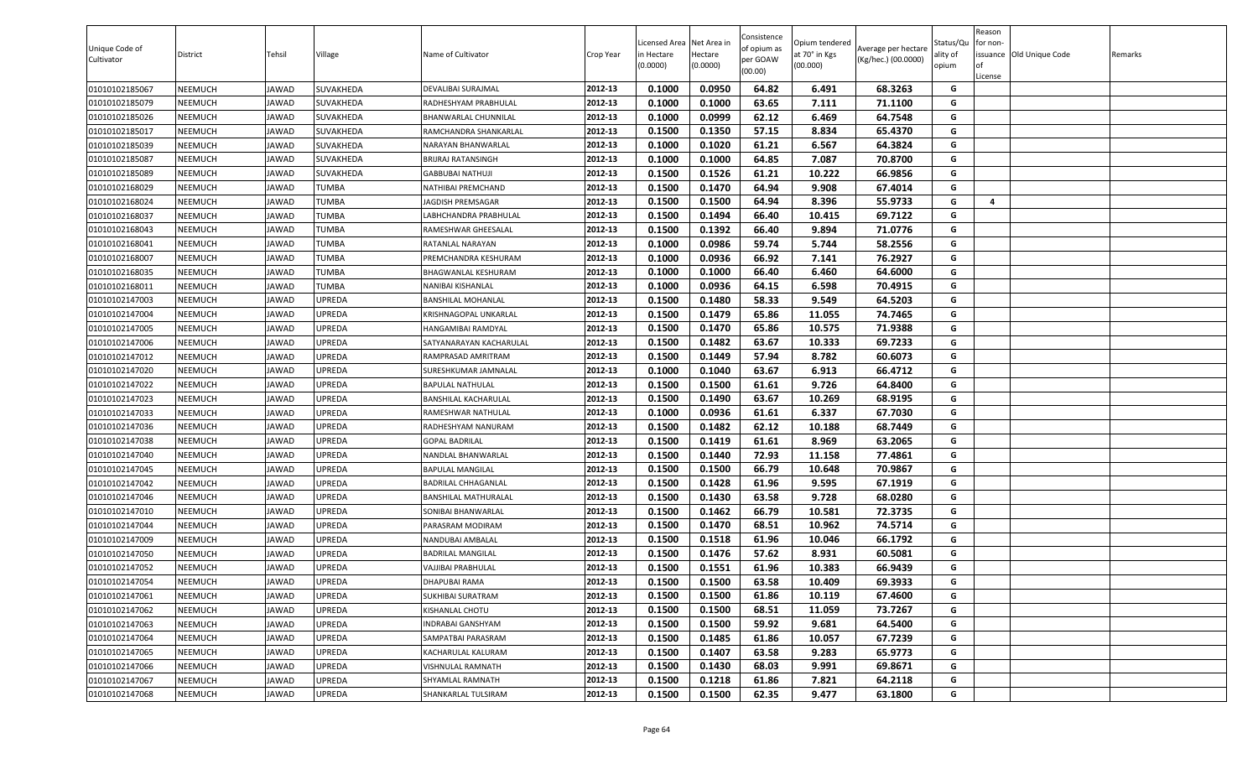| 0.1000<br>0.0950<br>64.82<br>68.3263<br>01010102185067<br>NEEMUCH<br><b>JAWAD</b><br>SUVAKHEDA<br>2012-13<br>6.491<br>G<br>DEVALIBAI SURAJMAL<br>2012-13<br>0.1000<br>0.1000<br>63.65<br>7.111<br>71.1100<br>01010102185079<br>NEEMUCH<br><b>JAWAD</b><br>SUVAKHEDA<br>G<br>RADHESHYAM PRABHULAL<br>0.0999<br>01010102185026<br>NEEMUCH<br><b>JAWAD</b><br>SUVAKHEDA<br>2012-13<br>0.1000<br>62.12<br>6.469<br>64.7548<br>G<br>BHANWARLAL CHUNNILAL<br>0.1500<br>0.1350<br>57.15<br>65.4370<br>2012-13<br>8.834<br>G<br>01010102185017<br>NEEMUCH<br>JAWAD<br><b>SUVAKHEDA</b><br>RAMCHANDRA SHANKARLAL<br>6.567<br>0.1000<br>61.21<br>64.3824<br>G<br>01010102185039<br>NEEMUCH<br><b>JAWAD</b><br><b>SUVAKHEDA</b><br>2012-13<br>0.1020<br>NARAYAN BHANWARLAL<br>2012-13<br>7.087<br><b>BRIJRAJ RATANSINGH</b><br>0.1000<br>0.1000<br>64.85<br>70.8700<br>G<br>01010102185087<br>NEEMUCH<br><b>JAWAD</b><br>SUVAKHEDA<br>2012-13<br>0.1500<br>0.1526<br>61.21<br>10.222<br>66.9856<br>G<br>01010102185089<br>NEEMUCH<br><b>JAWAD</b><br><b>SUVAKHEDA</b><br><b>GABBUBAI NATHUJI</b><br>G<br>2012-13<br>0.1470<br>64.94<br>01010102168029<br>NEEMUCH<br><b>TUMBA</b><br>NATHIBAI PREMCHAND<br>0.1500<br>9.908<br>67.4014<br><b>JAWAD</b><br>2012-13<br>0.1500<br>0.1500<br>64.94<br>8.396<br>55.9733<br>G<br>01010102168024<br>NEEMUCH<br><b>JAWAD</b><br><b>TUMBA</b><br>JAGDISH PREMSAGAR<br>4<br>69.7122<br>2012-13<br>0.1500<br>0.1494<br>66.40<br>10.415<br>G<br>01010102168037<br>NEEMUCH<br><b>JAWAD</b><br>TUMBA<br>LABHCHANDRA PRABHULAL<br>0.1500<br>0.1392<br>71.0776<br>01010102168043<br>NEEMUCH<br><b>JAWAD</b><br><b>TUMBA</b><br>2012-13<br>66.40<br>9.894<br>G<br>RAMESHWAR GHEESALAL<br>0.0986<br>59.74<br>5.744<br>G<br>2012-13<br>0.1000<br>58.2556<br>01010102168041<br>NEEMUCH<br><b>JAWAD</b><br>TUMBA<br>RATANLAL NARAYAN<br><b>TUMBA</b><br>2012-13<br>0.1000<br>0.0936<br>66.92<br>7.141<br>76.2927<br>G<br>01010102168007<br>NEEMUCH<br><b>JAWAD</b><br>PREMCHANDRA KESHURAM<br>66.40<br><b>TUMBA</b><br>2012-13<br>0.1000<br>0.1000<br>6.460<br>64.6000<br>G<br>01010102168035<br>NEEMUCH<br><b>JAWAD</b><br>BHAGWANLAL KESHURAM<br><b>TUMBA</b><br>2012-13<br>0.1000<br>0.0936<br>64.15<br>6.598<br>70.4915<br>G<br>01010102168011<br><b>NEEMUCH</b><br><b>JAWAD</b><br>NANIBAI KISHANLAL<br>0.1500<br>0.1480<br>58.33<br>9.549<br>64.5203<br>G<br>01010102147003<br>NEEMUCH<br>UPREDA<br>2012-13<br><b>JAWAD</b><br><b>BANSHILAL MOHANLAL</b><br>0.1500<br>0.1479<br>65.86<br>11.055<br>74.7465<br>UPREDA<br>KRISHNAGOPAL UNKARLAL<br>2012-13<br>G<br>01010102147004<br>NEEMUCH<br><b>JAWAD</b><br>G<br>UPREDA<br>2012-13<br>0.1500<br>0.1470<br>65.86<br>10.575<br>71.9388<br>01010102147005<br>NEEMUCH<br><b>JAWAD</b><br>HANGAMIBAI RAMDYAL<br>69.7233<br>UPREDA<br>2012-13<br>0.1500<br>0.1482<br>63.67<br>10.333<br>G<br>01010102147006<br>NEEMUCH<br><b>JAWAD</b><br>SATYANARAYAN KACHARULAL<br>2012-13<br>G<br>01010102147012<br>NEEMUCH<br><b>JAWAD</b><br>UPREDA<br>RAMPRASAD AMRITRAM<br>0.1500<br>0.1449<br>57.94<br>8.782<br>60.6073<br><b>JPREDA</b><br>0.1000<br>0.1040<br>63.67<br>6.913<br>66.4712<br>2012-13<br>G<br>01010102147020<br>NEEMUCH<br><b>JAWAD</b><br>SURESHKUMAR JAMNALAL<br>9.726<br>0.1500<br>0.1500<br>61.61<br>01010102147022<br>NEEMUCH<br><b>JAWAD</b><br>UPREDA<br>2012-13<br>64.8400<br>G<br><b>BAPULAL NATHULAL</b><br>01010102147023<br>NEEMUCH<br>UPREDA<br>2012-13<br>0.1500<br>0.1490<br>63.67<br>10.269<br>68.9195<br><b>JAWAD</b><br>G<br><b>BANSHILAL KACHARULAL</b><br>0.0936<br>01010102147033<br>NEEMUCH<br><b>JAWAD</b><br>UPREDA<br>2012-13<br>0.1000<br>61.61<br>6.337<br>67.7030<br>G<br>RAMESHWAR NATHULAL<br>UPREDA<br>0.1500<br>0.1482<br>62.12<br>10.188<br>01010102147036<br>NEEMUCH<br>2012-13<br>68.7449<br>G<br><b>JAWAD</b><br>RADHESHYAM NANURAM<br>0.1500<br>0.1419<br>61.61<br>8.969<br>01010102147038<br>NEEMUCH<br><b>JAWAD</b><br>UPREDA<br><b>GOPAL BADRILAL</b><br>2012-13<br>63.2065<br>G<br>01010102147040<br>UPREDA<br>2012-13<br>0.1500<br>0.1440<br>72.93<br>11.158<br>77.4861<br>NEEMUCH<br><b>JAWAD</b><br>G<br>NANDLAL BHANWARLAL<br>0.1500<br>66.79<br>01010102147045<br>NEEMUCH<br><b>JAWAD</b><br>UPREDA<br>2012-13<br>0.1500<br>10.648<br>70.9867<br>G<br><b>BAPULAL MANGILAL</b><br>2012-13<br>0.1500<br>0.1428<br>61.96<br>G<br><b>JAWAD</b><br>UPREDA<br>9.595<br>67.1919<br>01010102147042<br>NEEMUCH<br>BADRILAL CHHAGANLAL<br>63.58<br>G<br>UPREDA<br>2012-13<br>0.1500<br>0.1430<br>9.728<br>68.0280<br>01010102147046<br>NEEMUCH<br><b>JAWAD</b><br><b>BANSHILAL MATHURALAL</b><br>2012-13<br>0.1500<br>66.79<br>10.581<br>72.3735<br>G<br>UPREDA<br>0.1462<br>01010102147010<br>NEEMUCH<br><b>JAWAD</b><br>SONIBAI BHANWARLAL<br>UPREDA<br>2012-13<br>0.1500<br>0.1470<br>68.51<br>10.962<br>74.5714<br>G<br>01010102147044<br><b>NEEMUCH</b><br><b>JAWAD</b><br>PARASRAM MODIRAM<br>0.1500<br>0.1518<br>61.96<br>66.1792<br>G<br>NEEMUCH<br><b>JAWAD</b><br>UPREDA<br>2012-13<br>10.046<br>01010102147009<br>NANDUBAI AMBALAL<br>0.1500<br>0.1476<br>57.62<br>8.931<br>60.5081<br>01010102147050<br>NEEMUCH<br>UPREDA<br>2012-13<br>G<br><b>JAWAD</b><br><b>BADRILAL MANGILAL</b><br>0.1551<br>01010102147052<br><b>JPREDA</b><br>2012-13<br>0.1500<br>61.96<br>10.383<br>66.9439<br>G<br>NEEMUCH<br><b>JAWAD</b><br>VAJJIBAI PRABHULAL<br>01010102147054<br><b>JAWAD</b><br>UPREDA<br>2012-13<br>0.1500<br>0.1500<br>63.58<br>10.409<br>69.3933<br>NEEMUCH<br><b>DHAPUBAI RAMA</b><br>G<br>2012-13<br>0.1500<br>0.1500<br>61.86<br>67.4600<br>G<br>01010102147061<br>NEEMUCH<br><b>JAWAD</b><br>UPREDA<br>10.119<br>SUKHIBAI SURATRAM<br>UPREDA<br>2012-13<br>0.1500<br>0.1500<br>68.51<br>11.059<br>73.7267<br>01010102147062<br>NEEMUCH<br><b>JAWAD</b><br>G<br>KISHANLAL CHOTU<br>0.1500<br>59.92<br>9.681<br>01010102147063<br>UPREDA<br>2012-13<br>0.1500<br>64.5400<br>G<br><b>NEEMUCH</b><br><b>JAWAD</b><br>INDRABAI GANSHYAM<br>01010102147064<br>UPREDA<br>2012-13<br>0.1500<br>0.1485<br>61.86<br>10.057<br>67.7239<br><b>NEEMUCH</b><br><b>JAWAD</b><br>G<br>SAMPATBAI PARASRAM<br>G<br>2012-13<br>0.1407<br>63.58<br>01010102147065<br><b>NEEMUCH</b><br><b>JAWAD</b><br>UPREDA<br>KACHARULAL KALURAM<br>0.1500<br>9.283<br>65.9773<br>UPREDA<br>2012-13<br>0.1500<br>0.1430<br>68.03<br>9.991<br>69.8671<br>G<br>01010102147066<br>NEEMUCH<br>VISHNULAL RAMNATH<br><b>JAWAD</b><br>G<br>2012-13<br>0.1500<br>0.1218<br>61.86<br>7.821<br>64.2118<br>01010102147067<br><b>NEEMUCH</b><br><b>JAWAD</b><br>UPREDA<br>SHYAMLAL RAMNATH<br>01010102147068<br>UPREDA<br>SHANKARLAL TULSIRAM<br>2012-13<br>0.1500<br>0.1500<br>62.35<br>9.477<br>63.1800<br>G<br><b>NEEMUCH</b><br><b>JAWAD</b> | Unique Code of<br>Cultivator | District | Tehsil | Village | Name of Cultivator | Crop Year | Licensed Area<br>n Hectare<br>(0.0000) | Net Area in<br>Hectare<br>(0.0000) | Consistence<br>of opium as<br>per GOAW<br>(00.00) | Opium tendered<br>at 70° in Kgs<br>(00.000) | Average per hectare<br>(Kg/hec.) (00.0000) | Status/Qu<br>ality of<br>opium | Reason<br>or non-<br>of<br>License | issuance Old Unique Code | Remarks |
|------------------------------------------------------------------------------------------------------------------------------------------------------------------------------------------------------------------------------------------------------------------------------------------------------------------------------------------------------------------------------------------------------------------------------------------------------------------------------------------------------------------------------------------------------------------------------------------------------------------------------------------------------------------------------------------------------------------------------------------------------------------------------------------------------------------------------------------------------------------------------------------------------------------------------------------------------------------------------------------------------------------------------------------------------------------------------------------------------------------------------------------------------------------------------------------------------------------------------------------------------------------------------------------------------------------------------------------------------------------------------------------------------------------------------------------------------------------------------------------------------------------------------------------------------------------------------------------------------------------------------------------------------------------------------------------------------------------------------------------------------------------------------------------------------------------------------------------------------------------------------------------------------------------------------------------------------------------------------------------------------------------------------------------------------------------------------------------------------------------------------------------------------------------------------------------------------------------------------------------------------------------------------------------------------------------------------------------------------------------------------------------------------------------------------------------------------------------------------------------------------------------------------------------------------------------------------------------------------------------------------------------------------------------------------------------------------------------------------------------------------------------------------------------------------------------------------------------------------------------------------------------------------------------------------------------------------------------------------------------------------------------------------------------------------------------------------------------------------------------------------------------------------------------------------------------------------------------------------------------------------------------------------------------------------------------------------------------------------------------------------------------------------------------------------------------------------------------------------------------------------------------------------------------------------------------------------------------------------------------------------------------------------------------------------------------------------------------------------------------------------------------------------------------------------------------------------------------------------------------------------------------------------------------------------------------------------------------------------------------------------------------------------------------------------------------------------------------------------------------------------------------------------------------------------------------------------------------------------------------------------------------------------------------------------------------------------------------------------------------------------------------------------------------------------------------------------------------------------------------------------------------------------------------------------------------------------------------------------------------------------------------------------------------------------------------------------------------------------------------------------------------------------------------------------------------------------------------------------------------------------------------------------------------------------------------------------------------------------------------------------------------------------------------------------------------------------------------------------------------------------------------------------------------------------------------------------------------------------------------------------------------------------------------------------------------------------------------------------------------------------------------------------------------------------------------------------------------------------------------------------------------------------------------------------------------------------------------------------------------------------------------------------------------------------------------------------------------------------------------------------------------------------------------------------------------------------------------------------------------------------------------------------------------------------------------------------------------------------------------------------------------------------------------------------------------------------------------------------------------------------------------------------------------------------------------------------------------------------------------------------------------------------------------------------------------------------------------------------------------------------------------------------------------------------------------------------------------------------------------------------------------------------------------------------------------------------------------------------------------------------------------------------------------------------------------------------------------------------------|------------------------------|----------|--------|---------|--------------------|-----------|----------------------------------------|------------------------------------|---------------------------------------------------|---------------------------------------------|--------------------------------------------|--------------------------------|------------------------------------|--------------------------|---------|
|                                                                                                                                                                                                                                                                                                                                                                                                                                                                                                                                                                                                                                                                                                                                                                                                                                                                                                                                                                                                                                                                                                                                                                                                                                                                                                                                                                                                                                                                                                                                                                                                                                                                                                                                                                                                                                                                                                                                                                                                                                                                                                                                                                                                                                                                                                                                                                                                                                                                                                                                                                                                                                                                                                                                                                                                                                                                                                                                                                                                                                                                                                                                                                                                                                                                                                                                                                                                                                                                                                                                                                                                                                                                                                                                                                                                                                                                                                                                                                                                                                                                                                                                                                                                                                                                                                                                                                                                                                                                                                                                                                                                                                                                                                                                                                                                                                                                                                                                                                                                                                                                                                                                                                                                                                                                                                                                                                                                                                                                                                                                                                                                                                                                                                                                                                                                                                                                                                                                                                                                                                                                                                                                                                                                                                                                                                                                                                                                                                                                                                                                                                                                                                                                                                                                    |                              |          |        |         |                    |           |                                        |                                    |                                                   |                                             |                                            |                                |                                    |                          |         |
|                                                                                                                                                                                                                                                                                                                                                                                                                                                                                                                                                                                                                                                                                                                                                                                                                                                                                                                                                                                                                                                                                                                                                                                                                                                                                                                                                                                                                                                                                                                                                                                                                                                                                                                                                                                                                                                                                                                                                                                                                                                                                                                                                                                                                                                                                                                                                                                                                                                                                                                                                                                                                                                                                                                                                                                                                                                                                                                                                                                                                                                                                                                                                                                                                                                                                                                                                                                                                                                                                                                                                                                                                                                                                                                                                                                                                                                                                                                                                                                                                                                                                                                                                                                                                                                                                                                                                                                                                                                                                                                                                                                                                                                                                                                                                                                                                                                                                                                                                                                                                                                                                                                                                                                                                                                                                                                                                                                                                                                                                                                                                                                                                                                                                                                                                                                                                                                                                                                                                                                                                                                                                                                                                                                                                                                                                                                                                                                                                                                                                                                                                                                                                                                                                                                                    |                              |          |        |         |                    |           |                                        |                                    |                                                   |                                             |                                            |                                |                                    |                          |         |
|                                                                                                                                                                                                                                                                                                                                                                                                                                                                                                                                                                                                                                                                                                                                                                                                                                                                                                                                                                                                                                                                                                                                                                                                                                                                                                                                                                                                                                                                                                                                                                                                                                                                                                                                                                                                                                                                                                                                                                                                                                                                                                                                                                                                                                                                                                                                                                                                                                                                                                                                                                                                                                                                                                                                                                                                                                                                                                                                                                                                                                                                                                                                                                                                                                                                                                                                                                                                                                                                                                                                                                                                                                                                                                                                                                                                                                                                                                                                                                                                                                                                                                                                                                                                                                                                                                                                                                                                                                                                                                                                                                                                                                                                                                                                                                                                                                                                                                                                                                                                                                                                                                                                                                                                                                                                                                                                                                                                                                                                                                                                                                                                                                                                                                                                                                                                                                                                                                                                                                                                                                                                                                                                                                                                                                                                                                                                                                                                                                                                                                                                                                                                                                                                                                                                    |                              |          |        |         |                    |           |                                        |                                    |                                                   |                                             |                                            |                                |                                    |                          |         |
|                                                                                                                                                                                                                                                                                                                                                                                                                                                                                                                                                                                                                                                                                                                                                                                                                                                                                                                                                                                                                                                                                                                                                                                                                                                                                                                                                                                                                                                                                                                                                                                                                                                                                                                                                                                                                                                                                                                                                                                                                                                                                                                                                                                                                                                                                                                                                                                                                                                                                                                                                                                                                                                                                                                                                                                                                                                                                                                                                                                                                                                                                                                                                                                                                                                                                                                                                                                                                                                                                                                                                                                                                                                                                                                                                                                                                                                                                                                                                                                                                                                                                                                                                                                                                                                                                                                                                                                                                                                                                                                                                                                                                                                                                                                                                                                                                                                                                                                                                                                                                                                                                                                                                                                                                                                                                                                                                                                                                                                                                                                                                                                                                                                                                                                                                                                                                                                                                                                                                                                                                                                                                                                                                                                                                                                                                                                                                                                                                                                                                                                                                                                                                                                                                                                                    |                              |          |        |         |                    |           |                                        |                                    |                                                   |                                             |                                            |                                |                                    |                          |         |
|                                                                                                                                                                                                                                                                                                                                                                                                                                                                                                                                                                                                                                                                                                                                                                                                                                                                                                                                                                                                                                                                                                                                                                                                                                                                                                                                                                                                                                                                                                                                                                                                                                                                                                                                                                                                                                                                                                                                                                                                                                                                                                                                                                                                                                                                                                                                                                                                                                                                                                                                                                                                                                                                                                                                                                                                                                                                                                                                                                                                                                                                                                                                                                                                                                                                                                                                                                                                                                                                                                                                                                                                                                                                                                                                                                                                                                                                                                                                                                                                                                                                                                                                                                                                                                                                                                                                                                                                                                                                                                                                                                                                                                                                                                                                                                                                                                                                                                                                                                                                                                                                                                                                                                                                                                                                                                                                                                                                                                                                                                                                                                                                                                                                                                                                                                                                                                                                                                                                                                                                                                                                                                                                                                                                                                                                                                                                                                                                                                                                                                                                                                                                                                                                                                                                    |                              |          |        |         |                    |           |                                        |                                    |                                                   |                                             |                                            |                                |                                    |                          |         |
|                                                                                                                                                                                                                                                                                                                                                                                                                                                                                                                                                                                                                                                                                                                                                                                                                                                                                                                                                                                                                                                                                                                                                                                                                                                                                                                                                                                                                                                                                                                                                                                                                                                                                                                                                                                                                                                                                                                                                                                                                                                                                                                                                                                                                                                                                                                                                                                                                                                                                                                                                                                                                                                                                                                                                                                                                                                                                                                                                                                                                                                                                                                                                                                                                                                                                                                                                                                                                                                                                                                                                                                                                                                                                                                                                                                                                                                                                                                                                                                                                                                                                                                                                                                                                                                                                                                                                                                                                                                                                                                                                                                                                                                                                                                                                                                                                                                                                                                                                                                                                                                                                                                                                                                                                                                                                                                                                                                                                                                                                                                                                                                                                                                                                                                                                                                                                                                                                                                                                                                                                                                                                                                                                                                                                                                                                                                                                                                                                                                                                                                                                                                                                                                                                                                                    |                              |          |        |         |                    |           |                                        |                                    |                                                   |                                             |                                            |                                |                                    |                          |         |
|                                                                                                                                                                                                                                                                                                                                                                                                                                                                                                                                                                                                                                                                                                                                                                                                                                                                                                                                                                                                                                                                                                                                                                                                                                                                                                                                                                                                                                                                                                                                                                                                                                                                                                                                                                                                                                                                                                                                                                                                                                                                                                                                                                                                                                                                                                                                                                                                                                                                                                                                                                                                                                                                                                                                                                                                                                                                                                                                                                                                                                                                                                                                                                                                                                                                                                                                                                                                                                                                                                                                                                                                                                                                                                                                                                                                                                                                                                                                                                                                                                                                                                                                                                                                                                                                                                                                                                                                                                                                                                                                                                                                                                                                                                                                                                                                                                                                                                                                                                                                                                                                                                                                                                                                                                                                                                                                                                                                                                                                                                                                                                                                                                                                                                                                                                                                                                                                                                                                                                                                                                                                                                                                                                                                                                                                                                                                                                                                                                                                                                                                                                                                                                                                                                                                    |                              |          |        |         |                    |           |                                        |                                    |                                                   |                                             |                                            |                                |                                    |                          |         |
|                                                                                                                                                                                                                                                                                                                                                                                                                                                                                                                                                                                                                                                                                                                                                                                                                                                                                                                                                                                                                                                                                                                                                                                                                                                                                                                                                                                                                                                                                                                                                                                                                                                                                                                                                                                                                                                                                                                                                                                                                                                                                                                                                                                                                                                                                                                                                                                                                                                                                                                                                                                                                                                                                                                                                                                                                                                                                                                                                                                                                                                                                                                                                                                                                                                                                                                                                                                                                                                                                                                                                                                                                                                                                                                                                                                                                                                                                                                                                                                                                                                                                                                                                                                                                                                                                                                                                                                                                                                                                                                                                                                                                                                                                                                                                                                                                                                                                                                                                                                                                                                                                                                                                                                                                                                                                                                                                                                                                                                                                                                                                                                                                                                                                                                                                                                                                                                                                                                                                                                                                                                                                                                                                                                                                                                                                                                                                                                                                                                                                                                                                                                                                                                                                                                                    |                              |          |        |         |                    |           |                                        |                                    |                                                   |                                             |                                            |                                |                                    |                          |         |
|                                                                                                                                                                                                                                                                                                                                                                                                                                                                                                                                                                                                                                                                                                                                                                                                                                                                                                                                                                                                                                                                                                                                                                                                                                                                                                                                                                                                                                                                                                                                                                                                                                                                                                                                                                                                                                                                                                                                                                                                                                                                                                                                                                                                                                                                                                                                                                                                                                                                                                                                                                                                                                                                                                                                                                                                                                                                                                                                                                                                                                                                                                                                                                                                                                                                                                                                                                                                                                                                                                                                                                                                                                                                                                                                                                                                                                                                                                                                                                                                                                                                                                                                                                                                                                                                                                                                                                                                                                                                                                                                                                                                                                                                                                                                                                                                                                                                                                                                                                                                                                                                                                                                                                                                                                                                                                                                                                                                                                                                                                                                                                                                                                                                                                                                                                                                                                                                                                                                                                                                                                                                                                                                                                                                                                                                                                                                                                                                                                                                                                                                                                                                                                                                                                                                    |                              |          |        |         |                    |           |                                        |                                    |                                                   |                                             |                                            |                                |                                    |                          |         |
|                                                                                                                                                                                                                                                                                                                                                                                                                                                                                                                                                                                                                                                                                                                                                                                                                                                                                                                                                                                                                                                                                                                                                                                                                                                                                                                                                                                                                                                                                                                                                                                                                                                                                                                                                                                                                                                                                                                                                                                                                                                                                                                                                                                                                                                                                                                                                                                                                                                                                                                                                                                                                                                                                                                                                                                                                                                                                                                                                                                                                                                                                                                                                                                                                                                                                                                                                                                                                                                                                                                                                                                                                                                                                                                                                                                                                                                                                                                                                                                                                                                                                                                                                                                                                                                                                                                                                                                                                                                                                                                                                                                                                                                                                                                                                                                                                                                                                                                                                                                                                                                                                                                                                                                                                                                                                                                                                                                                                                                                                                                                                                                                                                                                                                                                                                                                                                                                                                                                                                                                                                                                                                                                                                                                                                                                                                                                                                                                                                                                                                                                                                                                                                                                                                                                    |                              |          |        |         |                    |           |                                        |                                    |                                                   |                                             |                                            |                                |                                    |                          |         |
|                                                                                                                                                                                                                                                                                                                                                                                                                                                                                                                                                                                                                                                                                                                                                                                                                                                                                                                                                                                                                                                                                                                                                                                                                                                                                                                                                                                                                                                                                                                                                                                                                                                                                                                                                                                                                                                                                                                                                                                                                                                                                                                                                                                                                                                                                                                                                                                                                                                                                                                                                                                                                                                                                                                                                                                                                                                                                                                                                                                                                                                                                                                                                                                                                                                                                                                                                                                                                                                                                                                                                                                                                                                                                                                                                                                                                                                                                                                                                                                                                                                                                                                                                                                                                                                                                                                                                                                                                                                                                                                                                                                                                                                                                                                                                                                                                                                                                                                                                                                                                                                                                                                                                                                                                                                                                                                                                                                                                                                                                                                                                                                                                                                                                                                                                                                                                                                                                                                                                                                                                                                                                                                                                                                                                                                                                                                                                                                                                                                                                                                                                                                                                                                                                                                                    |                              |          |        |         |                    |           |                                        |                                    |                                                   |                                             |                                            |                                |                                    |                          |         |
|                                                                                                                                                                                                                                                                                                                                                                                                                                                                                                                                                                                                                                                                                                                                                                                                                                                                                                                                                                                                                                                                                                                                                                                                                                                                                                                                                                                                                                                                                                                                                                                                                                                                                                                                                                                                                                                                                                                                                                                                                                                                                                                                                                                                                                                                                                                                                                                                                                                                                                                                                                                                                                                                                                                                                                                                                                                                                                                                                                                                                                                                                                                                                                                                                                                                                                                                                                                                                                                                                                                                                                                                                                                                                                                                                                                                                                                                                                                                                                                                                                                                                                                                                                                                                                                                                                                                                                                                                                                                                                                                                                                                                                                                                                                                                                                                                                                                                                                                                                                                                                                                                                                                                                                                                                                                                                                                                                                                                                                                                                                                                                                                                                                                                                                                                                                                                                                                                                                                                                                                                                                                                                                                                                                                                                                                                                                                                                                                                                                                                                                                                                                                                                                                                                                                    |                              |          |        |         |                    |           |                                        |                                    |                                                   |                                             |                                            |                                |                                    |                          |         |
|                                                                                                                                                                                                                                                                                                                                                                                                                                                                                                                                                                                                                                                                                                                                                                                                                                                                                                                                                                                                                                                                                                                                                                                                                                                                                                                                                                                                                                                                                                                                                                                                                                                                                                                                                                                                                                                                                                                                                                                                                                                                                                                                                                                                                                                                                                                                                                                                                                                                                                                                                                                                                                                                                                                                                                                                                                                                                                                                                                                                                                                                                                                                                                                                                                                                                                                                                                                                                                                                                                                                                                                                                                                                                                                                                                                                                                                                                                                                                                                                                                                                                                                                                                                                                                                                                                                                                                                                                                                                                                                                                                                                                                                                                                                                                                                                                                                                                                                                                                                                                                                                                                                                                                                                                                                                                                                                                                                                                                                                                                                                                                                                                                                                                                                                                                                                                                                                                                                                                                                                                                                                                                                                                                                                                                                                                                                                                                                                                                                                                                                                                                                                                                                                                                                                    |                              |          |        |         |                    |           |                                        |                                    |                                                   |                                             |                                            |                                |                                    |                          |         |
|                                                                                                                                                                                                                                                                                                                                                                                                                                                                                                                                                                                                                                                                                                                                                                                                                                                                                                                                                                                                                                                                                                                                                                                                                                                                                                                                                                                                                                                                                                                                                                                                                                                                                                                                                                                                                                                                                                                                                                                                                                                                                                                                                                                                                                                                                                                                                                                                                                                                                                                                                                                                                                                                                                                                                                                                                                                                                                                                                                                                                                                                                                                                                                                                                                                                                                                                                                                                                                                                                                                                                                                                                                                                                                                                                                                                                                                                                                                                                                                                                                                                                                                                                                                                                                                                                                                                                                                                                                                                                                                                                                                                                                                                                                                                                                                                                                                                                                                                                                                                                                                                                                                                                                                                                                                                                                                                                                                                                                                                                                                                                                                                                                                                                                                                                                                                                                                                                                                                                                                                                                                                                                                                                                                                                                                                                                                                                                                                                                                                                                                                                                                                                                                                                                                                    |                              |          |        |         |                    |           |                                        |                                    |                                                   |                                             |                                            |                                |                                    |                          |         |
|                                                                                                                                                                                                                                                                                                                                                                                                                                                                                                                                                                                                                                                                                                                                                                                                                                                                                                                                                                                                                                                                                                                                                                                                                                                                                                                                                                                                                                                                                                                                                                                                                                                                                                                                                                                                                                                                                                                                                                                                                                                                                                                                                                                                                                                                                                                                                                                                                                                                                                                                                                                                                                                                                                                                                                                                                                                                                                                                                                                                                                                                                                                                                                                                                                                                                                                                                                                                                                                                                                                                                                                                                                                                                                                                                                                                                                                                                                                                                                                                                                                                                                                                                                                                                                                                                                                                                                                                                                                                                                                                                                                                                                                                                                                                                                                                                                                                                                                                                                                                                                                                                                                                                                                                                                                                                                                                                                                                                                                                                                                                                                                                                                                                                                                                                                                                                                                                                                                                                                                                                                                                                                                                                                                                                                                                                                                                                                                                                                                                                                                                                                                                                                                                                                                                    |                              |          |        |         |                    |           |                                        |                                    |                                                   |                                             |                                            |                                |                                    |                          |         |
|                                                                                                                                                                                                                                                                                                                                                                                                                                                                                                                                                                                                                                                                                                                                                                                                                                                                                                                                                                                                                                                                                                                                                                                                                                                                                                                                                                                                                                                                                                                                                                                                                                                                                                                                                                                                                                                                                                                                                                                                                                                                                                                                                                                                                                                                                                                                                                                                                                                                                                                                                                                                                                                                                                                                                                                                                                                                                                                                                                                                                                                                                                                                                                                                                                                                                                                                                                                                                                                                                                                                                                                                                                                                                                                                                                                                                                                                                                                                                                                                                                                                                                                                                                                                                                                                                                                                                                                                                                                                                                                                                                                                                                                                                                                                                                                                                                                                                                                                                                                                                                                                                                                                                                                                                                                                                                                                                                                                                                                                                                                                                                                                                                                                                                                                                                                                                                                                                                                                                                                                                                                                                                                                                                                                                                                                                                                                                                                                                                                                                                                                                                                                                                                                                                                                    |                              |          |        |         |                    |           |                                        |                                    |                                                   |                                             |                                            |                                |                                    |                          |         |
|                                                                                                                                                                                                                                                                                                                                                                                                                                                                                                                                                                                                                                                                                                                                                                                                                                                                                                                                                                                                                                                                                                                                                                                                                                                                                                                                                                                                                                                                                                                                                                                                                                                                                                                                                                                                                                                                                                                                                                                                                                                                                                                                                                                                                                                                                                                                                                                                                                                                                                                                                                                                                                                                                                                                                                                                                                                                                                                                                                                                                                                                                                                                                                                                                                                                                                                                                                                                                                                                                                                                                                                                                                                                                                                                                                                                                                                                                                                                                                                                                                                                                                                                                                                                                                                                                                                                                                                                                                                                                                                                                                                                                                                                                                                                                                                                                                                                                                                                                                                                                                                                                                                                                                                                                                                                                                                                                                                                                                                                                                                                                                                                                                                                                                                                                                                                                                                                                                                                                                                                                                                                                                                                                                                                                                                                                                                                                                                                                                                                                                                                                                                                                                                                                                                                    |                              |          |        |         |                    |           |                                        |                                    |                                                   |                                             |                                            |                                |                                    |                          |         |
|                                                                                                                                                                                                                                                                                                                                                                                                                                                                                                                                                                                                                                                                                                                                                                                                                                                                                                                                                                                                                                                                                                                                                                                                                                                                                                                                                                                                                                                                                                                                                                                                                                                                                                                                                                                                                                                                                                                                                                                                                                                                                                                                                                                                                                                                                                                                                                                                                                                                                                                                                                                                                                                                                                                                                                                                                                                                                                                                                                                                                                                                                                                                                                                                                                                                                                                                                                                                                                                                                                                                                                                                                                                                                                                                                                                                                                                                                                                                                                                                                                                                                                                                                                                                                                                                                                                                                                                                                                                                                                                                                                                                                                                                                                                                                                                                                                                                                                                                                                                                                                                                                                                                                                                                                                                                                                                                                                                                                                                                                                                                                                                                                                                                                                                                                                                                                                                                                                                                                                                                                                                                                                                                                                                                                                                                                                                                                                                                                                                                                                                                                                                                                                                                                                                                    |                              |          |        |         |                    |           |                                        |                                    |                                                   |                                             |                                            |                                |                                    |                          |         |
|                                                                                                                                                                                                                                                                                                                                                                                                                                                                                                                                                                                                                                                                                                                                                                                                                                                                                                                                                                                                                                                                                                                                                                                                                                                                                                                                                                                                                                                                                                                                                                                                                                                                                                                                                                                                                                                                                                                                                                                                                                                                                                                                                                                                                                                                                                                                                                                                                                                                                                                                                                                                                                                                                                                                                                                                                                                                                                                                                                                                                                                                                                                                                                                                                                                                                                                                                                                                                                                                                                                                                                                                                                                                                                                                                                                                                                                                                                                                                                                                                                                                                                                                                                                                                                                                                                                                                                                                                                                                                                                                                                                                                                                                                                                                                                                                                                                                                                                                                                                                                                                                                                                                                                                                                                                                                                                                                                                                                                                                                                                                                                                                                                                                                                                                                                                                                                                                                                                                                                                                                                                                                                                                                                                                                                                                                                                                                                                                                                                                                                                                                                                                                                                                                                                                    |                              |          |        |         |                    |           |                                        |                                    |                                                   |                                             |                                            |                                |                                    |                          |         |
|                                                                                                                                                                                                                                                                                                                                                                                                                                                                                                                                                                                                                                                                                                                                                                                                                                                                                                                                                                                                                                                                                                                                                                                                                                                                                                                                                                                                                                                                                                                                                                                                                                                                                                                                                                                                                                                                                                                                                                                                                                                                                                                                                                                                                                                                                                                                                                                                                                                                                                                                                                                                                                                                                                                                                                                                                                                                                                                                                                                                                                                                                                                                                                                                                                                                                                                                                                                                                                                                                                                                                                                                                                                                                                                                                                                                                                                                                                                                                                                                                                                                                                                                                                                                                                                                                                                                                                                                                                                                                                                                                                                                                                                                                                                                                                                                                                                                                                                                                                                                                                                                                                                                                                                                                                                                                                                                                                                                                                                                                                                                                                                                                                                                                                                                                                                                                                                                                                                                                                                                                                                                                                                                                                                                                                                                                                                                                                                                                                                                                                                                                                                                                                                                                                                                    |                              |          |        |         |                    |           |                                        |                                    |                                                   |                                             |                                            |                                |                                    |                          |         |
|                                                                                                                                                                                                                                                                                                                                                                                                                                                                                                                                                                                                                                                                                                                                                                                                                                                                                                                                                                                                                                                                                                                                                                                                                                                                                                                                                                                                                                                                                                                                                                                                                                                                                                                                                                                                                                                                                                                                                                                                                                                                                                                                                                                                                                                                                                                                                                                                                                                                                                                                                                                                                                                                                                                                                                                                                                                                                                                                                                                                                                                                                                                                                                                                                                                                                                                                                                                                                                                                                                                                                                                                                                                                                                                                                                                                                                                                                                                                                                                                                                                                                                                                                                                                                                                                                                                                                                                                                                                                                                                                                                                                                                                                                                                                                                                                                                                                                                                                                                                                                                                                                                                                                                                                                                                                                                                                                                                                                                                                                                                                                                                                                                                                                                                                                                                                                                                                                                                                                                                                                                                                                                                                                                                                                                                                                                                                                                                                                                                                                                                                                                                                                                                                                                                                    |                              |          |        |         |                    |           |                                        |                                    |                                                   |                                             |                                            |                                |                                    |                          |         |
|                                                                                                                                                                                                                                                                                                                                                                                                                                                                                                                                                                                                                                                                                                                                                                                                                                                                                                                                                                                                                                                                                                                                                                                                                                                                                                                                                                                                                                                                                                                                                                                                                                                                                                                                                                                                                                                                                                                                                                                                                                                                                                                                                                                                                                                                                                                                                                                                                                                                                                                                                                                                                                                                                                                                                                                                                                                                                                                                                                                                                                                                                                                                                                                                                                                                                                                                                                                                                                                                                                                                                                                                                                                                                                                                                                                                                                                                                                                                                                                                                                                                                                                                                                                                                                                                                                                                                                                                                                                                                                                                                                                                                                                                                                                                                                                                                                                                                                                                                                                                                                                                                                                                                                                                                                                                                                                                                                                                                                                                                                                                                                                                                                                                                                                                                                                                                                                                                                                                                                                                                                                                                                                                                                                                                                                                                                                                                                                                                                                                                                                                                                                                                                                                                                                                    |                              |          |        |         |                    |           |                                        |                                    |                                                   |                                             |                                            |                                |                                    |                          |         |
|                                                                                                                                                                                                                                                                                                                                                                                                                                                                                                                                                                                                                                                                                                                                                                                                                                                                                                                                                                                                                                                                                                                                                                                                                                                                                                                                                                                                                                                                                                                                                                                                                                                                                                                                                                                                                                                                                                                                                                                                                                                                                                                                                                                                                                                                                                                                                                                                                                                                                                                                                                                                                                                                                                                                                                                                                                                                                                                                                                                                                                                                                                                                                                                                                                                                                                                                                                                                                                                                                                                                                                                                                                                                                                                                                                                                                                                                                                                                                                                                                                                                                                                                                                                                                                                                                                                                                                                                                                                                                                                                                                                                                                                                                                                                                                                                                                                                                                                                                                                                                                                                                                                                                                                                                                                                                                                                                                                                                                                                                                                                                                                                                                                                                                                                                                                                                                                                                                                                                                                                                                                                                                                                                                                                                                                                                                                                                                                                                                                                                                                                                                                                                                                                                                                                    |                              |          |        |         |                    |           |                                        |                                    |                                                   |                                             |                                            |                                |                                    |                          |         |
|                                                                                                                                                                                                                                                                                                                                                                                                                                                                                                                                                                                                                                                                                                                                                                                                                                                                                                                                                                                                                                                                                                                                                                                                                                                                                                                                                                                                                                                                                                                                                                                                                                                                                                                                                                                                                                                                                                                                                                                                                                                                                                                                                                                                                                                                                                                                                                                                                                                                                                                                                                                                                                                                                                                                                                                                                                                                                                                                                                                                                                                                                                                                                                                                                                                                                                                                                                                                                                                                                                                                                                                                                                                                                                                                                                                                                                                                                                                                                                                                                                                                                                                                                                                                                                                                                                                                                                                                                                                                                                                                                                                                                                                                                                                                                                                                                                                                                                                                                                                                                                                                                                                                                                                                                                                                                                                                                                                                                                                                                                                                                                                                                                                                                                                                                                                                                                                                                                                                                                                                                                                                                                                                                                                                                                                                                                                                                                                                                                                                                                                                                                                                                                                                                                                                    |                              |          |        |         |                    |           |                                        |                                    |                                                   |                                             |                                            |                                |                                    |                          |         |
|                                                                                                                                                                                                                                                                                                                                                                                                                                                                                                                                                                                                                                                                                                                                                                                                                                                                                                                                                                                                                                                                                                                                                                                                                                                                                                                                                                                                                                                                                                                                                                                                                                                                                                                                                                                                                                                                                                                                                                                                                                                                                                                                                                                                                                                                                                                                                                                                                                                                                                                                                                                                                                                                                                                                                                                                                                                                                                                                                                                                                                                                                                                                                                                                                                                                                                                                                                                                                                                                                                                                                                                                                                                                                                                                                                                                                                                                                                                                                                                                                                                                                                                                                                                                                                                                                                                                                                                                                                                                                                                                                                                                                                                                                                                                                                                                                                                                                                                                                                                                                                                                                                                                                                                                                                                                                                                                                                                                                                                                                                                                                                                                                                                                                                                                                                                                                                                                                                                                                                                                                                                                                                                                                                                                                                                                                                                                                                                                                                                                                                                                                                                                                                                                                                                                    |                              |          |        |         |                    |           |                                        |                                    |                                                   |                                             |                                            |                                |                                    |                          |         |
|                                                                                                                                                                                                                                                                                                                                                                                                                                                                                                                                                                                                                                                                                                                                                                                                                                                                                                                                                                                                                                                                                                                                                                                                                                                                                                                                                                                                                                                                                                                                                                                                                                                                                                                                                                                                                                                                                                                                                                                                                                                                                                                                                                                                                                                                                                                                                                                                                                                                                                                                                                                                                                                                                                                                                                                                                                                                                                                                                                                                                                                                                                                                                                                                                                                                                                                                                                                                                                                                                                                                                                                                                                                                                                                                                                                                                                                                                                                                                                                                                                                                                                                                                                                                                                                                                                                                                                                                                                                                                                                                                                                                                                                                                                                                                                                                                                                                                                                                                                                                                                                                                                                                                                                                                                                                                                                                                                                                                                                                                                                                                                                                                                                                                                                                                                                                                                                                                                                                                                                                                                                                                                                                                                                                                                                                                                                                                                                                                                                                                                                                                                                                                                                                                                                                    |                              |          |        |         |                    |           |                                        |                                    |                                                   |                                             |                                            |                                |                                    |                          |         |
|                                                                                                                                                                                                                                                                                                                                                                                                                                                                                                                                                                                                                                                                                                                                                                                                                                                                                                                                                                                                                                                                                                                                                                                                                                                                                                                                                                                                                                                                                                                                                                                                                                                                                                                                                                                                                                                                                                                                                                                                                                                                                                                                                                                                                                                                                                                                                                                                                                                                                                                                                                                                                                                                                                                                                                                                                                                                                                                                                                                                                                                                                                                                                                                                                                                                                                                                                                                                                                                                                                                                                                                                                                                                                                                                                                                                                                                                                                                                                                                                                                                                                                                                                                                                                                                                                                                                                                                                                                                                                                                                                                                                                                                                                                                                                                                                                                                                                                                                                                                                                                                                                                                                                                                                                                                                                                                                                                                                                                                                                                                                                                                                                                                                                                                                                                                                                                                                                                                                                                                                                                                                                                                                                                                                                                                                                                                                                                                                                                                                                                                                                                                                                                                                                                                                    |                              |          |        |         |                    |           |                                        |                                    |                                                   |                                             |                                            |                                |                                    |                          |         |
|                                                                                                                                                                                                                                                                                                                                                                                                                                                                                                                                                                                                                                                                                                                                                                                                                                                                                                                                                                                                                                                                                                                                                                                                                                                                                                                                                                                                                                                                                                                                                                                                                                                                                                                                                                                                                                                                                                                                                                                                                                                                                                                                                                                                                                                                                                                                                                                                                                                                                                                                                                                                                                                                                                                                                                                                                                                                                                                                                                                                                                                                                                                                                                                                                                                                                                                                                                                                                                                                                                                                                                                                                                                                                                                                                                                                                                                                                                                                                                                                                                                                                                                                                                                                                                                                                                                                                                                                                                                                                                                                                                                                                                                                                                                                                                                                                                                                                                                                                                                                                                                                                                                                                                                                                                                                                                                                                                                                                                                                                                                                                                                                                                                                                                                                                                                                                                                                                                                                                                                                                                                                                                                                                                                                                                                                                                                                                                                                                                                                                                                                                                                                                                                                                                                                    |                              |          |        |         |                    |           |                                        |                                    |                                                   |                                             |                                            |                                |                                    |                          |         |
|                                                                                                                                                                                                                                                                                                                                                                                                                                                                                                                                                                                                                                                                                                                                                                                                                                                                                                                                                                                                                                                                                                                                                                                                                                                                                                                                                                                                                                                                                                                                                                                                                                                                                                                                                                                                                                                                                                                                                                                                                                                                                                                                                                                                                                                                                                                                                                                                                                                                                                                                                                                                                                                                                                                                                                                                                                                                                                                                                                                                                                                                                                                                                                                                                                                                                                                                                                                                                                                                                                                                                                                                                                                                                                                                                                                                                                                                                                                                                                                                                                                                                                                                                                                                                                                                                                                                                                                                                                                                                                                                                                                                                                                                                                                                                                                                                                                                                                                                                                                                                                                                                                                                                                                                                                                                                                                                                                                                                                                                                                                                                                                                                                                                                                                                                                                                                                                                                                                                                                                                                                                                                                                                                                                                                                                                                                                                                                                                                                                                                                                                                                                                                                                                                                                                    |                              |          |        |         |                    |           |                                        |                                    |                                                   |                                             |                                            |                                |                                    |                          |         |
|                                                                                                                                                                                                                                                                                                                                                                                                                                                                                                                                                                                                                                                                                                                                                                                                                                                                                                                                                                                                                                                                                                                                                                                                                                                                                                                                                                                                                                                                                                                                                                                                                                                                                                                                                                                                                                                                                                                                                                                                                                                                                                                                                                                                                                                                                                                                                                                                                                                                                                                                                                                                                                                                                                                                                                                                                                                                                                                                                                                                                                                                                                                                                                                                                                                                                                                                                                                                                                                                                                                                                                                                                                                                                                                                                                                                                                                                                                                                                                                                                                                                                                                                                                                                                                                                                                                                                                                                                                                                                                                                                                                                                                                                                                                                                                                                                                                                                                                                                                                                                                                                                                                                                                                                                                                                                                                                                                                                                                                                                                                                                                                                                                                                                                                                                                                                                                                                                                                                                                                                                                                                                                                                                                                                                                                                                                                                                                                                                                                                                                                                                                                                                                                                                                                                    |                              |          |        |         |                    |           |                                        |                                    |                                                   |                                             |                                            |                                |                                    |                          |         |
|                                                                                                                                                                                                                                                                                                                                                                                                                                                                                                                                                                                                                                                                                                                                                                                                                                                                                                                                                                                                                                                                                                                                                                                                                                                                                                                                                                                                                                                                                                                                                                                                                                                                                                                                                                                                                                                                                                                                                                                                                                                                                                                                                                                                                                                                                                                                                                                                                                                                                                                                                                                                                                                                                                                                                                                                                                                                                                                                                                                                                                                                                                                                                                                                                                                                                                                                                                                                                                                                                                                                                                                                                                                                                                                                                                                                                                                                                                                                                                                                                                                                                                                                                                                                                                                                                                                                                                                                                                                                                                                                                                                                                                                                                                                                                                                                                                                                                                                                                                                                                                                                                                                                                                                                                                                                                                                                                                                                                                                                                                                                                                                                                                                                                                                                                                                                                                                                                                                                                                                                                                                                                                                                                                                                                                                                                                                                                                                                                                                                                                                                                                                                                                                                                                                                    |                              |          |        |         |                    |           |                                        |                                    |                                                   |                                             |                                            |                                |                                    |                          |         |
|                                                                                                                                                                                                                                                                                                                                                                                                                                                                                                                                                                                                                                                                                                                                                                                                                                                                                                                                                                                                                                                                                                                                                                                                                                                                                                                                                                                                                                                                                                                                                                                                                                                                                                                                                                                                                                                                                                                                                                                                                                                                                                                                                                                                                                                                                                                                                                                                                                                                                                                                                                                                                                                                                                                                                                                                                                                                                                                                                                                                                                                                                                                                                                                                                                                                                                                                                                                                                                                                                                                                                                                                                                                                                                                                                                                                                                                                                                                                                                                                                                                                                                                                                                                                                                                                                                                                                                                                                                                                                                                                                                                                                                                                                                                                                                                                                                                                                                                                                                                                                                                                                                                                                                                                                                                                                                                                                                                                                                                                                                                                                                                                                                                                                                                                                                                                                                                                                                                                                                                                                                                                                                                                                                                                                                                                                                                                                                                                                                                                                                                                                                                                                                                                                                                                    |                              |          |        |         |                    |           |                                        |                                    |                                                   |                                             |                                            |                                |                                    |                          |         |
|                                                                                                                                                                                                                                                                                                                                                                                                                                                                                                                                                                                                                                                                                                                                                                                                                                                                                                                                                                                                                                                                                                                                                                                                                                                                                                                                                                                                                                                                                                                                                                                                                                                                                                                                                                                                                                                                                                                                                                                                                                                                                                                                                                                                                                                                                                                                                                                                                                                                                                                                                                                                                                                                                                                                                                                                                                                                                                                                                                                                                                                                                                                                                                                                                                                                                                                                                                                                                                                                                                                                                                                                                                                                                                                                                                                                                                                                                                                                                                                                                                                                                                                                                                                                                                                                                                                                                                                                                                                                                                                                                                                                                                                                                                                                                                                                                                                                                                                                                                                                                                                                                                                                                                                                                                                                                                                                                                                                                                                                                                                                                                                                                                                                                                                                                                                                                                                                                                                                                                                                                                                                                                                                                                                                                                                                                                                                                                                                                                                                                                                                                                                                                                                                                                                                    |                              |          |        |         |                    |           |                                        |                                    |                                                   |                                             |                                            |                                |                                    |                          |         |
|                                                                                                                                                                                                                                                                                                                                                                                                                                                                                                                                                                                                                                                                                                                                                                                                                                                                                                                                                                                                                                                                                                                                                                                                                                                                                                                                                                                                                                                                                                                                                                                                                                                                                                                                                                                                                                                                                                                                                                                                                                                                                                                                                                                                                                                                                                                                                                                                                                                                                                                                                                                                                                                                                                                                                                                                                                                                                                                                                                                                                                                                                                                                                                                                                                                                                                                                                                                                                                                                                                                                                                                                                                                                                                                                                                                                                                                                                                                                                                                                                                                                                                                                                                                                                                                                                                                                                                                                                                                                                                                                                                                                                                                                                                                                                                                                                                                                                                                                                                                                                                                                                                                                                                                                                                                                                                                                                                                                                                                                                                                                                                                                                                                                                                                                                                                                                                                                                                                                                                                                                                                                                                                                                                                                                                                                                                                                                                                                                                                                                                                                                                                                                                                                                                                                    |                              |          |        |         |                    |           |                                        |                                    |                                                   |                                             |                                            |                                |                                    |                          |         |
|                                                                                                                                                                                                                                                                                                                                                                                                                                                                                                                                                                                                                                                                                                                                                                                                                                                                                                                                                                                                                                                                                                                                                                                                                                                                                                                                                                                                                                                                                                                                                                                                                                                                                                                                                                                                                                                                                                                                                                                                                                                                                                                                                                                                                                                                                                                                                                                                                                                                                                                                                                                                                                                                                                                                                                                                                                                                                                                                                                                                                                                                                                                                                                                                                                                                                                                                                                                                                                                                                                                                                                                                                                                                                                                                                                                                                                                                                                                                                                                                                                                                                                                                                                                                                                                                                                                                                                                                                                                                                                                                                                                                                                                                                                                                                                                                                                                                                                                                                                                                                                                                                                                                                                                                                                                                                                                                                                                                                                                                                                                                                                                                                                                                                                                                                                                                                                                                                                                                                                                                                                                                                                                                                                                                                                                                                                                                                                                                                                                                                                                                                                                                                                                                                                                                    |                              |          |        |         |                    |           |                                        |                                    |                                                   |                                             |                                            |                                |                                    |                          |         |
|                                                                                                                                                                                                                                                                                                                                                                                                                                                                                                                                                                                                                                                                                                                                                                                                                                                                                                                                                                                                                                                                                                                                                                                                                                                                                                                                                                                                                                                                                                                                                                                                                                                                                                                                                                                                                                                                                                                                                                                                                                                                                                                                                                                                                                                                                                                                                                                                                                                                                                                                                                                                                                                                                                                                                                                                                                                                                                                                                                                                                                                                                                                                                                                                                                                                                                                                                                                                                                                                                                                                                                                                                                                                                                                                                                                                                                                                                                                                                                                                                                                                                                                                                                                                                                                                                                                                                                                                                                                                                                                                                                                                                                                                                                                                                                                                                                                                                                                                                                                                                                                                                                                                                                                                                                                                                                                                                                                                                                                                                                                                                                                                                                                                                                                                                                                                                                                                                                                                                                                                                                                                                                                                                                                                                                                                                                                                                                                                                                                                                                                                                                                                                                                                                                                                    |                              |          |        |         |                    |           |                                        |                                    |                                                   |                                             |                                            |                                |                                    |                          |         |
|                                                                                                                                                                                                                                                                                                                                                                                                                                                                                                                                                                                                                                                                                                                                                                                                                                                                                                                                                                                                                                                                                                                                                                                                                                                                                                                                                                                                                                                                                                                                                                                                                                                                                                                                                                                                                                                                                                                                                                                                                                                                                                                                                                                                                                                                                                                                                                                                                                                                                                                                                                                                                                                                                                                                                                                                                                                                                                                                                                                                                                                                                                                                                                                                                                                                                                                                                                                                                                                                                                                                                                                                                                                                                                                                                                                                                                                                                                                                                                                                                                                                                                                                                                                                                                                                                                                                                                                                                                                                                                                                                                                                                                                                                                                                                                                                                                                                                                                                                                                                                                                                                                                                                                                                                                                                                                                                                                                                                                                                                                                                                                                                                                                                                                                                                                                                                                                                                                                                                                                                                                                                                                                                                                                                                                                                                                                                                                                                                                                                                                                                                                                                                                                                                                                                    |                              |          |        |         |                    |           |                                        |                                    |                                                   |                                             |                                            |                                |                                    |                          |         |
|                                                                                                                                                                                                                                                                                                                                                                                                                                                                                                                                                                                                                                                                                                                                                                                                                                                                                                                                                                                                                                                                                                                                                                                                                                                                                                                                                                                                                                                                                                                                                                                                                                                                                                                                                                                                                                                                                                                                                                                                                                                                                                                                                                                                                                                                                                                                                                                                                                                                                                                                                                                                                                                                                                                                                                                                                                                                                                                                                                                                                                                                                                                                                                                                                                                                                                                                                                                                                                                                                                                                                                                                                                                                                                                                                                                                                                                                                                                                                                                                                                                                                                                                                                                                                                                                                                                                                                                                                                                                                                                                                                                                                                                                                                                                                                                                                                                                                                                                                                                                                                                                                                                                                                                                                                                                                                                                                                                                                                                                                                                                                                                                                                                                                                                                                                                                                                                                                                                                                                                                                                                                                                                                                                                                                                                                                                                                                                                                                                                                                                                                                                                                                                                                                                                                    |                              |          |        |         |                    |           |                                        |                                    |                                                   |                                             |                                            |                                |                                    |                          |         |
|                                                                                                                                                                                                                                                                                                                                                                                                                                                                                                                                                                                                                                                                                                                                                                                                                                                                                                                                                                                                                                                                                                                                                                                                                                                                                                                                                                                                                                                                                                                                                                                                                                                                                                                                                                                                                                                                                                                                                                                                                                                                                                                                                                                                                                                                                                                                                                                                                                                                                                                                                                                                                                                                                                                                                                                                                                                                                                                                                                                                                                                                                                                                                                                                                                                                                                                                                                                                                                                                                                                                                                                                                                                                                                                                                                                                                                                                                                                                                                                                                                                                                                                                                                                                                                                                                                                                                                                                                                                                                                                                                                                                                                                                                                                                                                                                                                                                                                                                                                                                                                                                                                                                                                                                                                                                                                                                                                                                                                                                                                                                                                                                                                                                                                                                                                                                                                                                                                                                                                                                                                                                                                                                                                                                                                                                                                                                                                                                                                                                                                                                                                                                                                                                                                                                    |                              |          |        |         |                    |           |                                        |                                    |                                                   |                                             |                                            |                                |                                    |                          |         |
|                                                                                                                                                                                                                                                                                                                                                                                                                                                                                                                                                                                                                                                                                                                                                                                                                                                                                                                                                                                                                                                                                                                                                                                                                                                                                                                                                                                                                                                                                                                                                                                                                                                                                                                                                                                                                                                                                                                                                                                                                                                                                                                                                                                                                                                                                                                                                                                                                                                                                                                                                                                                                                                                                                                                                                                                                                                                                                                                                                                                                                                                                                                                                                                                                                                                                                                                                                                                                                                                                                                                                                                                                                                                                                                                                                                                                                                                                                                                                                                                                                                                                                                                                                                                                                                                                                                                                                                                                                                                                                                                                                                                                                                                                                                                                                                                                                                                                                                                                                                                                                                                                                                                                                                                                                                                                                                                                                                                                                                                                                                                                                                                                                                                                                                                                                                                                                                                                                                                                                                                                                                                                                                                                                                                                                                                                                                                                                                                                                                                                                                                                                                                                                                                                                                                    |                              |          |        |         |                    |           |                                        |                                    |                                                   |                                             |                                            |                                |                                    |                          |         |
|                                                                                                                                                                                                                                                                                                                                                                                                                                                                                                                                                                                                                                                                                                                                                                                                                                                                                                                                                                                                                                                                                                                                                                                                                                                                                                                                                                                                                                                                                                                                                                                                                                                                                                                                                                                                                                                                                                                                                                                                                                                                                                                                                                                                                                                                                                                                                                                                                                                                                                                                                                                                                                                                                                                                                                                                                                                                                                                                                                                                                                                                                                                                                                                                                                                                                                                                                                                                                                                                                                                                                                                                                                                                                                                                                                                                                                                                                                                                                                                                                                                                                                                                                                                                                                                                                                                                                                                                                                                                                                                                                                                                                                                                                                                                                                                                                                                                                                                                                                                                                                                                                                                                                                                                                                                                                                                                                                                                                                                                                                                                                                                                                                                                                                                                                                                                                                                                                                                                                                                                                                                                                                                                                                                                                                                                                                                                                                                                                                                                                                                                                                                                                                                                                                                                    |                              |          |        |         |                    |           |                                        |                                    |                                                   |                                             |                                            |                                |                                    |                          |         |
|                                                                                                                                                                                                                                                                                                                                                                                                                                                                                                                                                                                                                                                                                                                                                                                                                                                                                                                                                                                                                                                                                                                                                                                                                                                                                                                                                                                                                                                                                                                                                                                                                                                                                                                                                                                                                                                                                                                                                                                                                                                                                                                                                                                                                                                                                                                                                                                                                                                                                                                                                                                                                                                                                                                                                                                                                                                                                                                                                                                                                                                                                                                                                                                                                                                                                                                                                                                                                                                                                                                                                                                                                                                                                                                                                                                                                                                                                                                                                                                                                                                                                                                                                                                                                                                                                                                                                                                                                                                                                                                                                                                                                                                                                                                                                                                                                                                                                                                                                                                                                                                                                                                                                                                                                                                                                                                                                                                                                                                                                                                                                                                                                                                                                                                                                                                                                                                                                                                                                                                                                                                                                                                                                                                                                                                                                                                                                                                                                                                                                                                                                                                                                                                                                                                                    |                              |          |        |         |                    |           |                                        |                                    |                                                   |                                             |                                            |                                |                                    |                          |         |
|                                                                                                                                                                                                                                                                                                                                                                                                                                                                                                                                                                                                                                                                                                                                                                                                                                                                                                                                                                                                                                                                                                                                                                                                                                                                                                                                                                                                                                                                                                                                                                                                                                                                                                                                                                                                                                                                                                                                                                                                                                                                                                                                                                                                                                                                                                                                                                                                                                                                                                                                                                                                                                                                                                                                                                                                                                                                                                                                                                                                                                                                                                                                                                                                                                                                                                                                                                                                                                                                                                                                                                                                                                                                                                                                                                                                                                                                                                                                                                                                                                                                                                                                                                                                                                                                                                                                                                                                                                                                                                                                                                                                                                                                                                                                                                                                                                                                                                                                                                                                                                                                                                                                                                                                                                                                                                                                                                                                                                                                                                                                                                                                                                                                                                                                                                                                                                                                                                                                                                                                                                                                                                                                                                                                                                                                                                                                                                                                                                                                                                                                                                                                                                                                                                                                    |                              |          |        |         |                    |           |                                        |                                    |                                                   |                                             |                                            |                                |                                    |                          |         |
|                                                                                                                                                                                                                                                                                                                                                                                                                                                                                                                                                                                                                                                                                                                                                                                                                                                                                                                                                                                                                                                                                                                                                                                                                                                                                                                                                                                                                                                                                                                                                                                                                                                                                                                                                                                                                                                                                                                                                                                                                                                                                                                                                                                                                                                                                                                                                                                                                                                                                                                                                                                                                                                                                                                                                                                                                                                                                                                                                                                                                                                                                                                                                                                                                                                                                                                                                                                                                                                                                                                                                                                                                                                                                                                                                                                                                                                                                                                                                                                                                                                                                                                                                                                                                                                                                                                                                                                                                                                                                                                                                                                                                                                                                                                                                                                                                                                                                                                                                                                                                                                                                                                                                                                                                                                                                                                                                                                                                                                                                                                                                                                                                                                                                                                                                                                                                                                                                                                                                                                                                                                                                                                                                                                                                                                                                                                                                                                                                                                                                                                                                                                                                                                                                                                                    |                              |          |        |         |                    |           |                                        |                                    |                                                   |                                             |                                            |                                |                                    |                          |         |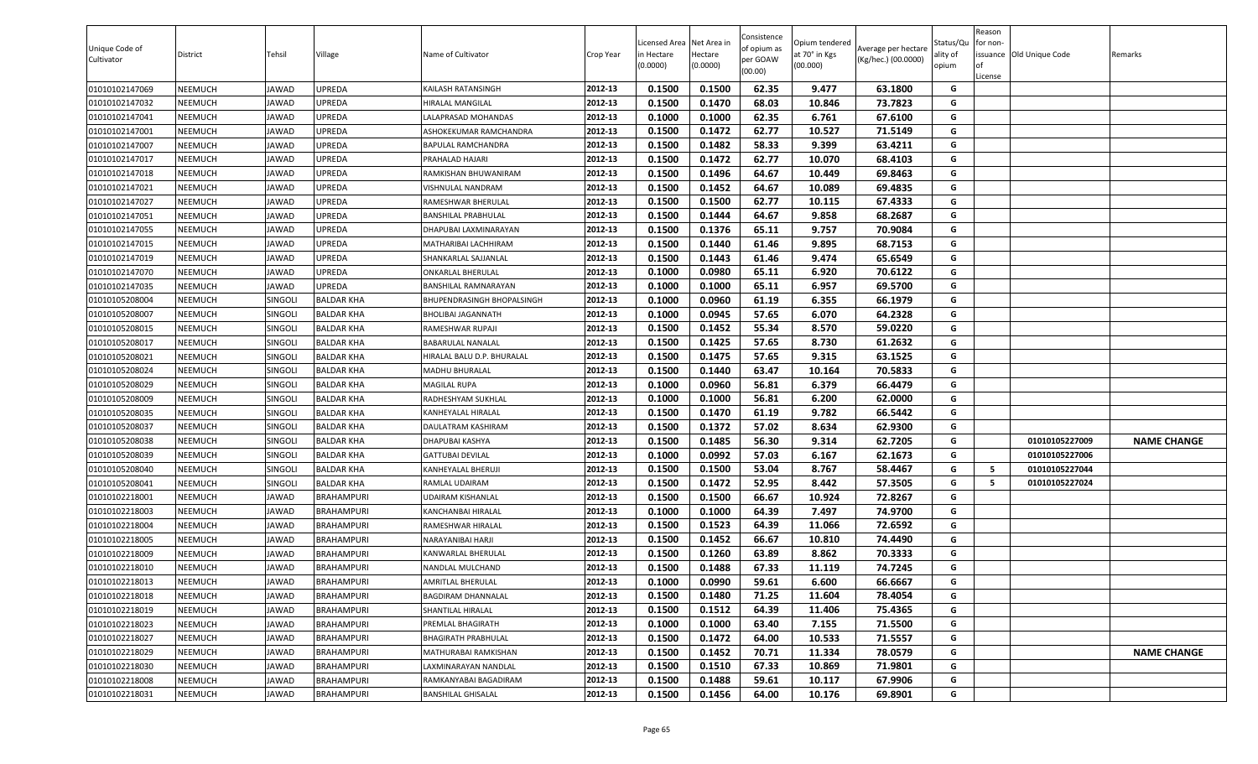| Unique Code of<br>Cultivator | <b>District</b> | Tehsil         | Village           | Name of Cultivator          | Crop Year | .icensed Area<br>in Hectare<br>(0.0000) | Net Area in<br>Hectare<br>(0.0000) | Consistence<br>of opium as<br>per GOAW<br>(00.00) | Opium tendered<br>at 70° in Kgs<br>(00.000) | Average per hectare<br>(Kg/hec.) (00.0000) | Status/Qu<br>ality of<br>opium | Reason<br>for non-<br>lof<br>License | issuance Old Unique Code | Remarks            |
|------------------------------|-----------------|----------------|-------------------|-----------------------------|-----------|-----------------------------------------|------------------------------------|---------------------------------------------------|---------------------------------------------|--------------------------------------------|--------------------------------|--------------------------------------|--------------------------|--------------------|
| 01010102147069               | <b>NEEMUCH</b>  | JAWAD          | UPREDA            | KAILASH RATANSINGH          | 2012-13   | 0.1500                                  | 0.1500                             | 62.35                                             | 9.477                                       | 63.1800                                    | G                              |                                      |                          |                    |
| 01010102147032               | NEEMUCH         | JAWAD          | UPREDA            | HIRALAL MANGILAL            | 2012-13   | 0.1500                                  | 0.1470                             | 68.03                                             | 10.846                                      | 73.7823                                    | G                              |                                      |                          |                    |
| 01010102147041               | <b>NEEMUCH</b>  | JAWAD          | UPREDA            | ALAPRASAD MOHANDAS          | 2012-13   | 0.1000                                  | 0.1000                             | 62.35                                             | 6.761                                       | 67.6100                                    | G                              |                                      |                          |                    |
| 01010102147001               | NEEMUCH         | JAWAD          | UPREDA            | ASHOKEKUMAR RAMCHANDRA      | 2012-13   | 0.1500                                  | 0.1472                             | 62.77                                             | 10.527                                      | 71.5149                                    | G                              |                                      |                          |                    |
| 01010102147007               | <b>NEEMUCH</b>  | JAWAD          | UPREDA            | BAPULAL RAMCHANDRA          | 2012-13   | 0.1500                                  | 0.1482                             | 58.33                                             | 9.399                                       | 63.4211                                    | G                              |                                      |                          |                    |
| 01010102147017               | <b>NEEMUCH</b>  | <b>JAWAD</b>   | UPREDA            | PRAHALAD HAJARI             | 2012-13   | 0.1500                                  | 0.1472                             | 62.77                                             | 10.070                                      | 68.4103                                    | G                              |                                      |                          |                    |
| 01010102147018               | <b>NEEMUCH</b>  | JAWAD          | UPREDA            | RAMKISHAN BHUWANIRAM        | 2012-13   | 0.1500                                  | 0.1496                             | 64.67                                             | 10.449                                      | 69.8463                                    | G                              |                                      |                          |                    |
| 01010102147021               | <b>NEEMUCH</b>  | JAWAD          | UPREDA            | VISHNULAL NANDRAM           | 2012-13   | 0.1500                                  | 0.1452                             | 64.67                                             | 10.089                                      | 69.4835                                    | G                              |                                      |                          |                    |
| 01010102147027               | <b>NEEMUCH</b>  | JAWAD          | UPREDA            | RAMESHWAR BHERULAL          | 2012-13   | 0.1500                                  | 0.1500                             | 62.77                                             | 10.115                                      | 67.4333                                    | G                              |                                      |                          |                    |
| 01010102147051               | NEEMUCH         | JAWAD          | UPREDA            | BANSHILAL PRABHULAL         | 2012-13   | 0.1500                                  | 0.1444                             | 64.67                                             | 9.858                                       | 68.2687                                    | G                              |                                      |                          |                    |
| 01010102147055               | <b>NEEMUCH</b>  | JAWAD          | UPREDA            | DHAPUBAI LAXMINARAYAN       | 2012-13   | 0.1500                                  | 0.1376                             | 65.11                                             | 9.757                                       | 70.9084                                    | G                              |                                      |                          |                    |
| 01010102147015               | NEEMUCH         | JAWAD          | UPREDA            | MATHARIBAI LACHHIRAM        | 2012-13   | 0.1500                                  | 0.1440                             | 61.46                                             | 9.895                                       | 68.7153                                    | G                              |                                      |                          |                    |
| 01010102147019               | <b>NEEMUCH</b>  | JAWAD          | UPREDA            | SHANKARLAL SAJJANLAL        | 2012-13   | 0.1500                                  | 0.1443                             | 61.46                                             | 9.474                                       | 65.6549                                    | G                              |                                      |                          |                    |
| 01010102147070               | <b>NEEMUCH</b>  | JAWAD          | UPREDA            | <b>ONKARLAL BHERULAL</b>    | 2012-13   | 0.1000                                  | 0.0980                             | 65.11                                             | 6.920                                       | 70.6122                                    | G                              |                                      |                          |                    |
| 01010102147035               | <b>NEEMUCH</b>  | JAWAD          | UPREDA            | <b>BANSHILAL RAMNARAYAN</b> | 2012-13   | 0.1000                                  | 0.1000                             | 65.11                                             | 6.957                                       | 69.5700                                    | G                              |                                      |                          |                    |
| 01010105208004               | <b>NEEMUCH</b>  | <b>SINGOLI</b> | <b>BALDAR KHA</b> | BHUPENDRASINGH BHOPALSINGH  | 2012-13   | 0.1000                                  | 0.0960                             | 61.19                                             | 6.355                                       | 66.1979                                    | G                              |                                      |                          |                    |
| 01010105208007               | <b>NEEMUCH</b>  | SINGOLI        | BALDAR KHA        | BHOLIBAI JAGANNATH          | 2012-13   | 0.1000                                  | 0.0945                             | 57.65                                             | 6.070                                       | 64.2328                                    | G                              |                                      |                          |                    |
| 01010105208015               | <b>NEEMUCH</b>  | SINGOLI        | <b>BALDAR KHA</b> | RAMESHWAR RUPAJI            | 2012-13   | 0.1500                                  | 0.1452                             | 55.34                                             | 8.570                                       | 59.0220                                    | G                              |                                      |                          |                    |
| 01010105208017               | <b>NEEMUCH</b>  | <b>SINGOLI</b> | BALDAR KHA        | BABARULAL NANALAL           | 2012-13   | 0.1500                                  | 0.1425                             | 57.65                                             | 8.730                                       | 61.2632                                    | G                              |                                      |                          |                    |
| 01010105208021               | <b>NEEMUCH</b>  | SINGOLI        | BALDAR KHA        | HIRALAL BALU D.P. BHURALAL  | 2012-13   | 0.1500                                  | 0.1475                             | 57.65                                             | 9.315                                       | 63.1525                                    | G                              |                                      |                          |                    |
| 01010105208024               | NEEMUCH         | SINGOLI        | BALDAR KHA        | MADHU BHURALAL              | 2012-13   | 0.1500                                  | 0.1440                             | 63.47                                             | 10.164                                      | 70.5833                                    | G                              |                                      |                          |                    |
| 01010105208029               | <b>NEEMUCH</b>  | SINGOLI        | <b>BALDAR KHA</b> | MAGILAL RUPA                | 2012-13   | 0.1000                                  | 0.0960                             | 56.81                                             | 6.379                                       | 66.4479                                    | G                              |                                      |                          |                    |
| 01010105208009               | <b>NEEMUCH</b>  | SINGOLI        | <b>BALDAR KHA</b> | RADHESHYAM SUKHLAL          | 2012-13   | 0.1000                                  | 0.1000                             | 56.81                                             | 6.200                                       | 62.0000                                    | G                              |                                      |                          |                    |
| 01010105208035               | <b>NEEMUCH</b>  | SINGOLI        | <b>BALDAR KHA</b> | KANHEYALAL HIRALAL          | 2012-13   | 0.1500                                  | 0.1470                             | 61.19                                             | 9.782                                       | 66.5442                                    | G                              |                                      |                          |                    |
| 01010105208037               | <b>NEEMUCH</b>  | <b>SINGOLI</b> | BALDAR KHA        | DAULATRAM KASHIRAM          | 2012-13   | 0.1500                                  | 0.1372                             | 57.02                                             | 8.634                                       | 62.9300                                    | G                              |                                      |                          |                    |
| 01010105208038               | <b>NEEMUCH</b>  | SINGOLI        | <b>BALDAR KHA</b> | DHAPUBAI KASHYA             | 2012-13   | 0.1500                                  | 0.1485                             | 56.30                                             | 9.314                                       | 62.7205                                    | G                              |                                      | 01010105227009           | <b>NAME CHANGE</b> |
| 01010105208039               | <b>NEEMUCH</b>  | <b>SINGOLI</b> | BALDAR KHA        | GATTUBAI DEVILAL            | 2012-13   | 0.1000                                  | 0.0992                             | 57.03                                             | 6.167                                       | 62.1673                                    | G                              |                                      | 01010105227006           |                    |
| 01010105208040               | <b>NEEMUCH</b>  | SINGOLI        | BALDAR KHA        | KANHEYALAL BHERUJI          | 2012-13   | 0.1500                                  | 0.1500                             | 53.04                                             | 8.767                                       | 58.4467                                    | G                              | 5                                    | 01010105227044           |                    |
| 01010105208041               | NEEMUCH         | SINGOLI        | BALDAR KHA        | RAMLAL UDAIRAM              | 2012-13   | 0.1500                                  | 0.1472                             | 52.95                                             | 8.442                                       | 57.3505                                    | G                              | -5                                   | 01010105227024           |                    |
| 01010102218001               | <b>NEEMUCH</b>  | JAWAD          | BRAHAMPURI        | JDAIRAM KISHANLAL           | 2012-13   | 0.1500                                  | 0.1500                             | 66.67                                             | 10.924                                      | 72.8267                                    | G                              |                                      |                          |                    |
| 01010102218003               | <b>NEEMUCH</b>  | <b>JAWAD</b>   | <b>BRAHAMPURI</b> | KANCHANBAI HIRALAL          | 2012-13   | 0.1000                                  | 0.1000                             | 64.39                                             | 7.497                                       | 74.9700                                    | G                              |                                      |                          |                    |
| 01010102218004               | <b>NEEMUCH</b>  | JAWAD          | <b>BRAHAMPURI</b> | RAMESHWAR HIRALAL           | 2012-13   | 0.1500                                  | 0.1523                             | 64.39                                             | 11.066                                      | 72.6592                                    | G                              |                                      |                          |                    |
| 01010102218005               | <b>NEEMUCH</b>  | JAWAD          | BRAHAMPURI        | NARAYANIBAI HARJI           | 2012-13   | 0.1500                                  | 0.1452                             | 66.67                                             | 10.810                                      | 74.4490                                    | G                              |                                      |                          |                    |
| 01010102218009               | <b>NEEMUCH</b>  | JAWAD          | <b>BRAHAMPURI</b> | KANWARLAL BHERULAL          | 2012-13   | 0.1500                                  | 0.1260                             | 63.89                                             | 8.862                                       | 70.3333                                    | G                              |                                      |                          |                    |
| 01010102218010               | <b>NEEMUCH</b>  | JAWAD          | BRAHAMPURI        | NANDLAL MULCHAND            | 2012-13   | 0.1500                                  | 0.1488                             | 67.33                                             | 11.119                                      | 74.7245                                    | G                              |                                      |                          |                    |
| 01010102218013               | <b>NEEMUCH</b>  | <b>JAWAD</b>   | <b>BRAHAMPURI</b> | AMRITLAL BHERULAL           | 2012-13   | 0.1000                                  | 0.0990                             | 59.61                                             | 6.600                                       | 66.6667                                    | G                              |                                      |                          |                    |
| 01010102218018               | <b>NEEMUCH</b>  | <b>JAWAD</b>   | BRAHAMPURI        | BAGDIRAM DHANNALAL          | 2012-13   | 0.1500                                  | 0.1480                             | 71.25                                             | 11.604                                      | 78.4054                                    | G                              |                                      |                          |                    |
| 01010102218019               | <b>NEEMUCH</b>  | JAWAD          | BRAHAMPURI        | SHANTILAL HIRALAL           | 2012-13   | 0.1500                                  | 0.1512                             | 64.39                                             | 11.406                                      | 75.4365                                    | G                              |                                      |                          |                    |
| 01010102218023               | <b>NEEMUCH</b>  | <b>JAWAD</b>   | <b>BRAHAMPURI</b> | PREMLAL BHAGIRATH           | 2012-13   | 0.1000                                  | 0.1000                             | 63.40                                             | 7.155                                       | 71.5500                                    | G                              |                                      |                          |                    |
| 01010102218027               | <b>NEEMUCH</b>  | JAWAD          | <b>BRAHAMPURI</b> | <b>BHAGIRATH PRABHULAL</b>  | 2012-13   | 0.1500                                  | 0.1472                             | 64.00                                             | 10.533                                      | 71.5557                                    | G                              |                                      |                          |                    |
| 01010102218029               | <b>NEEMUCH</b>  | <b>JAWAD</b>   | <b>BRAHAMPURI</b> | MATHURABAI RAMKISHAN        | 2012-13   | 0.1500                                  | 0.1452                             | 70.71                                             | 11.334                                      | 78.0579                                    | G                              |                                      |                          | <b>NAME CHANGE</b> |
| 01010102218030               | <b>NEEMUCH</b>  | <b>JAWAD</b>   | BRAHAMPURI        | LAXMINARAYAN NANDLAL        | 2012-13   | 0.1500                                  | 0.1510                             | 67.33                                             | 10.869                                      | 71.9801                                    | G                              |                                      |                          |                    |
| 01010102218008               | <b>NEEMUCH</b>  | <b>JAWAD</b>   | <b>BRAHAMPURI</b> | RAMKANYABAI BAGADIRAM       | 2012-13   | 0.1500                                  | 0.1488                             | 59.61                                             | 10.117                                      | 67.9906                                    | G                              |                                      |                          |                    |
| 01010102218031               | <b>NEEMUCH</b>  | <b>JAWAD</b>   | <b>BRAHAMPURI</b> | <b>BANSHILAL GHISALAL</b>   | 2012-13   | 0.1500                                  | 0.1456                             | 64.00                                             | 10.176                                      | 69.8901                                    | G                              |                                      |                          |                    |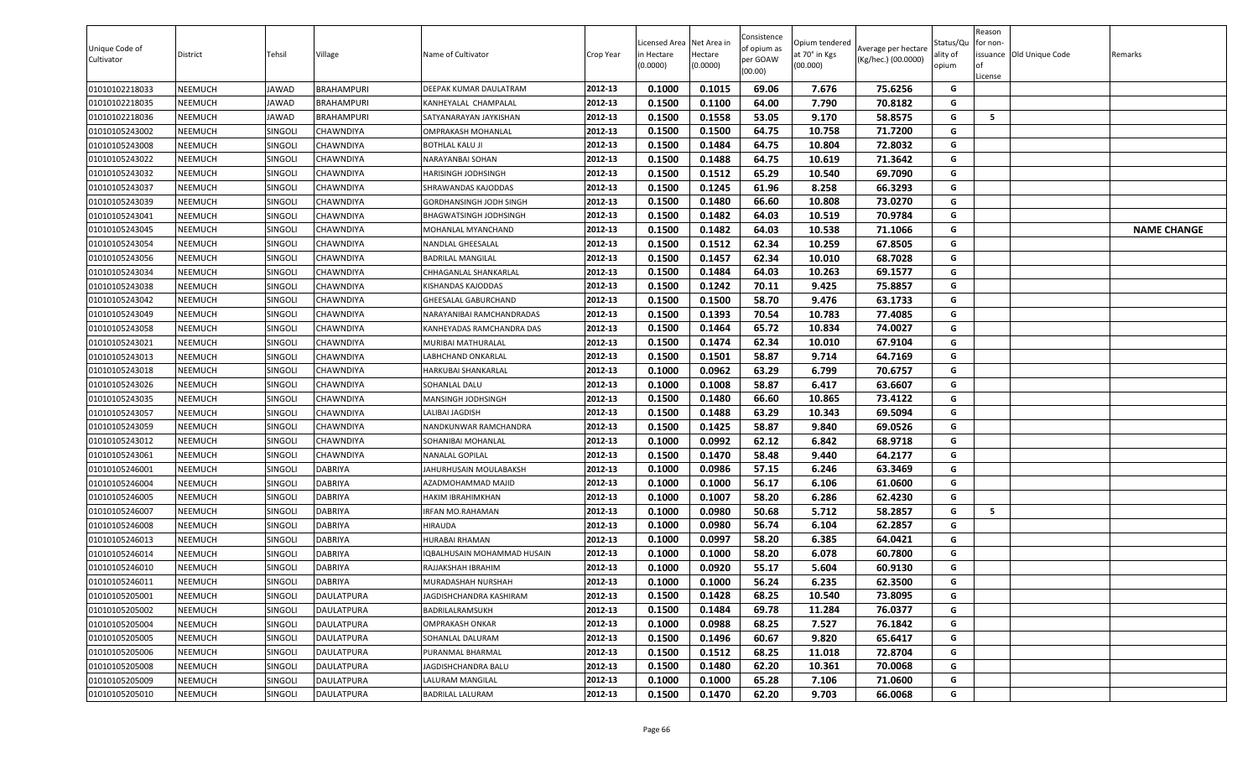| Unique Code of<br>Cultivator | District | Tehsil         | Village           | Name of Cultivator          | Crop Year | Licensed Area Net Area in<br>in Hectare<br>(0.0000) | Hectare<br>(0.0000) | Consistence<br>of opium as<br>per GOAW<br>(00.00) | Opium tendered<br>at 70° in Kgs<br>(00.000) | Average per hectare<br>(Kg/hec.) (00.0000) | Status/Qu<br>ality of<br>opium | Reason<br>for non-<br><b>of</b><br>License | issuance Old Unique Code | Remarks            |
|------------------------------|----------|----------------|-------------------|-----------------------------|-----------|-----------------------------------------------------|---------------------|---------------------------------------------------|---------------------------------------------|--------------------------------------------|--------------------------------|--------------------------------------------|--------------------------|--------------------|
| 01010102218033               | NEEMUCH  | JAWAD          | <b>BRAHAMPURI</b> | DEEPAK KUMAR DAULATRAM      | 2012-13   | 0.1000                                              | 0.1015              | 69.06                                             | 7.676                                       | 75.6256                                    | G                              |                                            |                          |                    |
| 01010102218035               | NEEMUCH  | JAWAD          | BRAHAMPURI        | KANHEYALAL CHAMPALAL        | 2012-13   | 0.1500                                              | 0.1100              | 64.00                                             | 7.790                                       | 70.8182                                    | G                              |                                            |                          |                    |
| 01010102218036               | NEEMUCH  | <b>IAWAD</b>   | BRAHAMPURI        | SATYANARAYAN JAYKISHAN      | 2012-13   | 0.1500                                              | 0.1558              | 53.05                                             | 9.170                                       | 58.8575                                    | G                              | 5                                          |                          |                    |
| 01010105243002               | NEEMUCH  | SINGOLI        | CHAWNDIYA         | OMPRAKASH MOHANLAL          | 2012-13   | 0.1500                                              | 0.1500              | 64.75                                             | 10.758                                      | 71.7200                                    | G                              |                                            |                          |                    |
| 01010105243008               | NEEMUCH  | SINGOLI        | CHAWNDIYA         | BOTHLAL KALU JI             | 2012-13   | 0.1500                                              | 0.1484              | 64.75                                             | 10.804                                      | 72.8032                                    | G                              |                                            |                          |                    |
| 01010105243022               | NEEMUCH  | SINGOLI        | CHAWNDIYA         | NARAYANBAI SOHAN            | 2012-13   | 0.1500                                              | 0.1488              | 64.75                                             | 10.619                                      | 71.3642                                    | G                              |                                            |                          |                    |
| 01010105243032               | NEEMUCH  | SINGOLI        | CHAWNDIYA         | HARISINGH JODHSINGH         | 2012-13   | 0.1500                                              | 0.1512              | 65.29                                             | 10.540                                      | 69.7090                                    | G                              |                                            |                          |                    |
| 01010105243037               | NEEMUCH  | <b>SINGOLI</b> | CHAWNDIYA         | SHRAWANDAS KAJODDAS         | 2012-13   | 0.1500                                              | 0.1245              | 61.96                                             | 8.258                                       | 66.3293                                    | G                              |                                            |                          |                    |
| 01010105243039               | NEEMUCH  | SINGOLI        | CHAWNDIYA         | GORDHANSINGH JODH SINGH     | 2012-13   | 0.1500                                              | 0.1480              | 66.60                                             | 10.808                                      | 73.0270                                    | G                              |                                            |                          |                    |
| 01010105243041               | NEEMUCH  | SINGOLI        | CHAWNDIYA         | BHAGWATSINGH JODHSINGH      | 2012-13   | 0.1500                                              | 0.1482              | 64.03                                             | 10.519                                      | 70.9784                                    | G                              |                                            |                          |                    |
| 01010105243045               | NEEMUCH  | <b>SINGOLI</b> | CHAWNDIYA         | MOHANLAL MYANCHAND          | 2012-13   | 0.1500                                              | 0.1482              | 64.03                                             | 10.538                                      | 71.1066                                    | G                              |                                            |                          | <b>NAME CHANGE</b> |
| 01010105243054               | NEEMUCH  | SINGOLI        | CHAWNDIYA         | NANDLAL GHEESALAL           | 2012-13   | 0.1500                                              | 0.1512              | 62.34                                             | 10.259                                      | 67.8505                                    | G                              |                                            |                          |                    |
| 01010105243056               | NEEMUCH  | SINGOLI        | CHAWNDIYA         | BADRILAL MANGILAL           | 2012-13   | 0.1500                                              | 0.1457              | 62.34                                             | 10.010                                      | 68.7028                                    | G                              |                                            |                          |                    |
| 01010105243034               | NEEMUCH  | <b>SINGOLI</b> | CHAWNDIYA         | CHHAGANLAL SHANKARLAL       | 2012-13   | 0.1500                                              | 0.1484              | 64.03                                             | 10.263                                      | 69.1577                                    | G                              |                                            |                          |                    |
| 01010105243038               | NEEMUCH  | <b>SINGOLI</b> | CHAWNDIYA         | KISHANDAS KAJODDAS          | 2012-13   | 0.1500                                              | 0.1242              | 70.11                                             | 9.425                                       | 75.8857                                    | G                              |                                            |                          |                    |
| 01010105243042               | NEEMUCH  | SINGOLI        | CHAWNDIYA         | GHEESALAL GABURCHAND        | 2012-13   | 0.1500                                              | 0.1500              | 58.70                                             | 9.476                                       | 63.1733                                    | G                              |                                            |                          |                    |
| 01010105243049               | NEEMUCH  | SINGOLI        | CHAWNDIYA         | NARAYANIBAI RAMCHANDRADAS   | 2012-13   | 0.1500                                              | 0.1393              | 70.54                                             | 10.783                                      | 77.4085                                    | G                              |                                            |                          |                    |
| 01010105243058               | NEEMUCH  | SINGOL         | CHAWNDIYA         | KANHEYADAS RAMCHANDRA DAS   | 2012-13   | 0.1500                                              | 0.1464              | 65.72                                             | 10.834                                      | 74.0027                                    | G                              |                                            |                          |                    |
| 01010105243021               | NEEMUCH  | SINGOL         | CHAWNDIYA         | MURIBAI MATHURALAL          | 2012-13   | 0.1500                                              | 0.1474              | 62.34                                             | 10.010                                      | 67.9104                                    | G                              |                                            |                          |                    |
| 01010105243013               | NEEMUCH  | SINGOL         | CHAWNDIYA         | ABHCHAND ONKARLAL           | 2012-13   | 0.1500                                              | 0.1501              | 58.87                                             | 9.714                                       | 64.7169                                    | G                              |                                            |                          |                    |
| 01010105243018               | NEEMUCH  | SINGOLI        | CHAWNDIYA         | HARKUBAI SHANKARLAL         | 2012-13   | 0.1000                                              | 0.0962              | 63.29                                             | 6.799                                       | 70.6757                                    | G                              |                                            |                          |                    |
| 01010105243026               | NEEMUCH  | SINGOLI        | CHAWNDIYA         | SOHANLAL DALU               | 2012-13   | 0.1000                                              | 0.1008              | 58.87                                             | 6.417                                       | 63.6607                                    | G                              |                                            |                          |                    |
| 01010105243035               | NEEMUCH  | <b>SINGOLI</b> | CHAWNDIYA         | MANSINGH JODHSINGH          | 2012-13   | 0.1500                                              | 0.1480              | 66.60                                             | 10.865                                      | 73.4122                                    | G                              |                                            |                          |                    |
| 01010105243057               | NEEMUCH  | <b>SINGOLI</b> | CHAWNDIYA         | ALIBAI JAGDISH              | 2012-13   | 0.1500                                              | 0.1488              | 63.29                                             | 10.343                                      | 69.5094                                    | G                              |                                            |                          |                    |
| 01010105243059               | NEEMUCH  | SINGOLI        | CHAWNDIYA         | NANDKUNWAR RAMCHANDRA       | 2012-13   | 0.1500                                              | 0.1425              | 58.87                                             | 9.840                                       | 69.0526                                    | G                              |                                            |                          |                    |
| 01010105243012               | NEEMUCH  | SINGOL         | CHAWNDIYA         | SOHANIBAI MOHANLAL          | 2012-13   | 0.1000                                              | 0.0992              | 62.12                                             | 6.842                                       | 68.9718                                    | G                              |                                            |                          |                    |
| 01010105243061               | NEEMUCH  | <b>SINGOLI</b> | CHAWNDIYA         | NANALAL GOPILAL             | 2012-13   | 0.1500                                              | 0.1470              | 58.48                                             | 9.440                                       | 64.2177                                    | G                              |                                            |                          |                    |
| 01010105246001               | NEEMUCH  | SINGOLI        | DABRIYA           | JAHURHUSAIN MOULABAKSH      | 2012-13   | 0.1000                                              | 0.0986              | 57.15                                             | 6.246                                       | 63.3469                                    | G                              |                                            |                          |                    |
| 01010105246004               | NEEMUCH  | <b>SINGOLI</b> | DABRIYA           | AZADMOHAMMAD MAJID          | 2012-13   | 0.1000                                              | 0.1000              | 56.17                                             | 6.106                                       | 61.0600                                    | G                              |                                            |                          |                    |
| 01010105246005               | NEEMUCH  | SINGOLI        | DABRIYA           | HAKIM IBRAHIMKHAN           | 2012-13   | 0.1000                                              | 0.1007              | 58.20                                             | 6.286                                       | 62.4230                                    | G                              |                                            |                          |                    |
| 01010105246007               | NEEMUCH  | <b>SINGOLI</b> | DABRIYA           | IRFAN MO.RAHAMAN            | 2012-13   | 0.1000                                              | 0.0980              | 50.68                                             | 5.712                                       | 58.2857                                    | G                              | - 5                                        |                          |                    |
| 01010105246008               | NEEMUCH  | <b>SINGOLI</b> | DABRIYA           | <b>HIRAUDA</b>              | 2012-13   | 0.1000                                              | 0.0980              | 56.74                                             | 6.104                                       | 62.2857                                    | G                              |                                            |                          |                    |
| 01010105246013               | NEEMUCH  | <b>SINGOLI</b> | <b>DABRIYA</b>    | HURABAI RHAMAN              | 2012-13   | 0.1000                                              | 0.0997              | 58.20                                             | 6.385                                       | 64.0421                                    | G                              |                                            |                          |                    |
| 01010105246014               | NEEMUCH  | SINGOLI        | DABRIYA           | IQBALHUSAIN MOHAMMAD HUSAIN | 2012-13   | 0.1000                                              | 0.1000              | 58.20                                             | 6.078                                       | 60.7800                                    | G                              |                                            |                          |                    |
| 01010105246010               | NEEMUCH  | <b>SINGOLI</b> | DABRIYA           | RAJJAKSHAH IBRAHIM          | 2012-13   | 0.1000                                              | 0.0920              | 55.17                                             | 5.604                                       | 60.9130                                    | G                              |                                            |                          |                    |
| 01010105246011               | NEEMUCH  | SINGOLI        | <b>DABRIYA</b>    | MURADASHAH NURSHAH          | 2012-13   | 0.1000                                              | 0.1000              | 56.24                                             | 6.235                                       | 62.3500                                    | G                              |                                            |                          |                    |
| 01010105205001               | NEEMUCH  | SINGOLI        | DAULATPURA        | JAGDISHCHANDRA KASHIRAM     | 2012-13   | 0.1500                                              | 0.1428              | 68.25                                             | 10.540                                      | 73.8095                                    | G                              |                                            |                          |                    |
| 01010105205002               | NEEMUCH  | <b>SINGOLI</b> | DAULATPURA        | 3ADRILALRAMSUKH             | 2012-13   | 0.1500                                              | 0.1484              | 69.78                                             | 11.284                                      | 76.0377                                    | G                              |                                            |                          |                    |
| 01010105205004               | NEEMUCH  | SINGOLI        | <b>DAULATPURA</b> | OMPRAKASH ONKAR             | 2012-13   | 0.1000                                              | 0.0988              | 68.25                                             | 7.527                                       | 76.1842                                    | G                              |                                            |                          |                    |
| 01010105205005               | NEEMUCH  | SINGOLI        | DAULATPURA        | SOHANLAL DALURAM            | 2012-13   | 0.1500                                              | 0.1496              | 60.67                                             | 9.820                                       | 65.6417                                    | G                              |                                            |                          |                    |
| 01010105205006               | NEEMUCH  | SINGOLI        | DAULATPURA        | PURANMAL BHARMAL            | 2012-13   | 0.1500                                              | 0.1512              | 68.25                                             | 11.018                                      | 72.8704                                    | G                              |                                            |                          |                    |
| 01010105205008               | NEEMUCH  | SINGOLI        | DAULATPURA        | JAGDISHCHANDRA BALU         | 2012-13   | 0.1500                                              | 0.1480              | 62.20                                             | 10.361                                      | 70.0068                                    | G                              |                                            |                          |                    |
| 01010105205009               | NEEMUCH  | SINGOLI        | DAULATPURA        | LALURAM MANGILAL            | 2012-13   | 0.1000                                              | 0.1000              | 65.28                                             | 7.106                                       | 71.0600                                    | G                              |                                            |                          |                    |
| 01010105205010               | NEEMUCH  | SINGOLI        | <b>DAULATPURA</b> | <b>BADRILAL LALURAM</b>     | 2012-13   | 0.1500                                              | 0.1470              | 62.20                                             | 9.703                                       | 66.0068                                    | G                              |                                            |                          |                    |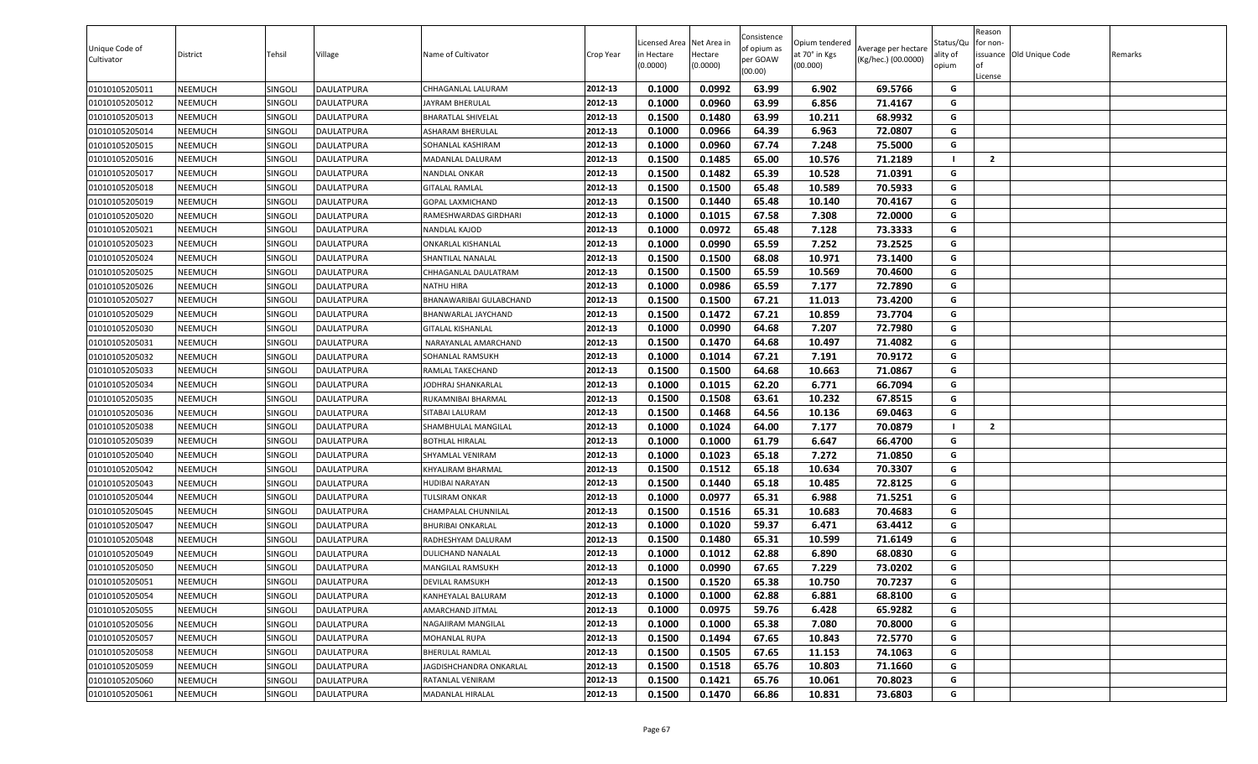| 0.1000<br>0.0992<br>63.99<br>69.5766<br>01010105205011<br>NEEMUCH<br><b>DAULATPURA</b><br>2012-13<br>6.902<br>G<br>SINGOLI<br>CHHAGANLAL LALURAM<br>01010105205012<br>2012-13<br>0.1000<br>0.0960<br>63.99<br>6.856<br>71.4167<br>G<br>NEEMUCH<br>SINGOLI<br>DAULATPURA<br>JAYRAM BHERULAL<br>0.1500<br>0.1480<br>68.9932<br>01010105205013<br>NEEMUCH<br>SINGOLI<br><b>DAULATPURA</b><br>2012-13<br>63.99<br>10.211<br>G<br><b>BHARATLAL SHIVELAL</b><br>0.1000<br>0.0966<br>64.39<br>6.963<br>72.0807<br>G<br>01010105205014<br>NEEMUCH<br>SINGOLI<br>DAULATPURA<br>ASHARAM BHERULAL<br>2012-13 |  |
|---------------------------------------------------------------------------------------------------------------------------------------------------------------------------------------------------------------------------------------------------------------------------------------------------------------------------------------------------------------------------------------------------------------------------------------------------------------------------------------------------------------------------------------------------------------------------------------------------|--|
|                                                                                                                                                                                                                                                                                                                                                                                                                                                                                                                                                                                                   |  |
|                                                                                                                                                                                                                                                                                                                                                                                                                                                                                                                                                                                                   |  |
|                                                                                                                                                                                                                                                                                                                                                                                                                                                                                                                                                                                                   |  |
|                                                                                                                                                                                                                                                                                                                                                                                                                                                                                                                                                                                                   |  |
| 0.1000<br>0.0960<br>67.74<br>7.248<br>75.5000<br>01010105205015<br>SINGOLI<br><b>DAULATPURA</b><br>2012-13<br>G<br>NEEMUCH<br>SOHANLAL KASHIRAM                                                                                                                                                                                                                                                                                                                                                                                                                                                   |  |
| 65.00<br>2012-13<br>0.1500<br>0.1485<br>10.576<br>71.2189<br>01010105205016<br>SINGOLI<br><b>DAULATPURA</b><br>MADANLAL DALURAM<br>$\overline{2}$<br>NEEMUCH<br>-1                                                                                                                                                                                                                                                                                                                                                                                                                                |  |
| 01010105205017<br>NEEMUCH<br>SINGOLI<br>2012-13<br>0.1500<br>0.1482<br>65.39<br>10.528<br>71.0391<br>G<br><b>DAULATPURA</b><br>NANDLAL ONKAR                                                                                                                                                                                                                                                                                                                                                                                                                                                      |  |
| 2012-13<br>0.1500<br>70.5933<br>G<br>01010105205018<br>NEEMUCH<br><b>SINGOLI</b><br><b>DAULATPURA</b><br><b>GITALAL RAMLAL</b><br>0.1500<br>65.48<br>10.589                                                                                                                                                                                                                                                                                                                                                                                                                                       |  |
| 2012-13<br>0.1500<br>0.1440<br>65.48<br>G<br>01010105205019<br>NEEMUCH<br><b>DAULATPURA</b><br>GOPAL LAXMICHAND<br>10.140<br>70.4167<br><b>SINGOLI</b>                                                                                                                                                                                                                                                                                                                                                                                                                                            |  |
| 0.1000<br>0.1015<br>67.58<br>01010105205020<br>NEEMUCH<br>SINGOLI<br><b>DAULATPURA</b><br>RAMESHWARDAS GIRDHARI<br>2012-13<br>7.308<br>72.0000<br>G                                                                                                                                                                                                                                                                                                                                                                                                                                               |  |
| 01010105205021<br>2012-13<br>0.1000<br>0.0972<br>65.48<br>7.128<br>73.3333<br>NEEMUCH<br>SINGOLI<br>DAULATPURA<br>G<br>NANDLAL KAJOD                                                                                                                                                                                                                                                                                                                                                                                                                                                              |  |
| 0.0990<br>65.59<br>73.2525<br>01010105205023<br>SINGOLI<br>2012-13<br>0.1000<br>7.252<br>G<br>NEEMUCH<br>DAULATPURA<br>ONKARLAL KISHANLAL                                                                                                                                                                                                                                                                                                                                                                                                                                                         |  |
| 0.1500<br>0.1500<br>68.08<br>10.971<br>73.1400<br>2012-13<br>G<br>01010105205024<br>NEEMUCH<br>SINGOLI<br>DAULATPURA<br>SHANTILAL NANALAL                                                                                                                                                                                                                                                                                                                                                                                                                                                         |  |
| 0.1500<br>65.59<br>G<br>01010105205025<br>NEEMUCH<br>SINGOLI<br><b>DAULATPURA</b><br>2012-13<br>0.1500<br>10.569<br>70.4600<br>CHHAGANLAL DAULATRAM                                                                                                                                                                                                                                                                                                                                                                                                                                               |  |
| 01010105205026<br>2012-13<br>0.1000<br>0.0986<br>65.59<br>7.177<br>72.7890<br>NEEMUCH<br>SINGOLI<br><b>DAULATPURA</b><br>G<br>NATHU HIRA                                                                                                                                                                                                                                                                                                                                                                                                                                                          |  |
| 0.1500<br>0.1500<br>67.21<br>73.4200<br>01010105205027<br><b>NEEMUCH</b><br><b>SINGOLI</b><br><b>DAULATPURA</b><br>2012-13<br>11.013<br>G<br><b>BHANAWARIBAI GULABCHAND</b>                                                                                                                                                                                                                                                                                                                                                                                                                       |  |
| 0.1500<br>0.1472<br>67.21<br>10.859<br>73.7704<br>G<br>2012-13<br>01010105205029<br><b>DAULATPURA</b><br>NEEMUCH<br><b>SINGOLI</b><br><b>BHANWARLAL JAYCHAND</b>                                                                                                                                                                                                                                                                                                                                                                                                                                  |  |
| 2012-13<br>0.1000<br>0.0990<br>64.68<br>7.207<br>72.7980<br>G<br>01010105205030<br>NEEMUCH<br>SINGOLI<br><b>DAULATPURA</b><br><b>GITALAL KISHANLAL</b>                                                                                                                                                                                                                                                                                                                                                                                                                                            |  |
| 2012-13<br>01010105205031<br>NARAYANLAL AMARCHAND<br>0.1500<br>0.1470<br>64.68<br>10.497<br>71.4082<br>G<br>NEEMUCH<br>SINGOLI<br><b>DAULATPURA</b>                                                                                                                                                                                                                                                                                                                                                                                                                                               |  |
| 2012-13<br>0.1000<br>0.1014<br>70.9172<br>G<br>01010105205032<br>NEEMUCH<br>SINGOL<br><b>DAULATPURA</b><br>SOHANLAL RAMSUKH<br>67.21<br>7.191                                                                                                                                                                                                                                                                                                                                                                                                                                                     |  |
| 0.1500<br>64.68<br>10.663<br>71.0867<br>G<br>2012-13<br>0.1500<br>01010105205033<br>NEEMUCH<br>SINGOLI<br>DAULATPURA<br>RAMLAL TAKECHAND                                                                                                                                                                                                                                                                                                                                                                                                                                                          |  |
| 0.1000<br>0.1015<br>62.20<br>6.771<br>66.7094<br>01010105205034<br>NEEMUCH<br>SINGOLI<br><b>DAULATPURA</b><br>2012-13<br>G<br>JODHRAJ SHANKARLAL                                                                                                                                                                                                                                                                                                                                                                                                                                                  |  |
| 0.1508<br>10.232<br>01010105205035<br>2012-13<br>0.1500<br>63.61<br>67.8515<br>G<br>NEEMUCH<br>SINGOLI<br><b>DAULATPURA</b><br>RUKAMNIBAI BHARMAL                                                                                                                                                                                                                                                                                                                                                                                                                                                 |  |
| 0.1500<br>0.1468<br>64.56<br>10.136<br>69.0463<br>01010105205036<br>NEEMUCH<br>SINGOLI<br><b>DAULATPURA</b><br>2012-13<br>G<br>SITABAI LALURAM                                                                                                                                                                                                                                                                                                                                                                                                                                                    |  |
| 0.1024<br>64.00<br>7.177<br>70.0879<br>01010105205038<br>NEEMUCH<br><b>DAULATPURA</b><br>2012-13<br>0.1000<br>$\overline{2}$<br><b>SINGOLI</b><br>SHAMBHULAL MANGILAL<br>-1                                                                                                                                                                                                                                                                                                                                                                                                                       |  |
| 0.1000<br>0.1000<br>61.79<br>6.647<br>66.4700<br>01010105205039<br>NEEMUCH<br>SINGOLI<br><b>DAULATPURA</b><br>2012-13<br>G<br><b>BOTHLAL HIRALAL</b>                                                                                                                                                                                                                                                                                                                                                                                                                                              |  |
| 7.272<br>01010105205040<br>2012-13<br>0.1000<br>0.1023<br>65.18<br>71.0850<br>G<br>NEEMUCH<br>SINGOLI<br>DAULATPURA<br>SHYAMLAL VENIRAM                                                                                                                                                                                                                                                                                                                                                                                                                                                           |  |
| 0.1500<br>0.1512<br>65.18<br>10.634<br>70.3307<br>01010105205042<br>NEEMUCH<br>SINGOLI<br><b>DAULATPURA</b><br>2012-13<br>G<br>KHYALIRAM BHARMAL                                                                                                                                                                                                                                                                                                                                                                                                                                                  |  |
| G<br>2012-13<br>65.18<br>01010105205043<br>SINGOLI<br><b>DAULATPURA</b><br>HUDIBAI NARAYAN<br>0.1500<br>0.1440<br>10.485<br>72.8125<br>NEEMUCH                                                                                                                                                                                                                                                                                                                                                                                                                                                    |  |
| 2012-13<br>0.1000<br>0.0977<br>65.31<br>71.5251<br>G<br>01010105205044<br>SINGOLI<br>DAULATPURA<br>TULSIRAM ONKAR<br>6.988<br>NEEMUCH                                                                                                                                                                                                                                                                                                                                                                                                                                                             |  |
| G<br>2012-13<br>0.1500<br>0.1516<br>65.31<br>10.683<br>70.4683<br>01010105205045<br>NEEMUCH<br>SINGOLI<br><b>DAULATPURA</b><br>CHAMPALAL CHUNNILAL                                                                                                                                                                                                                                                                                                                                                                                                                                                |  |
| 2012-13<br>0.1000<br>0.1020<br>59.37<br>6.471<br>63.4412<br>G<br>01010105205047<br>NEEMUCH<br>SINGOLI<br><b>DAULATPURA</b><br><b>BHURIBAI ONKARLAL</b>                                                                                                                                                                                                                                                                                                                                                                                                                                            |  |
| 01010105205048<br>NEEMUCH<br><b>SINGOLI</b><br><b>DAULATPURA</b><br>2012-13<br>0.1500<br>0.1480<br>65.31<br>10.599<br>71.6149<br>G<br>RADHESHYAM DALURAM                                                                                                                                                                                                                                                                                                                                                                                                                                          |  |
| 0.1012<br>01010105205049<br>NEEMUCH<br><b>SINGOLI</b><br>DAULATPURA<br>2012-13<br>0.1000<br>62.88<br>6.890<br>68.0830<br>G<br>DULICHAND NANALAL                                                                                                                                                                                                                                                                                                                                                                                                                                                   |  |
| 7.229<br>0.1000<br>0.0990<br>67.65<br>73.0202<br>01010105205050<br>NEEMUCH<br>SINGOLI<br><b>DAULATPURA</b><br>2012-13<br>G<br>MANGILAL RAMSUKH                                                                                                                                                                                                                                                                                                                                                                                                                                                    |  |
| 01010105205051<br>SINGOLI<br>2012-13<br>0.1500<br>0.1520<br>65.38<br>10.750<br>70.7237<br>G<br>NEEMUCH<br><b>DAULATPURA</b><br><b>DEVILAL RAMSUKH</b>                                                                                                                                                                                                                                                                                                                                                                                                                                             |  |
| 0.1000<br>62.88<br>01010105205054<br>NEEMUCH<br><b>SINGOLI</b><br><b>DAULATPURA</b><br>2012-13<br>0.1000<br>6.881<br>68.8100<br>G<br>KANHEYALAL BALURAM                                                                                                                                                                                                                                                                                                                                                                                                                                           |  |
| 2012-13<br>0.1000<br>0.0975<br>59.76<br>6.428<br>65.9282<br>G<br>01010105205055<br>NEEMUCH<br>SINGOLI<br>DAULATPURA<br>AMARCHAND JITMAL                                                                                                                                                                                                                                                                                                                                                                                                                                                           |  |
| 65.38<br>7.080<br>2012-13<br>0.1000<br>0.1000<br>70.8000<br>G<br>01010105205056<br><b>NEEMUCH</b><br>SINGOLI<br>DAULATPURA<br>NAGAJIRAM MANGILAL                                                                                                                                                                                                                                                                                                                                                                                                                                                  |  |
| 67.65<br>01010105205057<br>NEEMUCH<br>SINGOLI<br>DAULATPURA<br>2012-13<br>0.1500<br>0.1494<br>10.843<br>72.5770<br>G<br><b>MOHANLAL RUPA</b>                                                                                                                                                                                                                                                                                                                                                                                                                                                      |  |
| G<br>2012-13<br>0.1500<br>0.1505<br>67.65<br>11.153<br>74.1063<br>01010105205058<br><b>NEEMUCH</b><br><b>SINGOLI</b><br>DAULATPURA<br><b>BHERULAL RAMLAL</b>                                                                                                                                                                                                                                                                                                                                                                                                                                      |  |
| G<br>01010105205059<br>2012-13<br>0.1518<br>65.76<br>10.803<br><b>NEEMUCH</b><br>SINGOLI<br>DAULATPURA<br>JAGDISHCHANDRA ONKARLAL<br>0.1500<br>71.1660                                                                                                                                                                                                                                                                                                                                                                                                                                            |  |
| 01010105205060<br><b>DAULATPURA</b><br>RATANLAL VENIRAM<br>2012-13<br>0.1500<br>0.1421<br>65.76<br>10.061<br>70.8023<br>G<br><b>NEEMUCH</b><br><b>SINGOLI</b>                                                                                                                                                                                                                                                                                                                                                                                                                                     |  |
| 2012-13<br>0.1500<br>73.6803<br>G<br>01010105205061<br>SINGOLI<br><b>MADANLAL HIRALAL</b><br>0.1470<br>66.86<br>10.831<br><b>NEEMUCH</b><br>DAULATPURA                                                                                                                                                                                                                                                                                                                                                                                                                                            |  |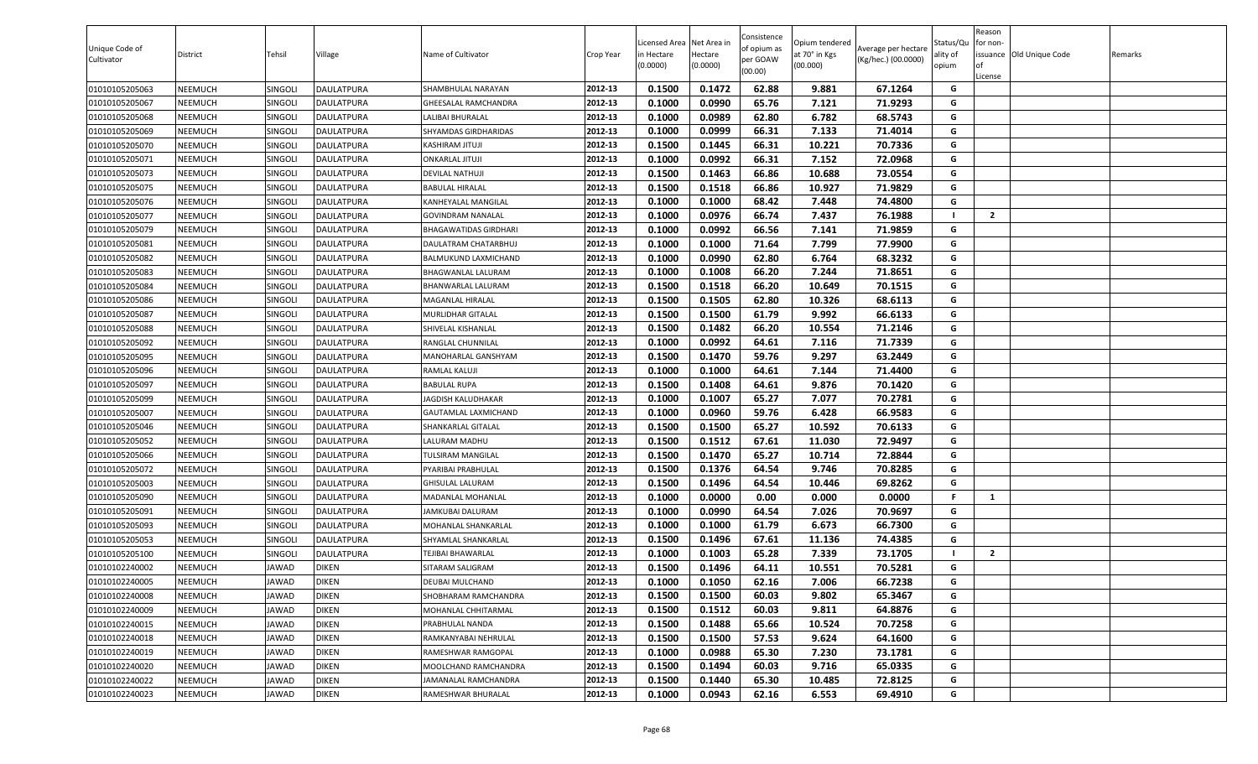| Unique Code of<br>Cultivator | District | Tehsil         | Village           | Name of Cultivator     | Crop Year | Licensed Area Net Area in<br>in Hectare<br>(0.0000) | Hectare<br>(0.0000) | Consistence<br>of opium as<br>per GOAW<br>(00.00) | Opium tendered<br>at 70° in Kgs<br>(00.000) | Average per hectare<br>(Kg/hec.) (00.0000) | Status/Qu<br>ality of<br>opium | Reason<br>for non-<br><b>of</b><br>License | issuance Old Unique Code | Remarks |
|------------------------------|----------|----------------|-------------------|------------------------|-----------|-----------------------------------------------------|---------------------|---------------------------------------------------|---------------------------------------------|--------------------------------------------|--------------------------------|--------------------------------------------|--------------------------|---------|
| 01010105205063               | NEEMUCH  | SINGOLI        | DAULATPURA        | SHAMBHULAL NARAYAN     | 2012-13   | 0.1500                                              | 0.1472              | 62.88                                             | 9.881                                       | 67.1264                                    | G                              |                                            |                          |         |
| 01010105205067               | NEEMUCH  | SINGOL         | DAULATPURA        | GHEESALAL RAMCHANDRA   | 2012-13   | 0.1000                                              | 0.0990              | 65.76                                             | 7.121                                       | 71.9293                                    | G                              |                                            |                          |         |
| 01010105205068               | NEEMUCH  | SINGOL         | DAULATPURA        | ALIBAI BHURALAL        | 2012-13   | 0.1000                                              | 0.0989              | 62.80                                             | 6.782                                       | 68.5743                                    | G                              |                                            |                          |         |
| 01010105205069               | NEEMUCH  | SINGOLI        | DAULATPURA        | SHYAMDAS GIRDHARIDAS   | 2012-13   | 0.1000                                              | 0.0999              | 66.31                                             | 7.133                                       | 71.4014                                    | G                              |                                            |                          |         |
| 01010105205070               | NEEMUCH  | SINGOLI        | DAULATPURA        | KASHIRAM JITUJI        | 2012-13   | 0.1500                                              | 0.1445              | 66.31                                             | 10.221                                      | 70.7336                                    | G                              |                                            |                          |         |
| 01010105205071               | NEEMUCH  | SINGOLI        | <b>DAULATPURA</b> | ONKARLAL JITUJI        | 2012-13   | 0.1000                                              | 0.0992              | 66.31                                             | 7.152                                       | 72.0968                                    | G                              |                                            |                          |         |
| 01010105205073               | NEEMUCH  | SINGOLI        | <b>DAULATPURA</b> | DEVILAL NATHUJI        | 2012-13   | 0.1500                                              | 0.1463              | 66.86                                             | 10.688                                      | 73.0554                                    | G                              |                                            |                          |         |
| 01010105205075               | NEEMUCH  | <b>SINGOLI</b> | DAULATPURA        | <b>BABULAL HIRALAL</b> | 2012-13   | 0.1500                                              | 0.1518              | 66.86                                             | 10.927                                      | 71.9829                                    | G                              |                                            |                          |         |
| 01010105205076               | NEEMUCH  | SINGOLI        | DAULATPURA        | KANHEYALAL MANGILAL    | 2012-13   | 0.1000                                              | 0.1000              | 68.42                                             | 7.448                                       | 74.4800                                    | G                              |                                            |                          |         |
| 01010105205077               | NEEMUCH  | SINGOLI        | DAULATPURA        | GOVINDRAM NANALAL      | 2012-13   | 0.1000                                              | 0.0976              | 66.74                                             | 7.437                                       | 76.1988                                    |                                | $\overline{2}$                             |                          |         |
| 01010105205079               | NEEMUCH  | <b>SINGOLI</b> | DAULATPURA        | BHAGAWATIDAS GIRDHARI  | 2012-13   | 0.1000                                              | 0.0992              | 66.56                                             | 7.141                                       | 71.9859                                    | G                              |                                            |                          |         |
| 01010105205081               | NEEMUCH  | <b>SINGOLI</b> | DAULATPURA        | DAULATRAM CHATARBHUJ   | 2012-13   | 0.1000                                              | 0.1000              | 71.64                                             | 7.799                                       | 77.9900                                    | G                              |                                            |                          |         |
| 01010105205082               | NEEMUCH  | SINGOLI        | DAULATPURA        | BALMUKUND LAXMICHAND   | 2012-13   | 0.1000                                              | 0.0990              | 62.80                                             | 6.764                                       | 68.3232                                    | G                              |                                            |                          |         |
| 01010105205083               | NEEMUCH  | SINGOLI        | DAULATPURA        | BHAGWANLAL LALURAM     | 2012-13   | 0.1000                                              | 0.1008              | 66.20                                             | 7.244                                       | 71.8651                                    | G                              |                                            |                          |         |
| 01010105205084               | NEEMUCH  | <b>SINGOLI</b> | DAULATPURA        | BHANWARLAL LALURAM     | 2012-13   | 0.1500                                              | 0.1518              | 66.20                                             | 10.649                                      | 70.1515                                    | G                              |                                            |                          |         |
| 01010105205086               | NEEMUCH  | SINGOLI        | DAULATPURA        | MAGANLAL HIRALAL       | 2012-13   | 0.1500                                              | 0.1505              | 62.80                                             | 10.326                                      | 68.6113                                    | G                              |                                            |                          |         |
| 01010105205087               | NEEMUCH  | SINGOLI        | DAULATPURA        | MURLIDHAR GITALAL      | 2012-13   | 0.1500                                              | 0.1500              | 61.79                                             | 9.992                                       | 66.6133                                    | G                              |                                            |                          |         |
| 01010105205088               | NEEMUCH  | SINGOL         | DAULATPURA        | SHIVELAL KISHANLAL     | 2012-13   | 0.1500                                              | 0.1482              | 66.20                                             | 10.554                                      | 71.2146                                    | G                              |                                            |                          |         |
| 01010105205092               | NEEMUCH  | SINGOL         | DAULATPURA        | RANGLAL CHUNNILAL      | 2012-13   | 0.1000                                              | 0.0992              | 64.61                                             | 7.116                                       | 71.7339                                    | G                              |                                            |                          |         |
| 01010105205095               | NEEMUCH  | SINGOL         | <b>DAULATPURA</b> | MANOHARLAL GANSHYAM    | 2012-13   | 0.1500                                              | 0.1470              | 59.76                                             | 9.297                                       | 63.2449                                    | G                              |                                            |                          |         |
| 01010105205096               | NEEMUCH  | <b>SINGOLI</b> | DAULATPURA        | RAMLAL KALUJI          | 2012-13   | 0.1000                                              | 0.1000              | 64.61                                             | 7.144                                       | 71.4400                                    | G                              |                                            |                          |         |
| 01010105205097               | NEEMUCH  | SINGOLI        | DAULATPURA        | BABULAL RUPA           | 2012-13   | 0.1500                                              | 0.1408              | 64.61                                             | 9.876                                       | 70.1420                                    | G                              |                                            |                          |         |
| 01010105205099               | NEEMUCH  | <b>SINGOLI</b> | DAULATPURA        | JAGDISH KALUDHAKAR     | 2012-13   | 0.1000                                              | 0.1007              | 65.27                                             | 7.077                                       | 70.2781                                    | G                              |                                            |                          |         |
| 01010105205007               | NEEMUCH  | SINGOLI        | DAULATPURA        | GAUTAMLAL LAXMICHAND   | 2012-13   | 0.1000                                              | 0.0960              | 59.76                                             | 6.428                                       | 66.9583                                    | G                              |                                            |                          |         |
| 01010105205046               | NEEMUCH  | SINGOLI        | DAULATPURA        | SHANKARLAL GITALAL     | 2012-13   | 0.1500                                              | 0.1500              | 65.27                                             | 10.592                                      | 70.6133                                    | G                              |                                            |                          |         |
| 01010105205052               | NEEMUCH  | SINGOL         | DAULATPURA        | LALURAM MADHU          | 2012-13   | 0.1500                                              | 0.1512              | 67.61                                             | 11.030                                      | 72.9497                                    | G                              |                                            |                          |         |
| 01010105205066               | NEEMUCH  | <b>SINGOLI</b> | DAULATPURA        | TULSIRAM MANGILAL      | 2012-13   | 0.1500                                              | 0.1470              | 65.27                                             | 10.714                                      | 72.8844                                    | G                              |                                            |                          |         |
| 01010105205072               | NEEMUCH  | SINGOLI        | DAULATPURA        | PYARIBAI PRABHULAL     | 2012-13   | 0.1500                                              | 0.1376              | 64.54                                             | 9.746                                       | 70.8285                                    | G                              |                                            |                          |         |
| 01010105205003               | NEEMUCH  | <b>SINGOLI</b> | DAULATPURA        | GHISULAL LALURAM       | 2012-13   | 0.1500                                              | 0.1496              | 64.54                                             | 10.446                                      | 69.8262                                    | G                              |                                            |                          |         |
| 01010105205090               | NEEMUCH  | SINGOLI        | DAULATPURA        | MADANLAL MOHANLAL      | 2012-13   | 0.1000                                              | 0.0000              | 0.00                                              | 0.000                                       | 0.0000                                     | -F.                            | 1                                          |                          |         |
| 01010105205091               | NEEMUCH  | SINGOLI        | DAULATPURA        | JAMKUBAI DALURAM       | 2012-13   | 0.1000                                              | 0.0990              | 64.54                                             | 7.026                                       | 70.9697                                    | G                              |                                            |                          |         |
| 01010105205093               | NEEMUCH  | <b>SINGOLI</b> | DAULATPURA        | MOHANLAL SHANKARLAL    | 2012-13   | 0.1000                                              | 0.1000              | 61.79                                             | 6.673                                       | 66.7300                                    | G                              |                                            |                          |         |
| 01010105205053               | NEEMUCH  | SINGOLI        | DAULATPURA        | SHYAMLAL SHANKARLAL    | 2012-13   | 0.1500                                              | 0.1496              | 67.61                                             | 11.136                                      | 74.4385                                    | G                              |                                            |                          |         |
| 01010105205100               | NEEMUCH  | SINGOLI        | DAULATPURA        | TEJIBAI BHAWARLAL      | 2012-13   | 0.1000                                              | 0.1003              | 65.28                                             | 7.339                                       | 73.1705                                    |                                | $\overline{2}$                             |                          |         |
| 01010102240002               | NEEMUCH  | JAWAD          | DIKEN             | SITARAM SALIGRAM       | 2012-13   | 0.1500                                              | 0.1496              | 64.11                                             | 10.551                                      | 70.5281                                    | G                              |                                            |                          |         |
| 01010102240005               | NEEMUCH  | <b>JAWAD</b>   | <b>DIKEN</b>      | DEUBAI MULCHAND        | 2012-13   | 0.1000                                              | 0.1050              | 62.16                                             | 7.006                                       | 66.7238                                    | G                              |                                            |                          |         |
| 01010102240008               | NEEMUCH  | JAWAD          | <b>DIKEN</b>      | SHOBHARAM RAMCHANDRA   | 2012-13   | 0.1500                                              | 0.1500              | 60.03                                             | 9.802                                       | 65.3467                                    | G                              |                                            |                          |         |
| 01010102240009               | NEEMUCH  | JAWAD          | DIKEN             | MOHANLAL CHHITARMAL    | 2012-13   | 0.1500                                              | 0.1512              | 60.03                                             | 9.811                                       | 64.8876                                    | G                              |                                            |                          |         |
| 01010102240015               | NEEMUCH  | JAWAD          | <b>DIKEN</b>      | PRABHULAL NANDA        | 2012-13   | 0.1500                                              | 0.1488              | 65.66                                             | 10.524                                      | 70.7258                                    | G                              |                                            |                          |         |
| 01010102240018               | NEEMUCH  | JAWAD          | <b>DIKEN</b>      | RAMKANYABAI NEHRULAL   | 2012-13   | 0.1500                                              | 0.1500              | 57.53                                             | 9.624                                       | 64.1600                                    | G                              |                                            |                          |         |
| 01010102240019               | NEEMUCH  | JAWAD          | DIKEN             | RAMESHWAR RAMGOPAL     | 2012-13   | 0.1000                                              | 0.0988              | 65.30                                             | 7.230                                       | 73.1781                                    | G                              |                                            |                          |         |
| 01010102240020               | NEEMUCH  | JAWAD          | <b>DIKEN</b>      | MOOLCHAND RAMCHANDRA   | 2012-13   | 0.1500                                              | 0.1494              | 60.03                                             | 9.716                                       | 65.0335                                    | G                              |                                            |                          |         |
| 01010102240022               | NEEMUCH  | JAWAD          | <b>DIKEN</b>      | JAMANALAL RAMCHANDRA   | 2012-13   | 0.1500                                              | 0.1440              | 65.30                                             | 10.485                                      | 72.8125                                    | G                              |                                            |                          |         |
| 01010102240023               | NEEMUCH  | JAWAD          | <b>DIKEN</b>      | RAMESHWAR BHURALAL     | 2012-13   | 0.1000                                              | 0.0943              | 62.16                                             | 6.553                                       | 69.4910                                    | G                              |                                            |                          |         |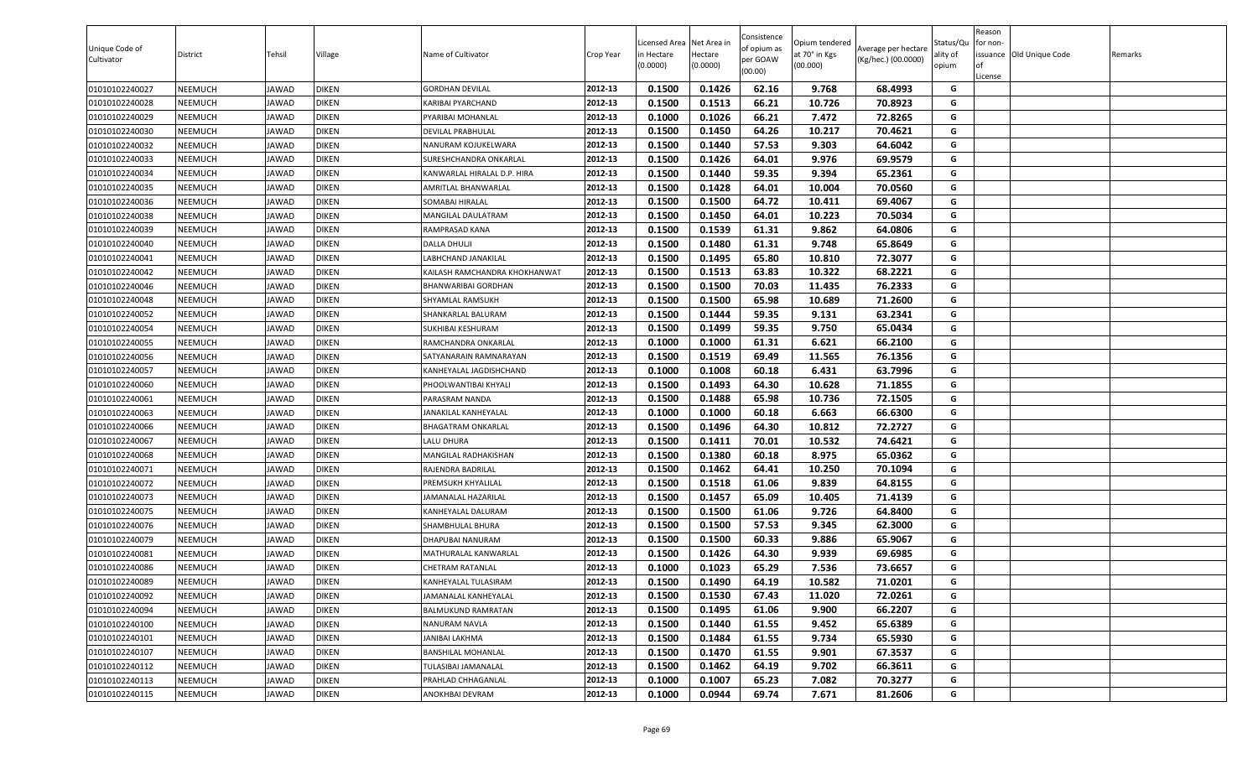| Unique Code of<br>Cultivator | District       | Tehsil       | Village      | Name of Cultivator            | Crop Year | Licensed Area Net Area in<br>n Hectare<br>(0.0000) | Hectare<br>(0.0000) | Consistence<br>of opium as<br>per GOAW<br>(00.00) | Opium tendered<br>at 70° in Kgs<br>(00.000) | Average per hectare<br>(Kg/hec.) (00.0000) | Status/Qu<br>ality of<br>opium | Reason<br>for non-<br>of<br>License | issuance Old Unique Code | Remarks |
|------------------------------|----------------|--------------|--------------|-------------------------------|-----------|----------------------------------------------------|---------------------|---------------------------------------------------|---------------------------------------------|--------------------------------------------|--------------------------------|-------------------------------------|--------------------------|---------|
| 01010102240027               | NEEMUCH        | JAWAD        | <b>DIKEN</b> | <b>GORDHAN DEVILAL</b>        | 2012-13   | 0.1500                                             | 0.1426              | 62.16                                             | 9.768                                       | 68.4993                                    | G                              |                                     |                          |         |
| 01010102240028               | NEEMUCH        | <b>JAWAD</b> | <b>DIKEN</b> | KARIBAI PYARCHAND             | 2012-13   | 0.1500                                             | 0.1513              | 66.21                                             | 10.726                                      | 70.8923                                    | G                              |                                     |                          |         |
| 01010102240029               | NEEMUCH        | <b>JAWAD</b> | <b>DIKEN</b> | PYARIBAI MOHANLAL             | 2012-13   | 0.1000                                             | 0.1026              | 66.21                                             | 7.472                                       | 72.8265                                    | G                              |                                     |                          |         |
| 01010102240030               | NEEMUCH        | <b>JAWAD</b> | <b>DIKEN</b> | DEVILAL PRABHULAL             | 2012-13   | 0.1500                                             | 0.1450              | 64.26                                             | 10.217                                      | 70.4621                                    | G                              |                                     |                          |         |
| 01010102240032               | NEEMUCH        | <b>JAWAD</b> | <b>DIKEN</b> | NANURAM KOJUKELWARA           | 2012-13   | 0.1500                                             | 0.1440              | 57.53                                             | 9.303                                       | 64.6042                                    | G                              |                                     |                          |         |
| 01010102240033               | NEEMUCH        | <b>JAWAD</b> | <b>DIKEN</b> | SURESHCHANDRA ONKARLAL        | 2012-13   | 0.1500                                             | 0.1426              | 64.01                                             | 9.976                                       | 69.9579                                    | G                              |                                     |                          |         |
| 01010102240034               | NEEMUCH        | <b>JAWAD</b> | <b>DIKEN</b> | KANWARLAL HIRALAL D.P. HIRA   | 2012-13   | 0.1500                                             | 0.1440              | 59.35                                             | 9.394                                       | 65.2361                                    | G                              |                                     |                          |         |
| 01010102240035               | NEEMUCH        | <b>JAWAD</b> | <b>DIKEN</b> | AMRITLAL BHANWARLAL           | 2012-13   | 0.1500                                             | 0.1428              | 64.01                                             | 10.004                                      | 70.0560                                    | G                              |                                     |                          |         |
| 01010102240036               | NEEMUCH        | <b>JAWAD</b> | <b>DIKEN</b> | SOMABAI HIRALAL               | 2012-13   | 0.1500                                             | 0.1500              | 64.72                                             | 10.411                                      | 69.4067                                    | G                              |                                     |                          |         |
| 01010102240038               | NEEMUCH        | <b>JAWAD</b> | <b>DIKEN</b> | MANGILAL DAULATRAM            | 2012-13   | 0.1500                                             | 0.1450              | 64.01                                             | 10.223                                      | 70.5034                                    | G                              |                                     |                          |         |
| 01010102240039               | NEEMUCH        | <b>JAWAD</b> | <b>DIKEN</b> | RAMPRASAD KANA                | 2012-13   | 0.1500                                             | 0.1539              | 61.31                                             | 9.862                                       | 64.0806                                    | G                              |                                     |                          |         |
| 01010102240040               | NEEMUCH        | <b>JAWAD</b> | <b>DIKEN</b> | DALLA DHULJI                  | 2012-13   | 0.1500                                             | 0.1480              | 61.31                                             | 9.748                                       | 65.8649                                    | G                              |                                     |                          |         |
| 01010102240041               | NEEMUCH        | <b>JAWAD</b> | <b>DIKEN</b> | LABHCHAND JANAKILAL           | 2012-13   | 0.1500                                             | 0.1495              | 65.80                                             | 10.810                                      | 72.3077                                    | G                              |                                     |                          |         |
| 01010102240042               | NEEMUCH        | <b>JAWAD</b> | <b>DIKEN</b> | KAILASH RAMCHANDRA KHOKHANWAT | 2012-13   | 0.1500                                             | 0.1513              | 63.83                                             | 10.322                                      | 68.2221                                    | G                              |                                     |                          |         |
| 01010102240046               | NEEMUCH        | <b>JAWAD</b> | <b>DIKEN</b> | <b>BHANWARIBAI GORDHAN</b>    | 2012-13   | 0.1500                                             | 0.1500              | 70.03                                             | 11.435                                      | 76.2333                                    | G                              |                                     |                          |         |
| 01010102240048               | NEEMUCH        | <b>JAWAD</b> | <b>DIKEN</b> | SHYAMLAL RAMSUKH              | 2012-13   | 0.1500                                             | 0.1500              | 65.98                                             | 10.689                                      | 71.2600                                    | G                              |                                     |                          |         |
| 01010102240052               | NEEMUCH        | <b>JAWAD</b> | <b>DIKEN</b> | SHANKARLAL BALURAM            | 2012-13   | 0.1500                                             | 0.1444              | 59.35                                             | 9.131                                       | 63.2341                                    | G                              |                                     |                          |         |
| 01010102240054               | NEEMUCH        | <b>JAWAD</b> | <b>DIKEN</b> | SUKHIBAI KESHURAM             | 2012-13   | 0.1500                                             | 0.1499              | 59.35                                             | 9.750                                       | 65.0434                                    | G                              |                                     |                          |         |
| 01010102240055               | NEEMUCH        | <b>JAWAD</b> | <b>DIKEN</b> | RAMCHANDRA ONKARLAL           | 2012-13   | 0.1000                                             | 0.1000              | 61.31                                             | 6.621                                       | 66.2100                                    | G                              |                                     |                          |         |
| 01010102240056               | NEEMUCH        | <b>JAWAD</b> | <b>DIKEN</b> | SATYANARAIN RAMNARAYAN        | 2012-13   | 0.1500                                             | 0.1519              | 69.49                                             | 11.565                                      | 76.1356                                    | G                              |                                     |                          |         |
| 01010102240057               | NEEMUCH        | <b>JAWAD</b> | <b>DIKEN</b> | KANHEYALAL JAGDISHCHAND       | 2012-13   | 0.1000                                             | 0.1008              | 60.18                                             | 6.431                                       | 63.7996                                    | G                              |                                     |                          |         |
| 01010102240060               | NEEMUCH        | <b>JAWAD</b> | <b>DIKEN</b> | PHOOLWANTIBAI KHYALI          | 2012-13   | 0.1500                                             | 0.1493              | 64.30                                             | 10.628                                      | 71.1855                                    | G                              |                                     |                          |         |
| 01010102240061               | NEEMUCH        | <b>JAWAD</b> | <b>DIKEN</b> | PARASRAM NANDA                | 2012-13   | 0.1500                                             | 0.1488              | 65.98                                             | 10.736                                      | 72.1505                                    | G                              |                                     |                          |         |
| 01010102240063               | NEEMUCH        | <b>JAWAD</b> | <b>DIKEN</b> | JANAKILAL KANHEYALAL          | 2012-13   | 0.1000                                             | 0.1000              | 60.18                                             | 6.663                                       | 66.6300                                    | G                              |                                     |                          |         |
| 01010102240066               | NEEMUCH        | <b>JAWAD</b> | <b>DIKEN</b> | <b>BHAGATRAM ONKARLAL</b>     | 2012-13   | 0.1500                                             | 0.1496              | 64.30                                             | 10.812                                      | 72.2727                                    | G                              |                                     |                          |         |
| 01010102240067               | NEEMUCH        | <b>JAWAD</b> | <b>DIKEN</b> | LALU DHURA                    | 2012-13   | 0.1500                                             | 0.1411              | 70.01                                             | 10.532                                      | 74.6421                                    | G                              |                                     |                          |         |
| 01010102240068               | NEEMUCH        | <b>JAWAD</b> | <b>DIKEN</b> | MANGILAL RADHAKISHAN          | 2012-13   | 0.1500                                             | 0.1380              | 60.18                                             | 8.975                                       | 65.0362                                    | G                              |                                     |                          |         |
| 01010102240071               | NEEMUCH        | <b>JAWAD</b> | <b>DIKEN</b> | RAJENDRA BADRILAL             | 2012-13   | 0.1500                                             | 0.1462              | 64.41                                             | 10.250                                      | 70.1094                                    | G                              |                                     |                          |         |
| 01010102240072               | NEEMUCH        | <b>JAWAD</b> | <b>DIKEN</b> | PREMSUKH KHYALILAL            | 2012-13   | 0.1500                                             | 0.1518              | 61.06                                             | 9.839                                       | 64.8155                                    | G                              |                                     |                          |         |
| 01010102240073               | <b>NEEMUCH</b> | <b>JAWAD</b> | <b>DIKEN</b> | JAMANALAL HAZARILAL           | 2012-13   | 0.1500                                             | 0.1457              | 65.09                                             | 10.405                                      | 71.4139                                    | G                              |                                     |                          |         |
| 01010102240075               | <b>NEEMUCH</b> | <b>JAWAD</b> | <b>DIKEN</b> | KANHEYALAL DALURAM            | 2012-13   | 0.1500                                             | 0.1500              | 61.06                                             | 9.726                                       | 64.8400                                    | G                              |                                     |                          |         |
| 01010102240076               | <b>NEEMUCH</b> | <b>JAWAD</b> | <b>DIKEN</b> | SHAMBHULAL BHURA              | 2012-13   | 0.1500                                             | 0.1500              | 57.53                                             | 9.345                                       | 62.3000                                    | G                              |                                     |                          |         |
| 01010102240079               | NEEMUCH        | <b>JAWAD</b> | <b>DIKEN</b> | DHAPUBAI NANURAM              | 2012-13   | 0.1500                                             | 0.1500              | 60.33                                             | 9.886                                       | 65.9067                                    | G                              |                                     |                          |         |
| 01010102240081               | NEEMUCH        | <b>JAWAD</b> | <b>DIKEN</b> | MATHURALAL KANWARLAL          | 2012-13   | 0.1500                                             | 0.1426              | 64.30                                             | 9.939                                       | 69.6985                                    | G                              |                                     |                          |         |
| 01010102240086               | NEEMUCH        | <b>JAWAD</b> | <b>DIKEN</b> | <b>CHETRAM RATANLAL</b>       | 2012-13   | 0.1000                                             | 0.1023              | 65.29                                             | 7.536                                       | 73.6657                                    | G                              |                                     |                          |         |
| 01010102240089               | NEEMUCH        | <b>JAWAD</b> | <b>DIKEN</b> | KANHEYALAL TULASIRAM          | 2012-13   | 0.1500                                             | 0.1490              | 64.19                                             | 10.582                                      | 71.0201                                    | G                              |                                     |                          |         |
| 01010102240092               | NEEMUCH        | <b>JAWAD</b> | <b>DIKEN</b> | JAMANALAL KANHEYALAL          | 2012-13   | 0.1500                                             | 0.1530              | 67.43                                             | 11.020                                      | 72.0261                                    | G                              |                                     |                          |         |
| 01010102240094               | NEEMUCH        | <b>JAWAD</b> | <b>DIKEN</b> | BALMUKUND RAMRATAN            | 2012-13   | 0.1500                                             | 0.1495              | 61.06                                             | 9.900                                       | 66.2207                                    | G                              |                                     |                          |         |
| 01010102240100               | NEEMUCH        | <b>JAWAD</b> | <b>DIKEN</b> | <b>NANURAM NAVLA</b>          | 2012-13   | 0.1500                                             | 0.1440              | 61.55                                             | 9.452                                       | 65.6389                                    | G                              |                                     |                          |         |
| 01010102240101               | <b>NEEMUCH</b> | <b>JAWAD</b> | <b>DIKEN</b> | JANIBAI LAKHMA                | 2012-13   | 0.1500                                             | 0.1484              | 61.55                                             | 9.734                                       | 65.5930                                    | G                              |                                     |                          |         |
| 01010102240107               | <b>NEEMUCH</b> | <b>JAWAD</b> | <b>DIKEN</b> | <b>BANSHILAL MOHANLAL</b>     | 2012-13   | 0.1500                                             | 0.1470              | 61.55                                             | 9.901                                       | 67.3537                                    | G                              |                                     |                          |         |
| 01010102240112               | NEEMUCH        | <b>JAWAD</b> | <b>DIKEN</b> | TULASIBAI JAMANALAL           | 2012-13   | 0.1500                                             | 0.1462              | 64.19                                             | 9.702                                       | 66.3611                                    | G                              |                                     |                          |         |
| 01010102240113               | NEEMUCH        | <b>JAWAD</b> | <b>DIKEN</b> | PRAHLAD CHHAGANLAL            | 2012-13   | 0.1000                                             | 0.1007              | 65.23                                             | 7.082                                       | 70.3277                                    | G                              |                                     |                          |         |
| 01010102240115               | NEEMUCH        | <b>JAWAD</b> | <b>DIKEN</b> | ANOKHBAI DEVRAM               | 2012-13   | 0.1000                                             | 0.0944              | 69.74                                             | 7.671                                       | 81.2606                                    | G                              |                                     |                          |         |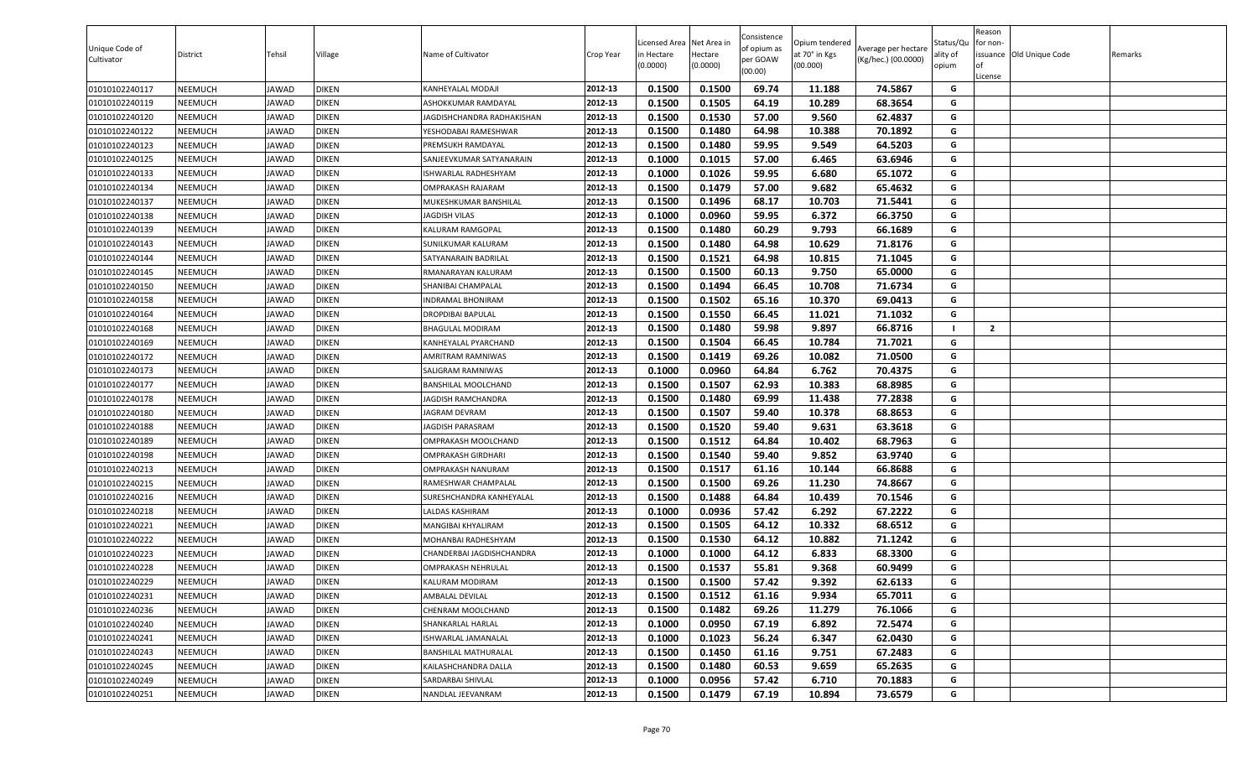| Unique Code of<br>Cultivator | District       | Tehsil       | Village      | Name of Cultivator         | Crop Year | Licensed Area<br>n Hectare<br>(0.0000) | Net Area in<br>Hectare<br>(0.0000) | Consistence<br>of opium as<br>per GOAW<br>(00.00) | Opium tendered<br>at 70° in Kgs<br>(00.000) | Average per hectare<br>(Kg/hec.) (00.0000) | Status/Qu<br>ality of<br>opium | Reason<br>or non-<br>of<br>License | issuance Old Unique Code | Remarks |
|------------------------------|----------------|--------------|--------------|----------------------------|-----------|----------------------------------------|------------------------------------|---------------------------------------------------|---------------------------------------------|--------------------------------------------|--------------------------------|------------------------------------|--------------------------|---------|
| 01010102240117               | NEEMUCH        | <b>JAWAD</b> | <b>DIKEN</b> | KANHEYALAL MODAJI          | 2012-13   | 0.1500                                 | 0.1500                             | 69.74                                             | 11.188                                      | 74.5867                                    | G                              |                                    |                          |         |
| 01010102240119               | NEEMUCH        | <b>JAWAD</b> | <b>DIKEN</b> | ASHOKKUMAR RAMDAYAL        | 2012-13   | 0.1500                                 | 0.1505                             | 64.19                                             | 10.289                                      | 68.3654                                    | G                              |                                    |                          |         |
| 01010102240120               | NEEMUCH        | <b>JAWAD</b> | <b>DIKEN</b> | JAGDISHCHANDRA RADHAKISHAN | 2012-13   | 0.1500                                 | 0.1530                             | 57.00                                             | 9.560                                       | 62.4837                                    | G                              |                                    |                          |         |
| 01010102240122               | NEEMUCH        | JAWAD        | <b>DIKEN</b> | YESHODABAI RAMESHWAR       | 2012-13   | 0.1500                                 | 0.1480                             | 64.98                                             | 10.388                                      | 70.1892                                    | G                              |                                    |                          |         |
| 01010102240123               | NEEMUCH        | <b>JAWAD</b> | <b>DIKEN</b> | PREMSUKH RAMDAYAL          | 2012-13   | 0.1500                                 | 0.1480                             | 59.95                                             | 9.549                                       | 64.5203                                    | G                              |                                    |                          |         |
| 01010102240125               | NEEMUCH        | <b>JAWAD</b> | <b>DIKEN</b> | SANJEEVKUMAR SATYANARAIN   | 2012-13   | 0.1000                                 | 0.1015                             | 57.00                                             | 6.465                                       | 63.6946                                    | G                              |                                    |                          |         |
| 01010102240133               | NEEMUCH        | <b>JAWAD</b> | <b>DIKEN</b> | ISHWARLAL RADHESHYAM       | 2012-13   | 0.1000                                 | 0.1026                             | 59.95                                             | 6.680                                       | 65.1072                                    | G                              |                                    |                          |         |
| 01010102240134               | NEEMUCH        | <b>JAWAD</b> | <b>DIKEN</b> | <b>OMPRAKASH RAJARAM</b>   | 2012-13   | 0.1500                                 | 0.1479                             | 57.00                                             | 9.682                                       | 65.4632                                    | G                              |                                    |                          |         |
| 01010102240137               | NEEMUCH        | <b>JAWAD</b> | <b>DIKEN</b> | MUKESHKUMAR BANSHILAL      | 2012-13   | 0.1500                                 | 0.1496                             | 68.17                                             | 10.703                                      | 71.5441                                    | G                              |                                    |                          |         |
| 01010102240138               | NEEMUCH        | <b>JAWAD</b> | <b>DIKEN</b> | JAGDISH VILAS              | 2012-13   | 0.1000                                 | 0.0960                             | 59.95                                             | 6.372                                       | 66.3750                                    | G                              |                                    |                          |         |
| 01010102240139               | NEEMUCH        | <b>JAWAD</b> | <b>DIKEN</b> | KALURAM RAMGOPAL           | 2012-13   | 0.1500                                 | 0.1480                             | 60.29                                             | 9.793                                       | 66.1689                                    | G                              |                                    |                          |         |
| 01010102240143               | NEEMUCH        | <b>JAWAD</b> | <b>DIKEN</b> | SUNILKUMAR KALURAM         | 2012-13   | 0.1500                                 | 0.1480                             | 64.98                                             | 10.629                                      | 71.8176                                    | G                              |                                    |                          |         |
| 01010102240144               | NEEMUCH        | <b>JAWAD</b> | <b>DIKEN</b> | SATYANARAIN BADRILAL       | 2012-13   | 0.1500                                 | 0.1521                             | 64.98                                             | 10.815                                      | 71.1045                                    | G                              |                                    |                          |         |
| 01010102240145               | NEEMUCH        | <b>JAWAD</b> | <b>DIKEN</b> | RMANARAYAN KALURAM         | 2012-13   | 0.1500                                 | 0.1500                             | 60.13                                             | 9.750                                       | 65.0000                                    | G                              |                                    |                          |         |
| 01010102240150               | <b>NEEMUCH</b> | <b>JAWAD</b> | <b>DIKEN</b> | SHANIBAI CHAMPALAL         | 2012-13   | 0.1500                                 | 0.1494                             | 66.45                                             | 10.708                                      | 71.6734                                    | G                              |                                    |                          |         |
| 01010102240158               | NEEMUCH        | <b>JAWAD</b> | <b>DIKEN</b> | INDRAMAL BHONIRAM          | 2012-13   | 0.1500                                 | 0.1502                             | 65.16                                             | 10.370                                      | 69.0413                                    | G                              |                                    |                          |         |
| 01010102240164               | NEEMUCH        | <b>JAWAD</b> | <b>DIKEN</b> | <b>DROPDIBAI BAPULAL</b>   | 2012-13   | 0.1500                                 | 0.1550                             | 66.45                                             | 11.021                                      | 71.1032                                    | G                              |                                    |                          |         |
| 01010102240168               | NEEMUCH        | <b>JAWAD</b> | <b>DIKEN</b> | <b>BHAGULAL MODIRAM</b>    | 2012-13   | 0.1500                                 | 0.1480                             | 59.98                                             | 9.897                                       | 66.8716                                    | -1                             | $\overline{2}$                     |                          |         |
| 01010102240169               | NEEMUCH        | <b>JAWAD</b> | <b>DIKEN</b> | KANHEYALAL PYARCHAND       | 2012-13   | 0.1500                                 | 0.1504                             | 66.45                                             | 10.784                                      | 71.7021                                    | G                              |                                    |                          |         |
| 01010102240172               | NEEMUCH        | <b>JAWAD</b> | <b>DIKEN</b> | AMRITRAM RAMNIWAS          | 2012-13   | 0.1500                                 | 0.1419                             | 69.26                                             | 10.082                                      | 71.0500                                    | G                              |                                    |                          |         |
| 01010102240173               | NEEMUCH        | <b>JAWAD</b> | <b>DIKEN</b> | SALIGRAM RAMNIWAS          | 2012-13   | 0.1000                                 | 0.0960                             | 64.84                                             | 6.762                                       | 70.4375                                    | G                              |                                    |                          |         |
| 01010102240177               | NEEMUCH        | <b>JAWAD</b> | <b>DIKEN</b> | <b>BANSHILAL MOOLCHAND</b> | 2012-13   | 0.1500                                 | 0.1507                             | 62.93                                             | 10.383                                      | 68.8985                                    | G                              |                                    |                          |         |
| 01010102240178               | NEEMUCH        | <b>JAWAD</b> | <b>DIKEN</b> | JAGDISH RAMCHANDRA         | 2012-13   | 0.1500                                 | 0.1480                             | 69.99                                             | 11.438                                      | 77.2838                                    | G                              |                                    |                          |         |
| 01010102240180               | NEEMUCH        | <b>JAWAD</b> | <b>DIKEN</b> | JAGRAM DEVRAM              | 2012-13   | 0.1500                                 | 0.1507                             | 59.40                                             | 10.378                                      | 68.8653                                    | G                              |                                    |                          |         |
| 01010102240188               | NEEMUCH        | <b>JAWAD</b> | <b>DIKEN</b> | JAGDISH PARASRAM           | 2012-13   | 0.1500                                 | 0.1520                             | 59.40                                             | 9.631                                       | 63.3618                                    | G                              |                                    |                          |         |
| 01010102240189               | NEEMUCH        | <b>JAWAD</b> | <b>DIKEN</b> | OMPRAKASH MOOLCHAND        | 2012-13   | 0.1500                                 | 0.1512                             | 64.84                                             | 10.402                                      | 68.7963                                    | G                              |                                    |                          |         |
| 01010102240198               | NEEMUCH        | <b>JAWAD</b> | <b>DIKEN</b> | <b>OMPRAKASH GIRDHARI</b>  | 2012-13   | 0.1500                                 | 0.1540                             | 59.40                                             | 9.852                                       | 63.9740                                    | G                              |                                    |                          |         |
| 01010102240213               | NEEMUCH        | <b>JAWAD</b> | <b>DIKEN</b> | OMPRAKASH NANURAM          | 2012-13   | 0.1500                                 | 0.1517                             | 61.16                                             | 10.144                                      | 66.8688                                    | G                              |                                    |                          |         |
| 01010102240215               | NEEMUCH        | <b>JAWAD</b> | <b>DIKEN</b> | RAMESHWAR CHAMPALAL        | 2012-13   | 0.1500                                 | 0.1500                             | 69.26                                             | 11.230                                      | 74.8667                                    | G                              |                                    |                          |         |
| 01010102240216               | NEEMUCH        | <b>JAWAD</b> | <b>DIKEN</b> | SURESHCHANDRA KANHEYALAL   | 2012-13   | 0.1500                                 | 0.1488                             | 64.84                                             | 10.439                                      | 70.1546                                    | G                              |                                    |                          |         |
| 01010102240218               | NEEMUCH        | <b>JAWAD</b> | <b>DIKEN</b> | <b>LALDAS KASHIRAM</b>     | 2012-13   | 0.1000                                 | 0.0936                             | 57.42                                             | 6.292                                       | 67.2222                                    | G                              |                                    |                          |         |
| 01010102240221               | NEEMUCH        | <b>JAWAD</b> | <b>DIKEN</b> | MANGIBAI KHYALIRAM         | 2012-13   | 0.1500                                 | 0.1505                             | 64.12                                             | 10.332                                      | 68.6512                                    | G                              |                                    |                          |         |
| 01010102240222               | NEEMUCH        | <b>JAWAD</b> | <b>DIKEN</b> | MOHANBAI RADHESHYAM        | 2012-13   | 0.1500                                 | 0.1530                             | 64.12                                             | 10.882                                      | 71.1242                                    | G                              |                                    |                          |         |
| 01010102240223               | NEEMUCH        | <b>JAWAD</b> | <b>DIKEN</b> | CHANDERBAI JAGDISHCHANDRA  | 2012-13   | 0.1000                                 | 0.1000                             | 64.12                                             | 6.833                                       | 68.3300                                    | G                              |                                    |                          |         |
| 01010102240228               | NEEMUCH        | <b>JAWAD</b> | <b>DIKEN</b> | <b>OMPRAKASH NEHRULAL</b>  | 2012-13   | 0.1500                                 | 0.1537                             | 55.81                                             | 9.368                                       | 60.9499                                    | G                              |                                    |                          |         |
| 01010102240229               | NEEMUCH        | <b>JAWAD</b> | <b>DIKEN</b> | KALURAM MODIRAM            | 2012-13   | 0.1500                                 | 0.1500                             | 57.42                                             | 9.392                                       | 62.6133                                    | G                              |                                    |                          |         |
| 01010102240231               | NEEMUCH        | <b>JAWAD</b> | <b>DIKEN</b> | AMBALAL DEVILAL            | 2012-13   | 0.1500                                 | 0.1512                             | 61.16                                             | 9.934                                       | 65.7011                                    | G                              |                                    |                          |         |
| 01010102240236               | NEEMUCH        | <b>JAWAD</b> | <b>DIKEN</b> | CHENRAM MOOLCHAND          | 2012-13   | 0.1500                                 | 0.1482                             | 69.26                                             | 11.279                                      | 76.1066                                    | G                              |                                    |                          |         |
| 01010102240240               | <b>NEEMUCH</b> | <b>JAWAD</b> | <b>DIKEN</b> | SHANKARLAL HARLAL          | 2012-13   | 0.1000                                 | 0.0950                             | 67.19                                             | 6.892                                       | 72.5474                                    | G                              |                                    |                          |         |
| 01010102240241               | <b>NEEMUCH</b> | <b>JAWAD</b> | <b>DIKEN</b> | ISHWARLAL JAMANALAL        | 2012-13   | 0.1000                                 | 0.1023                             | 56.24                                             | 6.347                                       | 62.0430                                    | G                              |                                    |                          |         |
| 01010102240243               | <b>NEEMUCH</b> | <b>JAWAD</b> | <b>DIKEN</b> | BANSHILAL MATHURALAL       | 2012-13   | 0.1500                                 | 0.1450                             | 61.16                                             | 9.751                                       | 67.2483                                    | G                              |                                    |                          |         |
| 01010102240245               | NEEMUCH        | <b>JAWAD</b> | <b>DIKEN</b> | KAILASHCHANDRA DALLA       | 2012-13   | 0.1500                                 | 0.1480                             | 60.53                                             | 9.659                                       | 65.2635                                    | G                              |                                    |                          |         |
| 01010102240249               | NEEMUCH        | <b>JAWAD</b> | <b>DIKEN</b> | SARDARBAI SHIVLAL          | 2012-13   | 0.1000                                 | 0.0956                             | 57.42                                             | 6.710                                       | 70.1883                                    | G                              |                                    |                          |         |
| 01010102240251               | NEEMUCH        | <b>JAWAD</b> | <b>DIKEN</b> | NANDLAL JEEVANRAM          | 2012-13   | 0.1500                                 | 0.1479                             | 67.19                                             | 10.894                                      | 73.6579                                    | G                              |                                    |                          |         |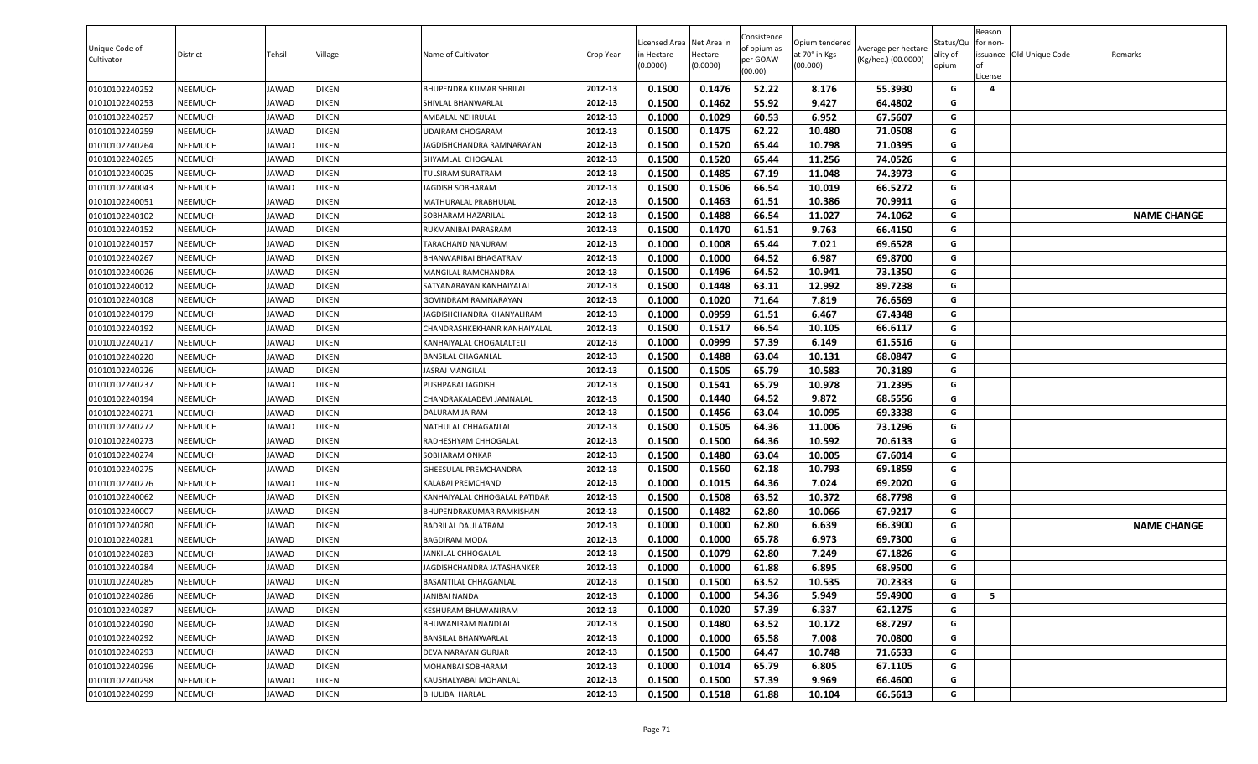| Unique Code of<br>Cultivator | District | Tehsil       | Village      | Name of Cultivator             | Crop Year | .icensed Area<br>in Hectare<br>(0.0000) | Net Area in<br>Hectare<br>(0.0000) | Consistence<br>of opium as<br>per GOAW<br>(00.00) | Opium tendered<br>at 70° in Kgs<br>(00.000) | Average per hectare<br>(Kg/hec.) (00.0000) | Status/Qu<br>ality of<br>opium | Reason<br>for non-<br><b>of</b><br>License | issuance Old Unique Code | Remarks            |
|------------------------------|----------|--------------|--------------|--------------------------------|-----------|-----------------------------------------|------------------------------------|---------------------------------------------------|---------------------------------------------|--------------------------------------------|--------------------------------|--------------------------------------------|--------------------------|--------------------|
| 01010102240252               | NEEMUCH  | JAWAD        | DIKEN        | <b>BHUPENDRA KUMAR SHRILAL</b> | 2012-13   | 0.1500                                  | 0.1476                             | 52.22                                             | 8.176                                       | 55.3930                                    | G                              | $\overline{\mathbf{4}}$                    |                          |                    |
| 01010102240253               | NEEMUCH  | JAWAD        | DIKEN        | SHIVLAL BHANWARLAL             | 2012-13   | 0.1500                                  | 0.1462                             | 55.92                                             | 9.427                                       | 64.4802                                    | G                              |                                            |                          |                    |
| 01010102240257               | NEEMUCH  | JAWAD        | DIKEN        | <b>AMBALAL NEHRULAL</b>        | 2012-13   | 0.1000                                  | 0.1029                             | 60.53                                             | 6.952                                       | 67.5607                                    | G                              |                                            |                          |                    |
| 01010102240259               | NEEMUCH  | JAWAD        | DIKEN        | JDAIRAM CHOGARAM               | 2012-13   | 0.1500                                  | 0.1475                             | 62.22                                             | 10.480                                      | 71.0508                                    | G                              |                                            |                          |                    |
| 01010102240264               | NEEMUCH  | JAWAD        | DIKEN        | AGDISHCHANDRA RAMNARAYAN       | 2012-13   | 0.1500                                  | 0.1520                             | 65.44                                             | 10.798                                      | 71.0395                                    | G                              |                                            |                          |                    |
| 01010102240265               | NEEMUCH  | <b>IAWAD</b> | <b>DIKEN</b> | SHYAMLAL CHOGALAL              | 2012-13   | 0.1500                                  | 0.1520                             | 65.44                                             | 11.256                                      | 74.0526                                    | G                              |                                            |                          |                    |
| 01010102240025               | NEEMUCH  | <b>IAWAD</b> | <b>DIKEN</b> | TULSIRAM SURATRAM              | 2012-13   | 0.1500                                  | 0.1485                             | 67.19                                             | 11.048                                      | 74.3973                                    | G                              |                                            |                          |                    |
| 01010102240043               | NEEMUCH  | JAWAD        | <b>DIKEN</b> | JAGDISH SOBHARAM               | 2012-13   | 0.1500                                  | 0.1506                             | 66.54                                             | 10.019                                      | 66.5272                                    | G                              |                                            |                          |                    |
| 01010102240051               | NEEMUCH  | JAWAD        | <b>DIKEN</b> | MATHURALAL PRABHULAL           | 2012-13   | 0.1500                                  | 0.1463                             | 61.51                                             | 10.386                                      | 70.9911                                    | G                              |                                            |                          |                    |
| 01010102240102               | NEEMUCH  | JAWAD        | <b>DIKEN</b> | SOBHARAM HAZARILAL             | 2012-13   | 0.1500                                  | 0.1488                             | 66.54                                             | 11.027                                      | 74.1062                                    | G                              |                                            |                          | <b>NAME CHANGE</b> |
| 01010102240152               | NEEMUCH  | JAWAD        | DIKEN        | RUKMANIBAI PARASRAM            | 2012-13   | 0.1500                                  | 0.1470                             | 61.51                                             | 9.763                                       | 66.4150                                    | G                              |                                            |                          |                    |
| 01010102240157               | NEEMUCH  | JAWAD        | DIKEN        | FARACHAND NANURAM              | 2012-13   | 0.1000                                  | 0.1008                             | 65.44                                             | 7.021                                       | 69.6528                                    | G                              |                                            |                          |                    |
| 01010102240267               | NEEMUCH  | JAWAD        | <b>DIKEN</b> | BHANWARIBAI BHAGATRAM          | 2012-13   | 0.1000                                  | 0.1000                             | 64.52                                             | 6.987                                       | 69.8700                                    | G                              |                                            |                          |                    |
| 01010102240026               | NEEMUCH  | <b>IAWAD</b> | <b>DIKEN</b> | MANGILAL RAMCHANDRA            | 2012-13   | 0.1500                                  | 0.1496                             | 64.52                                             | 10.941                                      | 73.1350                                    | G                              |                                            |                          |                    |
| 01010102240012               | NEEMUCH  | JAWAD        | <b>DIKEN</b> | SATYANARAYAN KANHAIYALAL       | 2012-13   | 0.1500                                  | 0.1448                             | 63.11                                             | 12.992                                      | 89.7238                                    | G                              |                                            |                          |                    |
| 01010102240108               | NEEMUCH  | JAWAD        | <b>DIKEN</b> | GOVINDRAM RAMNARAYAN           | 2012-13   | 0.1000                                  | 0.1020                             | 71.64                                             | 7.819                                       | 76.6569                                    | G                              |                                            |                          |                    |
| 01010102240179               | NEEMUCH  | JAWAD        | <b>DIKEN</b> | JAGDISHCHANDRA KHANYALIRAM     | 2012-13   | 0.1000                                  | 0.0959                             | 61.51                                             | 6.467                                       | 67.4348                                    | G                              |                                            |                          |                    |
| 01010102240192               | NEEMUCH  | JAWAD        | DIKEN        | CHANDRASHKEKHANR KANHAIYALAL   | 2012-13   | 0.1500                                  | 0.1517                             | 66.54                                             | 10.105                                      | 66.6117                                    | G                              |                                            |                          |                    |
| 01010102240217               | NEEMUCH  | JAWAD        | DIKEN        | KANHAIYALAL CHOGALALTEL        | 2012-13   | 0.1000                                  | 0.0999                             | 57.39                                             | 6.149                                       | 61.5516                                    | G                              |                                            |                          |                    |
| 01010102240220               | NEEMUCH  | JAWAD        | DIKEN        | BANSILAL CHAGANLAL             | 2012-13   | 0.1500                                  | 0.1488                             | 63.04                                             | 10.131                                      | 68.0847                                    | G                              |                                            |                          |                    |
| 01010102240226               | NEEMUCH  | JAWAD        | DIKEN        | ASRAJ MANGILAL                 | 2012-13   | 0.1500                                  | 0.1505                             | 65.79                                             | 10.583                                      | 70.3189                                    | G                              |                                            |                          |                    |
| 01010102240237               | NEEMUCH  | JAWAD        | DIKEN        | PUSHPABAI JAGDISH              | 2012-13   | 0.1500                                  | 0.1541                             | 65.79                                             | 10.978                                      | 71.2395                                    | G                              |                                            |                          |                    |
| 01010102240194               | NEEMUCH  | <b>IAWAD</b> | <b>DIKEN</b> | CHANDRAKALADEVI JAMNALAL       | 2012-13   | 0.1500                                  | 0.1440                             | 64.52                                             | 9.872                                       | 68.5556                                    | G                              |                                            |                          |                    |
| 01010102240271               | NEEMUCH  | JAWAD        | DIKEN        | DALURAM JAIRAM                 | 2012-13   | 0.1500                                  | 0.1456                             | 63.04                                             | 10.095                                      | 69.3338                                    | G                              |                                            |                          |                    |
| 01010102240272               | NEEMUCH  | JAWAD        | <b>DIKEN</b> | NATHULAL CHHAGANLAL            | 2012-13   | 0.1500                                  | 0.1505                             | 64.36                                             | 11.006                                      | 73.1296                                    | G                              |                                            |                          |                    |
| 01010102240273               | NEEMUCH  | JAWAD        | DIKEN        | RADHESHYAM CHHOGALAL           | 2012-13   | 0.1500                                  | 0.1500                             | 64.36                                             | 10.592                                      | 70.6133                                    | G                              |                                            |                          |                    |
| 01010102240274               | NEEMUCH  | <b>IAWAD</b> | DIKEN        | <b>SOBHARAM ONKAR</b>          | 2012-13   | 0.1500                                  | 0.1480                             | 63.04                                             | 10.005                                      | 67.6014                                    | G                              |                                            |                          |                    |
| 01010102240275               | NEEMUCH  | JAWAD        | DIKEN        | <b>GHEESULAL PREMCHANDRA</b>   | 2012-13   | 0.1500                                  | 0.1560                             | 62.18                                             | 10.793                                      | 69.1859                                    | G                              |                                            |                          |                    |
| 01010102240276               | NEEMUCH  | JAWAD        | DIKEN        | KALABAI PREMCHAND              | 2012-13   | 0.1000                                  | 0.1015                             | 64.36                                             | 7.024                                       | 69.2020                                    | G                              |                                            |                          |                    |
| 01010102240062               | NEEMUCH  | JAWAD        | <b>DIKEN</b> | KANHAIYALAL CHHOGALAL PATIDAR  | 2012-13   | 0.1500                                  | 0.1508                             | 63.52                                             | 10.372                                      | 68.7798                                    | G                              |                                            |                          |                    |
| 01010102240007               | NEEMUCH  | <b>IAWAD</b> | <b>DIKEN</b> | BHUPENDRAKUMAR RAMKISHAN       | 2012-13   | 0.1500                                  | 0.1482                             | 62.80                                             | 10.066                                      | 67.9217                                    | G                              |                                            |                          |                    |
| 01010102240280               | NEEMUCH  | JAWAD        | <b>DIKEN</b> | BADRILAL DAULATRAM             | 2012-13   | 0.1000                                  | 0.1000                             | 62.80                                             | 6.639                                       | 66.3900                                    | G                              |                                            |                          | <b>NAME CHANGE</b> |
| 01010102240281               | NEEMUCH  | JAWAD        | <b>DIKEN</b> | BAGDIRAM MODA                  | 2012-13   | 0.1000                                  | 0.1000                             | 65.78                                             | 6.973                                       | 69.7300                                    | G                              |                                            |                          |                    |
| 01010102240283               | NEEMUCH  | JAWAD        | DIKEN        | JANKILAL CHHOGALAL             | 2012-13   | 0.1500                                  | 0.1079                             | 62.80                                             | 7.249                                       | 67.1826                                    | G                              |                                            |                          |                    |
| 01010102240284               | NEEMUCH  | <b>IAWAD</b> | DIKEN        | JAGDISHCHANDRA JATASHANKER     | 2012-13   | 0.1000                                  | 0.1000                             | 61.88                                             | 6.895                                       | 68.9500                                    | G                              |                                            |                          |                    |
| 01010102240285               | NEEMUCH  | <b>JAWAD</b> | <b>DIKEN</b> | BASANTILAL CHHAGANLAL          | 2012-13   | 0.1500                                  | 0.1500                             | 63.52                                             | 10.535                                      | 70.2333                                    | G                              |                                            |                          |                    |
| 01010102240286               | NEEMUCH  | JAWAD        | DIKEN        | JANIBAI NANDA                  | 2012-13   | 0.1000                                  | 0.1000                             | 54.36                                             | 5.949                                       | 59.4900                                    | G                              | 5                                          |                          |                    |
| 01010102240287               | NEEMUCH  | JAWAD        | DIKEN        | <b>(ESHURAM BHUWANIRAM</b>     | 2012-13   | 0.1000                                  | 0.1020                             | 57.39                                             | 6.337                                       | 62.1275                                    | G                              |                                            |                          |                    |
| 01010102240290               | NEEMUCH  | JAWAD        | <b>DIKEN</b> | BHUWANIRAM NANDLAL             | 2012-13   | 0.1500                                  | 0.1480                             | 63.52                                             | 10.172                                      | 68.7297                                    | G                              |                                            |                          |                    |
| 01010102240292               | NEEMUCH  | JAWAD        | DIKEN        | <b>BANSILAL BHANWARLAL</b>     | 2012-13   | 0.1000                                  | 0.1000                             | 65.58                                             | 7.008                                       | 70.0800                                    | G                              |                                            |                          |                    |
| 01010102240293               | NEEMUCH  | JAWAD        | <b>DIKEN</b> | DEVA NARAYAN GURJAR            | 2012-13   | 0.1500                                  | 0.1500                             | 64.47                                             | 10.748                                      | 71.6533                                    | G                              |                                            |                          |                    |
| 01010102240296               | NEEMUCH  | JAWAD        | DIKEN        | MOHANBAI SOBHARAM              | 2012-13   | 0.1000                                  | 0.1014                             | 65.79                                             | 6.805                                       | 67.1105                                    | G                              |                                            |                          |                    |
| 01010102240298               | NEEMUCH  | JAWAD        | <b>DIKEN</b> | KAUSHALYABAI MOHANLAL          | 2012-13   | 0.1500                                  | 0.1500                             | 57.39                                             | 9.969                                       | 66.4600                                    | G                              |                                            |                          |                    |
| 01010102240299               | NEEMUCH  | JAWAD        | <b>DIKEN</b> | <b>BHULIBAI HARLAL</b>         | 2012-13   | 0.1500                                  | 0.1518                             | 61.88                                             | 10.104                                      | 66.5613                                    | G                              |                                            |                          |                    |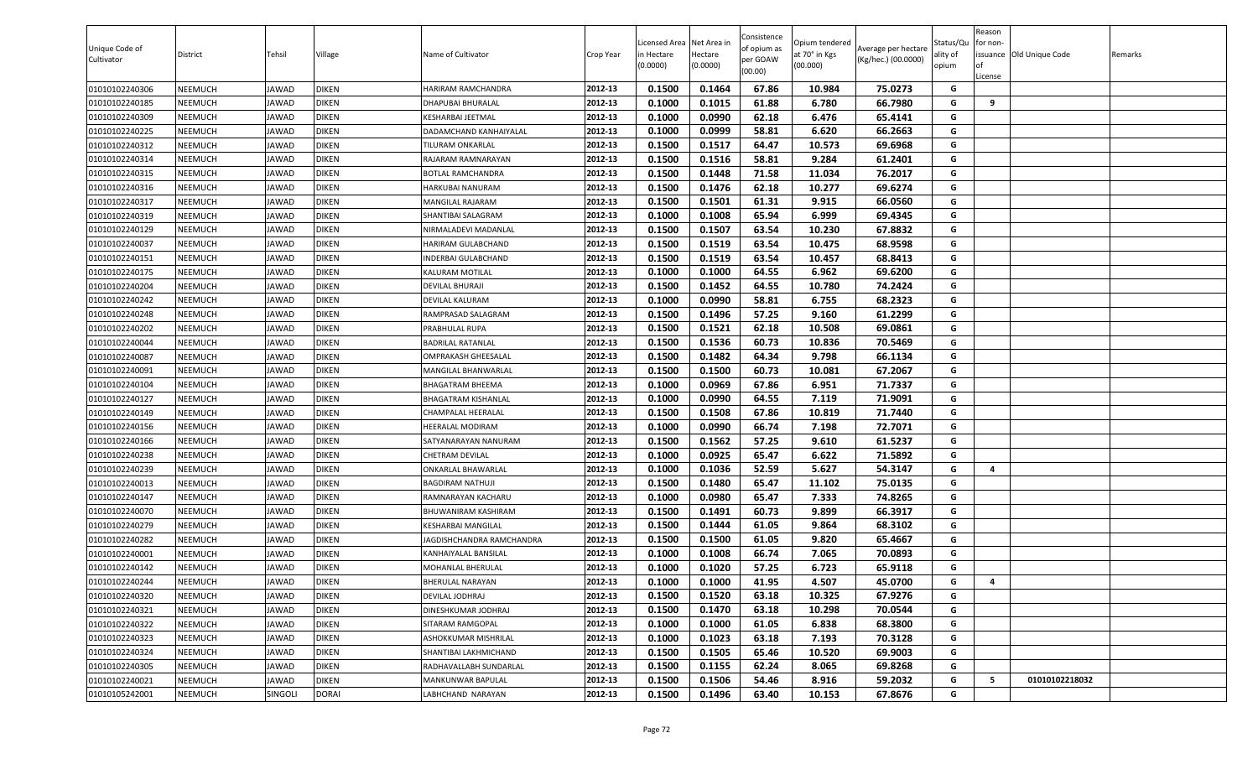| Unique Code of<br>Cultivator | District       | Tehsil       | Village      | Name of Cultivator         | Crop Year | Licensed Area<br>n Hectare<br>(0.0000) | Net Area in<br>Hectare<br>(0.0000) | Consistence<br>of opium as<br>per GOAW<br>(00.00) | Opium tendered<br>at 70° in Kgs<br>(00.000) | Average per hectare<br>(Kg/hec.) (00.0000) | Status/Qu<br>ality of<br>opium | Reason<br>for non-<br>of<br>License | issuance Old Unique Code | Remarks |
|------------------------------|----------------|--------------|--------------|----------------------------|-----------|----------------------------------------|------------------------------------|---------------------------------------------------|---------------------------------------------|--------------------------------------------|--------------------------------|-------------------------------------|--------------------------|---------|
| 01010102240306               | NEEMUCH        | <b>JAWAD</b> | <b>DIKEN</b> | HARIRAM RAMCHANDRA         | 2012-13   | 0.1500                                 | 0.1464                             | 67.86                                             | 10.984                                      | 75.0273                                    | G                              |                                     |                          |         |
| 01010102240185               | NEEMUCH        | <b>JAWAD</b> | <b>DIKEN</b> | DHAPUBAI BHURALAL          | 2012-13   | 0.1000                                 | 0.1015                             | 61.88                                             | 6.780                                       | 66.7980                                    | G                              | 9                                   |                          |         |
| 01010102240309               | NEEMUCH        | <b>JAWAD</b> | <b>DIKEN</b> | KESHARBAI JEETMAL          | 2012-13   | 0.1000                                 | 0.0990                             | 62.18                                             | 6.476                                       | 65.4141                                    | G                              |                                     |                          |         |
| 01010102240225               | NEEMUCH        | JAWAD        | <b>DIKEN</b> | DADAMCHAND KANHAIYALAL     | 2012-13   | 0.1000                                 | 0.0999                             | 58.81                                             | 6.620                                       | 66.2663                                    | G                              |                                     |                          |         |
| 01010102240312               | NEEMUCH        | <b>JAWAD</b> | <b>DIKEN</b> | TILURAM ONKARLAL           | 2012-13   | 0.1500                                 | 0.1517                             | 64.47                                             | 10.573                                      | 69.6968                                    | G                              |                                     |                          |         |
| 01010102240314               | NEEMUCH        | <b>JAWAD</b> | <b>DIKEN</b> | RAJARAM RAMNARAYAN         | 2012-13   | 0.1500                                 | 0.1516                             | 58.81                                             | 9.284                                       | 61.2401                                    | G                              |                                     |                          |         |
| 01010102240315               | NEEMUCH        | <b>JAWAD</b> | <b>DIKEN</b> | BOTLAL RAMCHANDRA          | 2012-13   | 0.1500                                 | 0.1448                             | 71.58                                             | 11.034                                      | 76.2017                                    | G                              |                                     |                          |         |
| 01010102240316               | NEEMUCH        | <b>JAWAD</b> | <b>DIKEN</b> | <b>HARKUBAI NANURAM</b>    | 2012-13   | 0.1500                                 | 0.1476                             | 62.18                                             | 10.277                                      | 69.6274                                    | G                              |                                     |                          |         |
| 01010102240317               | NEEMUCH        | <b>JAWAD</b> | <b>DIKEN</b> | MANGILAL RAJARAM           | 2012-13   | 0.1500                                 | 0.1501                             | 61.31                                             | 9.915                                       | 66.0560                                    | G                              |                                     |                          |         |
| 01010102240319               | NEEMUCH        | <b>JAWAD</b> | <b>DIKEN</b> | SHANTIBAI SALAGRAM         | 2012-13   | 0.1000                                 | 0.1008                             | 65.94                                             | 6.999                                       | 69.4345                                    | G                              |                                     |                          |         |
| 01010102240129               | NEEMUCH        | <b>JAWAD</b> | <b>DIKEN</b> | NIRMALADEVI MADANLAL       | 2012-13   | 0.1500                                 | 0.1507                             | 63.54                                             | 10.230                                      | 67.8832                                    | G                              |                                     |                          |         |
| 01010102240037               | NEEMUCH        | <b>JAWAD</b> | <b>DIKEN</b> | HARIRAM GULABCHAND         | 2012-13   | 0.1500                                 | 0.1519                             | 63.54                                             | 10.475                                      | 68.9598                                    | G                              |                                     |                          |         |
| 01010102240151               | NEEMUCH        | <b>JAWAD</b> | <b>DIKEN</b> | INDERBAI GULABCHAND        | 2012-13   | 0.1500                                 | 0.1519                             | 63.54                                             | 10.457                                      | 68.8413                                    | G                              |                                     |                          |         |
| 01010102240175               | NEEMUCH        | <b>JAWAD</b> | <b>DIKEN</b> | KALURAM MOTILAL            | 2012-13   | 0.1000                                 | 0.1000                             | 64.55                                             | 6.962                                       | 69.6200                                    | G                              |                                     |                          |         |
| 01010102240204               | <b>NEEMUCH</b> | <b>JAWAD</b> | <b>DIKEN</b> | <b>DEVILAL BHURAJI</b>     | 2012-13   | 0.1500                                 | 0.1452                             | 64.55                                             | 10.780                                      | 74.2424                                    | G                              |                                     |                          |         |
| 01010102240242               | NEEMUCH        | <b>JAWAD</b> | <b>DIKEN</b> | DEVILAL KALURAM            | 2012-13   | 0.1000                                 | 0.0990                             | 58.81                                             | 6.755                                       | 68.2323                                    | G                              |                                     |                          |         |
| 01010102240248               | NEEMUCH        | <b>JAWAD</b> | <b>DIKEN</b> | RAMPRASAD SALAGRAM         | 2012-13   | 0.1500                                 | 0.1496                             | 57.25                                             | 9.160                                       | 61.2299                                    | G                              |                                     |                          |         |
| 01010102240202               | NEEMUCH        | <b>JAWAD</b> | <b>DIKEN</b> | PRABHULAL RUPA             | 2012-13   | 0.1500                                 | 0.1521                             | 62.18                                             | 10.508                                      | 69.0861                                    | G                              |                                     |                          |         |
| 01010102240044               | NEEMUCH        | <b>JAWAD</b> | <b>DIKEN</b> | <b>BADRILAL RATANLAL</b>   | 2012-13   | 0.1500                                 | 0.1536                             | 60.73                                             | 10.836                                      | 70.5469                                    | G                              |                                     |                          |         |
| 01010102240087               | NEEMUCH        | <b>JAWAD</b> | <b>DIKEN</b> | OMPRAKASH GHEESALAL        | 2012-13   | 0.1500                                 | 0.1482                             | 64.34                                             | 9.798                                       | 66.1134                                    | G                              |                                     |                          |         |
| 01010102240091               | NEEMUCH        | <b>JAWAD</b> | <b>DIKEN</b> | MANGILAL BHANWARLAL        | 2012-13   | 0.1500                                 | 0.1500                             | 60.73                                             | 10.081                                      | 67.2067                                    | G                              |                                     |                          |         |
| 01010102240104               | NEEMUCH        | <b>JAWAD</b> | <b>DIKEN</b> | BHAGATRAM BHEEMA           | 2012-13   | 0.1000                                 | 0.0969                             | 67.86                                             | 6.951                                       | 71.7337                                    | G                              |                                     |                          |         |
| 01010102240127               | NEEMUCH        | <b>JAWAD</b> | <b>DIKEN</b> | <b>BHAGATRAM KISHANLAL</b> | 2012-13   | 0.1000                                 | 0.0990                             | 64.55                                             | 7.119                                       | 71.9091                                    | G                              |                                     |                          |         |
| 01010102240149               | NEEMUCH        | <b>JAWAD</b> | <b>DIKEN</b> | CHAMPALAL HEERALAL         | 2012-13   | 0.1500                                 | 0.1508                             | 67.86                                             | 10.819                                      | 71.7440                                    | G                              |                                     |                          |         |
| 01010102240156               | NEEMUCH        | <b>JAWAD</b> | <b>DIKEN</b> | HEERALAL MODIRAM           | 2012-13   | 0.1000                                 | 0.0990                             | 66.74                                             | 7.198                                       | 72.7071                                    | G                              |                                     |                          |         |
| 01010102240166               | NEEMUCH        | <b>JAWAD</b> | <b>DIKEN</b> | SATYANARAYAN NANURAM       | 2012-13   | 0.1500                                 | 0.1562                             | 57.25                                             | 9.610                                       | 61.5237                                    | G                              |                                     |                          |         |
| 01010102240238               | NEEMUCH        | <b>JAWAD</b> | <b>DIKEN</b> | <b>CHETRAM DEVILAL</b>     | 2012-13   | 0.1000                                 | 0.0925                             | 65.47                                             | 6.622                                       | 71.5892                                    | G                              |                                     |                          |         |
| 01010102240239               | NEEMUCH        | <b>JAWAD</b> | <b>DIKEN</b> | ONKARLAL BHAWARLAL         | 2012-13   | 0.1000                                 | 0.1036                             | 52.59                                             | 5.627                                       | 54.3147                                    | G                              | 4                                   |                          |         |
| 01010102240013               | NEEMUCH        | <b>JAWAD</b> | <b>DIKEN</b> | <b>BAGDIRAM NATHUJI</b>    | 2012-13   | 0.1500                                 | 0.1480                             | 65.47                                             | 11.102                                      | 75.0135                                    | G                              |                                     |                          |         |
| 01010102240147               | NEEMUCH        | <b>JAWAD</b> | <b>DIKEN</b> | RAMNARAYAN KACHARU         | 2012-13   | 0.1000                                 | 0.0980                             | 65.47                                             | 7.333                                       | 74.8265                                    | G                              |                                     |                          |         |
| 01010102240070               | NEEMUCH        | <b>JAWAD</b> | <b>DIKEN</b> | BHUWANIRAM KASHIRAM        | 2012-13   | 0.1500                                 | 0.1491                             | 60.73                                             | 9.899                                       | 66.3917                                    | G                              |                                     |                          |         |
| 01010102240279               | <b>NEEMUCH</b> | <b>JAWAD</b> | <b>DIKEN</b> | <b>KESHARBAI MANGILAL</b>  | 2012-13   | 0.1500                                 | 0.1444                             | 61.05                                             | 9.864                                       | 68.3102                                    | G                              |                                     |                          |         |
| 01010102240282               | NEEMUCH        | <b>JAWAD</b> | <b>DIKEN</b> | JAGDISHCHANDRA RAMCHANDRA  | 2012-13   | 0.1500                                 | 0.1500                             | 61.05                                             | 9.820                                       | 65.4667                                    | G                              |                                     |                          |         |
| 01010102240001               | NEEMUCH        | <b>JAWAD</b> | <b>DIKEN</b> | KANHAIYALAL BANSILAL       | 2012-13   | 0.1000                                 | 0.1008                             | 66.74                                             | 7.065                                       | 70.0893                                    | G                              |                                     |                          |         |
| 01010102240142               | NEEMUCH        | <b>JAWAD</b> | <b>DIKEN</b> | MOHANLAL BHERULAL          | 2012-13   | 0.1000                                 | 0.1020                             | 57.25                                             | 6.723                                       | 65.9118                                    | G                              |                                     |                          |         |
| 01010102240244               | NEEMUCH        | <b>JAWAD</b> | <b>DIKEN</b> | <b>BHERULAL NARAYAN</b>    | 2012-13   | 0.1000                                 | 0.1000                             | 41.95                                             | 4.507                                       | 45.0700                                    | G                              | Δ                                   |                          |         |
| 01010102240320               | NEEMUCH        | <b>JAWAD</b> | <b>DIKEN</b> | DEVILAL JODHRAJ            | 2012-13   | 0.1500                                 | 0.1520                             | 63.18                                             | 10.325                                      | 67.9276                                    | G                              |                                     |                          |         |
| 01010102240321               | NEEMUCH        | <b>JAWAD</b> | <b>DIKEN</b> | DINESHKUMAR JODHRAJ        | 2012-13   | 0.1500                                 | 0.1470                             | 63.18                                             | 10.298                                      | 70.0544                                    | G                              |                                     |                          |         |
| 01010102240322               | <b>NEEMUCH</b> | <b>JAWAD</b> | <b>DIKEN</b> | SITARAM RAMGOPAL           | 2012-13   | 0.1000                                 | 0.1000                             | 61.05                                             | 6.838                                       | 68.3800                                    | G                              |                                     |                          |         |
| 01010102240323               | <b>NEEMUCH</b> | <b>JAWAD</b> | <b>DIKEN</b> | ASHOKKUMAR MISHRILAL       | 2012-13   | 0.1000                                 | 0.1023                             | 63.18                                             | 7.193                                       | 70.3128                                    | G                              |                                     |                          |         |
| 01010102240324               | <b>NEEMUCH</b> | <b>JAWAD</b> | <b>DIKEN</b> | SHANTIBAI LAKHMICHAND      | 2012-13   | 0.1500                                 | 0.1505                             | 65.46                                             | 10.520                                      | 69.9003                                    | G                              |                                     |                          |         |
| 01010102240305               | NEEMUCH        | <b>JAWAD</b> | <b>DIKEN</b> | RADHAVALLABH SUNDARLAL     | 2012-13   | 0.1500                                 | 0.1155                             | 62.24                                             | 8.065                                       | 69.8268                                    | G                              |                                     |                          |         |
| 01010102240021               | <b>NEEMUCH</b> | <b>JAWAD</b> | <b>DIKEN</b> | MANKUNWAR BAPULAL          | 2012-13   | 0.1500                                 | 0.1506                             | 54.46                                             | 8.916                                       | 59.2032                                    | G                              | 5                                   | 01010102218032           |         |
| 01010105242001               | NEEMUCH        | SINGOLI      | <b>DORAI</b> | LABHCHAND NARAYAN          | 2012-13   | 0.1500                                 | 0.1496                             | 63.40                                             | 10.153                                      | 67.8676                                    | G                              |                                     |                          |         |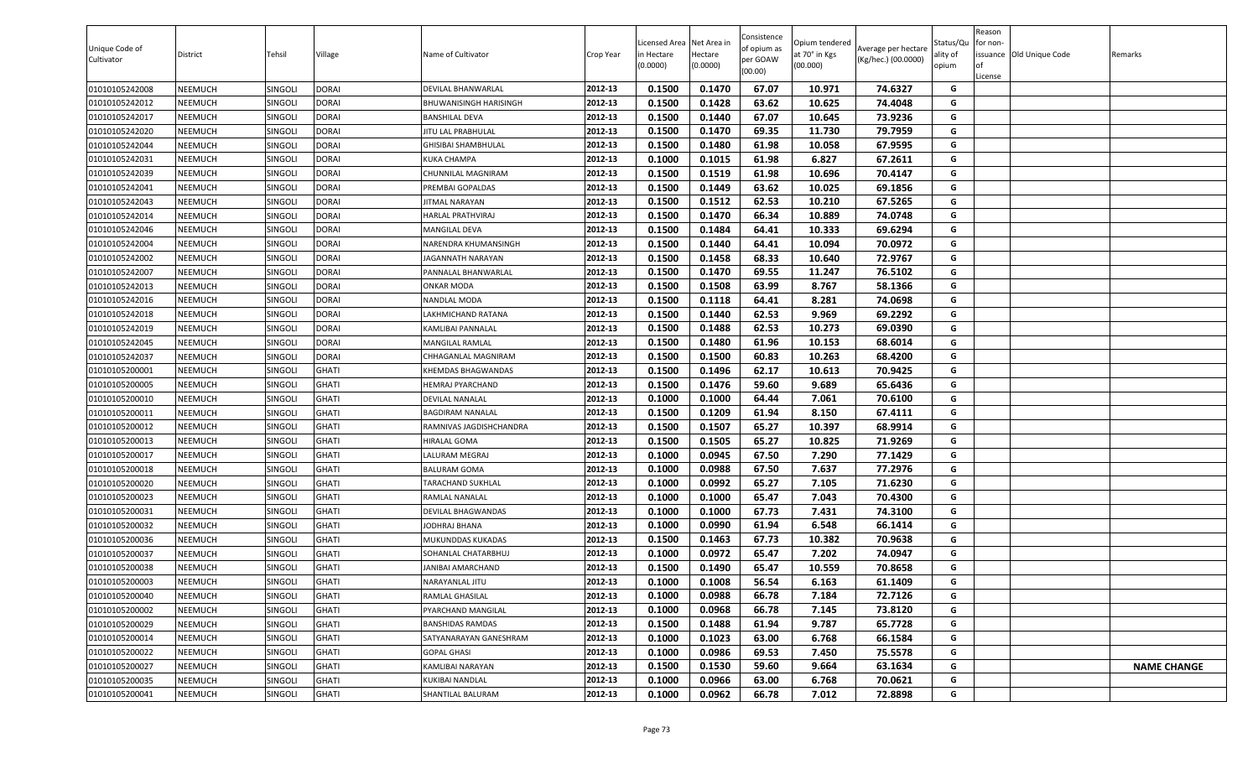| Unique Code of<br>Cultivator | District | Tehsil         | Village      | Name of Cultivator         | Crop Year | .icensed Area<br>in Hectare<br>(0.0000) | Net Area in<br>Hectare<br>(0.0000) | Consistence<br>of opium as<br>per GOAW<br>(00.00) | Opium tendered<br>at 70° in Kgs<br>(00.000) | Average per hectare<br>(Kg/hec.) (00.0000) | Status/Qu<br>ality of<br>opium | Reason<br>for non-<br><b>of</b><br>License | issuance Old Unique Code | Remarks            |
|------------------------------|----------|----------------|--------------|----------------------------|-----------|-----------------------------------------|------------------------------------|---------------------------------------------------|---------------------------------------------|--------------------------------------------|--------------------------------|--------------------------------------------|--------------------------|--------------------|
| 01010105242008               | NEEMUCH  | <b>SINGOLI</b> | <b>DORAI</b> | DEVILAL BHANWARLAL         | 2012-13   | 0.1500                                  | 0.1470                             | 67.07                                             | 10.971                                      | 74.6327                                    | G                              |                                            |                          |                    |
| 01010105242012               | NEEMUCH  | <b>SINGOLI</b> | DORAI        | BHUWANISINGH HARISINGH     | 2012-13   | 0.1500                                  | 0.1428                             | 63.62                                             | 10.625                                      | 74.4048                                    | G                              |                                            |                          |                    |
| 01010105242017               | NEEMUCH  | <b>SINGOLI</b> | DORAI        | BANSHILAL DEVA             | 2012-13   | 0.1500                                  | 0.1440                             | 67.07                                             | 10.645                                      | 73.9236                                    | G                              |                                            |                          |                    |
| 01010105242020               | NEEMUCH  | <b>SINGOLI</b> | DORAI        | IITU LAL PRABHULAL         | 2012-13   | 0.1500                                  | 0.1470                             | 69.35                                             | 11.730                                      | 79.7959                                    | G                              |                                            |                          |                    |
| 01010105242044               | NEEMUCH  | <b>SINGOLI</b> | DORAI        | GHISIBAI SHAMBHULAL        | 2012-13   | 0.1500                                  | 0.1480                             | 61.98                                             | 10.058                                      | 67.9595                                    | G                              |                                            |                          |                    |
| 01010105242031               | NEEMUCH  | SINGOLI        | DORAI        | KUKA CHAMPA                | 2012-13   | 0.1000                                  | 0.1015                             | 61.98                                             | 6.827                                       | 67.2611                                    | G                              |                                            |                          |                    |
| 01010105242039               | NEEMUCH  | <b>SINGOLI</b> | DORAI        | CHUNNILAL MAGNIRAM         | 2012-13   | 0.1500                                  | 0.1519                             | 61.98                                             | 10.696                                      | 70.4147                                    | G                              |                                            |                          |                    |
| 01010105242041               | NEEMUCH  | SINGOLI        | DORAI        | PREMBAI GOPALDAS           | 2012-13   | 0.1500                                  | 0.1449                             | 63.62                                             | 10.025                                      | 69.1856                                    | G                              |                                            |                          |                    |
| 01010105242043               | NEEMUCH  | SINGOLI        | DORAI        | JITMAL NARAYAN             | 2012-13   | 0.1500                                  | 0.1512                             | 62.53                                             | 10.210                                      | 67.5265                                    | G                              |                                            |                          |                    |
| 01010105242014               | NEEMUCH  | <b>SINGOLI</b> | DORAI        | HARLAL PRATHVIRAJ          | 2012-13   | 0.1500                                  | 0.1470                             | 66.34                                             | 10.889                                      | 74.0748                                    | G                              |                                            |                          |                    |
| 01010105242046               | NEEMUCH  | SINGOLI        | DORAI        | MANGILAL DEVA              | 2012-13   | 0.1500                                  | 0.1484                             | 64.41                                             | 10.333                                      | 69.6294                                    | G                              |                                            |                          |                    |
| 01010105242004               | NEEMUCH  | SINGOLI        | DORAI        | NARENDRA KHUMANSINGH       | 2012-13   | 0.1500                                  | 0.1440                             | 64.41                                             | 10.094                                      | 70.0972                                    | G                              |                                            |                          |                    |
| 01010105242002               | NEEMUCH  | <b>SINGOLI</b> | DORAI        | AGANNATH NARAYAN           | 2012-13   | 0.1500                                  | 0.1458                             | 68.33                                             | 10.640                                      | 72.9767                                    | G                              |                                            |                          |                    |
| 01010105242007               | NEEMUCH  | <b>SINGOLI</b> | <b>DORAI</b> | <b>PANNALAL BHANWARLAL</b> | 2012-13   | 0.1500                                  | 0.1470                             | 69.55                                             | 11.247                                      | 76.5102                                    | G                              |                                            |                          |                    |
| 01010105242013               | NEEMUCH  | <b>SINGOLI</b> | <b>DORAI</b> | ONKAR MODA                 | 2012-13   | 0.1500                                  | 0.1508                             | 63.99                                             | 8.767                                       | 58.1366                                    | G                              |                                            |                          |                    |
| 01010105242016               | NEEMUCH  | <b>SINGOLI</b> | <b>DORAI</b> | NANDLAL MODA               | 2012-13   | 0.1500                                  | 0.1118                             | 64.41                                             | 8.281                                       | 74.0698                                    | G                              |                                            |                          |                    |
| 01010105242018               | NEEMUCH  | SINGOLI        | DORAI        | <b>AKHMICHAND RATANA</b>   | 2012-13   | 0.1500                                  | 0.1440                             | 62.53                                             | 9.969                                       | 69.2292                                    | G                              |                                            |                          |                    |
| 01010105242019               | NEEMUCH  | SINGOLI        | DORAI        | KAMLIBAI PANNALAL          | 2012-13   | 0.1500                                  | 0.1488                             | 62.53                                             | 10.273                                      | 69.0390                                    | G                              |                                            |                          |                    |
| 01010105242045               | NEEMUCH  | <b>SINGOLI</b> | DORAI        | MANGILAL RAMLAL            | 2012-13   | 0.1500                                  | 0.1480                             | 61.96                                             | 10.153                                      | 68.6014                                    | G                              |                                            |                          |                    |
| 01010105242037               | NEEMUCH  | <b>SINGOLI</b> | DORAI        | CHHAGANLAL MAGNIRAM        | 2012-13   | 0.1500                                  | 0.1500                             | 60.83                                             | 10.263                                      | 68.4200                                    | G                              |                                            |                          |                    |
| 01010105200001               | NEEMUCH  | <b>SINGOLI</b> | <b>GHATI</b> | <b>CHEMDAS BHAGWANDAS</b>  | 2012-13   | 0.1500                                  | 0.1496                             | 62.17                                             | 10.613                                      | 70.9425                                    | G                              |                                            |                          |                    |
| 01010105200005               | NEEMUCH  | <b>SINGOLI</b> | <b>GHATI</b> | <b>IEMRAJ PYARCHAND</b>    | 2012-13   | 0.1500                                  | 0.1476                             | 59.60                                             | 9.689                                       | 65.6436                                    | G                              |                                            |                          |                    |
| 01010105200010               | NEEMUCH  | SINGOLI        | <b>GHATI</b> | <b>DEVILAL NANALAL</b>     | 2012-13   | 0.1000                                  | 0.1000                             | 64.44                                             | 7.061                                       | 70.6100                                    | G                              |                                            |                          |                    |
| 01010105200011               | NEEMUCH  | <b>SINGOLI</b> | <b>GHATI</b> | <b>BAGDIRAM NANALAL</b>    | 2012-13   | 0.1500                                  | 0.1209                             | 61.94                                             | 8.150                                       | 67.4111                                    | G                              |                                            |                          |                    |
| 01010105200012               | NEEMUCH  | <b>SINGOLI</b> | <b>GHATI</b> | RAMNIVAS JAGDISHCHANDRA    | 2012-13   | 0.1500                                  | 0.1507                             | 65.27                                             | 10.397                                      | 68.9914                                    | G                              |                                            |                          |                    |
| 01010105200013               | NEEMUCH  | SINGOLI        | <b>GHATI</b> | HIRALAL GOMA               | 2012-13   | 0.1500                                  | 0.1505                             | 65.27                                             | 10.825                                      | 71.9269                                    | G                              |                                            |                          |                    |
| 01010105200017               | NEEMUCH  | SINGOLI        | <b>GHATI</b> | ALURAM MEGRAJ              | 2012-13   | 0.1000                                  | 0.0945                             | 67.50                                             | 7.290                                       | 77.1429                                    | G                              |                                            |                          |                    |
| 01010105200018               | NEEMUCH  | <b>SINGOLI</b> | <b>GHATI</b> | BALURAM GOMA               | 2012-13   | 0.1000                                  | 0.0988                             | 67.50                                             | 7.637                                       | 77.2976                                    | G                              |                                            |                          |                    |
| 01010105200020               | NEEMUCH  | SINGOLI        | <b>GHATI</b> | ARACHAND SUKHLAL           | 2012-13   | 0.1000                                  | 0.0992                             | 65.27                                             | 7.105                                       | 71.6230                                    | G                              |                                            |                          |                    |
| 01010105200023               | NEEMUCH  | <b>SINGOLI</b> | <b>GHATI</b> | RAMLAL NANALAL             | 2012-13   | 0.1000                                  | 0.1000                             | 65.47                                             | 7.043                                       | 70.4300                                    | G                              |                                            |                          |                    |
| 01010105200031               | NEEMUCH  | <b>SINGOLI</b> | <b>GHATI</b> | DEVILAL BHAGWANDAS         | 2012-13   | 0.1000                                  | 0.1000                             | 67.73                                             | 7.431                                       | 74.3100                                    | G                              |                                            |                          |                    |
| 01010105200032               | NEEMUCH  | SINGOLI        | <b>GHATI</b> | JODHRAJ BHANA              | 2012-13   | 0.1000                                  | 0.0990                             | 61.94                                             | 6.548                                       | 66.1414                                    | G                              |                                            |                          |                    |
| 01010105200036               | NEEMUCH  | SINGOLI        | <b>GHATI</b> | MUKUNDDAS KUKADAS          | 2012-13   | 0.1500                                  | 0.1463                             | 67.73                                             | 10.382                                      | 70.9638                                    | G                              |                                            |                          |                    |
| 01010105200037               | NEEMUCH  | SINGOLI        | <b>GHATI</b> | SOHANLAL CHATARBHUJ        | 2012-13   | 0.1000                                  | 0.0972                             | 65.47                                             | 7.202                                       | 74.0947                                    | G                              |                                            |                          |                    |
| 01010105200038               | NEEMUCH  | SINGOLI        | <b>GHATI</b> | JANIBAI AMARCHAND          | 2012-13   | 0.1500                                  | 0.1490                             | 65.47                                             | 10.559                                      | 70.8658                                    | G                              |                                            |                          |                    |
| 01010105200003               | NEEMUCH  | SINGOLI        | <b>GHATI</b> | NARAYANLAL JITU            | 2012-13   | 0.1000                                  | 0.1008                             | 56.54                                             | 6.163                                       | 61.1409                                    | G                              |                                            |                          |                    |
| 01010105200040               | NEEMUCH  | SINGOLI        | <b>GHATI</b> | RAMLAL GHASILAL            | 2012-13   | 0.1000                                  | 0.0988                             | 66.78                                             | 7.184                                       | 72.7126                                    | G                              |                                            |                          |                    |
| 01010105200002               | NEEMUCH  | SINGOLI        | GHATI        | YARCHAND MANGILAL          | 2012-13   | 0.1000                                  | 0.0968                             | 66.78                                             | 7.145                                       | 73.8120                                    | G                              |                                            |                          |                    |
| 01010105200029               | NEEMUCH  | SINGOLI        | <b>GHATI</b> | <b>BANSHIDAS RAMDAS</b>    | 2012-13   | 0.1500                                  | 0.1488                             | 61.94                                             | 9.787                                       | 65.7728                                    | G                              |                                            |                          |                    |
| 01010105200014               | NEEMUCH  | SINGOLI        | <b>GHATI</b> | SATYANARAYAN GANESHRAM     | 2012-13   | 0.1000                                  | 0.1023                             | 63.00                                             | 6.768                                       | 66.1584                                    | G                              |                                            |                          |                    |
| 01010105200022               | NEEMUCH  | SINGOLI        | <b>GHATI</b> | GOPAL GHASI                | 2012-13   | 0.1000                                  | 0.0986                             | 69.53                                             | 7.450                                       | 75.5578                                    | G                              |                                            |                          |                    |
| 01010105200027               | NEEMUCH  | SINGOLI        | <b>GHATI</b> | KAMLIBAI NARAYAN           | 2012-13   | 0.1500                                  | 0.1530                             | 59.60                                             | 9.664                                       | 63.1634                                    | G                              |                                            |                          | <b>NAME CHANGE</b> |
| 01010105200035               | NEEMUCH  | SINGOLI        | <b>GHATI</b> | KUKIBAI NANDLAL            | 2012-13   | 0.1000                                  | 0.0966                             | 63.00                                             | 6.768                                       | 70.0621                                    | G                              |                                            |                          |                    |
| 01010105200041               | NEEMUCH  | SINGOLI        | <b>GHATI</b> | SHANTILAL BALURAM          | 2012-13   | 0.1000                                  | 0.0962                             | 66.78                                             | 7.012                                       | 72.8898                                    | G                              |                                            |                          |                    |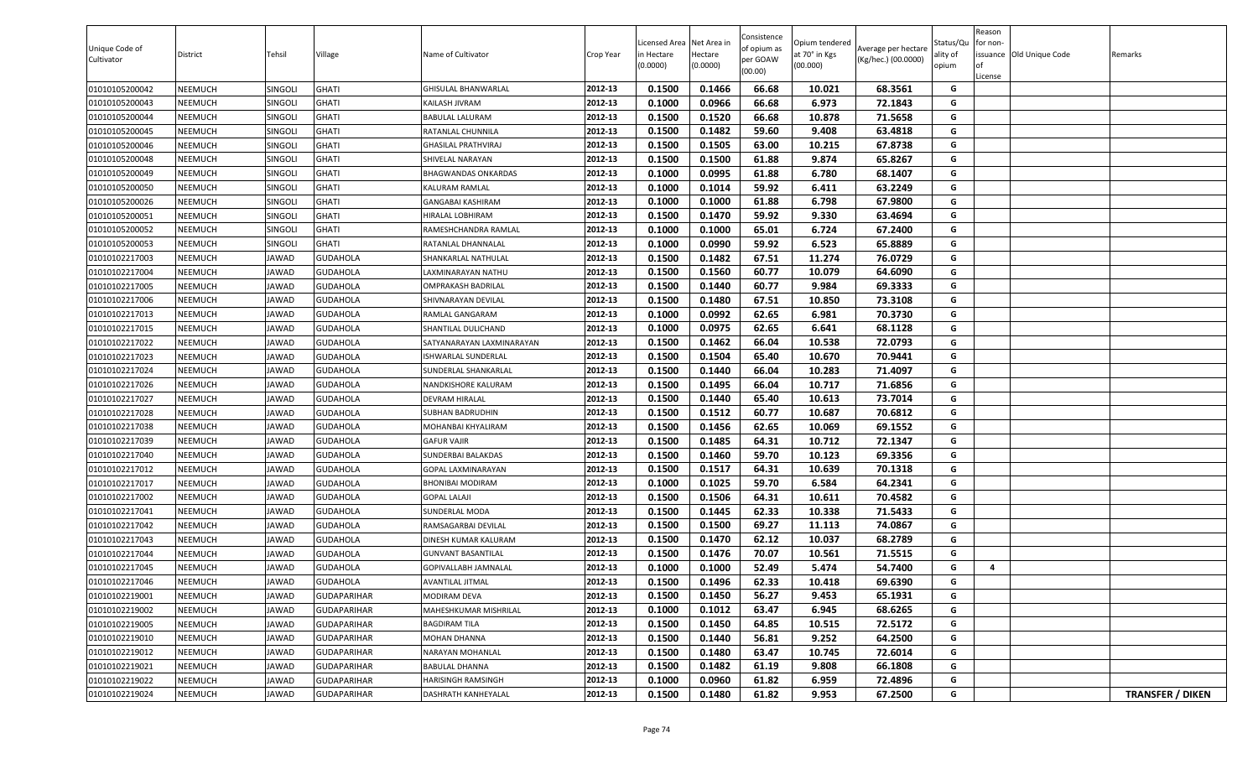| Unique Code of<br>Cultivator | District       | Tehsil         | Village            | Name of Cultivator         | Crop Year | Licensed Area<br>n Hectare<br>(0.0000) | Net Area ir<br>Hectare<br>(0.0000) | Consistence<br>of opium as<br>per GOAW<br>(00.00) | Opium tendered<br>at 70° in Kgs<br>(00.000) | Average per hectare<br>(Kg/hec.) (00.0000) | Status/Qu<br>ality of<br>opium | Reason<br>or non-<br>of<br>License | issuance Old Unique Code | Remarks                 |
|------------------------------|----------------|----------------|--------------------|----------------------------|-----------|----------------------------------------|------------------------------------|---------------------------------------------------|---------------------------------------------|--------------------------------------------|--------------------------------|------------------------------------|--------------------------|-------------------------|
| 01010105200042               | NEEMUCH        | SINGOLI        | <b>GHATI</b>       | GHISULAL BHANWARLAL        | 2012-13   | 0.1500                                 | 0.1466                             | 66.68                                             | 10.021                                      | 68.3561                                    | G                              |                                    |                          |                         |
| 01010105200043               | NEEMUCH        | SINGOLI        | <b>GHATI</b>       | KAILASH JIVRAM             | 2012-13   | 0.1000                                 | 0.0966                             | 66.68                                             | 6.973                                       | 72.1843                                    | G                              |                                    |                          |                         |
| 01010105200044               | NEEMUCH        | SINGOLI        | <b>GHATI</b>       | <b>BABULAL LALURAM</b>     | 2012-13   | 0.1500                                 | 0.1520                             | 66.68                                             | 10.878                                      | 71.5658                                    | G                              |                                    |                          |                         |
| 01010105200045               | NEEMUCH        | SINGOLI        | <b>GHATI</b>       | RATANLAL CHUNNILA          | 2012-13   | 0.1500                                 | 0.1482                             | 59.60                                             | 9.408                                       | 63.4818                                    | G                              |                                    |                          |                         |
| 01010105200046               | NEEMUCH        | SINGOLI        | <b>GHATI</b>       | <b>GHASILAL PRATHVIRAJ</b> | 2012-13   | 0.1500                                 | 0.1505                             | 63.00                                             | 10.215                                      | 67.8738                                    | G                              |                                    |                          |                         |
| 01010105200048               | NEEMUCH        | SINGOLI        | <b>GHATI</b>       | SHIVELAL NARAYAN           | 2012-13   | 0.1500                                 | 0.1500                             | 61.88                                             | 9.874                                       | 65.8267                                    | G                              |                                    |                          |                         |
| 01010105200049               | NEEMUCH        | SINGOLI        | <b>GHATI</b>       | BHAGWANDAS ONKARDAS        | 2012-13   | 0.1000                                 | 0.0995                             | 61.88                                             | 6.780                                       | 68.1407                                    | G                              |                                    |                          |                         |
| 01010105200050               | NEEMUCH        | <b>SINGOLI</b> | <b>GHATI</b>       | KALURAM RAMLAL             | 2012-13   | 0.1000                                 | 0.1014                             | 59.92                                             | 6.411                                       | 63.2249                                    | G                              |                                    |                          |                         |
| 01010105200026               | NEEMUCH        | SINGOLI        | <b>GHATI</b>       | <b>GANGABAI KASHIRAM</b>   | 2012-13   | 0.1000                                 | 0.1000                             | 61.88                                             | 6.798                                       | 67.9800                                    | G                              |                                    |                          |                         |
| 01010105200051               | NEEMUCH        | SINGOLI        | <b>GHATI</b>       | HIRALAL LOBHIRAM           | 2012-13   | 0.1500                                 | 0.1470                             | 59.92                                             | 9.330                                       | 63.4694                                    | G                              |                                    |                          |                         |
| 01010105200052               | NEEMUCH        | SINGOLI        | <b>GHATI</b>       | RAMESHCHANDRA RAMLAL       | 2012-13   | 0.1000                                 | 0.1000                             | 65.01                                             | 6.724                                       | 67.2400                                    | G                              |                                    |                          |                         |
| 01010105200053               | NEEMUCH        | <b>SINGOLI</b> | <b>GHATI</b>       | RATANLAL DHANNALAL         | 2012-13   | 0.1000                                 | 0.0990                             | 59.92                                             | 6.523                                       | 65.8889                                    | G                              |                                    |                          |                         |
| 01010102217003               | NEEMUCH        | <b>JAWAD</b>   | <b>GUDAHOLA</b>    | SHANKARLAL NATHULAL        | 2012-13   | 0.1500                                 | 0.1482                             | 67.51                                             | 11.274                                      | 76.0729                                    | G                              |                                    |                          |                         |
| 01010102217004               | NEEMUCH        | <b>JAWAD</b>   | <b>GUDAHOLA</b>    | LAXMINARAYAN NATHU         | 2012-13   | 0.1500                                 | 0.1560                             | 60.77                                             | 10.079                                      | 64.6090                                    | G                              |                                    |                          |                         |
| 01010102217005               | <b>NEEMUCH</b> | <b>JAWAD</b>   | <b>GUDAHOLA</b>    | OMPRAKASH BADRILAL         | 2012-13   | 0.1500                                 | 0.1440                             | 60.77                                             | 9.984                                       | 69.3333                                    | G                              |                                    |                          |                         |
| 01010102217006               | NEEMUCH        | <b>JAWAD</b>   | <b>GUDAHOLA</b>    | SHIVNARAYAN DEVILAL        | 2012-13   | 0.1500                                 | 0.1480                             | 67.51                                             | 10.850                                      | 73.3108                                    | G                              |                                    |                          |                         |
| 01010102217013               | NEEMUCH        | <b>JAWAD</b>   | <b>GUDAHOLA</b>    | RAMLAL GANGARAM            | 2012-13   | 0.1000                                 | 0.0992                             | 62.65                                             | 6.981                                       | 70.3730                                    | G                              |                                    |                          |                         |
| 01010102217015               | NEEMUCH        | <b>JAWAD</b>   | <b>GUDAHOLA</b>    | SHANTILAL DULICHAND        | 2012-13   | 0.1000                                 | 0.0975                             | 62.65                                             | 6.641                                       | 68.1128                                    | G                              |                                    |                          |                         |
| 01010102217022               | NEEMUCH        | <b>JAWAD</b>   | <b>GUDAHOLA</b>    | SATYANARAYAN LAXMINARAYAN  | 2012-13   | 0.1500                                 | 0.1462                             | 66.04                                             | 10.538                                      | 72.0793                                    | G                              |                                    |                          |                         |
| 01010102217023               | NEEMUCH        | <b>JAWAD</b>   | <b>GUDAHOLA</b>    | ISHWARLAL SUNDERLAL        | 2012-13   | 0.1500                                 | 0.1504                             | 65.40                                             | 10.670                                      | 70.9441                                    | G                              |                                    |                          |                         |
| 01010102217024               | NEEMUCH        | <b>JAWAD</b>   | GUDAHOLA           | SUNDERLAL SHANKARLAL       | 2012-13   | 0.1500                                 | 0.1440                             | 66.04                                             | 10.283                                      | 71.4097                                    | G                              |                                    |                          |                         |
| 01010102217026               | NEEMUCH        | <b>JAWAD</b>   | <b>GUDAHOLA</b>    | NANDKISHORE KALURAM        | 2012-13   | 0.1500                                 | 0.1495                             | 66.04                                             | 10.717                                      | 71.6856                                    | G                              |                                    |                          |                         |
| 01010102217027               | NEEMUCH        | <b>JAWAD</b>   | <b>GUDAHOLA</b>    | <b>DEVRAM HIRALAL</b>      | 2012-13   | 0.1500                                 | 0.1440                             | 65.40                                             | 10.613                                      | 73.7014                                    | G                              |                                    |                          |                         |
| 01010102217028               | NEEMUCH        | <b>JAWAD</b>   | <b>GUDAHOLA</b>    | <b>SUBHAN BADRUDHIN</b>    | 2012-13   | 0.1500                                 | 0.1512                             | 60.77                                             | 10.687                                      | 70.6812                                    | G                              |                                    |                          |                         |
| 01010102217038               | NEEMUCH        | <b>JAWAD</b>   | <b>GUDAHOLA</b>    | MOHANBAI KHYALIRAM         | 2012-13   | 0.1500                                 | 0.1456                             | 62.65                                             | 10.069                                      | 69.1552                                    | G                              |                                    |                          |                         |
| 01010102217039               | NEEMUCH        | <b>JAWAD</b>   | <b>GUDAHOLA</b>    | <b>GAFUR VAJIR</b>         | 2012-13   | 0.1500                                 | 0.1485                             | 64.31                                             | 10.712                                      | 72.1347                                    | G                              |                                    |                          |                         |
| 01010102217040               | NEEMUCH        | <b>JAWAD</b>   | <b>GUDAHOLA</b>    | SUNDERBAI BALAKDAS         | 2012-13   | 0.1500                                 | 0.1460                             | 59.70                                             | 10.123                                      | 69.3356                                    | G                              |                                    |                          |                         |
| 01010102217012               | NEEMUCH        | <b>JAWAD</b>   | <b>GUDAHOLA</b>    | GOPAL LAXMINARAYAN         | 2012-13   | 0.1500                                 | 0.1517                             | 64.31                                             | 10.639                                      | 70.1318                                    | G                              |                                    |                          |                         |
| 01010102217017               | NEEMUCH        | <b>JAWAD</b>   | <b>GUDAHOLA</b>    | <b>BHONIBAI MODIRAM</b>    | 2012-13   | 0.1000                                 | 0.1025                             | 59.70                                             | 6.584                                       | 64.2341                                    | G                              |                                    |                          |                         |
| 01010102217002               | NEEMUCH        | <b>JAWAD</b>   | <b>GUDAHOLA</b>    | <b>GOPAL LALAJI</b>        | 2012-13   | 0.1500                                 | 0.1506                             | 64.31                                             | 10.611                                      | 70.4582                                    | G                              |                                    |                          |                         |
| 01010102217041               | NEEMUCH        | <b>JAWAD</b>   | <b>GUDAHOLA</b>    | SUNDERLAL MODA             | 2012-13   | 0.1500                                 | 0.1445                             | 62.33                                             | 10.338                                      | 71.5433                                    | G                              |                                    |                          |                         |
| 01010102217042               | NEEMUCH        | <b>JAWAD</b>   | <b>GUDAHOLA</b>    | RAMSAGARBAI DEVILAL        | 2012-13   | 0.1500                                 | 0.1500                             | 69.27                                             | 11.113                                      | 74.0867                                    | G                              |                                    |                          |                         |
| 01010102217043               | NEEMUCH        | <b>JAWAD</b>   | <b>GUDAHOLA</b>    | DINESH KUMAR KALURAM       | 2012-13   | 0.1500                                 | 0.1470                             | 62.12                                             | 10.037                                      | 68.2789                                    | G                              |                                    |                          |                         |
| 01010102217044               | NEEMUCH        | <b>JAWAD</b>   | <b>GUDAHOLA</b>    | <b>GUNVANT BASANTILAL</b>  | 2012-13   | 0.1500                                 | 0.1476                             | 70.07                                             | 10.561                                      | 71.5515                                    | G                              |                                    |                          |                         |
| 01010102217045               | NEEMUCH        | <b>JAWAD</b>   | <b>GUDAHOLA</b>    | GOPIVALLABH JAMNALAL       | 2012-13   | 0.1000                                 | 0.1000                             | 52.49                                             | 5.474                                       | 54.7400                                    | G                              | 4                                  |                          |                         |
| 01010102217046               | NEEMUCH        | <b>JAWAD</b>   | <b>GUDAHOLA</b>    | <b>AVANTILAL JITMAL</b>    | 2012-13   | 0.1500                                 | 0.1496                             | 62.33                                             | 10.418                                      | 69.6390                                    | G                              |                                    |                          |                         |
| 01010102219001               | NEEMUCH        | <b>JAWAD</b>   | <b>GUDAPARIHAR</b> | MODIRAM DEVA               | 2012-13   | 0.1500                                 | 0.1450                             | 56.27                                             | 9.453                                       | 65.1931                                    | G                              |                                    |                          |                         |
| 01010102219002               | NEEMUCH        | <b>JAWAD</b>   | <b>GUDAPARIHAR</b> | MAHESHKUMAR MISHRILAL      | 2012-13   | 0.1000                                 | 0.1012                             | 63.47                                             | 6.945                                       | 68.6265                                    | G                              |                                    |                          |                         |
| 01010102219005               | <b>NEEMUCH</b> | <b>JAWAD</b>   | <b>GUDAPARIHAR</b> | <b>BAGDIRAM TILA</b>       | 2012-13   | 0.1500                                 | 0.1450                             | 64.85                                             | 10.515                                      | 72.5172                                    | G                              |                                    |                          |                         |
| 01010102219010               | <b>NEEMUCH</b> | <b>JAWAD</b>   | <b>GUDAPARIHAR</b> | <b>MOHAN DHANNA</b>        | 2012-13   | 0.1500                                 | 0.1440                             | 56.81                                             | 9.252                                       | 64.2500                                    | G                              |                                    |                          |                         |
| 01010102219012               | <b>NEEMUCH</b> | <b>JAWAD</b>   | <b>GUDAPARIHAR</b> | NARAYAN MOHANLAL           | 2012-13   | 0.1500                                 | 0.1480                             | 63.47                                             | 10.745                                      | 72.6014                                    | G                              |                                    |                          |                         |
| 01010102219021               | NEEMUCH        | <b>JAWAD</b>   | <b>GUDAPARIHAR</b> | <b>BABULAL DHANNA</b>      | 2012-13   | 0.1500                                 | 0.1482                             | 61.19                                             | 9.808                                       | 66.1808                                    | G                              |                                    |                          |                         |
| 01010102219022               | <b>NEEMUCH</b> | <b>JAWAD</b>   | <b>GUDAPARIHAR</b> | HARISINGH RAMSINGH         | 2012-13   | 0.1000                                 | 0.0960                             | 61.82                                             | 6.959                                       | 72.4896                                    | G                              |                                    |                          |                         |
| 01010102219024               | NEEMUCH        | <b>JAWAD</b>   | <b>GUDAPARIHAR</b> | DASHRATH KANHEYALAL        | 2012-13   | 0.1500                                 | 0.1480                             | 61.82                                             | 9.953                                       | 67.2500                                    | G                              |                                    |                          | <b>TRANSFER / DIKEN</b> |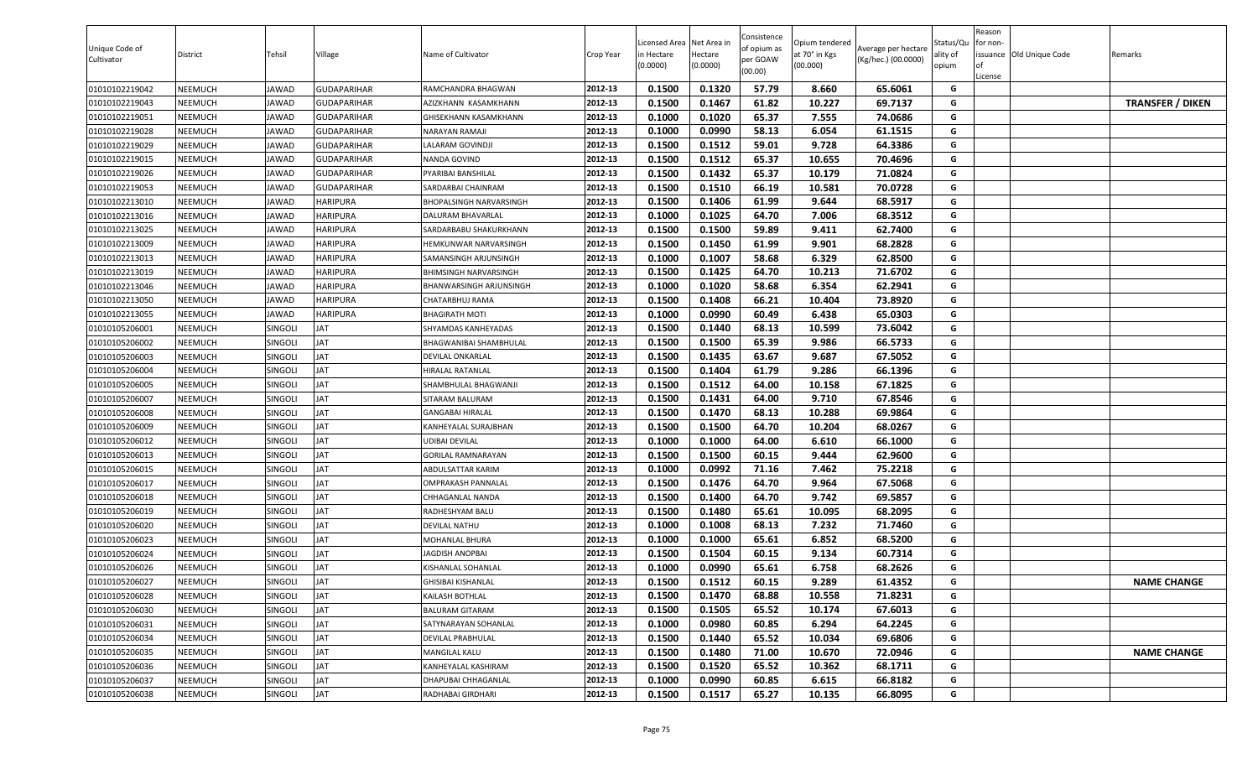| Unique Code of<br>Cultivator | District | Tehsil         | Village            | Name of Cultivator             | Crop Year | Licensed Area<br>in Hectare<br>(0.0000) | Net Area in<br>Hectare<br>(0.0000) | Consistence<br>of opium as<br>per GOAW<br>(00.00) | Opium tendered<br>at 70° in Kgs<br>(00.000) | Average per hectare<br>(Kg/hec.) (00.0000) | Status/Qu<br>ality of<br>opium | Reason<br>for non-<br><b>of</b><br>License | issuance Old Unique Code | Remarks                 |
|------------------------------|----------|----------------|--------------------|--------------------------------|-----------|-----------------------------------------|------------------------------------|---------------------------------------------------|---------------------------------------------|--------------------------------------------|--------------------------------|--------------------------------------------|--------------------------|-------------------------|
| 01010102219042               | NEEMUCH  | JAWAD          | GUDAPARIHAR        | RAMCHANDRA BHAGWAN             | 2012-13   | 0.1500                                  | 0.1320                             | 57.79                                             | 8.660                                       | 65.6061                                    | G                              |                                            |                          |                         |
| 01010102219043               | NEEMUCH  | JAWAD          | GUDAPARIHAR        | AZIZKHANN KASAMKHANN           | 2012-13   | 0.1500                                  | 0.1467                             | 61.82                                             | 10.227                                      | 69.7137                                    | G                              |                                            |                          | <b>TRANSFER / DIKEN</b> |
| 01010102219051               | NEEMUCH  | JAWAD          | <b>GUDAPARIHAR</b> | GHISEKHANN KASAMKHANN          | 2012-13   | 0.1000                                  | 0.1020                             | 65.37                                             | 7.555                                       | 74.0686                                    | G                              |                                            |                          |                         |
| 01010102219028               | NEEMUCH  | JAWAD          | GUDAPARIHAR        | NARAYAN RAMAJI                 | 2012-13   | 0.1000                                  | 0.0990                             | 58.13                                             | 6.054                                       | 61.1515                                    | G                              |                                            |                          |                         |
| 01010102219029               | NEEMUCH  | JAWAD          | GUDAPARIHAR        | ALARAM GOVINDJI                | 2012-13   | 0.1500                                  | 0.1512                             | 59.01                                             | 9.728                                       | 64.3386                                    | G                              |                                            |                          |                         |
| 01010102219015               | NEEMUCH  | JAWAD          | GUDAPARIHAR        | NANDA GOVIND                   | 2012-13   | 0.1500                                  | 0.1512                             | 65.37                                             | 10.655                                      | 70.4696                                    | G                              |                                            |                          |                         |
| 01010102219026               | NEEMUCH  | <b>IAWAD</b>   | GUDAPARIHAR        | PYARIBAI BANSHILAL             | 2012-13   | 0.1500                                  | 0.1432                             | 65.37                                             | 10.179                                      | 71.0824                                    | G                              |                                            |                          |                         |
| 01010102219053               | NEEMUCH  | JAWAD          | GUDAPARIHAR        | SARDARBAI CHAINRAM             | 2012-13   | 0.1500                                  | 0.1510                             | 66.19                                             | 10.581                                      | 70.0728                                    | G                              |                                            |                          |                         |
| 01010102213010               | NEEMUCH  | JAWAD          | HARIPURA           | <b>BHOPALSINGH NARVARSINGH</b> | 2012-13   | 0.1500                                  | 0.1406                             | 61.99                                             | 9.644                                       | 68.5917                                    | G                              |                                            |                          |                         |
| 01010102213016               | NEEMUCH  | JAWAD          | HARIPURA           | DALURAM BHAVARLAL              | 2012-13   | 0.1000                                  | 0.1025                             | 64.70                                             | 7.006                                       | 68.3512                                    | G                              |                                            |                          |                         |
| 01010102213025               | NEEMUCH  | JAWAD          | HARIPURA           | SARDARBABU SHAKURKHANN         | 2012-13   | 0.1500                                  | 0.1500                             | 59.89                                             | 9.411                                       | 62.7400                                    | G                              |                                            |                          |                         |
| 01010102213009               | NEEMUCH  | JAWAD          | HARIPURA           | HEMKUNWAR NARVARSINGH          | 2012-13   | 0.1500                                  | 0.1450                             | 61.99                                             | 9.901                                       | 68.2828                                    | G                              |                                            |                          |                         |
| 01010102213013               | NEEMUCH  | JAWAD          | HARIPURA           | SAMANSINGH ARJUNSINGH          | 2012-13   | 0.1000                                  | 0.1007                             | 58.68                                             | 6.329                                       | 62.8500                                    | G                              |                                            |                          |                         |
| 01010102213019               | NEEMUCH  | JAWAD          | HARIPURA           | BHIMSINGH NARVARSINGH          | 2012-13   | 0.1500                                  | 0.1425                             | 64.70                                             | 10.213                                      | 71.6702                                    | G                              |                                            |                          |                         |
| 01010102213046               | NEEMUCH  | JAWAD          | <b>HARIPURA</b>    | BHANWARSINGH ARJUNSINGH        | 2012-13   | 0.1000                                  | 0.1020                             | 58.68                                             | 6.354                                       | 62.2941                                    | G                              |                                            |                          |                         |
| 01010102213050               | NEEMUCH  | JAWAD          | HARIPURA           | CHATARBHUJ RAMA                | 2012-13   | 0.1500                                  | 0.1408                             | 66.21                                             | 10.404                                      | 73.8920                                    | G                              |                                            |                          |                         |
| 01010102213055               | NEEMUCH  | JAWAD          | HARIPURA           | <b>BHAGIRATH MOTI</b>          | 2012-13   | 0.1000                                  | 0.0990                             | 60.49                                             | 6.438                                       | 65.0303                                    | G                              |                                            |                          |                         |
| 01010105206001               | NEEMUCH  | SINGOLI        | JAT                | SHYAMDAS KANHEYADAS            | 2012-13   | 0.1500                                  | 0.1440                             | 68.13                                             | 10.599                                      | 73.6042                                    | G                              |                                            |                          |                         |
| 01010105206002               | NEEMUCH  | SINGOLI        | <b>TAL</b>         | BHAGWANIBAI SHAMBHULAL         | 2012-13   | 0.1500                                  | 0.1500                             | 65.39                                             | 9.986                                       | 66.5733                                    | G                              |                                            |                          |                         |
| 01010105206003               | NEEMUCH  | SINGOLI        | JAT                | <b>DEVILAL ONKARLAL</b>        | 2012-13   | 0.1500                                  | 0.1435                             | 63.67                                             | 9.687                                       | 67.5052                                    | G                              |                                            |                          |                         |
| 01010105206004               | NEEMUCH  | <b>SINGOLI</b> | JAT                | <b>IIRALAL RATANLAL</b>        | 2012-13   | 0.1500                                  | 0.1404                             | 61.79                                             | 9.286                                       | 66.1396                                    | G                              |                                            |                          |                         |
| 01010105206005               | NEEMUCH  | <b>SINGOLI</b> | JAT                | HAMBHULAL BHAGWANJI            | 2012-13   | 0.1500                                  | 0.1512                             | 64.00                                             | 10.158                                      | 67.1825                                    | G                              |                                            |                          |                         |
| 01010105206007               | NEEMUCH  | SINGOLI        | JAT                | SITARAM BALURAM                | 2012-13   | 0.1500                                  | 0.1431                             | 64.00                                             | 9.710                                       | 67.8546                                    | G                              |                                            |                          |                         |
| 01010105206008               | NEEMUCH  | SINGOLI        | <b>TAL</b>         | <b>GANGABAI HIRALAL</b>        | 2012-13   | 0.1500                                  | 0.1470                             | 68.13                                             | 10.288                                      | 69.9864                                    | G                              |                                            |                          |                         |
| 01010105206009               | NEEMUCH  | <b>SINGOLI</b> | JAT                | KANHEYALAL SURAJBHAN           | 2012-13   | 0.1500                                  | 0.1500                             | 64.70                                             | 10.204                                      | 68.0267                                    | G                              |                                            |                          |                         |
| 01010105206012               | NEEMUCH  | <b>SINGOLI</b> | JAT                | JDIBAI DEVILAL                 | 2012-13   | 0.1000                                  | 0.1000                             | 64.00                                             | 6.610                                       | 66.1000                                    | G                              |                                            |                          |                         |
| 01010105206013               | NEEMUCH  | SINGOLI        | JAT                | GORILAL RAMNARAYAN             | 2012-13   | 0.1500                                  | 0.1500                             | 60.15                                             | 9.444                                       | 62.9600                                    | G                              |                                            |                          |                         |
| 01010105206015               | NEEMUCH  | SINGOLI        | JAT                | ABDULSATTAR KARIM              | 2012-13   | 0.1000                                  | 0.0992                             | 71.16                                             | 7.462                                       | 75.2218                                    | G                              |                                            |                          |                         |
| 01010105206017               | NEEMUCH  | <b>SINGOLI</b> | JAT                | OMPRAKASH PANNALAL             | 2012-13   | 0.1500                                  | 0.1476                             | 64.70                                             | 9.964                                       | 67.5068                                    | G                              |                                            |                          |                         |
| 01010105206018               | NEEMUCH  | SINGOLI        | JAT                | CHHAGANLAL NANDA               | 2012-13   | 0.1500                                  | 0.1400                             | 64.70                                             | 9.742                                       | 69.5857                                    | G                              |                                            |                          |                         |
| 01010105206019               | NEEMUCH  | <b>SINGOLI</b> | JAT                | RADHESHYAM BALU                | 2012-13   | 0.1500                                  | 0.1480                             | 65.61                                             | 10.095                                      | 68.2095                                    | G                              |                                            |                          |                         |
| 01010105206020               | NEEMUCH  | SINGOLI        | JAT                | <b>DEVILAL NATHU</b>           | 2012-13   | 0.1000                                  | 0.1008                             | 68.13                                             | 7.232                                       | 71.7460                                    | G                              |                                            |                          |                         |
| 01010105206023               | NEEMUCH  | <b>SINGOLI</b> | JAT                | MOHANLAL BHURA                 | 2012-13   | 0.1000                                  | 0.1000                             | 65.61                                             | 6.852                                       | 68.5200                                    | G                              |                                            |                          |                         |
| 01010105206024               | NEEMUCH  | SINGOLI        | JAT                | <b>JAGDISH ANOPBAI</b>         | 2012-13   | 0.1500                                  | 0.1504                             | 60.15                                             | 9.134                                       | 60.7314                                    | G                              |                                            |                          |                         |
| 01010105206026               | NEEMUCH  | SINGOLI        | JAT                | KISHANLAL SOHANLAL             | 2012-13   | 0.1000                                  | 0.0990                             | 65.61                                             | 6.758                                       | 68.2626                                    | G                              |                                            |                          |                         |
| 01010105206027               | NEEMUCH  | SINGOLI        | <b>TAL</b>         | <b>GHISIBAI KISHANLAL</b>      | 2012-13   | 0.1500                                  | 0.1512                             | 60.15                                             | 9.289                                       | 61.4352                                    | G                              |                                            |                          | <b>NAME CHANGE</b>      |
| 01010105206028               | NEEMUCH  | <b>SINGOLI</b> | JAT                | KAILASH BOTHLAL                | 2012-13   | 0.1500                                  | 0.1470                             | 68.88                                             | 10.558                                      | 71.8231                                    | G                              |                                            |                          |                         |
| 01010105206030               | NEEMUCH  | SINGOLI        | JAT                | <b>BALURAM GITARAM</b>         | 2012-13   | 0.1500                                  | 0.1505                             | 65.52                                             | 10.174                                      | 67.6013                                    | G                              |                                            |                          |                         |
| 01010105206031               | NEEMUCH  | SINGOLI        | <b>TAL</b>         | SATYNARAYAN SOHANLAL           | 2012-13   | 0.1000                                  | 0.0980                             | 60.85                                             | 6.294                                       | 64.2245                                    | G                              |                                            |                          |                         |
| 01010105206034               | NEEMUCH  | SINGOLI        | <b>TAL</b>         | DEVILAL PRABHULAL              | 2012-13   | 0.1500                                  | 0.1440                             | 65.52                                             | 10.034                                      | 69.6806                                    | G                              |                                            |                          |                         |
| 01010105206035               | NEEMUCH  | SINGOLI        | <b>TAL</b>         | MANGILAL KALU                  | 2012-13   | 0.1500                                  | 0.1480                             | 71.00                                             | 10.670                                      | 72.0946                                    | G                              |                                            |                          | <b>NAME CHANGE</b>      |
| 01010105206036               | NEEMUCH  | SINGOLI        | JAT                | KANHEYALAL KASHIRAM            | 2012-13   | 0.1500                                  | 0.1520                             | 65.52                                             | 10.362                                      | 68.1711                                    | G                              |                                            |                          |                         |
| 01010105206037               | NEEMUCH  | SINGOLI        | <b>TAL</b>         | DHAPUBAI CHHAGANLAL            | 2012-13   | 0.1000                                  | 0.0990                             | 60.85                                             | 6.615                                       | 66.8182                                    | G                              |                                            |                          |                         |
| 01010105206038               | NEEMUCH  | SINGOLI        | JAT                | RADHABAI GIRDHARI              | 2012-13   | 0.1500                                  | 0.1517                             | 65.27                                             | 10.135                                      | 66.8095                                    | G                              |                                            |                          |                         |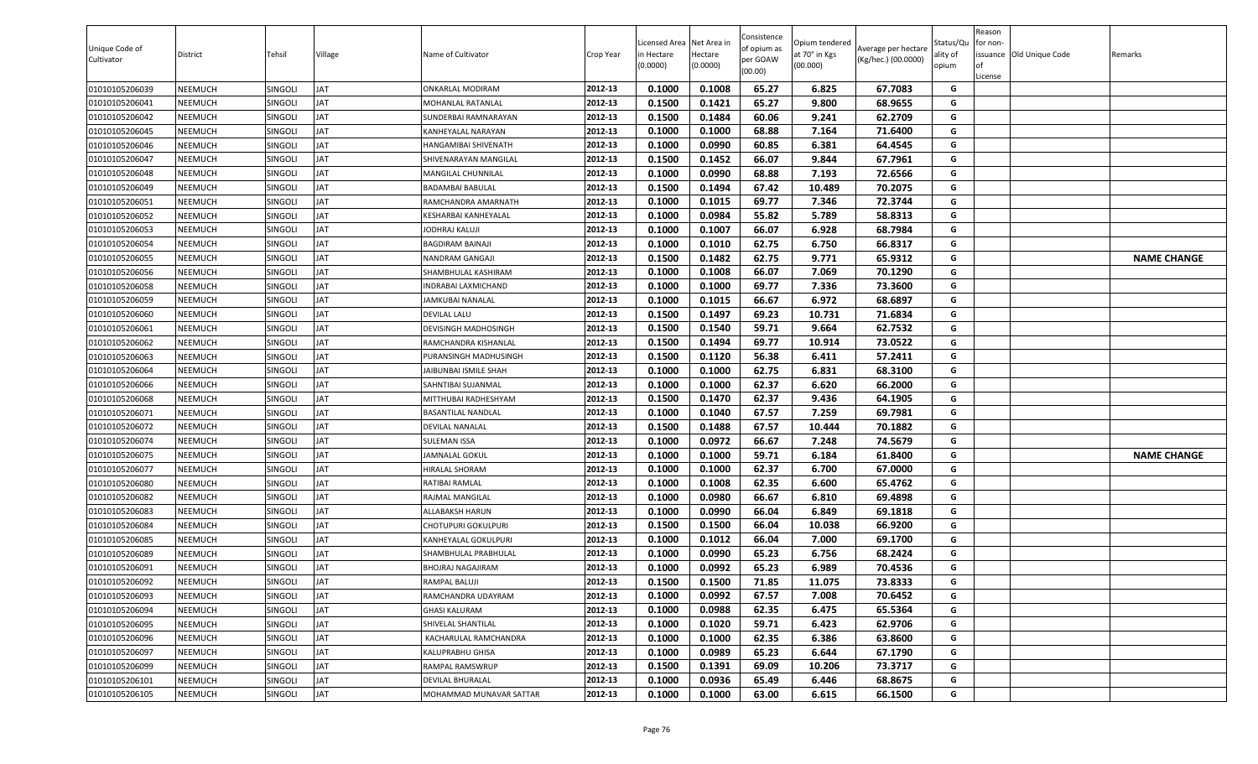| Unique Code of<br>Cultivator | District | Tehsil         | Village    | Name of Cultivator          | Crop Year | .icensed Area<br>in Hectare<br>(0.0000) | Net Area in<br>Hectare<br>(0.0000) | Consistence<br>of opium as<br>per GOAW<br>(00.00) | Opium tendered<br>at 70° in Kgs<br>(00.000) | Average per hectare<br>(Kg/hec.) (00.0000) | Status/Qu<br>ality of<br>opium | Reason<br>for non-<br><b>of</b><br>License | issuance Old Unique Code | Remarks            |
|------------------------------|----------|----------------|------------|-----------------------------|-----------|-----------------------------------------|------------------------------------|---------------------------------------------------|---------------------------------------------|--------------------------------------------|--------------------------------|--------------------------------------------|--------------------------|--------------------|
| 01010105206039               | NEEMUCH  | <b>SINGOLI</b> | JAT        | ONKARLAL MODIRAM            | 2012-13   | 0.1000                                  | 0.1008                             | 65.27                                             | 6.825                                       | 67.7083                                    | G                              |                                            |                          |                    |
| 01010105206041               | NEEMUCH  | <b>SINGOLI</b> | JAT        | MOHANLAL RATANLAL           | 2012-13   | 0.1500                                  | 0.1421                             | 65.27                                             | 9.800                                       | 68.9655                                    | G                              |                                            |                          |                    |
| 01010105206042               | NEEMUCH  | <b>SINGOLI</b> | JAT        | SUNDERBAI RAMNARAYAN        | 2012-13   | 0.1500                                  | 0.1484                             | 60.06                                             | 9.241                                       | 62.2709                                    | G                              |                                            |                          |                    |
| 01010105206045               | NEEMUCH  | <b>SINGOLI</b> | JAT        | KANHEYALAL NARAYAN          | 2012-13   | 0.1000                                  | 0.1000                             | 68.88                                             | 7.164                                       | 71.6400                                    | G                              |                                            |                          |                    |
| 01010105206046               | NEEMUCH  | <b>SINGOLI</b> | JAT        | HANGAMIBAI SHIVENATH        | 2012-13   | 0.1000                                  | 0.0990                             | 60.85                                             | 6.381                                       | 64.4545                                    | G                              |                                            |                          |                    |
| 01010105206047               | NEEMUCH  | SINGOLI        | JAT        | SHIVENARAYAN MANGILAL       | 2012-13   | 0.1500                                  | 0.1452                             | 66.07                                             | 9.844                                       | 67.7961                                    | G                              |                                            |                          |                    |
| 01010105206048               | NEEMUCH  | <b>SINGOLI</b> | JAT        | MANGILAL CHUNNILAL          | 2012-13   | 0.1000                                  | 0.0990                             | 68.88                                             | 7.193                                       | 72.6566                                    | G                              |                                            |                          |                    |
| 01010105206049               | NEEMUCH  | SINGOLI        | JAT        | BADAMBAI BABULAL            | 2012-13   | 0.1500                                  | 0.1494                             | 67.42                                             | 10.489                                      | 70.2075                                    | G                              |                                            |                          |                    |
| 01010105206051               | NEEMUCH  | SINGOLI        | JAT        | RAMCHANDRA AMARNATH         | 2012-13   | 0.1000                                  | 0.1015                             | 69.77                                             | 7.346                                       | 72.3744                                    | G                              |                                            |                          |                    |
| 01010105206052               | NEEMUCH  | <b>SINGOLI</b> | JAT        | KESHARBAI KANHEYALAL        | 2012-13   | 0.1000                                  | 0.0984                             | 55.82                                             | 5.789                                       | 58.8313                                    | G                              |                                            |                          |                    |
| 01010105206053               | NEEMUCH  | SINGOLI        | JAT        | JODHRAJ KALUJI              | 2012-13   | 0.1000                                  | 0.1007                             | 66.07                                             | 6.928                                       | 68.7984                                    | G                              |                                            |                          |                    |
| 01010105206054               | NEEMUCH  | SINGOLI        | JAT        | BAGDIRAM BAINAJI            | 2012-13   | 0.1000                                  | 0.1010                             | 62.75                                             | 6.750                                       | 66.8317                                    | G                              |                                            |                          |                    |
| 01010105206055               | NEEMUCH  | <b>SINGOLI</b> | JAT        | NANDRAM GANGAJI             | 2012-13   | 0.1500                                  | 0.1482                             | 62.75                                             | 9.771                                       | 65.9312                                    | G                              |                                            |                          | <b>NAME CHANGE</b> |
| 01010105206056               | NEEMUCH  | <b>SINGOLI</b> | JAT        | SHAMBHULAL KASHIRAM         | 2012-13   | 0.1000                                  | 0.1008                             | 66.07                                             | 7.069                                       | 70.1290                                    | G                              |                                            |                          |                    |
| 01010105206058               | NEEMUCH  | SINGOLI        | JAT        | INDRABAI LAXMICHAND         | 2012-13   | 0.1000                                  | 0.1000                             | 69.77                                             | 7.336                                       | 73.3600                                    | G                              |                                            |                          |                    |
| 01010105206059               | NEEMUCH  | <b>SINGOLI</b> | JAT        | JAMKUBAI NANALAL            | 2012-13   | 0.1000                                  | 0.1015                             | 66.67                                             | 6.972                                       | 68.6897                                    | G                              |                                            |                          |                    |
| 01010105206060               | NEEMUCH  | SINGOLI        | JAT        | DEVILAL LALU                | 2012-13   | 0.1500                                  | 0.1497                             | 69.23                                             | 10.731                                      | 71.6834                                    | G                              |                                            |                          |                    |
| 01010105206061               | NEEMUCH  | SINGOLI        | <b>TAL</b> | <b>DEVISINGH MADHOSINGH</b> | 2012-13   | 0.1500                                  | 0.1540                             | 59.71                                             | 9.664                                       | 62.7532                                    | G                              |                                            |                          |                    |
| 01010105206062               | NEEMUCH  | <b>SINGOLI</b> | JAT        | RAMCHANDRA KISHANLAL        | 2012-13   | 0.1500                                  | 0.1494                             | 69.77                                             | 10.914                                      | 73.0522                                    | G                              |                                            |                          |                    |
| 01010105206063               | NEEMUCH  | <b>SINGOLI</b> | JAT        | <b>URANSINGH MADHUSINGH</b> | 2012-13   | 0.1500                                  | 0.1120                             | 56.38                                             | 6.411                                       | 57.2411                                    | G                              |                                            |                          |                    |
| 01010105206064               | NEEMUCH  | <b>SINGOLI</b> | JAT        | AIBUNBAI ISMILE SHAH        | 2012-13   | 0.1000                                  | 0.1000                             | 62.75                                             | 6.831                                       | 68.3100                                    | G                              |                                            |                          |                    |
| 01010105206066               | NEEMUCH  | <b>SINGOLI</b> | JAT        | SAHNTIBAI SUJANMAL          | 2012-13   | 0.1000                                  | 0.1000                             | 62.37                                             | 6.620                                       | 66.2000                                    | G                              |                                            |                          |                    |
| 01010105206068               | NEEMUCH  | SINGOLI        | JAT        | MITTHUBAI RADHESHYAM        | 2012-13   | 0.1500                                  | 0.1470                             | 62.37                                             | 9.436                                       | 64.1905                                    | G                              |                                            |                          |                    |
| 01010105206071               | NEEMUCH  | <b>SINGOLI</b> | JAT        | BASANTILAL NANDLAL          | 2012-13   | 0.1000                                  | 0.1040                             | 67.57                                             | 7.259                                       | 69.7981                                    | G                              |                                            |                          |                    |
| 01010105206072               | NEEMUCH  | <b>SINGOLI</b> | JAT        | DEVILAL NANALAL             | 2012-13   | 0.1500                                  | 0.1488                             | 67.57                                             | 10.444                                      | 70.1882                                    | G                              |                                            |                          |                    |
| 01010105206074               | NEEMUCH  | SINGOLI        | JAT        | <b>SULEMAN ISSA</b>         | 2012-13   | 0.1000                                  | 0.0972                             | 66.67                                             | 7.248                                       | 74.5679                                    | G                              |                                            |                          |                    |
| 01010105206075               | NEEMUCH  | SINGOLI        | JAT        | <b>AMNALAL GOKUL</b>        | 2012-13   | 0.1000                                  | 0.1000                             | 59.71                                             | 6.184                                       | 61.8400                                    | G                              |                                            |                          | <b>NAME CHANGE</b> |
| 01010105206077               | NEEMUCH  | <b>SINGOLI</b> | JAT        | <b>IIRALAL SHORAM</b>       | 2012-13   | 0.1000                                  | 0.1000                             | 62.37                                             | 6.700                                       | 67.0000                                    | G                              |                                            |                          |                    |
| 01010105206080               | NEEMUCH  | SINGOLI        | JAT        | RATIBAI RAMLAL              | 2012-13   | 0.1000                                  | 0.1008                             | 62.35                                             | 6.600                                       | 65.4762                                    | G                              |                                            |                          |                    |
| 01010105206082               | NEEMUCH  | SINGOLI        | JAT        | RAJMAL MANGILAL             | 2012-13   | 0.1000                                  | 0.0980                             | 66.67                                             | 6.810                                       | 69.4898                                    | G                              |                                            |                          |                    |
| 01010105206083               | NEEMUCH  | <b>SINGOLI</b> | JAT        | ALLABAKSH HARUN             | 2012-13   | 0.1000                                  | 0.0990                             | 66.04                                             | 6.849                                       | 69.1818                                    | G                              |                                            |                          |                    |
| 01010105206084               | NEEMUCH  | SINGOLI        | JAT        | CHOTUPURI GOKULPURI         | 2012-13   | 0.1500                                  | 0.1500                             | 66.04                                             | 10.038                                      | 66.9200                                    | G                              |                                            |                          |                    |
| 01010105206085               | NEEMUCH  | SINGOLI        | JAT        | KANHEYALAL GOKULPURI        | 2012-13   | 0.1000                                  | 0.1012                             | 66.04                                             | 7.000                                       | 69.1700                                    | G                              |                                            |                          |                    |
| 01010105206089               | NEEMUCH  | SINGOLI        | <b>JAT</b> | SHAMBHULAL PRABHULAL        | 2012-13   | 0.1000                                  | 0.0990                             | 65.23                                             | 6.756                                       | 68.2424                                    | G                              |                                            |                          |                    |
| 01010105206091               | NEEMUCH  | SINGOLI        | JAT        | BHOJRAJ NAGAJIRAM           | 2012-13   | 0.1000                                  | 0.0992                             | 65.23                                             | 6.989                                       | 70.4536                                    | G                              |                                            |                          |                    |
| 01010105206092               | NEEMUCH  | SINGOLI        | <b>JAT</b> | RAMPAL BALUJI               | 2012-13   | 0.1500                                  | 0.1500                             | 71.85                                             | 11.075                                      | 73.8333                                    | G                              |                                            |                          |                    |
| 01010105206093               | NEEMUCH  | SINGOLI        | JAT        | RAMCHANDRA UDAYRAM          | 2012-13   | 0.1000                                  | 0.0992                             | 67.57                                             | 7.008                                       | 70.6452                                    | G                              |                                            |                          |                    |
| 01010105206094               | NEEMUCH  | SINGOLI        | JAT        | GHASI KALURAM               | 2012-13   | 0.1000                                  | 0.0988                             | 62.35                                             | 6.475                                       | 65.5364                                    | G                              |                                            |                          |                    |
| 01010105206095               | NEEMUCH  | SINGOLI        | <b>TAL</b> | SHIVELAL SHANTILAL          | 2012-13   | 0.1000                                  | 0.1020                             | 59.71                                             | 6.423                                       | 62.9706                                    | G                              |                                            |                          |                    |
| 01010105206096               | NEEMUCH  | SINGOLI        | JAT        | KACHARULAL RAMCHANDRA       | 2012-13   | 0.1000                                  | 0.1000                             | 62.35                                             | 6.386                                       | 63.8600                                    | G                              |                                            |                          |                    |
| 01010105206097               | NEEMUCH  | SINGOLI        | JAT        | KALUPRABHU GHISA            | 2012-13   | 0.1000                                  | 0.0989                             | 65.23                                             | 6.644                                       | 67.1790                                    | G                              |                                            |                          |                    |
| 01010105206099               | NEEMUCH  | SINGOLI        | JAT        | RAMPAL RAMSWRUP             | 2012-13   | 0.1500                                  | 0.1391                             | 69.09                                             | 10.206                                      | 73.3717                                    | G                              |                                            |                          |                    |
| 01010105206101               | NEEMUCH  | SINGOLI        | <b>JAT</b> | DEVILAL BHURALAL            | 2012-13   | 0.1000                                  | 0.0936                             | 65.49                                             | 6.446                                       | 68.8675                                    | G                              |                                            |                          |                    |
| 01010105206105               | NEEMUCH  | SINGOLI        | JAT        | MOHAMMAD MUNAVAR SATTAR     | 2012-13   | 0.1000                                  | 0.1000                             | 63.00                                             | 6.615                                       | 66.1500                                    | G                              |                                            |                          |                    |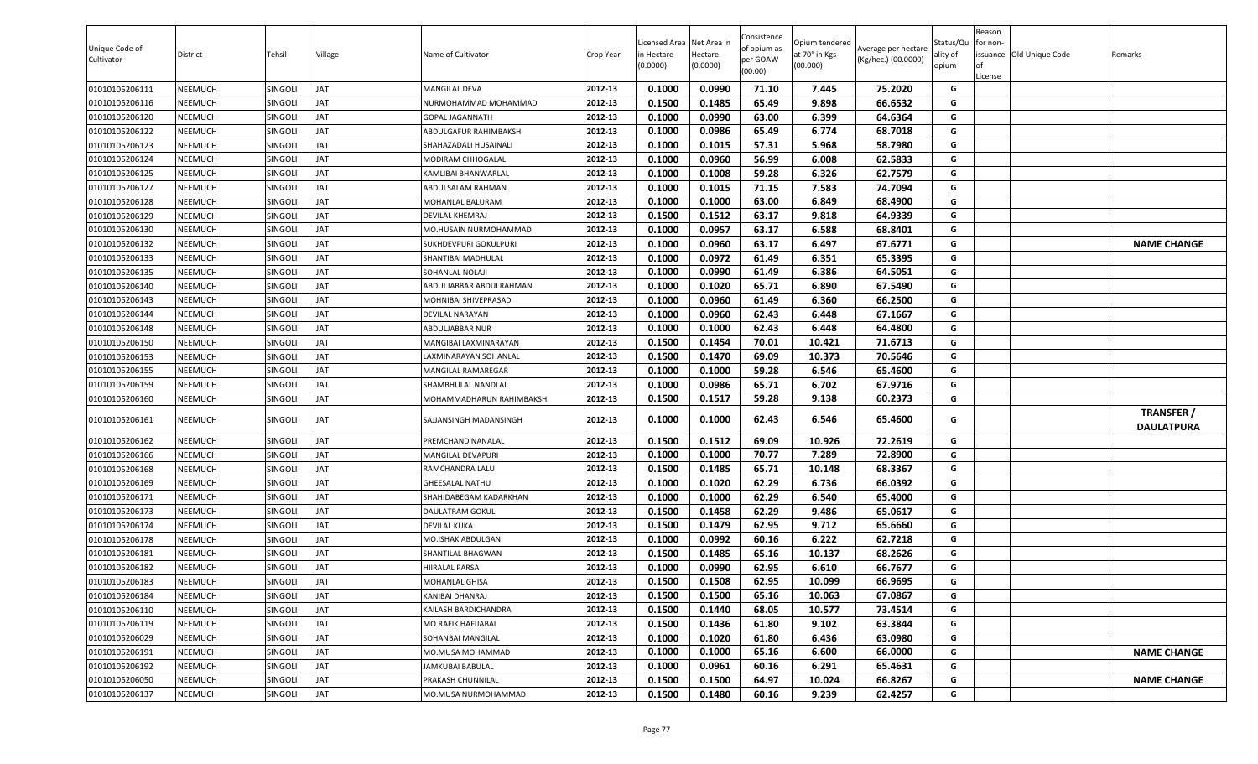| Unique Code of<br>Cultivator | District | Tehsil         | Village    | Name of Cultivator       | Crop Year | icensed Area.<br>n Hectare<br>(0.0000) | Net Area in<br>Hectare<br>(0.0000) | Consistence<br>of opium as<br>per GOAW<br>(00.00) | Opium tendered<br>at 70° in Kgs<br>(00.000) | Average per hectare<br>(Kg/hec.) (00.0000) | Status/Qu<br>ality of<br>opium | Reason<br>for non-<br><b>of</b><br>License | issuance Old Unique Code | Remarks                                |
|------------------------------|----------|----------------|------------|--------------------------|-----------|----------------------------------------|------------------------------------|---------------------------------------------------|---------------------------------------------|--------------------------------------------|--------------------------------|--------------------------------------------|--------------------------|----------------------------------------|
| 01010105206111               | NEEMUCH  | <b>SINGOLI</b> | JAT        | MANGILAL DEVA            | 2012-13   | 0.1000                                 | 0.0990                             | 71.10                                             | 7.445                                       | 75.2020                                    | G                              |                                            |                          |                                        |
| 01010105206116               | NEEMUCH  | <b>SINGOLI</b> | JAT        | NURMOHAMMAD MOHAMMAD     | 2012-13   | 0.1500                                 | 0.1485                             | 65.49                                             | 9.898                                       | 66.6532                                    | G                              |                                            |                          |                                        |
| 01010105206120               | NEEMUCH  | <b>SINGOLI</b> | JAT        | <b>GOPAL JAGANNATH</b>   | 2012-13   | 0.1000                                 | 0.0990                             | 63.00                                             | 6.399                                       | 64.6364                                    | G                              |                                            |                          |                                        |
| 01010105206122               | NEEMUCH  | <b>SINGOLI</b> | JAT        | ABDULGAFUR RAHIMBAKSH    | 2012-13   | 0.1000                                 | 0.0986                             | 65.49                                             | 6.774                                       | 68.7018                                    | G                              |                                            |                          |                                        |
| 01010105206123               | NEEMUCH  | <b>SINGOLI</b> | JAT        | SHAHAZADALI HUSAINALI    | 2012-13   | 0.1000                                 | 0.1015                             | 57.31                                             | 5.968                                       | 58.7980                                    | G                              |                                            |                          |                                        |
| 01010105206124               | NEEMUCH  | SINGOLI        | JAT        | MODIRAM CHHOGALAL        | 2012-13   | 0.1000                                 | 0.0960                             | 56.99                                             | 6.008                                       | 62.5833                                    | G                              |                                            |                          |                                        |
| 01010105206125               | NEEMUCH  | <b>SINGOLI</b> | JAT        | KAMLIBAI BHANWARLAL      | 2012-13   | 0.1000                                 | 0.1008                             | 59.28                                             | 6.326                                       | 62.7579                                    | G                              |                                            |                          |                                        |
| 01010105206127               | NEEMUCH  | <b>SINGOLI</b> | JAT        | ABDULSALAM RAHMAN        | 2012-13   | 0.1000                                 | 0.1015                             | 71.15                                             | 7.583                                       | 74.7094                                    | G                              |                                            |                          |                                        |
| 01010105206128               | NEEMUCH  | SINGOLI        | JAT        | MOHANLAL BALURAM         | 2012-13   | 0.1000                                 | 0.1000                             | 63.00                                             | 6.849                                       | 68.4900                                    | G                              |                                            |                          |                                        |
| 01010105206129               | NEEMUCH  | <b>SINGOLI</b> | JAT        | DEVILAL KHEMRAJ          | 2012-13   | 0.1500                                 | 0.1512                             | 63.17                                             | 9.818                                       | 64.9339                                    | G                              |                                            |                          |                                        |
| 01010105206130               | NEEMUCH  | SINGOLI        | JAT        | MO.HUSAIN NURMOHAMMAD    | 2012-13   | 0.1000                                 | 0.0957                             | 63.17                                             | 6.588                                       | 68.8401                                    | G                              |                                            |                          |                                        |
| 01010105206132               | NEEMUCH  | SINGOLI        | JAT        | SUKHDEVPURI GOKULPURI    | 2012-13   | 0.1000                                 | 0.0960                             | 63.17                                             | 6.497                                       | 67.6771                                    | G                              |                                            |                          | <b>NAME CHANGE</b>                     |
| 01010105206133               | NEEMUCH  | <b>SINGOLI</b> | JAT        | SHANTIBAI MADHULAL       | 2012-13   | 0.1000                                 | 0.0972                             | 61.49                                             | 6.351                                       | 65.3395                                    | G                              |                                            |                          |                                        |
| 01010105206135               | NEEMUCH  | <b>SINGOLI</b> | JAT        | SOHANLAL NOLAJI          | 2012-13   | 0.1000                                 | 0.0990                             | 61.49                                             | 6.386                                       | 64.5051                                    | G                              |                                            |                          |                                        |
| 01010105206140               | NEEMUCH  | SINGOLI        | <b>TAL</b> | ABDULJABBAR ABDULRAHMAN  | 2012-13   | 0.1000                                 | 0.1020                             | 65.71                                             | 6.890                                       | 67.5490                                    | G                              |                                            |                          |                                        |
| 01010105206143               | NEEMUCH  | <b>SINGOLI</b> | JAT        | MOHNIBAI SHIVEPRASAD     | 2012-13   | 0.1000                                 | 0.0960                             | 61.49                                             | 6.360                                       | 66.2500                                    | G                              |                                            |                          |                                        |
| 01010105206144               | NEEMUCH  | SINGOLI        | JAT        | DEVILAL NARAYAN          | 2012-13   | 0.1000                                 | 0.0960                             | 62.43                                             | 6.448                                       | 67.1667                                    | G                              |                                            |                          |                                        |
| 01010105206148               | NEEMUCH  | SINGOLI        | <b>TAL</b> | <b>ABDULJABBAR NUR</b>   | 2012-13   | 0.1000                                 | 0.1000                             | 62.43                                             | 6.448                                       | 64.4800                                    | G                              |                                            |                          |                                        |
| 01010105206150               | NEEMUCH  | SINGOLI        | JAT        | MANGIBAI LAXMINARAYAN    | 2012-13   | 0.1500                                 | 0.1454                             | 70.01                                             | 10.421                                      | 71.6713                                    | G                              |                                            |                          |                                        |
| 01010105206153               | NEEMUCH  | <b>SINGOLI</b> | JAT        | AXMINARAYAN SOHANLAL     | 2012-13   | 0.1500                                 | 0.1470                             | 69.09                                             | 10.373                                      | 70.5646                                    | G                              |                                            |                          |                                        |
| 01010105206155               | NEEMUCH  | <b>SINGOLI</b> | JAT        | MANGILAL RAMAREGAR       | 2012-13   | 0.1000                                 | 0.1000                             | 59.28                                             | 6.546                                       | 65.4600                                    | G                              |                                            |                          |                                        |
| 01010105206159               | NEEMUCH  | <b>SINGOLI</b> | JAT        | SHAMBHULAL NANDLAL       | 2012-13   | 0.1000                                 | 0.0986                             | 65.71                                             | 6.702                                       | 67.9716                                    | G                              |                                            |                          |                                        |
| 01010105206160               | NEEMUCH  | SINGOLI        | JAT        | MOHAMMADHARUN RAHIMBAKSH | 2012-13   | 0.1500                                 | 0.1517                             | 59.28                                             | 9.138                                       | 60.2373                                    | G                              |                                            |                          |                                        |
| 01010105206161               | NEEMUCH  | SINGOLI        | JAT        | SAJJANSINGH MADANSINGH   | 2012-13   | 0.1000                                 | 0.1000                             | 62.43                                             | 6.546                                       | 65.4600                                    | G                              |                                            |                          | <b>TRANSFER /</b><br><b>DAULATPURA</b> |
| 01010105206162               | NEEMUCH  | SINGOLI        | JAT        | PREMCHAND NANALAL        | 2012-13   | 0.1500                                 | 0.1512                             | 69.09                                             | 10.926                                      | 72.2619                                    | G                              |                                            |                          |                                        |
| 01010105206166               | NEEMUCH  | SINGOLI        | JAT        | <b>MANGILAL DEVAPURI</b> | 2012-13   | 0.1000                                 | 0.1000                             | 70.77                                             | 7.289                                       | 72.8900                                    | G                              |                                            |                          |                                        |
| 01010105206168               | NEEMUCH  | <b>SINGOLI</b> | JAT        | RAMCHANDRA LALU          | 2012-13   | 0.1500                                 | 0.1485                             | 65.71                                             | 10.148                                      | 68.3367                                    | G                              |                                            |                          |                                        |
| 01010105206169               | NEEMUCH  | <b>SINGOLI</b> | JAT        | SHEESALAL NATHU          | 2012-13   | 0.1000                                 | 0.1020                             | 62.29                                             | 6.736                                       | 66.0392                                    | G                              |                                            |                          |                                        |
| 01010105206171               | NEEMUCH  | <b>SINGOLI</b> | JAT        | SHAHIDABEGAM KADARKHAN   | 2012-13   | 0.1000                                 | 0.1000                             | 62.29                                             | 6.540                                       | 65.4000                                    | G                              |                                            |                          |                                        |
| 01010105206173               | NEEMUCH  | SINGOLI        | JAT        | DAULATRAM GOKUL          | 2012-13   | 0.1500                                 | 0.1458                             | 62.29                                             | 9.486                                       | 65.0617                                    | G                              |                                            |                          |                                        |
| 01010105206174               | NEEMUCH  | <b>SINGOLI</b> | JAT        | DEVILAL KUKA             | 2012-13   | 0.1500                                 | 0.1479                             | 62.95                                             | 9.712                                       | 65.6660                                    | G                              |                                            |                          |                                        |
| 01010105206178               | NEEMUCH  | SINGOLI        | JAT        | MO.ISHAK ABDULGANI       | 2012-13   | 0.1000                                 | 0.0992                             | 60.16                                             | 6.222                                       | 62.7218                                    | G                              |                                            |                          |                                        |
| 01010105206181               | NEEMUCH  | SINGOLI        | <b>JAT</b> | SHANTILAL BHAGWAN        | 2012-13   | 0.1500                                 | 0.1485                             | 65.16                                             | 10.137                                      | 68.2626                                    | G                              |                                            |                          |                                        |
| 01010105206182               | NEEMUCH  | SINGOLI        | JAT        | <b>HIRALAL PARSA</b>     | 2012-13   | 0.1000                                 | 0.0990                             | 62.95                                             | 6.610                                       | 66.7677                                    | G                              |                                            |                          |                                        |
| 01010105206183               | NEEMUCH  | SINGOLI        | <b>JAT</b> | MOHANLAL GHISA           | 2012-13   | 0.1500                                 | 0.1508                             | 62.95                                             | 10.099                                      | 66.9695                                    | G                              |                                            |                          |                                        |
| 01010105206184               | NEEMUCH  | SINGOLI        | <b>TAL</b> | KANIBAI DHANRAJ          | 2012-13   | 0.1500                                 | 0.1500                             | 65.16                                             | 10.063                                      | 67.0867                                    | G                              |                                            |                          |                                        |
| 01010105206110               | NEEMUCH  | SINGOLI        | JAT        | (AILASH BARDICHANDRA     | 2012-13   | 0.1500                                 | 0.1440                             | 68.05                                             | 10.577                                      | 73.4514                                    | G                              |                                            |                          |                                        |
| 01010105206119               | NEEMUCH  | SINGOLI        | <b>TAL</b> | MO.RAFIK HAFIJABAI       | 2012-13   | 0.1500                                 | 0.1436                             | 61.80                                             | 9.102                                       | 63.3844                                    | G                              |                                            |                          |                                        |
| 01010105206029               | NEEMUCH  | SINGOLI        | <b>TAL</b> | SOHANBAI MANGILAL        | 2012-13   | 0.1000                                 | 0.1020                             | 61.80                                             | 6.436                                       | 63.0980                                    | G                              |                                            |                          |                                        |
| 01010105206191               | NEEMUCH  | SINGOLI        | <b>TAL</b> | MO.MUSA MOHAMMAD         | 2012-13   | 0.1000                                 | 0.1000                             | 65.16                                             | 6.600                                       | 66.0000                                    | G                              |                                            |                          | <b>NAME CHANGE</b>                     |
| 01010105206192               | NEEMUCH  | SINGOLI        | <b>TAL</b> | JAMKUBAI BABULAL         | 2012-13   | 0.1000                                 | 0.0961                             | 60.16                                             | 6.291                                       | 65.4631                                    | G                              |                                            |                          |                                        |
| 01010105206050               | NEEMUCH  | SINGOLI        | <b>TAL</b> | PRAKASH CHUNNILAL        | 2012-13   | 0.1500                                 | 0.1500                             | 64.97                                             | 10.024                                      | 66.8267                                    | G                              |                                            |                          | <b>NAME CHANGE</b>                     |
| 01010105206137               | NEEMUCH  | SINGOLI        | JAT        | MO.MUSA NURMOHAMMAD      | 2012-13   | 0.1500                                 | 0.1480                             | 60.16                                             | 9.239                                       | 62.4257                                    | G                              |                                            |                          |                                        |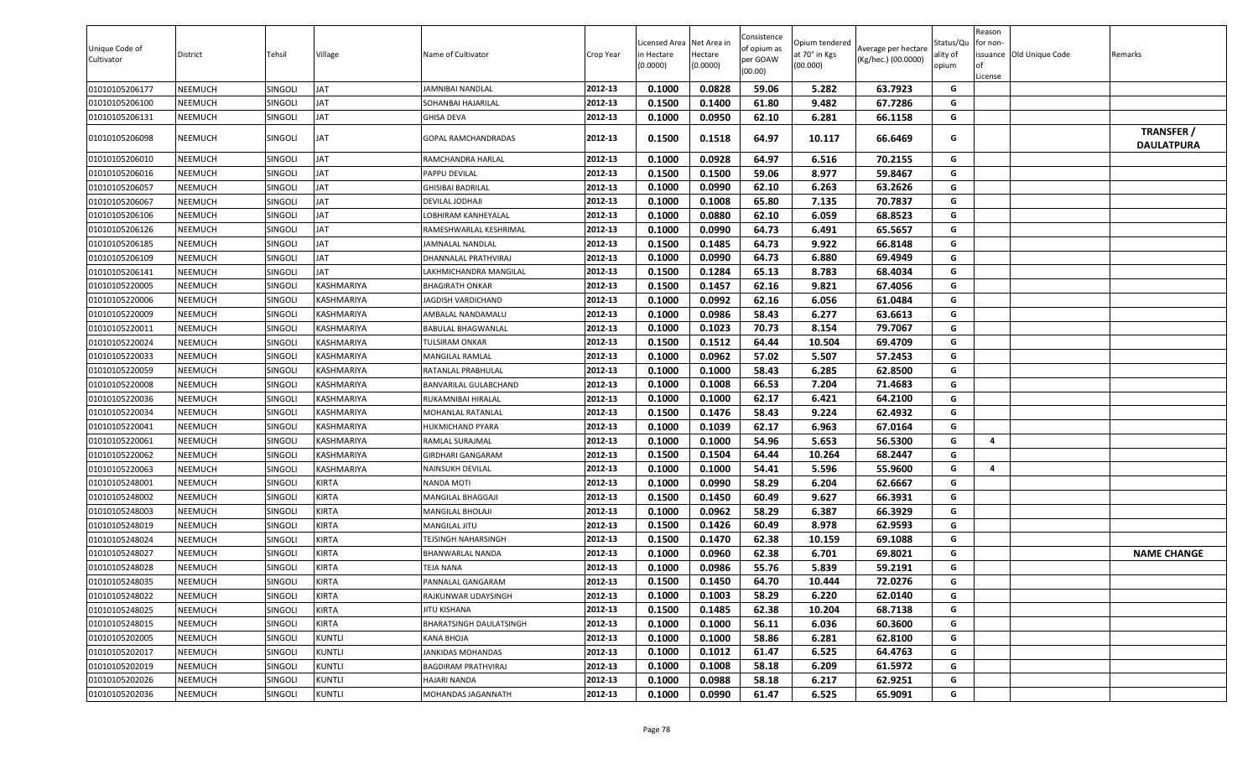| Unique Code of<br>Cultivator     | District | Tehsil         | Village       | Name of Cultivator                              | Crop Year          | icensed Area.<br>n Hectare<br>(0.0000) | Net Area in<br>Hectare<br>(0.0000) | Consistence<br>of opium as<br>per GOAW<br>(00.00) | Opium tendered<br>at 70° in Kgs<br>(00.000) | Average per hectare<br>(Kg/hec.) (00.0000) | Status/Qu<br>ality of<br>opium | Reason<br>for non-<br>∣∩f<br>License | issuance Old Unique Code | Remarks                                |
|----------------------------------|----------|----------------|---------------|-------------------------------------------------|--------------------|----------------------------------------|------------------------------------|---------------------------------------------------|---------------------------------------------|--------------------------------------------|--------------------------------|--------------------------------------|--------------------------|----------------------------------------|
| 01010105206177                   | NEEMUCH  | SINGOLI        | JAT           | JAMNIBAI NANDLAL                                | 2012-13            | 0.1000                                 | 0.0828                             | 59.06                                             | 5.282                                       | 63.7923                                    | G                              |                                      |                          |                                        |
| 01010105206100                   | NEEMUCH  | SINGOLI        | JAT           | SOHANBAI HAJARILAL                              | 2012-13            | 0.1500                                 | 0.1400                             | 61.80                                             | 9.482                                       | 67.7286                                    | G                              |                                      |                          |                                        |
| 01010105206131                   | NEEMUCH  | SINGOLI        | JAT           | GHISA DEVA                                      | 2012-13            | 0.1000                                 | 0.0950                             | 62.10                                             | 6.281                                       | 66.1158                                    | G                              |                                      |                          |                                        |
| 01010105206098                   | NEEMUCH  | SINGOLI        | JAT           | GOPAL RAMCHANDRADAS                             | 2012-13            | 0.1500                                 | 0.1518                             | 64.97                                             | 10.117                                      | 66.6469                                    | G                              |                                      |                          | <b>TRANSFER /</b><br><b>DAULATPURA</b> |
| 01010105206010                   | NEEMUCH  | SINGOLI        | JAT           | RAMCHANDRA HARLAL                               | 2012-13            | 0.1000                                 | 0.0928                             | 64.97                                             | 6.516                                       | 70.2155                                    | G                              |                                      |                          |                                        |
| 01010105206016                   | NEEMUCH  | SINGOLI        | JAT           | PAPPU DEVILAL                                   | 2012-13            | 0.1500                                 | 0.1500                             | 59.06                                             | 8.977                                       | 59.8467                                    | G                              |                                      |                          |                                        |
| 01010105206057                   | NEEMUCH  | SINGOLI        | JAT           | GHISIBAI BADRILAL                               | 2012-13            | 0.1000                                 | 0.0990                             | 62.10                                             | 6.263                                       | 63.2626                                    | G                              |                                      |                          |                                        |
| 01010105206067                   | NEEMUCH  | SINGOLI        | JAT           | DEVILAL JODHAJI                                 | 2012-13            | 0.1000                                 | 0.1008                             | 65.80                                             | 7.135                                       | 70.7837                                    | G                              |                                      |                          |                                        |
| 01010105206106                   | NEEMUCH  | SINGOLI        | JAT           | OBHIRAM KANHEYALAL                              | 2012-13            | 0.1000                                 | 0.0880                             | 62.10                                             | 6.059                                       | 68.8523                                    | G                              |                                      |                          |                                        |
| 01010105206126                   | NEEMUCH  | <b>SINGOLI</b> | JAT           | RAMESHWARLAL KESHRIMAL                          | 2012-13            | 0.1000                                 | 0.0990                             | 64.73                                             | 6.491                                       | 65.5657                                    | G                              |                                      |                          |                                        |
| 01010105206185                   | NEEMUCH  | <b>SINGOLI</b> | JAT           | AMNALAL NANDLAL                                 | 2012-13            | 0.1500                                 | 0.1485                             | 64.73                                             | 9.922                                       | 66.8148                                    | G                              |                                      |                          |                                        |
| 01010105206109                   | NEEMUCH  | SINGOLI        | JAT           | DHANNALAL PRATHVIRAJ                            | 2012-13            | 0.1000                                 | 0.0990                             | 64.73                                             | 6.880                                       | 69.4949                                    | G                              |                                      |                          |                                        |
| 01010105206141                   | NEEMUCH  | SINGOLI        | JAT           | AKHMICHANDRA MANGILAI                           | 2012-13            | 0.1500                                 | 0.1284                             | 65.13                                             | 8.783                                       | 68.4034                                    | G                              |                                      |                          |                                        |
| 01010105220005                   | NEEMUCH  | <b>SINGOLI</b> | KASHMARIYA    | <b>BHAGIRATH ONKAR</b>                          | 2012-13            | 0.1500                                 | 0.1457                             | 62.16                                             | 9.821                                       | 67.4056                                    | G                              |                                      |                          |                                        |
| 01010105220006                   | NEEMUCH  | <b>SINGOLI</b> | KASHMARIYA    | JAGDISH VARDICHAND                              | 2012-13            | 0.1000                                 | 0.0992                             | 62.16                                             | 6.056                                       | 61.0484                                    | G                              |                                      |                          |                                        |
| 01010105220009                   | NEEMUCH  | SINGOL         | KASHMARIYA    | AMBALAL NANDAMALU                               | 2012-13            | 0.1000                                 | 0.0986                             | 58.43                                             | 6.277                                       | 63.6613                                    | G                              |                                      |                          |                                        |
| 01010105220011                   | NEEMUCH  | <b>SINGOLI</b> | KASHMARIYA    | BABULAL BHAGWANLAL                              | 2012-13            | 0.1000                                 | 0.1023                             | 70.73                                             | 8.154                                       | 79.7067                                    | G                              |                                      |                          |                                        |
| 01010105220024                   | NEEMUCH  | <b>SINGOLI</b> | KASHMARIYA    | TULSIRAM ONKAR                                  | 2012-13            | 0.1500                                 | 0.1512                             | 64.44                                             | 10.504                                      | 69.4709                                    | G                              |                                      |                          |                                        |
| 01010105220033                   | NEEMUCH  | SINGOLI        | KASHMARIYA    | MANGILAL RAMLAL                                 | 2012-13            | 0.1000                                 | 0.0962                             | 57.02                                             | 5.507                                       | 57.2453                                    | G                              |                                      |                          |                                        |
| 01010105220059                   | NEEMUCH  | SINGOL         | KASHMARIYA    | RATANLAL PRABHULAL                              | 2012-13            | 0.1000                                 | 0.1000                             | 58.43                                             | 6.285                                       | 62.8500                                    | G                              |                                      |                          |                                        |
| 01010105220008                   | NEEMUCH  | SINGOLI        | KASHMARIYA    | BANVARILAL GULABCHAND                           | 2012-13            | 0.1000                                 | 0.1008                             | 66.53                                             | 7.204                                       | 71.4683                                    | G                              |                                      |                          |                                        |
| 01010105220036                   | NEEMUCH  | <b>SINGOLI</b> | KASHMARIYA    | RUKAMNIBAI HIRALAL                              | 2012-13            | 0.1000                                 | 0.1000                             | 62.17                                             | 6.421                                       | 64.2100                                    | G                              |                                      |                          |                                        |
| 01010105220034                   | NEEMUCH  | SINGOLI        | KASHMARIYA    | MOHANLAL RATANLAL                               | 2012-13            | 0.1500                                 | 0.1476                             | 58.43                                             | 9.224                                       | 62.4932                                    | G                              |                                      |                          |                                        |
| 01010105220041                   | NEEMUCH  | SINGOL         | KASHMARIYA    | HUKMICHAND PYARA                                | 2012-13            | 0.1000                                 | 0.1039                             | 62.17                                             | 6.963                                       | 67.0164                                    | G                              |                                      |                          |                                        |
| 01010105220061                   | NEEMUCH  | SINGOL         | KASHMARIYA    | RAMLAL SURAJMAL                                 | 2012-13            | 0.1000                                 | 0.1000                             | 54.96                                             | 5.653                                       | 56.5300                                    | G                              | 4                                    |                          |                                        |
| 01010105220062                   | NEEMUCH  | SINGOL         | KASHMARIYA    | <b>GIRDHARI GANGARAM</b>                        | 2012-13            | 0.1500                                 | 0.1504                             | 64.44                                             | 10.264                                      | 68.2447                                    | G                              |                                      |                          |                                        |
| 01010105220063                   | NEEMUCH  | <b>SINGOLI</b> | KASHMARIYA    | NAINSUKH DEVILAL                                | 2012-13            | 0.1000                                 | 0.1000                             | 54.41                                             | 5.596                                       | 55.9600                                    | G                              | 4                                    |                          |                                        |
| 01010105248001                   | NEEMUCH  | SINGOLI        | KIRTA         | NANDA MOTI                                      | 2012-13            | 0.1000                                 | 0.0990                             | 58.29                                             | 6.204                                       | 62.6667                                    | G                              |                                      |                          |                                        |
| 01010105248002                   | NEEMUCH  | <b>SINGOLI</b> | KIRTA         | MANGILAL BHAGGAJI                               | 2012-13            | 0.1500                                 | 0.1450                             | 60.49                                             | 9.627                                       | 66.3931                                    | G                              |                                      |                          |                                        |
| 01010105248003                   | NEEMUCH  | SINGOLI        | KIRTA         | MANGILAL BHOLAJI                                | 2012-13            | 0.1000                                 | 0.0962                             | 58.29                                             | 6.387                                       | 66.3929                                    | G                              |                                      |                          |                                        |
| 01010105248019                   | NEEMUCH  | <b>SINGOLI</b> | KIRTA         | MANGILAL JITU                                   | 2012-13            | 0.1500                                 | 0.1426                             | 60.49                                             | 8.978                                       | 62.9593                                    | G                              |                                      |                          |                                        |
| 01010105248024                   | NEEMUCH  | <b>SINGOLI</b> | KIRTA         | TEJSINGH NAHARSINGH                             | 2012-13            | 0.1500                                 | 0.1470                             | 62.38                                             | 10.159                                      | 69.1088                                    | G                              |                                      |                          |                                        |
| 01010105248027                   | NEEMUCH  | SINGOLI        | KIRTA         | BHANWARLAL NANDA                                | 2012-13            | 0.1000                                 | 0.0960                             | 62.38                                             | 6.701                                       | 69.8021                                    | G                              |                                      |                          | <b>NAME CHANGE</b>                     |
| 01010105248028                   | NEEMUCH  | SINGOLI        | <b>KIRTA</b>  | TEJA NANA                                       | 2012-13            | 0.1000                                 | 0.0986                             | 55.76                                             | 5.839                                       | 59.2191                                    | G                              |                                      |                          |                                        |
| 01010105248035                   | NEEMUCH  | SINGOLI        | KIRTA         | PANNALAL GANGARAM                               | 2012-13            | 0.1500                                 | 0.1450                             | 64.70                                             | 10.444                                      | 72.0276                                    | G                              |                                      |                          |                                        |
| 01010105248022                   | NEEMUCH  | SINGOLI        | KIRTA         | RAJKUNWAR UDAYSINGH                             | 2012-13            | 0.1000                                 | 0.1003                             | 58.29                                             | 6.220                                       | 62.0140                                    | G                              |                                      |                          |                                        |
| 01010105248025                   | NEEMUCH  | SINGOLI        | KIRTA         | JITU KISHANA                                    | 2012-13            | 0.1500                                 | 0.1485                             | 62.38                                             | 10.204                                      | 68.7138                                    | G                              |                                      |                          |                                        |
| 01010105248015                   | NEEMUCH  | SINGOLI        | KIRTA         |                                                 | 2012-13            | 0.1000                                 | 0.1000                             | 56.11                                             | 6.036                                       | 60.3600                                    | G                              |                                      |                          |                                        |
|                                  |          |                | <b>KUNTLI</b> | BHARATSINGH DAULATSINGH<br>KANA BHOJA           | 2012-13            |                                        |                                    | 58.86                                             |                                             |                                            | G                              |                                      |                          |                                        |
| 01010105202005<br>01010105202017 | NEEMUCH  | SINGOLI        |               |                                                 |                    | 0.1000                                 | 0.1000                             | 61.47                                             | 6.281<br>6.525                              | 62.8100<br>64.4763                         |                                |                                      |                          |                                        |
| 01010105202019                   | NEEMUCH  | SINGOLI        | KUNTLI        | JANKIDAS MOHANDAS<br><b>BAGDIRAM PRATHVIRAJ</b> | 2012-13<br>2012-13 | 0.1000                                 | 0.1012<br>0.1008                   | 58.18                                             | 6.209                                       | 61.5972                                    | G<br>G                         |                                      |                          |                                        |
| 01010105202026                   | NEEMUCH  | SINGOLI        | <b>KUNTLI</b> |                                                 | 2012-13            | 0.1000                                 |                                    |                                                   |                                             |                                            |                                |                                      |                          |                                        |
|                                  | NEEMUCH  | <b>SINGOLI</b> | KUNTLI        | HAJARI NANDA                                    |                    | 0.1000                                 | 0.0988                             | 58.18                                             | 6.217                                       | 62.9251                                    | G                              |                                      |                          |                                        |
| 01010105202036                   | NEEMUCH  | SINGOLI        | <b>KUNTLI</b> | MOHANDAS JAGANNATH                              | 2012-13            | 0.1000                                 | 0.0990                             | 61.47                                             | 6.525                                       | 65.9091                                    | G                              |                                      |                          |                                        |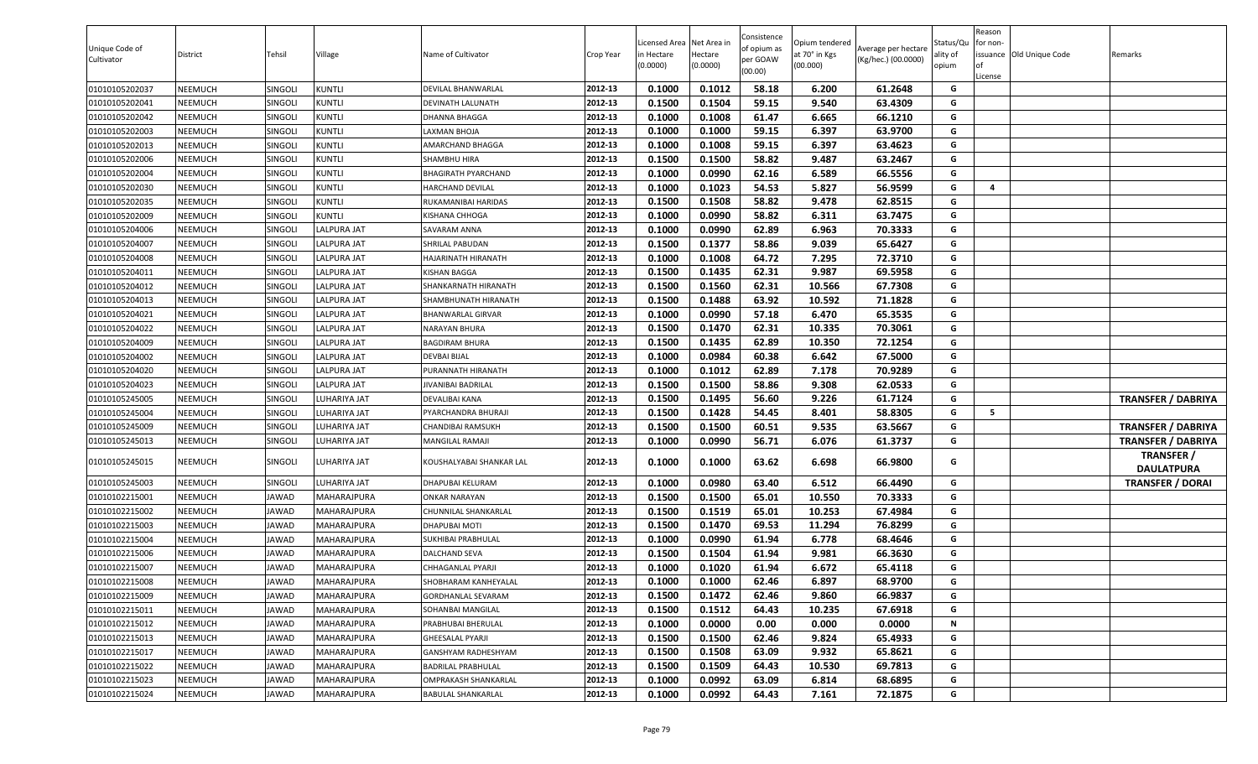| Unique Code of<br>Cultivator | District       | Tehsil         | Village      | Name of Cultivator          | Crop Year | Licensed Area Net Area in<br>in Hectare<br>(0.0000) | Hectare<br>(0.0000) | Consistence<br>of opium as<br>per GOAW<br>(00.00) | Opium tendered<br>at 70° in Kgs<br>(00.000) | Average per hectare<br>(Kg/hec.) (00.0000) | Status/Qu<br>ality of<br>opium | Reason<br>for non-<br>l of<br>License | issuance Old Unique Code | Remarks                                |
|------------------------------|----------------|----------------|--------------|-----------------------------|-----------|-----------------------------------------------------|---------------------|---------------------------------------------------|---------------------------------------------|--------------------------------------------|--------------------------------|---------------------------------------|--------------------------|----------------------------------------|
| 01010105202037               | <b>NEEMUCH</b> | SINGOLI        | KUNTLI       | DEVILAL BHANWARLAL          | 2012-13   | 0.1000                                              | 0.1012              | 58.18                                             | 6.200                                       | 61.2648                                    | G                              |                                       |                          |                                        |
| 01010105202041               | NEEMUCH        | SINGOLI        | KUNTLI       | DEVINATH LALUNATH           | 2012-13   | 0.1500                                              | 0.1504              | 59.15                                             | 9.540                                       | 63.4309                                    | G                              |                                       |                          |                                        |
| 01010105202042               | NEEMUCH        | <b>SINGOLI</b> | KUNTLI       | DHANNA BHAGGA               | 2012-13   | 0.1000                                              | 0.1008              | 61.47                                             | 6.665                                       | 66.1210                                    | G                              |                                       |                          |                                        |
| 01010105202003               | NEEMUCH        | SINGOLI        | KUNTLI       | LAXMAN BHOJA                | 2012-13   | 0.1000                                              | 0.1000              | 59.15                                             | 6.397                                       | 63.9700                                    | G                              |                                       |                          |                                        |
| 01010105202013               | <b>NEEMUCH</b> | SINGOLI        | KUNTLI       | <b>AMARCHAND BHAGGA</b>     | 2012-13   | 0.1000                                              | 0.1008              | 59.15                                             | 6.397                                       | 63.4623                                    | G                              |                                       |                          |                                        |
| 01010105202006               | <b>NEEMUCH</b> | SINGOLI        | KUNTLI       | SHAMBHU HIRA                | 2012-13   | 0.1500                                              | 0.1500              | 58.82                                             | 9.487                                       | 63.2467                                    | G                              |                                       |                          |                                        |
| 01010105202004               | <b>NEEMUCH</b> | SINGOLI        | KUNTLI       | <b>BHAGIRATH PYARCHAND</b>  | 2012-13   | 0.1000                                              | 0.0990              | 62.16                                             | 6.589                                       | 66.5556                                    | G                              |                                       |                          |                                        |
| 01010105202030               | <b>NEEMUCH</b> | SINGOLI        | KUNTLI       | HARCHAND DEVILAL            | 2012-13   | 0.1000                                              | 0.1023              | 54.53                                             | 5.827                                       | 56.9599                                    | G                              | 4                                     |                          |                                        |
| 01010105202035               | NEEMUCH        | SINGOLI        | KUNTLI       | RUKAMANIBAI HARIDAS         | 2012-13   | 0.1500                                              | 0.1508              | 58.82                                             | 9.478                                       | 62.8515                                    | G                              |                                       |                          |                                        |
| 01010105202009               | <b>NEEMUCH</b> | <b>SINGOLI</b> | KUNTLI       | KISHANA CHHOGA              | 2012-13   | 0.1000                                              | 0.0990              | 58.82                                             | 6.311                                       | 63.7475                                    | G                              |                                       |                          |                                        |
| 01010105204006               | NEEMUCH        | SINGOLI        | LALPURA JAT  | SAVARAM ANNA                | 2012-13   | 0.1000                                              | 0.0990              | 62.89                                             | 6.963                                       | 70.3333                                    | G                              |                                       |                          |                                        |
| 01010105204007               | NEEMUCH        | SINGOLI        | LALPURA JAT  | SHRILAL PABUDAN             | 2012-13   | 0.1500                                              | 0.1377              | 58.86                                             | 9.039                                       | 65.6427                                    | G                              |                                       |                          |                                        |
| 01010105204008               | NEEMUCH        | SINGOLI        | LALPURA JAT  | HAJARINATH HIRANATH         | 2012-13   | 0.1000                                              | 0.1008              | 64.72                                             | 7.295                                       | 72.3710                                    | G                              |                                       |                          |                                        |
| 01010105204011               | <b>NEEMUCH</b> | SINGOLI        | LALPURA JAT  | KISHAN BAGGA                | 2012-13   | 0.1500                                              | 0.1435              | 62.31                                             | 9.987                                       | 69.5958                                    | G                              |                                       |                          |                                        |
| 01010105204012               | <b>NEEMUCH</b> | SINGOLI        | LALPURA JAT  | SHANKARNATH HIRANATH        | 2012-13   | 0.1500                                              | 0.1560              | 62.31                                             | 10.566                                      | 67.7308                                    | G                              |                                       |                          |                                        |
| 01010105204013               | <b>NEEMUCH</b> | <b>SINGOLI</b> | LALPURA JAT  | SHAMBHUNATH HIRANATH        | 2012-13   | 0.1500                                              | 0.1488              | 63.92                                             | 10.592                                      | 71.1828                                    | G                              |                                       |                          |                                        |
| 01010105204021               | <b>NEEMUCH</b> | <b>SINGOLI</b> | LALPURA JAT  | <b>BHANWARLAL GIRVAR</b>    | 2012-13   | 0.1000                                              | 0.0990              | 57.18                                             | 6.470                                       | 65.3535                                    | G                              |                                       |                          |                                        |
| 01010105204022               | <b>NEEMUCH</b> | SINGOLI        | LALPURA JAT  | NARAYAN BHURA               | 2012-13   | 0.1500                                              | 0.1470              | 62.31                                             | 10.335                                      | 70.3061                                    | G                              |                                       |                          |                                        |
| 01010105204009               | NEEMUCH        | SINGOLI        | LALPURA JAT  | <b>BAGDIRAM BHURA</b>       | 2012-13   | 0.1500                                              | 0.1435              | 62.89                                             | 10.350                                      | 72.1254                                    | G                              |                                       |                          |                                        |
| 01010105204002               | NEEMUCH        | SINGOLI        | LALPURA JAT  | <b>DEVBAI BIJAL</b>         | 2012-13   | 0.1000                                              | 0.0984              | 60.38                                             | 6.642                                       | 67.5000                                    | G                              |                                       |                          |                                        |
| 01010105204020               | NEEMUCH        | <b>SINGOLI</b> | LALPURA JAT  | <b>URANNATH HIRANATH</b>    | 2012-13   | 0.1000                                              | 0.1012              | 62.89                                             | 7.178                                       | 70.9289                                    | G                              |                                       |                          |                                        |
| 01010105204023               | <b>NEEMUCH</b> | SINGOLI        | LALPURA JAT  | JIVANIBAI BADRILAL          | 2012-13   | 0.1500                                              | 0.1500              | 58.86                                             | 9.308                                       | 62.0533                                    | G                              |                                       |                          |                                        |
| 01010105245005               | <b>NEEMUCH</b> | SINGOLI        | LUHARIYA JAT | DEVALIBAI KANA              | 2012-13   | 0.1500                                              | 0.1495              | 56.60                                             | 9.226                                       | 61.7124                                    | G                              |                                       |                          | <b>TRANSFER / DABRIYA</b>              |
| 01010105245004               | <b>NEEMUCH</b> | SINGOLI        | LUHARIYA JAT | PYARCHANDRA BHURAJI         | 2012-13   | 0.1500                                              | 0.1428              | 54.45                                             | 8.401                                       | 58.8305                                    | G                              | 5                                     |                          |                                        |
| 01010105245009               | <b>NEEMUCH</b> | <b>SINGOLI</b> | LUHARIYA JAT | CHANDIBAI RAMSUKH           | 2012-13   | 0.1500                                              | 0.1500              | 60.51                                             | 9.535                                       | 63.5667                                    | G                              |                                       |                          | <b>TRANSFER / DABRIYA</b>              |
| 01010105245013               | <b>NEEMUCH</b> | SINGOLI        | LUHARIYA JAT | MANGILAL RAMAJI             | 2012-13   | 0.1000                                              | 0.0990              | 56.71                                             | 6.076                                       | 61.3737                                    | G                              |                                       |                          | <b>TRANSFER / DABRIYA</b>              |
| 01010105245015               | NEEMUCH        | SINGOLI        | LUHARIYA JAT | KOUSHALYABAI SHANKAR LAL    | 2012-13   | 0.1000                                              | 0.1000              | 63.62                                             | 6.698                                       | 66.9800                                    | G                              |                                       |                          | <b>TRANSFER /</b><br><b>DAULATPURA</b> |
| 01010105245003               | NEEMUCH        | <b>SINGOLI</b> | LUHARIYA JAT | DHAPUBAI KELURAM            | 2012-13   | 0.1000                                              | 0.0980              | 63.40                                             | 6.512                                       | 66.4490                                    | G                              |                                       |                          | <b>TRANSFER / DORAI</b>                |
| 01010102215001               | <b>NEEMUCH</b> | JAWAD          | MAHARAJPURA  | ONKAR NARAYAN               | 2012-13   | 0.1500                                              | 0.1500              | 65.01                                             | 10.550                                      | 70.3333                                    | G                              |                                       |                          |                                        |
| 01010102215002               | <b>NEEMUCH</b> | <b>JAWAD</b>   | MAHARAJPURA  | CHUNNILAL SHANKARLAL        | 2012-13   | 0.1500                                              | 0.1519              | 65.01                                             | 10.253                                      | 67.4984                                    | G                              |                                       |                          |                                        |
| 01010102215003               | <b>NEEMUCH</b> | JAWAD          | MAHARAJPURA  | DHAPUBAI MOTI               | 2012-13   | 0.1500                                              | 0.1470              | 69.53                                             | 11.294                                      | 76.8299                                    | G                              |                                       |                          |                                        |
| 01010102215004               | <b>NEEMUCH</b> | <b>JAWAD</b>   | MAHARAJPURA  | SUKHIBAI PRABHULAL          | 2012-13   | 0.1000                                              | 0.0990              | 61.94                                             | 6.778                                       | 68.4646                                    | G                              |                                       |                          |                                        |
| 01010102215006               | <b>NEEMUCH</b> | JAWAD          | MAHARAJPURA  | DALCHAND SEVA               | 2012-13   | 0.1500                                              | 0.1504              | 61.94                                             | 9.981                                       | 66.3630                                    | G                              |                                       |                          |                                        |
| 01010102215007               | <b>NEEMUCH</b> | JAWAD          | MAHARAJPURA  | CHHAGANLAL PYARJI           | 2012-13   | 0.1000                                              | 0.1020              | 61.94                                             | 6.672                                       | 65.4118                                    | G                              |                                       |                          |                                        |
| 01010102215008               | <b>NEEMUCH</b> | <b>JAWAD</b>   | MAHARAJPURA  | SHOBHARAM KANHEYALAL        | 2012-13   | 0.1000                                              | 0.1000              | 62.46                                             | 6.897                                       | 68.9700                                    | G                              |                                       |                          |                                        |
| 01010102215009               | <b>NEEMUCH</b> | <b>JAWAD</b>   | MAHARAJPURA  | GORDHANLAL SEVARAM          | 2012-13   | 0.1500                                              | 0.1472              | 62.46                                             | 9.860                                       | 66.9837                                    | G                              |                                       |                          |                                        |
| 01010102215011               | NEEMUCH        | JAWAD          | MAHARAJPURA  | SOHANBAI MANGILAL           | 2012-13   | 0.1500                                              | 0.1512              | 64.43                                             | 10.235                                      | 67.6918                                    | G                              |                                       |                          |                                        |
| 01010102215012               | <b>NEEMUCH</b> | <b>JAWAD</b>   | MAHARAJPURA  | PRABHUBAI BHERULAL          | 2012-13   | 0.1000                                              | 0.0000              | 0.00                                              | 0.000                                       | 0.0000                                     | N                              |                                       |                          |                                        |
| 01010102215013               | <b>NEEMUCH</b> | JAWAD          | MAHARAJPURA  | <b>GHEESALAL PYARJI</b>     | 2012-13   | 0.1500                                              | 0.1500              | 62.46                                             | 9.824                                       | 65.4933                                    | G                              |                                       |                          |                                        |
| 01010102215017               | <b>NEEMUCH</b> | <b>JAWAD</b>   | MAHARAJPURA  | GANSHYAM RADHESHYAM         | 2012-13   | 0.1500                                              | 0.1508              | 63.09                                             | 9.932                                       | 65.8621                                    | G                              |                                       |                          |                                        |
| 01010102215022               | <b>NEEMUCH</b> | JAWAD          | MAHARAJPURA  | <b>BADRILAL PRABHULAL</b>   | 2012-13   | 0.1500                                              | 0.1509              | 64.43                                             | 10.530                                      | 69.7813                                    | G                              |                                       |                          |                                        |
| 01010102215023               | <b>NEEMUCH</b> | <b>JAWAD</b>   | MAHARAJPURA  | <b>OMPRAKASH SHANKARLAL</b> | 2012-13   | 0.1000                                              | 0.0992              | 63.09                                             | 6.814                                       | 68.6895                                    | G                              |                                       |                          |                                        |
| 01010102215024               | <b>NEEMUCH</b> | <b>JAWAD</b>   | MAHARAJPURA  | <b>BABULAL SHANKARLAL</b>   | 2012-13   | 0.1000                                              | 0.0992              | 64.43                                             | 7.161                                       | 72.1875                                    | G                              |                                       |                          |                                        |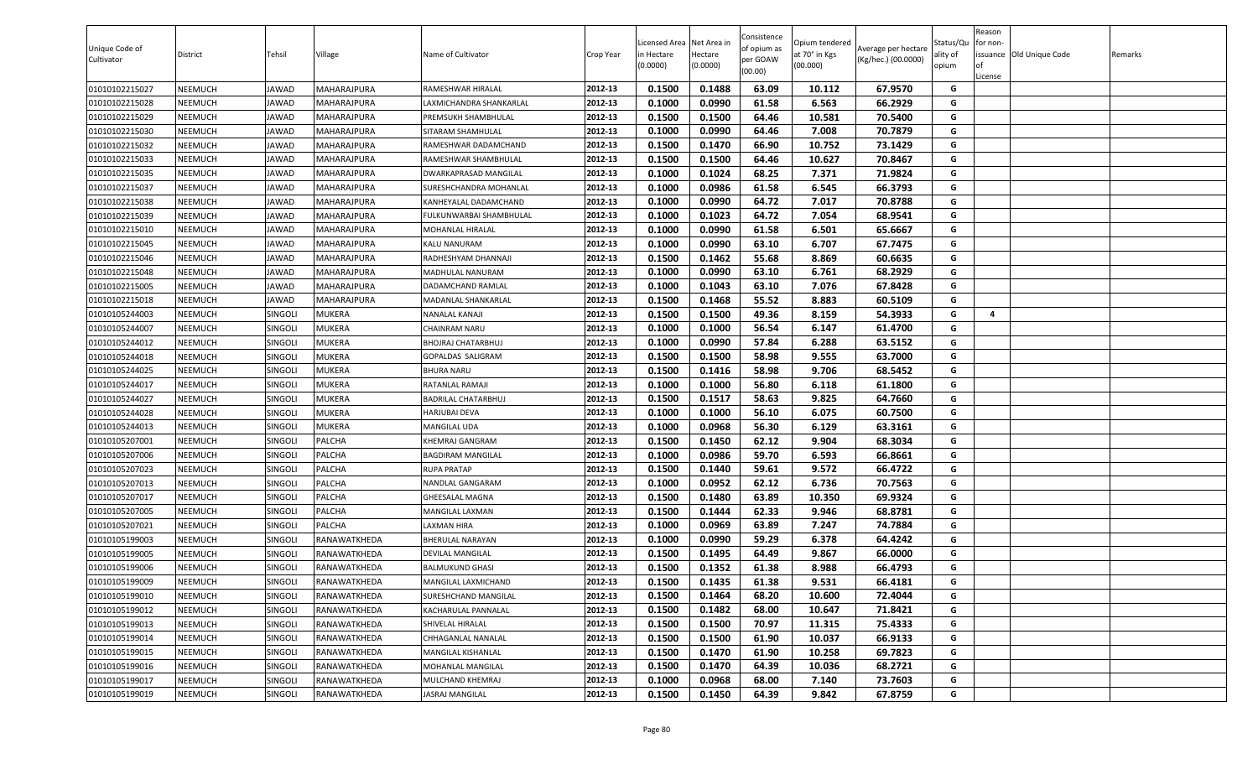| 0.1500<br>0.1488<br>63.09<br>01010102215027<br>NEEMUCH<br><b>JAWAD</b><br>MAHARAJPURA<br>2012-13<br>10.112<br>67.9570<br>G<br>RAMESHWAR HIRALAL<br>01010102215028<br>2012-13<br>0.1000<br>0.0990<br>61.58<br>6.563<br>66.2929<br>NEEMUCH<br><b>JAWAD</b><br>MAHARAJPURA<br>G<br>LAXMICHANDRA SHANKARLAL<br>01010102215029<br>NEEMUCH<br>2012-13<br>0.1500<br>0.1500<br>64.46<br>10.581<br>70.5400<br>G<br><b>JAWAD</b><br>MAHARAJPURA<br>PREMSUKH SHAMBHULAL<br>0.1000<br>0.0990<br>64.46<br>7.008<br>70.7879<br>01010102215030<br>2012-13<br>G<br>NEEMUCH<br>JAWAD<br>MAHARAJPURA<br>SITARAM SHAMHULAL<br>66.90<br>0.1500<br>0.1470<br>10.752<br>73.1429<br>G<br>01010102215032<br>NEEMUCH<br><b>JAWAD</b><br>MAHARAJPURA<br>2012-13<br>RAMESHWAR DADAMCHAND |  |
|---------------------------------------------------------------------------------------------------------------------------------------------------------------------------------------------------------------------------------------------------------------------------------------------------------------------------------------------------------------------------------------------------------------------------------------------------------------------------------------------------------------------------------------------------------------------------------------------------------------------------------------------------------------------------------------------------------------------------------------------------------------|--|
|                                                                                                                                                                                                                                                                                                                                                                                                                                                                                                                                                                                                                                                                                                                                                               |  |
|                                                                                                                                                                                                                                                                                                                                                                                                                                                                                                                                                                                                                                                                                                                                                               |  |
|                                                                                                                                                                                                                                                                                                                                                                                                                                                                                                                                                                                                                                                                                                                                                               |  |
|                                                                                                                                                                                                                                                                                                                                                                                                                                                                                                                                                                                                                                                                                                                                                               |  |
|                                                                                                                                                                                                                                                                                                                                                                                                                                                                                                                                                                                                                                                                                                                                                               |  |
| 2012-13<br>0.1500<br>0.1500<br>10.627<br>01010102215033<br>64.46<br>70.8467<br>G<br>NEEMUCH<br><b>JAWAD</b><br>MAHARAJPURA<br>RAMESHWAR SHAMBHULAL                                                                                                                                                                                                                                                                                                                                                                                                                                                                                                                                                                                                            |  |
| G<br>2012-13<br>0.1000<br>0.1024<br>68.25<br>7.371<br>71.9824<br>01010102215035<br>NEEMUCH<br><b>JAWAD</b><br>MAHARAJPURA<br>DWARKAPRASAD MANGILAL                                                                                                                                                                                                                                                                                                                                                                                                                                                                                                                                                                                                            |  |
| G<br>2012-13<br>0.0986<br>61.58<br>6.545<br>66.3793<br>01010102215037<br>NEEMUCH<br>SURESHCHANDRA MOHANLAL<br>0.1000<br><b>JAWAD</b><br>MAHARAJPURA                                                                                                                                                                                                                                                                                                                                                                                                                                                                                                                                                                                                           |  |
| 01010102215038<br>2012-13<br>0.1000<br>0.0990<br>64.72<br>7.017<br>70.8788<br>G<br>NEEMUCH<br><b>JAWAD</b><br>MAHARAJPURA<br>KANHEYALAL DADAMCHAND                                                                                                                                                                                                                                                                                                                                                                                                                                                                                                                                                                                                            |  |
| 01010102215039<br>2012-13<br>0.1000<br>0.1023<br>64.72<br>7.054<br>68.9541<br>G<br>NEEMUCH<br><b>JAWAD</b><br>MAHARAJPURA<br>FULKUNWARBAI SHAMBHULAL                                                                                                                                                                                                                                                                                                                                                                                                                                                                                                                                                                                                          |  |
| 0.1000<br>0.0990<br>61.58<br>6.501<br>65.6667<br>01010102215010<br>NEEMUCH<br><b>JAWAD</b><br>MAHARAJPURA<br>2012-13<br>G<br>MOHANLAL HIRALAL                                                                                                                                                                                                                                                                                                                                                                                                                                                                                                                                                                                                                 |  |
| 0.0990<br>63.10<br>G<br>2012-13<br>0.1000<br>6.707<br>67.7475<br>01010102215045<br>NEEMUCH<br><b>JAWAD</b><br>MAHARAJPURA<br><b>KALU NANURAM</b>                                                                                                                                                                                                                                                                                                                                                                                                                                                                                                                                                                                                              |  |
| 2012-13<br>0.1500<br>0.1462<br>55.68<br>8.869<br>60.6635<br>G<br>01010102215046<br>NEEMUCH<br><b>JAWAD</b><br>MAHARAJPURA<br>RADHESHYAM DHANNAJI                                                                                                                                                                                                                                                                                                                                                                                                                                                                                                                                                                                                              |  |
| 0.0990<br>63.10<br>6.761<br>01010102215048<br>2012-13<br>0.1000<br>68.2929<br>G<br>NEEMUCH<br><b>JAWAD</b><br>MAHARAJPURA<br>MADHULAL NANURAM                                                                                                                                                                                                                                                                                                                                                                                                                                                                                                                                                                                                                 |  |
| 2012-13<br>0.1000<br>0.1043<br>63.10<br>7.076<br>67.8428<br>01010102215005<br><b>NEEMUCH</b><br><b>JAWAD</b><br><b>MAHARAJPURA</b><br>G<br>DADAMCHAND RAMLAL                                                                                                                                                                                                                                                                                                                                                                                                                                                                                                                                                                                                  |  |
| 0.1500<br>0.1468<br>55.52<br>8.883<br>60.5109<br>G<br>01010102215018<br>NEEMUCH<br>2012-13<br><b>JAWAD</b><br>MAHARAJPURA<br>MADANLAL SHANKARLAL                                                                                                                                                                                                                                                                                                                                                                                                                                                                                                                                                                                                              |  |
| 0.1500<br>0.1500<br>49.36<br>8.159<br>54.3933<br>01010105244003<br>2012-13<br>G<br>NEEMUCH<br>SINGOLI<br><b>MUKERA</b><br>NANALAL KANAJI<br>4                                                                                                                                                                                                                                                                                                                                                                                                                                                                                                                                                                                                                 |  |
| G<br>2012-13<br>0.1000<br>0.1000<br>56.54<br>6.147<br>61.4700<br>01010105244007<br>NEEMUCH<br>SINGOLI<br>MUKERA<br><b>CHAINRAM NARU</b>                                                                                                                                                                                                                                                                                                                                                                                                                                                                                                                                                                                                                       |  |
| 01010105244012<br>2012-13<br>0.1000<br>0.0990<br>57.84<br>6.288<br>63.5152<br>G<br>NEEMUCH<br>SINGOLI<br>MUKERA<br><b>BHOJRAJ CHATARBHUJ</b>                                                                                                                                                                                                                                                                                                                                                                                                                                                                                                                                                                                                                  |  |
| 2012-13<br>G<br>01010105244018<br>NEEMUCH<br>SINGOLI<br>MUKERA<br>GOPALDAS SALIGRAM<br>0.1500<br>0.1500<br>58.98<br>9.555<br>63.7000                                                                                                                                                                                                                                                                                                                                                                                                                                                                                                                                                                                                                          |  |
| 0.1500<br>0.1416<br>58.98<br>9.706<br>68.5452<br>01010105244025<br>SINGOLI<br>MUKERA<br>2012-13<br>G<br>NEEMUCH<br><b>BHURA NARU</b>                                                                                                                                                                                                                                                                                                                                                                                                                                                                                                                                                                                                                          |  |
| 56.80<br>0.1000<br>0.1000<br>6.118<br>61.1800<br>01010105244017<br>NEEMUCH<br>SINGOLI<br><b>MUKERA</b><br>2012-13<br>G<br>RATANLAL RAMAJI                                                                                                                                                                                                                                                                                                                                                                                                                                                                                                                                                                                                                     |  |
| 01010105244027<br>NEEMUCH<br>SINGOLI<br><b>MUKERA</b><br>2012-13<br>0.1500<br>0.1517<br>58.63<br>9.825<br>64.7660<br><b>BADRILAL CHATARBHUJ</b><br>G                                                                                                                                                                                                                                                                                                                                                                                                                                                                                                                                                                                                          |  |
| 01010105244028<br>NEEMUCH<br><b>SINGOLI</b><br><b>MUKERA</b><br>2012-13<br>0.1000<br>0.1000<br>56.10<br>6.075<br>60.7500<br>G<br><b>HARJUBAI DEVA</b>                                                                                                                                                                                                                                                                                                                                                                                                                                                                                                                                                                                                         |  |
| 0.1000<br>0.0968<br>56.30<br>6.129<br>01010105244013<br>NEEMUCH<br>SINGOLI<br><b>MUKERA</b><br>2012-13<br>63.3161<br>G<br>MANGILAL UDA                                                                                                                                                                                                                                                                                                                                                                                                                                                                                                                                                                                                                        |  |
| 0.1500<br>0.1450<br>62.12<br>9.904<br>68.3034<br>01010105207001<br>NEEMUCH<br>SINGOLI<br>PALCHA<br>2012-13<br>G<br>KHEMRAJ GANGRAM                                                                                                                                                                                                                                                                                                                                                                                                                                                                                                                                                                                                                            |  |
| 01010105207006<br>SINGOLI<br>2012-13<br>0.1000<br>0.0986<br>59.70<br>6.593<br>66.8661<br>NEEMUCH<br>PALCHA<br>G<br><b>BAGDIRAM MANGILAL</b>                                                                                                                                                                                                                                                                                                                                                                                                                                                                                                                                                                                                                   |  |
| 9.572<br>66.4722<br>01010105207023<br>NEEMUCH<br>SINGOLI<br>PALCHA<br>2012-13<br>0.1500<br>0.1440<br>59.61<br>G<br><b>RUPA PRATAP</b>                                                                                                                                                                                                                                                                                                                                                                                                                                                                                                                                                                                                                         |  |
| 2012-13<br>0.1000<br>0.0952<br>62.12<br>6.736<br>70.7563<br>G<br>01010105207013<br>SINGOLI<br>PALCHA<br>NEEMUCH<br>NANDLAL GANGARAM                                                                                                                                                                                                                                                                                                                                                                                                                                                                                                                                                                                                                           |  |
| 63.89<br>G<br>2012-13<br>0.1500<br>0.1480<br>10.350<br>69.9324<br>01010105207017<br>NEEMUCH<br>SINGOLI<br>PALCHA<br><b>GHEESALAL MAGNA</b>                                                                                                                                                                                                                                                                                                                                                                                                                                                                                                                                                                                                                    |  |
| 2012-13<br>0.1500<br>62.33<br>68.8781<br>G<br>01010105207005<br>PALCHA<br>MANGILAL LAXMAN<br>0.1444<br>9.946<br>NEEMUCH<br>SINGOLI                                                                                                                                                                                                                                                                                                                                                                                                                                                                                                                                                                                                                            |  |
| <b>LAXMAN HIRA</b><br>2012-13<br>0.1000<br>0.0969<br>63.89<br>7.247<br>74.7884<br>G<br>01010105207021<br><b>NEEMUCH</b><br>SINGOLI<br>PALCHA                                                                                                                                                                                                                                                                                                                                                                                                                                                                                                                                                                                                                  |  |
| 0.0990<br>59.29<br>6.378<br>G<br>NEEMUCH<br><b>SINGOLI</b><br>RANAWATKHEDA<br>2012-13<br>0.1000<br>64.4242<br>01010105199003<br>BHERULAL NARAYAN                                                                                                                                                                                                                                                                                                                                                                                                                                                                                                                                                                                                              |  |
| 0.1500<br>0.1495<br>64.49<br>9.867<br>01010105199005<br>NEEMUCH<br>SINGOLI<br>RANAWATKHEDA<br>2012-13<br>66.0000<br>G<br>DEVILAL MANGILAL                                                                                                                                                                                                                                                                                                                                                                                                                                                                                                                                                                                                                     |  |
| 0.1352<br>01010105199006<br>SINGOLI<br>2012-13<br>0.1500<br>61.38<br>8.988<br>66.4793<br>G<br>NEEMUCH<br>RANAWATKHEDA<br><b>BALMUKUND GHASI</b>                                                                                                                                                                                                                                                                                                                                                                                                                                                                                                                                                                                                               |  |
| SINGOLI<br>2012-13<br>0.1500<br>0.1435<br>61.38<br>9.531<br>66.4181<br>01010105199009<br>NEEMUCH<br>RANAWATKHEDA<br>G<br>MANGILAL LAXMICHAND                                                                                                                                                                                                                                                                                                                                                                                                                                                                                                                                                                                                                  |  |
| 0.1500<br>0.1464<br>68.20<br>G<br>01010105199010<br>NEEMUCH<br>2012-13<br>10.600<br>72.4044<br><b>SINGOLI</b><br>RANAWATKHEDA<br>SURESHCHAND MANGILAL                                                                                                                                                                                                                                                                                                                                                                                                                                                                                                                                                                                                         |  |
| 2012-13<br>0.1500<br>0.1482<br>68.00<br>10.647<br>71.8421<br>01010105199012<br>NEEMUCH<br><b>SINGOLI</b><br>RANAWATKHEDA<br>G<br>KACHARULAL PANNALAL                                                                                                                                                                                                                                                                                                                                                                                                                                                                                                                                                                                                          |  |
| 0.1500<br>70.97<br>01010105199013<br>SINGOLI<br>2012-13<br>0.1500<br>11.315<br>75.4333<br>G<br><b>NEEMUCH</b><br>RANAWATKHEDA<br>SHIVELAL HIRALAL                                                                                                                                                                                                                                                                                                                                                                                                                                                                                                                                                                                                             |  |
| 2012-13<br>0.1500<br>0.1500<br>61.90<br>10.037<br>66.9133<br>01010105199014<br><b>NEEMUCH</b><br><b>SINGOLI</b><br>RANAWATKHEDA<br>CHHAGANLAL NANALAL<br>G                                                                                                                                                                                                                                                                                                                                                                                                                                                                                                                                                                                                    |  |
| G<br>2012-13<br>0.1470<br>61.90<br>10.258<br>01010105199015<br><b>NEEMUCH</b><br>SINGOLI<br>RANAWATKHEDA<br><b>MANGILAL KISHANLAL</b><br>0.1500<br>69.7823                                                                                                                                                                                                                                                                                                                                                                                                                                                                                                                                                                                                    |  |
| 01010105199016<br>2012-13<br>0.1470<br>64.39<br>10.036<br>68.2721<br>G<br>NEEMUCH<br>SINGOLI<br>MOHANLAL MANGILAL<br>0.1500<br>RANAWATKHEDA                                                                                                                                                                                                                                                                                                                                                                                                                                                                                                                                                                                                                   |  |
| G<br>01010105199017<br>2012-13<br>0.1000<br>0.0968<br>68.00<br>7.140<br>73.7603<br><b>NEEMUCH</b><br><b>SINGOLI</b><br>RANAWATKHEDA<br>MULCHAND KHEMRAJ                                                                                                                                                                                                                                                                                                                                                                                                                                                                                                                                                                                                       |  |
| 01010105199019<br>SINGOLI<br><b>JASRAJ MANGILAL</b><br>2012-13<br>0.1500<br>0.1450<br>64.39<br>9.842<br>67.8759<br>G<br><b>NEEMUCH</b><br>RANAWATKHEDA                                                                                                                                                                                                                                                                                                                                                                                                                                                                                                                                                                                                        |  |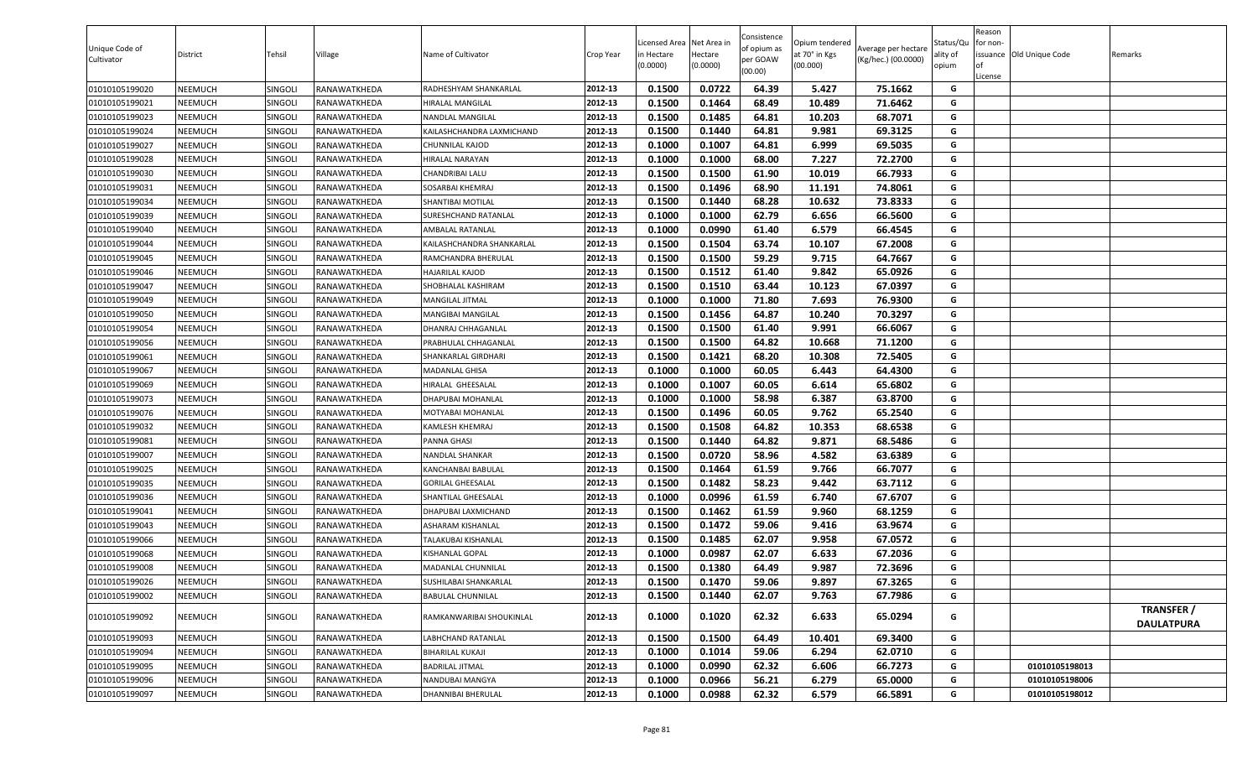| Unique Code of<br>Cultivator | District | Tehsil         | Village      | Name of Cultivator        | Crop Year | Licensed Area Net Area in<br>in Hectare<br>(0.0000) | Hectare<br>(0.0000) | Consistence<br>of opium as<br>per GOAW<br>(00.00) | Opium tendered<br>at 70° in Kgs<br>(00.000) | Average per hectare<br>(Kg/hec.) (00.0000) | Status/Qu<br>ality of<br>opium | Reason<br>for non-<br><b>of</b><br>License | issuance Old Unique Code | Remarks                                |
|------------------------------|----------|----------------|--------------|---------------------------|-----------|-----------------------------------------------------|---------------------|---------------------------------------------------|---------------------------------------------|--------------------------------------------|--------------------------------|--------------------------------------------|--------------------------|----------------------------------------|
| 01010105199020               | NEEMUCH  | SINGOLI        | RANAWATKHEDA | RADHESHYAM SHANKARLAL     | 2012-13   | 0.1500                                              | 0.0722              | 64.39                                             | 5.427                                       | 75.1662                                    | G                              |                                            |                          |                                        |
| 01010105199021               | NEEMUCH  | SINGOL         | RANAWATKHEDA | HIRALAL MANGILAL          | 2012-13   | 0.1500                                              | 0.1464              | 68.49                                             | 10.489                                      | 71.6462                                    | G                              |                                            |                          |                                        |
| 01010105199023               | NEEMUCH  | SINGOL         | RANAWATKHEDA | NANDLAL MANGILAL          | 2012-13   | 0.1500                                              | 0.1485              | 64.81                                             | 10.203                                      | 68.7071                                    | G                              |                                            |                          |                                        |
| 01010105199024               | NEEMUCH  | SINGOLI        | RANAWATKHEDA | KAILASHCHANDRA LAXMICHAND | 2012-13   | 0.1500                                              | 0.1440              | 64.81                                             | 9.981                                       | 69.3125                                    | G                              |                                            |                          |                                        |
| 01010105199027               | NEEMUCH  | SINGOLI        | RANAWATKHEDA | CHUNNILAL KAJOD           | 2012-13   | 0.1000                                              | 0.1007              | 64.81                                             | 6.999                                       | 69.5035                                    | G                              |                                            |                          |                                        |
| 01010105199028               | NEEMUCH  | SINGOLI        | RANAWATKHEDA | <b>HIRALAL NARAYAN</b>    | 2012-13   | 0.1000                                              | 0.1000              | 68.00                                             | 7.227                                       | 72.2700                                    | G                              |                                            |                          |                                        |
| 01010105199030               | NEEMUCH  | SINGOLI        | RANAWATKHEDA | CHANDRIBAI LALU           | 2012-13   | 0.1500                                              | 0.1500              | 61.90                                             | 10.019                                      | 66.7933                                    | G                              |                                            |                          |                                        |
| 01010105199031               | NEEMUCH  | <b>SINGOLI</b> | RANAWATKHEDA | SOSARBAI KHEMRAJ          | 2012-13   | 0.1500                                              | 0.1496              | 68.90                                             | 11.191                                      | 74.8061                                    | G                              |                                            |                          |                                        |
| 01010105199034               | NEEMUCH  | SINGOLI        | RANAWATKHEDA | SHANTIBAI MOTILAL         | 2012-13   | 0.1500                                              | 0.1440              | 68.28                                             | 10.632                                      | 73.8333                                    | G                              |                                            |                          |                                        |
| 01010105199039               | NEEMUCH  | SINGOLI        | RANAWATKHEDA | SURESHCHAND RATANLAL      | 2012-13   | 0.1000                                              | 0.1000              | 62.79                                             | 6.656                                       | 66.5600                                    | G                              |                                            |                          |                                        |
| 01010105199040               | NEEMUCH  | <b>SINGOLI</b> | RANAWATKHEDA | AMBALAL RATANLAL          | 2012-13   | 0.1000                                              | 0.0990              | 61.40                                             | 6.579                                       | 66.4545                                    | G                              |                                            |                          |                                        |
| 01010105199044               | NEEMUCH  | SINGOLI        | RANAWATKHEDA | KAILASHCHANDRA SHANKARLAL | 2012-13   | 0.1500                                              | 0.1504              | 63.74                                             | 10.107                                      | 67.2008                                    | G                              |                                            |                          |                                        |
| 01010105199045               | NEEMUCH  | SINGOLI        | RANAWATKHEDA | RAMCHANDRA BHERULAL       | 2012-13   | 0.1500                                              | 0.1500              | 59.29                                             | 9.715                                       | 64.7667                                    | G                              |                                            |                          |                                        |
| 01010105199046               | NEEMUCH  | SINGOLI        | RANAWATKHEDA | HAJARILAL KAJOD           | 2012-13   | 0.1500                                              | 0.1512              | 61.40                                             | 9.842                                       | 65.0926                                    | G                              |                                            |                          |                                        |
| 01010105199047               | NEEMUCH  | <b>SINGOLI</b> | RANAWATKHEDA | SHOBHALAL KASHIRAM        | 2012-13   | 0.1500                                              | 0.1510              | 63.44                                             | 10.123                                      | 67.0397                                    | G                              |                                            |                          |                                        |
| 01010105199049               | NEEMUCH  | SINGOLI        | RANAWATKHEDA | MANGILAL JITMAL           | 2012-13   | 0.1000                                              | 0.1000              | 71.80                                             | 7.693                                       | 76.9300                                    | G                              |                                            |                          |                                        |
| 01010105199050               | NEEMUCH  | SINGOLI        | RANAWATKHEDA | MANGIBAI MANGILAL         | 2012-13   | 0.1500                                              | 0.1456              | 64.87                                             | 10.240                                      | 70.3297                                    | G                              |                                            |                          |                                        |
| 01010105199054               | NEEMUCH  | SINGOL         | RANAWATKHEDA | DHANRAJ CHHAGANLAL        | 2012-13   | 0.1500                                              | 0.1500              | 61.40                                             | 9.991                                       | 66.6067                                    | G                              |                                            |                          |                                        |
| 01010105199056               | NEEMUCH  | SINGOL         | RANAWATKHEDA | PRABHULAL CHHAGANLAL      | 2012-13   | 0.1500                                              | 0.1500              | 64.82                                             | 10.668                                      | 71.1200                                    | G                              |                                            |                          |                                        |
| 01010105199061               | NEEMUCH  | SINGOL         | RANAWATKHEDA | SHANKARLAL GIRDHARI       | 2012-13   | 0.1500                                              | 0.1421              | 68.20                                             | 10.308                                      | 72.5405                                    | G                              |                                            |                          |                                        |
| 01010105199067               | NEEMUCH  | SINGOLI        | RANAWATKHEDA | MADANLAL GHISA            | 2012-13   | 0.1000                                              | 0.1000              | 60.05                                             | 6.443                                       | 64.4300                                    | G                              |                                            |                          |                                        |
| 01010105199069               | NEEMUCH  | SINGOL         | RANAWATKHEDA | HIRALAL GHEESALAL         | 2012-13   | 0.1000                                              | 0.1007              | 60.05                                             | 6.614                                       | 65.6802                                    | G                              |                                            |                          |                                        |
| 01010105199073               | NEEMUCH  | <b>SINGOLI</b> | RANAWATKHEDA | <b>DHAPUBAI MOHANLAL</b>  | 2012-13   | 0.1000                                              | 0.1000              | 58.98                                             | 6.387                                       | 63.8700                                    | G                              |                                            |                          |                                        |
| 01010105199076               | NEEMUCH  | <b>SINGOLI</b> | RANAWATKHEDA | MOTYABAI MOHANLAL         | 2012-13   | 0.1500                                              | 0.1496              | 60.05                                             | 9.762                                       | 65.2540                                    | G                              |                                            |                          |                                        |
| 01010105199032               | NEEMUCH  | SINGOLI        | RANAWATKHEDA | KAMLESH KHEMRAJ           | 2012-13   | 0.1500                                              | 0.1508              | 64.82                                             | 10.353                                      | 68.6538                                    | G                              |                                            |                          |                                        |
| 01010105199081               | NEEMUCH  | SINGOL         | RANAWATKHEDA | PANNA GHASI               | 2012-13   | 0.1500                                              | 0.1440              | 64.82                                             | 9.871                                       | 68.5486                                    | G                              |                                            |                          |                                        |
| 01010105199007               | NEEMUCH  | <b>SINGOLI</b> | RANAWATKHEDA | NANDLAL SHANKAR           | 2012-13   | 0.1500                                              | 0.0720              | 58.96                                             | 4.582                                       | 63.6389                                    | G                              |                                            |                          |                                        |
| 01010105199025               | NEEMUCH  | SINGOLI        | RANAWATKHEDA | KANCHANBAI BABULAL        | 2012-13   | 0.1500                                              | 0.1464              | 61.59                                             | 9.766                                       | 66.7077                                    | G                              |                                            |                          |                                        |
| 01010105199035               | NEEMUCH  | <b>SINGOLI</b> | RANAWATKHEDA | <b>GORILAL GHEESALAL</b>  | 2012-13   | 0.1500                                              | 0.1482              | 58.23                                             | 9.442                                       | 63.7112                                    | G                              |                                            |                          |                                        |
| 01010105199036               | NEEMUCH  | SINGOLI        | RANAWATKHEDA | SHANTILAL GHEESALAL       | 2012-13   | 0.1000                                              | 0.0996              | 61.59                                             | 6.740                                       | 67.6707                                    | G                              |                                            |                          |                                        |
| 01010105199041               | NEEMUCH  | SINGOLI        | RANAWATKHEDA | DHAPUBAI LAXMICHAND       | 2012-13   | 0.1500                                              | 0.1462              | 61.59                                             | 9.960                                       | 68.1259                                    | G                              |                                            |                          |                                        |
| 01010105199043               | NEEMUCH  | <b>SINGOLI</b> | RANAWATKHEDA | ASHARAM KISHANLAL         | 2012-13   | 0.1500                                              | 0.1472              | 59.06                                             | 9.416                                       | 63.9674                                    | G                              |                                            |                          |                                        |
| 01010105199066               | NEEMUCH  | SINGOLI        | RANAWATKHEDA | TALAKUBAI KISHANLAL       | 2012-13   | 0.1500                                              | 0.1485              | 62.07                                             | 9.958                                       | 67.0572                                    | G                              |                                            |                          |                                        |
| 01010105199068               | NEEMUCH  | SINGOLI        | RANAWATKHEDA | KISHANLAL GOPAL           | 2012-13   | 0.1000                                              | 0.0987              | 62.07                                             | 6.633                                       | 67.2036                                    | G                              |                                            |                          |                                        |
| 01010105199008               | NEEMUCH  | <b>SINGOLI</b> | RANAWATKHEDA | MADANLAL CHUNNILAL        | 2012-13   | 0.1500                                              | 0.1380              | 64.49                                             | 9.987                                       | 72.3696                                    | G                              |                                            |                          |                                        |
| 01010105199026               | NEEMUCH  | SINGOLI        | RANAWATKHEDA | SUSHILABAI SHANKARLAL     | 2012-13   | 0.1500                                              | 0.1470              | 59.06                                             | 9.897                                       | 67.3265                                    | G                              |                                            |                          |                                        |
| 01010105199002               | NEEMUCH  | SINGOLI        | RANAWATKHEDA | <b>BABULAL CHUNNILAL</b>  | 2012-13   | 0.1500                                              | 0.1440              | 62.07                                             | 9.763                                       | 67.7986                                    | G                              |                                            |                          |                                        |
| 01010105199092               | NEEMUCH  | SINGOLI        | RANAWATKHEDA | RAMKANWARIBAI SHOUKINLAL  | 2012-13   | 0.1000                                              | 0.1020              | 62.32                                             | 6.633                                       | 65.0294                                    | G                              |                                            |                          | <b>TRANSFER /</b><br><b>DAULATPURA</b> |
| 01010105199093               | NEEMUCH  | SINGOLI        | RANAWATKHEDA | ABHCHAND RATANLAL         | 2012-13   | 0.1500                                              | 0.1500              | 64.49                                             | 10.401                                      | 69.3400                                    | G                              |                                            |                          |                                        |
| 01010105199094               | NEEMUCH  | SINGOLI        | RANAWATKHEDA | <b>BIHARILAL KUKAJI</b>   | 2012-13   | 0.1000                                              | 0.1014              | 59.06                                             | 6.294                                       | 62.0710                                    | G                              |                                            |                          |                                        |
| 01010105199095               | NEEMUCH  | SINGOLI        | RANAWATKHEDA | <b>BADRILAL JITMAL</b>    | 2012-13   | 0.1000                                              | 0.0990              | 62.32                                             | 6.606                                       | 66.7273                                    | G                              |                                            | 01010105198013           |                                        |
| 01010105199096               | NEEMUCH  | SINGOLI        | RANAWATKHEDA | NANDUBAI MANGYA           | 2012-13   | 0.1000                                              | 0.0966              | 56.21                                             | 6.279                                       | 65.0000                                    | G                              |                                            | 01010105198006           |                                        |
| 01010105199097               | NEEMUCH  | SINGOLI        | RANAWATKHEDA | DHANNIBAI BHERULAL        | 2012-13   | 0.1000                                              | 0.0988              | 62.32                                             | 6.579                                       | 66.5891                                    | G                              |                                            | 01010105198012           |                                        |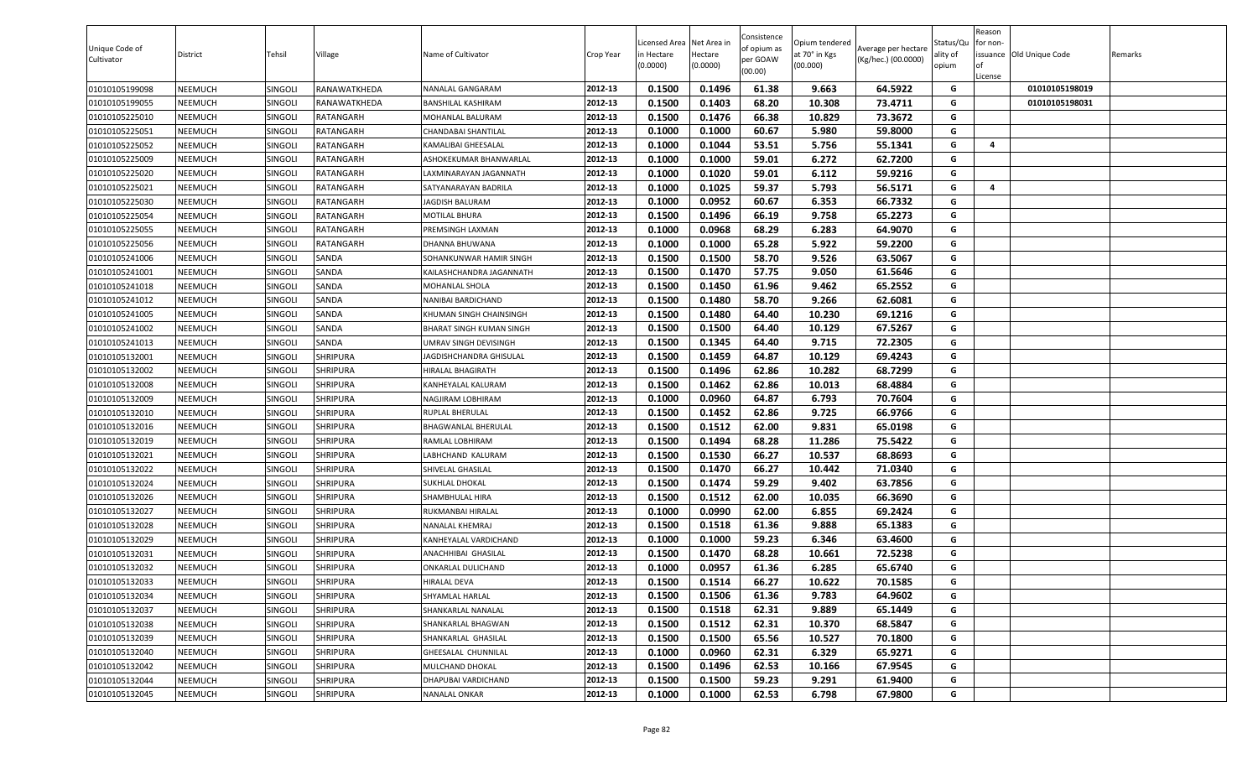| Unique Code of<br>Cultivator | District | Tehsil         | Village         | Name of Cultivator              | Crop Year | Licensed Area Net Area in<br>n Hectare<br>(0.0000) | Hectare<br>(0.0000) | Consistence<br>of opium as<br>per GOAW<br>(00.00) | Opium tendered<br>at 70° in Kgs<br>(00.000) | Average per hectare<br>(Kg/hec.) (00.0000) | Status/Qu<br>ality of<br>opium | Reason<br>for non-<br>of<br>License | issuance Old Unique Code | Remarks |
|------------------------------|----------|----------------|-----------------|---------------------------------|-----------|----------------------------------------------------|---------------------|---------------------------------------------------|---------------------------------------------|--------------------------------------------|--------------------------------|-------------------------------------|--------------------------|---------|
| 01010105199098               | NEEMUCH  | SINGOLI        | RANAWATKHEDA    | NANALAL GANGARAM                | 2012-13   | 0.1500                                             | 0.1496              | 61.38                                             | 9.663                                       | 64.5922                                    | G                              |                                     | 01010105198019           |         |
| 01010105199055               | NEEMUCH  | SINGOL         | RANAWATKHEDA    | <b>BANSHILAL KASHIRAM</b>       | 2012-13   | 0.1500                                             | 0.1403              | 68.20                                             | 10.308                                      | 73.4711                                    | G                              |                                     | 01010105198031           |         |
| 01010105225010               | NEEMUCH  | SINGOLI        | RATANGARH       | MOHANLAL BALURAM                | 2012-13   | 0.1500                                             | 0.1476              | 66.38                                             | 10.829                                      | 73.3672                                    | G                              |                                     |                          |         |
| 01010105225051               | NEEMUCH  | SINGOLI        | RATANGARH       | CHANDABAI SHANTILAL             | 2012-13   | 0.1000                                             | 0.1000              | 60.67                                             | 5.980                                       | 59.8000                                    | G                              |                                     |                          |         |
| 01010105225052               | NEEMUCH  | SINGOL         | RATANGARH       | KAMALIBAI GHEESALAL             | 2012-13   | 0.1000                                             | 0.1044              | 53.51                                             | 5.756                                       | 55.1341                                    | G                              | 4                                   |                          |         |
| 01010105225009               | NEEMUCH  | SINGOLI        | RATANGARH       | ASHOKEKUMAR BHANWARLAL          | 2012-13   | 0.1000                                             | 0.1000              | 59.01                                             | 6.272                                       | 62.7200                                    | G                              |                                     |                          |         |
| 01010105225020               | NEEMUCH  | SINGOLI        | RATANGARH       | LAXMINARAYAN JAGANNATH          | 2012-13   | 0.1000                                             | 0.1020              | 59.01                                             | 6.112                                       | 59.9216                                    | G                              |                                     |                          |         |
| 01010105225021               | NEEMUCH  | <b>SINGOLI</b> | RATANGARH       | SATYANARAYAN BADRILA            | 2012-13   | 0.1000                                             | 0.1025              | 59.37                                             | 5.793                                       | 56.5171                                    | G                              | 4                                   |                          |         |
| 01010105225030               | NEEMUCH  | SINGOL         | RATANGARH       | <b>JAGDISH BALURAM</b>          | 2012-13   | 0.1000                                             | 0.0952              | 60.67                                             | 6.353                                       | 66.7332                                    | G                              |                                     |                          |         |
| 01010105225054               | NEEMUCH  | SINGOL         | RATANGARH       | MOTILAL BHURA                   | 2012-13   | 0.1500                                             | 0.1496              | 66.19                                             | 9.758                                       | 65.2273                                    | G                              |                                     |                          |         |
| 01010105225055               | NEEMUCH  | SINGOL         | RATANGARH       | PREMSINGH LAXMAN                | 2012-13   | 0.1000                                             | 0.0968              | 68.29                                             | 6.283                                       | 64.9070                                    | G                              |                                     |                          |         |
| 01010105225056               | NEEMUCH  | <b>SINGOLI</b> | RATANGARH       | DHANNA BHUWANA                  | 2012-13   | 0.1000                                             | 0.1000              | 65.28                                             | 5.922                                       | 59.2200                                    | G                              |                                     |                          |         |
| 01010105241006               | NEEMUCH  | SINGOLI        | SANDA           | SOHANKUNWAR HAMIR SINGH         | 2012-13   | 0.1500                                             | 0.1500              | 58.70                                             | 9.526                                       | 63.5067                                    | G                              |                                     |                          |         |
| 01010105241001               | NEEMUCH  | SINGOLI        | SANDA           | KAILASHCHANDRA JAGANNATH        | 2012-13   | 0.1500                                             | 0.1470              | 57.75                                             | 9.050                                       | 61.5646                                    | G                              |                                     |                          |         |
| 01010105241018               | NEEMUCH  | SINGOLI        | SANDA           | MOHANLAL SHOLA                  | 2012-13   | 0.1500                                             | 0.1450              | 61.96                                             | 9.462                                       | 65.2552                                    | G                              |                                     |                          |         |
| 01010105241012               | NEEMUCH  | SINGOLI        | SANDA           | NANIBAI BARDICHAND              | 2012-13   | 0.1500                                             | 0.1480              | 58.70                                             | 9.266                                       | 62.6081                                    | G                              |                                     |                          |         |
| 01010105241005               | NEEMUCH  | SINGOLI        | SANDA           | KHUMAN SINGH CHAINSINGH         | 2012-13   | 0.1500                                             | 0.1480              | 64.40                                             | 10.230                                      | 69.1216                                    | G                              |                                     |                          |         |
| 01010105241002               | NEEMUCH  | SINGOLI        | SANDA           | <b>BHARAT SINGH KUMAN SINGH</b> | 2012-13   | 0.1500                                             | 0.1500              | 64.40                                             | 10.129                                      | 67.5267                                    | G                              |                                     |                          |         |
| 01010105241013               | NEEMUCH  | SINGOLI        | SANDA           | UMRAV SINGH DEVISINGH           | 2012-13   | 0.1500                                             | 0.1345              | 64.40                                             | 9.715                                       | 72.2305                                    | G                              |                                     |                          |         |
| 01010105132001               | NEEMUCH  | SINGOL         | SHRIPURA        | JAGDISHCHANDRA GHISULAL         | 2012-13   | 0.1500                                             | 0.1459              | 64.87                                             | 10.129                                      | 69.4243                                    | G                              |                                     |                          |         |
| 01010105132002               | NEEMUCH  | SINGOL         | SHRIPURA        | IIRALAL BHAGIRATH               | 2012-13   | 0.1500                                             | 0.1496              | 62.86                                             | 10.282                                      | 68.7299                                    | G                              |                                     |                          |         |
| 01010105132008               | NEEMUCH  | SINGOLI        | SHRIPURA        | KANHEYALAL KALURAM              | 2012-13   | 0.1500                                             | 0.1462              | 62.86                                             | 10.013                                      | 68.4884                                    | G                              |                                     |                          |         |
| 01010105132009               | NEEMUCH  | SINGOLI        | <b>SHRIPURA</b> | NAGJIRAM LOBHIRAM               | 2012-13   | 0.1000                                             | 0.0960              | 64.87                                             | 6.793                                       | 70.7604                                    | G                              |                                     |                          |         |
| 01010105132010               | NEEMUCH  | SINGOLI        | SHRIPURA        | RUPLAL BHERULAL                 | 2012-13   | 0.1500                                             | 0.1452              | 62.86                                             | 9.725                                       | 66.9766                                    | G                              |                                     |                          |         |
| 01010105132016               | NEEMUCH  | SINGOLI        | SHRIPURA        | BHAGWANLAL BHERULAL             | 2012-13   | 0.1500                                             | 0.1512              | 62.00                                             | 9.831                                       | 65.0198                                    | G                              |                                     |                          |         |
| 01010105132019               | NEEMUCH  | SINGOL         | SHRIPURA        | RAMLAL LOBHIRAM                 | 2012-13   | 0.1500                                             | 0.1494              | 68.28                                             | 11.286                                      | 75.5422                                    | G                              |                                     |                          |         |
| 01010105132021               | NEEMUCH  | SINGOL         | SHRIPURA        | LABHCHAND KALURAM               | 2012-13   | 0.1500                                             | 0.1530              | 66.27                                             | 10.537                                      | 68.8693                                    | G                              |                                     |                          |         |
| 01010105132022               | NEEMUCH  | SINGOL         | SHRIPURA        | SHIVELAL GHASILAL               | 2012-13   | 0.1500                                             | 0.1470              | 66.27                                             | 10.442                                      | 71.0340                                    | G                              |                                     |                          |         |
| 01010105132024               | NEEMUCH  | <b>SINGOLI</b> | SHRIPURA        | SUKHLAL DHOKAL                  | 2012-13   | 0.1500                                             | 0.1474              | 59.29                                             | 9.402                                       | 63.7856                                    | G                              |                                     |                          |         |
| 01010105132026               | NEEMUCH  | SINGOL         | SHRIPURA        | SHAMBHULAL HIRA                 | 2012-13   | 0.1500                                             | 0.1512              | 62.00                                             | 10.035                                      | 66.3690                                    | G                              |                                     |                          |         |
| 01010105132027               | NEEMUCH  | SINGOLI        | <b>SHRIPURA</b> | RUKMANBAI HIRALAL               | 2012-13   | 0.1000                                             | 0.0990              | 62.00                                             | 6.855                                       | 69.2424                                    | G                              |                                     |                          |         |
| 01010105132028               | NEEMUCH  | SINGOLI        | <b>SHRIPURA</b> | NANALAL KHEMRAJ                 | 2012-13   | 0.1500                                             | 0.1518              | 61.36                                             | 9.888                                       | 65.1383                                    | G                              |                                     |                          |         |
| 01010105132029               | NEEMUCH  | SINGOLI        | SHRIPURA        | KANHEYALAL VARDICHAND           | 2012-13   | 0.1000                                             | 0.1000              | 59.23                                             | 6.346                                       | 63.4600                                    | G                              |                                     |                          |         |
| 01010105132031               | NEEMUCH  | SINGOL         | SHRIPURA        | ANACHHIBAI GHASILAL             | 2012-13   | 0.1500                                             | 0.1470              | 68.28                                             | 10.661                                      | 72.5238                                    | G                              |                                     |                          |         |
| 01010105132032               | NEEMUCH  | SINGOL         | SHRIPURA        | ONKARLAL DULICHAND              | 2012-13   | 0.1000                                             | 0.0957              | 61.36                                             | 6.285                                       | 65.6740                                    | G                              |                                     |                          |         |
| 01010105132033               | NEEMUCH  | SINGOLI        | SHRIPURA        | HIRALAL DEVA                    | 2012-13   | 0.1500                                             | 0.1514              | 66.27                                             | 10.622                                      | 70.1585                                    | G                              |                                     |                          |         |
| 01010105132034               | NEEMUCH  | SINGOLI        | SHRIPURA        | SHYAMLAL HARLAL                 | 2012-13   | 0.1500                                             | 0.1506              | 61.36                                             | 9.783                                       | 64.9602                                    | G                              |                                     |                          |         |
| 01010105132037               | NEEMUCH  | SINGOLI        | SHRIPURA        | SHANKARLAL NANALAL              | 2012-13   | 0.1500                                             | 0.1518              | 62.31                                             | 9.889                                       | 65.1449                                    | G                              |                                     |                          |         |
| 01010105132038               | NEEMUCH  | <b>SINGOLI</b> | <b>SHRIPURA</b> | SHANKARLAL BHAGWAN              | 2012-13   | 0.1500                                             | 0.1512              | 62.31                                             | 10.370                                      | 68.5847                                    | G                              |                                     |                          |         |
| 01010105132039               | NEEMUCH  | SINGOLI        | SHRIPURA        | SHANKARLAL GHASILAL             | 2012-13   | 0.1500                                             | 0.1500              | 65.56                                             | 10.527                                      | 70.1800                                    | G                              |                                     |                          |         |
| 01010105132040               | NEEMUCH  | SINGOLI        | SHRIPURA        | <b>GHEESALAL CHUNNILAL</b>      | 2012-13   | 0.1000                                             | 0.0960              | 62.31                                             | 6.329                                       | 65.9271                                    | G                              |                                     |                          |         |
| 01010105132042               | NEEMUCH  | SINGOLI        | SHRIPURA        | MULCHAND DHOKAL                 | 2012-13   | 0.1500                                             | 0.1496              | 62.53                                             | 10.166                                      | 67.9545                                    | G                              |                                     |                          |         |
| 01010105132044               | NEEMUCH  | <b>SINGOLI</b> | SHRIPURA        | DHAPUBAI VARDICHAND             | 2012-13   | 0.1500                                             | 0.1500              | 59.23                                             | 9.291                                       | 61.9400                                    | G                              |                                     |                          |         |
| 01010105132045               | NEEMUCH  | SINGOLI        | SHRIPURA        | <b>NANALAL ONKAR</b>            | 2012-13   | 0.1000                                             | 0.1000              | 62.53                                             | 6.798                                       | 67.9800                                    | G                              |                                     |                          |         |
|                              |          |                |                 |                                 |           |                                                    |                     |                                                   |                                             |                                            |                                |                                     |                          |         |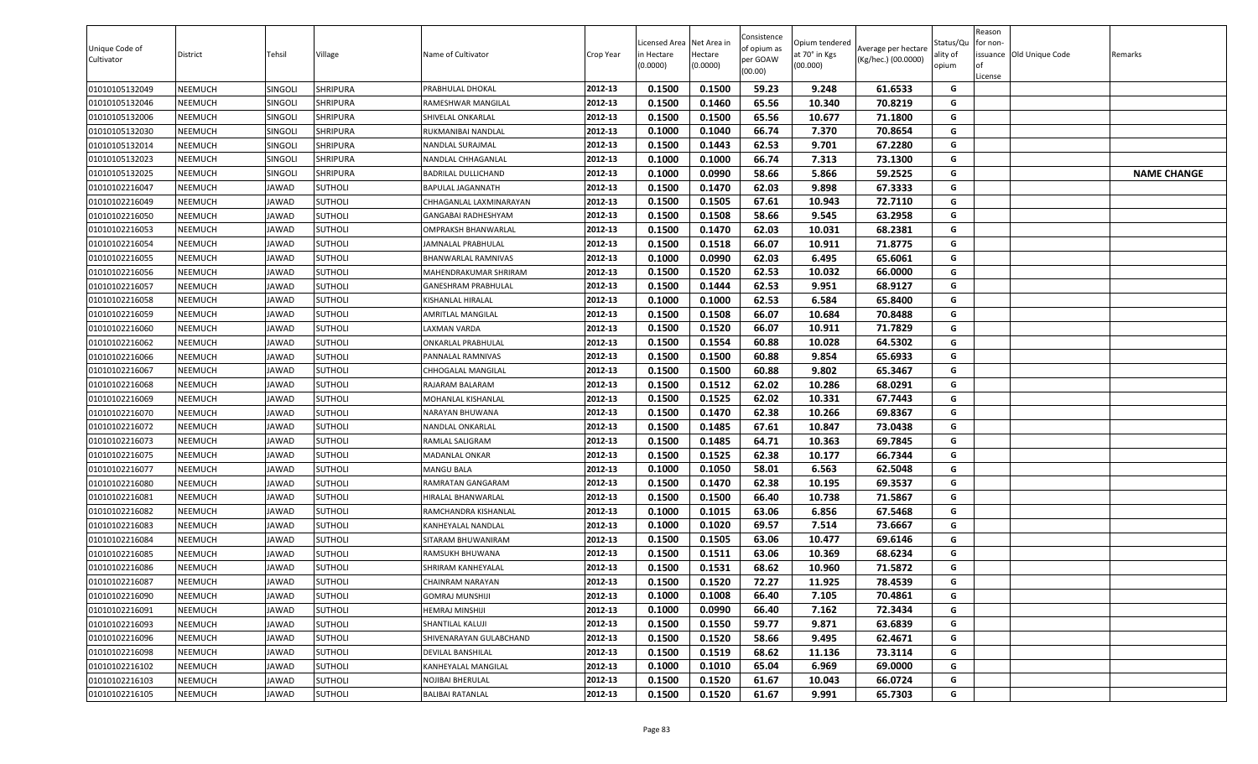| Unique Code of<br>Cultivator | District | Tehsil         | Village        | Name of Cultivator       | Crop Year | icensed Area.<br>in Hectare<br>(0.0000) | Net Area in<br>Hectare<br>(0.0000) | Consistence<br>of opium as<br>per GOAW<br>(00.00) | Opium tendered<br>at 70° in Kgs<br>(00.000) | Average per hectare<br>(Kg/hec.) (00.0000) | Status/Qu<br>ality of<br>opium | Reason<br>for non-<br>lof<br>License | issuance Old Unique Code | Remarks            |
|------------------------------|----------|----------------|----------------|--------------------------|-----------|-----------------------------------------|------------------------------------|---------------------------------------------------|---------------------------------------------|--------------------------------------------|--------------------------------|--------------------------------------|--------------------------|--------------------|
| 01010105132049               | NEEMUCH  | <b>SINGOLI</b> | SHRIPURA       | PRABHULAL DHOKAL         | 2012-13   | 0.1500                                  | 0.1500                             | 59.23                                             | 9.248                                       | 61.6533                                    | G                              |                                      |                          |                    |
| 01010105132046               | NEEMUCH  | <b>SINGOLI</b> | SHRIPURA       | RAMESHWAR MANGILAL       | 2012-13   | 0.1500                                  | 0.1460                             | 65.56                                             | 10.340                                      | 70.8219                                    | G                              |                                      |                          |                    |
| 01010105132006               | NEEMUCH  | <b>SINGOLI</b> | SHRIPURA       | SHIVELAL ONKARLAL        | 2012-13   | 0.1500                                  | 0.1500                             | 65.56                                             | 10.677                                      | 71.1800                                    | G                              |                                      |                          |                    |
| 01010105132030               | NEEMUCH  | <b>SINGOLI</b> | SHRIPURA       | RUKMANIBAI NANDLAL       | 2012-13   | 0.1000                                  | 0.1040                             | 66.74                                             | 7.370                                       | 70.8654                                    | G                              |                                      |                          |                    |
| 01010105132014               | NEEMUCH  | <b>SINGOLI</b> | SHRIPURA       | NANDLAL SURAJMAL         | 2012-13   | 0.1500                                  | 0.1443                             | 62.53                                             | 9.701                                       | 67.2280                                    | G                              |                                      |                          |                    |
| 01010105132023               | NEEMUCH  | SINGOLI        | SHRIPURA       | NANDLAL CHHAGANLAL       | 2012-13   | 0.1000                                  | 0.1000                             | 66.74                                             | 7.313                                       | 73.1300                                    | G                              |                                      |                          |                    |
| 01010105132025               | NEEMUCH  | <b>SINGOLI</b> | SHRIPURA       | BADRILAL DULLICHAND      | 2012-13   | 0.1000                                  | 0.0990                             | 58.66                                             | 5.866                                       | 59.2525                                    | G                              |                                      |                          | <b>NAME CHANGE</b> |
| 01010102216047               | NEEMUCH  | JAWAD          | <b>SUTHOLI</b> | BAPULAL JAGANNATH        | 2012-13   | 0.1500                                  | 0.1470                             | 62.03                                             | 9.898                                       | 67.3333                                    | G                              |                                      |                          |                    |
| 01010102216049               | NEEMUCH  | JAWAD          | SUTHOLI        | CHHAGANLAL LAXMINARAYAN  | 2012-13   | 0.1500                                  | 0.1505                             | 67.61                                             | 10.943                                      | 72.7110                                    | G                              |                                      |                          |                    |
| 01010102216050               | NEEMUCH  | JAWAD          | SUTHOLI        | GANGABAI RADHESHYAM      | 2012-13   | 0.1500                                  | 0.1508                             | 58.66                                             | 9.545                                       | 63.2958                                    | G                              |                                      |                          |                    |
| 01010102216053               | NEEMUCH  | JAWAD          | SUTHOLI        | OMPRAKSH BHANWARLAL      | 2012-13   | 0.1500                                  | 0.1470                             | 62.03                                             | 10.031                                      | 68.2381                                    | G                              |                                      |                          |                    |
| 01010102216054               | NEEMUCH  | JAWAD          | SUTHOLI        | JAMNALAL PRABHULAL       | 2012-13   | 0.1500                                  | 0.1518                             | 66.07                                             | 10.911                                      | 71.8775                                    | G                              |                                      |                          |                    |
| 01010102216055               | NEEMUCH  | JAWAD          | SUTHOLI        | BHANWARLAL RAMNIVAS      | 2012-13   | 0.1000                                  | 0.0990                             | 62.03                                             | 6.495                                       | 65.6061                                    | G                              |                                      |                          |                    |
| 01010102216056               | NEEMUCH  | <b>IAWAD</b>   | <b>SUTHOLI</b> | MAHENDRAKUMAR SHRIRAM    | 2012-13   | 0.1500                                  | 0.1520                             | 62.53                                             | 10.032                                      | 66.0000                                    | G                              |                                      |                          |                    |
| 01010102216057               | NEEMUCH  | JAWAD          | <b>SUTHOLI</b> | GANESHRAM PRABHULAL      | 2012-13   | 0.1500                                  | 0.1444                             | 62.53                                             | 9.951                                       | 68.9127                                    | G                              |                                      |                          |                    |
| 01010102216058               | NEEMUCH  | JAWAD          | <b>SUTHOLI</b> | KISHANLAL HIRALAL        | 2012-13   | 0.1000                                  | 0.1000                             | 62.53                                             | 6.584                                       | 65.8400                                    | G                              |                                      |                          |                    |
| 01010102216059               | NEEMUCH  | JAWAD          | <b>SUTHOLI</b> | AMRITLAL MANGILAL        | 2012-13   | 0.1500                                  | 0.1508                             | 66.07                                             | 10.684                                      | 70.8488                                    | G                              |                                      |                          |                    |
| 01010102216060               | NEEMUCH  | JAWAD          | SUTHOLI        | AXMAN VARDA              | 2012-13   | 0.1500                                  | 0.1520                             | 66.07                                             | 10.911                                      | 71.7829                                    | G                              |                                      |                          |                    |
| 01010102216062               | NEEMUCH  | JAWAD          | SUTHOLI        | ONKARLAL PRABHULAL       | 2012-13   | 0.1500                                  | 0.1554                             | 60.88                                             | 10.028                                      | 64.5302                                    | G                              |                                      |                          |                    |
| 01010102216066               | NEEMUCH  | JAWAD          | SUTHOLI        | <b>PANNALAL RAMNIVAS</b> | 2012-13   | 0.1500                                  | 0.1500                             | 60.88                                             | 9.854                                       | 65.6933                                    | G                              |                                      |                          |                    |
| 01010102216067               | NEEMUCH  | JAWAD          | SUTHOLI        | CHHOGALAL MANGILAL       | 2012-13   | 0.1500                                  | 0.1500                             | 60.88                                             | 9.802                                       | 65.3467                                    | G                              |                                      |                          |                    |
| 01010102216068               | NEEMUCH  | JAWAD          | <b>SUTHOLI</b> | RAJARAM BALARAM          | 2012-13   | 0.1500                                  | 0.1512                             | 62.02                                             | 10.286                                      | 68.0291                                    | G                              |                                      |                          |                    |
| 01010102216069               | NEEMUCH  | <b>IAWAD</b>   | <b>SUTHOLI</b> | MOHANLAL KISHANLAL       | 2012-13   | 0.1500                                  | 0.1525                             | 62.02                                             | 10.331                                      | 67.7443                                    | G                              |                                      |                          |                    |
| 01010102216070               | NEEMUCH  | JAWAD          | <b>SUTHOLI</b> | NARAYAN BHUWANA          | 2012-13   | 0.1500                                  | 0.1470                             | 62.38                                             | 10.266                                      | 69.8367                                    | G                              |                                      |                          |                    |
| 01010102216072               | NEEMUCH  | JAWAD          | SUTHOLI        | NANDLAL ONKARLAL         | 2012-13   | 0.1500                                  | 0.1485                             | 67.61                                             | 10.847                                      | 73.0438                                    | G                              |                                      |                          |                    |
| 01010102216073               | NEEMUCH  | JAWAD          | <b>SUTHOLI</b> | RAMLAL SALIGRAM          | 2012-13   | 0.1500                                  | 0.1485                             | 64.71                                             | 10.363                                      | 69.7845                                    | G                              |                                      |                          |                    |
| 01010102216075               | NEEMUCH  | <b>IAWAD</b>   | SUTHOLI        | MADANLAL ONKAR           | 2012-13   | 0.1500                                  | 0.1525                             | 62.38                                             | 10.177                                      | 66.7344                                    | G                              |                                      |                          |                    |
| 01010102216077               | NEEMUCH  | JAWAD          | SUTHOLI        | MANGU BALA               | 2012-13   | 0.1000                                  | 0.1050                             | 58.01                                             | 6.563                                       | 62.5048                                    | G                              |                                      |                          |                    |
| 01010102216080               | NEEMUCH  | JAWAD          | SUTHOLI        | RAMRATAN GANGARAM        | 2012-13   | 0.1500                                  | 0.1470                             | 62.38                                             | 10.195                                      | 69.3537                                    | G                              |                                      |                          |                    |
| 01010102216081               | NEEMUCH  | JAWAD          | SUTHOLI        | HIRALAL BHANWARLAL       | 2012-13   | 0.1500                                  | 0.1500                             | 66.40                                             | 10.738                                      | 71.5867                                    | G                              |                                      |                          |                    |
| 01010102216082               | NEEMUCH  | JAWAD          | <b>SUTHOLI</b> | RAMCHANDRA KISHANLAL     | 2012-13   | 0.1000                                  | 0.1015                             | 63.06                                             | 6.856                                       | 67.5468                                    | G                              |                                      |                          |                    |
| 01010102216083               | NEEMUCH  | JAWAD          | <b>SUTHOLI</b> | KANHEYALAL NANDLAL       | 2012-13   | 0.1000                                  | 0.1020                             | 69.57                                             | 7.514                                       | 73.6667                                    | G                              |                                      |                          |                    |
| 01010102216084               | NEEMUCH  | JAWAD          | <b>SUTHOLI</b> | SITARAM BHUWANIRAM       | 2012-13   | 0.1500                                  | 0.1505                             | 63.06                                             | 10.477                                      | 69.6146                                    | G                              |                                      |                          |                    |
| 01010102216085               | NEEMUCH  | JAWAD          | SUTHOLI        | RAMSUKH BHUWANA          | 2012-13   | 0.1500                                  | 0.1511                             | 63.06                                             | 10.369                                      | 68.6234                                    | G                              |                                      |                          |                    |
| 01010102216086               | NEEMUCH  | <b>IAWAD</b>   | SUTHOLI        | SHRIRAM KANHEYALAL       | 2012-13   | 0.1500                                  | 0.1531                             | 68.62                                             | 10.960                                      | 71.5872                                    | G                              |                                      |                          |                    |
| 01010102216087               | NEEMUCH  | JAWAD          | <b>SUTHOLI</b> | CHAINRAM NARAYAN         | 2012-13   | 0.1500                                  | 0.1520                             | 72.27                                             | 11.925                                      | 78.4539                                    | G                              |                                      |                          |                    |
| 01010102216090               | NEEMUCH  | JAWAD          | SUTHOLI        | GOMRAJ MUNSHIJI          | 2012-13   | 0.1000                                  | 0.1008                             | 66.40                                             | 7.105                                       | 70.4861                                    | G                              |                                      |                          |                    |
| 01010102216091               | NEEMUCH  | JAWAD          | SUTHOLI        | <b>IEMRAJ MINSHIJI</b>   | 2012-13   | 0.1000                                  | 0.0990                             | 66.40                                             | 7.162                                       | 72.3434                                    | G                              |                                      |                          |                    |
| 01010102216093               | NEEMUCH  | JAWAD          | <b>SUTHOLI</b> | SHANTILAL KALUJI         | 2012-13   | 0.1500                                  | 0.1550                             | 59.77                                             | 9.871                                       | 63.6839                                    | G                              |                                      |                          |                    |
| 01010102216096               | NEEMUCH  | JAWAD          | <b>SUTHOLI</b> | SHIVENARAYAN GULABCHAND  | 2012-13   | 0.1500                                  | 0.1520                             | 58.66                                             | 9.495                                       | 62.4671                                    | G                              |                                      |                          |                    |
| 01010102216098               | NEEMUCH  | JAWAD          | <b>SUTHOLI</b> | <b>DEVILAL BANSHILAL</b> | 2012-13   | 0.1500                                  | 0.1519                             | 68.62                                             | 11.136                                      | 73.3114                                    | G                              |                                      |                          |                    |
| 01010102216102               | NEEMUCH  | JAWAD          | SUTHOLI        | KANHEYALAL MANGILAL      | 2012-13   | 0.1000                                  | 0.1010                             | 65.04                                             | 6.969                                       | 69.0000                                    | G                              |                                      |                          |                    |
| 01010102216103               | NEEMUCH  | JAWAD          | <b>SUTHOLI</b> | NOJIBAI BHERULAL         | 2012-13   | 0.1500                                  | 0.1520                             | 61.67                                             | 10.043                                      | 66.0724                                    | G                              |                                      |                          |                    |
| 01010102216105               | NEEMUCH  | JAWAD          | <b>SUTHOLI</b> | <b>BALIBAI RATANLAL</b>  | 2012-13   | 0.1500                                  | 0.1520                             | 61.67                                             | 9.991                                       | 65.7303                                    | G                              |                                      |                          |                    |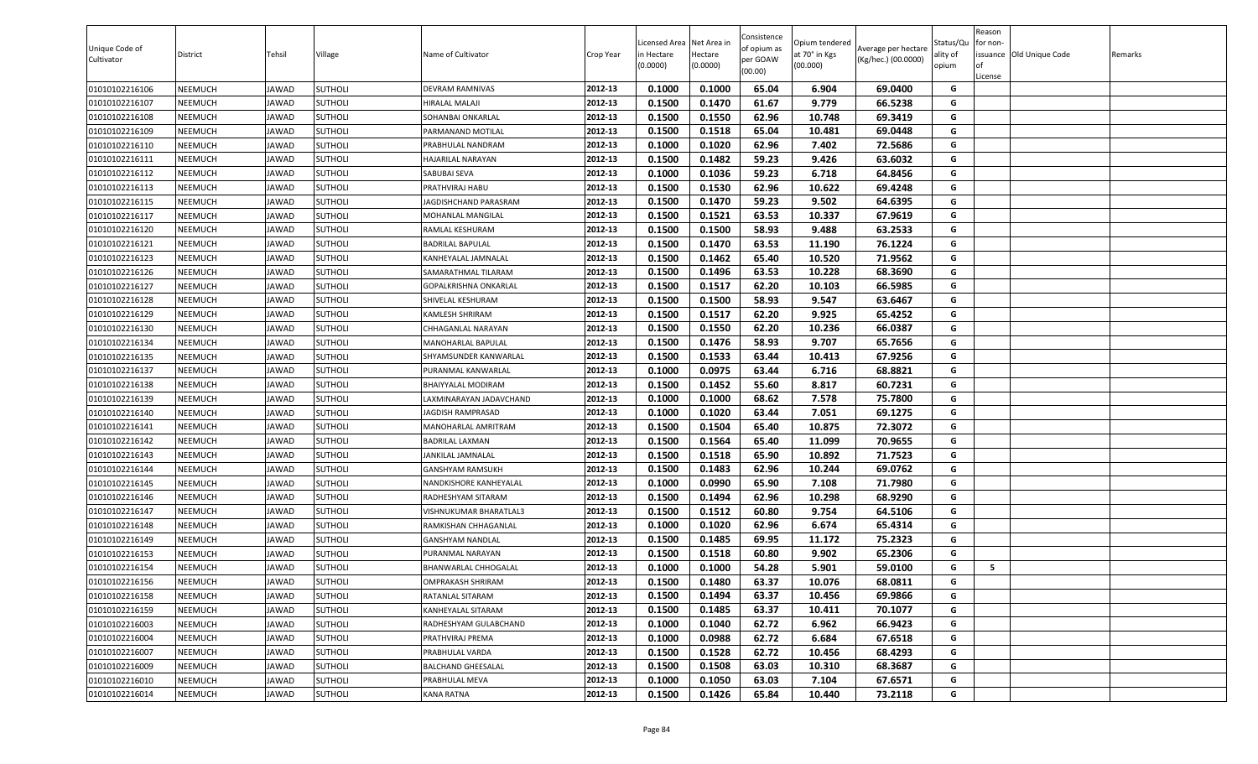| Unique Code of<br>Cultivator | District       | Tehsil       | Village        | Name of Cultivator           | Crop Year | Licensed Area<br>n Hectare<br>(0.0000) | Net Area ir<br>Hectare<br>(0.0000) | Consistence<br>of opium as<br>per GOAW<br>(00.00) | Opium tendered<br>at 70° in Kgs<br>(00.000) | Average per hectare<br>(Kg/hec.) (00.0000) | Status/Qu<br>ality of<br>opium | Reason<br>or non-<br>of<br>License | issuance Old Unique Code | Remarks |
|------------------------------|----------------|--------------|----------------|------------------------------|-----------|----------------------------------------|------------------------------------|---------------------------------------------------|---------------------------------------------|--------------------------------------------|--------------------------------|------------------------------------|--------------------------|---------|
| 01010102216106               | NEEMUCH        | <b>JAWAD</b> | <b>SUTHOLI</b> | DEVRAM RAMNIVAS              | 2012-13   | 0.1000                                 | 0.1000                             | 65.04                                             | 6.904                                       | 69.0400                                    | G                              |                                    |                          |         |
| 01010102216107               | NEEMUCH        | <b>JAWAD</b> | SUTHOLI        | <b>HIRALAL MALAJI</b>        | 2012-13   | 0.1500                                 | 0.1470                             | 61.67                                             | 9.779                                       | 66.5238                                    | G                              |                                    |                          |         |
| 01010102216108               | NEEMUCH        | <b>JAWAD</b> | <b>SUTHOLI</b> | SOHANBAI ONKARLAL            | 2012-13   | 0.1500                                 | 0.1550                             | 62.96                                             | 10.748                                      | 69.3419                                    | G                              |                                    |                          |         |
| 01010102216109               | NEEMUCH        | JAWAD        | <b>SUTHOLI</b> | PARMANAND MOTILAL            | 2012-13   | 0.1500                                 | 0.1518                             | 65.04                                             | 10.481                                      | 69.0448                                    | G                              |                                    |                          |         |
| 01010102216110               | NEEMUCH        | <b>JAWAD</b> | <b>SUTHOLI</b> | PRABHULAL NANDRAM            | 2012-13   | 0.1000                                 | 0.1020                             | 62.96                                             | 7.402                                       | 72.5686                                    | G                              |                                    |                          |         |
| 01010102216111               | NEEMUCH        | <b>JAWAD</b> | <b>SUTHOLI</b> | <b>HAJARILAL NARAYAN</b>     | 2012-13   | 0.1500                                 | 0.1482                             | 59.23                                             | 9.426                                       | 63.6032                                    | G                              |                                    |                          |         |
| 01010102216112               | NEEMUCH        | <b>JAWAD</b> | <b>SUTHOLI</b> | SABUBAI SEVA                 | 2012-13   | 0.1000                                 | 0.1036                             | 59.23                                             | 6.718                                       | 64.8456                                    | G                              |                                    |                          |         |
| 01010102216113               | NEEMUCH        | <b>JAWAD</b> | <b>SUTHOLI</b> | PRATHVIRAJ HABU              | 2012-13   | 0.1500                                 | 0.1530                             | 62.96                                             | 10.622                                      | 69.4248                                    | G                              |                                    |                          |         |
| 01010102216115               | NEEMUCH        | <b>JAWAD</b> | <b>SUTHOLI</b> | JAGDISHCHAND PARASRAM        | 2012-13   | 0.1500                                 | 0.1470                             | 59.23                                             | 9.502                                       | 64.6395                                    | G                              |                                    |                          |         |
| 01010102216117               | NEEMUCH        | <b>JAWAD</b> | <b>SUTHOLI</b> | MOHANLAL MANGILAL            | 2012-13   | 0.1500                                 | 0.1521                             | 63.53                                             | 10.337                                      | 67.9619                                    | G                              |                                    |                          |         |
| 01010102216120               | NEEMUCH        | <b>JAWAD</b> | <b>SUTHOLI</b> | RAMLAL KESHURAM              | 2012-13   | 0.1500                                 | 0.1500                             | 58.93                                             | 9.488                                       | 63.2533                                    | G                              |                                    |                          |         |
| 01010102216121               | NEEMUCH        | <b>JAWAD</b> | <b>SUTHOLI</b> | <b>BADRILAL BAPULAL</b>      | 2012-13   | 0.1500                                 | 0.1470                             | 63.53                                             | 11.190                                      | 76.1224                                    | G                              |                                    |                          |         |
| 01010102216123               | NEEMUCH        | <b>JAWAD</b> | <b>SUTHOLI</b> | KANHEYALAL JAMNALAL          | 2012-13   | 0.1500                                 | 0.1462                             | 65.40                                             | 10.520                                      | 71.9562                                    | G                              |                                    |                          |         |
| 01010102216126               | NEEMUCH        | <b>JAWAD</b> | <b>SUTHOLI</b> | SAMARATHMAL TILARAM          | 2012-13   | 0.1500                                 | 0.1496                             | 63.53                                             | 10.228                                      | 68.3690                                    | G                              |                                    |                          |         |
| 01010102216127               | <b>NEEMUCH</b> | <b>JAWAD</b> | <b>SUTHOLI</b> | <b>GOPALKRISHNA ONKARLAL</b> | 2012-13   | 0.1500                                 | 0.1517                             | 62.20                                             | 10.103                                      | 66.5985                                    | G                              |                                    |                          |         |
| 01010102216128               | NEEMUCH        | <b>JAWAD</b> | <b>SUTHOLI</b> | SHIVELAL KESHURAM            | 2012-13   | 0.1500                                 | 0.1500                             | 58.93                                             | 9.547                                       | 63.6467                                    | G                              |                                    |                          |         |
| 01010102216129               | NEEMUCH        | <b>JAWAD</b> | <b>SUTHOLI</b> | <b>KAMLESH SHRIRAM</b>       | 2012-13   | 0.1500                                 | 0.1517                             | 62.20                                             | 9.925                                       | 65.4252                                    | G                              |                                    |                          |         |
| 01010102216130               | NEEMUCH        | <b>JAWAD</b> | <b>SUTHOLI</b> | CHHAGANLAL NARAYAN           | 2012-13   | 0.1500                                 | 0.1550                             | 62.20                                             | 10.236                                      | 66.0387                                    | G                              |                                    |                          |         |
| 01010102216134               | NEEMUCH        | <b>JAWAD</b> | <b>SUTHOLI</b> | MANOHARLAL BAPULAL           | 2012-13   | 0.1500                                 | 0.1476                             | 58.93                                             | 9.707                                       | 65.7656                                    | G                              |                                    |                          |         |
| 01010102216135               | NEEMUCH        | <b>JAWAD</b> | <b>SUTHOLI</b> | SHYAMSUNDER KANWARLAL        | 2012-13   | 0.1500                                 | 0.1533                             | 63.44                                             | 10.413                                      | 67.9256                                    | G                              |                                    |                          |         |
| 01010102216137               | NEEMUCH        | <b>JAWAD</b> | <b>SUTHOLI</b> | PURANMAL KANWARLAL           | 2012-13   | 0.1000                                 | 0.0975                             | 63.44                                             | 6.716                                       | 68.8821                                    | G                              |                                    |                          |         |
| 01010102216138               | NEEMUCH        | <b>JAWAD</b> | <b>SUTHOLI</b> | BHAIYYALAL MODIRAM           | 2012-13   | 0.1500                                 | 0.1452                             | 55.60                                             | 8.817                                       | 60.7231                                    | G                              |                                    |                          |         |
| 01010102216139               | NEEMUCH        | <b>JAWAD</b> | <b>SUTHOLI</b> | LAXMINARAYAN JADAVCHAND      | 2012-13   | 0.1000                                 | 0.1000                             | 68.62                                             | 7.578                                       | 75.7800                                    | G                              |                                    |                          |         |
| 01010102216140               | NEEMUCH        | <b>JAWAD</b> | <b>SUTHOLI</b> | JAGDISH RAMPRASAD            | 2012-13   | 0.1000                                 | 0.1020                             | 63.44                                             | 7.051                                       | 69.1275                                    | G                              |                                    |                          |         |
| 01010102216141               | NEEMUCH        | <b>JAWAD</b> | <b>SUTHOLI</b> | MANOHARLAL AMRITRAM          | 2012-13   | 0.1500                                 | 0.1504                             | 65.40                                             | 10.875                                      | 72.3072                                    | G                              |                                    |                          |         |
| 01010102216142               | NEEMUCH        | <b>JAWAD</b> | <b>SUTHOLI</b> | <b>BADRILAL LAXMAN</b>       | 2012-13   | 0.1500                                 | 0.1564                             | 65.40                                             | 11.099                                      | 70.9655                                    | G                              |                                    |                          |         |
| 01010102216143               | NEEMUCH        | <b>JAWAD</b> | <b>SUTHOLI</b> | JANKILAL JAMNALAL            | 2012-13   | 0.1500                                 | 0.1518                             | 65.90                                             | 10.892                                      | 71.7523                                    | G                              |                                    |                          |         |
| 01010102216144               | NEEMUCH        | <b>JAWAD</b> | <b>SUTHOLI</b> | GANSHYAM RAMSUKH             | 2012-13   | 0.1500                                 | 0.1483                             | 62.96                                             | 10.244                                      | 69.0762                                    | G                              |                                    |                          |         |
| 01010102216145               | NEEMUCH        | <b>JAWAD</b> | <b>SUTHOLI</b> | NANDKISHORE KANHEYALAL       | 2012-13   | 0.1000                                 | 0.0990                             | 65.90                                             | 7.108                                       | 71.7980                                    | G                              |                                    |                          |         |
| 01010102216146               | NEEMUCH        | <b>JAWAD</b> | <b>SUTHOLI</b> | RADHESHYAM SITARAM           | 2012-13   | 0.1500                                 | 0.1494                             | 62.96                                             | 10.298                                      | 68.9290                                    | G                              |                                    |                          |         |
| 01010102216147               | NEEMUCH        | <b>JAWAD</b> | <b>SUTHOLI</b> | VISHNUKUMAR BHARATLAL3       | 2012-13   | 0.1500                                 | 0.1512                             | 60.80                                             | 9.754                                       | 64.5106                                    | G                              |                                    |                          |         |
| 01010102216148               | <b>NEEMUCH</b> | <b>JAWAD</b> | <b>SUTHOLI</b> | RAMKISHAN CHHAGANLAL         | 2012-13   | 0.1000                                 | 0.1020                             | 62.96                                             | 6.674                                       | 65.4314                                    | G                              |                                    |                          |         |
| 01010102216149               | NEEMUCH        | <b>JAWAD</b> | <b>SUTHOLI</b> | GANSHYAM NANDLAL             | 2012-13   | 0.1500                                 | 0.1485                             | 69.95                                             | 11.172                                      | 75.2323                                    | G                              |                                    |                          |         |
| 01010102216153               | NEEMUCH        | <b>JAWAD</b> | <b>SUTHOLI</b> | PURANMAL NARAYAN             | 2012-13   | 0.1500                                 | 0.1518                             | 60.80                                             | 9.902                                       | 65.2306                                    | G                              |                                    |                          |         |
| 01010102216154               | NEEMUCH        | <b>JAWAD</b> | <b>SUTHOLI</b> | BHANWARLAL CHHOGALAL         | 2012-13   | 0.1000                                 | 0.1000                             | 54.28                                             | 5.901                                       | 59.0100                                    | G                              | 5                                  |                          |         |
| 01010102216156               | NEEMUCH        | <b>JAWAD</b> | <b>SUTHOLI</b> | <b>OMPRAKASH SHRIRAM</b>     | 2012-13   | 0.1500                                 | 0.1480                             | 63.37                                             | 10.076                                      | 68.0811                                    | G                              |                                    |                          |         |
| 01010102216158               | NEEMUCH        | <b>JAWAD</b> | <b>SUTHOLI</b> | RATANLAL SITARAM             | 2012-13   | 0.1500                                 | 0.1494                             | 63.37                                             | 10.456                                      | 69.9866                                    | G                              |                                    |                          |         |
| 01010102216159               | NEEMUCH        | <b>JAWAD</b> | <b>SUTHOLI</b> | KANHEYALAL SITARAM           | 2012-13   | 0.1500                                 | 0.1485                             | 63.37                                             | 10.411                                      | 70.1077                                    | G                              |                                    |                          |         |
| 01010102216003               | <b>NEEMUCH</b> | <b>JAWAD</b> | <b>SUTHOLI</b> | RADHESHYAM GULABCHAND        | 2012-13   | 0.1000                                 | 0.1040                             | 62.72                                             | 6.962                                       | 66.9423                                    | G                              |                                    |                          |         |
| 01010102216004               | <b>NEEMUCH</b> | <b>JAWAD</b> | <b>SUTHOLI</b> | PRATHVIRAJ PREMA             | 2012-13   | 0.1000                                 | 0.0988                             | 62.72                                             | 6.684                                       | 67.6518                                    | G                              |                                    |                          |         |
| 01010102216007               | <b>NEEMUCH</b> | <b>JAWAD</b> | <b>SUTHOLI</b> | PRABHULAL VARDA              | 2012-13   | 0.1500                                 | 0.1528                             | 62.72                                             | 10.456                                      | 68.4293                                    | G                              |                                    |                          |         |
| 01010102216009               | NEEMUCH        | JAWAD        | <b>SUTHOLI</b> | <b>BALCHAND GHEESALAL</b>    | 2012-13   | 0.1500                                 | 0.1508                             | 63.03                                             | 10.310                                      | 68.3687                                    | G                              |                                    |                          |         |
| 01010102216010               | <b>NEEMUCH</b> | <b>JAWAD</b> | <b>SUTHOLI</b> | PRABHULAL MEVA               | 2012-13   | 0.1000                                 | 0.1050                             | 63.03                                             | 7.104                                       | 67.6571                                    | G                              |                                    |                          |         |
| 01010102216014               | NEEMUCH        | <b>JAWAD</b> | <b>SUTHOLI</b> | <b>KANA RATNA</b>            | 2012-13   | 0.1500                                 | 0.1426                             | 65.84                                             | 10.440                                      | 73.2118                                    | G                              |                                    |                          |         |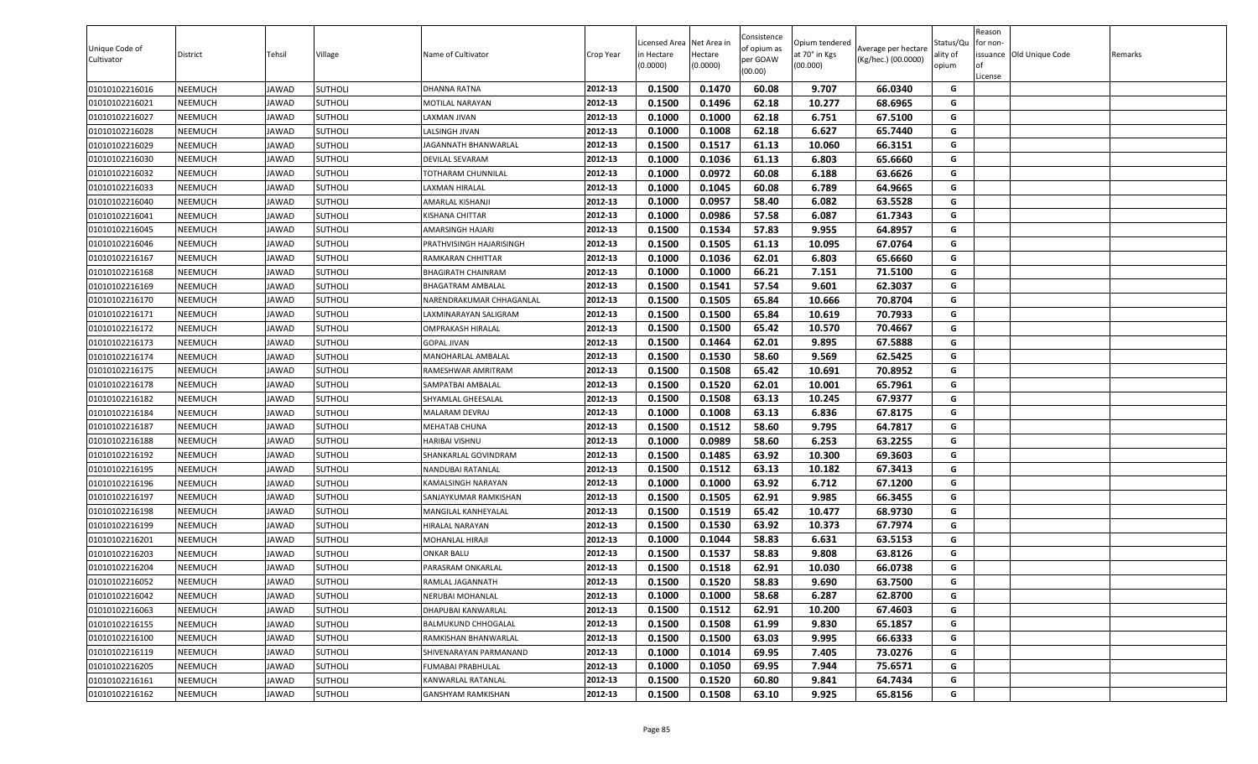| 0.1500<br>0.1470<br>60.08<br>9.707<br>66.0340<br>01010102216016<br>NEEMUCH<br><b>JAWAD</b><br><b>SUTHOLI</b><br>2012-13<br>G<br><b>DHANNA RATNA</b><br>01010102216021<br>2012-13<br>0.1500<br>0.1496<br>62.18<br>10.277<br>68.6965<br>NEEMUCH<br><b>JAWAD</b><br><b>SUTHOLI</b><br>G<br><b>MOTILAL NARAYAN</b><br>01010102216027<br>NEEMUCH<br><b>JAWAD</b><br><b>SUTHOLI</b><br>2012-13<br>0.1000<br>0.1000<br>62.18<br>6.751<br>67.5100<br>G<br>LAXMAN JIVAN<br>0.1000<br>0.1008<br>62.18<br>6.627<br>65.7440<br>01010102216028<br><b>SUTHOLI</b><br>2012-13<br>G<br>NEEMUCH<br>JAWAD<br>LALSINGH JIVAN<br>0.1500<br>0.1517<br>61.13<br>66.3151<br>G<br>01010102216029<br>NEEMUCH<br><b>JAWAD</b><br><b>SUTHOLI</b><br>2012-13<br>10.060<br>JAGANNATH BHANWARLAL<br>2012-13<br>0.1036<br>65.6660<br>01010102216030<br><b>SUTHOLI</b><br><b>DEVILAL SEVARAM</b><br>0.1000<br>61.13<br>6.803<br>G<br>NEEMUCH<br><b>JAWAD</b><br>G<br>2012-13<br>0.1000<br>0.0972<br>60.08<br>6.188<br>63.6626<br>01010102216032<br>NEEMUCH<br><b>JAWAD</b><br><b>SUTHOLI</b><br>TOTHARAM CHUNNILAL<br>G<br>2012-13<br>0.1045<br>60.08<br>6.789<br>64.9665<br>01010102216033<br>NEEMUCH<br><b>SUTHOLI</b><br>LAXMAN HIRALAL<br>0.1000<br><b>JAWAD</b><br>01010102216040<br>AMARLAL KISHANJI<br>2012-13<br>0.1000<br>0.0957<br>58.40<br>6.082<br>63.5528<br>G<br>NEEMUCH<br><b>JAWAD</b><br><b>SUTHOLI</b><br>0.0986<br>61.7343<br>01010102216041<br>2012-13<br>0.1000<br>57.58<br>6.087<br>G<br>NEEMUCH<br><b>JAWAD</b><br><b>SUTHOLI</b><br>KISHANA CHITTAR<br>0.1500<br>0.1534<br>57.83<br>9.955<br>64.8957<br>01010102216045<br>NEEMUCH<br><b>JAWAD</b><br><b>SUTHOLI</b><br>2012-13<br>G<br>AMARSINGH HAJARI<br>0.1505<br>61.13<br>G<br><b>JAWAD</b><br><b>SUTHOLI</b><br>2012-13<br>0.1500<br>10.095<br>67.0764<br>01010102216046<br>NEEMUCH<br>PRATHVISINGH HAJARISINGH<br>62.01<br>2012-13<br>0.1000<br>0.1036<br>6.803<br>65.6660<br>G<br>01010102216167<br>NEEMUCH<br><b>JAWAD</b><br><b>SUTHOLI</b><br>RAMKARAN CHHITTAR<br>66.21<br>7.151<br>71.5100<br>01010102216168<br><b>SUTHOLI</b><br>2012-13<br>0.1000<br>0.1000<br>G<br>NEEMUCH<br><b>JAWAD</b><br><b>BHAGIRATH CHAINRAM</b><br><b>SUTHOLI</b><br>2012-13<br>0.1500<br>0.1541<br>57.54<br>9.601<br>62.3037<br>G<br>01010102216169<br><b>NEEMUCH</b><br><b>JAWAD</b><br><b>BHAGATRAM AMBALAL</b><br>0.1505<br>0.1500<br>65.84<br>10.666<br>70.8704<br>G<br>01010102216170<br>NEEMUCH<br><b>SUTHOLI</b><br><b>JAWAD</b><br>NARENDRAKUMAR CHHAGANLAL<br>2012-13<br>0.1500<br>0.1500<br>65.84<br>70.7933<br><b>SUTHOLI</b><br>2012-13<br>10.619<br>G<br>01010102216171<br>NEEMUCH<br>LAXMINARAYAN SALIGRAM<br><b>JAWAD</b><br>2012-13<br>0.1500<br>G<br>0.1500<br>65.42<br>10.570<br>70.4667<br>01010102216172<br>NEEMUCH<br><b>JAWAD</b><br><b>SUTHOLI</b><br><b>OMPRAKASH HIRALAL</b><br>67.5888<br>01010102216173<br>2012-13<br>0.1500<br>0.1464<br>62.01<br>9.895<br>G<br>NEEMUCH<br><b>JAWAD</b><br><b>SUTHOLI</b><br><b>GOPAL JIVAN</b><br>G<br>2012-13<br>01010102216174<br>NEEMUCH<br><b>JAWAD</b><br><b>SUTHOLI</b><br><b>MANOHARLAL AMBALAL</b><br>0.1500<br>0.1530<br>58.60<br>9.569<br>62.5425<br>0.1500<br>0.1508<br>65.42<br>10.691<br>70.8952<br>01010102216175<br><b>SUTHOLI</b><br>2012-13<br>G<br>NEEMUCH<br><b>JAWAD</b><br>RAMESHWAR AMRITRAM<br>62.01<br>0.1500<br>0.1520<br>10.001<br>65.7961<br>01010102216178<br>NEEMUCH<br><b>JAWAD</b><br><b>SUTHOLI</b><br>2012-13<br>G<br>SAMPATBAI AMBALAL<br>01010102216182<br>NEEMUCH<br><b>SUTHOLI</b><br>2012-13<br>0.1500<br>0.1508<br>63.13<br>10.245<br>67.9377<br><b>JAWAD</b><br>G<br>SHYAMLAL GHEESALAL<br>63.13<br>01010102216184<br>NEEMUCH<br><b>JAWAD</b><br><b>SUTHOLI</b><br>2012-13<br>0.1000<br>0.1008<br>6.836<br>67.8175<br>G<br>MALARAM DEVRAJ<br>0.1500<br>0.1512<br>58.60<br>9.795<br>64.7817<br>01010102216187<br>NEEMUCH<br><b>SUTHOLI</b><br>2012-13<br>G<br><b>JAWAD</b><br>MEHATAB CHUNA<br>0.1000<br>0.0989<br>58.60<br>6.253<br>63.2255<br>01010102216188<br>NEEMUCH<br><b>JAWAD</b><br><b>SUTHOLI</b><br>2012-13<br>G<br>HARIBAI VISHNU<br>01010102216192<br><b>SUTHOLI</b><br>2012-13<br>0.1500<br>0.1485<br>63.92<br>10.300<br>69.3603<br>NEEMUCH<br><b>JAWAD</b><br>G<br>SHANKARLAL GOVINDRAM<br>0.1512<br>63.13<br>01010102216195<br>NEEMUCH<br><b>JAWAD</b><br><b>SUTHOLI</b><br>2012-13<br>0.1500<br>10.182<br>67.3413<br>G<br>NANDUBAI RATANLAL<br>2012-13<br>0.1000<br>0.1000<br>63.92<br>6.712<br>G<br><b>JAWAD</b><br><b>SUTHOLI</b><br>67.1200<br>01010102216196<br>NEEMUCH<br>KAMALSINGH NARAYAN<br>62.91<br>G<br>2012-13<br>0.1500<br>0.1505<br>9.985<br>66.3455<br>01010102216197<br>NEEMUCH<br><b>JAWAD</b><br><b>SUTHOLI</b><br>SANJAYKUMAR RAMKISHAN<br>2012-13<br>0.1500<br>0.1519<br>65.42<br>10.477<br>68.9730<br>G<br>01010102216198<br><b>SUTHOLI</b><br>NEEMUCH<br><b>JAWAD</b><br>MANGILAL KANHEYALAL<br><b>SUTHOLI</b><br><b>HIRALAL NARAYAN</b><br>2012-13<br>0.1500<br>0.1530<br>63.92<br>10.373<br>67.7974<br>G<br>01010102216199<br><b>NEEMUCH</b><br><b>JAWAD</b><br>0.1044<br>58.83<br>6.631<br>63.5153<br>G<br>NEEMUCH<br><b>JAWAD</b><br><b>SUTHOLI</b><br>2012-13<br>0.1000<br>01010102216201<br>MOHANLAL HIRAJI<br>0.1500<br>0.1537<br>58.83<br>9.808<br>63.8126<br>01010102216203<br>NEEMUCH<br><b>SUTHOLI</b><br>2012-13<br>G<br><b>JAWAD</b><br><b>ONKAR BALU</b><br>0.1518<br>62.91<br>01010102216204<br>2012-13<br>0.1500<br>10.030<br>66.0738<br>G<br>NEEMUCH<br><b>JAWAD</b><br><b>SUTHOLI</b><br>PARASRAM ONKARLAL<br>01010102216052<br><b>JAWAD</b><br><b>SUTHOLI</b><br>2012-13<br>0.1500<br>0.1520<br>58.83<br>9.690<br>63.7500<br>NEEMUCH<br>G<br>RAMLAL JAGANNATH<br>0.1000<br>0.1000<br>58.68<br>6.287<br>62.8700<br>G<br>01010102216042<br>NEEMUCH<br><b>JAWAD</b><br>2012-13<br><b>SUTHOLI</b><br>NERUBAI MOHANLAL<br>0.1500<br>0.1512<br>62.91<br>10.200<br>67.4603<br>01010102216063<br>NEEMUCH<br><b>JAWAD</b><br><b>SUTHOLI</b><br>2012-13<br>G<br>DHAPUBAI KANWARLAL<br>0.1508<br>01010102216155<br>2012-13<br>0.1500<br>61.99<br>9.830<br>65.1857<br>G<br><b>NEEMUCH</b><br><b>JAWAD</b><br><b>SUTHOLI</b><br>BALMUKUND CHHOGALAL<br>01010102216100<br>2012-13<br>0.1500<br>0.1500<br>63.03<br>9.995<br>66.6333<br><b>NEEMUCH</b><br><b>JAWAD</b><br><b>SUTHOLI</b><br>G<br>RAMKISHAN BHANWARLAL<br>G<br>2012-13<br>0.1014<br>69.95<br>01010102216119<br><b>NEEMUCH</b><br><b>JAWAD</b><br><b>SUTHOLI</b><br>SHIVENARAYAN PARMANAND<br>0.1000<br>7.405<br>73.0276<br>01010102216205<br>2012-13<br>0.1050<br>69.95<br>7.944<br>G<br>NEEMUCH<br><b>SUTHOLI</b><br>FUMABAI PRABHULAL<br>0.1000<br>75.6571<br>JAWAD<br>G<br>2012-13<br>0.1500<br>0.1520<br>60.80<br>9.841<br>64.7434<br>01010102216161<br><b>NEEMUCH</b><br><b>JAWAD</b><br><b>SUTHOLI</b><br>KANWARLAL RATANLAL<br>01010102216162<br>2012-13<br>0.1500<br>0.1508<br>63.10<br>9.925<br>65.8156<br>G<br>NEEMUCH<br><b>JAWAD</b><br><b>SUTHOLI</b><br><b>GANSHYAM RAMKISHAN</b> | Unique Code of<br>Cultivator | District | Tehsil | Village | Name of Cultivator | Crop Year | Licensed Area<br>n Hectare<br>(0.0000) | Net Area in<br>Hectare<br>(0.0000) | Consistence<br>of opium as<br>per GOAW<br>(00.00) | Opium tendered<br>at 70° in Kgs<br>(00.000) | Average per hectare<br>(Kg/hec.) (00.0000) | Status/Qu<br>ality of<br>opium | Reason<br>or non-<br>of<br>License | issuance Old Unique Code | Remarks |
|----------------------------------------------------------------------------------------------------------------------------------------------------------------------------------------------------------------------------------------------------------------------------------------------------------------------------------------------------------------------------------------------------------------------------------------------------------------------------------------------------------------------------------------------------------------------------------------------------------------------------------------------------------------------------------------------------------------------------------------------------------------------------------------------------------------------------------------------------------------------------------------------------------------------------------------------------------------------------------------------------------------------------------------------------------------------------------------------------------------------------------------------------------------------------------------------------------------------------------------------------------------------------------------------------------------------------------------------------------------------------------------------------------------------------------------------------------------------------------------------------------------------------------------------------------------------------------------------------------------------------------------------------------------------------------------------------------------------------------------------------------------------------------------------------------------------------------------------------------------------------------------------------------------------------------------------------------------------------------------------------------------------------------------------------------------------------------------------------------------------------------------------------------------------------------------------------------------------------------------------------------------------------------------------------------------------------------------------------------------------------------------------------------------------------------------------------------------------------------------------------------------------------------------------------------------------------------------------------------------------------------------------------------------------------------------------------------------------------------------------------------------------------------------------------------------------------------------------------------------------------------------------------------------------------------------------------------------------------------------------------------------------------------------------------------------------------------------------------------------------------------------------------------------------------------------------------------------------------------------------------------------------------------------------------------------------------------------------------------------------------------------------------------------------------------------------------------------------------------------------------------------------------------------------------------------------------------------------------------------------------------------------------------------------------------------------------------------------------------------------------------------------------------------------------------------------------------------------------------------------------------------------------------------------------------------------------------------------------------------------------------------------------------------------------------------------------------------------------------------------------------------------------------------------------------------------------------------------------------------------------------------------------------------------------------------------------------------------------------------------------------------------------------------------------------------------------------------------------------------------------------------------------------------------------------------------------------------------------------------------------------------------------------------------------------------------------------------------------------------------------------------------------------------------------------------------------------------------------------------------------------------------------------------------------------------------------------------------------------------------------------------------------------------------------------------------------------------------------------------------------------------------------------------------------------------------------------------------------------------------------------------------------------------------------------------------------------------------------------------------------------------------------------------------------------------------------------------------------------------------------------------------------------------------------------------------------------------------------------------------------------------------------------------------------------------------------------------------------------------------------------------------------------------------------------------------------------------------------------------------------------------------------------------------------------------------------------------------------------------------------------------------------------------------------------------------------------------------------------------------------------------------------------------------------------------------------------------------------------------------------------------------------------------------------------------------------------------------------------------------------------------------------------------------------------------------------------------------------------------------------------------------------------------------------------------------------------------------------------------------------------------------------------------------------------------------------------------------------------------------------------------------------------------------------------------------------------------------------------------------------------------------------------------------------------------------|------------------------------|----------|--------|---------|--------------------|-----------|----------------------------------------|------------------------------------|---------------------------------------------------|---------------------------------------------|--------------------------------------------|--------------------------------|------------------------------------|--------------------------|---------|
|                                                                                                                                                                                                                                                                                                                                                                                                                                                                                                                                                                                                                                                                                                                                                                                                                                                                                                                                                                                                                                                                                                                                                                                                                                                                                                                                                                                                                                                                                                                                                                                                                                                                                                                                                                                                                                                                                                                                                                                                                                                                                                                                                                                                                                                                                                                                                                                                                                                                                                                                                                                                                                                                                                                                                                                                                                                                                                                                                                                                                                                                                                                                                                                                                                                                                                                                                                                                                                                                                                                                                                                                                                                                                                                                                                                                                                                                                                                                                                                                                                                                                                                                                                                                                                                                                                                                                                                                                                                                                                                                                                                                                                                                                                                                                                                                                                                                                                                                                                                                                                                                                                                                                                                                                                                                                                                                                                                                                                                                                                                                                                                                                                                                                                                                                                                                                                                                                                                                                                                                                                                                                                                                                                                                                                                                                                                                                                                                                                                                                                                                                                                                                                                                                                                                                                                                                                                                                                                                              |                              |          |        |         |                    |           |                                        |                                    |                                                   |                                             |                                            |                                |                                    |                          |         |
|                                                                                                                                                                                                                                                                                                                                                                                                                                                                                                                                                                                                                                                                                                                                                                                                                                                                                                                                                                                                                                                                                                                                                                                                                                                                                                                                                                                                                                                                                                                                                                                                                                                                                                                                                                                                                                                                                                                                                                                                                                                                                                                                                                                                                                                                                                                                                                                                                                                                                                                                                                                                                                                                                                                                                                                                                                                                                                                                                                                                                                                                                                                                                                                                                                                                                                                                                                                                                                                                                                                                                                                                                                                                                                                                                                                                                                                                                                                                                                                                                                                                                                                                                                                                                                                                                                                                                                                                                                                                                                                                                                                                                                                                                                                                                                                                                                                                                                                                                                                                                                                                                                                                                                                                                                                                                                                                                                                                                                                                                                                                                                                                                                                                                                                                                                                                                                                                                                                                                                                                                                                                                                                                                                                                                                                                                                                                                                                                                                                                                                                                                                                                                                                                                                                                                                                                                                                                                                                                              |                              |          |        |         |                    |           |                                        |                                    |                                                   |                                             |                                            |                                |                                    |                          |         |
|                                                                                                                                                                                                                                                                                                                                                                                                                                                                                                                                                                                                                                                                                                                                                                                                                                                                                                                                                                                                                                                                                                                                                                                                                                                                                                                                                                                                                                                                                                                                                                                                                                                                                                                                                                                                                                                                                                                                                                                                                                                                                                                                                                                                                                                                                                                                                                                                                                                                                                                                                                                                                                                                                                                                                                                                                                                                                                                                                                                                                                                                                                                                                                                                                                                                                                                                                                                                                                                                                                                                                                                                                                                                                                                                                                                                                                                                                                                                                                                                                                                                                                                                                                                                                                                                                                                                                                                                                                                                                                                                                                                                                                                                                                                                                                                                                                                                                                                                                                                                                                                                                                                                                                                                                                                                                                                                                                                                                                                                                                                                                                                                                                                                                                                                                                                                                                                                                                                                                                                                                                                                                                                                                                                                                                                                                                                                                                                                                                                                                                                                                                                                                                                                                                                                                                                                                                                                                                                                              |                              |          |        |         |                    |           |                                        |                                    |                                                   |                                             |                                            |                                |                                    |                          |         |
|                                                                                                                                                                                                                                                                                                                                                                                                                                                                                                                                                                                                                                                                                                                                                                                                                                                                                                                                                                                                                                                                                                                                                                                                                                                                                                                                                                                                                                                                                                                                                                                                                                                                                                                                                                                                                                                                                                                                                                                                                                                                                                                                                                                                                                                                                                                                                                                                                                                                                                                                                                                                                                                                                                                                                                                                                                                                                                                                                                                                                                                                                                                                                                                                                                                                                                                                                                                                                                                                                                                                                                                                                                                                                                                                                                                                                                                                                                                                                                                                                                                                                                                                                                                                                                                                                                                                                                                                                                                                                                                                                                                                                                                                                                                                                                                                                                                                                                                                                                                                                                                                                                                                                                                                                                                                                                                                                                                                                                                                                                                                                                                                                                                                                                                                                                                                                                                                                                                                                                                                                                                                                                                                                                                                                                                                                                                                                                                                                                                                                                                                                                                                                                                                                                                                                                                                                                                                                                                                              |                              |          |        |         |                    |           |                                        |                                    |                                                   |                                             |                                            |                                |                                    |                          |         |
|                                                                                                                                                                                                                                                                                                                                                                                                                                                                                                                                                                                                                                                                                                                                                                                                                                                                                                                                                                                                                                                                                                                                                                                                                                                                                                                                                                                                                                                                                                                                                                                                                                                                                                                                                                                                                                                                                                                                                                                                                                                                                                                                                                                                                                                                                                                                                                                                                                                                                                                                                                                                                                                                                                                                                                                                                                                                                                                                                                                                                                                                                                                                                                                                                                                                                                                                                                                                                                                                                                                                                                                                                                                                                                                                                                                                                                                                                                                                                                                                                                                                                                                                                                                                                                                                                                                                                                                                                                                                                                                                                                                                                                                                                                                                                                                                                                                                                                                                                                                                                                                                                                                                                                                                                                                                                                                                                                                                                                                                                                                                                                                                                                                                                                                                                                                                                                                                                                                                                                                                                                                                                                                                                                                                                                                                                                                                                                                                                                                                                                                                                                                                                                                                                                                                                                                                                                                                                                                                              |                              |          |        |         |                    |           |                                        |                                    |                                                   |                                             |                                            |                                |                                    |                          |         |
|                                                                                                                                                                                                                                                                                                                                                                                                                                                                                                                                                                                                                                                                                                                                                                                                                                                                                                                                                                                                                                                                                                                                                                                                                                                                                                                                                                                                                                                                                                                                                                                                                                                                                                                                                                                                                                                                                                                                                                                                                                                                                                                                                                                                                                                                                                                                                                                                                                                                                                                                                                                                                                                                                                                                                                                                                                                                                                                                                                                                                                                                                                                                                                                                                                                                                                                                                                                                                                                                                                                                                                                                                                                                                                                                                                                                                                                                                                                                                                                                                                                                                                                                                                                                                                                                                                                                                                                                                                                                                                                                                                                                                                                                                                                                                                                                                                                                                                                                                                                                                                                                                                                                                                                                                                                                                                                                                                                                                                                                                                                                                                                                                                                                                                                                                                                                                                                                                                                                                                                                                                                                                                                                                                                                                                                                                                                                                                                                                                                                                                                                                                                                                                                                                                                                                                                                                                                                                                                                              |                              |          |        |         |                    |           |                                        |                                    |                                                   |                                             |                                            |                                |                                    |                          |         |
|                                                                                                                                                                                                                                                                                                                                                                                                                                                                                                                                                                                                                                                                                                                                                                                                                                                                                                                                                                                                                                                                                                                                                                                                                                                                                                                                                                                                                                                                                                                                                                                                                                                                                                                                                                                                                                                                                                                                                                                                                                                                                                                                                                                                                                                                                                                                                                                                                                                                                                                                                                                                                                                                                                                                                                                                                                                                                                                                                                                                                                                                                                                                                                                                                                                                                                                                                                                                                                                                                                                                                                                                                                                                                                                                                                                                                                                                                                                                                                                                                                                                                                                                                                                                                                                                                                                                                                                                                                                                                                                                                                                                                                                                                                                                                                                                                                                                                                                                                                                                                                                                                                                                                                                                                                                                                                                                                                                                                                                                                                                                                                                                                                                                                                                                                                                                                                                                                                                                                                                                                                                                                                                                                                                                                                                                                                                                                                                                                                                                                                                                                                                                                                                                                                                                                                                                                                                                                                                                              |                              |          |        |         |                    |           |                                        |                                    |                                                   |                                             |                                            |                                |                                    |                          |         |
|                                                                                                                                                                                                                                                                                                                                                                                                                                                                                                                                                                                                                                                                                                                                                                                                                                                                                                                                                                                                                                                                                                                                                                                                                                                                                                                                                                                                                                                                                                                                                                                                                                                                                                                                                                                                                                                                                                                                                                                                                                                                                                                                                                                                                                                                                                                                                                                                                                                                                                                                                                                                                                                                                                                                                                                                                                                                                                                                                                                                                                                                                                                                                                                                                                                                                                                                                                                                                                                                                                                                                                                                                                                                                                                                                                                                                                                                                                                                                                                                                                                                                                                                                                                                                                                                                                                                                                                                                                                                                                                                                                                                                                                                                                                                                                                                                                                                                                                                                                                                                                                                                                                                                                                                                                                                                                                                                                                                                                                                                                                                                                                                                                                                                                                                                                                                                                                                                                                                                                                                                                                                                                                                                                                                                                                                                                                                                                                                                                                                                                                                                                                                                                                                                                                                                                                                                                                                                                                                              |                              |          |        |         |                    |           |                                        |                                    |                                                   |                                             |                                            |                                |                                    |                          |         |
|                                                                                                                                                                                                                                                                                                                                                                                                                                                                                                                                                                                                                                                                                                                                                                                                                                                                                                                                                                                                                                                                                                                                                                                                                                                                                                                                                                                                                                                                                                                                                                                                                                                                                                                                                                                                                                                                                                                                                                                                                                                                                                                                                                                                                                                                                                                                                                                                                                                                                                                                                                                                                                                                                                                                                                                                                                                                                                                                                                                                                                                                                                                                                                                                                                                                                                                                                                                                                                                                                                                                                                                                                                                                                                                                                                                                                                                                                                                                                                                                                                                                                                                                                                                                                                                                                                                                                                                                                                                                                                                                                                                                                                                                                                                                                                                                                                                                                                                                                                                                                                                                                                                                                                                                                                                                                                                                                                                                                                                                                                                                                                                                                                                                                                                                                                                                                                                                                                                                                                                                                                                                                                                                                                                                                                                                                                                                                                                                                                                                                                                                                                                                                                                                                                                                                                                                                                                                                                                                              |                              |          |        |         |                    |           |                                        |                                    |                                                   |                                             |                                            |                                |                                    |                          |         |
|                                                                                                                                                                                                                                                                                                                                                                                                                                                                                                                                                                                                                                                                                                                                                                                                                                                                                                                                                                                                                                                                                                                                                                                                                                                                                                                                                                                                                                                                                                                                                                                                                                                                                                                                                                                                                                                                                                                                                                                                                                                                                                                                                                                                                                                                                                                                                                                                                                                                                                                                                                                                                                                                                                                                                                                                                                                                                                                                                                                                                                                                                                                                                                                                                                                                                                                                                                                                                                                                                                                                                                                                                                                                                                                                                                                                                                                                                                                                                                                                                                                                                                                                                                                                                                                                                                                                                                                                                                                                                                                                                                                                                                                                                                                                                                                                                                                                                                                                                                                                                                                                                                                                                                                                                                                                                                                                                                                                                                                                                                                                                                                                                                                                                                                                                                                                                                                                                                                                                                                                                                                                                                                                                                                                                                                                                                                                                                                                                                                                                                                                                                                                                                                                                                                                                                                                                                                                                                                                              |                              |          |        |         |                    |           |                                        |                                    |                                                   |                                             |                                            |                                |                                    |                          |         |
|                                                                                                                                                                                                                                                                                                                                                                                                                                                                                                                                                                                                                                                                                                                                                                                                                                                                                                                                                                                                                                                                                                                                                                                                                                                                                                                                                                                                                                                                                                                                                                                                                                                                                                                                                                                                                                                                                                                                                                                                                                                                                                                                                                                                                                                                                                                                                                                                                                                                                                                                                                                                                                                                                                                                                                                                                                                                                                                                                                                                                                                                                                                                                                                                                                                                                                                                                                                                                                                                                                                                                                                                                                                                                                                                                                                                                                                                                                                                                                                                                                                                                                                                                                                                                                                                                                                                                                                                                                                                                                                                                                                                                                                                                                                                                                                                                                                                                                                                                                                                                                                                                                                                                                                                                                                                                                                                                                                                                                                                                                                                                                                                                                                                                                                                                                                                                                                                                                                                                                                                                                                                                                                                                                                                                                                                                                                                                                                                                                                                                                                                                                                                                                                                                                                                                                                                                                                                                                                                              |                              |          |        |         |                    |           |                                        |                                    |                                                   |                                             |                                            |                                |                                    |                          |         |
|                                                                                                                                                                                                                                                                                                                                                                                                                                                                                                                                                                                                                                                                                                                                                                                                                                                                                                                                                                                                                                                                                                                                                                                                                                                                                                                                                                                                                                                                                                                                                                                                                                                                                                                                                                                                                                                                                                                                                                                                                                                                                                                                                                                                                                                                                                                                                                                                                                                                                                                                                                                                                                                                                                                                                                                                                                                                                                                                                                                                                                                                                                                                                                                                                                                                                                                                                                                                                                                                                                                                                                                                                                                                                                                                                                                                                                                                                                                                                                                                                                                                                                                                                                                                                                                                                                                                                                                                                                                                                                                                                                                                                                                                                                                                                                                                                                                                                                                                                                                                                                                                                                                                                                                                                                                                                                                                                                                                                                                                                                                                                                                                                                                                                                                                                                                                                                                                                                                                                                                                                                                                                                                                                                                                                                                                                                                                                                                                                                                                                                                                                                                                                                                                                                                                                                                                                                                                                                                                              |                              |          |        |         |                    |           |                                        |                                    |                                                   |                                             |                                            |                                |                                    |                          |         |
|                                                                                                                                                                                                                                                                                                                                                                                                                                                                                                                                                                                                                                                                                                                                                                                                                                                                                                                                                                                                                                                                                                                                                                                                                                                                                                                                                                                                                                                                                                                                                                                                                                                                                                                                                                                                                                                                                                                                                                                                                                                                                                                                                                                                                                                                                                                                                                                                                                                                                                                                                                                                                                                                                                                                                                                                                                                                                                                                                                                                                                                                                                                                                                                                                                                                                                                                                                                                                                                                                                                                                                                                                                                                                                                                                                                                                                                                                                                                                                                                                                                                                                                                                                                                                                                                                                                                                                                                                                                                                                                                                                                                                                                                                                                                                                                                                                                                                                                                                                                                                                                                                                                                                                                                                                                                                                                                                                                                                                                                                                                                                                                                                                                                                                                                                                                                                                                                                                                                                                                                                                                                                                                                                                                                                                                                                                                                                                                                                                                                                                                                                                                                                                                                                                                                                                                                                                                                                                                                              |                              |          |        |         |                    |           |                                        |                                    |                                                   |                                             |                                            |                                |                                    |                          |         |
|                                                                                                                                                                                                                                                                                                                                                                                                                                                                                                                                                                                                                                                                                                                                                                                                                                                                                                                                                                                                                                                                                                                                                                                                                                                                                                                                                                                                                                                                                                                                                                                                                                                                                                                                                                                                                                                                                                                                                                                                                                                                                                                                                                                                                                                                                                                                                                                                                                                                                                                                                                                                                                                                                                                                                                                                                                                                                                                                                                                                                                                                                                                                                                                                                                                                                                                                                                                                                                                                                                                                                                                                                                                                                                                                                                                                                                                                                                                                                                                                                                                                                                                                                                                                                                                                                                                                                                                                                                                                                                                                                                                                                                                                                                                                                                                                                                                                                                                                                                                                                                                                                                                                                                                                                                                                                                                                                                                                                                                                                                                                                                                                                                                                                                                                                                                                                                                                                                                                                                                                                                                                                                                                                                                                                                                                                                                                                                                                                                                                                                                                                                                                                                                                                                                                                                                                                                                                                                                                              |                              |          |        |         |                    |           |                                        |                                    |                                                   |                                             |                                            |                                |                                    |                          |         |
|                                                                                                                                                                                                                                                                                                                                                                                                                                                                                                                                                                                                                                                                                                                                                                                                                                                                                                                                                                                                                                                                                                                                                                                                                                                                                                                                                                                                                                                                                                                                                                                                                                                                                                                                                                                                                                                                                                                                                                                                                                                                                                                                                                                                                                                                                                                                                                                                                                                                                                                                                                                                                                                                                                                                                                                                                                                                                                                                                                                                                                                                                                                                                                                                                                                                                                                                                                                                                                                                                                                                                                                                                                                                                                                                                                                                                                                                                                                                                                                                                                                                                                                                                                                                                                                                                                                                                                                                                                                                                                                                                                                                                                                                                                                                                                                                                                                                                                                                                                                                                                                                                                                                                                                                                                                                                                                                                                                                                                                                                                                                                                                                                                                                                                                                                                                                                                                                                                                                                                                                                                                                                                                                                                                                                                                                                                                                                                                                                                                                                                                                                                                                                                                                                                                                                                                                                                                                                                                                              |                              |          |        |         |                    |           |                                        |                                    |                                                   |                                             |                                            |                                |                                    |                          |         |
|                                                                                                                                                                                                                                                                                                                                                                                                                                                                                                                                                                                                                                                                                                                                                                                                                                                                                                                                                                                                                                                                                                                                                                                                                                                                                                                                                                                                                                                                                                                                                                                                                                                                                                                                                                                                                                                                                                                                                                                                                                                                                                                                                                                                                                                                                                                                                                                                                                                                                                                                                                                                                                                                                                                                                                                                                                                                                                                                                                                                                                                                                                                                                                                                                                                                                                                                                                                                                                                                                                                                                                                                                                                                                                                                                                                                                                                                                                                                                                                                                                                                                                                                                                                                                                                                                                                                                                                                                                                                                                                                                                                                                                                                                                                                                                                                                                                                                                                                                                                                                                                                                                                                                                                                                                                                                                                                                                                                                                                                                                                                                                                                                                                                                                                                                                                                                                                                                                                                                                                                                                                                                                                                                                                                                                                                                                                                                                                                                                                                                                                                                                                                                                                                                                                                                                                                                                                                                                                                              |                              |          |        |         |                    |           |                                        |                                    |                                                   |                                             |                                            |                                |                                    |                          |         |
|                                                                                                                                                                                                                                                                                                                                                                                                                                                                                                                                                                                                                                                                                                                                                                                                                                                                                                                                                                                                                                                                                                                                                                                                                                                                                                                                                                                                                                                                                                                                                                                                                                                                                                                                                                                                                                                                                                                                                                                                                                                                                                                                                                                                                                                                                                                                                                                                                                                                                                                                                                                                                                                                                                                                                                                                                                                                                                                                                                                                                                                                                                                                                                                                                                                                                                                                                                                                                                                                                                                                                                                                                                                                                                                                                                                                                                                                                                                                                                                                                                                                                                                                                                                                                                                                                                                                                                                                                                                                                                                                                                                                                                                                                                                                                                                                                                                                                                                                                                                                                                                                                                                                                                                                                                                                                                                                                                                                                                                                                                                                                                                                                                                                                                                                                                                                                                                                                                                                                                                                                                                                                                                                                                                                                                                                                                                                                                                                                                                                                                                                                                                                                                                                                                                                                                                                                                                                                                                                              |                              |          |        |         |                    |           |                                        |                                    |                                                   |                                             |                                            |                                |                                    |                          |         |
|                                                                                                                                                                                                                                                                                                                                                                                                                                                                                                                                                                                                                                                                                                                                                                                                                                                                                                                                                                                                                                                                                                                                                                                                                                                                                                                                                                                                                                                                                                                                                                                                                                                                                                                                                                                                                                                                                                                                                                                                                                                                                                                                                                                                                                                                                                                                                                                                                                                                                                                                                                                                                                                                                                                                                                                                                                                                                                                                                                                                                                                                                                                                                                                                                                                                                                                                                                                                                                                                                                                                                                                                                                                                                                                                                                                                                                                                                                                                                                                                                                                                                                                                                                                                                                                                                                                                                                                                                                                                                                                                                                                                                                                                                                                                                                                                                                                                                                                                                                                                                                                                                                                                                                                                                                                                                                                                                                                                                                                                                                                                                                                                                                                                                                                                                                                                                                                                                                                                                                                                                                                                                                                                                                                                                                                                                                                                                                                                                                                                                                                                                                                                                                                                                                                                                                                                                                                                                                                                              |                              |          |        |         |                    |           |                                        |                                    |                                                   |                                             |                                            |                                |                                    |                          |         |
|                                                                                                                                                                                                                                                                                                                                                                                                                                                                                                                                                                                                                                                                                                                                                                                                                                                                                                                                                                                                                                                                                                                                                                                                                                                                                                                                                                                                                                                                                                                                                                                                                                                                                                                                                                                                                                                                                                                                                                                                                                                                                                                                                                                                                                                                                                                                                                                                                                                                                                                                                                                                                                                                                                                                                                                                                                                                                                                                                                                                                                                                                                                                                                                                                                                                                                                                                                                                                                                                                                                                                                                                                                                                                                                                                                                                                                                                                                                                                                                                                                                                                                                                                                                                                                                                                                                                                                                                                                                                                                                                                                                                                                                                                                                                                                                                                                                                                                                                                                                                                                                                                                                                                                                                                                                                                                                                                                                                                                                                                                                                                                                                                                                                                                                                                                                                                                                                                                                                                                                                                                                                                                                                                                                                                                                                                                                                                                                                                                                                                                                                                                                                                                                                                                                                                                                                                                                                                                                                              |                              |          |        |         |                    |           |                                        |                                    |                                                   |                                             |                                            |                                |                                    |                          |         |
|                                                                                                                                                                                                                                                                                                                                                                                                                                                                                                                                                                                                                                                                                                                                                                                                                                                                                                                                                                                                                                                                                                                                                                                                                                                                                                                                                                                                                                                                                                                                                                                                                                                                                                                                                                                                                                                                                                                                                                                                                                                                                                                                                                                                                                                                                                                                                                                                                                                                                                                                                                                                                                                                                                                                                                                                                                                                                                                                                                                                                                                                                                                                                                                                                                                                                                                                                                                                                                                                                                                                                                                                                                                                                                                                                                                                                                                                                                                                                                                                                                                                                                                                                                                                                                                                                                                                                                                                                                                                                                                                                                                                                                                                                                                                                                                                                                                                                                                                                                                                                                                                                                                                                                                                                                                                                                                                                                                                                                                                                                                                                                                                                                                                                                                                                                                                                                                                                                                                                                                                                                                                                                                                                                                                                                                                                                                                                                                                                                                                                                                                                                                                                                                                                                                                                                                                                                                                                                                                              |                              |          |        |         |                    |           |                                        |                                    |                                                   |                                             |                                            |                                |                                    |                          |         |
|                                                                                                                                                                                                                                                                                                                                                                                                                                                                                                                                                                                                                                                                                                                                                                                                                                                                                                                                                                                                                                                                                                                                                                                                                                                                                                                                                                                                                                                                                                                                                                                                                                                                                                                                                                                                                                                                                                                                                                                                                                                                                                                                                                                                                                                                                                                                                                                                                                                                                                                                                                                                                                                                                                                                                                                                                                                                                                                                                                                                                                                                                                                                                                                                                                                                                                                                                                                                                                                                                                                                                                                                                                                                                                                                                                                                                                                                                                                                                                                                                                                                                                                                                                                                                                                                                                                                                                                                                                                                                                                                                                                                                                                                                                                                                                                                                                                                                                                                                                                                                                                                                                                                                                                                                                                                                                                                                                                                                                                                                                                                                                                                                                                                                                                                                                                                                                                                                                                                                                                                                                                                                                                                                                                                                                                                                                                                                                                                                                                                                                                                                                                                                                                                                                                                                                                                                                                                                                                                              |                              |          |        |         |                    |           |                                        |                                    |                                                   |                                             |                                            |                                |                                    |                          |         |
|                                                                                                                                                                                                                                                                                                                                                                                                                                                                                                                                                                                                                                                                                                                                                                                                                                                                                                                                                                                                                                                                                                                                                                                                                                                                                                                                                                                                                                                                                                                                                                                                                                                                                                                                                                                                                                                                                                                                                                                                                                                                                                                                                                                                                                                                                                                                                                                                                                                                                                                                                                                                                                                                                                                                                                                                                                                                                                                                                                                                                                                                                                                                                                                                                                                                                                                                                                                                                                                                                                                                                                                                                                                                                                                                                                                                                                                                                                                                                                                                                                                                                                                                                                                                                                                                                                                                                                                                                                                                                                                                                                                                                                                                                                                                                                                                                                                                                                                                                                                                                                                                                                                                                                                                                                                                                                                                                                                                                                                                                                                                                                                                                                                                                                                                                                                                                                                                                                                                                                                                                                                                                                                                                                                                                                                                                                                                                                                                                                                                                                                                                                                                                                                                                                                                                                                                                                                                                                                                              |                              |          |        |         |                    |           |                                        |                                    |                                                   |                                             |                                            |                                |                                    |                          |         |
|                                                                                                                                                                                                                                                                                                                                                                                                                                                                                                                                                                                                                                                                                                                                                                                                                                                                                                                                                                                                                                                                                                                                                                                                                                                                                                                                                                                                                                                                                                                                                                                                                                                                                                                                                                                                                                                                                                                                                                                                                                                                                                                                                                                                                                                                                                                                                                                                                                                                                                                                                                                                                                                                                                                                                                                                                                                                                                                                                                                                                                                                                                                                                                                                                                                                                                                                                                                                                                                                                                                                                                                                                                                                                                                                                                                                                                                                                                                                                                                                                                                                                                                                                                                                                                                                                                                                                                                                                                                                                                                                                                                                                                                                                                                                                                                                                                                                                                                                                                                                                                                                                                                                                                                                                                                                                                                                                                                                                                                                                                                                                                                                                                                                                                                                                                                                                                                                                                                                                                                                                                                                                                                                                                                                                                                                                                                                                                                                                                                                                                                                                                                                                                                                                                                                                                                                                                                                                                                                              |                              |          |        |         |                    |           |                                        |                                    |                                                   |                                             |                                            |                                |                                    |                          |         |
|                                                                                                                                                                                                                                                                                                                                                                                                                                                                                                                                                                                                                                                                                                                                                                                                                                                                                                                                                                                                                                                                                                                                                                                                                                                                                                                                                                                                                                                                                                                                                                                                                                                                                                                                                                                                                                                                                                                                                                                                                                                                                                                                                                                                                                                                                                                                                                                                                                                                                                                                                                                                                                                                                                                                                                                                                                                                                                                                                                                                                                                                                                                                                                                                                                                                                                                                                                                                                                                                                                                                                                                                                                                                                                                                                                                                                                                                                                                                                                                                                                                                                                                                                                                                                                                                                                                                                                                                                                                                                                                                                                                                                                                                                                                                                                                                                                                                                                                                                                                                                                                                                                                                                                                                                                                                                                                                                                                                                                                                                                                                                                                                                                                                                                                                                                                                                                                                                                                                                                                                                                                                                                                                                                                                                                                                                                                                                                                                                                                                                                                                                                                                                                                                                                                                                                                                                                                                                                                                              |                              |          |        |         |                    |           |                                        |                                    |                                                   |                                             |                                            |                                |                                    |                          |         |
|                                                                                                                                                                                                                                                                                                                                                                                                                                                                                                                                                                                                                                                                                                                                                                                                                                                                                                                                                                                                                                                                                                                                                                                                                                                                                                                                                                                                                                                                                                                                                                                                                                                                                                                                                                                                                                                                                                                                                                                                                                                                                                                                                                                                                                                                                                                                                                                                                                                                                                                                                                                                                                                                                                                                                                                                                                                                                                                                                                                                                                                                                                                                                                                                                                                                                                                                                                                                                                                                                                                                                                                                                                                                                                                                                                                                                                                                                                                                                                                                                                                                                                                                                                                                                                                                                                                                                                                                                                                                                                                                                                                                                                                                                                                                                                                                                                                                                                                                                                                                                                                                                                                                                                                                                                                                                                                                                                                                                                                                                                                                                                                                                                                                                                                                                                                                                                                                                                                                                                                                                                                                                                                                                                                                                                                                                                                                                                                                                                                                                                                                                                                                                                                                                                                                                                                                                                                                                                                                              |                              |          |        |         |                    |           |                                        |                                    |                                                   |                                             |                                            |                                |                                    |                          |         |
|                                                                                                                                                                                                                                                                                                                                                                                                                                                                                                                                                                                                                                                                                                                                                                                                                                                                                                                                                                                                                                                                                                                                                                                                                                                                                                                                                                                                                                                                                                                                                                                                                                                                                                                                                                                                                                                                                                                                                                                                                                                                                                                                                                                                                                                                                                                                                                                                                                                                                                                                                                                                                                                                                                                                                                                                                                                                                                                                                                                                                                                                                                                                                                                                                                                                                                                                                                                                                                                                                                                                                                                                                                                                                                                                                                                                                                                                                                                                                                                                                                                                                                                                                                                                                                                                                                                                                                                                                                                                                                                                                                                                                                                                                                                                                                                                                                                                                                                                                                                                                                                                                                                                                                                                                                                                                                                                                                                                                                                                                                                                                                                                                                                                                                                                                                                                                                                                                                                                                                                                                                                                                                                                                                                                                                                                                                                                                                                                                                                                                                                                                                                                                                                                                                                                                                                                                                                                                                                                              |                              |          |        |         |                    |           |                                        |                                    |                                                   |                                             |                                            |                                |                                    |                          |         |
|                                                                                                                                                                                                                                                                                                                                                                                                                                                                                                                                                                                                                                                                                                                                                                                                                                                                                                                                                                                                                                                                                                                                                                                                                                                                                                                                                                                                                                                                                                                                                                                                                                                                                                                                                                                                                                                                                                                                                                                                                                                                                                                                                                                                                                                                                                                                                                                                                                                                                                                                                                                                                                                                                                                                                                                                                                                                                                                                                                                                                                                                                                                                                                                                                                                                                                                                                                                                                                                                                                                                                                                                                                                                                                                                                                                                                                                                                                                                                                                                                                                                                                                                                                                                                                                                                                                                                                                                                                                                                                                                                                                                                                                                                                                                                                                                                                                                                                                                                                                                                                                                                                                                                                                                                                                                                                                                                                                                                                                                                                                                                                                                                                                                                                                                                                                                                                                                                                                                                                                                                                                                                                                                                                                                                                                                                                                                                                                                                                                                                                                                                                                                                                                                                                                                                                                                                                                                                                                                              |                              |          |        |         |                    |           |                                        |                                    |                                                   |                                             |                                            |                                |                                    |                          |         |
|                                                                                                                                                                                                                                                                                                                                                                                                                                                                                                                                                                                                                                                                                                                                                                                                                                                                                                                                                                                                                                                                                                                                                                                                                                                                                                                                                                                                                                                                                                                                                                                                                                                                                                                                                                                                                                                                                                                                                                                                                                                                                                                                                                                                                                                                                                                                                                                                                                                                                                                                                                                                                                                                                                                                                                                                                                                                                                                                                                                                                                                                                                                                                                                                                                                                                                                                                                                                                                                                                                                                                                                                                                                                                                                                                                                                                                                                                                                                                                                                                                                                                                                                                                                                                                                                                                                                                                                                                                                                                                                                                                                                                                                                                                                                                                                                                                                                                                                                                                                                                                                                                                                                                                                                                                                                                                                                                                                                                                                                                                                                                                                                                                                                                                                                                                                                                                                                                                                                                                                                                                                                                                                                                                                                                                                                                                                                                                                                                                                                                                                                                                                                                                                                                                                                                                                                                                                                                                                                              |                              |          |        |         |                    |           |                                        |                                    |                                                   |                                             |                                            |                                |                                    |                          |         |
|                                                                                                                                                                                                                                                                                                                                                                                                                                                                                                                                                                                                                                                                                                                                                                                                                                                                                                                                                                                                                                                                                                                                                                                                                                                                                                                                                                                                                                                                                                                                                                                                                                                                                                                                                                                                                                                                                                                                                                                                                                                                                                                                                                                                                                                                                                                                                                                                                                                                                                                                                                                                                                                                                                                                                                                                                                                                                                                                                                                                                                                                                                                                                                                                                                                                                                                                                                                                                                                                                                                                                                                                                                                                                                                                                                                                                                                                                                                                                                                                                                                                                                                                                                                                                                                                                                                                                                                                                                                                                                                                                                                                                                                                                                                                                                                                                                                                                                                                                                                                                                                                                                                                                                                                                                                                                                                                                                                                                                                                                                                                                                                                                                                                                                                                                                                                                                                                                                                                                                                                                                                                                                                                                                                                                                                                                                                                                                                                                                                                                                                                                                                                                                                                                                                                                                                                                                                                                                                                              |                              |          |        |         |                    |           |                                        |                                    |                                                   |                                             |                                            |                                |                                    |                          |         |
|                                                                                                                                                                                                                                                                                                                                                                                                                                                                                                                                                                                                                                                                                                                                                                                                                                                                                                                                                                                                                                                                                                                                                                                                                                                                                                                                                                                                                                                                                                                                                                                                                                                                                                                                                                                                                                                                                                                                                                                                                                                                                                                                                                                                                                                                                                                                                                                                                                                                                                                                                                                                                                                                                                                                                                                                                                                                                                                                                                                                                                                                                                                                                                                                                                                                                                                                                                                                                                                                                                                                                                                                                                                                                                                                                                                                                                                                                                                                                                                                                                                                                                                                                                                                                                                                                                                                                                                                                                                                                                                                                                                                                                                                                                                                                                                                                                                                                                                                                                                                                                                                                                                                                                                                                                                                                                                                                                                                                                                                                                                                                                                                                                                                                                                                                                                                                                                                                                                                                                                                                                                                                                                                                                                                                                                                                                                                                                                                                                                                                                                                                                                                                                                                                                                                                                                                                                                                                                                                              |                              |          |        |         |                    |           |                                        |                                    |                                                   |                                             |                                            |                                |                                    |                          |         |
|                                                                                                                                                                                                                                                                                                                                                                                                                                                                                                                                                                                                                                                                                                                                                                                                                                                                                                                                                                                                                                                                                                                                                                                                                                                                                                                                                                                                                                                                                                                                                                                                                                                                                                                                                                                                                                                                                                                                                                                                                                                                                                                                                                                                                                                                                                                                                                                                                                                                                                                                                                                                                                                                                                                                                                                                                                                                                                                                                                                                                                                                                                                                                                                                                                                                                                                                                                                                                                                                                                                                                                                                                                                                                                                                                                                                                                                                                                                                                                                                                                                                                                                                                                                                                                                                                                                                                                                                                                                                                                                                                                                                                                                                                                                                                                                                                                                                                                                                                                                                                                                                                                                                                                                                                                                                                                                                                                                                                                                                                                                                                                                                                                                                                                                                                                                                                                                                                                                                                                                                                                                                                                                                                                                                                                                                                                                                                                                                                                                                                                                                                                                                                                                                                                                                                                                                                                                                                                                                              |                              |          |        |         |                    |           |                                        |                                    |                                                   |                                             |                                            |                                |                                    |                          |         |
|                                                                                                                                                                                                                                                                                                                                                                                                                                                                                                                                                                                                                                                                                                                                                                                                                                                                                                                                                                                                                                                                                                                                                                                                                                                                                                                                                                                                                                                                                                                                                                                                                                                                                                                                                                                                                                                                                                                                                                                                                                                                                                                                                                                                                                                                                                                                                                                                                                                                                                                                                                                                                                                                                                                                                                                                                                                                                                                                                                                                                                                                                                                                                                                                                                                                                                                                                                                                                                                                                                                                                                                                                                                                                                                                                                                                                                                                                                                                                                                                                                                                                                                                                                                                                                                                                                                                                                                                                                                                                                                                                                                                                                                                                                                                                                                                                                                                                                                                                                                                                                                                                                                                                                                                                                                                                                                                                                                                                                                                                                                                                                                                                                                                                                                                                                                                                                                                                                                                                                                                                                                                                                                                                                                                                                                                                                                                                                                                                                                                                                                                                                                                                                                                                                                                                                                                                                                                                                                                              |                              |          |        |         |                    |           |                                        |                                    |                                                   |                                             |                                            |                                |                                    |                          |         |
|                                                                                                                                                                                                                                                                                                                                                                                                                                                                                                                                                                                                                                                                                                                                                                                                                                                                                                                                                                                                                                                                                                                                                                                                                                                                                                                                                                                                                                                                                                                                                                                                                                                                                                                                                                                                                                                                                                                                                                                                                                                                                                                                                                                                                                                                                                                                                                                                                                                                                                                                                                                                                                                                                                                                                                                                                                                                                                                                                                                                                                                                                                                                                                                                                                                                                                                                                                                                                                                                                                                                                                                                                                                                                                                                                                                                                                                                                                                                                                                                                                                                                                                                                                                                                                                                                                                                                                                                                                                                                                                                                                                                                                                                                                                                                                                                                                                                                                                                                                                                                                                                                                                                                                                                                                                                                                                                                                                                                                                                                                                                                                                                                                                                                                                                                                                                                                                                                                                                                                                                                                                                                                                                                                                                                                                                                                                                                                                                                                                                                                                                                                                                                                                                                                                                                                                                                                                                                                                                              |                              |          |        |         |                    |           |                                        |                                    |                                                   |                                             |                                            |                                |                                    |                          |         |
|                                                                                                                                                                                                                                                                                                                                                                                                                                                                                                                                                                                                                                                                                                                                                                                                                                                                                                                                                                                                                                                                                                                                                                                                                                                                                                                                                                                                                                                                                                                                                                                                                                                                                                                                                                                                                                                                                                                                                                                                                                                                                                                                                                                                                                                                                                                                                                                                                                                                                                                                                                                                                                                                                                                                                                                                                                                                                                                                                                                                                                                                                                                                                                                                                                                                                                                                                                                                                                                                                                                                                                                                                                                                                                                                                                                                                                                                                                                                                                                                                                                                                                                                                                                                                                                                                                                                                                                                                                                                                                                                                                                                                                                                                                                                                                                                                                                                                                                                                                                                                                                                                                                                                                                                                                                                                                                                                                                                                                                                                                                                                                                                                                                                                                                                                                                                                                                                                                                                                                                                                                                                                                                                                                                                                                                                                                                                                                                                                                                                                                                                                                                                                                                                                                                                                                                                                                                                                                                                              |                              |          |        |         |                    |           |                                        |                                    |                                                   |                                             |                                            |                                |                                    |                          |         |
|                                                                                                                                                                                                                                                                                                                                                                                                                                                                                                                                                                                                                                                                                                                                                                                                                                                                                                                                                                                                                                                                                                                                                                                                                                                                                                                                                                                                                                                                                                                                                                                                                                                                                                                                                                                                                                                                                                                                                                                                                                                                                                                                                                                                                                                                                                                                                                                                                                                                                                                                                                                                                                                                                                                                                                                                                                                                                                                                                                                                                                                                                                                                                                                                                                                                                                                                                                                                                                                                                                                                                                                                                                                                                                                                                                                                                                                                                                                                                                                                                                                                                                                                                                                                                                                                                                                                                                                                                                                                                                                                                                                                                                                                                                                                                                                                                                                                                                                                                                                                                                                                                                                                                                                                                                                                                                                                                                                                                                                                                                                                                                                                                                                                                                                                                                                                                                                                                                                                                                                                                                                                                                                                                                                                                                                                                                                                                                                                                                                                                                                                                                                                                                                                                                                                                                                                                                                                                                                                              |                              |          |        |         |                    |           |                                        |                                    |                                                   |                                             |                                            |                                |                                    |                          |         |
|                                                                                                                                                                                                                                                                                                                                                                                                                                                                                                                                                                                                                                                                                                                                                                                                                                                                                                                                                                                                                                                                                                                                                                                                                                                                                                                                                                                                                                                                                                                                                                                                                                                                                                                                                                                                                                                                                                                                                                                                                                                                                                                                                                                                                                                                                                                                                                                                                                                                                                                                                                                                                                                                                                                                                                                                                                                                                                                                                                                                                                                                                                                                                                                                                                                                                                                                                                                                                                                                                                                                                                                                                                                                                                                                                                                                                                                                                                                                                                                                                                                                                                                                                                                                                                                                                                                                                                                                                                                                                                                                                                                                                                                                                                                                                                                                                                                                                                                                                                                                                                                                                                                                                                                                                                                                                                                                                                                                                                                                                                                                                                                                                                                                                                                                                                                                                                                                                                                                                                                                                                                                                                                                                                                                                                                                                                                                                                                                                                                                                                                                                                                                                                                                                                                                                                                                                                                                                                                                              |                              |          |        |         |                    |           |                                        |                                    |                                                   |                                             |                                            |                                |                                    |                          |         |
|                                                                                                                                                                                                                                                                                                                                                                                                                                                                                                                                                                                                                                                                                                                                                                                                                                                                                                                                                                                                                                                                                                                                                                                                                                                                                                                                                                                                                                                                                                                                                                                                                                                                                                                                                                                                                                                                                                                                                                                                                                                                                                                                                                                                                                                                                                                                                                                                                                                                                                                                                                                                                                                                                                                                                                                                                                                                                                                                                                                                                                                                                                                                                                                                                                                                                                                                                                                                                                                                                                                                                                                                                                                                                                                                                                                                                                                                                                                                                                                                                                                                                                                                                                                                                                                                                                                                                                                                                                                                                                                                                                                                                                                                                                                                                                                                                                                                                                                                                                                                                                                                                                                                                                                                                                                                                                                                                                                                                                                                                                                                                                                                                                                                                                                                                                                                                                                                                                                                                                                                                                                                                                                                                                                                                                                                                                                                                                                                                                                                                                                                                                                                                                                                                                                                                                                                                                                                                                                                              |                              |          |        |         |                    |           |                                        |                                    |                                                   |                                             |                                            |                                |                                    |                          |         |
|                                                                                                                                                                                                                                                                                                                                                                                                                                                                                                                                                                                                                                                                                                                                                                                                                                                                                                                                                                                                                                                                                                                                                                                                                                                                                                                                                                                                                                                                                                                                                                                                                                                                                                                                                                                                                                                                                                                                                                                                                                                                                                                                                                                                                                                                                                                                                                                                                                                                                                                                                                                                                                                                                                                                                                                                                                                                                                                                                                                                                                                                                                                                                                                                                                                                                                                                                                                                                                                                                                                                                                                                                                                                                                                                                                                                                                                                                                                                                                                                                                                                                                                                                                                                                                                                                                                                                                                                                                                                                                                                                                                                                                                                                                                                                                                                                                                                                                                                                                                                                                                                                                                                                                                                                                                                                                                                                                                                                                                                                                                                                                                                                                                                                                                                                                                                                                                                                                                                                                                                                                                                                                                                                                                                                                                                                                                                                                                                                                                                                                                                                                                                                                                                                                                                                                                                                                                                                                                                              |                              |          |        |         |                    |           |                                        |                                    |                                                   |                                             |                                            |                                |                                    |                          |         |
|                                                                                                                                                                                                                                                                                                                                                                                                                                                                                                                                                                                                                                                                                                                                                                                                                                                                                                                                                                                                                                                                                                                                                                                                                                                                                                                                                                                                                                                                                                                                                                                                                                                                                                                                                                                                                                                                                                                                                                                                                                                                                                                                                                                                                                                                                                                                                                                                                                                                                                                                                                                                                                                                                                                                                                                                                                                                                                                                                                                                                                                                                                                                                                                                                                                                                                                                                                                                                                                                                                                                                                                                                                                                                                                                                                                                                                                                                                                                                                                                                                                                                                                                                                                                                                                                                                                                                                                                                                                                                                                                                                                                                                                                                                                                                                                                                                                                                                                                                                                                                                                                                                                                                                                                                                                                                                                                                                                                                                                                                                                                                                                                                                                                                                                                                                                                                                                                                                                                                                                                                                                                                                                                                                                                                                                                                                                                                                                                                                                                                                                                                                                                                                                                                                                                                                                                                                                                                                                                              |                              |          |        |         |                    |           |                                        |                                    |                                                   |                                             |                                            |                                |                                    |                          |         |
|                                                                                                                                                                                                                                                                                                                                                                                                                                                                                                                                                                                                                                                                                                                                                                                                                                                                                                                                                                                                                                                                                                                                                                                                                                                                                                                                                                                                                                                                                                                                                                                                                                                                                                                                                                                                                                                                                                                                                                                                                                                                                                                                                                                                                                                                                                                                                                                                                                                                                                                                                                                                                                                                                                                                                                                                                                                                                                                                                                                                                                                                                                                                                                                                                                                                                                                                                                                                                                                                                                                                                                                                                                                                                                                                                                                                                                                                                                                                                                                                                                                                                                                                                                                                                                                                                                                                                                                                                                                                                                                                                                                                                                                                                                                                                                                                                                                                                                                                                                                                                                                                                                                                                                                                                                                                                                                                                                                                                                                                                                                                                                                                                                                                                                                                                                                                                                                                                                                                                                                                                                                                                                                                                                                                                                                                                                                                                                                                                                                                                                                                                                                                                                                                                                                                                                                                                                                                                                                                              |                              |          |        |         |                    |           |                                        |                                    |                                                   |                                             |                                            |                                |                                    |                          |         |
|                                                                                                                                                                                                                                                                                                                                                                                                                                                                                                                                                                                                                                                                                                                                                                                                                                                                                                                                                                                                                                                                                                                                                                                                                                                                                                                                                                                                                                                                                                                                                                                                                                                                                                                                                                                                                                                                                                                                                                                                                                                                                                                                                                                                                                                                                                                                                                                                                                                                                                                                                                                                                                                                                                                                                                                                                                                                                                                                                                                                                                                                                                                                                                                                                                                                                                                                                                                                                                                                                                                                                                                                                                                                                                                                                                                                                                                                                                                                                                                                                                                                                                                                                                                                                                                                                                                                                                                                                                                                                                                                                                                                                                                                                                                                                                                                                                                                                                                                                                                                                                                                                                                                                                                                                                                                                                                                                                                                                                                                                                                                                                                                                                                                                                                                                                                                                                                                                                                                                                                                                                                                                                                                                                                                                                                                                                                                                                                                                                                                                                                                                                                                                                                                                                                                                                                                                                                                                                                                              |                              |          |        |         |                    |           |                                        |                                    |                                                   |                                             |                                            |                                |                                    |                          |         |
|                                                                                                                                                                                                                                                                                                                                                                                                                                                                                                                                                                                                                                                                                                                                                                                                                                                                                                                                                                                                                                                                                                                                                                                                                                                                                                                                                                                                                                                                                                                                                                                                                                                                                                                                                                                                                                                                                                                                                                                                                                                                                                                                                                                                                                                                                                                                                                                                                                                                                                                                                                                                                                                                                                                                                                                                                                                                                                                                                                                                                                                                                                                                                                                                                                                                                                                                                                                                                                                                                                                                                                                                                                                                                                                                                                                                                                                                                                                                                                                                                                                                                                                                                                                                                                                                                                                                                                                                                                                                                                                                                                                                                                                                                                                                                                                                                                                                                                                                                                                                                                                                                                                                                                                                                                                                                                                                                                                                                                                                                                                                                                                                                                                                                                                                                                                                                                                                                                                                                                                                                                                                                                                                                                                                                                                                                                                                                                                                                                                                                                                                                                                                                                                                                                                                                                                                                                                                                                                                              |                              |          |        |         |                    |           |                                        |                                    |                                                   |                                             |                                            |                                |                                    |                          |         |
|                                                                                                                                                                                                                                                                                                                                                                                                                                                                                                                                                                                                                                                                                                                                                                                                                                                                                                                                                                                                                                                                                                                                                                                                                                                                                                                                                                                                                                                                                                                                                                                                                                                                                                                                                                                                                                                                                                                                                                                                                                                                                                                                                                                                                                                                                                                                                                                                                                                                                                                                                                                                                                                                                                                                                                                                                                                                                                                                                                                                                                                                                                                                                                                                                                                                                                                                                                                                                                                                                                                                                                                                                                                                                                                                                                                                                                                                                                                                                                                                                                                                                                                                                                                                                                                                                                                                                                                                                                                                                                                                                                                                                                                                                                                                                                                                                                                                                                                                                                                                                                                                                                                                                                                                                                                                                                                                                                                                                                                                                                                                                                                                                                                                                                                                                                                                                                                                                                                                                                                                                                                                                                                                                                                                                                                                                                                                                                                                                                                                                                                                                                                                                                                                                                                                                                                                                                                                                                                                              |                              |          |        |         |                    |           |                                        |                                    |                                                   |                                             |                                            |                                |                                    |                          |         |
|                                                                                                                                                                                                                                                                                                                                                                                                                                                                                                                                                                                                                                                                                                                                                                                                                                                                                                                                                                                                                                                                                                                                                                                                                                                                                                                                                                                                                                                                                                                                                                                                                                                                                                                                                                                                                                                                                                                                                                                                                                                                                                                                                                                                                                                                                                                                                                                                                                                                                                                                                                                                                                                                                                                                                                                                                                                                                                                                                                                                                                                                                                                                                                                                                                                                                                                                                                                                                                                                                                                                                                                                                                                                                                                                                                                                                                                                                                                                                                                                                                                                                                                                                                                                                                                                                                                                                                                                                                                                                                                                                                                                                                                                                                                                                                                                                                                                                                                                                                                                                                                                                                                                                                                                                                                                                                                                                                                                                                                                                                                                                                                                                                                                                                                                                                                                                                                                                                                                                                                                                                                                                                                                                                                                                                                                                                                                                                                                                                                                                                                                                                                                                                                                                                                                                                                                                                                                                                                                              |                              |          |        |         |                    |           |                                        |                                    |                                                   |                                             |                                            |                                |                                    |                          |         |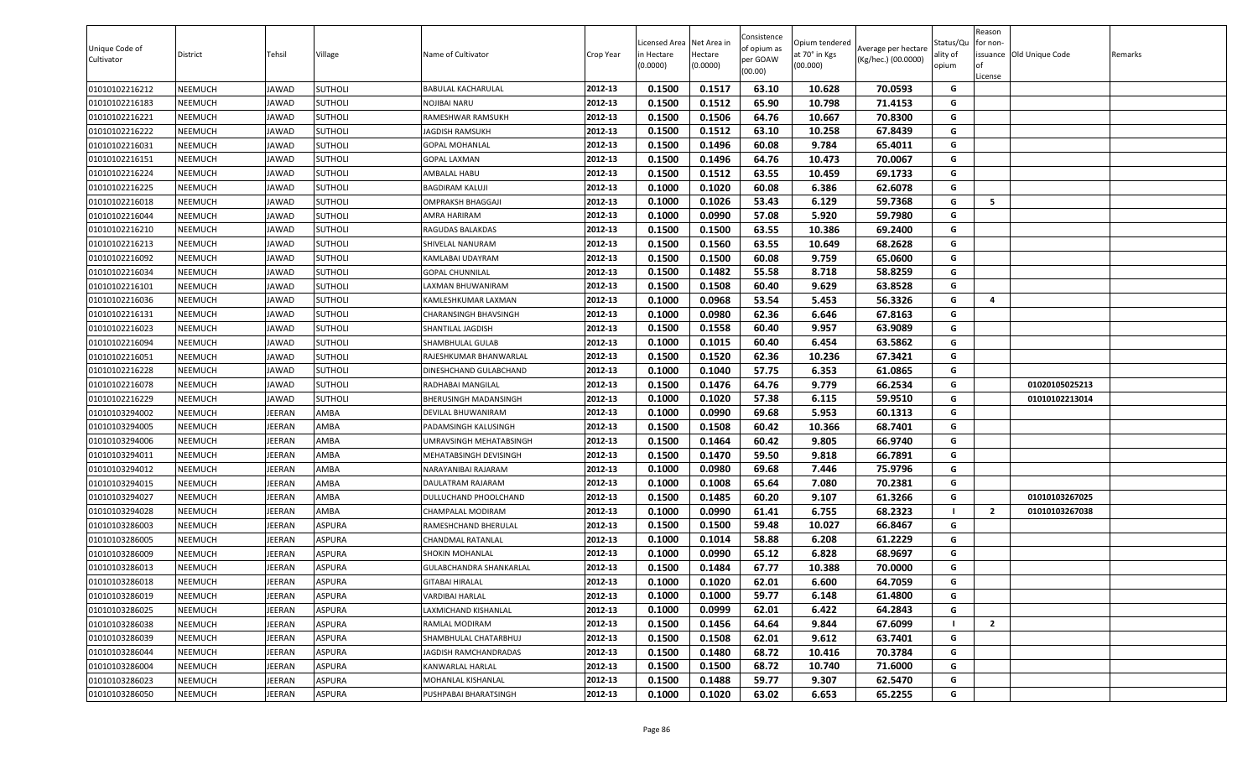| Unique Code of<br>Cultivator | District | Tehsil        | Village        | Name of Cultivator      | Crop Year | Licensed Area Net Area in<br>in Hectare<br>(0.0000) | Hectare<br>(0.0000) | Consistence<br>of opium as<br>per GOAW<br>(00.00) | Opium tendered<br>at 70° in Kgs<br>(00.000) | Average per hectare<br>(Kg/hec.) (00.0000) | Status/Qu<br>ality of<br>opium | Reason<br>for non-<br><b>of</b><br>License | issuance Old Unique Code | Remarks |
|------------------------------|----------|---------------|----------------|-------------------------|-----------|-----------------------------------------------------|---------------------|---------------------------------------------------|---------------------------------------------|--------------------------------------------|--------------------------------|--------------------------------------------|--------------------------|---------|
| 01010102216212               | NEEMUCH  | JAWAD         | SUTHOLI        | BABULAL KACHARULAL      | 2012-13   | 0.1500                                              | 0.1517              | 63.10                                             | 10.628                                      | 70.0593                                    | G                              |                                            |                          |         |
| 01010102216183               | NEEMUCH  | JAWAD         | SUTHOLI        | NOJIBAI NARU            | 2012-13   | 0.1500                                              | 0.1512              | 65.90                                             | 10.798                                      | 71.4153                                    | G                              |                                            |                          |         |
| 01010102216221               | NEEMUCH  | <b>IAWAD</b>  | SUTHOLI        | RAMESHWAR RAMSUKH       | 2012-13   | 0.1500                                              | 0.1506              | 64.76                                             | 10.667                                      | 70.8300                                    | G                              |                                            |                          |         |
| 01010102216222               | NEEMUCH  | JAWAD         | SUTHOLI        | AGDISH RAMSUKH          | 2012-13   | 0.1500                                              | 0.1512              | 63.10                                             | 10.258                                      | 67.8439                                    | G                              |                                            |                          |         |
| 01010102216031               | NEEMUCH  | JAWAD         | SUTHOLI        | GOPAL MOHANLAL          | 2012-13   | 0.1500                                              | 0.1496              | 60.08                                             | 9.784                                       | 65.4011                                    | G                              |                                            |                          |         |
| 01010102216151               | NEEMUCH  | JAWAD         | <b>SUTHOLI</b> | GOPAL LAXMAN            | 2012-13   | 0.1500                                              | 0.1496              | 64.76                                             | 10.473                                      | 70.0067                                    | G                              |                                            |                          |         |
| 01010102216224               | NEEMUCH  | JAWAD         | <b>SUTHOLI</b> | AMBALAL HABU            | 2012-13   | 0.1500                                              | 0.1512              | 63.55                                             | 10.459                                      | 69.1733                                    | G                              |                                            |                          |         |
| 01010102216225               | NEEMUCH  | JAWAD         | <b>SUTHOLI</b> | <b>BAGDIRAM KALUJI</b>  | 2012-13   | 0.1000                                              | 0.1020              | 60.08                                             | 6.386                                       | 62.6078                                    | G                              |                                            |                          |         |
| 01010102216018               | NEEMUCH  | JAWAD         | SUTHOLI        | OMPRAKSH BHAGGAJI       | 2012-13   | 0.1000                                              | 0.1026              | 53.43                                             | 6.129                                       | 59.7368                                    | G                              | -5                                         |                          |         |
| 01010102216044               | NEEMUCH  | JAWAD         | SUTHOLI        | AMRA HARIRAM            | 2012-13   | 0.1000                                              | 0.0990              | 57.08                                             | 5.920                                       | 59.7980                                    | G                              |                                            |                          |         |
| 01010102216210               | NEEMUCH  | JAWAD         | SUTHOLI        | RAGUDAS BALAKDAS        | 2012-13   | 0.1500                                              | 0.1500              | 63.55                                             | 10.386                                      | 69.2400                                    | G                              |                                            |                          |         |
| 01010102216213               | NEEMUCH  | JAWAD         | SUTHOLI        | SHIVELAL NANURAM        | 2012-13   | 0.1500                                              | 0.1560              | 63.55                                             | 10.649                                      | 68.2628                                    | G                              |                                            |                          |         |
| 01010102216092               | NEEMUCH  | JAWAD         | SUTHOLI        | (AMLABAI UDAYRAM        | 2012-13   | 0.1500                                              | 0.1500              | 60.08                                             | 9.759                                       | 65.0600                                    | G                              |                                            |                          |         |
| 01010102216034               | NEEMUCH  | JAWAD         | SUTHOLI        | <b>GOPAL CHUNNILAL</b>  | 2012-13   | 0.1500                                              | 0.1482              | 55.58                                             | 8.718                                       | 58.8259                                    | G                              |                                            |                          |         |
| 01010102216101               | NEEMUCH  | JAWAD         | SUTHOLI        | AXMAN BHUWANIRAM        | 2012-13   | 0.1500                                              | 0.1508              | 60.40                                             | 9.629                                       | 63.8528                                    | G                              |                                            |                          |         |
| 01010102216036               | NEEMUCH  | JAWAD         | <b>SUTHOLI</b> | KAMLESHKUMAR LAXMAN     | 2012-13   | 0.1000                                              | 0.0968              | 53.54                                             | 5.453                                       | 56.3326                                    | G                              | 4                                          |                          |         |
| 01010102216131               | NEEMUCH  | JAWAD         | <b>SUTHOLI</b> | CHARANSINGH BHAVSINGH   | 2012-13   | 0.1000                                              | 0.0980              | 62.36                                             | 6.646                                       | 67.8163                                    | G                              |                                            |                          |         |
| 01010102216023               | NEEMUCH  | JAWAD         | SUTHOLI        | SHANTILAL JAGDISH       | 2012-13   | 0.1500                                              | 0.1558              | 60.40                                             | 9.957                                       | 63.9089                                    | G                              |                                            |                          |         |
| 01010102216094               | NEEMUCH  | JAWAD         | SUTHOLI        | SHAMBHULAL GULAB        | 2012-13   | 0.1000                                              | 0.1015              | 60.40                                             | 6.454                                       | 63.5862                                    | G                              |                                            |                          |         |
| 01010102216051               | NEEMUCH  | <b>IAWAD</b>  | SUTHOLI        | RAJESHKUMAR BHANWARLAL  | 2012-13   | 0.1500                                              | 0.1520              | 62.36                                             | 10.236                                      | 67.3421                                    | G                              |                                            |                          |         |
| 01010102216228               | NEEMUCH  | JAWAD         | SUTHOLI        | DINESHCHAND GULABCHAND  | 2012-13   | 0.1000                                              | 0.1040              | 57.75                                             | 6.353                                       | 61.0865                                    | G                              |                                            |                          |         |
| 01010102216078               | NEEMUCH  | JAWAD         | SUTHOLI        | RADHABAI MANGILAL       | 2012-13   | 0.1500                                              | 0.1476              | 64.76                                             | 9.779                                       | 66.2534                                    | G                              |                                            | 01020105025213           |         |
| 01010102216229               | NEEMUCH  | JAWAD         | SUTHOLI        | BHERUSINGH MADANSINGH   | 2012-13   | 0.1000                                              | 0.1020              | 57.38                                             | 6.115                                       | 59.9510                                    | G                              |                                            | 01010102213014           |         |
| 01010103294002               | NEEMUCH  | <b>IEERAN</b> | AMBA           | DEVILAL BHUWANIRAM      | 2012-13   | 0.1000                                              | 0.0990              | 69.68                                             | 5.953                                       | 60.1313                                    | G                              |                                            |                          |         |
| 01010103294005               | NEEMUCH  | JEERAN        | AMBA           | PADAMSINGH KALUSINGH    | 2012-13   | 0.1500                                              | 0.1508              | 60.42                                             | 10.366                                      | 68.7401                                    | G                              |                                            |                          |         |
| 01010103294006               | NEEMUCH  | JEERAN        | AMBA           | UMRAVSINGH MEHATABSINGH | 2012-13   | 0.1500                                              | 0.1464              | 60.42                                             | 9.805                                       | 66.9740                                    | G                              |                                            |                          |         |
| 01010103294011               | NEEMUCH  | <b>IEERAN</b> | AMBA           | MEHATABSINGH DEVISINGH  | 2012-13   | 0.1500                                              | 0.1470              | 59.50                                             | 9.818                                       | 66.7891                                    | G                              |                                            |                          |         |
| 01010103294012               | NEEMUCH  | <b>IEERAN</b> | AMBA           | NARAYANIBAI RAJARAM     | 2012-13   | 0.1000                                              | 0.0980              | 69.68                                             | 7.446                                       | 75.9796                                    | G                              |                                            |                          |         |
| 01010103294015               | NEEMUCH  | <b>IEERAN</b> | AMBA           | DAULATRAM RAJARAM       | 2012-13   | 0.1000                                              | 0.1008              | 65.64                                             | 7.080                                       | 70.2381                                    | G                              |                                            |                          |         |
| 01010103294027               | NEEMUCH  | <b>IEERAN</b> | AMBA           | DULLUCHAND PHOOLCHAND   | 2012-13   | 0.1500                                              | 0.1485              | 60.20                                             | 9.107                                       | 61.3266                                    | G                              |                                            | 01010103267025           |         |
| 01010103294028               | NEEMUCH  | <b>IEERAN</b> | AMBA           | CHAMPALAL MODIRAM       | 2012-13   | 0.1000                                              | 0.0990              | 61.41                                             | 6.755                                       | 68.2323                                    | $\mathbf{I}$                   | $\overline{2}$                             | 01010103267038           |         |
| 01010103286003               | NEEMUCH  | <b>IEERAN</b> | ASPURA         | RAMESHCHAND BHERULAL    | 2012-13   | 0.1500                                              | 0.1500              | 59.48                                             | 10.027                                      | 66.8467                                    | G                              |                                            |                          |         |
| 01010103286005               | NEEMUCH  | <b>IEERAN</b> | ASPURA         | CHANDMAL RATANLAL       | 2012-13   | 0.1000                                              | 0.1014              | 58.88                                             | 6.208                                       | 61.2229                                    | G                              |                                            |                          |         |
| 01010103286009               | NEEMUCH  | JEERAN        | ASPURA         | SHOKIN MOHANLAL         | 2012-13   | 0.1000                                              | 0.0990              | 65.12                                             | 6.828                                       | 68.9697                                    | G                              |                                            |                          |         |
| 01010103286013               | NEEMUCH  | EERAN         | ASPURA         | GULABCHANDRA SHANKARLAL | 2012-13   | 0.1500                                              | 0.1484              | 67.77                                             | 10.388                                      | 70.0000                                    | G                              |                                            |                          |         |
| 01010103286018               | NEEMUCH  | JEERAN        | ASPURA         | <b>GITABAI HIRALAL</b>  | 2012-13   | 0.1000                                              | 0.1020              | 62.01                                             | 6.600                                       | 64.7059                                    | G                              |                                            |                          |         |
| 01010103286019               | NEEMUCH  | <b>IEERAN</b> | ASPURA         | VARDIBAI HARLAL         | 2012-13   | 0.1000                                              | 0.1000              | 59.77                                             | 6.148                                       | 61.4800                                    | G                              |                                            |                          |         |
| 01010103286025               | NEEMUCH  | <b>IEERAN</b> | ASPURA         | AXMICHAND KISHANLAL     | 2012-13   | 0.1000                                              | 0.0999              | 62.01                                             | 6.422                                       | 64.2843                                    | G                              |                                            |                          |         |
| 01010103286038               | NEEMUCH  | <b>IEERAN</b> | ASPURA         | RAMLAL MODIRAM          | 2012-13   | 0.1500                                              | 0.1456              | 64.64                                             | 9.844                                       | 67.6099                                    |                                | $\overline{2}$                             |                          |         |
| 01010103286039               | NEEMUCH  | JEERAN        | ASPURA         | SHAMBHULAL CHATARBHUJ   | 2012-13   | 0.1500                                              | 0.1508              | 62.01                                             | 9.612                                       | 63.7401                                    | G                              |                                            |                          |         |
| 01010103286044               | NEEMUCH  | JEERAN        | ASPURA         | JAGDISH RAMCHANDRADAS   | 2012-13   | 0.1500                                              | 0.1480              | 68.72                                             | 10.416                                      | 70.3784                                    | G                              |                                            |                          |         |
| 01010103286004               | NEEMUCH  | JEERAN        | ASPURA         | KANWARLAL HARLAL        | 2012-13   | 0.1500                                              | 0.1500              | 68.72                                             | 10.740                                      | 71.6000                                    | G                              |                                            |                          |         |
| 01010103286023               | NEEMUCH  | JEERAN        | ASPURA         | MOHANLAL KISHANLAL      | 2012-13   | 0.1500                                              | 0.1488              | 59.77                                             | 9.307                                       | 62.5470                                    | G                              |                                            |                          |         |
| 01010103286050               | NEEMUCH  | JEERAN        | ASPURA         | PUSHPABAI BHARATSINGH   | 2012-13   | 0.1000                                              | 0.1020              | 63.02                                             | 6.653                                       | 65.2255                                    | G                              |                                            |                          |         |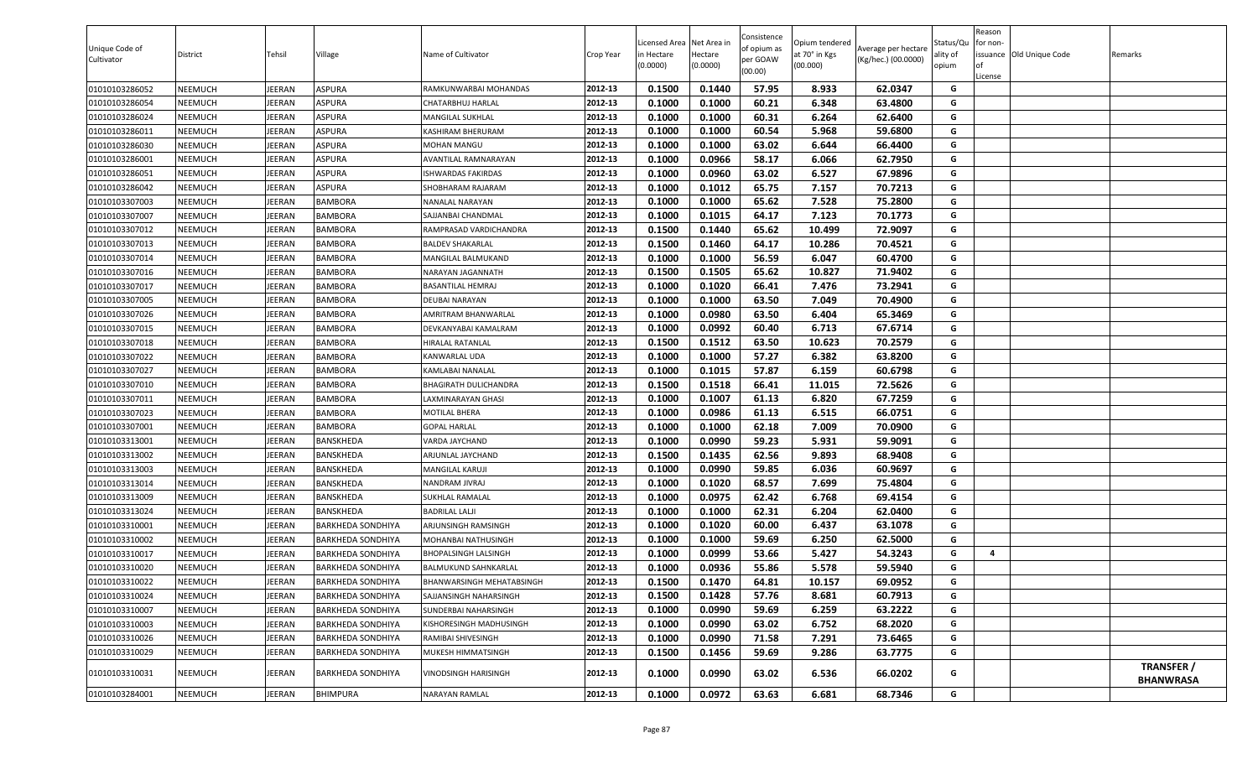| ASPURA<br>0.1500<br>0.1440<br>57.95<br>01010103286052<br><b>NEEMUCH</b><br>JEERAN<br>2012-13<br>8.933<br>62.0347<br>G<br>RAMKUNWARBAI MOHANDAS<br>01010103286054<br>ASPURA<br>0.1000<br>0.1000<br>60.21<br>6.348<br>63.4800<br>NEEMUCH<br>JEERAN<br>2012-13<br>G<br>CHATARBHUJ HARLAL<br>01010103286024<br><b>NEEMUCH</b><br>JEERAN<br>ASPURA<br>2012-13<br>0.1000<br>0.1000<br>60.31<br>6.264<br>62.6400<br>G<br>MANGILAL SUKHLAL<br>ASPURA<br>0.1000<br>0.1000<br>60.54<br>5.968<br>59.6800<br>01010103286011<br>NEEMUCH<br>JEERAN<br>2012-13<br>G<br>KASHIRAM BHERURAM<br>63.02<br>6.644<br>ASPURA<br>0.1000<br>0.1000<br>66.4400<br>G<br>01010103286030<br><b>NEEMUCH</b><br>JEERAN<br>2012-13<br>MOHAN MANGU<br>2012-13<br>0.0966<br>58.17<br>6.066<br>62.7950<br>G<br>01010103286001<br><b>NEEMUCH</b><br><b>JEERAN</b><br>ASPURA<br>0.1000<br>AVANTILAL RAMNARAYAN<br>G<br>ASPURA<br>2012-13<br>0.1000<br>0.0960<br>63.02<br>6.527<br>67.9896<br>01010103286051<br><b>NEEMUCH</b><br>JEERAN<br>ISHWARDAS FAKIRDAS<br>65.75<br>G<br>2012-13<br>0.1000<br>0.1012<br>7.157<br>70.7213<br>01010103286042<br><b>NEEMUCH</b><br>JEERAN<br>ASPURA<br>SHOBHARAM RAJARAM<br>01010103307003<br>2012-13<br>0.1000<br>0.1000<br>65.62<br>7.528<br>75.2800<br>G<br><b>NEEMUCH</b><br>JEERAN<br><b>BAMBORA</b><br>NANALAL NARAYAN<br>7.123<br>70.1773<br>01010103307007<br>JEERAN<br>2012-13<br>0.1000<br>0.1015<br>64.17<br>G<br>NEEMUCH<br>BAMBORA<br>SAJJANBAI CHANDMAL<br>0.1500<br>0.1440<br>65.62<br>72.9097<br>01010103307012<br><b>NEEMUCH</b><br>JEERAN<br><b>BAMBORA</b><br>2012-13<br>10.499<br>G<br>RAMPRASAD VARDICHANDRA<br>0.1500<br>64.17<br>70.4521<br>G<br>01010103307013<br>JEERAN<br>2012-13<br>0.1460<br>10.286<br>NEEMUCH<br>BAMBORA<br>BALDEV SHAKARLAL<br>56.59<br>0.1000<br>0.1000<br>6.047<br>60.4700<br>G<br>01010103307014<br><b>NEEMUCH</b><br>JEERAN<br><b>BAMBORA</b><br>2012-13<br>MANGILAL BALMUKAND<br>0.1505<br>65.62<br>10.827<br>01010103307016<br><b>NEEMUCH</b><br>JEERAN<br><b>BAMBORA</b><br>2012-13<br>0.1500<br>71.9402<br>G<br>NARAYAN JAGANNATH<br>01010103307017<br><b>NEEMUCH</b><br>JEERAN<br>0.1000<br>0.1020<br>66.41<br>7.476<br>73.2941<br>G<br><b>BAMBORA</b><br>2012-13<br>BASANTILAL HEMRAJ<br>0.1000<br>0.1000<br>63.50<br>7.049<br>G<br>01010103307005<br><b>NEEMUCH</b><br>JEERAN<br><b>BAMBORA</b><br>2012-13<br>70.4900<br>DEUBAI NARAYAN<br>0.1000<br>0.0980<br>63.50<br>6.404<br>65.3469<br>01010103307026<br>2012-13<br>G<br><b>NEEMUCH</b><br>JEERAN<br><b>BAMBORA</b><br>AMRITRAM BHANWARLAL<br>0.0992<br>01010103307015<br>2012-13<br>0.1000<br>60.40<br>6.713<br>67.6714<br>G<br><b>NEEMUCH</b><br>JEERAN<br>BAMBORA<br>DEVKANYABAI KAMALRAM<br>01010103307018<br>JEERAN<br>2012-13<br>0.1500<br>0.1512<br>63.50<br>10.623<br>70.2579<br>G<br><b>NEEMUCH</b><br>BAMBORA<br>HIRALAL RATANLAL<br>G<br>2012-13<br>01010103307022<br><b>NEEMUCH</b><br>JEERAN<br>BAMBORA<br>0.1000<br>0.1000<br>57.27<br>6.382<br>63.8200<br>KANWARLAL UDA<br>0.1000<br>57.87<br>6.159<br>60.6798<br>01010103307027<br>NEEMUCH<br>JEERAN<br>BAMBORA<br>2012-13<br>0.1015<br>G<br>KAMLABAI NANALAL<br>66.41<br>72.5626<br>0.1500<br>0.1518<br>11.015<br>G<br>01010103307010<br><b>NEEMUCH</b><br>JEERAN<br><b>BAMBORA</b><br>2012-13<br>BHAGIRATH DULICHANDRA<br>01010103307011<br><b>NEEMUCH</b><br>JEERAN<br><b>BAMBORA</b><br>2012-13<br>0.1000<br>0.1007<br>61.13<br>6.820<br>67.7259<br>G<br>AXMINARAYAN GHASI<br>0.0986<br>61.13<br>6.515<br>66.0751<br>01010103307023<br><b>NEEMUCH</b><br>JEERAN<br><b>BAMBORA</b><br>2012-13<br>0.1000<br>G<br>MOTILAL BHERA<br>0.1000<br>0.1000<br>62.18<br>7.009<br>70.0900<br>01010103307001<br><b>NEEMUCH</b><br>JEERAN<br><b>BAMBORA</b><br>2012-13<br>G<br><b>GOPAL HARLAL</b><br>0.1000<br>0.0990<br>59.23<br>5.931<br>01010103313001<br><b>NEEMUCH</b><br>JEERAN<br>BANSKHEDA<br>2012-13<br>59.9091<br>G<br>VARDA JAYCHAND<br>01010103313002<br>JEERAN<br>2012-13<br>0.1500<br>0.1435<br>62.56<br>9.893<br>68.9408<br>G<br><b>NEEMUCH</b><br>BANSKHEDA<br>ARJUNLAL JAYCHAND<br>0.0990<br>59.85<br>6.036<br>60.9697<br>01010103313003<br><b>NEEMUCH</b><br>JEERAN<br>BANSKHEDA<br>2012-13<br>0.1000<br>G<br>MANGILAL KARUJI<br>68.57<br>G<br>2012-13<br>0.1000<br>7.699<br>75.4804<br>01010103313014<br>NEEMUCH<br>JEERAN<br>BANSKHEDA<br>0.1020<br>NANDRAM JIVRAJ<br>62.42<br>G<br>2012-13<br>0.1000<br>0.0975<br>6.768<br>69.4154<br>01010103313009<br><b>NEEMUCH</b><br>JEERAN<br>BANSKHEDA<br>SUKHLAL RAMALAL<br>2012-13<br>0.1000<br>62.31<br>6.204<br>G<br>01010103313024<br><b>NEEMUCH</b><br>JEERAN<br><b>BADRILAL LALJI</b><br>0.1000<br>62.0400<br>BANSKHEDA<br>01010103310001<br><b>NEEMUCH</b><br>JEERAN<br>2012-13<br>0.1000<br>0.1020<br>60.00<br>6.437<br>63.1078<br>G<br><b>BARKHEDA SONDHIYA</b><br>ARJUNSINGH RAMSINGH<br>0.1000<br>0.1000<br>59.69<br>6.250<br>G<br>01010103310002<br><b>NEEMUCH</b><br>JEERAN<br>2012-13<br>62.5000<br><b>BARKHEDA SONDHIYA</b><br>MOHANBAI NATHUSINGH<br>0.0999<br>53.66<br>5.427<br>54.3243<br>01010103310017<br><b>NEEMUCH</b><br>JEERAN<br>2012-13<br>0.1000<br>G<br><b>BARKHEDA SONDHIYA</b><br>BHOPALSINGH LALSINGH<br>4<br>0.0936<br>59.5940<br>01010103310020<br><b>JEERAN</b><br>0.1000<br>55.86<br>5.578<br>G<br><b>NEEMUCH</b><br>BARKHEDA SONDHIYA<br>2012-13<br><b>BALMUKUND SAHNKARLAL</b><br>01010103310022<br><b>NEEMUCH</b><br>JEERAN<br><b>BARKHEDA SONDHIYA</b><br>2012-13<br>0.1500<br>0.1470<br>64.81<br>10.157<br>69.0952<br>G<br><b>BHANWARSINGH MEHATABSINGH</b><br>0.1428<br>JEERAN<br>2012-13<br>0.1500<br>57.76<br>60.7913<br>G<br>01010103310024<br><b>NEEMUCH</b><br><b>BARKHEDA SONDHIYA</b><br>8.681<br>SAJJANSINGH NAHARSINGH<br>59.69<br>63.2222<br>2012-13<br>0.1000<br>0.0990<br>6.259<br>01010103310007<br><b>NEEMUCH</b><br>JEERAN<br><b>BARKHEDA SONDHIYA</b><br>G<br>SUNDERBAI NAHARSINGH<br>0.0990<br>63.02<br>68.2020<br>01010103310003<br><b>NEEMUCH</b><br>JEERAN<br>2012-13<br>0.1000<br>6.752<br>G<br><b>BARKHEDA SONDHIYA</b><br>KISHORESINGH MADHUSINGH<br>71.58<br>01010103310026<br><b>NEEMUCH</b><br>2012-13<br>0.1000<br>0.0990<br>7.291<br>73.6465<br>G<br>JEERAN<br><b>BARKHEDA SONDHIYA</b><br>RAMIBAI SHIVESINGH<br>G<br>2012-13<br>59.69<br>01010103310029<br><b>NEEMUCH</b><br>JEERAN<br><b>BARKHEDA SONDHIYA</b><br>MUKESH HIMMATSINGH<br>0.1500<br>0.1456<br>9.286<br>63.7775<br>TRANSFER /<br>2012-13<br>0.1000<br>0.0990<br>63.02<br>6.536<br>66.0202<br>G<br>01010103310031<br><b>NEEMUCH</b><br>JEERAN<br><b>BARKHEDA SONDHIYA</b><br>VINODSINGH HARISINGH<br><b>BHANWRASA</b><br>01010103284001<br>JEERAN<br><b>BHIMPURA</b><br>2012-13<br>0.1000<br>0.0972<br>63.63<br>6.681<br>68.7346<br><b>NEEMUCH</b><br>NARAYAN RAMLAL<br>G | Unique Code of<br>Cultivator | District | Tehsil | Village | Name of Cultivator | Crop Year | icensed Area Net Area in<br>in Hectare<br>(0.0000) | Hectare<br>(0.0000) | Consistence<br>of opium as<br>per GOAW<br>(00.00) | Opium tendered<br>at 70° in Kgs<br>(00.000) | Average per hectare<br>(Kg/hec.) (00.0000) | Status/Qu<br>ality of<br>opium | Reason<br>for non-<br>lof<br>License | issuance Old Unique Code | Remarks |
|----------------------------------------------------------------------------------------------------------------------------------------------------------------------------------------------------------------------------------------------------------------------------------------------------------------------------------------------------------------------------------------------------------------------------------------------------------------------------------------------------------------------------------------------------------------------------------------------------------------------------------------------------------------------------------------------------------------------------------------------------------------------------------------------------------------------------------------------------------------------------------------------------------------------------------------------------------------------------------------------------------------------------------------------------------------------------------------------------------------------------------------------------------------------------------------------------------------------------------------------------------------------------------------------------------------------------------------------------------------------------------------------------------------------------------------------------------------------------------------------------------------------------------------------------------------------------------------------------------------------------------------------------------------------------------------------------------------------------------------------------------------------------------------------------------------------------------------------------------------------------------------------------------------------------------------------------------------------------------------------------------------------------------------------------------------------------------------------------------------------------------------------------------------------------------------------------------------------------------------------------------------------------------------------------------------------------------------------------------------------------------------------------------------------------------------------------------------------------------------------------------------------------------------------------------------------------------------------------------------------------------------------------------------------------------------------------------------------------------------------------------------------------------------------------------------------------------------------------------------------------------------------------------------------------------------------------------------------------------------------------------------------------------------------------------------------------------------------------------------------------------------------------------------------------------------------------------------------------------------------------------------------------------------------------------------------------------------------------------------------------------------------------------------------------------------------------------------------------------------------------------------------------------------------------------------------------------------------------------------------------------------------------------------------------------------------------------------------------------------------------------------------------------------------------------------------------------------------------------------------------------------------------------------------------------------------------------------------------------------------------------------------------------------------------------------------------------------------------------------------------------------------------------------------------------------------------------------------------------------------------------------------------------------------------------------------------------------------------------------------------------------------------------------------------------------------------------------------------------------------------------------------------------------------------------------------------------------------------------------------------------------------------------------------------------------------------------------------------------------------------------------------------------------------------------------------------------------------------------------------------------------------------------------------------------------------------------------------------------------------------------------------------------------------------------------------------------------------------------------------------------------------------------------------------------------------------------------------------------------------------------------------------------------------------------------------------------------------------------------------------------------------------------------------------------------------------------------------------------------------------------------------------------------------------------------------------------------------------------------------------------------------------------------------------------------------------------------------------------------------------------------------------------------------------------------------------------------------------------------------------------------------------------------------------------------------------------------------------------------------------------------------------------------------------------------------------------------------------------------------------------------------------------------------------------------------------------------------------------------------------------------------------------------------------------------------------------------------------------------------------------------------------------------------------------------------------------------------------------------------------------------------------------------------------------------------------------------------------------------------------------------------------------------------------------------------------------------------------------------------|------------------------------|----------|--------|---------|--------------------|-----------|----------------------------------------------------|---------------------|---------------------------------------------------|---------------------------------------------|--------------------------------------------|--------------------------------|--------------------------------------|--------------------------|---------|
|                                                                                                                                                                                                                                                                                                                                                                                                                                                                                                                                                                                                                                                                                                                                                                                                                                                                                                                                                                                                                                                                                                                                                                                                                                                                                                                                                                                                                                                                                                                                                                                                                                                                                                                                                                                                                                                                                                                                                                                                                                                                                                                                                                                                                                                                                                                                                                                                                                                                                                                                                                                                                                                                                                                                                                                                                                                                                                                                                                                                                                                                                                                                                                                                                                                                                                                                                                                                                                                                                                                                                                                                                                                                                                                                                                                                                                                                                                                                                                                                                                                                                                                                                                                                                                                                                                                                                                                                                                                                                                                                                                                                                                                                                                                                                                                                                                                                                                                                                                                                                                                                                                                                                                                                                                                                                                                                                                                                                                                                                                                                                                                                                                                                                                                                                                                                                                                                                                                                                                                                                                                                                                                                                                                                                                                                                                                                                                                                                                                                                                                                                                                                                                                                                                                                              |                              |          |        |         |                    |           |                                                    |                     |                                                   |                                             |                                            |                                |                                      |                          |         |
|                                                                                                                                                                                                                                                                                                                                                                                                                                                                                                                                                                                                                                                                                                                                                                                                                                                                                                                                                                                                                                                                                                                                                                                                                                                                                                                                                                                                                                                                                                                                                                                                                                                                                                                                                                                                                                                                                                                                                                                                                                                                                                                                                                                                                                                                                                                                                                                                                                                                                                                                                                                                                                                                                                                                                                                                                                                                                                                                                                                                                                                                                                                                                                                                                                                                                                                                                                                                                                                                                                                                                                                                                                                                                                                                                                                                                                                                                                                                                                                                                                                                                                                                                                                                                                                                                                                                                                                                                                                                                                                                                                                                                                                                                                                                                                                                                                                                                                                                                                                                                                                                                                                                                                                                                                                                                                                                                                                                                                                                                                                                                                                                                                                                                                                                                                                                                                                                                                                                                                                                                                                                                                                                                                                                                                                                                                                                                                                                                                                                                                                                                                                                                                                                                                                                              |                              |          |        |         |                    |           |                                                    |                     |                                                   |                                             |                                            |                                |                                      |                          |         |
|                                                                                                                                                                                                                                                                                                                                                                                                                                                                                                                                                                                                                                                                                                                                                                                                                                                                                                                                                                                                                                                                                                                                                                                                                                                                                                                                                                                                                                                                                                                                                                                                                                                                                                                                                                                                                                                                                                                                                                                                                                                                                                                                                                                                                                                                                                                                                                                                                                                                                                                                                                                                                                                                                                                                                                                                                                                                                                                                                                                                                                                                                                                                                                                                                                                                                                                                                                                                                                                                                                                                                                                                                                                                                                                                                                                                                                                                                                                                                                                                                                                                                                                                                                                                                                                                                                                                                                                                                                                                                                                                                                                                                                                                                                                                                                                                                                                                                                                                                                                                                                                                                                                                                                                                                                                                                                                                                                                                                                                                                                                                                                                                                                                                                                                                                                                                                                                                                                                                                                                                                                                                                                                                                                                                                                                                                                                                                                                                                                                                                                                                                                                                                                                                                                                                              |                              |          |        |         |                    |           |                                                    |                     |                                                   |                                             |                                            |                                |                                      |                          |         |
|                                                                                                                                                                                                                                                                                                                                                                                                                                                                                                                                                                                                                                                                                                                                                                                                                                                                                                                                                                                                                                                                                                                                                                                                                                                                                                                                                                                                                                                                                                                                                                                                                                                                                                                                                                                                                                                                                                                                                                                                                                                                                                                                                                                                                                                                                                                                                                                                                                                                                                                                                                                                                                                                                                                                                                                                                                                                                                                                                                                                                                                                                                                                                                                                                                                                                                                                                                                                                                                                                                                                                                                                                                                                                                                                                                                                                                                                                                                                                                                                                                                                                                                                                                                                                                                                                                                                                                                                                                                                                                                                                                                                                                                                                                                                                                                                                                                                                                                                                                                                                                                                                                                                                                                                                                                                                                                                                                                                                                                                                                                                                                                                                                                                                                                                                                                                                                                                                                                                                                                                                                                                                                                                                                                                                                                                                                                                                                                                                                                                                                                                                                                                                                                                                                                                              |                              |          |        |         |                    |           |                                                    |                     |                                                   |                                             |                                            |                                |                                      |                          |         |
|                                                                                                                                                                                                                                                                                                                                                                                                                                                                                                                                                                                                                                                                                                                                                                                                                                                                                                                                                                                                                                                                                                                                                                                                                                                                                                                                                                                                                                                                                                                                                                                                                                                                                                                                                                                                                                                                                                                                                                                                                                                                                                                                                                                                                                                                                                                                                                                                                                                                                                                                                                                                                                                                                                                                                                                                                                                                                                                                                                                                                                                                                                                                                                                                                                                                                                                                                                                                                                                                                                                                                                                                                                                                                                                                                                                                                                                                                                                                                                                                                                                                                                                                                                                                                                                                                                                                                                                                                                                                                                                                                                                                                                                                                                                                                                                                                                                                                                                                                                                                                                                                                                                                                                                                                                                                                                                                                                                                                                                                                                                                                                                                                                                                                                                                                                                                                                                                                                                                                                                                                                                                                                                                                                                                                                                                                                                                                                                                                                                                                                                                                                                                                                                                                                                                              |                              |          |        |         |                    |           |                                                    |                     |                                                   |                                             |                                            |                                |                                      |                          |         |
|                                                                                                                                                                                                                                                                                                                                                                                                                                                                                                                                                                                                                                                                                                                                                                                                                                                                                                                                                                                                                                                                                                                                                                                                                                                                                                                                                                                                                                                                                                                                                                                                                                                                                                                                                                                                                                                                                                                                                                                                                                                                                                                                                                                                                                                                                                                                                                                                                                                                                                                                                                                                                                                                                                                                                                                                                                                                                                                                                                                                                                                                                                                                                                                                                                                                                                                                                                                                                                                                                                                                                                                                                                                                                                                                                                                                                                                                                                                                                                                                                                                                                                                                                                                                                                                                                                                                                                                                                                                                                                                                                                                                                                                                                                                                                                                                                                                                                                                                                                                                                                                                                                                                                                                                                                                                                                                                                                                                                                                                                                                                                                                                                                                                                                                                                                                                                                                                                                                                                                                                                                                                                                                                                                                                                                                                                                                                                                                                                                                                                                                                                                                                                                                                                                                                              |                              |          |        |         |                    |           |                                                    |                     |                                                   |                                             |                                            |                                |                                      |                          |         |
|                                                                                                                                                                                                                                                                                                                                                                                                                                                                                                                                                                                                                                                                                                                                                                                                                                                                                                                                                                                                                                                                                                                                                                                                                                                                                                                                                                                                                                                                                                                                                                                                                                                                                                                                                                                                                                                                                                                                                                                                                                                                                                                                                                                                                                                                                                                                                                                                                                                                                                                                                                                                                                                                                                                                                                                                                                                                                                                                                                                                                                                                                                                                                                                                                                                                                                                                                                                                                                                                                                                                                                                                                                                                                                                                                                                                                                                                                                                                                                                                                                                                                                                                                                                                                                                                                                                                                                                                                                                                                                                                                                                                                                                                                                                                                                                                                                                                                                                                                                                                                                                                                                                                                                                                                                                                                                                                                                                                                                                                                                                                                                                                                                                                                                                                                                                                                                                                                                                                                                                                                                                                                                                                                                                                                                                                                                                                                                                                                                                                                                                                                                                                                                                                                                                                              |                              |          |        |         |                    |           |                                                    |                     |                                                   |                                             |                                            |                                |                                      |                          |         |
|                                                                                                                                                                                                                                                                                                                                                                                                                                                                                                                                                                                                                                                                                                                                                                                                                                                                                                                                                                                                                                                                                                                                                                                                                                                                                                                                                                                                                                                                                                                                                                                                                                                                                                                                                                                                                                                                                                                                                                                                                                                                                                                                                                                                                                                                                                                                                                                                                                                                                                                                                                                                                                                                                                                                                                                                                                                                                                                                                                                                                                                                                                                                                                                                                                                                                                                                                                                                                                                                                                                                                                                                                                                                                                                                                                                                                                                                                                                                                                                                                                                                                                                                                                                                                                                                                                                                                                                                                                                                                                                                                                                                                                                                                                                                                                                                                                                                                                                                                                                                                                                                                                                                                                                                                                                                                                                                                                                                                                                                                                                                                                                                                                                                                                                                                                                                                                                                                                                                                                                                                                                                                                                                                                                                                                                                                                                                                                                                                                                                                                                                                                                                                                                                                                                                              |                              |          |        |         |                    |           |                                                    |                     |                                                   |                                             |                                            |                                |                                      |                          |         |
|                                                                                                                                                                                                                                                                                                                                                                                                                                                                                                                                                                                                                                                                                                                                                                                                                                                                                                                                                                                                                                                                                                                                                                                                                                                                                                                                                                                                                                                                                                                                                                                                                                                                                                                                                                                                                                                                                                                                                                                                                                                                                                                                                                                                                                                                                                                                                                                                                                                                                                                                                                                                                                                                                                                                                                                                                                                                                                                                                                                                                                                                                                                                                                                                                                                                                                                                                                                                                                                                                                                                                                                                                                                                                                                                                                                                                                                                                                                                                                                                                                                                                                                                                                                                                                                                                                                                                                                                                                                                                                                                                                                                                                                                                                                                                                                                                                                                                                                                                                                                                                                                                                                                                                                                                                                                                                                                                                                                                                                                                                                                                                                                                                                                                                                                                                                                                                                                                                                                                                                                                                                                                                                                                                                                                                                                                                                                                                                                                                                                                                                                                                                                                                                                                                                                              |                              |          |        |         |                    |           |                                                    |                     |                                                   |                                             |                                            |                                |                                      |                          |         |
|                                                                                                                                                                                                                                                                                                                                                                                                                                                                                                                                                                                                                                                                                                                                                                                                                                                                                                                                                                                                                                                                                                                                                                                                                                                                                                                                                                                                                                                                                                                                                                                                                                                                                                                                                                                                                                                                                                                                                                                                                                                                                                                                                                                                                                                                                                                                                                                                                                                                                                                                                                                                                                                                                                                                                                                                                                                                                                                                                                                                                                                                                                                                                                                                                                                                                                                                                                                                                                                                                                                                                                                                                                                                                                                                                                                                                                                                                                                                                                                                                                                                                                                                                                                                                                                                                                                                                                                                                                                                                                                                                                                                                                                                                                                                                                                                                                                                                                                                                                                                                                                                                                                                                                                                                                                                                                                                                                                                                                                                                                                                                                                                                                                                                                                                                                                                                                                                                                                                                                                                                                                                                                                                                                                                                                                                                                                                                                                                                                                                                                                                                                                                                                                                                                                                              |                              |          |        |         |                    |           |                                                    |                     |                                                   |                                             |                                            |                                |                                      |                          |         |
|                                                                                                                                                                                                                                                                                                                                                                                                                                                                                                                                                                                                                                                                                                                                                                                                                                                                                                                                                                                                                                                                                                                                                                                                                                                                                                                                                                                                                                                                                                                                                                                                                                                                                                                                                                                                                                                                                                                                                                                                                                                                                                                                                                                                                                                                                                                                                                                                                                                                                                                                                                                                                                                                                                                                                                                                                                                                                                                                                                                                                                                                                                                                                                                                                                                                                                                                                                                                                                                                                                                                                                                                                                                                                                                                                                                                                                                                                                                                                                                                                                                                                                                                                                                                                                                                                                                                                                                                                                                                                                                                                                                                                                                                                                                                                                                                                                                                                                                                                                                                                                                                                                                                                                                                                                                                                                                                                                                                                                                                                                                                                                                                                                                                                                                                                                                                                                                                                                                                                                                                                                                                                                                                                                                                                                                                                                                                                                                                                                                                                                                                                                                                                                                                                                                                              |                              |          |        |         |                    |           |                                                    |                     |                                                   |                                             |                                            |                                |                                      |                          |         |
|                                                                                                                                                                                                                                                                                                                                                                                                                                                                                                                                                                                                                                                                                                                                                                                                                                                                                                                                                                                                                                                                                                                                                                                                                                                                                                                                                                                                                                                                                                                                                                                                                                                                                                                                                                                                                                                                                                                                                                                                                                                                                                                                                                                                                                                                                                                                                                                                                                                                                                                                                                                                                                                                                                                                                                                                                                                                                                                                                                                                                                                                                                                                                                                                                                                                                                                                                                                                                                                                                                                                                                                                                                                                                                                                                                                                                                                                                                                                                                                                                                                                                                                                                                                                                                                                                                                                                                                                                                                                                                                                                                                                                                                                                                                                                                                                                                                                                                                                                                                                                                                                                                                                                                                                                                                                                                                                                                                                                                                                                                                                                                                                                                                                                                                                                                                                                                                                                                                                                                                                                                                                                                                                                                                                                                                                                                                                                                                                                                                                                                                                                                                                                                                                                                                                              |                              |          |        |         |                    |           |                                                    |                     |                                                   |                                             |                                            |                                |                                      |                          |         |
|                                                                                                                                                                                                                                                                                                                                                                                                                                                                                                                                                                                                                                                                                                                                                                                                                                                                                                                                                                                                                                                                                                                                                                                                                                                                                                                                                                                                                                                                                                                                                                                                                                                                                                                                                                                                                                                                                                                                                                                                                                                                                                                                                                                                                                                                                                                                                                                                                                                                                                                                                                                                                                                                                                                                                                                                                                                                                                                                                                                                                                                                                                                                                                                                                                                                                                                                                                                                                                                                                                                                                                                                                                                                                                                                                                                                                                                                                                                                                                                                                                                                                                                                                                                                                                                                                                                                                                                                                                                                                                                                                                                                                                                                                                                                                                                                                                                                                                                                                                                                                                                                                                                                                                                                                                                                                                                                                                                                                                                                                                                                                                                                                                                                                                                                                                                                                                                                                                                                                                                                                                                                                                                                                                                                                                                                                                                                                                                                                                                                                                                                                                                                                                                                                                                                              |                              |          |        |         |                    |           |                                                    |                     |                                                   |                                             |                                            |                                |                                      |                          |         |
|                                                                                                                                                                                                                                                                                                                                                                                                                                                                                                                                                                                                                                                                                                                                                                                                                                                                                                                                                                                                                                                                                                                                                                                                                                                                                                                                                                                                                                                                                                                                                                                                                                                                                                                                                                                                                                                                                                                                                                                                                                                                                                                                                                                                                                                                                                                                                                                                                                                                                                                                                                                                                                                                                                                                                                                                                                                                                                                                                                                                                                                                                                                                                                                                                                                                                                                                                                                                                                                                                                                                                                                                                                                                                                                                                                                                                                                                                                                                                                                                                                                                                                                                                                                                                                                                                                                                                                                                                                                                                                                                                                                                                                                                                                                                                                                                                                                                                                                                                                                                                                                                                                                                                                                                                                                                                                                                                                                                                                                                                                                                                                                                                                                                                                                                                                                                                                                                                                                                                                                                                                                                                                                                                                                                                                                                                                                                                                                                                                                                                                                                                                                                                                                                                                                                              |                              |          |        |         |                    |           |                                                    |                     |                                                   |                                             |                                            |                                |                                      |                          |         |
|                                                                                                                                                                                                                                                                                                                                                                                                                                                                                                                                                                                                                                                                                                                                                                                                                                                                                                                                                                                                                                                                                                                                                                                                                                                                                                                                                                                                                                                                                                                                                                                                                                                                                                                                                                                                                                                                                                                                                                                                                                                                                                                                                                                                                                                                                                                                                                                                                                                                                                                                                                                                                                                                                                                                                                                                                                                                                                                                                                                                                                                                                                                                                                                                                                                                                                                                                                                                                                                                                                                                                                                                                                                                                                                                                                                                                                                                                                                                                                                                                                                                                                                                                                                                                                                                                                                                                                                                                                                                                                                                                                                                                                                                                                                                                                                                                                                                                                                                                                                                                                                                                                                                                                                                                                                                                                                                                                                                                                                                                                                                                                                                                                                                                                                                                                                                                                                                                                                                                                                                                                                                                                                                                                                                                                                                                                                                                                                                                                                                                                                                                                                                                                                                                                                                              |                              |          |        |         |                    |           |                                                    |                     |                                                   |                                             |                                            |                                |                                      |                          |         |
|                                                                                                                                                                                                                                                                                                                                                                                                                                                                                                                                                                                                                                                                                                                                                                                                                                                                                                                                                                                                                                                                                                                                                                                                                                                                                                                                                                                                                                                                                                                                                                                                                                                                                                                                                                                                                                                                                                                                                                                                                                                                                                                                                                                                                                                                                                                                                                                                                                                                                                                                                                                                                                                                                                                                                                                                                                                                                                                                                                                                                                                                                                                                                                                                                                                                                                                                                                                                                                                                                                                                                                                                                                                                                                                                                                                                                                                                                                                                                                                                                                                                                                                                                                                                                                                                                                                                                                                                                                                                                                                                                                                                                                                                                                                                                                                                                                                                                                                                                                                                                                                                                                                                                                                                                                                                                                                                                                                                                                                                                                                                                                                                                                                                                                                                                                                                                                                                                                                                                                                                                                                                                                                                                                                                                                                                                                                                                                                                                                                                                                                                                                                                                                                                                                                                              |                              |          |        |         |                    |           |                                                    |                     |                                                   |                                             |                                            |                                |                                      |                          |         |
|                                                                                                                                                                                                                                                                                                                                                                                                                                                                                                                                                                                                                                                                                                                                                                                                                                                                                                                                                                                                                                                                                                                                                                                                                                                                                                                                                                                                                                                                                                                                                                                                                                                                                                                                                                                                                                                                                                                                                                                                                                                                                                                                                                                                                                                                                                                                                                                                                                                                                                                                                                                                                                                                                                                                                                                                                                                                                                                                                                                                                                                                                                                                                                                                                                                                                                                                                                                                                                                                                                                                                                                                                                                                                                                                                                                                                                                                                                                                                                                                                                                                                                                                                                                                                                                                                                                                                                                                                                                                                                                                                                                                                                                                                                                                                                                                                                                                                                                                                                                                                                                                                                                                                                                                                                                                                                                                                                                                                                                                                                                                                                                                                                                                                                                                                                                                                                                                                                                                                                                                                                                                                                                                                                                                                                                                                                                                                                                                                                                                                                                                                                                                                                                                                                                                              |                              |          |        |         |                    |           |                                                    |                     |                                                   |                                             |                                            |                                |                                      |                          |         |
|                                                                                                                                                                                                                                                                                                                                                                                                                                                                                                                                                                                                                                                                                                                                                                                                                                                                                                                                                                                                                                                                                                                                                                                                                                                                                                                                                                                                                                                                                                                                                                                                                                                                                                                                                                                                                                                                                                                                                                                                                                                                                                                                                                                                                                                                                                                                                                                                                                                                                                                                                                                                                                                                                                                                                                                                                                                                                                                                                                                                                                                                                                                                                                                                                                                                                                                                                                                                                                                                                                                                                                                                                                                                                                                                                                                                                                                                                                                                                                                                                                                                                                                                                                                                                                                                                                                                                                                                                                                                                                                                                                                                                                                                                                                                                                                                                                                                                                                                                                                                                                                                                                                                                                                                                                                                                                                                                                                                                                                                                                                                                                                                                                                                                                                                                                                                                                                                                                                                                                                                                                                                                                                                                                                                                                                                                                                                                                                                                                                                                                                                                                                                                                                                                                                                              |                              |          |        |         |                    |           |                                                    |                     |                                                   |                                             |                                            |                                |                                      |                          |         |
|                                                                                                                                                                                                                                                                                                                                                                                                                                                                                                                                                                                                                                                                                                                                                                                                                                                                                                                                                                                                                                                                                                                                                                                                                                                                                                                                                                                                                                                                                                                                                                                                                                                                                                                                                                                                                                                                                                                                                                                                                                                                                                                                                                                                                                                                                                                                                                                                                                                                                                                                                                                                                                                                                                                                                                                                                                                                                                                                                                                                                                                                                                                                                                                                                                                                                                                                                                                                                                                                                                                                                                                                                                                                                                                                                                                                                                                                                                                                                                                                                                                                                                                                                                                                                                                                                                                                                                                                                                                                                                                                                                                                                                                                                                                                                                                                                                                                                                                                                                                                                                                                                                                                                                                                                                                                                                                                                                                                                                                                                                                                                                                                                                                                                                                                                                                                                                                                                                                                                                                                                                                                                                                                                                                                                                                                                                                                                                                                                                                                                                                                                                                                                                                                                                                                              |                              |          |        |         |                    |           |                                                    |                     |                                                   |                                             |                                            |                                |                                      |                          |         |
|                                                                                                                                                                                                                                                                                                                                                                                                                                                                                                                                                                                                                                                                                                                                                                                                                                                                                                                                                                                                                                                                                                                                                                                                                                                                                                                                                                                                                                                                                                                                                                                                                                                                                                                                                                                                                                                                                                                                                                                                                                                                                                                                                                                                                                                                                                                                                                                                                                                                                                                                                                                                                                                                                                                                                                                                                                                                                                                                                                                                                                                                                                                                                                                                                                                                                                                                                                                                                                                                                                                                                                                                                                                                                                                                                                                                                                                                                                                                                                                                                                                                                                                                                                                                                                                                                                                                                                                                                                                                                                                                                                                                                                                                                                                                                                                                                                                                                                                                                                                                                                                                                                                                                                                                                                                                                                                                                                                                                                                                                                                                                                                                                                                                                                                                                                                                                                                                                                                                                                                                                                                                                                                                                                                                                                                                                                                                                                                                                                                                                                                                                                                                                                                                                                                                              |                              |          |        |         |                    |           |                                                    |                     |                                                   |                                             |                                            |                                |                                      |                          |         |
|                                                                                                                                                                                                                                                                                                                                                                                                                                                                                                                                                                                                                                                                                                                                                                                                                                                                                                                                                                                                                                                                                                                                                                                                                                                                                                                                                                                                                                                                                                                                                                                                                                                                                                                                                                                                                                                                                                                                                                                                                                                                                                                                                                                                                                                                                                                                                                                                                                                                                                                                                                                                                                                                                                                                                                                                                                                                                                                                                                                                                                                                                                                                                                                                                                                                                                                                                                                                                                                                                                                                                                                                                                                                                                                                                                                                                                                                                                                                                                                                                                                                                                                                                                                                                                                                                                                                                                                                                                                                                                                                                                                                                                                                                                                                                                                                                                                                                                                                                                                                                                                                                                                                                                                                                                                                                                                                                                                                                                                                                                                                                                                                                                                                                                                                                                                                                                                                                                                                                                                                                                                                                                                                                                                                                                                                                                                                                                                                                                                                                                                                                                                                                                                                                                                                              |                              |          |        |         |                    |           |                                                    |                     |                                                   |                                             |                                            |                                |                                      |                          |         |
|                                                                                                                                                                                                                                                                                                                                                                                                                                                                                                                                                                                                                                                                                                                                                                                                                                                                                                                                                                                                                                                                                                                                                                                                                                                                                                                                                                                                                                                                                                                                                                                                                                                                                                                                                                                                                                                                                                                                                                                                                                                                                                                                                                                                                                                                                                                                                                                                                                                                                                                                                                                                                                                                                                                                                                                                                                                                                                                                                                                                                                                                                                                                                                                                                                                                                                                                                                                                                                                                                                                                                                                                                                                                                                                                                                                                                                                                                                                                                                                                                                                                                                                                                                                                                                                                                                                                                                                                                                                                                                                                                                                                                                                                                                                                                                                                                                                                                                                                                                                                                                                                                                                                                                                                                                                                                                                                                                                                                                                                                                                                                                                                                                                                                                                                                                                                                                                                                                                                                                                                                                                                                                                                                                                                                                                                                                                                                                                                                                                                                                                                                                                                                                                                                                                                              |                              |          |        |         |                    |           |                                                    |                     |                                                   |                                             |                                            |                                |                                      |                          |         |
|                                                                                                                                                                                                                                                                                                                                                                                                                                                                                                                                                                                                                                                                                                                                                                                                                                                                                                                                                                                                                                                                                                                                                                                                                                                                                                                                                                                                                                                                                                                                                                                                                                                                                                                                                                                                                                                                                                                                                                                                                                                                                                                                                                                                                                                                                                                                                                                                                                                                                                                                                                                                                                                                                                                                                                                                                                                                                                                                                                                                                                                                                                                                                                                                                                                                                                                                                                                                                                                                                                                                                                                                                                                                                                                                                                                                                                                                                                                                                                                                                                                                                                                                                                                                                                                                                                                                                                                                                                                                                                                                                                                                                                                                                                                                                                                                                                                                                                                                                                                                                                                                                                                                                                                                                                                                                                                                                                                                                                                                                                                                                                                                                                                                                                                                                                                                                                                                                                                                                                                                                                                                                                                                                                                                                                                                                                                                                                                                                                                                                                                                                                                                                                                                                                                                              |                              |          |        |         |                    |           |                                                    |                     |                                                   |                                             |                                            |                                |                                      |                          |         |
|                                                                                                                                                                                                                                                                                                                                                                                                                                                                                                                                                                                                                                                                                                                                                                                                                                                                                                                                                                                                                                                                                                                                                                                                                                                                                                                                                                                                                                                                                                                                                                                                                                                                                                                                                                                                                                                                                                                                                                                                                                                                                                                                                                                                                                                                                                                                                                                                                                                                                                                                                                                                                                                                                                                                                                                                                                                                                                                                                                                                                                                                                                                                                                                                                                                                                                                                                                                                                                                                                                                                                                                                                                                                                                                                                                                                                                                                                                                                                                                                                                                                                                                                                                                                                                                                                                                                                                                                                                                                                                                                                                                                                                                                                                                                                                                                                                                                                                                                                                                                                                                                                                                                                                                                                                                                                                                                                                                                                                                                                                                                                                                                                                                                                                                                                                                                                                                                                                                                                                                                                                                                                                                                                                                                                                                                                                                                                                                                                                                                                                                                                                                                                                                                                                                                              |                              |          |        |         |                    |           |                                                    |                     |                                                   |                                             |                                            |                                |                                      |                          |         |
|                                                                                                                                                                                                                                                                                                                                                                                                                                                                                                                                                                                                                                                                                                                                                                                                                                                                                                                                                                                                                                                                                                                                                                                                                                                                                                                                                                                                                                                                                                                                                                                                                                                                                                                                                                                                                                                                                                                                                                                                                                                                                                                                                                                                                                                                                                                                                                                                                                                                                                                                                                                                                                                                                                                                                                                                                                                                                                                                                                                                                                                                                                                                                                                                                                                                                                                                                                                                                                                                                                                                                                                                                                                                                                                                                                                                                                                                                                                                                                                                                                                                                                                                                                                                                                                                                                                                                                                                                                                                                                                                                                                                                                                                                                                                                                                                                                                                                                                                                                                                                                                                                                                                                                                                                                                                                                                                                                                                                                                                                                                                                                                                                                                                                                                                                                                                                                                                                                                                                                                                                                                                                                                                                                                                                                                                                                                                                                                                                                                                                                                                                                                                                                                                                                                                              |                              |          |        |         |                    |           |                                                    |                     |                                                   |                                             |                                            |                                |                                      |                          |         |
|                                                                                                                                                                                                                                                                                                                                                                                                                                                                                                                                                                                                                                                                                                                                                                                                                                                                                                                                                                                                                                                                                                                                                                                                                                                                                                                                                                                                                                                                                                                                                                                                                                                                                                                                                                                                                                                                                                                                                                                                                                                                                                                                                                                                                                                                                                                                                                                                                                                                                                                                                                                                                                                                                                                                                                                                                                                                                                                                                                                                                                                                                                                                                                                                                                                                                                                                                                                                                                                                                                                                                                                                                                                                                                                                                                                                                                                                                                                                                                                                                                                                                                                                                                                                                                                                                                                                                                                                                                                                                                                                                                                                                                                                                                                                                                                                                                                                                                                                                                                                                                                                                                                                                                                                                                                                                                                                                                                                                                                                                                                                                                                                                                                                                                                                                                                                                                                                                                                                                                                                                                                                                                                                                                                                                                                                                                                                                                                                                                                                                                                                                                                                                                                                                                                                              |                              |          |        |         |                    |           |                                                    |                     |                                                   |                                             |                                            |                                |                                      |                          |         |
|                                                                                                                                                                                                                                                                                                                                                                                                                                                                                                                                                                                                                                                                                                                                                                                                                                                                                                                                                                                                                                                                                                                                                                                                                                                                                                                                                                                                                                                                                                                                                                                                                                                                                                                                                                                                                                                                                                                                                                                                                                                                                                                                                                                                                                                                                                                                                                                                                                                                                                                                                                                                                                                                                                                                                                                                                                                                                                                                                                                                                                                                                                                                                                                                                                                                                                                                                                                                                                                                                                                                                                                                                                                                                                                                                                                                                                                                                                                                                                                                                                                                                                                                                                                                                                                                                                                                                                                                                                                                                                                                                                                                                                                                                                                                                                                                                                                                                                                                                                                                                                                                                                                                                                                                                                                                                                                                                                                                                                                                                                                                                                                                                                                                                                                                                                                                                                                                                                                                                                                                                                                                                                                                                                                                                                                                                                                                                                                                                                                                                                                                                                                                                                                                                                                                              |                              |          |        |         |                    |           |                                                    |                     |                                                   |                                             |                                            |                                |                                      |                          |         |
|                                                                                                                                                                                                                                                                                                                                                                                                                                                                                                                                                                                                                                                                                                                                                                                                                                                                                                                                                                                                                                                                                                                                                                                                                                                                                                                                                                                                                                                                                                                                                                                                                                                                                                                                                                                                                                                                                                                                                                                                                                                                                                                                                                                                                                                                                                                                                                                                                                                                                                                                                                                                                                                                                                                                                                                                                                                                                                                                                                                                                                                                                                                                                                                                                                                                                                                                                                                                                                                                                                                                                                                                                                                                                                                                                                                                                                                                                                                                                                                                                                                                                                                                                                                                                                                                                                                                                                                                                                                                                                                                                                                                                                                                                                                                                                                                                                                                                                                                                                                                                                                                                                                                                                                                                                                                                                                                                                                                                                                                                                                                                                                                                                                                                                                                                                                                                                                                                                                                                                                                                                                                                                                                                                                                                                                                                                                                                                                                                                                                                                                                                                                                                                                                                                                                              |                              |          |        |         |                    |           |                                                    |                     |                                                   |                                             |                                            |                                |                                      |                          |         |
|                                                                                                                                                                                                                                                                                                                                                                                                                                                                                                                                                                                                                                                                                                                                                                                                                                                                                                                                                                                                                                                                                                                                                                                                                                                                                                                                                                                                                                                                                                                                                                                                                                                                                                                                                                                                                                                                                                                                                                                                                                                                                                                                                                                                                                                                                                                                                                                                                                                                                                                                                                                                                                                                                                                                                                                                                                                                                                                                                                                                                                                                                                                                                                                                                                                                                                                                                                                                                                                                                                                                                                                                                                                                                                                                                                                                                                                                                                                                                                                                                                                                                                                                                                                                                                                                                                                                                                                                                                                                                                                                                                                                                                                                                                                                                                                                                                                                                                                                                                                                                                                                                                                                                                                                                                                                                                                                                                                                                                                                                                                                                                                                                                                                                                                                                                                                                                                                                                                                                                                                                                                                                                                                                                                                                                                                                                                                                                                                                                                                                                                                                                                                                                                                                                                                              |                              |          |        |         |                    |           |                                                    |                     |                                                   |                                             |                                            |                                |                                      |                          |         |
|                                                                                                                                                                                                                                                                                                                                                                                                                                                                                                                                                                                                                                                                                                                                                                                                                                                                                                                                                                                                                                                                                                                                                                                                                                                                                                                                                                                                                                                                                                                                                                                                                                                                                                                                                                                                                                                                                                                                                                                                                                                                                                                                                                                                                                                                                                                                                                                                                                                                                                                                                                                                                                                                                                                                                                                                                                                                                                                                                                                                                                                                                                                                                                                                                                                                                                                                                                                                                                                                                                                                                                                                                                                                                                                                                                                                                                                                                                                                                                                                                                                                                                                                                                                                                                                                                                                                                                                                                                                                                                                                                                                                                                                                                                                                                                                                                                                                                                                                                                                                                                                                                                                                                                                                                                                                                                                                                                                                                                                                                                                                                                                                                                                                                                                                                                                                                                                                                                                                                                                                                                                                                                                                                                                                                                                                                                                                                                                                                                                                                                                                                                                                                                                                                                                                              |                              |          |        |         |                    |           |                                                    |                     |                                                   |                                             |                                            |                                |                                      |                          |         |
|                                                                                                                                                                                                                                                                                                                                                                                                                                                                                                                                                                                                                                                                                                                                                                                                                                                                                                                                                                                                                                                                                                                                                                                                                                                                                                                                                                                                                                                                                                                                                                                                                                                                                                                                                                                                                                                                                                                                                                                                                                                                                                                                                                                                                                                                                                                                                                                                                                                                                                                                                                                                                                                                                                                                                                                                                                                                                                                                                                                                                                                                                                                                                                                                                                                                                                                                                                                                                                                                                                                                                                                                                                                                                                                                                                                                                                                                                                                                                                                                                                                                                                                                                                                                                                                                                                                                                                                                                                                                                                                                                                                                                                                                                                                                                                                                                                                                                                                                                                                                                                                                                                                                                                                                                                                                                                                                                                                                                                                                                                                                                                                                                                                                                                                                                                                                                                                                                                                                                                                                                                                                                                                                                                                                                                                                                                                                                                                                                                                                                                                                                                                                                                                                                                                                              |                              |          |        |         |                    |           |                                                    |                     |                                                   |                                             |                                            |                                |                                      |                          |         |
|                                                                                                                                                                                                                                                                                                                                                                                                                                                                                                                                                                                                                                                                                                                                                                                                                                                                                                                                                                                                                                                                                                                                                                                                                                                                                                                                                                                                                                                                                                                                                                                                                                                                                                                                                                                                                                                                                                                                                                                                                                                                                                                                                                                                                                                                                                                                                                                                                                                                                                                                                                                                                                                                                                                                                                                                                                                                                                                                                                                                                                                                                                                                                                                                                                                                                                                                                                                                                                                                                                                                                                                                                                                                                                                                                                                                                                                                                                                                                                                                                                                                                                                                                                                                                                                                                                                                                                                                                                                                                                                                                                                                                                                                                                                                                                                                                                                                                                                                                                                                                                                                                                                                                                                                                                                                                                                                                                                                                                                                                                                                                                                                                                                                                                                                                                                                                                                                                                                                                                                                                                                                                                                                                                                                                                                                                                                                                                                                                                                                                                                                                                                                                                                                                                                                              |                              |          |        |         |                    |           |                                                    |                     |                                                   |                                             |                                            |                                |                                      |                          |         |
|                                                                                                                                                                                                                                                                                                                                                                                                                                                                                                                                                                                                                                                                                                                                                                                                                                                                                                                                                                                                                                                                                                                                                                                                                                                                                                                                                                                                                                                                                                                                                                                                                                                                                                                                                                                                                                                                                                                                                                                                                                                                                                                                                                                                                                                                                                                                                                                                                                                                                                                                                                                                                                                                                                                                                                                                                                                                                                                                                                                                                                                                                                                                                                                                                                                                                                                                                                                                                                                                                                                                                                                                                                                                                                                                                                                                                                                                                                                                                                                                                                                                                                                                                                                                                                                                                                                                                                                                                                                                                                                                                                                                                                                                                                                                                                                                                                                                                                                                                                                                                                                                                                                                                                                                                                                                                                                                                                                                                                                                                                                                                                                                                                                                                                                                                                                                                                                                                                                                                                                                                                                                                                                                                                                                                                                                                                                                                                                                                                                                                                                                                                                                                                                                                                                                              |                              |          |        |         |                    |           |                                                    |                     |                                                   |                                             |                                            |                                |                                      |                          |         |
|                                                                                                                                                                                                                                                                                                                                                                                                                                                                                                                                                                                                                                                                                                                                                                                                                                                                                                                                                                                                                                                                                                                                                                                                                                                                                                                                                                                                                                                                                                                                                                                                                                                                                                                                                                                                                                                                                                                                                                                                                                                                                                                                                                                                                                                                                                                                                                                                                                                                                                                                                                                                                                                                                                                                                                                                                                                                                                                                                                                                                                                                                                                                                                                                                                                                                                                                                                                                                                                                                                                                                                                                                                                                                                                                                                                                                                                                                                                                                                                                                                                                                                                                                                                                                                                                                                                                                                                                                                                                                                                                                                                                                                                                                                                                                                                                                                                                                                                                                                                                                                                                                                                                                                                                                                                                                                                                                                                                                                                                                                                                                                                                                                                                                                                                                                                                                                                                                                                                                                                                                                                                                                                                                                                                                                                                                                                                                                                                                                                                                                                                                                                                                                                                                                                                              |                              |          |        |         |                    |           |                                                    |                     |                                                   |                                             |                                            |                                |                                      |                          |         |
|                                                                                                                                                                                                                                                                                                                                                                                                                                                                                                                                                                                                                                                                                                                                                                                                                                                                                                                                                                                                                                                                                                                                                                                                                                                                                                                                                                                                                                                                                                                                                                                                                                                                                                                                                                                                                                                                                                                                                                                                                                                                                                                                                                                                                                                                                                                                                                                                                                                                                                                                                                                                                                                                                                                                                                                                                                                                                                                                                                                                                                                                                                                                                                                                                                                                                                                                                                                                                                                                                                                                                                                                                                                                                                                                                                                                                                                                                                                                                                                                                                                                                                                                                                                                                                                                                                                                                                                                                                                                                                                                                                                                                                                                                                                                                                                                                                                                                                                                                                                                                                                                                                                                                                                                                                                                                                                                                                                                                                                                                                                                                                                                                                                                                                                                                                                                                                                                                                                                                                                                                                                                                                                                                                                                                                                                                                                                                                                                                                                                                                                                                                                                                                                                                                                                              |                              |          |        |         |                    |           |                                                    |                     |                                                   |                                             |                                            |                                |                                      |                          |         |
|                                                                                                                                                                                                                                                                                                                                                                                                                                                                                                                                                                                                                                                                                                                                                                                                                                                                                                                                                                                                                                                                                                                                                                                                                                                                                                                                                                                                                                                                                                                                                                                                                                                                                                                                                                                                                                                                                                                                                                                                                                                                                                                                                                                                                                                                                                                                                                                                                                                                                                                                                                                                                                                                                                                                                                                                                                                                                                                                                                                                                                                                                                                                                                                                                                                                                                                                                                                                                                                                                                                                                                                                                                                                                                                                                                                                                                                                                                                                                                                                                                                                                                                                                                                                                                                                                                                                                                                                                                                                                                                                                                                                                                                                                                                                                                                                                                                                                                                                                                                                                                                                                                                                                                                                                                                                                                                                                                                                                                                                                                                                                                                                                                                                                                                                                                                                                                                                                                                                                                                                                                                                                                                                                                                                                                                                                                                                                                                                                                                                                                                                                                                                                                                                                                                                              |                              |          |        |         |                    |           |                                                    |                     |                                                   |                                             |                                            |                                |                                      |                          |         |
|                                                                                                                                                                                                                                                                                                                                                                                                                                                                                                                                                                                                                                                                                                                                                                                                                                                                                                                                                                                                                                                                                                                                                                                                                                                                                                                                                                                                                                                                                                                                                                                                                                                                                                                                                                                                                                                                                                                                                                                                                                                                                                                                                                                                                                                                                                                                                                                                                                                                                                                                                                                                                                                                                                                                                                                                                                                                                                                                                                                                                                                                                                                                                                                                                                                                                                                                                                                                                                                                                                                                                                                                                                                                                                                                                                                                                                                                                                                                                                                                                                                                                                                                                                                                                                                                                                                                                                                                                                                                                                                                                                                                                                                                                                                                                                                                                                                                                                                                                                                                                                                                                                                                                                                                                                                                                                                                                                                                                                                                                                                                                                                                                                                                                                                                                                                                                                                                                                                                                                                                                                                                                                                                                                                                                                                                                                                                                                                                                                                                                                                                                                                                                                                                                                                                              |                              |          |        |         |                    |           |                                                    |                     |                                                   |                                             |                                            |                                |                                      |                          |         |
|                                                                                                                                                                                                                                                                                                                                                                                                                                                                                                                                                                                                                                                                                                                                                                                                                                                                                                                                                                                                                                                                                                                                                                                                                                                                                                                                                                                                                                                                                                                                                                                                                                                                                                                                                                                                                                                                                                                                                                                                                                                                                                                                                                                                                                                                                                                                                                                                                                                                                                                                                                                                                                                                                                                                                                                                                                                                                                                                                                                                                                                                                                                                                                                                                                                                                                                                                                                                                                                                                                                                                                                                                                                                                                                                                                                                                                                                                                                                                                                                                                                                                                                                                                                                                                                                                                                                                                                                                                                                                                                                                                                                                                                                                                                                                                                                                                                                                                                                                                                                                                                                                                                                                                                                                                                                                                                                                                                                                                                                                                                                                                                                                                                                                                                                                                                                                                                                                                                                                                                                                                                                                                                                                                                                                                                                                                                                                                                                                                                                                                                                                                                                                                                                                                                                              |                              |          |        |         |                    |           |                                                    |                     |                                                   |                                             |                                            |                                |                                      |                          |         |
|                                                                                                                                                                                                                                                                                                                                                                                                                                                                                                                                                                                                                                                                                                                                                                                                                                                                                                                                                                                                                                                                                                                                                                                                                                                                                                                                                                                                                                                                                                                                                                                                                                                                                                                                                                                                                                                                                                                                                                                                                                                                                                                                                                                                                                                                                                                                                                                                                                                                                                                                                                                                                                                                                                                                                                                                                                                                                                                                                                                                                                                                                                                                                                                                                                                                                                                                                                                                                                                                                                                                                                                                                                                                                                                                                                                                                                                                                                                                                                                                                                                                                                                                                                                                                                                                                                                                                                                                                                                                                                                                                                                                                                                                                                                                                                                                                                                                                                                                                                                                                                                                                                                                                                                                                                                                                                                                                                                                                                                                                                                                                                                                                                                                                                                                                                                                                                                                                                                                                                                                                                                                                                                                                                                                                                                                                                                                                                                                                                                                                                                                                                                                                                                                                                                                              |                              |          |        |         |                    |           |                                                    |                     |                                                   |                                             |                                            |                                |                                      |                          |         |
|                                                                                                                                                                                                                                                                                                                                                                                                                                                                                                                                                                                                                                                                                                                                                                                                                                                                                                                                                                                                                                                                                                                                                                                                                                                                                                                                                                                                                                                                                                                                                                                                                                                                                                                                                                                                                                                                                                                                                                                                                                                                                                                                                                                                                                                                                                                                                                                                                                                                                                                                                                                                                                                                                                                                                                                                                                                                                                                                                                                                                                                                                                                                                                                                                                                                                                                                                                                                                                                                                                                                                                                                                                                                                                                                                                                                                                                                                                                                                                                                                                                                                                                                                                                                                                                                                                                                                                                                                                                                                                                                                                                                                                                                                                                                                                                                                                                                                                                                                                                                                                                                                                                                                                                                                                                                                                                                                                                                                                                                                                                                                                                                                                                                                                                                                                                                                                                                                                                                                                                                                                                                                                                                                                                                                                                                                                                                                                                                                                                                                                                                                                                                                                                                                                                                              |                              |          |        |         |                    |           |                                                    |                     |                                                   |                                             |                                            |                                |                                      |                          |         |
|                                                                                                                                                                                                                                                                                                                                                                                                                                                                                                                                                                                                                                                                                                                                                                                                                                                                                                                                                                                                                                                                                                                                                                                                                                                                                                                                                                                                                                                                                                                                                                                                                                                                                                                                                                                                                                                                                                                                                                                                                                                                                                                                                                                                                                                                                                                                                                                                                                                                                                                                                                                                                                                                                                                                                                                                                                                                                                                                                                                                                                                                                                                                                                                                                                                                                                                                                                                                                                                                                                                                                                                                                                                                                                                                                                                                                                                                                                                                                                                                                                                                                                                                                                                                                                                                                                                                                                                                                                                                                                                                                                                                                                                                                                                                                                                                                                                                                                                                                                                                                                                                                                                                                                                                                                                                                                                                                                                                                                                                                                                                                                                                                                                                                                                                                                                                                                                                                                                                                                                                                                                                                                                                                                                                                                                                                                                                                                                                                                                                                                                                                                                                                                                                                                                                              |                              |          |        |         |                    |           |                                                    |                     |                                                   |                                             |                                            |                                |                                      |                          |         |
|                                                                                                                                                                                                                                                                                                                                                                                                                                                                                                                                                                                                                                                                                                                                                                                                                                                                                                                                                                                                                                                                                                                                                                                                                                                                                                                                                                                                                                                                                                                                                                                                                                                                                                                                                                                                                                                                                                                                                                                                                                                                                                                                                                                                                                                                                                                                                                                                                                                                                                                                                                                                                                                                                                                                                                                                                                                                                                                                                                                                                                                                                                                                                                                                                                                                                                                                                                                                                                                                                                                                                                                                                                                                                                                                                                                                                                                                                                                                                                                                                                                                                                                                                                                                                                                                                                                                                                                                                                                                                                                                                                                                                                                                                                                                                                                                                                                                                                                                                                                                                                                                                                                                                                                                                                                                                                                                                                                                                                                                                                                                                                                                                                                                                                                                                                                                                                                                                                                                                                                                                                                                                                                                                                                                                                                                                                                                                                                                                                                                                                                                                                                                                                                                                                                                              |                              |          |        |         |                    |           |                                                    |                     |                                                   |                                             |                                            |                                |                                      |                          |         |
|                                                                                                                                                                                                                                                                                                                                                                                                                                                                                                                                                                                                                                                                                                                                                                                                                                                                                                                                                                                                                                                                                                                                                                                                                                                                                                                                                                                                                                                                                                                                                                                                                                                                                                                                                                                                                                                                                                                                                                                                                                                                                                                                                                                                                                                                                                                                                                                                                                                                                                                                                                                                                                                                                                                                                                                                                                                                                                                                                                                                                                                                                                                                                                                                                                                                                                                                                                                                                                                                                                                                                                                                                                                                                                                                                                                                                                                                                                                                                                                                                                                                                                                                                                                                                                                                                                                                                                                                                                                                                                                                                                                                                                                                                                                                                                                                                                                                                                                                                                                                                                                                                                                                                                                                                                                                                                                                                                                                                                                                                                                                                                                                                                                                                                                                                                                                                                                                                                                                                                                                                                                                                                                                                                                                                                                                                                                                                                                                                                                                                                                                                                                                                                                                                                                                              |                              |          |        |         |                    |           |                                                    |                     |                                                   |                                             |                                            |                                |                                      |                          |         |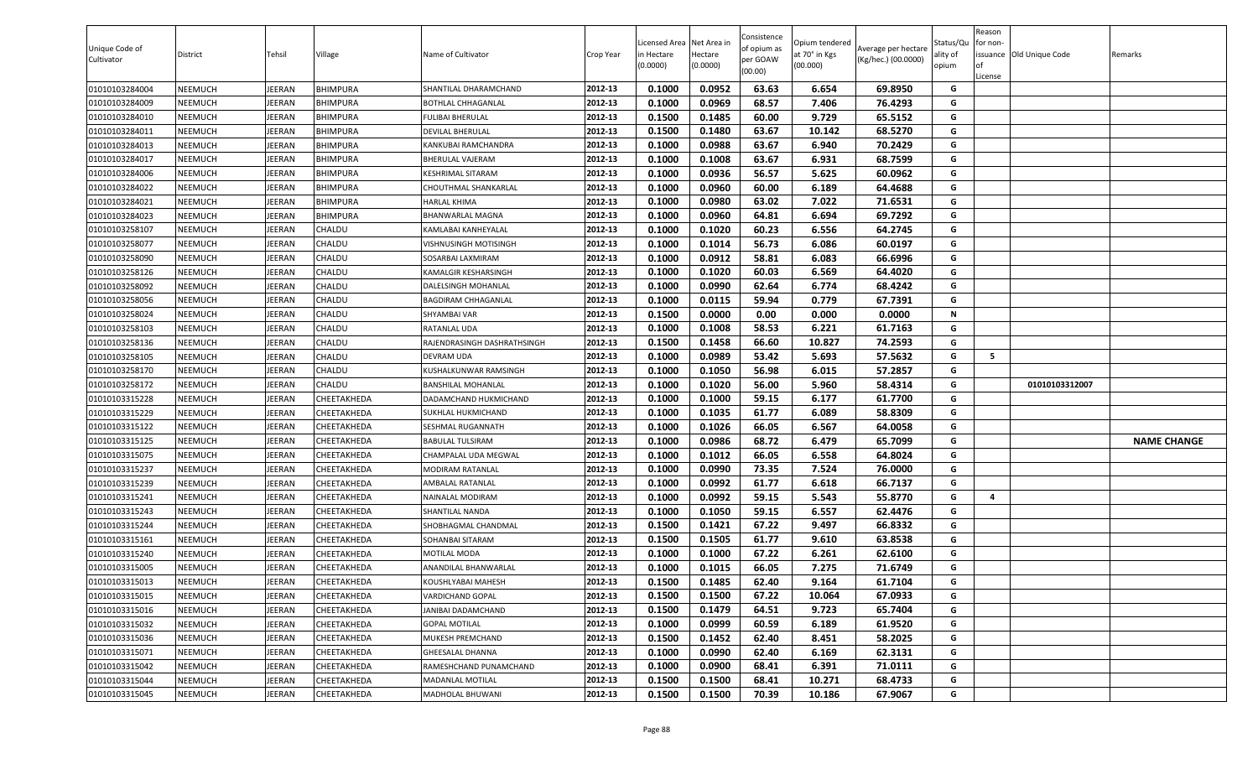| Unique Code of<br>Cultivator | District | Tehsil        | Village         | Name of Cultivator          | Crop Year | .icensed Area<br>in Hectare<br>(0.0000) | Net Area in<br>Hectare<br>(0.0000) | Consistence<br>of opium as<br>per GOAW<br>(00.00) | Opium tendered<br>at 70° in Kgs<br>(00.000) | Average per hectare<br>(Kg/hec.) (00.0000) | Status/Qu<br>ality of<br>opium | Reason<br>for non-<br><b>of</b><br>License | issuance Old Unique Code | Remarks            |
|------------------------------|----------|---------------|-----------------|-----------------------------|-----------|-----------------------------------------|------------------------------------|---------------------------------------------------|---------------------------------------------|--------------------------------------------|--------------------------------|--------------------------------------------|--------------------------|--------------------|
| 01010103284004               | NEEMUCH  | <b>IEERAN</b> | BHIMPURA        | SHANTILAL DHARAMCHAND       | 2012-13   | 0.1000                                  | 0.0952                             | 63.63                                             | 6.654                                       | 69.8950                                    | G                              |                                            |                          |                    |
| 01010103284009               | NEEMUCH  | EERAN         | BHIMPURA        | BOTHLAL CHHAGANLAL          | 2012-13   | 0.1000                                  | 0.0969                             | 68.57                                             | 7.406                                       | 76.4293                                    | G                              |                                            |                          |                    |
| 01010103284010               | NEEMUCH  | EERAN         | BHIMPURA        | FULIBAI BHERULAL            | 2012-13   | 0.1500                                  | 0.1485                             | 60.00                                             | 9.729                                       | 65.5152                                    | G                              |                                            |                          |                    |
| 01010103284011               | NEEMUCH  | EERAN         | BHIMPURA        | DEVILAL BHERULAL            | 2012-13   | 0.1500                                  | 0.1480                             | 63.67                                             | 10.142                                      | 68.5270                                    | G                              |                                            |                          |                    |
| 01010103284013               | NEEMUCH  | EERAN         | BHIMPURA        | KANKUBAI RAMCHANDRA         | 2012-13   | 0.1000                                  | 0.0988                             | 63.67                                             | 6.940                                       | 70.2429                                    | G                              |                                            |                          |                    |
| 01010103284017               | NEEMUCH  | EERAN         | BHIMPURA        | BHERULAL VAJERAM            | 2012-13   | 0.1000                                  | 0.1008                             | 63.67                                             | 6.931                                       | 68.7599                                    | G                              |                                            |                          |                    |
| 01010103284006               | NEEMUCH  | <b>IEERAN</b> | <b>BHIMPURA</b> | KESHRIMAL SITARAM           | 2012-13   | 0.1000                                  | 0.0936                             | 56.57                                             | 5.625                                       | 60.0962                                    | G                              |                                            |                          |                    |
| 01010103284022               | NEEMUCH  | JEERAN        | <b>BHIMPURA</b> | CHOUTHMAL SHANKARLAL        | 2012-13   | 0.1000                                  | 0.0960                             | 60.00                                             | 6.189                                       | 64.4688                                    | G                              |                                            |                          |                    |
| 01010103284021               | NEEMUCH  | JEERAN        | BHIMPURA        | HARLAL KHIMA                | 2012-13   | 0.1000                                  | 0.0980                             | 63.02                                             | 7.022                                       | 71.6531                                    | G                              |                                            |                          |                    |
| 01010103284023               | NEEMUCH  | <b>IEERAN</b> | BHIMPURA        | BHANWARLAL MAGNA            | 2012-13   | 0.1000                                  | 0.0960                             | 64.81                                             | 6.694                                       | 69.7292                                    | G                              |                                            |                          |                    |
| 01010103258107               | NEEMUCH  | <b>IEERAN</b> | CHALDU          | KAMLABAI KANHEYALAL         | 2012-13   | 0.1000                                  | 0.1020                             | 60.23                                             | 6.556                                       | 64.2745                                    | G                              |                                            |                          |                    |
| 01010103258077               | NEEMUCH  | <b>IEERAN</b> | CHALDU          | VISHNUSINGH MOTISINGH       | 2012-13   | 0.1000                                  | 0.1014                             | 56.73                                             | 6.086                                       | 60.0197                                    | G                              |                                            |                          |                    |
| 01010103258090               | NEEMUCH  | <b>IEERAN</b> | CHALDU          | SOSARBAI LAXMIRAM           | 2012-13   | 0.1000                                  | 0.0912                             | 58.81                                             | 6.083                                       | 66.6996                                    | G                              |                                            |                          |                    |
| 01010103258126               | NEEMUCH  | <b>IEERAN</b> | CHALDU          | KAMALGIR KESHARSINGH        | 2012-13   | 0.1000                                  | 0.1020                             | 60.03                                             | 6.569                                       | 64.4020                                    | G                              |                                            |                          |                    |
| 01010103258092               | NEEMUCH  | <b>IEERAN</b> | CHALDU          | DALELSINGH MOHANLAL         | 2012-13   | 0.1000                                  | 0.0990                             | 62.64                                             | 6.774                                       | 68.4242                                    | G                              |                                            |                          |                    |
| 01010103258056               | NEEMUCH  | JEERAN        | CHALDU          | BAGDIRAM CHHAGANLAL         | 2012-13   | 0.1000                                  | 0.0115                             | 59.94                                             | 0.779                                       | 67.7391                                    | G                              |                                            |                          |                    |
| 01010103258024               | NEEMUCH  | JEERAN        | CHALDU          | SHYAMBAI VAR                | 2012-13   | 0.1500                                  | 0.0000                             | 0.00                                              | 0.000                                       | 0.0000                                     | N                              |                                            |                          |                    |
| 01010103258103               | NEEMUCH  | <b>IEERAN</b> | CHALDU          | RATANLAL UDA                | 2012-13   | 0.1000                                  | 0.1008                             | 58.53                                             | 6.221                                       | 61.7163                                    | G                              |                                            |                          |                    |
| 01010103258136               | NEEMUCH  | <b>IEERAN</b> | CHALDU          | RAJENDRASINGH DASHRATHSINGH | 2012-13   | 0.1500                                  | 0.1458                             | 66.60                                             | 10.827                                      | 74.2593                                    | G                              |                                            |                          |                    |
| 01010103258105               | NEEMUCH  | <b>IEERAN</b> | CHALDU          | DEVRAM UDA                  | 2012-13   | 0.1000                                  | 0.0989                             | 53.42                                             | 5.693                                       | 57.5632                                    | G                              | 5                                          |                          |                    |
| 01010103258170               | NEEMUCH  | <b>IEERAN</b> | CHALDU          | KUSHALKUNWAR RAMSINGH       | 2012-13   | 0.1000                                  | 0.1050                             | 56.98                                             | 6.015                                       | 57.2857                                    | G                              |                                            |                          |                    |
| 01010103258172               | NEEMUCH  | <b>IEERAN</b> | CHALDU          | BANSHILAL MOHANLAL          | 2012-13   | 0.1000                                  | 0.1020                             | 56.00                                             | 5.960                                       | 58.4314                                    | G                              |                                            | 01010103312007           |                    |
| 01010103315228               | NEEMUCH  | <b>IEERAN</b> | CHEETAKHEDA     | DADAMCHAND HUKMICHAND       | 2012-13   | 0.1000                                  | 0.1000                             | 59.15                                             | 6.177                                       | 61.7700                                    | G                              |                                            |                          |                    |
| 01010103315229               | NEEMUCH  | <b>IEERAN</b> | CHEETAKHEDA     | SUKHLAL HUKMICHAND          | 2012-13   | 0.1000                                  | 0.1035                             | 61.77                                             | 6.089                                       | 58.8309                                    | G                              |                                            |                          |                    |
| 01010103315122               | NEEMUCH  | JEERAN        | CHEETAKHEDA     | SESHMAL RUGANNATH           | 2012-13   | 0.1000                                  | 0.1026                             | 66.05                                             | 6.567                                       | 64.0058                                    | G                              |                                            |                          |                    |
| 01010103315125               | NEEMUCH  | <b>IEERAN</b> | CHEETAKHEDA     | BABULAL TULSIRAM            | 2012-13   | 0.1000                                  | 0.0986                             | 68.72                                             | 6.479                                       | 65.7099                                    | G                              |                                            |                          | <b>NAME CHANGE</b> |
| 01010103315075               | NEEMUCH  | <b>IEERAN</b> | СНЕЕТАКНЕDА     | CHAMPALAL UDA MEGWAL        | 2012-13   | 0.1000                                  | 0.1012                             | 66.05                                             | 6.558                                       | 64.8024                                    | G                              |                                            |                          |                    |
| 01010103315237               | NEEMUCH  | EERAN         | CHEETAKHEDA     | MODIRAM RATANLAL            | 2012-13   | 0.1000                                  | 0.0990                             | 73.35                                             | 7.524                                       | 76.0000                                    | G                              |                                            |                          |                    |
| 01010103315239               | NEEMUCH  | <b>IEERAN</b> | CHEETAKHEDA     | AMBALAL RATANLAL            | 2012-13   | 0.1000                                  | 0.0992                             | 61.77                                             | 6.618                                       | 66.7137                                    | G                              |                                            |                          |                    |
| 01010103315241               | NEEMUCH  | <b>IEERAN</b> | CHEETAKHEDA     | NAINALAL MODIRAM            | 2012-13   | 0.1000                                  | 0.0992                             | 59.15                                             | 5.543                                       | 55.8770                                    | G                              | $\overline{\mathbf{4}}$                    |                          |                    |
| 01010103315243               | NEEMUCH  | <b>IEERAN</b> | CHEETAKHEDA     | SHANTILAL NANDA             | 2012-13   | 0.1000                                  | 0.1050                             | 59.15                                             | 6.557                                       | 62.4476                                    | G                              |                                            |                          |                    |
| 01010103315244               | NEEMUCH  | <b>IEERAN</b> | CHEETAKHEDA     | SHOBHAGMAL CHANDMAL         | 2012-13   | 0.1500                                  | 0.1421                             | 67.22                                             | 9.497                                       | 66.8332                                    | G                              |                                            |                          |                    |
| 01010103315161               | NEEMUCH  | JEERAN        | CHEETAKHEDA     | SOHANBAI SITARAM            | 2012-13   | 0.1500                                  | 0.1505                             | 61.77                                             | 9.610                                       | 63.8538                                    | G                              |                                            |                          |                    |
| 01010103315240               | NEEMUCH  | <b>IEERAN</b> | CHEETAKHEDA     | MOTILAL MODA                | 2012-13   | 0.1000                                  | 0.1000                             | 67.22                                             | 6.261                                       | 62.6100                                    | G                              |                                            |                          |                    |
| 01010103315005               | NEEMUCH  | <b>IEERAN</b> | CHEETAKHEDA     | ANANDILAL BHANWARLAL        | 2012-13   | 0.1000                                  | 0.1015                             | 66.05                                             | 7.275                                       | 71.6749                                    | G                              |                                            |                          |                    |
| 01010103315013               | NEEMUCH  | JEERAN        | CHEETAKHEDA     | KOUSHLYABAI MAHESH          | 2012-13   | 0.1500                                  | 0.1485                             | 62.40                                             | 9.164                                       | 61.7104                                    | G                              |                                            |                          |                    |
| 01010103315015               | NEEMUCH  | JEERAN        | CHEETAKHEDA     | VARDICHAND GOPAL            | 2012-13   | 0.1500                                  | 0.1500                             | 67.22                                             | 10.064                                      | 67.0933                                    | G                              |                                            |                          |                    |
| 01010103315016               | NEEMUCH  | <b>IEERAN</b> | CHEETAKHEDA     | JANIBAI DADAMCHAND          | 2012-13   | 0.1500                                  | 0.1479                             | 64.51                                             | 9.723                                       | 65.7404                                    | G                              |                                            |                          |                    |
| 01010103315032               | NEEMUCH  | JEERAN        | CHEETAKHEDA     | <b>GOPAL MOTILAL</b>        | 2012-13   | 0.1000                                  | 0.0999                             | 60.59                                             | 6.189                                       | 61.9520                                    | G                              |                                            |                          |                    |
| 01010103315036               | NEEMUCH  | JEERAN        | CHEETAKHEDA     | MUKESH PREMCHAND            | 2012-13   | 0.1500                                  | 0.1452                             | 62.40                                             | 8.451                                       | 58.2025                                    | G                              |                                            |                          |                    |
| 01010103315071               | NEEMUCH  | JEERAN        | CHEETAKHEDA     | GHEESALAL DHANNA            | 2012-13   | 0.1000                                  | 0.0990                             | 62.40                                             | 6.169                                       | 62.3131                                    | G                              |                                            |                          |                    |
| 01010103315042               | NEEMUCH  | JEERAN        | CHEETAKHEDA     | RAMESHCHAND PUNAMCHAND      | 2012-13   | 0.1000                                  | 0.0900                             | 68.41                                             | 6.391                                       | 71.0111                                    | G                              |                                            |                          |                    |
| 01010103315044               | NEEMUCH  | JEERAN        | CHEETAKHEDA     | MADANLAL MOTILAL            | 2012-13   | 0.1500                                  | 0.1500                             | 68.41                                             | 10.271                                      | 68.4733                                    | G                              |                                            |                          |                    |
| 01010103315045               | NEEMUCH  | JEERAN        | CHEETAKHEDA     | MADHOLAL BHUWANI            | 2012-13   | 0.1500                                  | 0.1500                             | 70.39                                             | 10.186                                      | 67.9067                                    | G                              |                                            |                          |                    |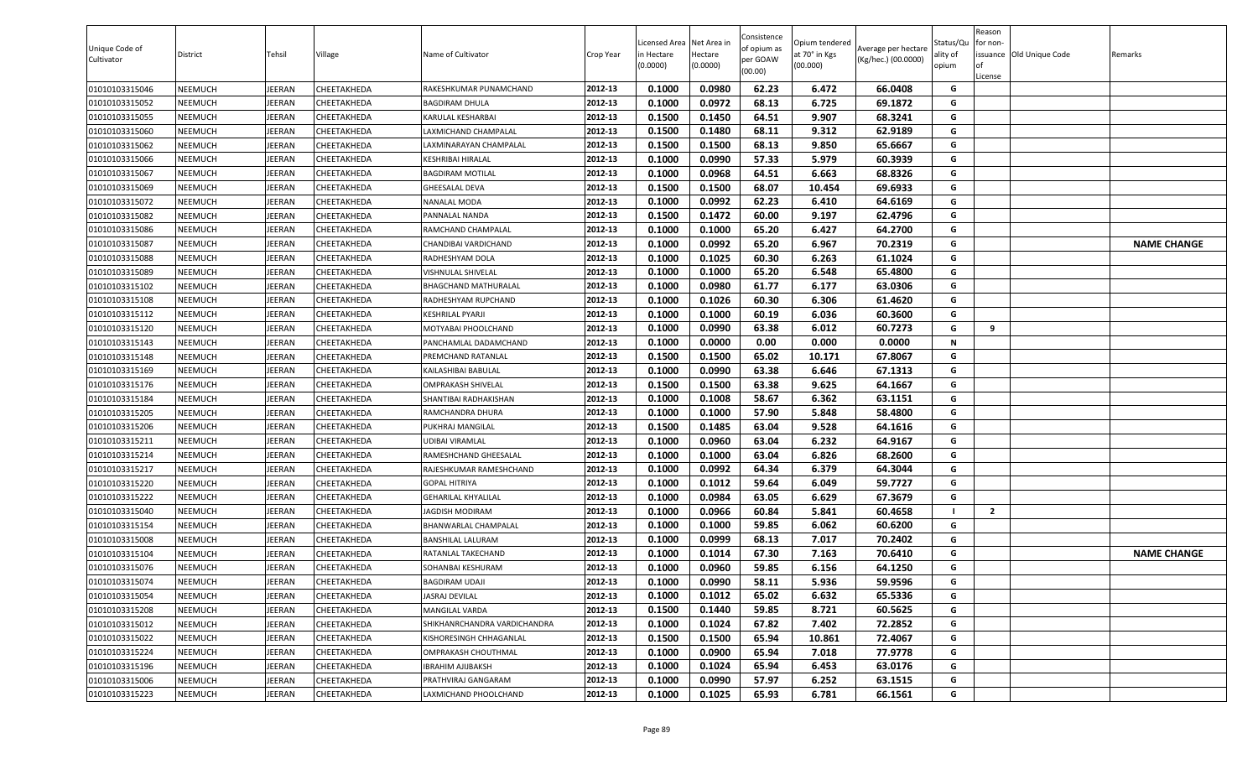| Unique Code of<br>Cultivator | District       | Tehsil        | Village     | Name of Cultivator           | Crop Year | Licensed Area Net Area in<br>in Hectare<br>0.0000) | Hectare<br>(0.0000) | Consistence<br>of opium as<br>per GOAW<br>(00.00) | Opium tendered<br>at 70° in Kgs<br>(00.000) | Average per hectare<br>(Kg/hec.) (00.0000) | Status/Qu<br>ality of<br>opium | Reason<br>for non-<br>l of<br>License | issuance <b>Old Unique Code</b> | Remarks            |
|------------------------------|----------------|---------------|-------------|------------------------------|-----------|----------------------------------------------------|---------------------|---------------------------------------------------|---------------------------------------------|--------------------------------------------|--------------------------------|---------------------------------------|---------------------------------|--------------------|
| 01010103315046               | <b>NEEMUCH</b> | JEERAN        | CHEETAKHEDA | RAKESHKUMAR PUNAMCHAND       | 2012-13   | 0.1000                                             | 0.0980              | 62.23                                             | 6.472                                       | 66.0408                                    | G                              |                                       |                                 |                    |
| 01010103315052               | <b>NEEMUCH</b> | JEERAN        | CHEETAKHEDA | <b>BAGDIRAM DHULA</b>        | 2012-13   | 0.1000                                             | 0.0972              | 68.13                                             | 6.725                                       | 69.1872                                    | G                              |                                       |                                 |                    |
| 01010103315055               | NEEMUCH        | JEERAN        | CHEETAKHEDA | KARULAL KESHARBAI            | 2012-13   | 0.1500                                             | 0.1450              | 64.51                                             | 9.907                                       | 68.3241                                    | G                              |                                       |                                 |                    |
| 01010103315060               | NEEMUCH        | JEERAN        | CHEETAKHEDA | LAXMICHAND CHAMPALAL         | 2012-13   | 0.1500                                             | 0.1480              | 68.11                                             | 9.312                                       | 62.9189                                    | G                              |                                       |                                 |                    |
| 01010103315062               | <b>NEEMUCH</b> | JEERAN        | CHEETAKHEDA | AXMINARAYAN CHAMPALAL        | 2012-13   | 0.1500                                             | 0.1500              | 68.13                                             | 9.850                                       | 65.6667                                    | G                              |                                       |                                 |                    |
| 01010103315066               | <b>NEEMUCH</b> | JEERAN        | CHEETAKHEDA | KESHRIBAI HIRALAL            | 2012-13   | 0.1000                                             | 0.0990              | 57.33                                             | 5.979                                       | 60.3939                                    | G                              |                                       |                                 |                    |
| 01010103315067               | <b>NEEMUCH</b> | JEERAN        | CHEETAKHEDA | <b>BAGDIRAM MOTILAL</b>      | 2012-13   | 0.1000                                             | 0.0968              | 64.51                                             | 6.663                                       | 68.8326                                    | G                              |                                       |                                 |                    |
| 01010103315069               | <b>NEEMUCH</b> | JEERAN        | CHEETAKHEDA | GHEESALAL DEVA               | 2012-13   | 0.1500                                             | 0.1500              | 68.07                                             | 10.454                                      | 69.6933                                    | G                              |                                       |                                 |                    |
| 01010103315072               | <b>NEEMUCH</b> | JEERAN        | CHEETAKHEDA | <b>NANALAL MODA</b>          | 2012-13   | 0.1000                                             | 0.0992              | 62.23                                             | 6.410                                       | 64.6169                                    | G                              |                                       |                                 |                    |
| 01010103315082               | <b>NEEMUCH</b> | JEERAN        | CHEETAKHEDA | PANNALAL NANDA               | 2012-13   | 0.1500                                             | 0.1472              | 60.00                                             | 9.197                                       | 62.4796                                    | G                              |                                       |                                 |                    |
| 01010103315086               | <b>NEEMUCH</b> | JEERAN        | CHEETAKHEDA | RAMCHAND CHAMPALAL           | 2012-13   | 0.1000                                             | 0.1000              | 65.20                                             | 6.427                                       | 64.2700                                    | G                              |                                       |                                 |                    |
| 01010103315087               | <b>NEEMUCH</b> | JEERAN        | CHEETAKHEDA | CHANDIBAI VARDICHAND         | 2012-13   | 0.1000                                             | 0.0992              | 65.20                                             | 6.967                                       | 70.2319                                    | G                              |                                       |                                 | <b>NAME CHANGE</b> |
| 01010103315088               | <b>NEEMUCH</b> | JEERAN        | CHEETAKHEDA | RADHESHYAM DOLA              | 2012-13   | 0.1000                                             | 0.1025              | 60.30                                             | 6.263                                       | 61.1024                                    | G                              |                                       |                                 |                    |
| 01010103315089               | <b>NEEMUCH</b> | JEERAN        | CHEETAKHEDA | VISHNULAL SHIVELAL           | 2012-13   | 0.1000                                             | 0.1000              | 65.20                                             | 6.548                                       | 65.4800                                    | G                              |                                       |                                 |                    |
| 01010103315102               | <b>NEEMUCH</b> | JEERAN        | CHEETAKHEDA | BHAGCHAND MATHURALAL         | 2012-13   | 0.1000                                             | 0.0980              | 61.77                                             | 6.177                                       | 63.0306                                    | G                              |                                       |                                 |                    |
| 01010103315108               | <b>NEEMUCH</b> | JEERAN        | CHEETAKHEDA | RADHESHYAM RUPCHAND          | 2012-13   | 0.1000                                             | 0.1026              | 60.30                                             | 6.306                                       | 61.4620                                    | G                              |                                       |                                 |                    |
| 01010103315112               | <b>NEEMUCH</b> | JEERAN        | CHEETAKHEDA | <b>KESHRILAL PYARJI</b>      | 2012-13   | 0.1000                                             | 0.1000              | 60.19                                             | 6.036                                       | 60.3600                                    | G                              |                                       |                                 |                    |
| 01010103315120               | <b>NEEMUCH</b> | JEERAN        | CHEETAKHEDA | MOTYABAI PHOOLCHAND          | 2012-13   | 0.1000                                             | 0.0990              | 63.38                                             | 6.012                                       | 60.7273                                    | G                              | 9                                     |                                 |                    |
| 01010103315143               | <b>NEEMUCH</b> | JEERAN        | CHEETAKHEDA | PANCHAMLAL DADAMCHAND        | 2012-13   | 0.1000                                             | 0.0000              | 0.00                                              | 0.000                                       | 0.0000                                     | N                              |                                       |                                 |                    |
| 01010103315148               | NEEMUCH        | JEERAN        | CHEETAKHEDA | PREMCHAND RATANLAL           | 2012-13   | 0.1500                                             | 0.1500              | 65.02                                             | 10.171                                      | 67.8067                                    | G                              |                                       |                                 |                    |
| 01010103315169               | <b>NEEMUCH</b> | JEERAN        | CHEETAKHEDA | KAILASHIBAI BABULAL          | 2012-13   | 0.1000                                             | 0.0990              | 63.38                                             | 6.646                                       | 67.1313                                    | G                              |                                       |                                 |                    |
| 01010103315176               | <b>NEEMUCH</b> | JEERAN        | CHEETAKHEDA | OMPRAKASH SHIVELAL           | 2012-13   | 0.1500                                             | 0.1500              | 63.38                                             | 9.625                                       | 64.1667                                    | G                              |                                       |                                 |                    |
| 01010103315184               | <b>NEEMUCH</b> | <b>JEERAN</b> | CHEETAKHEDA | SHANTIBAI RADHAKISHAN        | 2012-13   | 0.1000                                             | 0.1008              | 58.67                                             | 6.362                                       | 63.1151                                    | G                              |                                       |                                 |                    |
| 01010103315205               | <b>NEEMUCH</b> | JEERAN        | CHEETAKHEDA | RAMCHANDRA DHURA             | 2012-13   | 0.1000                                             | 0.1000              | 57.90                                             | 5.848                                       | 58.4800                                    | G                              |                                       |                                 |                    |
| 01010103315206               | <b>NEEMUCH</b> | JEERAN        | CHEETAKHEDA | PUKHRAJ MANGILAL             | 2012-13   | 0.1500                                             | 0.1485              | 63.04                                             | 9.528                                       | 64.1616                                    | G                              |                                       |                                 |                    |
| 01010103315211               | <b>NEEMUCH</b> | JEERAN        | CHEETAKHEDA | UDIBAI VIRAMLAL              | 2012-13   | 0.1000                                             | 0.0960              | 63.04                                             | 6.232                                       | 64.9167                                    | G                              |                                       |                                 |                    |
| 01010103315214               | <b>NEEMUCH</b> | JEERAN        | CHEETAKHEDA | RAMESHCHAND GHEESALAL        | 2012-13   | 0.1000                                             | 0.1000              | 63.04                                             | 6.826                                       | 68.2600                                    | G                              |                                       |                                 |                    |
| 01010103315217               | <b>NEEMUCH</b> | JEERAN        | CHEETAKHEDA | RAJESHKUMAR RAMESHCHAND      | 2012-13   | 0.1000                                             | 0.0992              | 64.34                                             | 6.379                                       | 64.3044                                    | G                              |                                       |                                 |                    |
| 01010103315220               | <b>NEEMUCH</b> | JEERAN        | CHEETAKHEDA | <b>GOPAL HITRIYA</b>         | 2012-13   | 0.1000                                             | 0.1012              | 59.64                                             | 6.049                                       | 59.7727                                    | G                              |                                       |                                 |                    |
| 01010103315222               | NEEMUCH        | JEERAN        | CHEETAKHEDA | GEHARILAL KHYALILAL          | 2012-13   | 0.1000                                             | 0.0984              | 63.05                                             | 6.629                                       | 67.3679                                    | G                              |                                       |                                 |                    |
| 01010103315040               | <b>NEEMUCH</b> | JEERAN        | CHEETAKHEDA | JAGDISH MODIRAM              | 2012-13   | 0.1000                                             | 0.0966              | 60.84                                             | 5.841                                       | 60.4658                                    | -1                             | $\overline{2}$                        |                                 |                    |
| 01010103315154               | <b>NEEMUCH</b> | JEERAN        | CHEETAKHEDA | BHANWARLAL CHAMPALAL         | 2012-13   | 0.1000                                             | 0.1000              | 59.85                                             | 6.062                                       | 60.6200                                    | G                              |                                       |                                 |                    |
| 01010103315008               | <b>NEEMUCH</b> | JEERAN        | CHEETAKHEDA | BANSHILAL LALURAM            | 2012-13   | 0.1000                                             | 0.0999              | 68.13                                             | 7.017                                       | 70.2402                                    | G                              |                                       |                                 |                    |
| 01010103315104               | <b>NEEMUCH</b> | JEERAN        | CHEETAKHEDA | RATANLAL TAKECHAND           | 2012-13   | 0.1000                                             | 0.1014              | 67.30                                             | 7.163                                       | 70.6410                                    | G                              |                                       |                                 | <b>NAME CHANGE</b> |
| 01010103315076               | <b>NEEMUCH</b> | JEERAN        | CHEETAKHEDA | SOHANBAI KESHURAM            | 2012-13   | 0.1000                                             | 0.0960              | 59.85                                             | 6.156                                       | 64.1250                                    | G                              |                                       |                                 |                    |
| 01010103315074               | <b>NEEMUCH</b> | <b>JEERAN</b> | CHEETAKHEDA | <b>BAGDIRAM UDAJI</b>        | 2012-13   | 0.1000                                             | 0.0990              | 58.11                                             | 5.936                                       | 59.9596                                    | G                              |                                       |                                 |                    |
| 01010103315054               | <b>NEEMUCH</b> | JEERAN        | CHEETAKHEDA | ASRAJ DEVILAL                | 2012-13   | 0.1000                                             | 0.1012              | 65.02                                             | 6.632                                       | 65.5336                                    | G                              |                                       |                                 |                    |
| 01010103315208               | <b>NEEMUCH</b> | JEERAN        | CHEETAKHEDA | MANGILAL VARDA               | 2012-13   | 0.1500                                             | 0.1440              | 59.85                                             | 8.721                                       | 60.5625                                    | G                              |                                       |                                 |                    |
| 01010103315012               | <b>NEEMUCH</b> | JEERAN        | CHEETAKHEDA | SHIKHANRCHANDRA VARDICHANDRA | 2012-13   | 0.1000                                             | 0.1024              | 67.82                                             | 7.402                                       | 72.2852                                    | G                              |                                       |                                 |                    |
| 01010103315022               | <b>NEEMUCH</b> | JEERAN        | CHEETAKHEDA | KISHORESINGH CHHAGANLAL      | 2012-13   | 0.1500                                             | 0.1500              | 65.94                                             | 10.861                                      | 72.4067                                    | G                              |                                       |                                 |                    |
| 01010103315224               | <b>NEEMUCH</b> | JEERAN        | CHEETAKHEDA | OMPRAKASH CHOUTHMAL          | 2012-13   | 0.1000                                             | 0.0900              | 65.94                                             | 7.018                                       | 77.9778                                    | G                              |                                       |                                 |                    |
| 01010103315196               | <b>NEEMUCH</b> | JEERAN        | CHEETAKHEDA | IBRAHIM AJIJBAKSH            | 2012-13   | 0.1000                                             | 0.1024              | 65.94                                             | 6.453                                       | 63.0176                                    | G                              |                                       |                                 |                    |
| 01010103315006               | <b>NEEMUCH</b> | JEERAN        | CHEETAKHEDA | PRATHVIRAJ GANGARAM          | 2012-13   | 0.1000                                             | 0.0990              | 57.97                                             | 6.252                                       | 63.1515                                    | G                              |                                       |                                 |                    |
| 01010103315223               | <b>NEEMUCH</b> | JEERAN        | CHEETAKHEDA | LAXMICHAND PHOOLCHAND        | 2012-13   | 0.1000                                             | 0.1025              | 65.93                                             | 6.781                                       | 66.1561                                    | G                              |                                       |                                 |                    |
|                              |                |               |             |                              |           |                                                    |                     |                                                   |                                             |                                            |                                |                                       |                                 |                    |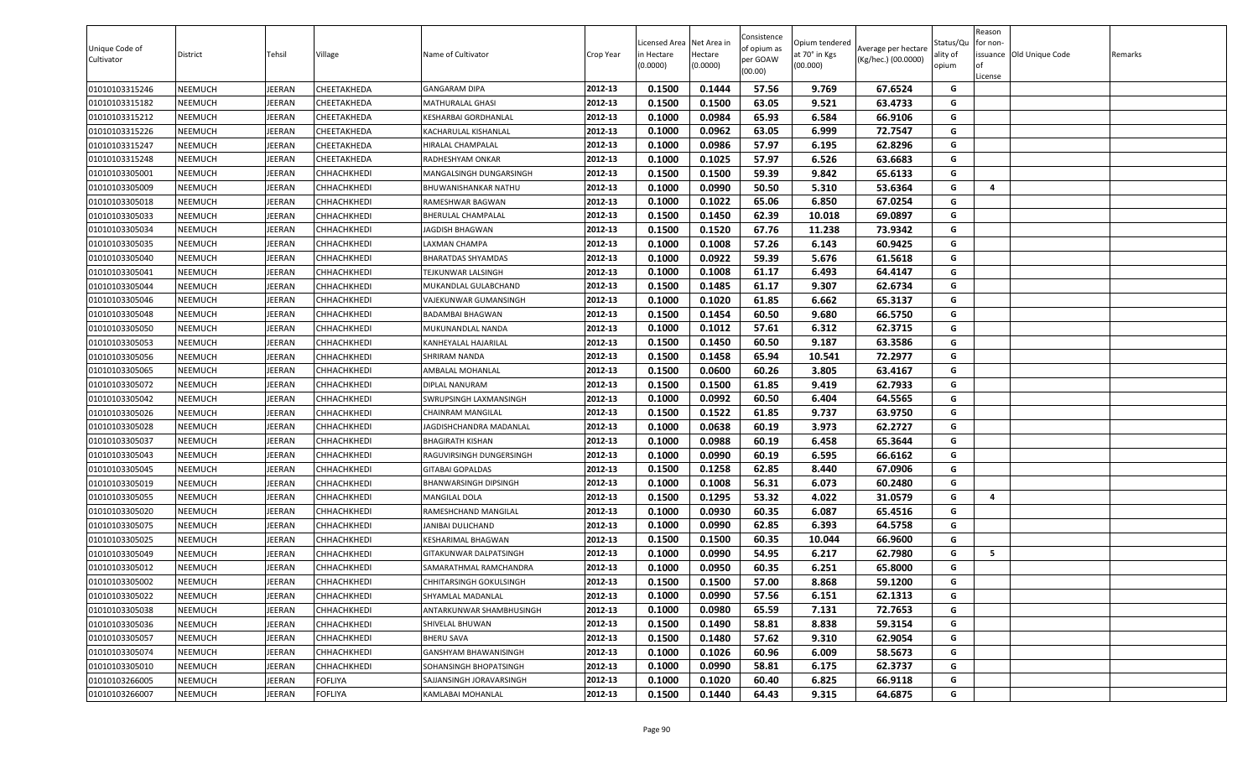| Unique Code of<br>Cultivator | District | Tehsil        | Village        | Name of Cultivator          | Crop Year | Licensed Area<br>in Hectare<br>(0.0000) | Net Area in<br>Hectare<br>(0.0000) | Consistence<br>of opium as<br>per GOAW<br>(00.00) | Opium tendered<br>at 70° in Kgs<br>(00.000) | Average per hectare<br>(Kg/hec.) (00.0000) | Status/Qu<br>ality of<br>opium | Reason<br>for non-<br>lof<br>License | issuance Old Unique Code | Remarks |
|------------------------------|----------|---------------|----------------|-----------------------------|-----------|-----------------------------------------|------------------------------------|---------------------------------------------------|---------------------------------------------|--------------------------------------------|--------------------------------|--------------------------------------|--------------------------|---------|
| 01010103315246               | NEEMUCH  | <b>IEERAN</b> | CHEETAKHEDA    | GANGARAM DIPA               | 2012-13   | 0.1500                                  | 0.1444                             | 57.56                                             | 9.769                                       | 67.6524                                    | G                              |                                      |                          |         |
| 01010103315182               | NEEMUCH  | <b>IEERAN</b> | CHEETAKHEDA    | MATHURALAL GHASI            | 2012-13   | 0.1500                                  | 0.1500                             | 63.05                                             | 9.521                                       | 63.4733                                    | G                              |                                      |                          |         |
| 01010103315212               | NEEMUCH  | <b>IEERAN</b> | СНЕЕТАКНЕDА    | KESHARBAI GORDHANLAL        | 2012-13   | 0.1000                                  | 0.0984                             | 65.93                                             | 6.584                                       | 66.9106                                    | G                              |                                      |                          |         |
| 01010103315226               | NEEMUCH  | EERAN         | CHEETAKHEDA    | KACHARULAL KISHANLAL        | 2012-13   | 0.1000                                  | 0.0962                             | 63.05                                             | 6.999                                       | 72.7547                                    | G                              |                                      |                          |         |
| 01010103315247               | NEEMUCH  | <b>IEERAN</b> | CHEETAKHEDA    | <b>HIRALAL CHAMPALAL</b>    | 2012-13   | 0.1000                                  | 0.0986                             | 57.97                                             | 6.195                                       | 62.8296                                    | G                              |                                      |                          |         |
| 01010103315248               | NEEMUCH  | <b>IEERAN</b> | CHEETAKHEDA    | RADHESHYAM ONKAR            | 2012-13   | 0.1000                                  | 0.1025                             | 57.97                                             | 6.526                                       | 63.6683                                    | G                              |                                      |                          |         |
| 01010103305001               | NEEMUCH  | <b>IEERAN</b> | CHHACHKHEDI    | MANGALSINGH DUNGARSINGH     | 2012-13   | 0.1500                                  | 0.1500                             | 59.39                                             | 9.842                                       | 65.6133                                    | G                              |                                      |                          |         |
| 01010103305009               | NEEMUCH  | JEERAN        | CHHACHKHEDI    | <b>BHUWANISHANKAR NATHU</b> | 2012-13   | 0.1000                                  | 0.0990                             | 50.50                                             | 5.310                                       | 53.6364                                    | G                              | 4                                    |                          |         |
| 01010103305018               | NEEMUCH  | JEERAN        | СННАСНКНЕDІ    | RAMESHWAR BAGWAN            | 2012-13   | 0.1000                                  | 0.1022                             | 65.06                                             | 6.850                                       | 67.0254                                    | G                              |                                      |                          |         |
| 01010103305033               | NEEMUCH  | <b>IEERAN</b> | СННАСНКНЕDІ    | BHERULAL CHAMPALAL          | 2012-13   | 0.1500                                  | 0.1450                             | 62.39                                             | 10.018                                      | 69.0897                                    | G                              |                                      |                          |         |
| 01010103305034               | NEEMUCH  | <b>IEERAN</b> | СННАСНКНЕDІ    | JAGDISH BHAGWAN             | 2012-13   | 0.1500                                  | 0.1520                             | 67.76                                             | 11.238                                      | 73.9342                                    | G                              |                                      |                          |         |
| 01010103305035               | NEEMUCH  | <b>IEERAN</b> | CHHACHKHEDI    | AXMAN CHAMPA                | 2012-13   | 0.1000                                  | 0.1008                             | 57.26                                             | 6.143                                       | 60.9425                                    | G                              |                                      |                          |         |
| 01010103305040               | NEEMUCH  | <b>IEERAN</b> | CHHACHKHEDI    | BHARATDAS SHYAMDAS          | 2012-13   | 0.1000                                  | 0.0922                             | 59.39                                             | 5.676                                       | 61.5618                                    | G                              |                                      |                          |         |
| 01010103305041               | NEEMUCH  | <b>IEERAN</b> | CHHACHKHEDI    | TEJKUNWAR LALSINGH          | 2012-13   | 0.1000                                  | 0.1008                             | 61.17                                             | 6.493                                       | 64.4147                                    | G                              |                                      |                          |         |
| 01010103305044               | NEEMUCH  | <b>IEERAN</b> | CHHACHKHEDI    | MUKANDLAL GULABCHAND        | 2012-13   | 0.1500                                  | 0.1485                             | 61.17                                             | 9.307                                       | 62.6734                                    | G                              |                                      |                          |         |
| 01010103305046               | NEEMUCH  | JEERAN        | CHHACHKHEDI    | VAJEKUNWAR GUMANSINGH       | 2012-13   | 0.1000                                  | 0.1020                             | 61.85                                             | 6.662                                       | 65.3137                                    | G                              |                                      |                          |         |
| 01010103305048               | NEEMUCH  | JEERAN        | CHHACHKHEDI    | BADAMBAI BHAGWAN            | 2012-13   | 0.1500                                  | 0.1454                             | 60.50                                             | 9.680                                       | 66.5750                                    | G                              |                                      |                          |         |
| 01010103305050               | NEEMUCH  | <b>IEERAN</b> | CHHACHKHEDI    | MUKUNANDLAL NANDA           | 2012-13   | 0.1000                                  | 0.1012                             | 57.61                                             | 6.312                                       | 62.3715                                    | G                              |                                      |                          |         |
| 01010103305053               | NEEMUCH  | <b>IEERAN</b> | СННАСНКНЕDІ    | KANHEYALAL HAJARILAL        | 2012-13   | 0.1500                                  | 0.1450                             | 60.50                                             | 9.187                                       | 63.3586                                    | G                              |                                      |                          |         |
| 01010103305056               | NEEMUCH  | <b>IEERAN</b> | СННАСНКНЕDІ    | SHRIRAM NANDA               | 2012-13   | 0.1500                                  | 0.1458                             | 65.94                                             | 10.541                                      | 72.2977                                    | G                              |                                      |                          |         |
| 01010103305065               | NEEMUCH  | <b>IEERAN</b> | СННАСНКНЕDІ    | AMBALAL MOHANLAL            | 2012-13   | 0.1500                                  | 0.0600                             | 60.26                                             | 3.805                                       | 63.4167                                    | G                              |                                      |                          |         |
| 01010103305072               | NEEMUCH  | <b>IEERAN</b> | CHHACHKHEDI    | DIPLAL NANURAM              | 2012-13   | 0.1500                                  | 0.1500                             | 61.85                                             | 9.419                                       | 62.7933                                    | G                              |                                      |                          |         |
| 01010103305042               | NEEMUCH  | <b>IEERAN</b> | СННАСНКНЕDІ    | SWRUPSINGH LAXMANSINGH      | 2012-13   | 0.1000                                  | 0.0992                             | 60.50                                             | 6.404                                       | 64.5565                                    | G                              |                                      |                          |         |
| 01010103305026               | NEEMUCH  | <b>IEERAN</b> | CHHACHKHEDI    | CHAINRAM MANGILAL           | 2012-13   | 0.1500                                  | 0.1522                             | 61.85                                             | 9.737                                       | 63.9750                                    | G                              |                                      |                          |         |
| 01010103305028               | NEEMUCH  | JEERAN        | CHHACHKHEDI    | JAGDISHCHANDRA MADANLAL     | 2012-13   | 0.1000                                  | 0.0638                             | 60.19                                             | 3.973                                       | 62.2727                                    | G                              |                                      |                          |         |
| 01010103305037               | NEEMUCH  | <b>IEERAN</b> | CHHACHKHEDI    | <b>BHAGIRATH KISHAN</b>     | 2012-13   | 0.1000                                  | 0.0988                             | 60.19                                             | 6.458                                       | 65.3644                                    | G                              |                                      |                          |         |
| 01010103305043               | NEEMUCH  | <b>IEERAN</b> | СННАСНКНЕDІ    | RAGUVIRSINGH DUNGERSINGH    | 2012-13   | 0.1000                                  | 0.0990                             | 60.19                                             | 6.595                                       | 66.6162                                    | G                              |                                      |                          |         |
| 01010103305045               | NEEMUCH  | EERAN         | СННАСНКНЕDІ    | <b>GITABAI GOPALDAS</b>     | 2012-13   | 0.1500                                  | 0.1258                             | 62.85                                             | 8.440                                       | 67.0906                                    | G                              |                                      |                          |         |
| 01010103305019               | NEEMUCH  | <b>IEERAN</b> | CHHACHKHEDI    | BHANWARSINGH DIPSINGH       | 2012-13   | 0.1000                                  | 0.1008                             | 56.31                                             | 6.073                                       | 60.2480                                    | G                              |                                      |                          |         |
| 01010103305055               | NEEMUCH  | <b>IEERAN</b> | CHHACHKHEDI    | MANGILAL DOLA               | 2012-13   | 0.1500                                  | 0.1295                             | 53.32                                             | 4.022                                       | 31.0579                                    | G                              | $\overline{\mathbf{4}}$              |                          |         |
| 01010103305020               | NEEMUCH  | <b>IEERAN</b> | CHHACHKHEDI    | RAMESHCHAND MANGILAL        | 2012-13   | 0.1000                                  | 0.0930                             | 60.35                                             | 6.087                                       | 65.4516                                    | G                              |                                      |                          |         |
| 01010103305075               | NEEMUCH  | <b>IEERAN</b> | СННАСНКНЕDІ    | JANIBAI DULICHAND           | 2012-13   | 0.1000                                  | 0.0990                             | 62.85                                             | 6.393                                       | 64.5758                                    | G                              |                                      |                          |         |
| 01010103305025               | NEEMUCH  | JEERAN        | CHHACHKHEDI    | KESHARIMAL BHAGWAN          | 2012-13   | 0.1500                                  | 0.1500                             | 60.35                                             | 10.044                                      | 66.9600                                    | G                              |                                      |                          |         |
| 01010103305049               | NEEMUCH  | <b>IEERAN</b> | CHHACHKHEDI    | GITAKUNWAR DALPATSINGH      | 2012-13   | 0.1000                                  | 0.0990                             | 54.95                                             | 6.217                                       | 62.7980                                    | G                              | -5                                   |                          |         |
| 01010103305012               | NEEMUCH  | <b>IEERAN</b> | СННАСНКНЕDІ    | SAMARATHMAL RAMCHANDRA      | 2012-13   | 0.1000                                  | 0.0950                             | 60.35                                             | 6.251                                       | 65.8000                                    | G                              |                                      |                          |         |
| 01010103305002               | NEEMUCH  | JEERAN        | СННАСНКНЕDІ    | CHHITARSINGH GOKULSINGH     | 2012-13   | 0.1500                                  | 0.1500                             | 57.00                                             | 8.868                                       | 59.1200                                    | G                              |                                      |                          |         |
| 01010103305022               | NEEMUCH  | JEERAN        | CHHACHKHEDI    | SHYAMLAL MADANLAL           | 2012-13   | 0.1000                                  | 0.0990                             | 57.56                                             | 6.151                                       | 62.1313                                    | G                              |                                      |                          |         |
| 01010103305038               | NEEMUCH  | <b>IEERAN</b> | СННАСНКНЕDІ    | ANTARKUNWAR SHAMBHUSINGH    | 2012-13   | 0.1000                                  | 0.0980                             | 65.59                                             | 7.131                                       | 72.7653                                    | G                              |                                      |                          |         |
| 01010103305036               | NEEMUCH  | JEERAN        | CHHACHKHEDI    | SHIVELAL BHUWAN             | 2012-13   | 0.1500                                  | 0.1490                             | 58.81                                             | 8.838                                       | 59.3154                                    | G                              |                                      |                          |         |
| 01010103305057               | NEEMUCH  | JEERAN        | CHHACHKHEDI    | <b>BHERU SAVA</b>           | 2012-13   | 0.1500                                  | 0.1480                             | 57.62                                             | 9.310                                       | 62.9054                                    | G                              |                                      |                          |         |
| 01010103305074               | NEEMUCH  | JEERAN        | CHHACHKHEDI    | GANSHYAM BHAWANISINGH       | 2012-13   | 0.1000                                  | 0.1026                             | 60.96                                             | 6.009                                       | 58.5673                                    | G                              |                                      |                          |         |
| 01010103305010               | NEEMUCH  | JEERAN        | CHHACHKHEDI    | SOHANSINGH BHOPATSINGH      | 2012-13   | 0.1000                                  | 0.0990                             | 58.81                                             | 6.175                                       | 62.3737                                    | G                              |                                      |                          |         |
| 01010103266005               | NEEMUCH  | JEERAN        | <b>FOFLIYA</b> | SAJJANSINGH JORAVARSINGH    | 2012-13   | 0.1000                                  | 0.1020                             | 60.40                                             | 6.825                                       | 66.9118                                    | G                              |                                      |                          |         |
| 01010103266007               | NEEMUCH  | JEERAN        | <b>FOFLIYA</b> | KAMLABAI MOHANLAL           | 2012-13   | 0.1500                                  | 0.1440                             | 64.43                                             | 9.315                                       | 64.6875                                    | G                              |                                      |                          |         |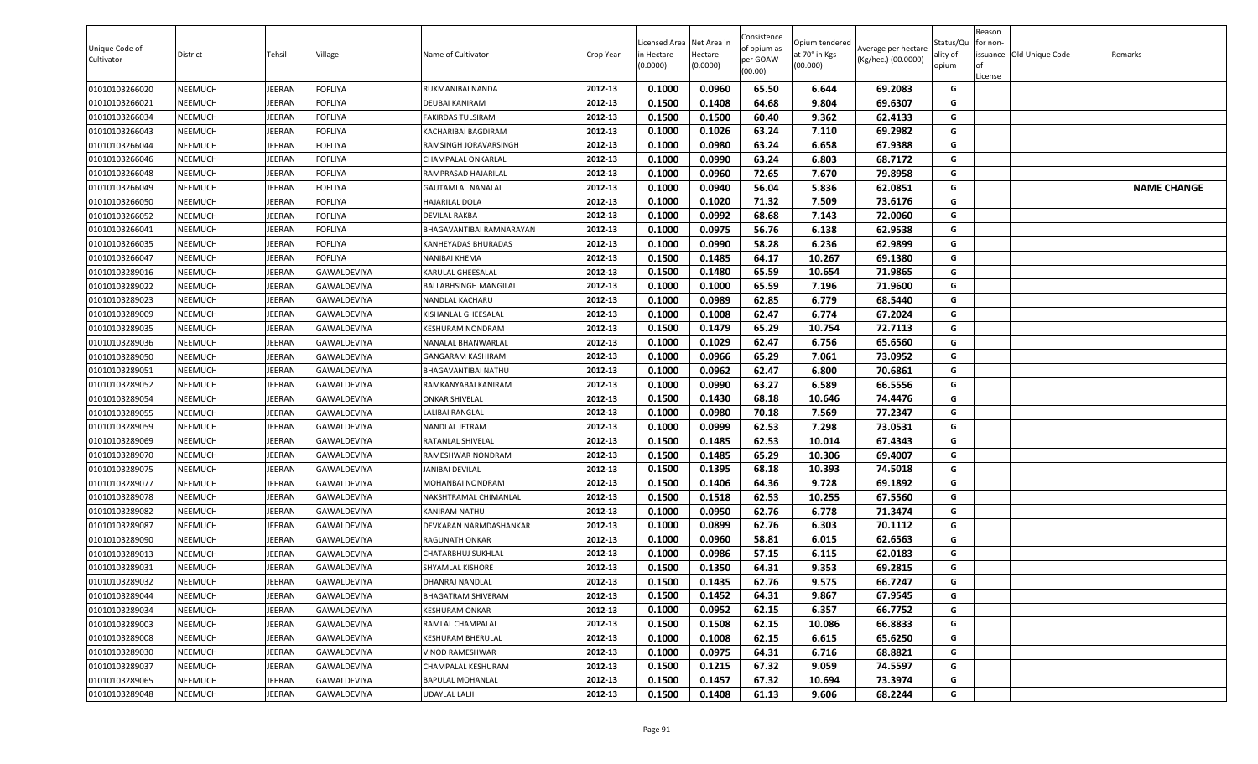| Unique Code of<br>Cultivator | District       | Tehsil        | Village            | Name of Cultivator           | Crop Year | Licensed Area Net Area in<br>in Hectare<br>(0.0000) | Hectare<br>(0.0000) | Consistence<br>of opium as<br>per GOAW<br>(00.00) | Opium tendered<br>at 70° in Kgs<br>(00.000) | Average per hectare<br>(Kg/hec.) (00.0000) | Status/Qu<br>ality of<br>opium | Reason<br>for non-<br>lof<br>License | issuance Old Unique Code | Remarks            |
|------------------------------|----------------|---------------|--------------------|------------------------------|-----------|-----------------------------------------------------|---------------------|---------------------------------------------------|---------------------------------------------|--------------------------------------------|--------------------------------|--------------------------------------|--------------------------|--------------------|
| 01010103266020               | NEEMUCH        | JEERAN        | FOFLIYA            | RUKMANIBAI NANDA             | 2012-13   | 0.1000                                              | 0.0960              | 65.50                                             | 6.644                                       | 69.2083                                    | G                              |                                      |                          |                    |
| 01010103266021               | NEEMUCH        | JEERAN        | FOFLIYA            | DEUBAI KANIRAM               | 2012-13   | 0.1500                                              | 0.1408              | 64.68                                             | 9.804                                       | 69.6307                                    | G                              |                                      |                          |                    |
| 01010103266034               | NEEMUCH        | JEERAN        | FOFLIYA            | FAKIRDAS TULSIRAM            | 2012-13   | 0.1500                                              | 0.1500              | 60.40                                             | 9.362                                       | 62.4133                                    | G                              |                                      |                          |                    |
| 01010103266043               | NEEMUCH        | JEERAN        | FOFLIYA            | KACHARIBAI BAGDIRAM          | 2012-13   | 0.1000                                              | 0.1026              | 63.24                                             | 7.110                                       | 69.2982                                    | $\mathsf{G}$                   |                                      |                          |                    |
| 01010103266044               | NEEMUCH        | JEERAN        | FOFLIYA            | RAMSINGH JORAVARSINGH        | 2012-13   | 0.1000                                              | 0.0980              | 63.24                                             | 6.658                                       | 67.9388                                    | G                              |                                      |                          |                    |
| 01010103266046               | NEEMUCH        | JEERAN        | <b>FOFLIYA</b>     | <b>CHAMPALAL ONKARLAL</b>    | 2012-13   | 0.1000                                              | 0.0990              | 63.24                                             | 6.803                                       | 68.7172                                    | G                              |                                      |                          |                    |
| 01010103266048               | NEEMUCH        | JEERAN        | <b>FOFLIYA</b>     | RAMPRASAD HAJARILAL          | 2012-13   | 0.1000                                              | 0.0960              | 72.65                                             | 7.670                                       | 79.8958                                    | G                              |                                      |                          |                    |
| 01010103266049               | NEEMUCH        | JEERAN        | <b>FOFLIYA</b>     | <b>GAUTAMLAL NANALAL</b>     | 2012-13   | 0.1000                                              | 0.0940              | 56.04                                             | 5.836                                       | 62.0851                                    | G                              |                                      |                          | <b>NAME CHANGE</b> |
| 01010103266050               | NEEMUCH        | JEERAN        | FOFLIYA            | <b>HAJARILAL DOLA</b>        | 2012-13   | 0.1000                                              | 0.1020              | 71.32                                             | 7.509                                       | 73.6176                                    | G                              |                                      |                          |                    |
| 01010103266052               | NEEMUCH        | JEERAN        | <b>FOFLIYA</b>     | DEVILAL RAKBA                | 2012-13   | 0.1000                                              | 0.0992              | 68.68                                             | 7.143                                       | 72.0060                                    | G                              |                                      |                          |                    |
| 01010103266041               | NEEMUCH        | JEERAN        | FOFLIYA            | BHAGAVANTIBAI RAMNARAYAN     | 2012-13   | 0.1000                                              | 0.0975              | 56.76                                             | 6.138                                       | 62.9538                                    | G                              |                                      |                          |                    |
| 01010103266035               | NEEMUCH        | JEERAN        | FOFLIYA            | KANHEYADAS BHURADAS          | 2012-13   | 0.1000                                              | 0.0990              | 58.28                                             | 6.236                                       | 62.9899                                    | G                              |                                      |                          |                    |
| 01010103266047               | NEEMUCH        | JEERAN        | <b>FOFLIYA</b>     | NANIBAI KHEMA                | 2012-13   | 0.1500                                              | 0.1485              | 64.17                                             | 10.267                                      | 69.1380                                    | G                              |                                      |                          |                    |
| 01010103289016               | NEEMUCH        | JEERAN        | GAWALDEVIYA        | KARULAL GHEESALAL            | 2012-13   | 0.1500                                              | 0.1480              | 65.59                                             | 10.654                                      | 71.9865                                    | G                              |                                      |                          |                    |
| 01010103289022               | NEEMUCH        | JEERAN        | GAWALDEVIYA        | <b>BALLABHSINGH MANGILAL</b> | 2012-13   | 0.1000                                              | 0.1000              | 65.59                                             | 7.196                                       | 71.9600                                    | G                              |                                      |                          |                    |
| 01010103289023               | NEEMUCH        | JEERAN        | GAWALDEVIYA        | NANDLAL KACHARU              | 2012-13   | 0.1000                                              | 0.0989              | 62.85                                             | 6.779                                       | 68.5440                                    | G                              |                                      |                          |                    |
| 01010103289009               | NEEMUCH        | JEERAN        | <b>GAWALDEVIYA</b> | KISHANLAL GHEESALAL          | 2012-13   | 0.1000                                              | 0.1008              | 62.47                                             | 6.774                                       | 67.2024                                    | G                              |                                      |                          |                    |
| 01010103289035               | NEEMUCH        | JEERAN        | GAWALDEVIYA        | KESHURAM NONDRAM             | 2012-13   | 0.1500                                              | 0.1479              | 65.29                                             | 10.754                                      | 72.7113                                    | G                              |                                      |                          |                    |
| 01010103289036               | NEEMUCH        | JEERAN        | <b>GAWALDEVIYA</b> | NANALAL BHANWARLAL           | 2012-13   | 0.1000                                              | 0.1029              | 62.47                                             | 6.756                                       | 65.6560                                    | G                              |                                      |                          |                    |
| 01010103289050               | NEEMUCH        | JEERAN        | GAWALDEVIYA        | <b>GANGARAM KASHIRAM</b>     | 2012-13   | 0.1000                                              | 0.0966              | 65.29                                             | 7.061                                       | 73.0952                                    | G                              |                                      |                          |                    |
| 01010103289051               | NEEMUCH        | JEERAN        | GAWALDEVIYA        | BHAGAVANTIBAI NATHU          | 2012-13   | 0.1000                                              | 0.0962              | 62.47                                             | 6.800                                       | 70.6861                                    | G                              |                                      |                          |                    |
| 01010103289052               | NEEMUCH        | JEERAN        | GAWALDEVIYA        | RAMKANYABAI KANIRAM          | 2012-13   | 0.1000                                              | 0.0990              | 63.27                                             | 6.589                                       | 66.5556                                    | G                              |                                      |                          |                    |
| 01010103289054               | NEEMUCH        | JEERAN        | GAWALDEVIYA        | <b>ONKAR SHIVELAL</b>        | 2012-13   | 0.1500                                              | 0.1430              | 68.18                                             | 10.646                                      | 74.4476                                    | G                              |                                      |                          |                    |
| 01010103289055               | NEEMUCH        | JEERAN        | GAWALDEVIYA        | LALIBAI RANGLAL              | 2012-13   | 0.1000                                              | 0.0980              | 70.18                                             | 7.569                                       | 77.2347                                    | G                              |                                      |                          |                    |
| 01010103289059               | NEEMUCH        | JEERAN        | GAWALDEVIYA        | NANDLAL JETRAM               | 2012-13   | 0.1000                                              | 0.0999              | 62.53                                             | 7.298                                       | 73.0531                                    | G                              |                                      |                          |                    |
| 01010103289069               | NEEMUCH        | JEERAN        | GAWALDEVIYA        | RATANLAL SHIVELAL            | 2012-13   | 0.1500                                              | 0.1485              | 62.53                                             | 10.014                                      | 67.4343                                    | G                              |                                      |                          |                    |
| 01010103289070               | NEEMUCH        | JEERAN        | GAWALDEVIYA        | RAMESHWAR NONDRAM            | 2012-13   | 0.1500                                              | 0.1485              | 65.29                                             | 10.306                                      | 69.4007                                    | G                              |                                      |                          |                    |
| 01010103289075               | NEEMUCH        | JEERAN        | GAWALDEVIYA        | JANIBAI DEVILAL              | 2012-13   | 0.1500                                              | 0.1395              | 68.18                                             | 10.393                                      | 74.5018                                    | G                              |                                      |                          |                    |
| 01010103289077               | NEEMUCH        | JEERAN        | GAWALDEVIYA        | MOHANBAI NONDRAM             | 2012-13   | 0.1500                                              | 0.1406              | 64.36                                             | 9.728                                       | 69.1892                                    | G                              |                                      |                          |                    |
| 01010103289078               | NEEMUCH        | JEERAN        | GAWALDEVIYA        | NAKSHTRAMAL CHIMANLAL        | 2012-13   | 0.1500                                              | 0.1518              | 62.53                                             | 10.255                                      | 67.5560                                    | G                              |                                      |                          |                    |
| 01010103289082               | NEEMUCH        | JEERAN        | GAWALDEVIYA        | KANIRAM NATHU                | 2012-13   | 0.1000                                              | 0.0950              | 62.76                                             | 6.778                                       | 71.3474                                    | G                              |                                      |                          |                    |
| 01010103289087               | NEEMUCH        | JEERAN        | GAWALDEVIYA        | DEVKARAN NARMDASHANKAR       | 2012-13   | 0.1000                                              | 0.0899              | 62.76                                             | 6.303                                       | 70.1112                                    | G                              |                                      |                          |                    |
| 01010103289090               | NEEMUCH        | JEERAN        | GAWALDEVIYA        | RAGUNATH ONKAR               | 2012-13   | 0.1000                                              | 0.0960              | 58.81                                             | 6.015                                       | 62.6563                                    | G                              |                                      |                          |                    |
| 01010103289013               | NEEMUCH        | JEERAN        | GAWALDEVIYA        | CHATARBHUJ SUKHLAL           | 2012-13   | 0.1000                                              | 0.0986              | 57.15                                             | 6.115                                       | 62.0183                                    | G                              |                                      |                          |                    |
| 01010103289031               | NEEMUCH        | JEERAN        | GAWALDEVIYA        | SHYAMLAL KISHORE             | 2012-13   | 0.1500                                              | 0.1350              | 64.31                                             | 9.353                                       | 69.2815                                    | G                              |                                      |                          |                    |
| 01010103289032               | NEEMUCH        | <b>JEERAN</b> | GAWALDEVIYA        | <b>DHANRAJ NANDLAL</b>       | 2012-13   | 0.1500                                              | 0.1435              | 62.76                                             | 9.575                                       | 66.7247                                    | G                              |                                      |                          |                    |
| 01010103289044               | NEEMUCH        | JEERAN        | GAWALDEVIYA        | <b>BHAGATRAM SHIVERAM</b>    | 2012-13   | 0.1500                                              | 0.1452              | 64.31                                             | 9.867                                       | 67.9545                                    | G                              |                                      |                          |                    |
| 01010103289034               | NEEMUCH        | JEERAN        | GAWALDEVIYA        | KESHURAM ONKAR               | 2012-13   | 0.1000                                              | 0.0952              | 62.15                                             | 6.357                                       | 66.7752                                    | G                              |                                      |                          |                    |
| 01010103289003               | <b>NEEMUCH</b> | JEERAN        | GAWALDEVIYA        | RAMLAL CHAMPALAL             | 2012-13   | 0.1500                                              | 0.1508              | 62.15                                             | 10.086                                      | 66.8833                                    | G                              |                                      |                          |                    |
| 01010103289008               | <b>NEEMUCH</b> | JEERAN        | GAWALDEVIYA        | KESHURAM BHERULAL            | 2012-13   | 0.1000                                              | 0.1008              | 62.15                                             | 6.615                                       | 65.6250                                    | G                              |                                      |                          |                    |
| 01010103289030               | <b>NEEMUCH</b> | <b>JEERAN</b> | GAWALDEVIYA        | <b>VINOD RAMESHWAR</b>       | 2012-13   | 0.1000                                              | 0.0975              | 64.31                                             | 6.716                                       | 68.8821                                    | G                              |                                      |                          |                    |
| 01010103289037               | NEEMUCH        | JEERAN        | GAWALDEVIYA        | CHAMPALAL KESHURAM           | 2012-13   | 0.1500                                              | 0.1215              | 67.32                                             | 9.059                                       | 74.5597                                    | G                              |                                      |                          |                    |
| 01010103289065               | <b>NEEMUCH</b> | <b>JEERAN</b> | GAWALDEVIYA        | BAPULAL MOHANLAL             | 2012-13   | 0.1500                                              | 0.1457              | 67.32                                             | 10.694                                      | 73.3974                                    | G                              |                                      |                          |                    |
| 01010103289048               | NEEMUCH        | <b>JEERAN</b> | GAWALDEVIYA        | <b>UDAYLAL LALJI</b>         | 2012-13   | 0.1500                                              | 0.1408              | 61.13                                             | 9.606                                       | 68.2244                                    | G                              |                                      |                          |                    |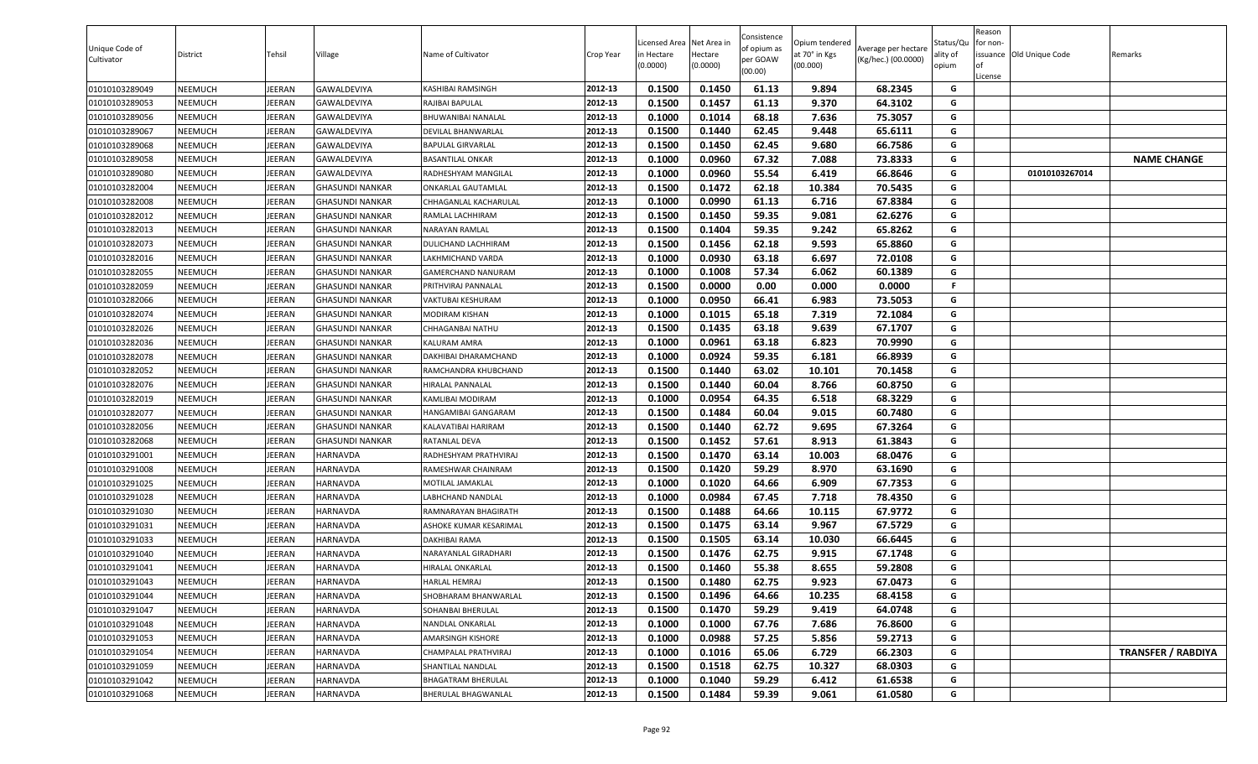| Unique Code of<br>Cultivator | District | Tehsil        | Village                | Name of Cultivator        | Crop Year | Licensed Area Net Area in<br>in Hectare<br>(0.0000) | Hectare<br>(0.0000) | Consistence<br>of opium as<br>per GOAW<br>(00.00) | Opium tendered<br>at 70° in Kgs<br>(00.000) | Average per hectare<br>(Kg/hec.) (00.0000) | Status/Qu<br>ality of<br>opium | Reason<br>or non-<br>License | issuance Old Unique Code | Remarks                   |
|------------------------------|----------|---------------|------------------------|---------------------------|-----------|-----------------------------------------------------|---------------------|---------------------------------------------------|---------------------------------------------|--------------------------------------------|--------------------------------|------------------------------|--------------------------|---------------------------|
| 01010103289049               | NEEMUCH  | <b>IEERAN</b> | GAWALDEVIYA            | KASHIBAI RAMSINGH         | 2012-13   | 0.1500                                              | 0.1450              | 61.13                                             | 9.894                                       | 68.2345                                    | G                              |                              |                          |                           |
| 01010103289053               | NEEMUCH  | <b>IEERAN</b> | GAWALDEVIYA            | RAJIBAI BAPULAL           | 2012-13   | 0.1500                                              | 0.1457              | 61.13                                             | 9.370                                       | 64.3102                                    | G                              |                              |                          |                           |
| 01010103289056               | NEEMUCH  | <b>IEERAN</b> | GAWALDEVIYA            | BHUWANIBAI NANALAL        | 2012-13   | 0.1000                                              | 0.1014              | 68.18                                             | 7.636                                       | 75.3057                                    | G                              |                              |                          |                           |
| 01010103289067               | NEEMUCH  | IEERAN        | GAWALDEVIYA            | <b>DEVILAL BHANWARLAL</b> | 2012-13   | 0.1500                                              | 0.1440              | 62.45                                             | 9.448                                       | 65.6111                                    | G                              |                              |                          |                           |
| 01010103289068               | NEEMUCH  | <b>IEERAN</b> | GAWALDEVIYA            | BAPULAL GIRVARLAL         | 2012-13   | 0.1500                                              | 0.1450              | 62.45                                             | 9.680                                       | 66.7586                                    | G                              |                              |                          |                           |
| 01010103289058               | NEEMUCH  | <b>IEERAN</b> | GAWALDEVIYA            | BASANTILAL ONKAR          | 2012-13   | 0.1000                                              | 0.0960              | 67.32                                             | 7.088                                       | 73.8333                                    | G                              |                              |                          | <b>NAME CHANGE</b>        |
| 01010103289080               | NEEMUCH  | <b>IEERAN</b> | GAWALDEVIYA            | RADHESHYAM MANGILAL       | 2012-13   | 0.1000                                              | 0.0960              | 55.54                                             | 6.419                                       | 66.8646                                    | G                              |                              | 01010103267014           |                           |
| 01010103282004               | NEEMUCH  | <b>IEERAN</b> | <b>GHASUNDI NANKAR</b> | ONKARLAL GAUTAMLAL        | 2012-13   | 0.1500                                              | 0.1472              | 62.18                                             | 10.384                                      | 70.5435                                    | G                              |                              |                          |                           |
| 01010103282008               | NEEMUCH  | <b>IEERAN</b> | GHASUNDI NANKAR        | CHHAGANLAL KACHARULAL     | 2012-13   | 0.1000                                              | 0.0990              | 61.13                                             | 6.716                                       | 67.8384                                    | G                              |                              |                          |                           |
| 01010103282012               | NEEMUCH  | <b>IEERAN</b> | GHASUNDI NANKAR        | RAMLAL LACHHIRAM          | 2012-13   | 0.1500                                              | 0.1450              | 59.35                                             | 9.081                                       | 62.6276                                    | G                              |                              |                          |                           |
| 01010103282013               | NEEMUCH  | <b>IEERAN</b> | GHASUNDI NANKAR        | NARAYAN RAMLAL            | 2012-13   | 0.1500                                              | 0.1404              | 59.35                                             | 9.242                                       | 65.8262                                    | G                              |                              |                          |                           |
| 01010103282073               | NEEMUCH  | EERAN         | GHASUNDI NANKAR        | DULICHAND LACHHIRAM       | 2012-13   | 0.1500                                              | 0.1456              | 62.18                                             | 9.593                                       | 65.8860                                    | G                              |                              |                          |                           |
| 01010103282016               | NEEMUCH  | <b>IEERAN</b> | <b>GHASUNDI NANKAR</b> | AKHMICHAND VARDA.         | 2012-13   | 0.1000                                              | 0.0930              | 63.18                                             | 6.697                                       | 72.0108                                    | G                              |                              |                          |                           |
| 01010103282055               | NEEMUCH  | EERAN         | <b>GHASUNDI NANKAR</b> | GAMERCHAND NANURAM        | 2012-13   | 0.1000                                              | 0.1008              | 57.34                                             | 6.062                                       | 60.1389                                    | G                              |                              |                          |                           |
| 01010103282059               | NEEMUCH  | <b>IEERAN</b> | <b>GHASUNDI NANKAR</b> | PRITHVIRAJ PANNALAL       | 2012-13   | 0.1500                                              | 0.0000              | 0.00                                              | 0.000                                       | 0.0000                                     | F.                             |                              |                          |                           |
| 01010103282066               | NEEMUCH  | <b>IEERAN</b> | <b>GHASUNDI NANKAR</b> | VAKTUBAI KESHURAM         | 2012-13   | 0.1000                                              | 0.0950              | 66.41                                             | 6.983                                       | 73.5053                                    | G                              |                              |                          |                           |
| 01010103282074               | NEEMUCH  | JEERAN        | GHASUNDI NANKAR        | MODIRAM KISHAN            | 2012-13   | 0.1000                                              | 0.1015              | 65.18                                             | 7.319                                       | 72.1084                                    | G                              |                              |                          |                           |
| 01010103282026               | NEEMUCH  | JEERAN        | GHASUNDI NANKAR        | CHHAGANBAI NATHU          | 2012-13   | 0.1500                                              | 0.1435              | 63.18                                             | 9.639                                       | 67.1707                                    | G                              |                              |                          |                           |
| 01010103282036               | NEEMUCH  | <b>IEERAN</b> | GHASUNDI NANKAR        | KALURAM AMRA              | 2012-13   | 0.1000                                              | 0.0961              | 63.18                                             | 6.823                                       | 70.9990                                    | G                              |                              |                          |                           |
| 01010103282078               | NEEMUCH  | <b>IEERAN</b> | GHASUNDI NANKAR        | DAKHIBAI DHARAMCHAND      | 2012-13   | 0.1000                                              | 0.0924              | 59.35                                             | 6.181                                       | 66.8939                                    | G                              |                              |                          |                           |
| 01010103282052               | NEEMUCH  | <b>IEERAN</b> | GHASUNDI NANKAR        | RAMCHANDRA KHUBCHAND      | 2012-13   | 0.1500                                              | 0.1440              | 63.02                                             | 10.101                                      | 70.1458                                    | G                              |                              |                          |                           |
| 01010103282076               | NEEMUCH  | <b>IEERAN</b> | GHASUNDI NANKAR        | HIRALAL PANNALAL          | 2012-13   | 0.1500                                              | 0.1440              | 60.04                                             | 8.766                                       | 60.8750                                    | G                              |                              |                          |                           |
| 01010103282019               | NEEMUCH  | EERAN         | <b>GHASUNDI NANKAR</b> | KAMLIBAI MODIRAM          | 2012-13   | 0.1000                                              | 0.0954              | 64.35                                             | 6.518                                       | 68.3229                                    | G                              |                              |                          |                           |
| 01010103282077               | NEEMUCH  | <b>IEERAN</b> | <b>GHASUNDI NANKAR</b> | HANGAMIBAI GANGARAM       | 2012-13   | 0.1500                                              | 0.1484              | 60.04                                             | 9.015                                       | 60.7480                                    | G                              |                              |                          |                           |
| 01010103282056               | NEEMUCH  | JEERAN        | <b>GHASUNDI NANKAR</b> | KALAVATIBAI HARIRAM       | 2012-13   | 0.1500                                              | 0.1440              | 62.72                                             | 9.695                                       | 67.3264                                    | G                              |                              |                          |                           |
| 01010103282068               | NEEMUCH  | <b>IEERAN</b> | GHASUNDI NANKAR        | RATANLAL DEVA             | 2012-13   | 0.1500                                              | 0.1452              | 57.61                                             | 8.913                                       | 61.3843                                    | G                              |                              |                          |                           |
| 01010103291001               | NEEMUCH  | <b>IEERAN</b> | HARNAVDA               | RADHESHYAM PRATHVIRAJ     | 2012-13   | 0.1500                                              | 0.1470              | 63.14                                             | 10.003                                      | 68.0476                                    | G                              |                              |                          |                           |
| 01010103291008               | NEEMUCH  | <b>IEERAN</b> | HARNAVDA               | RAMESHWAR CHAINRAM        | 2012-13   | 0.1500                                              | 0.1420              | 59.29                                             | 8.970                                       | 63.1690                                    | G                              |                              |                          |                           |
| 01010103291025               | NEEMUCH  | <b>IEERAN</b> | HARNAVDA               | MOTILAL JAMAKLAL          | 2012-13   | 0.1000                                              | 0.1020              | 64.66                                             | 6.909                                       | 67.7353                                    | G                              |                              |                          |                           |
| 01010103291028               | NEEMUCH  | <b>IEERAN</b> | <b>HARNAVDA</b>        | ABHCHAND NANDLAL          | 2012-13   | 0.1000                                              | 0.0984              | 67.45                                             | 7.718                                       | 78.4350                                    | G                              |                              |                          |                           |
| 01010103291030               | NEEMUCH  | EERAN         | HARNAVDA               | RAMNARAYAN BHAGIRATH      | 2012-13   | 0.1500                                              | 0.1488              | 64.66                                             | 10.115                                      | 67.9772                                    | G                              |                              |                          |                           |
| 01010103291031               | NEEMUCH  | <b>IEERAN</b> | HARNAVDA               | ASHOKE KUMAR KESARIMAL    | 2012-13   | 0.1500                                              | 0.1475              | 63.14                                             | 9.967                                       | 67.5729                                    | G                              |                              |                          |                           |
| 01010103291033               | NEEMUCH  | <b>IEERAN</b> | HARNAVDA               | DAKHIBAI RAMA             | 2012-13   | 0.1500                                              | 0.1505              | 63.14                                             | 10.030                                      | 66.6445                                    | G                              |                              |                          |                           |
| 01010103291040               | NEEMUCH  | JEERAN        | HARNAVDA               | NARAYANLAL GIRADHARI      | 2012-13   | 0.1500                                              | 0.1476              | 62.75                                             | 9.915                                       | 67.1748                                    | G                              |                              |                          |                           |
| 01010103291041               | NEEMUCH  | EERAN         | HARNAVDA               | HIRALAL ONKARLAL          | 2012-13   | 0.1500                                              | 0.1460              | 55.38                                             | 8.655                                       | 59.2808                                    | G                              |                              |                          |                           |
| 01010103291043               | NEEMUCH  | JEERAN        | HARNAVDA               | HARLAL HEMRAJ             | 2012-13   | 0.1500                                              | 0.1480              | 62.75                                             | 9.923                                       | 67.0473                                    | G                              |                              |                          |                           |
| 01010103291044               | NEEMUCH  | JEERAN        | HARNAVDA               | SHOBHARAM BHANWARLAL      | 2012-13   | 0.1500                                              | 0.1496              | 64.66                                             | 10.235                                      | 68.4158                                    | G                              |                              |                          |                           |
| 01010103291047               | NEEMUCH  | <b>IEERAN</b> | <b>HARNAVDA</b>        | SOHANBAI BHERULAL         | 2012-13   | 0.1500                                              | 0.1470              | 59.29                                             | 9.419                                       | 64.0748                                    | G                              |                              |                          |                           |
| 01010103291048               | NEEMUCH  | <b>IEERAN</b> | HARNAVDA               | NANDLAL ONKARLAL          | 2012-13   | 0.1000                                              | 0.1000              | 67.76                                             | 7.686                                       | 76.8600                                    | G                              |                              |                          |                           |
| 01010103291053               | NEEMUCH  | JEERAN        | HARNAVDA               | AMARSINGH KISHORE         | 2012-13   | 0.1000                                              | 0.0988              | 57.25                                             | 5.856                                       | 59.2713                                    | G                              |                              |                          |                           |
| 01010103291054               | NEEMUCH  | JEERAN        | HARNAVDA               | CHAMPALAL PRATHVIRAJ      | 2012-13   | 0.1000                                              | 0.1016              | 65.06                                             | 6.729                                       | 66.2303                                    | G                              |                              |                          | <b>TRANSFER / RABDIYA</b> |
| 01010103291059               | NEEMUCH  | JEERAN        | HARNAVDA               | SHANTILAL NANDLAL         | 2012-13   | 0.1500                                              | 0.1518              | 62.75                                             | 10.327                                      | 68.0303                                    | G                              |                              |                          |                           |
| 01010103291042               | NEEMUCH  | JEERAN        | HARNAVDA               | <b>BHAGATRAM BHERULAL</b> | 2012-13   | 0.1000                                              | 0.1040              | 59.29                                             | 6.412                                       | 61.6538                                    | G                              |                              |                          |                           |
| 01010103291068               | NEEMUCH  | <b>JEERAN</b> | <b>HARNAVDA</b>        | BHERULAL BHAGWANLAL       | 2012-13   | 0.1500                                              | 0.1484              | 59.39                                             | 9.061                                       | 61.0580                                    | G                              |                              |                          |                           |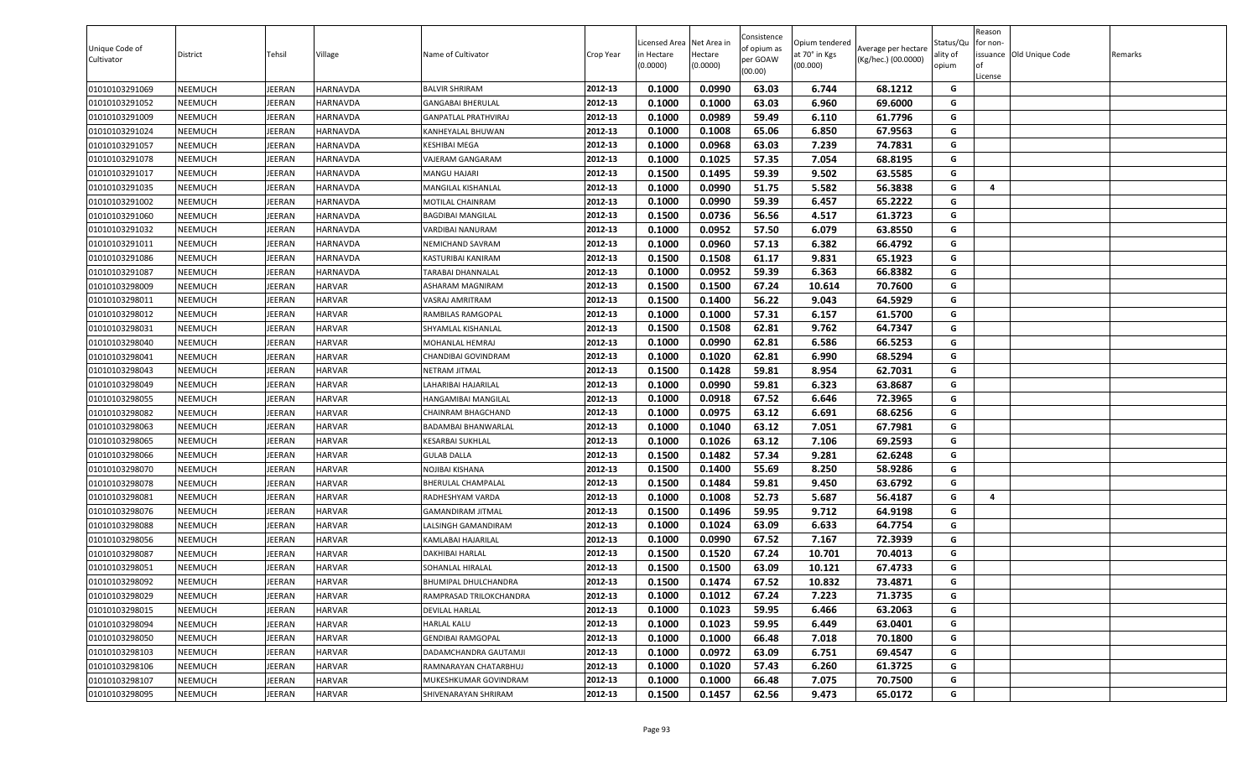| Unique Code of<br>Cultivator | District       | Tehsil        | Village         | Name of Cultivator          | Crop Year | Licensed Area<br>n Hectare<br>(0.0000) | Net Area in<br>Hectare<br>(0.0000) | Consistence<br>of opium as<br>per GOAW<br>(00.00) | Opium tendered<br>at 70° in Kgs<br>(00.000) | Average per hectare<br>(Kg/hec.) (00.0000) | Status/Qu<br>ality of<br>opium | Reason<br>or non-<br>of<br>License | issuance Old Unique Code | Remarks |
|------------------------------|----------------|---------------|-----------------|-----------------------------|-----------|----------------------------------------|------------------------------------|---------------------------------------------------|---------------------------------------------|--------------------------------------------|--------------------------------|------------------------------------|--------------------------|---------|
| 01010103291069               | NEEMUCH        | JEERAN        | HARNAVDA        | <b>BALVIR SHRIRAM</b>       | 2012-13   | 0.1000                                 | 0.0990                             | 63.03                                             | 6.744                                       | 68.1212                                    | G                              |                                    |                          |         |
| 01010103291052               | NEEMUCH        | JEERAN        | HARNAVDA        | <b>GANGABAI BHERULAL</b>    | 2012-13   | 0.1000                                 | 0.1000                             | 63.03                                             | 6.960                                       | 69.6000                                    | G                              |                                    |                          |         |
| 01010103291009               | NEEMUCH        | <b>JEERAN</b> | <b>HARNAVDA</b> | <b>GANPATLAL PRATHVIRAJ</b> | 2012-13   | 0.1000                                 | 0.0989                             | 59.49                                             | 6.110                                       | 61.7796                                    | G                              |                                    |                          |         |
| 01010103291024               | NEEMUCH        | JEERAN        | HARNAVDA        | KANHEYALAL BHUWAN           | 2012-13   | 0.1000                                 | 0.1008                             | 65.06                                             | 6.850                                       | 67.9563                                    | G                              |                                    |                          |         |
| 01010103291057               | NEEMUCH        | JEERAN        | HARNAVDA        | KESHIBAI MEGA               | 2012-13   | 0.1000                                 | 0.0968                             | 63.03                                             | 7.239                                       | 74.7831                                    | G                              |                                    |                          |         |
| 01010103291078               | NEEMUCH        | JEERAN        | HARNAVDA        | VAJERAM GANGARAM            | 2012-13   | 0.1000                                 | 0.1025                             | 57.35                                             | 7.054                                       | 68.8195                                    | G                              |                                    |                          |         |
| 01010103291017               | NEEMUCH        | <b>JEERAN</b> | HARNAVDA        | MANGU HAJARI                | 2012-13   | 0.1500                                 | 0.1495                             | 59.39                                             | 9.502                                       | 63.5585                                    | G                              |                                    |                          |         |
| 01010103291035               | NEEMUCH        | <b>JEERAN</b> | HARNAVDA        | MANGILAL KISHANLAL          | 2012-13   | 0.1000                                 | 0.0990                             | 51.75                                             | 5.582                                       | 56.3838                                    | G                              | 4                                  |                          |         |
| 01010103291002               | NEEMUCH        | JEERAN        | <b>HARNAVDA</b> | MOTILAL CHAINRAM            | 2012-13   | 0.1000                                 | 0.0990                             | 59.39                                             | 6.457                                       | 65.2222                                    | G                              |                                    |                          |         |
| 01010103291060               | NEEMUCH        | JEERAN        | HARNAVDA        | <b>BAGDIBAI MANGILAL</b>    | 2012-13   | 0.1500                                 | 0.0736                             | 56.56                                             | 4.517                                       | 61.3723                                    | G                              |                                    |                          |         |
| 01010103291032               | NEEMUCH        | JEERAN        | <b>HARNAVDA</b> | VARDIBAI NANURAM            | 2012-13   | 0.1000                                 | 0.0952                             | 57.50                                             | 6.079                                       | 63.8550                                    | G                              |                                    |                          |         |
| 01010103291011               | NEEMUCH        | <b>JEERAN</b> | HARNAVDA        | NEMICHAND SAVRAM            | 2012-13   | 0.1000                                 | 0.0960                             | 57.13                                             | 6.382                                       | 66.4792                                    | G                              |                                    |                          |         |
| 01010103291086               | NEEMUCH        | JEERAN        | HARNAVDA        | KASTURIBAI KANIRAM          | 2012-13   | 0.1500                                 | 0.1508                             | 61.17                                             | 9.831                                       | 65.1923                                    | G                              |                                    |                          |         |
| 01010103291087               | NEEMUCH        | JEERAN        | <b>HARNAVDA</b> | TARABAI DHANNALAL           | 2012-13   | 0.1000                                 | 0.0952                             | 59.39                                             | 6.363                                       | 66.8382                                    | G                              |                                    |                          |         |
| 01010103298009               | <b>NEEMUCH</b> | <b>JEERAN</b> | <b>HARVAR</b>   | ASHARAM MAGNIRAM            | 2012-13   | 0.1500                                 | 0.1500                             | 67.24                                             | 10.614                                      | 70.7600                                    | G                              |                                    |                          |         |
| 01010103298011               | NEEMUCH        | <b>JEERAN</b> | <b>HARVAR</b>   | VASRAJ AMRITRAM             | 2012-13   | 0.1500                                 | 0.1400                             | 56.22                                             | 9.043                                       | 64.5929                                    | G                              |                                    |                          |         |
| 01010103298012               | NEEMUCH        | JEERAN        | <b>HARVAR</b>   | RAMBILAS RAMGOPAL           | 2012-13   | 0.1000                                 | 0.1000                             | 57.31                                             | 6.157                                       | 61.5700                                    | G                              |                                    |                          |         |
| 01010103298031               | NEEMUCH        | JEERAN        | <b>HARVAR</b>   | SHYAMLAL KISHANLAL          | 2012-13   | 0.1500                                 | 0.1508                             | 62.81                                             | 9.762                                       | 64.7347                                    | G                              |                                    |                          |         |
| 01010103298040               | NEEMUCH        | JEERAN        | <b>HARVAR</b>   | MOHANLAL HEMRAJ             | 2012-13   | 0.1000                                 | 0.0990                             | 62.81                                             | 6.586                                       | 66.5253                                    | G                              |                                    |                          |         |
| 01010103298041               | NEEMUCH        | <b>JEERAN</b> | <b>HARVAR</b>   | CHANDIBAI GOVINDRAM         | 2012-13   | 0.1000                                 | 0.1020                             | 62.81                                             | 6.990                                       | 68.5294                                    | G                              |                                    |                          |         |
| 01010103298043               | NEEMUCH        | JEERAN        | HARVAR          | NETRAM JITMAL               | 2012-13   | 0.1500                                 | 0.1428                             | 59.81                                             | 8.954                                       | 62.7031                                    | G                              |                                    |                          |         |
| 01010103298049               | NEEMUCH        | JEERAN        | <b>HARVAR</b>   | LAHARIBAI HAJARILAL         | 2012-13   | 0.1000                                 | 0.0990                             | 59.81                                             | 6.323                                       | 63.8687                                    | G                              |                                    |                          |         |
| 01010103298055               | NEEMUCH        | JEERAN        | <b>HARVAR</b>   | HANGAMIBAI MANGILAL         | 2012-13   | 0.1000                                 | 0.0918                             | 67.52                                             | 6.646                                       | 72.3965                                    | G                              |                                    |                          |         |
| 01010103298082               | NEEMUCH        | <b>JEERAN</b> | <b>HARVAR</b>   | CHAINRAM BHAGCHAND          | 2012-13   | 0.1000                                 | 0.0975                             | 63.12                                             | 6.691                                       | 68.6256                                    | G                              |                                    |                          |         |
| 01010103298063               | NEEMUCH        | JEERAN        | <b>HARVAR</b>   | BADAMBAI BHANWARLAL         | 2012-13   | 0.1000                                 | 0.1040                             | 63.12                                             | 7.051                                       | 67.7981                                    | G                              |                                    |                          |         |
| 01010103298065               | NEEMUCH        | JEERAN        | <b>HARVAR</b>   | <b>KESARBAI SUKHLAL</b>     | 2012-13   | 0.1000                                 | 0.1026                             | 63.12                                             | 7.106                                       | 69.2593                                    | G                              |                                    |                          |         |
| 01010103298066               | NEEMUCH        | JEERAN        | <b>HARVAR</b>   | <b>GULAB DALLA</b>          | 2012-13   | 0.1500                                 | 0.1482                             | 57.34                                             | 9.281                                       | 62.6248                                    | G                              |                                    |                          |         |
| 01010103298070               | NEEMUCH        | JEERAN        | <b>HARVAR</b>   | NOJIBAI KISHANA             | 2012-13   | 0.1500                                 | 0.1400                             | 55.69                                             | 8.250                                       | 58.9286                                    | G                              |                                    |                          |         |
| 01010103298078               | NEEMUCH        | JEERAN        | HARVAR          | BHERULAL CHAMPALAL          | 2012-13   | 0.1500                                 | 0.1484                             | 59.81                                             | 9.450                                       | 63.6792                                    | G                              |                                    |                          |         |
| 01010103298081               | NEEMUCH        | JEERAN        | <b>HARVAR</b>   | RADHESHYAM VARDA            | 2012-13   | 0.1000                                 | 0.1008                             | 52.73                                             | 5.687                                       | 56.4187                                    | G                              | 4                                  |                          |         |
| 01010103298076               | NEEMUCH        | JEERAN        | <b>HARVAR</b>   | <b>GAMANDIRAM JITMAL</b>    | 2012-13   | 0.1500                                 | 0.1496                             | 59.95                                             | 9.712                                       | 64.9198                                    | G                              |                                    |                          |         |
| 01010103298088               | <b>NEEMUCH</b> | <b>JEERAN</b> | <b>HARVAR</b>   | LALSINGH GAMANDIRAM         | 2012-13   | 0.1000                                 | 0.1024                             | 63.09                                             | 6.633                                       | 64.7754                                    | G                              |                                    |                          |         |
| 01010103298056               | NEEMUCH        | <b>JEERAN</b> | <b>HARVAR</b>   | KAMLABAI HAJARILAL          | 2012-13   | 0.1000                                 | 0.0990                             | 67.52                                             | 7.167                                       | 72.3939                                    | G                              |                                    |                          |         |
| 01010103298087               | NEEMUCH        | JEERAN        | <b>HARVAR</b>   | DAKHIBAI HARLAL             | 2012-13   | 0.1500                                 | 0.1520                             | 67.24                                             | 10.701                                      | 70.4013                                    | G                              |                                    |                          |         |
| 01010103298051               | NEEMUCH        | JEERAN        | <b>HARVAR</b>   | SOHANLAL HIRALAL            | 2012-13   | 0.1500                                 | 0.1500                             | 63.09                                             | 10.121                                      | 67.4733                                    | G                              |                                    |                          |         |
| 01010103298092               | NEEMUCH        | <b>JEERAN</b> | <b>HARVAR</b>   | BHUMIPAL DHULCHANDRA        | 2012-13   | 0.1500                                 | 0.1474                             | 67.52                                             | 10.832                                      | 73.4871                                    | G                              |                                    |                          |         |
| 01010103298029               | NEEMUCH        | <b>JEERAN</b> | <b>HARVAR</b>   | RAMPRASAD TRILOKCHANDRA     | 2012-13   | 0.1000                                 | 0.1012                             | 67.24                                             | 7.223                                       | 71.3735                                    | G                              |                                    |                          |         |
| 01010103298015               | NEEMUCH        | JEERAN        | <b>HARVAR</b>   | <b>DEVILAL HARLAL</b>       | 2012-13   | 0.1000                                 | 0.1023                             | 59.95                                             | 6.466                                       | 63.2063                                    | G                              |                                    |                          |         |
| 01010103298094               | <b>NEEMUCH</b> | <b>JEERAN</b> | <b>HARVAR</b>   | <b>HARLAL KALU</b>          | 2012-13   | 0.1000                                 | 0.1023                             | 59.95                                             | 6.449                                       | 63.0401                                    | G                              |                                    |                          |         |
| 01010103298050               | <b>NEEMUCH</b> | <b>JEERAN</b> | <b>HARVAR</b>   | <b>GENDIBAI RAMGOPAL</b>    | 2012-13   | 0.1000                                 | 0.1000                             | 66.48                                             | 7.018                                       | 70.1800                                    | G                              |                                    |                          |         |
| 01010103298103               | <b>NEEMUCH</b> | <b>JEERAN</b> | <b>HARVAR</b>   | DADAMCHANDRA GAUTAMJI       | 2012-13   | 0.1000                                 | 0.0972                             | 63.09                                             | 6.751                                       | 69.4547                                    | G                              |                                    |                          |         |
| 01010103298106               | NEEMUCH        | <b>JEERAN</b> | <b>HARVAR</b>   | RAMNARAYAN CHATARBHUJ       | 2012-13   | 0.1000                                 | 0.1020                             | 57.43                                             | 6.260                                       | 61.3725                                    | G                              |                                    |                          |         |
| 01010103298107               | <b>NEEMUCH</b> | <b>JEERAN</b> | <b>HARVAR</b>   | MUKESHKUMAR GOVINDRAM       | 2012-13   | 0.1000                                 | 0.1000                             | 66.48                                             | 7.075                                       | 70.7500                                    | G                              |                                    |                          |         |
| 01010103298095               | <b>NEEMUCH</b> | <b>JEERAN</b> | <b>HARVAR</b>   | SHIVENARAYAN SHRIRAM        | 2012-13   | 0.1500                                 | 0.1457                             | 62.56                                             | 9.473                                       | 65.0172                                    | G                              |                                    |                          |         |
|                              |                |               |                 |                             |           |                                        |                                    |                                                   |                                             |                                            |                                |                                    |                          |         |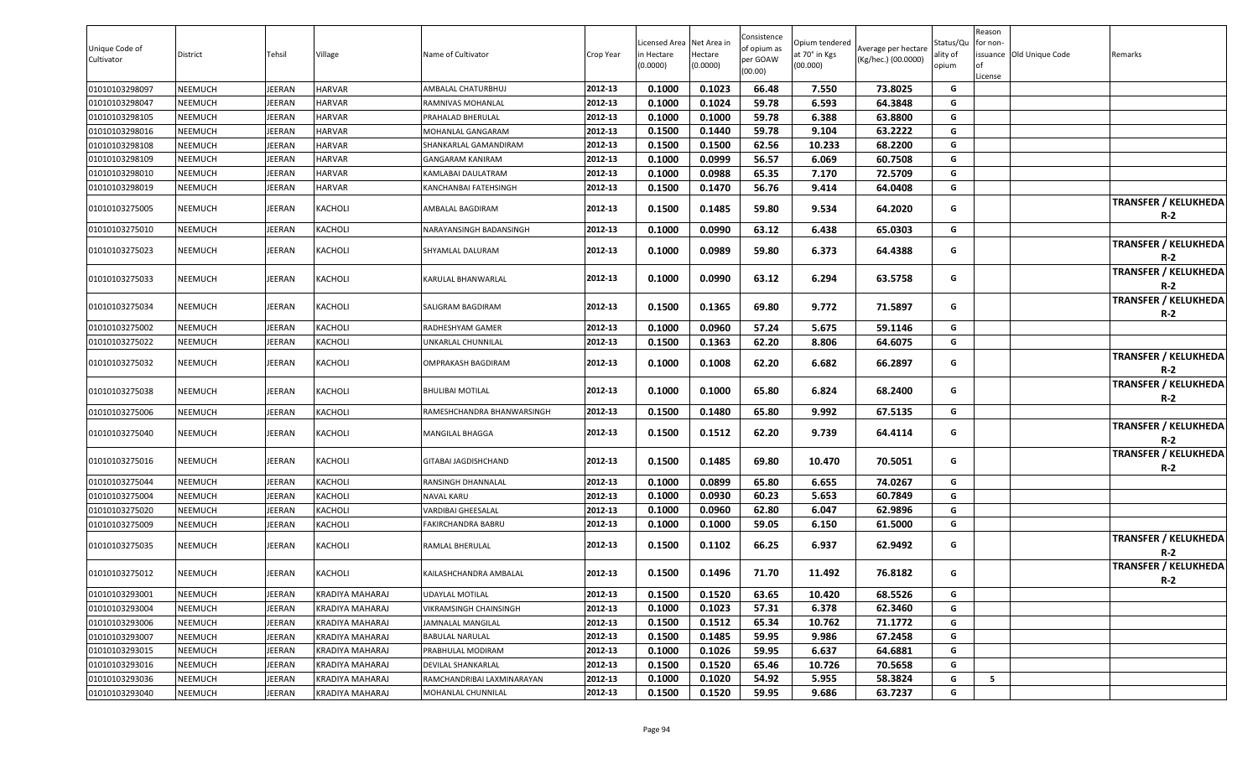| Unique Code of<br>Cultivator | District       | Tehsil | Village         | Name of Cultivator         | Crop Year | Licensed Area<br>in Hectare | Net Area in<br>Hectare | Consistence<br>of opium as<br>per GOAW | Opium tendered<br>at 70° in Kgs | Average per hectare<br>(Kg/hec.) (00.0000) | Status/Qu<br>ality of | Reason<br>for non- | issuance Old Unique Code | Remarks |                                           |
|------------------------------|----------------|--------|-----------------|----------------------------|-----------|-----------------------------|------------------------|----------------------------------------|---------------------------------|--------------------------------------------|-----------------------|--------------------|--------------------------|---------|-------------------------------------------|
|                              |                |        |                 |                            |           | (0.0000)                    | (0.0000)               | (00.00)                                | (00.000)                        |                                            | opium                 |                    |                          |         |                                           |
| 01010103298097               | <b>NEEMUCH</b> | JEERAN | HARVAR          | AMBALAL CHATURBHUJ         | 2012-13   | 0.1000                      | 0.1023                 | 66.48                                  | 7.550                           | 73.8025                                    | G                     | License            |                          |         |                                           |
| 01010103298047               | NEEMUCH        | JEERAN | HARVAR          | RAMNIVAS MOHANLAL          | 2012-13   | 0.1000                      | 0.1024                 | 59.78                                  | 6.593                           | 64.3848                                    | G                     |                    |                          |         |                                           |
| 01010103298105               | <b>NEEMUCH</b> | JEERAN | HARVAR          | PRAHALAD BHERULAL          | 2012-13   | 0.1000                      | 0.1000                 | 59.78                                  | 6.388                           | 63.8800                                    | G                     |                    |                          |         |                                           |
| 01010103298016               | NEEMUCH        | JEERAN | HARVAR          | MOHANLAL GANGARAM          | 2012-13   | 0.1500                      | 0.1440                 | 59.78                                  | 9.104                           | 63.2222                                    | G                     |                    |                          |         |                                           |
| 01010103298108               | <b>NEEMUCH</b> | JEERAN | HARVAR          | SHANKARLAL GAMANDIRAM      | 2012-13   | 0.1500                      | 0.1500                 | 62.56                                  | 10.233                          | 68.2200                                    | G                     |                    |                          |         |                                           |
| 01010103298109               | <b>NEEMUCH</b> | JEERAN | HARVAR          | <b>GANGARAM KANIRAM</b>    | 2012-13   | 0.1000                      | 0.0999                 | 56.57                                  | 6.069                           | 60.7508                                    | G                     |                    |                          |         |                                           |
| 01010103298010               | <b>NEEMUCH</b> | JEERAN | <b>HARVAR</b>   | KAMLABAI DAULATRAM         | 2012-13   | 0.1000                      | 0.0988                 | 65.35                                  | 7.170                           | 72.5709                                    | G                     |                    |                          |         |                                           |
| 01010103298019               | <b>NEEMUCH</b> | JEERAN | HARVAR          | KANCHANBAI FATEHSINGH      | 2012-13   | 0.1500                      | 0.1470                 | 56.76                                  | 9.414                           | 64.0408                                    | G                     |                    |                          |         |                                           |
| 01010103275005               | <b>NEEMUCH</b> | JEERAN | KACHOLI         | AMBALAL BAGDIRAM           | 2012-13   | 0.1500                      | 0.1485                 | 59.80                                  | 9.534                           | 64.2020                                    | G                     |                    |                          |         | <b>TRANSFER / KELUKHEDA</b><br><b>R-2</b> |
| 01010103275010               | <b>NEEMUCH</b> | JEERAN | KACHOLI         | NARAYANSINGH BADANSINGH    | 2012-13   | 0.1000                      | 0.0990                 | 63.12                                  | 6.438                           | 65.0303                                    | G                     |                    |                          |         |                                           |
| 01010103275023               | NEEMUCH        | JEERAN | <b>(ACHOLI</b>  | SHYAMLAL DALURAM           | 2012-13   | 0.1000                      | 0.0989                 | 59.80                                  | 6.373                           | 64.4388                                    | G                     |                    |                          |         | <b>TRANSFER / KELUKHEDA</b><br>$R-2$      |
| 01010103275033               | <b>NEEMUCH</b> | JEERAN | KACHOLI         | KARULAL BHANWARLAL         | 2012-13   | 0.1000                      | 0.0990                 | 63.12                                  | 6.294                           | 63.5758                                    | G                     |                    |                          |         | <b>TRANSFER / KELUKHEDA</b><br>R-2        |
| 01010103275034               | <b>NEEMUCH</b> | JEERAN | KACHOLI         | SALIGRAM BAGDIRAM          | 2012-13   | 0.1500                      | 0.1365                 | 69.80                                  | 9.772                           | 71.5897                                    | G                     |                    |                          |         | <b>TRANSFER / KELUKHEDA</b><br>$R-2$      |
| 01010103275002               | NEEMUCH        | JEERAN | KACHOLI         | RADHESHYAM GAMER           | 2012-13   | 0.1000                      | 0.0960                 | 57.24                                  | 5.675                           | 59.1146                                    | G                     |                    |                          |         |                                           |
| 01010103275022               | <b>NEEMUCH</b> | JEERAN | KACHOLI         | UNKARLAL CHUNNILAL         | 2012-13   | 0.1500                      | 0.1363                 | 62.20                                  | 8.806                           | 64.6075                                    | G                     |                    |                          |         |                                           |
| 01010103275032               | NEEMUCH        | JEERAN | KACHOLI         | OMPRAKASH BAGDIRAM         | 2012-13   | 0.1000                      | 0.1008                 | 62.20                                  | 6.682                           | 66.2897                                    | G                     |                    |                          |         | <b>TRANSFER / KELUKHEDA</b><br>$R-2$      |
| 01010103275038               | <b>NEEMUCH</b> | JEERAN | KACHOLI         | BHULIBAI MOTILAL           | 2012-13   | 0.1000                      | 0.1000                 | 65.80                                  | 6.824                           | 68.2400                                    | G                     |                    |                          |         | <b>TRANSFER / KELUKHEDA</b><br><b>R-2</b> |
| 01010103275006               | <b>NEEMUCH</b> | JEERAN | KACHOLI         | RAMESHCHANDRA BHANWARSINGH | 2012-13   | 0.1500                      | 0.1480                 | 65.80                                  | 9.992                           | 67.5135                                    | G                     |                    |                          |         |                                           |
| 01010103275040               | <b>NEEMUCH</b> | JEERAN | KACHOLI         | MANGILAL BHAGGA            | 2012-13   | 0.1500                      | 0.1512                 | 62.20                                  | 9.739                           | 64.4114                                    | G                     |                    |                          |         | <b>TRANSFER / KELUKHEDA</b><br>$R-2$      |
| 01010103275016               | <b>NEEMUCH</b> | JEERAN | <b>ACHOLI</b>   | GITABAI JAGDISHCHAND       | 2012-13   | 0.1500                      | 0.1485                 | 69.80                                  | 10.470                          | 70.5051                                    | G                     |                    |                          |         | <b>TRANSFER / KELUKHEDA</b><br>$R-2$      |
| 01010103275044               | <b>NEEMUCH</b> | JEERAN | KACHOLI         | RANSINGH DHANNALAL         | 2012-13   | 0.1000                      | 0.0899                 | 65.80                                  | 6.655                           | 74.0267                                    | G                     |                    |                          |         |                                           |
| 01010103275004               | <b>NEEMUCH</b> | JEERAN | KACHOLI         | NAVAL KARU                 | 2012-13   | 0.1000                      | 0.0930                 | 60.23                                  | 5.653                           | 60.7849                                    | G                     |                    |                          |         |                                           |
| 01010103275020               | <b>NEEMUCH</b> | JEERAN | KACHOLI         | VARDIBAI GHEESALAL         | 2012-13   | 0.1000                      | 0.0960                 | 62.80                                  | 6.047                           | 62.9896                                    | G                     |                    |                          |         |                                           |
| 01010103275009               | <b>NEEMUCH</b> | JEERAN | KACHOLI         | FAKIRCHANDRA BABRU         | 2012-13   | 0.1000                      | 0.1000                 | 59.05                                  | 6.150                           | 61.5000                                    | G                     |                    |                          |         |                                           |
| 01010103275035               | <b>NEEMUCH</b> | JEERAN | KACHOLI         | RAMLAL BHERULAL            | 2012-13   | 0.1500                      | 0.1102                 | 66.25                                  | 6.937                           | 62.9492                                    | G                     |                    |                          |         | <b>TRANSFER / KELUKHEDA</b><br>$R-2$      |
| 01010103275012               | <b>NEEMUCH</b> | JEERAN | KACHOLI         | KAILASHCHANDRA AMBALAL     | 2012-13   | 0.1500                      | 0.1496                 | 71.70                                  | 11.492                          | 76.8182                                    | G                     |                    |                          |         | <b>TRANSFER / KELUKHEDA</b><br><b>R-2</b> |
| 01010103293001               | <b>NEEMUCH</b> | JEERAN | KRADIYA MAHARAJ | UDAYLAL MOTILAL            | 2012-13   | 0.1500                      | 0.1520                 | 63.65                                  | 10.420                          | 68.5526                                    | G                     |                    |                          |         |                                           |
| 01010103293004               | <b>NEEMUCH</b> | JEERAN | KRADIYA MAHARAJ | VIKRAMSINGH CHAINSINGH     | 2012-13   | 0.1000                      | 0.1023                 | 57.31                                  | 6.378                           | 62.3460                                    | G                     |                    |                          |         |                                           |
| 01010103293006               | <b>NEEMUCH</b> | JEERAN | KRADIYA MAHARAJ | <b>JAMNALAL MANGILAL</b>   | 2012-13   | 0.1500                      | 0.1512                 | 65.34                                  | 10.762                          | 71.1772                                    | G                     |                    |                          |         |                                           |
| 01010103293007               | <b>NEEMUCH</b> | JEERAN | KRADIYA MAHARAJ | BABULAL NARULAL            | 2012-13   | 0.1500                      | 0.1485                 | 59.95                                  | 9.986                           | 67.2458                                    | G                     |                    |                          |         |                                           |
| 01010103293015               | <b>NEEMUCH</b> | JEERAN | KRADIYA MAHARAJ | PRABHULAL MODIRAM          | 2012-13   | 0.1000                      | 0.1026                 | 59.95                                  | 6.637                           | 64.6881                                    | G                     |                    |                          |         |                                           |
| 01010103293016               | <b>NEEMUCH</b> | JEERAN | KRADIYA MAHARAJ | DEVILAL SHANKARLAL         | 2012-13   | 0.1500                      | 0.1520                 | 65.46                                  | 10.726                          | 70.5658                                    | G                     |                    |                          |         |                                           |
| 01010103293036               | <b>NEEMUCH</b> | JEERAN | KRADIYA MAHARAJ | RAMCHANDRIBAI LAXMINARAYAN | 2012-13   | 0.1000                      | 0.1020                 | 54.92                                  | 5.955                           | 58.3824                                    | G                     | 5                  |                          |         |                                           |
| 01010103293040               | <b>NEEMUCH</b> | JEERAN | KRADIYA MAHARAJ | MOHANLAL CHUNNILAL         | 2012-13   | 0.1500                      | 0.1520                 | 59.95                                  | 9.686                           | 63.7237                                    | G                     |                    |                          |         |                                           |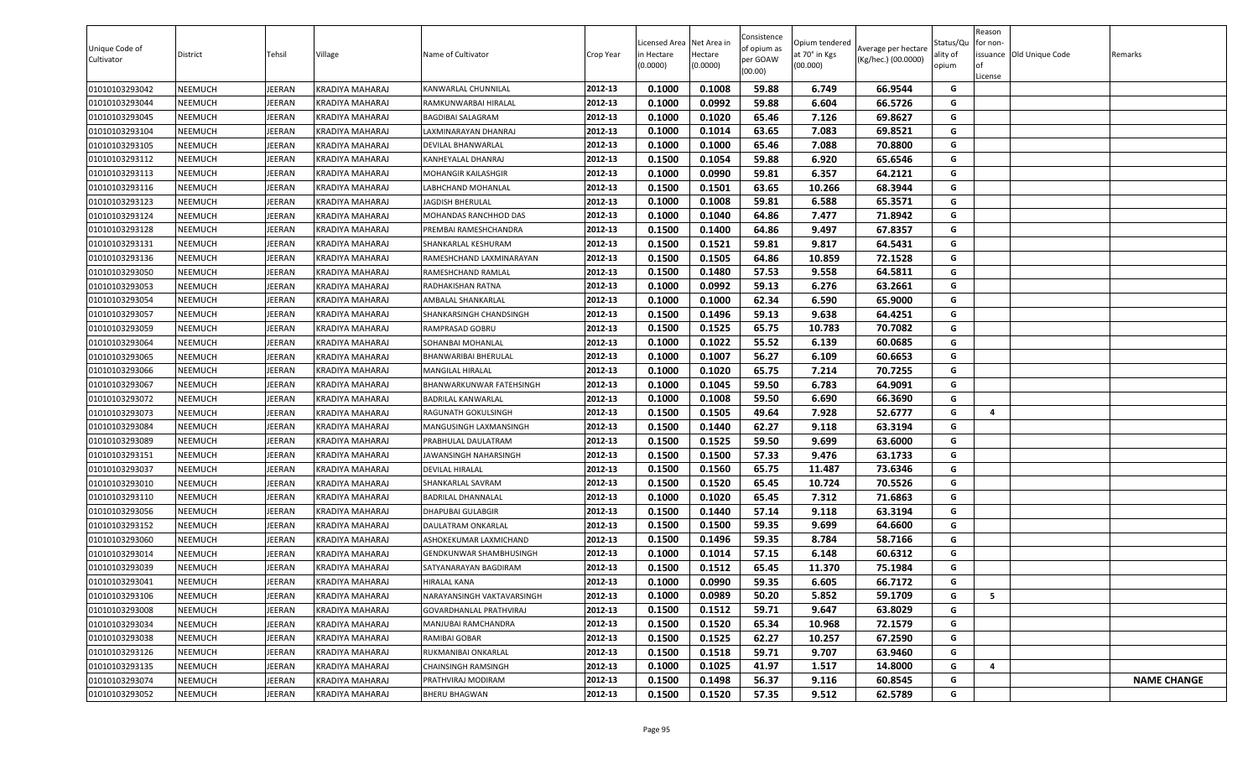| Unique Code of<br>Cultivator | District | Tehsil        | Village         | Name of Cultivator          | Crop Year | Licensed Area Net Area in<br>in Hectare<br>(0.0000) | Hectare<br>(0.0000) | Consistence<br>of opium as<br>per GOAW<br>(00.00) | Opium tendered<br>at 70° in Kgs<br>(00.000) | Average per hectare<br>(Kg/hec.) (00.0000) | Status/Qu<br>ality of<br>opium | Reason<br>for non-<br>License | issuance Old Unique Code | Remarks            |
|------------------------------|----------|---------------|-----------------|-----------------------------|-----------|-----------------------------------------------------|---------------------|---------------------------------------------------|---------------------------------------------|--------------------------------------------|--------------------------------|-------------------------------|--------------------------|--------------------|
| 01010103293042               | NEEMUCH  | <b>IEERAN</b> | KRADIYA MAHARAJ | KANWARLAL CHUNNILAL         | 2012-13   | 0.1000                                              | 0.1008              | 59.88                                             | 6.749                                       | 66.9544                                    | G                              |                               |                          |                    |
| 01010103293044               | NEEMUCH  | <b>IEERAN</b> | KRADIYA MAHARAJ | RAMKUNWARBAI HIRALAL        | 2012-13   | 0.1000                                              | 0.0992              | 59.88                                             | 6.604                                       | 66.5726                                    | G                              |                               |                          |                    |
| 01010103293045               | NEEMUCH  | <b>IEERAN</b> | KRADIYA MAHARAJ | BAGDIBAI SALAGRAM           | 2012-13   | 0.1000                                              | 0.1020              | 65.46                                             | 7.126                                       | 69.8627                                    | G                              |                               |                          |                    |
| 01010103293104               | NEEMUCH  | IEERAN        | KRADIYA MAHARAJ | LAXMINARAYAN DHANRAJ        | 2012-13   | 0.1000                                              | 0.1014              | 63.65                                             | 7.083                                       | 69.8521                                    | G                              |                               |                          |                    |
| 01010103293105               | NEEMUCH  | <b>IEERAN</b> | KRADIYA MAHARAJ | DEVILAL BHANWARLAL          | 2012-13   | 0.1000                                              | 0.1000              | 65.46                                             | 7.088                                       | 70.8800                                    | G                              |                               |                          |                    |
| 01010103293112               | NEEMUCH  | <b>IEERAN</b> | KRADIYA MAHARAJ | KANHEYALAL DHANRAJ          | 2012-13   | 0.1500                                              | 0.1054              | 59.88                                             | 6.920                                       | 65.6546                                    | G                              |                               |                          |                    |
| 01010103293113               | NEEMUCH  | <b>IEERAN</b> | KRADIYA MAHARAJ | MOHANGIR KAILASHGIR         | 2012-13   | 0.1000                                              | 0.0990              | 59.81                                             | 6.357                                       | 64.2121                                    | G                              |                               |                          |                    |
| 01010103293116               | NEEMUCH  | <b>IEERAN</b> | KRADIYA MAHARAJ | LABHCHAND MOHANLAL          | 2012-13   | 0.1500                                              | 0.1501              | 63.65                                             | 10.266                                      | 68.3944                                    | G                              |                               |                          |                    |
| 01010103293123               | NEEMUCH  | <b>IEERAN</b> | KRADIYA MAHARAJ | JAGDISH BHERULAL            | 2012-13   | 0.1000                                              | 0.1008              | 59.81                                             | 6.588                                       | 65.3571                                    | G                              |                               |                          |                    |
| 01010103293124               | NEEMUCH  | <b>IEERAN</b> | KRADIYA MAHARAJ | MOHANDAS RANCHHOD DAS       | 2012-13   | 0.1000                                              | 0.1040              | 64.86                                             | 7.477                                       | 71.8942                                    | G                              |                               |                          |                    |
| 01010103293128               | NEEMUCH  | <b>IEERAN</b> | KRADIYA MAHARAJ | PREMBAI RAMESHCHANDRA       | 2012-13   | 0.1500                                              | 0.1400              | 64.86                                             | 9.497                                       | 67.8357                                    | G                              |                               |                          |                    |
| 01010103293131               | NEEMUCH  | EERAN         | KRADIYA MAHARAJ | SHANKARLAL KESHURAM         | 2012-13   | 0.1500                                              | 0.1521              | 59.81                                             | 9.817                                       | 64.5431                                    | G                              |                               |                          |                    |
| 01010103293136               | NEEMUCH  | <b>IEERAN</b> | KRADIYA MAHARAJ | RAMESHCHAND LAXMINARAYAN    | 2012-13   | 0.1500                                              | 0.1505              | 64.86                                             | 10.859                                      | 72.1528                                    | G                              |                               |                          |                    |
| 01010103293050               | NEEMUCH  | <b>IEERAN</b> | KRADIYA MAHARAJ | RAMESHCHAND RAMLAL          | 2012-13   | 0.1500                                              | 0.1480              | 57.53                                             | 9.558                                       | 64.5811                                    | G                              |                               |                          |                    |
| 01010103293053               | NEEMUCH  | <b>IEERAN</b> | KRADIYA MAHARAJ | RADHAKISHAN RATNA           | 2012-13   | 0.1000                                              | 0.0992              | 59.13                                             | 6.276                                       | 63.2661                                    | G                              |                               |                          |                    |
| 01010103293054               | NEEMUCH  | <b>IEERAN</b> | KRADIYA MAHARAJ | AMBALAL SHANKARLAL          | 2012-13   | 0.1000                                              | 0.1000              | 62.34                                             | 6.590                                       | 65.9000                                    | G                              |                               |                          |                    |
| 01010103293057               | NEEMUCH  | JEERAN        | KRADIYA MAHARAJ | SHANKARSINGH CHANDSINGH     | 2012-13   | 0.1500                                              | 0.1496              | 59.13                                             | 9.638                                       | 64.4251                                    | G                              |                               |                          |                    |
| 01010103293059               | NEEMUCH  | JEERAN        | KRADIYA MAHARAJ | RAMPRASAD GOBRU             | 2012-13   | 0.1500                                              | 0.1525              | 65.75                                             | 10.783                                      | 70.7082                                    | G                              |                               |                          |                    |
| 01010103293064               | NEEMUCH  | <b>IEERAN</b> | KRADIYA MAHARAJ | SOHANBAI MOHANLAL           | 2012-13   | 0.1000                                              | 0.1022              | 55.52                                             | 6.139                                       | 60.0685                                    | G                              |                               |                          |                    |
| 01010103293065               | NEEMUCH  | <b>IEERAN</b> | KRADIYA MAHARAJ | <b>BHANWARIBAI BHERULAL</b> | 2012-13   | 0.1000                                              | 0.1007              | 56.27                                             | 6.109                                       | 60.6653                                    | G                              |                               |                          |                    |
| 01010103293066               | NEEMUCH  | <b>IEERAN</b> | KRADIYA MAHARAJ | MANGILAL HIRALAL            | 2012-13   | 0.1000                                              | 0.1020              | 65.75                                             | 7.214                                       | 70.7255                                    | G                              |                               |                          |                    |
| 01010103293067               | NEEMUCH  | <b>IEERAN</b> | KRADIYA MAHARAJ | BHANWARKUNWAR FATEHSINGH    | 2012-13   | 0.1000                                              | 0.1045              | 59.50                                             | 6.783                                       | 64.9091                                    | G                              |                               |                          |                    |
| 01010103293072               | NEEMUCH  | EERAN         | KRADIYA MAHARAJ | BADRILAL KANWARLAL          | 2012-13   | 0.1000                                              | 0.1008              | 59.50                                             | 6.690                                       | 66.3690                                    | G                              |                               |                          |                    |
| 01010103293073               | NEEMUCH  | <b>IEERAN</b> | KRADIYA MAHARAJ | RAGUNATH GOKULSINGH         | 2012-13   | 0.1500                                              | 0.1505              | 49.64                                             | 7.928                                       | 52.6777                                    | G                              | 4                             |                          |                    |
| 01010103293084               | NEEMUCH  | JEERAN        | KRADIYA MAHARAJ | MANGUSINGH LAXMANSINGH      | 2012-13   | 0.1500                                              | 0.1440              | 62.27                                             | 9.118                                       | 63.3194                                    | G                              |                               |                          |                    |
| 01010103293089               | NEEMUCH  | JEERAN        | KRADIYA MAHARAJ | PRABHULAL DAULATRAM         | 2012-13   | 0.1500                                              | 0.1525              | 59.50                                             | 9.699                                       | 63.6000                                    | G                              |                               |                          |                    |
| 01010103293151               | NEEMUCH  | <b>IEERAN</b> | KRADIYA MAHARAJ | JAWANSINGH NAHARSINGH       | 2012-13   | 0.1500                                              | 0.1500              | 57.33                                             | 9.476                                       | 63.1733                                    | G                              |                               |                          |                    |
| 01010103293037               | NEEMUCH  | <b>IEERAN</b> | KRADIYA MAHARAJ | DEVILAL HIRALAL             | 2012-13   | 0.1500                                              | 0.1560              | 65.75                                             | 11.487                                      | 73.6346                                    | G                              |                               |                          |                    |
| 01010103293010               | NEEMUCH  | <b>IEERAN</b> | KRADIYA MAHARAJ | SHANKARLAL SAVRAM           | 2012-13   | 0.1500                                              | 0.1520              | 65.45                                             | 10.724                                      | 70.5526                                    | G                              |                               |                          |                    |
| 01010103293110               | NEEMUCH  | <b>IEERAN</b> | KRADIYA MAHARAJ | BADRILAL DHANNALAL          | 2012-13   | 0.1000                                              | 0.1020              | 65.45                                             | 7.312                                       | 71.6863                                    | G                              |                               |                          |                    |
| 01010103293056               | NEEMUCH  | <b>IEERAN</b> | KRADIYA MAHARAJ | DHAPUBAI GULABGIR           | 2012-13   | 0.1500                                              | 0.1440              | 57.14                                             | 9.118                                       | 63.3194                                    | G                              |                               |                          |                    |
| 01010103293152               | NEEMUCH  | <b>IEERAN</b> | KRADIYA MAHARAJ | DAULATRAM ONKARLAL          | 2012-13   | 0.1500                                              | 0.1500              | 59.35                                             | 9.699                                       | 64.6600                                    | G                              |                               |                          |                    |
| 01010103293060               | NEEMUCH  | <b>IEERAN</b> | KRADIYA MAHARAJ | ASHOKEKUMAR LAXMICHAND      | 2012-13   | 0.1500                                              | 0.1496              | 59.35                                             | 8.784                                       | 58.7166                                    | G                              |                               |                          |                    |
| 01010103293014               | NEEMUCH  | JEERAN        | KRADIYA MAHARAJ | GENDKUNWAR SHAMBHUSINGH     | 2012-13   | 0.1000                                              | 0.1014              | 57.15                                             | 6.148                                       | 60.6312                                    | G                              |                               |                          |                    |
| 01010103293039               | NEEMUCH  | EERAN         | KRADIYA MAHARAJ | SATYANARAYAN BAGDIRAM       | 2012-13   | 0.1500                                              | 0.1512              | 65.45                                             | 11.370                                      | 75.1984                                    | G                              |                               |                          |                    |
| 01010103293041               | NEEMUCH  | JEERAN        | KRADIYA MAHARAJ | <b>HIRALAL KANA</b>         | 2012-13   | 0.1000                                              | 0.0990              | 59.35                                             | 6.605                                       | 66.7172                                    | G                              |                               |                          |                    |
| 01010103293106               | NEEMUCH  | JEERAN        | KRADIYA MAHARAJ | NARAYANSINGH VAKTAVARSINGH  | 2012-13   | 0.1000                                              | 0.0989              | 50.20                                             | 5.852                                       | 59.1709                                    | G                              | 5                             |                          |                    |
| 01010103293008               | NEEMUCH  | <b>IEERAN</b> | KRADIYA MAHARAJ | GOVARDHANLAL PRATHVIRAJ     | 2012-13   | 0.1500                                              | 0.1512              | 59.71                                             | 9.647                                       | 63.8029                                    | G                              |                               |                          |                    |
| 01010103293034               | NEEMUCH  | JEERAN        | KRADIYA MAHARAJ | MANJUBAI RAMCHANDRA         | 2012-13   | 0.1500                                              | 0.1520              | 65.34                                             | 10.968                                      | 72.1579                                    | G                              |                               |                          |                    |
| 01010103293038               | NEEMUCH  | JEERAN        | KRADIYA MAHARAJ | RAMIBAI GOBAR               | 2012-13   | 0.1500                                              | 0.1525              | 62.27                                             | 10.257                                      | 67.2590                                    | G                              |                               |                          |                    |
| 01010103293126               | NEEMUCH  | JEERAN        | KRADIYA MAHARAJ | RUKMANIBAI ONKARLAL         | 2012-13   | 0.1500                                              | 0.1518              | 59.71                                             | 9.707                                       | 63.9460                                    | G                              |                               |                          |                    |
| 01010103293135               | NEEMUCH  | JEERAN        | KRADIYA MAHARAJ | CHAINSINGH RAMSINGH         | 2012-13   | 0.1000                                              | 0.1025              | 41.97                                             | 1.517                                       | 14.8000                                    | G                              | 4                             |                          |                    |
| 01010103293074               | NEEMUCH  | JEERAN        | KRADIYA MAHARAJ | PRATHVIRAJ MODIRAM          | 2012-13   | 0.1500                                              | 0.1498              | 56.37                                             | 9.116                                       | 60.8545                                    | G                              |                               |                          | <b>NAME CHANGE</b> |
| 01010103293052               | NEEMUCH  | JEERAN        | KRADIYA MAHARAJ | <b>BHERU BHAGWAN</b>        | 2012-13   | 0.1500                                              | 0.1520              | 57.35                                             | 9.512                                       | 62.5789                                    | G                              |                               |                          |                    |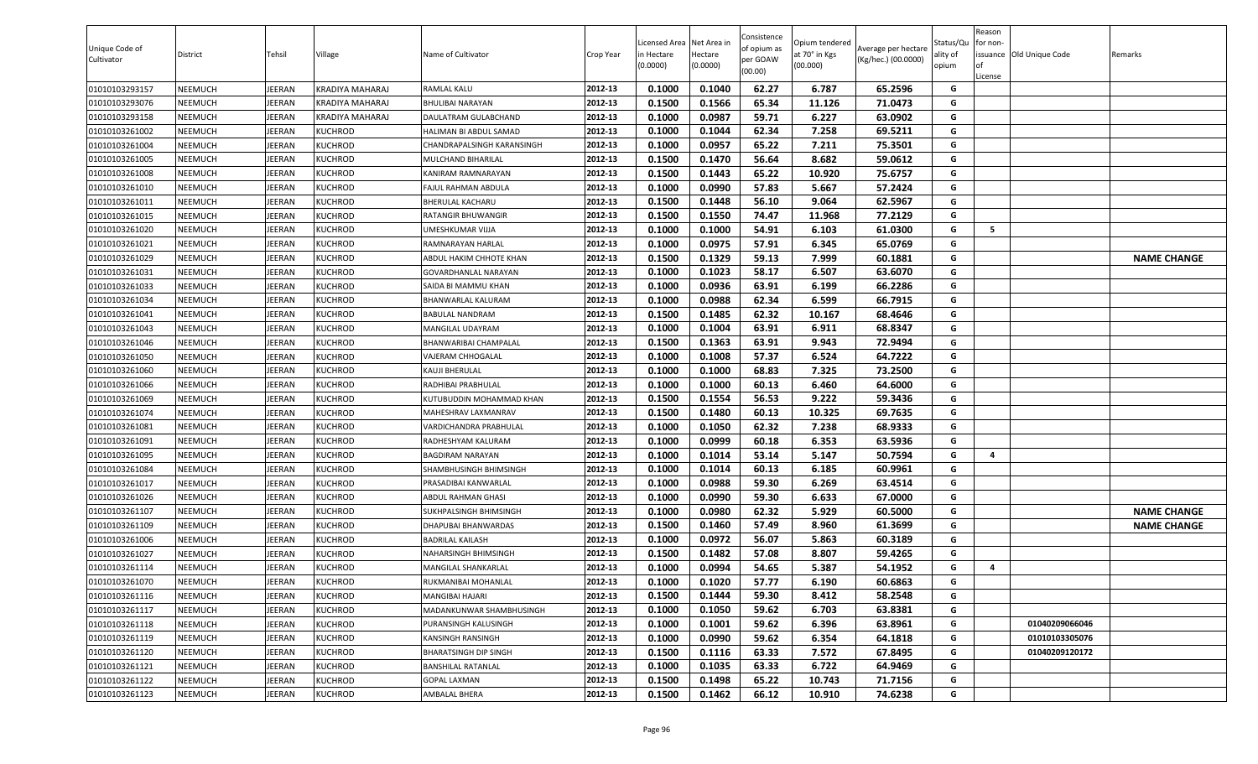| Unique Code of<br>Cultivator | District | Tehsil        | Village         | Name of Cultivator           | Crop Year | .icensed Area<br>in Hectare<br>(0.0000) | Net Area in<br>Hectare<br>(0.0000) | Consistence<br>of opium as<br>per GOAW<br>(00.00) | Opium tendered<br>at 70° in Kgs<br>(00.000) | Average per hectare<br>(Kg/hec.) (00.0000) | Status/Qu<br>ality of<br>opium | Reason<br>for non-<br><b>of</b><br>License | issuance Old Unique Code | Remarks            |
|------------------------------|----------|---------------|-----------------|------------------------------|-----------|-----------------------------------------|------------------------------------|---------------------------------------------------|---------------------------------------------|--------------------------------------------|--------------------------------|--------------------------------------------|--------------------------|--------------------|
| 01010103293157               | NEEMUCH  | <b>IEERAN</b> | KRADIYA MAHARAJ | RAMLAL KALU                  | 2012-13   | 0.1000                                  | 0.1040                             | 62.27                                             | 6.787                                       | 65.2596                                    | G                              |                                            |                          |                    |
| 01010103293076               | NEEMUCH  | <b>IEERAN</b> | KRADIYA MAHARAJ | <b>BHULIBAI NARAYAN</b>      | 2012-13   | 0.1500                                  | 0.1566                             | 65.34                                             | 11.126                                      | 71.0473                                    | G                              |                                            |                          |                    |
| 01010103293158               | NEEMUCH  | <b>IEERAN</b> | KRADIYA MAHARAJ | DAULATRAM GULABCHAND         | 2012-13   | 0.1000                                  | 0.0987                             | 59.71                                             | 6.227                                       | 63.0902                                    | G                              |                                            |                          |                    |
| 01010103261002               | NEEMUCH  | EERAN         | KUCHROD         | HALIMAN BI ABDUL SAMAD       | 2012-13   | 0.1000                                  | 0.1044                             | 62.34                                             | 7.258                                       | 69.5211                                    | G                              |                                            |                          |                    |
| 01010103261004               | NEEMUCH  | EERAN         | KUCHROD         | CHANDRAPALSINGH KARANSINGH   | 2012-13   | 0.1000                                  | 0.0957                             | 65.22                                             | 7.211                                       | 75.3501                                    | G                              |                                            |                          |                    |
| 01010103261005               | NEEMUCH  | <b>IEERAN</b> | KUCHROD         | MULCHAND BIHARILAL           | 2012-13   | 0.1500                                  | 0.1470                             | 56.64                                             | 8.682                                       | 59.0612                                    | G                              |                                            |                          |                    |
| 01010103261008               | NEEMUCH  | <b>IEERAN</b> | KUCHROD         | KANIRAM RAMNARAYAN           | 2012-13   | 0.1500                                  | 0.1443                             | 65.22                                             | 10.920                                      | 75.6757                                    | G                              |                                            |                          |                    |
| 01010103261010               | NEEMUCH  | JEERAN        | KUCHROD         | FAJUL RAHMAN ABDULA          | 2012-13   | 0.1000                                  | 0.0990                             | 57.83                                             | 5.667                                       | 57.2424                                    | G                              |                                            |                          |                    |
| 01010103261011               | NEEMUCH  | JEERAN        | KUCHROD         | BHERULAL KACHARU             | 2012-13   | 0.1500                                  | 0.1448                             | 56.10                                             | 9.064                                       | 62.5967                                    | G                              |                                            |                          |                    |
| 01010103261015               | NEEMUCH  | <b>IEERAN</b> | KUCHROD         | RATANGIR BHUWANGIR           | 2012-13   | 0.1500                                  | 0.1550                             | 74.47                                             | 11.968                                      | 77.2129                                    | G                              |                                            |                          |                    |
| 01010103261020               | NEEMUCH  | <b>IEERAN</b> | KUCHROD         | JMESHKUMAR VIJJA             | 2012-13   | 0.1000                                  | 0.1000                             | 54.91                                             | 6.103                                       | 61.0300                                    | G                              | 5                                          |                          |                    |
| 01010103261021               | NEEMUCH  | <b>IEERAN</b> | KUCHROD         | RAMNARAYAN HARLAL            | 2012-13   | 0.1000                                  | 0.0975                             | 57.91                                             | 6.345                                       | 65.0769                                    | G                              |                                            |                          |                    |
| 01010103261029               | NEEMUCH  | <b>IEERAN</b> | KUCHROD         | ABDUL HAKIM CHHOTE KHAN      | 2012-13   | 0.1500                                  | 0.1329                             | 59.13                                             | 7.999                                       | 60.1881                                    | G                              |                                            |                          | <b>NAME CHANGE</b> |
| 01010103261031               | NEEMUCH  | <b>IEERAN</b> | KUCHROD         | <b>GOVARDHANLAL NARAYAN</b>  | 2012-13   | 0.1000                                  | 0.1023                             | 58.17                                             | 6.507                                       | 63.6070                                    | G                              |                                            |                          |                    |
| 01010103261033               | NEEMUCH  | <b>IEERAN</b> | <b>KUCHROD</b>  | SAIDA BI MAMMU KHAN          | 2012-13   | 0.1000                                  | 0.0936                             | 63.91                                             | 6.199                                       | 66.2286                                    | G                              |                                            |                          |                    |
| 01010103261034               | NEEMUCH  | JEERAN        | <b>KUCHROD</b>  | BHANWARLAL KALURAM           | 2012-13   | 0.1000                                  | 0.0988                             | 62.34                                             | 6.599                                       | 66.7915                                    | G                              |                                            |                          |                    |
| 01010103261041               | NEEMUCH  | JEERAN        | KUCHROD         | BABULAL NANDRAM              | 2012-13   | 0.1500                                  | 0.1485                             | 62.32                                             | 10.167                                      | 68.4646                                    | G                              |                                            |                          |                    |
| 01010103261043               | NEEMUCH  | <b>IEERAN</b> | KUCHROD         | MANGILAL UDAYRAM             | 2012-13   | 0.1000                                  | 0.1004                             | 63.91                                             | 6.911                                       | 68.8347                                    | G                              |                                            |                          |                    |
| 01010103261046               | NEEMUCH  | <b>IEERAN</b> | KUCHROD         | BHANWARIBAI CHAMPALAL        | 2012-13   | 0.1500                                  | 0.1363                             | 63.91                                             | 9.943                                       | 72.9494                                    | G                              |                                            |                          |                    |
| 01010103261050               | NEEMUCH  | EERAN         | KUCHROD         | VAJERAM CHHOGALAL            | 2012-13   | 0.1000                                  | 0.1008                             | 57.37                                             | 6.524                                       | 64.7222                                    | G                              |                                            |                          |                    |
| 01010103261060               | NEEMUCH  | <b>IEERAN</b> | KUCHROD         | <b><i>CAUJI BHERULAL</i></b> | 2012-13   | 0.1000                                  | 0.1000                             | 68.83                                             | 7.325                                       | 73.2500                                    | G                              |                                            |                          |                    |
| 01010103261066               | NEEMUCH  | EERAN         | KUCHROD         | RADHIBAI PRABHULAL           | 2012-13   | 0.1000                                  | 0.1000                             | 60.13                                             | 6.460                                       | 64.6000                                    | G                              |                                            |                          |                    |
| 01010103261069               | NEEMUCH  | <b>IEERAN</b> | KUCHROD         | KUTUBUDDIN MOHAMMAD KHAN     | 2012-13   | 0.1500                                  | 0.1554                             | 56.53                                             | 9.222                                       | 59.3436                                    | G                              |                                            |                          |                    |
| 01010103261074               | NEEMUCH  | <b>IEERAN</b> | KUCHROD         | MAHESHRAV LAXMANRAV          | 2012-13   | 0.1500                                  | 0.1480                             | 60.13                                             | 10.325                                      | 69.7635                                    | G                              |                                            |                          |                    |
| 01010103261081               | NEEMUCH  | JEERAN        | KUCHROD         | VARDICHANDRA PRABHULAL       | 2012-13   | 0.1000                                  | 0.1050                             | 62.32                                             | 7.238                                       | 68.9333                                    | G                              |                                            |                          |                    |
| 01010103261091               | NEEMUCH  | <b>IEERAN</b> | KUCHROD         | RADHESHYAM KALURAM           | 2012-13   | 0.1000                                  | 0.0999                             | 60.18                                             | 6.353                                       | 63.5936                                    | G                              |                                            |                          |                    |
| 01010103261095               | NEEMUCH  | <b>IEERAN</b> | KUCHROD         | BAGDIRAM NARAYAN             | 2012-13   | 0.1000                                  | 0.1014                             | 53.14                                             | 5.147                                       | 50.7594                                    | G                              | 4                                          |                          |                    |
| 01010103261084               | NEEMUCH  | EERAN         | KUCHROD         | SHAMBHUSINGH BHIMSINGH       | 2012-13   | 0.1000                                  | 0.1014                             | 60.13                                             | 6.185                                       | 60.9961                                    | G                              |                                            |                          |                    |
| 01010103261017               | NEEMUCH  | <b>IEERAN</b> | KUCHROD         | PRASADIBAI KANWARLAL         | 2012-13   | 0.1000                                  | 0.0988                             | 59.30                                             | 6.269                                       | 63.4514                                    | G                              |                                            |                          |                    |
| 01010103261026               | NEEMUCH  | <b>IEERAN</b> | KUCHROD         | ABDUL RAHMAN GHASI           | 2012-13   | 0.1000                                  | 0.0990                             | 59.30                                             | 6.633                                       | 67.0000                                    | G                              |                                            |                          |                    |
| 01010103261107               | NEEMUCH  | <b>IEERAN</b> | KUCHROD         | SUKHPALSINGH BHIMSINGH       | 2012-13   | 0.1000                                  | 0.0980                             | 62.32                                             | 5.929                                       | 60.5000                                    | G                              |                                            |                          | <b>NAME CHANGE</b> |
| 01010103261109               | NEEMUCH  | <b>IEERAN</b> | KUCHROD         | DHAPUBAI BHANWARDAS          | 2012-13   | 0.1500                                  | 0.1460                             | 57.49                                             | 8.960                                       | 61.3699                                    | G                              |                                            |                          | <b>NAME CHANGE</b> |
| 01010103261006               | NEEMUCH  | <b>IEERAN</b> | KUCHROD         | <b>BADRILAL KAILASH</b>      | 2012-13   | 0.1000                                  | 0.0972                             | 56.07                                             | 5.863                                       | 60.3189                                    | G                              |                                            |                          |                    |
| 01010103261027               | NEEMUCH  | <b>IEERAN</b> | KUCHROD         | NAHARSINGH BHIMSINGH         | 2012-13   | 0.1500                                  | 0.1482                             | 57.08                                             | 8.807                                       | 59.4265                                    | G                              |                                            |                          |                    |
| 01010103261114               | NEEMUCH  | <b>IEERAN</b> | KUCHROD         | MANGILAL SHANKARLAL          | 2012-13   | 0.1000                                  | 0.0994                             | 54.65                                             | 5.387                                       | 54.1952                                    | G                              | 4                                          |                          |                    |
| 01010103261070               | NEEMUCH  | JEERAN        | KUCHROD         | RUKMANIBAI MOHANLAL          | 2012-13   | 0.1000                                  | 0.1020                             | 57.77                                             | 6.190                                       | 60.6863                                    | G                              |                                            |                          |                    |
| 01010103261116               | NEEMUCH  | JEERAN        | KUCHROD         | MANGIBAI HAJARI              | 2012-13   | 0.1500                                  | 0.1444                             | 59.30                                             | 8.412                                       | 58.2548                                    | G                              |                                            |                          |                    |
| 01010103261117               | NEEMUCH  | <b>IEERAN</b> | KUCHROD         | MADANKUNWAR SHAMBHUSINGH     | 2012-13   | 0.1000                                  | 0.1050                             | 59.62                                             | 6.703                                       | 63.8381                                    | G                              |                                            |                          |                    |
| 01010103261118               | NEEMUCH  | JEERAN        | <b>KUCHROD</b>  | PURANSINGH KALUSINGH         | 2012-13   | 0.1000                                  | 0.1001                             | 59.62                                             | 6.396                                       | 63.8961                                    | G                              |                                            | 01040209066046           |                    |
| 01010103261119               | NEEMUCH  | JEERAN        | <b>KUCHROD</b>  | KANSINGH RANSINGH            | 2012-13   | 0.1000                                  | 0.0990                             | 59.62                                             | 6.354                                       | 64.1818                                    | G                              |                                            | 01010103305076           |                    |
| 01010103261120               | NEEMUCH  | <b>IEERAN</b> | <b>KUCHROD</b>  | <b>BHARATSINGH DIP SINGH</b> | 2012-13   | 0.1500                                  | 0.1116                             | 63.33                                             | 7.572                                       | 67.8495                                    | G                              |                                            | 01040209120172           |                    |
| 01010103261121               | NEEMUCH  | JEERAN        | KUCHROD         | BANSHILAL RATANLAL           | 2012-13   | 0.1000                                  | 0.1035                             | 63.33                                             | 6.722                                       | 64.9469                                    | G                              |                                            |                          |                    |
| 01010103261122               | NEEMUCH  | JEERAN        | <b>KUCHROD</b>  | GOPAL LAXMAN                 | 2012-13   | 0.1500                                  | 0.1498                             | 65.22                                             | 10.743                                      | 71.7156                                    | G                              |                                            |                          |                    |
| 01010103261123               | NEEMUCH  | JEERAN        | KUCHROD         | AMBALAL BHERA                | 2012-13   | 0.1500                                  | 0.1462                             | 66.12                                             | 10.910                                      | 74.6238                                    | G                              |                                            |                          |                    |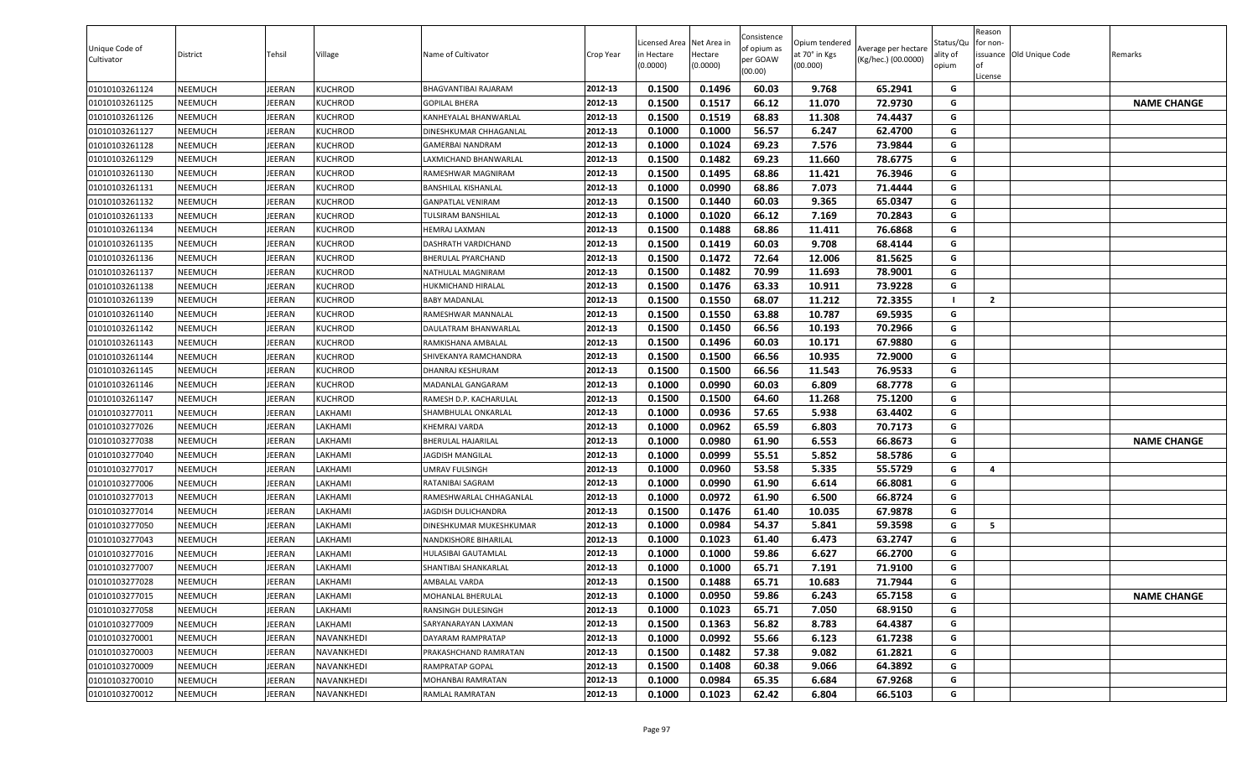| Unique Code of<br>Cultivator | District | Tehsil        | Village       | Name of Cultivator         | Crop Year | .icensed Area<br>n Hectare<br>(0.0000) | Net Area in<br>Hectare<br>(0.0000) | Consistence<br>of opium as<br>per GOAW<br>(00.00) | Opium tendered<br>at 70° in Kgs<br>(00.000) | Average per hectare<br>(Kg/hec.) (00.0000) | Status/Qu<br>ality of<br>opium | Reason<br>for non-<br>0f<br>License | issuance Old Unique Code | Remarks            |
|------------------------------|----------|---------------|---------------|----------------------------|-----------|----------------------------------------|------------------------------------|---------------------------------------------------|---------------------------------------------|--------------------------------------------|--------------------------------|-------------------------------------|--------------------------|--------------------|
| 01010103261124               | NEEMUCH  | <b>IEERAN</b> | KUCHROD       | BHAGVANTIBAI RAJARAM       | 2012-13   | 0.1500                                 | 0.1496                             | 60.03                                             | 9.768                                       | 65.2941                                    | G                              |                                     |                          |                    |
| 01010103261125               | NEEMUCH  | EERAN         | KUCHROD       | <b>GOPILAL BHERA</b>       | 2012-13   | 0.1500                                 | 0.1517                             | 66.12                                             | 11.070                                      | 72.9730                                    | G                              |                                     |                          | <b>NAME CHANGE</b> |
| 01010103261126               | NEEMUCH  | EERAN         | KUCHROD       | KANHEYALAL BHANWARLAL      | 2012-13   | 0.1500                                 | 0.1519                             | 68.83                                             | 11.308                                      | 74.4437                                    | G                              |                                     |                          |                    |
| 01010103261127               | NEEMUCH  | EERAN         | KUCHROD       | )INESHKUMAR CHHAGANLAL     | 2012-13   | 0.1000                                 | 0.1000                             | 56.57                                             | 6.247                                       | 62.4700                                    | G                              |                                     |                          |                    |
| 01010103261128               | NEEMUCH  | EERAN         | KUCHROD       | GAMERBAI NANDRAM           | 2012-13   | 0.1000                                 | 0.1024                             | 69.23                                             | 7.576                                       | 73.9844                                    | G                              |                                     |                          |                    |
| 01010103261129               | NEEMUCH  | <b>IEERAN</b> | KUCHROD       | AXMICHAND BHANWARLAL       | 2012-13   | 0.1500                                 | 0.1482                             | 69.23                                             | 11.660                                      | 78.6775                                    | G                              |                                     |                          |                    |
| 01010103261130               | NEEMUCH  | <b>IEERAN</b> | KUCHROD       | RAMESHWAR MAGNIRAM         | 2012-13   | 0.1500                                 | 0.1495                             | 68.86                                             | 11.421                                      | 76.3946                                    | G                              |                                     |                          |                    |
| 01010103261131               | NEEMUCH  | JEERAN        | KUCHROD       | BANSHILAL KISHANLAL        | 2012-13   | 0.1000                                 | 0.0990                             | 68.86                                             | 7.073                                       | 71.4444                                    | G                              |                                     |                          |                    |
| 01010103261132               | NEEMUCH  | JEERAN        | KUCHROD       | <b>GANPATLAL VENIRAM</b>   | 2012-13   | 0.1500                                 | 0.1440                             | 60.03                                             | 9.365                                       | 65.0347                                    | G                              |                                     |                          |                    |
| 01010103261133               | NEEMUCH  | <b>IEERAN</b> | KUCHROD       | TULSIRAM BANSHILAL         | 2012-13   | 0.1000                                 | 0.1020                             | 66.12                                             | 7.169                                       | 70.2843                                    | G                              |                                     |                          |                    |
| 01010103261134               | NEEMUCH  | <b>IEERAN</b> | KUCHROD       | <b>IEMRAJ LAXMAN</b>       | 2012-13   | 0.1500                                 | 0.1488                             | 68.86                                             | 11.411                                      | 76.6868                                    | G                              |                                     |                          |                    |
| 01010103261135               | NEEMUCH  | <b>IEERAN</b> | KUCHROD       | <b>DASHRATH VARDICHAND</b> | 2012-13   | 0.1500                                 | 0.1419                             | 60.03                                             | 9.708                                       | 68.4144                                    | G                              |                                     |                          |                    |
| 01010103261136               | NEEMUCH  | <b>IEERAN</b> | KUCHROD       | BHERULAL PYARCHAND         | 2012-13   | 0.1500                                 | 0.1472                             | 72.64                                             | 12.006                                      | 81.5625                                    | G                              |                                     |                          |                    |
| 01010103261137               | NEEMUCH  | <b>IEERAN</b> | KUCHROD       | NATHULAL MAGNIRAM          | 2012-13   | 0.1500                                 | 0.1482                             | 70.99                                             | 11.693                                      | 78.9001                                    | G                              |                                     |                          |                    |
| 01010103261138               | NEEMUCH  | <b>IEERAN</b> | KUCHROD       | HUKMICHAND HIRALAL         | 2012-13   | 0.1500                                 | 0.1476                             | 63.33                                             | 10.911                                      | 73.9228                                    | G                              |                                     |                          |                    |
| 01010103261139               | NEEMUCH  | JEERAN        | KUCHROD       | <b>BABY MADANLAL</b>       | 2012-13   | 0.1500                                 | 0.1550                             | 68.07                                             | 11.212                                      | 72.3355                                    |                                | $\overline{2}$                      |                          |                    |
| 01010103261140               | NEEMUCH  | JEERAN        | KUCHROD       | RAMESHWAR MANNALAL         | 2012-13   | 0.1500                                 | 0.1550                             | 63.88                                             | 10.787                                      | 69.5935                                    | G                              |                                     |                          |                    |
| 01010103261142               | NEEMUCH  | <b>IEERAN</b> | KUCHROD       | DAULATRAM BHANWARLAL       | 2012-13   | 0.1500                                 | 0.1450                             | 66.56                                             | 10.193                                      | 70.2966                                    | G                              |                                     |                          |                    |
| 01010103261143               | NEEMUCH  | <b>IEERAN</b> | KUCHROD       | RAMKISHANA AMBALAL         | 2012-13   | 0.1500                                 | 0.1496                             | 60.03                                             | 10.171                                      | 67.9880                                    | G                              |                                     |                          |                    |
| 01010103261144               | NEEMUCH  | EERAN         | KUCHROD       | SHIVEKANYA RAMCHANDRA      | 2012-13   | 0.1500                                 | 0.1500                             | 66.56                                             | 10.935                                      | 72.9000                                    | G                              |                                     |                          |                    |
| 01010103261145               | NEEMUCH  | <b>IEERAN</b> | KUCHROD       | )HANRAJ KESHURAM           | 2012-13   | 0.1500                                 | 0.1500                             | 66.56                                             | 11.543                                      | 76.9533                                    | G                              |                                     |                          |                    |
| 01010103261146               | NEEMUCH  | EERAN         | KUCHROD       | MADANLAL GANGARAM          | 2012-13   | 0.1000                                 | 0.0990                             | 60.03                                             | 6.809                                       | 68.7778                                    | G                              |                                     |                          |                    |
| 01010103261147               | NEEMUCH  | EERAN         | KUCHROD       | RAMESH D.P. KACHARULAL     | 2012-13   | 0.1500                                 | 0.1500                             | 64.60                                             | 11.268                                      | 75.1200                                    | G                              |                                     |                          |                    |
| 01010103277011               | NEEMUCH  | <b>IEERAN</b> | LAKHAMI       | SHAMBHULAL ONKARLAL        | 2012-13   | 0.1000                                 | 0.0936                             | 57.65                                             | 5.938                                       | 63.4402                                    | G                              |                                     |                          |                    |
| 01010103277026               | NEEMUCH  | JEERAN        | <b>AKHAMI</b> | KHEMRAJ VARDA              | 2012-13   | 0.1000                                 | 0.0962                             | 65.59                                             | 6.803                                       | 70.7173                                    | G                              |                                     |                          |                    |
| 01010103277038               | NEEMUCH  | <b>IEERAN</b> | LAKHAMI       | BHERULAL HAJARILAL         | 2012-13   | 0.1000                                 | 0.0980                             | 61.90                                             | 6.553                                       | 66.8673                                    | G                              |                                     |                          | <b>NAME CHANGE</b> |
| 01010103277040               | NEEMUCH  | <b>IEERAN</b> | <b>AKHAMI</b> | <b>AGDISH MANGILAL</b>     | 2012-13   | 0.1000                                 | 0.0999                             | 55.51                                             | 5.852                                       | 58.5786                                    | G                              |                                     |                          |                    |
| 01010103277017               | NEEMUCH  | EERAN         | <b>AKHAMI</b> | JMRAV FULSINGH             | 2012-13   | 0.1000                                 | 0.0960                             | 53.58                                             | 5.335                                       | 55.5729                                    | G                              | 4                                   |                          |                    |
| 01010103277006               | NEEMUCH  | <b>IEERAN</b> | <b>AKHAMI</b> | RATANIBAI SAGRAM           | 2012-13   | 0.1000                                 | 0.0990                             | 61.90                                             | 6.614                                       | 66.8081                                    | G                              |                                     |                          |                    |
| 01010103277013               | NEEMUCH  | <b>IEERAN</b> | <b>AKHAMI</b> | RAMESHWARLAL CHHAGANLAL    | 2012-13   | 0.1000                                 | 0.0972                             | 61.90                                             | 6.500                                       | 66.8724                                    | G                              |                                     |                          |                    |
| 01010103277014               | NEEMUCH  | <b>IEERAN</b> | <b>AKHAMI</b> | JAGDISH DULICHANDRA        | 2012-13   | 0.1500                                 | 0.1476                             | 61.40                                             | 10.035                                      | 67.9878                                    | G                              |                                     |                          |                    |
| 01010103277050               | NEEMUCH  | <b>IEERAN</b> | <b>AKHAMI</b> | DINESHKUMAR MUKESHKUMAR    | 2012-13   | 0.1000                                 | 0.0984                             | 54.37                                             | 5.841                                       | 59.3598                                    | G                              | 5                                   |                          |                    |
| 01010103277043               | NEEMUCH  | <b>IEERAN</b> | <b>AKHAMI</b> | NANDKISHORE BIHARILAL      | 2012-13   | 0.1000                                 | 0.1023                             | 61.40                                             | 6.473                                       | 63.2747                                    | G                              |                                     |                          |                    |
| 01010103277016               | NEEMUCH  | <b>IEERAN</b> | <b>AKHAMI</b> | HULASIBAI GAUTAMLAL        | 2012-13   | 0.1000                                 | 0.1000                             | 59.86                                             | 6.627                                       | 66.2700                                    | G                              |                                     |                          |                    |
| 01010103277007               | NEEMUCH  | EERAN         | <b>AKHAMI</b> | SHANTIBAI SHANKARLAL       | 2012-13   | 0.1000                                 | 0.1000                             | 65.71                                             | 7.191                                       | 71.9100                                    | G                              |                                     |                          |                    |
| 01010103277028               | NEEMUCH  | JEERAN        | <b>AKHAMI</b> | AMBALAL VARDA              | 2012-13   | 0.1500                                 | 0.1488                             | 65.71                                             | 10.683                                      | 71.7944                                    | G                              |                                     |                          |                    |
| 01010103277015               | NEEMUCH  | JEERAN        | LAKHAMI       | MOHANLAL BHERULAL          | 2012-13   | 0.1000                                 | 0.0950                             | 59.86                                             | 6.243                                       | 65.7158                                    | G                              |                                     |                          | <b>NAME CHANGE</b> |
| 01010103277058               | NEEMUCH  | <b>IEERAN</b> | AKHAMI        | RANSINGH DULESINGH         | 2012-13   | 0.1000                                 | 0.1023                             | 65.71                                             | 7.050                                       | 68.9150                                    | G                              |                                     |                          |                    |
| 01010103277009               | NEEMUCH  | JEERAN        | LAKHAMI       | SARYANARAYAN LAXMAN        | 2012-13   | 0.1500                                 | 0.1363                             | 56.82                                             | 8.783                                       | 64.4387                                    | G                              |                                     |                          |                    |
| 01010103270001               | NEEMUCH  | JEERAN        | NAVANKHEDI    | DAYARAM RAMPRATAP          | 2012-13   | 0.1000                                 | 0.0992                             | 55.66                                             | 6.123                                       | 61.7238                                    | G                              |                                     |                          |                    |
| 01010103270003               | NEEMUCH  | JEERAN        | NAVANKHEDI    | PRAKASHCHAND RAMRATAN      | 2012-13   | 0.1500                                 | 0.1482                             | 57.38                                             | 9.082                                       | 61.2821                                    | G                              |                                     |                          |                    |
| 01010103270009               | NEEMUCH  | JEERAN        | NAVANKHEDI    | RAMPRATAP GOPAL            | 2012-13   | 0.1500                                 | 0.1408                             | 60.38                                             | 9.066                                       | 64.3892                                    | G                              |                                     |                          |                    |
| 01010103270010               | NEEMUCH  | JEERAN        | NAVANKHEDI    | MOHANBAI RAMRATAN          | 2012-13   | 0.1000                                 | 0.0984                             | 65.35                                             | 6.684                                       | 67.9268                                    | G                              |                                     |                          |                    |
| 01010103270012               | NEEMUCH  | JEERAN        | NAVANKHEDI    | RAMLAL RAMRATAN            | 2012-13   | 0.1000                                 | 0.1023                             | 62.42                                             | 6.804                                       | 66.5103                                    | G                              |                                     |                          |                    |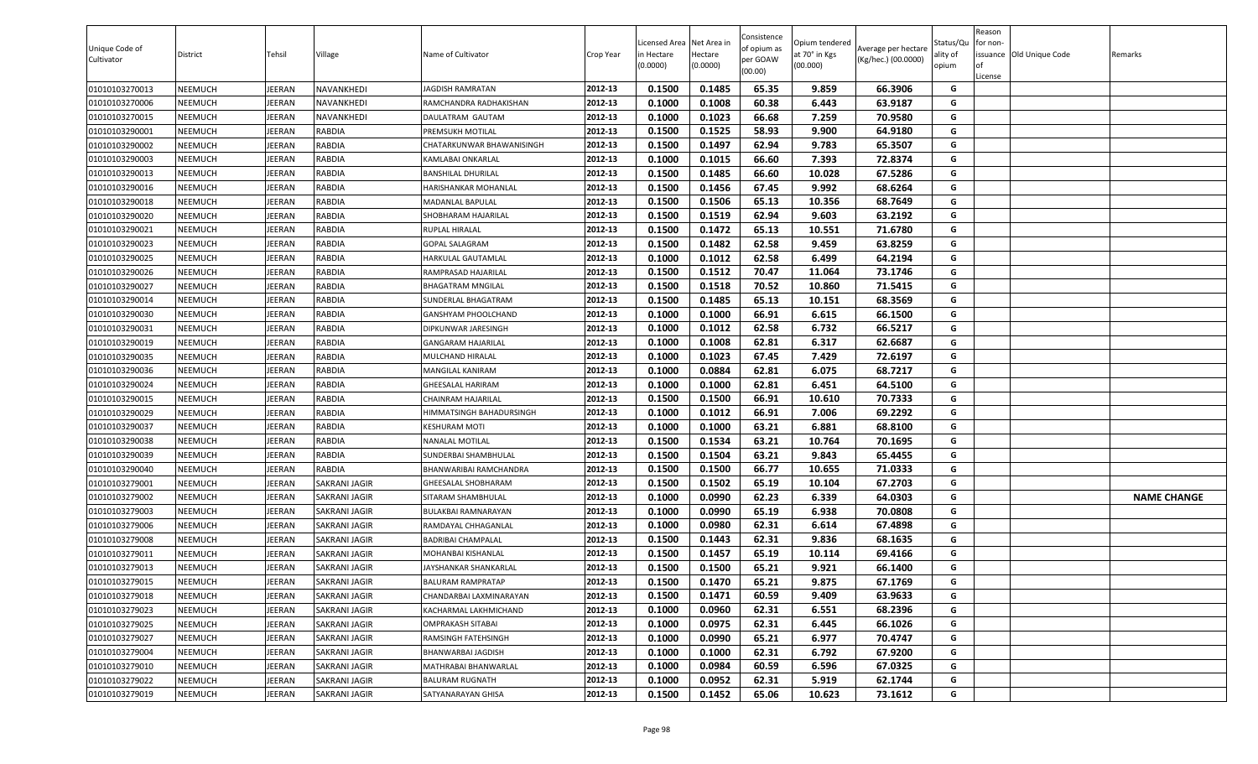| 0.1500<br>0.1485<br>65.35<br>01010103270013<br><b>NEEMUCH</b><br>JEERAN<br>NAVANKHEDI<br>2012-13<br>9.859<br>66.3906<br>G<br>JAGDISH RAMRATAN<br>01010103270006<br>0.1000<br>0.1008<br>60.38<br>6.443<br>63.9187<br>NEEMUCH<br>JEERAN<br>NAVANKHEDI<br>2012-13<br>G<br>RAMCHANDRA RADHAKISHAN<br>66.68<br>01010103270015<br><b>NEEMUCH</b><br>JEERAN<br>NAVANKHEDI<br>2012-13<br>0.1000<br>0.1023<br>7.259<br>70.9580<br>G<br>DAULATRAM GAUTAM<br>0.1500<br>0.1525<br>58.93<br>9.900<br>64.9180<br>01010103290001<br>NEEMUCH<br>JEERAN<br>RABDIA<br>2012-13<br>G<br>PREMSUKH MOTILAL<br>62.94<br>RABDIA<br>0.1500<br>0.1497<br>9.783<br>65.3507<br>G<br>01010103290002<br><b>NEEMUCH</b><br>JEERAN<br>2012-13<br>CHATARKUNWAR BHAWANISINGH<br>2012-13<br>66.60<br>7.393<br>72.8374<br>G<br>01010103290003<br><b>NEEMUCH</b><br><b>JEERAN</b><br>RABDIA<br>0.1000<br>0.1015<br>KAMLABAI ONKARLAL<br>G<br>RABDIA<br>2012-13<br>0.1500<br>0.1485<br>66.60<br>10.028<br>67.5286<br>01010103290013<br><b>NEEMUCH</b><br>JEERAN<br><b>BANSHILAL DHURILAL</b><br>G<br>2012-13<br>0.1500<br>0.1456<br>67.45<br>9.992<br>68.6264<br>01010103290016<br><b>NEEMUCH</b><br>JEERAN<br><b>RABDIA</b><br>HARISHANKAR MOHANLAL<br>01010103290018<br>2012-13<br>0.1500<br>0.1506<br>65.13<br>10.356<br>68.7649<br>G<br><b>NEEMUCH</b><br>JEERAN<br><b>RABDIA</b><br>MADANLAL BAPULAL<br>01010103290020<br><b>JEERAN</b><br>RABDIA<br>2012-13<br>0.1500<br>0.1519<br>62.94<br>9.603<br>63.2192<br>G<br>NEEMUCH<br>SHOBHARAM HAJARILAL<br>0.1472<br>65.13<br>10.551<br>71.6780<br>01010103290021<br><b>NEEMUCH</b><br>JEERAN<br><b>RABDIA</b><br>2012-13<br>0.1500<br>G<br>RUPLAL HIRALAL<br>0.1482<br>62.58<br>G<br>01010103290023<br>JEERAN<br>RABDIA<br>2012-13<br>0.1500<br>9.459<br>63.8259<br>NEEMUCH<br>GOPAL SALAGRAM<br>62.58<br><b>JEERAN</b><br>RABDIA<br>0.1000<br>0.1012<br>6.499<br>64.2194<br>G<br>01010103290025<br><b>NEEMUCH</b><br>2012-13<br>HARKULAL GAUTAMLAL<br>0.1512<br>70.47<br>11.064<br>73.1746<br>01010103290026<br><b>NEEMUCH</b><br>JEERAN<br>RABDIA<br>2012-13<br>0.1500<br>G<br>RAMPRASAD HAJARILAL<br>01010103290027<br><b>NEEMUCH</b><br>JEERAN<br>RABDIA<br>0.1500<br>0.1518<br>70.52<br>10.860<br>71.5415<br>G<br>2012-13<br><b>BHAGATRAM MNGILAL</b><br>01010103290014<br>0.1500<br>0.1485<br>65.13<br>68.3569<br>G<br><b>NEEMUCH</b><br>JEERAN<br>RABDIA<br>2012-13<br>10.151<br>SUNDERLAL BHAGATRAM<br>0.1000<br>0.1000<br>66.91<br>6.615<br>66.1500<br>01010103290030<br>RABDIA<br>2012-13<br>G<br><b>NEEMUCH</b><br>JEERAN<br>GANSHYAM PHOOLCHAND<br>6.732<br>66.5217<br>01010103290031<br>2012-13<br>0.1000<br>0.1012<br>62.58<br>G<br><b>NEEMUCH</b><br>JEERAN<br>RABDIA<br>DIPKUNWAR JARESINGH<br>01010103290019<br>JEERAN<br>RABDIA<br>2012-13<br>0.1000<br>0.1008<br>62.81<br>6.317<br>62.6687<br>G<br><b>NEEMUCH</b><br>GANGARAM HAJARILAL<br>G<br>2012-13<br>01010103290035<br><b>NEEMUCH</b><br>JEERAN<br>RABDIA<br>MULCHAND HIRALAL<br>0.1000<br>0.1023<br>67.45<br>7.429<br>72.6197<br>0.1000<br>0.0884<br>62.81<br>6.075<br>68.7217<br>01010103290036<br>NEEMUCH<br>JEERAN<br>RABDIA<br>2012-13<br>G<br>MANGILAL KANIRAM<br>62.81<br>6.451<br>0.1000<br>0.1000<br>64.5100<br>01010103290024<br><b>NEEMUCH</b><br>JEERAN<br>RABDIA<br>2012-13<br>G<br>GHEESALAL HARIRAM<br>01010103290015<br><b>NEEMUCH</b><br>JEERAN<br>RABDIA<br>2012-13<br>0.1500<br>0.1500<br>66.91<br>10.610<br>70.7333<br>G<br>CHAINRAM HAJARILAL<br>66.91<br>7.006<br>69.2292<br>01010103290029<br><b>NEEMUCH</b><br>JEERAN<br>RABDIA<br>2012-13<br>0.1000<br>0.1012<br>G<br>HIMMATSINGH BAHADURSINGH<br>0.1000<br>0.1000<br>63.21<br>6.881<br>01010103290037<br><b>NEEMUCH</b><br>JEERAN<br>RABDIA<br>2012-13<br>68.8100<br>G<br><b>KESHURAM MOTI</b><br>0.1500<br>0.1534<br>63.21<br>10.764<br>70.1695<br>01010103290038<br><b>NEEMUCH</b><br>JEERAN<br>RABDIA<br>2012-13<br>G<br>NANALAL MOTILAL<br>01010103290039<br>JEERAN<br>RABDIA<br>2012-13<br>0.1500<br>0.1504<br>63.21<br>9.843<br>65.4455<br>G<br><b>NEEMUCH</b><br>SUNDERBAI SHAMBHULAL<br>66.77<br>10.655<br>71.0333<br>01010103290040<br><b>NEEMUCH</b><br>JEERAN<br>RABDIA<br>2012-13<br>0.1500<br>0.1500<br>G<br>BHANWARIBAI RAMCHANDRA<br>G<br>2012-13<br>0.1500<br>0.1502<br>65.19<br>67.2703<br>01010103279001<br>JEERAN<br>10.104<br>NEEMUCH<br>SAKRANI JAGIR<br>GHEESALAL SHOBHARAM<br>62.23<br>G<br>2012-13<br>0.1000<br>0.0990<br>6.339<br>64.0303<br>01010103279002<br><b>NEEMUCH</b><br>JEERAN<br>SITARAM SHAMBHULAL<br><b>NAME CHANGE</b><br>SAKRANI JAGIR<br>2012-13<br>0.0990<br>65.19<br>6.938<br>G<br>01010103279003<br><b>NEEMUCH</b><br>JEERAN<br>0.1000<br>70.0808<br>SAKRANI JAGIR<br>BULAKBAI RAMNARAYAN<br>01010103279006<br><b>NEEMUCH</b><br>JEERAN<br>2012-13<br>0.1000<br>0.0980<br>62.31<br>6.614<br>67.4898<br>G<br>SAKRANI JAGIR<br>RAMDAYAL CHHAGANLAL<br>0.1500<br>0.1443<br>62.31<br>9.836<br>68.1635<br>G<br>01010103279008<br><b>NEEMUCH</b><br>JEERAN<br>2012-13<br>SAKRANI JAGIR<br><b>BADRIBAI CHAMPALAL</b><br>0.1500<br>0.1457<br>65.19<br>10.114<br>01010103279011<br><b>NEEMUCH</b><br>JEERAN<br>2012-13<br>69.4166<br>G<br>SAKRANI JAGIR<br>MOHANBAI KISHANLAL<br>01010103279013<br>0.1500<br>9.921<br><b>JEERAN</b><br>0.1500<br>65.21<br>66.1400<br>G<br><b>NEEMUCH</b><br>SAKRANI JAGIR<br>2012-13<br>JAYSHANKAR SHANKARLAL<br>01010103279015<br><b>NEEMUCH</b><br>JEERAN<br>2012-13<br>0.1500<br>0.1470<br>65.21<br>9.875<br>67.1769<br>G<br>SAKRANI JAGIR<br><b>BALURAM RAMPRATAP</b><br>JEERAN<br>2012-13<br>0.1500<br>0.1471<br>60.59<br>63.9633<br>G<br>01010103279018<br><b>NEEMUCH</b><br>9.409<br>SAKRANI JAGIR<br>CHANDARBAI LAXMINARAYAN<br>0.1000<br>0.0960<br>62.31<br>6.551<br>68.2396<br>01010103279023<br><b>NEEMUCH</b><br>JEERAN<br>SAKRANI JAGIR<br>2012-13<br>G<br>KACHARMAL LAKHMICHAND<br>0.0975<br>62.31<br>66.1026<br>01010103279025<br>JEERAN<br>2012-13<br>0.1000<br>6.445<br>G<br><b>NEEMUCH</b><br>SAKRANI JAGIR<br>OMPRAKASH SITABAI<br>01010103279027<br>2012-13<br>0.1000<br>0.0990<br>65.21<br>6.977<br>70.4747<br><b>NEEMUCH</b><br>JEERAN<br><b>SAKRANI JAGIR</b><br>RAMSINGH FATEHSINGH<br>G<br>G<br>2012-13<br>62.31<br>6.792<br>01010103279004<br><b>NEEMUCH</b><br>JEERAN<br>SAKRANI JAGIR<br>BHANWARBAI JAGDISH<br>0.1000<br>0.1000<br>67.9200<br>01010103279010<br>2012-13<br>0.0984<br>60.59<br>6.596<br>67.0325<br>G<br><b>NEEMUCH</b><br>JEERAN<br>MATHRABAI BHANWARLAL<br>0.1000<br>SAKRANI JAGIR<br>01010103279022<br>2012-13<br>0.1000<br>0.0952<br>62.31<br>5.919<br>62.1744<br>G<br><b>NEEMUCH</b><br>JEERAN<br>SAKRANI JAGIR<br><b>BALURAM RUGNATH</b><br>01010103279019<br>JEERAN<br>2012-13<br>0.1500<br>0.1452<br>65.06<br>10.623<br>73.1612<br>G<br><b>NEEMUCH</b><br>SAKRANI JAGIR<br>SATYANARAYAN GHISA | Unique Code of<br>Cultivator | <b>District</b> | Tehsil | Village | Name of Cultivator | Crop Year | icensed Area<br>in Hectare<br>(0.0000) | Net Area in<br>Hectare<br>(0.0000) | Consistence<br>of opium as<br>per GOAW<br>(00.00) | Opium tendered<br>at 70° in Kgs<br>(00.000) | Average per hectare<br>(Kg/hec.) (00.0000) | Status/Qu<br>ality of<br>opium | Reason<br>for non-<br>lof<br>License | issuance Old Unique Code | Remarks |
|-----------------------------------------------------------------------------------------------------------------------------------------------------------------------------------------------------------------------------------------------------------------------------------------------------------------------------------------------------------------------------------------------------------------------------------------------------------------------------------------------------------------------------------------------------------------------------------------------------------------------------------------------------------------------------------------------------------------------------------------------------------------------------------------------------------------------------------------------------------------------------------------------------------------------------------------------------------------------------------------------------------------------------------------------------------------------------------------------------------------------------------------------------------------------------------------------------------------------------------------------------------------------------------------------------------------------------------------------------------------------------------------------------------------------------------------------------------------------------------------------------------------------------------------------------------------------------------------------------------------------------------------------------------------------------------------------------------------------------------------------------------------------------------------------------------------------------------------------------------------------------------------------------------------------------------------------------------------------------------------------------------------------------------------------------------------------------------------------------------------------------------------------------------------------------------------------------------------------------------------------------------------------------------------------------------------------------------------------------------------------------------------------------------------------------------------------------------------------------------------------------------------------------------------------------------------------------------------------------------------------------------------------------------------------------------------------------------------------------------------------------------------------------------------------------------------------------------------------------------------------------------------------------------------------------------------------------------------------------------------------------------------------------------------------------------------------------------------------------------------------------------------------------------------------------------------------------------------------------------------------------------------------------------------------------------------------------------------------------------------------------------------------------------------------------------------------------------------------------------------------------------------------------------------------------------------------------------------------------------------------------------------------------------------------------------------------------------------------------------------------------------------------------------------------------------------------------------------------------------------------------------------------------------------------------------------------------------------------------------------------------------------------------------------------------------------------------------------------------------------------------------------------------------------------------------------------------------------------------------------------------------------------------------------------------------------------------------------------------------------------------------------------------------------------------------------------------------------------------------------------------------------------------------------------------------------------------------------------------------------------------------------------------------------------------------------------------------------------------------------------------------------------------------------------------------------------------------------------------------------------------------------------------------------------------------------------------------------------------------------------------------------------------------------------------------------------------------------------------------------------------------------------------------------------------------------------------------------------------------------------------------------------------------------------------------------------------------------------------------------------------------------------------------------------------------------------------------------------------------------------------------------------------------------------------------------------------------------------------------------------------------------------------------------------------------------------------------------------------------------------------------------------------------------------------------------------------------------------------------------------------------------------------------------------------------------------------------------------------------------------------------------------------------------------------------------------------------------------------------------------------------------------------------------------------------------------------------------------------------------------------------------------------------------------------------------------------------------------------------------------------------------------------------------------------------------------------------------------------------------------------------------------------------------------------------------------------------------------------------------------------------------------------------------------------------------------------------------------------------------------------------------------------------|------------------------------|-----------------|--------|---------|--------------------|-----------|----------------------------------------|------------------------------------|---------------------------------------------------|---------------------------------------------|--------------------------------------------|--------------------------------|--------------------------------------|--------------------------|---------|
|                                                                                                                                                                                                                                                                                                                                                                                                                                                                                                                                                                                                                                                                                                                                                                                                                                                                                                                                                                                                                                                                                                                                                                                                                                                                                                                                                                                                                                                                                                                                                                                                                                                                                                                                                                                                                                                                                                                                                                                                                                                                                                                                                                                                                                                                                                                                                                                                                                                                                                                                                                                                                                                                                                                                                                                                                                                                                                                                                                                                                                                                                                                                                                                                                                                                                                                                                                                                                                                                                                                                                                                                                                                                                                                                                                                                                                                                                                                                                                                                                                                                                                                                                                                                                                                                                                                                                                                                                                                                                                                                                                                                                                                                                                                                                                                                                                                                                                                                                                                                                                                                                                                                                                                                                                                                                                                                                                                                                                                                                                                                                                                                                                                                                                                                                                                                                                                                                                                                                                                                                                                                                                                                                                                                                                                                                                                                                                                                                                                                                                                                                                                                                                                                                                                                                                                   |                              |                 |        |         |                    |           |                                        |                                    |                                                   |                                             |                                            |                                |                                      |                          |         |
|                                                                                                                                                                                                                                                                                                                                                                                                                                                                                                                                                                                                                                                                                                                                                                                                                                                                                                                                                                                                                                                                                                                                                                                                                                                                                                                                                                                                                                                                                                                                                                                                                                                                                                                                                                                                                                                                                                                                                                                                                                                                                                                                                                                                                                                                                                                                                                                                                                                                                                                                                                                                                                                                                                                                                                                                                                                                                                                                                                                                                                                                                                                                                                                                                                                                                                                                                                                                                                                                                                                                                                                                                                                                                                                                                                                                                                                                                                                                                                                                                                                                                                                                                                                                                                                                                                                                                                                                                                                                                                                                                                                                                                                                                                                                                                                                                                                                                                                                                                                                                                                                                                                                                                                                                                                                                                                                                                                                                                                                                                                                                                                                                                                                                                                                                                                                                                                                                                                                                                                                                                                                                                                                                                                                                                                                                                                                                                                                                                                                                                                                                                                                                                                                                                                                                                                   |                              |                 |        |         |                    |           |                                        |                                    |                                                   |                                             |                                            |                                |                                      |                          |         |
|                                                                                                                                                                                                                                                                                                                                                                                                                                                                                                                                                                                                                                                                                                                                                                                                                                                                                                                                                                                                                                                                                                                                                                                                                                                                                                                                                                                                                                                                                                                                                                                                                                                                                                                                                                                                                                                                                                                                                                                                                                                                                                                                                                                                                                                                                                                                                                                                                                                                                                                                                                                                                                                                                                                                                                                                                                                                                                                                                                                                                                                                                                                                                                                                                                                                                                                                                                                                                                                                                                                                                                                                                                                                                                                                                                                                                                                                                                                                                                                                                                                                                                                                                                                                                                                                                                                                                                                                                                                                                                                                                                                                                                                                                                                                                                                                                                                                                                                                                                                                                                                                                                                                                                                                                                                                                                                                                                                                                                                                                                                                                                                                                                                                                                                                                                                                                                                                                                                                                                                                                                                                                                                                                                                                                                                                                                                                                                                                                                                                                                                                                                                                                                                                                                                                                                                   |                              |                 |        |         |                    |           |                                        |                                    |                                                   |                                             |                                            |                                |                                      |                          |         |
|                                                                                                                                                                                                                                                                                                                                                                                                                                                                                                                                                                                                                                                                                                                                                                                                                                                                                                                                                                                                                                                                                                                                                                                                                                                                                                                                                                                                                                                                                                                                                                                                                                                                                                                                                                                                                                                                                                                                                                                                                                                                                                                                                                                                                                                                                                                                                                                                                                                                                                                                                                                                                                                                                                                                                                                                                                                                                                                                                                                                                                                                                                                                                                                                                                                                                                                                                                                                                                                                                                                                                                                                                                                                                                                                                                                                                                                                                                                                                                                                                                                                                                                                                                                                                                                                                                                                                                                                                                                                                                                                                                                                                                                                                                                                                                                                                                                                                                                                                                                                                                                                                                                                                                                                                                                                                                                                                                                                                                                                                                                                                                                                                                                                                                                                                                                                                                                                                                                                                                                                                                                                                                                                                                                                                                                                                                                                                                                                                                                                                                                                                                                                                                                                                                                                                                                   |                              |                 |        |         |                    |           |                                        |                                    |                                                   |                                             |                                            |                                |                                      |                          |         |
|                                                                                                                                                                                                                                                                                                                                                                                                                                                                                                                                                                                                                                                                                                                                                                                                                                                                                                                                                                                                                                                                                                                                                                                                                                                                                                                                                                                                                                                                                                                                                                                                                                                                                                                                                                                                                                                                                                                                                                                                                                                                                                                                                                                                                                                                                                                                                                                                                                                                                                                                                                                                                                                                                                                                                                                                                                                                                                                                                                                                                                                                                                                                                                                                                                                                                                                                                                                                                                                                                                                                                                                                                                                                                                                                                                                                                                                                                                                                                                                                                                                                                                                                                                                                                                                                                                                                                                                                                                                                                                                                                                                                                                                                                                                                                                                                                                                                                                                                                                                                                                                                                                                                                                                                                                                                                                                                                                                                                                                                                                                                                                                                                                                                                                                                                                                                                                                                                                                                                                                                                                                                                                                                                                                                                                                                                                                                                                                                                                                                                                                                                                                                                                                                                                                                                                                   |                              |                 |        |         |                    |           |                                        |                                    |                                                   |                                             |                                            |                                |                                      |                          |         |
|                                                                                                                                                                                                                                                                                                                                                                                                                                                                                                                                                                                                                                                                                                                                                                                                                                                                                                                                                                                                                                                                                                                                                                                                                                                                                                                                                                                                                                                                                                                                                                                                                                                                                                                                                                                                                                                                                                                                                                                                                                                                                                                                                                                                                                                                                                                                                                                                                                                                                                                                                                                                                                                                                                                                                                                                                                                                                                                                                                                                                                                                                                                                                                                                                                                                                                                                                                                                                                                                                                                                                                                                                                                                                                                                                                                                                                                                                                                                                                                                                                                                                                                                                                                                                                                                                                                                                                                                                                                                                                                                                                                                                                                                                                                                                                                                                                                                                                                                                                                                                                                                                                                                                                                                                                                                                                                                                                                                                                                                                                                                                                                                                                                                                                                                                                                                                                                                                                                                                                                                                                                                                                                                                                                                                                                                                                                                                                                                                                                                                                                                                                                                                                                                                                                                                                                   |                              |                 |        |         |                    |           |                                        |                                    |                                                   |                                             |                                            |                                |                                      |                          |         |
|                                                                                                                                                                                                                                                                                                                                                                                                                                                                                                                                                                                                                                                                                                                                                                                                                                                                                                                                                                                                                                                                                                                                                                                                                                                                                                                                                                                                                                                                                                                                                                                                                                                                                                                                                                                                                                                                                                                                                                                                                                                                                                                                                                                                                                                                                                                                                                                                                                                                                                                                                                                                                                                                                                                                                                                                                                                                                                                                                                                                                                                                                                                                                                                                                                                                                                                                                                                                                                                                                                                                                                                                                                                                                                                                                                                                                                                                                                                                                                                                                                                                                                                                                                                                                                                                                                                                                                                                                                                                                                                                                                                                                                                                                                                                                                                                                                                                                                                                                                                                                                                                                                                                                                                                                                                                                                                                                                                                                                                                                                                                                                                                                                                                                                                                                                                                                                                                                                                                                                                                                                                                                                                                                                                                                                                                                                                                                                                                                                                                                                                                                                                                                                                                                                                                                                                   |                              |                 |        |         |                    |           |                                        |                                    |                                                   |                                             |                                            |                                |                                      |                          |         |
|                                                                                                                                                                                                                                                                                                                                                                                                                                                                                                                                                                                                                                                                                                                                                                                                                                                                                                                                                                                                                                                                                                                                                                                                                                                                                                                                                                                                                                                                                                                                                                                                                                                                                                                                                                                                                                                                                                                                                                                                                                                                                                                                                                                                                                                                                                                                                                                                                                                                                                                                                                                                                                                                                                                                                                                                                                                                                                                                                                                                                                                                                                                                                                                                                                                                                                                                                                                                                                                                                                                                                                                                                                                                                                                                                                                                                                                                                                                                                                                                                                                                                                                                                                                                                                                                                                                                                                                                                                                                                                                                                                                                                                                                                                                                                                                                                                                                                                                                                                                                                                                                                                                                                                                                                                                                                                                                                                                                                                                                                                                                                                                                                                                                                                                                                                                                                                                                                                                                                                                                                                                                                                                                                                                                                                                                                                                                                                                                                                                                                                                                                                                                                                                                                                                                                                                   |                              |                 |        |         |                    |           |                                        |                                    |                                                   |                                             |                                            |                                |                                      |                          |         |
|                                                                                                                                                                                                                                                                                                                                                                                                                                                                                                                                                                                                                                                                                                                                                                                                                                                                                                                                                                                                                                                                                                                                                                                                                                                                                                                                                                                                                                                                                                                                                                                                                                                                                                                                                                                                                                                                                                                                                                                                                                                                                                                                                                                                                                                                                                                                                                                                                                                                                                                                                                                                                                                                                                                                                                                                                                                                                                                                                                                                                                                                                                                                                                                                                                                                                                                                                                                                                                                                                                                                                                                                                                                                                                                                                                                                                                                                                                                                                                                                                                                                                                                                                                                                                                                                                                                                                                                                                                                                                                                                                                                                                                                                                                                                                                                                                                                                                                                                                                                                                                                                                                                                                                                                                                                                                                                                                                                                                                                                                                                                                                                                                                                                                                                                                                                                                                                                                                                                                                                                                                                                                                                                                                                                                                                                                                                                                                                                                                                                                                                                                                                                                                                                                                                                                                                   |                              |                 |        |         |                    |           |                                        |                                    |                                                   |                                             |                                            |                                |                                      |                          |         |
|                                                                                                                                                                                                                                                                                                                                                                                                                                                                                                                                                                                                                                                                                                                                                                                                                                                                                                                                                                                                                                                                                                                                                                                                                                                                                                                                                                                                                                                                                                                                                                                                                                                                                                                                                                                                                                                                                                                                                                                                                                                                                                                                                                                                                                                                                                                                                                                                                                                                                                                                                                                                                                                                                                                                                                                                                                                                                                                                                                                                                                                                                                                                                                                                                                                                                                                                                                                                                                                                                                                                                                                                                                                                                                                                                                                                                                                                                                                                                                                                                                                                                                                                                                                                                                                                                                                                                                                                                                                                                                                                                                                                                                                                                                                                                                                                                                                                                                                                                                                                                                                                                                                                                                                                                                                                                                                                                                                                                                                                                                                                                                                                                                                                                                                                                                                                                                                                                                                                                                                                                                                                                                                                                                                                                                                                                                                                                                                                                                                                                                                                                                                                                                                                                                                                                                                   |                              |                 |        |         |                    |           |                                        |                                    |                                                   |                                             |                                            |                                |                                      |                          |         |
|                                                                                                                                                                                                                                                                                                                                                                                                                                                                                                                                                                                                                                                                                                                                                                                                                                                                                                                                                                                                                                                                                                                                                                                                                                                                                                                                                                                                                                                                                                                                                                                                                                                                                                                                                                                                                                                                                                                                                                                                                                                                                                                                                                                                                                                                                                                                                                                                                                                                                                                                                                                                                                                                                                                                                                                                                                                                                                                                                                                                                                                                                                                                                                                                                                                                                                                                                                                                                                                                                                                                                                                                                                                                                                                                                                                                                                                                                                                                                                                                                                                                                                                                                                                                                                                                                                                                                                                                                                                                                                                                                                                                                                                                                                                                                                                                                                                                                                                                                                                                                                                                                                                                                                                                                                                                                                                                                                                                                                                                                                                                                                                                                                                                                                                                                                                                                                                                                                                                                                                                                                                                                                                                                                                                                                                                                                                                                                                                                                                                                                                                                                                                                                                                                                                                                                                   |                              |                 |        |         |                    |           |                                        |                                    |                                                   |                                             |                                            |                                |                                      |                          |         |
|                                                                                                                                                                                                                                                                                                                                                                                                                                                                                                                                                                                                                                                                                                                                                                                                                                                                                                                                                                                                                                                                                                                                                                                                                                                                                                                                                                                                                                                                                                                                                                                                                                                                                                                                                                                                                                                                                                                                                                                                                                                                                                                                                                                                                                                                                                                                                                                                                                                                                                                                                                                                                                                                                                                                                                                                                                                                                                                                                                                                                                                                                                                                                                                                                                                                                                                                                                                                                                                                                                                                                                                                                                                                                                                                                                                                                                                                                                                                                                                                                                                                                                                                                                                                                                                                                                                                                                                                                                                                                                                                                                                                                                                                                                                                                                                                                                                                                                                                                                                                                                                                                                                                                                                                                                                                                                                                                                                                                                                                                                                                                                                                                                                                                                                                                                                                                                                                                                                                                                                                                                                                                                                                                                                                                                                                                                                                                                                                                                                                                                                                                                                                                                                                                                                                                                                   |                              |                 |        |         |                    |           |                                        |                                    |                                                   |                                             |                                            |                                |                                      |                          |         |
|                                                                                                                                                                                                                                                                                                                                                                                                                                                                                                                                                                                                                                                                                                                                                                                                                                                                                                                                                                                                                                                                                                                                                                                                                                                                                                                                                                                                                                                                                                                                                                                                                                                                                                                                                                                                                                                                                                                                                                                                                                                                                                                                                                                                                                                                                                                                                                                                                                                                                                                                                                                                                                                                                                                                                                                                                                                                                                                                                                                                                                                                                                                                                                                                                                                                                                                                                                                                                                                                                                                                                                                                                                                                                                                                                                                                                                                                                                                                                                                                                                                                                                                                                                                                                                                                                                                                                                                                                                                                                                                                                                                                                                                                                                                                                                                                                                                                                                                                                                                                                                                                                                                                                                                                                                                                                                                                                                                                                                                                                                                                                                                                                                                                                                                                                                                                                                                                                                                                                                                                                                                                                                                                                                                                                                                                                                                                                                                                                                                                                                                                                                                                                                                                                                                                                                                   |                              |                 |        |         |                    |           |                                        |                                    |                                                   |                                             |                                            |                                |                                      |                          |         |
|                                                                                                                                                                                                                                                                                                                                                                                                                                                                                                                                                                                                                                                                                                                                                                                                                                                                                                                                                                                                                                                                                                                                                                                                                                                                                                                                                                                                                                                                                                                                                                                                                                                                                                                                                                                                                                                                                                                                                                                                                                                                                                                                                                                                                                                                                                                                                                                                                                                                                                                                                                                                                                                                                                                                                                                                                                                                                                                                                                                                                                                                                                                                                                                                                                                                                                                                                                                                                                                                                                                                                                                                                                                                                                                                                                                                                                                                                                                                                                                                                                                                                                                                                                                                                                                                                                                                                                                                                                                                                                                                                                                                                                                                                                                                                                                                                                                                                                                                                                                                                                                                                                                                                                                                                                                                                                                                                                                                                                                                                                                                                                                                                                                                                                                                                                                                                                                                                                                                                                                                                                                                                                                                                                                                                                                                                                                                                                                                                                                                                                                                                                                                                                                                                                                                                                                   |                              |                 |        |         |                    |           |                                        |                                    |                                                   |                                             |                                            |                                |                                      |                          |         |
|                                                                                                                                                                                                                                                                                                                                                                                                                                                                                                                                                                                                                                                                                                                                                                                                                                                                                                                                                                                                                                                                                                                                                                                                                                                                                                                                                                                                                                                                                                                                                                                                                                                                                                                                                                                                                                                                                                                                                                                                                                                                                                                                                                                                                                                                                                                                                                                                                                                                                                                                                                                                                                                                                                                                                                                                                                                                                                                                                                                                                                                                                                                                                                                                                                                                                                                                                                                                                                                                                                                                                                                                                                                                                                                                                                                                                                                                                                                                                                                                                                                                                                                                                                                                                                                                                                                                                                                                                                                                                                                                                                                                                                                                                                                                                                                                                                                                                                                                                                                                                                                                                                                                                                                                                                                                                                                                                                                                                                                                                                                                                                                                                                                                                                                                                                                                                                                                                                                                                                                                                                                                                                                                                                                                                                                                                                                                                                                                                                                                                                                                                                                                                                                                                                                                                                                   |                              |                 |        |         |                    |           |                                        |                                    |                                                   |                                             |                                            |                                |                                      |                          |         |
|                                                                                                                                                                                                                                                                                                                                                                                                                                                                                                                                                                                                                                                                                                                                                                                                                                                                                                                                                                                                                                                                                                                                                                                                                                                                                                                                                                                                                                                                                                                                                                                                                                                                                                                                                                                                                                                                                                                                                                                                                                                                                                                                                                                                                                                                                                                                                                                                                                                                                                                                                                                                                                                                                                                                                                                                                                                                                                                                                                                                                                                                                                                                                                                                                                                                                                                                                                                                                                                                                                                                                                                                                                                                                                                                                                                                                                                                                                                                                                                                                                                                                                                                                                                                                                                                                                                                                                                                                                                                                                                                                                                                                                                                                                                                                                                                                                                                                                                                                                                                                                                                                                                                                                                                                                                                                                                                                                                                                                                                                                                                                                                                                                                                                                                                                                                                                                                                                                                                                                                                                                                                                                                                                                                                                                                                                                                                                                                                                                                                                                                                                                                                                                                                                                                                                                                   |                              |                 |        |         |                    |           |                                        |                                    |                                                   |                                             |                                            |                                |                                      |                          |         |
|                                                                                                                                                                                                                                                                                                                                                                                                                                                                                                                                                                                                                                                                                                                                                                                                                                                                                                                                                                                                                                                                                                                                                                                                                                                                                                                                                                                                                                                                                                                                                                                                                                                                                                                                                                                                                                                                                                                                                                                                                                                                                                                                                                                                                                                                                                                                                                                                                                                                                                                                                                                                                                                                                                                                                                                                                                                                                                                                                                                                                                                                                                                                                                                                                                                                                                                                                                                                                                                                                                                                                                                                                                                                                                                                                                                                                                                                                                                                                                                                                                                                                                                                                                                                                                                                                                                                                                                                                                                                                                                                                                                                                                                                                                                                                                                                                                                                                                                                                                                                                                                                                                                                                                                                                                                                                                                                                                                                                                                                                                                                                                                                                                                                                                                                                                                                                                                                                                                                                                                                                                                                                                                                                                                                                                                                                                                                                                                                                                                                                                                                                                                                                                                                                                                                                                                   |                              |                 |        |         |                    |           |                                        |                                    |                                                   |                                             |                                            |                                |                                      |                          |         |
|                                                                                                                                                                                                                                                                                                                                                                                                                                                                                                                                                                                                                                                                                                                                                                                                                                                                                                                                                                                                                                                                                                                                                                                                                                                                                                                                                                                                                                                                                                                                                                                                                                                                                                                                                                                                                                                                                                                                                                                                                                                                                                                                                                                                                                                                                                                                                                                                                                                                                                                                                                                                                                                                                                                                                                                                                                                                                                                                                                                                                                                                                                                                                                                                                                                                                                                                                                                                                                                                                                                                                                                                                                                                                                                                                                                                                                                                                                                                                                                                                                                                                                                                                                                                                                                                                                                                                                                                                                                                                                                                                                                                                                                                                                                                                                                                                                                                                                                                                                                                                                                                                                                                                                                                                                                                                                                                                                                                                                                                                                                                                                                                                                                                                                                                                                                                                                                                                                                                                                                                                                                                                                                                                                                                                                                                                                                                                                                                                                                                                                                                                                                                                                                                                                                                                                                   |                              |                 |        |         |                    |           |                                        |                                    |                                                   |                                             |                                            |                                |                                      |                          |         |
|                                                                                                                                                                                                                                                                                                                                                                                                                                                                                                                                                                                                                                                                                                                                                                                                                                                                                                                                                                                                                                                                                                                                                                                                                                                                                                                                                                                                                                                                                                                                                                                                                                                                                                                                                                                                                                                                                                                                                                                                                                                                                                                                                                                                                                                                                                                                                                                                                                                                                                                                                                                                                                                                                                                                                                                                                                                                                                                                                                                                                                                                                                                                                                                                                                                                                                                                                                                                                                                                                                                                                                                                                                                                                                                                                                                                                                                                                                                                                                                                                                                                                                                                                                                                                                                                                                                                                                                                                                                                                                                                                                                                                                                                                                                                                                                                                                                                                                                                                                                                                                                                                                                                                                                                                                                                                                                                                                                                                                                                                                                                                                                                                                                                                                                                                                                                                                                                                                                                                                                                                                                                                                                                                                                                                                                                                                                                                                                                                                                                                                                                                                                                                                                                                                                                                                                   |                              |                 |        |         |                    |           |                                        |                                    |                                                   |                                             |                                            |                                |                                      |                          |         |
|                                                                                                                                                                                                                                                                                                                                                                                                                                                                                                                                                                                                                                                                                                                                                                                                                                                                                                                                                                                                                                                                                                                                                                                                                                                                                                                                                                                                                                                                                                                                                                                                                                                                                                                                                                                                                                                                                                                                                                                                                                                                                                                                                                                                                                                                                                                                                                                                                                                                                                                                                                                                                                                                                                                                                                                                                                                                                                                                                                                                                                                                                                                                                                                                                                                                                                                                                                                                                                                                                                                                                                                                                                                                                                                                                                                                                                                                                                                                                                                                                                                                                                                                                                                                                                                                                                                                                                                                                                                                                                                                                                                                                                                                                                                                                                                                                                                                                                                                                                                                                                                                                                                                                                                                                                                                                                                                                                                                                                                                                                                                                                                                                                                                                                                                                                                                                                                                                                                                                                                                                                                                                                                                                                                                                                                                                                                                                                                                                                                                                                                                                                                                                                                                                                                                                                                   |                              |                 |        |         |                    |           |                                        |                                    |                                                   |                                             |                                            |                                |                                      |                          |         |
|                                                                                                                                                                                                                                                                                                                                                                                                                                                                                                                                                                                                                                                                                                                                                                                                                                                                                                                                                                                                                                                                                                                                                                                                                                                                                                                                                                                                                                                                                                                                                                                                                                                                                                                                                                                                                                                                                                                                                                                                                                                                                                                                                                                                                                                                                                                                                                                                                                                                                                                                                                                                                                                                                                                                                                                                                                                                                                                                                                                                                                                                                                                                                                                                                                                                                                                                                                                                                                                                                                                                                                                                                                                                                                                                                                                                                                                                                                                                                                                                                                                                                                                                                                                                                                                                                                                                                                                                                                                                                                                                                                                                                                                                                                                                                                                                                                                                                                                                                                                                                                                                                                                                                                                                                                                                                                                                                                                                                                                                                                                                                                                                                                                                                                                                                                                                                                                                                                                                                                                                                                                                                                                                                                                                                                                                                                                                                                                                                                                                                                                                                                                                                                                                                                                                                                                   |                              |                 |        |         |                    |           |                                        |                                    |                                                   |                                             |                                            |                                |                                      |                          |         |
|                                                                                                                                                                                                                                                                                                                                                                                                                                                                                                                                                                                                                                                                                                                                                                                                                                                                                                                                                                                                                                                                                                                                                                                                                                                                                                                                                                                                                                                                                                                                                                                                                                                                                                                                                                                                                                                                                                                                                                                                                                                                                                                                                                                                                                                                                                                                                                                                                                                                                                                                                                                                                                                                                                                                                                                                                                                                                                                                                                                                                                                                                                                                                                                                                                                                                                                                                                                                                                                                                                                                                                                                                                                                                                                                                                                                                                                                                                                                                                                                                                                                                                                                                                                                                                                                                                                                                                                                                                                                                                                                                                                                                                                                                                                                                                                                                                                                                                                                                                                                                                                                                                                                                                                                                                                                                                                                                                                                                                                                                                                                                                                                                                                                                                                                                                                                                                                                                                                                                                                                                                                                                                                                                                                                                                                                                                                                                                                                                                                                                                                                                                                                                                                                                                                                                                                   |                              |                 |        |         |                    |           |                                        |                                    |                                                   |                                             |                                            |                                |                                      |                          |         |
|                                                                                                                                                                                                                                                                                                                                                                                                                                                                                                                                                                                                                                                                                                                                                                                                                                                                                                                                                                                                                                                                                                                                                                                                                                                                                                                                                                                                                                                                                                                                                                                                                                                                                                                                                                                                                                                                                                                                                                                                                                                                                                                                                                                                                                                                                                                                                                                                                                                                                                                                                                                                                                                                                                                                                                                                                                                                                                                                                                                                                                                                                                                                                                                                                                                                                                                                                                                                                                                                                                                                                                                                                                                                                                                                                                                                                                                                                                                                                                                                                                                                                                                                                                                                                                                                                                                                                                                                                                                                                                                                                                                                                                                                                                                                                                                                                                                                                                                                                                                                                                                                                                                                                                                                                                                                                                                                                                                                                                                                                                                                                                                                                                                                                                                                                                                                                                                                                                                                                                                                                                                                                                                                                                                                                                                                                                                                                                                                                                                                                                                                                                                                                                                                                                                                                                                   |                              |                 |        |         |                    |           |                                        |                                    |                                                   |                                             |                                            |                                |                                      |                          |         |
|                                                                                                                                                                                                                                                                                                                                                                                                                                                                                                                                                                                                                                                                                                                                                                                                                                                                                                                                                                                                                                                                                                                                                                                                                                                                                                                                                                                                                                                                                                                                                                                                                                                                                                                                                                                                                                                                                                                                                                                                                                                                                                                                                                                                                                                                                                                                                                                                                                                                                                                                                                                                                                                                                                                                                                                                                                                                                                                                                                                                                                                                                                                                                                                                                                                                                                                                                                                                                                                                                                                                                                                                                                                                                                                                                                                                                                                                                                                                                                                                                                                                                                                                                                                                                                                                                                                                                                                                                                                                                                                                                                                                                                                                                                                                                                                                                                                                                                                                                                                                                                                                                                                                                                                                                                                                                                                                                                                                                                                                                                                                                                                                                                                                                                                                                                                                                                                                                                                                                                                                                                                                                                                                                                                                                                                                                                                                                                                                                                                                                                                                                                                                                                                                                                                                                                                   |                              |                 |        |         |                    |           |                                        |                                    |                                                   |                                             |                                            |                                |                                      |                          |         |
|                                                                                                                                                                                                                                                                                                                                                                                                                                                                                                                                                                                                                                                                                                                                                                                                                                                                                                                                                                                                                                                                                                                                                                                                                                                                                                                                                                                                                                                                                                                                                                                                                                                                                                                                                                                                                                                                                                                                                                                                                                                                                                                                                                                                                                                                                                                                                                                                                                                                                                                                                                                                                                                                                                                                                                                                                                                                                                                                                                                                                                                                                                                                                                                                                                                                                                                                                                                                                                                                                                                                                                                                                                                                                                                                                                                                                                                                                                                                                                                                                                                                                                                                                                                                                                                                                                                                                                                                                                                                                                                                                                                                                                                                                                                                                                                                                                                                                                                                                                                                                                                                                                                                                                                                                                                                                                                                                                                                                                                                                                                                                                                                                                                                                                                                                                                                                                                                                                                                                                                                                                                                                                                                                                                                                                                                                                                                                                                                                                                                                                                                                                                                                                                                                                                                                                                   |                              |                 |        |         |                    |           |                                        |                                    |                                                   |                                             |                                            |                                |                                      |                          |         |
|                                                                                                                                                                                                                                                                                                                                                                                                                                                                                                                                                                                                                                                                                                                                                                                                                                                                                                                                                                                                                                                                                                                                                                                                                                                                                                                                                                                                                                                                                                                                                                                                                                                                                                                                                                                                                                                                                                                                                                                                                                                                                                                                                                                                                                                                                                                                                                                                                                                                                                                                                                                                                                                                                                                                                                                                                                                                                                                                                                                                                                                                                                                                                                                                                                                                                                                                                                                                                                                                                                                                                                                                                                                                                                                                                                                                                                                                                                                                                                                                                                                                                                                                                                                                                                                                                                                                                                                                                                                                                                                                                                                                                                                                                                                                                                                                                                                                                                                                                                                                                                                                                                                                                                                                                                                                                                                                                                                                                                                                                                                                                                                                                                                                                                                                                                                                                                                                                                                                                                                                                                                                                                                                                                                                                                                                                                                                                                                                                                                                                                                                                                                                                                                                                                                                                                                   |                              |                 |        |         |                    |           |                                        |                                    |                                                   |                                             |                                            |                                |                                      |                          |         |
|                                                                                                                                                                                                                                                                                                                                                                                                                                                                                                                                                                                                                                                                                                                                                                                                                                                                                                                                                                                                                                                                                                                                                                                                                                                                                                                                                                                                                                                                                                                                                                                                                                                                                                                                                                                                                                                                                                                                                                                                                                                                                                                                                                                                                                                                                                                                                                                                                                                                                                                                                                                                                                                                                                                                                                                                                                                                                                                                                                                                                                                                                                                                                                                                                                                                                                                                                                                                                                                                                                                                                                                                                                                                                                                                                                                                                                                                                                                                                                                                                                                                                                                                                                                                                                                                                                                                                                                                                                                                                                                                                                                                                                                                                                                                                                                                                                                                                                                                                                                                                                                                                                                                                                                                                                                                                                                                                                                                                                                                                                                                                                                                                                                                                                                                                                                                                                                                                                                                                                                                                                                                                                                                                                                                                                                                                                                                                                                                                                                                                                                                                                                                                                                                                                                                                                                   |                              |                 |        |         |                    |           |                                        |                                    |                                                   |                                             |                                            |                                |                                      |                          |         |
|                                                                                                                                                                                                                                                                                                                                                                                                                                                                                                                                                                                                                                                                                                                                                                                                                                                                                                                                                                                                                                                                                                                                                                                                                                                                                                                                                                                                                                                                                                                                                                                                                                                                                                                                                                                                                                                                                                                                                                                                                                                                                                                                                                                                                                                                                                                                                                                                                                                                                                                                                                                                                                                                                                                                                                                                                                                                                                                                                                                                                                                                                                                                                                                                                                                                                                                                                                                                                                                                                                                                                                                                                                                                                                                                                                                                                                                                                                                                                                                                                                                                                                                                                                                                                                                                                                                                                                                                                                                                                                                                                                                                                                                                                                                                                                                                                                                                                                                                                                                                                                                                                                                                                                                                                                                                                                                                                                                                                                                                                                                                                                                                                                                                                                                                                                                                                                                                                                                                                                                                                                                                                                                                                                                                                                                                                                                                                                                                                                                                                                                                                                                                                                                                                                                                                                                   |                              |                 |        |         |                    |           |                                        |                                    |                                                   |                                             |                                            |                                |                                      |                          |         |
|                                                                                                                                                                                                                                                                                                                                                                                                                                                                                                                                                                                                                                                                                                                                                                                                                                                                                                                                                                                                                                                                                                                                                                                                                                                                                                                                                                                                                                                                                                                                                                                                                                                                                                                                                                                                                                                                                                                                                                                                                                                                                                                                                                                                                                                                                                                                                                                                                                                                                                                                                                                                                                                                                                                                                                                                                                                                                                                                                                                                                                                                                                                                                                                                                                                                                                                                                                                                                                                                                                                                                                                                                                                                                                                                                                                                                                                                                                                                                                                                                                                                                                                                                                                                                                                                                                                                                                                                                                                                                                                                                                                                                                                                                                                                                                                                                                                                                                                                                                                                                                                                                                                                                                                                                                                                                                                                                                                                                                                                                                                                                                                                                                                                                                                                                                                                                                                                                                                                                                                                                                                                                                                                                                                                                                                                                                                                                                                                                                                                                                                                                                                                                                                                                                                                                                                   |                              |                 |        |         |                    |           |                                        |                                    |                                                   |                                             |                                            |                                |                                      |                          |         |
|                                                                                                                                                                                                                                                                                                                                                                                                                                                                                                                                                                                                                                                                                                                                                                                                                                                                                                                                                                                                                                                                                                                                                                                                                                                                                                                                                                                                                                                                                                                                                                                                                                                                                                                                                                                                                                                                                                                                                                                                                                                                                                                                                                                                                                                                                                                                                                                                                                                                                                                                                                                                                                                                                                                                                                                                                                                                                                                                                                                                                                                                                                                                                                                                                                                                                                                                                                                                                                                                                                                                                                                                                                                                                                                                                                                                                                                                                                                                                                                                                                                                                                                                                                                                                                                                                                                                                                                                                                                                                                                                                                                                                                                                                                                                                                                                                                                                                                                                                                                                                                                                                                                                                                                                                                                                                                                                                                                                                                                                                                                                                                                                                                                                                                                                                                                                                                                                                                                                                                                                                                                                                                                                                                                                                                                                                                                                                                                                                                                                                                                                                                                                                                                                                                                                                                                   |                              |                 |        |         |                    |           |                                        |                                    |                                                   |                                             |                                            |                                |                                      |                          |         |
|                                                                                                                                                                                                                                                                                                                                                                                                                                                                                                                                                                                                                                                                                                                                                                                                                                                                                                                                                                                                                                                                                                                                                                                                                                                                                                                                                                                                                                                                                                                                                                                                                                                                                                                                                                                                                                                                                                                                                                                                                                                                                                                                                                                                                                                                                                                                                                                                                                                                                                                                                                                                                                                                                                                                                                                                                                                                                                                                                                                                                                                                                                                                                                                                                                                                                                                                                                                                                                                                                                                                                                                                                                                                                                                                                                                                                                                                                                                                                                                                                                                                                                                                                                                                                                                                                                                                                                                                                                                                                                                                                                                                                                                                                                                                                                                                                                                                                                                                                                                                                                                                                                                                                                                                                                                                                                                                                                                                                                                                                                                                                                                                                                                                                                                                                                                                                                                                                                                                                                                                                                                                                                                                                                                                                                                                                                                                                                                                                                                                                                                                                                                                                                                                                                                                                                                   |                              |                 |        |         |                    |           |                                        |                                    |                                                   |                                             |                                            |                                |                                      |                          |         |
|                                                                                                                                                                                                                                                                                                                                                                                                                                                                                                                                                                                                                                                                                                                                                                                                                                                                                                                                                                                                                                                                                                                                                                                                                                                                                                                                                                                                                                                                                                                                                                                                                                                                                                                                                                                                                                                                                                                                                                                                                                                                                                                                                                                                                                                                                                                                                                                                                                                                                                                                                                                                                                                                                                                                                                                                                                                                                                                                                                                                                                                                                                                                                                                                                                                                                                                                                                                                                                                                                                                                                                                                                                                                                                                                                                                                                                                                                                                                                                                                                                                                                                                                                                                                                                                                                                                                                                                                                                                                                                                                                                                                                                                                                                                                                                                                                                                                                                                                                                                                                                                                                                                                                                                                                                                                                                                                                                                                                                                                                                                                                                                                                                                                                                                                                                                                                                                                                                                                                                                                                                                                                                                                                                                                                                                                                                                                                                                                                                                                                                                                                                                                                                                                                                                                                                                   |                              |                 |        |         |                    |           |                                        |                                    |                                                   |                                             |                                            |                                |                                      |                          |         |
|                                                                                                                                                                                                                                                                                                                                                                                                                                                                                                                                                                                                                                                                                                                                                                                                                                                                                                                                                                                                                                                                                                                                                                                                                                                                                                                                                                                                                                                                                                                                                                                                                                                                                                                                                                                                                                                                                                                                                                                                                                                                                                                                                                                                                                                                                                                                                                                                                                                                                                                                                                                                                                                                                                                                                                                                                                                                                                                                                                                                                                                                                                                                                                                                                                                                                                                                                                                                                                                                                                                                                                                                                                                                                                                                                                                                                                                                                                                                                                                                                                                                                                                                                                                                                                                                                                                                                                                                                                                                                                                                                                                                                                                                                                                                                                                                                                                                                                                                                                                                                                                                                                                                                                                                                                                                                                                                                                                                                                                                                                                                                                                                                                                                                                                                                                                                                                                                                                                                                                                                                                                                                                                                                                                                                                                                                                                                                                                                                                                                                                                                                                                                                                                                                                                                                                                   |                              |                 |        |         |                    |           |                                        |                                    |                                                   |                                             |                                            |                                |                                      |                          |         |
|                                                                                                                                                                                                                                                                                                                                                                                                                                                                                                                                                                                                                                                                                                                                                                                                                                                                                                                                                                                                                                                                                                                                                                                                                                                                                                                                                                                                                                                                                                                                                                                                                                                                                                                                                                                                                                                                                                                                                                                                                                                                                                                                                                                                                                                                                                                                                                                                                                                                                                                                                                                                                                                                                                                                                                                                                                                                                                                                                                                                                                                                                                                                                                                                                                                                                                                                                                                                                                                                                                                                                                                                                                                                                                                                                                                                                                                                                                                                                                                                                                                                                                                                                                                                                                                                                                                                                                                                                                                                                                                                                                                                                                                                                                                                                                                                                                                                                                                                                                                                                                                                                                                                                                                                                                                                                                                                                                                                                                                                                                                                                                                                                                                                                                                                                                                                                                                                                                                                                                                                                                                                                                                                                                                                                                                                                                                                                                                                                                                                                                                                                                                                                                                                                                                                                                                   |                              |                 |        |         |                    |           |                                        |                                    |                                                   |                                             |                                            |                                |                                      |                          |         |
|                                                                                                                                                                                                                                                                                                                                                                                                                                                                                                                                                                                                                                                                                                                                                                                                                                                                                                                                                                                                                                                                                                                                                                                                                                                                                                                                                                                                                                                                                                                                                                                                                                                                                                                                                                                                                                                                                                                                                                                                                                                                                                                                                                                                                                                                                                                                                                                                                                                                                                                                                                                                                                                                                                                                                                                                                                                                                                                                                                                                                                                                                                                                                                                                                                                                                                                                                                                                                                                                                                                                                                                                                                                                                                                                                                                                                                                                                                                                                                                                                                                                                                                                                                                                                                                                                                                                                                                                                                                                                                                                                                                                                                                                                                                                                                                                                                                                                                                                                                                                                                                                                                                                                                                                                                                                                                                                                                                                                                                                                                                                                                                                                                                                                                                                                                                                                                                                                                                                                                                                                                                                                                                                                                                                                                                                                                                                                                                                                                                                                                                                                                                                                                                                                                                                                                                   |                              |                 |        |         |                    |           |                                        |                                    |                                                   |                                             |                                            |                                |                                      |                          |         |
|                                                                                                                                                                                                                                                                                                                                                                                                                                                                                                                                                                                                                                                                                                                                                                                                                                                                                                                                                                                                                                                                                                                                                                                                                                                                                                                                                                                                                                                                                                                                                                                                                                                                                                                                                                                                                                                                                                                                                                                                                                                                                                                                                                                                                                                                                                                                                                                                                                                                                                                                                                                                                                                                                                                                                                                                                                                                                                                                                                                                                                                                                                                                                                                                                                                                                                                                                                                                                                                                                                                                                                                                                                                                                                                                                                                                                                                                                                                                                                                                                                                                                                                                                                                                                                                                                                                                                                                                                                                                                                                                                                                                                                                                                                                                                                                                                                                                                                                                                                                                                                                                                                                                                                                                                                                                                                                                                                                                                                                                                                                                                                                                                                                                                                                                                                                                                                                                                                                                                                                                                                                                                                                                                                                                                                                                                                                                                                                                                                                                                                                                                                                                                                                                                                                                                                                   |                              |                 |        |         |                    |           |                                        |                                    |                                                   |                                             |                                            |                                |                                      |                          |         |
|                                                                                                                                                                                                                                                                                                                                                                                                                                                                                                                                                                                                                                                                                                                                                                                                                                                                                                                                                                                                                                                                                                                                                                                                                                                                                                                                                                                                                                                                                                                                                                                                                                                                                                                                                                                                                                                                                                                                                                                                                                                                                                                                                                                                                                                                                                                                                                                                                                                                                                                                                                                                                                                                                                                                                                                                                                                                                                                                                                                                                                                                                                                                                                                                                                                                                                                                                                                                                                                                                                                                                                                                                                                                                                                                                                                                                                                                                                                                                                                                                                                                                                                                                                                                                                                                                                                                                                                                                                                                                                                                                                                                                                                                                                                                                                                                                                                                                                                                                                                                                                                                                                                                                                                                                                                                                                                                                                                                                                                                                                                                                                                                                                                                                                                                                                                                                                                                                                                                                                                                                                                                                                                                                                                                                                                                                                                                                                                                                                                                                                                                                                                                                                                                                                                                                                                   |                              |                 |        |         |                    |           |                                        |                                    |                                                   |                                             |                                            |                                |                                      |                          |         |
|                                                                                                                                                                                                                                                                                                                                                                                                                                                                                                                                                                                                                                                                                                                                                                                                                                                                                                                                                                                                                                                                                                                                                                                                                                                                                                                                                                                                                                                                                                                                                                                                                                                                                                                                                                                                                                                                                                                                                                                                                                                                                                                                                                                                                                                                                                                                                                                                                                                                                                                                                                                                                                                                                                                                                                                                                                                                                                                                                                                                                                                                                                                                                                                                                                                                                                                                                                                                                                                                                                                                                                                                                                                                                                                                                                                                                                                                                                                                                                                                                                                                                                                                                                                                                                                                                                                                                                                                                                                                                                                                                                                                                                                                                                                                                                                                                                                                                                                                                                                                                                                                                                                                                                                                                                                                                                                                                                                                                                                                                                                                                                                                                                                                                                                                                                                                                                                                                                                                                                                                                                                                                                                                                                                                                                                                                                                                                                                                                                                                                                                                                                                                                                                                                                                                                                                   |                              |                 |        |         |                    |           |                                        |                                    |                                                   |                                             |                                            |                                |                                      |                          |         |
|                                                                                                                                                                                                                                                                                                                                                                                                                                                                                                                                                                                                                                                                                                                                                                                                                                                                                                                                                                                                                                                                                                                                                                                                                                                                                                                                                                                                                                                                                                                                                                                                                                                                                                                                                                                                                                                                                                                                                                                                                                                                                                                                                                                                                                                                                                                                                                                                                                                                                                                                                                                                                                                                                                                                                                                                                                                                                                                                                                                                                                                                                                                                                                                                                                                                                                                                                                                                                                                                                                                                                                                                                                                                                                                                                                                                                                                                                                                                                                                                                                                                                                                                                                                                                                                                                                                                                                                                                                                                                                                                                                                                                                                                                                                                                                                                                                                                                                                                                                                                                                                                                                                                                                                                                                                                                                                                                                                                                                                                                                                                                                                                                                                                                                                                                                                                                                                                                                                                                                                                                                                                                                                                                                                                                                                                                                                                                                                                                                                                                                                                                                                                                                                                                                                                                                                   |                              |                 |        |         |                    |           |                                        |                                    |                                                   |                                             |                                            |                                |                                      |                          |         |
|                                                                                                                                                                                                                                                                                                                                                                                                                                                                                                                                                                                                                                                                                                                                                                                                                                                                                                                                                                                                                                                                                                                                                                                                                                                                                                                                                                                                                                                                                                                                                                                                                                                                                                                                                                                                                                                                                                                                                                                                                                                                                                                                                                                                                                                                                                                                                                                                                                                                                                                                                                                                                                                                                                                                                                                                                                                                                                                                                                                                                                                                                                                                                                                                                                                                                                                                                                                                                                                                                                                                                                                                                                                                                                                                                                                                                                                                                                                                                                                                                                                                                                                                                                                                                                                                                                                                                                                                                                                                                                                                                                                                                                                                                                                                                                                                                                                                                                                                                                                                                                                                                                                                                                                                                                                                                                                                                                                                                                                                                                                                                                                                                                                                                                                                                                                                                                                                                                                                                                                                                                                                                                                                                                                                                                                                                                                                                                                                                                                                                                                                                                                                                                                                                                                                                                                   |                              |                 |        |         |                    |           |                                        |                                    |                                                   |                                             |                                            |                                |                                      |                          |         |
|                                                                                                                                                                                                                                                                                                                                                                                                                                                                                                                                                                                                                                                                                                                                                                                                                                                                                                                                                                                                                                                                                                                                                                                                                                                                                                                                                                                                                                                                                                                                                                                                                                                                                                                                                                                                                                                                                                                                                                                                                                                                                                                                                                                                                                                                                                                                                                                                                                                                                                                                                                                                                                                                                                                                                                                                                                                                                                                                                                                                                                                                                                                                                                                                                                                                                                                                                                                                                                                                                                                                                                                                                                                                                                                                                                                                                                                                                                                                                                                                                                                                                                                                                                                                                                                                                                                                                                                                                                                                                                                                                                                                                                                                                                                                                                                                                                                                                                                                                                                                                                                                                                                                                                                                                                                                                                                                                                                                                                                                                                                                                                                                                                                                                                                                                                                                                                                                                                                                                                                                                                                                                                                                                                                                                                                                                                                                                                                                                                                                                                                                                                                                                                                                                                                                                                                   |                              |                 |        |         |                    |           |                                        |                                    |                                                   |                                             |                                            |                                |                                      |                          |         |
|                                                                                                                                                                                                                                                                                                                                                                                                                                                                                                                                                                                                                                                                                                                                                                                                                                                                                                                                                                                                                                                                                                                                                                                                                                                                                                                                                                                                                                                                                                                                                                                                                                                                                                                                                                                                                                                                                                                                                                                                                                                                                                                                                                                                                                                                                                                                                                                                                                                                                                                                                                                                                                                                                                                                                                                                                                                                                                                                                                                                                                                                                                                                                                                                                                                                                                                                                                                                                                                                                                                                                                                                                                                                                                                                                                                                                                                                                                                                                                                                                                                                                                                                                                                                                                                                                                                                                                                                                                                                                                                                                                                                                                                                                                                                                                                                                                                                                                                                                                                                                                                                                                                                                                                                                                                                                                                                                                                                                                                                                                                                                                                                                                                                                                                                                                                                                                                                                                                                                                                                                                                                                                                                                                                                                                                                                                                                                                                                                                                                                                                                                                                                                                                                                                                                                                                   |                              |                 |        |         |                    |           |                                        |                                    |                                                   |                                             |                                            |                                |                                      |                          |         |
|                                                                                                                                                                                                                                                                                                                                                                                                                                                                                                                                                                                                                                                                                                                                                                                                                                                                                                                                                                                                                                                                                                                                                                                                                                                                                                                                                                                                                                                                                                                                                                                                                                                                                                                                                                                                                                                                                                                                                                                                                                                                                                                                                                                                                                                                                                                                                                                                                                                                                                                                                                                                                                                                                                                                                                                                                                                                                                                                                                                                                                                                                                                                                                                                                                                                                                                                                                                                                                                                                                                                                                                                                                                                                                                                                                                                                                                                                                                                                                                                                                                                                                                                                                                                                                                                                                                                                                                                                                                                                                                                                                                                                                                                                                                                                                                                                                                                                                                                                                                                                                                                                                                                                                                                                                                                                                                                                                                                                                                                                                                                                                                                                                                                                                                                                                                                                                                                                                                                                                                                                                                                                                                                                                                                                                                                                                                                                                                                                                                                                                                                                                                                                                                                                                                                                                                   |                              |                 |        |         |                    |           |                                        |                                    |                                                   |                                             |                                            |                                |                                      |                          |         |
|                                                                                                                                                                                                                                                                                                                                                                                                                                                                                                                                                                                                                                                                                                                                                                                                                                                                                                                                                                                                                                                                                                                                                                                                                                                                                                                                                                                                                                                                                                                                                                                                                                                                                                                                                                                                                                                                                                                                                                                                                                                                                                                                                                                                                                                                                                                                                                                                                                                                                                                                                                                                                                                                                                                                                                                                                                                                                                                                                                                                                                                                                                                                                                                                                                                                                                                                                                                                                                                                                                                                                                                                                                                                                                                                                                                                                                                                                                                                                                                                                                                                                                                                                                                                                                                                                                                                                                                                                                                                                                                                                                                                                                                                                                                                                                                                                                                                                                                                                                                                                                                                                                                                                                                                                                                                                                                                                                                                                                                                                                                                                                                                                                                                                                                                                                                                                                                                                                                                                                                                                                                                                                                                                                                                                                                                                                                                                                                                                                                                                                                                                                                                                                                                                                                                                                                   |                              |                 |        |         |                    |           |                                        |                                    |                                                   |                                             |                                            |                                |                                      |                          |         |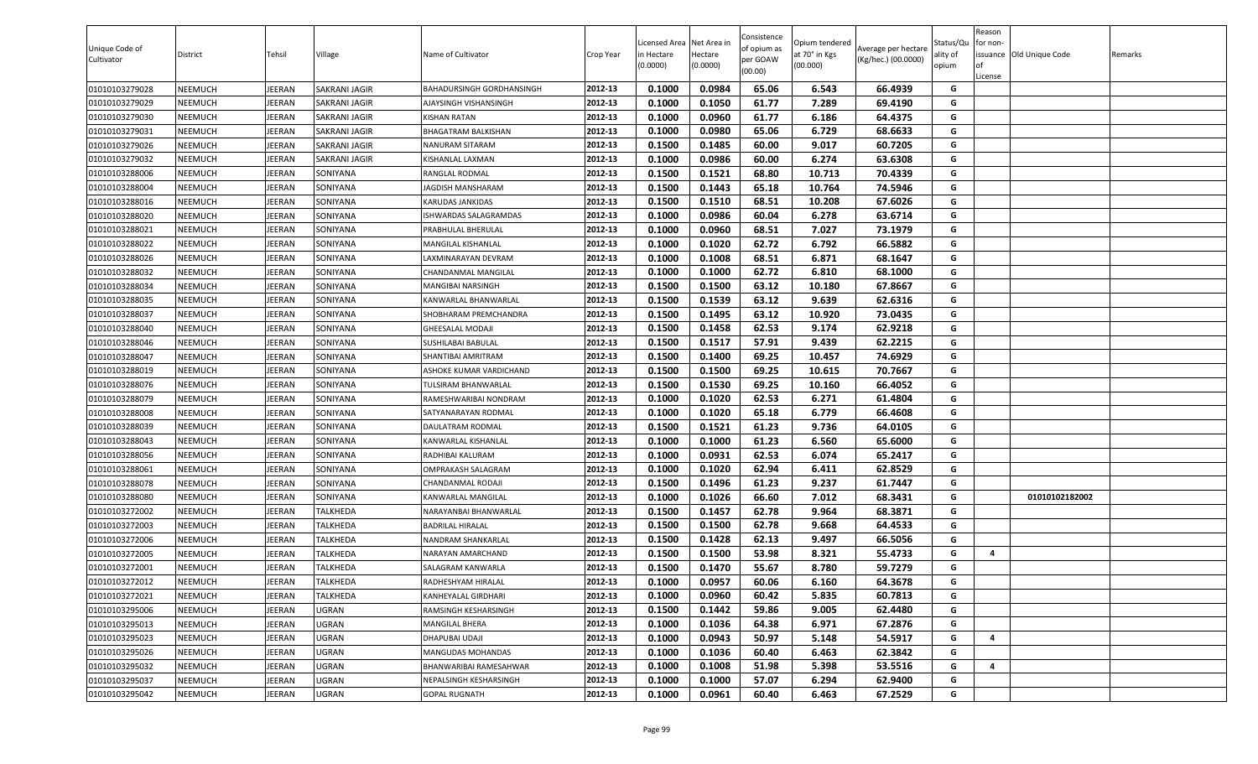| Unique Code of<br>Cultivator | District       | Tehsil        | Village              | Name of Cultivator        | Crop Year | icensed Area<br>n Hectare<br>(0.0000) | Net Area in<br>Hectare<br>(0.0000) | Consistence<br>of opium as<br>per GOAW<br>(00.00) | Opium tendered<br>at 70° in Kgs<br>(00.000) | Average per hectare<br>(Kg/hec.) (00.0000) | Status/Qu<br>ality of<br>opium | Reason<br>or non-<br>of<br>License | issuance Old Unique Code | Remarks |
|------------------------------|----------------|---------------|----------------------|---------------------------|-----------|---------------------------------------|------------------------------------|---------------------------------------------------|---------------------------------------------|--------------------------------------------|--------------------------------|------------------------------------|--------------------------|---------|
| 01010103279028               | NEEMUCH        | JEERAN        | SAKRANI JAGIR        | BAHADURSINGH GORDHANSINGH | 2012-13   | 0.1000                                | 0.0984                             | 65.06                                             | 6.543                                       | 66.4939                                    | G                              |                                    |                          |         |
| 01010103279029               | NEEMUCH        | JEERAN        | <b>SAKRANI JAGIR</b> | AJAYSINGH VISHANSINGH     | 2012-13   | 0.1000                                | 0.1050                             | 61.77                                             | 7.289                                       | 69.4190                                    | G                              |                                    |                          |         |
| 01010103279030               | NEEMUCH        | <b>JEERAN</b> | SAKRANI JAGIR        | <b>KISHAN RATAN</b>       | 2012-13   | 0.1000                                | 0.0960                             | 61.77                                             | 6.186                                       | 64.4375                                    | G                              |                                    |                          |         |
| 01010103279031               | NEEMUCH        | JEERAN        | SAKRANI JAGIR        | BHAGATRAM BALKISHAN       | 2012-13   | 0.1000                                | 0.0980                             | 65.06                                             | 6.729                                       | 68.6633                                    | G                              |                                    |                          |         |
| 01010103279026               | NEEMUCH        | JEERAN        | SAKRANI JAGIR        | NANURAM SITARAM           | 2012-13   | 0.1500                                | 0.1485                             | 60.00                                             | 9.017                                       | 60.7205                                    | G                              |                                    |                          |         |
| 01010103279032               | NEEMUCH        | JEERAN        | SAKRANI JAGIR        | KISHANLAL LAXMAN          | 2012-13   | 0.1000                                | 0.0986                             | 60.00                                             | 6.274                                       | 63.6308                                    | G                              |                                    |                          |         |
| 01010103288006               | NEEMUCH        | <b>JEERAN</b> | SONIYANA             | RANGLAL RODMAL            | 2012-13   | 0.1500                                | 0.1521                             | 68.80                                             | 10.713                                      | 70.4339                                    | G                              |                                    |                          |         |
| 01010103288004               | NEEMUCH        | <b>JEERAN</b> | SONIYANA             | <b>JAGDISH MANSHARAM</b>  | 2012-13   | 0.1500                                | 0.1443                             | 65.18                                             | 10.764                                      | 74.5946                                    | G                              |                                    |                          |         |
| 01010103288016               | NEEMUCH        | JEERAN        | SONIYANA             | <b>KARUDAS JANKIDAS</b>   | 2012-13   | 0.1500                                | 0.1510                             | 68.51                                             | 10.208                                      | 67.6026                                    | G                              |                                    |                          |         |
| 01010103288020               | NEEMUCH        | JEERAN        | SONIYANA             | ISHWARDAS SALAGRAMDAS     | 2012-13   | 0.1000                                | 0.0986                             | 60.04                                             | 6.278                                       | 63.6714                                    | G                              |                                    |                          |         |
| 01010103288021               | NEEMUCH        | JEERAN        | SONIYANA             | PRABHULAL BHERULAL        | 2012-13   | 0.1000                                | 0.0960                             | 68.51                                             | 7.027                                       | 73.1979                                    | G                              |                                    |                          |         |
| 01010103288022               | NEEMUCH        | <b>JEERAN</b> | SONIYANA             | MANGILAL KISHANLAL        | 2012-13   | 0.1000                                | 0.1020                             | 62.72                                             | 6.792                                       | 66.5882                                    | G                              |                                    |                          |         |
| 01010103288026               | NEEMUCH        | JEERAN        | SONIYANA             | LAXMINARAYAN DEVRAM       | 2012-13   | 0.1000                                | 0.1008                             | 68.51                                             | 6.871                                       | 68.1647                                    | G                              |                                    |                          |         |
| 01010103288032               | NEEMUCH        | JEERAN        | SONIYANA             | CHANDANMAL MANGILAL       | 2012-13   | 0.1000                                | 0.1000                             | 62.72                                             | 6.810                                       | 68.1000                                    | G                              |                                    |                          |         |
| 01010103288034               | <b>NEEMUCH</b> | <b>JEERAN</b> | SONIYANA             | MANGIBAI NARSINGH         | 2012-13   | 0.1500                                | 0.1500                             | 63.12                                             | 10.180                                      | 67.8667                                    | G                              |                                    |                          |         |
| 01010103288035               | NEEMUCH        | <b>JEERAN</b> | SONIYANA             | KANWARLAL BHANWARLAL      | 2012-13   | 0.1500                                | 0.1539                             | 63.12                                             | 9.639                                       | 62.6316                                    | G                              |                                    |                          |         |
| 01010103288037               | NEEMUCH        | <b>JEERAN</b> | SONIYANA             | SHOBHARAM PREMCHANDRA     | 2012-13   | 0.1500                                | 0.1495                             | 63.12                                             | 10.920                                      | 73.0435                                    | G                              |                                    |                          |         |
| 01010103288040               | NEEMUCH        | JEERAN        | SONIYANA             | <b>GHEESALAL MODAJI</b>   | 2012-13   | 0.1500                                | 0.1458                             | 62.53                                             | 9.174                                       | 62.9218                                    | G                              |                                    |                          |         |
| 01010103288046               | NEEMUCH        | JEERAN        | SONIYANA             | SUSHILABAI BABULAL        | 2012-13   | 0.1500                                | 0.1517                             | 57.91                                             | 9.439                                       | 62.2215                                    | G                              |                                    |                          |         |
| 01010103288047               | NEEMUCH        | <b>JEERAN</b> | SONIYANA             | SHANTIBAI AMRITRAM        | 2012-13   | 0.1500                                | 0.1400                             | 69.25                                             | 10.457                                      | 74.6929                                    | G                              |                                    |                          |         |
| 01010103288019               | NEEMUCH        | JEERAN        | SONIYANA             | ASHOKE KUMAR VARDICHAND   | 2012-13   | 0.1500                                | 0.1500                             | 69.25                                             | 10.615                                      | 70.7667                                    | G                              |                                    |                          |         |
| 01010103288076               | NEEMUCH        | JEERAN        | SONIYANA             | TULSIRAM BHANWARLAL       | 2012-13   | 0.1500                                | 0.1530                             | 69.25                                             | 10.160                                      | 66.4052                                    | G                              |                                    |                          |         |
| 01010103288079               | NEEMUCH        | JEERAN        | SONIYANA             | RAMESHWARIBAI NONDRAM     | 2012-13   | 0.1000                                | 0.1020                             | 62.53                                             | 6.271                                       | 61.4804                                    | G                              |                                    |                          |         |
| 01010103288008               | NEEMUCH        | <b>JEERAN</b> | SONIYANA             | SATYANARAYAN RODMAL       | 2012-13   | 0.1000                                | 0.1020                             | 65.18                                             | 6.779                                       | 66.4608                                    | G                              |                                    |                          |         |
| 01010103288039               | NEEMUCH        | JEERAN        | SONIYANA             | DAULATRAM RODMAL          | 2012-13   | 0.1500                                | 0.1521                             | 61.23                                             | 9.736                                       | 64.0105                                    | G                              |                                    |                          |         |
| 01010103288043               | NEEMUCH        | JEERAN        | SONIYANA             | KANWARLAL KISHANLAL       | 2012-13   | 0.1000                                | 0.1000                             | 61.23                                             | 6.560                                       | 65.6000                                    | G                              |                                    |                          |         |
| 01010103288056               | NEEMUCH        | JEERAN        | SONIYANA             | RADHIBAI KALURAM          | 2012-13   | 0.1000                                | 0.0931                             | 62.53                                             | 6.074                                       | 65.2417                                    | G                              |                                    |                          |         |
| 01010103288061               | NEEMUCH        | JEERAN        | SONIYANA             | OMPRAKASH SALAGRAM        | 2012-13   | 0.1000                                | 0.1020                             | 62.94                                             | 6.411                                       | 62.8529                                    | G                              |                                    |                          |         |
| 01010103288078               | NEEMUCH        | JEERAN        | SONIYANA             | CHANDANMAL RODAJI         | 2012-13   | 0.1500                                | 0.1496                             | 61.23                                             | 9.237                                       | 61.7447                                    | G                              |                                    |                          |         |
| 01010103288080               | NEEMUCH        | JEERAN        | SONIYANA             | KANWARLAL MANGILAL        | 2012-13   | 0.1000                                | 0.1026                             | 66.60                                             | 7.012                                       | 68.3431                                    | G                              |                                    | 01010102182002           |         |
| 01010103272002               | NEEMUCH        | JEERAN        | <b>TALKHEDA</b>      | NARAYANBAI BHANWARLAL     | 2012-13   | 0.1500                                | 0.1457                             | 62.78                                             | 9.964                                       | 68.3871                                    | G                              |                                    |                          |         |
| 01010103272003               | NEEMUCH        | <b>JEERAN</b> | <b>TALKHEDA</b>      | <b>BADRILAL HIRALAL</b>   | 2012-13   | 0.1500                                | 0.1500                             | 62.78                                             | 9.668                                       | 64.4533                                    | G                              |                                    |                          |         |
| 01010103272006               | NEEMUCH        | <b>JEERAN</b> | <b>TALKHEDA</b>      | NANDRAM SHANKARLAL        | 2012-13   | 0.1500                                | 0.1428                             | 62.13                                             | 9.497                                       | 66.5056                                    | G                              |                                    |                          |         |
| 01010103272005               | NEEMUCH        | JEERAN        | <b>TALKHEDA</b>      | NARAYAN AMARCHAND         | 2012-13   | 0.1500                                | 0.1500                             | 53.98                                             | 8.321                                       | 55.4733                                    | G                              | 4                                  |                          |         |
| 01010103272001               | NEEMUCH        | JEERAN        | TALKHEDA             | SALAGRAM KANWARLA         | 2012-13   | 0.1500                                | 0.1470                             | 55.67                                             | 8.780                                       | 59.7279                                    | G                              |                                    |                          |         |
| 01010103272012               | NEEMUCH        | <b>JEERAN</b> | <b>TALKHEDA</b>      | RADHESHYAM HIRALAL        | 2012-13   | 0.1000                                | 0.0957                             | 60.06                                             | 6.160                                       | 64.3678                                    | G                              |                                    |                          |         |
| 01010103272021               | NEEMUCH        | <b>JEERAN</b> | <b>TALKHEDA</b>      | KANHEYALAL GIRDHARI       | 2012-13   | 0.1000                                | 0.0960                             | 60.42                                             | 5.835                                       | 60.7813                                    | G                              |                                    |                          |         |
| 01010103295006               | NEEMUCH        | <b>JEERAN</b> | UGRAN                | RAMSINGH KESHARSINGH      | 2012-13   | 0.1500                                | 0.1442                             | 59.86                                             | 9.005                                       | 62.4480                                    | G                              |                                    |                          |         |
| 01010103295013               | <b>NEEMUCH</b> | <b>JEERAN</b> | UGRAN                | MANGILAL BHERA            | 2012-13   | 0.1000                                | 0.1036                             | 64.38                                             | 6.971                                       | 67.2876                                    | G                              |                                    |                          |         |
| 01010103295023               | <b>NEEMUCH</b> | <b>JEERAN</b> | UGRAN                | DHAPUBAI UDAJI            | 2012-13   | 0.1000                                | 0.0943                             | 50.97                                             | 5.148                                       | 54.5917                                    | G                              | 4                                  |                          |         |
| 01010103295026               | <b>NEEMUCH</b> | <b>JEERAN</b> | UGRAN                | <b>MANGUDAS MOHANDAS</b>  | 2012-13   | 0.1000                                | 0.1036                             | 60.40                                             | 6.463                                       | 62.3842                                    | G                              |                                    |                          |         |
| 01010103295032               | NEEMUCH        | <b>JEERAN</b> | UGRAN                | BHANWARIBAI RAMESAHWAR    | 2012-13   | 0.1000                                | 0.1008                             | 51.98                                             | 5.398                                       | 53.5516                                    | G                              | 4                                  |                          |         |
| 01010103295037               | <b>NEEMUCH</b> | <b>JEERAN</b> | <b>UGRAN</b>         | NEPALSINGH KESHARSINGH    | 2012-13   | 0.1000                                | 0.1000                             | 57.07                                             | 6.294                                       | 62.9400                                    | G                              |                                    |                          |         |
| 01010103295042               | NEEMUCH        | <b>JEERAN</b> | UGRAN                | <b>GOPAL RUGNATH</b>      | 2012-13   | 0.1000                                | 0.0961                             | 60.40                                             | 6.463                                       | 67.2529                                    | G                              |                                    |                          |         |